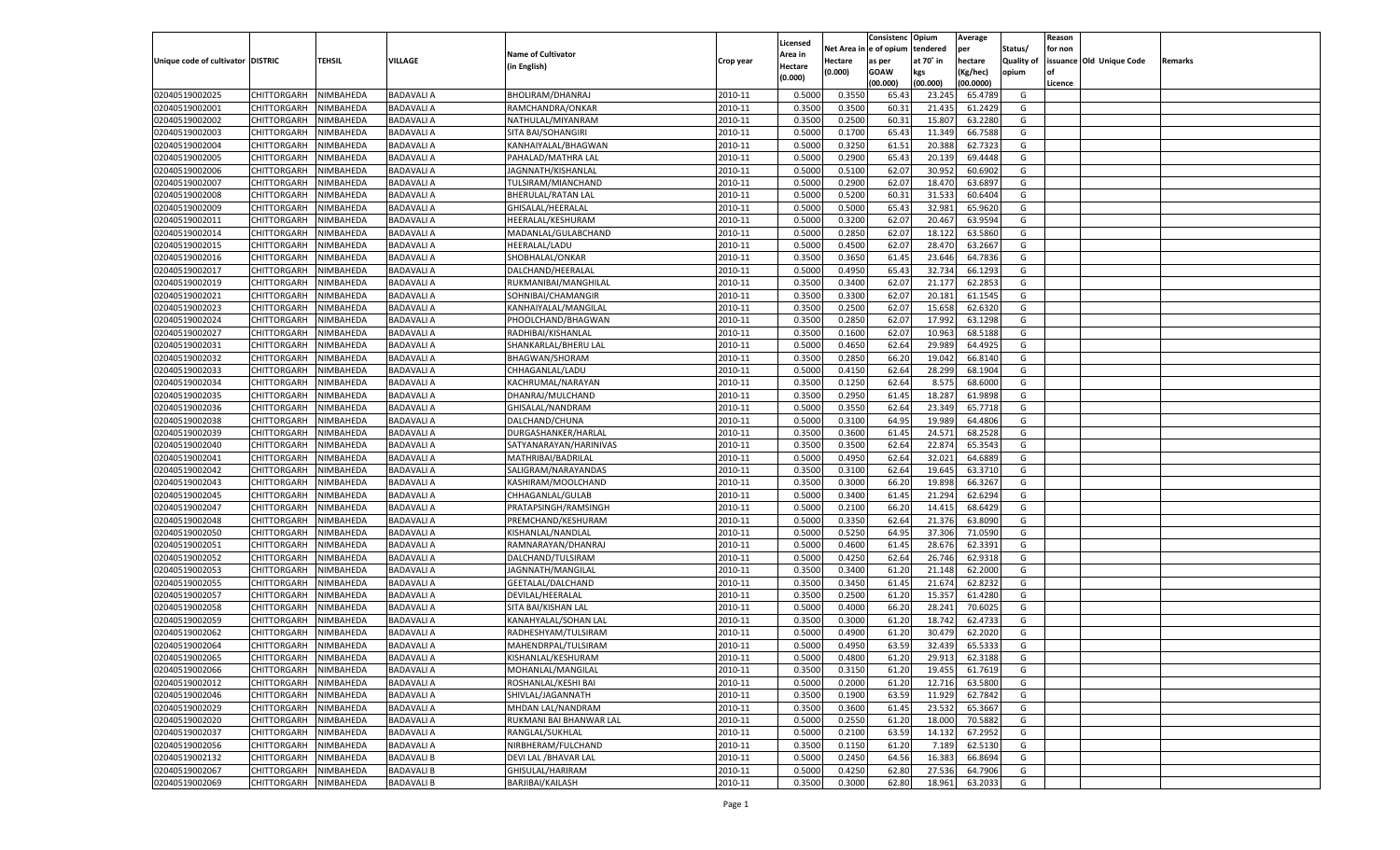|                                   |                       |               |                   |                           |           |                |          | Consistenc  | Opium     | Average   |                   | Reason  |                          |         |
|-----------------------------------|-----------------------|---------------|-------------------|---------------------------|-----------|----------------|----------|-------------|-----------|-----------|-------------------|---------|--------------------------|---------|
|                                   |                       |               |                   |                           |           | Licensed       | Net Area | e of opium  | tendered  | per       | Status/           | for non |                          |         |
| Unique code of cultivator DISTRIC |                       | <b>TEHSIL</b> | VILLAGE           | <b>Name of Cultivator</b> | Crop year | <b>Area in</b> | Hectare  | as per      | at 70° in | hectare   | <b>Quality of</b> |         | issuance Old Unique Code | Remarks |
|                                   |                       |               |                   | (in English)              |           | Hectare        | (0.000)  | <b>GOAW</b> | kgs       | (Kg/hec)  | opium             |         |                          |         |
|                                   |                       |               |                   |                           |           | (0.000)        |          | (00.000)    | (00.000)  | (00.0000) |                   | Licence |                          |         |
| 02040519002025                    | CHITTORGARH           | NIMBAHEDA     | <b>BADAVALI A</b> | BHOLIRAM/DHANRAJ          | 2010-11   | 0.5000         | 0.3550   | 65.4        | 23.245    | 65.4789   | G                 |         |                          |         |
| 02040519002001                    | CHITTORGARH           | NIMBAHEDA     | <b>BADAVALI A</b> | RAMCHANDRA/ONKAR          | 2010-11   | 0.3500         | 0.3500   | 60.3        | 21.435    | 61.2429   | G                 |         |                          |         |
| 02040519002002                    | CHITTORGARH           | NIMBAHEDA     | <b>BADAVALI A</b> | NATHULAL/MIYANRAM         | 2010-11   | 0.3500         | 0.2500   | 60.31       | 15.80     | 63.2280   | G                 |         |                          |         |
| 02040519002003                    | CHITTORGARH           | NIMBAHEDA     | <b>BADAVALI A</b> | SITA BAI/SOHANGIRI        | 2010-11   | 0.5000         | 0.1700   | 65.4        | 11.349    | 66.7588   | G                 |         |                          |         |
| 02040519002004                    | CHITTORGARH           | NIMBAHEDA     | <b>BADAVALI A</b> | KANHAIYALAL/BHAGWAN       | 2010-11   | 0.5000         | 0.3250   | 61.51       | 20.388    | 62.7323   | G                 |         |                          |         |
| 02040519002005                    | CHITTORGARH           | NIMBAHEDA     | <b>BADAVALI A</b> | PAHALAD/MATHRA LAL        | 2010-11   | 0.5000         | 0.2900   | 65.43       | 20.13     | 69.4448   | G                 |         |                          |         |
| 02040519002006                    | CHITTORGARH           | NIMBAHEDA     | <b>BADAVALI A</b> | JAGNNATH/KISHANLAL        | 2010-11   | 0.5000         | 0.5100   | 62.07       | 30.952    | 60.6902   | G                 |         |                          |         |
| 02040519002007                    | CHITTORGARH           | NIMBAHEDA     | <b>BADAVALI A</b> | TULSIRAM/MIANCHAND        | 2010-11   | 0.5000         | 0.2900   | 62.07       | 18.47     | 63.6897   | G                 |         |                          |         |
| 02040519002008                    | CHITTORGARH           | NIMBAHEDA     | <b>BADAVALI A</b> | <b>BHERULAL/RATAN LAL</b> | 2010-11   | 0.5000         | 0.5200   | 60.31       | 31.533    | 60.6404   | G                 |         |                          |         |
| 02040519002009                    |                       |               |                   |                           |           |                |          |             |           |           |                   |         |                          |         |
|                                   | CHITTORGARH           | NIMBAHEDA     | <b>BADAVALI A</b> | GHISALAL/HEERALAL         | 2010-11   | 0.5000         | 0.5000   | 65.43       | 32.981    | 65.9620   | G                 |         |                          |         |
| 02040519002011                    | CHITTORGARH           | NIMBAHEDA     | <b>BADAVALI A</b> | HEERALAL/KESHURAM         | 2010-11   | 0.5000         | 0.3200   | 62.07       | 20.467    | 63.9594   | G                 |         |                          |         |
| 02040519002014                    | CHITTORGARH           | NIMBAHEDA     | <b>BADAVALI A</b> | MADANLAL/GULABCHAND       | 2010-11   | 0.5000         | 0.2850   | 62.07       | 18.122    | 63.5860   | G                 |         |                          |         |
| 02040519002015                    | CHITTORGARH           | NIMBAHEDA     | <b>BADAVALI A</b> | HEERALAL/LADU             | 2010-11   | 0.5000         | 0.4500   | 62.07       | 28.470    | 63.2667   | G                 |         |                          |         |
| 02040519002016                    | CHITTORGARH           | NIMBAHEDA     | <b>BADAVALI A</b> | SHOBHALAL/ONKAR           | 2010-11   | 0.3500         | 0.3650   | 61.45       | 23.646    | 64.7836   | G                 |         |                          |         |
| 02040519002017                    | CHITTORGARH           | NIMBAHEDA     | <b>BADAVALI A</b> | DALCHAND/HEERALAL         | 2010-11   | 0.5000         | 0.4950   | 65.43       | 32.734    | 66.1293   | G                 |         |                          |         |
| 02040519002019                    | CHITTORGARH           | NIMBAHEDA     | <b>BADAVALI A</b> | RUKMANIBAI/MANGHILAL      | 2010-11   | 0.3500         | 0.3400   | 62.07       | 21.177    | 62.285    | G                 |         |                          |         |
| 02040519002021                    | CHITTORGARH           | NIMBAHEDA     | <b>BADAVALI A</b> | SOHNIBAI/CHAMANGIR        | 2010-11   | 0.3500         | 0.3300   | 62.07       | 20.181    | 61.1545   | G                 |         |                          |         |
| 02040519002023                    | CHITTORGARH           | NIMBAHEDA     | <b>BADAVALI A</b> | KANHAIYALAL/MANGILAI      | 2010-11   | 0.3500         | 0.2500   | 62.07       | 15.658    | 62.6320   | G                 |         |                          |         |
| 02040519002024                    | CHITTORGARH           | NIMBAHEDA     | <b>BADAVALI A</b> | PHOOLCHAND/BHAGWAN        | 2010-11   | 0.3500         | 0.2850   | 62.07       | 17.992    | 63.1298   | G                 |         |                          |         |
| 02040519002027                    | CHITTORGARH           | NIMBAHEDA     | <b>BADAVALI A</b> | RADHIBAI/KISHANLAI        | 2010-11   | 0.3500         | 0.1600   | 62.07       | 10.963    | 68.5188   | G                 |         |                          |         |
| 02040519002031                    | CHITTORGARH           | NIMBAHEDA     | <b>BADAVALI A</b> | SHANKARLAL/BHERU LAL      | 2010-11   | 0.5000         | 0.4650   | 62.64       | 29.989    | 64.4925   | G                 |         |                          |         |
| 02040519002032                    | CHITTORGARH           | NIMBAHEDA     | <b>BADAVALI A</b> | <b>BHAGWAN/SHORAM</b>     | 2010-11   | 0.3500         | 0.2850   | 66.20       | 19.042    | 66.8140   | G                 |         |                          |         |
| 02040519002033                    | CHITTORGARH           | NIMBAHEDA     | <b>BADAVALI A</b> | CHHAGANLAL/LADU           | 2010-11   | 0.5000         | 0.4150   | 62.64       | 28.299    | 68.1904   | G                 |         |                          |         |
| 02040519002034                    | CHITTORGARH           | NIMBAHEDA     | <b>BADAVALI A</b> | KACHRUMAL/NARAYAN         | 2010-11   | 0.3500         | 0.1250   | 62.64       | 8.575     | 68.6000   | G                 |         |                          |         |
| 02040519002035                    | CHITTORGARH           | NIMBAHEDA     | <b>BADAVALI A</b> | DHANRAJ/MULCHAND          | 2010-11   | 0.3500         | 0.2950   | 61.45       | 18.287    | 61.9898   | G                 |         |                          |         |
| 02040519002036                    | CHITTORGARH           | NIMBAHEDA     | <b>BADAVALI A</b> | GHISALAL/NANDRAM          | 2010-11   | 0.5000         | 0.3550   | 62.64       | 23.349    | 65.7718   | G                 |         |                          |         |
| 02040519002038                    | CHITTORGARH           | NIMBAHEDA     | <b>BADAVALI A</b> | DALCHAND/CHUNA            | 2010-11   | 0.5000         | 0.3100   | 64.95       | 19.989    | 64.4806   | G                 |         |                          |         |
| 02040519002039                    | CHITTORGARH           | NIMBAHEDA     | <b>BADAVALI A</b> | DURGASHANKER/HARLAL       | 2010-11   | 0.3500         | 0.3600   | 61.45       | 24.571    | 68.2528   | G                 |         |                          |         |
| 02040519002040                    | CHITTORGARH           | NIMBAHEDA     | <b>BADAVALI A</b> | SATYANARAYAN/HARINIVAS    | 2010-11   | 0.3500         | 0.3500   | 62.64       | 22.874    | 65.3543   | G                 |         |                          |         |
| 02040519002041                    | CHITTORGARH           | NIMBAHEDA     | <b>BADAVALI A</b> | MATHRIBAI/BADRILAL        | 2010-11   | 0.5000         | 0.4950   | 62.64       | 32.021    | 64.6889   | G                 |         |                          |         |
| 02040519002042                    | CHITTORGARH           | NIMBAHEDA     | <b>BADAVALI A</b> | SALIGRAM/NARAYANDAS       | 2010-11   | 0.3500         | 0.3100   | 62.64       | 19.645    | 63.3710   | G                 |         |                          |         |
| 02040519002043                    |                       |               | <b>BADAVALI A</b> |                           | 2010-11   | 0.3500         | 0.3000   | 66.20       | 19.898    | 66.3267   | G                 |         |                          |         |
|                                   | CHITTORGARH           | NIMBAHEDA     |                   | KASHIRAM/MOOLCHAND        |           |                |          |             |           |           |                   |         |                          |         |
| 02040519002045                    | CHITTORGARH           | NIMBAHEDA     | <b>BADAVALI A</b> | CHHAGANLAL/GULAB          | 2010-11   | 0.5000         | 0.3400   | 61.45       | 21.294    | 62.6294   | G                 |         |                          |         |
| 02040519002047                    | CHITTORGARH           | NIMBAHEDA     | <b>BADAVALI A</b> | PRATAPSINGH/RAMSINGH      | 2010-11   | 0.5000         | 0.2100   | 66.20       | 14.415    | 68.6429   | G                 |         |                          |         |
| 02040519002048                    | CHITTORGARH           | NIMBAHEDA     | <b>BADAVALI A</b> | PREMCHAND/KESHURAM        | 2010-11   | 0.5000         | 0.3350   | 62.64       | 21.376    | 63.8090   | G                 |         |                          |         |
| 02040519002050                    | CHITTORGARH           | NIMBAHEDA     | <b>BADAVALI A</b> | KISHANLAL/NANDLAL         | 2010-11   | 0.5000         | 0.5250   | 64.95       | 37.306    | 71.0590   | G                 |         |                          |         |
| 02040519002051                    | CHITTORGARH           | NIMBAHEDA     | <b>BADAVALI A</b> | RAMNARAYAN/DHANRAJ        | 2010-11   | 0.5000         | 0.4600   | 61.45       | 28.676    | 62.3391   | G                 |         |                          |         |
| 02040519002052                    | CHITTORGARH           | NIMBAHEDA     | <b>BADAVALI A</b> | DALCHAND/TULSIRAM         | 2010-11   | 0.5000         | 0.4250   | 62.64       | 26.74     | 62.9318   | G                 |         |                          |         |
| 02040519002053                    | CHITTORGARH           | NIMBAHEDA     | <b>BADAVALI A</b> | JAGNNATH/MANGILAL         | 2010-11   | 0.3500         | 0.3400   | 61.20       | 21.14     | 62.2000   | G                 |         |                          |         |
| 02040519002055                    | CHITTORGARH           | NIMBAHEDA     | <b>BADAVALI A</b> | GEETALAL/DALCHAND         | 2010-11   | 0.3500         | 0.3450   | 61.4        | 21.67     | 62.8232   | G                 |         |                          |         |
| 02040519002057                    | CHITTORGARH           | NIMBAHEDA     | <b>BADAVALI A</b> | DEVILAL/HEERALAL          | 2010-11   | 0.3500         | 0.2500   | 61.20       | 15.35     | 61.4280   | G                 |         |                          |         |
| 02040519002058                    | CHITTORGARH           | NIMBAHEDA     | <b>BADAVALI A</b> | SITA BAI/KISHAN LAL       | 2010-11   | 0.5000         | 0.4000   | 66.20       | 28.24     | 70.6025   | G                 |         |                          |         |
| 02040519002059                    | CHITTORGARH           | NIMBAHEDA     | <b>BADAVALI A</b> | KANAHYALAL/SOHAN LAL      | 2010-11   | 0.3500         | 0.3000   | 61.20       | 18.74     | 62.473    | G                 |         |                          |         |
| 02040519002062                    | CHITTORGARH           | NIMBAHEDA     | <b>BADAVALI A</b> | RADHESHYAM/TULSIRAM       | 2010-11   | 0.5000         | 0.4900   | 61.20       | 30.47     | 62.2020   | G                 |         |                          |         |
| 02040519002064                    | CHITTORGARH           | NIMBAHEDA     | <b>BADAVALI A</b> | MAHENDRPAL/TULSIRAM       | 2010-11   | 0.5000         | 0.4950   | 63.59       | 32.439    | 65.5333   | G                 |         |                          |         |
| 02040519002065                    | CHITTORGARH NIMBAHEDA |               | <b>BADAVALI A</b> | KISHANLAL/KESHURAM        | 2010-11   | 0.5000         | 0.4800   | 61.20       | 29.913    | 62.3188   | G                 |         |                          |         |
| 02040519002066                    | <b>CHITTORGARH</b>    | NIMBAHEDA     | <b>BADAVALI A</b> | MOHANLAL/MANGILAL         | 2010-11   | 0.3500         | 0.3150   | 61.20       | 19.455    | 61.7619   | G                 |         |                          |         |
| 02040519002012                    | <b>CHITTORGARH</b>    | NIMBAHEDA     | <b>BADAVALI A</b> | ROSHANLAL/KESHI BAI       | 2010-11   | 0.5000         | 0.2000   | 61.20       | 12.716    | 63.5800   | G                 |         |                          |         |
| 02040519002046                    | <b>CHITTORGARH</b>    | NIMBAHEDA     | <b>BADAVALI A</b> | SHIVLAL/JAGANNATH         | 2010-11   | 0.3500         | 0.1900   | 63.59       | 11.929    | 62.7842   | G                 |         |                          |         |
| 02040519002029                    | <b>CHITTORGARH</b>    | NIMBAHEDA     | <b>BADAVALI A</b> | MHDAN LAL/NANDRAM         | 2010-11   | 0.3500         | 0.3600   | 61.45       | 23.532    | 65.3667   | G                 |         |                          |         |
| 02040519002020                    | <b>CHITTORGARH</b>    | NIMBAHEDA     | <b>BADAVALI A</b> | RUKMANI BAI BHANWAR LAL   | 2010-11   | 0.5000         | 0.2550   | 61.20       | 18.000    | 70.5882   | G                 |         |                          |         |
| 02040519002037                    | <b>CHITTORGARH</b>    | NIMBAHEDA     | <b>BADAVALI A</b> | RANGLAL/SUKHLAL           | 2010-11   | 0.5000         | 0.2100   | 63.59       | 14.132    | 67.2952   | G                 |         |                          |         |
| 02040519002056                    | <b>CHITTORGARH</b>    | NIMBAHEDA     | <b>BADAVALI A</b> | NIRBHERAM/FULCHAND        | 2010-11   | 0.3500         | 0.1150   | 61.20       | 7.189     | 62.5130   | G                 |         |                          |         |
| 02040519002132                    | <b>CHITTORGARH</b>    | NIMBAHEDA     | <b>BADAVALI B</b> | DEVI LAL / BHAVAR LAL     | 2010-11   | 0.5000         | 0.2450   | 64.56       | 16.383    | 66.8694   | G                 |         |                          |         |
| 02040519002067                    |                       | NIMBAHEDA     | <b>BADAVALI B</b> | GHISULAL/HARIRAM          | 2010-11   | 0.5000         | 0.4250   | 62.80       | 27.536    | 64.7906   | G                 |         |                          |         |
|                                   | <b>CHITTORGARH</b>    |               |                   |                           |           |                |          |             |           |           |                   |         |                          |         |
| 02040519002069                    | <b>CHITTORGARH</b>    | NIMBAHEDA     | <b>BADAVALI B</b> | BARJIBAI/KAILASH          | 2010-11   | 0.3500         | 0.3000   | 62.80       | 18.961    | 63.2033   | G                 |         |                          |         |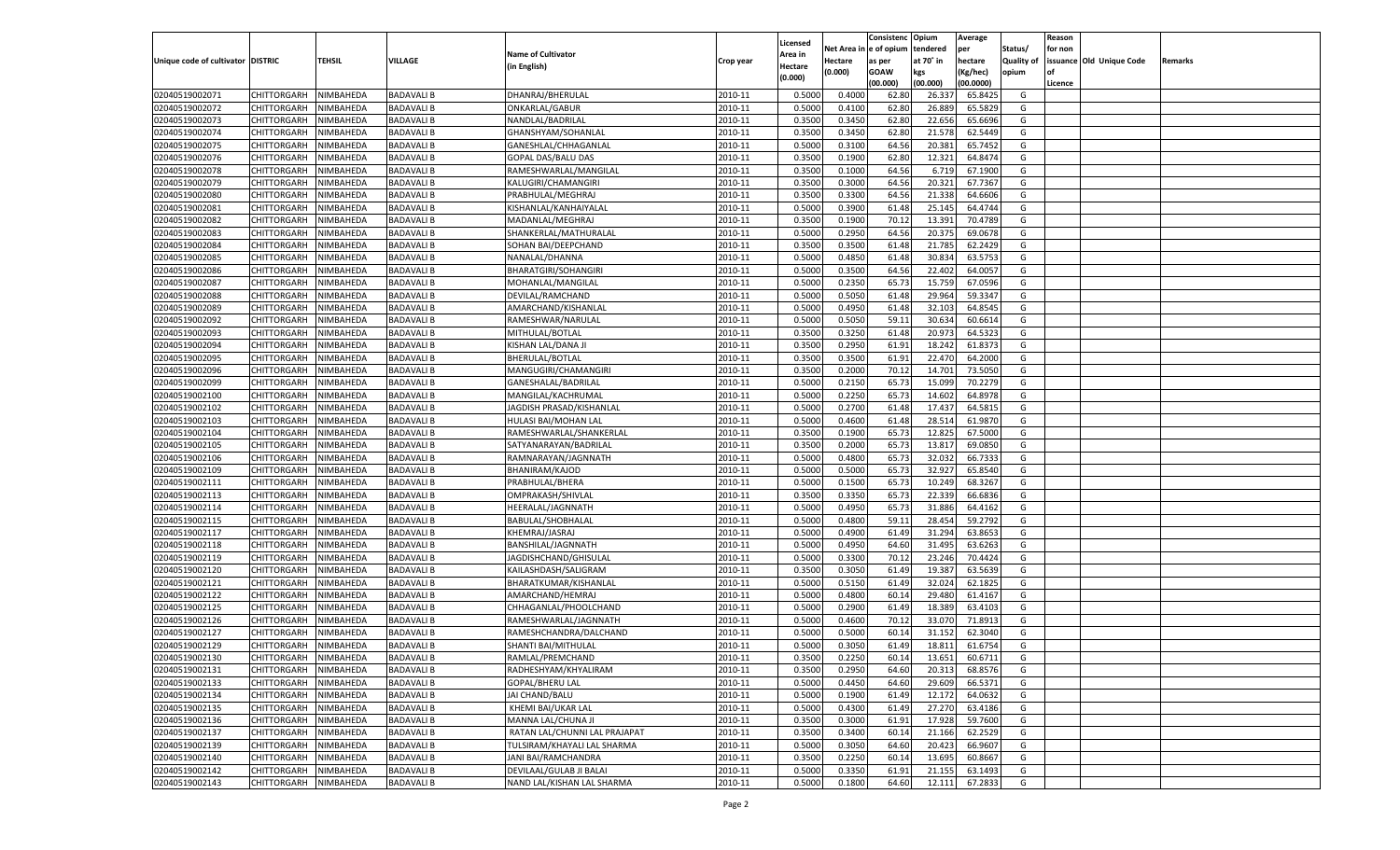|                                   |                       |                  |                   |                                     |           |                           |          | Consistenc  | Opium     | Average   |                   | Reason  |                          |         |
|-----------------------------------|-----------------------|------------------|-------------------|-------------------------------------|-----------|---------------------------|----------|-------------|-----------|-----------|-------------------|---------|--------------------------|---------|
|                                   |                       |                  |                   | <b>Name of Cultivator</b>           |           | Licensed                  | Net Area | e of opium  | tendered  | per       | Status/           | for non |                          |         |
| Unique code of cultivator DISTRIC |                       | <b>TEHSIL</b>    | VILLAGE           | (in English)                        | Crop year | <b>Area in</b><br>Hectare | Hectare  | as per      | at 70° in | hectare   | <b>Quality of</b> |         | issuance Old Unique Code | Remarks |
|                                   |                       |                  |                   |                                     |           | (0.000)                   | (0.000)  | <b>GOAW</b> | kgs       | (Kg/hec)  | opium             |         |                          |         |
|                                   |                       |                  |                   |                                     |           |                           |          | (00.000)    | (00.000)  | (00.0000) |                   | Licence |                          |         |
| 02040519002071                    | CHITTORGARH           | NIMBAHEDA        | <b>BADAVALI B</b> | DHANRAJ/BHERULAL                    | 2010-11   | 0.5000                    | 0.4000   | 62.80       | 26.33     | 65.8425   | G                 |         |                          |         |
| 02040519002072                    | CHITTORGARH           | NIMBAHEDA        | <b>BADAVALI B</b> | ONKARLAL/GABUR                      | 2010-11   | 0.5000                    | 0.4100   | 62.80       | 26.889    | 65.5829   | G                 |         |                          |         |
| 02040519002073                    | CHITTORGARH           | NIMBAHEDA        | <b>BADAVALI B</b> | NANDLAL/BADRILAL                    | 2010-11   | 0.3500                    | 0.3450   | 62.80       | 22.656    | 65.6696   | G                 |         |                          |         |
| 02040519002074                    | CHITTORGARH           | NIMBAHEDA        | <b>BADAVALI B</b> | GHANSHYAM/SOHANLAL                  | 2010-11   | 0.3500                    | 0.3450   | 62.80       | 21.578    | 62.5449   | G                 |         |                          |         |
| 02040519002075                    | CHITTORGARH           | NIMBAHEDA        | <b>BADAVALI B</b> | GANESHLAL/CHHAGANLAL                | 2010-11   | 0.5000                    | 0.3100   | 64.56       | 20.381    | 65.7452   | G                 |         |                          |         |
| 02040519002076                    | CHITTORGARH           | NIMBAHEDA        | <b>BADAVALI B</b> | GOPAL DAS/BALU DAS                  | 2010-11   | 0.3500                    | 0.1900   | 62.80       | 12.321    | 64.8474   | G                 |         |                          |         |
| 02040519002078                    | CHITTORGARH           | NIMBAHEDA        | <b>BADAVALI B</b> | RAMESHWARLAL/MANGILAL               | 2010-11   | 0.3500                    | 0.1000   | 64.56       | 6.719     | 67.1900   | G                 |         |                          |         |
| 02040519002079                    | CHITTORGARH           | NIMBAHEDA        | <b>BADAVALI B</b> | KALUGIRI/CHAMANGIRI                 | 2010-11   | 0.3500                    | 0.3000   | 64.56       | 20.321    | 67.7367   | G                 |         |                          |         |
| 02040519002080                    | CHITTORGARH           | NIMBAHEDA        | <b>BADAVALI B</b> | PRABHULAL/MEGHRAJ                   | 2010-11   | 0.3500                    | 0.3300   | 64.56       | 21.338    | 64.6606   | G                 |         |                          |         |
| 02040519002081                    | CHITTORGARH           | NIMBAHEDA        | <b>BADAVALI B</b> | KISHANLAL/KANHAIYALAL               | 2010-11   | 0.5000                    | 0.3900   | 61.48       | 25.145    | 64.4744   | G                 |         |                          |         |
| 02040519002082                    | CHITTORGARH           | NIMBAHEDA        | <b>BADAVALI B</b> | MADANLAL/MEGHRAJ                    | 2010-11   | 0.3500                    | 0.1900   | 70.1        | 13.391    | 70.4789   | G                 |         |                          |         |
| 02040519002083                    | CHITTORGARH           | NIMBAHEDA        | <b>BADAVALI B</b> | SHANKERLAL/MATHURALAL               | 2010-11   | 0.5000                    | 0.2950   | 64.56       | 20.375    | 69.0678   | G                 |         |                          |         |
| 02040519002084                    | CHITTORGARH           | NIMBAHEDA        | <b>BADAVALI B</b> | SOHAN BAI/DEEPCHAND                 | 2010-11   | 0.3500                    | 0.3500   | 61.48       | 21.785    | 62.2429   | G                 |         |                          |         |
| 02040519002085                    | CHITTORGARH           | NIMBAHEDA        | <b>BADAVALI B</b> | NANALAL/DHANNA                      | 2010-11   | 0.5000                    | 0.4850   | 61.48       | 30.834    | 63.575    | G                 |         |                          |         |
| 02040519002086                    | CHITTORGARH           | NIMBAHEDA        | <b>BADAVALI B</b> | <b>BHARATGIRI/SOHANGIRI</b>         | 2010-11   | 0.5000                    | 0.3500   | 64.56       | 22.402    | 64.005    | G                 |         |                          |         |
| 02040519002087                    | CHITTORGARH           | NIMBAHEDA        | <b>BADAVALI B</b> | MOHANLAL/MANGILAL                   | 2010-11   | 0.5000                    | 0.2350   | 65.73       | 15.759    | 67.0596   | G                 |         |                          |         |
| 02040519002088                    | CHITTORGARH           | NIMBAHEDA        | <b>BADAVALI B</b> | DEVILAL/RAMCHAND                    | 2010-11   | 0.5000                    | 0.5050   | 61.48       | 29.964    | 59.3347   | G                 |         |                          |         |
| 02040519002089                    | CHITTORGARH           | NIMBAHEDA        | <b>BADAVALI B</b> | AMARCHAND/KISHANLAI                 | 2010-11   | 0.5000                    | 0.4950   | 61.48       | 32.103    | 64.8545   | G                 |         |                          |         |
| 02040519002092                    | CHITTORGARH           | NIMBAHEDA        | <b>BADAVALI B</b> | RAMESHWAR/NARULAL                   | 2010-11   | 0.5000                    | 0.5050   | 59.11       | 30.634    | 60.6614   | G                 |         |                          |         |
| 02040519002093                    | CHITTORGARH           | NIMBAHEDA        | <b>BADAVALI B</b> | MITHULAL/BOTLAL                     | 2010-11   | 0.3500                    | 0.3250   | 61.48       | 20.973    | 64.5323   | G                 |         |                          |         |
| 02040519002094                    | CHITTORGARH           | NIMBAHEDA        | <b>BADAVALI B</b> | KISHAN LAL/DANA JI                  | 2010-11   | 0.3500                    | 0.2950   | 61.91       | 18.242    | 61.8373   | G                 |         |                          |         |
| 02040519002095                    | CHITTORGARH           | NIMBAHEDA        | <b>BADAVALI B</b> | BHERULAL/BOTLAL                     | 2010-11   | 0.3500                    | 0.3500   | 61.91       | 22.470    | 64.2000   | G                 |         |                          |         |
| 02040519002096                    | CHITTORGARH           | NIMBAHEDA        | <b>BADAVALI B</b> | MANGUGIRI/CHAMANGIRI                | 2010-11   | 0.3500                    | 0.2000   | 70.12       | 14.701    | 73.5050   | G                 |         |                          |         |
| 02040519002099                    | CHITTORGARH           | NIMBAHEDA        | <b>BADAVALI B</b> | GANESHALAL/BADRILAL                 | 2010-11   | 0.5000                    | 0.2150   | 65.73       | 15.099    | 70.2279   | G                 |         |                          |         |
| 02040519002100                    | CHITTORGARH           | NIMBAHEDA        | <b>BADAVALI B</b> | MANGILAL/KACHRUMAL                  | 2010-11   | 0.5000                    | 0.2250   | 65.73       | 14.602    | 64.8978   | G                 |         |                          |         |
| 02040519002102                    | CHITTORGARH           | NIMBAHEDA        | <b>BADAVALI B</b> | JAGDISH PRASAD/KISHANLAL            | 2010-11   | 0.5000                    | 0.2700   | 61.48       | 17.437    | 64.5815   | G                 |         |                          |         |
| 02040519002103                    | CHITTORGARH           | NIMBAHEDA        | <b>BADAVALI B</b> | HULASI BAI/MOHAN LAL                | 2010-11   | 0.5000                    | 0.4600   | 61.48       | 28.514    | 61.9870   | G                 |         |                          |         |
| 02040519002104                    | CHITTORGARH           | NIMBAHEDA        | <b>BADAVALI B</b> | RAMESHWARLAL/SHANKERLAL             | 2010-11   | 0.3500                    | 0.1900   | 65.73       | 12.825    | 67.5000   | G                 |         |                          |         |
| 02040519002105                    | CHITTORGARH           | NIMBAHEDA        | <b>BADAVALI B</b> | SATYANARAYAN/BADRILAI               | 2010-11   | 0.3500                    | 0.2000   | 65.73       | 13.817    | 69.0850   | G                 |         |                          |         |
| 02040519002106                    | CHITTORGARH           | NIMBAHEDA        | <b>BADAVALI B</b> | RAMNARAYAN/JAGNNATH                 | 2010-11   | 0.5000                    | 0.4800   | 65.73       | 32.032    | 66.7333   | G                 |         |                          |         |
| 02040519002109                    | CHITTORGARH           | NIMBAHEDA        | <b>BADAVALI B</b> | BHANIRAM/KAJOD                      | 2010-11   | 0.5000                    | 0.5000   | 65.73       | 32.927    | 65.8540   | G                 |         |                          |         |
| 02040519002111                    | CHITTORGARH           | NIMBAHEDA        | <b>BADAVALI B</b> | PRABHULAL/BHERA                     | 2010-11   | 0.5000                    | 0.1500   | 65.73       | 10.249    | 68.3267   | G                 |         |                          |         |
| 02040519002113                    | CHITTORGARH           | NIMBAHEDA        | <b>BADAVALI B</b> | OMPRAKASH/SHIVLAL                   | 2010-11   | 0.3500                    | 0.3350   | 65.73       | 22.339    | 66.683    | G                 |         |                          |         |
| 02040519002114                    | CHITTORGARH           | NIMBAHEDA        | <b>BADAVALI B</b> | HEERALAL/JAGNNATH                   | 2010-11   | 0.5000                    | 0.4950   | 65.73       | 31.886    | 64.4162   | G                 |         |                          |         |
| 02040519002115                    |                       |                  | <b>BADAVALI B</b> |                                     | 2010-11   | 0.5000                    | 0.4800   | 59.11       | 28.454    | 59.2792   | G                 |         |                          |         |
| 02040519002117                    | CHITTORGARH           | NIMBAHEDA        | <b>BADAVALI B</b> | BABULAL/SHOBHALAL<br>KHEMRAJ/JASRAJ | 2010-11   | 0.5000                    | 0.4900   | 61.49       | 31.294    | 63.8653   | G                 |         |                          |         |
|                                   | CHITTORGARH           | NIMBAHEDA        |                   |                                     |           |                           |          |             |           |           |                   |         |                          |         |
| 02040519002118                    | CHITTORGARH           | NIMBAHEDA        | <b>BADAVALI B</b> | BANSHILAL/JAGNNATH                  | 2010-11   | 0.5000                    | 0.4950   | 64.60       | 31.495    | 63.626    | G                 |         |                          |         |
| 02040519002119                    | CHITTORGARH           | NIMBAHEDA        | <b>BADAVALI B</b> | JAGDISHCHAND/GHISULAL               | 2010-11   | 0.5000                    | 0.3300   | 70.12       | 23.246    | 70.4424   | G                 |         |                          |         |
| 02040519002120                    | CHITTORGARH           | NIMBAHEDA        | <b>BADAVALI B</b> | KAILASHDASH/SALIGRAM                | 2010-11   | 0.3500                    | 0.3050   | 61.49       | 19.38     | 63.5639   | G                 |         |                          |         |
| 02040519002121                    | CHITTORGARH           | NIMBAHEDA        | <b>BADAVALI B</b> | BHARATKUMAR/KISHANLAL               | 2010-11   | 0.5000                    | 0.5150   | 61.49       | 32.024    | 62.1825   | G                 |         |                          |         |
| 02040519002122                    | CHITTORGARH           | NIMBAHEDA        | <b>BADAVALI B</b> | AMARCHAND/HEMRAJ                    | 2010-11   | 0.5000                    | 0.4800   | 60.14       | 29.480    | 61.4167   | G                 |         |                          |         |
| 02040519002125                    | CHITTORGARH           | NIMBAHEDA        | <b>BADAVALI B</b> | CHHAGANLAL/PHOOLCHAND               | 2010-11   | 0.5000                    | 0.2900   | 61.49       | 18.38     | 63.4103   | G                 |         |                          |         |
| 02040519002126                    | CHITTORGARH           | NIMBAHEDA        | <b>BADAVALI B</b> | RAMESHWARLAL/JAGNNATH               | 2010-11   | 0.5000                    | 0.4600   | 70.12       | 33.07     | 71.8913   | G                 |         |                          |         |
| 02040519002127                    | CHITTORGARH           | NIMBAHEDA        | <b>BADAVALI B</b> | RAMESHCHANDRA/DALCHAND              | 2010-11   | 0.5000                    | 0.5000   | 60.1        | 31.15     | 62.3040   | G                 |         |                          |         |
| 02040519002129                    | CHITTORGARH           | NIMBAHEDA        | <b>BADAVALI B</b> | SHANTI BAI/MITHULAI                 | 2010-11   | 0.5000                    | 0.3050   | 61.49       | 18.811    | 61.6754   | G                 |         |                          |         |
| 02040519002130                    | CHITTORGARH NIMBAHEDA |                  | <b>BADAVALI B</b> | RAMLAL/PREMCHAND                    | 2010-11   | 0.3500                    | 0.2250   | 60.14       | 13.651    | 60.6711   | G                 |         |                          |         |
| 02040519002131                    | <b>CHITTORGARH</b>    | <b>NIMBAHEDA</b> | <b>BADAVALI B</b> | RADHESHYAM/KHYALIRAM                | 2010-11   | 0.3500                    | 0.2950   | 64.60       | 20.313    | 68.8576   | G                 |         |                          |         |
| 02040519002133                    | <b>CHITTORGARH</b>    | NIMBAHEDA        | <b>BADAVALI B</b> | GOPAL/BHERU LAL                     | 2010-11   | 0.5000                    | 0.4450   | 64.60       | 29.609    | 66.5371   | G                 |         |                          |         |
| 02040519002134                    | <b>CHITTORGARH</b>    | NIMBAHEDA        | <b>BADAVALI B</b> | JAI CHAND/BALU                      | 2010-11   | 0.5000                    | 0.1900   | 61.49       | 12.172    | 64.0632   | G                 |         |                          |         |
| 02040519002135                    | <b>CHITTORGARH</b>    | NIMBAHEDA        | <b>BADAVALI B</b> | KHEMI BAI/UKAR LAL                  | 2010-11   | 0.5000                    | 0.4300   | 61.49       | 27.270    | 63.4186   | G                 |         |                          |         |
| 02040519002136                    | <b>CHITTORGARH</b>    | NIMBAHEDA        | <b>BADAVALI B</b> | MANNA LAL/CHUNA JI                  | 2010-11   | 0.3500                    | 0.3000   | 61.91       | 17.928    | 59.7600   | G                 |         |                          |         |
| 02040519002137                    | <b>CHITTORGARH</b>    | NIMBAHEDA        | <b>BADAVALI B</b> | RATAN LAL/CHUNNI LAL PRAJAPAT       | 2010-11   | 0.3500                    | 0.3400   | 60.14       | 21.166    | 62.2529   | G                 |         |                          |         |
| 02040519002139                    | <b>CHITTORGARH</b>    | NIMBAHEDA        | <b>BADAVALI B</b> | TULSIRAM/KHAYALI LAL SHARMA         | 2010-11   | 0.5000                    | 0.3050   | 64.60       | 20.423    | 66.9607   | G                 |         |                          |         |
| 02040519002140                    | <b>CHITTORGARH</b>    | NIMBAHEDA        | <b>BADAVALI B</b> | JANI BAI/RAMCHANDRA                 | 2010-11   | 0.3500                    | 0.2250   | 60.14       | 13.695    | 60.8667   | G                 |         |                          |         |
| 02040519002142                    | <b>CHITTORGARH</b>    | NIMBAHEDA        | <b>BADAVALI B</b> | DEVILAAL/GULAB JI BALAI             | 2010-11   | 0.5000                    | 0.3350   | 61.91       | 21.155    | 63.1493   | G                 |         |                          |         |
| 02040519002143                    | <b>CHITTORGARH</b>    | NIMBAHEDA        | <b>BADAVALI B</b> | NAND LAL/KISHAN LAL SHARMA          | 2010-11   | 0.5000                    | 0.1800   | 64.60       | 12.111    | 67.2833   | G                 |         |                          |         |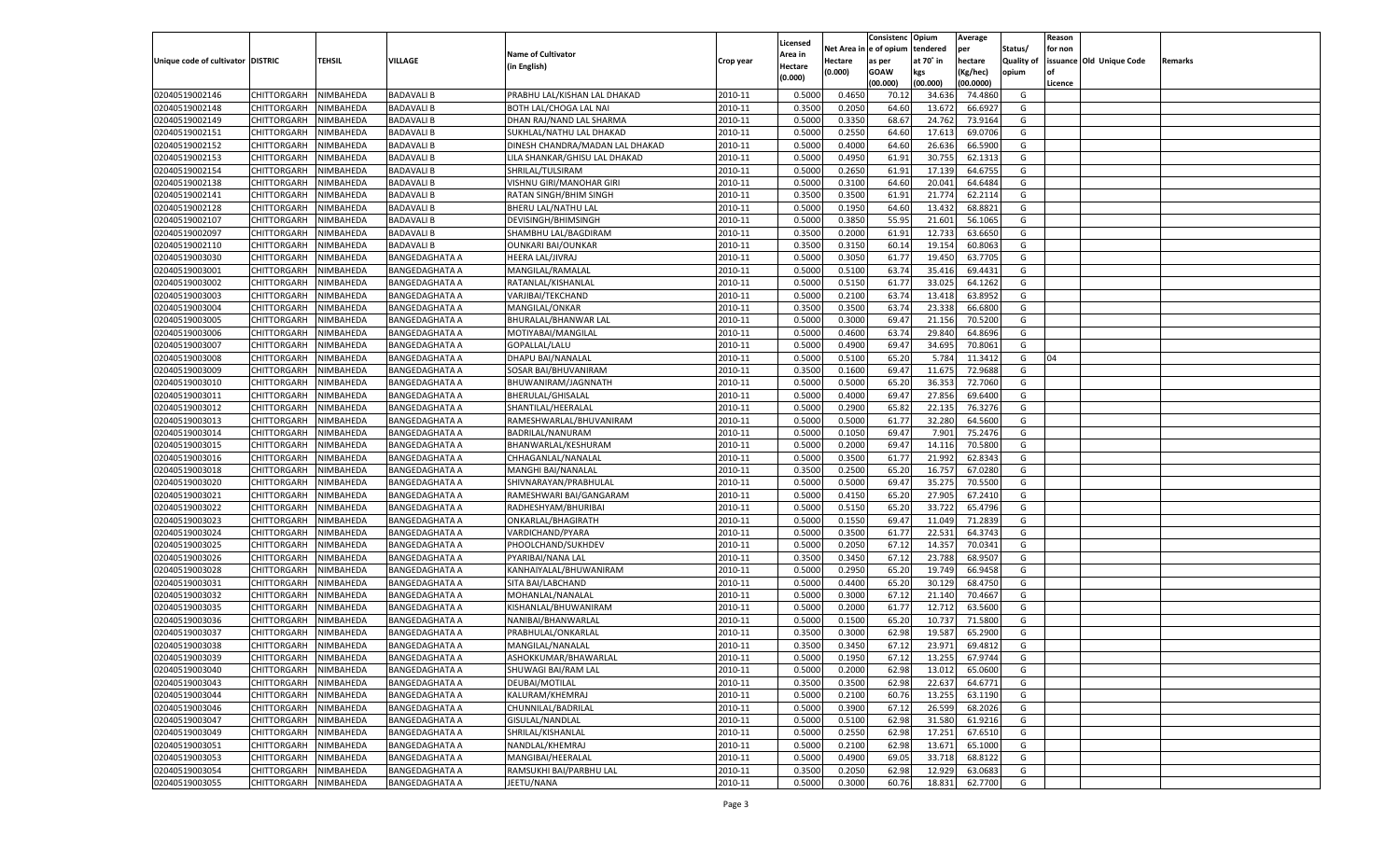|                                   |                       |                  |                       |                                 |           |          |          | Consistenc Opium |           | Average   |                   | Reason    |                          |         |
|-----------------------------------|-----------------------|------------------|-----------------------|---------------------------------|-----------|----------|----------|------------------|-----------|-----------|-------------------|-----------|--------------------------|---------|
|                                   |                       |                  |                       |                                 |           | Licensed | Net Area | e of opium       | tendered  | per       | Status/           | for non   |                          |         |
| Unique code of cultivator DISTRIC |                       | TEHSIL           | VILLAGE               | <b>Name of Cultivator</b>       | Crop year | Area in  | Hectare  | as per           | at 70˚ in | hectare   | <b>Quality of</b> |           | issuance Old Unique Code | Remarks |
|                                   |                       |                  |                       | (in English)                    |           | Hectare  | (0.000)  | <b>GOAW</b>      | kgs       | (Kg/hec)  | opium             | <b>of</b> |                          |         |
|                                   |                       |                  |                       |                                 |           | (0.000)  |          | (00.000)         | (00.000)  | (00.0000) |                   | Licence   |                          |         |
|                                   |                       |                  |                       |                                 |           |          |          |                  |           |           |                   |           |                          |         |
| 02040519002146                    | CHITTORGARH           | NIMBAHEDA        | <b>BADAVALI B</b>     | PRABHU LAL/KISHAN LAL DHAKAD    | 2010-11   | 0.5000   | 0.4650   | 70.1             | 34.63     | 74.4860   | G                 |           |                          |         |
| 02040519002148                    | CHITTORGARH           | NIMBAHEDA        | <b>BADAVALI B</b>     | BOTH LAL/CHOGA LAL NAI          | 2010-11   | 0.3500   | 0.2050   | 64.60            | 13.672    | 66.692    | G                 |           |                          |         |
| 02040519002149                    | <b>CHITTORGARH</b>    | NIMBAHEDA        | <b>BADAVALI B</b>     | DHAN RAJ/NAND LAL SHARMA        | 2010-11   | 0.5000   | 0.3350   | 68.67            | 24.762    | 73.9164   | G                 |           |                          |         |
| 02040519002151                    | CHITTORGARH           | NIMBAHEDA        | <b>BADAVALI B</b>     | SUKHLAL/NATHU LAL DHAKAD        | 2010-11   | 0.5000   | 0.2550   | 64.60            | 17.613    | 69.0706   | G                 |           |                          |         |
| 02040519002152                    | CHITTORGARH           | NIMBAHEDA        | <b>BADAVALI B</b>     | DINESH CHANDRA/MADAN LAL DHAKAD | 2010-11   | 0.5000   | 0.4000   | 64.60            | 26.636    | 66.5900   | G                 |           |                          |         |
| 02040519002153                    | CHITTORGARH           | NIMBAHEDA        | <b>BADAVALI B</b>     | LILA SHANKAR/GHISU LAL DHAKAD   | 2010-11   | 0.5000   | 0.4950   | 61.91            | 30.755    | 62.1313   | G                 |           |                          |         |
| 02040519002154                    | CHITTORGARH           | NIMBAHEDA        | <b>BADAVALI B</b>     | SHRILAL/TULSIRAM                | 2010-11   | 0.5000   | 0.2650   | 61.91            | 17.139    | 64.675    | G                 |           |                          |         |
| 02040519002138                    | CHITTORGARH           | NIMBAHEDA        | <b>BADAVALI B</b>     | VISHNU GIRI/MANOHAR GIRI        | 2010-11   | 0.5000   | 0.3100   | 64.60            | 20.041    | 64.6484   | G                 |           |                          |         |
| 02040519002141                    | CHITTORGARH           | NIMBAHEDA        | <b>BADAVALI B</b>     | RATAN SINGH/BHIM SINGH          | 2010-11   | 0.3500   | 0.3500   | 61.91            | 21.774    | 62.2114   | G                 |           |                          |         |
| 02040519002128                    | CHITTORGARH           | NIMBAHEDA        | <b>BADAVALI B</b>     | BHERU LAL/NATHU LAL             | 2010-11   | 0.5000   | 0.1950   | 64.60            | 13.43     | 68.8821   | G                 |           |                          |         |
| 02040519002107                    | CHITTORGARH           | NIMBAHEDA        | <b>BADAVALI B</b>     | DEVISINGH/BHIMSINGH             | 2010-11   | 0.5000   | 0.3850   | 55.95            | 21.601    | 56.1065   | G                 |           |                          |         |
| 02040519002097                    | CHITTORGARH           | NIMBAHEDA        | <b>BADAVALI B</b>     | SHAMBHU LAL/BAGDIRAM            | 2010-11   | 0.3500   | 0.2000   | 61.91            | 12.733    | 63.6650   | G                 |           |                          |         |
|                                   |                       |                  |                       |                                 |           |          |          |                  |           |           |                   |           |                          |         |
| 02040519002110                    | <b>CHITTORGARH</b>    | NIMBAHEDA        | <b>BADAVALI B</b>     | <b>OUNKARI BAI/OUNKAR</b>       | 2010-11   | 0.3500   | 0.3150   | 60.14            | 19.154    | 60.8063   | G                 |           |                          |         |
| 02040519003030                    | CHITTORGARH           | NIMBAHEDA        | <b>BANGEDAGHATA A</b> | HEERA LAL/JIVRAJ                | 2010-11   | 0.5000   | 0.3050   | 61.77            | 19.45     | 63.7705   | G                 |           |                          |         |
| 02040519003001                    | <b>CHITTORGARH</b>    | NIMBAHEDA        | <b>BANGEDAGHATA A</b> | MANGILAL/RAMALAL                | 2010-11   | 0.5000   | 0.5100   | 63.74            | 35.416    | 69.4431   | G                 |           |                          |         |
| 02040519003002                    | CHITTORGARH           | NIMBAHEDA        | <b>BANGEDAGHATA A</b> | RATANLAL/KISHANLAL              | 2010-11   | 0.5000   | 0.5150   | 61.77            | 33.025    | 64.1262   | G                 |           |                          |         |
| 02040519003003                    | <b>CHITTORGARH</b>    | NIMBAHEDA        | BANGEDAGHATA A        | VARJIBAI/TEKCHAND               | 2010-11   | 0.5000   | 0.2100   | 63.74            | 13.418    | 63.8952   | G                 |           |                          |         |
| 02040519003004                    | CHITTORGARH           | NIMBAHEDA        | BANGEDAGHATA A        | MANGILAL/ONKAR                  | 2010-11   | 0.3500   | 0.3500   | 63.74            | 23.338    | 66.6800   | G                 |           |                          |         |
| 02040519003005                    | <b>CHITTORGARH</b>    | NIMBAHEDA        | <b>BANGEDAGHATA A</b> | BHURALAL/BHANWAR LAL            | 2010-11   | 0.5000   | 0.3000   | 69.4             | 21.156    | 70.5200   | G                 |           |                          |         |
| 02040519003006                    | CHITTORGARH           | NIMBAHEDA        | <b>BANGEDAGHATA A</b> | MOTIYABAI/MANGILAL              | 2010-11   | 0.5000   | 0.4600   | 63.74            | 29.840    | 64.8696   | G                 |           |                          |         |
| 02040519003007                    | <b>CHITTORGARH</b>    | NIMBAHEDA        | <b>BANGEDAGHATA A</b> | GOPALLAL/LALU                   | 2010-11   | 0.5000   | 0.4900   | 69.4             | 34.695    | 70.8061   | G                 |           |                          |         |
| 02040519003008                    | CHITTORGARH           | NIMBAHEDA        | BANGEDAGHATA A        | DHAPU BAI/NANALAL               | 2010-11   | 0.5000   | 0.5100   | 65.20            | 5.784     | 11.3412   | G                 | 04        |                          |         |
| 02040519003009                    | <b>CHITTORGARH</b>    | NIMBAHEDA        | <b>BANGEDAGHATA A</b> | SOSAR BAI/BHUVANIRAM            | 2010-11   | 0.3500   | 0.1600   | 69.47            | 11.675    | 72.9688   | G                 |           |                          |         |
| 02040519003010                    | CHITTORGARH           | NIMBAHEDA        | <b>BANGEDAGHATA A</b> | BHUWANIRAM/JAGNNATH             | 2010-11   | 0.5000   | 0.5000   | 65.20            | 36.353    | 72.7060   | G                 |           |                          |         |
|                                   |                       |                  |                       |                                 |           |          |          |                  |           |           |                   |           |                          |         |
| 02040519003011                    | <b>CHITTORGARH</b>    | NIMBAHEDA        | <b>BANGEDAGHATA A</b> | <b>BHERULAL/GHISALAI</b>        | 2010-11   | 0.5000   | 0.4000   | 69.47            | 27.856    | 69.6400   | G                 |           |                          |         |
| 02040519003012                    | CHITTORGARH           | NIMBAHEDA        | BANGEDAGHATA A        | SHANTILAL/HEERALAL              | 2010-11   | 0.5000   | 0.2900   | 65.82            | 22.135    | 76.3276   | G                 |           |                          |         |
| 02040519003013                    | <b>CHITTORGARH</b>    | NIMBAHEDA        | <b>BANGEDAGHATA A</b> | RAMESHWARLAL/BHUVANIRAM         | 2010-11   | 0.5000   | 0.5000   | 61.77            | 32.280    | 64.5600   | G                 |           |                          |         |
| 02040519003014                    | CHITTORGARH           | NIMBAHEDA        | <b>BANGEDAGHATA A</b> | BADRILAL/NANURAM                | 2010-11   | 0.5000   | 0.1050   | 69.47            | 7.901     | 75.2476   | G                 |           |                          |         |
| 02040519003015                    | <b>CHITTORGARH</b>    | NIMBAHEDA        | <b>BANGEDAGHATA A</b> | BHANWARLAL/KESHURAM             | 2010-11   | 0.5000   | 0.2000   | 69.47            | 14.116    | 70.5800   | G                 |           |                          |         |
| 02040519003016                    | CHITTORGARH           | NIMBAHEDA        | BANGEDAGHATA A        | CHHAGANLAL/NANALAL              | 2010-11   | 0.5000   | 0.3500   | 61.77            | 21.992    | 62.834    | G                 |           |                          |         |
| 02040519003018                    | CHITTORGARH           | NIMBAHEDA        | <b>BANGEDAGHATA A</b> | MANGHI BAI/NANALAL              | 2010-11   | 0.3500   | 0.2500   | 65.20            | 16.757    | 67.0280   | G                 |           |                          |         |
| 02040519003020                    | CHITTORGARH           | NIMBAHEDA        | <b>BANGEDAGHATA A</b> | SHIVNARAYAN/PRABHULAL           | 2010-11   | 0.5000   | 0.5000   | 69.4             | 35.27     | 70.5500   | G                 |           |                          |         |
| 02040519003021                    | CHITTORGARH           | NIMBAHEDA        | <b>BANGEDAGHATA A</b> | RAMESHWARI BAI/GANGARAM         | 2010-11   | 0.5000   | 0.4150   | 65.20            | 27.905    | 67.2410   | G                 |           |                          |         |
| 02040519003022                    | CHITTORGARH           | NIMBAHEDA        | BANGEDAGHATA A        | RADHESHYAM/BHURIBAI             | 2010-11   | 0.5000   | 0.5150   | 65.20            | 33.722    | 65.4796   | G                 |           |                          |         |
| 02040519003023                    | CHITTORGARH           | NIMBAHEDA        | <b>BANGEDAGHATA A</b> | ONKARLAL/BHAGIRATH              | 2010-11   | 0.5000   | 0.1550   | 69.4             | 11.049    | 71.2839   | G                 |           |                          |         |
| 02040519003024                    | CHITTORGARH           | NIMBAHEDA        | <b>BANGEDAGHATA A</b> | VARDICHAND/PYARA                | 2010-11   | 0.5000   | 0.3500   | 61.77            | 22.531    | 64.3743   | G                 |           |                          |         |
| 02040519003025                    | CHITTORGARH           | NIMBAHEDA        | <b>BANGEDAGHATA A</b> | PHOOLCHAND/SUKHDEV              | 2010-11   | 0.5000   | 0.2050   | 67.12            | 14.357    | 70.0341   | G                 |           |                          |         |
| 02040519003026                    | CHITTORGARH           | NIMBAHEDA        | BANGEDAGHATA A        | PYARIBAI/NANA LAL               | 2010-11   | 0.3500   | 0.3450   | 67.12            | 23.788    | 68.950    | G                 |           |                          |         |
|                                   |                       |                  |                       |                                 |           |          |          |                  |           |           |                   |           |                          |         |
| 02040519003028                    | CHITTORGARH           | NIMBAHEDA        | <b>BANGEDAGHATA A</b> | KANHAIYALAL/BHUWANIRAM          | 2010-11   | 0.5000   | 0.2950   | 65.20            | 19.749    | 66.9458   | G                 |           |                          |         |
| 02040519003031                    | CHITTORGARH           | NIMBAHEDA        | <b>BANGEDAGHATA A</b> | SITA BAI/LABCHAND               | 2010-11   | 0.5000   | 0.4400   | 65.20            | 30.12     | 68.4750   | G                 |           |                          |         |
| 02040519003032                    | CHITTORGARH           | NIMBAHEDA        | <b>BANGEDAGHATA A</b> | MOHANLAL/NANALAL                | 2010-11   | 0.5000   | 0.3000   | 67.12            | 21.14     | 70.4667   | G                 |           |                          |         |
| 02040519003035                    | CHITTORGARH           | NIMBAHEDA        | BANGEDAGHATA A        | KISHANLAL/BHUWANIRAM            | 2010-11   | 0.5000   | 0.2000   | 61.77            | 12.71     | 63.5600   | G                 |           |                          |         |
| 02040519003036                    | CHITTORGARH           | NIMBAHEDA        | <b>BANGEDAGHATA A</b> | NANIBAI/BHANWARLAI              | 2010-11   | 0.5000   | 0.1500   | 65.20            | 10.73     | 71.5800   | G                 |           |                          |         |
| 02040519003037                    | CHITTORGARH           | NIMBAHEDA        | <b>BANGEDAGHATA A</b> | PRABHULAL/ONKARLAL              | 2010-11   | 0.3500   | 0.3000   | 62.98            | 19.58     | 65.2900   | G                 |           |                          |         |
| 02040519003038                    | CHITTORGARH           | NIMBAHEDA        | <b>BANGEDAGHATA A</b> | MANGILAL/NANALAL                | 2010-11   | 0.3500   | 0.3450   | 67.12            | 23.971    | 69.4812   | G                 |           |                          |         |
| 02040519003039                    | CHITTORGARH NIMBAHEDA |                  | <b>BANGEDAGHATA A</b> | ASHOKKUMAR/BHAWARLAL            | 2010-11   | 0.5000   | 0.1950   | 67.12            | 13.255    | 67.9744   | G                 |           |                          |         |
| 02040519003040                    | <b>CHITTORGARH</b>    | NIMBAHEDA        | <b>BANGEDAGHATA A</b> | SHUWAGI BAI/RAM LAL             | 2010-11   | 0.5000   | 0.2000   | 62.98            | 13.012    | 65.0600   | G                 |           |                          |         |
| 02040519003043                    | CHITTORGARH           | NIMBAHEDA        | <b>BANGEDAGHATA A</b> | DEUBAI/MOTILAL                  | 2010-11   | 0.3500   | 0.3500   | 62.98            | 22.637    | 64.6771   | G                 |           |                          |         |
| 02040519003044                    | <b>CHITTORGARH</b>    | NIMBAHEDA        | <b>BANGEDAGHATA A</b> | KALURAM/KHEMRAJ                 | 2010-11   | 0.5000   | 0.2100   | 60.76            | 13.255    | 63.1190   | G                 |           |                          |         |
| 02040519003046                    | <b>CHITTORGARH</b>    | NIMBAHEDA        | <b>BANGEDAGHATA A</b> | CHUNNILAL/BADRILAL              | 2010-11   | 0.5000   | 0.3900   | 67.12            | 26.599    | 68.2026   | G                 |           |                          |         |
| 02040519003047                    | <b>CHITTORGARH</b>    | NIMBAHEDA        | <b>BANGEDAGHATA A</b> | GISULAL/NANDLAL                 | 2010-11   | 0.5000   | 0.5100   | 62.98            | 31.580    | 61.9216   | G                 |           |                          |         |
| 02040519003049                    | <b>CHITTORGARH</b>    | NIMBAHEDA        | <b>BANGEDAGHATA A</b> | SHRILAL/KISHANLAL               | 2010-11   | 0.5000   | 0.2550   | 62.98            | 17.251    | 67.6510   | G                 |           |                          |         |
| 02040519003051                    | <b>CHITTORGARH</b>    | NIMBAHEDA        | <b>BANGEDAGHATA A</b> | NANDLAL/KHEMRAJ                 | 2010-11   | 0.5000   | 0.2100   | 62.98            | 13.671    | 65.1000   | G                 |           |                          |         |
|                                   |                       |                  |                       |                                 |           |          |          |                  |           |           |                   |           |                          |         |
| 02040519003053                    | <b>CHITTORGARH</b>    | NIMBAHEDA        | <b>BANGEDAGHATA A</b> | MANGIBAI/HEERALAL               | 2010-11   | 0.5000   | 0.4900   | 69.05            | 33.718    | 68.8122   | G                 |           |                          |         |
| 02040519003054                    | <b>CHITTORGARH</b>    | NIMBAHEDA        | <b>BANGEDAGHATA A</b> | RAMSUKHI BAI/PARBHU LAL         | 2010-11   | 0.3500   | 0.2050   | 62.98            | 12.929    | 63.0683   | G                 |           |                          |         |
| 02040519003055                    | <b>CHITTORGARH</b>    | <b>NIMBAHEDA</b> | <b>BANGEDAGHATA A</b> | JEETU/NANA                      | 2010-11   | 0.5000   | 0.3000   | 60.76            | 18.831    | 62.7700   | G                 |           |                          |         |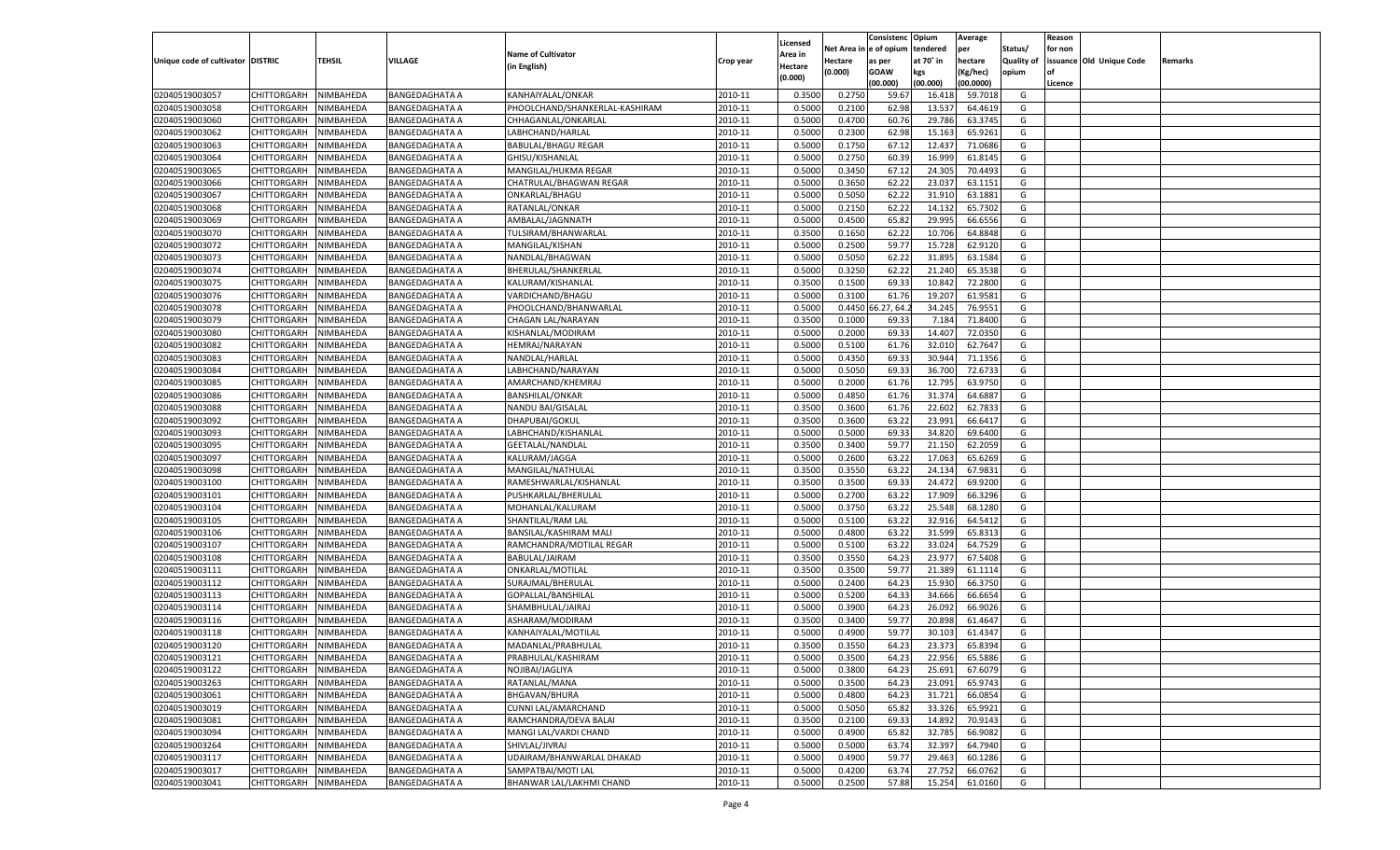|                                   |                       |               |                                                |                                |           |                           |                  | Consistenc  | Opium     | Average   |                   | Reason  |                          |         |
|-----------------------------------|-----------------------|---------------|------------------------------------------------|--------------------------------|-----------|---------------------------|------------------|-------------|-----------|-----------|-------------------|---------|--------------------------|---------|
|                                   |                       |               |                                                | <b>Name of Cultivator</b>      |           | Licensed                  | Net Area         | e of opium  | tendered  | per       | Status/           | for non |                          |         |
| Unique code of cultivator DISTRIC |                       | <b>TEHSIL</b> | VILLAGE                                        | (in English)                   | Crop year | <b>Area in</b><br>Hectare | Hectare          | as per      | at 70° in | hectare   | <b>Quality of</b> |         | issuance Old Unique Code | Remarks |
|                                   |                       |               |                                                |                                |           | (0.000)                   | (0.000)          | <b>GOAW</b> | kgs       | (Kg/hec)  | opium             |         |                          |         |
|                                   |                       |               |                                                |                                |           |                           |                  | (00.000)    | (00.000)  | (00.0000) |                   | Licence |                          |         |
| 02040519003057                    | CHITTORGARH           | NIMBAHEDA     | <b>BANGEDAGHATA A</b>                          | KANHAIYALAL/ONKAR              | 2010-11   | 0.3500                    | 0.2750           | 59.67       | 16.418    | 59.7018   | G                 |         |                          |         |
| 02040519003058                    | CHITTORGARH           | NIMBAHEDA     | BANGEDAGHATA A                                 | PHOOLCHAND/SHANKERLAL-KASHIRAM | 2010-11   | 0.5000                    | 0.2100           | 62.98       | 13.537    | 64.4619   | G                 |         |                          |         |
| 02040519003060                    | CHITTORGARH           | NIMBAHEDA     | <b>BANGEDAGHATA A</b>                          | CHHAGANLAL/ONKARLAL            | 2010-11   | 0.5000                    | 0.4700           | 60.76       | 29.786    | 63.3745   | G                 |         |                          |         |
| 02040519003062                    | CHITTORGARH           | NIMBAHEDA     | <b>BANGEDAGHATA A</b>                          | LABHCHAND/HARLAL               | 2010-11   | 0.5000                    | 0.2300           | 62.98       | 15.163    | 65.9261   | G                 |         |                          |         |
| 02040519003063                    | CHITTORGARH           | NIMBAHEDA     | <b>BANGEDAGHATA A</b>                          | <b>BABULAL/BHAGU REGAR</b>     | 2010-11   | 0.5000                    | 0.1750           | 67.12       | 12.437    | 71.0686   | G                 |         |                          |         |
| 02040519003064                    | CHITTORGARH           | NIMBAHEDA     | BANGEDAGHATA A                                 | GHISU/KISHANLAL                | 2010-11   | 0.5000                    | 0.2750           | 60.39       | 16.999    | 61.8145   | G                 |         |                          |         |
| 02040519003065                    | CHITTORGARH           | NIMBAHEDA     | <b>BANGEDAGHATA A</b>                          | MANGILAL/HUKMA REGAR           | 2010-11   | 0.5000                    | 0.3450           | 67.12       | 24.305    | 70.4493   | G                 |         |                          |         |
| 02040519003066                    | CHITTORGARH           | NIMBAHEDA     | <b>BANGEDAGHATA A</b>                          | CHATRULAL/BHAGWAN REGAR        | 2010-11   | 0.5000                    | 0.3650           | 62.2        | 23.037    | 63.1151   | G                 |         |                          |         |
| 02040519003067                    | CHITTORGARH           | NIMBAHEDA     | <b>BANGEDAGHATA A</b>                          | ONKARLAL/BHAGU                 | 2010-11   | 0.5000                    | 0.5050           | 62.2        | 31.910    | 63.1881   | G                 |         |                          |         |
| 02040519003068                    | CHITTORGARH           | NIMBAHEDA     | BANGEDAGHATA A                                 | RATANLAL/ONKAR                 | 2010-11   | 0.5000                    | 0.2150           | 62.2        | 14.13     | 65.7302   | G                 |         |                          |         |
| 02040519003069                    | CHITTORGARH           | NIMBAHEDA     | <b>BANGEDAGHATA A</b>                          | AMBALAL/JAGNNATH               | 2010-11   | 0.5000                    | 0.4500           | 65.82       | 29.995    | 66.6556   | G                 |         |                          |         |
| 02040519003070                    | CHITTORGARH           | NIMBAHEDA     | <b>BANGEDAGHATA A</b>                          | TULSIRAM/BHANWARLAL            | 2010-11   | 0.3500                    | 0.1650           | 62.2        | 10.706    | 64.8848   | G                 |         |                          |         |
| 02040519003072                    | CHITTORGARH           | NIMBAHEDA     | <b>BANGEDAGHATA A</b>                          | MANGILAL/KISHAN                | 2010-11   | 0.5000                    | 0.2500           | 59.77       | 15.728    | 62.9120   | G                 |         |                          |         |
| 02040519003073                    | CHITTORGARH           | NIMBAHEDA     | <b>BANGEDAGHATA A</b>                          | NANDLAL/BHAGWAN                | 2010-11   | 0.5000                    | 0.5050           | 62.22       | 31.895    | 63.1584   | G                 |         |                          |         |
| 02040519003074                    | CHITTORGARH           | NIMBAHEDA     | <b>BANGEDAGHATA A</b>                          | BHERULAL/SHANKERLAL            | 2010-11   | 0.5000                    | 0.3250           | 62.22       | 21.240    | 65.3538   | G                 |         |                          |         |
| 02040519003075                    | CHITTORGARH           | NIMBAHEDA     | <b>BANGEDAGHATA A</b>                          | KALURAM/KISHANLAL              | 2010-11   | 0.3500                    | 0.1500           | 69.33       | 10.842    | 72.2800   | G                 |         |                          |         |
| 02040519003076                    | CHITTORGARH           | NIMBAHEDA     | <b>BANGEDAGHATA A</b>                          | VARDICHAND/BHAGU               | 2010-11   | 0.5000                    | 0.3100           | 61.76       | 19.207    | 61.9581   | G                 |         |                          |         |
| 02040519003078                    | CHITTORGARH           | NIMBAHEDA     | <b>BANGEDAGHATA A</b>                          | PHOOLCHAND/BHANWARLAL          | 2010-11   | 0.5000                    | 0.4450           | 6.27, 64    | 34.245    | 76.9551   | G                 |         |                          |         |
| 02040519003079                    | CHITTORGARH           | NIMBAHEDA     | <b>BANGEDAGHATA A</b>                          | CHAGAN LAL/NARAYAN             | 2010-11   | 0.3500                    | 0.1000           | 69.33       | 7.184     | 71.8400   | G                 |         |                          |         |
| 02040519003080                    | CHITTORGARH           | NIMBAHEDA     | <b>BANGEDAGHATA A</b>                          | KISHANLAL/MODIRAM              | 2010-11   | 0.5000                    | 0.2000           | 69.33       | 14.407    | 72.0350   | G                 |         |                          |         |
| 02040519003082                    | CHITTORGARH           | NIMBAHEDA     | <b>BANGEDAGHATA A</b>                          | HEMRAJ/NARAYAN                 | 2010-11   | 0.5000                    | 0.5100           | 61.76       | 32.010    | 62.7647   | G                 |         |                          |         |
| 02040519003083                    | CHITTORGARH           | NIMBAHEDA     | <b>BANGEDAGHATA A</b>                          | NANDLAL/HARLAL                 | 2010-11   | 0.5000                    | 0.4350           | 69.33       | 30.944    | 71.1356   | G                 |         |                          |         |
| 02040519003084                    | CHITTORGARH           | NIMBAHEDA     | <b>BANGEDAGHATA A</b>                          | LABHCHAND/NARAYAN              | 2010-11   | 0.5000                    | 0.5050           | 69.33       | 36.700    | 72.6733   | G                 |         |                          |         |
| 02040519003085                    | CHITTORGARH           | NIMBAHEDA     | <b>BANGEDAGHATA A</b>                          | AMARCHAND/KHEMRAJ              | 2010-11   | 0.5000                    | 0.2000           | 61.76       | 12.795    | 63.9750   | G                 |         |                          |         |
| 02040519003086                    | CHITTORGARH           | NIMBAHEDA     | <b>BANGEDAGHATA A</b>                          | <b>BANSHILAL/ONKAR</b>         | 2010-11   | 0.5000                    | 0.4850           | 61.76       | 31.374    | 64.688    | G                 |         |                          |         |
| 02040519003088                    |                       |               |                                                | <b>NANDU BAI/GISALAL</b>       | 2010-11   |                           |                  | 61.76       | 22.602    | 62.7833   | G                 |         |                          |         |
| 02040519003092                    | CHITTORGARH           | NIMBAHEDA     | <b>BANGEDAGHATA A</b><br><b>BANGEDAGHATA A</b> | DHAPUBAI/GOKUL                 | 2010-11   | 0.3500<br>0.3500          | 0.3600<br>0.3600 | 63.22       | 23.991    | 66.6417   | G                 |         |                          |         |
|                                   | CHITTORGARH           | NIMBAHEDA     |                                                | LABHCHAND/KISHANLAL            | 2010-11   | 0.5000                    |                  | 69.33       |           | 69.6400   |                   |         |                          |         |
| 02040519003093                    | CHITTORGARH           | NIMBAHEDA     | <b>BANGEDAGHATA A</b>                          |                                | 2010-11   |                           | 0.5000           |             | 34.820    | 62.2059   | G<br>G            |         |                          |         |
| 02040519003095                    | CHITTORGARH           | NIMBAHEDA     | <b>BANGEDAGHATA A</b>                          | <b>GEETALAL/NANDLAI</b>        |           | 0.3500                    | 0.3400           | 59.77       | 21.150    |           |                   |         |                          |         |
| 02040519003097                    | CHITTORGARH           | NIMBAHEDA     | <b>BANGEDAGHATA A</b>                          | KALURAM/JAGGA                  | 2010-11   | 0.5000                    | 0.2600           | 63.22       | 17.063    | 65.6269   | G                 |         |                          |         |
| 02040519003098                    | CHITTORGARH           | NIMBAHEDA     | <b>BANGEDAGHATA A</b>                          | MANGILAL/NATHULAL              | 2010-11   | 0.3500                    | 0.3550           | 63.22       | 24.134    | 67.9831   | G                 |         |                          |         |
| 02040519003100                    | CHITTORGARH           | NIMBAHEDA     | <b>BANGEDAGHATA A</b>                          | RAMESHWARLAL/KISHANLAL         | 2010-11   | 0.3500                    | 0.3500           | 69.33       | 24.472    | 69.9200   | G                 |         |                          |         |
| 02040519003101                    | <b>CHITTORGARH</b>    | NIMBAHEDA     | <b>BANGEDAGHATA A</b>                          | PUSHKARLAL/BHERULAL            | 2010-11   | 0.5000                    | 0.2700           | 63.22       | 17.909    | 66.3296   | G                 |         |                          |         |
| 02040519003104                    | CHITTORGARH           | NIMBAHEDA     | <b>BANGEDAGHATA A</b>                          | MOHANLAL/KALURAM               | 2010-11   | 0.5000                    | 0.3750           | 63.22       | 25.54     | 68.1280   | G                 |         |                          |         |
| 02040519003105                    | <b>CHITTORGARH</b>    | NIMBAHEDA     | <b>BANGEDAGHATA A</b>                          | SHANTILAL/RAM LAL              | 2010-11   | 0.5000                    | 0.5100           | 63.22       | 32.916    | 64.5412   | G                 |         |                          |         |
| 02040519003106                    | CHITTORGARH           | NIMBAHEDA     | BANGEDAGHATA A                                 | BANSILAL/KASHIRAM MALI         | 2010-11   | 0.5000                    | 0.4800           | 63.22       | 31.599    | 65.8313   | G                 |         |                          |         |
| 02040519003107                    | CHITTORGARH           | NIMBAHEDA     | <b>BANGEDAGHATA A</b>                          | RAMCHANDRA/MOTILAL REGAR       | 2010-11   | 0.5000                    | 0.5100           | 63.22       | 33.024    | 64.7529   | G                 |         |                          |         |
| 02040519003108                    | CHITTORGARH           | NIMBAHEDA     | <b>BANGEDAGHATA A</b>                          | BABULAL/JAIRAM                 | 2010-11   | 0.3500                    | 0.3550           | 64.23       | 23.97     | 67.5408   | G                 |         |                          |         |
| 02040519003111                    | <b>CHITTORGARH</b>    | NIMBAHEDA     | <b>BANGEDAGHATA A</b>                          | ONKARLAL/MOTILAL               | 2010-11   | 0.3500                    | 0.3500           | 59.77       | 21.389    | 61.1114   | G                 |         |                          |         |
| 02040519003112                    | CHITTORGARH           | NIMBAHEDA     | <b>BANGEDAGHATA A</b>                          | SURAJMAL/BHERULAL              | 2010-11   | 0.5000                    | 0.2400           | 64.23       | 15.93     | 66.3750   | G                 |         |                          |         |
| 02040519003113                    | CHITTORGARH           | NIMBAHEDA     | <b>BANGEDAGHATA A</b>                          | GOPALLAL/BANSHILAL             | 2010-11   | 0.5000                    | 0.5200           | 64.33       | 34.666    | 66.6654   | G                 |         |                          |         |
| 02040519003114                    | CHITTORGARH           | NIMBAHEDA     | <b>BANGEDAGHATA A</b>                          | SHAMBHULAL/JAIRAJ              | 2010-11   | 0.5000                    | 0.3900           | 64.23       | 26.09     | 66.9026   | G                 |         |                          |         |
| 02040519003116                    | CHITTORGARH           | NIMBAHEDA     | <b>BANGEDAGHATA A</b>                          | ASHARAM/MODIRAM                | 2010-11   | 0.3500                    | 0.3400           | 59.77       | 20.89     | 61.4647   | G                 |         |                          |         |
| 02040519003118                    | CHITTORGARH           | NIMBAHEDA     | BANGEDAGHATA A                                 | KANHAIYALAL/MOTILAL            | 2010-11   | 0.5000                    | 0.4900           | 59.7        | 30.103    | 61.434    | G                 |         |                          |         |
| 02040519003120                    | CHITTORGARH           | NIMBAHEDA     | <b>BANGEDAGHATA A</b>                          | MADANLAL/PRABHULAL             | 2010-11   | 0.3500                    | 0.3550           | 64.23       | 23.373    | 65.8394   | G                 |         |                          |         |
| 02040519003121                    | CHITTORGARH NIMBAHEDA |               | <b>BANGEDAGHATA A</b>                          | PRABHULAL/KASHIRAM             | 2010-11   | 0.5000                    | 0.3500           | 64.23       | 22.956    | 65.5886   | G                 |         |                          |         |
| 02040519003122                    | <b>CHITTORGARH</b>    | NIMBAHEDA     | <b>BANGEDAGHATA A</b>                          | NOJIBAI/JAGLIYA                | 2010-11   | 0.5000                    | 0.3800           | 64.23       | 25.691    | 67.6079   | G                 |         |                          |         |
| 02040519003263                    | CHITTORGARH           | NIMBAHEDA     | <b>BANGEDAGHATA A</b>                          | RATANLAL/MANA                  | 2010-11   | 0.5000                    | 0.3500           | 64.23       | 23.091    | 65.9743   | G                 |         |                          |         |
| 02040519003061                    | <b>CHITTORGARH</b>    | NIMBAHEDA     | <b>BANGEDAGHATA A</b>                          | <b>BHGAVAN/BHURA</b>           | 2010-11   | 0.5000                    | 0.4800           | 64.23       | 31.721    | 66.0854   | G                 |         |                          |         |
| 02040519003019                    | <b>CHITTORGARH</b>    | NIMBAHEDA     | <b>BANGEDAGHATA A</b>                          | CUNNI LAL/AMARCHAND            | 2010-11   | 0.5000                    | 0.5050           | 65.82       | 33.326    | 65.9921   | G                 |         |                          |         |
| 02040519003081                    | <b>CHITTORGARH</b>    | NIMBAHEDA     | <b>BANGEDAGHATA A</b>                          | RAMCHANDRA/DEVA BALAI          | 2010-11   | 0.3500                    | 0.2100           | 69.33       | 14.892    | 70.9143   | G                 |         |                          |         |
| 02040519003094                    | <b>CHITTORGARH</b>    | NIMBAHEDA     | <b>BANGEDAGHATA A</b>                          | MANGI LAL/VARDI CHAND          | 2010-11   | 0.5000                    | 0.4900           | 65.82       | 32.785    | 66.9082   | G                 |         |                          |         |
| 02040519003264                    | <b>CHITTORGARH</b>    | NIMBAHEDA     | <b>BANGEDAGHATA A</b>                          | SHIVLAL/JIVRAJ                 | 2010-11   | 0.5000                    | 0.5000           | 63.74       | 32.397    | 64.7940   | G                 |         |                          |         |
| 02040519003117                    | <b>CHITTORGARH</b>    | NIMBAHEDA     | <b>BANGEDAGHATA A</b>                          | UDAIRAM/BHANWARLAL DHAKAD      | 2010-11   | 0.5000                    | 0.4900           | 59.77       | 29.463    | 60.1286   | G                 |         |                          |         |
| 02040519003017                    | <b>CHITTORGARH</b>    | NIMBAHEDA     | <b>BANGEDAGHATA A</b>                          | SAMPATBAI/MOTI LAL             | 2010-11   | 0.5000                    | 0.4200           | 63.74       | 27.752    | 66.0762   | G                 |         |                          |         |
| 02040519003041                    | <b>CHITTORGARH</b>    | NIMBAHEDA     | <b>BANGEDAGHATA A</b>                          | BHANWAR LAL/LAKHMI CHAND       | 2010-11   | 0.5000                    | 0.2500           | 57.88       | 15.254    | 61.0160   | G                 |         |                          |         |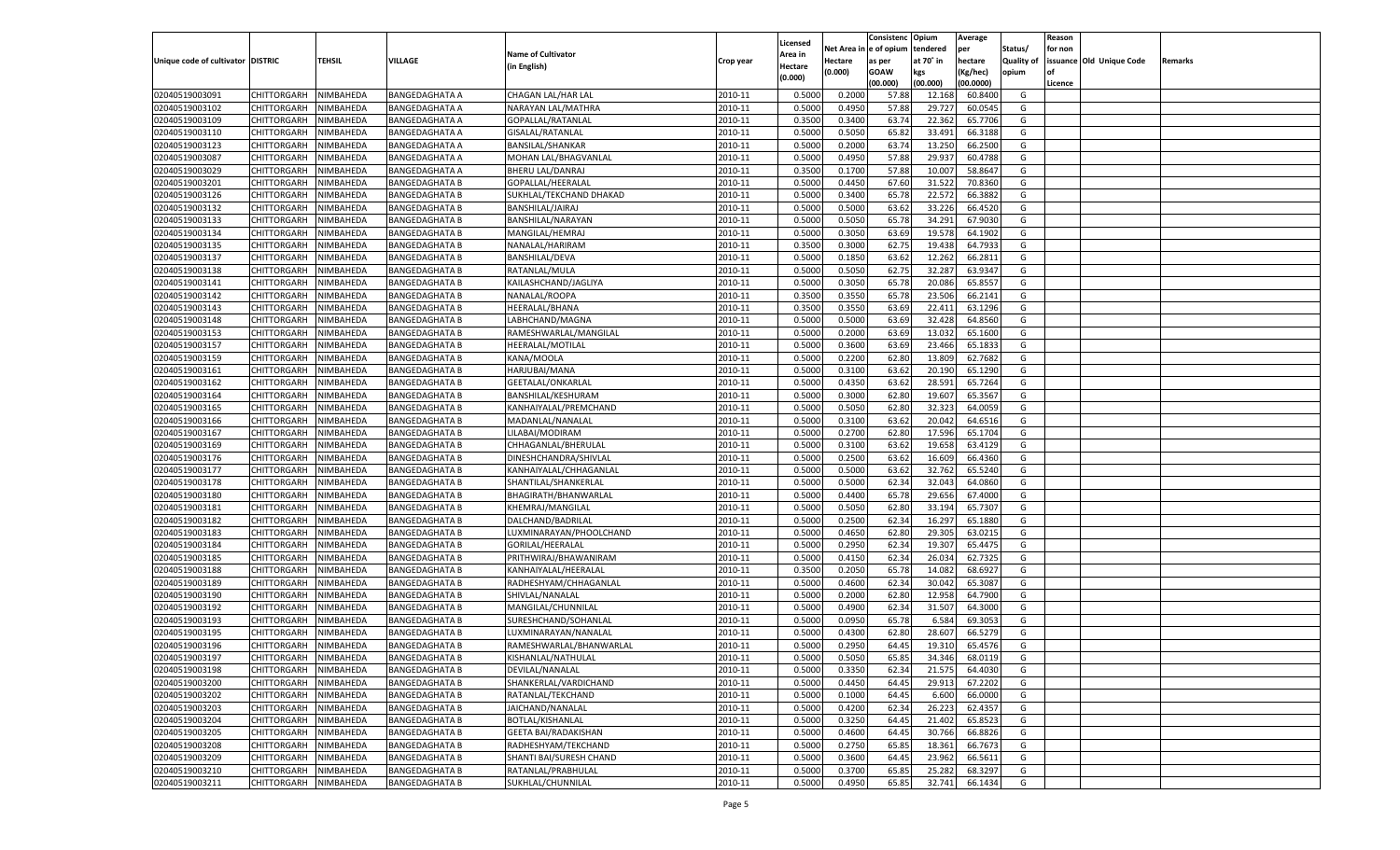|                                   |                         |           |                       |                             |           |          |          | Consistenc Opium |           | Average   |                   | Reason    |                          |         |
|-----------------------------------|-------------------------|-----------|-----------------------|-----------------------------|-----------|----------|----------|------------------|-----------|-----------|-------------------|-----------|--------------------------|---------|
|                                   |                         |           |                       |                             |           | Licensed | Net Area | e of opium       | tendered  | per       | Status/           | for non   |                          |         |
| Unique code of cultivator DISTRIC |                         | TEHSIL    | VILLAGE               | <b>Name of Cultivator</b>   | Crop year | Area in  | Hectare  | as per           | at 70˚ in | hectare   | <b>Quality of</b> |           | issuance Old Unique Code | Remarks |
|                                   |                         |           |                       | (in English)                |           | Hectare  | (0.000)  | <b>GOAW</b>      | kgs       | (Kg/hec)  | opium             | <b>of</b> |                          |         |
|                                   |                         |           |                       |                             |           | (0.000)  |          | (00.000)         | (00.000)  | (00.0000) |                   | Licence   |                          |         |
| 02040519003091                    | CHITTORGARH             | NIMBAHEDA | <b>BANGEDAGHATA A</b> | CHAGAN LAL/HAR LAL          | 2010-11   | 0.5000   | 0.2000   | 57.88            | 12.168    | 60.8400   | G                 |           |                          |         |
| 02040519003102                    | CHITTORGARH             | NIMBAHEDA | BANGEDAGHATA A        | NARAYAN LAL/MATHRA          | 2010-11   | 0.5000   | 0.4950   | 57.88            | 29.727    | 60.0545   | G                 |           |                          |         |
| 02040519003109                    | <b>CHITTORGARH</b>      | NIMBAHEDA | <b>BANGEDAGHATA A</b> | GOPALLAL/RATANLAI           | 2010-11   | 0.3500   | 0.3400   | 63.74            | 22.362    | 65.7706   | G                 |           |                          |         |
| 02040519003110                    | CHITTORGARH             | NIMBAHEDA | <b>BANGEDAGHATA A</b> | GISALAL/RATANLAL            | 2010-11   | 0.5000   | 0.5050   | 65.82            | 33.491    | 66.3188   | G                 |           |                          |         |
| 02040519003123                    | CHITTORGARH             | NIMBAHEDA | <b>BANGEDAGHATA A</b> | BANSILAL/SHANKAR            | 2010-11   | 0.5000   | 0.2000   | 63.74            | 13.250    | 66.2500   | G                 |           |                          |         |
| 02040519003087                    | CHITTORGARH             | NIMBAHEDA | BANGEDAGHATA A        | MOHAN LAL/BHAGVANLAL        | 2010-11   | 0.5000   | 0.4950   | 57.88            | 29.93     | 60.4788   | G                 |           |                          |         |
| 02040519003029                    | CHITTORGARH             | NIMBAHEDA | <b>BANGEDAGHATA A</b> | BHERU LAL/DANRAJ            | 2010-11   | 0.3500   | 0.1700   | 57.88            | 10.007    | 58.864    | G                 |           |                          |         |
| 02040519003201                    | CHITTORGARH             | NIMBAHEDA | <b>BANGEDAGHATA B</b> | GOPALLAL/HEERALAI           | 2010-11   | 0.5000   | 0.4450   | 67.60            | 31.522    | 70.8360   | G                 |           |                          |         |
| 02040519003126                    | CHITTORGARH             | NIMBAHEDA | <b>BANGEDAGHATA B</b> | SUKHLAL/TEKCHAND DHAKAD     | 2010-11   | 0.5000   | 0.3400   | 65.78            | 22.572    | 66.388    | G                 |           |                          |         |
| 02040519003132                    | CHITTORGARH             | NIMBAHEDA | <b>BANGEDAGHATA B</b> | BANSHILAL/JAIRAJ            | 2010-11   | 0.5000   | 0.5000   | 63.62            | 33.226    | 66.4520   | G                 |           |                          |         |
| 02040519003133                    | CHITTORGARH             | NIMBAHEDA | <b>BANGEDAGHATA B</b> | BANSHILAL/NARAYAN           | 2010-11   | 0.5000   | 0.5050   | 65.78            | 34.291    | 67.9030   | G                 |           |                          |         |
| 02040519003134                    | CHITTORGARH             | NIMBAHEDA | <b>BANGEDAGHATA B</b> | MANGILAL/HEMRAJ             | 2010-11   | 0.5000   | 0.3050   | 63.69            | 19.578    | 64.1902   | G                 |           |                          |         |
| 02040519003135                    | CHITTORGARH             | NIMBAHEDA | <b>BANGEDAGHATA B</b> | NANALAL/HARIRAM             | 2010-11   | 0.3500   | 0.3000   | 62.75            | 19.438    | 64.7933   | G                 |           |                          |         |
| 02040519003137                    | CHITTORGARH             | NIMBAHEDA | <b>BANGEDAGHATA B</b> | <b>BANSHILAL/DEVA</b>       | 2010-11   | 0.5000   | 0.1850   | 63.62            | 12.262    | 66.2811   | G                 |           |                          |         |
| 02040519003138                    | <b>CHITTORGARH</b>      | NIMBAHEDA | <b>BANGEDAGHATA B</b> | RATANLAL/MULA               | 2010-11   | 0.5000   | 0.5050   | 62.75            | 32.287    | 63.9347   | G                 |           |                          |         |
| 02040519003141                    |                         | NIMBAHEDA | <b>BANGEDAGHATA B</b> | KAILASHCHAND/JAGLIYA        | 2010-11   | 0.5000   | 0.3050   | 65.78            | 20.086    | 65.8557   | G                 |           |                          |         |
|                                   | CHITTORGARH             |           |                       |                             |           |          |          |                  |           |           |                   |           |                          |         |
| 02040519003142                    | <b>CHITTORGARH</b>      | NIMBAHEDA | <b>BANGEDAGHATA B</b> | NANALAL/ROOPA               | 2010-11   | 0.3500   | 0.3550   | 65.78            | 23.506    | 66.2141   | G                 |           |                          |         |
| 02040519003143                    | CHITTORGARH             | NIMBAHEDA | <b>BANGEDAGHATA B</b> | HEERALAL/BHANA              | 2010-11   | 0.3500   | 0.3550   | 63.69            | 22.411    | 63.1296   | G                 |           |                          |         |
| 02040519003148                    | <b>CHITTORGARH</b>      | NIMBAHEDA | <b>BANGEDAGHATA B</b> | LABHCHAND/MAGNA             | 2010-11   | 0.5000   | 0.5000   | 63.69            | 32.428    | 64.8560   | G                 |           |                          |         |
| 02040519003153                    | CHITTORGARH             | NIMBAHEDA | <b>BANGEDAGHATA B</b> | RAMESHWARLAL/MANGILAL       | 2010-11   | 0.5000   | 0.2000   | 63.69            | 13.032    | 65.1600   | G                 |           |                          |         |
| 02040519003157                    | <b>CHITTORGARH</b>      | NIMBAHEDA | <b>BANGEDAGHATA B</b> | HEERALAL/MOTILAL            | 2010-11   | 0.5000   | 0.3600   | 63.69            | 23.466    | 65.1833   | G                 |           |                          |         |
| 02040519003159                    | CHITTORGARH             | NIMBAHEDA | <b>BANGEDAGHATA B</b> | KANA/MOOLA                  | 2010-11   | 0.5000   | 0.2200   | 62.80            | 13.809    | 62.7682   | G                 |           |                          |         |
| 02040519003161                    | <b>CHITTORGARH</b>      | NIMBAHEDA | <b>BANGEDAGHATA B</b> | HARJUBAI/MANA               | 2010-11   | 0.5000   | 0.3100   | 63.62            | 20.190    | 65.1290   | G                 |           |                          |         |
| 02040519003162                    | CHITTORGARH             | NIMBAHEDA | <b>BANGEDAGHATA B</b> | <b>GEETALAL/ONKARLAL</b>    | 2010-11   | 0.5000   | 0.4350   | 63.62            | 28.591    | 65.7264   | G                 |           |                          |         |
| 02040519003164                    | <b>CHITTORGARH</b>      | NIMBAHEDA | <b>BANGEDAGHATA B</b> | BANSHILAL/KESHURAM          | 2010-11   | 0.5000   | 0.3000   | 62.80            | 19.607    | 65.3567   | G                 |           |                          |         |
| 02040519003165                    | CHITTORGARH             | NIMBAHEDA | <b>BANGEDAGHATA B</b> | KANHAIYALAL/PREMCHAND       | 2010-11   | 0.5000   | 0.5050   | 62.80            | 32.323    | 64.0059   | G                 |           |                          |         |
| 02040519003166                    | <b>CHITTORGARH</b>      | NIMBAHEDA | <b>BANGEDAGHATA B</b> | MADANLAL/NANALAL            | 2010-11   | 0.5000   | 0.3100   | 63.62            | 20.042    | 64.6516   | G                 |           |                          |         |
| 02040519003167                    | CHITTORGARH             | NIMBAHEDA | <b>BANGEDAGHATA B</b> | LILABAI/MODIRAM             | 2010-11   | 0.5000   | 0.2700   | 62.80            | 17.596    | 65.1704   | G                 |           |                          |         |
| 02040519003169                    | <b>CHITTORGARH</b>      | NIMBAHEDA | <b>BANGEDAGHATA B</b> | CHHAGANLAL/BHERULAL         | 2010-11   | 0.5000   | 0.3100   | 63.62            | 19.658    | 63.4129   | G                 |           |                          |         |
| 02040519003176                    | CHITTORGARH             | NIMBAHEDA | <b>BANGEDAGHATA B</b> | DINESHCHANDRA/SHIVLAL       | 2010-11   | 0.5000   | 0.2500   | 63.62            | 16.609    | 66.4360   | G                 |           |                          |         |
| 02040519003177                    | CHITTORGARH             | NIMBAHEDA | <b>BANGEDAGHATA B</b> | KANHAIYALAL/CHHAGANLAL      | 2010-11   | 0.5000   | 0.5000   | 63.62            | 32.762    | 65.5240   | G                 |           |                          |         |
| 02040519003178                    | CHITTORGARH             | NIMBAHEDA | <b>BANGEDAGHATA B</b> | SHANTILAL/SHANKERLAL        | 2010-11   | 0.5000   | 0.5000   | 62.34            | 32.04     | 64.0860   | G                 |           |                          |         |
| 02040519003180                    | CHITTORGARH             | NIMBAHEDA | <b>BANGEDAGHATA B</b> | BHAGIRATH/BHANWARLAL        | 2010-11   | 0.5000   | 0.4400   | 65.78            | 29.656    | 67.4000   | G                 |           |                          |         |
| 02040519003181                    | CHITTORGARH             | NIMBAHEDA | <b>BANGEDAGHATA B</b> | KHEMRAJ/MANGILAL            | 2010-11   | 0.5000   | 0.5050   | 62.80            | 33.19     | 65.730    | G                 |           |                          |         |
| 02040519003182                    | CHITTORGARH             | NIMBAHEDA | <b>BANGEDAGHATA B</b> | DALCHAND/BADRILAL           | 2010-11   | 0.5000   | 0.2500   | 62.34            | 16.297    | 65.1880   | G                 |           |                          |         |
| 02040519003183                    | CHITTORGARH             | NIMBAHEDA | <b>BANGEDAGHATA B</b> | LUXMINARAYAN/PHOOLCHAND     | 2010-11   | 0.5000   | 0.4650   | 62.80            | 29.305    | 63.0215   | G                 |           |                          |         |
| 02040519003184                    | CHITTORGARH             | NIMBAHEDA | <b>BANGEDAGHATA B</b> | GORILAL/HEERALAL            | 2010-11   | 0.5000   | 0.2950   | 62.34            | 19.307    | 65.447    | G                 |           |                          |         |
| 02040519003185                    | CHITTORGARH             | NIMBAHEDA | <b>BANGEDAGHATA B</b> | PRITHWIRAJ/BHAWANIRAM       | 2010-11   | 0.5000   | 0.4150   | 62.34            | 26.034    | 62.732    | G                 |           |                          |         |
| 02040519003188                    | CHITTORGARH             | NIMBAHEDA | <b>BANGEDAGHATA B</b> | KANHAIYALAL/HEERALAL        | 2010-11   | 0.3500   | 0.2050   | 65.78            | 14.082    | 68.6927   | G                 |           |                          |         |
| 02040519003189                    | CHITTORGARH             | NIMBAHEDA | <b>BANGEDAGHATA B</b> | RADHESHYAM/CHHAGANLAI       | 2010-11   | 0.5000   | 0.4600   | 62.34            | 30.04     | 65.3087   | G                 |           |                          |         |
| 02040519003190                    | CHITTORGARH             | NIMBAHEDA | <b>BANGEDAGHATA B</b> | SHIVLAL/NANALAL             | 2010-11   | 0.5000   | 0.2000   | 62.80            | 12.958    | 64.7900   | G                 |           |                          |         |
| 02040519003192                    | CHITTORGARH             | NIMBAHEDA | <b>BANGEDAGHATA B</b> | MANGILAL/CHUNNILAL          | 2010-11   | 0.5000   | 0.4900   | 62.34            | 31.507    | 64.3000   | G                 |           |                          |         |
|                                   | CHITTORGARH             |           |                       | SURESHCHAND/SOHANLAL        |           |          |          |                  |           |           | G                 |           |                          |         |
| 02040519003193                    |                         | NIMBAHEDA | <b>BANGEDAGHATA B</b> |                             | 2010-11   | 0.5000   | 0.0950   | 65.78            | 6.584     | 69.305    |                   |           |                          |         |
| 02040519003195                    | CHITTORGARH             | NIMBAHEDA | <b>BANGEDAGHATA B</b> | LUXMINARAYAN/NANALAL        | 2010-11   | 0.5000   | 0.4300   | 62.80            | 28.60     | 66.5279   | G                 |           |                          |         |
| 02040519003196                    | CHITTORGARH             | NIMBAHEDA | <b>BANGEDAGHATA B</b> | RAMESHWARLAL/BHANWARLAL     | 2010-11   | 0.5000   | 0.2950   | 64.45            | 19.310    | 65.4576   | G                 |           |                          |         |
| 02040519003197                    | CHITTORGARH   NIMBAHEDA |           | <b>BANGEDAGHATA B</b> | KISHANLAL/NATHULAL          | 2010-11   | 0.5000   | 0.5050   | 65.85            | 34.346    | 68.0119   | G                 |           |                          |         |
| 02040519003198                    | <b>CHITTORGARH</b>      | NIMBAHEDA | <b>BANGEDAGHATA B</b> | DEVILAL/NANALAL             | 2010-11   | 0.5000   | 0.3350   | 62.34            | 21.575    | 64.4030   | G                 |           |                          |         |
| 02040519003200                    | CHITTORGARH             | NIMBAHEDA | <b>BANGEDAGHATA B</b> | SHANKERLAL/VARDICHAND       | 2010-11   | 0.5000   | 0.4450   | 64.45            | 29.913    | 67.2202   | G                 |           |                          |         |
| 02040519003202                    | <b>CHITTORGARH</b>      | NIMBAHEDA | <b>BANGEDAGHATA B</b> | RATANLAL/TEKCHAND           | 2010-11   | 0.5000   | 0.1000   | 64.45            | 6.600     | 66.0000   | G                 |           |                          |         |
| 02040519003203                    | <b>CHITTORGARH</b>      | NIMBAHEDA | <b>BANGEDAGHATA B</b> | JAICHAND/NANALAL            | 2010-11   | 0.5000   | 0.4200   | 62.34            | 26.223    | 62.4357   | G                 |           |                          |         |
| 02040519003204                    | <b>CHITTORGARH</b>      | NIMBAHEDA | <b>BANGEDAGHATA B</b> | BOTLAL/KISHANLAL            | 2010-11   | 0.5000   | 0.3250   | 64.45            | 21.402    | 65.8523   | G                 |           |                          |         |
| 02040519003205                    | <b>CHITTORGARH</b>      | NIMBAHEDA | <b>BANGEDAGHATA B</b> | <b>GEETA BAI/RADAKISHAN</b> | 2010-11   | 0.5000   | 0.4600   | 64.45            | 30.766    | 66.8826   | G                 |           |                          |         |
| 02040519003208                    | <b>CHITTORGARH</b>      | NIMBAHEDA | <b>BANGEDAGHATA B</b> | RADHESHYAM/TEKCHAND         | 2010-11   | 0.5000   | 0.2750   | 65.85            | 18.361    | 66.7673   | G                 |           |                          |         |
| 02040519003209                    | <b>CHITTORGARH</b>      | NIMBAHEDA | <b>BANGEDAGHATA B</b> | SHANTI BAI/SURESH CHAND     | 2010-11   | 0.5000   | 0.3600   | 64.45            | 23.962    | 66.5611   | G                 |           |                          |         |
| 02040519003210                    | <b>CHITTORGARH</b>      | NIMBAHEDA | <b>BANGEDAGHATA B</b> | RATANLAL/PRABHULAL          | 2010-11   | 0.5000   | 0.3700   | 65.85            | 25.282    | 68.3297   | G                 |           |                          |         |
| 02040519003211                    | CHITTORGARH             | NIMBAHEDA | <b>BANGEDAGHATA B</b> | SUKHLAL/CHUNNILAL           | 2010-11   | 0.5000   | 0.4950   | 65.85            | 32.741    | 66.1434   | G                 |           |                          |         |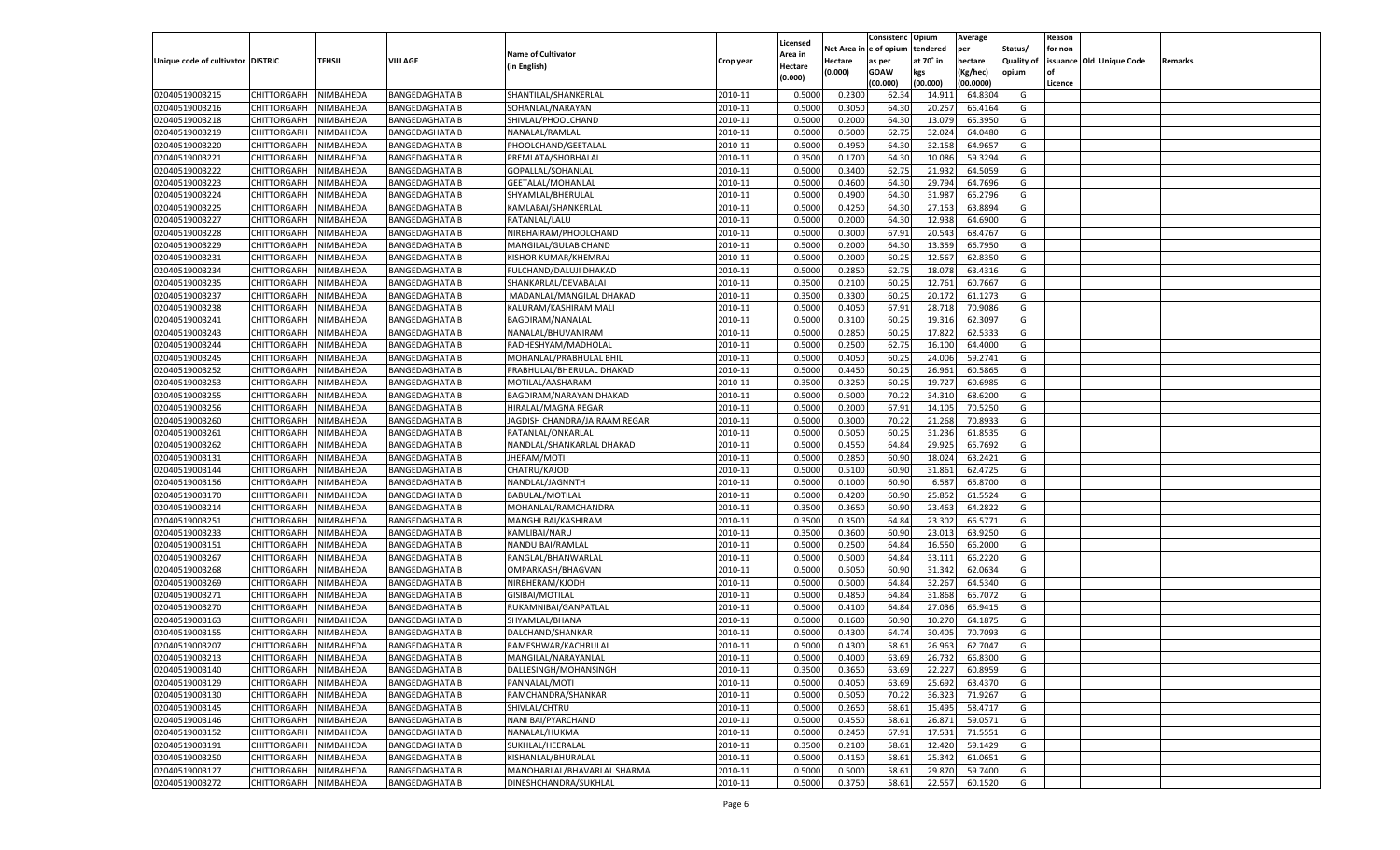|                                   |                       |               |                       |                               |           |                    |            | Consistenc Opium |           | Average   |                   | Reason  |                          |         |
|-----------------------------------|-----------------------|---------------|-----------------------|-------------------------------|-----------|--------------------|------------|------------------|-----------|-----------|-------------------|---------|--------------------------|---------|
|                                   |                       |               |                       | <b>Name of Cultivator</b>     |           | Licensed           | Net Area i | n  e of opium    | tendered  | per       | Status/           | for non |                          |         |
| Unique code of cultivator DISTRIC |                       | <b>TEHSIL</b> | VILLAGE               | (in English)                  | Crop year | Area in<br>Hectare | Hectare    | as per           | at 70˚ in | hectare   | <b>Quality of</b> |         | issuance Old Unique Code | Remarks |
|                                   |                       |               |                       |                               |           | (0.000)            | (0.000)    | <b>GOAW</b>      | kgs       | (Kg/hec)  | opium             | οf      |                          |         |
|                                   |                       |               |                       |                               |           |                    |            | (00.000)         | (00.000)  | (00.0000) |                   | Licence |                          |         |
| 02040519003215                    | CHITTORGARH           | NIMBAHEDA     | <b>BANGEDAGHATA B</b> | SHANTILAL/SHANKERLAL          | 2010-11   | 0.5000             | 0.2300     | 62.34            | 14.91     | 64.8304   | G                 |         |                          |         |
| 02040519003216                    | CHITTORGARH           | NIMBAHEDA     | <b>BANGEDAGHATA B</b> | SOHANLAL/NARAYAN              | 2010-11   | 0.5000             | 0.3050     | 64.30            | 20.257    | 66.4164   | G                 |         |                          |         |
| 02040519003218                    | <b>CHITTORGARH</b>    | NIMBAHEDA     | <b>BANGEDAGHATA B</b> | SHIVLAL/PHOOLCHAND            | 2010-11   | 0.5000             | 0.2000     | 64.30            | 13.079    | 65.3950   | G                 |         |                          |         |
| 02040519003219                    | CHITTORGARH           | NIMBAHEDA     | <b>BANGEDAGHATA B</b> | NANALAL/RAMLAL                | 2010-11   | 0.5000             | 0.5000     | 62.75            | 32.024    | 64.0480   | G                 |         |                          |         |
| 02040519003220                    | <b>CHITTORGARH</b>    | NIMBAHEDA     | <b>BANGEDAGHATA B</b> | PHOOLCHAND/GEETALAL           | 2010-11   | 0.5000             | 0.4950     | 64.30            | 32.158    | 64.9657   | G                 |         |                          |         |
| 02040519003221                    | CHITTORGARH           | NIMBAHEDA     | <b>BANGEDAGHATA B</b> | PREMLATA/SHOBHALAL            | 2010-11   | 0.3500             | 0.1700     | 64.30            | 10.086    | 59.3294   | G                 |         |                          |         |
| 02040519003222                    | <b>CHITTORGARH</b>    | NIMBAHEDA     | <b>BANGEDAGHATA B</b> | GOPALLAL/SOHANLAL             | 2010-11   | 0.5000             | 0.3400     | 62.75            | 21.932    | 64.5059   | G                 |         |                          |         |
| 02040519003223                    | CHITTORGARH           | NIMBAHEDA     | <b>BANGEDAGHATA B</b> | GEETALAL/MOHANLAL             | 2010-11   | 0.5000             | 0.4600     | 64.30            | 29.794    | 64.7696   | G                 |         |                          |         |
| 02040519003224                    | <b>CHITTORGARH</b>    | NIMBAHEDA     | <b>BANGEDAGHATA B</b> | SHYAMLAL/BHERULAL             | 2010-11   | 0.5000             | 0.4900     | 64.30            | 31.987    | 65.2796   | G                 |         |                          |         |
| 02040519003225                    | CHITTORGARH           | NIMBAHEDA     | <b>BANGEDAGHATA B</b> | KAMLABAI/SHANKERLAL           | 2010-11   | 0.5000             | 0.4250     | 64.30            | 27.153    | 63.8894   | G                 |         |                          |         |
| 02040519003227                    | <b>CHITTORGARH</b>    | NIMBAHEDA     | <b>BANGEDAGHATA B</b> | RATANLAL/LALU                 | 2010-11   | 0.5000             | 0.2000     | 64.30            | 12.938    | 64.6900   | G                 |         |                          |         |
| 02040519003228                    | CHITTORGARH           | NIMBAHEDA     | <b>BANGEDAGHATA B</b> | NIRBHAIRAM/PHOOLCHAND         | 2010-11   | 0.5000             | 0.3000     | 67.91            | 20.543    | 68.4767   | G                 |         |                          |         |
| 02040519003229                    | <b>CHITTORGARH</b>    | NIMBAHEDA     | <b>BANGEDAGHATA B</b> | MANGILAL/GULAB CHAND          | 2010-11   | 0.5000             | 0.2000     | 64.30            | 13.359    | 66.7950   | G                 |         |                          |         |
| 02040519003231                    | CHITTORGARH           | NIMBAHEDA     | <b>BANGEDAGHATA B</b> | KISHOR KUMAR/KHEMRAJ          | 2010-11   | 0.5000             | 0.2000     | 60.25            | 12.567    | 62.8350   | G                 |         |                          |         |
| 02040519003234                    | <b>CHITTORGARH</b>    | NIMBAHEDA     | <b>BANGEDAGHATA B</b> | FULCHAND/DALUJI DHAKAD        | 2010-11   | 0.5000             | 0.2850     | 62.75            | 18.078    | 63.4316   | G                 |         |                          |         |
| 02040519003235                    | CHITTORGARH           | NIMBAHEDA     | <b>BANGEDAGHATA B</b> | SHANKARLAL/DEVABALAI          | 2010-11   | 0.3500             | 0.2100     | 60.25            | 12.761    | 60.7667   | G                 |         |                          |         |
| 02040519003237                    | <b>CHITTORGARH</b>    | NIMBAHEDA     | <b>BANGEDAGHATA B</b> | MADANLAL/MANGILAL DHAKAD      | 2010-11   | 0.3500             | 0.3300     | 60.25            | 20.172    | 61.1273   | G                 |         |                          |         |
| 02040519003238                    | CHITTORGARH           | NIMBAHEDA     | <b>BANGEDAGHATA B</b> | KALURAM/KASHIRAM MALI         | 2010-11   | 0.5000             | 0.4050     | 67.91            | 28.718    | 70.9086   | G                 |         |                          |         |
| 02040519003241                    | <b>CHITTORGARH</b>    | NIMBAHEDA     | <b>BANGEDAGHATA B</b> | BAGDIRAM/NANALAL              | 2010-11   | 0.5000             | 0.3100     | 60.25            | 19.316    | 62.3097   | G                 |         |                          |         |
| 02040519003243                    | CHITTORGARH           | NIMBAHEDA     | <b>BANGEDAGHATA B</b> | NANALAL/BHUVANIRAM            | 2010-11   | 0.5000             | 0.2850     | 60.2             | 17.822    | 62.5333   | G                 |         |                          |         |
| 02040519003244                    | <b>CHITTORGARH</b>    | NIMBAHEDA     | <b>BANGEDAGHATA B</b> | RADHESHYAM/MADHOLAL           | 2010-11   | 0.5000             | 0.2500     | 62.75            | 16.100    | 64.4000   | G                 |         |                          |         |
| 02040519003245                    | CHITTORGARH           | NIMBAHEDA     | <b>BANGEDAGHATA B</b> | MOHANLAL/PRABHULAL BHII       | 2010-11   | 0.5000             | 0.4050     | 60.25            | 24.006    | 59.2741   | G                 |         |                          |         |
| 02040519003252                    | <b>CHITTORGARH</b>    | NIMBAHEDA     | <b>BANGEDAGHATA B</b> | PRABHULAL/BHERULAL DHAKAD     | 2010-11   | 0.5000             | 0.4450     | 60.25            | 26.961    | 60.5865   | G                 |         |                          |         |
| 02040519003253                    | <b>CHITTORGARH</b>    | NIMBAHEDA     | <b>BANGEDAGHATA B</b> | MOTILAL/AASHARAM              | 2010-11   | 0.3500             | 0.3250     | 60.25            | 19.727    | 60.6985   | G                 |         |                          |         |
| 02040519003255                    | <b>CHITTORGARH</b>    | NIMBAHEDA     | <b>BANGEDAGHATA B</b> | BAGDIRAM/NARAYAN DHAKAD       | 2010-11   | 0.5000             | 0.5000     | 70.22            | 34.310    | 68.6200   | G                 |         |                          |         |
| 02040519003256                    | <b>CHITTORGARH</b>    | NIMBAHEDA     | <b>BANGEDAGHATA B</b> | <b>HIRALAL/MAGNA REGAR</b>    | 2010-11   | 0.5000             | 0.2000     | 67.91            | 14.105    | 70.5250   | G                 |         |                          |         |
| 02040519003260                    | <b>CHITTORGARH</b>    | NIMBAHEDA     | <b>BANGEDAGHATA B</b> | JAGDISH CHANDRA/JAIRAAM REGAR | 2010-11   | 0.5000             | 0.3000     | 70.22            | 21.268    | 70.8933   | G                 |         |                          |         |
| 02040519003261                    | <b>CHITTORGARH</b>    | NIMBAHEDA     | <b>BANGEDAGHATA B</b> | RATANLAL/ONKARLAL             | 2010-11   | 0.5000             | 0.5050     | 60.25            | 31.236    | 61.8535   | G                 |         |                          |         |
| 02040519003262                    | <b>CHITTORGARH</b>    | NIMBAHEDA     | <b>BANGEDAGHATA B</b> | NANDLAL/SHANKARLAL DHAKAD     | 2010-11   | 0.5000             | 0.4550     | 64.84            | 29.925    | 65.7692   | G                 |         |                          |         |
| 02040519003131                    | CHITTORGARH           | NIMBAHEDA     | <b>BANGEDAGHATA B</b> | JHERAM/MOTI                   | 2010-11   | 0.5000             | 0.2850     | 60.90            | 18.024    | 63.2421   | G                 |         |                          |         |
| 02040519003144                    | <b>CHITTORGARH</b>    | NIMBAHEDA     | <b>BANGEDAGHATA B</b> | CHATRU/KAJOD                  | 2010-11   | 0.5000             | 0.5100     | 60.90            | 31.861    | 62.4725   | G                 |         |                          |         |
| 02040519003156                    | CHITTORGARH           | NIMBAHEDA     | <b>BANGEDAGHATA B</b> | NANDLAL/JAGNNTH               | 2010-11   | 0.5000             | 0.1000     | 60.90            | 6.587     | 65.8700   | G                 |         |                          |         |
| 02040519003170                    | CHITTORGARH           | NIMBAHEDA     | <b>BANGEDAGHATA B</b> | <b>BABULAL/MOTILAL</b>        | 2010-11   | 0.5000             | 0.4200     | 60.90            | 25.852    | 61.5524   | G                 |         |                          |         |
| 02040519003214                    | CHITTORGARH           | NIMBAHEDA     | <b>BANGEDAGHATA B</b> | MOHANLAL/RAMCHANDRA           | 2010-11   | 0.3500             | 0.3650     | 60.90            | 23.463    | 64.2822   | G                 |         |                          |         |
| 02040519003251                    | <b>CHITTORGARH</b>    | NIMBAHEDA     |                       |                               | 2010-11   | 0.3500             | 0.3500     | 64.84            | 23.302    | 66.5771   | G                 |         |                          |         |
|                                   |                       |               | <b>BANGEDAGHATA B</b> | MANGHI BAI/KASHIRAM           | 2010-11   |                    |            |                  |           | 63.9250   | G                 |         |                          |         |
| 02040519003233                    | CHITTORGARH           | NIMBAHEDA     | <b>BANGEDAGHATA B</b> | KAMLIBAI/NARU                 |           | 0.3500             | 0.3600     | 60.90            | 23.013    |           |                   |         |                          |         |
| 02040519003151                    | <b>CHITTORGARH</b>    | NIMBAHEDA     | <b>BANGEDAGHATA B</b> | NANDU BAI/RAMLAL              | 2010-11   | 0.5000             | 0.2500     | 64.84            | 16.550    | 66.2000   | G                 |         |                          |         |
| 02040519003267                    | CHITTORGARH           | NIMBAHEDA     | <b>BANGEDAGHATA B</b> | RANGLAL/BHANWARLAL            | 2010-11   | 0.5000             | 0.5000     | 64.84            | 33.111    | 66.2220   | G                 |         |                          |         |
| 02040519003268                    | <b>CHITTORGARH</b>    | NIMBAHEDA     | <b>BANGEDAGHATA B</b> | OMPARKASH/BHAGVAN             | 2010-11   | 0.5000             | 0.5050     | 60.90            | 31.342    | 62.0634   | G                 |         |                          |         |
| 02040519003269                    | CHITTORGARH           | NIMBAHEDA     | <b>BANGEDAGHATA B</b> | NIRBHERAM/KJODH               | 2010-11   | 0.5000             | 0.5000     | 64.84            | 32.267    | 64.5340   | G                 |         |                          |         |
| 02040519003271                    | <b>CHITTORGARH</b>    | NIMBAHEDA     | <b>BANGEDAGHATA B</b> | GISIBAI/MOTILAL               | 2010-11   | 0.5000             | 0.4850     | 64.84            | 31.868    | 65.7072   | G                 |         |                          |         |
| 02040519003270                    | CHITTORGARH           | NIMBAHEDA     | <b>BANGEDAGHATA B</b> | RUKAMNIBAI/GANPATLAL          | 2010-11   | 0.5000             | 0.4100     | 64.84            | 27.036    | 65.9415   | G                 |         |                          |         |
| 02040519003163                    | CHITTORGARH           | NIMBAHEDA     | <b>BANGEDAGHATA B</b> | SHYAMLAL/BHANA                | 2010-11   | 0.5000             | 0.1600     | 60.90            | 10.270    | 64.1875   | G                 |         |                          |         |
| 02040519003155                    | CHITTORGARH           | NIMBAHEDA     | <b>BANGEDAGHATA B</b> | DALCHAND/SHANKAR              | 2010-11   | 0.5000             | 0.4300     | 64.74            | 30.405    | 70.7093   | G                 |         |                          |         |
| 02040519003207                    | CHITTORGARH           | NIMBAHEDA     | <b>BANGEDAGHATA B</b> | RAMESHWAR/KACHRULAL           | 2010-11   | 0.5000             | 0.4300     | 58.61            | 26.963    | 62.7047   | G                 |         |                          |         |
| 02040519003213                    | CHITTORGARH NIMBAHEDA |               | <b>BANGEDAGHATA B</b> | MANGILAL/NARAYANLAL           | 2010-11   | 0.5000             | 0.4000     | 63.69            | 26.732    | 66.8300   | G                 |         |                          |         |
| 02040519003140                    | <b>CHITTORGARH</b>    | NIMBAHEDA     | <b>BANGEDAGHATA B</b> | DALLESINGH/MOHANSINGH         | 2010-11   | 0.3500             | 0.3650     | 63.69            | 22.227    | 60.8959   | G                 |         |                          |         |
| 02040519003129                    | <b>CHITTORGARH</b>    | NIMBAHEDA     | <b>BANGEDAGHATA B</b> | PANNALAL/MOTI                 | 2010-11   | 0.5000             | 0.4050     | 63.69            | 25.692    | 63.4370   | G                 |         |                          |         |
| 02040519003130                    | <b>CHITTORGARH</b>    | NIMBAHEDA     | <b>BANGEDAGHATA B</b> | RAMCHANDRA/SHANKAR            | 2010-11   | 0.5000             | 0.5050     | 70.22            | 36.323    | 71.9267   | G                 |         |                          |         |
| 02040519003145                    | <b>CHITTORGARH</b>    | NIMBAHEDA     | <b>BANGEDAGHATA B</b> | SHIVLAL/CHTRU                 | 2010-11   | 0.5000             | 0.2650     | 68.61            | 15.495    | 58.4717   | G                 |         |                          |         |
| 02040519003146                    | <b>CHITTORGARH</b>    | NIMBAHEDA     | <b>BANGEDAGHATA B</b> | NANI BAI/PYARCHAND            | 2010-11   | 0.5000             | 0.4550     | 58.61            | 26.871    | 59.0571   | G                 |         |                          |         |
| 02040519003152                    | <b>CHITTORGARH</b>    | NIMBAHEDA     | <b>BANGEDAGHATA B</b> | NANALAL/HUKMA                 | 2010-11   | 0.5000             | 0.2450     | 67.91            | 17.531    | 71.5551   | G                 |         |                          |         |
| 02040519003191                    | <b>CHITTORGARH</b>    | NIMBAHEDA     | <b>BANGEDAGHATA B</b> | SUKHLAL/HEERALAL              | 2010-11   | 0.3500             | 0.2100     | 58.61            | 12.420    | 59.1429   | G                 |         |                          |         |
| 02040519003250                    | <b>CHITTORGARH</b>    | NIMBAHEDA     | <b>BANGEDAGHATA B</b> | KISHANLAL/BHURALAL            | 2010-11   | 0.5000             | 0.4150     | 58.61            | 25.342    | 61.0651   | G                 |         |                          |         |
| 02040519003127                    | <b>CHITTORGARH</b>    | NIMBAHEDA     | <b>BANGEDAGHATA B</b> | MANOHARLAL/BHAVARLAL SHARMA   | 2010-11   | 0.5000             | 0.5000     | 58.61            | 29.870    | 59.7400   | G                 |         |                          |         |
| 02040519003272                    | <b>CHITTORGARH</b>    | NIMBAHEDA     | <b>BANGEDAGHATA B</b> | DINESHCHANDRA/SUKHLAL         | 2010-11   | 0.5000             | 0.3750     | 58.61            | 22.557    | 60.1520   | G                 |         |                          |         |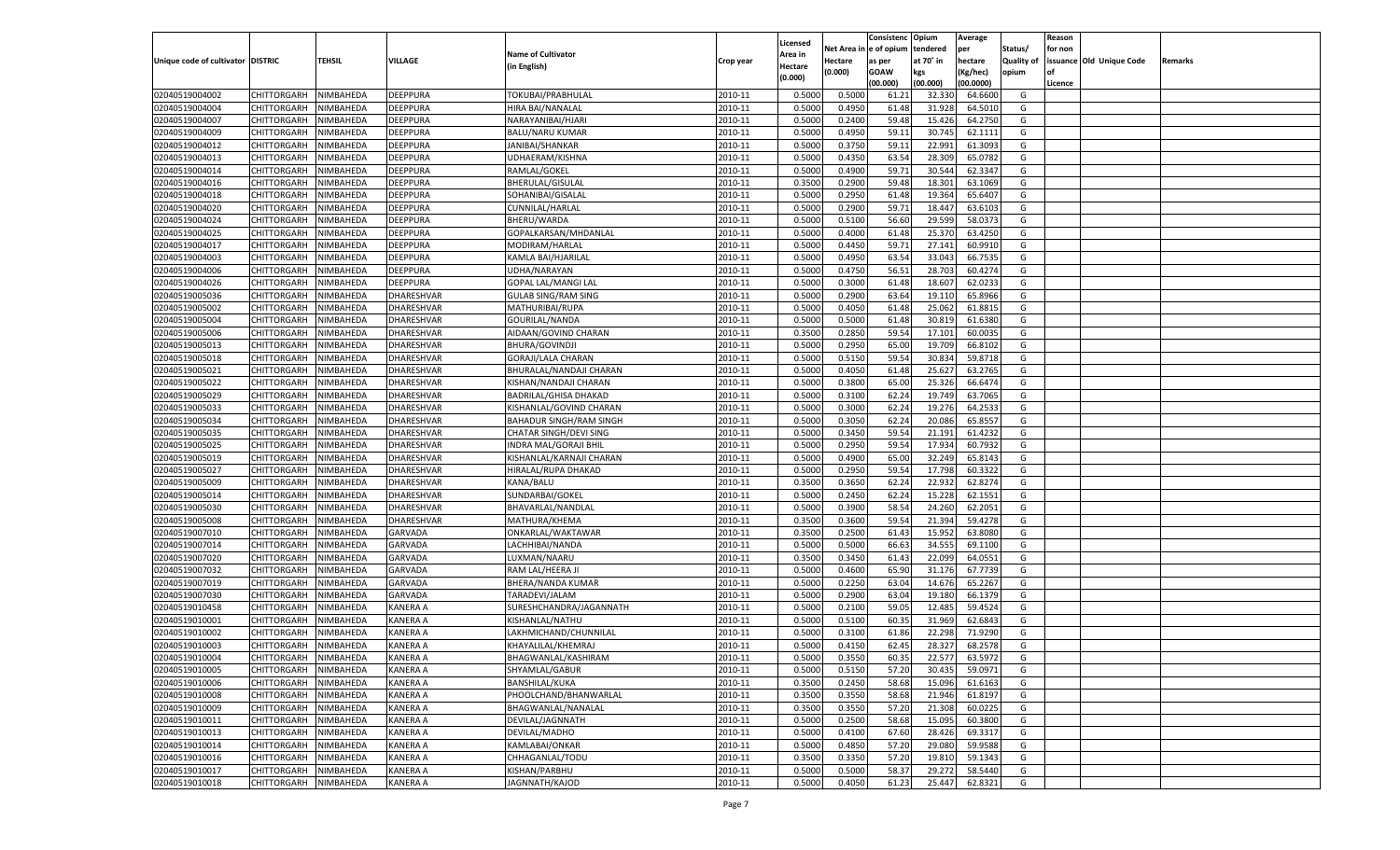|                                   |                       |           |                   |                               |           |          |          | Consistenc Opium |           | Average   |                   | Reason    |                          |         |
|-----------------------------------|-----------------------|-----------|-------------------|-------------------------------|-----------|----------|----------|------------------|-----------|-----------|-------------------|-----------|--------------------------|---------|
|                                   |                       |           |                   |                               |           | Licensed | Net Area | e of opium       | tendered  | per       | Status/           | for non   |                          |         |
| Unique code of cultivator DISTRIC |                       | TEHSIL    | VILLAGE           | <b>Name of Cultivator</b>     | Crop year | Area in  | Hectare  | as per           | at 70˚ in | hectare   | <b>Quality of</b> |           | issuance Old Unique Code | Remarks |
|                                   |                       |           |                   | (in English)                  |           | Hectare  | (0.000)  | <b>GOAW</b>      | kgs       | (Kg/hec)  | opium             | <b>of</b> |                          |         |
|                                   |                       |           |                   |                               |           | (0.000)  |          | (00.000)         | (00.000)  | (00.0000) |                   | Licence   |                          |         |
| 02040519004002                    | CHITTORGARH           | NIMBAHEDA | DEEPPURA          | TOKUBAI/PRABHULAL             | 2010-11   | 0.5000   | 0.5000   | 61.21            | 32.33     | 64.6600   | G                 |           |                          |         |
| 02040519004004                    | CHITTORGARH           | NIMBAHEDA | DEEPPURA          | HIRA BAI/NANALAL              | 2010-11   | 0.5000   | 0.4950   | 61.48            | 31.928    | 64.5010   | G                 |           |                          |         |
| 02040519004007                    | <b>CHITTORGARH</b>    | NIMBAHEDA | DEEPPURA          | NARAYANIBAI/HJARI             | 2010-11   | 0.5000   | 0.2400   | 59.48            | 15.426    | 64.2750   | G                 |           |                          |         |
| 02040519004009                    |                       |           |                   | <b>BALU/NARU KUMAR</b>        |           |          |          |                  |           |           |                   |           |                          |         |
|                                   | CHITTORGARH           | NIMBAHEDA | DEEPPURA          |                               | 2010-11   | 0.5000   | 0.4950   | 59.11            | 30.745    | 62.1111   | G                 |           |                          |         |
| 02040519004012                    | <b>CHITTORGARH</b>    | NIMBAHEDA | DEEPPURA          | JANIBAI/SHANKAR               | 2010-11   | 0.5000   | 0.3750   | 59.11            | 22.991    | 61.3093   | G                 |           |                          |         |
| 02040519004013                    | CHITTORGARH           | NIMBAHEDA | DEEPPURA          | UDHAERAM/KISHNA               | 2010-11   | 0.5000   | 0.4350   | 63.54            | 28.309    | 65.078    | G                 |           |                          |         |
| 02040519004014                    | <b>CHITTORGARH</b>    | NIMBAHEDA | DEEPPURA          | RAMLAL/GOKEL                  | 2010-11   | 0.5000   | 0.4900   | 59.71            | 30.544    | 62.3347   | G                 |           |                          |         |
| 02040519004016                    | CHITTORGARH           | NIMBAHEDA | DEEPPURA          | <b>BHERULAL/GISULAL</b>       | 2010-11   | 0.3500   | 0.2900   | 59.48            | 18.301    | 63.1069   | G                 |           |                          |         |
| 02040519004018                    | CHITTORGARH           | NIMBAHEDA | DEEPPURA          | SOHANIBAI/GISALAL             | 2010-11   | 0.5000   | 0.2950   | 61.48            | 19.364    | 65.6407   | G                 |           |                          |         |
| 02040519004020                    | CHITTORGARH           | NIMBAHEDA | DEEPPURA          | CUNNILAL/HARLAL               | 2010-11   | 0.5000   | 0.2900   | 59.71            | 18.44     | 63.610    | G                 |           |                          |         |
| 02040519004024                    | CHITTORGARH           | NIMBAHEDA | DEEPPURA          | BHERU/WARDA                   | 2010-11   | 0.5000   | 0.5100   | 56.60            | 29.599    | 58.037    | G                 |           |                          |         |
| 02040519004025                    | CHITTORGARH           | NIMBAHEDA | DEEPPURA          | GOPALKARSAN/MHDANLAL          | 2010-11   | 0.5000   | 0.4000   | 61.48            | 25.370    | 63.4250   | G                 |           |                          |         |
| 02040519004017                    | CHITTORGARH           | NIMBAHEDA | DEEPPURA          | MODIRAM/HARLAL                | 2010-11   | 0.5000   | 0.4450   | 59.71            | 27.141    | 60.9910   | G                 |           |                          |         |
| 02040519004003                    | CHITTORGARH           | NIMBAHEDA | DEEPPURA          | KAMLA BAI/HJARILAL            | 2010-11   | 0.5000   | 0.4950   | 63.54            | 33.043    | 66.7535   | G                 |           |                          |         |
| 02040519004006                    | <b>CHITTORGARH</b>    | NIMBAHEDA | DEEPPURA          | UDHA/NARAYAN                  | 2010-11   | 0.5000   | 0.4750   | 56.51            | 28.703    | 60.4274   | G                 |           |                          |         |
| 02040519004026                    | CHITTORGARH           | NIMBAHEDA | DEEPPURA          | <b>GOPAL LAL/MANGI LAL</b>    | 2010-11   | 0.5000   | 0.3000   | 61.48            | 18.607    | 62.023    | G                 |           |                          |         |
| 02040519005036                    | <b>CHITTORGARH</b>    | NIMBAHEDA | DHARESHVAR        | <b>GULAB SING/RAM SING</b>    | 2010-11   | 0.5000   | 0.2900   | 63.64            | 19.110    | 65.8966   | G                 |           |                          |         |
| 02040519005002                    | CHITTORGARH           | NIMBAHEDA | DHARESHVAR        | MATHURIBAI/RUPA               | 2010-11   | 0.5000   | 0.4050   | 61.48            | 25.062    | 61.881    | G                 |           |                          |         |
|                                   |                       |           | <b>DHARESHVAR</b> |                               |           |          |          |                  |           |           |                   |           |                          |         |
| 02040519005004                    | <b>CHITTORGARH</b>    | NIMBAHEDA |                   | GOURILAL/NANDA                | 2010-11   | 0.5000   | 0.5000   | 61.48            | 30.819    | 61.6380   | G                 |           |                          |         |
| 02040519005006                    | CHITTORGARH           | NIMBAHEDA | DHARESHVAR        | AIDAAN/GOVIND CHARAN          | 2010-11   | 0.3500   | 0.2850   | 59.54            | 17.101    | 60.0035   | G                 |           |                          |         |
| 02040519005013                    | <b>CHITTORGARH</b>    | NIMBAHEDA | <b>DHARESHVAR</b> | <b>BHURA/GOVINDJI</b>         | 2010-11   | 0.5000   | 0.2950   | 65.00            | 19.709    | 66.8102   | G                 |           |                          |         |
| 02040519005018                    | CHITTORGARH           | NIMBAHEDA | DHARESHVAR        | GORAJI/LALA CHARAN            | 2010-11   | 0.5000   | 0.5150   | 59.54            | 30.83     | 59.8718   | G                 |           |                          |         |
| 02040519005021                    | <b>CHITTORGARH</b>    | NIMBAHEDA | DHARESHVAR        | BHURALAL/NANDAJI CHARAN       | 2010-11   | 0.5000   | 0.4050   | 61.48            | 25.627    | 63.2765   | G                 |           |                          |         |
| 02040519005022                    | CHITTORGARH           | NIMBAHEDA | DHARESHVAR        | KISHAN/NANDAJI CHARAN         | 2010-11   | 0.5000   | 0.3800   | 65.00            | 25.326    | 66.6474   | G                 |           |                          |         |
| 02040519005029                    | <b>CHITTORGARH</b>    | NIMBAHEDA | <b>DHARESHVAR</b> | <b>BADRILAL/GHISA DHAKAD</b>  | 2010-11   | 0.5000   | 0.3100   | 62.24            | 19.749    | 63.7065   | G                 |           |                          |         |
| 02040519005033                    | CHITTORGARH           | NIMBAHEDA | DHARESHVAR        | KISHANLAL/GOVIND CHARAN       | 2010-11   | 0.5000   | 0.3000   | 62.24            | 19.276    | 64.2533   | G                 |           |                          |         |
| 02040519005034                    | <b>CHITTORGARH</b>    | NIMBAHEDA | DHARESHVAR        | BAHADUR SINGH/RAM SINGH       | 2010-11   | 0.5000   | 0.3050   | 62.24            | 20.086    | 65.8557   | G                 |           |                          |         |
| 02040519005035                    | CHITTORGARH           | NIMBAHEDA | DHARESHVAR        | <b>CHATAR SINGH/DEVI SING</b> | 2010-11   | 0.5000   | 0.3450   | 59.54            | 21.191    | 61.4232   | G                 |           |                          |         |
| 02040519005025                    | <b>CHITTORGARH</b>    | NIMBAHEDA | DHARESHVAR        | INDRA MAL/GORAJI BHIL         | 2010-11   | 0.5000   | 0.2950   | 59.54            | 17.934    | 60.7932   | G                 |           |                          |         |
| 02040519005019                    | CHITTORGARH           | NIMBAHEDA | DHARESHVAR        | KISHANLAL/KARNAJI CHARAN      | 2010-11   | 0.5000   | 0.4900   | 65.00            | 32.249    | 65.8143   | G                 |           |                          |         |
| 02040519005027                    | CHITTORGARH           | NIMBAHEDA | DHARESHVAR        | HIRALAL/RUPA DHAKAD           | 2010-11   | 0.5000   | 0.2950   | 59.54            | 17.798    | 60.3322   | G                 |           |                          |         |
| 02040519005009                    | CHITTORGARH           | NIMBAHEDA | DHARESHVAR        | KANA/BALU                     | 2010-11   | 0.3500   | 0.3650   | 62.24            | 22.93     | 62.8274   | G                 |           |                          |         |
| 02040519005014                    | CHITTORGARH           | NIMBAHEDA | DHARESHVAR        | SUNDARBAI/GOKEL               | 2010-11   | 0.5000   | 0.2450   | 62.24            | 15.228    | 62.1551   | G                 |           |                          |         |
| 02040519005030                    | CHITTORGARH           | NIMBAHEDA | DHARESHVAR        | BHAVARLAL/NANDLAL             | 2010-11   | 0.5000   | 0.3900   | 58.54            | 24.260    | 62.2051   | G                 |           |                          |         |
| 02040519005008                    | CHITTORGARH           | NIMBAHEDA | DHARESHVAR        |                               | 2010-11   | 0.3500   | 0.3600   | 59.54            | 21.394    | 59.4278   | G                 |           |                          |         |
|                                   |                       |           |                   | MATHURA/KHEMA                 |           |          |          |                  |           |           |                   |           |                          |         |
| 02040519007010                    | CHITTORGARH           | NIMBAHEDA | GARVADA           | ONKARLAL/WAKTAWAR             | 2010-11   | 0.3500   | 0.2500   | 61.43            | 15.95     | 63.8080   | G                 |           |                          |         |
| 02040519007014                    | <b>CHITTORGARH</b>    | NIMBAHEDA | <b>GARVADA</b>    | LACHHIBAI/NANDA               | 2010-11   | 0.5000   | 0.5000   | 66.63            | 34.555    | 69.1100   | G                 |           |                          |         |
| 02040519007020                    | CHITTORGARH           | NIMBAHEDA | GARVADA           | LUXMAN/NAARU                  | 2010-11   | 0.3500   | 0.3450   | 61.43            | 22.099    | 64.0551   | G                 |           |                          |         |
| 02040519007032                    | CHITTORGARH           | NIMBAHEDA | GARVADA           | RAM LAL/HEERA JI              | 2010-11   | 0.5000   | 0.4600   | 65.90            | 31.176    | 67.7739   | G                 |           |                          |         |
| 02040519007019                    | <b>CHITTORGARH</b>    | NIMBAHEDA | GARVADA           | <b>BHERA/NANDA KUMAR</b>      | 2010-11   | 0.5000   | 0.2250   | 63.04            | 14.67     | 65.2267   | G                 |           |                          |         |
| 02040519007030                    | CHITTORGARH           | NIMBAHEDA | <b>GARVADA</b>    | TARADEVI/JALAM                | 2010-11   | 0.5000   | 0.2900   | 63.04            | 19.18     | 66.1379   | G                 |           |                          |         |
| 02040519010458                    | CHITTORGARH           | NIMBAHEDA | KANERA A          | SURESHCHANDRA/JAGANNATH       | 2010-11   | 0.5000   | 0.2100   | 59.05            | 12.485    | 59.4524   | G                 |           |                          |         |
| 02040519010001                    | CHITTORGARH           | NIMBAHEDA | KANERA A          | KISHANLAL/NATHU               | 2010-11   | 0.5000   | 0.5100   | 60.3             | 31.969    | 62.684    | G                 |           |                          |         |
| 02040519010002                    | CHITTORGARH           | NIMBAHEDA | KANERA A          | LAKHMICHAND/CHUNNILAL         | 2010-11   | 0.5000   | 0.3100   | 61.86            | 22.29     | 71.9290   | G                 |           |                          |         |
| 02040519010003                    | CHITTORGARH           | NIMBAHEDA | KANERA A          | KHAYALILAL/KHEMRAJ            | 2010-11   | 0.5000   | 0.4150   | 62.45            | 28.327    | 68.2578   | G                 |           |                          |         |
| 02040519010004                    | CHITTORGARH NIMBAHEDA |           | <b>KANERA A</b>   | BHAGWANLAL/KASHIRAM           | 2010-11   | 0.5000   | 0.3550   | 60.35            | 22.577    | 63.5972   | G                 |           |                          |         |
| 02040519010005                    | <b>CHITTORGARH</b>    | NIMBAHEDA | <b>KANERA A</b>   | SHYAMLAL/GABUR                | 2010-11   | 0.5000   | 0.5150   | 57.20            | 30.435    | 59.0971   | G                 |           |                          |         |
| 02040519010006                    | CHITTORGARH           | NIMBAHEDA | <b>KANERA A</b>   | <b>BANSHILAL/KUKA</b>         | 2010-11   | 0.3500   | 0.2450   | 58.68            | 15.096    | 61.6163   | G                 |           |                          |         |
| 02040519010008                    | <b>CHITTORGARH</b>    | NIMBAHEDA | <b>KANERA A</b>   | PHOOLCHAND/BHANWARLAL         | 2010-11   | 0.3500   | 0.3550   | 58.68            | 21.946    | 61.8197   | G                 |           |                          |         |
| 02040519010009                    | <b>CHITTORGARH</b>    | NIMBAHEDA | <b>KANERA A</b>   | BHAGWANLAL/NANALAL            | 2010-11   | 0.3500   | 0.3550   | 57.20            | 21.308    | 60.0225   | G                 |           |                          |         |
| 02040519010011                    | <b>CHITTORGARH</b>    | NIMBAHEDA | <b>KANERA A</b>   | DEVILAL/JAGNNATH              | 2010-11   | 0.5000   | 0.2500   | 58.68            | 15.095    | 60.3800   | G                 |           |                          |         |
| 02040519010013                    | <b>CHITTORGARH</b>    | NIMBAHEDA | <b>KANERA A</b>   | DEVILAL/MADHO                 | 2010-11   | 0.5000   | 0.4100   | 67.60            | 28.426    | 69.3317   | G                 |           |                          |         |
| 02040519010014                    | <b>CHITTORGARH</b>    | NIMBAHEDA | <b>KANERA A</b>   | KAMLABAI/ONKAR                | 2010-11   | 0.5000   | 0.4850   | 57.20            | 29.080    | 59.9588   | G                 |           |                          |         |
| 02040519010016                    | <b>CHITTORGARH</b>    | NIMBAHEDA | <b>KANERA A</b>   | CHHAGANLAL/TODU               | 2010-11   |          | 0.3350   | 57.20            | 19.81     | 59.1343   | G                 |           |                          |         |
| 02040519010017                    |                       |           |                   |                               |           | 0.3500   |          |                  |           |           |                   |           |                          |         |
|                                   | <b>CHITTORGARH</b>    | NIMBAHEDA | <b>KANERA A</b>   | KISHAN/PARBHU                 | 2010-11   | 0.5000   | 0.5000   | 58.37            | 29.272    | 58.5440   | G                 |           |                          |         |
| 02040519010018                    | <b>CHITTORGARH</b>    | NIMBAHEDA | <b>KANERA A</b>   | JAGNNATH/KAJOD                | 2010-11   | 0.5000   | 0.4050   | 61.23            | 25.447    | 62.8321   | G                 |           |                          |         |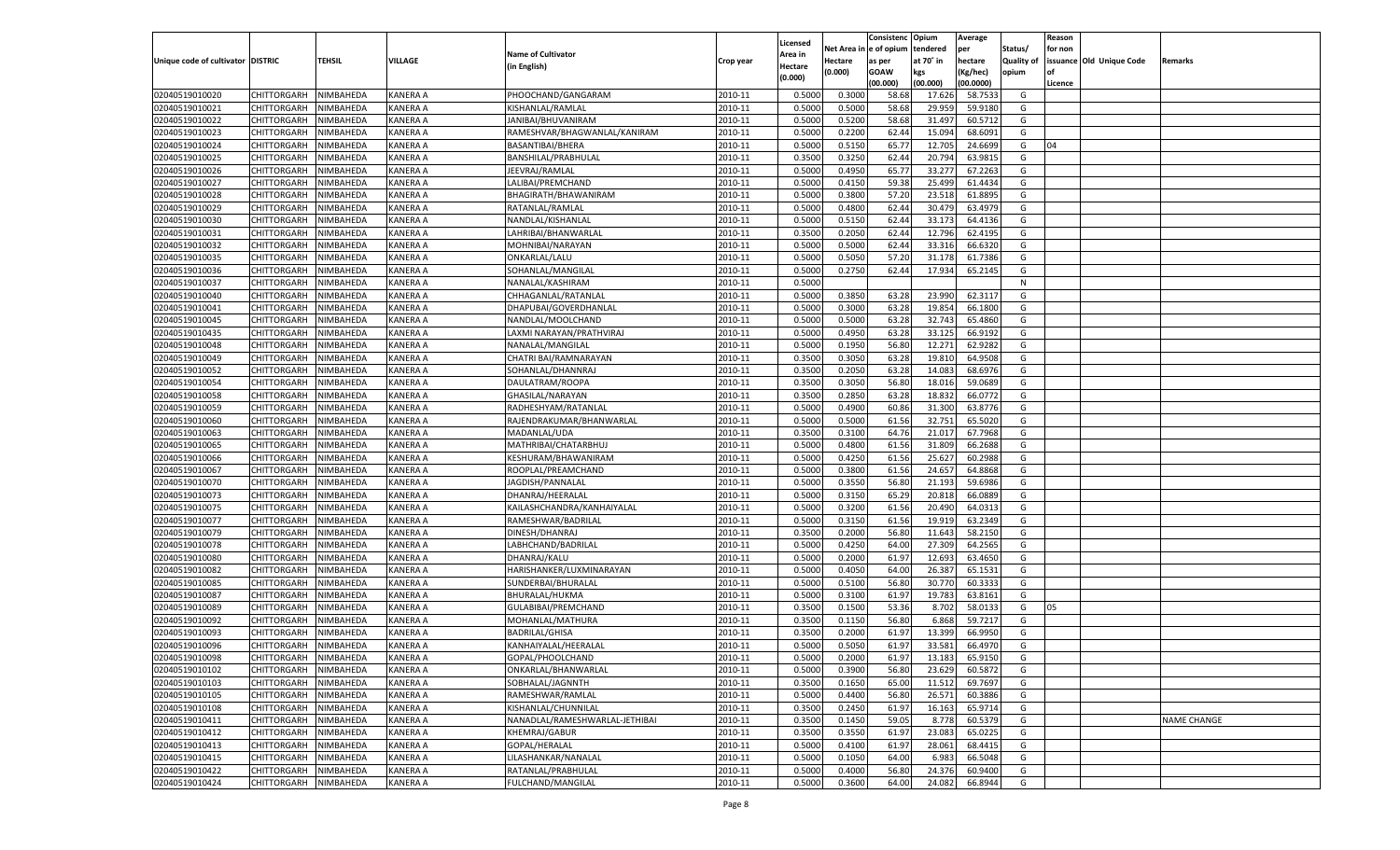|                                   |                       |               |                 |                                |           |                     |         | Consistenc Opium       |           | Average   |                   | Reason  |                          |                    |
|-----------------------------------|-----------------------|---------------|-----------------|--------------------------------|-----------|---------------------|---------|------------------------|-----------|-----------|-------------------|---------|--------------------------|--------------------|
|                                   |                       |               |                 | <b>Name of Cultivator</b>      |           | Licensed<br>Area in |         | Net Area in e of opium | tendered  | per       | Status/           | for non |                          |                    |
| Unique code of cultivator DISTRIC |                       | <b>TEHSIL</b> | VILLAGE         | (in English)                   | Crop year | Hectare             | Hectare | as per                 | at 70° in | hectare   | <b>Quality of</b> |         | issuance Old Unique Code | Remarks            |
|                                   |                       |               |                 |                                |           | (0.000)             | (0.000) | <b>GOAW</b>            | kgs       | (Kg/hec)  | opium             |         |                          |                    |
|                                   |                       |               |                 |                                |           |                     |         | (00.000)               | (00.000)  | (00.0000) |                   | Licence |                          |                    |
| 02040519010020                    | CHITTORGARH           | NIMBAHEDA     | KANERA A        | PHOOCHAND/GANGARAM             | 2010-11   | 0.5000              | 0.3000  | 58.68                  | 17.626    | 58.7533   | G                 |         |                          |                    |
| 02040519010021                    | CHITTORGARH           | NIMBAHEDA     | KANERA A        | KISHANLAL/RAMLAL               | 2010-11   | 0.5000              | 0.5000  | 58.68                  | 29.959    | 59.9180   | G                 |         |                          |                    |
| 02040519010022                    | CHITTORGARH           | NIMBAHEDA     | KANERA A        | JANIBAI/BHUVANIRAM             | 2010-11   | 0.5000              | 0.5200  | 58.68                  | 31.497    | 60.5712   | G                 |         |                          |                    |
| 02040519010023                    | CHITTORGARH           | NIMBAHEDA     | KANERA A        | RAMESHVAR/BHAGWANLAL/KANIRAM   | 2010-11   | 0.5000              | 0.2200  | 62.44                  | 15.094    | 68.6091   | G                 |         |                          |                    |
| 02040519010024                    | CHITTORGARH           | NIMBAHEDA     | KANERA A        | BASANTIBAI/BHERA               | 2010-11   | 0.5000              | 0.5150  | 65.77                  | 12.705    | 24.6699   | G                 | 04      |                          |                    |
| 02040519010025                    | CHITTORGARH           | NIMBAHEDA     | KANERA A        | BANSHILAL/PRABHULAL            | 2010-11   | 0.3500              | 0.3250  | 62.44                  | 20.794    | 63.9815   | G                 |         |                          |                    |
| 02040519010026                    | CHITTORGARH           | NIMBAHEDA     | KANERA A        | JEEVRAJ/RAMLAL                 | 2010-11   | 0.5000              | 0.4950  | 65.77                  | 33.277    | 67.2263   | G                 |         |                          |                    |
| 02040519010027                    | CHITTORGARH           | NIMBAHEDA     | KANERA A        | LALIBAI/PREMCHAND              | 2010-11   | 0.5000              | 0.4150  | 59.38                  | 25.499    | 61.4434   | G                 |         |                          |                    |
| 02040519010028                    | CHITTORGARH           | NIMBAHEDA     | KANERA A        | BHAGIRATH/BHAWANIRAM           | 2010-11   | 0.5000              | 0.3800  | 57.20                  | 23.518    | 61.8895   | G                 |         |                          |                    |
| 02040519010029                    | CHITTORGARH           | NIMBAHEDA     | KANERA A        | RATANLAL/RAMLAL                | 2010-11   | 0.5000              | 0.4800  | 62.44                  | 30.479    | 63.4979   | G                 |         |                          |                    |
| 02040519010030                    | CHITTORGARH           | NIMBAHEDA     | KANERA A        | NANDLAL/KISHANLAI              | 2010-11   | 0.5000              | 0.5150  | 62.44                  | 33.173    | 64.4136   | G                 |         |                          |                    |
| 02040519010031                    | CHITTORGARH           | NIMBAHEDA     | KANERA A        | LAHRIBAI/BHANWARLAL            | 2010-11   | 0.3500              | 0.2050  | 62.44                  | 12.796    | 62.4195   | G                 |         |                          |                    |
| 02040519010032                    | CHITTORGARH           | NIMBAHEDA     | KANERA A        | MOHNIBAI/NARAYAN               | 2010-11   | 0.5000              | 0.5000  | 62.44                  | 33.316    | 66.6320   | G                 |         |                          |                    |
| 02040519010035                    | CHITTORGARH           | NIMBAHEDA     | KANERA A        | ONKARLAL/LALU                  | 2010-11   | 0.5000              | 0.5050  | 57.20                  | 31.178    | 61.7386   | G                 |         |                          |                    |
| 02040519010036                    | CHITTORGARH           | NIMBAHEDA     | KANERA A        | SOHANLAL/MANGILAL              | 2010-11   | 0.5000              | 0.2750  | 62.44                  | 17.934    | 65.2145   | G                 |         |                          |                    |
| 02040519010037                    | CHITTORGARH           | NIMBAHEDA     | KANERA A        | NANALAL/KASHIRAM               | 2010-11   | 0.5000              |         |                        |           |           | N                 |         |                          |                    |
| 02040519010040                    | CHITTORGARH           | NIMBAHEDA     | KANERA A        | CHHAGANLAL/RATANLAL            | 2010-11   | 0.5000              | 0.3850  | 63.28                  | 23.990    | 62.3117   | G                 |         |                          |                    |
| 02040519010041                    | CHITTORGARH           | NIMBAHEDA     | KANERA A        | DHAPUBAI/GOVERDHANLAL          | 2010-11   | 0.5000              | 0.3000  | 63.28                  | 19.854    | 66.1800   | G                 |         |                          |                    |
| 02040519010045                    | CHITTORGARH           | NIMBAHEDA     | KANERA A        | NANDLAL/MOOLCHAND              | 2010-11   | 0.5000              | 0.5000  | 63.28                  | 32.743    | 65.4860   | G                 |         |                          |                    |
| 02040519010435                    | CHITTORGARH           | NIMBAHEDA     | KANERA A        | LAXMI NARAYAN/PRATHVIRAJ       | 2010-11   | 0.5000              | 0.4950  | 63.28                  | 33.125    | 66.9192   | G                 |         |                          |                    |
| 02040519010048                    | CHITTORGARH           | NIMBAHEDA     | KANERA A        | NANALAL/MANGILAL               | 2010-11   | 0.5000              | 0.1950  | 56.80                  | 12.271    | 62.9282   | G                 |         |                          |                    |
| 02040519010049                    | CHITTORGARH           | NIMBAHEDA     | KANERA A        | CHATRI BAI/RAMNARAYAN          | 2010-11   | 0.3500              | 0.3050  | 63.28                  | 19.810    | 64.9508   | G                 |         |                          |                    |
| 02040519010052                    | CHITTORGARH           | NIMBAHEDA     | KANERA A        | SOHANLAL/DHANNRAJ              | 2010-11   | 0.3500              | 0.2050  | 63.28                  | 14.083    | 68.6976   | G                 |         |                          |                    |
| 02040519010054                    | CHITTORGARH           | NIMBAHEDA     | KANERA A        | DAULATRAM/ROOPA                | 2010-11   | 0.3500              | 0.3050  | 56.80                  | 18.016    | 59.0689   | G                 |         |                          |                    |
| 02040519010058                    | CHITTORGARH           | NIMBAHEDA     | KANERA A        | GHASILAL/NARAYAN               | 2010-11   | 0.3500              | 0.2850  | 63.28                  | 18.832    | 66.0772   | G                 |         |                          |                    |
| 02040519010059                    | CHITTORGARH           | NIMBAHEDA     | KANERA A        | RADHESHYAM/RATANLAL            | 2010-11   | 0.5000              | 0.4900  | 60.86                  | 31.300    | 63.8776   | G                 |         |                          |                    |
| 02040519010060                    | CHITTORGARH           | NIMBAHEDA     | KANERA A        | RAJENDRAKUMAR/BHANWARLAL       | 2010-11   | 0.5000              | 0.5000  | 61.56                  | 32.751    | 65.5020   | G                 |         |                          |                    |
| 02040519010063                    | CHITTORGARH           | NIMBAHEDA     | KANERA A        | MADANLAL/UDA                   | 2010-11   | 0.3500              | 0.3100  | 64.76                  | 21.017    | 67.7968   | G                 |         |                          |                    |
| 02040519010065                    | CHITTORGARH           | NIMBAHEDA     | KANERA A        | MATHRIBAI/CHATARBHUJ           | 2010-11   | 0.5000              | 0.4800  | 61.56                  | 31.809    | 66.2688   | G                 |         |                          |                    |
| 02040519010066                    | CHITTORGARH           | NIMBAHEDA     | KANERA A        | KESHURAM/BHAWANIRAM            | 2010-11   | 0.5000              | 0.4250  | 61.56                  | 25.627    | 60.2988   | G                 |         |                          |                    |
| 02040519010067                    | <b>CHITTORGARH</b>    | NIMBAHEDA     | KANERA A        | ROOPLAL/PREAMCHAND             | 2010-11   | 0.5000              | 0.3800  | 61.56                  | 24.657    | 64.8868   | G                 |         |                          |                    |
| 02040519010070                    | CHITTORGARH           | NIMBAHEDA     | KANERA A        | JAGDISH/PANNALAL               | 2010-11   | 0.5000              | 0.3550  | 56.80                  | 21.193    | 59.6986   | G                 |         |                          |                    |
| 02040519010073                    | <b>CHITTORGARH</b>    | NIMBAHEDA     | KANERA A        | DHANRAJ/HEERALAI               | 2010-11   | 0.5000              | 0.3150  | 65.29                  | 20.818    | 66.0889   | G                 |         |                          |                    |
| 02040519010075                    | CHITTORGARH           | NIMBAHEDA     | KANERA A        | KAILASHCHANDRA/KANHAIYALAL     | 2010-11   | 0.5000              | 0.3200  | 61.56                  | 20.490    | 64.031    | G                 |         |                          |                    |
| 02040519010077                    | <b>CHITTORGARH</b>    | NIMBAHEDA     | KANERA A        | RAMESHWAR/BADRILAL             | 2010-11   | 0.5000              | 0.3150  | 61.56                  | 19.919    | 63.2349   | G                 |         |                          |                    |
| 02040519010079                    | CHITTORGARH           | NIMBAHEDA     | KANERA A        | DINESH/DHANRAJ                 | 2010-11   | 0.3500              | 0.2000  | 56.80                  | 11.643    | 58.2150   | G                 |         |                          |                    |
| 02040519010078                    | <b>CHITTORGARH</b>    | NIMBAHEDA     | KANERA A        | LABHCHAND/BADRILAL             | 2010-11   | 0.5000              | 0.4250  | 64.00                  | 27.309    | 64.2565   | G                 |         |                          |                    |
| 02040519010080                    | CHITTORGARH           | NIMBAHEDA     | KANERA A        | DHANRAJ/KALU                   | 2010-11   | 0.5000              | 0.2000  | 61.97                  | 12.693    | 63.4650   | G                 |         |                          |                    |
| 02040519010082                    | <b>CHITTORGARH</b>    | NIMBAHEDA     | KANERA A        | HARISHANKER/LUXMINARAYAN       | 2010-11   | 0.5000              | 0.4050  | 64.00                  | 26.387    | 65.1531   | G                 |         |                          |                    |
| 02040519010085                    | CHITTORGARH           | NIMBAHEDA     | KANERA A        | SUNDERBAI/BHURALAL             | 2010-11   | 0.5000              | 0.5100  | 56.80                  | 30.770    | 60.3333   | G                 |         |                          |                    |
| 02040519010087                    | <b>CHITTORGARH</b>    | NIMBAHEDA     | KANERA A        | BHURALAL/HUKMA                 | 2010-11   | 0.5000              | 0.3100  | 61.97                  | 19.783    | 63.8161   | G                 |         |                          |                    |
| 02040519010089                    | <b>CHITTORGARH</b>    | NIMBAHEDA     | KANERA A        | GULABIBAI/PREMCHAND            | 2010-11   | 0.3500              | 0.1500  | 53.36                  | 8.702     | 58.0133   | G                 | 05      |                          |                    |
| 02040519010092                    | <b>CHITTORGARH</b>    | NIMBAHEDA     | KANERA A        | MOHANLAL/MATHURA               | 2010-11   | 0.3500              | 0.1150  | 56.80                  | 6.868     | 59.7217   | G                 |         |                          |                    |
| 02040519010093                    | CHITTORGARH           | NIMBAHEDA     | KANERA A        | <b>BADRILAL/GHISA</b>          | 2010-11   | 0.3500              | 0.2000  | 61.97                  | 13.399    | 66.9950   | G                 |         |                          |                    |
| 02040519010096                    |                       | NIMBAHEDA     | KANERA A        |                                |           | 0.5000              | 0.5050  | 61.97                  | 33.581    | 66.4970   |                   |         |                          |                    |
|                                   | CHITTORGARH           |               |                 | KANHAIYALAL/HEERALAI           | 2010-11   |                     |         |                        |           |           | G                 |         |                          |                    |
| 02040519010098                    | CHITTORGARH NIMBAHEDA |               | <b>KANERA A</b> | GOPAL/PHOOLCHAND               | 2010-11   | 0.5000              | 0.2000  | 61.97                  | 13.183    | 65.9150   | G                 |         |                          |                    |
| 02040519010102                    | <b>CHITTORGARH</b>    | NIMBAHEDA     | KANERA A        | ONKARLAL/BHANWARLAL            | 2010-11   | 0.5000              | 0.3900  | 56.80                  | 23.629    | 60.5872   | G                 |         |                          |                    |
| 02040519010103                    | <b>CHITTORGARH</b>    | NIMBAHEDA     | KANERA A        | SOBHALAL/JAGNNTH               | 2010-11   | 0.3500              | 0.1650  | 65.00                  | 11.512    | 69.7697   | G                 |         |                          |                    |
| 02040519010105                    | <b>CHITTORGARH</b>    | NIMBAHEDA     | KANERA A        | RAMESHWAR/RAMLAL               | 2010-11   | 0.5000              | 0.4400  | 56.80                  | 26.571    | 60.3886   | G                 |         |                          |                    |
| 02040519010108                    | <b>CHITTORGARH</b>    | NIMBAHEDA     | KANERA A        | KISHANLAL/CHUNNILAL            | 2010-11   | 0.3500              | 0.2450  | 61.97                  | 16.163    | 65.9714   | G                 |         |                          |                    |
| 02040519010411                    | <b>CHITTORGARH</b>    | NIMBAHEDA     | KANERA A        | NANADLAL/RAMESHWARLAL-JETHIBAI | 2010-11   | 0.3500              | 0.1450  | 59.05                  | 8.778     | 60.5379   | G                 |         |                          | <b>NAME CHANGE</b> |
| 02040519010412                    | <b>CHITTORGARH</b>    | NIMBAHEDA     | KANERA A        | KHEMRAJ/GABUR                  | 2010-11   | 0.3500              | 0.3550  | 61.97                  | 23.083    | 65.0225   | G                 |         |                          |                    |
| 02040519010413                    | <b>CHITTORGARH</b>    | NIMBAHEDA     | KANERA A        | GOPAL/HERALAL                  | 2010-11   | 0.5000              | 0.4100  | 61.97                  | 28.061    | 68.4415   | G                 |         |                          |                    |
| 02040519010415                    | <b>CHITTORGARH</b>    | NIMBAHEDA     | KANERA A        | LILASHANKAR/NANALAL            | 2010-11   | 0.5000              | 0.1050  | 64.00                  | 6.983     | 66.5048   | G                 |         |                          |                    |
| 02040519010422                    | <b>CHITTORGARH</b>    | NIMBAHEDA     | KANERA A        | RATANLAL/PRABHULAL             | 2010-11   | 0.5000              | 0.4000  | 56.80                  | 24.376    | 60.9400   | G                 |         |                          |                    |
| 02040519010424                    | <b>CHITTORGARH</b>    | NIMBAHEDA     | KANERA A        | FULCHAND/MANGILAL              | 2010-11   | 0.5000              | 0.3600  | 64.00                  | 24.082    | 66.8944   | G                 |         |                          |                    |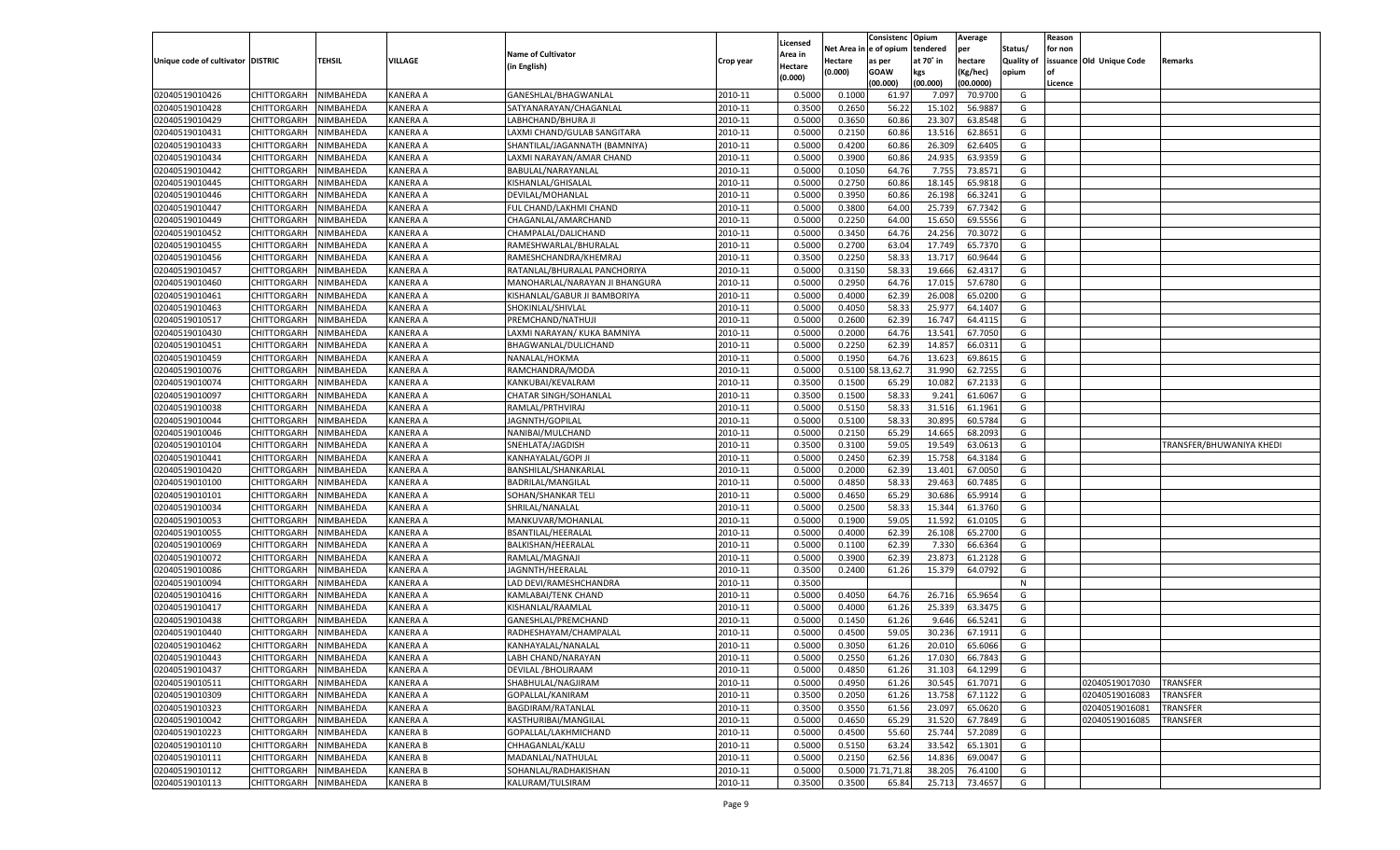|                                   |                                          |                        |                 |                                           |           |          |          | Consistenc Opium |           | Average   |                   | Reason    |                          |                          |
|-----------------------------------|------------------------------------------|------------------------|-----------------|-------------------------------------------|-----------|----------|----------|------------------|-----------|-----------|-------------------|-----------|--------------------------|--------------------------|
|                                   |                                          |                        |                 |                                           |           | Licensed | Net Area | e of opium       | tendered  | per       | Status/           | for non   |                          |                          |
| Unique code of cultivator DISTRIC |                                          | TEHSIL                 | VILLAGE         | <b>Name of Cultivator</b>                 | Crop year | Area in  | Hectare  | as per           | at 70˚ in | hectare   | <b>Quality of</b> |           | issuance Old Unique Code | Remarks                  |
|                                   |                                          |                        |                 | (in English)                              |           | Hectare  | (0.000)  | <b>GOAW</b>      | kgs       | (Kg/hec)  | opium             | <b>of</b> |                          |                          |
|                                   |                                          |                        |                 |                                           |           | (0.000)  |          | (00.000)         | (00.000)  | (00.0000) |                   | Licence   |                          |                          |
| 02040519010426                    | CHITTORGARH                              | NIMBAHEDA              | <b>KANERA A</b> | GANESHLAL/BHAGWANLAL                      | 2010-11   | 0.5000   | 0.1000   | 61.97            | 7.09      | 70.9700   | G                 |           |                          |                          |
| 02040519010428                    | CHITTORGARH                              | NIMBAHEDA              | KANERA A        | SATYANARAYAN/CHAGANLAL                    | 2010-11   | 0.3500   | 0.2650   | 56.22            | 15.102    | 56.988    | G                 |           |                          |                          |
| 02040519010429                    | <b>CHITTORGARH</b>                       | NIMBAHEDA              | KANERA A        | LABHCHAND/BHURA JI                        | 2010-11   | 0.5000   | 0.3650   | 60.86            | 23.307    | 63.8548   | G                 |           |                          |                          |
| 02040519010431                    | CHITTORGARH                              | NIMBAHEDA              | KANERA A        | LAXMI CHAND/GULAB SANGITARA               | 2010-11   | 0.5000   | 0.2150   | 60.86            | 13.516    | 62.8651   | G                 |           |                          |                          |
| 02040519010433                    | <b>CHITTORGARH</b>                       | NIMBAHEDA              | KANERA A        | SHANTILAL/JAGANNATH (BAMNIYA)             | 2010-11   | 0.5000   | 0.4200   | 60.86            | 26.309    | 62.6405   | G                 |           |                          |                          |
| 02040519010434                    | CHITTORGARH                              | NIMBAHEDA              | KANERA A        | LAXMI NARAYAN/AMAR CHAND                  | 2010-11   | 0.5000   | 0.3900   | 60.86            | 24.935    | 63.9359   | G                 |           |                          |                          |
| 02040519010442                    | <b>CHITTORGARH</b>                       | NIMBAHEDA              | KANERA A        | BABULAL/NARAYANLAL                        | 2010-11   | 0.5000   | 0.1050   | 64.76            | 7.755     | 73.8571   | G                 |           |                          |                          |
| 02040519010445                    | CHITTORGARH                              | NIMBAHEDA              | KANERA A        | KISHANLAL/GHISALAL                        | 2010-11   | 0.5000   | 0.2750   | 60.86            | 18.145    | 65.9818   | G                 |           |                          |                          |
| 02040519010446                    | CHITTORGARH                              | NIMBAHEDA              | KANERA A        | DEVILAL/MOHANLAL                          | 2010-11   | 0.5000   | 0.3950   | 60.86            | 26.198    | 66.3241   | G                 |           |                          |                          |
| 02040519010447                    | CHITTORGARH                              | NIMBAHEDA              | KANERA A        | FUL CHAND/LAKHMI CHAND                    | 2010-11   | 0.5000   | 0.3800   | 64.00            | 25.739    | 67.7342   | G                 |           |                          |                          |
| 02040519010449                    | CHITTORGARH                              | NIMBAHEDA              | KANERA A        | CHAGANLAL/AMARCHAND                       | 2010-11   | 0.5000   | 0.2250   | 64.00            | 15.65     | 69.5556   | G                 |           |                          |                          |
| 02040519010452                    | CHITTORGARH                              | NIMBAHEDA              | KANERA A        | CHAMPALAL/DALICHAND                       | 2010-11   | 0.5000   | 0.3450   | 64.76            | 24.25     | 70.3072   | G                 |           |                          |                          |
| 02040519010455                    | <b>CHITTORGARH</b>                       | NIMBAHEDA              | KANERA A        | RAMESHWARLAL/BHURALAL                     | 2010-11   | 0.5000   | 0.2700   | 63.04            | 17.749    | 65.7370   | G                 |           |                          |                          |
| 02040519010456                    | CHITTORGARH                              | NIMBAHEDA              | KANERA A        | RAMESHCHANDRA/KHEMRAJ                     | 2010-11   | 0.3500   | 0.2250   | 58.3             | 13.717    | 60.9644   | G                 |           |                          |                          |
| 02040519010457                    | <b>CHITTORGARH</b>                       | NIMBAHEDA              | KANERA A        | RATANLAL/BHURALAL PANCHORIYA              | 2010-11   | 0.5000   | 0.3150   | 58.33            | 19.666    | 62.4317   | G                 |           |                          |                          |
| 02040519010460                    | CHITTORGARH                              | NIMBAHEDA              | KANERA A        | MANOHARLAL/NARAYAN JI BHANGURA            | 2010-11   | 0.5000   | 0.2950   | 64.76            | 17.015    | 57.6780   | G                 |           |                          |                          |
|                                   | <b>CHITTORGARH</b>                       | NIMBAHEDA              | KANERA A        |                                           | 2010-11   |          | 0.4000   |                  | 26.008    | 65.0200   | G                 |           |                          |                          |
| 02040519010461                    | <b>CHITTORGARH</b>                       |                        |                 | KISHANLAL/GABUR JI BAMBORIYA              |           | 0.5000   |          | 62.39            |           |           |                   |           |                          |                          |
| 02040519010463                    |                                          | NIMBAHEDA              | KANERA A        | SHOKINLAL/SHIVLAL                         | 2010-11   | 0.5000   | 0.4050   | 58.3             | 25.977    | 64.1407   | G                 |           |                          |                          |
| 02040519010517                    | <b>CHITTORGARH</b>                       | NIMBAHEDA              | KANERA A        | PREMCHAND/NATHUJI                         | 2010-11   | 0.5000   | 0.2600   | 62.39            | 16.747    | 64.4115   | G                 |           |                          |                          |
| 02040519010430                    | CHITTORGARH                              | NIMBAHEDA              | KANERA A        | LAXMI NARAYAN/ KUKA BAMNIYA               | 2010-11   | 0.5000   | 0.2000   | 64.76            | 13.541    | 67.7050   | G                 |           |                          |                          |
| 02040519010451                    | <b>CHITTORGARH</b>                       | NIMBAHEDA              | KANERA A        | BHAGWANLAL/DULICHAND                      | 2010-11   | 0.5000   | 0.2250   | 62.39            | 14.857    | 66.0311   | G                 |           |                          |                          |
| 02040519010459                    | <b>CHITTORGARH</b>                       | NIMBAHEDA              | KANERA A        | NANALAL/HOKMA                             | 2010-11   | 0.5000   | 0.1950   | 64.76            | 13.623    | 69.861    | G                 |           |                          |                          |
| 02040519010076                    | <b>CHITTORGARH</b>                       | NIMBAHEDA              | KANERA A        | RAMCHANDRA/MODA                           | 2010-11   | 0.5000   | 0.5100   | 8.13,62.         | 31.990    | 62.7255   | G                 |           |                          |                          |
| 02040519010074                    | CHITTORGARH                              | NIMBAHEDA              | KANERA A        | KANKUBAI/KEVALRAM                         | 2010-11   | 0.3500   | 0.1500   | 65.29            | 10.082    | 67.2133   | G                 |           |                          |                          |
| 02040519010097                    | <b>CHITTORGARH</b>                       | NIMBAHEDA              | KANERA A        | CHATAR SINGH/SOHANLAL                     | 2010-11   | 0.3500   | 0.1500   | 58.33            | 9.241     | 61.6067   | G                 |           |                          |                          |
| 02040519010038                    | <b>CHITTORGARH</b>                       | NIMBAHEDA              | KANERA A        | RAMLAL/PRTHVIRAJ                          | 2010-11   | 0.5000   | 0.5150   | 58.33            | 31.516    | 61.1961   | G                 |           |                          |                          |
| 02040519010044                    | <b>CHITTORGARH</b>                       | NIMBAHEDA              | KANERA A        | JAGNNTH/GOPILAL                           | 2010-11   | 0.5000   | 0.5100   | 58.33            | 30.895    | 60.5784   | G                 |           |                          |                          |
| 02040519010046                    | CHITTORGARH                              | NIMBAHEDA              | KANERA A        | NANIBAI/MULCHAND                          | 2010-11   | 0.5000   | 0.2150   | 65.29            | 14.665    | 68.209    | G                 |           |                          |                          |
| 02040519010104                    | <b>CHITTORGARH</b>                       | NIMBAHEDA              | KANERA A        | SNEHLATA/JAGDISH                          | 2010-11   | 0.3500   | 0.3100   | 59.05            | 19.549    | 63.0613   | G                 |           |                          | TRANSFER/BHUWANIYA KHEDI |
| 02040519010441                    | CHITTORGARH                              | NIMBAHEDA              | KANERA A        | KANHAYALAL/GOPI JI                        | 2010-11   | 0.5000   | 0.2450   | 62.39            | 15.758    | 64.3184   | G                 |           |                          |                          |
| 02040519010420                    | CHITTORGARH                              | NIMBAHEDA              | KANERA A        | BANSHILAL/SHANKARLAI                      | 2010-11   | 0.5000   | 0.2000   | 62.39            | 13.401    | 67.0050   | G                 |           |                          |                          |
| 02040519010100                    | CHITTORGARH                              | NIMBAHEDA              | KANERA A        | BADRILAL/MANGILAL                         | 2010-11   | 0.5000   | 0.4850   | 58.33            | 29.463    | 60.7485   | G                 |           |                          |                          |
| 02040519010101                    | <b>CHITTORGARH</b>                       | NIMBAHEDA              | KANERA A        | SOHAN/SHANKAR TELI                        | 2010-11   | 0.5000   | 0.4650   | 65.29            | 30.686    | 65.9914   | G                 |           |                          |                          |
| 02040519010034                    | CHITTORGARH                              | NIMBAHEDA              | KANERA A        | SHRILAL/NANALAL                           | 2010-11   | 0.5000   | 0.2500   | 58.33            | 15.34     | 61.3760   | G                 |           |                          |                          |
| 02040519010053                    | <b>CHITTORGARH</b>                       | NIMBAHEDA              | KANERA A        | MANKUVAR/MOHANLAL                         | 2010-11   | 0.5000   | 0.1900   | 59.05            | 11.592    | 61.0105   | G                 |           |                          |                          |
| 02040519010055                    | CHITTORGARH                              | NIMBAHEDA              | KANERA A        | BSANTILAL/HEERALAL                        | 2010-11   | 0.5000   | 0.4000   | 62.39            | 26.108    | 65.2700   | G                 |           |                          |                          |
| 02040519010069                    | CHITTORGARH                              | NIMBAHEDA              | KANERA A        | BALKISHAN/HEERALAL                        | 2010-11   | 0.5000   | 0.1100   | 62.39            | 7.330     | 66.6364   | G                 |           |                          |                          |
| 02040519010072                    | CHITTORGARH                              | NIMBAHEDA              | KANERA A        | RAMLAL/MAGNAJI                            | 2010-11   | 0.5000   | 0.3900   | 62.39            | 23.873    | 61.2128   | G                 |           |                          |                          |
| 02040519010086                    | CHITTORGARH                              | NIMBAHEDA              | KANERA A        | JAGNNTH/HEERALAL                          | 2010-11   | 0.3500   | 0.2400   | 61.26            | 15.379    | 64.0792   | G                 |           |                          |                          |
| 02040519010094                    | CHITTORGARH                              | NIMBAHEDA              | KANERA A        | LAD DEVI/RAMESHCHANDRA                    | 2010-11   | 0.3500   |          |                  |           |           | N                 |           |                          |                          |
| 02040519010416                    | <b>CHITTORGARH</b>                       | NIMBAHEDA              | KANERA A        | KAMLABAI/TENK CHAND                       | 2010-11   | 0.5000   | 0.4050   | 64.76            | 26.716    | 65.965    | G                 |           |                          |                          |
| 02040519010417                    | CHITTORGARH                              | NIMBAHEDA              | KANERA A        | KISHANLAL/RAAMLAI                         | 2010-11   | 0.5000   | 0.4000   | 61.26            | 25.33     | 63.347    | G                 |           |                          |                          |
| 02040519010438                    | CHITTORGARH                              | NIMBAHEDA              | KANERA A        | GANESHLAL/PREMCHAND                       | 2010-11   | 0.5000   | 0.1450   | 61.26            | 9.646     | 66.5241   | G                 |           |                          |                          |
| 02040519010440                    | CHITTORGARH                              | NIMBAHEDA              | KANERA A        | RADHESHAYAM/CHAMPALAL                     | 2010-11   | 0.5000   | 0.4500   | 59.05            | 30.236    | 67.1911   | G                 |           |                          |                          |
| 02040519010462                    | CHITTORGARH                              | NIMBAHEDA              | KANERA A        | KANHAYALAL/NANALAI                        | 2010-11   | 0.5000   | 0.3050   | 61.26            | 20.010    | 65.6066   | G                 |           |                          |                          |
|                                   |                                          |                        |                 |                                           | 2010-11   |          |          |                  |           |           | G                 |           |                          |                          |
| 02040519010443                    | CHITTORGARH                              | NIMBAHEDA              | <b>KANERA A</b> | LABH CHAND/NARAYAN                        |           | 0.5000   | 0.2550   | 61.26            | 17.030    | 66.7843   |                   |           |                          |                          |
| 02040519010437                    | <b>CHITTORGARH</b><br><b>CHITTORGARH</b> | NIMBAHEDA<br>NIMBAHEDA | <b>KANERA A</b> | DEVILAL / BHOLIRAAM<br>SHABHULAL/NAGJIRAM | 2010-11   | 0.5000   | 0.4850   | 61.26            | 31.103    | 64.1299   | G<br>G            |           |                          | <b>TRANSFER</b>          |
| 02040519010511                    |                                          |                        | <b>KANERA A</b> |                                           | 2010-11   | 0.5000   | 0.4950   | 61.26            | 30.545    | 61.7071   |                   |           | 02040519017030           |                          |
| 02040519010309                    | <b>CHITTORGARH</b>                       | NIMBAHEDA              | <b>KANERA A</b> | GOPALLAL/KANIRAM                          | 2010-11   | 0.3500   | 0.2050   | 61.26            | 13.758    | 67.1122   | G                 |           | 02040519016083           | <b>TRANSFER</b>          |
| 02040519010323                    | <b>CHITTORGARH</b>                       | NIMBAHEDA              | <b>KANERA A</b> | BAGDIRAM/RATANLAL                         | 2010-11   | 0.3500   | 0.3550   | 61.56            | 23.097    | 65.0620   | G                 |           | 02040519016081           | TRANSFER                 |
| 02040519010042                    | <b>CHITTORGARH</b>                       | NIMBAHEDA              | <b>KANERA A</b> | KASTHURIBAI/MANGILAL                      | 2010-11   | 0.5000   | 0.4650   | 65.29            | 31.520    | 67.7849   | G                 |           | 02040519016085           | TRANSFER                 |
| 02040519010223                    | <b>CHITTORGARH</b>                       | NIMBAHEDA              | <b>KANERA B</b> | GOPALLAL/LAKHMICHAND                      | 2010-11   | 0.5000   | 0.4500   | 55.60            | 25.744    | 57.2089   | G                 |           |                          |                          |
| 02040519010110                    | <b>CHITTORGARH</b>                       | NIMBAHEDA              | <b>KANERA B</b> | CHHAGANLAL/KALU                           | 2010-11   | 0.5000   | 0.5150   | 63.24            | 33.542    | 65.1301   | G                 |           |                          |                          |
| 02040519010111                    | <b>CHITTORGARH</b>                       | NIMBAHEDA              | <b>KANERA B</b> | MADANLAL/NATHULAL                         | 2010-11   | 0.5000   | 0.2150   | 62.56            | 14.836    | 69.0047   | G                 |           |                          |                          |
| 02040519010112                    | <b>CHITTORGARH</b>                       | NIMBAHEDA              | <b>KANERA B</b> | SOHANLAL/RADHAKISHAN                      | 2010-11   | 0.5000   | 0.5000   | 1.71,71.8        | 38.205    | 76.4100   | G                 |           |                          |                          |
| 02040519010113                    | CHITTORGARH                              | NIMBAHEDA              | <b>KANERA B</b> | KALURAM/TULSIRAM                          | 2010-11   | 0.3500   | 0.3500   | 65.84            | 25.713    | 73.4657   | G                 |           |                          |                          |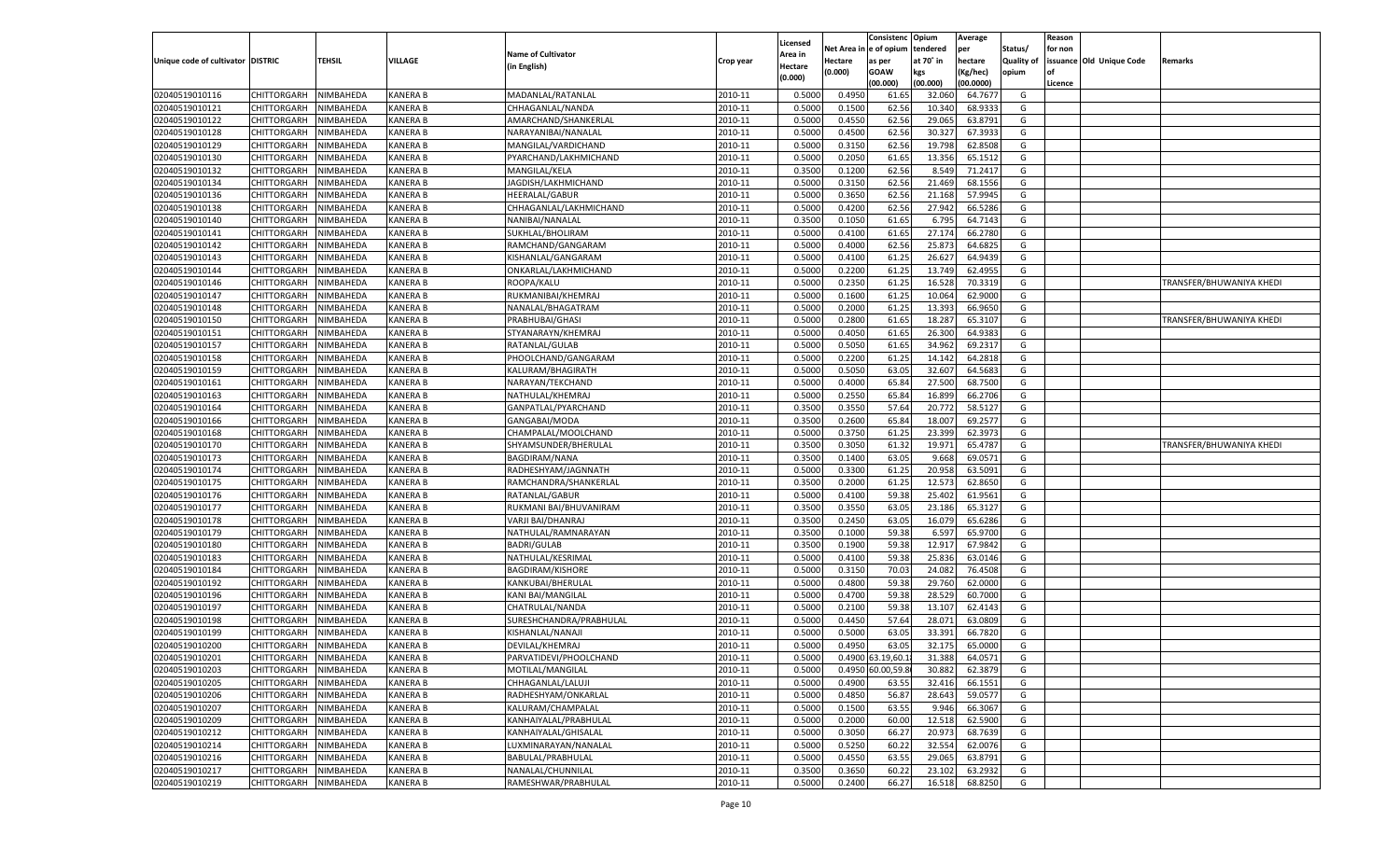|                                   |                       |           |                 |                           |           |                     |            | Consistenc        | Opium     | Average   |            | Reason  |                          |                          |
|-----------------------------------|-----------------------|-----------|-----------------|---------------------------|-----------|---------------------|------------|-------------------|-----------|-----------|------------|---------|--------------------------|--------------------------|
|                                   |                       |           |                 | <b>Name of Cultivator</b> |           | Licensed<br>Area in | Net Area i | n e of opium      | tendered  | per       | Status/    | for non |                          |                          |
| Unique code of cultivator DISTRIC |                       | TEHSIL    | VILLAGE         | (in English)              | Crop year | Hectare             | Hectare    | as per            | at 70° in | hectare   | Quality of |         | issuance Old Unique Code | Remarks                  |
|                                   |                       |           |                 |                           |           | (0.000)             | (0.000)    | <b>GOAW</b>       | kgs       | (Kg/hec)  | opium      |         |                          |                          |
|                                   |                       |           |                 |                           |           |                     |            | (00.000)          | (00.000)  | (00.0000) |            | Licence |                          |                          |
| 02040519010116                    | CHITTORGARH           | NIMBAHEDA | <b>KANERA B</b> | MADANLAL/RATANLAL         | 2010-11   | 0.5000              | 0.4950     | 61.65             | 32.060    | 64.7677   | G          |         |                          |                          |
| 02040519010121                    | CHITTORGARH           | NIMBAHEDA | <b>KANERA B</b> | CHHAGANLAL/NANDA          | 2010-11   | 0.5000              | 0.1500     | 62.56             | 10.34     | 68.9333   | G          |         |                          |                          |
| 02040519010122                    | CHITTORGARH           | NIMBAHEDA | <b>KANERA B</b> | AMARCHAND/SHANKERLAL      | 2010-11   | 0.5000              | 0.4550     | 62.56             | 29.065    | 63.8791   | G          |         |                          |                          |
| 02040519010128                    | CHITTORGARH           | NIMBAHEDA | <b>KANERA B</b> | NARAYANIBAI/NANALAL       | 2010-11   | 0.5000              | 0.4500     | 62.56             | 30.32     | 67.3933   | G          |         |                          |                          |
| 02040519010129                    | CHITTORGARH           | NIMBAHEDA | <b>KANERA B</b> | MANGILAL/VARDICHAND       | 2010-11   | 0.5000              | 0.3150     | 62.56             | 19.798    | 62.8508   | G          |         |                          |                          |
| 02040519010130                    | CHITTORGARH           | NIMBAHEDA | <b>KANERA B</b> | PYARCHAND/LAKHMICHAND     | 2010-11   | 0.5000              | 0.2050     | 61.65             | 13.356    | 65.1512   | G          |         |                          |                          |
| 02040519010132                    | CHITTORGARH           | NIMBAHEDA | <b>KANERA B</b> | MANGILAL/KELA             | 2010-11   | 0.3500              | 0.1200     | 62.56             | 8.549     | 71.2417   | G          |         |                          |                          |
| 02040519010134                    | CHITTORGARH           | NIMBAHEDA | <b>KANERA B</b> | JAGDISH/LAKHMICHAND       | 2010-11   | 0.5000              | 0.3150     | 62.56             | 21.469    | 68.1556   | G          |         |                          |                          |
| 02040519010136                    | CHITTORGARH           | NIMBAHEDA | <b>KANERA B</b> | HEERALAL/GABUR            | 2010-11   | 0.5000              | 0.3650     | 62.56             | 21.168    | 57.9945   | G          |         |                          |                          |
| 02040519010138                    | CHITTORGARH           | NIMBAHEDA | <b>KANERA B</b> | CHHAGANLAL/LAKHMICHAND    | 2010-11   | 0.5000              | 0.4200     | 62.56             | 27.942    | 66.5286   | G          |         |                          |                          |
| 02040519010140                    | CHITTORGARH           | NIMBAHEDA | <b>KANERA B</b> | NANIBAI/NANALAL           | 2010-11   | 0.3500              | 0.1050     | 61.65             | 6.795     | 64.7143   | G          |         |                          |                          |
| 02040519010141                    | CHITTORGARH           | NIMBAHEDA | <b>KANERA B</b> | SUKHLAL/BHOLIRAM          | 2010-11   | 0.5000              | 0.4100     | 61.65             | 27.174    | 66.2780   | G          |         |                          |                          |
| 02040519010142                    | CHITTORGARH           | NIMBAHEDA | <b>KANERA B</b> | RAMCHAND/GANGARAM         | 2010-11   | 0.5000              | 0.4000     | 62.56             | 25.873    | 64.6825   | G          |         |                          |                          |
| 02040519010143                    | CHITTORGARH           | NIMBAHEDA | KANERA B        | KISHANLAL/GANGARAM        | 2010-11   | 0.5000              | 0.4100     | 61.25             | 26.627    | 64.9439   | G          |         |                          |                          |
| 02040519010144                    | CHITTORGARH           | NIMBAHEDA | KANERA B        | ONKARLAL/LAKHMICHAND      | 2010-11   | 0.5000              | 0.2200     | 61.25             | 13.749    | 62.4955   | G          |         |                          |                          |
| 02040519010146                    | CHITTORGARH           | NIMBAHEDA | KANERA B        | ROOPA/KALU                | 2010-11   | 0.5000              | 0.2350     | 61.25             | 16.528    | 70.3319   | G          |         |                          | TRANSFER/BHUWANIYA KHEDI |
| 02040519010147                    | CHITTORGARH           | NIMBAHEDA | KANERA B        | RUKMANIBAI/KHEMRAJ        | 2010-11   | 0.5000              | 0.1600     | 61.25             | 10.064    | 62.9000   | G          |         |                          |                          |
| 02040519010148                    | CHITTORGARH           | NIMBAHEDA | KANERA B        | NANALAL/BHAGATRAM         | 2010-11   | 0.5000              | 0.2000     | 61.25             | 13.393    | 66.9650   | G          |         |                          |                          |
| 02040519010150                    | CHITTORGARH           | NIMBAHEDA | KANERA B        | PRABHUBAI/GHASI           | 2010-11   | 0.5000              | 0.2800     | 61.65             | 18.287    | 65.3107   | G          |         |                          | TRANSFER/BHUWANIYA KHEDI |
| 02040519010151                    | CHITTORGARH           | NIMBAHEDA | KANERA B        | STYANARAYN/KHEMRAJ        | 2010-11   | 0.5000              | 0.4050     | 61.65             | 26.300    | 64.9383   | G          |         |                          |                          |
| 02040519010157                    | CHITTORGARH           | NIMBAHEDA | KANERA B        | RATANLAL/GULAB            | 2010-11   | 0.5000              | 0.5050     | 61.65             | 34.962    | 69.2317   | G          |         |                          |                          |
| 02040519010158                    | CHITTORGARH           | NIMBAHEDA | KANERA B        | PHOOLCHAND/GANGARAM       | 2010-11   | 0.5000              | 0.2200     | 61.25             | 14.142    | 64.2818   | G          |         |                          |                          |
| 02040519010159                    | CHITTORGARH           | NIMBAHEDA | KANERA B        | KALURAM/BHAGIRATH         | 2010-11   | 0.5000              | 0.5050     | 63.05             | 32.607    | 64.5683   | G          |         |                          |                          |
| 02040519010161                    | CHITTORGARH           | NIMBAHEDA | KANERA B        | NARAYAN/TEKCHAND          | 2010-11   | 0.5000              | 0.4000     | 65.84             | 27.500    | 68.7500   | G          |         |                          |                          |
| 02040519010163                    | CHITTORGARH           | NIMBAHEDA | KANERA B        | NATHULAL/KHEMRAJ          | 2010-11   | 0.5000              | 0.2550     | 65.84             | 16.899    | 66.2706   | G          |         |                          |                          |
| 02040519010164                    | CHITTORGARH           | NIMBAHEDA | KANERA B        | GANPATLAL/PYARCHAND       | 2010-11   | 0.3500              | 0.3550     | 57.64             | 20.772    | 58.5127   | G          |         |                          |                          |
| 02040519010166                    | CHITTORGARH           | NIMBAHEDA | KANERA B        | GANGABAI/MODA             | 2010-11   | 0.3500              | 0.2600     | 65.84             | 18.007    | 69.2577   | G          |         |                          |                          |
| 02040519010168                    | CHITTORGARH           | NIMBAHEDA | KANERA B        | CHAMPALAL/MOOLCHAND       | 2010-11   | 0.5000              | 0.3750     | 61.25             | 23.399    | 62.3973   | G          |         |                          |                          |
| 02040519010170                    | CHITTORGARH           | NIMBAHEDA | KANERA B        | SHYAMSUNDER/BHERULAL      | 2010-11   | 0.3500              | 0.3050     | 61.32             | 19.971    | 65.4787   | G          |         |                          | TRANSFER/BHUWANIYA KHEDI |
| 02040519010173                    | CHITTORGARH           | NIMBAHEDA | KANERA B        | <b>BAGDIRAM/NANA</b>      | 2010-11   | 0.3500              | 0.1400     | 63.05             | 9.668     | 69.0571   | G          |         |                          |                          |
| 02040519010174                    | CHITTORGARH           | NIMBAHEDA | <b>KANERA B</b> | RADHESHYAM/JAGNNATH       | 2010-11   | 0.5000              | 0.3300     | 61.25             | 20.958    | 63.5091   | G          |         |                          |                          |
| 02040519010175                    | CHITTORGARH           | NIMBAHEDA | KANERA B        | RAMCHANDRA/SHANKERLAL     | 2010-11   | 0.3500              | 0.2000     | 61.25             | 12.573    | 62.8650   | G          |         |                          |                          |
| 02040519010176                    | CHITTORGARH           | NIMBAHEDA | <b>KANERA B</b> | RATANLAL/GABUR            | 2010-11   | 0.5000              | 0.4100     | 59.38             | 25.402    | 61.9561   | G          |         |                          |                          |
| 02040519010177                    | CHITTORGARH           | NIMBAHEDA | <b>KANERA B</b> | RUKMANI BAI/BHUVANIRAM    | 2010-11   | 0.3500              | 0.3550     | 63.05             | 23.186    | 65.3127   | G          |         |                          |                          |
| 02040519010178                    | CHITTORGARH           | NIMBAHEDA | <b>KANERA B</b> | VARJI BAI/DHANRAJ         | 2010-11   | 0.3500              | 0.2450     | 63.05             | 16.079    | 65.6286   | G          |         |                          |                          |
| 02040519010179                    | CHITTORGARH           | NIMBAHEDA | KANERA B        | NATHULAL/RAMNARAYAN       | 2010-11   | 0.3500              | 0.1000     | 59.38             | 6.597     | 65.9700   | G          |         |                          |                          |
| 02040519010180                    | CHITTORGARH           | NIMBAHEDA | <b>KANERA B</b> | <b>BADRI/GULAB</b>        | 2010-11   | 0.3500              | 0.1900     | 59.38             | 12.917    | 67.9842   | G          |         |                          |                          |
| 02040519010183                    | CHITTORGARH           | NIMBAHEDA | KANERA B        | NATHULAL/KESRIMAL         | 2010-11   | 0.5000              | 0.4100     | 59.38             | 25.836    | 63.0146   | G          |         |                          |                          |
| 02040519010184                    | CHITTORGARH           | NIMBAHEDA | <b>KANERA B</b> | <b>BAGDIRAM/KISHORE</b>   | 2010-11   | 0.5000              | 0.3150     | 70.03             | 24.082    | 76.4508   | G          |         |                          |                          |
| 02040519010192                    | CHITTORGARH           | NIMBAHEDA | KANERA B        | KANKUBAI/BHERULAL         | 2010-11   | 0.5000              | 0.4800     | 59.38             | 29.760    | 62.0000   | G          |         |                          |                          |
| 02040519010196                    | CHITTORGARH           | NIMBAHEDA | <b>KANERA B</b> | <b>KANI BAI/MANGILAL</b>  | 2010-11   | 0.5000              | 0.4700     | 59.38             | 28.529    | 60.7000   | G          |         |                          |                          |
| 02040519010197                    | CHITTORGARH           | NIMBAHEDA | KANERA B        | CHATRULAL/NANDA           | 2010-11   | 0.5000              | 0.2100     | 59.38             | 13.107    | 62.4143   | G          |         |                          |                          |
| 02040519010198                    | CHITTORGARH           | NIMBAHEDA | <b>KANERA B</b> | SURESHCHANDRA/PRABHULAL   | 2010-11   | 0.5000              | 0.4450     | 57.64             | 28.071    | 63.0809   | G          |         |                          |                          |
| 02040519010199                    | CHITTORGARH           | NIMBAHEDA | KANERA B        | KISHANLAL/NANAJI          | 2010-11   | 0.5000              | 0.5000     | 63.05             | 33.391    | 66.7820   | G          |         |                          |                          |
| 02040519010200                    | CHITTORGARH           | NIMBAHEDA | <b>KANERA B</b> | DEVILAL/KHEMRAJ           | 2010-11   | 0.5000              | 0.4950     | 63.05             | 32.175    | 65.0000   | G          |         |                          |                          |
| 02040519010201                    | CHITTORGARH NIMBAHEDA |           | <b>KANERA B</b> | PARVATIDEVI/PHOOLCHAND    | 2010-11   | 0.5000              |            | 0.4900 63.19,60.1 | 31.388    | 64.0571   | G          |         |                          |                          |
| 02040519010203                    | <b>CHITTORGARH</b>    | NIMBAHEDA | <b>KANERA B</b> | MOTILAL/MANGILAL          | 2010-11   | 0.5000              |            | 0.4950 60.00,59.8 | 30.882    | 62.3879   | G          |         |                          |                          |
| 02040519010205                    | <b>CHITTORGARH</b>    | NIMBAHEDA | <b>KANERA B</b> | CHHAGANLAL/LALUJI         | 2010-11   | 0.5000              | 0.4900     | 63.55             | 32.416    | 66.1551   | G          |         |                          |                          |
| 02040519010206                    | <b>CHITTORGARH</b>    | NIMBAHEDA | <b>KANERA B</b> | RADHESHYAM/ONKARLAL       | 2010-11   | 0.5000              | 0.4850     | 56.87             | 28.643    | 59.0577   | G          |         |                          |                          |
| 02040519010207                    | <b>CHITTORGARH</b>    | NIMBAHEDA | <b>KANERA B</b> | KALURAM/CHAMPALAL         | 2010-11   | 0.5000              | 0.1500     | 63.55             | 9.946     | 66.3067   | G          |         |                          |                          |
| 02040519010209                    | CHITTORGARH           | NIMBAHEDA | <b>KANERA B</b> | KANHAIYALAL/PRABHULAL     | 2010-11   | 0.5000              | 0.2000     | 60.00             | 12.518    | 62.5900   | G          |         |                          |                          |
| 02040519010212                    | CHITTORGARH           | NIMBAHEDA | <b>KANERA B</b> | KANHAIYALAL/GHISALAL      | 2010-11   | 0.5000              | 0.3050     | 66.27             | 20.973    | 68.7639   | G          |         |                          |                          |
| 02040519010214                    | CHITTORGARH           | NIMBAHEDA | <b>KANERA B</b> | LUXMINARAYAN/NANALAL      | 2010-11   | 0.5000              | 0.5250     | 60.22             | 32.554    | 62.0076   | G          |         |                          |                          |
| 02040519010216                    | CHITTORGARH           | NIMBAHEDA | <b>KANERA B</b> | BABULAL/PRABHULAL         | 2010-11   | 0.5000              | 0.4550     | 63.55             | 29.065    | 63.8791   | G          |         |                          |                          |
| 02040519010217                    | CHITTORGARH           | NIMBAHEDA | <b>KANERA B</b> | NANALAL/CHUNNILAL         | 2010-11   | 0.3500              | 0.3650     | 60.22             | 23.102    | 63.2932   | G          |         |                          |                          |
| 02040519010219                    |                       | NIMBAHEDA | <b>KANERA B</b> | RAMESHWAR/PRABHULAL       | 2010-11   | 0.5000              | 0.2400     | 66.27             | 16.518    | 68.8250   | G          |         |                          |                          |
|                                   | <b>CHITTORGARH</b>    |           |                 |                           |           |                     |            |                   |           |           |            |         |                          |                          |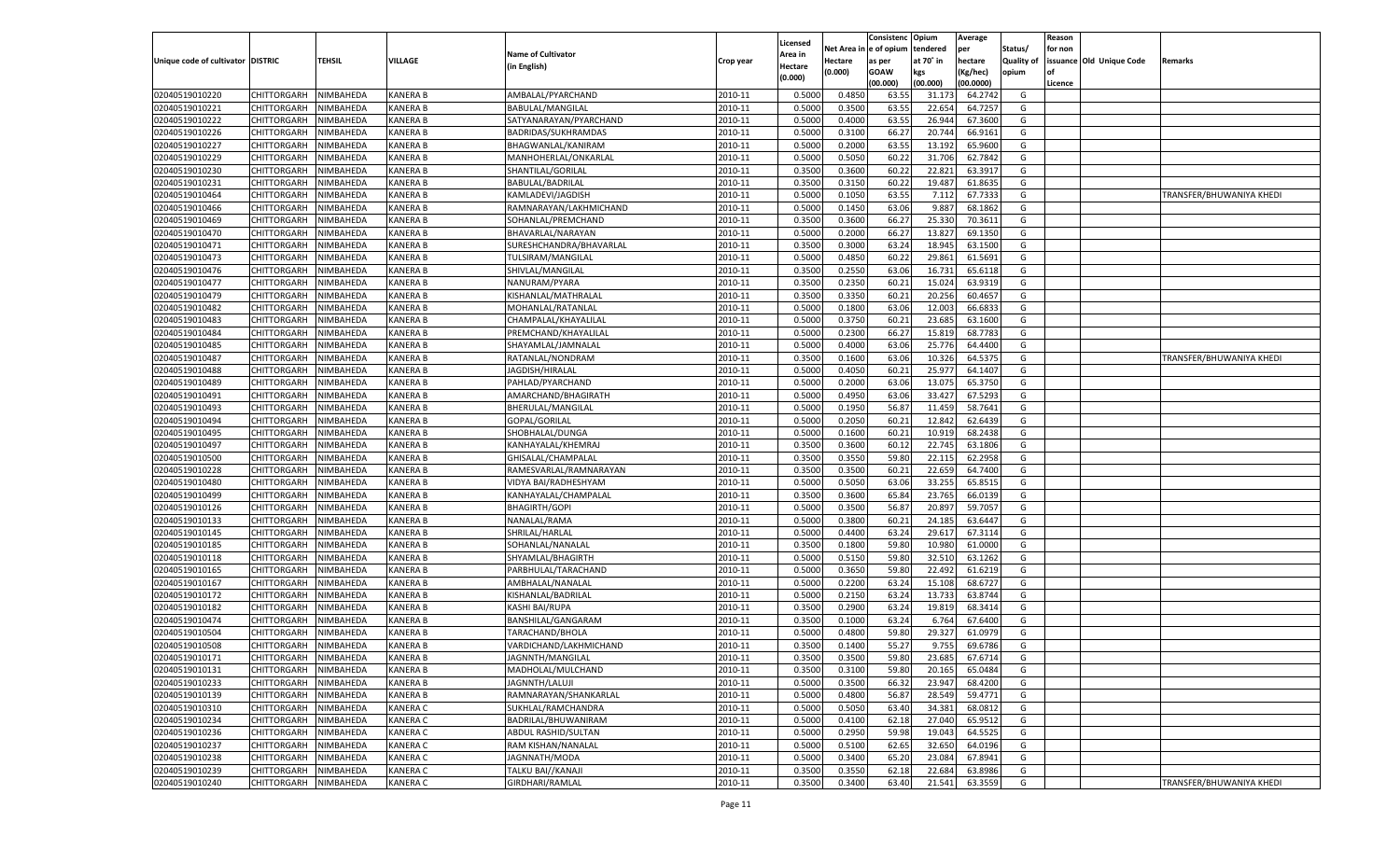|                                   |                    |           |                 |                            |           |          |            | Consistenc Opium |           | Average   |                   | Reason  |                          |                          |
|-----------------------------------|--------------------|-----------|-----------------|----------------------------|-----------|----------|------------|------------------|-----------|-----------|-------------------|---------|--------------------------|--------------------------|
|                                   |                    |           |                 |                            |           | Licensed | Net Area i | l e of opium     | tendered  | per       | Status/           | for non |                          |                          |
| Unique code of cultivator DISTRIC |                    | TEHSIL    | VILLAGE         | <b>Name of Cultivator</b>  | Crop year | Area in  | Hectare    | as per           | at 70° in | hectare   | <b>Quality of</b> |         | issuance Old Unique Code | Remarks                  |
|                                   |                    |           |                 | (in English)               |           | Hectare  | (0.000)    | <b>GOAW</b>      | kgs       | (Kg/hec)  | opium             | nf      |                          |                          |
|                                   |                    |           |                 |                            |           | (0.000)  |            | (00.000)         | (00.000)  | (00.0000) |                   | Licence |                          |                          |
| 02040519010220                    | CHITTORGARH        | NIMBAHEDA | <b>KANERA B</b> | AMBALAL/PYARCHAND          | 2010-11   | 0.5000   | 0.4850     | 63.55            | 31.173    | 64.2742   | G                 |         |                          |                          |
| 02040519010221                    | CHITTORGARH        | NIMBAHEDA | <b>KANERA B</b> | <b>BABULAL/MANGILAL</b>    | 2010-11   | 0.5000   | 0.3500     | 63.55            | 22.654    | 64.7257   | G                 |         |                          |                          |
| 02040519010222                    | CHITTORGARH        | NIMBAHEDA | <b>KANERA B</b> | SATYANARAYAN/PYARCHAND     | 2010-11   | 0.5000   | 0.4000     | 63.55            | 26.944    | 67.3600   | G                 |         |                          |                          |
| 02040519010226                    | CHITTORGARH        | NIMBAHEDA | KANERA B        | BADRIDAS/SUKHRAMDAS        | 2010-11   | 0.5000   | 0.3100     | 66.27            | 20.74     | 66.9161   | G                 |         |                          |                          |
| 02040519010227                    | CHITTORGARH        | NIMBAHEDA | <b>KANERA B</b> | BHAGWANLAL/KANIRAM         | 2010-11   | 0.5000   | 0.2000     | 63.55            | 13.192    | 65.9600   | G                 |         |                          |                          |
| 02040519010229                    | CHITTORGARH        | NIMBAHEDA | <b>KANERA B</b> | MANHOHERLAL/ONKARLAL       | 2010-11   | 0.5000   | 0.5050     | 60.2             | 31.706    | 62.7842   | G                 |         |                          |                          |
| 02040519010230                    | CHITTORGARH        | NIMBAHEDA | <b>KANERA B</b> | SHANTILAL/GORILAL          | 2010-11   | 0.3500   | 0.3600     | 60.22            | 22.821    | 63.391    | G                 |         |                          |                          |
| 02040519010231                    | CHITTORGARH        | NIMBAHEDA | KANERA B        | <b>BABULAL/BADRILAL</b>    | 2010-11   | 0.3500   | 0.3150     | 60.22            | 19.487    | 61.8635   | G                 |         |                          |                          |
| 02040519010464                    | CHITTORGARH        | NIMBAHEDA | <b>KANERA B</b> | KAMLADEVI/JAGDISH          | 2010-11   | 0.5000   | 0.1050     | 63.55            | 7.112     | 67.7333   | G                 |         |                          | TRANSFER/BHUWANIYA KHEDI |
| 02040519010466                    | CHITTORGARH        | NIMBAHEDA | <b>KANERA B</b> | RAMNARAYAN/LAKHMICHAND     | 2010-11   | 0.5000   | 0.1450     | 63.06            | 9.887     | 68.1862   | G                 |         |                          |                          |
| 02040519010469                    | CHITTORGARH        | NIMBAHEDA | <b>KANERA B</b> | SOHANLAL/PREMCHAND         | 2010-11   | 0.3500   | 0.3600     | 66.27            | 25.330    | 70.3611   | G                 |         |                          |                          |
| 02040519010470                    | CHITTORGARH        | NIMBAHEDA | KANERA B        | BHAVARLAL/NARAYAN          | 2010-11   | 0.5000   | 0.2000     | 66.27            | 13.827    | 69.1350   | G                 |         |                          |                          |
| 02040519010471                    | CHITTORGARH        | NIMBAHEDA | <b>KANERA B</b> | SURESHCHANDRA/BHAVARLAL    | 2010-11   | 0.3500   | 0.3000     | 63.24            | 18.945    | 63.1500   | G                 |         |                          |                          |
| 02040519010473                    | CHITTORGARH        | NIMBAHEDA | KANERA B        | <b>TULSIRAM/MANGILAL</b>   | 2010-11   | 0.5000   | 0.4850     | 60.22            | 29.861    | 61.5691   | G                 |         |                          |                          |
| 02040519010476                    | CHITTORGARH        | NIMBAHEDA | <b>KANERA B</b> |                            | 2010-11   | 0.3500   | 0.2550     | 63.06            | 16.731    | 65.6118   | G                 |         |                          |                          |
|                                   |                    |           |                 | SHIVLAL/MANGILAL           |           |          |            |                  |           |           |                   |         |                          |                          |
| 02040519010477                    | CHITTORGARH        | NIMBAHEDA | <b>KANERA B</b> | NANURAM/PYARA              | 2010-11   | 0.3500   | 0.2350     | 60.21            | 15.024    | 63.9319   | G                 |         |                          |                          |
| 02040519010479                    | CHITTORGARH        | NIMBAHEDA | <b>KANERA B</b> | KISHANLAL/MATHRALAL        | 2010-11   | 0.3500   | 0.3350     | 60.21            | 20.256    | 60.4657   | G                 |         |                          |                          |
| 02040519010482                    | CHITTORGARH        | NIMBAHEDA | <b>KANERA B</b> | MOHANLAL/RATANLAL          | 2010-11   | 0.5000   | 0.1800     | 63.06            | 12.003    | 66.683    | G                 |         |                          |                          |
| 02040519010483                    | CHITTORGARH        | NIMBAHEDA | <b>KANERA B</b> | CHAMPALAL/KHAYALILAL       | 2010-11   | 0.5000   | 0.3750     | 60.21            | 23.685    | 63.1600   | G                 |         |                          |                          |
| 02040519010484                    | CHITTORGARH        | NIMBAHEDA | <b>KANERA B</b> | PREMCHAND/KHAYALILAL       | 2010-11   | 0.5000   | 0.2300     | 66.27            | 15.819    | 68.7783   | G                 |         |                          |                          |
| 02040519010485                    | CHITTORGARH        | NIMBAHEDA | <b>KANERA B</b> | SHAYAMLAL/JAMNALAL         | 2010-11   | 0.5000   | 0.4000     | 63.06            | 25.776    | 64.4400   | G                 |         |                          |                          |
| 02040519010487                    | CHITTORGARH        | NIMBAHEDA | <b>KANERA B</b> | RATANLAL/NONDRAM           | 2010-11   | 0.3500   | 0.1600     | 63.06            | 10.326    | 64.5375   | G                 |         |                          | TRANSFER/BHUWANIYA KHEDI |
| 02040519010488                    | CHITTORGARH        | NIMBAHEDA | <b>KANERA B</b> | JAGDISH/HIRALAL            | 2010-11   | 0.5000   | 0.4050     | 60.21            | 25.977    | 64.1407   | G                 |         |                          |                          |
| 02040519010489                    | CHITTORGARH        | NIMBAHEDA | <b>KANERA B</b> | PAHLAD/PYARCHAND           | 2010-11   | 0.5000   | 0.2000     | 63.06            | 13.075    | 65.3750   | G                 |         |                          |                          |
| 02040519010491                    | CHITTORGARH        | NIMBAHEDA | <b>KANERA B</b> | AMARCHAND/BHAGIRATH        | 2010-11   | 0.5000   | 0.4950     | 63.06            | 33.427    | 67.5293   | G                 |         |                          |                          |
| 02040519010493                    | CHITTORGARH        | NIMBAHEDA | <b>KANERA B</b> | BHERULAL/MANGILAL          | 2010-11   | 0.5000   | 0.1950     | 56.87            | 11.459    | 58.7641   | G                 |         |                          |                          |
| 02040519010494                    | CHITTORGARH        | NIMBAHEDA | <b>KANERA B</b> | GOPAL/GORILAL              | 2010-11   | 0.5000   | 0.2050     | 60.21            | 12.842    | 62.6439   | G                 |         |                          |                          |
| 02040519010495                    | CHITTORGARH        | NIMBAHEDA | <b>KANERA B</b> | SHOBHALAL/DUNGA            | 2010-11   | 0.5000   | 0.1600     | 60.21            | 10.919    | 68.2438   | G                 |         |                          |                          |
| 02040519010497                    | CHITTORGARH        | NIMBAHEDA | <b>KANERA B</b> | KANHAYALAL/KHEMRAJ         | 2010-11   | 0.3500   | 0.3600     | 60.12            | 22.745    | 63.1806   | G                 |         |                          |                          |
| 02040519010500                    | CHITTORGARH        | NIMBAHEDA | <b>KANERA B</b> | GHISALAL/CHAMPALAL         | 2010-11   | 0.3500   | 0.3550     | 59.80            | 22.115    | 62.2958   | G                 |         |                          |                          |
| 02040519010228                    | CHITTORGARH        | NIMBAHEDA | <b>KANERA B</b> | RAMESVARLAL/RAMNARAYAN     | 2010-11   | 0.3500   | 0.3500     | 60.21            | 22.659    | 64.7400   | G                 |         |                          |                          |
| 02040519010480                    | CHITTORGARH        | NIMBAHEDA | <b>KANERA B</b> | VIDYA BAI/RADHESHYAM       | 2010-11   | 0.5000   | 0.5050     | 63.06            | 33.255    | 65.8515   | G                 |         |                          |                          |
| 02040519010499                    | CHITTORGARH        | NIMBAHEDA | <b>KANERA B</b> | KANHAYALAL/CHAMPALAL       | 2010-11   | 0.3500   | 0.3600     | 65.84            | 23.765    | 66.0139   | G                 |         |                          |                          |
| 02040519010126                    | CHITTORGARH        | NIMBAHEDA | <b>KANERA B</b> | <b>BHAGIRTH/GOPI</b>       | 2010-11   | 0.5000   | 0.3500     | 56.87            | 20.897    | 59.705    | G                 |         |                          |                          |
| 02040519010133                    | CHITTORGARH        | NIMBAHEDA | <b>KANERA B</b> | NANALAL/RAMA               | 2010-11   | 0.5000   | 0.3800     | 60.21            | 24.185    | 63.6447   | G                 |         |                          |                          |
| 02040519010145                    | CHITTORGARH        | NIMBAHEDA | <b>KANERA B</b> | SHRILAL/HARLAL             | 2010-11   | 0.5000   | 0.4400     | 63.24            | 29.61     | 67.3114   | G                 |         |                          |                          |
| 02040519010185                    | CHITTORGARH        | NIMBAHEDA | <b>KANERA B</b> | SOHANLAL/NANALAL           | 2010-11   | 0.3500   | 0.1800     | 59.80            | 10.980    | 61.0000   | G                 |         |                          |                          |
| 02040519010118                    | CHITTORGARH        | NIMBAHEDA | <b>KANERA B</b> | SHYAMLAL/BHAGIRTH          | 2010-11   | 0.5000   | 0.5150     | 59.80            | 32.510    | 63.1262   | G                 |         |                          |                          |
|                                   |                    |           |                 |                            |           |          |            |                  |           |           |                   |         |                          |                          |
| 02040519010165                    | CHITTORGARH        | NIMBAHEDA | <b>KANERA B</b> | PARBHULAL/TARACHAND        | 2010-11   | 0.5000   | 0.3650     | 59.80            | 22.492    | 61.6219   | G                 |         |                          |                          |
| 02040519010167                    | CHITTORGARH        | NIMBAHEDA | <b>KANERA B</b> | AMBHALAL/NANALAL           | 2010-11   | 0.5000   | 0.2200     | 63.24            | 15.108    | 68.6727   | G                 |         |                          |                          |
| 02040519010172                    | CHITTORGARH        | NIMBAHEDA | <b>KANERA B</b> | KISHANLAL/BADRILAL         | 2010-11   | 0.5000   | 0.2150     | 63.24            | 13.733    | 63.8744   | G                 |         |                          |                          |
| 02040519010182                    | CHITTORGARH        | NIMBAHEDA | <b>KANERA B</b> | <b>KASHI BAI/RUPA</b>      | 2010-11   | 0.3500   | 0.2900     | 63.24            | 19.819    | 68.3414   | G                 |         |                          |                          |
| 02040519010474                    | CHITTORGARH        | NIMBAHEDA | <b>KANERA B</b> | BANSHILAL/GANGARAM         | 2010-11   | 0.3500   | 0.1000     | 63.24            | 6.764     | 67.6400   | G                 |         |                          |                          |
| 02040519010504                    | CHITTORGARH        | NIMBAHEDA | KANERA B        | TARACHAND/BHOLA            | 2010-11   | 0.5000   | 0.4800     | 59.80            | 29.32     | 61.0979   | G                 |         |                          |                          |
| 02040519010508                    | CHITTORGARH        | NIMBAHEDA | <b>KANERA B</b> | VARDICHAND/LAKHMICHAND     | 2010-11   | 0.3500   | 0.1400     | 55.27            | 9.755     | 69.6786   | G                 |         |                          |                          |
| 02040519010171                    | <b>CHITTORGARH</b> | NIMBAHEDA | KANERA B        | JAGNNTH/MANGILAL           | 2010-11   | 0.3500   | 0.3500     | 59.80            | 23.685    | 67.6714   | G                 |         |                          |                          |
| 02040519010131                    | <b>CHITTORGARH</b> | NIMBAHEDA | <b>KANERA B</b> | MADHOLAL/MULCHAND          | 2010-11   | 0.3500   | 0.3100     | 59.80            | 20.165    | 65.0484   | G                 |         |                          |                          |
| 02040519010233                    | CHITTORGARH        | NIMBAHEDA | <b>KANERA B</b> | JAGNNTH/LALUJI             | 2010-11   | 0.5000   | 0.3500     | 66.32            | 23.947    | 68.4200   | G                 |         |                          |                          |
| 02040519010139                    | CHITTORGARH        | NIMBAHEDA | <b>KANERA B</b> | RAMNARAYAN/SHANKARLAL      | 2010-11   | 0.5000   | 0.4800     | 56.87            | 28.549    | 59.4771   | G                 |         |                          |                          |
| 02040519010310                    | CHITTORGARH        | NIMBAHEDA | <b>KANERA C</b> | SUKHLAL/RAMCHANDRA         | 2010-11   | 0.5000   | 0.5050     | 63.40            | 34.381    | 68.0812   | G                 |         |                          |                          |
| 02040519010234                    | CHITTORGARH        | NIMBAHEDA | <b>KANERA C</b> | BADRILAL/BHUWANIRAM        | 2010-11   | 0.5000   | 0.4100     | 62.18            | 27.040    | 65.9512   | G                 |         |                          |                          |
| 02040519010236                    | CHITTORGARH        | NIMBAHEDA | <b>KANERA C</b> | <b>ABDUL RASHID/SULTAN</b> | 2010-11   | 0.5000   | 0.2950     | 59.98            | 19.043    | 64.5525   | G                 |         |                          |                          |
| 02040519010237                    | CHITTORGARH        | NIMBAHEDA | <b>KANERA C</b> | RAM KISHAN/NANALAL         | 2010-11   | 0.5000   | 0.5100     | 62.65            | 32.650    | 64.0196   | G                 |         |                          |                          |
| 02040519010238                    | CHITTORGARH        | NIMBAHEDA | <b>KANERA C</b> | JAGNNATH/MODA              | 2010-11   | 0.5000   | 0.3400     | 65.20            | 23.084    | 67.8941   | G                 |         |                          |                          |
| 02040519010239                    | CHITTORGARH        | NIMBAHEDA | <b>KANERA C</b> | TALKU BAI//KANAJI          | 2010-11   | 0.3500   | 0.3550     | 62.18            | 22.684    | 63.8986   | G                 |         |                          |                          |
| 02040519010240                    | CHITTORGARH        | NIMBAHEDA | <b>KANERA C</b> | GIRDHARI/RAMLAL            | 2010-11   | 0.3500   | 0.3400     | 63.40            | 21.541    | 63.3559   | G                 |         |                          | TRANSFER/BHUWANIYA KHEDI |
|                                   |                    |           |                 |                            |           |          |            |                  |           |           |                   |         |                          |                          |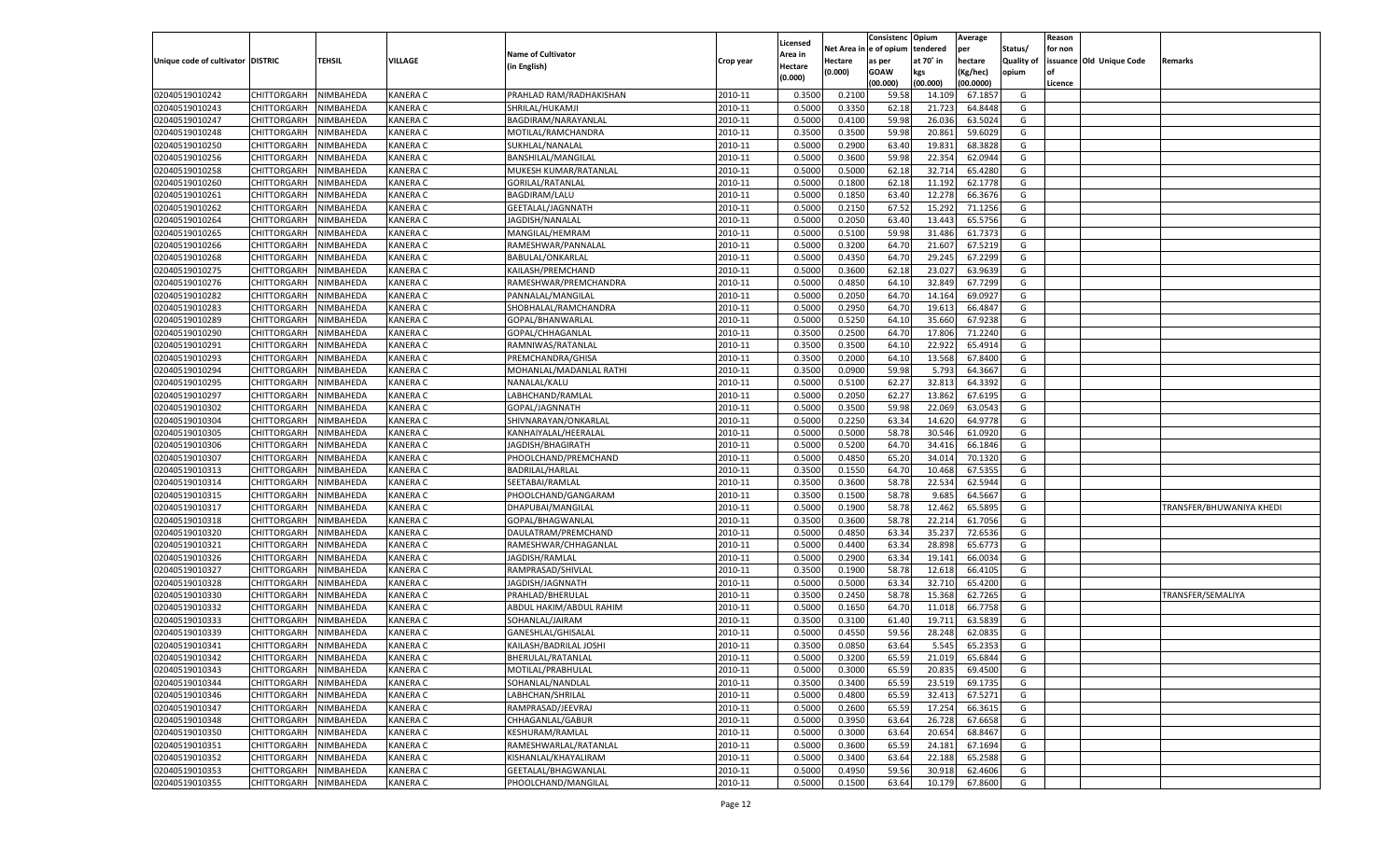|                                   |                            |                        |                 |                           |                    |                           |                  | Consistenc  | Opium     | Average            |                   | Reason  |                          |                          |
|-----------------------------------|----------------------------|------------------------|-----------------|---------------------------|--------------------|---------------------------|------------------|-------------|-----------|--------------------|-------------------|---------|--------------------------|--------------------------|
|                                   |                            |                        |                 | <b>Name of Cultivator</b> |                    | Licensed                  | Net Area         | e of opium  | tendered  | per                | Status/           | for non |                          |                          |
| Unique code of cultivator DISTRIC |                            | <b>TEHSIL</b>          | VILLAGE         | (in English)              | Crop year          | <b>Area in</b><br>Hectare | Hectare          | as per      | at 70° in | hectare            | <b>Quality of</b> |         | issuance Old Unique Code | Remarks                  |
|                                   |                            |                        |                 |                           |                    | (0.000)                   | (0.000)          | <b>GOAW</b> | kgs       | (Kg/hec)           | opium             |         |                          |                          |
|                                   |                            |                        |                 |                           |                    |                           |                  | (00.000)    | (00.000)  | (00.0000)          |                   | Licence |                          |                          |
| 02040519010242                    | CHITTORGARH                | NIMBAHEDA              | KANERA C        | PRAHLAD RAM/RADHAKISHAN   | 2010-11            | 0.3500                    | 0.2100           | 59.58       | 14.109    | 67.185             | G                 |         |                          |                          |
| 02040519010243                    | CHITTORGARH                | NIMBAHEDA              | KANERA C        | SHRILAL/HUKAMJI           | 2010-11            | 0.5000                    | 0.3350           | 62.18       | 21.723    | 64.8448            | G                 |         |                          |                          |
| 02040519010247                    | CHITTORGARH                | NIMBAHEDA              | KANERA C        | BAGDIRAM/NARAYANLAL       | 2010-11            | 0.5000                    | 0.4100           | 59.98       | 26.036    | 63.5024            | G                 |         |                          |                          |
| 02040519010248                    | CHITTORGARH                | NIMBAHEDA              | KANERA C        | MOTILAL/RAMCHANDRA        | 2010-11            | 0.3500                    | 0.3500           | 59.98       | 20.861    | 59.6029            | G                 |         |                          |                          |
| 02040519010250                    | CHITTORGARH                | NIMBAHEDA              | KANERA C        | SUKHLAL/NANALAL           | 2010-11            | 0.5000                    | 0.2900           | 63.40       | 19.831    | 68.3828            | G                 |         |                          |                          |
| 02040519010256                    | CHITTORGARH                | NIMBAHEDA              | KANERA C        | BANSHILAL/MANGILAL        | 2010-11            | 0.5000                    | 0.3600           | 59.98       | 22.354    | 62.0944            | G                 |         |                          |                          |
| 02040519010258                    | CHITTORGARH                | NIMBAHEDA              | KANERA C        | MUKESH KUMAR/RATANLAL     | 2010-11            | 0.5000                    | 0.5000           | 62.18       | 32.714    | 65.4280            | G                 |         |                          |                          |
| 02040519010260                    | CHITTORGARH                | NIMBAHEDA              | KANERA C        | <b>GORILAL/RATANLAL</b>   | 2010-11            | 0.5000                    | 0.1800           | 62.18       | 11.192    | 62.1778            | G                 |         |                          |                          |
| 02040519010261                    | CHITTORGARH                | NIMBAHEDA              | KANERA C        | <b>BAGDIRAM/LALU</b>      | 2010-11            | 0.5000                    | 0.1850           | 63.40       | 12.278    | 66.3676            | G                 |         |                          |                          |
| 02040519010262                    | CHITTORGARH                | NIMBAHEDA              | KANERA C        | GEETALAL/JAGNNATH         | 2010-11            | 0.5000                    | 0.2150           | 67.52       | 15.292    | 71.1256            | G                 |         |                          |                          |
| 02040519010264                    | CHITTORGARH                | NIMBAHEDA              | KANERA C        | JAGDISH/NANALAI           | 2010-11            | 0.5000                    | 0.2050           | 63.40       | 13.443    | 65.5756            | G                 |         |                          |                          |
| 02040519010265                    | CHITTORGARH                | NIMBAHEDA              | KANERA C        | MANGILAL/HEMRAM           | 2010-11            | 0.5000                    | 0.5100           | 59.98       | 31.486    | 61.7373            | G                 |         |                          |                          |
| 02040519010266                    | CHITTORGARH                | NIMBAHEDA              | KANERA C        | RAMESHWAR/PANNALAL        | 2010-11            | 0.5000                    | 0.3200           | 64.70       | 21.60     | 67.5219            | G                 |         |                          |                          |
| 02040519010268                    | CHITTORGARH                | NIMBAHEDA              | KANERA C        | <b>BABULAL/ONKARLAL</b>   | 2010-11            | 0.5000                    | 0.4350           | 64.70       | 29.245    | 67.2299            | G                 |         |                          |                          |
| 02040519010275                    | CHITTORGARH                | NIMBAHEDA              | KANERA C        | KAILASH/PREMCHAND         | 2010-11            | 0.5000                    | 0.3600           | 62.18       | 23.027    | 63.9639            | G                 |         |                          |                          |
| 02040519010276                    | CHITTORGARH                | NIMBAHEDA              | KANERA C        | RAMESHWAR/PREMCHANDRA     | 2010-11            | 0.5000                    | 0.4850           | 64.10       | 32.849    | 67.7299            | G                 |         |                          |                          |
| 02040519010282                    | CHITTORGARH                | NIMBAHEDA              | KANERA C        | PANNALAL/MANGILAL         | 2010-11            | 0.5000                    | 0.2050           | 64.70       | 14.164    | 69.0927            | G                 |         |                          |                          |
| 02040519010283                    | CHITTORGARH                | NIMBAHEDA              | KANERA C        | SHOBHALAL/RAMCHANDRA      | 2010-11            | 0.5000                    | 0.2950           | 64.70       | 19.613    | 66.4847            | G                 |         |                          |                          |
| 02040519010289                    | CHITTORGARH                | NIMBAHEDA              | KANERA C        | GOPAL/BHANWARLAL          | 2010-11            | 0.5000                    | 0.5250           | 64.10       | 35.660    | 67.9238            | G                 |         |                          |                          |
| 02040519010290                    | CHITTORGARH                | NIMBAHEDA              | KANERA C        | GOPAL/CHHAGANLAL          | 2010-11            | 0.3500                    | 0.2500           | 64.70       | 17.806    | 71.2240            | G                 |         |                          |                          |
| 02040519010291                    | CHITTORGARH                | NIMBAHEDA              | KANERA C        | RAMNIWAS/RATANLAI         | 2010-11            | 0.3500                    | 0.3500           | 64.10       | 22.922    | 65.4914            | G                 |         |                          |                          |
| 02040519010293                    | CHITTORGARH                | NIMBAHEDA              | KANERA C        | PREMCHANDRA/GHISA         | 2010-11            | 0.3500                    | 0.2000           | 64.10       | 13.568    | 67.8400            | G                 |         |                          |                          |
| 02040519010294                    | CHITTORGARH                | NIMBAHEDA              | KANERA C        | MOHANLAL/MADANLAL RATHI   | 2010-11            | 0.3500                    | 0.0900           | 59.98       | 5.793     | 64.3667            | G                 |         |                          |                          |
| 02040519010295                    | CHITTORGARH                | NIMBAHEDA              | KANERA C        | NANALAL/KALU              | 2010-11            | 0.5000                    | 0.5100           | 62.27       | 32.813    | 64.3392            | G                 |         |                          |                          |
| 02040519010297                    | CHITTORGARH                | NIMBAHEDA              | KANERA C        | LABHCHAND/RAMLAL          | 2010-11            | 0.5000                    | 0.2050           | 62.27       | 13.862    | 67.6195            | G                 |         |                          |                          |
| 02040519010302                    | CHITTORGARH                | NIMBAHEDA              | KANERA C        | GOPAL/JAGNNATH            | 2010-11            | 0.5000                    | 0.3500           | 59.98       | 22.069    | 63.0543            | G                 |         |                          |                          |
| 02040519010304                    | CHITTORGARH                | NIMBAHEDA              | KANERA C        | SHIVNARAYAN/ONKARLAL      | 2010-11            | 0.5000                    | 0.2250           | 63.34       | 14.620    | 64.9778            | G                 |         |                          |                          |
| 02040519010305                    | CHITTORGARH                | NIMBAHEDA              | KANERA C        | KANHAIYALAL/HEERALAL      | 2010-11            | 0.5000                    | 0.5000           | 58.78       | 30.546    | 61.0920            | G                 |         |                          |                          |
| 02040519010306                    | CHITTORGARH                | NIMBAHEDA              | KANERA C        | JAGDISH/BHAGIRATH         | 2010-11            | 0.5000                    | 0.5200           | 64.70       | 34.416    | 66.1846            | G                 |         |                          |                          |
| 02040519010307                    | CHITTORGARH                | NIMBAHEDA              | KANERA C        | PHOOLCHAND/PREMCHAND      | 2010-11            | 0.5000                    | 0.4850           | 65.20       | 34.014    | 70.1320            | G                 |         |                          |                          |
| 02040519010313                    | CHITTORGARH                | NIMBAHEDA              | KANERA C        | BADRILAL/HARLAL           | 2010-11            | 0.3500                    | 0.1550           | 64.70       | 10.46     | 67.535             | G                 |         |                          |                          |
| 02040519010314                    | CHITTORGARH                | NIMBAHEDA              | KANERA C        | SEETABAI/RAMLAL           | 2010-11            | 0.3500                    | 0.3600           | 58.78       | 22.534    | 62.5944            | G                 |         |                          |                          |
| 02040519010315                    | <b>CHITTORGARH</b>         | NIMBAHEDA              | KANERA C        | PHOOLCHAND/GANGARAM       | 2010-11            | 0.3500                    | 0.1500           | 58.78       | 9.685     | 64.566             | G                 |         |                          |                          |
| 02040519010317                    | CHITTORGARH                | NIMBAHEDA              | KANERA C        | DHAPUBAI/MANGILAL         | 2010-11            | 0.5000                    | 0.1900           | 58.78       | 12.462    | 65.5895            | G                 |         |                          | TRANSFER/BHUWANIYA KHEDI |
| 02040519010318                    | <b>CHITTORGARH</b>         | NIMBAHEDA              | KANERA C        | GOPAL/BHAGWANLAL          | 2010-11            | 0.3500                    | 0.3600           | 58.78       | 22.21     | 61.7056            | G                 |         |                          |                          |
| 02040519010320                    | CHITTORGARH                | NIMBAHEDA              | KANERA C        | DAULATRAM/PREMCHAND       | 2010-11            | 0.5000                    | 0.4850           | 63.34       | 35.23     | 72.6536            | G                 |         |                          |                          |
| 02040519010321                    | <b>CHITTORGARH</b>         | NIMBAHEDA              | KANERA C        | RAMESHWAR/CHHAGANLAL      | 2010-11            | 0.5000                    | 0.4400           | 63.34       | 28.898    | 65.6773            | G                 |         |                          |                          |
| 02040519010326                    | CHITTORGARH                | NIMBAHEDA              | KANERA C        | JAGDISH/RAMLAL            | 2010-11            | 0.5000                    | 0.2900           | 63.34       | 19.14     | 66.0034            | G                 |         |                          |                          |
| 02040519010327                    | CHITTORGARH                | NIMBAHEDA              | KANERA C        | RAMPRASAD/SHIVLAL         | 2010-11            | 0.3500                    | 0.1900           | 58.78       | 12.618    | 66.4105            | G                 |         |                          |                          |
| 02040519010328                    |                            |                        | KANERA C        |                           |                    |                           |                  | 63.34       | 32.710    |                    | G                 |         |                          |                          |
| 02040519010330                    | CHITTORGARH                | NIMBAHEDA<br>NIMBAHEDA | KANERA C        | JAGDISH/JAGNNATH          | 2010-11<br>2010-11 | 0.5000<br>0.3500          | 0.5000<br>0.2450 | 58.78       | 15.368    | 65.4200<br>62.7265 | G                 |         |                          |                          |
| 02040519010332                    | <b>CHITTORGARH</b>         |                        | KANERA C        | PRAHLAD/BHERULAL          | 2010-11            |                           |                  |             |           |                    | G                 |         |                          | TRANSFER/SEMALIYA        |
|                                   | CHITTORGARH<br>CHITTORGARH | NIMBAHEDA<br>NIMBAHEDA | KANERA C        | ABDUL HAKIM/ABDUL RAHIM   |                    | 0.5000<br>0.3500          | 0.1650           | 64.70       | 11.01     | 66.7758<br>63.5839 |                   |         |                          |                          |
| 02040519010333                    |                            |                        |                 | SOHANLAL/JAIRAM           | 2010-11            |                           | 0.3100           | 61.40       | 19.71     |                    | G                 |         |                          |                          |
| 02040519010339                    | CHITTORGARH                | NIMBAHEDA              | KANERA C        | GANESHLAL/GHISALAI        | 2010-11            | 0.5000                    | 0.4550           | 59.56       | 28.24     | 62.083             | G                 |         |                          |                          |
| 02040519010341                    | CHITTORGARH                | NIMBAHEDA              | KANERA C        | KAILASH/BADRILAL JOSHI    | 2010-11            | 0.3500                    | 0.0850           | 63.64       | 5.545     | 65.2353            | G                 |         |                          |                          |
| 02040519010342                    | CHITTORGARH NIMBAHEDA      |                        | <b>KANERA C</b> | BHERULAL/RATANLAL         | 2010-11            | 0.5000                    | 0.3200           | 65.59       | 21.019    | 65.6844            | G                 |         |                          |                          |
| 02040519010343                    | <b>CHITTORGARH</b>         | <b>NIMBAHEDA</b>       | <b>KANERA C</b> | MOTILAL/PRABHULAL         | 2010-11            | 0.5000                    | 0.3000           | 65.59       | 20.835    | 69.4500            | G                 |         |                          |                          |
| 02040519010344                    | <b>CHITTORGARH</b>         | NIMBAHEDA              | <b>KANERA C</b> | SOHANLAL/NANDLAL          | 2010-11            | 0.3500                    | 0.3400           | 65.59       | 23.519    | 69.1735            | G                 |         |                          |                          |
| 02040519010346                    | <b>CHITTORGARH</b>         | NIMBAHEDA              | <b>KANERA C</b> | LABHCHAN/SHRILAL          | 2010-11            | 0.5000                    | 0.4800           | 65.59       | 32.413    | 67.5271            | G                 |         |                          |                          |
| 02040519010347                    | <b>CHITTORGARH</b>         | NIMBAHEDA              | <b>KANERA C</b> | RAMPRASAD/JEEVRAJ         | 2010-11            | 0.5000                    | 0.2600           | 65.59       | 17.254    | 66.3615            | G                 |         |                          |                          |
| 02040519010348                    | <b>CHITTORGARH</b>         | NIMBAHEDA              | <b>KANERA C</b> | CHHAGANLAL/GABUR          | 2010-11            | 0.5000                    | 0.3950           | 63.64       | 26.728    | 67.6658            | G                 |         |                          |                          |
| 02040519010350                    | <b>CHITTORGARH</b>         | NIMBAHEDA              | <b>KANERA C</b> | KESHURAM/RAMLAL           | 2010-11            | 0.5000                    | 0.3000           | 63.64       | 20.654    | 68.8467            | G                 |         |                          |                          |
| 02040519010351                    | <b>CHITTORGARH</b>         | NIMBAHEDA              | <b>KANERA C</b> | RAMESHWARLAL/RATANLAL     | 2010-11            | 0.5000                    | 0.3600           | 65.59       | 24.181    | 67.1694            | G                 |         |                          |                          |
| 02040519010352                    | <b>CHITTORGARH</b>         | NIMBAHEDA              | <b>KANERA C</b> | KISHANLAL/KHAYALIRAM      | 2010-11            | 0.5000                    | 0.3400           | 63.64       | 22.188    | 65.2588            | G                 |         |                          |                          |
| 02040519010353                    | <b>CHITTORGARH</b>         | NIMBAHEDA              | <b>KANERA C</b> | GEETALAL/BHAGWANLAL       | 2010-11            | 0.5000                    | 0.4950           | 59.56       | 30.918    | 62.4606            | G                 |         |                          |                          |
| 02040519010355                    | <b>CHITTORGARH</b>         | NIMBAHEDA              | <b>KANERA C</b> | PHOOLCHAND/MANGILAL       | 2010-11            | 0.5000                    | 0.1500           | 63.64       | 10.179    | 67.8600            | G                 |         |                          |                          |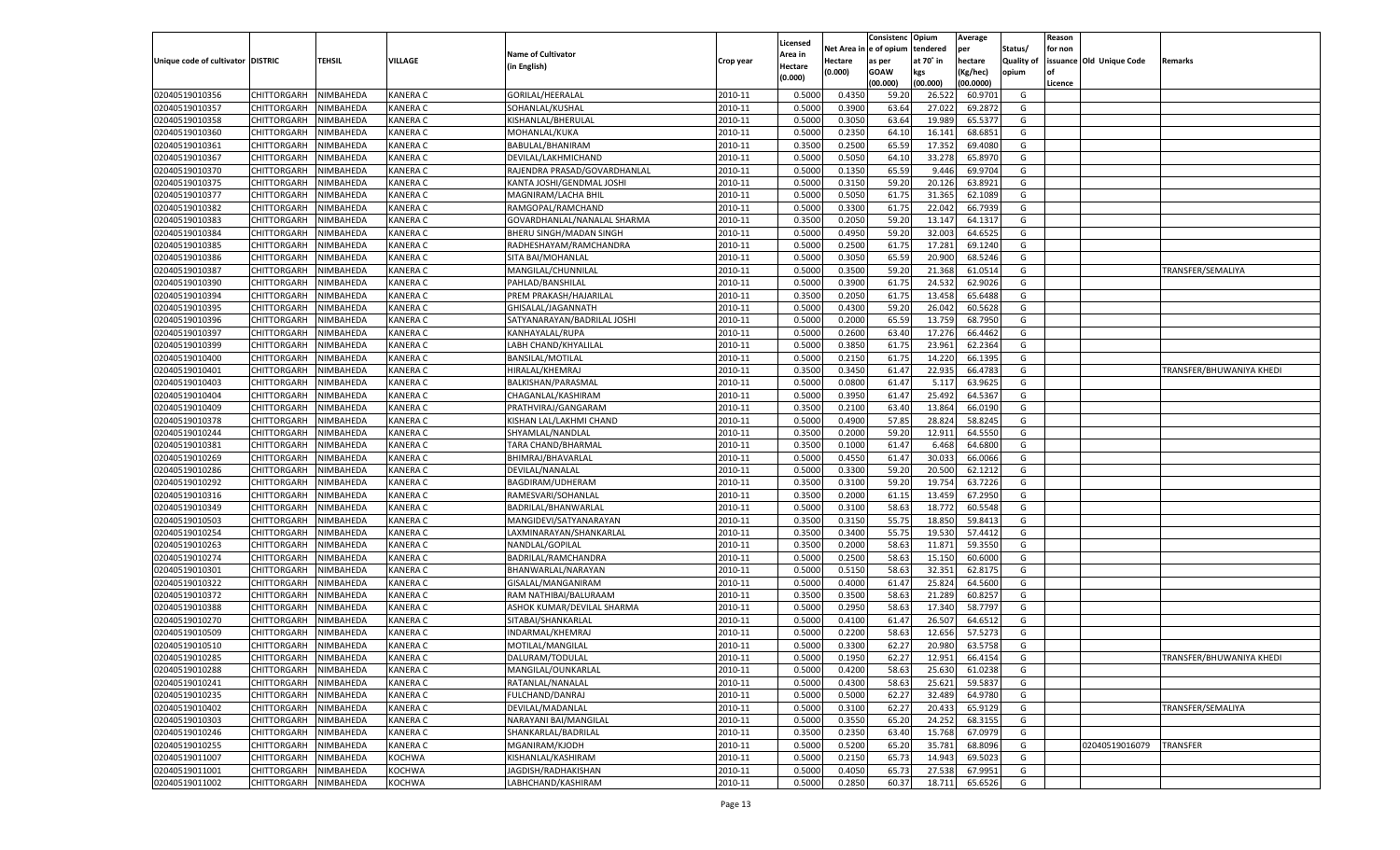|                                   |                    |           |                 |                              |                    |                     |            | Consistenc    | Opium     | Average   |            | Reason  |                          |                          |
|-----------------------------------|--------------------|-----------|-----------------|------------------------------|--------------------|---------------------|------------|---------------|-----------|-----------|------------|---------|--------------------------|--------------------------|
|                                   |                    |           |                 | <b>Name of Cultivator</b>    |                    | Licensed<br>Area in | Net Area i | n  e of opium | tendered  | per       | Status/    | for non |                          |                          |
| Unique code of cultivator DISTRIC |                    | TEHSIL    | VILLAGE         | (in English)                 | Crop year          | Hectare             | Hectare    | as per        | at 70° in | hectare   | Quality of |         | issuance Old Unique Code | Remarks                  |
|                                   |                    |           |                 |                              |                    | (0.000)             | (0.000)    | <b>GOAW</b>   | kgs       | (Kg/hec)  | opium      |         |                          |                          |
|                                   |                    |           |                 |                              |                    |                     |            | (00.000)      | (00.000)  | (00.0000) |            | Licence |                          |                          |
| 02040519010356                    | CHITTORGARH        | NIMBAHEDA | <b>KANERA C</b> | GORILAL/HEERALAL             | 2010-11            | 0.5000              | 0.4350     | 59.20         | 26.522    | 60.9701   | G          |         |                          |                          |
| 02040519010357                    | CHITTORGARH        | NIMBAHEDA | <b>KANERA C</b> | SOHANLAL/KUSHAL              | 2010-11            | 0.5000              | 0.3900     | 63.64         | 27.022    | 69.2872   | G          |         |                          |                          |
| 02040519010358                    | CHITTORGARH        | NIMBAHEDA | <b>KANERA C</b> | KISHANLAL/BHERULAL           | 2010-11            | 0.5000              | 0.3050     | 63.64         | 19.989    | 65.5377   | G          |         |                          |                          |
| 02040519010360                    | CHITTORGARH        | NIMBAHEDA | <b>KANERA C</b> | MOHANLAL/KUKA                | 2010-11            | 0.5000              | 0.2350     | 64.10         | 16.141    | 68.6851   | G          |         |                          |                          |
| 02040519010361                    | CHITTORGARH        | NIMBAHEDA | <b>KANERA C</b> | BABULAL/BHANIRAM             | 2010-11            | 0.3500              | 0.2500     | 65.59         | 17.352    | 69.4080   | G          |         |                          |                          |
| 02040519010367                    | CHITTORGARH        | NIMBAHEDA | <b>KANERA C</b> | DEVILAL/LAKHMICHAND          | 2010-11            | 0.5000              | 0.5050     | 64.10         | 33.278    | 65.8970   | G          |         |                          |                          |
| 02040519010370                    | CHITTORGARH        | NIMBAHEDA | <b>KANERA C</b> | RAJENDRA PRASAD/GOVARDHANLAL | 2010-11            | 0.5000              | 0.1350     | 65.59         | 9.446     | 69.9704   | G          |         |                          |                          |
| 02040519010375                    | CHITTORGARH        | NIMBAHEDA | <b>KANERA C</b> | KANTA JOSHI/GENDMAL JOSHI    | 2010-11            | 0.5000              | 0.3150     | 59.20         | 20.126    | 63.8921   | G          |         |                          |                          |
| 02040519010377                    | CHITTORGARH        | NIMBAHEDA | <b>KANERA C</b> | MAGNIRAM/LACHA BHII          | 2010-11            | 0.5000              | 0.5050     | 61.75         | 31.365    | 62.1089   | G          |         |                          |                          |
| 02040519010382                    | CHITTORGARH        | NIMBAHEDA | <b>KANERA C</b> | RAMGOPAL/RAMCHAND            | 2010-11            | 0.5000              | 0.3300     | 61.7          | 22.042    | 66.7939   | G          |         |                          |                          |
| 02040519010383                    | CHITTORGARH        | NIMBAHEDA | <b>KANERA C</b> | GOVARDHANLAL/NANALAL SHARMA  | 2010-11            | 0.3500              | 0.2050     | 59.20         | 13.147    | 64.1317   | G          |         |                          |                          |
| 02040519010384                    | CHITTORGARH        | NIMBAHEDA | <b>KANERA C</b> | BHERU SINGH/MADAN SINGH      | 2010-11            | 0.5000              | 0.4950     | 59.20         | 32.003    | 64.6525   | G          |         |                          |                          |
| 02040519010385                    | CHITTORGARH        | NIMBAHEDA | <b>KANERA C</b> | RADHESHAYAM/RAMCHANDRA       | 2010-11            | 0.5000              | 0.2500     | 61.75         | 17.281    | 69.1240   | G          |         |                          |                          |
| 02040519010386                    | CHITTORGARH        | NIMBAHEDA | KANERA C        | SITA BAI/MOHANLAL            | 2010-11            | 0.5000              | 0.3050     | 65.59         | 20.900    | 68.5246   | G          |         |                          |                          |
| 02040519010387                    | CHITTORGARH        | NIMBAHEDA | KANERA C        | MANGILAL/CHUNNILAL           | 2010-11            | 0.5000              | 0.3500     | 59.20         | 21.368    | 61.0514   | G          |         |                          | TRANSFER/SEMALIYA        |
| 02040519010390                    | CHITTORGARH        | NIMBAHEDA | KANERA C        | PAHLAD/BANSHILAL             | 2010-11            | 0.5000              | 0.3900     | 61.75         | 24.532    | 62.9026   | G          |         |                          |                          |
| 02040519010394                    | CHITTORGARH        | NIMBAHEDA | KANERA C        | PREM PRAKASH/HAJARILAL       | 2010-11            | 0.3500              | 0.2050     | 61.75         | 13.458    | 65.6488   | G          |         |                          |                          |
| 02040519010395                    | CHITTORGARH        | NIMBAHEDA | KANERA C        | GHISALAL/JAGANNATH           | 2010-11            | 0.5000              | 0.4300     | 59.20         | 26.042    | 60.5628   | G          |         |                          |                          |
| 02040519010396                    | CHITTORGARH        | NIMBAHEDA | KANERA C        | SATYANARAYAN/BADRILAL JOSHI  | 2010-11            | 0.5000              | 0.2000     | 65.59         | 13.759    | 68.7950   | G          |         |                          |                          |
| 02040519010397                    | CHITTORGARH        | NIMBAHEDA | KANERA C        | KANHAYALAL/RUPA              | 2010-11            | 0.5000              | 0.2600     | 63.40         | 17.276    | 66.4462   | G          |         |                          |                          |
| 02040519010399                    | CHITTORGARH        | NIMBAHEDA | KANERA C        | LABH CHAND/KHYALILAL         | 2010-11            | 0.5000              | 0.3850     | 61.75         | 23.961    | 62.2364   | G          |         |                          |                          |
| 02040519010400                    | CHITTORGARH        | NIMBAHEDA | KANERA C        | <b>BANSILAL/MOTILAL</b>      | 2010-11            | 0.5000              | 0.2150     | 61.75         | 14.220    | 66.1395   | G          |         |                          |                          |
| 02040519010401                    | CHITTORGARH        | NIMBAHEDA | KANERA C        | HIRALAL/KHEMRAJ              | 2010-11            | 0.3500              | 0.3450     | 61.47         | 22.935    | 66.4783   | G          |         |                          | TRANSFER/BHUWANIYA KHEDI |
| 02040519010403                    | CHITTORGARH        | NIMBAHEDA | KANERA C        | BALKISHAN/PARASMAL           | 2010-11            | 0.5000              | 0.0800     | 61.47         | 5.117     | 63.9625   | G          |         |                          |                          |
| 02040519010404                    | CHITTORGARH        | NIMBAHEDA | KANERA C        | CHAGANLAL/KASHIRAM           | 2010-11            | 0.5000              | 0.3950     | 61.47         | 25.492    | 64.5367   | G          |         |                          |                          |
| 02040519010409                    | CHITTORGARH        | NIMBAHEDA | KANERA C        | PRATHVIRAJ/GANGARAN          | 2010-11            | 0.3500              | 0.2100     | 63.40         | 13.864    | 66.0190   | G          |         |                          |                          |
| 02040519010378                    | CHITTORGARH        | NIMBAHEDA | KANERA C        | KISHAN LAL/LAKHMI CHAND      | 2010-11            | 0.5000              | 0.4900     | 57.85         | 28.824    | 58.8245   | G          |         |                          |                          |
| 02040519010244                    | CHITTORGARH        | NIMBAHEDA | KANERA C        | SHYAMLAL/NANDLAL             | 2010-11            | 0.3500              | 0.2000     | 59.20         | 12.911    | 64.5550   | G          |         |                          |                          |
| 02040519010381                    | CHITTORGARH        | NIMBAHEDA | KANERA C        | TARA CHAND/BHARMAL           | 2010-11            | 0.3500              | 0.1000     | 61.47         | 6.468     | 64.6800   | G          |         |                          |                          |
| 02040519010269                    | CHITTORGARH        | NIMBAHEDA | <b>KANERA C</b> | BHIMRAJ/BHAVARLAL            | 2010-11            | 0.5000              | 0.4550     | 61.47         | 30.033    | 66.0066   | G          |         |                          |                          |
| 02040519010286                    | CHITTORGARH        | NIMBAHEDA | <b>KANERA C</b> | DEVILAL/NANALAL              | 2010-11            | 0.5000              | 0.3300     | 59.20         | 20.500    | 62.1212   | G          |         |                          |                          |
| 02040519010292                    | CHITTORGARH        | NIMBAHEDA | <b>KANERA C</b> | BAGDIRAM/UDHERAM             | 2010-11            | 0.3500              | 0.3100     | 59.20         | 19.754    | 63.7226   | G          |         |                          |                          |
| 02040519010316                    | CHITTORGARH        | NIMBAHEDA | <b>KANERA C</b> | RAMESVARI/SOHANLAL           | 2010-11            | 0.3500              | 0.2000     | 61.15         | 13.459    | 67.2950   | G          |         |                          |                          |
| 02040519010349                    | CHITTORGARH        | NIMBAHEDA | <b>KANERA C</b> | BADRILAL/BHANWARLAL          | 2010-11            | 0.5000              | 0.3100     | 58.63         | 18.772    | 60.5548   | G          |         |                          |                          |
| 02040519010503                    | CHITTORGARH        | NIMBAHEDA | <b>KANERA C</b> | MANGIDEVI/SATYANARAYAN       | 2010-11            | 0.3500              | 0.3150     | 55.75         | 18.85     | 59.8413   | G          |         |                          |                          |
| 02040519010254                    | CHITTORGARH        | NIMBAHEDA | <b>KANERA C</b> | LAXMINARAYAN/SHANKARLAL      | 2010-11            | 0.3500              | 0.3400     | 55.75         | 19.530    | 57.4412   | G          |         |                          |                          |
| 02040519010263                    | CHITTORGARH        | NIMBAHEDA | <b>KANERA C</b> | NANDLAL/GOPILAL              | 2010-11            | 0.3500              | 0.2000     | 58.63         | 11.871    | 59.3550   | G          |         |                          |                          |
| 02040519010274                    | CHITTORGARH        | NIMBAHEDA | <b>KANERA C</b> | BADRILAL/RAMCHANDRA          | 2010-11            | 0.5000              | 0.2500     | 58.63         | 15.150    | 60.6000   | G          |         |                          |                          |
| 02040519010301                    | CHITTORGARH        | NIMBAHEDA | <b>KANERA C</b> | BHANWARLAL/NARAYAN           | 2010-11            | 0.5000              | 0.5150     | 58.63         | 32.351    | 62.8175   | G          |         |                          |                          |
| 02040519010322                    | CHITTORGARH        | NIMBAHEDA | <b>KANERA C</b> | GISALAL/MANGANIRAM           | 2010-11            | 0.5000              | 0.4000     | 61.4          | 25.824    | 64.5600   | G          |         |                          |                          |
| 02040519010372                    | CHITTORGARH        | NIMBAHEDA | <b>KANERA C</b> | RAM NATHIBAI/BALURAAM        | 2010-11            | 0.3500              | 0.3500     | 58.63         | 21.289    | 60.8257   | G          |         |                          |                          |
| 02040519010388                    | CHITTORGARH        | NIMBAHEDA | <b>KANERA C</b> | ASHOK KUMAR/DEVILAL SHARMA   | 2010-11            | 0.5000              | 0.2950     | 58.63         | 17.340    | 58.7797   | G          |         |                          |                          |
| 02040519010270                    | CHITTORGARH        | NIMBAHEDA | <b>KANERA C</b> | SITABAI/SHANKARLAL           | 2010-11            | 0.5000              | 0.4100     | 61.4          | 26.507    | 64.6512   | G          |         |                          |                          |
| 02040519010509                    | CHITTORGARH        | NIMBAHEDA | KANERA C        | INDARMAL/KHEMRAJ             | 2010-11            | 0.5000              | 0.2200     | 58.63         | 12.656    | 57.5273   | G          |         |                          |                          |
| 02040519010510                    | CHITTORGARH        | NIMBAHEDA | <b>KANERA C</b> | MOTILAL/MANGILAI             | 2010-11            | 0.5000              | 0.3300     | 62.27         | 20.980    | 63.5758   | G          |         |                          |                          |
|                                   | CHITTORGARH        | NIMBAHEDA | <b>KANERA C</b> | DALURAM/TODULAL              | 2010-11            | 0.5000              | 0.1950     | 62.27         | 12.951    | 66.4154   | G          |         |                          | TRANSFER/BHUWANIYA KHEDI |
| 02040519010285<br>02040519010288  | <b>CHITTORGARH</b> | NIMBAHEDA | <b>KANERA C</b> | MANGILAL/OUNKARLAL           | 2010-11            | 0.5000              | 0.4200     | 58.63         | 25.630    | 61.0238   | G          |         |                          |                          |
| 02040519010241                    |                    |           |                 |                              |                    |                     |            | 58.63         | 25.621    |           |            |         |                          |                          |
|                                   | CHITTORGARH        | NIMBAHEDA | <b>KANERA C</b> | RATANLAL/NANALAL             | 2010-11<br>2010-11 | 0.5000              | 0.4300     |               |           | 59.5837   | G          |         |                          |                          |
| 02040519010235                    | CHITTORGARH        | NIMBAHEDA | <b>KANERA C</b> | FULCHAND/DANRAJ              |                    | 0.5000              | 0.5000     | 62.27         | 32.489    | 64.9780   | G          |         |                          |                          |
| 02040519010402                    | CHITTORGARH        | NIMBAHEDA | <b>KANERA C</b> | DEVILAL/MADANLAL             | 2010-11            | 0.5000              | 0.3100     | 62.27         | 20.433    | 65.9129   | G          |         |                          | TRANSFER/SEMALIYA        |
| 02040519010303                    | CHITTORGARH        | NIMBAHEDA | <b>KANERA C</b> | NARAYANI BAI/MANGILAL        | 2010-11            | 0.5000              | 0.3550     | 65.20         | 24.252    | 68.3155   | G          |         |                          |                          |
| 02040519010246                    | <b>CHITTORGARH</b> | NIMBAHEDA | <b>KANERA C</b> | SHANKARLAL/BADRILAL          | 2010-11            | 0.3500              | 0.2350     | 63.40         | 15.768    | 67.0979   | G          |         |                          |                          |
| 02040519010255                    | <b>CHITTORGARH</b> | NIMBAHEDA | <b>KANERA C</b> | MGANIRAM/KJODH               | 2010-11            | 0.5000              | 0.5200     | 65.20         | 35.781    | 68.8096   | G          |         | 02040519016079           | TRANSFER                 |
| 02040519011007                    | CHITTORGARH        | NIMBAHEDA | <b>KOCHWA</b>   | KISHANLAL/KASHIRAM           | 2010-11            | 0.5000              | 0.2150     | 65.73         | 14.943    | 69.5023   | G          |         |                          |                          |
| 02040519011001                    | CHITTORGARH        | NIMBAHEDA | <b>KOCHWA</b>   | JAGDISH/RADHAKISHAN          | 2010-11            | 0.5000              | 0.4050     | 65.73         | 27.538    | 67.9951   | G          |         |                          |                          |
| 02040519011002                    | CHITTORGARH        | NIMBAHEDA | <b>KOCHWA</b>   | LABHCHAND/KASHIRAM           | 2010-11            | 0.5000              | 0.2850     | 60.37         | 18.711    | 65.6526   | G          |         |                          |                          |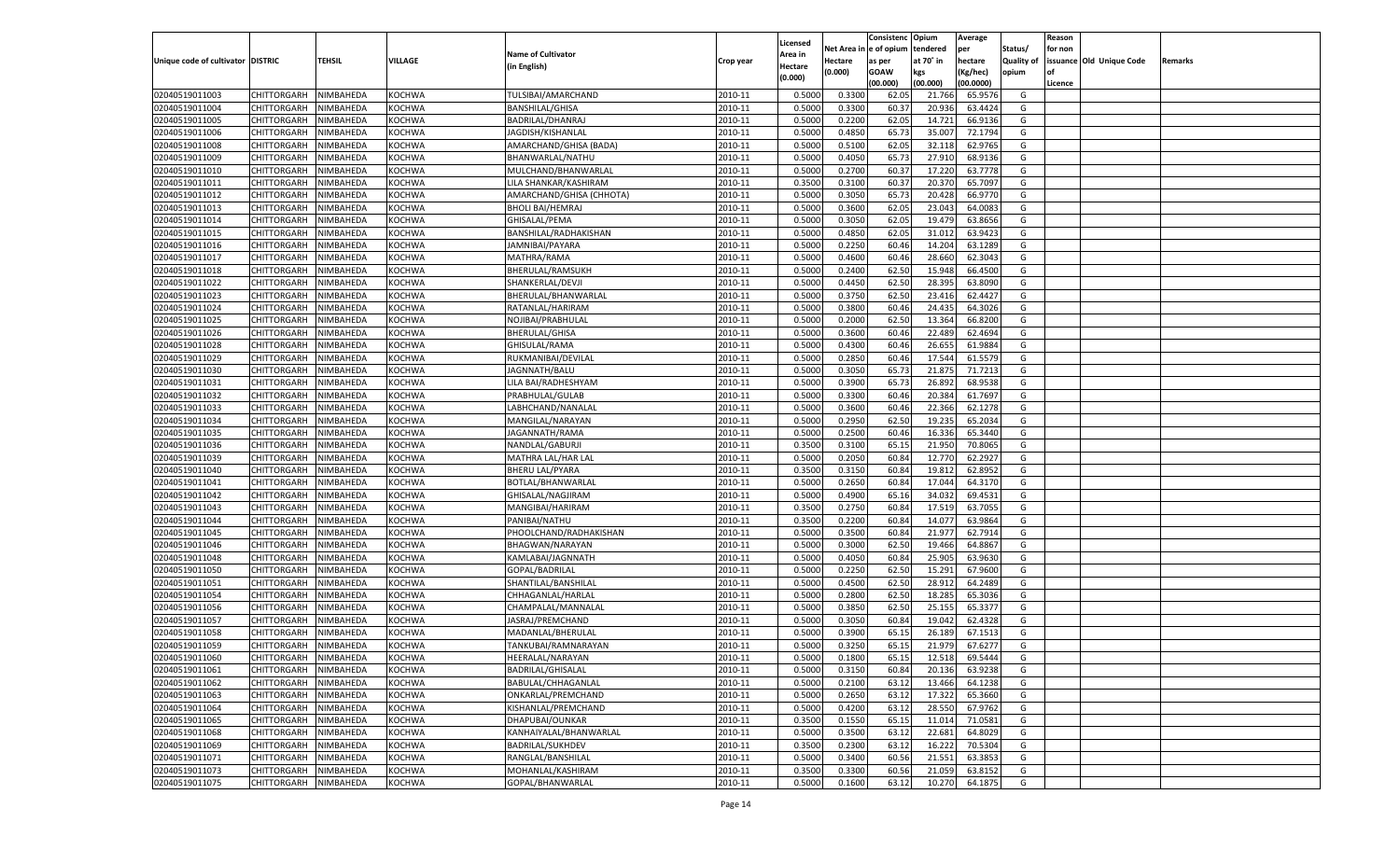|                                   |                            |                        |                  |                           |                    |                           |          | Consistenc  | Opium     | Average            |                   | Reason  |                          |         |
|-----------------------------------|----------------------------|------------------------|------------------|---------------------------|--------------------|---------------------------|----------|-------------|-----------|--------------------|-------------------|---------|--------------------------|---------|
|                                   |                            |                        |                  | <b>Name of Cultivator</b> |                    | Licensed                  | Net Area | e of opium  | tendered  | per                | Status/           | for non |                          |         |
| Unique code of cultivator DISTRIC |                            | <b>TEHSIL</b>          | VILLAGE          | (in English)              | Crop year          | <b>Area in</b><br>Hectare | Hectare  | as per      | at 70° in | hectare            | <b>Quality of</b> |         | issuance Old Unique Code | Remarks |
|                                   |                            |                        |                  |                           |                    | (0.000)                   | (0.000)  | <b>GOAW</b> | kgs       | (Kg/hec)           | opium             |         |                          |         |
|                                   |                            |                        |                  |                           |                    |                           |          | (00.000)    | (00.000)  | (00.0000)          |                   | Licence |                          |         |
| 02040519011003                    | CHITTORGARH                | NIMBAHEDA              | KOCHWA           | TULSIBAI/AMARCHAND        | 2010-11            | 0.5000                    | 0.3300   | 62.05       | 21.766    | 65.9576            | G                 |         |                          |         |
| 02040519011004                    | CHITTORGARH                | NIMBAHEDA              | KOCHWA           | BANSHILAL/GHISA           | 2010-11            | 0.5000                    | 0.3300   | 60.3        | 20.936    | 63.4424            | G                 |         |                          |         |
| 02040519011005                    | CHITTORGARH                | NIMBAHEDA              | KOCHWA           | BADRILAL/DHANRAJ          | 2010-11            | 0.5000                    | 0.2200   | 62.05       | 14.721    | 66.9136            | G                 |         |                          |         |
| 02040519011006                    | CHITTORGARH                | NIMBAHEDA              | KOCHWA           | JAGDISH/KISHANLAL         | 2010-11            | 0.5000                    | 0.4850   | 65.7        | 35.00     | 72.1794            | G                 |         |                          |         |
| 02040519011008                    | CHITTORGARH                | NIMBAHEDA              | KOCHWA           | AMARCHAND/GHISA (BADA)    | 2010-11            | 0.5000                    | 0.5100   | 62.05       | 32.118    | 62.9765            | G                 |         |                          |         |
| 02040519011009                    | CHITTORGARH                | NIMBAHEDA              | KOCHWA           | BHANWARLAL/NATHU          | 2010-11            | 0.5000                    | 0.4050   | 65.7        | 27.910    | 68.9136            | G                 |         |                          |         |
| 02040519011010                    | CHITTORGARH                | NIMBAHEDA              | KOCHWA           | MULCHAND/BHANWARLAL       | 2010-11            | 0.5000                    | 0.2700   | 60.3        | 17.22     | 63.7778            | G                 |         |                          |         |
| 02040519011011                    | CHITTORGARH                | NIMBAHEDA              | KOCHWA           | LILA SHANKAR/KASHIRAM     | 2010-11            | 0.3500                    | 0.3100   | 60.3        | 20.37     | 65.7097            | G                 |         |                          |         |
| 02040519011012                    | CHITTORGARH                | NIMBAHEDA              | KOCHWA           | AMARCHAND/GHISA (CHHOTA)  | 2010-11            | 0.5000                    | 0.3050   | 65.73       | 20.428    | 66.9770            | G                 |         |                          |         |
| 02040519011013                    | CHITTORGARH                | NIMBAHEDA              | KOCHWA           | <b>BHOLI BAI/HEMRAJ</b>   | 2010-11            | 0.5000                    | 0.3600   | 62.05       | 23.043    | 64.008             | G                 |         |                          |         |
| 02040519011014                    | CHITTORGARH                | NIMBAHEDA              | KOCHWA           | GHISALAL/PEMA             | 2010-11            | 0.5000                    | 0.3050   | 62.05       | 19.479    | 63.8656            | G                 |         |                          |         |
| 02040519011015                    | CHITTORGARH                | NIMBAHEDA              | KOCHWA           | BANSHILAL/RADHAKISHAN     | 2010-11            | 0.5000                    | 0.4850   | 62.05       | 31.012    | 63.9423            | G                 |         |                          |         |
| 02040519011016                    | CHITTORGARH                | NIMBAHEDA              | KOCHWA           | JAMNIBAI/PAYARA           | 2010-11            | 0.5000                    | 0.2250   | 60.46       | 14.204    | 63.1289            | G                 |         |                          |         |
| 02040519011017                    | CHITTORGARH                | NIMBAHEDA              | KOCHWA           | MATHRA/RAMA               | 2010-11            | 0.5000                    | 0.4600   | 60.4        | 28.660    | 62.3043            | G                 |         |                          |         |
| 02040519011018                    | CHITTORGARH                | NIMBAHEDA              | KOCHWA           | BHERULAL/RAMSUKH          | 2010-11            | 0.5000                    | 0.2400   | 62.50       | 15.948    | 66.4500            | G                 |         |                          |         |
| 02040519011022                    | CHITTORGARH                | NIMBAHEDA              | KOCHWA           | SHANKERLAL/DEVJI          | 2010-11            | 0.5000                    | 0.4450   | 62.50       | 28.395    | 63.8090            | G                 |         |                          |         |
| 02040519011023                    | CHITTORGARH                | NIMBAHEDA              | KOCHWA           | BHERULAL/BHANWARLAL       | 2010-11            | 0.5000                    | 0.3750   | 62.50       | 23.416    | 62.4427            | G                 |         |                          |         |
| 02040519011024                    | CHITTORGARH                | NIMBAHEDA              | KOCHWA           | RATANLAL/HARIRAM          | 2010-11            | 0.5000                    | 0.3800   | 60.4        | 24.435    | 64.3026            | G                 |         |                          |         |
| 02040519011025                    | CHITTORGARH                | NIMBAHEDA              | KOCHWA           | NOJIBAI/PRABHULAI         | 2010-11            | 0.5000                    | 0.2000   | 62.50       | 13.364    | 66.8200            | G                 |         |                          |         |
| 02040519011026                    | CHITTORGARH                | NIMBAHEDA              | KOCHWA           | <b>BHERULAL/GHISA</b>     | 2010-11            | 0.5000                    | 0.3600   | 60.46       | 22.489    | 62.4694            | G                 |         |                          |         |
| 02040519011028                    | CHITTORGARH                | NIMBAHEDA              | KOCHWA           | GHISULAL/RAMA             | 2010-11            | 0.5000                    | 0.4300   | 60.46       | 26.655    | 61.9884            | G                 |         |                          |         |
| 02040519011029                    | CHITTORGARH                | NIMBAHEDA              | KOCHWA           | RUKMANIBAI/DEVILAL        | 2010-11            | 0.5000                    | 0.2850   | 60.4        | 17.544    | 61.5579            | G                 |         |                          |         |
| 02040519011030                    | CHITTORGARH                | NIMBAHEDA              | KOCHWA           | JAGNNATH/BALU             | 2010-11            | 0.5000                    | 0.3050   | 65.73       | 21.875    | 71.7213            | G                 |         |                          |         |
| 02040519011031                    | CHITTORGARH                | NIMBAHEDA              | KOCHWA           | LILA BAI/RADHESHYAM       | 2010-11            | 0.5000                    | 0.3900   | 65.73       | 26.892    | 68.9538            | G                 |         |                          |         |
| 02040519011032                    | CHITTORGARH                | NIMBAHEDA              | KOCHWA           | PRABHULAL/GULAB           | 2010-11            | 0.5000                    | 0.3300   | 60.46       | 20.384    | 61.7697            | G                 |         |                          |         |
| 02040519011033                    | CHITTORGARH                | NIMBAHEDA              | KOCHWA           | LABHCHAND/NANALAI         | 2010-11            | 0.5000                    | 0.3600   | 60.4        | 22.366    | 62.1278            | G                 |         |                          |         |
| 02040519011034                    | CHITTORGARH                | NIMBAHEDA              | KOCHWA           | MANGILAL/NARAYAN          | 2010-11            | 0.5000                    | 0.2950   | 62.50       | 19.235    | 65.2034            | G                 |         |                          |         |
| 02040519011035                    | CHITTORGARH                | NIMBAHEDA              | KOCHWA           | JAGANNATH/RAMA            | 2010-11            | 0.5000                    | 0.2500   | 60.46       | 16.336    | 65.3440            | G                 |         |                          |         |
| 02040519011036                    | CHITTORGARH                | NIMBAHEDA              | KOCHWA           | NANDLAL/GABURJI           | 2010-11            | 0.3500                    | 0.3100   | 65.15       | 21.950    | 70.8065            | G                 |         |                          |         |
| 02040519011039                    | CHITTORGARH                | NIMBAHEDA              | KOCHWA           | MATHRA LAL/HAR LAL        | 2010-11            | 0.5000                    | 0.2050   | 60.84       | 12.770    | 62.2927            | G                 |         |                          |         |
| 02040519011040                    | CHITTORGARH                | NIMBAHEDA              | KOCHWA           | <b>BHERU LAL/PYARA</b>    | 2010-11            | 0.3500                    | 0.3150   | 60.84       | 19.81     | 62.8952            | G                 |         |                          |         |
| 02040519011041                    | CHITTORGARH                | NIMBAHEDA              | KOCHWA           | BOTLAL/BHANWARLAL         | 2010-11            | 0.5000                    | 0.2650   | 60.84       | 17.044    | 64.3170            | G                 |         |                          |         |
| 02040519011042                    | CHITTORGARH                | NIMBAHEDA              | KOCHWA           | GHISALAL/NAGJIRAM         | 2010-11            | 0.5000                    | 0.4900   | 65.16       | 34.03     | 69.4531            | G                 |         |                          |         |
| 02040519011043                    | CHITTORGARH                | NIMBAHEDA              | KOCHWA           | MANGIBAI/HARIRAM          | 2010-11            | 0.3500                    | 0.2750   | 60.84       | 17.519    | 63.7055            | G                 |         |                          |         |
| 02040519011044                    | <b>CHITTORGARH</b>         | NIMBAHEDA              | KOCHWA           | PANIBAI/NATHU             | 2010-11            | 0.3500                    | 0.2200   | 60.84       | 14.077    | 63.9864            | G                 |         |                          |         |
| 02040519011045                    | CHITTORGARH                | NIMBAHEDA              | KOCHWA           | PHOOLCHAND/RADHAKISHAN    | 2010-11            | 0.5000                    | 0.3500   | 60.84       | 21.977    | 62.7914            | G                 |         |                          |         |
| 02040519011046                    | CHITTORGARH                | NIMBAHEDA              | KOCHWA           | BHAGWAN/NARAYAN           | 2010-11            | 0.5000                    | 0.3000   | 62.50       | 19.466    | 64.886             | G                 |         |                          |         |
| 02040519011048                    | CHITTORGARH                | NIMBAHEDA              | KOCHWA           | KAMLABAI/JAGNNATH         | 2010-11            | 0.5000                    | 0.4050   | 60.84       | 25.905    | 63.9630            | G                 |         |                          |         |
| 02040519011050                    | <b>CHITTORGARH</b>         | NIMBAHEDA              | KOCHWA           | GOPAL/BADRILAL            | 2010-11            | 0.5000                    | 0.2250   | 62.50       | 15.291    | 67.9600            | G                 |         |                          |         |
| 02040519011051                    |                            |                        |                  |                           |                    |                           | 0.4500   | 62.50       | 28.912    | 64.2489            | G                 |         |                          |         |
| 02040519011054                    | CHITTORGARH                | NIMBAHEDA<br>NIMBAHEDA | KOCHWA<br>KOCHWA | SHANTILAL/BANSHILAL       | 2010-11<br>2010-11 | 0.5000<br>0.5000          | 0.2800   | 62.50       |           | 65.3036            | G                 |         |                          |         |
| 02040519011056                    | CHITTORGARH<br>CHITTORGARH |                        |                  | CHHAGANLAL/HARLAL         | 2010-11            |                           |          | 62.50       | 18.285    |                    | G                 |         |                          |         |
|                                   | CHITTORGARH                | NIMBAHEDA              | KOCHWA           | CHAMPALAL/MANNALAL        |                    | 0.5000<br>0.5000          | 0.3850   |             | 25.155    | 65.3377<br>62.4328 |                   |         |                          |         |
| 02040519011057                    |                            | NIMBAHEDA              | KOCHWA           | JASRAJ/PREMCHAND          | 2010-11            |                           | 0.3050   | 60.84       | 19.04     |                    | G                 |         |                          |         |
| 02040519011058                    | CHITTORGARH                | NIMBAHEDA              | KOCHWA           | MADANLAL/BHERULAL         | 2010-11            | 0.5000                    | 0.3900   | 65.1        | 26.18     | 67.1513            | G                 |         |                          |         |
| 02040519011059                    | CHITTORGARH                | NIMBAHEDA              | KOCHWA           | TANKUBAI/RAMNARAYAN       | 2010-11            | 0.5000                    | 0.3250   | 65.15       | 21.979    | 67.6277            | G                 |         |                          |         |
| 02040519011060                    | CHITTORGARH NIMBAHEDA      |                        | <b>KOCHWA</b>    | HEERALAL/NARAYAN          | 2010-11            | 0.5000                    | 0.1800   | 65.15       | 12.518    | 69.5444            | G                 |         |                          |         |
| 02040519011061                    | <b>CHITTORGARH</b>         | NIMBAHEDA              | <b>KOCHWA</b>    | BADRILAL/GHISALAL         | 2010-11            | 0.5000                    | 0.3150   | 60.84       | 20.136    | 63.9238            | G                 |         |                          |         |
| 02040519011062                    | CHITTORGARH                | NIMBAHEDA              | <b>KOCHWA</b>    | BABULAL/CHHAGANLAL        | 2010-11            | 0.5000                    | 0.2100   | 63.12       | 13.466    | 64.1238            | G                 |         |                          |         |
| 02040519011063                    | <b>CHITTORGARH</b>         | NIMBAHEDA              | <b>KOCHWA</b>    | ONKARLAL/PREMCHAND        | 2010-11            | 0.5000                    | 0.2650   | 63.12       | 17.322    | 65.3660            | G                 |         |                          |         |
| 02040519011064                    | <b>CHITTORGARH</b>         | NIMBAHEDA              | KOCHWA           | KISHANLAL/PREMCHAND       | 2010-11            | 0.5000                    | 0.4200   | 63.12       | 28.550    | 67.9762            | G                 |         |                          |         |
| 02040519011065                    | <b>CHITTORGARH</b>         | NIMBAHEDA              | <b>KOCHWA</b>    | DHAPUBAI/OUNKAR           | 2010-11            | 0.3500                    | 0.1550   | 65.15       | 11.014    | 71.0581            | G                 |         |                          |         |
| 02040519011068                    | <b>CHITTORGARH</b>         | NIMBAHEDA              | <b>KOCHWA</b>    | KANHAIYALAL/BHANWARLAL    | 2010-11            | 0.5000                    | 0.3500   | 63.12       | 22.681    | 64.8029            | G                 |         |                          |         |
| 02040519011069                    | <b>CHITTORGARH</b>         | NIMBAHEDA              | <b>KOCHWA</b>    | <b>BADRILAL/SUKHDEV</b>   | 2010-11            | 0.3500                    | 0.2300   | 63.12       | 16.222    | 70.5304            | G                 |         |                          |         |
| 02040519011071                    | <b>CHITTORGARH</b>         | NIMBAHEDA              | KOCHWA           | RANGLAL/BANSHILAL         | 2010-11            | 0.5000                    | 0.3400   | 60.56       | 21.551    | 63.3853            | G                 |         |                          |         |
| 02040519011073                    | <b>CHITTORGARH</b>         | NIMBAHEDA              | <b>KOCHWA</b>    | MOHANLAL/KASHIRAM         | 2010-11            | 0.3500                    | 0.3300   | 60.56       | 21.059    | 63.8152            | G                 |         |                          |         |
| 02040519011075                    | CHITTORGARH                | NIMBAHEDA              | <b>KOCHWA</b>    | GOPAL/BHANWARLAL          | 2010-11            | 0.5000                    | 0.1600   | 63.12       | 10.270    | 64.1875            | G                 |         |                          |         |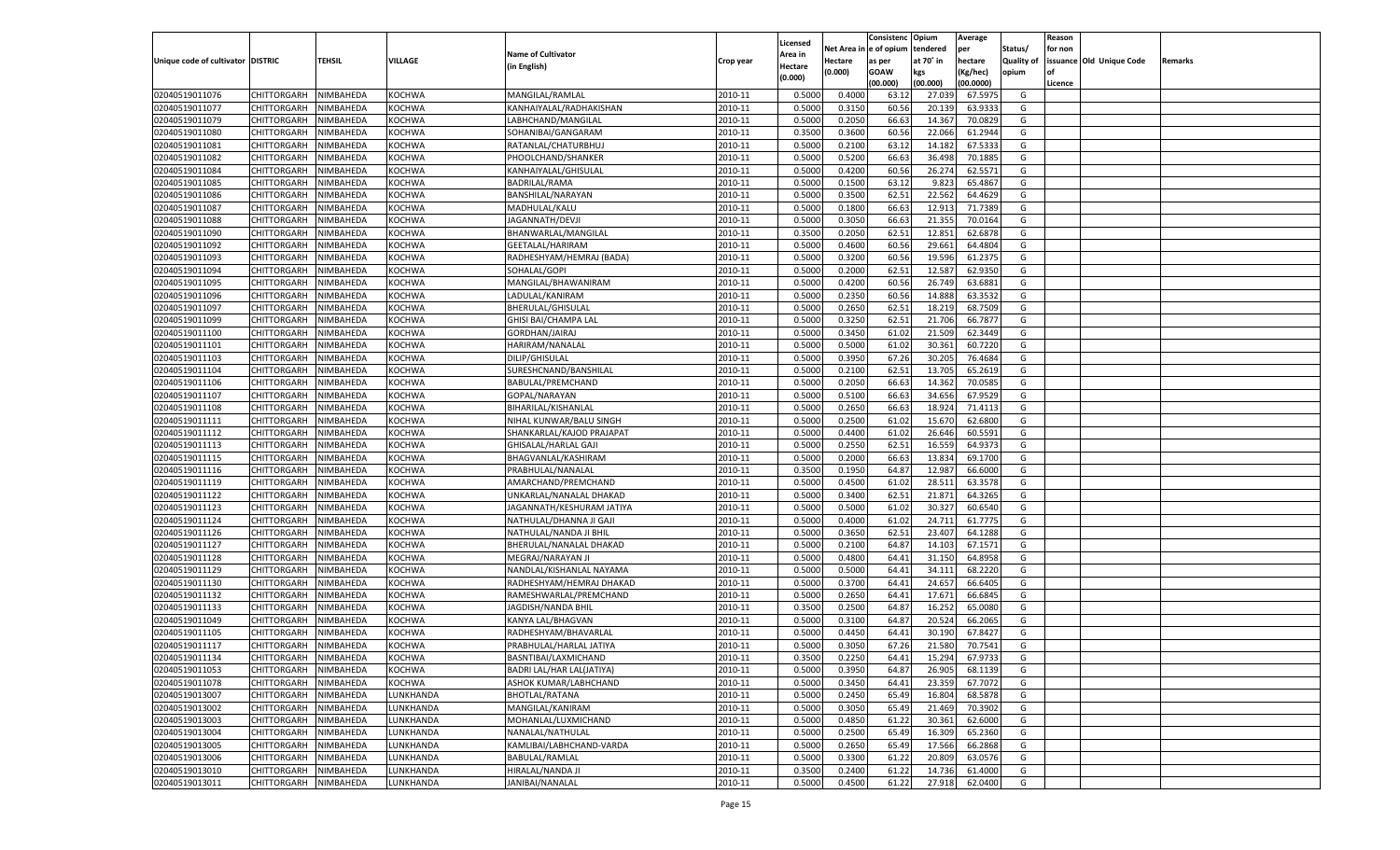|                                   |                            |               |               |                                                    |                    |                           |          | Consistenc  | Opium     | Average   |                   | Reason  |                          |         |
|-----------------------------------|----------------------------|---------------|---------------|----------------------------------------------------|--------------------|---------------------------|----------|-------------|-----------|-----------|-------------------|---------|--------------------------|---------|
|                                   |                            |               |               | <b>Name of Cultivator</b>                          |                    | Licensed                  | Net Area | e of opium  | tendered  | per       | Status/           | for non |                          |         |
| Unique code of cultivator DISTRIC |                            | <b>TEHSIL</b> | VILLAGE       | (in English)                                       | Crop year          | <b>Area in</b><br>Hectare | Hectare  | as per      | at 70° in | hectare   | <b>Quality of</b> |         | issuance Old Unique Code | Remarks |
|                                   |                            |               |               |                                                    |                    | (0.000)                   | (0.000)  | <b>GOAW</b> | kgs       | (Kg/hec)  | opium             |         |                          |         |
|                                   |                            |               |               |                                                    |                    |                           |          | (00.000)    | (00.000)  | (00.0000) |                   | Licence |                          |         |
| 02040519011076                    | CHITTORGARH                | NIMBAHEDA     | KOCHWA        | MANGILAL/RAMLAL                                    | 2010-11            | 0.5000                    | 0.4000   | 63.1        | 27.03     | 67.597    | G                 |         |                          |         |
| 02040519011077                    | CHITTORGARH                | NIMBAHEDA     | KOCHWA        | KANHAIYALAL/RADHAKISHAN                            | 2010-11            | 0.5000                    | 0.3150   | 60.56       | 20.13     | 63.9333   | G                 |         |                          |         |
| 02040519011079                    | CHITTORGARH                | NIMBAHEDA     | KOCHWA        | LABHCHAND/MANGILAL                                 | 2010-11            | 0.5000                    | 0.2050   | 66.63       | 14.367    | 70.0829   | G                 |         |                          |         |
| 02040519011080                    | CHITTORGARH                | NIMBAHEDA     | KOCHWA        | SOHANIBAI/GANGARAM                                 | 2010-11            | 0.3500                    | 0.3600   | 60.56       | 22.066    | 61.2944   | G                 |         |                          |         |
| 02040519011081                    | CHITTORGARH                | NIMBAHEDA     | KOCHWA        | RATANLAL/CHATURBHUJ                                | 2010-11            | 0.5000                    | 0.2100   | 63.12       | 14.182    | 67.5333   | G                 |         |                          |         |
| 02040519011082                    | CHITTORGARH                | NIMBAHEDA     | KOCHWA        | PHOOLCHAND/SHANKER                                 | 2010-11            | 0.5000                    | 0.5200   | 66.63       | 36.498    | 70.188    | G                 |         |                          |         |
| 02040519011084                    | CHITTORGARH                | NIMBAHEDA     | KOCHWA        | KANHAIYALAL/GHISULAL                               | 2010-11            | 0.5000                    | 0.4200   | 60.56       | 26.274    | 62.5571   | G                 |         |                          |         |
| 02040519011085                    | CHITTORGARH                | NIMBAHEDA     | KOCHWA        | BADRILAL/RAMA                                      | 2010-11            | 0.5000                    | 0.1500   | 63.1        | 9.823     | 65.4867   | G                 |         |                          |         |
| 02040519011086                    | CHITTORGARH                | NIMBAHEDA     | KOCHWA        | BANSHILAL/NARAYAN                                  | 2010-11            | 0.5000                    | 0.3500   | 62.51       | 22.562    | 64.4629   | G                 |         |                          |         |
| 02040519011087                    | CHITTORGARH                | NIMBAHEDA     | KOCHWA        | MADHULAL/KALU                                      | 2010-11            | 0.5000                    | 0.1800   | 66.63       | 12.913    | 71.738    | G                 |         |                          |         |
| 02040519011088                    | CHITTORGARH                | NIMBAHEDA     | KOCHWA        | JAGANNATH/DEVJ                                     | 2010-11            | 0.5000                    | 0.3050   | 66.63       | 21.355    | 70.0164   | G                 |         |                          |         |
| 02040519011090                    | CHITTORGARH                | NIMBAHEDA     | KOCHWA        | BHANWARLAL/MANGILAL                                | 2010-11            | 0.3500                    | 0.2050   | 62.51       | 12.851    | 62.6878   | G                 |         |                          |         |
| 02040519011092                    | CHITTORGARH                | NIMBAHEDA     | KOCHWA        | GEETALAL/HARIRAM                                   | 2010-11            | 0.5000                    | 0.4600   | 60.56       | 29.661    | 64.480    | G                 |         |                          |         |
| 02040519011093                    | CHITTORGARH                | NIMBAHEDA     | KOCHWA        | RADHESHYAM/HEMRAJ (BADA)                           | 2010-11            | 0.5000                    | 0.3200   | 60.56       | 19.596    | 61.237    | G                 |         |                          |         |
| 02040519011094                    | CHITTORGARH                | NIMBAHEDA     | KOCHWA        | SOHALAL/GOPI                                       | 2010-11            | 0.5000                    | 0.2000   | 62.51       | 12.587    | 62.9350   | G                 |         |                          |         |
| 02040519011095                    | CHITTORGARH                | NIMBAHEDA     | KOCHWA        | MANGILAL/BHAWANIRAM                                | 2010-11            | 0.5000                    | 0.4200   | 60.56       | 26.749    | 63.6881   | G                 |         |                          |         |
| 02040519011096                    | CHITTORGARH                | NIMBAHEDA     | KOCHWA        | LADULAL/KANIRAM                                    | 2010-11            | 0.5000                    | 0.2350   | 60.56       | 14.888    | 63.3532   | G                 |         |                          |         |
| 02040519011097                    | CHITTORGARH                | NIMBAHEDA     | KOCHWA        | BHERULAL/GHISULAL                                  | 2010-11            | 0.5000                    | 0.2650   | 62.51       | 18.219    | 68.7509   | G                 |         |                          |         |
| 02040519011099                    | CHITTORGARH                | NIMBAHEDA     | KOCHWA        | GHISI BAI/CHAMPA LAL                               | 2010-11            | 0.5000                    | 0.3250   | 62.51       | 21.706    | 66.7877   | G                 |         |                          |         |
| 02040519011100                    | CHITTORGARH                | NIMBAHEDA     | KOCHWA        | GORDHAN/JAIRAJ                                     | 2010-11            | 0.5000                    | 0.3450   | 61.02       | 21.509    | 62.3449   | G                 |         |                          |         |
| 02040519011101                    | CHITTORGARH                | NIMBAHEDA     | KOCHWA        | HARIRAM/NANALAL                                    | 2010-11            | 0.5000                    | 0.5000   | 61.02       | 30.361    | 60.7220   | G                 |         |                          |         |
| 02040519011103                    | CHITTORGARH                | NIMBAHEDA     | KOCHWA        | DILIP/GHISULAL                                     | 2010-11            | 0.5000                    | 0.3950   | 67.26       | 30.205    | 76.4684   | G                 |         |                          |         |
| 02040519011104                    | CHITTORGARH                | NIMBAHEDA     | KOCHWA        | SURESHCNAND/BANSHILAL                              | 2010-11            | 0.5000                    | 0.2100   | 62.51       | 13.705    | 65.2619   | G                 |         |                          |         |
| 02040519011106                    | CHITTORGARH                | NIMBAHEDA     | KOCHWA        | BABULAL/PREMCHAND                                  | 2010-11            | 0.5000                    | 0.2050   | 66.63       | 14.362    | 70.0585   | G                 |         |                          |         |
| 02040519011107                    | CHITTORGARH                | NIMBAHEDA     | KOCHWA        | GOPAL/NARAYAN                                      | 2010-11            | 0.5000                    | 0.5100   | 66.63       | 34.656    | 67.9529   | G                 |         |                          |         |
| 02040519011108                    | CHITTORGARH                | NIMBAHEDA     | KOCHWA        | BIHARILAL/KISHANLAL                                | 2010-11            | 0.5000                    | 0.2650   | 66.63       | 18.924    | 71.4113   | G                 |         |                          |         |
| 02040519011111                    | CHITTORGARH                | NIMBAHEDA     | KOCHWA        | NIHAL KUNWAR/BALU SINGH                            | 2010-11            | 0.5000                    | 0.2500   | 61.02       | 15.670    | 62.6800   | G                 |         |                          |         |
| 02040519011112                    | CHITTORGARH                | NIMBAHEDA     | KOCHWA        | SHANKARLAL/KAJOD PRAJAPAT                          | 2010-11            | 0.5000                    | 0.4400   | 61.02       | 26.646    | 60.5591   | G                 |         |                          |         |
| 02040519011113                    | CHITTORGARH                | NIMBAHEDA     | KOCHWA        | GHISALAL/HARLAL GAJI                               | 2010-11            | 0.5000                    | 0.2550   | 62.51       | 16.559    | 64.9373   | G                 |         |                          |         |
| 02040519011115                    | CHITTORGARH                | NIMBAHEDA     | KOCHWA        | BHAGVANLAL/KASHIRAM                                | 2010-11            | 0.5000                    | 0.2000   | 66.63       | 13.834    | 69.1700   | G                 |         |                          |         |
| 02040519011116                    | CHITTORGARH                | NIMBAHEDA     | KOCHWA        | PRABHULAL/NANALAL                                  | 2010-11            | 0.3500                    | 0.1950   | 64.87       | 12.987    | 66.6000   | G                 |         |                          |         |
| 02040519011119                    | CHITTORGARH                | NIMBAHEDA     | KOCHWA        | AMARCHAND/PREMCHAND                                | 2010-11            | 0.5000                    | 0.4500   | 61.02       | 28.511    | 63.3578   | G                 |         |                          |         |
| 02040519011122                    | CHITTORGARH                | NIMBAHEDA     | KOCHWA        | UNKARLAL/NANALAL DHAKAD                            | 2010-11            | 0.5000                    | 0.3400   | 62.51       | 21.871    | 64.3265   | G                 |         |                          |         |
| 02040519011123                    | CHITTORGARH                | NIMBAHEDA     | KOCHWA        | JAGANNATH/KESHURAM JATIYA                          | 2010-11            | 0.5000                    | 0.5000   | 61.02       | 30.32     | 60.6540   | G                 |         |                          |         |
| 02040519011124                    | CHITTORGARH                | NIMBAHEDA     | KOCHWA        | NATHULAL/DHANNA JI GAJI                            | 2010-11            | 0.5000                    | 0.4000   | 61.02       | 24.711    | 61.7775   | G                 |         |                          |         |
| 02040519011126                    | CHITTORGARH                | NIMBAHEDA     | KOCHWA        | NATHULAL/NANDA JI BHIL                             | 2010-11            | 0.5000                    | 0.3650   | 62.51       | 23.407    | 64.1288   | G                 |         |                          |         |
| 02040519011127                    | CHITTORGARH                | NIMBAHEDA     | KOCHWA        | BHERULAL/NANALAL DHAKAD                            | 2010-11            | 0.5000                    | 0.2100   | 64.87       | 14.103    | 67.1571   | G                 |         |                          |         |
| 02040519011128                    | CHITTORGARH                | NIMBAHEDA     | KOCHWA        | MEGRAJ/NARAYAN JI                                  | 2010-11            | 0.5000                    | 0.4800   | 64.4        | 31.150    | 64.8958   | G                 |         |                          |         |
| 02040519011129                    |                            |               |               |                                                    | 2010-11            | 0.5000                    | 0.5000   | 64.4        | 34.111    | 68.2220   | G                 |         |                          |         |
| 02040519011130                    | CHITTORGARH                | NIMBAHEDA     | KOCHWA        | NANDLAL/KISHANLAL NAYAMA                           |                    |                           |          | 64.4        | 24.65     | 66.6405   | G                 |         |                          |         |
| 02040519011132                    | CHITTORGARH                | NIMBAHEDA     | KOCHWA        | RADHESHYAM/HEMRAJ DHAKAD<br>RAMESHWARLAL/PREMCHAND | 2010-11<br>2010-11 | 0.5000                    | 0.3700   |             |           | 66.6845   |                   |         |                          |         |
| 02040519011133                    | CHITTORGARH<br>CHITTORGARH | NIMBAHEDA     | KOCHWA        |                                                    |                    | 0.5000                    | 0.2650   | 64.41       | 17.671    |           | G                 |         |                          |         |
|                                   | CHITTORGARH                | NIMBAHEDA     | KOCHWA        | JAGDISH/NANDA BHIL                                 | 2010-11            | 0.3500                    | 0.2500   | 64.87       | 16.252    | 65.0080   | G                 |         |                          |         |
| 02040519011049                    |                            | NIMBAHEDA     | KOCHWA        | KANYA LAL/BHAGVAN                                  | 2010-11            | 0.5000                    | 0.3100   | 64.87       | 20.52     | 66.2065   | G                 |         |                          |         |
| 02040519011105                    | CHITTORGARH                | NIMBAHEDA     | KOCHWA        | RADHESHYAM/BHAVARLAL                               | 2010-11            | 0.5000                    | 0.4450   | 64.4        | 30.19     | 67.8427   | G                 |         |                          |         |
| 02040519011117                    | CHITTORGARH                | NIMBAHEDA     | KOCHWA        | PRABHULAL/HARLAL JATIYA                            | 2010-11            | 0.5000                    | 0.3050   | 67.26       | 21.580    | 70.7541   | G                 |         |                          |         |
| 02040519011134                    | CHITTORGARH NIMBAHEDA      |               | <b>KOCHWA</b> | BASNTIBAI/LAXMICHAND                               | 2010-11            | 0.3500                    | 0.2250   | 64.41       | 15.294    | 67.9733   | G                 |         |                          |         |
| 02040519011053                    | <b>CHITTORGARH</b>         | NIMBAHEDA     | <b>KOCHWA</b> | BADRI LAL/HAR LAL(JATIYA)                          | 2010-11            | 0.5000                    | 0.3950   | 64.87       | 26.905    | 68.1139   | G                 |         |                          |         |
| 02040519011078                    | <b>CHITTORGARH</b>         | NIMBAHEDA     | <b>KOCHWA</b> | ASHOK KUMAR/LABHCHAND                              | 2010-11            | 0.5000                    | 0.3450   | 64.41       | 23.359    | 67.7072   | G                 |         |                          |         |
| 02040519013007                    | <b>CHITTORGARH</b>         | NIMBAHEDA     | LUNKHANDA     | <b>BHOTLAL/RATANA</b>                              | 2010-11            | 0.5000                    | 0.2450   | 65.49       | 16.804    | 68.5878   | G                 |         |                          |         |
| 02040519013002                    | <b>CHITTORGARH</b>         | NIMBAHEDA     | LUNKHANDA     | MANGILAL/KANIRAM                                   | 2010-11            | 0.5000                    | 0.3050   | 65.49       | 21.469    | 70.3902   | G                 |         |                          |         |
| 02040519013003                    | <b>CHITTORGARH</b>         | NIMBAHEDA     | LUNKHANDA     | MOHANLAL/LUXMICHAND                                | 2010-11            | 0.5000                    | 0.4850   | 61.22       | 30.361    | 62.6000   | G                 |         |                          |         |
| 02040519013004                    | <b>CHITTORGARH</b>         | NIMBAHEDA     | LUNKHANDA     | NANALAL/NATHULAL                                   | 2010-11            | 0.5000                    | 0.2500   | 65.49       | 16.309    | 65.2360   | G                 |         |                          |         |
| 02040519013005                    | <b>CHITTORGARH</b>         | NIMBAHEDA     | LUNKHANDA     | KAMLIBAI/LABHCHAND-VARDA                           | 2010-11            | 0.5000                    | 0.2650   | 65.49       | 17.566    | 66.2868   | G                 |         |                          |         |
| 02040519013006                    | <b>CHITTORGARH</b>         | NIMBAHEDA     | LUNKHANDA     | <b>BABULAL/RAMLAL</b>                              | 2010-11            | 0.5000                    | 0.3300   | 61.22       | 20.809    | 63.0576   | G                 |         |                          |         |
| 02040519013010                    | <b>CHITTORGARH</b>         | NIMBAHEDA     | LUNKHANDA     | HIRALAL/NANDA JI                                   | 2010-11            | 0.3500                    | 0.2400   | 61.22       | 14.736    | 61.4000   | G                 |         |                          |         |
| 02040519013011                    | <b>CHITTORGARH</b>         | NIMBAHEDA     | LUNKHANDA     | JANIBAI/NANALAL                                    | 2010-11            | 0.5000                    | 0.4500   | 61.22       | 27.918    | 62.0400   | G                 |         |                          |         |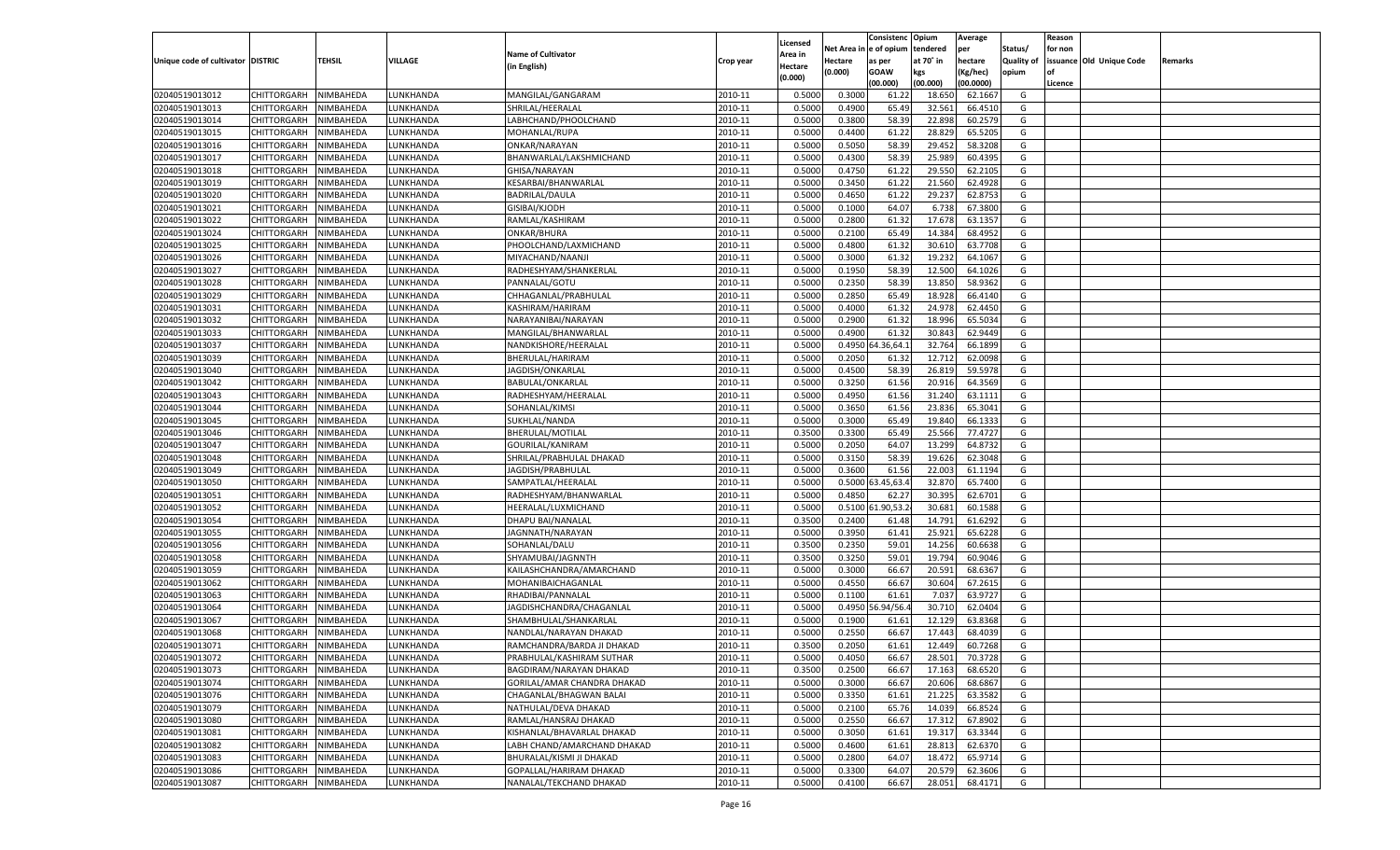|                                   |                       |               |                 |                             |           |                           |          | Consistenc  | Opium     | Average            |                   | Reason  |                          |         |
|-----------------------------------|-----------------------|---------------|-----------------|-----------------------------|-----------|---------------------------|----------|-------------|-----------|--------------------|-------------------|---------|--------------------------|---------|
|                                   |                       |               |                 | <b>Name of Cultivator</b>   |           | Licensed                  | Net Area | e of opium  | tendered  | per                | Status/           | for non |                          |         |
| Unique code of cultivator DISTRIC |                       | <b>TEHSIL</b> | VILLAGE         | (in English)                | Crop year | <b>Area in</b><br>Hectare | Hectare  | as per      | at 70° in | hectare            | <b>Quality of</b> |         | issuance Old Unique Code | Remarks |
|                                   |                       |               |                 |                             |           | (0.000)                   | (0.000)  | <b>GOAW</b> | kgs       | (Kg/hec)           | opium             |         |                          |         |
|                                   |                       |               |                 |                             |           |                           |          | (00.000)    | (00.000)  | (00.0000)          |                   | Licence |                          |         |
| 02040519013012                    | CHITTORGARH           | NIMBAHEDA     | LUNKHANDA       | MANGILAL/GANGARAM           | 2010-11   | 0.5000                    | 0.3000   | 61.2        | 18.65     | 62.1667            | G                 |         |                          |         |
| 02040519013013                    | CHITTORGARH           | NIMBAHEDA     | LUNKHANDA       | SHRILAL/HEERALAL            | 2010-11   | 0.5000                    | 0.4900   | 65.49       | 32.561    | 66.4510            | G                 |         |                          |         |
| 02040519013014                    | CHITTORGARH           | NIMBAHEDA     | LUNKHANDA       | LABHCHAND/PHOOLCHAND        | 2010-11   | 0.5000                    | 0.3800   | 58.39       | 22.898    | 60.2579            | G                 |         |                          |         |
| 02040519013015                    | CHITTORGARH           | NIMBAHEDA     | LUNKHANDA       | MOHANLAL/RUPA               | 2010-11   | 0.5000                    | 0.4400   | 61.22       | 28.829    | 65.5205            | G                 |         |                          |         |
| 02040519013016                    | CHITTORGARH           | NIMBAHEDA     | UNKHANDA.       | ONKAR/NARAYAN               | 2010-11   | 0.5000                    | 0.5050   | 58.39       | 29.452    | 58.3208            | G                 |         |                          |         |
| 02040519013017                    | CHITTORGARH           | NIMBAHEDA     | UNKHANDA.       | BHANWARLAL/LAKSHMICHAND     | 2010-11   | 0.5000                    | 0.4300   | 58.39       | 25.989    | 60.4395            | G                 |         |                          |         |
| 02040519013018                    | CHITTORGARH           | NIMBAHEDA     | LUNKHANDA       | GHISA/NARAYAN               | 2010-11   | 0.5000                    | 0.4750   | 61.22       | 29.55     | 62.2105            | G                 |         |                          |         |
| 02040519013019                    | CHITTORGARH           | NIMBAHEDA     | LUNKHANDA       | KESARBAI/BHANWARLAL         | 2010-11   | 0.5000                    | 0.3450   | 61.22       | 21.560    | 62.4928            | G                 |         |                          |         |
| 02040519013020                    | CHITTORGARH           | NIMBAHEDA     | UNKHANDA.       | <b>BADRILAL/DAULA</b>       | 2010-11   | 0.5000                    | 0.4650   | 61.22       | 29.237    | 62.875             | G                 |         |                          |         |
| 02040519013021                    | CHITTORGARH           | NIMBAHEDA     | UNKHANDA.       | GISIBAI/KJODH               | 2010-11   | 0.5000                    | 0.1000   | 64.07       | 6.738     | 67.3800            | G                 |         |                          |         |
| 02040519013022                    | CHITTORGARH           | NIMBAHEDA     | LUNKHANDA       | RAMLAL/KASHIRAM             | 2010-11   | 0.5000                    | 0.2800   | 61.32       | 17.678    | 63.1357            | G                 |         |                          |         |
| 02040519013024                    | CHITTORGARH           | NIMBAHEDA     | LUNKHANDA       | ONKAR/BHURA                 | 2010-11   | 0.5000                    | 0.2100   | 65.49       | 14.384    | 68.4952            | G                 |         |                          |         |
| 02040519013025                    | CHITTORGARH           | NIMBAHEDA     | UNKHANDA.       | PHOOLCHAND/LAXMICHAND       | 2010-11   | 0.5000                    | 0.4800   | 61.32       | 30.610    | 63.7708            | G                 |         |                          |         |
| 02040519013026                    | CHITTORGARH           | NIMBAHEDA     | <b>UNKHANDA</b> | MIYACHAND/NAANJI            | 2010-11   | 0.5000                    | 0.3000   | 61.32       | 19.232    | 64.1067            | G                 |         |                          |         |
| 02040519013027                    | CHITTORGARH           | NIMBAHEDA     | <b>UNKHANDA</b> | RADHESHYAM/SHANKERLAL       | 2010-11   | 0.5000                    | 0.1950   | 58.39       | 12.500    | 64.1026            | G                 |         |                          |         |
| 02040519013028                    | CHITTORGARH           | NIMBAHEDA     | <b>UNKHANDA</b> | PANNALAL/GOTU               | 2010-11   | 0.5000                    | 0.2350   | 58.39       | 13.850    | 58.9362            | G                 |         |                          |         |
| 02040519013029                    | CHITTORGARH           | NIMBAHEDA     | <b>UNKHANDA</b> | CHHAGANLAL/PRABHULAL        | 2010-11   | 0.5000                    | 0.2850   | 65.49       | 18.928    | 66.4140            | G                 |         |                          |         |
| 02040519013031                    | CHITTORGARH           | NIMBAHEDA     | <b>UNKHANDA</b> | KASHIRAM/HARIRAM            | 2010-11   | 0.5000                    | 0.4000   | 61.32       | 24.978    | 62.4450            | G                 |         |                          |         |
| 02040519013032                    | CHITTORGARH           | NIMBAHEDA     | <b>UNKHANDA</b> | NARAYANIBAI/NARAYAN         | 2010-11   | 0.5000                    | 0.2900   | 61.32       | 18.996    | 65.5034            | G                 |         |                          |         |
| 02040519013033                    | CHITTORGARH           | NIMBAHEDA     | <b>UNKHANDA</b> | MANGILAL/BHANWARLAL         | 2010-11   | 0.5000                    | 0.4900   | 61.3        | 30.843    | 62.9449            | G                 |         |                          |         |
| 02040519013037                    | CHITTORGARH           | NIMBAHEDA     | <b>UNKHANDA</b> | NANDKISHORE/HEERALAL        | 2010-11   | 0.5000                    | 0.4950   | 4.36,64.    | 32.764    | 66.1899            | G                 |         |                          |         |
| 02040519013039                    | CHITTORGARH           | NIMBAHEDA     | <b>UNKHANDA</b> | BHERULAL/HARIRAM            | 2010-11   | 0.5000                    | 0.2050   | 61.3        | 12.712    | 62.0098            | G                 |         |                          |         |
| 02040519013040                    | CHITTORGARH           | NIMBAHEDA     | <b>UNKHANDA</b> | JAGDISH/ONKARLAL            | 2010-11   | 0.5000                    | 0.4500   | 58.39       | 26.819    | 59.5978            | G                 |         |                          |         |
| 02040519013042                    | CHITTORGARH           | NIMBAHEDA     | <b>UNKHANDA</b> | BABULAL/ONKARLAI            | 2010-11   | 0.5000                    | 0.3250   | 61.56       | 20.916    | 64.3569            | G                 |         |                          |         |
| 02040519013043                    | CHITTORGARH           | NIMBAHEDA     | <b>UNKHANDA</b> | RADHESHYAM/HEERALAL         | 2010-11   | 0.5000                    | 0.4950   | 61.56       | 31.240    | 63.1111            | G                 |         |                          |         |
| 02040519013044                    | CHITTORGARH           | NIMBAHEDA     | <b>UNKHANDA</b> | SOHANLAL/KIMSI              | 2010-11   | 0.5000                    | 0.3650   | 61.56       | 23.836    | 65.3041            | G                 |         |                          |         |
| 02040519013045                    | CHITTORGARH           | NIMBAHEDA     | <b>UNKHANDA</b> | SUKHLAL/NANDA               | 2010-11   | 0.5000                    | 0.3000   | 65.49       | 19.840    | 66.1333            | G                 |         |                          |         |
| 02040519013046                    | CHITTORGARH           | NIMBAHEDA     | <b>UNKHANDA</b> | BHERULAL/MOTILAL            | 2010-11   | 0.3500                    | 0.3300   | 65.49       | 25.566    | 77.4727            | G                 |         |                          |         |
| 02040519013047                    | CHITTORGARH           | NIMBAHEDA     | <b>UNKHANDA</b> | GOURILAL/KANIRAM            | 2010-11   | 0.5000                    | 0.2050   | 64.07       | 13.299    | 64.8732            | G                 |         |                          |         |
| 02040519013048                    | CHITTORGARH           | NIMBAHEDA     | LUNKHANDA       | SHRILAL/PRABHULAL DHAKAD    | 2010-11   | 0.5000                    | 0.3150   | 58.39       | 19.626    | 62.3048            | G                 |         |                          |         |
| 02040519013049                    | CHITTORGARH           | NIMBAHEDA     | LUNKHANDA       | JAGDISH/PRABHULAL           | 2010-11   | 0.5000                    | 0.3600   | 61.56       | 22.003    | 61.1194            | G                 |         |                          |         |
| 02040519013050                    | CHITTORGARH           | NIMBAHEDA     | LUNKHANDA       | SAMPATLAL/HEERALAI          | 2010-11   | 0.5000                    | 0.5000   | 3.45,63.    | 32.87     | 65.7400            | G                 |         |                          |         |
| 02040519013051                    | CHITTORGARH           | NIMBAHEDA     | LUNKHANDA       | RADHESHYAM/BHANWARLAL       | 2010-11   | 0.5000                    | 0.4850   | 62.27       | 30.395    | 62.6701            | G                 |         |                          |         |
| 02040519013052                    |                       |               |                 |                             | 2010-11   | 0.5000                    |          | 1.90,53.    | 30.681    |                    | G                 |         |                          |         |
|                                   | CHITTORGARH           | NIMBAHEDA     | LUNKHANDA       | HEERALAL/LUXMICHAND         | 2010-11   |                           | 0.5100   |             |           | 60.1588<br>61.6292 |                   |         |                          |         |
| 02040519013054                    | CHITTORGARH           | NIMBAHEDA     | LUNKHANDA       | DHAPU BAI/NANALAL           |           | 0.3500                    | 0.2400   | 61.48       | 14.791    |                    | G                 |         |                          |         |
| 02040519013055                    | CHITTORGARH           | NIMBAHEDA     | LUNKHANDA       | JAGNNATH/NARAYAN            | 2010-11   | 0.5000                    | 0.3950   | 61.4        | 25.921    | 65.6228            | G                 |         |                          |         |
| 02040519013056                    | CHITTORGARH           | NIMBAHEDA     | LUNKHANDA       | SOHANLAL/DALU               | 2010-11   | 0.3500                    | 0.2350   | 59.01       | 14.256    | 60.6638            | G                 |         |                          |         |
| 02040519013058                    | CHITTORGARH           | NIMBAHEDA     | LUNKHANDA       | SHYAMUBAI/JAGNNTH           | 2010-11   | 0.3500                    | 0.3250   | 59.01       | 19.794    | 60.9046            | G                 |         |                          |         |
| 02040519013059                    | CHITTORGARH           | NIMBAHEDA     | LUNKHANDA       | KAILASHCHANDRA/AMARCHAND    | 2010-11   | 0.5000                    | 0.3000   | 66.67       | 20.591    | 68.6367            | G                 |         |                          |         |
| 02040519013062                    | CHITTORGARH           | NIMBAHEDA     | LUNKHANDA       | MOHANIBAICHAGANLAL          | 2010-11   | 0.5000                    | 0.4550   | 66.67       | 30.604    | 67.2615            | G                 |         |                          |         |
| 02040519013063                    | CHITTORGARH           | NIMBAHEDA     | LUNKHANDA       | RHADIBAI/PANNALAL           | 2010-11   | 0.5000                    | 0.1100   | 61.61       | 7.03      | 63.9727            | G                 |         |                          |         |
| 02040519013064                    | CHITTORGARH           | NIMBAHEDA     | LUNKHANDA       | JAGDISHCHANDRA/CHAGANLAL    | 2010-11   | 0.5000                    | 0.4950   | 6.94/56.    | 30.71     | 62.0404            | G                 |         |                          |         |
| 02040519013067                    | CHITTORGARH           | NIMBAHEDA     | LUNKHANDA       | SHAMBHULAL/SHANKARLAL       | 2010-11   | 0.5000                    | 0.1900   | 61.61       | 12.129    | 63.8368            | G                 |         |                          |         |
| 02040519013068                    | CHITTORGARH           | NIMBAHEDA     | LUNKHANDA       | NANDLAL/NARAYAN DHAKAD      | 2010-11   | 0.5000                    | 0.2550   | 66.67       | 17.44     | 68.4039            | G                 |         |                          |         |
| 02040519013071                    | CHITTORGARH           | NIMBAHEDA     | LUNKHANDA       | RAMCHANDRA/BARDA JI DHAKAD  | 2010-11   | 0.3500                    | 0.2050   | 61.61       | 12.449    | 60.7268            | G                 |         |                          |         |
| 02040519013072                    | CHITTORGARH NIMBAHEDA |               | LUNKHANDA       | PRABHULAL/KASHIRAM SUTHAR   | 2010-11   | 0.5000                    | 0.4050   | 66.67       | 28.501    | 70.3728            | G                 |         |                          |         |
| 02040519013073                    | <b>CHITTORGARH</b>    | NIMBAHEDA     | LUNKHANDA       | BAGDIRAM/NARAYAN DHAKAD     | 2010-11   | 0.3500                    | 0.2500   | 66.67       | 17.163    | 68.6520            | G                 |         |                          |         |
| 02040519013074                    | CHITTORGARH           | NIMBAHEDA     | LUNKHANDA       | GORILAL/AMAR CHANDRA DHAKAD | 2010-11   | 0.5000                    | 0.3000   | 66.67       | 20.606    | 68.6867            | G                 |         |                          |         |
| 02040519013076                    | <b>CHITTORGARH</b>    | NIMBAHEDA     | LUNKHANDA       | CHAGANLAL/BHAGWAN BALAI     | 2010-11   | 0.5000                    | 0.3350   | 61.61       | 21.225    | 63.3582            | G                 |         |                          |         |
| 02040519013079                    | <b>CHITTORGARH</b>    | NIMBAHEDA     | LUNKHANDA       | NATHULAL/DEVA DHAKAD        | 2010-11   | 0.5000                    | 0.2100   | 65.76       | 14.039    | 66.8524            | G                 |         |                          |         |
| 02040519013080                    | <b>CHITTORGARH</b>    | NIMBAHEDA     | LUNKHANDA       | RAMLAL/HANSRAJ DHAKAD       | 2010-11   | 0.5000                    | 0.2550   | 66.67       | 17.312    | 67.8902            | G                 |         |                          |         |
| 02040519013081                    | <b>CHITTORGARH</b>    | NIMBAHEDA     | LUNKHANDA       | KISHANLAL/BHAVARLAL DHAKAD  | 2010-11   | 0.5000                    | 0.3050   | 61.61       | 19.317    | 63.3344            | G                 |         |                          |         |
| 02040519013082                    | <b>CHITTORGARH</b>    | NIMBAHEDA     | LUNKHANDA       | LABH CHAND/AMARCHAND DHAKAD | 2010-11   | 0.5000                    | 0.4600   | 61.61       | 28.813    | 62.6370            | G                 |         |                          |         |
| 02040519013083                    | <b>CHITTORGARH</b>    | NIMBAHEDA     | LUNKHANDA       | BHURALAL/KISMI JI DHAKAD    | 2010-11   | 0.5000                    | 0.2800   | 64.07       | 18.472    | 65.9714            | G                 |         |                          |         |
| 02040519013086                    | <b>CHITTORGARH</b>    | NIMBAHEDA     | LUNKHANDA       | GOPALLAL/HARIRAM DHAKAD     | 2010-11   | 0.5000                    | 0.3300   | 64.07       | 20.579    | 62.3606            | G                 |         |                          |         |
| 02040519013087                    | <b>CHITTORGARH</b>    | NIMBAHEDA     | LUNKHANDA       | NANALAL/TEKCHAND DHAKAD     | 2010-11   | 0.5000                    | 0.4100   | 66.67       | 28.051    | 68.4171            | G                 |         |                          |         |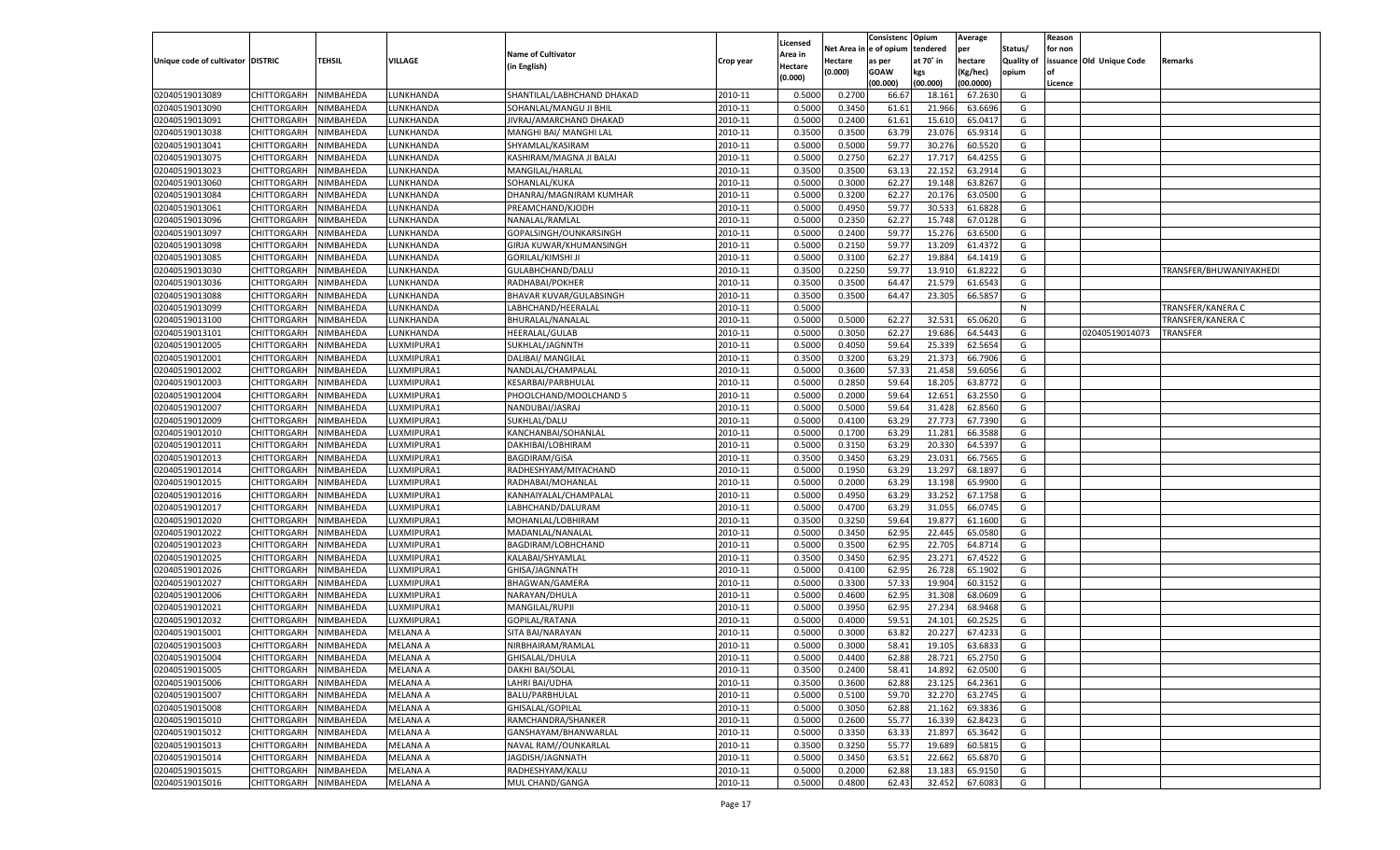|                                   |                                      |           |                 |                            |           |                    |            | Consistenc    | Opium     | Average            |            | Reason  |                          |                         |
|-----------------------------------|--------------------------------------|-----------|-----------------|----------------------------|-----------|--------------------|------------|---------------|-----------|--------------------|------------|---------|--------------------------|-------------------------|
|                                   |                                      |           |                 | <b>Name of Cultivator</b>  |           | Licensed           | Net Area i | n  e of opium | tendered  | per                | Status/    | for non |                          |                         |
| Unique code of cultivator DISTRIC |                                      | TEHSIL    | VILLAGE         | (in English)               | Crop year | Area in<br>Hectare | Hectare    | as per        | at 70° in | hectare            | Quality of |         | issuance Old Unique Code | Remarks                 |
|                                   |                                      |           |                 |                            |           | (0.000)            | (0.000)    | <b>GOAW</b>   | kgs       | (Kg/hec)           | opium      |         |                          |                         |
|                                   |                                      |           |                 |                            |           |                    |            | (00.000)      | (00.000)  | (00.0000)          |            | Licence |                          |                         |
| 02040519013089                    | CHITTORGARH                          | NIMBAHEDA | LUNKHANDA       | SHANTILAL/LABHCHAND DHAKAD | 2010-11   | 0.5000             | 0.2700     | 66.67         | 18.161    | 67.2630            | G          |         |                          |                         |
| 02040519013090                    | CHITTORGARH                          | NIMBAHEDA | LUNKHANDA       | SOHANLAL/MANGU JI BHIL     | 2010-11   | 0.5000             | 0.3450     | 61.61         | 21.966    | 63.6696            | G          |         |                          |                         |
| 02040519013091                    | CHITTORGARH                          | NIMBAHEDA | LUNKHANDA       | JIVRAJ/AMARCHAND DHAKAD    | 2010-11   | 0.5000             | 0.2400     | 61.61         | 15.610    | 65.0417            | G          |         |                          |                         |
| 02040519013038                    | CHITTORGARH                          | NIMBAHEDA | LUNKHANDA       | MANGHI BAI/ MANGHI LAL     | 2010-11   | 0.3500             | 0.3500     | 63.79         | 23.076    | 65.9314            | G          |         |                          |                         |
| 02040519013041                    | CHITTORGARH                          | NIMBAHEDA | LUNKHANDA       | SHYAMLAL/KASIRAM           | 2010-11   | 0.5000             | 0.5000     | 59.77         | 30.276    | 60.5520            | G          |         |                          |                         |
| 02040519013075                    | CHITTORGARH                          | NIMBAHEDA | LUNKHANDA       | KASHIRAM/MAGNA JI BALAI    | 2010-11   | 0.5000             | 0.2750     | 62.2          | 17.717    | 64.4255            | G          |         |                          |                         |
| 02040519013023                    | CHITTORGARH                          | NIMBAHEDA | LUNKHANDA       | MANGILAL/HARLAL            | 2010-11   | 0.3500             | 0.3500     | 63.13         | 22.152    | 63.2914            | G          |         |                          |                         |
| 02040519013060                    | CHITTORGARH                          | NIMBAHEDA | LUNKHANDA       | SOHANLAL/KUKA              | 2010-11   | 0.5000             | 0.3000     | 62.2          | 19.148    | 63.8267            | G          |         |                          |                         |
| 02040519013084                    | CHITTORGARH                          | NIMBAHEDA | LUNKHANDA       | DHANRAJ/MAGNIRAM KUMHAR    | 2010-11   | 0.5000             | 0.3200     | 62.27         | 20.176    | 63.0500            | G          |         |                          |                         |
| 02040519013061                    | CHITTORGARH                          | NIMBAHEDA | LUNKHANDA       | PREAMCHAND/KJODH           | 2010-11   | 0.5000             | 0.4950     | 59.7          | 30.533    | 61.6828            | G          |         |                          |                         |
| 02040519013096                    | CHITTORGARH                          | NIMBAHEDA | LUNKHANDA       | NANALAL/RAMLAL             | 2010-11   | 0.5000             | 0.2350     | 62.27         | 15.748    | 67.0128            | G          |         |                          |                         |
| 02040519013097                    | CHITTORGARH                          | NIMBAHEDA | LUNKHANDA       | GOPALSINGH/OUNKARSINGH     | 2010-11   | 0.5000             | 0.2400     | 59.7          | 15.276    | 63.6500            | G          |         |                          |                         |
| 02040519013098                    | CHITTORGARH                          | NIMBAHEDA | LUNKHANDA       | GIRJA KUWAR/KHUMANSINGH    | 2010-11   | 0.5000             | 0.2150     | 59.77         | 13.209    | 61.4372            | G          |         |                          |                         |
| 02040519013085                    | CHITTORGARH                          | NIMBAHEDA | UNKHANDA.       | <b>GORILAL/KIMSHI JI</b>   | 2010-11   | 0.5000             | 0.3100     | 62.27         | 19.884    | 64.1419            | G          |         |                          |                         |
| 02040519013030                    | CHITTORGARH                          | NIMBAHEDA | <b>UNKHANDA</b> | GULABHCHAND/DALU           | 2010-11   | 0.3500             | 0.2250     | 59.77         | 13.910    | 61.8222            | G          |         |                          | TRANSFER/BHUWANIYAKHEDI |
| 02040519013036                    | CHITTORGARH                          | NIMBAHEDA | UNKHANDA.       | RADHABAI/POKHER            | 2010-11   | 0.3500             | 0.3500     | 64.47         | 21.579    | 61.6543            | G          |         |                          |                         |
| 02040519013088                    | CHITTORGARH                          | NIMBAHEDA | <b>UNKHANDA</b> | BHAVAR KUVAR/GULABSINGH    | 2010-11   | 0.3500             | 0.3500     | 64.47         | 23.305    | 66.585             | G          |         |                          |                         |
| 02040519013099                    | CHITTORGARH                          | NIMBAHEDA | UNKHANDA        | LABHCHAND/HEERALAL         | 2010-11   | 0.5000             |            |               |           |                    | N          |         |                          | TRANSFER/KANERA C       |
| 02040519013100                    | CHITTORGARH                          | NIMBAHEDA | <b>UNKHANDA</b> | BHURALAL/NANALAL           | 2010-11   | 0.5000             | 0.5000     | 62.2          | 32.531    | 65.0620            | G          |         |                          | TRANSFER/KANERA C       |
| 02040519013101                    | CHITTORGARH                          | NIMBAHEDA | UNKHANDA.       | HEERALAL/GULAB             | 2010-11   | 0.5000             | 0.3050     | 62.27         | 19.686    | 64.5443            | G          |         | 02040519014073           | TRANSFER                |
| 02040519012005                    | CHITTORGARH                          | NIMBAHEDA | UXMIPURA1       | SUKHLAL/JAGNNTH            | 2010-11   | 0.5000             | 0.4050     | 59.64         | 25.339    | 62.5654            | G          |         |                          |                         |
| 02040519012001                    | CHITTORGARH                          | NIMBAHEDA | LUXMIPURA1      | <b>DALIBAI/ MANGILAL</b>   | 2010-11   | 0.3500             | 0.3200     | 63.29         | 21.373    | 66.7906            | G          |         |                          |                         |
| 02040519012002                    | CHITTORGARH                          | NIMBAHEDA | LUXMIPURA1      | NANDLAL/CHAMPALAI          | 2010-11   | 0.5000             | 0.3600     | 57.33         | 21.458    | 59.6056            | G          |         |                          |                         |
| 02040519012003                    | CHITTORGARH                          | NIMBAHEDA | LUXMIPURA1      | KESARBAI/PARBHULAL         | 2010-11   | 0.5000             | 0.2850     | 59.64         | 18.205    | 63.8772            | G          |         |                          |                         |
| 02040519012004                    | CHITTORGARH                          | NIMBAHEDA | LUXMIPURA1      | PHOOLCHAND/MOOLCHAND 5     | 2010-11   | 0.5000             | 0.2000     | 59.64         | 12.651    | 63.2550            | G          |         |                          |                         |
| 02040519012007                    | CHITTORGARH                          | NIMBAHEDA | LUXMIPURA1      | NANDUBAI/JASRAJ            | 2010-11   | 0.5000             | 0.5000     | 59.64         | 31.428    | 62.8560            | G          |         |                          |                         |
| 02040519012009                    | CHITTORGARH                          | NIMBAHEDA | LUXMIPURA1      | SUKHLAL/DALU               | 2010-11   | 0.5000             | 0.4100     | 63.29         | 27.773    | 67.7390            | G          |         |                          |                         |
| 02040519012010                    | CHITTORGARH                          | NIMBAHEDA | LUXMIPURA1      | KANCHANBAI/SOHANLAL        | 2010-11   | 0.5000             | 0.1700     | 63.29         | 11.281    | 66.3588            | G          |         |                          |                         |
| 02040519012011                    | CHITTORGARH                          | NIMBAHEDA | LUXMIPURA1      | DAKHIBAI/LOBHIRAM          | 2010-11   | 0.5000             | 0.3150     | 63.29         | 20.330    | 64.5397            | G          |         |                          |                         |
| 02040519012013                    | CHITTORGARH                          | NIMBAHEDA | LUXMIPURA1      | <b>BAGDIRAM/GISA</b>       | 2010-11   | 0.3500             | 0.3450     | 63.29         | 23.031    | 66.7565            | G          |         |                          |                         |
| 02040519012014                    | CHITTORGARH                          | NIMBAHEDA | LUXMIPURA1      | RADHESHYAM/MIYACHAND       | 2010-11   | 0.5000             | 0.1950     | 63.29         | 13.297    | 68.189             | G          |         |                          |                         |
| 02040519012015                    | CHITTORGARH                          | NIMBAHEDA | LUXMIPURA1      | RADHABAI/MOHANLAL          | 2010-11   | 0.5000             | 0.2000     | 63.29         | 13.198    | 65.9900            | G          |         |                          |                         |
| 02040519012016                    | CHITTORGARH                          | NIMBAHEDA | LUXMIPURA1      | KANHAIYALAL/CHAMPALAL      | 2010-11   | 0.5000             | 0.4950     | 63.29         | 33.252    | 67.1758            | G          |         |                          |                         |
| 02040519012017                    | CHITTORGARH                          | NIMBAHEDA | LUXMIPURA1      | LABHCHAND/DALURAM          | 2010-11   | 0.5000             | 0.4700     | 63.29         | 31.055    | 66.0745            | G          |         |                          |                         |
| 02040519012020                    | CHITTORGARH                          | NIMBAHEDA | LUXMIPURA1      | MOHANLAL/LOBHIRAM          | 2010-11   | 0.3500             | 0.3250     | 59.64         | 19.877    | 61.1600            | G          |         |                          |                         |
| 02040519012022                    | CHITTORGARH                          | NIMBAHEDA | LUXMIPURA1      | MADANLAL/NANALAL           | 2010-11   | 0.5000             | 0.3450     | 62.95         | 22.445    | 65.0580            | G          |         |                          |                         |
| 02040519012023                    | CHITTORGARH                          | NIMBAHEDA | LUXMIPURA1      | BAGDIRAM/LOBHCHAND         | 2010-11   | 0.5000             | 0.3500     | 62.95         | 22.705    | 64.8714            | G          |         |                          |                         |
| 02040519012025                    | CHITTORGARH                          | NIMBAHEDA | LUXMIPURA1      | KALABAI/SHYAMLAL           | 2010-11   | 0.3500             | 0.3450     | 62.95         | 23.271    | 67.4522            | G          |         |                          |                         |
| 02040519012026                    | CHITTORGARH                          | NIMBAHEDA | LUXMIPURA1      | GHISA/JAGNNATH             | 2010-11   | 0.5000             | 0.4100     | 62.95         | 26.728    | 65.1902            | G          |         |                          |                         |
| 02040519012027                    | CHITTORGARH                          | NIMBAHEDA | LUXMIPURA1      | <b>BHAGWAN/GAMERA</b>      | 2010-11   | 0.5000             | 0.3300     | 57.33         | 19.904    | 60.3152            | G          |         |                          |                         |
| 02040519012006                    | CHITTORGARH                          | NIMBAHEDA | LUXMIPURA1      | NARAYAN/DHULA              | 2010-11   | 0.5000             | 0.4600     | 62.95         | 31.308    | 68.0609            | G          |         |                          |                         |
| 02040519012021                    | CHITTORGARH                          | NIMBAHEDA | LUXMIPURA1      | MANGILAL/RUPJI             | 2010-11   | 0.5000             | 0.3950     | 62.95         | 27.234    | 68.9468            | G          |         |                          |                         |
| 02040519012032                    | CHITTORGARH                          | NIMBAHEDA | LUXMIPURA1      | GOPILAL/RATANA             | 2010-11   | 0.5000             | 0.4000     | 59.51         | 24.101    | 60.2525            | G          |         |                          |                         |
| 02040519015001                    | CHITTORGARH                          | NIMBAHEDA | MELANA A        | SITA BAI/NARAYAN           | 2010-11   | 0.5000             | 0.3000     | 63.82         | 20.227    | 67.423             | G          |         |                          |                         |
| 02040519015003                    |                                      | NIMBAHEDA |                 |                            | 2010-11   | 0.5000             | 0.3000     | 58.41         | 19.105    | 63.6833            | G          |         |                          |                         |
|                                   | CHITTORGARH<br>CHITTORGARH NIMBAHEDA |           | MELANA A        | NIRBHAIRAM/RAMLAI          |           |                    |            |               |           |                    |            |         |                          |                         |
| 02040519015004                    |                                      |           | <b>MELANA A</b> | GHISALAL/DHULA             | 2010-11   | 0.5000             | 0.4400     | 62.88         | 28.721    | 65.2750            | G          |         |                          |                         |
| 02040519015005                    | <b>CHITTORGARH</b><br>CHITTORGARH    | NIMBAHEDA | <b>MELANA A</b> | DAKHI BAI/SOLAL            | 2010-11   | 0.3500             | 0.2400     | 58.41         | 14.892    | 62.0500<br>64.2361 | G          |         |                          |                         |
| 02040519015006                    |                                      | NIMBAHEDA | <b>MELANA A</b> | LAHRI BAI/UDHA             | 2010-11   | 0.3500             | 0.3600     | 62.88         | 23.125    |                    | G          |         |                          |                         |
| 02040519015007                    | CHITTORGARH                          | NIMBAHEDA | <b>MELANA A</b> | BALU/PARBHULAL             | 2010-11   | 0.5000             | 0.5100     | 59.70         | 32.270    | 63.2745            | G          |         |                          |                         |
| 02040519015008                    | <b>CHITTORGARH</b>                   | NIMBAHEDA | <b>MELANA A</b> | GHISALAL/GOPILAL           | 2010-11   | 0.5000             | 0.3050     | 62.88         | 21.162    | 69.3836            | G          |         |                          |                         |
| 02040519015010                    | CHITTORGARH                          | NIMBAHEDA | <b>MELANA A</b> | RAMCHANDRA/SHANKER         | 2010-11   | 0.5000             | 0.2600     | 55.77         | 16.339    | 62.8423            | G          |         |                          |                         |
| 02040519015012                    | <b>CHITTORGARH</b>                   | NIMBAHEDA | <b>MELANA A</b> | GANSHAYAM/BHANWARLAL       | 2010-11   | 0.5000             | 0.3350     | 63.33         | 21.897    | 65.3642            | G          |         |                          |                         |
| 02040519015013                    | CHITTORGARH                          | NIMBAHEDA | <b>MELANA A</b> | NAVAL RAM//OUNKARLAL       | 2010-11   | 0.3500             | 0.3250     | 55.77         | 19.689    | 60.5815            | G          |         |                          |                         |
| 02040519015014                    | <b>CHITTORGARH</b>                   | NIMBAHEDA | <b>MELANA A</b> | JAGDISH/JAGNNATH           | 2010-11   | 0.5000             | 0.3450     | 63.51         | 22.662    | 65.6870            | G          |         |                          |                         |
| 02040519015015                    | <b>CHITTORGARH</b>                   | NIMBAHEDA | <b>MELANA A</b> | RADHESHYAM/KALU            | 2010-11   | 0.5000             | 0.2000     | 62.88         | 13.183    | 65.9150            | G          |         |                          |                         |
| 02040519015016                    | <b>CHITTORGARH</b>                   | NIMBAHEDA | <b>MELANA A</b> | MUL CHAND/GANGA            | 2010-11   | 0.5000             | 0.4800     | 62.43         | 32.452    | 67.6083            | G          |         |                          |                         |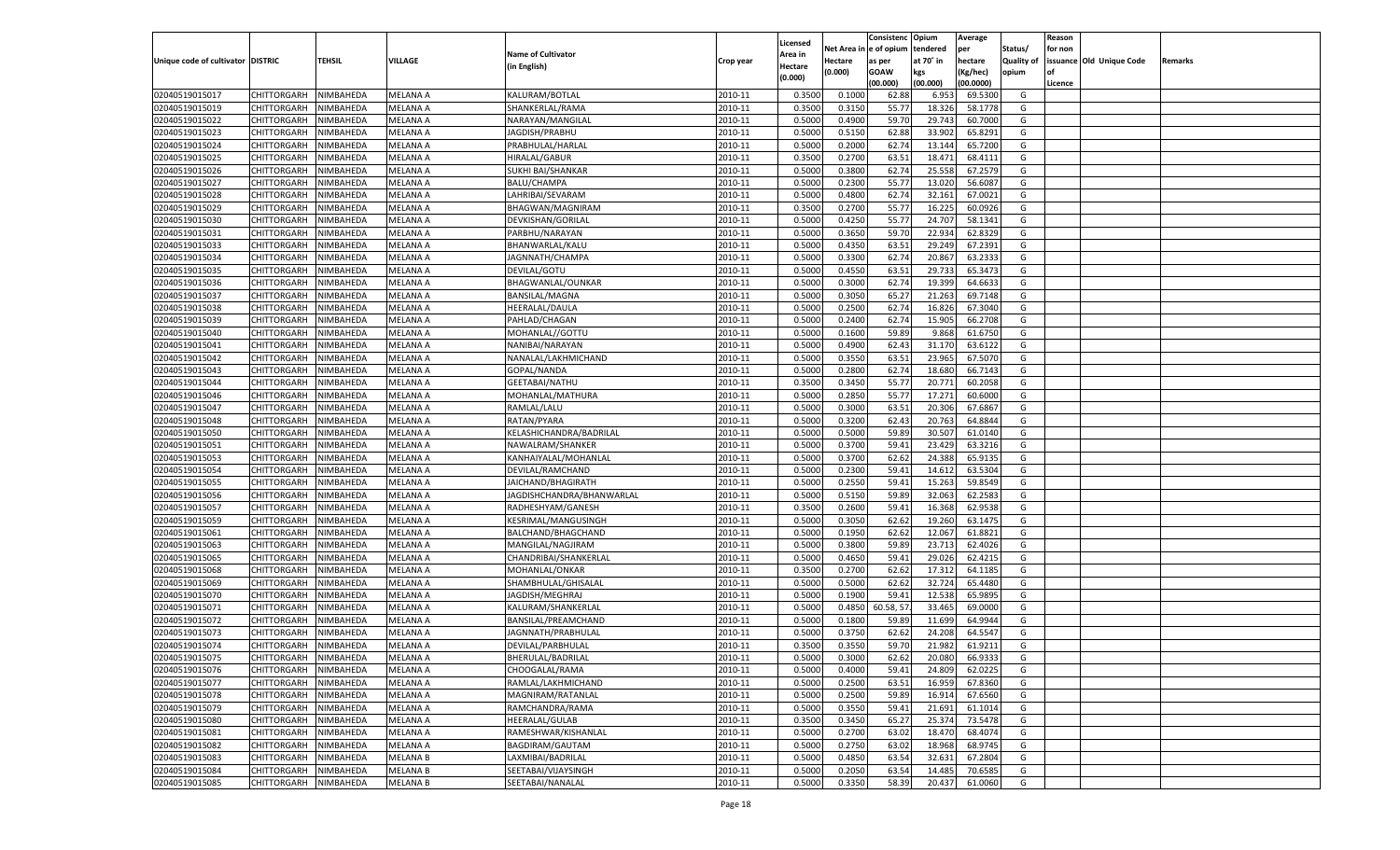|                                   |                       |               |                 |                           |           |                     |         | Consistenc Opium       |           | Average   |                   | Reason  |                          |         |
|-----------------------------------|-----------------------|---------------|-----------------|---------------------------|-----------|---------------------|---------|------------------------|-----------|-----------|-------------------|---------|--------------------------|---------|
|                                   |                       |               |                 | <b>Name of Cultivator</b> |           | Licensed<br>Area in |         | Net Area in e of opium | tendered  | per       | Status/           | for non |                          |         |
| Unique code of cultivator DISTRIC |                       | <b>TEHSIL</b> | VILLAGE         | (in English)              | Crop year | Hectare             | Hectare | as per                 | at 70° in | hectare   | <b>Quality of</b> |         | issuance Old Unique Code | Remarks |
|                                   |                       |               |                 |                           |           | (0.000)             | (0.000) | <b>GOAW</b>            | kgs       | (Kg/hec)  | opium             |         |                          |         |
|                                   |                       |               |                 |                           |           |                     |         | (00.000)               | (00.000)  | (00.0000) |                   | Licence |                          |         |
| 02040519015017                    | CHITTORGARH           | NIMBAHEDA     | MELANA A        | KALURAM/BOTLAL            | 2010-11   | 0.3500              | 0.1000  | 62.88                  | 6.953     | 69.5300   | G                 |         |                          |         |
| 02040519015019                    | CHITTORGARH           | NIMBAHEDA     | MELANA A        | SHANKERLAL/RAMA           | 2010-11   | 0.3500              | 0.3150  | 55.77                  | 18.326    | 58.1778   | G                 |         |                          |         |
| 02040519015022                    | CHITTORGARH           | NIMBAHEDA     | MELANA A        | NARAYAN/MANGILAL          | 2010-11   | 0.5000              | 0.4900  | 59.70                  | 29.743    | 60.7000   | G                 |         |                          |         |
| 02040519015023                    | CHITTORGARH           | NIMBAHEDA     | MELANA A        | JAGDISH/PRABHU            | 2010-11   | 0.5000              | 0.5150  | 62.88                  | 33.902    | 65.8291   | G                 |         |                          |         |
| 02040519015024                    | CHITTORGARH           | NIMBAHEDA     | MELANA A        | PRABHULAL/HARLAI          | 2010-11   | 0.5000              | 0.2000  | 62.74                  | 13.144    | 65.7200   | G                 |         |                          |         |
| 02040519015025                    | CHITTORGARH           | NIMBAHEDA     | MELANA A        | HIRALAL/GABUR             | 2010-11   | 0.3500              | 0.2700  | 63.51                  | 18.471    | 68.4111   | G                 |         |                          |         |
| 02040519015026                    | CHITTORGARH           | NIMBAHEDA     | MELANA A        | SUKHI BAI/SHANKAR         | 2010-11   | 0.5000              | 0.3800  | 62.74                  | 25.558    | 67.2579   | G                 |         |                          |         |
| 02040519015027                    | CHITTORGARH           | NIMBAHEDA     | MELANA A        | <b>BALU/CHAMPA</b>        | 2010-11   | 0.5000              | 0.2300  | 55.77                  | 13.020    | 56.6087   | G                 |         |                          |         |
| 02040519015028                    | CHITTORGARH           | NIMBAHEDA     | MELANA A        | LAHRIBAI/SEVARAM          | 2010-11   | 0.5000              | 0.4800  | 62.74                  | 32.161    | 67.0021   | G                 |         |                          |         |
| 02040519015029                    | CHITTORGARH           | NIMBAHEDA     | MELANA A        | BHAGWAN/MAGNIRAM          | 2010-11   | 0.3500              | 0.2700  | 55.77                  | 16.225    | 60.0926   | G                 |         |                          |         |
| 02040519015030                    | CHITTORGARH           | NIMBAHEDA     | MELANA A        | DEVKISHAN/GORILAL         | 2010-11   | 0.5000              | 0.4250  | 55.77                  | 24.707    | 58.1341   | G                 |         |                          |         |
| 02040519015031                    | CHITTORGARH           | NIMBAHEDA     | MELANA A        | PARBHU/NARAYAN            | 2010-11   | 0.5000              | 0.3650  | 59.70                  | 22.934    | 62.8329   | G                 |         |                          |         |
| 02040519015033                    | CHITTORGARH           | NIMBAHEDA     | MELANA A        | BHANWARLAL/KALU           | 2010-11   | 0.5000              | 0.4350  | 63.51                  | 29.249    | 67.2391   | G                 |         |                          |         |
| 02040519015034                    | CHITTORGARH           | NIMBAHEDA     | MELANA A        | JAGNNATH/CHAMPA           | 2010-11   | 0.5000              | 0.3300  | 62.74                  | 20.867    | 63.2333   | G                 |         |                          |         |
| 02040519015035                    | CHITTORGARH           | NIMBAHEDA     | MELANA A        | DEVILAL/GOTU              | 2010-11   | 0.5000              | 0.4550  | 63.51                  | 29.733    | 65.3473   | G                 |         |                          |         |
| 02040519015036                    | CHITTORGARH           | NIMBAHEDA     | MELANA A        | BHAGWANLAL/OUNKAR         | 2010-11   | 0.5000              | 0.3000  | 62.74                  | 19.399    | 64.6633   | G                 |         |                          |         |
| 02040519015037                    | CHITTORGARH           | NIMBAHEDA     | MELANA A        | <b>BANSILAL/MAGNA</b>     | 2010-11   | 0.5000              | 0.3050  | 65.27                  | 21.263    | 69.7148   | G                 |         |                          |         |
| 02040519015038                    | CHITTORGARH           | NIMBAHEDA     | MELANA A        | HEERALAL/DAULA            | 2010-11   | 0.5000              | 0.2500  | 62.74                  | 16.826    | 67.3040   | G                 |         |                          |         |
| 02040519015039                    | CHITTORGARH           | NIMBAHEDA     | MELANA A        | PAHLAD/CHAGAN             | 2010-11   | 0.5000              | 0.2400  | 62.74                  | 15.905    | 66.2708   | G                 |         |                          |         |
| 02040519015040                    | CHITTORGARH           | NIMBAHEDA     | MELANA A        | MOHANLAL//GOTTU           | 2010-11   | 0.5000              | 0.1600  | 59.89                  | 9.868     | 61.6750   | G                 |         |                          |         |
| 02040519015041                    | CHITTORGARH           | NIMBAHEDA     | MELANA A        | NANIBAI/NARAYAN           | 2010-11   | 0.5000              | 0.4900  | 62.43                  | 31.170    | 63.6122   | G                 |         |                          |         |
|                                   | CHITTORGARH           |               |                 |                           | 2010-11   |                     |         |                        |           |           |                   |         |                          |         |
| 02040519015042                    |                       | NIMBAHEDA     | MELANA A        | NANALAL/LAKHMICHAND       |           | 0.5000              | 0.3550  | 63.51                  | 23.965    | 67.5070   | G                 |         |                          |         |
| 02040519015043                    | CHITTORGARH           | NIMBAHEDA     | MELANA A        | GOPAL/NANDA               | 2010-11   | 0.5000              | 0.2800  | 62.74                  | 18.680    | 66.7143   | G                 |         |                          |         |
| 02040519015044                    | CHITTORGARH           | NIMBAHEDA     | MELANA A        | <b>GEETABAI/NATHU</b>     | 2010-11   | 0.3500              | 0.3450  | 55.77                  | 20.771    | 60.2058   | G                 |         |                          |         |
| 02040519015046                    | CHITTORGARH           | NIMBAHEDA     | MELANA A        | MOHANLAL/MATHURA          | 2010-11   | 0.5000              | 0.2850  | 55.77                  | 17.271    | 60.6000   | G                 |         |                          |         |
| 02040519015047                    | CHITTORGARH           | NIMBAHEDA     | MELANA A        | RAMLAL/LALU               | 2010-11   | 0.5000              | 0.3000  | 63.51                  | 20.306    | 67.6867   | G                 |         |                          |         |
| 02040519015048                    | CHITTORGARH           | NIMBAHEDA     | MELANA A        | RATAN/PYARA               | 2010-11   | 0.5000              | 0.3200  | 62.43                  | 20.763    | 64.8844   | G                 |         |                          |         |
| 02040519015050                    | CHITTORGARH           | NIMBAHEDA     | MELANA A        | KELASHICHANDRA/BADRILAL   | 2010-11   | 0.5000              | 0.5000  | 59.89                  | 30.507    | 61.0140   | G                 |         |                          |         |
| 02040519015051                    | CHITTORGARH           | NIMBAHEDA     | MELANA A        | NAWALRAM/SHANKER          | 2010-11   | 0.5000              | 0.3700  | 59.41                  | 23.429    | 63.3216   | G                 |         |                          |         |
| 02040519015053                    | CHITTORGARH           | NIMBAHEDA     | MELANA A        | KANHAIYALAL/MOHANLAL      | 2010-11   | 0.5000              | 0.3700  | 62.62                  | 24.388    | 65.9135   | G                 |         |                          |         |
| 02040519015054                    | <b>CHITTORGARH</b>    | NIMBAHEDA     | MELANA A        | DEVILAL/RAMCHAND          | 2010-11   | 0.5000              | 0.2300  | 59.41                  | 14.612    | 63.5304   | G                 |         |                          |         |
| 02040519015055                    | CHITTORGARH           | NIMBAHEDA     | MELANA A        | JAICHAND/BHAGIRATH        | 2010-11   | 0.5000              | 0.2550  | 59.41                  | 15.263    | 59.8549   | G                 |         |                          |         |
| 02040519015056                    | <b>CHITTORGARH</b>    | NIMBAHEDA     | <b>MELANA A</b> | JAGDISHCHANDRA/BHANWARLAL | 2010-11   | 0.5000              | 0.5150  | 59.89                  | 32.063    | 62.2583   | G                 |         |                          |         |
| 02040519015057                    | CHITTORGARH           | NIMBAHEDA     | MELANA A        | RADHESHYAM/GANESH         | 2010-11   | 0.3500              | 0.2600  | 59.4                   | 16.368    | 62.9538   | G                 |         |                          |         |
| 02040519015059                    | <b>CHITTORGARH</b>    | NIMBAHEDA     | MELANA A        | KESRIMAL/MANGUSINGH       | 2010-11   | 0.5000              | 0.3050  | 62.62                  | 19.260    | 63.1475   | G                 |         |                          |         |
| 02040519015061                    | CHITTORGARH           | NIMBAHEDA     | MELANA A        | BALCHAND/BHAGCHAND        | 2010-11   | 0.5000              | 0.1950  | 62.62                  | 12.067    | 61.8821   | G                 |         |                          |         |
| 02040519015063                    | <b>CHITTORGARH</b>    | NIMBAHEDA     | <b>MELANA A</b> | MANGILAL/NAGJIRAM         | 2010-11   | 0.5000              | 0.3800  | 59.89                  | 23.713    | 62.4026   | G                 |         |                          |         |
| 02040519015065                    | CHITTORGARH           | NIMBAHEDA     | MELANA A        | CHANDRIBAI/SHANKERLAL     | 2010-11   | 0.5000              | 0.4650  | 59.41                  | 29.026    | 62.4215   | G                 |         |                          |         |
| 02040519015068                    | <b>CHITTORGARH</b>    | NIMBAHEDA     | MELANA A        | MOHANLAL/ONKAR            | 2010-11   | 0.3500              | 0.2700  | 62.62                  | 17.312    | 64.1185   | G                 |         |                          |         |
| 02040519015069                    | CHITTORGARH           | NIMBAHEDA     | MELANA A        | SHAMBHULAL/GHISALAL       | 2010-11   | 0.5000              | 0.5000  | 62.62                  | 32.724    | 65.4480   | G                 |         |                          |         |
| 02040519015070                    | <b>CHITTORGARH</b>    | NIMBAHEDA     | MELANA A        | JAGDISH/MEGHRAJ           | 2010-11   | 0.5000              | 0.1900  | 59.41                  | 12.538    | 65.9895   | G                 |         |                          |         |
| 02040519015071                    | CHITTORGARH           | NIMBAHEDA     | MELANA A        | KALURAM/SHANKERLAL        | 2010-11   | 0.5000              | 0.4850  | 60.58, 57              | 33.465    | 69.0000   | G                 |         |                          |         |
| 02040519015072                    | CHITTORGARH           | NIMBAHEDA     | MELANA A        | BANSILAL/PREAMCHAND       | 2010-11   | 0.5000              | 0.1800  | 59.89                  | 11.699    | 64.9944   | G                 |         |                          |         |
| 02040519015073                    | CHITTORGARH           | NIMBAHEDA     | MELANA A        | JAGNNATH/PRABHULAL        | 2010-11   | 0.5000              | 0.3750  | 62.62                  | 24.208    | 64.5547   | G                 |         |                          |         |
| 02040519015074                    | CHITTORGARH           | NIMBAHEDA     | <b>MELANA A</b> | DEVILAL/PARBHULAL         | 2010-11   | 0.3500              | 0.3550  | 59.70                  | 21.982    | 61.9211   | G                 |         |                          |         |
| 02040519015075                    | CHITTORGARH NIMBAHEDA |               | MELANA A        | BHERULAL/BADRILAL         | 2010-11   | 0.5000              | 0.3000  | 62.62                  | 20.080    | 66.9333   | G                 |         |                          |         |
| 02040519015076                    | <b>CHITTORGARH</b>    | NIMBAHEDA     | <b>MELANA A</b> | CHOOGALAL/RAMA            | 2010-11   | 0.5000              | 0.4000  | 59.41                  | 24.809    | 62.0225   | G                 |         |                          |         |
| 02040519015077                    | <b>CHITTORGARH</b>    | NIMBAHEDA     | MELANA A        | RAMLAL/LAKHMICHAND        | 2010-11   | 0.5000              | 0.2500  | 63.51                  | 16.959    | 67.8360   | G                 |         |                          |         |
| 02040519015078                    | <b>CHITTORGARH</b>    | NIMBAHEDA     | <b>MELANA A</b> | MAGNIRAM/RATANLAL         | 2010-11   | 0.5000              | 0.2500  | 59.89                  | 16.914    | 67.6560   | G                 |         |                          |         |
| 02040519015079                    | <b>CHITTORGARH</b>    | NIMBAHEDA     | MELANA A        | RAMCHANDRA/RAMA           | 2010-11   | 0.5000              | 0.3550  | 59.41                  | 21.691    | 61.1014   | G                 |         |                          |         |
| 02040519015080                    | <b>CHITTORGARH</b>    | NIMBAHEDA     | MELANA A        | HEERALAL/GULAB            | 2010-11   | 0.3500              | 0.3450  | 65.27                  | 25.374    | 73.5478   | G                 |         |                          |         |
| 02040519015081                    | <b>CHITTORGARH</b>    | NIMBAHEDA     | MELANA A        | RAMESHWAR/KISHANLAL       | 2010-11   | 0.5000              | 0.2700  | 63.02                  | 18.470    | 68.4074   | G                 |         |                          |         |
| 02040519015082                    | <b>CHITTORGARH</b>    | NIMBAHEDA     | <b>MELANA A</b> | <b>BAGDIRAM/GAUTAM</b>    | 2010-11   | 0.5000              | 0.2750  | 63.02                  | 18.968    | 68.9745   | G                 |         |                          |         |
| 02040519015083                    | <b>CHITTORGARH</b>    | NIMBAHEDA     | MELANA B        | LAXMIBAI/BADRILAL         | 2010-11   | 0.5000              | 0.4850  | 63.54                  | 32.631    | 67.2804   | G                 |         |                          |         |
| 02040519015084                    | <b>CHITTORGARH</b>    | NIMBAHEDA     | <b>MELANA B</b> | SEETABAI/VIJAYSINGH       | 2010-11   | 0.5000              | 0.2050  | 63.54                  | 14.485    | 70.6585   | G                 |         |                          |         |
| 02040519015085                    | <b>CHITTORGARH</b>    | NIMBAHEDA     | <b>MELANA B</b> | SEETABAI/NANALAL          | 2010-11   | 0.5000              | 0.3350  | 58.39                  | 20.437    | 61.0060   | G                 |         |                          |         |
|                                   |                       |               |                 |                           |           |                     |         |                        |           |           |                   |         |                          |         |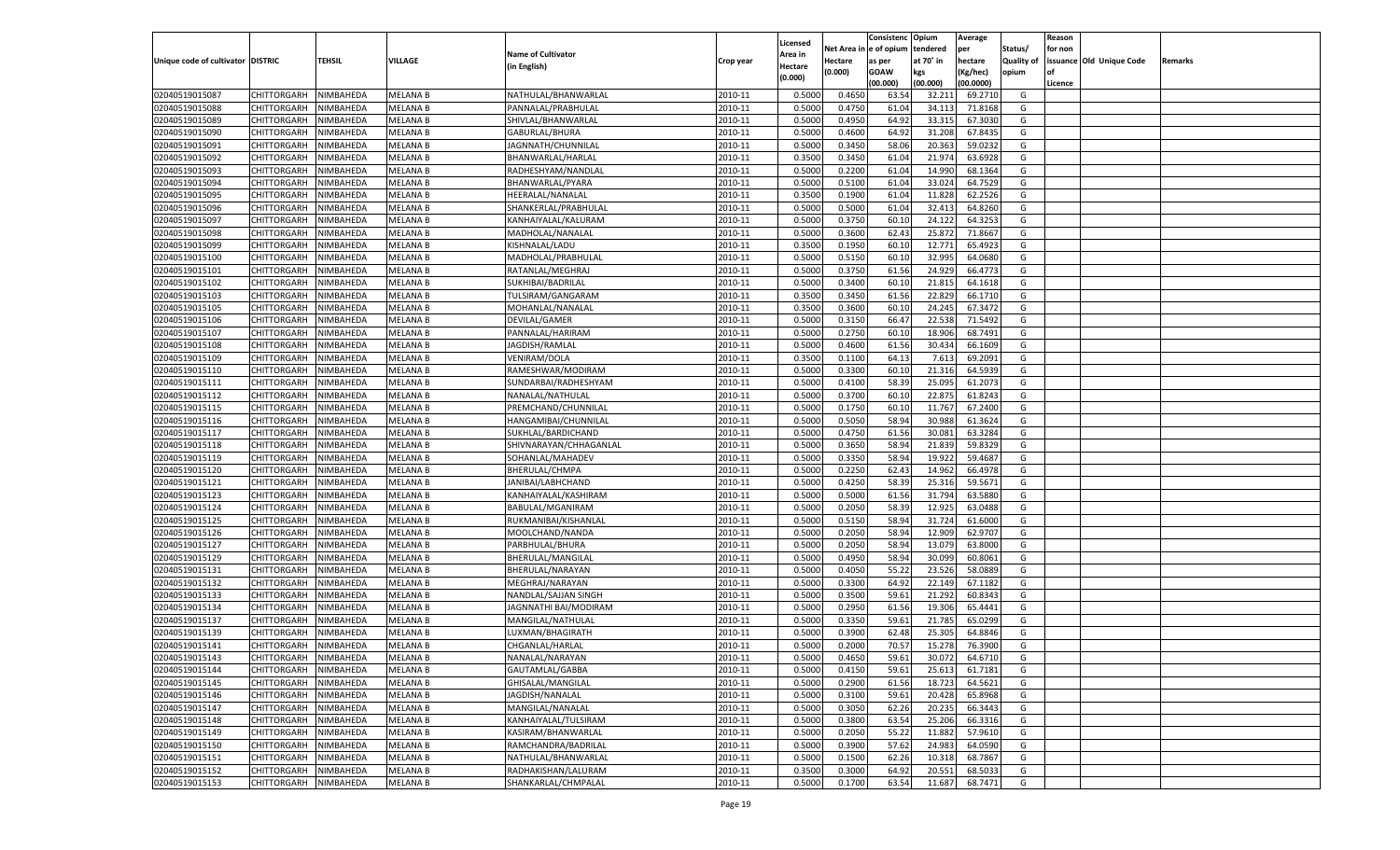|                                   |                       |               |                 |                           |           |                           |          | Consistenc  | Opium     | Average   |                   | Reason  |                          |         |
|-----------------------------------|-----------------------|---------------|-----------------|---------------------------|-----------|---------------------------|----------|-------------|-----------|-----------|-------------------|---------|--------------------------|---------|
|                                   |                       |               |                 | <b>Name of Cultivator</b> |           | Licensed                  | Net Area | e of opium  | tendered  | per       | Status/           | for non |                          |         |
| Unique code of cultivator DISTRIC |                       | <b>TEHSIL</b> | VILLAGE         | (in English)              | Crop year | <b>Area in</b><br>Hectare | Hectare  | as per      | at 70° in | hectare   | <b>Quality of</b> |         | issuance Old Unique Code | Remarks |
|                                   |                       |               |                 |                           |           | (0.000)                   | (0.000)  | <b>GOAW</b> | kgs       | (Kg/hec)  | opium             |         |                          |         |
|                                   |                       |               |                 |                           |           |                           |          | (00.000)    | (00.000)  | (00.0000) |                   | Licence |                          |         |
| 02040519015087                    | CHITTORGARH           | NIMBAHEDA     | <b>MELANA B</b> | NATHULAL/BHANWARLAL       | 2010-11   | 0.5000                    | 0.4650   | 63.54       | 32.21     | 69.2710   | G                 |         |                          |         |
| 02040519015088                    | CHITTORGARH           | NIMBAHEDA     | MELANA B        | PANNALAL/PRABHULAL        | 2010-11   | 0.5000                    | 0.4750   | 61.04       | 34.11     | 71.8168   | G                 |         |                          |         |
| 02040519015089                    | CHITTORGARH           | NIMBAHEDA     | MELANA B        | SHIVLAL/BHANWARLAL        | 2010-11   | 0.5000                    | 0.4950   | 64.92       | 33.315    | 67.3030   | G                 |         |                          |         |
| 02040519015090                    | CHITTORGARH           | NIMBAHEDA     | MELANA B        | GABURLAL/BHURA            | 2010-11   | 0.5000                    | 0.4600   | 64.92       | 31.208    | 67.8435   | G                 |         |                          |         |
| 02040519015091                    | CHITTORGARH           | NIMBAHEDA     | <b>MELANA B</b> | JAGNNATH/CHUNNILAL        | 2010-11   | 0.5000                    | 0.3450   | 58.06       | 20.363    | 59.0232   | G                 |         |                          |         |
| 02040519015092                    | CHITTORGARH           | NIMBAHEDA     | MELANA B        | BHANWARLAL/HARLAL         | 2010-11   | 0.3500                    | 0.3450   | 61.04       | 21.974    | 63.6928   | G                 |         |                          |         |
| 02040519015093                    | CHITTORGARH           | NIMBAHEDA     | MELANA B        | RADHESHYAM/NANDLAI        | 2010-11   | 0.5000                    | 0.2200   | 61.04       | 14.990    | 68.1364   | G                 |         |                          |         |
| 02040519015094                    | CHITTORGARH           | NIMBAHEDA     | MELANA B        | BHANWARLAL/PYARA          | 2010-11   | 0.5000                    | 0.5100   | 61.04       | 33.024    | 64.7529   | G                 |         |                          |         |
| 02040519015095                    | CHITTORGARH           | NIMBAHEDA     | <b>MELANA B</b> | HEERALAL/NANALAL          | 2010-11   | 0.3500                    | 0.1900   | 61.04       | 11.828    | 62.2526   | G                 |         |                          |         |
| 02040519015096                    | CHITTORGARH           | NIMBAHEDA     | MELANA B        | SHANKERLAL/PRABHULAL      | 2010-11   | 0.5000                    | 0.5000   | 61.04       | 32.413    | 64.8260   | G                 |         |                          |         |
| 02040519015097                    | CHITTORGARH           | NIMBAHEDA     | MELANA B        | KANHAIYALAL/KALURAM       | 2010-11   | 0.5000                    | 0.3750   | 60.10       | 24.122    | 64.3253   | G                 |         |                          |         |
| 02040519015098                    | CHITTORGARH           | NIMBAHEDA     | MELANA B        | MADHOLAL/NANALAL          | 2010-11   | 0.5000                    | 0.3600   | 62.4        | 25.872    | 71.8667   | G                 |         |                          |         |
| 02040519015099                    | CHITTORGARH           | NIMBAHEDA     | <b>MELANA B</b> | KISHNALAL/LADU            | 2010-11   | 0.3500                    | 0.1950   | 60.10       | 12.771    | 65.492    | G                 |         |                          |         |
| 02040519015100                    | CHITTORGARH           | NIMBAHEDA     | MELANA B        | MADHOLAL/PRABHULAL        | 2010-11   | 0.5000                    | 0.5150   | 60.10       | 32.995    | 64.0680   | G                 |         |                          |         |
| 02040519015101                    | CHITTORGARH           | NIMBAHEDA     | <b>MELANA B</b> | RATANLAL/MEGHRAJ          | 2010-11   | 0.5000                    | 0.3750   | 61.56       | 24.929    | 66.4773   | G                 |         |                          |         |
| 02040519015102                    | CHITTORGARH           | NIMBAHEDA     | MELANA B        | SUKHIBAI/BADRILAL         | 2010-11   | 0.5000                    | 0.3400   | 60.10       | 21.815    | 64.1618   | G                 |         |                          |         |
| 02040519015103                    | CHITTORGARH           | NIMBAHEDA     | <b>MELANA B</b> | TULSIRAM/GANGARAM         | 2010-11   | 0.3500                    | 0.3450   | 61.56       | 22.829    | 66.1710   | G                 |         |                          |         |
| 02040519015105                    | CHITTORGARH           | NIMBAHEDA     | MELANA B        | MOHANLAL/NANALAL          | 2010-11   | 0.3500                    | 0.3600   | 60.10       | 24.245    | 67.3472   | G                 |         |                          |         |
| 02040519015106                    | CHITTORGARH           | NIMBAHEDA     | <b>MELANA B</b> | DEVILAL/GAMER             | 2010-11   | 0.5000                    | 0.3150   | 66.47       | 22.538    | 71.5492   | G                 |         |                          |         |
| 02040519015107                    | CHITTORGARH           | NIMBAHEDA     | MELANA B        | PANNALAL/HARIRAM          | 2010-11   | 0.5000                    | 0.2750   | 60.10       | 18.906    | 68.7491   | G                 |         |                          |         |
| 02040519015108                    | CHITTORGARH           | NIMBAHEDA     | <b>MELANA B</b> | JAGDISH/RAMLAI            | 2010-11   | 0.5000                    | 0.4600   | 61.56       | 30.434    | 66.1609   | G                 |         |                          |         |
| 02040519015109                    | CHITTORGARH           | NIMBAHEDA     | MELANA B        | VENIRAM/DOLA              | 2010-11   | 0.3500                    | 0.1100   | 64.13       | 7.613     | 69.2091   | G                 |         |                          |         |
| 02040519015110                    | CHITTORGARH           | NIMBAHEDA     | <b>MELANA B</b> | RAMESHWAR/MODIRAM         | 2010-11   | 0.5000                    | 0.3300   | 60.10       | 21.316    | 64.5939   | G                 |         |                          |         |
| 02040519015111                    | CHITTORGARH           | NIMBAHEDA     | MELANA B        | SUNDARBAI/RADHESHYAM      | 2010-11   | 0.5000                    | 0.4100   | 58.39       | 25.095    | 61.2073   | G                 |         |                          |         |
| 02040519015112                    | CHITTORGARH           | NIMBAHEDA     | <b>MELANA B</b> | NANALAL/NATHULAL          | 2010-11   | 0.5000                    | 0.3700   | 60.10       | 22.875    | 61.8243   | G                 |         |                          |         |
| 02040519015115                    | CHITTORGARH           | NIMBAHEDA     | MELANA B        | PREMCHAND/CHUNNILAL       | 2010-11   | 0.5000                    | 0.1750   | 60.10       | 11.767    | 67.2400   | G                 |         |                          |         |
| 02040519015116                    | CHITTORGARH           | NIMBAHEDA     | <b>MELANA B</b> | HANGAMIBAI/CHUNNILAL      | 2010-11   | 0.5000                    | 0.5050   | 58.94       | 30.988    | 61.3624   | G                 |         |                          |         |
| 02040519015117                    | CHITTORGARH           | NIMBAHEDA     | MELANA B        | SUKHLAL/BARDICHAND        | 2010-11   | 0.5000                    | 0.4750   | 61.56       | 30.081    | 63.3284   | G                 |         |                          |         |
| 02040519015118                    | CHITTORGARH           | NIMBAHEDA     | <b>MELANA B</b> | SHIVNARAYAN/CHHAGANLAL    | 2010-11   | 0.5000                    | 0.3650   | 58.94       | 21.839    | 59.8329   | G                 |         |                          |         |
| 02040519015119                    | CHITTORGARH           | NIMBAHEDA     | MELANA B        | SOHANLAL/MAHADEV          | 2010-11   | 0.5000                    | 0.3350   | 58.94       | 19.922    | 59.4687   | G                 |         |                          |         |
| 02040519015120                    | CHITTORGARH           | NIMBAHEDA     | <b>MELANA B</b> | BHERULAL/CHMPA            | 2010-11   | 0.5000                    | 0.2250   | 62.4        | 14.962    | 66.4978   | G                 |         |                          |         |
| 02040519015121                    | CHITTORGARH           | NIMBAHEDA     | <b>MELANA B</b> | JANIBAI/LABHCHAND         | 2010-11   | 0.5000                    | 0.4250   | 58.39       | 25.316    | 59.5671   | G                 |         |                          |         |
| 02040519015123                    | CHITTORGARH           | NIMBAHEDA     | <b>MELANA B</b> | KANHAIYALAL/KASHIRAM      | 2010-11   | 0.5000                    | 0.5000   | 61.56       | 31.794    | 63.5880   | G                 |         |                          |         |
| 02040519015124                    | CHITTORGARH           | NIMBAHEDA     | MELANA B        | BABULAL/MGANIRAM          | 2010-11   | 0.5000                    | 0.2050   | 58.39       | 12.925    | 63.0488   | G                 |         |                          |         |
| 02040519015125                    | CHITTORGARH           | NIMBAHEDA     | <b>MELANA B</b> | RUKMANIBAI/KISHANLAI      | 2010-11   | 0.5000                    | 0.5150   | 58.94       | 31.724    | 61.6000   | G                 |         |                          |         |
| 02040519015126                    | CHITTORGARH           | NIMBAHEDA     | MELANA B        | MOOLCHAND/NANDA           | 2010-11   | 0.5000                    | 0.2050   | 58.94       | 12.909    | 62.970    | G                 |         |                          |         |
| 02040519015127                    | CHITTORGARH           | NIMBAHEDA     | <b>MELANA B</b> | PARBHULAL/BHURA           | 2010-11   | 0.5000                    | 0.2050   | 58.94       | 13.079    | 63.8000   | G                 |         |                          |         |
| 02040519015129                    | CHITTORGARH           | NIMBAHEDA     | MELANA B        | BHERULAL/MANGILAL         | 2010-11   | 0.5000                    | 0.4950   | 58.94       | 30.099    | 60.8061   | G                 |         |                          |         |
| 02040519015131                    | CHITTORGARH           | NIMBAHEDA     | <b>MELANA B</b> | BHERULAL/NARAYAN          | 2010-11   | 0.5000                    | 0.4050   | 55.22       | 23.526    | 58.0889   | G                 |         |                          |         |
| 02040519015132                    | CHITTORGARH           | NIMBAHEDA     | MELANA B        | MEGHRAJ/NARAYAN           | 2010-11   | 0.5000                    | 0.3300   | 64.92       | 22.149    | 67.1182   | G                 |         |                          |         |
| 02040519015133                    | CHITTORGARH           | NIMBAHEDA     | <b>MELANA B</b> | NANDLAL/SAJJAN SINGH      | 2010-11   | 0.5000                    | 0.3500   | 59.61       | 21.292    | 60.8343   | G                 |         |                          |         |
| 02040519015134                    | CHITTORGARH           | NIMBAHEDA     | MELANA B        | JAGNNATHI BAI/MODIRAM     | 2010-11   | 0.5000                    | 0.2950   | 61.56       | 19.306    | 65.4441   | G                 |         |                          |         |
| 02040519015137                    | CHITTORGARH           | NIMBAHEDA     | <b>MELANA B</b> | MANGILAL/NATHULAL         | 2010-11   | 0.5000                    | 0.3350   | 59.61       | 21.785    | 65.0299   | G                 |         |                          |         |
| 02040519015139                    | CHITTORGARH           | NIMBAHEDA     | MELANA B        | LUXMAN/BHAGIRATH          | 2010-11   | 0.5000                    | 0.3900   | 62.48       | 25.305    | 64.8846   | G                 |         |                          |         |
| 02040519015141                    | CHITTORGARH           | NIMBAHEDA     | <b>MELANA B</b> | CHGANLAL/HARLAL           | 2010-11   | 0.5000                    | 0.2000   | 70.57       | 15.278    | 76.3900   | G                 |         |                          |         |
| 02040519015143                    | CHITTORGARH NIMBAHEDA |               | <b>MELANA B</b> | NANALAL/NARAYAN           | 2010-11   | 0.5000                    | 0.4650   | 59.61       | 30.072    | 64.6710   | G                 |         |                          |         |
| 02040519015144                    | <b>CHITTORGARH</b>    | NIMBAHEDA     | <b>MELANA B</b> | GAUTAMLAL/GABBA           | 2010-11   | 0.5000                    | 0.4150   | 59.61       | 25.613    | 61.7181   | G                 |         |                          |         |
|                                   | CHITTORGARH           |               |                 |                           |           |                           |          | 61.56       |           |           |                   |         |                          |         |
| 02040519015145                    |                       | NIMBAHEDA     | <b>MELANA B</b> | GHISALAL/MANGILAL         | 2010-11   | 0.5000                    | 0.2900   |             | 18.723    | 64.5621   | G                 |         |                          |         |
| 02040519015146                    | <b>CHITTORGARH</b>    | NIMBAHEDA     | <b>MELANA B</b> | JAGDISH/NANALAL           | 2010-11   | 0.5000                    | 0.3100   | 59.61       | 20.428    | 65.8968   | G                 |         |                          |         |
| 02040519015147                    | <b>CHITTORGARH</b>    | NIMBAHEDA     | <b>MELANA B</b> | MANGILAL/NANALAL          | 2010-11   | 0.5000                    | 0.3050   | 62.26       | 20.235    | 66.3443   | G                 |         |                          |         |
| 02040519015148                    | <b>CHITTORGARH</b>    | NIMBAHEDA     | <b>MELANA B</b> | KANHAIYALAL/TULSIRAM      | 2010-11   | 0.5000                    | 0.3800   | 63.54       | 25.206    | 66.3316   | G                 |         |                          |         |
| 02040519015149                    | <b>CHITTORGARH</b>    | NIMBAHEDA     | <b>MELANA B</b> | KASIRAM/BHANWARLAL        | 2010-11   | 0.5000                    | 0.2050   | 55.22       | 11.882    | 57.9610   | G                 |         |                          |         |
| 02040519015150                    | <b>CHITTORGARH</b>    | NIMBAHEDA     | <b>MELANA B</b> | RAMCHANDRA/BADRILAL       | 2010-11   | 0.5000                    | 0.3900   | 57.62       | 24.983    | 64.0590   | G                 |         |                          |         |
| 02040519015151                    | <b>CHITTORGARH</b>    | NIMBAHEDA     | <b>MELANA B</b> | NATHULAL/BHANWARLAL       | 2010-11   | 0.5000                    | 0.1500   | 62.26       | 10.318    | 68.7867   | G                 |         |                          |         |
| 02040519015152                    | <b>CHITTORGARH</b>    | NIMBAHEDA     | <b>MELANA B</b> | RADHAKISHAN/LALURAM       | 2010-11   | 0.3500                    | 0.3000   | 64.92       | 20.551    | 68.5033   | G                 |         |                          |         |
| 02040519015153                    | CHITTORGARH           | NIMBAHEDA     | <b>MELANA B</b> | SHANKARLAL/CHMPALAL       | 2010-11   | 0.5000                    | 0.1700   | 63.54       | 11.687    | 68.7471   | G                 |         |                          |         |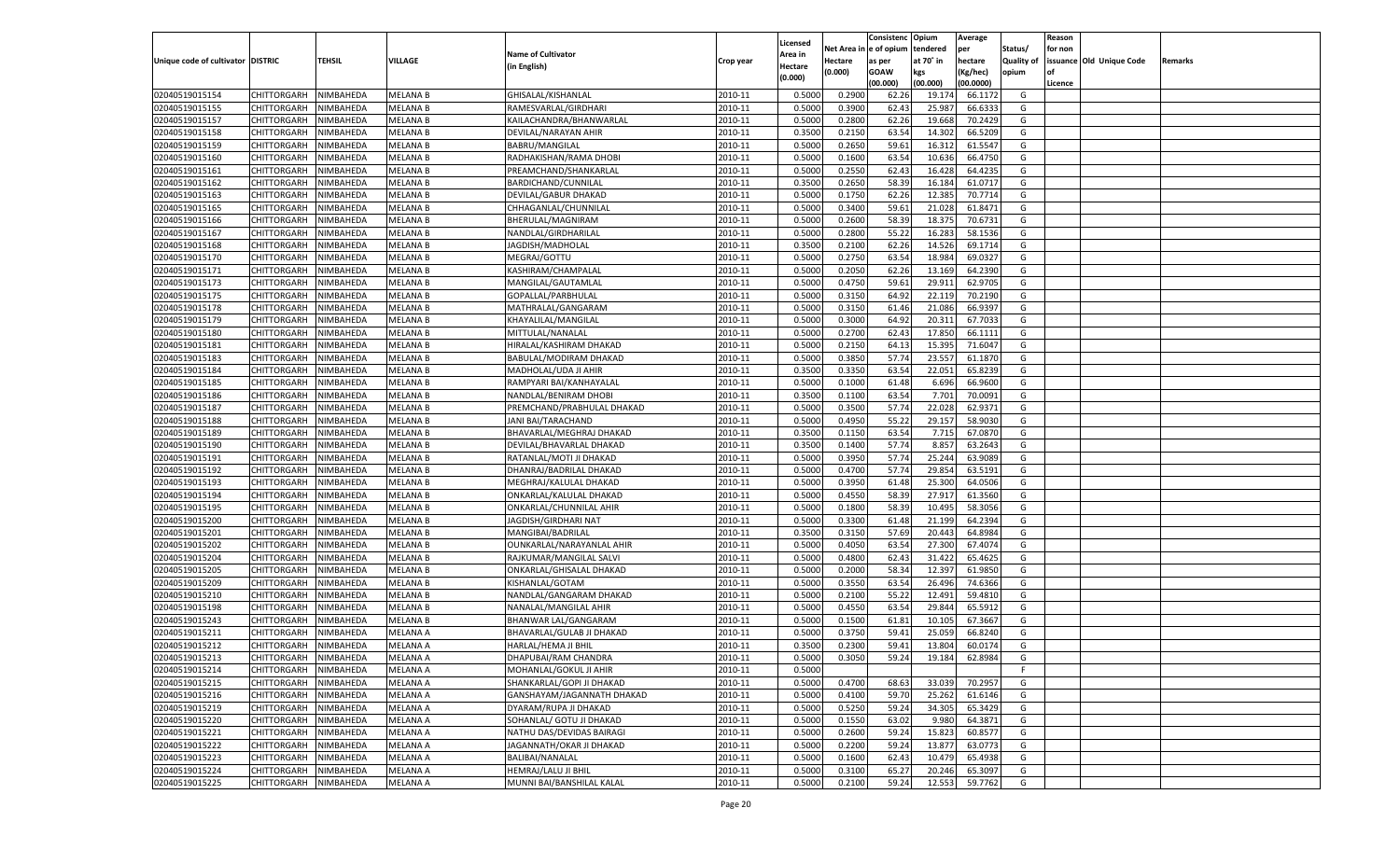|                                   |                       |               |                 |                            |           |                           |          | Consistenc  | Opium     | Average   |                   | Reason  |                          |         |
|-----------------------------------|-----------------------|---------------|-----------------|----------------------------|-----------|---------------------------|----------|-------------|-----------|-----------|-------------------|---------|--------------------------|---------|
|                                   |                       |               |                 | <b>Name of Cultivator</b>  |           | Licensed                  | Net Area | e of opium  | tendered  | per       | Status/           | for non |                          |         |
| Unique code of cultivator DISTRIC |                       | <b>TEHSIL</b> | VILLAGE         | (in English)               | Crop year | <b>Area in</b><br>Hectare | Hectare  | as per      | at 70° in | hectare   | <b>Quality of</b> |         | issuance Old Unique Code | Remarks |
|                                   |                       |               |                 |                            |           | (0.000)                   | (0.000)  | <b>GOAW</b> | kgs       | (Kg/hec)  | opium             |         |                          |         |
|                                   |                       |               |                 |                            |           |                           |          | (00.000)    | (00.000)  | (00.0000) |                   | Licence |                          |         |
| 02040519015154                    | CHITTORGARH           | NIMBAHEDA     | <b>MELANA B</b> | GHISALAL/KISHANLAL         | 2010-11   | 0.5000                    | 0.2900   | 62.26       | 19.17     | 66.1172   | G                 |         |                          |         |
| 02040519015155                    | CHITTORGARH           | NIMBAHEDA     | MELANA B        | RAMESVARLAL/GIRDHARI       | 2010-11   | 0.5000                    | 0.3900   | 62.43       | 25.987    | 66.633    | G                 |         |                          |         |
| 02040519015157                    | CHITTORGARH           | NIMBAHEDA     | MELANA B        | KAILACHANDRA/BHANWARLAL    | 2010-11   | 0.5000                    | 0.2800   | 62.26       | 19.668    | 70.2429   | G                 |         |                          |         |
| 02040519015158                    | CHITTORGARH           | NIMBAHEDA     | MELANA B        | DEVILAL/NARAYAN AHIR       | 2010-11   | 0.3500                    | 0.2150   | 63.54       | 14.302    | 66.5209   | G                 |         |                          |         |
| 02040519015159                    | CHITTORGARH           | NIMBAHEDA     | <b>MELANA B</b> | BABRU/MANGILAL             | 2010-11   | 0.5000                    | 0.2650   | 59.61       | 16.312    | 61.5547   | G                 |         |                          |         |
| 02040519015160                    | CHITTORGARH           | NIMBAHEDA     | MELANA B        | RADHAKISHAN/RAMA DHOBI     | 2010-11   | 0.5000                    | 0.1600   | 63.54       | 10.636    | 66.4750   | G                 |         |                          |         |
| 02040519015161                    | CHITTORGARH           | NIMBAHEDA     | MELANA B        | PREAMCHAND/SHANKARLAL      | 2010-11   | 0.5000                    | 0.2550   | 62.43       | 16.428    | 64.4235   | G                 |         |                          |         |
| 02040519015162                    | CHITTORGARH           | NIMBAHEDA     | MELANA B        | BARDICHAND/CUNNILAL        | 2010-11   | 0.3500                    | 0.2650   | 58.39       | 16.184    | 61.0717   | G                 |         |                          |         |
| 02040519015163                    | CHITTORGARH           | NIMBAHEDA     | <b>MELANA B</b> | DEVILAL/GABUR DHAKAD       | 2010-11   | 0.5000                    | 0.1750   | 62.26       | 12.385    | 70.7714   | G                 |         |                          |         |
| 02040519015165                    | CHITTORGARH           | NIMBAHEDA     | MELANA B        | CHHAGANLAL/CHUNNILAL       | 2010-11   | 0.5000                    | 0.3400   | 59.61       | 21.028    | 61.8471   | G                 |         |                          |         |
| 02040519015166                    | CHITTORGARH           | NIMBAHEDA     | MELANA B        | BHERULAL/MAGNIRAM          | 2010-11   | 0.5000                    | 0.2600   | 58.39       | 18.37     | 70.673    | G                 |         |                          |         |
| 02040519015167                    | CHITTORGARH           | NIMBAHEDA     | MELANA B        | NANDLAL/GIRDHARILAL        | 2010-11   | 0.5000                    | 0.2800   | 55.22       | 16.283    | 58.1536   | G                 |         |                          |         |
| 02040519015168                    | CHITTORGARH           | NIMBAHEDA     | <b>MELANA B</b> | JAGDISH/MADHOLAL           | 2010-11   | 0.3500                    | 0.2100   | 62.26       | 14.526    | 69.1714   | G                 |         |                          |         |
| 02040519015170                    | CHITTORGARH           | NIMBAHEDA     | MELANA B        | MEGRAJ/GOTTU               | 2010-11   | 0.5000                    | 0.2750   | 63.54       | 18.984    | 69.0327   | G                 |         |                          |         |
| 02040519015171                    | CHITTORGARH           | NIMBAHEDA     | <b>MELANA B</b> | KASHIRAM/CHAMPALAL         | 2010-11   | 0.5000                    | 0.2050   | 62.26       | 13.169    | 64.2390   | G                 |         |                          |         |
| 02040519015173                    | CHITTORGARH           | NIMBAHEDA     | MELANA B        | MANGILAL/GAUTAMLAL         | 2010-11   | 0.5000                    | 0.4750   | 59.61       | 29.911    | 62.9705   | G                 |         |                          |         |
| 02040519015175                    | CHITTORGARH           | NIMBAHEDA     | <b>MELANA B</b> | GOPALLAL/PARBHULAL         | 2010-11   | 0.5000                    | 0.3150   | 64.92       | 22.119    | 70.2190   | G                 |         |                          |         |
| 02040519015178                    | CHITTORGARH           | NIMBAHEDA     | MELANA B        | MATHRALAL/GANGARAM         | 2010-11   | 0.5000                    | 0.3150   | 61.4        | 21.086    | 66.9397   | G                 |         |                          |         |
| 02040519015179                    | CHITTORGARH           | NIMBAHEDA     | <b>MELANA B</b> | KHAYALILAL/MANGILAL        | 2010-11   | 0.5000                    | 0.3000   | 64.92       | 20.311    | 67.7033   | G                 |         |                          |         |
| 02040519015180                    | CHITTORGARH           | NIMBAHEDA     | MELANA B        | MITTULAL/NANALAL           | 2010-11   | 0.5000                    | 0.2700   | 62.4        | 17.850    | 66.1111   | G                 |         |                          |         |
| 02040519015181                    | CHITTORGARH           | NIMBAHEDA     | <b>MELANA B</b> | HIRALAL/KASHIRAM DHAKAD    | 2010-11   | 0.5000                    | 0.2150   | 64.13       | 15.395    | 71.6047   | G                 |         |                          |         |
| 02040519015183                    | CHITTORGARH           | NIMBAHEDA     | MELANA B        | BABULAL/MODIRAM DHAKAD     | 2010-11   | 0.5000                    | 0.3850   | 57.74       | 23.557    | 61.1870   | G                 |         |                          |         |
| 02040519015184                    | CHITTORGARH           | NIMBAHEDA     | <b>MELANA B</b> | MADHOLAL/UDA JI AHIR       | 2010-11   | 0.3500                    | 0.3350   | 63.54       | 22.051    | 65.8239   | G                 |         |                          |         |
| 02040519015185                    | CHITTORGARH           | NIMBAHEDA     | MELANA B        | RAMPYARI BAI/KANHAYALAI    | 2010-11   | 0.5000                    | 0.1000   | 61.48       | 6.696     | 66.9600   | G                 |         |                          |         |
| 02040519015186                    | CHITTORGARH           | NIMBAHEDA     | <b>MELANA B</b> | NANDLAL/BENIRAM DHOBI      | 2010-11   | 0.3500                    | 0.1100   | 63.54       | 7.701     | 70.0091   | G                 |         |                          |         |
| 02040519015187                    | CHITTORGARH           | NIMBAHEDA     | MELANA B        | PREMCHAND/PRABHULAL DHAKAD | 2010-11   | 0.5000                    | 0.3500   | 57.74       | 22.028    | 62.9371   | G                 |         |                          |         |
| 02040519015188                    | CHITTORGARH           | NIMBAHEDA     | <b>MELANA B</b> | JANI BAI/TARACHAND         | 2010-11   | 0.5000                    | 0.4950   | 55.22       | 29.157    | 58.9030   | G                 |         |                          |         |
| 02040519015189                    | CHITTORGARH           | NIMBAHEDA     | MELANA B        | BHAVARLAL/MEGHRAJ DHAKAD   | 2010-11   | 0.3500                    | 0.1150   | 63.54       | 7.715     | 67.0870   | G                 |         |                          |         |
| 02040519015190                    | CHITTORGARH           | NIMBAHEDA     | <b>MELANA B</b> | DEVILAL/BHAVARLAL DHAKAD   | 2010-11   | 0.3500                    | 0.1400   | 57.74       | 8.857     | 63.2643   | G                 |         |                          |         |
| 02040519015191                    | CHITTORGARH           | NIMBAHEDA     | MELANA B        | RATANLAL/MOTI JI DHAKAD    | 2010-11   | 0.5000                    | 0.3950   | 57.74       | 25.244    | 63.9089   | G                 |         |                          |         |
| 02040519015192                    | CHITTORGARH           | NIMBAHEDA     | <b>MELANA B</b> | DHANRAJ/BADRILAL DHAKAD    | 2010-11   | 0.5000                    | 0.4700   | 57.74       | 29.854    | 63.5191   | G                 |         |                          |         |
| 02040519015193                    | CHITTORGARH           | NIMBAHEDA     | MELANA B        | MEGHRAJ/KALULAL DHAKAD     | 2010-11   | 0.5000                    | 0.3950   | 61.48       | 25.300    | 64.0506   | G                 |         |                          |         |
| 02040519015194                    | CHITTORGARH           | NIMBAHEDA     | <b>MELANA B</b> | ONKARLAL/KALULAL DHAKAD    | 2010-11   | 0.5000                    | 0.4550   | 58.39       | 27.91     | 61.3560   | G                 |         |                          |         |
| 02040519015195                    | CHITTORGARH           | NIMBAHEDA     | MELANA B        | ONKARLAL/CHUNNILAL AHIR    | 2010-11   | 0.5000                    | 0.1800   | 58.39       | 10.495    | 58.3056   | G                 |         |                          |         |
| 02040519015200                    | <b>CHITTORGARH</b>    | NIMBAHEDA     | <b>MELANA B</b> | JAGDISH/GIRDHARI NAT       | 2010-11   | 0.5000                    | 0.3300   | 61.48       | 21.199    | 64.2394   | G                 |         |                          |         |
| 02040519015201                    | CHITTORGARH           | NIMBAHEDA     | MELANA B        | MANGIBAI/BADRILAL          | 2010-11   | 0.3500                    | 0.3150   | 57.69       | 20.443    | 64.8984   | G                 |         |                          |         |
| 02040519015202                    | CHITTORGARH           | NIMBAHEDA     | <b>MELANA B</b> | OUNKARLAL/NARAYANLAL AHIR  | 2010-11   | 0.5000                    | 0.4050   | 63.54       | 27.300    | 67.4074   | G                 |         |                          |         |
| 02040519015204                    | CHITTORGARH           | NIMBAHEDA     | MELANA B        | RAJKUMAR/MANGILAL SALVI    | 2010-11   | 0.5000                    | 0.4800   | 62.4        | 31.422    | 65.4625   | G                 |         |                          |         |
| 02040519015205                    | CHITTORGARH           | NIMBAHEDA     | <b>MELANA B</b> | ONKARLAL/GHISALAL DHAKAD   | 2010-11   | 0.5000                    | 0.2000   | 58.34       | 12.397    | 61.9850   | G                 |         |                          |         |
| 02040519015209                    | CHITTORGARH           | NIMBAHEDA     | MELANA B        | KISHANLAL/GOTAM            | 2010-11   | 0.5000                    | 0.3550   | 63.54       | 26.49     | 74.6366   | G                 |         |                          |         |
| 02040519015210                    | CHITTORGARH           | NIMBAHEDA     | <b>MELANA B</b> | NANDLAL/GANGARAM DHAKAD    | 2010-11   | 0.5000                    | 0.2100   | 55.22       | 12.491    | 59.4810   | G                 |         |                          |         |
| 02040519015198                    | CHITTORGARH           | NIMBAHEDA     | MELANA B        | NANALAL/MANGILAL AHIR      | 2010-11   | 0.5000                    | 0.4550   | 63.54       | 29.84     | 65.591    | G                 |         |                          |         |
| 02040519015243                    | CHITTORGARH           | NIMBAHEDA     | <b>MELANA B</b> | BHANWAR LAL/GANGARAM       | 2010-11   | 0.5000                    | 0.1500   | 61.81       | 10.105    | 67.3667   | G                 |         |                          |         |
| 02040519015211                    | CHITTORGARH           | NIMBAHEDA     | MELANA A        | BHAVARLAL/GULAB JI DHAKAD  | 2010-11   | 0.5000                    | 0.3750   | 59.4        | 25.05     | 66.8240   | G                 |         |                          |         |
| 02040519015212                    | CHITTORGARH           | NIMBAHEDA     | <b>MELANA A</b> | HARLAL/HEMA JI BHIL        | 2010-11   | 0.3500                    | 0.2300   | 59.41       | 13.804    | 60.0174   | G                 |         |                          |         |
| 02040519015213                    | CHITTORGARH NIMBAHEDA |               | <b>MELANA A</b> | DHAPUBAI/RAM CHANDRA       | 2010-11   | 0.5000                    | 0.3050   |             |           | 62.8984   | G                 |         |                          |         |
| 02040519015214                    |                       | NIMBAHEDA     | <b>MELANA A</b> | MOHANLAL/GOKUL JI AHIR     | 2010-11   | 0.5000                    |          | 59.24       | 19.184    |           | -F                |         |                          |         |
|                                   | <b>CHITTORGARH</b>    |               |                 |                            |           |                           |          |             |           |           |                   |         |                          |         |
| 02040519015215                    | <b>CHITTORGARH</b>    | NIMBAHEDA     | <b>MELANA A</b> | SHANKARLAL/GOPI JI DHAKAD  | 2010-11   | 0.5000                    | 0.4700   | 68.63       | 33.039    | 70.2957   | G                 |         |                          |         |
| 02040519015216                    | <b>CHITTORGARH</b>    | NIMBAHEDA     | <b>MELANA A</b> | GANSHAYAM/JAGANNATH DHAKAD | 2010-11   | 0.5000                    | 0.4100   | 59.70       | 25.262    | 61.6146   | G                 |         |                          |         |
| 02040519015219                    | <b>CHITTORGARH</b>    | NIMBAHEDA     | <b>MELANA A</b> | DYARAM/RUPA JI DHAKAD      | 2010-11   | 0.5000                    | 0.5250   | 59.24       | 34.305    | 65.3429   | G                 |         |                          |         |
| 02040519015220                    | <b>CHITTORGARH</b>    | NIMBAHEDA     | <b>MELANA A</b> | SOHANLAL/ GOTU JI DHAKAD   | 2010-11   | 0.5000                    | 0.1550   | 63.02       | 9.980     | 64.3871   | G                 |         |                          |         |
| 02040519015221                    | <b>CHITTORGARH</b>    | NIMBAHEDA     | <b>MELANA A</b> | NATHU DAS/DEVIDAS BAIRAGI  | 2010-11   | 0.5000                    | 0.2600   | 59.24       | 15.823    | 60.8577   | G                 |         |                          |         |
| 02040519015222                    | <b>CHITTORGARH</b>    | NIMBAHEDA     | <b>MELANA A</b> | JAGANNATH/OKAR JI DHAKAD   | 2010-11   | 0.5000                    | 0.2200   | 59.24       | 13.877    | 63.0773   | G                 |         |                          |         |
| 02040519015223                    | <b>CHITTORGARH</b>    | NIMBAHEDA     | <b>MELANA A</b> | BALIBAI/NANALAL            | 2010-11   | 0.5000                    | 0.1600   | 62.43       | 10.479    | 65.4938   | G                 |         |                          |         |
| 02040519015224                    | <b>CHITTORGARH</b>    | NIMBAHEDA     | <b>MELANA A</b> | HEMRAJ/LALU JI BHIL        | 2010-11   | 0.5000                    | 0.3100   | 65.27       | 20.246    | 65.3097   | G                 |         |                          |         |
| 02040519015225                    | <b>CHITTORGARH</b>    | NIMBAHEDA     | <b>MELANA A</b> | MUNNI BAI/BANSHILAL KALAL  | 2010-11   | 0.5000                    | 0.2100   | 59.24       | 12.553    | 59.7762   | G                 |         |                          |         |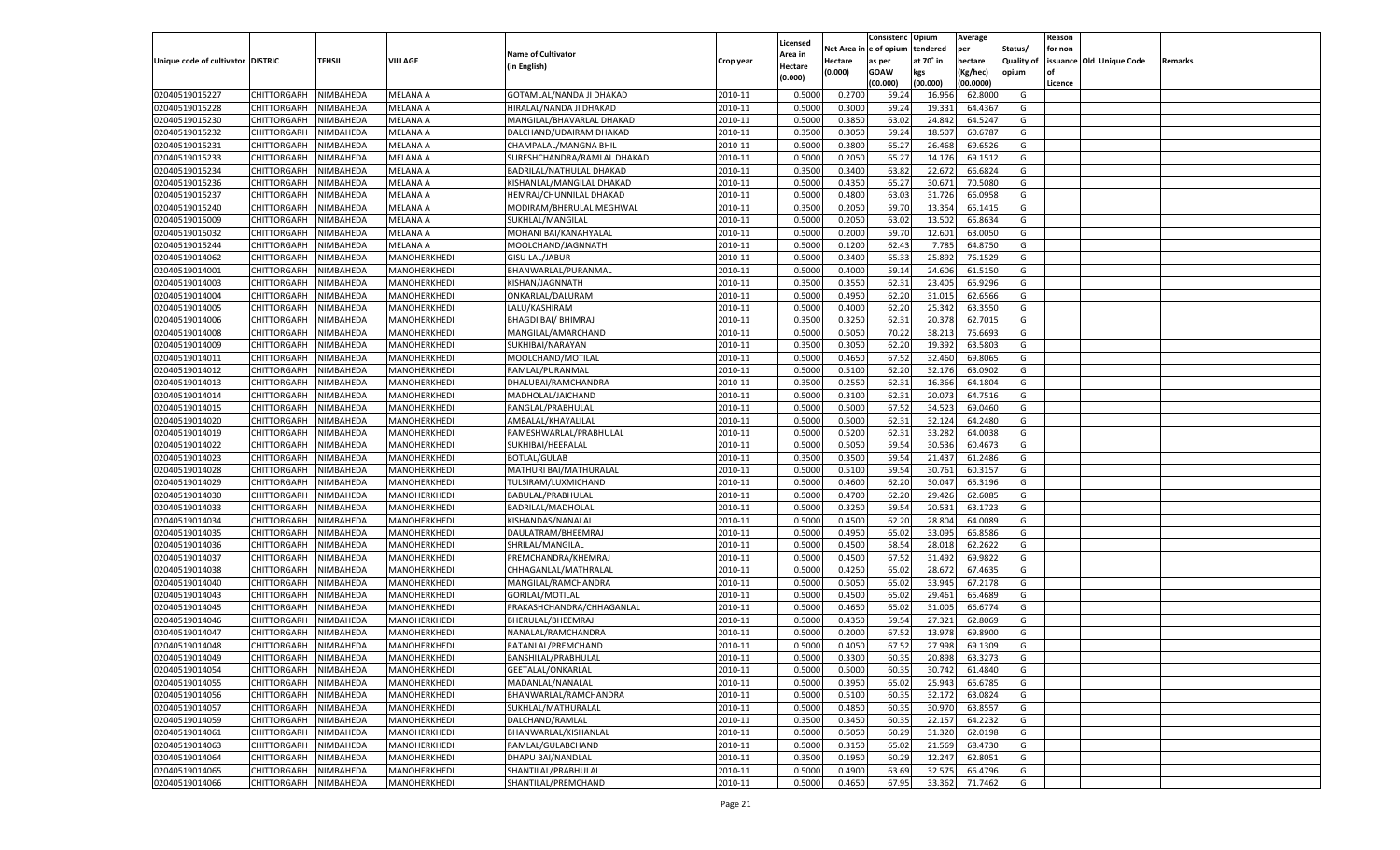|                                   |                    |           |                 |                             |           |          |          | Consistenc Opium |           | Average   |                   | Reason    |                          |         |
|-----------------------------------|--------------------|-----------|-----------------|-----------------------------|-----------|----------|----------|------------------|-----------|-----------|-------------------|-----------|--------------------------|---------|
|                                   |                    |           |                 |                             |           | Licensed | Net Area | e of opium       | tendered  | per       | Status/           | for non   |                          |         |
| Unique code of cultivator DISTRIC |                    | TEHSIL    | VILLAGE         | <b>Name of Cultivator</b>   | Crop year | Area in  | Hectare  | as per           | at 70˚ in | hectare   | <b>Quality of</b> |           | issuance Old Unique Code | Remarks |
|                                   |                    |           |                 | (in English)                |           | Hectare  | (0.000)  | <b>GOAW</b>      | kgs       | (Kg/hec)  | opium             | <b>of</b> |                          |         |
|                                   |                    |           |                 |                             |           | (0.000)  |          | (00.000)         | (00.000)  | (00.0000) |                   | Licence   |                          |         |
| 02040519015227                    | CHITTORGARH        | NIMBAHEDA | <b>MELANA A</b> | GOTAMLAL/NANDA JI DHAKAD    | 2010-11   | 0.5000   | 0.2700   | 59.24            | 16.95     | 62.8000   | G                 |           |                          |         |
| 02040519015228                    | CHITTORGARH        | NIMBAHEDA | MELANA A        | HIRALAL/NANDA JI DHAKAD     | 2010-11   | 0.5000   | 0.3000   | 59.24            | 19.33     | 64.436    | G                 |           |                          |         |
| 02040519015230                    |                    | NIMBAHEDA | MELANA A        |                             | 2010-11   | 0.5000   | 0.3850   | 63.02            | 24.842    | 64.5247   | G                 |           |                          |         |
|                                   | <b>CHITTORGARH</b> |           |                 | MANGILAL/BHAVARLAL DHAKAD   |           |          |          |                  |           |           |                   |           |                          |         |
| 02040519015232                    | CHITTORGARH        | NIMBAHEDA | MELANA A        | DALCHAND/UDAIRAM DHAKAD     | 2010-11   | 0.3500   | 0.3050   | 59.24            | 18.507    | 60.6787   | G                 |           |                          |         |
| 02040519015231                    | <b>CHITTORGARH</b> | NIMBAHEDA | <b>MELANA A</b> | CHAMPALAL/MANGNA BHIL       | 2010-11   | 0.5000   | 0.3800   | 65.27            | 26.468    | 69.6526   | G                 |           |                          |         |
| 02040519015233                    | CHITTORGARH        | NIMBAHEDA | MELANA A        | SURESHCHANDRA/RAMLAL DHAKAD | 2010-11   | 0.5000   | 0.2050   | 65.27            | 14.176    | 69.1512   | G                 |           |                          |         |
| 02040519015234                    | CHITTORGARH        | NIMBAHEDA | MELANA A        | BADRILAL/NATHULAL DHAKAD    | 2010-11   | 0.3500   | 0.3400   | 63.82            | 22.672    | 66.6824   | G                 |           |                          |         |
| 02040519015236                    | CHITTORGARH        | NIMBAHEDA | MELANA A        | KISHANLAL/MANGILAL DHAKAD   | 2010-11   | 0.5000   | 0.4350   | 65.27            | 30.671    | 70.5080   | G                 |           |                          |         |
| 02040519015237                    | CHITTORGARH        | NIMBAHEDA | <b>MELANA A</b> | HEMRAJ/CHUNNILAL DHAKAD     | 2010-11   | 0.5000   | 0.4800   | 63.03            | 31.726    | 66.0958   | G                 |           |                          |         |
| 02040519015240                    | CHITTORGARH        | NIMBAHEDA | MELANA A        | MODIRAM/BHERULAL MEGHWAL    | 2010-11   | 0.3500   | 0.2050   | 59.70            | 13.354    | 65.1415   | G                 |           |                          |         |
| 02040519015009                    | CHITTORGARH        | NIMBAHEDA | MELANA A        | SUKHLAL/MANGILAL            | 2010-11   | 0.5000   | 0.2050   | 63.02            | 13.502    | 65.8634   | G                 |           |                          |         |
| 02040519015032                    | CHITTORGARH        | NIMBAHEDA | MELANA A        | MOHANI BAI/KANAHYALAL       | 2010-11   | 0.5000   | 0.2000   | 59.70            | 12.601    | 63.0050   | G                 |           |                          |         |
| 02040519015244                    | <b>CHITTORGARH</b> | NIMBAHEDA | MELANA A        | MOOLCHAND/JAGNNATH          | 2010-11   | 0.5000   | 0.1200   | 62.43            | 7.785     | 64.8750   | G                 |           |                          |         |
| 02040519014062                    | CHITTORGARH        | NIMBAHEDA | MANOHERKHEDI    | <b>GISU LAL/JABUR</b>       | 2010-11   | 0.5000   | 0.3400   | 65.33            | 25.89     | 76.1529   | G                 |           |                          |         |
| 02040519014001                    | <b>CHITTORGARH</b> | NIMBAHEDA | MANOHERKHEDI    | BHANWARLAL/PURANMAL         | 2010-11   | 0.5000   | 0.4000   | 59.14            | 24.606    | 61.5150   | G                 |           |                          |         |
| 02040519014003                    | CHITTORGARH        | NIMBAHEDA | MANOHERKHEDI    | KISHAN/JAGNNATH             | 2010-11   | 0.3500   | 0.3550   | 62.31            | 23.405    | 65.9296   | G                 |           |                          |         |
|                                   |                    |           |                 |                             |           |          |          |                  |           |           |                   |           |                          |         |
| 02040519014004                    | <b>CHITTORGARH</b> | NIMBAHEDA | MANOHERKHEDI    | ONKARLAL/DALURAM            | 2010-11   | 0.5000   | 0.4950   | 62.20            | 31.015    | 62.6566   | G                 |           |                          |         |
| 02040519014005                    | CHITTORGARH        | NIMBAHEDA | MANOHERKHEDI    | LALU/KASHIRAM               | 2010-11   | 0.5000   | 0.4000   | 62.20            | 25.342    | 63.3550   | G                 |           |                          |         |
| 02040519014006                    | <b>CHITTORGARH</b> | NIMBAHEDA | MANOHERKHEDI    | <b>BHAGDI BAI/ BHIMRAJ</b>  | 2010-11   | 0.3500   | 0.3250   | 62.31            | 20.378    | 62.7015   | G                 |           |                          |         |
| 02040519014008                    | CHITTORGARH        | NIMBAHEDA | MANOHERKHEDI    | MANGILAL/AMARCHAND          | 2010-11   | 0.5000   | 0.5050   | 70.22            | 38.213    | 75.6693   | G                 |           |                          |         |
| 02040519014009                    | <b>CHITTORGARH</b> | NIMBAHEDA | MANOHERKHEDI    | SUKHIBAI/NARAYAN            | 2010-11   | 0.3500   | 0.3050   | 62.20            | 19.392    | 63.580    | G                 |           |                          |         |
| 02040519014011                    | CHITTORGARH        | NIMBAHEDA | MANOHERKHEDI    | MOOLCHAND/MOTILAL           | 2010-11   | 0.5000   | 0.4650   | 67.52            | 32.460    | 69.8065   | G                 |           |                          |         |
| 02040519014012                    | <b>CHITTORGARH</b> | NIMBAHEDA | MANOHERKHEDI    | RAMLAL/PURANMAL             | 2010-11   | 0.5000   | 0.5100   | 62.20            | 32.176    | 63.0902   | G                 |           |                          |         |
| 02040519014013                    | CHITTORGARH        | NIMBAHEDA | MANOHERKHEDI    | DHALUBAI/RAMCHANDRA         | 2010-11   | 0.3500   | 0.2550   | 62.31            | 16.366    | 64.1804   | G                 |           |                          |         |
| 02040519014014                    | <b>CHITTORGARH</b> | NIMBAHEDA | MANOHERKHEDI    | MADHOLAL/JAICHAND           | 2010-11   | 0.5000   | 0.3100   | 62.31            | 20.073    | 64.7516   | G                 |           |                          |         |
| 02040519014015                    | <b>CHITTORGARH</b> | NIMBAHEDA | MANOHERKHEDI    | RANGLAL/PRABHULAL           | 2010-11   | 0.5000   | 0.5000   | 67.52            | 34.523    | 69.0460   | G                 |           |                          |         |
| 02040519014020                    | <b>CHITTORGARH</b> | NIMBAHEDA | MANOHERKHEDI    | AMBALAL/KHAYALILAL          | 2010-11   | 0.5000   | 0.5000   | 62.31            | 32.124    | 64.2480   | G                 |           |                          |         |
| 02040519014019                    | CHITTORGARH        | NIMBAHEDA | MANOHERKHEDI    | RAMESHWARLAL/PRABHULAL      | 2010-11   | 0.5000   | 0.5200   | 62.31            | 33.282    | 64.0038   | G                 |           |                          |         |
| 02040519014022                    | <b>CHITTORGARH</b> | NIMBAHEDA | MANOHERKHEDI    | SUKHIBAI/HEERALAL           | 2010-11   | 0.5000   | 0.5050   | 59.54            | 30.536    | 60.4673   | G                 |           |                          |         |
| 02040519014023                    | CHITTORGARH        |           |                 | <b>BOTLAL/GULAB</b>         | 2010-11   | 0.3500   | 0.3500   | 59.54            | 21.43     | 61.2486   | G                 |           |                          |         |
|                                   |                    | NIMBAHEDA | MANOHERKHEDI    |                             |           |          |          |                  |           |           |                   |           |                          |         |
| 02040519014028                    | CHITTORGARH        | NIMBAHEDA | MANOHERKHEDI    | MATHURI BAI/MATHURALAL      | 2010-11   | 0.5000   | 0.5100   | 59.54            | 30.761    | 60.3157   | G                 |           |                          |         |
| 02040519014029                    | CHITTORGARH        | NIMBAHEDA | MANOHERKHEDI    | TULSIRAM/LUXMICHAND         | 2010-11   | 0.5000   | 0.4600   | 62.20            | 30.04     | 65.3196   | G                 |           |                          |         |
| 02040519014030                    | CHITTORGARH        | NIMBAHEDA | MANOHERKHEDI    | BABULAL/PRABHULAL           | 2010-11   | 0.5000   | 0.4700   | 62.20            | 29.426    | 62.608    | G                 |           |                          |         |
| 02040519014033                    | CHITTORGARH        | NIMBAHEDA | MANOHERKHEDI    | BADRILAL/MADHOLAL           | 2010-11   | 0.5000   | 0.3250   | 59.54            | 20.531    | 63.172    | G                 |           |                          |         |
| 02040519014034                    | CHITTORGARH        | NIMBAHEDA | MANOHERKHEDI    | KISHANDAS/NANALAL           | 2010-11   | 0.5000   | 0.4500   | 62.20            | 28.804    | 64.0089   | G                 |           |                          |         |
| 02040519014035                    | CHITTORGARH        | NIMBAHEDA | MANOHERKHEDI    | DAULATRAM/BHEEMRAJ          | 2010-11   | 0.5000   | 0.4950   | 65.02            | 33.095    | 66.8586   | G                 |           |                          |         |
| 02040519014036                    | CHITTORGARH        | NIMBAHEDA | MANOHERKHEDI    | SHRILAL/MANGILAL            | 2010-11   | 0.5000   | 0.4500   | 58.54            | 28.01     | 62.2622   | G                 |           |                          |         |
| 02040519014037                    | CHITTORGARH        | NIMBAHEDA | MANOHERKHEDI    | PREMCHANDRA/KHEMRAJ         | 2010-11   | 0.5000   | 0.4500   | 67.52            | 31.49     | 69.9822   | G                 |           |                          |         |
| 02040519014038                    | CHITTORGARH        | NIMBAHEDA | MANOHERKHEDI    | CHHAGANLAL/MATHRALAL        | 2010-11   | 0.5000   | 0.4250   | 65.02            | 28.672    | 67.4635   | G                 |           |                          |         |
| 02040519014040                    | <b>CHITTORGARH</b> | NIMBAHEDA | MANOHERKHEDI    | MANGILAL/RAMCHANDRA         | 2010-11   | 0.5000   | 0.5050   | 65.02            | 33.945    | 67.2178   | G                 |           |                          |         |
| 02040519014043                    | CHITTORGARH        | NIMBAHEDA | MANOHERKHEDI    | GORILAL/MOTILAL             | 2010-11   | 0.5000   | 0.4500   | 65.02            | 29.461    | 65.4689   | G                 |           |                          |         |
| 02040519014045                    | CHITTORGARH        | NIMBAHEDA | MANOHERKHEDI    | PRAKASHCHANDRA/CHHAGANLAL   | 2010-11   | 0.5000   | 0.4650   | 65.02            | 31.005    | 66.6774   | G                 |           |                          |         |
| 02040519014046                    | CHITTORGARH        | NIMBAHEDA | MANOHERKHEDI    | BHERULAL/BHEEMRAJ           | 2010-11   | 0.5000   | 0.4350   | 59.54            | 27.321    | 62.8069   | G                 |           |                          |         |
| 02040519014047                    | CHITTORGARH        | NIMBAHEDA | MANOHERKHEDI    | NANALAL/RAMCHANDRA          | 2010-11   | 0.5000   | 0.2000   | 67.52            | 13.97     | 69.8900   | G                 |           |                          |         |
| 02040519014048                    | CHITTORGARH        | NIMBAHEDA |                 | RATANLAL/PREMCHAND          | 2010-11   | 0.5000   | 0.4050   | 67.52            | 27.998    | 69.1309   | G                 |           |                          |         |
|                                   |                    |           | MANOHERKHEDI    |                             |           |          |          |                  |           |           |                   |           |                          |         |
| 02040519014049                    | CHITTORGARH        | NIMBAHEDA | MANOHERKHEDI    | BANSHILAL/PRABHULAL         | 2010-11   | 0.5000   | 0.3300   | 60.35            | 20.898    | 63.3273   | G                 |           |                          |         |
| 02040519014054                    | <b>CHITTORGARH</b> | NIMBAHEDA | MANOHERKHEDI    | GEETALAL/ONKARLAL           | 2010-11   | 0.5000   | 0.5000   | 60.35            | 30.742    | 61.4840   | G                 |           |                          |         |
| 02040519014055                    | CHITTORGARH        | NIMBAHEDA | MANOHERKHEDI    | MADANLAL/NANALAL            | 2010-11   | 0.5000   | 0.3950   | 65.02            | 25.943    | 65.6785   | G                 |           |                          |         |
| 02040519014056                    | <b>CHITTORGARH</b> | NIMBAHEDA | MANOHERKHEDI    | BHANWARLAL/RAMCHANDRA       | 2010-11   | 0.5000   | 0.5100   | 60.35            | 32.172    | 63.0824   | G                 |           |                          |         |
| 02040519014057                    | <b>CHITTORGARH</b> | NIMBAHEDA | MANOHERKHEDI    | SUKHLAL/MATHURALAL          | 2010-11   | 0.5000   | 0.4850   | 60.35            | 30.97     | 63.8557   | G                 |           |                          |         |
| 02040519014059                    | <b>CHITTORGARH</b> | NIMBAHEDA | MANOHERKHEDI    | DALCHAND/RAMLAL             | 2010-11   | 0.3500   | 0.3450   | 60.35            | 22.157    | 64.2232   | G                 |           |                          |         |
| 02040519014061                    | <b>CHITTORGARH</b> | NIMBAHEDA | MANOHERKHEDI    | BHANWARLAL/KISHANLAL        | 2010-11   | 0.5000   | 0.5050   | 60.29            | 31.320    | 62.0198   | G                 |           |                          |         |
| 02040519014063                    | <b>CHITTORGARH</b> | NIMBAHEDA | MANOHERKHEDI    | RAMLAL/GULABCHAND           | 2010-11   | 0.5000   | 0.3150   | 65.02            | 21.569    | 68.4730   | G                 |           |                          |         |
| 02040519014064                    | <b>CHITTORGARH</b> | NIMBAHEDA | MANOHERKHEDI    | DHAPU BAI/NANDLAL           | 2010-11   | 0.3500   | 0.1950   | 60.29            | 12.247    | 62.8051   | G                 |           |                          |         |
| 02040519014065                    | CHITTORGARH        | NIMBAHEDA | MANOHERKHEDI    | SHANTILAL/PRABHULAL         | 2010-11   | 0.5000   | 0.4900   | 63.69            | 32.575    | 66.4796   | G                 |           |                          |         |
| 02040519014066                    | CHITTORGARH        | NIMBAHEDA | MANOHERKHEDI    | SHANTILAL/PREMCHAND         | 2010-11   | 0.5000   | 0.4650   | 67.95            | 33.362    | 71.7462   | G                 |           |                          |         |
|                                   |                    |           |                 |                             |           |          |          |                  |           |           |                   |           |                          |         |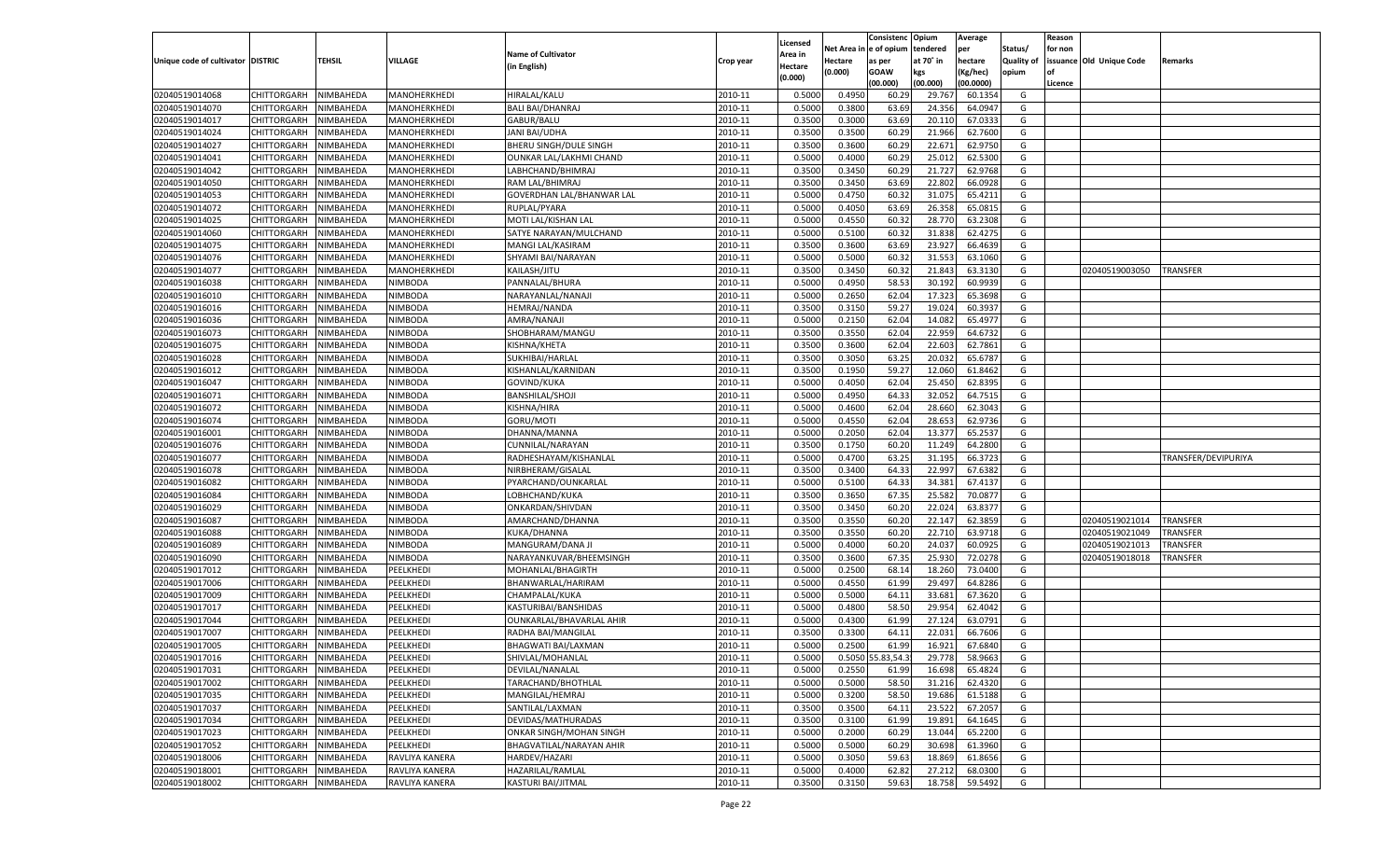|                                   |                    |                        |                           |                                  |           |                  |            | Consistenc Opium  |           | Average   |                   | Reason  |                          |                     |
|-----------------------------------|--------------------|------------------------|---------------------------|----------------------------------|-----------|------------------|------------|-------------------|-----------|-----------|-------------------|---------|--------------------------|---------------------|
|                                   |                    |                        |                           |                                  |           | Licensed         | Net Area i | l e of opium      | tendered  | per       | Status/           | for non |                          |                     |
| Unique code of cultivator DISTRIC |                    | TEHSIL                 | VILLAGE                   | <b>Name of Cultivator</b>        | Crop year | Area in          | Hectare    | as per            | at 70° in | hectare   | <b>Quality of</b> |         | issuance Old Unique Code | Remarks             |
|                                   |                    |                        |                           | (in English)                     |           | Hectare          | (0.000)    | <b>GOAW</b>       | kgs       | (Kg/hec)  | opium             | nf      |                          |                     |
|                                   |                    |                        |                           |                                  |           | (0.000)          |            | (00.000)          | (00.000)  | (00.0000) |                   | Licence |                          |                     |
| 02040519014068                    | CHITTORGARH        | NIMBAHEDA              | MANOHERKHEDI              | HIRALAL/KALU                     | 2010-11   | 0.5000           | 0.4950     | 60.29             | 29.767    | 60.1354   | G                 |         |                          |                     |
| 02040519014070                    | CHITTORGARH        | NIMBAHEDA              | MANOHERKHEDI              | <b>BALI BAI/DHANRAJ</b>          | 2010-11   | 0.5000           | 0.3800     | 63.69             | 24.356    | 64.0947   | G                 |         |                          |                     |
| 02040519014017                    | CHITTORGARH        | NIMBAHEDA              | MANOHERKHEDI              | GABUR/BALU                       | 2010-11   | 0.3500           | 0.3000     | 63.69             | 20.110    | 67.0333   | G                 |         |                          |                     |
| 02040519014024                    | CHITTORGARH        | NIMBAHEDA              | MANOHERKHEDI              | <b>JANI BAI/UDHA</b>             | 2010-11   | 0.3500           | 0.3500     | 60.29             | 21.966    | 62.7600   | G                 |         |                          |                     |
| 02040519014027                    | CHITTORGARH        | NIMBAHEDA              | MANOHERKHEDI              | BHERU SINGH/DULE SINGH           | 2010-11   | 0.3500           | 0.3600     | 60.29             | 22.671    | 62.9750   | G                 |         |                          |                     |
| 02040519014041                    | CHITTORGARH        | NIMBAHEDA              | MANOHERKHEDI              | OUNKAR LAL/LAKHMI CHAND          | 2010-11   | 0.5000           | 0.4000     | 60.29             | 25.012    | 62.5300   | G                 |         |                          |                     |
| 02040519014042                    | CHITTORGARH        | NIMBAHEDA              | MANOHERKHEDI              | LABHCHAND/BHIMRAJ                | 2010-11   | 0.3500           | 0.3450     | 60.29             | 21.727    | 62.9768   | G                 |         |                          |                     |
| 02040519014050                    | CHITTORGARH        | NIMBAHEDA              | MANOHERKHEDI              | RAM LAL/BHIMRAJ                  | 2010-11   | 0.3500           | 0.3450     | 63.69             | 22.802    | 66.0928   | G                 |         |                          |                     |
| 02040519014053                    | CHITTORGARH        | NIMBAHEDA              | MANOHERKHEDI              | <b>GOVERDHAN LAL/BHANWAR LAL</b> | 2010-11   | 0.5000           | 0.4750     | 60.32             | 31.075    | 65.4211   | G                 |         |                          |                     |
| 02040519014072                    | CHITTORGARH        | NIMBAHEDA              | MANOHERKHEDI              | RUPLAL/PYARA                     | 2010-11   | 0.5000           | 0.4050     | 63.69             | 26.35     | 65.0815   | G                 |         |                          |                     |
| 02040519014025                    | CHITTORGARH        | NIMBAHEDA              | MANOHERKHEDI              | MOTI LAL/KISHAN LAL              | 2010-11   | 0.5000           | 0.4550     | 60.32             | 28.770    | 63.2308   | G                 |         |                          |                     |
| 02040519014060                    | CHITTORGARH        | NIMBAHEDA              | MANOHERKHEDI              | SATYE NARAYAN/MULCHAND           | 2010-11   | 0.5000           | 0.5100     | 60.32             | 31.838    | 62.4275   | G                 |         |                          |                     |
| 02040519014075                    | CHITTORGARH        | NIMBAHEDA              | MANOHERKHEDI              | MANGI LAL/KASIRAM                | 2010-11   | 0.3500           | 0.3600     | 63.69             | 23.927    | 66.4639   | G                 |         |                          |                     |
| 02040519014076                    | CHITTORGARH        | NIMBAHEDA              | MANOHERKHEDI              | SHYAMI BAI/NARAYAN               | 2010-11   | 0.5000           | 0.5000     | 60.3              | 31.553    | 63.1060   | G                 |         |                          |                     |
| 02040519014077                    | CHITTORGARH        | NIMBAHEDA              | MANOHERKHEDI              | KAILASH/JITU                     | 2010-11   | 0.3500           | 0.3450     | 60.32             | 21.843    | 63.3130   | G                 |         | 02040519003050           | <b>TRANSFER</b>     |
| 02040519016038                    | CHITTORGARH        | NIMBAHEDA              | NIMBODA                   | PANNALAL/BHURA                   | 2010-11   | 0.5000           | 0.4950     | 58.53             | 30.192    | 60.9939   | G                 |         |                          |                     |
| 02040519016010                    | CHITTORGARH        | NIMBAHEDA              | <b>NIMBODA</b>            | NARAYANLAL/NANAJI                | 2010-11   | 0.5000           | 0.2650     | 62.04             | 17.323    | 65.3698   | G                 |         |                          |                     |
| 02040519016016                    | CHITTORGARH        | NIMBAHEDA              | NIMBODA                   | <b>HEMRAJ/NANDA</b>              | 2010-11   | 0.3500           | 0.3150     | 59.27             | 19.024    | 60.393    | G                 |         |                          |                     |
| 02040519016036                    | CHITTORGARH        | NIMBAHEDA              | <b>NIMBODA</b>            | AMRA/NANAJI                      | 2010-11   | 0.5000           | 0.2150     | 62.04             | 14.082    | 65.4977   | G                 |         |                          |                     |
| 02040519016073                    | CHITTORGARH        | NIMBAHEDA              | NIMBODA                   | SHOBHARAM/MANGU                  | 2010-11   | 0.3500           | 0.3550     | 62.04             | 22.959    | 64.6732   | G                 |         |                          |                     |
| 02040519016075                    | CHITTORGARH        | NIMBAHEDA              | <b>NIMBODA</b>            | KISHNA/KHETA                     | 2010-11   | 0.3500           | 0.3600     | 62.04             | 22.603    | 62.7861   | G                 |         |                          |                     |
| 02040519016028                    | CHITTORGARH        | NIMBAHEDA              | NIMBODA                   | SUKHIBAI/HARLAL                  | 2010-11   | 0.3500           | 0.3050     | 63.25             | 20.032    | 65.6787   | G                 |         |                          |                     |
| 02040519016012                    | CHITTORGARH        | NIMBAHEDA              | <b>NIMBODA</b>            | KISHANLAL/KARNIDAN               | 2010-11   | 0.3500           | 0.1950     | 59.27             | 12.060    | 61.8462   | G                 |         |                          |                     |
| 02040519016047                    | CHITTORGARH        | NIMBAHEDA              | NIMBODA                   | <b>GOVIND/KUKA</b>               | 2010-11   | 0.5000           | 0.4050     | 62.04             | 25.450    | 62.8395   | G                 |         |                          |                     |
| 02040519016071                    | CHITTORGARH        | NIMBAHEDA              | <b>NIMBODA</b>            | <b>BANSHILAL/SHOJI</b>           | 2010-11   | 0.5000           | 0.4950     | 64.33             | 32.052    | 64.7515   | G                 |         |                          |                     |
|                                   | CHITTORGARH        |                        |                           |                                  | 2010-11   |                  | 0.4600     | 62.04             | 28.660    |           | G                 |         |                          |                     |
| 02040519016072                    | CHITTORGARH        | NIMBAHEDA<br>NIMBAHEDA | NIMBODA<br><b>NIMBODA</b> | KISHNA/HIRA<br>GORU/MOTI         | 2010-11   | 0.5000<br>0.5000 | 0.4550     |                   |           | 62.3043   | G                 |         |                          |                     |
| 02040519016074<br>02040519016001  |                    |                        |                           |                                  |           |                  |            | 62.04             | 28.653    | 62.9736   |                   |         |                          |                     |
|                                   | CHITTORGARH        | NIMBAHEDA              | NIMBODA                   | DHANNA/MANNA                     | 2010-11   | 0.5000           | 0.2050     | 62.04             | 13.377    | 65.2537   | G                 |         |                          |                     |
| 02040519016076                    | CHITTORGARH        | NIMBAHEDA              | <b>NIMBODA</b>            | CUNNILAL/NARAYAN                 | 2010-11   | 0.3500           | 0.1750     | 60.20             | 11.249    | 64.2800   | G                 |         |                          |                     |
| 02040519016077                    | CHITTORGARH        | NIMBAHEDA              | NIMBODA                   | RADHESHAYAM/KISHANLAL            | 2010-11   | 0.5000           | 0.4700     | 63.25             | 31.195    | 66.3723   | G                 |         |                          | TRANSFER/DEVIPURIYA |
| 02040519016078                    | CHITTORGARH        | NIMBAHEDA              | <b>NIMBODA</b>            | NIRBHERAM/GISALAI                | 2010-11   | 0.3500           | 0.3400     | 64.33             | 22.997    | 67.6382   | G                 |         |                          |                     |
| 02040519016082                    | CHITTORGARH        | NIMBAHEDA              | NIMBODA                   | PYARCHAND/OUNKARLAL              | 2010-11   | 0.5000           | 0.5100     | 64.33             | 34.381    | 67.4137   | G                 |         |                          |                     |
| 02040519016084                    | CHITTORGARH        | NIMBAHEDA              | <b>NIMBODA</b>            | LOBHCHAND/KUKA                   | 2010-11   | 0.3500           | 0.3650     | 67.35             | 25.582    | 70.087    | G                 |         |                          |                     |
| 02040519016029                    | CHITTORGARH        | NIMBAHEDA              | NIMBODA                   | ONKARDAN/SHIVDAN                 | 2010-11   | 0.3500           | 0.3450     | 60.20             | 22.024    | 63.8377   | G                 |         |                          |                     |
| 02040519016087                    | CHITTORGARH        | NIMBAHEDA              | <b>NIMBODA</b>            | AMARCHAND/DHANNA                 | 2010-11   | 0.3500           | 0.3550     | 60.20             | 22.147    | 62.3859   | G                 |         | 02040519021014           | TRANSFER            |
| 02040519016088                    | CHITTORGARH        | NIMBAHEDA              | NIMBODA                   | <b>KUKA/DHANNA</b>               | 2010-11   | 0.3500           | 0.3550     | 60.20             | 22.710    | 63.9718   | G                 |         | 02040519021049           | TRANSFER            |
| 02040519016089                    | CHITTORGARH        | NIMBAHEDA              | <b>NIMBODA</b>            | MANGURAM/DANA JI                 | 2010-11   | 0.5000           | 0.4000     | 60.20             | 24.037    | 60.0925   | G                 |         | 02040519021013           | TRANSFER            |
| 02040519016090                    | CHITTORGARH        | NIMBAHEDA              | NIMBODA                   | NARAYANKUVAR/BHEEMSINGH          | 2010-11   | 0.3500           | 0.3600     | 67.35             | 25.93     | 72.0278   | G                 |         | 02040519018018           | TRANSFER            |
| 02040519017012                    | CHITTORGARH        | NIMBAHEDA              | PEELKHEDI                 | MOHANLAL/BHAGIRTH                | 2010-11   | 0.5000           | 0.2500     | 68.14             | 18.260    | 73.0400   | G                 |         |                          |                     |
| 02040519017006                    | CHITTORGARH        | NIMBAHEDA              | PEELKHEDI                 | BHANWARLAL/HARIRAM               | 2010-11   | 0.5000           | 0.4550     | 61.99             | 29.497    | 64.8286   | G                 |         |                          |                     |
| 02040519017009                    | CHITTORGARH        | NIMBAHEDA              | PEELKHEDI                 | CHAMPALAL/KUKA                   | 2010-11   | 0.5000           | 0.5000     | 64.11             | 33.681    | 67.3620   | G                 |         |                          |                     |
| 02040519017017                    | CHITTORGARH        | NIMBAHEDA              | PEELKHEDI                 | KASTURIBAI/BANSHIDAS             | 2010-11   | 0.5000           | 0.4800     | 58.50             | 29.95     | 62.4042   | G                 |         |                          |                     |
| 02040519017044                    | CHITTORGARH        | NIMBAHEDA              | PEELKHEDI                 | OUNKARLAL/BHAVARLAL AHIR         | 2010-11   | 0.5000           | 0.4300     | 61.99             | 27.124    | 63.0791   | G                 |         |                          |                     |
| 02040519017007                    | CHITTORGARH        | NIMBAHEDA              | PEELKHEDI                 | RADHA BAI/MANGILAL               | 2010-11   | 0.3500           | 0.3300     | 64.1              | 22.031    | 66.7606   | G                 |         |                          |                     |
| 02040519017005                    | CHITTORGARH        | NIMBAHEDA              | PEELKHEDI                 | BHAGWATI BAI/LAXMAN              | 2010-11   | 0.5000           | 0.2500     | 61.99             | 16.921    | 67.6840   | G                 |         |                          |                     |
| 02040519017016                    | CHITTORGARH        | NIMBAHEDA              | PEELKHEDI                 | SHIVLAL/MOHANLAL                 | 2010-11   | 0.5000           |            | 0.5050 55.83,54.3 | 29.778    | 58.9663   | G                 |         |                          |                     |
| 02040519017031                    | CHITTORGARH        | NIMBAHEDA              | PEELKHEDI                 | DEVILAL/NANALAL                  | 2010-11   | 0.5000           | 0.2550     | 61.99             | 16.698    | 65.4824   | G                 |         |                          |                     |
| 02040519017002                    | CHITTORGARH        | NIMBAHEDA              | PEELKHEDI                 | TARACHAND/BHOTHLAL               | 2010-11   | 0.5000           | 0.5000     | 58.50             | 31.216    | 62.4320   | G                 |         |                          |                     |
| 02040519017035                    | <b>CHITTORGARH</b> | NIMBAHEDA              | PEELKHEDI                 | MANGILAL/HEMRAJ                  | 2010-11   | 0.5000           | 0.3200     | 58.50             | 19.686    | 61.5188   | G                 |         |                          |                     |
| 02040519017037                    | CHITTORGARH        | NIMBAHEDA              | PEELKHEDI                 | SANTILAL/LAXMAN                  | 2010-11   | 0.3500           | 0.3500     | 64.11             | 23.522    | 67.2057   | G                 |         |                          |                     |
| 02040519017034                    | CHITTORGARH        | NIMBAHEDA              | PEELKHEDI                 | DEVIDAS/MATHURADAS               | 2010-11   | 0.3500           | 0.3100     | 61.99             | 19.891    | 64.1645   | G                 |         |                          |                     |
| 02040519017023                    | CHITTORGARH        | NIMBAHEDA              | PEELKHEDI                 | ONKAR SINGH/MOHAN SINGH          | 2010-11   | 0.5000           | 0.2000     | 60.29             | 13.044    | 65.2200   | G                 |         |                          |                     |
| 02040519017052                    | <b>CHITTORGARH</b> | NIMBAHEDA              | PEELKHEDI                 | BHAGVATILAL/NARAYAN AHIR         | 2010-11   | 0.5000           | 0.5000     | 60.29             | 30.698    | 61.3960   | G                 |         |                          |                     |
| 02040519018006                    | CHITTORGARH        | NIMBAHEDA              | RAVLIYA KANERA            | HARDEV/HAZARI                    | 2010-11   | 0.5000           | 0.3050     | 59.63             | 18.869    | 61.8656   | G                 |         |                          |                     |
| 02040519018001                    | CHITTORGARH        | NIMBAHEDA              | RAVLIYA KANERA            | HAZARILAL/RAMLAL                 | 2010-11   | 0.5000           | 0.4000     | 62.82             | 27.212    | 68.0300   | G                 |         |                          |                     |
| 02040519018002                    | CHITTORGARH        | NIMBAHEDA              | RAVLIYA KANERA            | KASTURI BAI/JITMAL               | 2010-11   | 0.3500           | 0.3150     | 59.63             | 18.758    | 59.5492   | G                 |         |                          |                     |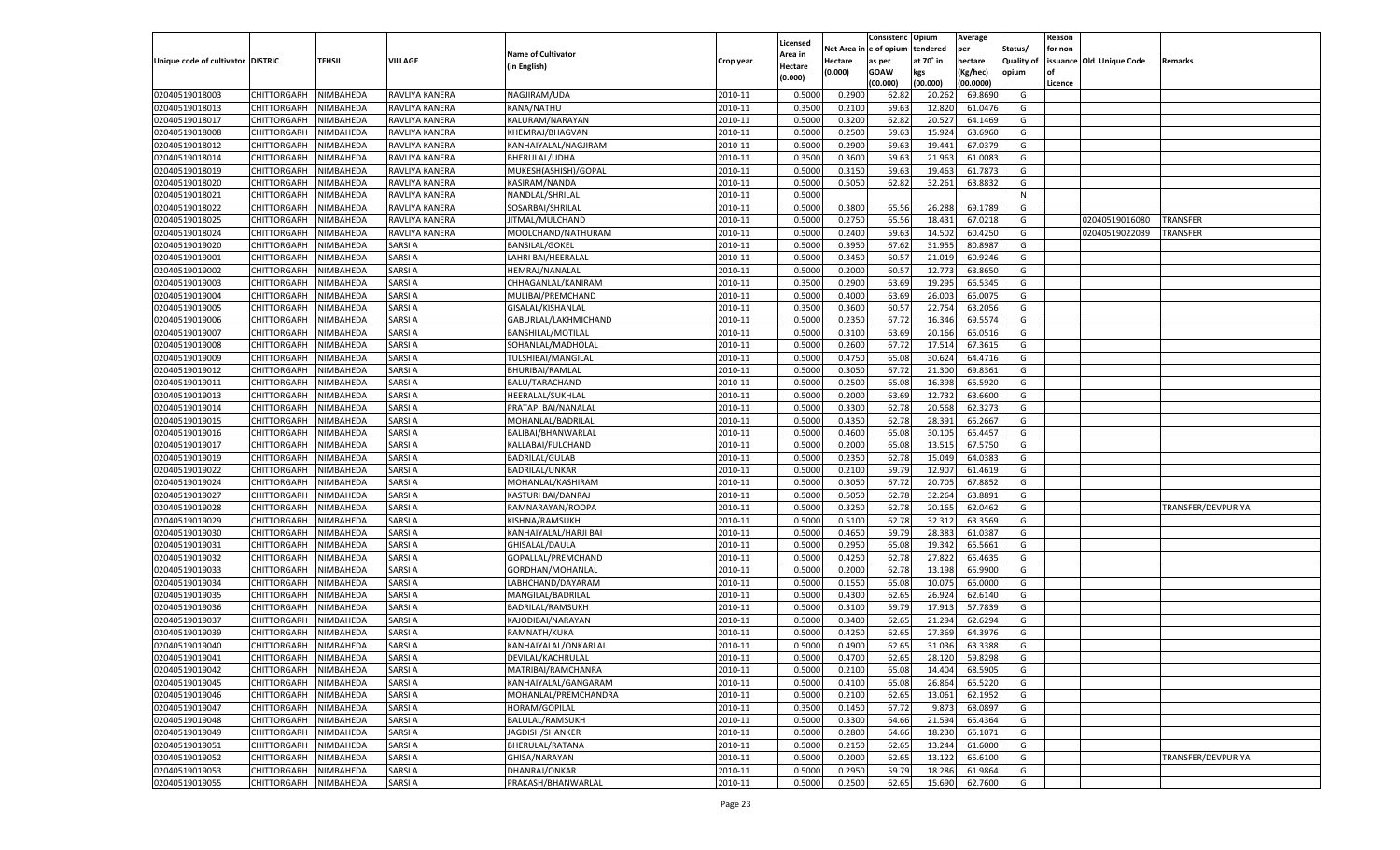|                                   |                       |               |                |                           |           |                           |          | Consistenc  | Opium     | Average   |                   | Reason  |                          |                    |
|-----------------------------------|-----------------------|---------------|----------------|---------------------------|-----------|---------------------------|----------|-------------|-----------|-----------|-------------------|---------|--------------------------|--------------------|
|                                   |                       |               |                | <b>Name of Cultivator</b> |           | Licensed                  | Net Area | e of opium  | tendered  | per       | Status/           | for non |                          |                    |
| Unique code of cultivator DISTRIC |                       | <b>TEHSIL</b> | VILLAGE        | (in English)              | Crop year | <b>Area in</b><br>Hectare | Hectare  | as per      | at 70° in | hectare   | <b>Quality of</b> |         | issuance Old Unique Code | Remarks            |
|                                   |                       |               |                |                           |           | (0.000)                   | (0.000)  | <b>GOAW</b> | kgs       | (Kg/hec)  | opium             |         |                          |                    |
|                                   |                       |               |                |                           |           |                           |          | (00.000)    | (00.000)  | (00.0000) |                   | Licence |                          |                    |
| 02040519018003                    | CHITTORGARH           | NIMBAHEDA     | RAVLIYA KANERA | NAGJIRAM/UDA              | 2010-11   | 0.5000                    | 0.2900   | 62.82       | 20.262    | 69.8690   | G                 |         |                          |                    |
| 02040519018013                    | CHITTORGARH           | NIMBAHEDA     | RAVLIYA KANERA | KANA/NATHU                | 2010-11   | 0.3500                    | 0.2100   | 59.63       | 12.82     | 61.0476   | G                 |         |                          |                    |
| 02040519018017                    | CHITTORGARH           | NIMBAHEDA     | RAVLIYA KANERA | KALURAM/NARAYAN           | 2010-11   | 0.5000                    | 0.3200   | 62.82       | 20.527    | 64.1469   | G                 |         |                          |                    |
| 02040519018008                    | CHITTORGARH           | NIMBAHEDA     | RAVLIYA KANERA | KHEMRAJ/BHAGVAN           | 2010-11   | 0.5000                    | 0.2500   | 59.63       | 15.924    | 63.6960   | G                 |         |                          |                    |
| 02040519018012                    | CHITTORGARH           | NIMBAHEDA     | RAVLIYA KANERA | KANHAIYALAL/NAGJIRAM      | 2010-11   | 0.5000                    | 0.2900   | 59.63       | 19.441    | 67.0379   | G                 |         |                          |                    |
| 02040519018014                    | CHITTORGARH           | NIMBAHEDA     | RAVLIYA KANERA | BHERULAL/UDHA             | 2010-11   | 0.3500                    | 0.3600   | 59.63       | 21.963    | 61.008    | G                 |         |                          |                    |
| 02040519018019                    | CHITTORGARH           | NIMBAHEDA     | RAVLIYA KANERA | MUKESH(ASHISH)/GOPAL      | 2010-11   | 0.5000                    | 0.3150   | 59.63       | 19.463    | 61.787    | G                 |         |                          |                    |
| 02040519018020                    | CHITTORGARH           | NIMBAHEDA     | RAVLIYA KANERA | KASIRAM/NANDA             | 2010-11   | 0.5000                    | 0.5050   | 62.82       | 32.261    | 63.8832   | G                 |         |                          |                    |
| 02040519018021                    | CHITTORGARH           | NIMBAHEDA     | RAVLIYA KANERA | NANDLAL/SHRILAL           | 2010-11   | 0.5000                    |          |             |           |           | N                 |         |                          |                    |
| 02040519018022                    | CHITTORGARH           | NIMBAHEDA     | RAVLIYA KANERA | SOSARBAI/SHRILAL          | 2010-11   | 0.5000                    | 0.3800   | 65.56       | 26.288    | 69.178    | G                 |         |                          |                    |
| 02040519018025                    | CHITTORGARH           | NIMBAHEDA     | RAVLIYA KANERA | JITMAL/MULCHAND           | 2010-11   | 0.5000                    | 0.2750   | 65.56       | 18.431    | 67.0218   | G                 |         | 02040519016080           | TRANSFER           |
| 02040519018024                    | CHITTORGARH           | NIMBAHEDA     | RAVLIYA KANERA | MOOLCHAND/NATHURAM        | 2010-11   | 0.5000                    | 0.2400   | 59.63       | 14.502    | 60.4250   | G                 |         | 02040519022039           | TRANSFER           |
| 02040519019020                    | CHITTORGARH           | NIMBAHEDA     | SARSI A        | <b>BANSILAL/GOKEL</b>     | 2010-11   | 0.5000                    | 0.3950   | 67.62       | 31.955    | 80.8987   | G                 |         |                          |                    |
| 02040519019001                    | CHITTORGARH           | NIMBAHEDA     | SARSI A        | LAHRI BAI/HEERALAL        | 2010-11   | 0.5000                    | 0.3450   | 60.57       | 21.019    | 60.9246   | G                 |         |                          |                    |
| 02040519019002                    | CHITTORGARH           | NIMBAHEDA     | SARSI A        | HEMRAJ/NANALAL            | 2010-11   | 0.5000                    | 0.2000   | 60.57       | 12.773    | 63.8650   | G                 |         |                          |                    |
| 02040519019003                    | CHITTORGARH           | NIMBAHEDA     | SARSI A        | CHHAGANLAL/KANIRAM        | 2010-11   | 0.3500                    | 0.2900   | 63.69       | 19.295    | 66.5345   | G                 |         |                          |                    |
| 02040519019004                    | CHITTORGARH           | NIMBAHEDA     | SARSI A        | MULIBAI/PREMCHAND         | 2010-11   | 0.5000                    | 0.4000   | 63.69       | 26.003    | 65.0075   | G                 |         |                          |                    |
| 02040519019005                    | CHITTORGARH           | NIMBAHEDA     | SARSI A        | GISALAL/KISHANLAL         | 2010-11   | 0.3500                    | 0.3600   | 60.57       | 22.754    | 63.2056   | G                 |         |                          |                    |
| 02040519019006                    | CHITTORGARH           | NIMBAHEDA     | SARSI A        | GABURLAL/LAKHMICHAND      | 2010-11   | 0.5000                    | 0.2350   | 67.72       | 16.346    | 69.5574   | G                 |         |                          |                    |
| 02040519019007                    | CHITTORGARH           | NIMBAHEDA     | SARSI A        | <b>BANSHILAL/MOTILAL</b>  | 2010-11   | 0.5000                    | 0.3100   | 63.69       | 20.166    | 65.0516   | G                 |         |                          |                    |
| 02040519019008                    | CHITTORGARH           | NIMBAHEDA     | SARSI A        | SOHANLAL/MADHOLAL         | 2010-11   | 0.5000                    | 0.2600   | 67.72       | 17.514    | 67.3615   | G                 |         |                          |                    |
| 02040519019009                    | CHITTORGARH           | NIMBAHEDA     | SARSI A        | TULSHIBAI/MANGILAL        | 2010-11   | 0.5000                    | 0.4750   | 65.08       | 30.624    | 64.4716   | G                 |         |                          |                    |
| 02040519019012                    | CHITTORGARH           | NIMBAHEDA     | SARSI A        | <b>BHURIBAI/RAMLAI</b>    | 2010-11   | 0.5000                    | 0.3050   | 67.72       | 21.300    | 69.8361   | G                 |         |                          |                    |
| 02040519019011                    | CHITTORGARH           | NIMBAHEDA     | SARSI A        | BALU/TARACHAND            | 2010-11   | 0.5000                    | 0.2500   | 65.08       | 16.398    | 65.5920   | G                 |         |                          |                    |
| 02040519019013                    | CHITTORGARH           | NIMBAHEDA     | SARSI A        | HEERALAL/SUKHLAL          | 2010-11   | 0.5000                    | 0.2000   | 63.69       | 12.732    | 63.6600   | G                 |         |                          |                    |
| 02040519019014                    | CHITTORGARH           | NIMBAHEDA     | SARSI A        | PRATAPI BAI/NANALAI       | 2010-11   | 0.5000                    | 0.3300   | 62.78       | 20.568    | 62.3273   | G                 |         |                          |                    |
| 02040519019015                    | CHITTORGARH           | NIMBAHEDA     | SARSI A        | MOHANLAL/BADRILAL         | 2010-11   | 0.5000                    | 0.4350   | 62.78       | 28.391    | 65.2667   | G                 |         |                          |                    |
| 02040519019016                    | CHITTORGARH           | NIMBAHEDA     | SARSI A        | BALIBAI/BHANWARLAL        | 2010-11   | 0.5000                    | 0.4600   | 65.08       | 30.105    | 65.4457   | G                 |         |                          |                    |
| 02040519019017                    | CHITTORGARH           | NIMBAHEDA     | SARSI A        | KALLABAI/FULCHAND         | 2010-11   | 0.5000                    | 0.2000   | 65.08       | 13.515    | 67.5750   | G                 |         |                          |                    |
| 02040519019019                    | CHITTORGARH           | NIMBAHEDA     | SARSI A        | <b>BADRILAL/GULAB</b>     | 2010-11   | 0.5000                    | 0.2350   | 62.78       | 15.049    | 64.0383   | G                 |         |                          |                    |
| 02040519019022                    | CHITTORGARH           | NIMBAHEDA     | SARSI A        | <b>BADRILAL/UNKAR</b>     | 2010-11   | 0.5000                    | 0.2100   | 59.79       | 12.907    | 61.4619   | G                 |         |                          |                    |
| 02040519019024                    | CHITTORGARH           | NIMBAHEDA     | SARSI A        | MOHANLAL/KASHIRAM         | 2010-11   | 0.5000                    | 0.3050   | 67.72       | 20.705    | 67.885    | G                 |         |                          |                    |
| 02040519019027                    | CHITTORGARH           | NIMBAHEDA     | SARSI A        | KASTURI BAI/DANRAJ        | 2010-11   | 0.5000                    | 0.5050   | 62.78       | 32.264    | 63.8891   | G                 |         |                          |                    |
| 02040519019028                    | CHITTORGARH           | NIMBAHEDA     | SARSI A        | RAMNARAYAN/ROOPA          | 2010-11   | 0.5000                    | 0.3250   | 62.78       | 20.165    | 62.0462   | G                 |         |                          | TRANSFER/DEVPURIYA |
| 02040519019029                    | CHITTORGARH           | NIMBAHEDA     | SARSI A        | KISHNA/RAMSUKH            | 2010-11   | 0.5000                    | 0.5100   | 62.78       | 32.312    | 63.3569   | G                 |         |                          |                    |
| 02040519019030                    | CHITTORGARH           | NIMBAHEDA     | SARSI A        | KANHAIYALAL/HARJI BAI     | 2010-11   | 0.5000                    | 0.4650   | 59.79       | 28.383    | 61.038    | G                 |         |                          |                    |
| 02040519019031                    | CHITTORGARH           | NIMBAHEDA     | SARSI A        | GHISALAL/DAULA            | 2010-11   | 0.5000                    | 0.2950   | 65.08       | 19.342    | 65.5661   | G                 |         |                          |                    |
| 02040519019032                    | CHITTORGARH           | NIMBAHEDA     | SARSI A        | GOPALLAL/PREMCHAND        | 2010-11   | 0.5000                    | 0.4250   | 62.78       | 27.822    | 65.4635   | G                 |         |                          |                    |
| 02040519019033                    | CHITTORGARH           | NIMBAHEDA     | SARSI A        | GORDHAN/MOHANLAL          | 2010-11   | 0.5000                    | 0.2000   | 62.78       | 13.198    | 65.9900   | G                 |         |                          |                    |
| 02040519019034                    | CHITTORGARH           | NIMBAHEDA     | SARSI A        | LABHCHAND/DAYARAM         | 2010-11   | 0.5000                    | 0.1550   | 65.08       | 10.075    | 65.0000   | G                 |         |                          |                    |
| 02040519019035                    | CHITTORGARH           | NIMBAHEDA     | SARSI A        | MANGILAL/BADRILAL         | 2010-11   | 0.5000                    | 0.4300   | 62.65       | 26.924    | 62.6140   | G                 |         |                          |                    |
| 02040519019036                    | CHITTORGARH           | NIMBAHEDA     | SARSI A        | <b>BADRILAL/RAMSUKH</b>   | 2010-11   | 0.5000                    | 0.3100   | 59.79       | 17.913    | 57.7839   | G                 |         |                          |                    |
| 02040519019037                    | CHITTORGARH           | NIMBAHEDA     | SARSI A        | KAJODIBAI/NARAYAN         | 2010-11   | 0.5000                    | 0.3400   | 62.65       | 21.294    | 62.629    | G                 |         |                          |                    |
| 02040519019039                    | CHITTORGARH           | NIMBAHEDA     | SARSI A        | RAMNATH/KUKA              | 2010-11   | 0.5000                    | 0.4250   | 62.6        | 27.36     | 64.397    | G                 |         |                          |                    |
| 02040519019040                    | CHITTORGARH           | NIMBAHEDA     | SARSI A        | KANHAIYALAL/ONKARLAL      | 2010-11   | 0.5000                    | 0.4900   | 62.65       | 31.036    | 63.3388   | G                 |         |                          |                    |
| 02040519019041                    | CHITTORGARH NIMBAHEDA |               | <b>SARSIA</b>  | DEVILAL/KACHRULAL         | 2010-11   | 0.5000                    | 0.4700   | 62.65       | 28.120    | 59.8298   | G                 |         |                          |                    |
| 02040519019042                    | <b>CHITTORGARH</b>    | NIMBAHEDA     | <b>SARSIA</b>  | MATRIBAI/RAMCHANRA        | 2010-11   | 0.5000                    | 0.2100   | 65.08       | 14.404    | 68.5905   | G                 |         |                          |                    |
| 02040519019045                    | CHITTORGARH           | NIMBAHEDA     | <b>SARSIA</b>  | KANHAIYALAL/GANGARAM      | 2010-11   | 0.5000                    | 0.4100   | 65.08       | 26.864    | 65.5220   | G                 |         |                          |                    |
| 02040519019046                    | <b>CHITTORGARH</b>    | NIMBAHEDA     | <b>SARSIA</b>  | MOHANLAL/PREMCHANDRA      | 2010-11   | 0.5000                    | 0.2100   | 62.65       | 13.061    | 62.1952   | G                 |         |                          |                    |
| 02040519019047                    | <b>CHITTORGARH</b>    | NIMBAHEDA     | SARSI A        | HORAM/GOPILAL             | 2010-11   | 0.3500                    | 0.1450   | 67.72       | 9.873     | 68.0897   | G                 |         |                          |                    |
| 02040519019048                    | <b>CHITTORGARH</b>    | NIMBAHEDA     | <b>SARSIA</b>  | BALULAL/RAMSUKH           | 2010-11   | 0.5000                    | 0.3300   | 64.66       | 21.594    | 65.4364   | G                 |         |                          |                    |
| 02040519019049                    | <b>CHITTORGARH</b>    | NIMBAHEDA     | <b>SARSIA</b>  | JAGDISH/SHANKER           | 2010-11   | 0.5000                    | 0.2800   | 64.66       | 18.230    | 65.1071   | G                 |         |                          |                    |
| 02040519019051                    | <b>CHITTORGARH</b>    | NIMBAHEDA     | <b>SARSIA</b>  | BHERULAL/RATANA           | 2010-11   | 0.5000                    | 0.2150   | 62.65       | 13.244    | 61.6000   | G                 |         |                          |                    |
| 02040519019052                    | <b>CHITTORGARH</b>    | NIMBAHEDA     | SARSI A        | GHISA/NARAYAN             | 2010-11   | 0.5000                    | 0.2000   | 62.65       | 13.122    | 65.6100   | G                 |         |                          | TRANSFER/DEVPURIYA |
| 02040519019053                    | <b>CHITTORGARH</b>    | NIMBAHEDA     | <b>SARSIA</b>  | DHANRAJ/ONKAR             | 2010-11   | 0.5000                    | 0.2950   | 59.79       | 18.286    | 61.9864   | G                 |         |                          |                    |
| 02040519019055                    | <b>CHITTORGARH</b>    | NIMBAHEDA     | <b>SARSIA</b>  | PRAKASH/BHANWARLAL        | 2010-11   | 0.5000                    | 0.2500   | 62.65       | 15.690    | 62.7600   | G                 |         |                          |                    |
|                                   |                       |               |                |                           |           |                           |          |             |           |           |                   |         |                          |                    |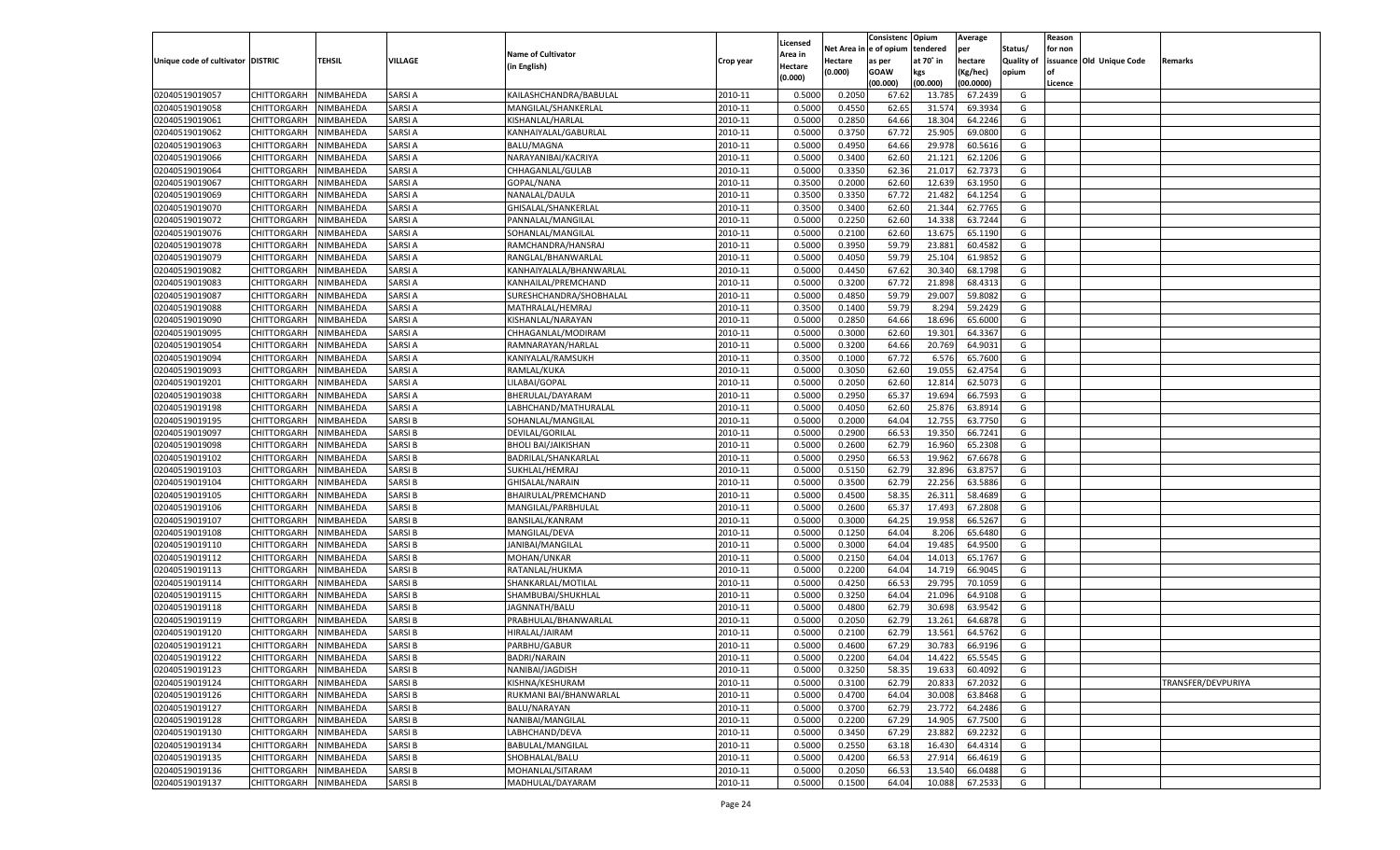|                                   |                            |                        |               |                                       |                    |                     |          | Consistenc  | Opium            | Average   |                   | Reason  |                          |                    |
|-----------------------------------|----------------------------|------------------------|---------------|---------------------------------------|--------------------|---------------------|----------|-------------|------------------|-----------|-------------------|---------|--------------------------|--------------------|
|                                   |                            |                        |               | <b>Name of Cultivator</b>             |                    | Licensed<br>\rea in | Net Area | e of opium  | tendered         | per       | Status/           | for non |                          |                    |
| Unique code of cultivator DISTRIC |                            | <b>TEHSIL</b>          | VILLAGE       | (in English)                          | Crop year          | Hectare             | Hectare  | as per      | at 70° in        | hectare   | <b>Quality of</b> |         | issuance Old Unique Code | Remarks            |
|                                   |                            |                        |               |                                       |                    | (0.000)             | (0.000)  | <b>GOAW</b> | kgs              | (Kg/hec)  | opium             |         |                          |                    |
|                                   |                            |                        |               |                                       |                    |                     |          | (00.000)    | (00.000)         | (00.0000) |                   | Licence |                          |                    |
| 02040519019057                    | CHITTORGARH                | NIMBAHEDA              | SARSI A       | KAILASHCHANDRA/BABULAL                | 2010-11            | 0.5000              | 0.2050   | 67.62       | 13.78            | 67.2439   | G                 |         |                          |                    |
| 02040519019058                    | CHITTORGARH                | NIMBAHEDA              | SARSI A       | MANGILAL/SHANKERLAL                   | 2010-11            | 0.5000              | 0.4550   | 62.65       | 31.57            | 69.3934   | G                 |         |                          |                    |
| 02040519019061                    | CHITTORGARH                | NIMBAHEDA              | SARSI A       | KISHANLAL/HARLAI                      | 2010-11            | 0.5000              | 0.2850   | 64.66       | 18.304           | 64.2246   | G                 |         |                          |                    |
| 02040519019062                    | CHITTORGARH                | NIMBAHEDA              | SARSI A       | KANHAIYALAL/GABURLAL                  | 2010-11            | 0.5000              | 0.3750   | 67.7        | 25.905           | 69.0800   | G                 |         |                          |                    |
| 02040519019063                    | CHITTORGARH                | NIMBAHEDA              | SARSI A       | <b>BALU/MAGNA</b>                     | 2010-11            | 0.5000              | 0.4950   | 64.66       | 29.978           | 60.5616   | G                 |         |                          |                    |
| 02040519019066                    | CHITTORGARH                | NIMBAHEDA              | SARSI A       | NARAYANIBAI/KACRIYA                   | 2010-11            | 0.5000              | 0.3400   | 62.60       | 21.121           | 62.120    | G                 |         |                          |                    |
| 02040519019064                    | CHITTORGARH                | NIMBAHEDA              | SARSI A       | CHHAGANLAL/GULAB                      | 2010-11            | 0.5000              | 0.3350   | 62.36       | 21.017           | 62.7373   | G                 |         |                          |                    |
| 02040519019067                    | CHITTORGARH                | NIMBAHEDA              | SARSI A       | GOPAL/NANA                            | 2010-11            | 0.3500              | 0.2000   | 62.60       | 12.639           | 63.1950   | G                 |         |                          |                    |
| 02040519019069                    | CHITTORGARH                | NIMBAHEDA              | SARSI A       | NANALAL/DAULA                         | 2010-11            | 0.3500              | 0.3350   | 67.72       | 21.482           | 64.1254   | G                 |         |                          |                    |
| 02040519019070                    | CHITTORGARH                | NIMBAHEDA              | SARSI A       | GHISALAL/SHANKERLAL                   | 2010-11            | 0.3500              | 0.3400   | 62.60       | 21.344           | 62.7765   | G                 |         |                          |                    |
| 02040519019072                    | CHITTORGARH                | NIMBAHEDA              | SARSI A       | PANNALAL/MANGILAL                     | 2010-11            | 0.5000              | 0.2250   | 62.60       | 14.33            | 63.7244   | G                 |         |                          |                    |
| 02040519019076                    | CHITTORGARH                | NIMBAHEDA              | SARSI A       | SOHANLAL/MANGILAL                     | 2010-11            | 0.5000              | 0.2100   | 62.60       | 13.675           | 65.1190   | G                 |         |                          |                    |
| 02040519019078                    | CHITTORGARH                | NIMBAHEDA              | SARSI A       | RAMCHANDRA/HANSRAJ                    | 2010-11            | 0.5000              | 0.3950   | 59.79       | 23.881           | 60.4582   | G                 |         |                          |                    |
| 02040519019079                    | CHITTORGARH                | NIMBAHEDA              | SARSI A       | RANGLAL/BHANWARLAI                    | 2010-11            | 0.5000              | 0.4050   | 59.79       | 25.104           | 61.9852   | G                 |         |                          |                    |
| 02040519019082                    | CHITTORGARH                | NIMBAHEDA              | SARSI A       | KANHAIYALALA/BHANWARLAL               | 2010-11            | 0.5000              | 0.4450   | 67.62       | 30.340           | 68.1798   | G                 |         |                          |                    |
| 02040519019083                    | CHITTORGARH                | NIMBAHEDA              | SARSI A       | KANHAILAL/PREMCHAND                   | 2010-11            | 0.5000              | 0.3200   | 67.72       | 21.898           | 68.4313   | G                 |         |                          |                    |
| 02040519019087                    | CHITTORGARH                | NIMBAHEDA              | SARSI A       | SURESHCHANDRA/SHOBHALAL               | 2010-11            | 0.5000              | 0.4850   | 59.79       | 29.007           | 59.8082   | G                 |         |                          |                    |
| 02040519019088                    | CHITTORGARH                | NIMBAHEDA              | SARSI A       | MATHRALAL/HEMRAJ                      | 2010-11            | 0.3500              | 0.1400   | 59.79       | 8.294            | 59.2429   | G                 |         |                          |                    |
| 02040519019090                    | CHITTORGARH                | NIMBAHEDA              | SARSI A       | KISHANLAL/NARAYAN                     | 2010-11            | 0.5000              | 0.2850   | 64.66       | 18.696           | 65.6000   | G                 |         |                          |                    |
| 02040519019095                    | CHITTORGARH                | NIMBAHEDA              | SARSI A       | CHHAGANLAL/MODIRAM                    | 2010-11            | 0.5000              | 0.3000   | 62.60       | 19.301           | 64.3367   | G                 |         |                          |                    |
| 02040519019054                    | CHITTORGARH                | NIMBAHEDA              | SARSI A       | RAMNARAYAN/HARLAI                     | 2010-11            | 0.5000              | 0.3200   | 64.66       | 20.769           | 64.9031   | G                 |         |                          |                    |
| 02040519019094                    | CHITTORGARH                | NIMBAHEDA              | SARSI A       | KANIYALAL/RAMSUKH                     | 2010-11            | 0.3500              | 0.1000   | 67.72       | 6.576            | 65.7600   | G                 |         |                          |                    |
| 02040519019093                    | CHITTORGARH                | NIMBAHEDA              | SARSI A       | RAMLAL/KUKA                           | 2010-11            | 0.5000              | 0.3050   | 62.60       | 19.055           | 62.4754   | G                 |         |                          |                    |
| 02040519019201                    | CHITTORGARH                | NIMBAHEDA              | SARSI A       | LILABAI/GOPAL                         | 2010-11            | 0.5000              | 0.2050   | 62.60       | 12.814           | 62.5073   | G                 |         |                          |                    |
| 02040519019038                    | CHITTORGARH                | NIMBAHEDA              | SARSI A       | BHERULAL/DAYARAM                      | 2010-11            | 0.5000              | 0.2950   | 65.37       | 19.694           | 66.7593   | G                 |         |                          |                    |
| 02040519019198                    | CHITTORGARH                | NIMBAHEDA              | SARSI A       | LABHCHAND/MATHURALAL                  | 2010-11            | 0.5000              | 0.4050   | 62.60       | 25.876           | 63.8914   | G                 |         |                          |                    |
| 02040519019195                    | CHITTORGARH                | NIMBAHEDA              | SARSI B       | SOHANLAL/MANGILAL                     | 2010-11            | 0.5000              | 0.2000   | 64.04       | 12.755           | 63.7750   | G                 |         |                          |                    |
| 02040519019097                    | CHITTORGARH                | NIMBAHEDA              | SARSI B       | DEVILAL/GORILAL                       | 2010-11            | 0.5000              | 0.2900   | 66.53       | 19.350           | 66.7241   | G                 |         |                          |                    |
| 02040519019098                    | CHITTORGARH                | NIMBAHEDA              | SARSI B       | <b>BHOLI BAI/JAIKISHAN</b>            | 2010-11            | 0.5000              | 0.2600   | 62.79       | 16.960           | 65.2308   | G                 |         |                          |                    |
| 02040519019102                    | CHITTORGARH                | NIMBAHEDA              | SARSI B       | BADRILAL/SHANKARLAL                   | 2010-11            | 0.5000              | 0.2950   | 66.53       | 19.962           | 67.6678   | G                 |         |                          |                    |
| 02040519019103                    | CHITTORGARH                | NIMBAHEDA              | SARSI B       | SUKHLAL/HEMRAJ                        | 2010-11            | 0.5000              | 0.5150   | 62.79       | 32.896           | 63.875    | G                 |         |                          |                    |
| 02040519019104                    | CHITTORGARH                | NIMBAHEDA              | SARSI B       | GHISALAL/NARAIN                       | 2010-11            | 0.5000              | 0.3500   | 62.79       | 22.256           | 63.5886   | G                 |         |                          |                    |
| 02040519019105                    | CHITTORGARH                | NIMBAHEDA              | SARSI B       | BHAIRULAL/PREMCHAND                   | 2010-11            | 0.5000              | 0.4500   | 58.35       | 26.31            | 58.4689   | G                 |         |                          |                    |
| 02040519019106                    | CHITTORGARH                | NIMBAHEDA              | SARSI B       | MANGILAL/PARBHULAL                    | 2010-11            | 0.5000              | 0.2600   | 65.3        | 17.493           | 67.2808   | G                 |         |                          |                    |
| 02040519019107                    | CHITTORGARH                | NIMBAHEDA              | SARSI B       | <b>BANSILAL/KANRAM</b>                | 2010-11            | 0.5000              | 0.3000   | 64.25       | 19.95            | 66.5267   | G                 |         |                          |                    |
| 02040519019108                    | CHITTORGARH                | NIMBAHEDA              | SARSI B       | MANGILAL/DEVA                         | 2010-11            | 0.5000              | 0.1250   | 64.04       | 8.206            | 65.6480   | G                 |         |                          |                    |
| 02040519019110                    | CHITTORGARH                | NIMBAHEDA              | SARSI B       | JANIBAI/MANGILAL                      | 2010-11            | 0.5000              | 0.3000   | 64.04       | 19.485           | 64.9500   | G                 |         |                          |                    |
| 02040519019112                    | CHITTORGARH                | NIMBAHEDA              | SARSI B       | MOHAN/UNKAR                           | 2010-11            | 0.5000              | 0.2150   | 64.04       | 14.013           | 65.1767   | G                 |         |                          |                    |
| 02040519019113                    | CHITTORGARH                | NIMBAHEDA              | SARSI B       | RATANLAL/HUKMA                        | 2010-11            | 0.5000              | 0.2200   | 64.04       | 14.719           | 66.9045   | G                 |         |                          |                    |
| 02040519019114                    |                            |                        | SARSI B       |                                       |                    |                     | 0.4250   | 66.53       | 29.795           | 70.1059   | G                 |         |                          |                    |
| 02040519019115                    | CHITTORGARH                | NIMBAHEDA<br>NIMBAHEDA | SARSI B       | SHANKARLAL/MOTILAL                    | 2010-11<br>2010-11 | 0.5000<br>0.5000    | 0.3250   | 64.04       |                  | 64.9108   | G                 |         |                          |                    |
| 02040519019118                    | CHITTORGARH                |                        | SARSI B       | SHAMBUBAI/SHUKHLAL                    | 2010-11            | 0.5000              | 0.4800   |             | 21.096<br>30.698 | 63.9542   | G                 |         |                          |                    |
|                                   | CHITTORGARH<br>CHITTORGARH | NIMBAHEDA<br>NIMBAHEDA | SARSI B       | JAGNNATH/BALU<br>PRABHULAL/BHANWARLAL | 2010-11            | 0.5000              |          | 62.79       |                  |           |                   |         |                          |                    |
| 02040519019119                    |                            |                        |               |                                       |                    |                     | 0.2050   | 62.79       | 13.261           | 64.6878   | G                 |         |                          |                    |
| 02040519019120                    | CHITTORGARH                | NIMBAHEDA              | SARSI B       | HIRALAL/JAIRAM                        | 2010-11            | 0.5000              | 0.2100   | 62.79       | 13.561           | 64.5762   | G                 |         |                          |                    |
| 02040519019121                    | CHITTORGARH                | NIMBAHEDA              | SARSI B       | PARBHU/GABUR                          | 2010-11            | 0.5000              | 0.4600   | 67.29       | 30.783           | 66.9196   | G                 |         |                          |                    |
| 02040519019122                    | CHITTORGARH NIMBAHEDA      |                        | <b>SARSIB</b> | <b>BADRI/NARAIN</b>                   | 2010-11            | 0.5000              | 0.2200   | 64.04       | 14.422           | 65.5545   | G                 |         |                          |                    |
| 02040519019123                    | <b>CHITTORGARH</b>         | NIMBAHEDA              | <b>SARSIB</b> | NANIBAI/JAGDISH                       | 2010-11            | 0.5000              | 0.3250   | 58.35       | 19.633           | 60.4092   | G                 |         |                          |                    |
| 02040519019124                    | <b>CHITTORGARH</b>         | NIMBAHEDA              | <b>SARSIB</b> | KISHNA/KESHURAM                       | 2010-11            | 0.5000              | 0.3100   | 62.79       | 20.833           | 67.2032   | G                 |         |                          | TRANSFER/DEVPURIYA |
| 02040519019126                    | <b>CHITTORGARH</b>         | NIMBAHEDA              | <b>SARSIB</b> | RUKMANI BAI/BHANWARLAL                | 2010-11            | 0.5000              | 0.4700   | 64.04       | 30.008           | 63.8468   | G                 |         |                          |                    |
| 02040519019127                    | <b>CHITTORGARH</b>         | NIMBAHEDA              | SARSI B       | BALU/NARAYAN                          | 2010-11            | 0.5000              | 0.3700   | 62.79       | 23.772           | 64.2486   | G                 |         |                          |                    |
| 02040519019128                    | <b>CHITTORGARH</b>         | NIMBAHEDA              | <b>SARSIB</b> | NANIBAI/MANGILAL                      | 2010-11            | 0.5000              | 0.2200   | 67.29       | 14.905           | 67.7500   | G                 |         |                          |                    |
| 02040519019130                    | <b>CHITTORGARH</b>         | NIMBAHEDA              | <b>SARSIB</b> | LABHCHAND/DEVA                        | 2010-11            | 0.5000              | 0.3450   | 67.29       | 23.882           | 69.2232   | G                 |         |                          |                    |
| 02040519019134                    | <b>CHITTORGARH</b>         | NIMBAHEDA              | <b>SARSIB</b> | <b>BABULAL/MANGILAL</b>               | 2010-11            | 0.5000              | 0.2550   | 63.18       | 16.430           | 64.4314   | G                 |         |                          |                    |
| 02040519019135                    | <b>CHITTORGARH</b>         | NIMBAHEDA              | SARSI B       | SHOBHALAL/BALU                        | 2010-11            | 0.5000              | 0.4200   | 66.53       | 27.914           | 66.4619   | G                 |         |                          |                    |
| 02040519019136                    | <b>CHITTORGARH</b>         | NIMBAHEDA              | <b>SARSIB</b> | MOHANLAL/SITARAM                      | 2010-11            | 0.5000              | 0.2050   | 66.53       | 13.540           | 66.0488   | G                 |         |                          |                    |
| 02040519019137                    | <b>CHITTORGARH</b>         | NIMBAHEDA              | <b>SARSIB</b> | MADHULAL/DAYARAM                      | 2010-11            | 0.5000              | 0.1500   | 64.04       | 10.088           | 67.2533   | G                 |         |                          |                    |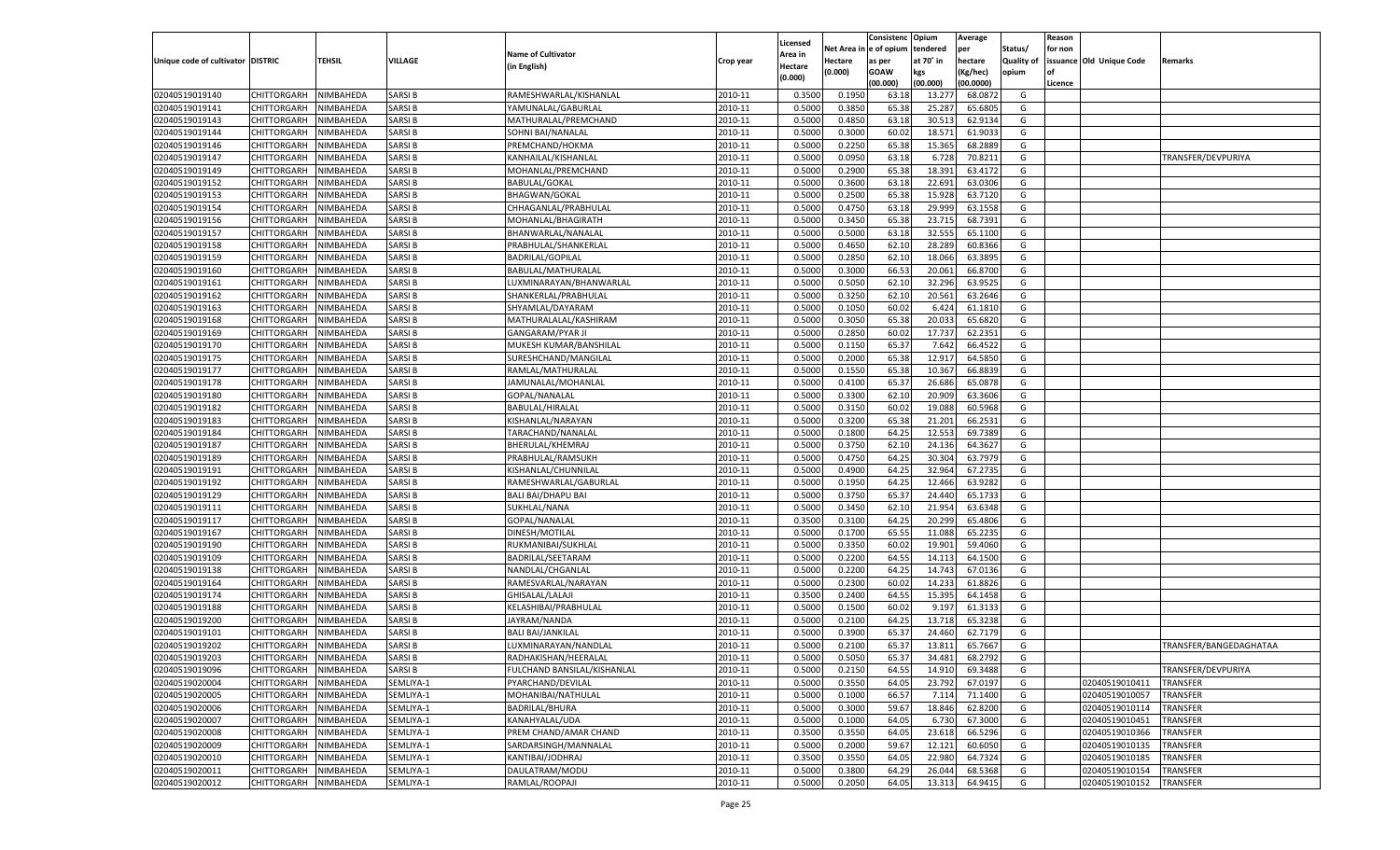|                                   |                    |           |               |                             |           |          |            | Consistenc Opium |           | Average   |                   | Reason  |                          |                        |
|-----------------------------------|--------------------|-----------|---------------|-----------------------------|-----------|----------|------------|------------------|-----------|-----------|-------------------|---------|--------------------------|------------------------|
|                                   |                    |           |               |                             |           | Licensed | Net Area i | l e of opium     | tendered  | per       | Status/           | for non |                          |                        |
| Unique code of cultivator DISTRIC |                    | TEHSIL    | VILLAGE       | <b>Name of Cultivator</b>   | Crop year | Area in  | Hectare    | as per           | at 70° in | hectare   | <b>Quality of</b> |         | issuance Old Unique Code | Remarks                |
|                                   |                    |           |               | (in English)                |           | Hectare  | (0.000)    | <b>GOAW</b>      | kgs       | (Kg/hec)  | opium             | nf      |                          |                        |
|                                   |                    |           |               |                             |           | (0.000)  |            | (00.000)         | (00.000)  | (00.0000) |                   | Licence |                          |                        |
| 02040519019140                    | CHITTORGARH        | NIMBAHEDA | <b>SARSIB</b> | RAMESHWARLAL/KISHANLAL      | 2010-11   | 0.3500   | 0.1950     | 63.18            | 13.277    | 68.0872   | G                 |         |                          |                        |
| 02040519019141                    | CHITTORGARH        | NIMBAHEDA | <b>SARSIB</b> | YAMUNALAL/GABURLAL          | 2010-11   | 0.5000   | 0.3850     | 65.38            | 25.287    | 65.680    | G                 |         |                          |                        |
| 02040519019143                    | CHITTORGARH        | NIMBAHEDA | <b>SARSIB</b> | MATHURALAL/PREMCHAND        | 2010-11   | 0.5000   | 0.4850     | 63.18            | 30.513    | 62.9134   | G                 |         |                          |                        |
| 02040519019144                    | CHITTORGARH        | NIMBAHEDA | SARSI B       | SOHNI BAI/NANALAL           | 2010-11   | 0.5000   | 0.3000     | 60.02            | 18.571    | 61.9033   | G                 |         |                          |                        |
| 02040519019146                    | CHITTORGARH        | NIMBAHEDA | <b>SARSIB</b> | PREMCHAND/HOKMA             | 2010-11   | 0.5000   | 0.2250     | 65.38            | 15.365    | 68.2889   | G                 |         |                          |                        |
| 02040519019147                    | CHITTORGARH        | NIMBAHEDA | <b>SARSIB</b> | KANHAILAL/KISHANLAL         | 2010-11   | 0.5000   | 0.0950     | 63.18            | 6.728     | 70.8211   | G                 |         |                          | TRANSFER/DEVPURIYA     |
| 02040519019149                    | CHITTORGARH        | NIMBAHEDA | <b>SARSIB</b> | MOHANLAL/PREMCHAND          | 2010-11   | 0.5000   | 0.2900     | 65.38            | 18.391    | 63.4172   | G                 |         |                          |                        |
| 02040519019152                    | CHITTORGARH        | NIMBAHEDA | SARSI B       | <b>BABULAL/GOKAL</b>        | 2010-11   | 0.5000   | 0.3600     | 63.18            | 22.691    | 63.0306   | G                 |         |                          |                        |
| 02040519019153                    | CHITTORGARH        | NIMBAHEDA | <b>SARSIB</b> | <b>BHAGWAN/GOKAL</b>        | 2010-11   | 0.5000   | 0.2500     | 65.38            | 15.928    | 63.7120   | G                 |         |                          |                        |
| 02040519019154                    | CHITTORGARH        | NIMBAHEDA | <b>SARSIB</b> | CHHAGANLAL/PRABHULAI        | 2010-11   | 0.5000   | 0.4750     | 63.18            | 29.999    | 63.1558   | G                 |         |                          |                        |
| 02040519019156                    | CHITTORGARH        | NIMBAHEDA | <b>SARSIB</b> | MOHANLAL/BHAGIRATH          | 2010-11   | 0.5000   | 0.3450     | 65.38            | 23.715    | 68.7391   | G                 |         |                          |                        |
| 02040519019157                    | CHITTORGARH        | NIMBAHEDA | <b>SARSIB</b> | BHANWARLAL/NANALAI          | 2010-11   | 0.5000   | 0.5000     | 63.18            | 32.555    | 65.1100   | G                 |         |                          |                        |
| 02040519019158                    | CHITTORGARH        | NIMBAHEDA | <b>SARSIB</b> | PRABHULAL/SHANKERLAL        | 2010-11   | 0.5000   | 0.4650     | 62.10            | 28.289    | 60.8366   | G                 |         |                          |                        |
| 02040519019159                    | CHITTORGARH        | NIMBAHEDA | <b>SARSIB</b> | <b>BADRILAL/GOPILAL</b>     | 2010-11   | 0.5000   | 0.2850     | 62.10            | 18.066    | 63.3895   | G                 |         |                          |                        |
|                                   | CHITTORGARH        | NIMBAHEDA | <b>SARSIB</b> |                             | 2010-11   | 0.5000   | 0.3000     | 66.53            | 20.061    | 66.8700   | G                 |         |                          |                        |
| 02040519019160                    |                    |           |               | BABULAL/MATHURALAL          |           |          |            |                  |           |           |                   |         |                          |                        |
| 02040519019161                    | CHITTORGARH        | NIMBAHEDA | <b>SARSIB</b> | LUXMINARAYAN/BHANWARLAL     | 2010-11   | 0.5000   | 0.5050     | 62.10            | 32.296    | 63.9525   | G                 |         |                          |                        |
| 02040519019162                    | CHITTORGARH        | NIMBAHEDA | <b>SARSIB</b> | SHANKERLAL/PRABHULAL        | 2010-11   | 0.5000   | 0.3250     | 62.10            | 20.561    | 63.2646   | G                 |         |                          |                        |
| 02040519019163                    | CHITTORGARH        | NIMBAHEDA | <b>SARSIB</b> | SHYAMLAL/DAYARAM            | 2010-11   | 0.5000   | 0.1050     | 60.02            | 6.424     | 61.1810   | G                 |         |                          |                        |
| 02040519019168                    | CHITTORGARH        | NIMBAHEDA | <b>SARSIB</b> | MATHURALALAL/KASHIRAM       | 2010-11   | 0.5000   | 0.3050     | 65.38            | 20.033    | 65.6820   | G                 |         |                          |                        |
| 02040519019169                    | CHITTORGARH        | NIMBAHEDA | <b>SARSIB</b> | <b>GANGARAM/PYAR JI</b>     | 2010-11   | 0.5000   | 0.2850     | 60.02            | 17.737    | 62.2351   | G                 |         |                          |                        |
| 02040519019170                    | CHITTORGARH        | NIMBAHEDA | <b>SARSIB</b> | MUKESH KUMAR/BANSHILAI      | 2010-11   | 0.5000   | 0.1150     | 65.37            | 7.642     | 66.4522   | G                 |         |                          |                        |
| 02040519019175                    | CHITTORGARH        | NIMBAHEDA | <b>SARSIB</b> | SURESHCHAND/MANGILAL        | 2010-11   | 0.5000   | 0.2000     | 65.38            | 12.917    | 64.5850   | G                 |         |                          |                        |
| 02040519019177                    | CHITTORGARH        | NIMBAHEDA | <b>SARSIB</b> | RAMLAL/MATHURALAL           | 2010-11   | 0.5000   | 0.1550     | 65.38            | 10.367    | 66.8839   | G                 |         |                          |                        |
| 02040519019178                    | CHITTORGARH        | NIMBAHEDA | <b>SARSIB</b> | JAMUNALAL/MOHANLAL          | 2010-11   | 0.5000   | 0.4100     | 65.37            | 26.686    | 65.0878   | G                 |         |                          |                        |
| 02040519019180                    | CHITTORGARH        | NIMBAHEDA | <b>SARSIB</b> | GOPAL/NANALAL               | 2010-11   | 0.5000   | 0.3300     | 62.10            | 20.909    | 63.3606   | G                 |         |                          |                        |
| 02040519019182                    | CHITTORGARH        | NIMBAHEDA | <b>SARSIB</b> | BABULAL/HIRALAL             | 2010-11   | 0.5000   | 0.3150     | 60.02            | 19.088    | 60.5968   | G                 |         |                          |                        |
| 02040519019183                    | CHITTORGARH        | NIMBAHEDA | <b>SARSIB</b> | KISHANLAL/NARAYAN           | 2010-11   | 0.5000   | 0.3200     | 65.38            | 21.201    | 66.2531   | G                 |         |                          |                        |
| 02040519019184                    | CHITTORGARH        | NIMBAHEDA | <b>SARSIB</b> | TARACHAND/NANALAL           | 2010-11   | 0.5000   | 0.1800     | 64.25            | 12.553    | 69.7389   | G                 |         |                          |                        |
| 02040519019187                    | CHITTORGARH        | NIMBAHEDA | <b>SARSIB</b> | BHERULAL/KHEMRAJ            | 2010-11   | 0.5000   | 0.3750     | 62.10            | 24.136    | 64.3627   | G                 |         |                          |                        |
| 02040519019189                    | CHITTORGARH        | NIMBAHEDA | <b>SARSIB</b> | PRABHULAL/RAMSUKH           | 2010-11   | 0.5000   | 0.4750     | 64.25            | 30.304    | 63.7979   | G                 |         |                          |                        |
| 02040519019191                    | CHITTORGARH        | NIMBAHEDA | <b>SARSIB</b> | KISHANLAL/CHUNNILAI         | 2010-11   | 0.5000   | 0.4900     | 64.25            | 32.964    | 67.2735   | G                 |         |                          |                        |
| 02040519019192                    | CHITTORGARH        | NIMBAHEDA | <b>SARSIB</b> | RAMESHWARLAL/GABURLAI       | 2010-11   | 0.5000   | 0.1950     | 64.25            | 12.466    | 63.9282   | G                 |         |                          |                        |
| 02040519019129                    | CHITTORGARH        | NIMBAHEDA | <b>SARSIB</b> | <b>BALI BAI/DHAPU BAI</b>   | 2010-11   | 0.5000   | 0.3750     | 65.37            | 24.440    | 65.1733   | G                 |         |                          |                        |
| 02040519019111                    | CHITTORGARH        | NIMBAHEDA | <b>SARSIB</b> | SUKHLAL/NANA                | 2010-11   | 0.5000   | 0.3450     | 62.10            | 21.954    | 63.6348   | G                 |         |                          |                        |
| 02040519019117                    | CHITTORGARH        | NIMBAHEDA | <b>SARSIB</b> | GOPAL/NANALAL               | 2010-11   | 0.3500   | 0.3100     | 64.25            | 20.299    | 65.4806   | G                 |         |                          |                        |
| 02040519019167                    | CHITTORGARH        | NIMBAHEDA | <b>SARSIB</b> | DINESH/MOTILAL              | 2010-11   | 0.5000   | 0.1700     | 65.55            | 11.088    | 65.2235   | G                 |         |                          |                        |
| 02040519019190                    | CHITTORGARH        | NIMBAHEDA | <b>SARSIB</b> |                             | 2010-11   | 0.5000   | 0.3350     | 60.02            | 19.901    | 59.4060   | G                 |         |                          |                        |
|                                   |                    |           |               | RUKMANIBAI/SUKHLAL          |           |          |            |                  |           |           |                   |         |                          |                        |
| 02040519019109                    | CHITTORGARH        | NIMBAHEDA | <b>SARSIB</b> | BADRILAL/SEETARAM           | 2010-11   | 0.5000   | 0.2200     | 64.55            | 14.113    | 64.1500   | G                 |         |                          |                        |
| 02040519019138                    | CHITTORGARH        | NIMBAHEDA | <b>SARSIB</b> | NANDLAL/CHGANLAL            | 2010-11   | 0.5000   | 0.2200     | 64.25            | 14.743    | 67.0136   | G                 |         |                          |                        |
| 02040519019164                    | CHITTORGARH        | NIMBAHEDA | <b>SARSIB</b> | RAMESVARLAL/NARAYAN         | 2010-11   | 0.5000   | 0.2300     | 60.02            | 14.233    | 61.8826   | G                 |         |                          |                        |
| 02040519019174                    | CHITTORGARH        | NIMBAHEDA | <b>SARSIB</b> | <b>GHISALAL/LALAJI</b>      | 2010-11   | 0.3500   | 0.2400     | 64.55            | 15.395    | 64.1458   | G                 |         |                          |                        |
| 02040519019188                    | CHITTORGARH        | NIMBAHEDA | <b>SARSIB</b> | KELASHIBAI/PRABHULAL        | 2010-11   | 0.5000   | 0.1500     | 60.02            | 9.197     | 61.3133   | G                 |         |                          |                        |
| 02040519019200                    | CHITTORGARH        | NIMBAHEDA | <b>SARSIB</b> | JAYRAM/NANDA                | 2010-11   | 0.5000   | 0.2100     | 64.25            | 13.718    | 65.3238   | G                 |         |                          |                        |
| 02040519019101                    | CHITTORGARH        | NIMBAHEDA | <b>SARSIB</b> | <b>BALI BAI/JANKILAL</b>    | 2010-11   | 0.5000   | 0.3900     | 65.37            | 24.460    | 62.7179   | G                 |         |                          |                        |
| 02040519019202                    | CHITTORGARH        | NIMBAHEDA | <b>SARSIB</b> | LUXMINARAYAN/NANDLAL        | 2010-11   | 0.5000   | 0.2100     | 65.37            | 13.811    | 65.7667   | G                 |         |                          | TRANSFER/BANGEDAGHATAA |
| 02040519019203                    | <b>CHITTORGARH</b> | NIMBAHEDA | <b>SARSIB</b> | RADHAKISHAN/HEERALAL        | 2010-11   | 0.5000   | 0.5050     | 65.37            | 34.481    | 68.2792   | G                 |         |                          |                        |
| 02040519019096                    | CHITTORGARH        | NIMBAHEDA | <b>SARSIB</b> | FULCHAND BANSILAL/KISHANLAL | 2010-11   | 0.5000   | 0.2150     | 64.55            | 14.910    | 69.3488   | G                 |         |                          | TRANSFER/DEVPURIYA     |
| 02040519020004                    | CHITTORGARH        | NIMBAHEDA | SEMLIYA-1     | PYARCHAND/DEVILAL           | 2010-11   | 0.5000   | 0.3550     | 64.05            | 23.792    | 67.0197   | G                 |         | 02040519010411           | <b>TRANSFER</b>        |
| 02040519020005                    | CHITTORGARH        | NIMBAHEDA | SEMLIYA-1     | MOHANIBAI/NATHULAL          | 2010-11   | 0.5000   | 0.1000     | 66.57            | 7.114     | 71.1400   | G                 |         | 02040519010057           | <b>TRANSFER</b>        |
| 02040519020006                    | CHITTORGARH        | NIMBAHEDA | SEMLIYA-1     | BADRILAL/BHURA              | 2010-11   | 0.5000   | 0.3000     | 59.67            | 18.846    | 62.8200   | G                 |         | 02040519010114           | TRANSFER               |
| 02040519020007                    | CHITTORGARH        | NIMBAHEDA | SEMLIYA-1     | KANAHYALAL/UDA              | 2010-11   | 0.5000   | 0.1000     | 64.05            | 6.730     | 67.3000   | G                 |         | 02040519010451           | TRANSFER               |
| 02040519020008                    | CHITTORGARH        | NIMBAHEDA | SEMLIYA-1     | PREM CHAND/AMAR CHAND       | 2010-11   | 0.3500   | 0.3550     | 64.05            | 23.618    | 66.5296   | G                 |         | 02040519010366           | TRANSFER               |
| 02040519020009                    | <b>CHITTORGARH</b> | NIMBAHEDA | SEMLIYA-1     | SARDARSINGH/MANNALAL        | 2010-11   | 0.5000   | 0.2000     | 59.67            | 12.121    | 60.6050   | G                 |         | 02040519010135           | <b>TRANSFER</b>        |
| 02040519020010                    | CHITTORGARH        | NIMBAHEDA | SEMLIYA-1     | KANTIBAI/JODHRAJ            | 2010-11   | 0.3500   | 0.3550     | 64.05            | 22.980    | 64.7324   | G                 |         | 02040519010185           | TRANSFER               |
| 02040519020011                    | CHITTORGARH        | NIMBAHEDA | SEMLIYA-1     | DAULATRAM/MODU              | 2010-11   | 0.5000   | 0.3800     | 64.29            | 26.044    | 68.5368   | G                 |         | 02040519010154           | TRANSFER               |
| 02040519020012                    | <b>CHITTORGARH</b> | NIMBAHEDA | SEMLIYA-1     | RAMLAL/ROOPAJI              | 2010-11   | 0.5000   | 0.2050     | 64.05            | 13.313    | 64.9415   | G                 |         | 02040519010152           | TRANSFER               |
|                                   |                    |           |               |                             |           |          |            |                  |           |           |                   |         |                          |                        |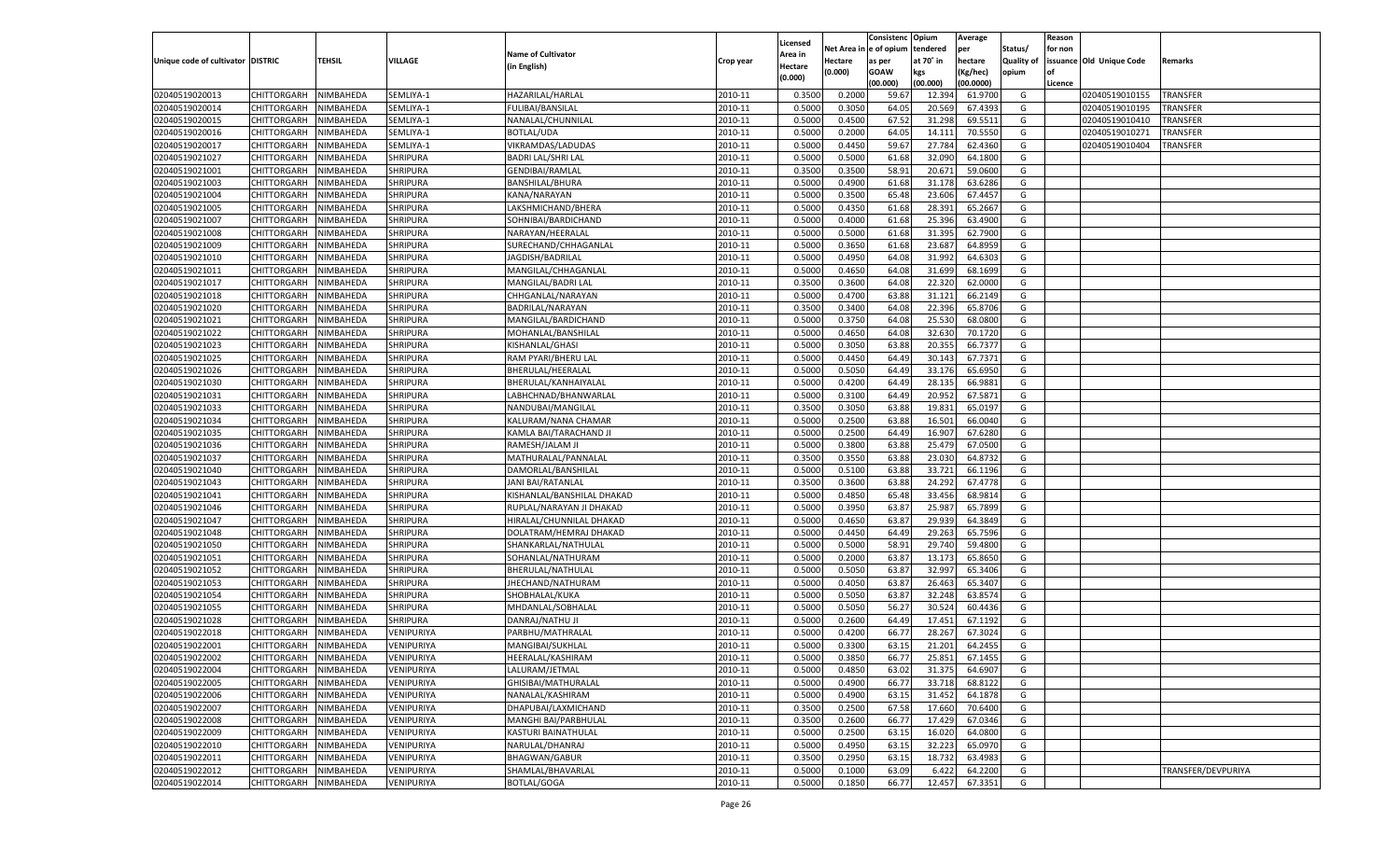|                                   |                       |           |                                    |                            |           |                           |         | Consistenc Opium       |           | Average   |                   | Reason  |                          |                    |
|-----------------------------------|-----------------------|-----------|------------------------------------|----------------------------|-----------|---------------------------|---------|------------------------|-----------|-----------|-------------------|---------|--------------------------|--------------------|
|                                   |                       |           |                                    | <b>Name of Cultivator</b>  |           | Licensed                  |         | Net Area in e of opium | tendered  | per       | Status/           | for non |                          |                    |
| Unique code of cultivator DISTRIC |                       | TEHSIL    | VILLAGE                            | (in English)               | Crop year | Area in<br><b>lectare</b> | Hectare | as per                 | at 70° in | hectare   | <b>Quality of</b> |         | issuance Old Unique Code | Remarks            |
|                                   |                       |           |                                    |                            |           | (0.000)                   | (0.000) | <b>GOAW</b>            | kgs       | Kg/hec)   | opium             |         |                          |                    |
|                                   |                       |           |                                    |                            |           |                           |         | (00.000)               | (00.000)  | (00.0000) |                   | Licence |                          |                    |
| 02040519020013                    | CHITTORGARH           | NIMBAHEDA | SEMLIYA-1                          | HAZARILAL/HARLAL           | 2010-11   | 0.3500                    | 0.2000  | 59.67                  | 12.394    | 61.9700   | G                 |         | 02040519010155           | <b>TRANSFER</b>    |
| 02040519020014                    | CHITTORGARH           | NIMBAHEDA | SEMLIYA-1                          | <b>FULIBAI/BANSILAL</b>    | 2010-11   | 0.5000                    | 0.3050  | 64.05                  | 20.56     | 67.439    | G                 |         | 02040519010195           | <b>TRANSFER</b>    |
| 02040519020015                    | CHITTORGARH           | NIMBAHEDA | SEMLIYA-1                          | NANALAL/CHUNNILAL          | 2010-11   | 0.5000                    | 0.4500  | 67.52                  | 31.298    | 69.5511   | G                 |         | 02040519010410           | <b>TRANSFER</b>    |
| 02040519020016                    | CHITTORGARH           | NIMBAHEDA | SEMLIYA-1                          | <b>BOTLAL/UDA</b>          | 2010-11   | 0.5000                    | 0.2000  | 64.05                  | 14.11     | 70.5550   | G                 |         | 02040519010271           | TRANSFER           |
| 02040519020017                    | CHITTORGARH           | NIMBAHEDA | SEMLIYA-1                          | VIKRAMDAS/LADUDAS          | 2010-11   | 0.5000                    | 0.4450  | 59.67                  | 27.784    | 62.4360   | G                 |         | 02040519010404           | <b>TRANSFER</b>    |
| 02040519021027                    | CHITTORGARH           | NIMBAHEDA | <b>SHRIPURA</b>                    | <b>BADRI LAL/SHRI LAL</b>  | 2010-11   | 0.5000                    | 0.5000  | 61.68                  | 32.090    | 64.1800   | G                 |         |                          |                    |
| 02040519021001                    | CHITTORGARH           | NIMBAHEDA | <b>SHRIPURA</b>                    | <b>GENDIBAI/RAMLAL</b>     | 2010-11   | 0.3500                    | 0.3500  | 58.91                  | 20.67     | 59.0600   | G                 |         |                          |                    |
| 02040519021003                    | CHITTORGARH           | NIMBAHEDA | <b>SHRIPURA</b>                    | <b>BANSHILAL/BHURA</b>     | 2010-11   | 0.5000                    | 0.4900  | 61.68                  | 31.178    | 63.6286   | G                 |         |                          |                    |
| 02040519021004                    | CHITTORGARH           | NIMBAHEDA | <b>SHRIPURA</b>                    | KANA/NARAYAN               | 2010-11   | 0.5000                    | 0.3500  | 65.48                  | 23.606    | 67.4457   | G                 |         |                          |                    |
| 02040519021005                    | CHITTORGARH           | NIMBAHEDA | <b>SHRIPURA</b>                    | LAKSHMICHAND/BHERA         | 2010-11   | 0.5000                    | 0.4350  | 61.68                  | 28.391    | 65.2667   | G                 |         |                          |                    |
| 02040519021007                    | CHITTORGARH           | NIMBAHEDA | <b>SHRIPURA</b>                    | SOHNIBAI/BARDICHAND        | 2010-11   | 0.5000                    | 0.4000  | 61.68                  | 25.396    | 63.4900   | G                 |         |                          |                    |
| 02040519021008                    | CHITTORGARH           | NIMBAHEDA | <b>SHRIPURA</b>                    | NARAYAN/HEERALAL           | 2010-11   | 0.5000                    | 0.5000  | 61.68                  | 31.395    | 62.7900   | G                 |         |                          |                    |
| 02040519021009                    | CHITTORGARH           | NIMBAHEDA | <b>SHRIPURA</b>                    | SURECHAND/CHHAGANLAL       | 2010-11   | 0.5000                    | 0.3650  | 61.68                  | 23.687    | 64.8959   | G                 |         |                          |                    |
| 02040519021010                    | CHITTORGARH           | NIMBAHEDA | <b>SHRIPURA</b>                    | JAGDISH/BADRILAL           | 2010-11   | 0.5000                    | 0.4950  | 64.08                  | 31.992    | 64.6303   | G                 |         |                          |                    |
| 02040519021011                    | CHITTORGARH           | NIMBAHEDA | <b>SHRIPURA</b>                    | MANGILAL/CHHAGANLAI        | 2010-11   | 0.5000                    | 0.4650  | 64.08                  | 31.699    | 68.1699   | G                 |         |                          |                    |
| 02040519021017                    | CHITTORGARH           | NIMBAHEDA | <b>SHRIPURA</b>                    | MANGILAL/BADRI LAL         | 2010-11   | 0.3500                    | 0.3600  | 64.08                  | 22.320    | 62.0000   | G                 |         |                          |                    |
| 02040519021018                    | CHITTORGARH           | NIMBAHEDA | <b>SHRIPURA</b>                    | CHHGANLAL/NARAYAN          | 2010-11   | 0.5000                    | 0.4700  | 63.88                  | 31.121    | 66.2149   | G                 |         |                          |                    |
| 02040519021020                    | CHITTORGARH           | NIMBAHEDA | <b>SHRIPURA</b>                    | BADRILAL/NARAYAN           | 2010-11   | 0.3500                    | 0.3400  | 64.08                  | 22.396    | 65.8706   | G                 |         |                          |                    |
| 02040519021021                    | CHITTORGARH           | NIMBAHEDA | <b>SHRIPURA</b>                    | MANGILAL/BARDICHAND        | 2010-11   | 0.5000                    | 0.3750  | 64.08                  | 25.530    | 68.0800   | G                 |         |                          |                    |
| 02040519021022                    | CHITTORGARH           | NIMBAHEDA | <b>SHRIPURA</b>                    | MOHANLAL/BANSHILAL         | 2010-11   | 0.5000                    | 0.4650  | 64.08                  | 32.630    | 70.1720   | G                 |         |                          |                    |
| 02040519021023                    | CHITTORGARH           | NIMBAHEDA | <b>SHRIPURA</b>                    | KISHANLAL/GHASI            | 2010-11   | 0.5000                    | 0.3050  | 63.88                  | 20.35     | 66.7377   | G                 |         |                          |                    |
| 02040519021025                    | CHITTORGARH           | NIMBAHEDA | <b>SHRIPURA</b>                    | RAM PYARI/BHERU LAL        | 2010-11   | 0.5000                    | 0.4450  | 64.49                  | 30.14     | 67.7371   | G                 |         |                          |                    |
| 02040519021026                    | CHITTORGARH           | NIMBAHEDA | <b>SHRIPURA</b>                    | BHERULAL/HEERALAL          | 2010-11   | 0.5000                    | 0.5050  | 64.49                  | 33.176    | 65.6950   | G                 |         |                          |                    |
| 02040519021030                    | CHITTORGARH           | NIMBAHEDA | <b>SHRIPURA</b>                    | BHERULAL/KANHAIYALAI       | 2010-11   | 0.5000                    | 0.4200  | 64.49                  | 28.13     | 66.9881   | G                 |         |                          |                    |
| 02040519021031                    | CHITTORGARH           | NIMBAHEDA | <b>SHRIPURA</b>                    | LABHCHNAD/BHANWARLAL       | 2010-11   | 0.5000                    | 0.3100  | 64.49                  | 20.952    | 67.5871   | G                 |         |                          |                    |
| 02040519021033                    | CHITTORGARH           | NIMBAHEDA | <b>SHRIPURA</b>                    | NANDUBAI/MANGILAL          | 2010-11   | 0.3500                    | 0.3050  | 63.88                  | 19.83     | 65.0197   | G                 |         |                          |                    |
| 02040519021034                    | CHITTORGARH           | NIMBAHEDA | <b>SHRIPURA</b>                    | KALURAM/NANA CHAMAR        | 2010-11   | 0.5000                    | 0.2500  | 63.88                  | 16.501    | 66.0040   | G                 |         |                          |                    |
| 02040519021035                    | CHITTORGARH           | NIMBAHEDA | <b>SHRIPURA</b>                    | KAMLA BAI/TARACHAND JI     | 2010-11   | 0.5000                    | 0.2500  | 64.49                  | 16.907    | 67.6280   | G                 |         |                          |                    |
| 02040519021036                    | CHITTORGARH           | NIMBAHEDA | <b>SHRIPURA</b>                    | RAMESH/JALAM JI            | 2010-11   | 0.5000                    | 0.3800  | 63.88                  | 25.479    | 67.0500   | G                 |         |                          |                    |
| 02040519021037                    |                       | NIMBAHEDA |                                    |                            | 2010-11   | 0.3500                    | 0.3550  | 63.88                  | 23.030    | 64.873    | G                 |         |                          |                    |
|                                   | CHITTORGARH           |           | <b>SHRIPURA</b><br><b>SHRIPURA</b> | MATHURALAL/PANNALAL        | 2010-11   |                           |         |                        |           |           |                   |         |                          |                    |
| 02040519021040                    | CHITTORGARH           | NIMBAHEDA |                                    | DAMORLAL/BANSHILAL         |           | 0.5000                    | 0.5100  | 63.88                  | 33.721    | 66.1196   | G                 |         |                          |                    |
| 02040519021043                    | CHITTORGARH           | NIMBAHEDA | <b>SHRIPURA</b>                    | JANI BAI/RATANLAL          | 2010-11   | 0.3500                    | 0.3600  | 63.88                  | 24.292    | 67.4778   | G                 |         |                          |                    |
| 02040519021041                    | CHITTORGARH           | NIMBAHEDA | <b>SHRIPURA</b>                    | KISHANLAL/BANSHILAL DHAKAD | 2010-11   | 0.5000                    | 0.4850  | 65.48                  | 33.456    | 68.9814   | G                 |         |                          |                    |
| 02040519021046                    | CHITTORGARH           | NIMBAHEDA | SHRIPURA                           | RUPLAL/NARAYAN JI DHAKAD   | 2010-11   | 0.5000                    | 0.3950  | 63.87                  | 25.987    | 65.7899   | G                 |         |                          |                    |
| 02040519021047                    | CHITTORGARH           | NIMBAHEDA | <b>SHRIPURA</b>                    | HIRALAL/CHUNNILAL DHAKAD   | 2010-11   | 0.5000                    | 0.4650  | 63.87                  | 29.939    | 64.3849   | G                 |         |                          |                    |
| 02040519021048                    | CHITTORGARH           | NIMBAHEDA | <b>SHRIPURA</b>                    | DOLATRAM/HEMRAJ DHAKAD     | 2010-11   | 0.5000                    | 0.4450  | 64.49                  | 29.263    | 65.7596   | G                 |         |                          |                    |
| 02040519021050                    | CHITTORGARH           | NIMBAHEDA | <b>SHRIPURA</b>                    | SHANKARLAL/NATHULAI        | 2010-11   | 0.5000                    | 0.5000  | 58.91                  | 29.740    | 59.480    | G                 |         |                          |                    |
| 02040519021051                    | CHITTORGARH           | NIMBAHEDA | SHRIPURA                           | SOHANLAL/NATHURAM          | 2010-11   | 0.5000                    | 0.2000  | 63.87                  | 13.17     | 65.8650   | G                 |         |                          |                    |
| 02040519021052                    | CHITTORGARH           | NIMBAHEDA | <b>SHRIPURA</b>                    | BHERULAL/NATHULAL          | 2010-11   | 0.5000                    | 0.5050  | 63.87                  | 32.997    | 65.3406   | G                 |         |                          |                    |
| 02040519021053                    | CHITTORGARH           | NIMBAHEDA | <b>SHRIPURA</b>                    | JHECHAND/NATHURAM          | 2010-11   | 0.5000                    | 0.4050  | 63.87                  | 26.463    | 65.3407   | G                 |         |                          |                    |
| 02040519021054                    | CHITTORGARH           | NIMBAHEDA | <b>SHRIPURA</b>                    | SHOBHALAL/KUKA             | 2010-11   | 0.5000                    | 0.5050  | 63.87                  | 32.248    | 63.857    | G                 |         |                          |                    |
| 02040519021055                    | CHITTORGARH           | NIMBAHEDA | <b>SHRIPURA</b>                    | MHDANLAL/SOBHALAL          | 2010-11   | 0.5000                    | 0.5050  | 56.27                  | 30.524    | 60.4436   | G                 |         |                          |                    |
| 02040519021028                    | CHITTORGARH           | NIMBAHEDA | <b>SHRIPURA</b>                    | DANRAJ/NATHU JI            | 2010-11   | 0.5000                    | 0.2600  | 64.49                  | 17.451    | 67.1192   | G                 |         |                          |                    |
| 02040519022018                    | CHITTORGARH           | NIMBAHEDA | VENIPURIYA                         | PARBHU/MATHRALAI           | 2010-11   | 0.5000                    | 0.4200  | 66.77                  | 28.26     | 67.3024   | G                 |         |                          |                    |
| 02040519022001                    | CHITTORGARH           | NIMBAHEDA | VENIPURIYA                         | MANGIBAI/SUKHLAL           | 2010-11   | 0.5000                    | 0.3300  | 63.15                  | 21.201    | 64.2455   | G                 |         |                          |                    |
| 02040519022002                    | CHITTORGARH NIMBAHEDA |           | <b>VENIPURIYA</b>                  | HEERALAL/KASHIRAM          | 2010-11   | 0.5000                    | 0.3850  | 66.77                  | 25.851    | 67.1455   | G                 |         |                          |                    |
| 02040519022004                    | CHITTORGARH           | NIMBAHEDA | VENIPURIYA                         | LALURAM/JETMAL             | 2010-11   | 0.5000                    | 0.4850  | 63.02                  | 31.375    | 64.6907   | G                 |         |                          |                    |
| 02040519022005                    | CHITTORGARH           | NIMBAHEDA | VENIPURIYA                         | GHISIBAI/MATHURALAL        | 2010-11   | 0.5000                    | 0.4900  | 66.77                  | 33.718    | 68.8122   | G                 |         |                          |                    |
| 02040519022006                    | CHITTORGARH           | NIMBAHEDA | <b>VENIPURIYA</b>                  | NANALAL/KASHIRAM           | 2010-11   | 0.5000                    | 0.4900  | 63.15                  | 31.452    | 64.1878   | G                 |         |                          |                    |
| 02040519022007                    | CHITTORGARH           | NIMBAHEDA | VENIPURIYA                         | DHAPUBAI/LAXMICHAND        | 2010-11   | 0.3500                    | 0.2500  | 67.58                  | 17.660    | 70.6400   | G                 |         |                          |                    |
| 02040519022008                    | CHITTORGARH           | NIMBAHEDA | VENIPURIYA                         | MANGHI BAI/PARBHULAL       | 2010-11   | 0.3500                    | 0.2600  | 66.77                  | 17.429    | 67.0346   | G                 |         |                          |                    |
| 02040519022009                    | CHITTORGARH           | NIMBAHEDA | VENIPURIYA                         | KASTURI BAINATHULAL        | 2010-11   | 0.5000                    | 0.2500  | 63.15                  | 16.020    | 64.0800   | G                 |         |                          |                    |
| 02040519022010                    | <b>CHITTORGARH</b>    | NIMBAHEDA | <b>VENIPURIYA</b>                  | NARULAL/DHANRAJ            | 2010-11   | 0.5000                    | 0.4950  | 63.15                  | 32.223    | 65.0970   | G                 |         |                          |                    |
| 02040519022011                    | CHITTORGARH           | NIMBAHEDA | <b>VENIPURIYA</b>                  | <b>BHAGWAN/GABUR</b>       | 2010-11   | 0.3500                    | 0.2950  | 63.15                  | 18.732    | 63.4983   | G                 |         |                          |                    |
| 02040519022012                    | CHITTORGARH           | NIMBAHEDA | VENIPURIYA                         | SHAMLAL/BHAVARLAL          | 2010-11   | 0.5000                    | 0.1000  | 63.09                  | 6.422     | 64.2200   | G                 |         |                          | TRANSFER/DEVPURIYA |
| 02040519022014                    | CHITTORGARH           | NIMBAHEDA | VENIPURIYA                         | BOTLAL/GOGA                | 2010-11   | 0.5000                    | 0.1850  | 66.77                  | 12.457    | 67.3351   | G                 |         |                          |                    |
|                                   |                       |           |                                    |                            |           |                           |         |                        |           |           |                   |         |                          |                    |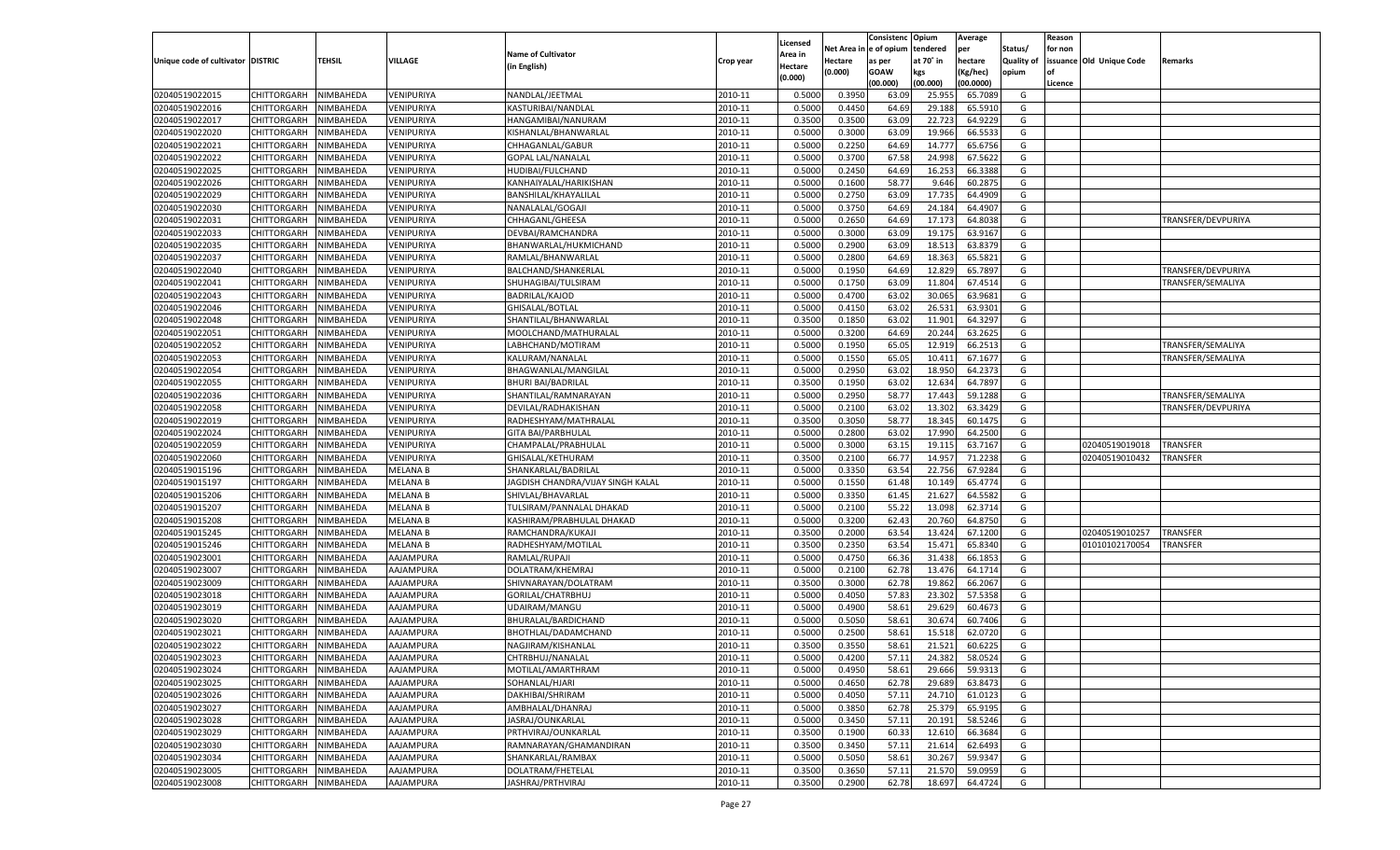|                                   |                       |               |                 |                                   |           |                     |            | Consistenc  | Opium     | Average   |                   | Reason  |                          |                    |
|-----------------------------------|-----------------------|---------------|-----------------|-----------------------------------|-----------|---------------------|------------|-------------|-----------|-----------|-------------------|---------|--------------------------|--------------------|
|                                   |                       |               |                 | <b>Name of Cultivator</b>         |           | Licensed<br>Area in | Net Area i | e of opium  | tendered  | per       | Status/           | for non |                          |                    |
| Unique code of cultivator DISTRIC |                       | <b>TEHSIL</b> | VILLAGE         | (in English)                      | Crop year | Hectare             | Hectare    | as per      | at 70° in | hectare   | <b>Quality of</b> |         | issuance Old Unique Code | Remarks            |
|                                   |                       |               |                 |                                   |           | (0.000)             | (0.000)    | <b>GOAW</b> | kgs       | (Kg/hec)  | opium             |         |                          |                    |
|                                   |                       |               |                 |                                   |           |                     |            | (00.000)    | (00.000)  | (00.0000) |                   | Licence |                          |                    |
| 02040519022015                    | CHITTORGARH           | NIMBAHEDA     | VENIPURIYA      | NANDLAL/JEETMAL                   | 2010-11   | 0.5000              | 0.3950     | 63.09       | 25.95     | 65.7089   | G                 |         |                          |                    |
| 02040519022016                    | CHITTORGARH           | NIMBAHEDA     | VENIPURIYA      | KASTURIBAI/NANDLAL                | 2010-11   | 0.5000              | 0.4450     | 64.69       | 29.188    | 65.5910   | G                 |         |                          |                    |
| 02040519022017                    | CHITTORGARH           | NIMBAHEDA     | VENIPURIYA      | HANGAMIBAI/NANURAM                | 2010-11   | 0.3500              | 0.3500     | 63.09       | 22.723    | 64.9229   | G                 |         |                          |                    |
| 02040519022020                    | CHITTORGARH           | NIMBAHEDA     | VENIPURIYA      | KISHANLAL/BHANWARLAL              | 2010-11   | 0.5000              | 0.3000     | 63.09       | 19.966    | 66.5533   | G                 |         |                          |                    |
| 02040519022021                    | CHITTORGARH           | NIMBAHEDA     | VENIPURIYA      | CHHAGANLAL/GABUR                  | 2010-11   | 0.5000              | 0.2250     | 64.69       | 14.777    | 65.6756   | G                 |         |                          |                    |
| 02040519022022                    | CHITTORGARH           | NIMBAHEDA     | VENIPURIYA      | <b>GOPAL LAL/NANALAL</b>          | 2010-11   | 0.5000              | 0.3700     | 67.58       | 24.998    | 67.5622   | G                 |         |                          |                    |
| 02040519022025                    | CHITTORGARH           | NIMBAHEDA     | VENIPURIYA      | HUDIBAI/FULCHAND                  | 2010-11   | 0.5000              | 0.2450     | 64.69       | 16.253    | 66.3388   | G                 |         |                          |                    |
| 02040519022026                    | CHITTORGARH           | NIMBAHEDA     | VENIPURIYA      | KANHAIYALAL/HARIKISHAN            | 2010-11   | 0.5000              | 0.1600     | 58.77       | 9.646     | 60.287    | G                 |         |                          |                    |
| 02040519022029                    | CHITTORGARH           | NIMBAHEDA     | VENIPURIYA      | BANSHILAL/KHAYALILAL              | 2010-11   | 0.5000              | 0.2750     | 63.09       | 17.735    | 64.4909   | G                 |         |                          |                    |
| 02040519022030                    | CHITTORGARH           | NIMBAHEDA     | VENIPURIYA      | NANALALAL/GOGAJI                  | 2010-11   | 0.5000              | 0.3750     | 64.69       | 24.184    | 64.490    | G                 |         |                          |                    |
| 02040519022031                    | CHITTORGARH           | NIMBAHEDA     | VENIPURIYA      | CHHAGANL/GHEESA                   | 2010-11   | 0.5000              | 0.2650     | 64.69       | 17.173    | 64.8038   | G                 |         |                          | TRANSFER/DEVPURIYA |
| 02040519022033                    | CHITTORGARH           | NIMBAHEDA     | VENIPURIYA      | DEVBAI/RAMCHANDRA                 | 2010-11   | 0.5000              | 0.3000     | 63.09       | 19.175    | 63.9167   | G                 |         |                          |                    |
| 02040519022035                    | CHITTORGARH           | NIMBAHEDA     | VENIPURIYA      | BHANWARLAL/HUKMICHAND             | 2010-11   | 0.5000              | 0.2900     | 63.09       | 18.513    | 63.8379   | G                 |         |                          |                    |
| 02040519022037                    | CHITTORGARH           | NIMBAHEDA     | VENIPURIYA      | RAMLAL/BHANWARLAL                 | 2010-11   | 0.5000              | 0.2800     | 64.69       | 18.363    | 65.5821   | G                 |         |                          |                    |
| 02040519022040                    | CHITTORGARH           | NIMBAHEDA     | VENIPURIYA      | BALCHAND/SHANKERLAI               | 2010-11   | 0.5000              | 0.1950     | 64.69       | 12.829    | 65.7897   | G                 |         |                          | TRANSFER/DEVPURIYA |
| 02040519022041                    | CHITTORGARH           | NIMBAHEDA     | VENIPURIYA      | SHUHAGIBAI/TULSIRAM               | 2010-11   | 0.5000              | 0.1750     | 63.09       | 11.804    | 67.4514   | G                 |         |                          | TRANSFER/SEMALIYA  |
| 02040519022043                    | CHITTORGARH           | NIMBAHEDA     | VENIPURIYA      | BADRILAL/KAJOD                    | 2010-11   | 0.5000              | 0.4700     | 63.02       | 30.065    | 63.9681   | G                 |         |                          |                    |
| 02040519022046                    | CHITTORGARH           | NIMBAHEDA     | VENIPURIYA      | GHISALAL/BOTLAL                   | 2010-11   | 0.5000              | 0.4150     | 63.02       | 26.53     | 63.9301   | G                 |         |                          |                    |
| 02040519022048                    | CHITTORGARH           | NIMBAHEDA     | VENIPURIYA      | SHANTILAL/BHANWARLAL              | 2010-11   | 0.3500              | 0.1850     | 63.02       | 11.901    | 64.3297   | G                 |         |                          |                    |
| 02040519022051                    | CHITTORGARH           | NIMBAHEDA     | VENIPURIYA      | MOOLCHAND/MATHURALAL              | 2010-11   | 0.5000              | 0.3200     | 64.69       | 20.244    | 63.2625   | G                 |         |                          |                    |
| 02040519022052                    | CHITTORGARH           | NIMBAHEDA     | VENIPURIYA      | LABHCHAND/MOTIRAM                 | 2010-11   | 0.5000              | 0.1950     | 65.05       | 12.919    | 66.2513   | G                 |         |                          | TRANSFER/SEMALIYA  |
| 02040519022053                    | CHITTORGARH           | NIMBAHEDA     | VENIPURIYA      | KALURAM/NANALAL                   | 2010-11   | 0.5000              | 0.1550     | 65.05       | 10.411    | 67.1677   | G                 |         |                          | TRANSFER/SEMALIYA  |
| 02040519022054                    | CHITTORGARH           | NIMBAHEDA     | VENIPURIYA      | BHAGWANLAL/MANGILAL               | 2010-11   | 0.5000              | 0.2950     | 63.02       | 18.950    | 64.2373   | G                 |         |                          |                    |
| 02040519022055                    | CHITTORGARH           | NIMBAHEDA     | VENIPURIYA      | <b>BHURI BAI/BADRILAI</b>         | 2010-11   | 0.3500              | 0.1950     | 63.02       | 12.634    | 64.7897   | G                 |         |                          |                    |
| 02040519022036                    | CHITTORGARH           | NIMBAHEDA     | VENIPURIYA      | SHANTILAL/RAMNARAYAN              | 2010-11   | 0.5000              | 0.2950     | 58.77       | 17.443    | 59.1288   | G                 |         |                          | TRANSFER/SEMALIYA  |
| 02040519022058                    | CHITTORGARH           | NIMBAHEDA     | VENIPURIYA      | DEVILAL/RADHAKISHAN               | 2010-11   | 0.5000              | 0.2100     | 63.02       | 13.302    | 63.3429   | G                 |         |                          | TRANSFER/DEVPURIYA |
| 02040519022019                    | CHITTORGARH           | NIMBAHEDA     | VENIPURIYA      | RADHESHYAM/MATHRALAL              | 2010-11   | 0.3500              | 0.3050     | 58.77       | 18.345    | 60.1475   | G                 |         |                          |                    |
| 02040519022024                    | CHITTORGARH           | NIMBAHEDA     | VENIPURIYA      | <b>GITA BAI/PARBHULAL</b>         | 2010-11   | 0.5000              | 0.2800     | 63.02       | 17.990    | 64.2500   | G                 |         |                          |                    |
| 02040519022059                    | CHITTORGARH           | NIMBAHEDA     | VENIPURIYA      | CHAMPALAL/PRABHULAL               | 2010-11   | 0.5000              | 0.3000     | 63.15       | 19.115    | 63.7167   | G                 |         | 02040519019018           | <b>TRANSFER</b>    |
| 02040519022060                    | CHITTORGARH           | NIMBAHEDA     | VENIPURIYA      | GHISALAL/KETHURAM                 | 2010-11   | 0.3500              | 0.2100     | 66.77       | 14.957    | 71.2238   | G                 |         | 02040519010432           | TRANSFER           |
| 02040519015196                    | CHITTORGARH           | NIMBAHEDA     | <b>MELANA B</b> | SHANKARLAL/BADRILAL               | 2010-11   | 0.5000              | 0.3350     | 63.54       | 22.756    | 67.9284   | G                 |         |                          |                    |
| 02040519015197                    | CHITTORGARH           | NIMBAHEDA     | <b>MELANA B</b> | JAGDISH CHANDRA/VIJAY SINGH KALAL | 2010-11   | 0.5000              | 0.1550     | 61.48       | 10.149    | 65.4774   | G                 |         |                          |                    |
| 02040519015206                    | CHITTORGARH           | NIMBAHEDA     | <b>MELANA B</b> | SHIVLAL/BHAVARLAL                 | 2010-11   | 0.5000              | 0.3350     | 61.45       | 21.627    | 64.5582   | G                 |         |                          |                    |
| 02040519015207                    | CHITTORGARH           | NIMBAHEDA     | <b>MELANA B</b> | TULSIRAM/PANNALAL DHAKAD          | 2010-11   | 0.5000              | 0.2100     | 55.22       | 13.098    | 62.3714   | G                 |         |                          |                    |
| 02040519015208                    | CHITTORGARH           | NIMBAHEDA     | <b>MELANA B</b> | KASHIRAM/PRABHULAL DHAKAD         | 2010-11   | 0.5000              | 0.3200     | 62.43       | 20.760    | 64.8750   | G                 |         |                          |                    |
| 02040519015245                    | CHITTORGARH           | NIMBAHEDA     | <b>MELANA B</b> | RAMCHANDRA/KUKAJ                  | 2010-11   | 0.3500              | 0.2000     | 63.54       | 13.424    | 67.1200   | G                 |         | 02040519010257           | <b>TRANSFER</b>    |
| 02040519015246                    | CHITTORGARH           | NIMBAHEDA     | <b>MELANA B</b> | RADHESHYAM/MOTILAL                | 2010-11   | 0.3500              | 0.2350     | 63.54       | 15.471    | 65.8340   | G                 |         | 01010102170054           | <b>TRANSFER</b>    |
| 02040519023001                    | CHITTORGARH           | NIMBAHEDA     | AAJAMPURA       | RAMLAL/RUPAJI                     | 2010-11   | 0.5000              | 0.4750     | 66.36       | 31.438    | 66.185    | G                 |         |                          |                    |
| 02040519023007                    | CHITTORGARH           | NIMBAHEDA     | AAJAMPURA       | DOLATRAM/KHEMRAJ                  | 2010-11   | 0.5000              | 0.2100     | 62.78       | 13.476    | 64.1714   | G                 |         |                          |                    |
| 02040519023009                    | CHITTORGARH           | NIMBAHEDA     | AAJAMPURA       | SHIVNARAYAN/DOLATRAM              | 2010-11   | 0.3500              | 0.3000     | 62.78       | 19.862    | 66.2067   | G                 |         |                          |                    |
| 02040519023018                    | CHITTORGARH           | NIMBAHEDA     | AAJAMPURA       | GORILAL/CHATRBHUJ                 | 2010-11   | 0.5000              | 0.4050     | 57.83       | 23.302    | 57.5358   | G                 |         |                          |                    |
| 02040519023019                    | CHITTORGARH           | NIMBAHEDA     | AAJAMPURA       | UDAIRAM/MANGU                     | 2010-11   | 0.5000              | 0.4900     | 58.61       | 29.629    | 60.4673   | G                 |         |                          |                    |
| 02040519023020                    | CHITTORGARH           | NIMBAHEDA     | AAJAMPURA       | BHURALAL/BARDICHAND               | 2010-11   | 0.5000              | 0.5050     | 58.61       | 30.674    | 60.7406   | G                 |         |                          |                    |
| 02040519023021                    | CHITTORGARH           | NIMBAHEDA     | AAJAMPURA       | BHOTHLAL/DADAMCHAND               | 2010-11   | 0.5000              | 0.2500     | 58.61       | 15.518    | 62.0720   | G                 |         |                          |                    |
| 02040519023022                    | CHITTORGARH           | NIMBAHEDA     | AAJAMPURA       | NAGJIRAM/KISHANLAL                | 2010-11   | 0.3500              | 0.3550     | 58.61       | 21.521    | 60.6225   | G                 |         |                          |                    |
| 02040519023023                    | CHITTORGARH NIMBAHEDA |               | AAJAMPURA       | CHTRBHUJ/NANALAL                  | 2010-11   | 0.5000              | 0.4200     | 57.11       | 24.382    | 58.0524   | G                 |         |                          |                    |
| 02040519023024                    | CHITTORGARH           | NIMBAHEDA     | AAJAMPURA       | MOTILAL/AMARTHRAM                 | 2010-11   | 0.5000              | 0.4950     | 58.61       | 29.666    | 59.9313   | G                 |         |                          |                    |
| 02040519023025                    | CHITTORGARH           | NIMBAHEDA     | AAJAMPURA       | SOHANLAL/HJARI                    | 2010-11   | 0.5000              | 0.4650     | 62.78       | 29.689    | 63.8473   | G                 |         |                          |                    |
| 02040519023026                    | <b>CHITTORGARH</b>    | NIMBAHEDA     | AAJAMPURA       | DAKHIBAI/SHRIRAM                  | 2010-11   | 0.5000              | 0.4050     | 57.11       | 24.710    | 61.0123   | G                 |         |                          |                    |
| 02040519023027                    | CHITTORGARH           | NIMBAHEDA     | AAJAMPURA       | AMBHALAL/DHANRAJ                  | 2010-11   | 0.5000              | 0.3850     | 62.78       | 25.379    | 65.9195   | G                 |         |                          |                    |
| 02040519023028                    | <b>CHITTORGARH</b>    | NIMBAHEDA     | AAJAMPURA       | JASRAJ/OUNKARLAL                  | 2010-11   | 0.5000              | 0.3450     | 57.11       | 20.191    | 58.5246   | G                 |         |                          |                    |
| 02040519023029                    | CHITTORGARH           | NIMBAHEDA     | AAJAMPURA       | PRTHVIRAJ/OUNKARLAL               | 2010-11   | 0.3500              | 0.1900     | 60.33       | 12.610    | 66.3684   | G                 |         |                          |                    |
| 02040519023030                    | <b>CHITTORGARH</b>    | NIMBAHEDA     | AAJAMPURA       | RAMNARAYAN/GHAMANDIRAN            | 2010-11   | 0.3500              | 0.3450     | 57.11       | 21.614    | 62.6493   | G                 |         |                          |                    |
| 02040519023034                    | CHITTORGARH           | NIMBAHEDA     | AAJAMPURA       | SHANKARLAL/RAMBAX                 | 2010-11   | 0.5000              | 0.5050     | 58.61       | 30.267    | 59.9347   | G                 |         |                          |                    |
| 02040519023005                    | CHITTORGARH           | NIMBAHEDA     | AAJAMPURA       | DOLATRAM/FHETELAL                 | 2010-11   | 0.3500              | 0.3650     | 57.11       | 21.570    | 59.0959   | G                 |         |                          |                    |
|                                   |                       |               |                 | JASHRAJ/PRTHVIRAJ                 |           |                     |            |             |           |           |                   |         |                          |                    |
| 02040519023008                    | CHITTORGARH           | NIMBAHEDA     | AAJAMPURA       |                                   | 2010-11   | 0.3500              | 0.2900     | 62.78       | 18.697    | 64.4724   | G                 |         |                          |                    |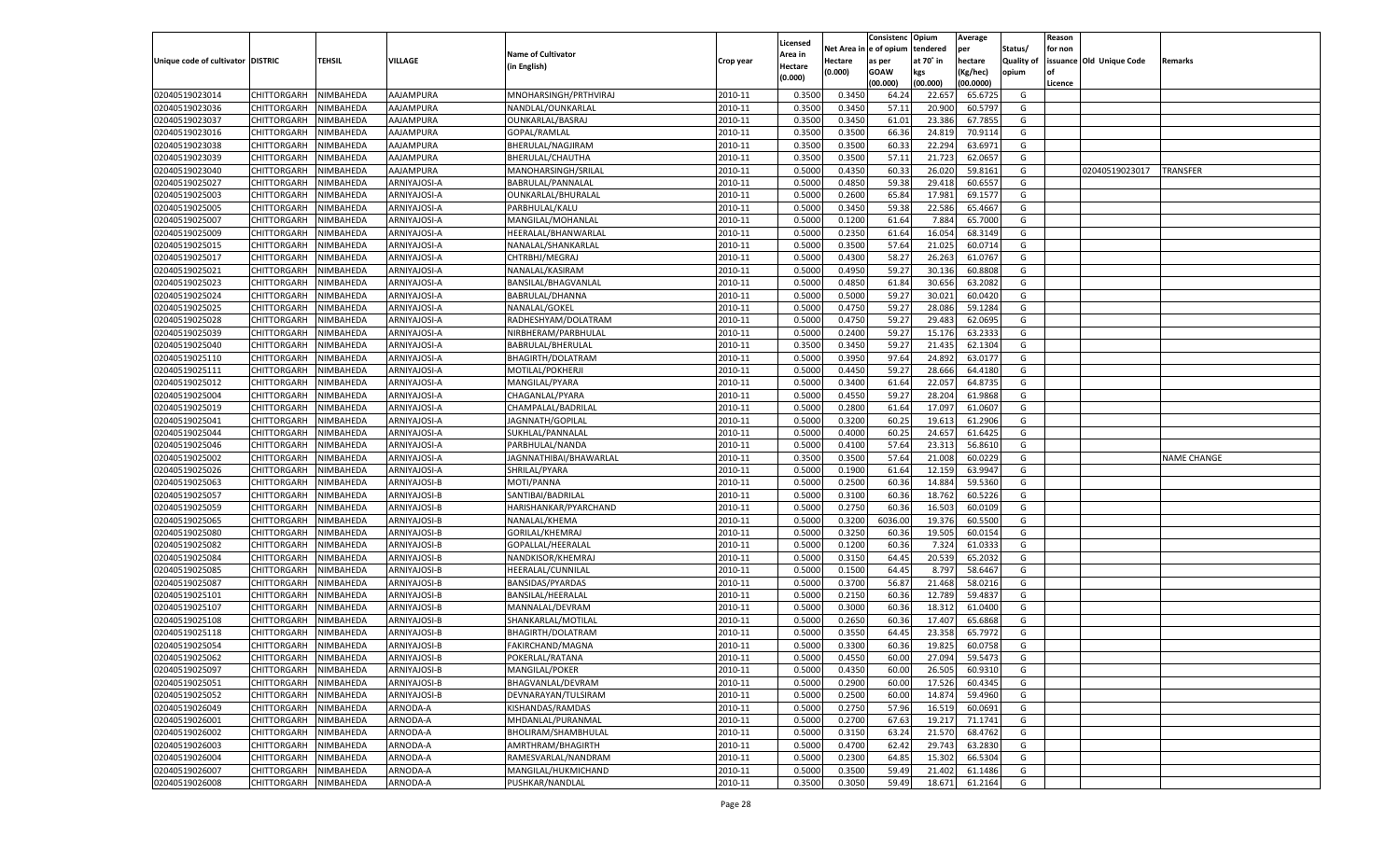|                                   |                       |               |              |                           |           |                           |          | Consistenc  | Opium     | Average   |                   | Reason  |                          |                    |
|-----------------------------------|-----------------------|---------------|--------------|---------------------------|-----------|---------------------------|----------|-------------|-----------|-----------|-------------------|---------|--------------------------|--------------------|
|                                   |                       |               |              | <b>Name of Cultivator</b> |           | Licensed                  | Net Area | e of opium  | tendered  | per       | Status/           | for non |                          |                    |
| Unique code of cultivator DISTRIC |                       | <b>TEHSIL</b> | VILLAGE      | (in English)              | Crop year | <b>Area in</b><br>Hectare | Hectare  | as per      | at 70° in | hectare   | <b>Quality of</b> |         | issuance Old Unique Code | Remarks            |
|                                   |                       |               |              |                           |           | (0.000)                   | (0.000)  | <b>GOAW</b> | kgs       | (Kg/hec)  | opium             |         |                          |                    |
|                                   |                       |               |              |                           |           |                           |          | (00.000)    | (00.000)  | (00.0000) |                   | Licence |                          |                    |
| 02040519023014                    | CHITTORGARH           | NIMBAHEDA     | AAJAMPURA    | MNOHARSINGH/PRTHVIRAJ     | 2010-11   | 0.3500                    | 0.3450   | 64.24       | 22.657    | 65.6725   | G                 |         |                          |                    |
| 02040519023036                    | CHITTORGARH           | NIMBAHEDA     | AAJAMPURA    | NANDLAL/OUNKARLAL         | 2010-11   | 0.3500                    | 0.3450   | 57.11       | 20.90     | 60.5797   | G                 |         |                          |                    |
| 02040519023037                    | CHITTORGARH           | NIMBAHEDA     | AAJAMPURA    | OUNKARLAL/BASRAJ          | 2010-11   | 0.3500                    | 0.3450   | 61.01       | 23.38     | 67.7855   | G                 |         |                          |                    |
| 02040519023016                    | CHITTORGARH           | NIMBAHEDA     | AAJAMPURA    | GOPAL/RAMLAL              | 2010-11   | 0.3500                    | 0.3500   | 66.36       | 24.81     | 70.9114   | G                 |         |                          |                    |
| 02040519023038                    | CHITTORGARH           | NIMBAHEDA     | AAJAMPURA    | BHERULAL/NAGJIRAM         | 2010-11   | 0.3500                    | 0.3500   | 60.3        | 22.294    | 63.6971   | G                 |         |                          |                    |
| 02040519023039                    | CHITTORGARH           | NIMBAHEDA     | AAJAMPURA    | BHERULAL/CHAUTHA          | 2010-11   | 0.3500                    | 0.3500   | 57.1        | 21.723    | 62.065    | G                 |         |                          |                    |
| 02040519023040                    | CHITTORGARH           | NIMBAHEDA     | AAJAMPURA    | MANOHARSINGH/SRILAL       | 2010-11   | 0.5000                    | 0.4350   | 60.33       | 26.02     | 59.8161   | G                 |         | 02040519023017           | TRANSFER           |
| 02040519025027                    | CHITTORGARH           | NIMBAHEDA     | ARNIYAJOSI-A | BABRULAL/PANNALAL         | 2010-11   | 0.5000                    | 0.4850   | 59.38       | 29.418    | 60.6557   | G                 |         |                          |                    |
| 02040519025003                    | CHITTORGARH           | NIMBAHEDA     | ARNIYAJOSI-A | OUNKARLAL/BHURALAL        | 2010-11   | 0.5000                    | 0.2600   | 65.84       | 17.981    | 69.1577   | G                 |         |                          |                    |
| 02040519025005                    | CHITTORGARH           | NIMBAHEDA     | ARNIYAJOSI-A | PARBHULAL/KALU            | 2010-11   | 0.5000                    | 0.3450   | 59.38       | 22.586    | 65.4667   | G                 |         |                          |                    |
| 02040519025007                    | CHITTORGARH           | NIMBAHEDA     | ARNIYAJOSI-A | MANGILAL/MOHANLAL         | 2010-11   | 0.5000                    | 0.1200   | 61.64       | 7.884     | 65.7000   | G                 |         |                          |                    |
| 02040519025009                    | CHITTORGARH           | NIMBAHEDA     | ARNIYAJOSI-A | HEERALAL/BHANWARLAL       | 2010-11   | 0.5000                    | 0.2350   | 61.64       | 16.054    | 68.3149   | G                 |         |                          |                    |
| 02040519025015                    | CHITTORGARH           | NIMBAHEDA     | ARNIYAJOSI-A | NANALAL/SHANKARLAL        | 2010-11   | 0.5000                    | 0.3500   | 57.64       | 21.025    | 60.0714   | G                 |         |                          |                    |
| 02040519025017                    | CHITTORGARH           | NIMBAHEDA     | ARNIYAJOSI-A | CHTRBHJ/MEGRAJ            | 2010-11   | 0.5000                    | 0.4300   | 58.27       | 26.263    | 61.0767   | G                 |         |                          |                    |
| 02040519025021                    | CHITTORGARH           | NIMBAHEDA     | ARNIYAJOSI-A | NANALAL/KASIRAM           | 2010-11   | 0.5000                    | 0.4950   | 59.27       | 30.136    | 60.8808   | G                 |         |                          |                    |
| 02040519025023                    | CHITTORGARH           | NIMBAHEDA     | ARNIYAJOSI-A | BANSILAL/BHAGVANLAL       | 2010-11   | 0.5000                    | 0.4850   | 61.84       | 30.656    | 63.2082   | G                 |         |                          |                    |
| 02040519025024                    | CHITTORGARH           | NIMBAHEDA     | ARNIYAJOSI-A | BABRULAL/DHANNA           | 2010-11   | 0.5000                    | 0.5000   | 59.27       | 30.021    | 60.0420   | G                 |         |                          |                    |
| 02040519025025                    | CHITTORGARH           | NIMBAHEDA     | ARNIYAJOSI-A | NANALAL/GOKEL             | 2010-11   | 0.5000                    | 0.4750   | 59.27       | 28.086    | 59.1284   | G                 |         |                          |                    |
| 02040519025028                    | CHITTORGARH           | NIMBAHEDA     | ARNIYAJOSI-A | RADHESHYAM/DOLATRAM       | 2010-11   | 0.5000                    | 0.4750   | 59.27       | 29.483    | 62.0695   | G                 |         |                          |                    |
| 02040519025039                    | CHITTORGARH           | NIMBAHEDA     | ARNIYAJOSI-A | NIRBHERAM/PARBHULAL       | 2010-11   | 0.5000                    | 0.2400   | 59.27       | 15.176    | 63.2333   | G                 |         |                          |                    |
| 02040519025040                    | CHITTORGARH           | NIMBAHEDA     | ARNIYAJOSI-A | BABRULAL/BHERULAL         | 2010-11   | 0.3500                    | 0.3450   | 59.27       | 21.435    | 62.1304   | G                 |         |                          |                    |
| 02040519025110                    | CHITTORGARH           | NIMBAHEDA     | ARNIYAJOSI-A | BHAGIRTH/DOLATRAM         | 2010-11   | 0.5000                    | 0.3950   | 97.64       | 24.892    | 63.0177   | G                 |         |                          |                    |
| 02040519025111                    | CHITTORGARH           | NIMBAHEDA     | ARNIYAJOSI-A | MOTILAL/POKHERJI          | 2010-11   | 0.5000                    | 0.4450   | 59.27       | 28.666    | 64.4180   | G                 |         |                          |                    |
| 02040519025012                    | CHITTORGARH           | NIMBAHEDA     | ARNIYAJOSI-A | MANGILAL/PYARA            | 2010-11   | 0.5000                    | 0.3400   | 61.64       | 22.057    | 64.8735   | G                 |         |                          |                    |
| 02040519025004                    | CHITTORGARH           | NIMBAHEDA     | ARNIYAJOSI-A | CHAGANLAL/PYARA           | 2010-11   | 0.5000                    | 0.4550   | 59.27       | 28.204    | 61.9868   | G                 |         |                          |                    |
| 02040519025019                    | CHITTORGARH           | NIMBAHEDA     | ARNIYAJOSI-A | CHAMPALAL/BADRILAL        | 2010-11   | 0.5000                    | 0.2800   | 61.64       | 17.097    | 61.0607   | G                 |         |                          |                    |
| 02040519025041                    | CHITTORGARH           | NIMBAHEDA     | ARNIYAJOSI-A | JAGNNATH/GOPILAL          | 2010-11   | 0.5000                    | 0.3200   | 60.25       | 19.613    | 61.2906   | G                 |         |                          |                    |
| 02040519025044                    | CHITTORGARH           | NIMBAHEDA     | ARNIYAJOSI-A | SUKHLAL/PANNALAL          | 2010-11   | 0.5000                    | 0.4000   | 60.25       | 24.657    | 61.6425   | G                 |         |                          |                    |
| 02040519025046                    | CHITTORGARH           | NIMBAHEDA     | ARNIYAJOSI-A | PARBHULAL/NANDA           | 2010-11   | 0.5000                    | 0.4100   | 57.64       | 23.313    | 56.8610   | G                 |         |                          |                    |
| 02040519025002                    | CHITTORGARH           | NIMBAHEDA     | ARNIYAJOSI-A | JAGNNATHIBAI/BHAWARLAL    | 2010-11   | 0.3500                    | 0.3500   | 57.64       | 21.008    | 60.0229   | G                 |         |                          | <b>NAME CHANGE</b> |
| 02040519025026                    | CHITTORGARH           | NIMBAHEDA     | ARNIYAJOSI-A | SHRILAL/PYARA             | 2010-11   | 0.5000                    | 0.1900   | 61.64       | 12.15     | 63.9947   | G                 |         |                          |                    |
| 02040519025063                    | CHITTORGARH           | NIMBAHEDA     | ARNIYAJOSI-B | MOTI/PANNA                | 2010-11   | 0.5000                    | 0.2500   | 60.36       | 14.884    | 59.5360   | G                 |         |                          |                    |
| 02040519025057                    | CHITTORGARH           | NIMBAHEDA     | ARNIYAJOSI-B | SANTIBAI/BADRILAL         | 2010-11   | 0.5000                    | 0.3100   | 60.36       | 18.762    | 60.5226   | G                 |         |                          |                    |
| 02040519025059                    | CHITTORGARH           | NIMBAHEDA     | ARNIYAJOSI-B | HARISHANKAR/PYARCHAND     | 2010-11   | 0.5000                    | 0.2750   | 60.3        | 16.503    | 60.0109   | G                 |         |                          |                    |
| 02040519025065                    | CHITTORGARH           | NIMBAHEDA     | ARNIYAJOSI-B | NANALAL/KHEMA             | 2010-11   | 0.5000                    | 0.3200   | 6036.00     | 19.376    | 60.5500   | G                 |         |                          |                    |
| 02040519025080                    | CHITTORGARH           | NIMBAHEDA     | ARNIYAJOSI-B | GORILAL/KHEMRAJ           | 2010-11   | 0.5000                    | 0.3250   | 60.36       | 19.505    | 60.0154   | G                 |         |                          |                    |
| 02040519025082                    | CHITTORGARH           | NIMBAHEDA     | ARNIYAJOSI-B | GOPALLAL/HEERALAI         | 2010-11   | 0.5000                    | 0.1200   | 60.36       | 7.324     | 61.0333   | G                 |         |                          |                    |
| 02040519025084                    | CHITTORGARH           | NIMBAHEDA     | ARNIYAJOSI-B | NANDKISOR/KHEMRAJ         | 2010-11   | 0.5000                    | 0.3150   | 64.45       | 20.539    | 65.2032   | G                 |         |                          |                    |
| 02040519025085                    | CHITTORGARH           | NIMBAHEDA     | ARNIYAJOSI-B | HEERALAL/CUNNILAL         | 2010-11   | 0.5000                    | 0.1500   | 64.45       | 8.797     | 58.6467   | G                 |         |                          |                    |
| 02040519025087                    | CHITTORGARH           | NIMBAHEDA     | ARNIYAJOSI-B | <b>BANSIDAS/PYARDAS</b>   | 2010-11   | 0.5000                    | 0.3700   | 56.87       | 21.468    | 58.0216   | G                 |         |                          |                    |
| 02040519025101                    | CHITTORGARH           | NIMBAHEDA     | ARNIYAJOSI-B | BANSILAL/HEERALAL         | 2010-11   | 0.5000                    | 0.2150   | 60.36       | 12.789    | 59.483    | G                 |         |                          |                    |
| 02040519025107                    | CHITTORGARH           | NIMBAHEDA     | ARNIYAJOSI-B | MANNALAL/DEVRAM           | 2010-11   | 0.5000                    | 0.3000   | 60.36       | 18.31     | 61.0400   | G                 |         |                          |                    |
| 02040519025108                    | CHITTORGARH           | NIMBAHEDA     | ARNIYAJOSI-B | SHANKARLAL/MOTILAI        | 2010-11   | 0.5000                    | 0.2650   | 60.3        | 17.407    | 65.6868   | G                 |         |                          |                    |
| 02040519025118                    | CHITTORGARH           | NIMBAHEDA     | ARNIYAJOSI-B | BHAGIRTH/DOLATRAM         | 2010-11   | 0.5000                    | 0.3550   | 64.4        | 23.35     | 65.797    | G                 |         |                          |                    |
| 02040519025054                    | CHITTORGARH           | NIMBAHEDA     | ARNIYAJOSI-B | FAKIRCHAND/MAGNA          | 2010-11   | 0.5000                    | 0.3300   | 60.36       | 19.825    | 60.0758   | G                 |         |                          |                    |
| 02040519025062                    | CHITTORGARH NIMBAHEDA |               | ARNIYAJOSI-B | POKERLAL/RATANA           | 2010-11   | 0.5000                    | 0.4550   | 60.00       | 27.094    | 59.5473   | G                 |         |                          |                    |
| 02040519025097                    | <b>CHITTORGARH</b>    | NIMBAHEDA     | ARNIYAJOSI-B | MANGILAL/POKER            | 2010-11   | 0.5000                    | 0.4350   | 60.00       | 26.505    | 60.9310   | G                 |         |                          |                    |
| 02040519025051                    | <b>CHITTORGARH</b>    | NIMBAHEDA     | ARNIYAJOSI-B | BHAGVANLAL/DEVRAM         | 2010-11   | 0.5000                    | 0.2900   | 60.00       | 17.526    | 60.4345   | G                 |         |                          |                    |
| 02040519025052                    | <b>CHITTORGARH</b>    | NIMBAHEDA     | ARNIYAJOSI-B | DEVNARAYAN/TULSIRAM       | 2010-11   | 0.5000                    | 0.2500   | 60.00       | 14.874    | 59.4960   | G                 |         |                          |                    |
| 02040519026049                    | <b>CHITTORGARH</b>    | NIMBAHEDA     | ARNODA-A     | KISHANDAS/RAMDAS          | 2010-11   | 0.5000                    | 0.2750   | 57.96       | 16.519    | 60.0691   | G                 |         |                          |                    |
| 02040519026001                    | <b>CHITTORGARH</b>    | NIMBAHEDA     | ARNODA-A     | MHDANLAL/PURANMAL         | 2010-11   | 0.5000                    | 0.2700   | 67.63       | 19.217    | 71.1741   | G                 |         |                          |                    |
| 02040519026002                    | <b>CHITTORGARH</b>    | NIMBAHEDA     | ARNODA-A     | BHOLIRAM/SHAMBHULAL       | 2010-11   | 0.5000                    | 0.3150   | 63.24       | 21.570    | 68.4762   | G                 |         |                          |                    |
| 02040519026003                    | <b>CHITTORGARH</b>    | NIMBAHEDA     | ARNODA-A     | AMRTHRAM/BHAGIRTH         | 2010-11   | 0.5000                    | 0.4700   | 62.42       | 29.743    | 63.2830   | G                 |         |                          |                    |
| 02040519026004                    | <b>CHITTORGARH</b>    | NIMBAHEDA     | ARNODA-A     | RAMESVARLAL/NANDRAM       | 2010-11   | 0.5000                    | 0.2300   | 64.85       | 15.302    | 66.5304   | G                 |         |                          |                    |
| 02040519026007                    | <b>CHITTORGARH</b>    | NIMBAHEDA     | ARNODA-A     | MANGILAL/HUKMICHAND       | 2010-11   | 0.5000                    | 0.3500   | 59.49       | 21.402    | 61.1486   | G                 |         |                          |                    |
| 02040519026008                    | <b>CHITTORGARH</b>    | NIMBAHEDA     | ARNODA-A     | PUSHKAR/NANDLAL           | 2010-11   | 0.3500                    | 0.3050   | 59.49       | 18.671    | 61.2164   | G                 |         |                          |                    |
|                                   |                       |               |              |                           |           |                           |          |             |           |           |                   |         |                          |                    |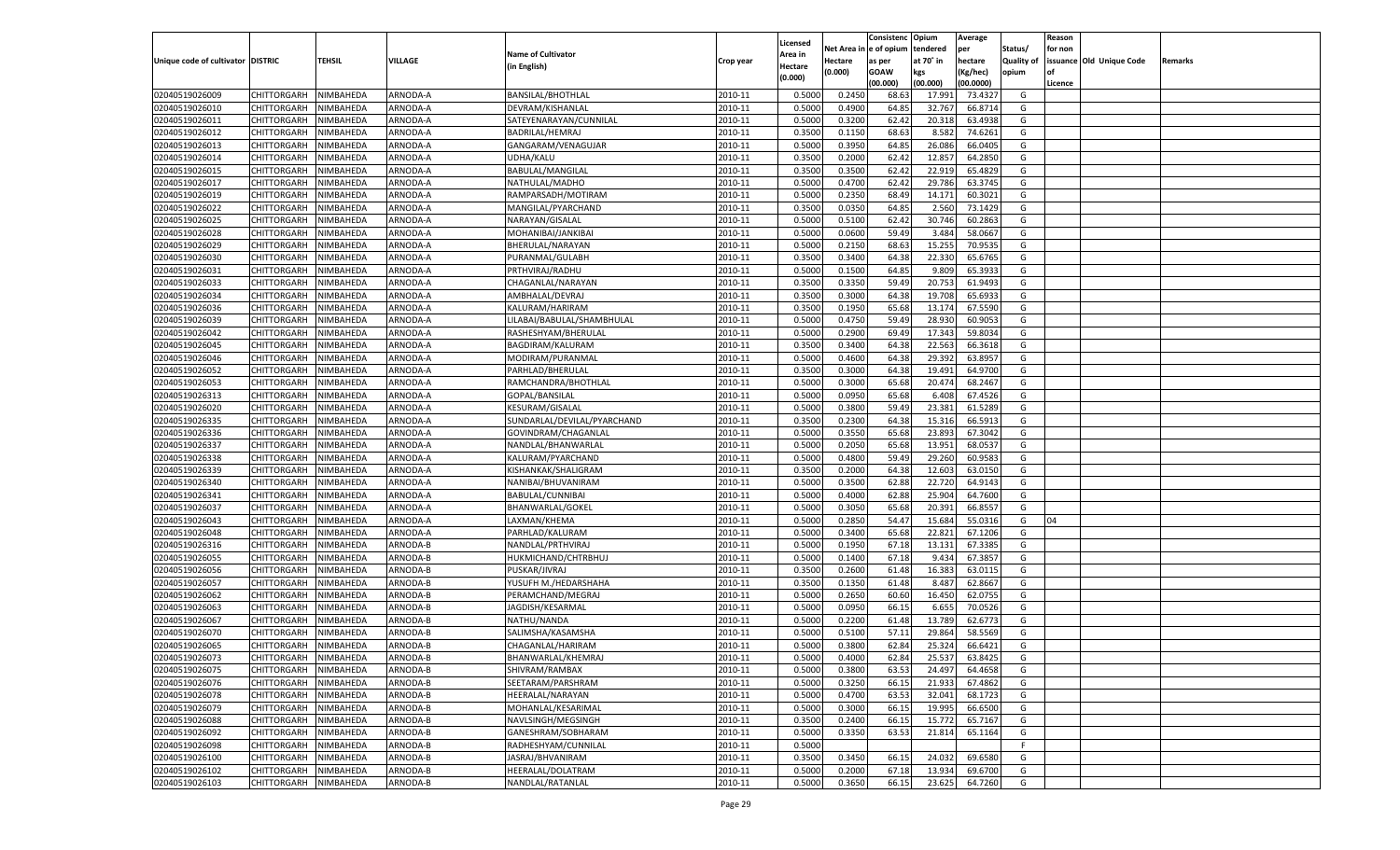|                                   |                       |               |          |                             |           |                           |          | Consistenc  | Opium     | Average   |                   | Reason  |                          |         |
|-----------------------------------|-----------------------|---------------|----------|-----------------------------|-----------|---------------------------|----------|-------------|-----------|-----------|-------------------|---------|--------------------------|---------|
|                                   |                       |               |          | <b>Name of Cultivator</b>   |           | Licensed                  | Net Area | e of opium  | tendered  | per       | Status/           | for non |                          |         |
| Unique code of cultivator DISTRIC |                       | <b>TEHSIL</b> | VILLAGE  | (in English)                | Crop year | <b>Area in</b><br>Hectare | Hectare  | as per      | at 70° in | hectare   | <b>Quality of</b> |         | issuance Old Unique Code | Remarks |
|                                   |                       |               |          |                             |           | (0.000)                   | (0.000)  | <b>GOAW</b> | kgs       | (Kg/hec)  | opium             |         |                          |         |
|                                   |                       |               |          |                             |           |                           |          | (00.000)    | (00.000)  | (00.0000) |                   | Licence |                          |         |
| 02040519026009                    | CHITTORGARH           | NIMBAHEDA     | ARNODA-A | <b>BANSILAL/BHOTHLAL</b>    | 2010-11   | 0.5000                    | 0.2450   | 68.63       | 17.991    | 73.4327   | G                 |         |                          |         |
| 02040519026010                    | CHITTORGARH           | NIMBAHEDA     | ARNODA-A | DEVRAM/KISHANLAL            | 2010-11   | 0.5000                    | 0.4900   | 64.85       | 32.767    | 66.8714   | G                 |         |                          |         |
| 02040519026011                    | CHITTORGARH           | NIMBAHEDA     | ARNODA-A | SATEYENARAYAN/CUNNILAL      | 2010-11   | 0.5000                    | 0.3200   | 62.42       | 20.318    | 63.4938   | G                 |         |                          |         |
| 02040519026012                    | CHITTORGARH           | NIMBAHEDA     | ARNODA-A | BADRILAL/HEMRAJ             | 2010-11   | 0.3500                    | 0.1150   | 68.63       | 8.582     | 74.6261   | G                 |         |                          |         |
| 02040519026013                    | CHITTORGARH           | NIMBAHEDA     | ARNODA-A | GANGARAM/VENAGUJAR          | 2010-11   | 0.5000                    | 0.3950   | 64.85       | 26.086    | 66.0405   | G                 |         |                          |         |
| 02040519026014                    | CHITTORGARH           | NIMBAHEDA     | ARNODA-A | UDHA/KALU                   | 2010-11   | 0.3500                    | 0.2000   | 62.4        | 12.857    | 64.2850   | G                 |         |                          |         |
| 02040519026015                    | CHITTORGARH           | NIMBAHEDA     | ARNODA-A | BABULAL/MANGILAI            | 2010-11   | 0.3500                    | 0.3500   | 62.4        | 22.919    | 65.4829   | G                 |         |                          |         |
| 02040519026017                    | CHITTORGARH           | NIMBAHEDA     | ARNODA-A | NATHULAL/MADHO              | 2010-11   | 0.5000                    | 0.4700   | 62.4        | 29.786    | 63.3745   | G                 |         |                          |         |
| 02040519026019                    | CHITTORGARH           | NIMBAHEDA     | ARNODA-A | RAMPARSADH/MOTIRAM          | 2010-11   | 0.5000                    | 0.2350   | 68.49       | 14.171    | 60.3021   | G                 |         |                          |         |
| 02040519026022                    | CHITTORGARH           | NIMBAHEDA     | ARNODA-A | MANGILAL/PYARCHAND          | 2010-11   | 0.3500                    | 0.0350   | 64.85       | 2.560     | 73.1429   | G                 |         |                          |         |
| 02040519026025                    | CHITTORGARH           | NIMBAHEDA     | ARNODA-A | NARAYAN/GISALAL             | 2010-11   | 0.5000                    | 0.5100   | 62.42       | 30.746    | 60.2863   | G                 |         |                          |         |
| 02040519026028                    | CHITTORGARH           | NIMBAHEDA     | ARNODA-A | MOHANIBAI/JANKIBAI          | 2010-11   | 0.5000                    | 0.0600   | 59.49       | 3.484     | 58.0667   | G                 |         |                          |         |
| 02040519026029                    | CHITTORGARH           | NIMBAHEDA     | ARNODA-A | BHERULAL/NARAYAN            | 2010-11   | 0.5000                    | 0.2150   | 68.63       | 15.255    | 70.9535   | G                 |         |                          |         |
| 02040519026030                    | CHITTORGARH           | NIMBAHEDA     | ARNODA-A | PURANMAL/GULABH             | 2010-11   | 0.3500                    | 0.3400   | 64.38       | 22.330    | 65.6765   | G                 |         |                          |         |
| 02040519026031                    | CHITTORGARH           | NIMBAHEDA     | ARNODA-A | PRTHVIRAJ/RADHU             | 2010-11   | 0.5000                    | 0.1500   | 64.85       | 9.809     | 65.3933   | G                 |         |                          |         |
| 02040519026033                    | CHITTORGARH           | NIMBAHEDA     | ARNODA-A | CHAGANLAL/NARAYAN           | 2010-11   | 0.3500                    | 0.3350   | 59.49       | 20.753    | 61.9493   | G                 |         |                          |         |
| 02040519026034                    | CHITTORGARH           | NIMBAHEDA     | ARNODA-A | AMBHALAL/DEVRAJ             | 2010-11   | 0.3500                    | 0.3000   | 64.38       | 19.708    | 65.693    | G                 |         |                          |         |
| 02040519026036                    | CHITTORGARH           | NIMBAHEDA     | ARNODA-A | KALURAM/HARIRAM             | 2010-11   | 0.3500                    | 0.1950   | 65.68       | 13.174    | 67.5590   | G                 |         |                          |         |
| 02040519026039                    | CHITTORGARH           | NIMBAHEDA     | ARNODA-A | LILABAI/BABULAL/SHAMBHULAL  | 2010-11   | 0.5000                    | 0.4750   | 59.49       | 28.930    | 60.9053   | G                 |         |                          |         |
| 02040519026042                    | CHITTORGARH           | NIMBAHEDA     | ARNODA-A | RASHESHYAM/BHERULAL         | 2010-11   | 0.5000                    | 0.2900   | 69.49       | 17.343    | 59.8034   | G                 |         |                          |         |
| 02040519026045                    | CHITTORGARH           | NIMBAHEDA     | ARNODA-A | BAGDIRAM/KALURAM            | 2010-11   | 0.3500                    | 0.3400   | 64.38       | 22.563    | 66.3618   | G                 |         |                          |         |
| 02040519026046                    |                       |               | ARNODA-A | MODIRAM/PURANMAL            | 2010-11   |                           | 0.4600   | 64.38       | 29.392    | 63.895    | G                 |         |                          |         |
|                                   | CHITTORGARH           | NIMBAHEDA     | ARNODA-A |                             | 2010-11   | 0.5000                    |          |             |           | 64.9700   |                   |         |                          |         |
| 02040519026052                    | CHITTORGARH           | NIMBAHEDA     |          | PARHLAD/BHERULAL            |           | 0.3500                    | 0.3000   | 64.38       | 19.491    |           | G                 |         |                          |         |
| 02040519026053                    | CHITTORGARH           | NIMBAHEDA     | ARNODA-A | RAMCHANDRA/BHOTHLAL         | 2010-11   | 0.5000                    | 0.3000   | 65.68       | 20.474    | 68.2467   | G                 |         |                          |         |
| 02040519026313                    | CHITTORGARH           | NIMBAHEDA     | ARNODA-A | GOPAL/BANSILAL              | 2010-11   | 0.5000                    | 0.0950   | 65.68       | 6.408     | 67.4526   | G                 |         |                          |         |
| 02040519026020                    | CHITTORGARH           | NIMBAHEDA     | ARNODA-A | <b>KESURAM/GISALAL</b>      | 2010-11   | 0.5000                    | 0.3800   | 59.49       | 23.381    | 61.5289   | G                 |         |                          |         |
| 02040519026335                    | CHITTORGARH           | NIMBAHEDA     | ARNODA-A | SUNDARLAL/DEVILAL/PYARCHAND | 2010-11   | 0.3500                    | 0.2300   | 64.38       | 15.316    | 66.591    | G                 |         |                          |         |
| 02040519026336                    | CHITTORGARH           | NIMBAHEDA     | ARNODA-A | GOVINDRAM/CHAGANLAL         | 2010-11   | 0.5000                    | 0.3550   | 65.68       | 23.893    | 67.3042   | G                 |         |                          |         |
| 02040519026337                    | CHITTORGARH           | NIMBAHEDA     | ARNODA-A | NANDLAL/BHANWARLAI          | 2010-11   | 0.5000                    | 0.2050   | 65.68       | 13.951    | 68.0537   | G                 |         |                          |         |
| 02040519026338                    | CHITTORGARH           | NIMBAHEDA     | ARNODA-A | KALURAM/PYARCHAND           | 2010-11   | 0.5000                    | 0.4800   | 59.49       | 29.260    | 60.9583   | G                 |         |                          |         |
| 02040519026339                    | CHITTORGARH           | NIMBAHEDA     | ARNODA-A | KISHANKAK/SHALIGRAM         | 2010-11   | 0.3500                    | 0.2000   | 64.38       | 12.603    | 63.0150   | G                 |         |                          |         |
| 02040519026340                    | CHITTORGARH           | NIMBAHEDA     | ARNODA-A | NANIBAI/BHUVANIRAM          | 2010-11   | 0.5000                    | 0.3500   | 62.88       | 22.720    | 64.9143   | G                 |         |                          |         |
| 02040519026341                    | CHITTORGARH           | NIMBAHEDA     | ARNODA-A | BABULAL/CUNNIBAI            | 2010-11   | 0.5000                    | 0.4000   | 62.88       | 25.904    | 64.7600   | G                 |         |                          |         |
| 02040519026037                    | CHITTORGARH           | NIMBAHEDA     | ARNODA-A | BHANWARLAL/GOKEI            | 2010-11   | 0.5000                    | 0.3050   | 65.68       | 20.39     | 66.855    | G                 |         |                          |         |
| 02040519026043                    | CHITTORGARH           | NIMBAHEDA     | ARNODA-A | LAXMAN/KHEMA                | 2010-11   | 0.5000                    | 0.2850   | 54.4        | 15.684    | 55.0316   | G                 | 04      |                          |         |
| 02040519026048                    | CHITTORGARH           | NIMBAHEDA     | ARNODA-A | PARHLAD/KALURAM             | 2010-11   | 0.5000                    | 0.3400   | 65.68       | 22.821    | 67.1206   | G                 |         |                          |         |
| 02040519026316                    | CHITTORGARH           | NIMBAHEDA     | ARNODA-B | NANDLAL/PRTHVIRAJ           | 2010-11   | 0.5000                    | 0.1950   | 67.18       | 13.131    | 67.3385   | G                 |         |                          |         |
| 02040519026055                    | CHITTORGARH           | NIMBAHEDA     | ARNODA-B | HUKMICHAND/CHTRBHUJ         | 2010-11   | 0.5000                    | 0.1400   | 67.18       | 9.434     | 67.385    | G                 |         |                          |         |
| 02040519026056                    | CHITTORGARH           | NIMBAHEDA     | ARNODA-B | PUSKAR/JIVRAJ               | 2010-11   | 0.3500                    | 0.2600   | 61.48       | 16.383    | 63.0115   | G                 |         |                          |         |
| 02040519026057                    | CHITTORGARH           | NIMBAHEDA     | ARNODA-B | YUSUFH M./HEDARSHAHA        | 2010-11   | 0.3500                    | 0.1350   | 61.48       | 8.487     | 62.8667   | G                 |         |                          |         |
| 02040519026062                    | CHITTORGARH           | NIMBAHEDA     | ARNODA-B | PERAMCHAND/MEGRAJ           | 2010-11   | 0.5000                    | 0.2650   | 60.60       | 16.450    | 62.0755   | G                 |         |                          |         |
| 02040519026063                    | CHITTORGARH           | NIMBAHEDA     | ARNODA-B | JAGDISH/KESARMAL            | 2010-11   | 0.5000                    | 0.0950   | 66.15       | 6.655     | 70.0526   | G                 |         |                          |         |
| 02040519026067                    | CHITTORGARH           | NIMBAHEDA     | ARNODA-B | NATHU/NANDA                 | 2010-11   | 0.5000                    | 0.2200   | 61.48       | 13.789    | 62.6773   | G                 |         |                          |         |
| 02040519026070                    | CHITTORGARH           | NIMBAHEDA     | ARNODA-B | SALIMSHA/KASAMSHA           | 2010-11   | 0.5000                    | 0.5100   | 57.11       | 29.864    | 58.5569   | G                 |         |                          |         |
| 02040519026065                    | CHITTORGARH           | NIMBAHEDA     | ARNODA-B | CHAGANLAL/HARIRAM           | 2010-11   | 0.5000                    | 0.3800   | 62.84       | 25.324    | 66.6421   | G                 |         |                          |         |
| 02040519026073                    | CHITTORGARH NIMBAHEDA |               | ARNODA-B | BHANWARLAL/KHEMRAJ          | 2010-11   | 0.5000                    | 0.4000   | 62.84       | 25.537    | 63.8425   | G                 |         |                          |         |
| 02040519026075                    | <b>CHITTORGARH</b>    | NIMBAHEDA     | ARNODA-B | SHIVRAM/RAMBAX              | 2010-11   | 0.5000                    | 0.3800   | 63.53       | 24.497    | 64.4658   | G                 |         |                          |         |
| 02040519026076                    | <b>CHITTORGARH</b>    | NIMBAHEDA     | ARNODA-B | SEETARAM/PARSHRAM           | 2010-11   | 0.5000                    | 0.3250   | 66.15       | 21.933    | 67.4862   | G                 |         |                          |         |
| 02040519026078                    | <b>CHITTORGARH</b>    | NIMBAHEDA     | ARNODA-B | HEERALAL/NARAYAN            | 2010-11   | 0.5000                    | 0.4700   | 63.53       | 32.041    | 68.1723   | G                 |         |                          |         |
| 02040519026079                    | <b>CHITTORGARH</b>    | NIMBAHEDA     | ARNODA-B | MOHANLAL/KESARIMAL          | 2010-11   | 0.5000                    | 0.3000   | 66.15       | 19.995    | 66.6500   | G                 |         |                          |         |
| 02040519026088                    | <b>CHITTORGARH</b>    | NIMBAHEDA     | ARNODA-B | NAVLSINGH/MEGSINGH          | 2010-11   | 0.3500                    | 0.2400   | 66.15       | 15.772    | 65.7167   | G                 |         |                          |         |
| 02040519026092                    | <b>CHITTORGARH</b>    | NIMBAHEDA     | ARNODA-B | GANESHRAM/SOBHARAM          | 2010-11   | 0.5000                    | 0.3350   | 63.53       | 21.814    | 65.1164   | G                 |         |                          |         |
| 02040519026098                    | <b>CHITTORGARH</b>    | NIMBAHEDA     | ARNODA-B | RADHESHYAM/CUNNILAL         | 2010-11   | 0.5000                    |          |             |           |           | F                 |         |                          |         |
| 02040519026100                    | <b>CHITTORGARH</b>    | NIMBAHEDA     | ARNODA-B | JASRAJ/BHVANIRAM            | 2010-11   | 0.3500                    | 0.3450   | 66.15       | 24.032    | 69.6580   | G                 |         |                          |         |
| 02040519026102                    | <b>CHITTORGARH</b>    | NIMBAHEDA     | ARNODA-B | HEERALAL/DOLATRAM           | 2010-11   | 0.5000                    | 0.2000   | 67.18       | 13.934    | 69.6700   | G                 |         |                          |         |
| 02040519026103                    | <b>CHITTORGARH</b>    | NIMBAHEDA     | ARNODA-B | NANDLAL/RATANLAL            | 2010-11   | 0.5000                    | 0.3650   | 66.15       | 23.625    | 64.7260   | G                 |         |                          |         |
|                                   |                       |               |          |                             |           |                           |          |             |           |           |                   |         |                          |         |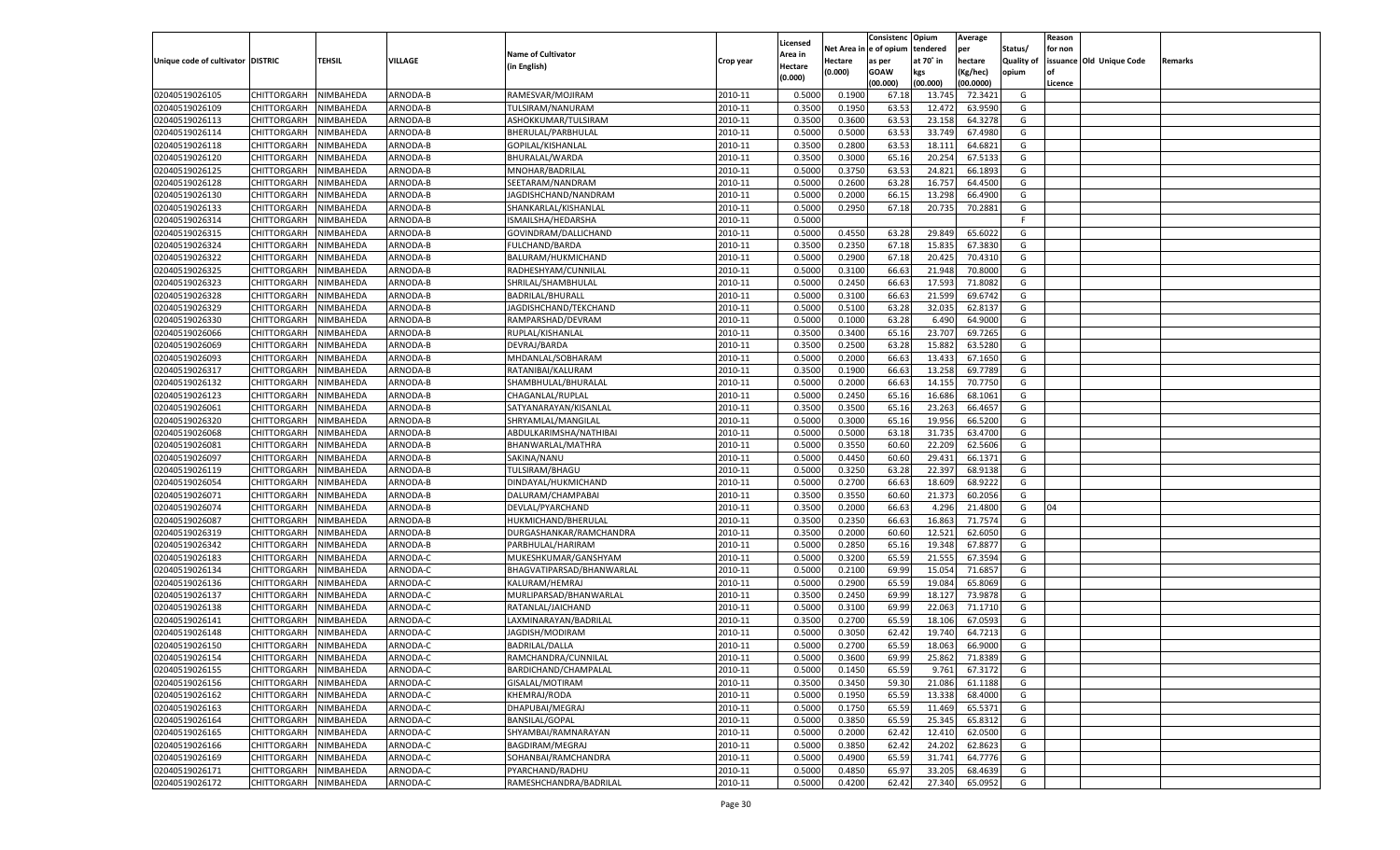|                                   |                    |           |          |                                           |           |          |          | Consistenc Opium |           | Average   |                   | Reason    |                          |         |
|-----------------------------------|--------------------|-----------|----------|-------------------------------------------|-----------|----------|----------|------------------|-----------|-----------|-------------------|-----------|--------------------------|---------|
|                                   |                    |           |          |                                           |           | Licensed | Net Area | e of opium       | tendered  | per       | Status/           | for non   |                          |         |
| Unique code of cultivator DISTRIC |                    | TEHSIL    | VILLAGE  | <b>Name of Cultivator</b>                 | Crop year | Area in  | Hectare  | as per           | at 70˚ in | hectare   | <b>Quality of</b> |           | issuance Old Unique Code | Remarks |
|                                   |                    |           |          | (in English)                              |           | Hectare  | (0.000)  | <b>GOAW</b>      | kgs       | (Kg/hec)  | opium             | <b>of</b> |                          |         |
|                                   |                    |           |          |                                           |           | (0.000)  |          | (00.000)         | (00.000)  | (00.0000) |                   | Licence   |                          |         |
| 02040519026105                    | CHITTORGARH        | NIMBAHEDA | ARNODA-B | RAMESVAR/MOJIRAM                          | 2010-11   | 0.5000   | 0.1900   | 67.18            | 13.74     | 72.3421   | G                 |           |                          |         |
| 02040519026109                    | CHITTORGARH        | NIMBAHEDA | ARNODA-B | TULSIRAM/NANURAM                          | 2010-11   | 0.3500   | 0.1950   | 63.53            | 12.472    | 63.9590   | G                 |           |                          |         |
| 02040519026113                    | <b>CHITTORGARH</b> | NIMBAHEDA | ARNODA-B | ASHOKKUMAR/TULSIRAM                       | 2010-11   | 0.3500   | 0.3600   | 63.53            | 23.158    | 64.3278   | G                 |           |                          |         |
| 02040519026114                    | CHITTORGARH        | NIMBAHEDA | ARNODA-B | BHERULAL/PARBHULAL                        | 2010-11   | 0.5000   | 0.5000   | 63.53            | 33.749    | 67.4980   | G                 |           |                          |         |
| 02040519026118                    | CHITTORGARH        | NIMBAHEDA | ARNODA-B | GOPILAL/KISHANLAL                         | 2010-11   | 0.3500   | 0.2800   | 63.53            | 18.11     | 64.6821   | G                 |           |                          |         |
| 02040519026120                    | CHITTORGARH        | NIMBAHEDA | ARNODA-B | BHURALAL/WARDA                            | 2010-11   | 0.3500   | 0.3000   | 65.16            | 20.254    | 67.513    | G                 |           |                          |         |
| 02040519026125                    | CHITTORGARH        | NIMBAHEDA | ARNODA-B | MNOHAR/BADRILAL                           | 2010-11   | 0.5000   | 0.3750   | 63.53            | 24.821    | 66.189    | G                 |           |                          |         |
| 02040519026128                    | CHITTORGARH        | NIMBAHEDA | ARNODA-B | SEETARAM/NANDRAM                          | 2010-11   | 0.5000   | 0.2600   | 63.28            | 16.757    | 64.4500   | G                 |           |                          |         |
| 02040519026130                    | CHITTORGARH        | NIMBAHEDA | ARNODA-B | JAGDISHCHAND/NANDRAM                      | 2010-11   | 0.5000   | 0.2000   | 66.15            | 13.298    | 66.4900   | G                 |           |                          |         |
| 02040519026133                    | CHITTORGARH        | NIMBAHEDA | ARNODA-B | SHANKARLAL/KISHANLAL                      | 2010-11   | 0.5000   | 0.2950   | 67.18            | 20.735    | 70.2881   | G                 |           |                          |         |
| 02040519026314                    | CHITTORGARH        | NIMBAHEDA | ARNODA-B | ISMAILSHA/HEDARSHA                        | 2010-11   | 0.5000   |          |                  |           |           | F.                |           |                          |         |
| 02040519026315                    | CHITTORGARH        | NIMBAHEDA | ARNODA-B | GOVINDRAM/DALLICHAND                      | 2010-11   | 0.5000   | 0.4550   | 63.28            | 29.849    | 65.6022   | G                 |           |                          |         |
| 02040519026324                    | CHITTORGARH        | NIMBAHEDA | ARNODA-B | FULCHAND/BARDA                            | 2010-11   | 0.3500   | 0.2350   | 67.18            | 15.835    | 67.3830   | G                 |           |                          |         |
| 02040519026322                    | CHITTORGARH        | NIMBAHEDA | ARNODA-B | BALURAM/HUKMICHAND                        | 2010-11   | 0.5000   | 0.2900   | 67.18            | 20.425    | 70.4310   | G                 |           |                          |         |
| 02040519026325                    | <b>CHITTORGARH</b> | NIMBAHEDA | ARNODA-B | RADHESHYAM/CUNNILAL                       | 2010-11   | 0.5000   | 0.3100   | 66.63            | 21.948    | 70.8000   | G                 |           |                          |         |
| 02040519026323                    | CHITTORGARH        | NIMBAHEDA | ARNODA-B | SHRILAL/SHAMBHULAL                        | 2010-11   | 0.5000   | 0.2450   | 66.63            | 17.593    | 71.8082   | G                 |           |                          |         |
| 02040519026328                    | <b>CHITTORGARH</b> | NIMBAHEDA | ARNODA-B | <b>BADRILAL/BHURALL</b>                   | 2010-11   | 0.5000   | 0.3100   | 66.63            | 21.599    | 69.6742   | G                 |           |                          |         |
| 02040519026329                    | <b>CHITTORGARH</b> | NIMBAHEDA | ARNODA-B | JAGDISHCHAND/TEKCHAND                     | 2010-11   | 0.5000   | 0.5100   | 63.28            | 32.035    | 62.8137   | G                 |           |                          |         |
| 02040519026330                    | <b>CHITTORGARH</b> | NIMBAHEDA | ARNODA-B | RAMPARSHAD/DEVRAM                         | 2010-11   | 0.5000   | 0.1000   | 63.28            | 6.490     | 64.9000   | G                 |           |                          |         |
| 02040519026066                    | CHITTORGARH        | NIMBAHEDA | ARNODA-B | RUPLAL/KISHANLAL                          | 2010-11   | 0.3500   | 0.3400   | 65.16            | 23.707    | 69.7265   | G                 |           |                          |         |
| 02040519026069                    | <b>CHITTORGARH</b> | NIMBAHEDA | ARNODA-B | DEVRAJ/BARDA                              | 2010-11   | 0.3500   | 0.2500   | 63.28            | 15.882    | 63.5280   | G                 |           |                          |         |
| 02040519026093                    | <b>CHITTORGARH</b> | NIMBAHEDA | ARNODA-B | MHDANLAL/SOBHARAM                         | 2010-11   | 0.5000   | 0.2000   | 66.63            | 13.433    | 67.1650   | G                 |           |                          |         |
| 02040519026317                    | <b>CHITTORGARH</b> | NIMBAHEDA | ARNODA-B | RATANIBAI/KALURAM                         | 2010-11   | 0.3500   | 0.1900   | 66.63            | 13.258    | 69.7789   | G                 |           |                          |         |
| 02040519026132                    | CHITTORGARH        | NIMBAHEDA | ARNODA-B | SHAMBHULAL/BHURALAI                       | 2010-11   | 0.5000   | 0.2000   | 66.63            | 14.155    | 70.7750   | G                 |           |                          |         |
| 02040519026123                    | <b>CHITTORGARH</b> | NIMBAHEDA | ARNODA-B |                                           | 2010-11   | 0.5000   | 0.2450   | 65.16            | 16.686    | 68.1061   | G                 |           |                          |         |
| 02040519026061                    | <b>CHITTORGARH</b> | NIMBAHEDA | ARNODA-B | CHAGANLAL/RUPLAL<br>SATYANARAYAN/KISANLAL | 2010-11   | 0.3500   | 0.3500   | 65.16            | 23.263    | 66.4657   | G                 |           |                          |         |
| 02040519026320                    | <b>CHITTORGARH</b> | NIMBAHEDA | ARNODA-B |                                           | 2010-11   | 0.5000   | 0.3000   | 65.16            | 19.956    | 66.5200   | G                 |           |                          |         |
| 02040519026068                    |                    |           | ARNODA-B | SHRYAMLAL/MANGILAL                        | 2010-11   |          | 0.5000   | 63.18            | 31.735    | 63.4700   | G                 |           |                          |         |
|                                   | CHITTORGARH        | NIMBAHEDA |          | ABDULKARIMSHA/NATHIBAI                    |           | 0.5000   |          |                  |           |           |                   |           |                          |         |
| 02040519026081                    | <b>CHITTORGARH</b> | NIMBAHEDA | ARNODA-B | BHANWARLAL/MATHRA                         | 2010-11   | 0.5000   | 0.3550   | 60.60            | 22.209    | 62.5606   | G                 |           |                          |         |
| 02040519026097                    | CHITTORGARH        | NIMBAHEDA | ARNODA-B | SAKINA/NANU                               | 2010-11   | 0.5000   | 0.4450   | 60.60            | 29.431    | 66.1371   | G                 |           |                          |         |
| 02040519026119                    | CHITTORGARH        | NIMBAHEDA | ARNODA-B | TULSIRAM/BHAGU                            | 2010-11   | 0.5000   | 0.3250   | 63.28            | 22.397    | 68.9138   | G                 |           |                          |         |
| 02040519026054                    | CHITTORGARH        | NIMBAHEDA | ARNODA-B | DINDAYAL/HUKMICHAND                       | 2010-11   | 0.5000   | 0.2700   | 66.63            | 18.609    | 68.9222   | G                 |           |                          |         |
| 02040519026071                    | CHITTORGARH        | NIMBAHEDA | ARNODA-B | DALURAM/CHAMPABA                          | 2010-11   | 0.3500   | 0.3550   | 60.60            | 21.373    | 60.2056   | G                 |           |                          |         |
| 02040519026074                    | CHITTORGARH        | NIMBAHEDA | ARNODA-B | DEVLAL/PYARCHAND                          | 2010-11   | 0.3500   | 0.2000   | 66.63            | 4.296     | 21.4800   | G                 | 04        |                          |         |
| 02040519026087                    | CHITTORGARH        | NIMBAHEDA | ARNODA-B | HUKMICHAND/BHERULAL                       | 2010-11   | 0.3500   | 0.2350   | 66.63            | 16.863    | 71.7574   | G                 |           |                          |         |
| 02040519026319                    | CHITTORGARH        | NIMBAHEDA | ARNODA-B | DURGASHANKAR/RAMCHANDRA                   | 2010-11   | 0.3500   | 0.2000   | 60.60            | 12.521    | 62.6050   | G                 |           |                          |         |
| 02040519026342                    | CHITTORGARH        | NIMBAHEDA | ARNODA-B | PARBHULAL/HARIRAM                         | 2010-11   | 0.5000   | 0.2850   | 65.16            | 19.348    | 67.8877   | G                 |           |                          |         |
| 02040519026183                    | CHITTORGARH        | NIMBAHEDA | ARNODA-C | MUKESHKUMAR/GANSHYAM                      | 2010-11   | 0.5000   | 0.3200   | 65.59            | 21.555    | 67.3594   | G                 |           |                          |         |
| 02040519026134                    | CHITTORGARH        | NIMBAHEDA | ARNODA-C | BHAGVATIPARSAD/BHANWARLAL                 | 2010-11   | 0.5000   | 0.2100   | 69.99            | 15.054    | 71.6857   | G                 |           |                          |         |
| 02040519026136                    | <b>CHITTORGARH</b> | NIMBAHEDA | ARNODA-C | KALURAM/HEMRAJ                            | 2010-11   | 0.5000   | 0.2900   | 65.59            | 19.08     | 65.8069   | G                 |           |                          |         |
| 02040519026137                    | CHITTORGARH        | NIMBAHEDA | ARNODA-C | MURLIPARSAD/BHANWARLAL                    | 2010-11   | 0.3500   | 0.2450   | 69.99            | 18.12     | 73.9878   | G                 |           |                          |         |
| 02040519026138                    | CHITTORGARH        | NIMBAHEDA | ARNODA-C | RATANLAL/JAICHAND                         | 2010-11   | 0.5000   | 0.3100   | 69.99            | 22.063    | 71.1710   | G                 |           |                          |         |
| 02040519026141                    | CHITTORGARH        | NIMBAHEDA | ARNODA-C | LAXMINARAYAN/BADRILAL                     | 2010-11   | 0.3500   | 0.2700   | 65.59            | 18.106    | 67.0593   | G                 |           |                          |         |
| 02040519026148                    | CHITTORGARH        | NIMBAHEDA | ARNODA-C | JAGDISH/MODIRAM                           | 2010-11   | 0.5000   | 0.3050   | 62.42            | 19.74     | 64.7213   | G                 |           |                          |         |
| 02040519026150                    | CHITTORGARH        | NIMBAHEDA | ARNODA-C | <b>BADRILAL/DALLA</b>                     | 2010-11   | 0.5000   | 0.2700   | 65.59            | 18.063    | 66.9000   | G                 |           |                          |         |
| 02040519026154                    | CHITTORGARH        | NIMBAHEDA | ARNODA-C | RAMCHANDRA/CUNNILAL                       | 2010-11   | 0.5000   | 0.3600   | 69.99            | 25.862    | 71.8389   | G                 |           |                          |         |
| 02040519026155                    | <b>CHITTORGARH</b> | NIMBAHEDA | ARNODA-C | BARDICHAND/CHAMPALAL                      | 2010-11   | 0.5000   | 0.1450   | 65.59            | 9.761     | 67.3172   | G                 |           |                          |         |
| 02040519026156                    | CHITTORGARH        | NIMBAHEDA | ARNODA-C | GISALAL/MOTIRAM                           | 2010-11   | 0.3500   | 0.3450   | 59.30            | 21.086    | 61.1188   | G                 |           |                          |         |
| 02040519026162                    | <b>CHITTORGARH</b> | NIMBAHEDA | ARNODA-C | KHEMRAJ/RODA                              | 2010-11   | 0.5000   | 0.1950   | 65.59            | 13.338    | 68.4000   | G                 |           |                          |         |
| 02040519026163                    | <b>CHITTORGARH</b> | NIMBAHEDA | ARNODA-C | DHAPUBAI/MEGRAJ                           | 2010-11   | 0.5000   | 0.1750   | 65.59            | 11.469    | 65.5371   | G                 |           |                          |         |
| 02040519026164                    | <b>CHITTORGARH</b> | NIMBAHEDA | ARNODA-C | <b>BANSILAL/GOPAL</b>                     | 2010-11   | 0.5000   | 0.3850   | 65.59            | 25.345    | 65.8312   | G                 |           |                          |         |
| 02040519026165                    | <b>CHITTORGARH</b> | NIMBAHEDA | ARNODA-C | SHYAMBAI/RAMNARAYAN                       | 2010-11   | 0.5000   | 0.2000   | 62.42            | 12.410    | 62.0500   | G                 |           |                          |         |
| 02040519026166                    | <b>CHITTORGARH</b> | NIMBAHEDA | ARNODA-C | BAGDIRAM/MEGRAJ                           | 2010-11   | 0.5000   | 0.3850   | 62.42            | 24.202    | 62.8623   | G                 |           |                          |         |
| 02040519026169                    | <b>CHITTORGARH</b> | NIMBAHEDA | ARNODA-C | SOHANBAI/RAMCHANDRA                       | 2010-11   | 0.5000   | 0.4900   | 65.59            | 31.741    | 64.7776   | G                 |           |                          |         |
| 02040519026171                    | <b>CHITTORGARH</b> | NIMBAHEDA | ARNODA-C | PYARCHAND/RADHU                           | 2010-11   | 0.5000   | 0.4850   | 65.97            | 33.205    | 68.4639   | G                 |           |                          |         |
| 02040519026172                    | CHITTORGARH        | NIMBAHEDA | ARNODA-C | RAMESHCHANDRA/BADRILAL                    | 2010-11   | 0.5000   | 0.4200   | 62.42            | 27.340    | 65.0952   | G                 |           |                          |         |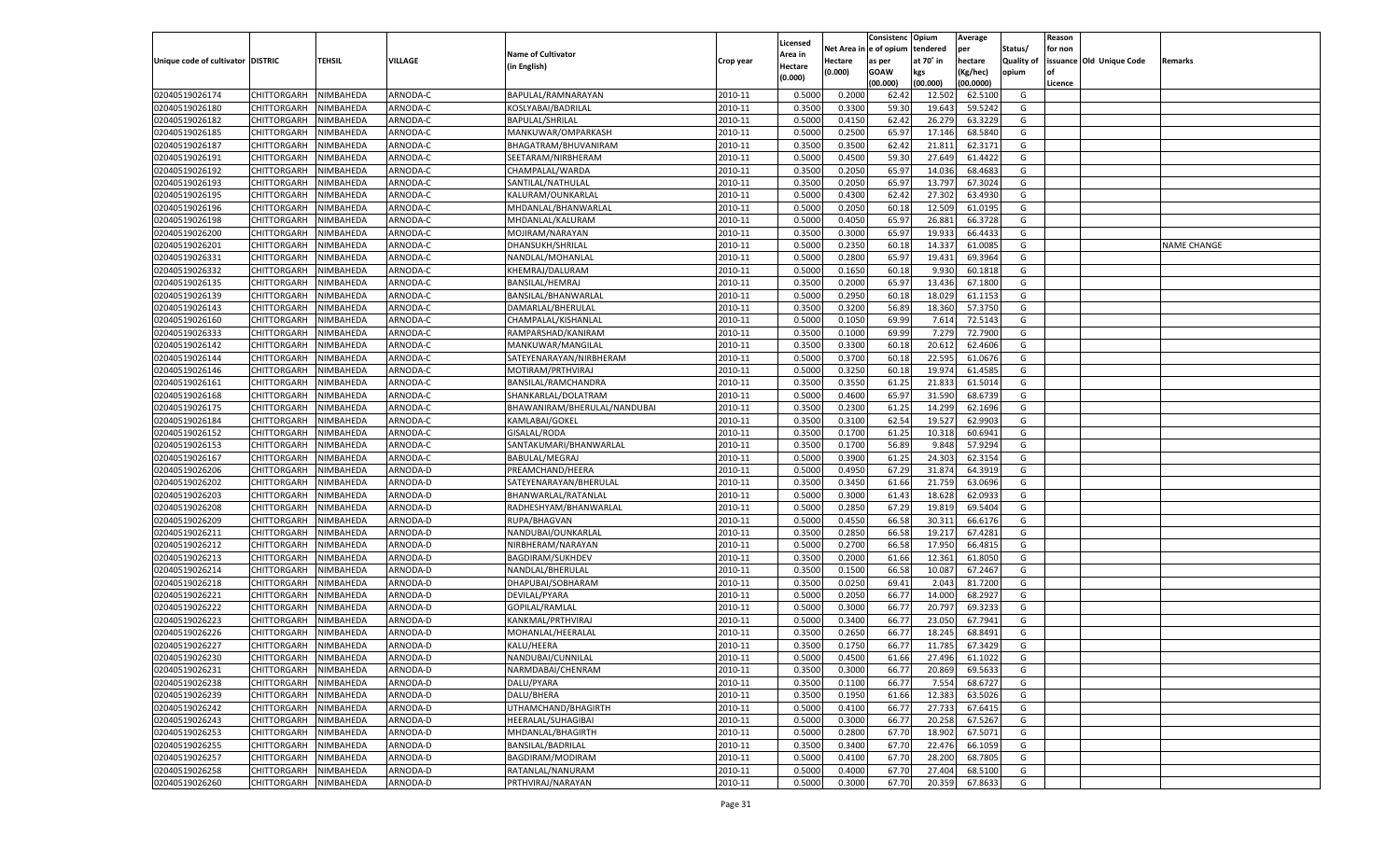|                                   |                       |               |          |                                                |           |                    |                  | Consistenc  | Opium     | Average   |                   | Reason  |                          |                    |
|-----------------------------------|-----------------------|---------------|----------|------------------------------------------------|-----------|--------------------|------------------|-------------|-----------|-----------|-------------------|---------|--------------------------|--------------------|
|                                   |                       |               |          | <b>Name of Cultivator</b>                      |           | Licensed           | Net Area         | e of opium  | tendered  | per       | Status/           | for non |                          |                    |
| Unique code of cultivator DISTRIC |                       | <b>TEHSIL</b> | VILLAGE  | (in English)                                   | Crop year | \rea in<br>Hectare | Hectare          | as per      | at 70° in | hectare   | <b>Quality of</b> |         | issuance Old Unique Code | Remarks            |
|                                   |                       |               |          |                                                |           | (0.000)            | (0.000)          | <b>GOAW</b> | kgs       | (Kg/hec)  | opium             |         |                          |                    |
|                                   |                       |               |          |                                                |           |                    |                  | (00.000)    | (00.000)  | (00.0000) |                   | Licence |                          |                    |
| 02040519026174                    | CHITTORGARH           | NIMBAHEDA     | ARNODA-C | BAPULAL/RAMNARAYAN                             | 2010-11   | 0.5000             | 0.2000           | 62.4        | 12.502    | 62.5100   | G                 |         |                          |                    |
| 02040519026180                    | CHITTORGARH           | NIMBAHEDA     | ARNODA-C | KOSLYABAI/BADRILAL                             | 2010-11   | 0.3500             | 0.3300           | 59.30       | 19.643    | 59.5242   | G                 |         |                          |                    |
| 02040519026182                    | CHITTORGARH           | NIMBAHEDA     | ARNODA-C | <b>BAPULAL/SHRILAL</b>                         | 2010-11   | 0.5000             | 0.4150           | 62.42       | 26.27     | 63.3229   | G                 |         |                          |                    |
| 02040519026185                    | CHITTORGARH           | NIMBAHEDA     | ARNODA-C | MANKUWAR/OMPARKASH                             | 2010-11   | 0.5000             | 0.2500           | 65.9        | 17.146    | 68.5840   | G                 |         |                          |                    |
| 02040519026187                    | CHITTORGARH           | NIMBAHEDA     | ARNODA-C | BHAGATRAM/BHUVANIRAM                           | 2010-11   | 0.3500             | 0.3500           | 62.4        | 21.811    | 62.3171   | G                 |         |                          |                    |
| 02040519026191                    | CHITTORGARH           | NIMBAHEDA     | ARNODA-C | SEETARAM/NIRBHERAM                             | 2010-11   | 0.5000             | 0.4500           | 59.30       | 27.649    | 61.4422   | G                 |         |                          |                    |
| 02040519026192                    | CHITTORGARH           | NIMBAHEDA     | ARNODA-C | CHAMPALAL/WARDA                                | 2010-11   | 0.3500             | 0.2050           | 65.97       | 14.036    | 68.468    | G                 |         |                          |                    |
| 02040519026193                    | CHITTORGARH           | NIMBAHEDA     | ARNODA-C | SANTILAL/NATHULAL                              | 2010-11   | 0.3500             | 0.2050           | 65.9        | 13.79     | 67.3024   | G                 |         |                          |                    |
| 02040519026195                    | CHITTORGARH           | NIMBAHEDA     | ARNODA-C | KALURAM/OUNKARLAL                              | 2010-11   | 0.5000             | 0.4300           | 62.4        | 27.302    | 63.4930   | G                 |         |                          |                    |
| 02040519026196                    | CHITTORGARH           | NIMBAHEDA     | ARNODA-C | MHDANLAL/BHANWARLAL                            | 2010-11   | 0.5000             | 0.2050           | 60.18       | 12.509    | 61.0195   | G                 |         |                          |                    |
| 02040519026198                    | CHITTORGARH           | NIMBAHEDA     | ARNODA-C | MHDANLAL/KALURAM                               | 2010-11   | 0.5000             | 0.4050           | 65.97       | 26.881    | 66.3728   | G                 |         |                          |                    |
| 02040519026200                    | CHITTORGARH           | NIMBAHEDA     | ARNODA-C | MOJIRAM/NARAYAN                                | 2010-11   | 0.3500             | 0.3000           | 65.97       | 19.933    | 66.4433   | G                 |         |                          |                    |
| 02040519026201                    | CHITTORGARH           | NIMBAHEDA     | ARNODA-C | DHANSUKH/SHRILAL                               | 2010-11   | 0.5000             | 0.2350           | 60.18       | 14.337    | 61.0085   | G                 |         |                          | <b>NAME CHANGE</b> |
| 02040519026331                    | CHITTORGARH           | NIMBAHEDA     | ARNODA-C | NANDLAL/MOHANLAL                               | 2010-11   | 0.5000             | 0.2800           | 65.97       | 19.431    | 69.3964   | G                 |         |                          |                    |
| 02040519026332                    | CHITTORGARH           | NIMBAHEDA     | ARNODA-C | KHEMRAJ/DALURAM                                | 2010-11   | 0.5000             | 0.1650           | 60.18       | 9.930     | 60.1818   | G                 |         |                          |                    |
| 02040519026135                    | CHITTORGARH           | NIMBAHEDA     | ARNODA-C | BANSILAL/HEMRAJ                                | 2010-11   | 0.3500             | 0.2000           | 65.97       | 13.436    | 67.1800   | G                 |         |                          |                    |
| 02040519026139                    | CHITTORGARH           | NIMBAHEDA     | ARNODA-C | BANSILAL/BHANWARLAL                            | 2010-11   | 0.5000             | 0.2950           | 60.18       | 18.029    | 61.1153   | G                 |         |                          |                    |
| 02040519026143                    | CHITTORGARH           | NIMBAHEDA     | ARNODA-C | DAMARLAL/BHERULAL                              | 2010-11   | 0.3500             | 0.3200           | 56.89       | 18.360    | 57.3750   | G                 |         |                          |                    |
| 02040519026160                    | CHITTORGARH           | NIMBAHEDA     | ARNODA-C | CHAMPALAL/KISHANLAL                            | 2010-11   | 0.5000             | 0.1050           | 69.99       | 7.614     | 72.5143   | G                 |         |                          |                    |
| 02040519026333                    | CHITTORGARH           | NIMBAHEDA     | ARNODA-C | RAMPARSHAD/KANIRAM                             | 2010-11   | 0.3500             | 0.1000           | 69.99       | 7.279     | 72.7900   | G                 |         |                          |                    |
| 02040519026142                    | CHITTORGARH           | NIMBAHEDA     | ARNODA-C | MANKUWAR/MANGILAL                              | 2010-11   | 0.3500             | 0.3300           | 60.18       | 20.612    | 62.4606   | G                 |         |                          |                    |
| 02040519026144                    | CHITTORGARH           | NIMBAHEDA     | ARNODA-C | SATEYENARAYAN/NIRBHERAM                        | 2010-11   | 0.5000             | 0.3700           | 60.18       | 22.595    | 61.0676   | G                 |         |                          |                    |
| 02040519026146                    | CHITTORGARH           | NIMBAHEDA     | ARNODA-C | MOTIRAM/PRTHVIRAJ                              | 2010-11   | 0.5000             | 0.3250           | 60.18       | 19.974    | 61.4585   | G                 |         |                          |                    |
| 02040519026161                    | CHITTORGARH           | NIMBAHEDA     | ARNODA-C | BANSILAL/RAMCHANDRA                            | 2010-11   | 0.3500             | 0.3550           | 61.25       | 21.833    | 61.5014   | G                 |         |                          |                    |
| 02040519026168                    | CHITTORGARH           | NIMBAHEDA     | ARNODA-C | SHANKARLAL/DOLATRAM                            | 2010-11   | 0.5000             | 0.4600           | 65.97       | 31.590    | 68.6739   | G                 |         |                          |                    |
| 02040519026175                    |                       |               | ARNODA-C |                                                | 2010-11   |                    |                  | 61.25       | 14.299    | 62.1696   | G                 |         |                          |                    |
| 02040519026184                    | CHITTORGARH           | NIMBAHEDA     | ARNODA-C | BHAWANIRAM/BHERULAL/NANDUBAI<br>KAMLABAI/GOKEL | 2010-11   | 0.3500<br>0.3500   | 0.2300<br>0.3100 | 62.54       | 19.527    | 62.9903   | G                 |         |                          |                    |
|                                   | CHITTORGARH           | NIMBAHEDA     |          |                                                | 2010-11   | 0.3500             |                  |             |           | 60.6941   |                   |         |                          |                    |
| 02040519026152                    | CHITTORGARH           | NIMBAHEDA     | ARNODA-C | GISALAL/RODA                                   | 2010-11   |                    | 0.1700           | 61.25       | 10.318    | 57.9294   | G<br>G            |         |                          |                    |
| 02040519026153                    | CHITTORGARH           | NIMBAHEDA     | ARNODA-C | SANTAKUMARI/BHANWARLAL                         |           | 0.3500             | 0.1700           | 56.89       | 9.848     |           |                   |         |                          |                    |
| 02040519026167                    | CHITTORGARH           | NIMBAHEDA     | ARNODA-C | <b>BABULAL/MEGRAJ</b>                          | 2010-11   | 0.5000             | 0.3900           | 61.25       | 24.303    | 62.3154   | G                 |         |                          |                    |
| 02040519026206                    | CHITTORGARH           | NIMBAHEDA     | ARNODA-D | PREAMCHAND/HEERA                               | 2010-11   | 0.5000             | 0.4950           | 67.29       | 31.87     | 64.3919   | G                 |         |                          |                    |
| 02040519026202                    | CHITTORGARH           | NIMBAHEDA     | ARNODA-D | SATEYENARAYAN/BHERULAL                         | 2010-11   | 0.3500             | 0.3450           | 61.66       | 21.759    | 63.0696   | G                 |         |                          |                    |
| 02040519026203                    | CHITTORGARH           | NIMBAHEDA     | ARNODA-D | BHANWARLAL/RATANLAI                            | 2010-11   | 0.5000             | 0.3000           | 61.43       | 18.62     | 62.093    | G                 |         |                          |                    |
| 02040519026208                    | CHITTORGARH           | NIMBAHEDA     | ARNODA-D | RADHESHYAM/BHANWARLAI                          | 2010-11   | 0.5000             | 0.2850           | 67.29       | 19.81     | 69.5404   | G                 |         |                          |                    |
| 02040519026209                    | CHITTORGARH           | NIMBAHEDA     | ARNODA-D | RUPA/BHAGVAN                                   | 2010-11   | 0.5000             | 0.4550           | 66.58       | 30.31     | 66.6176   | G                 |         |                          |                    |
| 02040519026211                    | CHITTORGARH           | NIMBAHEDA     | ARNODA-D | NANDUBAI/OUNKARLAL                             | 2010-11   | 0.3500             | 0.2850           | 66.58       | 19.21     | 67.4281   | G                 |         |                          |                    |
| 02040519026212                    | CHITTORGARH           | NIMBAHEDA     | ARNODA-D | NIRBHERAM/NARAYAN                              | 2010-11   | 0.5000             | 0.2700           | 66.58       | 17.950    | 66.4815   | G                 |         |                          |                    |
| 02040519026213                    | CHITTORGARH           | NIMBAHEDA     | ARNODA-D | <b>BAGDIRAM/SUKHDEV</b>                        | 2010-11   | 0.3500             | 0.2000           | 61.66       | 12.361    | 61.8050   | G                 |         |                          |                    |
| 02040519026214                    | CHITTORGARH           | NIMBAHEDA     | ARNODA-D | NANDLAL/BHERULAL                               | 2010-11   | 0.3500             | 0.1500           | 66.58       | 10.087    | 67.2467   | G                 |         |                          |                    |
| 02040519026218                    | CHITTORGARH           | NIMBAHEDA     | ARNODA-D | DHAPUBAI/SOBHARAM                              | 2010-11   | 0.3500             | 0.0250           | 69.4        | 2.043     | 81.7200   | G                 |         |                          |                    |
| 02040519026221                    | CHITTORGARH           | NIMBAHEDA     | ARNODA-D | DEVILAL/PYARA                                  | 2010-11   | 0.5000             | 0.2050           | 66.77       | 14.000    | 68.2927   | G                 |         |                          |                    |
| 02040519026222                    | CHITTORGARH           | NIMBAHEDA     | ARNODA-D | GOPILAL/RAMLAL                                 | 2010-11   | 0.5000             | 0.3000           | 66.7        | 20.79     | 69.323    | G                 |         |                          |                    |
| 02040519026223                    | CHITTORGARH           | NIMBAHEDA     | ARNODA-D | KANKMAL/PRTHVIRAJ                              | 2010-11   | 0.5000             | 0.3400           | 66.7        | 23.05     | 67.7941   | G                 |         |                          |                    |
| 02040519026226                    | CHITTORGARH           | NIMBAHEDA     | ARNODA-D | MOHANLAL/HEERALAL                              | 2010-11   | 0.3500             | 0.2650           | 66.7        | 18.24     | 68.8491   | G                 |         |                          |                    |
| 02040519026227                    | CHITTORGARH           | NIMBAHEDA     | ARNODA-D | KALU/HEERA                                     | 2010-11   | 0.3500             | 0.1750           | 66.77       | 11.785    | 67.3429   | G                 |         |                          |                    |
| 02040519026230                    | CHITTORGARH NIMBAHEDA |               | ARNODA-D | NANDUBAI/CUNNILAL                              | 2010-11   | 0.5000             | 0.4500           | 61.66       | 27.496    | 61.1022   | G                 |         |                          |                    |
| 02040519026231                    | <b>CHITTORGARH</b>    | NIMBAHEDA     | ARNODA-D | NARMDABAI/CHENRAM                              | 2010-11   | 0.3500             | 0.3000           | 66.77       | 20.869    | 69.5633   | G                 |         |                          |                    |
| 02040519026238                    | <b>CHITTORGARH</b>    | NIMBAHEDA     | ARNODA-D | DALU/PYARA                                     | 2010-11   | 0.3500             | 0.1100           | 66.77       | 7.554     | 68.6727   | G                 |         |                          |                    |
| 02040519026239                    | <b>CHITTORGARH</b>    | NIMBAHEDA     | ARNODA-D | DALU/BHERA                                     | 2010-11   | 0.3500             | 0.1950           | 61.66       | 12.383    | 63.5026   | G                 |         |                          |                    |
| 02040519026242                    | <b>CHITTORGARH</b>    | NIMBAHEDA     | ARNODA-D | UTHAMCHAND/BHAGIRTH                            | 2010-11   | 0.5000             | 0.4100           | 66.77       | 27.733    | 67.6415   | G                 |         |                          |                    |
| 02040519026243                    | <b>CHITTORGARH</b>    | NIMBAHEDA     | ARNODA-D | HEERALAL/SUHAGIBAI                             | 2010-11   | 0.5000             | 0.3000           | 66.77       | 20.258    | 67.5267   | G                 |         |                          |                    |
| 02040519026253                    | <b>CHITTORGARH</b>    | NIMBAHEDA     | ARNODA-D | MHDANLAL/BHAGIRTH                              | 2010-11   | 0.5000             | 0.2800           | 67.70       | 18.902    | 67.5071   | G                 |         |                          |                    |
| 02040519026255                    | <b>CHITTORGARH</b>    | NIMBAHEDA     | ARNODA-D | BANSILAL/BADRILAL                              | 2010-11   | 0.3500             | 0.3400           | 67.70       | 22.476    | 66.1059   | G                 |         |                          |                    |
| 02040519026257                    | <b>CHITTORGARH</b>    | NIMBAHEDA     | ARNODA-D | BAGDIRAM/MODIRAM                               | 2010-11   | 0.5000             | 0.4100           | 67.70       | 28.200    | 68.7805   | G                 |         |                          |                    |
| 02040519026258                    | <b>CHITTORGARH</b>    | NIMBAHEDA     | ARNODA-D | RATANLAL/NANURAM                               | 2010-11   | 0.5000             | 0.4000           | 67.70       | 27.404    | 68.5100   | G                 |         |                          |                    |
| 02040519026260                    | <b>CHITTORGARH</b>    | NIMBAHEDA     | ARNODA-D | PRTHVIRAJ/NARAYAN                              | 2010-11   | 0.5000             | 0.3000           | 67.70       | 20.359    | 67.8633   | G                 |         |                          |                    |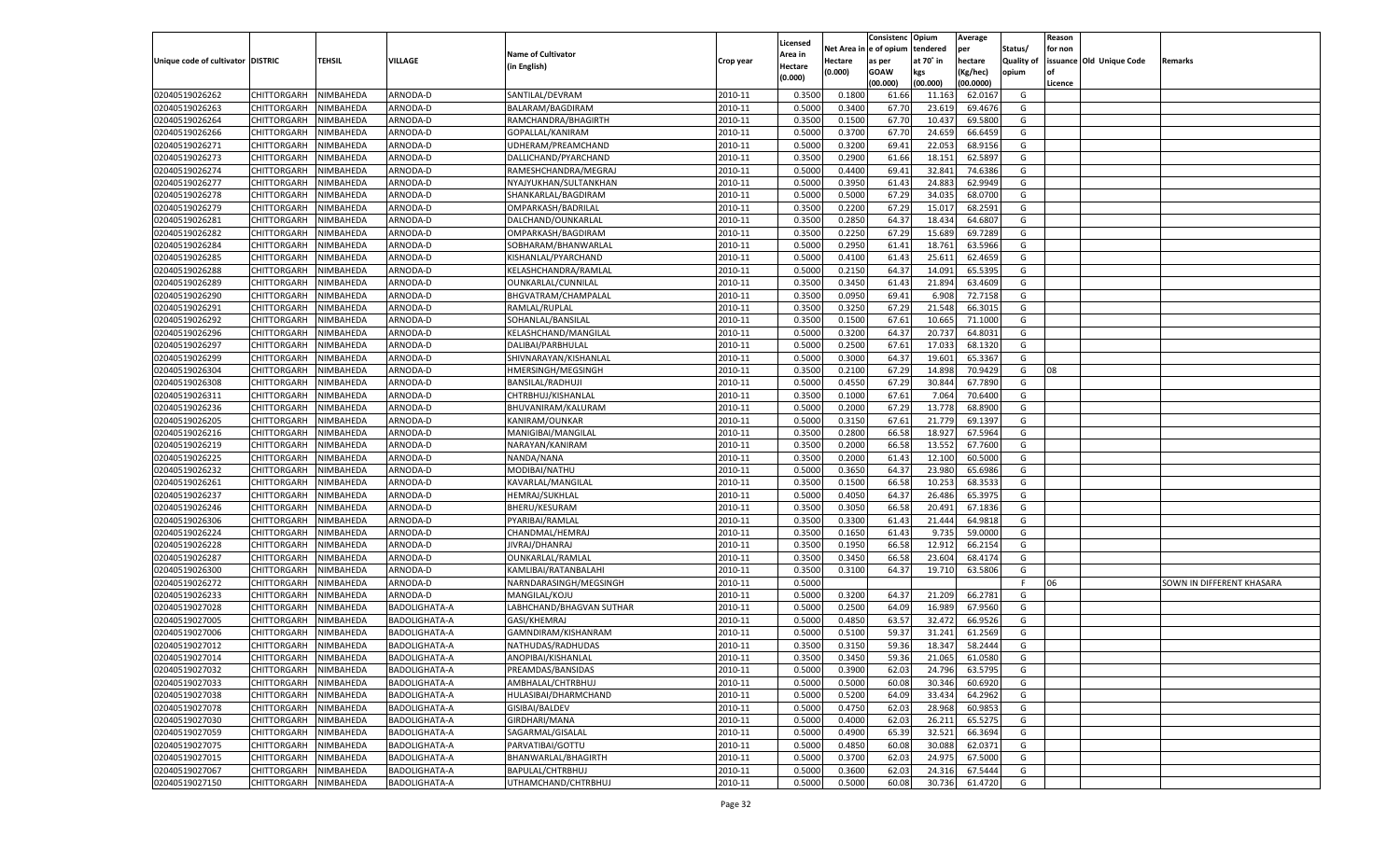|                                   |                                      |               |                      |                                         |           |                           |          | Consistenc  | Opium     | Average   |                   | Reason  |                          |                           |
|-----------------------------------|--------------------------------------|---------------|----------------------|-----------------------------------------|-----------|---------------------------|----------|-------------|-----------|-----------|-------------------|---------|--------------------------|---------------------------|
|                                   |                                      |               |                      | <b>Name of Cultivator</b>               |           | Licensed                  | Net Area | e of opium  | tendered  | per       | Status/           | for non |                          |                           |
| Unique code of cultivator DISTRIC |                                      | <b>TEHSIL</b> | VILLAGE              | (in English)                            | Crop year | <b>Area in</b><br>Hectare | Hectare  | as per      | at 70° in | hectare   | <b>Quality of</b> |         | issuance Old Unique Code | Remarks                   |
|                                   |                                      |               |                      |                                         |           | (0.000)                   | (0.000)  | <b>GOAW</b> | kgs       | (Kg/hec)  | opium             |         |                          |                           |
|                                   |                                      |               |                      |                                         |           |                           |          | (00.000)    | (00.000)  | (00.0000) |                   | Licence |                          |                           |
| 02040519026262                    | CHITTORGARH                          | NIMBAHEDA     | ARNODA-D             | SANTILAL/DEVRAM                         | 2010-11   | 0.3500                    | 0.1800   | 61.66       | 11.163    | 62.0167   | G                 |         |                          |                           |
| 02040519026263                    | CHITTORGARH                          | NIMBAHEDA     | ARNODA-D             | BALARAM/BAGDIRAM                        | 2010-11   | 0.5000                    | 0.3400   | 67.70       | 23.619    | 69.4676   | G                 |         |                          |                           |
| 02040519026264                    | CHITTORGARH                          | NIMBAHEDA     | ARNODA-D             | RAMCHANDRA/BHAGIRTH                     | 2010-11   | 0.3500                    | 0.1500   | 67.70       | 10.437    | 69.5800   | G                 |         |                          |                           |
| 02040519026266                    | CHITTORGARH                          | NIMBAHEDA     | ARNODA-D             | GOPALLAL/KANIRAM                        | 2010-11   | 0.5000                    | 0.3700   | 67.70       | 24.659    | 66.6459   | G                 |         |                          |                           |
| 02040519026271                    | CHITTORGARH                          | NIMBAHEDA     | ARNODA-D             | UDHERAM/PREAMCHAND                      | 2010-11   | 0.5000                    | 0.3200   | 69.41       | 22.053    | 68.9156   | G                 |         |                          |                           |
| 02040519026273                    | CHITTORGARH                          | NIMBAHEDA     | ARNODA-D             | DALLICHAND/PYARCHAND                    | 2010-11   | 0.3500                    | 0.2900   | 61.66       | 18.15     | 62.589    | G                 |         |                          |                           |
| 02040519026274                    | CHITTORGARH                          | NIMBAHEDA     | ARNODA-D             | RAMESHCHANDRA/MEGRAJ                    | 2010-11   | 0.5000                    | 0.4400   | 69.4        | 32.841    | 74.6386   | G                 |         |                          |                           |
| 02040519026277                    | CHITTORGARH                          | NIMBAHEDA     | ARNODA-D             | NYAJYUKHAN/SULTANKHAN                   | 2010-11   | 0.5000                    | 0.3950   | 61.4        | 24.883    | 62.9949   | G                 |         |                          |                           |
| 02040519026278                    | CHITTORGARH                          | NIMBAHEDA     | ARNODA-D             | SHANKARLAL/BAGDIRAM                     | 2010-11   | 0.5000                    | 0.5000   | 67.29       | 34.035    | 68.0700   | G                 |         |                          |                           |
| 02040519026279                    | CHITTORGARH                          | NIMBAHEDA     | ARNODA-D             | OMPARKASH/BADRILAL                      | 2010-11   | 0.3500                    | 0.2200   | 67.29       | 15.01     | 68.2591   | G                 |         |                          |                           |
| 02040519026281                    | CHITTORGARH                          | NIMBAHEDA     | ARNODA-D             | DALCHAND/OUNKARLAL                      | 2010-11   | 0.3500                    | 0.2850   | 64.37       | 18.434    | 64.680    | G                 |         |                          |                           |
| 02040519026282                    | CHITTORGARH                          | NIMBAHEDA     | ARNODA-D             | OMPARKASH/BAGDIRAM                      | 2010-11   | 0.3500                    | 0.2250   | 67.29       | 15.689    | 69.7289   | G                 |         |                          |                           |
| 02040519026284                    | CHITTORGARH                          | NIMBAHEDA     | ARNODA-D             | SOBHARAM/BHANWARLAL                     | 2010-11   | 0.5000                    | 0.2950   | 61.4        | 18.761    | 63.5966   | G                 |         |                          |                           |
| 02040519026285                    | CHITTORGARH                          | NIMBAHEDA     | ARNODA-D             | KISHANLAL/PYARCHAND                     | 2010-11   | 0.5000                    | 0.4100   | 61.4        | 25.611    | 62.4659   | G                 |         |                          |                           |
| 02040519026288                    | CHITTORGARH                          | NIMBAHEDA     | ARNODA-D             | KELASHCHANDRA/RAMLAL                    | 2010-11   | 0.5000                    | 0.2150   | 64.37       | 14.091    | 65.5395   | G                 |         |                          |                           |
| 02040519026289                    | CHITTORGARH                          | NIMBAHEDA     | ARNODA-D             | OUNKARLAL/CUNNILAL                      | 2010-11   | 0.3500                    | 0.3450   | 61.43       | 21.894    | 63.4609   | G                 |         |                          |                           |
| 02040519026290                    | CHITTORGARH                          | NIMBAHEDA     | ARNODA-D             | BHGVATRAM/CHAMPALAL                     | 2010-11   | 0.3500                    | 0.0950   | 69.41       | 6.908     | 72.7158   | G                 |         |                          |                           |
| 02040519026291                    | CHITTORGARH                          | NIMBAHEDA     | ARNODA-D             | RAMLAL/RUPLAL                           | 2010-11   | 0.3500                    | 0.3250   | 67.29       | 21.548    | 66.3015   | G                 |         |                          |                           |
| 02040519026292                    | CHITTORGARH                          | NIMBAHEDA     | ARNODA-D             | SOHANLAL/BANSILAL                       | 2010-11   | 0.3500                    | 0.1500   | 67.61       | 10.665    | 71.1000   | G                 |         |                          |                           |
| 02040519026296                    | CHITTORGARH                          | NIMBAHEDA     | ARNODA-D             | KELASHCHAND/MANGILAL                    | 2010-11   | 0.5000                    | 0.3200   | 64.37       | 20.737    | 64.8031   | G                 |         |                          |                           |
| 02040519026297                    | CHITTORGARH                          | NIMBAHEDA     | ARNODA-D             | DALIBAI/PARBHULAI                       | 2010-11   | 0.5000                    | 0.2500   | 67.61       | 17.033    | 68.1320   | G                 |         |                          |                           |
| 02040519026299                    | CHITTORGARH                          | NIMBAHEDA     | ARNODA-D             | SHIVNARAYAN/KISHANLAL                   | 2010-11   | 0.5000                    | 0.3000   | 64.37       | 19.601    | 65.3367   | G                 |         |                          |                           |
| 02040519026304                    | CHITTORGARH                          | NIMBAHEDA     | ARNODA-D             | HMERSINGH/MEGSINGH                      | 2010-11   | 0.3500                    | 0.2100   | 67.29       | 14.898    | 70.9429   | G                 | 08      |                          |                           |
| 02040519026308                    | CHITTORGARH                          | NIMBAHEDA     | ARNODA-D             | <b>BANSILAL/RADHUJI</b>                 | 2010-11   | 0.5000                    | 0.4550   | 67.29       | 30.844    | 67.7890   | G                 |         |                          |                           |
| 02040519026311                    | CHITTORGARH                          | NIMBAHEDA     | ARNODA-D             | CHTRBHUJ/KISHANLAL                      | 2010-11   | 0.3500                    | 0.1000   | 67.61       | 7.064     | 70.6400   | G                 |         |                          |                           |
| 02040519026236                    | CHITTORGARH                          | NIMBAHEDA     | ARNODA-D             | BHUVANIRAM/KALURAM                      | 2010-11   | 0.5000                    | 0.2000   | 67.29       | 13.778    | 68.8900   | G                 |         |                          |                           |
| 02040519026205                    | CHITTORGARH                          | NIMBAHEDA     | ARNODA-D             | KANIRAM/OUNKAR                          | 2010-11   | 0.5000                    | 0.3150   | 67.61       | 21.779    | 69.1397   | G                 |         |                          |                           |
| 02040519026216                    | CHITTORGARH                          | NIMBAHEDA     | ARNODA-D             | MANIGIBAI/MANGILAL                      | 2010-11   | 0.3500                    | 0.2800   | 66.58       | 18.927    | 67.5964   | G                 |         |                          |                           |
| 02040519026219                    | CHITTORGARH                          | NIMBAHEDA     | ARNODA-D             | NARAYAN/KANIRAM                         | 2010-11   | 0.3500                    | 0.2000   | 66.58       | 13.552    | 67.7600   | G                 |         |                          |                           |
| 02040519026225                    | CHITTORGARH                          | NIMBAHEDA     | ARNODA-D             | NANDA/NANA                              | 2010-11   | 0.3500                    | 0.2000   | 61.43       | 12.100    | 60.5000   | G                 |         |                          |                           |
| 02040519026232                    | CHITTORGARH                          | NIMBAHEDA     | ARNODA-D             | MODIBAI/NATHU                           | 2010-11   | 0.5000                    | 0.3650   | 64.37       | 23.98     | 65.6986   | G                 |         |                          |                           |
| 02040519026261                    | CHITTORGARH                          | NIMBAHEDA     | ARNODA-D             | KAVARLAL/MANGILAL                       | 2010-11   | 0.3500                    | 0.1500   | 66.58       | 10.25     | 68.3533   | G                 |         |                          |                           |
| 02040519026237                    | CHITTORGARH                          | NIMBAHEDA     | ARNODA-D             | HEMRAJ/SUKHLAL                          | 2010-11   | 0.5000                    | 0.4050   | 64.37       | 26.486    | 65.397    | G                 |         |                          |                           |
| 02040519026246                    | CHITTORGARH                          | NIMBAHEDA     | ARNODA-D             | <b>BHERU/KESURAM</b>                    | 2010-11   | 0.3500                    | 0.3050   | 66.58       | 20.491    | 67.183    | G                 |         |                          |                           |
| 02040519026306                    | CHITTORGARH                          | NIMBAHEDA     | ARNODA-D             | PYARIBAI/RAMLAL                         | 2010-11   | 0.3500                    | 0.3300   | 61.4        | 21.44     | 64.9818   | G                 |         |                          |                           |
| 02040519026224                    | CHITTORGARH                          | NIMBAHEDA     | ARNODA-D             | CHANDMAL/HEMRAJ                         | 2010-11   | 0.3500                    | 0.1650   | 61.43       | 9.735     | 59.0000   | G                 |         |                          |                           |
| 02040519026228                    | CHITTORGARH                          | NIMBAHEDA     | ARNODA-D             | JIVRAJ/DHANRAJ                          | 2010-11   | 0.3500                    | 0.1950   | 66.58       | 12.912    | 66.2154   | G                 |         |                          |                           |
| 02040519026287                    | CHITTORGARH                          | NIMBAHEDA     | ARNODA-D             | OUNKARLAL/RAMLAI                        | 2010-11   | 0.3500                    | 0.3450   | 66.58       | 23.604    | 68.4174   | G                 |         |                          |                           |
| 02040519026300                    | CHITTORGARH                          | NIMBAHEDA     | ARNODA-D             | KAMLIBAI/RATANBALAHI                    | 2010-11   | 0.3500                    | 0.3100   | 64.37       | 19.710    | 63.5806   | G                 |         |                          |                           |
| 02040519026272                    | CHITTORGARH                          | NIMBAHEDA     | ARNODA-D             | NARNDARASINGH/MEGSINGH                  | 2010-11   | 0.5000                    |          |             |           |           | F                 | 06      |                          | SOWN IN DIFFERENT KHASARA |
| 02040519026233                    | CHITTORGARH                          | NIMBAHEDA     | ARNODA-D             | MANGILAL/KOJU                           | 2010-11   | 0.5000                    | 0.3200   | 64.37       | 21.209    | 66.2781   | G                 |         |                          |                           |
| 02040519027028                    | CHITTORGARH                          | NIMBAHEDA     | BADOLIGHATA-A        | LABHCHAND/BHAGVAN SUTHAR                | 2010-11   | 0.5000                    | 0.2500   | 64.09       | 16.989    | 67.9560   | G                 |         |                          |                           |
| 02040519027005                    | CHITTORGARH                          | NIMBAHEDA     | BADOLIGHATA-A        | GASI/KHEMRAJ                            | 2010-11   | 0.5000                    | 0.4850   | 63.57       | 32.472    | 66.9526   | G                 |         |                          |                           |
| 02040519027006                    | CHITTORGARH                          | NIMBAHEDA     | BADOLIGHATA-A        | GAMNDIRAM/KISHANRAM                     | 2010-11   | 0.5000                    | 0.5100   | 59.3        | 31.241    | 61.2569   | G                 |         |                          |                           |
| 02040519027012                    |                                      | NIMBAHEDA     | <b>BADOLIGHATA-A</b> |                                         | 2010-11   | 0.3500                    | 0.3150   | 59.36       | 18.347    | 58.2444   | G                 |         |                          |                           |
|                                   | CHITTORGARH<br>CHITTORGARH NIMBAHEDA |               |                      | NATHUDAS/RADHUDAS<br>ANOPIBAI/KISHANLAL |           |                           |          |             |           |           |                   |         |                          |                           |
| 02040519027014                    |                                      |               | BADOLIGHATA-A        |                                         | 2010-11   | 0.3500                    | 0.3450   | 59.36       | 21.065    | 61.0580   | G                 |         |                          |                           |
| 02040519027032                    | <b>CHITTORGARH</b>                   | NIMBAHEDA     | BADOLIGHATA-A        | PREAMDAS/BANSIDAS                       | 2010-11   | 0.5000                    | 0.3900   | 62.03       | 24.796    | 63.5795   | G                 |         |                          |                           |
| 02040519027033                    | <b>CHITTORGARH</b>                   | NIMBAHEDA     | BADOLIGHATA-A        | AMBHALAL/CHTRBHUJ                       | 2010-11   | 0.5000                    | 0.5000   | 60.08       | 30.346    | 60.6920   | G                 |         |                          |                           |
| 02040519027038                    | <b>CHITTORGARH</b>                   | NIMBAHEDA     | BADOLIGHATA-A        | HULASIBAI/DHARMCHAND                    | 2010-11   | 0.5000                    | 0.5200   | 64.09       | 33.434    | 64.2962   | G                 |         |                          |                           |
| 02040519027078                    | <b>CHITTORGARH</b>                   | NIMBAHEDA     | BADOLIGHATA-A        | GISIBAI/BALDEV                          | 2010-11   | 0.5000                    | 0.4750   | 62.03       | 28.968    | 60.9853   | G                 |         |                          |                           |
| 02040519027030                    | <b>CHITTORGARH</b>                   | NIMBAHEDA     | BADOLIGHATA-A        | GIRDHARI/MANA                           | 2010-11   | 0.5000                    | 0.4000   | 62.03       | 26.211    | 65.5275   | G                 |         |                          |                           |
| 02040519027059                    | <b>CHITTORGARH</b>                   | NIMBAHEDA     | BADOLIGHATA-A        | SAGARMAL/GISALAL                        | 2010-11   | 0.5000                    | 0.4900   | 65.39       | 32.521    | 66.3694   | G                 |         |                          |                           |
| 02040519027075                    | <b>CHITTORGARH</b>                   | NIMBAHEDA     | <b>BADOLIGHATA-A</b> | PARVATIBAI/GOTTU                        | 2010-11   | 0.5000                    | 0.4850   | 60.08       | 30.088    | 62.0371   | G                 |         |                          |                           |
| 02040519027015                    | <b>CHITTORGARH</b>                   | NIMBAHEDA     | BADOLIGHATA-A        | BHANWARLAL/BHAGIRTH                     | 2010-11   | 0.5000                    | 0.3700   | 62.03       | 24.975    | 67.5000   | G                 |         |                          |                           |
| 02040519027067                    | <b>CHITTORGARH</b>                   | NIMBAHEDA     | BADOLIGHATA-A        | BAPULAL/CHTRBHUJ                        | 2010-11   | 0.5000                    | 0.3600   | 62.03       | 24.316    | 67.5444   | G                 |         |                          |                           |
| 02040519027150                    | <b>CHITTORGARH</b>                   | NIMBAHEDA     | <b>BADOLIGHATA-A</b> | UTHAMCHAND/CHTRBHUJ                     | 2010-11   | 0.5000                    | 0.5000   | 60.08       | 30.736    | 61.4720   | G                 |         |                          |                           |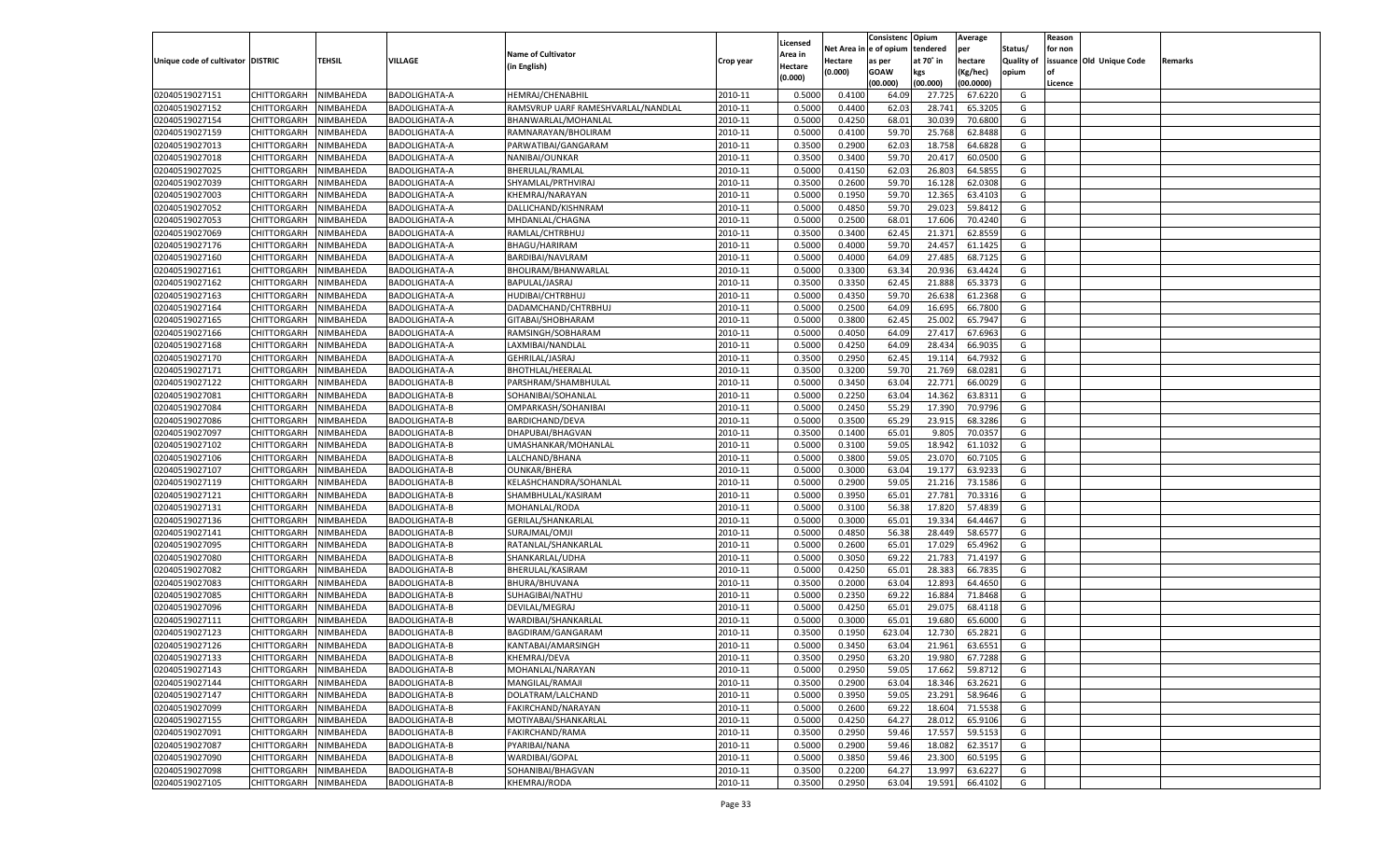|                                   |                       |           |                      |                                    |           |          |          | Consistenc Opium |           | Average   |                   | Reason    |                          |         |
|-----------------------------------|-----------------------|-----------|----------------------|------------------------------------|-----------|----------|----------|------------------|-----------|-----------|-------------------|-----------|--------------------------|---------|
|                                   |                       |           |                      |                                    |           | Licensed | Net Area | e of opium       | tendered  | per       | Status/           | for non   |                          |         |
| Unique code of cultivator DISTRIC |                       | TEHSIL    | VILLAGE              | <b>Name of Cultivator</b>          | Crop year | Area in  | Hectare  | as per           | at 70˚ in | hectare   | <b>Quality of</b> |           | issuance Old Unique Code | Remarks |
|                                   |                       |           |                      | (in English)                       |           | Hectare  | (0.000)  | <b>GOAW</b>      | kgs       | (Kg/hec)  | opium             | <b>of</b> |                          |         |
|                                   |                       |           |                      |                                    |           | (0.000)  |          | (00.000)         | (00.000)  | (00.0000) |                   | Licence   |                          |         |
| 02040519027151                    | CHITTORGARH           | NIMBAHEDA | BADOLIGHATA-A        | HEMRAJ/CHENABHIL                   | 2010-11   | 0.5000   | 0.4100   | 64.09            | 27.725    | 67.6220   | G                 |           |                          |         |
| 02040519027152                    | CHITTORGARH           | NIMBAHEDA | BADOLIGHATA-A        | RAMSVRUP UARF RAMESHVARLAL/NANDLAL | 2010-11   | 0.5000   | 0.4400   | 62.03            | 28.74     | 65.3205   | G                 |           |                          |         |
| 02040519027154                    | <b>CHITTORGARH</b>    | NIMBAHEDA | BADOLIGHATA-A        | BHANWARLAL/MOHANLAL                | 2010-11   | 0.5000   | 0.4250   | 68.01            | 30.03     | 70.6800   | G                 |           |                          |         |
| 02040519027159                    | CHITTORGARH           | NIMBAHEDA | BADOLIGHATA-A        | RAMNARAYAN/BHOLIRAM                | 2010-11   | 0.5000   | 0.4100   | 59.70            | 25.768    | 62.8488   | G                 |           |                          |         |
| 02040519027013                    | CHITTORGARH           | NIMBAHEDA | BADOLIGHATA-A        | PARWATIBAI/GANGARAM                | 2010-11   | 0.3500   | 0.2900   | 62.03            | 18.75     | 64.6828   | G                 |           |                          |         |
| 02040519027018                    | CHITTORGARH           | NIMBAHEDA | BADOLIGHATA-A        | NANIBAI/OUNKAR                     | 2010-11   | 0.3500   | 0.3400   | 59.70            | 20.41     | 60.0500   | G                 |           |                          |         |
| 02040519027025                    | CHITTORGARH           | NIMBAHEDA | BADOLIGHATA-A        | <b>BHERULAL/RAMLAL</b>             | 2010-11   | 0.5000   | 0.4150   | 62.03            | 26.803    | 64.585    | G                 |           |                          |         |
| 02040519027039                    | CHITTORGARH           | NIMBAHEDA | BADOLIGHATA-A        | SHYAMLAL/PRTHVIRAJ                 | 2010-11   | 0.3500   | 0.2600   | 59.70            | 16.128    | 62.0308   | G                 |           |                          |         |
| 02040519027003                    | CHITTORGARH           | NIMBAHEDA | BADOLIGHATA-A        | KHEMRAJ/NARAYAN                    | 2010-11   | 0.5000   | 0.1950   | 59.70            | 12.365    | 63.4103   | G                 |           |                          |         |
| 02040519027052                    | CHITTORGARH           | NIMBAHEDA | BADOLIGHATA-A        | DALLICHAND/KISHNRAM                | 2010-11   | 0.5000   | 0.4850   | 59.70            | 29.02     | 59.8412   | G                 |           |                          |         |
| 02040519027053                    | CHITTORGARH           | NIMBAHEDA | BADOLIGHATA-A        | MHDANLAL/CHAGNA                    | 2010-11   | 0.5000   | 0.2500   | 68.01            | 17.606    | 70.4240   | G                 |           |                          |         |
| 02040519027069                    | CHITTORGARH           | NIMBAHEDA | BADOLIGHATA-A        | RAMLAL/CHTRBHUJ                    | 2010-11   | 0.3500   | 0.3400   | 62.45            | 21.371    | 62.8559   | G                 |           |                          |         |
| 02040519027176                    | CHITTORGARH           | NIMBAHEDA | BADOLIGHATA-A        | BHAGU/HARIRAM                      | 2010-11   | 0.5000   | 0.4000   | 59.70            | 24.457    | 61.1425   | G                 |           |                          |         |
| 02040519027160                    | CHITTORGARH           | NIMBAHEDA | <b>BADOLIGHATA-A</b> | BARDIBAI/NAVLRAM                   | 2010-11   | 0.5000   | 0.4000   | 64.09            | 27.485    | 68.7125   | G                 |           |                          |         |
| 02040519027161                    | <b>CHITTORGARH</b>    | NIMBAHEDA | BADOLIGHATA-A        | BHOLIRAM/BHANWARLAL                | 2010-11   | 0.5000   | 0.3300   | 63.34            | 20.936    | 63.4424   | G                 |           |                          |         |
| 02040519027162                    | CHITTORGARH           | NIMBAHEDA | BADOLIGHATA-A        | BAPULAL/JASRAJ                     | 2010-11   | 0.3500   | 0.3350   | 62.45            | 21.888    | 65.3373   | G                 |           |                          |         |
| 02040519027163                    | <b>CHITTORGARH</b>    | NIMBAHEDA | BADOLIGHATA-A        | <b>HUDIBAI/CHTRBHUJ</b>            | 2010-11   | 0.5000   | 0.4350   | 59.70            | 26.638    | 61.2368   | G                 |           |                          |         |
| 02040519027164                    | CHITTORGARH           |           | BADOLIGHATA-A        |                                    | 2010-11   | 0.5000   | 0.2500   | 64.09            | 16.695    | 66.7800   | G                 |           |                          |         |
|                                   |                       | NIMBAHEDA |                      | DADAMCHAND/CHTRBHUJ                |           |          |          |                  |           |           |                   |           |                          |         |
| 02040519027165                    | <b>CHITTORGARH</b>    | NIMBAHEDA | BADOLIGHATA-A        | GITABAI/SHOBHARAM                  | 2010-11   | 0.5000   | 0.3800   | 62.45            | 25.002    | 65.7947   | G                 |           |                          |         |
| 02040519027166                    | CHITTORGARH           | NIMBAHEDA | BADOLIGHATA-A        | RAMSINGH/SOBHARAM                  | 2010-11   | 0.5000   | 0.4050   | 64.09            | 27.417    | 67.6963   | G                 |           |                          |         |
| 02040519027168                    | <b>CHITTORGARH</b>    | NIMBAHEDA | BADOLIGHATA-A        | LAXMIBAI/NANDLAL                   | 2010-11   | 0.5000   | 0.4250   | 64.09            | 28.434    | 66.9035   | G                 |           |                          |         |
| 02040519027170                    | CHITTORGARH           | NIMBAHEDA | <b>BADOLIGHATA-A</b> | GEHRILAL/JASRAJ                    | 2010-11   | 0.3500   | 0.2950   | 62.45            | 19.11     | 64.7932   | G                 |           |                          |         |
| 02040519027171                    | <b>CHITTORGARH</b>    | NIMBAHEDA | BADOLIGHATA-A        | BHOTHLAL/HEERALAL                  | 2010-11   | 0.3500   | 0.3200   | 59.70            | 21.769    | 68.0281   | G                 |           |                          |         |
| 02040519027122                    | CHITTORGARH           | NIMBAHEDA | <b>BADOLIGHATA-B</b> | PARSHRAM/SHAMBHULAL                | 2010-11   | 0.5000   | 0.3450   | 63.04            | 22.771    | 66.0029   | G                 |           |                          |         |
| 02040519027081                    | <b>CHITTORGARH</b>    | NIMBAHEDA | <b>BADOLIGHATA-B</b> | SOHANIBAI/SOHANLAL                 | 2010-11   | 0.5000   | 0.2250   | 63.04            | 14.362    | 63.8311   | G                 |           |                          |         |
| 02040519027084                    | CHITTORGARH           | NIMBAHEDA | BADOLIGHATA-B        | OMPARKASH/SOHANIBAI                | 2010-11   | 0.5000   | 0.2450   | 55.29            | 17.390    | 70.9796   | G                 |           |                          |         |
| 02040519027086                    | <b>CHITTORGARH</b>    | NIMBAHEDA | <b>BADOLIGHATA-B</b> | BARDICHAND/DEVA                    | 2010-11   | 0.5000   | 0.3500   | 65.29            | 23.915    | 68.3286   | G                 |           |                          |         |
| 02040519027097                    | CHITTORGARH           | NIMBAHEDA | BADOLIGHATA-B        | DHAPUBAI/BHAGVAN                   | 2010-11   | 0.3500   | 0.1400   | 65.01            | 9.805     | 70.0357   | G                 |           |                          |         |
| 02040519027102                    | <b>CHITTORGARH</b>    | NIMBAHEDA | BADOLIGHATA-B        | UMASHANKAR/MOHANLAL                | 2010-11   | 0.5000   | 0.3100   | 59.05            | 18.942    | 61.1032   | G                 |           |                          |         |
| 02040519027106                    | CHITTORGARH           | NIMBAHEDA | <b>BADOLIGHATA-B</b> | LALCHAND/BHANA                     | 2010-11   | 0.5000   | 0.3800   | 59.05            | 23.07     | 60.7105   | G                 |           |                          |         |
| 02040519027107                    | CHITTORGARH           | NIMBAHEDA | BADOLIGHATA-B        | <b>OUNKAR/BHERA</b>                | 2010-11   | 0.5000   | 0.3000   | 63.04            | 19.177    | 63.9233   | G                 |           |                          |         |
| 02040519027119                    | CHITTORGARH           | NIMBAHEDA | BADOLIGHATA-B        | KELASHCHANDRA/SOHANLAL             | 2010-11   | 0.5000   | 0.2900   | 59.05            | 21.216    | 73.1586   | G                 |           |                          |         |
| 02040519027121                    | CHITTORGARH           | NIMBAHEDA | BADOLIGHATA-B        | SHAMBHULAL/KASIRAM                 | 2010-11   | 0.5000   | 0.3950   | 65.01            | 27.781    | 70.3316   | G                 |           |                          |         |
| 02040519027131                    | CHITTORGARH           | NIMBAHEDA | BADOLIGHATA-B        | MOHANLAL/RODA                      | 2010-11   | 0.5000   | 0.3100   | 56.38            | 17.82     | 57.4839   | G                 |           |                          |         |
| 02040519027136                    | CHITTORGARH           | NIMBAHEDA | BADOLIGHATA-B        | GERILAL/SHANKARLAL                 | 2010-11   | 0.5000   | 0.3000   | 65.01            | 19.33     | 64.4467   | G                 |           |                          |         |
| 02040519027141                    | CHITTORGARH           | NIMBAHEDA | BADOLIGHATA-B        | SURAJMAL/OMJI                      | 2010-11   | 0.5000   | 0.4850   | 56.38            | 28.449    | 58.6577   | G                 |           |                          |         |
| 02040519027095                    | CHITTORGARH           | NIMBAHEDA | BADOLIGHATA-B        | RATANLAL/SHANKARLAL                | 2010-11   | 0.5000   | 0.2600   | 65.01            | 17.029    | 65.4962   | G                 |           |                          |         |
| 02040519027080                    | CHITTORGARH           | NIMBAHEDA | BADOLIGHATA-B        | SHANKARLAL/UDHA                    | 2010-11   | 0.5000   | 0.3050   | 69.22            | 21.783    | 71.419    | G                 |           |                          |         |
| 02040519027082                    | CHITTORGARH           | NIMBAHEDA | <b>BADOLIGHATA-B</b> | <b>BHERULAL/KASIRAM</b>            | 2010-11   | 0.5000   | 0.4250   | 65.01            | 28.383    | 66.7835   | G                 |           |                          |         |
| 02040519027083                    | CHITTORGARH           | NIMBAHEDA | BADOLIGHATA-B        | BHURA/BHUVANA                      | 2010-11   | 0.3500   | 0.2000   | 63.04            | 12.89     | 64.4650   | G                 |           |                          |         |
| 02040519027085                    | CHITTORGARH           | NIMBAHEDA | <b>BADOLIGHATA-B</b> | SUHAGIBAI/NATHU                    | 2010-11   | 0.5000   | 0.2350   | 69.22            | 16.88     | 71.8468   | G                 |           |                          |         |
| 02040519027096                    | CHITTORGARH           | NIMBAHEDA | BADOLIGHATA-B        | DEVILAL/MEGRAJ                     | 2010-11   | 0.5000   | 0.4250   | 65.01            | 29.075    | 68.4118   | G                 |           |                          |         |
| 02040519027111                    | CHITTORGARH           | NIMBAHEDA | BADOLIGHATA-B        | WARDIBAI/SHANKARLAL                | 2010-11   | 0.5000   | 0.3000   | 65.01            | 19.68     | 65.6000   | G                 |           |                          |         |
| 02040519027123                    | CHITTORGARH           | NIMBAHEDA | BADOLIGHATA-B        | BAGDIRAM/GANGARAM                  | 2010-11   | 0.3500   | 0.1950   | 623.04           | 12.73     | 65.2821   | G                 |           |                          |         |
| 02040519027126                    | CHITTORGARH           | NIMBAHEDA | BADOLIGHATA-B        | KANTABAI/AMARSINGH                 | 2010-11   | 0.5000   | 0.3450   | 63.04            | 21.961    | 63.6551   | G                 |           |                          |         |
| 02040519027133                    | CHITTORGARH NIMBAHEDA |           | <b>BADOLIGHATA-B</b> | KHEMRAJ/DEVA                       | 2010-11   | 0.3500   | 0.2950   | 63.20            | 19.980    | 67.7288   | G                 |           |                          |         |
| 02040519027143                    | <b>CHITTORGARH</b>    | NIMBAHEDA | <b>BADOLIGHATA-B</b> | MOHANLAL/NARAYAN                   | 2010-11   | 0.5000   | 0.2950   | 59.05            | 17.662    | 59.8712   | G                 |           |                          |         |
| 02040519027144                    | <b>CHITTORGARH</b>    | NIMBAHEDA | <b>BADOLIGHATA-B</b> | MANGILAL/RAMAJI                    | 2010-11   | 0.3500   | 0.2900   | 63.04            | 18.346    | 63.2621   | G                 |           |                          |         |
| 02040519027147                    | <b>CHITTORGARH</b>    | NIMBAHEDA | <b>BADOLIGHATA-B</b> | DOLATRAM/LALCHAND                  | 2010-11   | 0.5000   | 0.3950   | 59.05            | 23.291    | 58.9646   | G                 |           |                          |         |
| 02040519027099                    | <b>CHITTORGARH</b>    | NIMBAHEDA | <b>BADOLIGHATA-B</b> | FAKIRCHAND/NARAYAN                 | 2010-11   | 0.5000   | 0.2600   | 69.22            | 18.604    | 71.5538   | G                 |           |                          |         |
| 02040519027155                    | <b>CHITTORGARH</b>    | NIMBAHEDA | <b>BADOLIGHATA-B</b> | MOTIYABAI/SHANKARLAL               | 2010-11   | 0.5000   | 0.4250   | 64.27            | 28.012    | 65.9106   | G                 |           |                          |         |
| 02040519027091                    | <b>CHITTORGARH</b>    | NIMBAHEDA | <b>BADOLIGHATA-B</b> | FAKIRCHAND/RAMA                    | 2010-11   | 0.3500   | 0.2950   | 59.46            | 17.557    | 59.5153   | G                 |           |                          |         |
| 02040519027087                    | <b>CHITTORGARH</b>    | NIMBAHEDA | <b>BADOLIGHATA-B</b> | PYARIBAI/NANA                      | 2010-11   | 0.5000   | 0.2900   | 59.46            | 18.082    | 62.3517   | G                 |           |                          |         |
| 02040519027090                    | <b>CHITTORGARH</b>    | NIMBAHEDA | <b>BADOLIGHATA-B</b> | WARDIBAI/GOPAL                     | 2010-11   | 0.5000   | 0.3850   | 59.46            | 23.300    | 60.5195   | G                 |           |                          |         |
| 02040519027098                    | <b>CHITTORGARH</b>    | NIMBAHEDA | <b>BADOLIGHATA-B</b> | SOHANIBAI/BHAGVAN                  | 2010-11   | 0.3500   | 0.2200   | 64.27            | 13.997    | 63.6227   | G                 |           |                          |         |
|                                   |                       |           |                      |                                    |           |          |          |                  |           |           |                   |           |                          |         |
| 02040519027105                    | CHITTORGARH           | NIMBAHEDA | BADOLIGHATA-B        | KHEMRAJ/RODA                       | 2010-11   | 0.3500   | 0.2950   | 63.04            | 19.591    | 66.4102   | G                 |           |                          |         |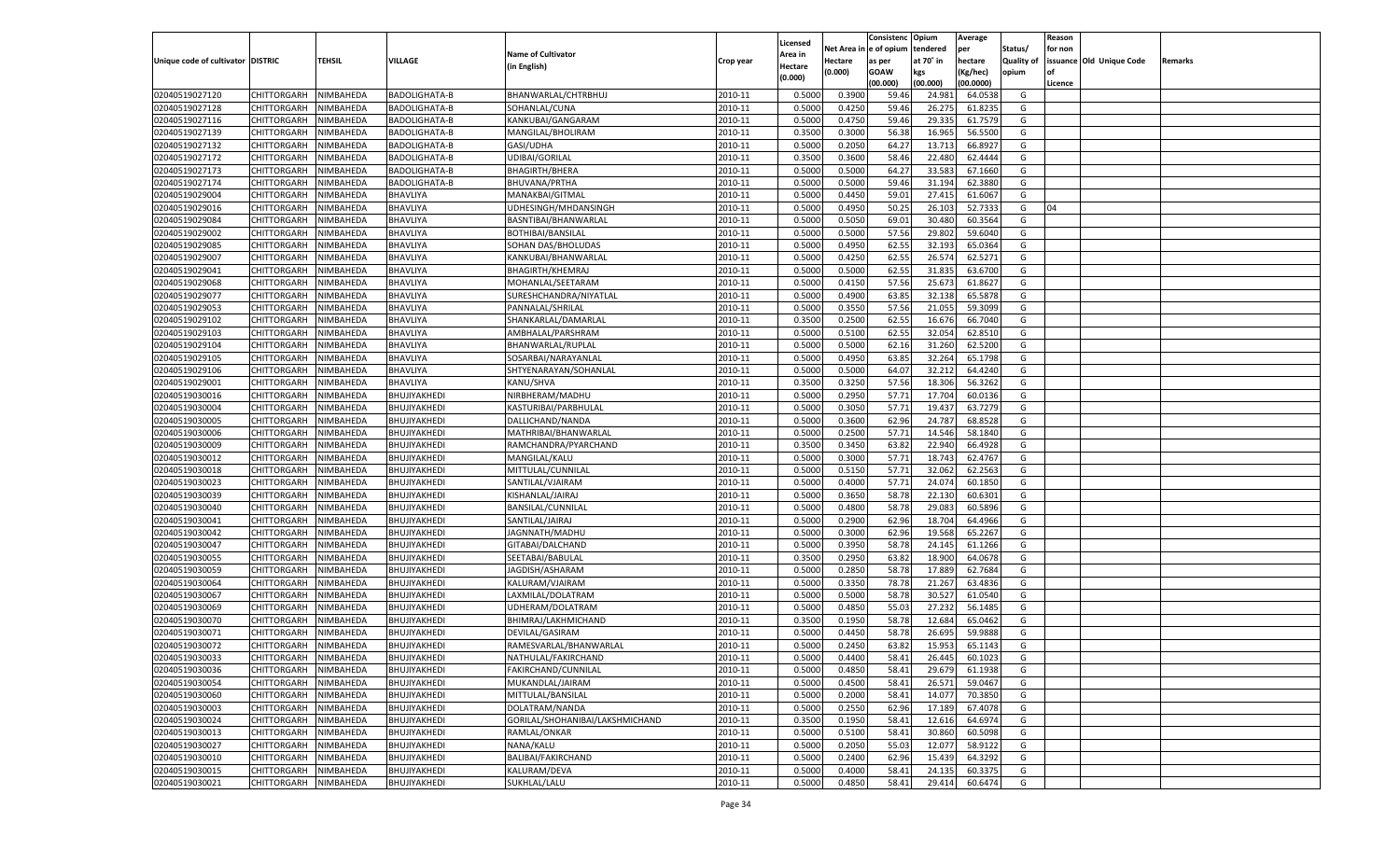|                                   |                       |           |                      |                                 |           |          |          | Consistenc Opium |           | Average   |                   | Reason    |                          |         |
|-----------------------------------|-----------------------|-----------|----------------------|---------------------------------|-----------|----------|----------|------------------|-----------|-----------|-------------------|-----------|--------------------------|---------|
|                                   |                       |           |                      |                                 |           | Licensed | Net Area | e of opium       | tendered  | per       | Status/           | for non   |                          |         |
| Unique code of cultivator DISTRIC |                       | TEHSIL    | VILLAGE              | <b>Name of Cultivator</b>       | Crop year | Area in  | Hectare  | as per           | at 70˚ in | hectare   | <b>Quality of</b> |           | issuance Old Unique Code | Remarks |
|                                   |                       |           |                      | (in English)                    |           | Hectare  | (0.000)  | <b>GOAW</b>      | kgs       | (Kg/hec)  | opium             | <b>of</b> |                          |         |
|                                   |                       |           |                      |                                 |           | (0.000)  |          | (00.000)         | (00.000)  | (00.0000) |                   | Licence   |                          |         |
| 02040519027120                    | CHITTORGARH           | NIMBAHEDA | BADOLIGHATA-B        | BHANWARLAL/CHTRBHUJ             | 2010-11   | 0.5000   | 0.3900   | 59.4             | 24.98     | 64.0538   | G                 |           |                          |         |
| 02040519027128                    | CHITTORGARH           | NIMBAHEDA | <b>BADOLIGHATA-B</b> | SOHANLAL/CUNA                   | 2010-11   | 0.5000   | 0.4250   | 59.4             | 26.275    | 61.8235   | G                 |           |                          |         |
| 02040519027116                    | <b>CHITTORGARH</b>    | NIMBAHEDA | BADOLIGHATA-B        | KANKUBAI/GANGARAM               | 2010-11   | 0.5000   | 0.4750   | 59.46            | 29.335    | 61.7579   | G                 |           |                          |         |
| 02040519027139                    | CHITTORGARH           | NIMBAHEDA | BADOLIGHATA-B        | MANGILAL/BHOLIRAM               | 2010-11   | 0.3500   | 0.3000   | 56.38            | 16.965    | 56.5500   | G                 |           |                          |         |
| 02040519027132                    | CHITTORGARH           | NIMBAHEDA | BADOLIGHATA-B        | GASI/UDHA                       | 2010-11   | 0.5000   | 0.2050   | 64.27            | 13.713    | 66.892    | G                 |           |                          |         |
| 02040519027172                    | CHITTORGARH           | NIMBAHEDA | BADOLIGHATA-B        | UDIBAI/GORILAL                  | 2010-11   | 0.3500   | 0.3600   | 58.4             | 22.480    | 62.4444   | G                 |           |                          |         |
| 02040519027173                    | CHITTORGARH           | NIMBAHEDA | BADOLIGHATA-B        | <b>BHAGIRTH/BHERA</b>           | 2010-11   | 0.5000   | 0.5000   | 64.27            | 33.583    | 67.1660   | G                 |           |                          |         |
| 02040519027174                    | CHITTORGARH           | NIMBAHEDA | BADOLIGHATA-B        | BHUVANA/PRTHA                   | 2010-11   | 0.5000   | 0.5000   | 59.46            | 31.194    | 62.3880   | G                 |           |                          |         |
| 02040519029004                    | CHITTORGARH           | NIMBAHEDA | BHAVLIYA             | MANAKBAI/GITMAL                 | 2010-11   | 0.5000   | 0.4450   | 59.01            | 27.415    | 61.6067   | G                 |           |                          |         |
| 02040519029016                    | CHITTORGARH           | NIMBAHEDA | BHAVLIYA             | UDHESINGH/MHDANSINGH            | 2010-11   | 0.5000   | 0.4950   | 50.25            | 26.103    | 52.7333   | G                 | 04        |                          |         |
| 02040519029084                    | CHITTORGARH           | NIMBAHEDA | BHAVLIYA             | BASNTIBAI/BHANWARLAL            | 2010-11   | 0.5000   | 0.5050   | 69.01            | 30.480    | 60.3564   | G                 |           |                          |         |
| 02040519029002                    | CHITTORGARH           | NIMBAHEDA | BHAVLIYA             | BOTHIBAI/BANSILAL               | 2010-11   | 0.5000   | 0.5000   | 57.56            | 29.802    | 59.6040   | G                 |           |                          |         |
| 02040519029085                    | CHITTORGARH           | NIMBAHEDA | BHAVLIYA             | SOHAN DAS/BHOLUDAS              | 2010-11   | 0.5000   | 0.4950   | 62.55            | 32.193    | 65.0364   | G                 |           |                          |         |
| 02040519029007                    | CHITTORGARH           | NIMBAHEDA | BHAVLIYA             | KANKUBAI/BHANWARLAI             | 2010-11   | 0.5000   | 0.4250   | 62.55            | 26.57     | 62.5271   | G                 |           |                          |         |
| 02040519029041                    | <b>CHITTORGARH</b>    | NIMBAHEDA | BHAVLIYA             | <b>BHAGIRTH/KHEMRAJ</b>         | 2010-11   | 0.5000   | 0.5000   | 62.55            | 31.835    | 63.6700   | G                 |           |                          |         |
|                                   |                       |           |                      |                                 |           |          |          |                  |           |           |                   |           |                          |         |
| 02040519029068                    | CHITTORGARH           | NIMBAHEDA | BHAVLIYA             | MOHANLAL/SEETARAM               | 2010-11   | 0.5000   | 0.4150   | 57.56            | 25.673    | 61.8627   | G                 |           |                          |         |
| 02040519029077                    | <b>CHITTORGARH</b>    | NIMBAHEDA | BHAVLIYA             | SURESHCHANDRA/NIYATLAL          | 2010-11   | 0.5000   | 0.4900   | 63.85            | 32.138    | 65.5878   | G                 |           |                          |         |
| 02040519029053                    | CHITTORGARH           | NIMBAHEDA | BHAVLIYA             | PANNALAL/SHRILAL                | 2010-11   | 0.5000   | 0.3550   | 57.56            | 21.055    | 59.3099   | G                 |           |                          |         |
| 02040519029102                    | <b>CHITTORGARH</b>    | NIMBAHEDA | BHAVLIYA             | SHANKARLAL/DAMARLAL             | 2010-11   | 0.3500   | 0.2500   | 62.55            | 16.676    | 66.7040   | G                 |           |                          |         |
| 02040519029103                    | CHITTORGARH           | NIMBAHEDA | BHAVLIYA             | AMBHALAL/PARSHRAM               | 2010-11   | 0.5000   | 0.5100   | 62.55            | 32.054    | 62.8510   | G                 |           |                          |         |
| 02040519029104                    | <b>CHITTORGARH</b>    | NIMBAHEDA | BHAVLIYA             | BHANWARLAL/RUPLAL               | 2010-11   | 0.5000   | 0.5000   | 62.16            | 31.260    | 62.5200   | G                 |           |                          |         |
| 02040519029105                    | CHITTORGARH           | NIMBAHEDA | BHAVLIYA             | SOSARBAI/NARAYANLAL             | 2010-11   | 0.5000   | 0.4950   | 63.85            | 32.264    | 65.1798   | G                 |           |                          |         |
| 02040519029106                    | <b>CHITTORGARH</b>    | NIMBAHEDA | BHAVLIYA             | SHTYENARAYAN/SOHANLAL           | 2010-11   | 0.5000   | 0.5000   | 64.07            | 32.212    | 64.4240   | G                 |           |                          |         |
| 02040519029001                    | CHITTORGARH           | NIMBAHEDA | BHAVLIYA             | KANU/SHVA                       | 2010-11   | 0.3500   | 0.3250   | 57.56            | 18.306    | 56.3262   | G                 |           |                          |         |
| 02040519030016                    | <b>CHITTORGARH</b>    | NIMBAHEDA | BHUJIYAKHEDI         | NIRBHERAM/MADHU                 | 2010-11   | 0.5000   | 0.2950   | 57.71            | 17.704    | 60.0136   | G                 |           |                          |         |
| 02040519030004                    | CHITTORGARH           | NIMBAHEDA | BHUJIYAKHEDI         | KASTURIBAI/PARBHULAL            | 2010-11   | 0.5000   | 0.3050   | 57.71            | 19.43     | 63.7279   | G                 |           |                          |         |
| 02040519030005                    | <b>CHITTORGARH</b>    | NIMBAHEDA | BHUJIYAKHEDI         | DALLICHAND/NANDA                | 2010-11   | 0.5000   | 0.3600   | 62.96            | 24.787    | 68.8528   | G                 |           |                          |         |
| 02040519030006                    | CHITTORGARH           | NIMBAHEDA | BHUJIYAKHEDI         | MATHRIBAI/BHANWARLAL            | 2010-11   | 0.5000   | 0.2500   | 57.71            | 14.546    | 58.1840   | G                 |           |                          |         |
| 02040519030009                    | <b>CHITTORGARH</b>    | NIMBAHEDA | BHUJIYAKHEDI         | RAMCHANDRA/PYARCHAND            | 2010-11   | 0.3500   | 0.3450   | 63.82            | 22.940    | 66.4928   | G                 |           |                          |         |
| 02040519030012                    | CHITTORGARH           | NIMBAHEDA | BHUJIYAKHEDI         | MANGILAL/KALU                   | 2010-11   | 0.5000   | 0.3000   | 57.71            | 18.743    | 62.4767   | G                 |           |                          |         |
| 02040519030018                    | CHITTORGARH           | NIMBAHEDA | BHUJIYAKHEDI         | MITTULAL/CUNNILAI               | 2010-11   | 0.5000   | 0.5150   | 57.71            | 32.062    | 62.2563   | G                 |           |                          |         |
| 02040519030023                    | CHITTORGARH           | NIMBAHEDA | BHUJIYAKHEDI         | SANTILAL/VJAIRAM                | 2010-11   | 0.5000   | 0.4000   | 57.71            | 24.07     | 60.1850   | G                 |           |                          |         |
| 02040519030039                    | CHITTORGARH           | NIMBAHEDA | BHUJIYAKHEDI         | KISHANLAL/JAIRAJ                | 2010-11   | 0.5000   | 0.3650   | 58.78            | 22.13     | 60.6301   | G                 |           |                          |         |
| 02040519030040                    | CHITTORGARH           | NIMBAHEDA | BHUJIYAKHEDI         | BANSILAL/CUNNILAL               | 2010-11   | 0.5000   | 0.4800   | 58.78            | 29.08     | 60.589    | G                 |           |                          |         |
| 02040519030041                    | CHITTORGARH           | NIMBAHEDA | BHUJIYAKHEDI         | SANTILAL/JAIRAJ                 | 2010-11   | 0.5000   | 0.2900   | 62.96            | 18.704    | 64.4966   | G                 |           |                          |         |
| 02040519030042                    | CHITTORGARH           | NIMBAHEDA | BHUJIYAKHEDI         | JAGNNATH/MADHU                  | 2010-11   | 0.5000   | 0.3000   | 62.96            | 19.568    | 65.2267   | G                 |           |                          |         |
| 02040519030047                    | CHITTORGARH           | NIMBAHEDA | BHUJIYAKHEDI         | GITABAI/DALCHAND                | 2010-11   | 0.5000   | 0.3950   | 58.78            | 24.145    | 61.1266   | G                 |           |                          |         |
| 02040519030055                    |                       |           |                      |                                 | 2010-11   | 0.3500   | 0.2950   | 63.82            | 18.90     | 64.0678   | G                 |           |                          |         |
|                                   | CHITTORGARH           | NIMBAHEDA | BHUJIYAKHEDI         | SEETABAI/BABULAL                |           |          |          |                  |           |           |                   |           |                          |         |
| 02040519030059                    | CHITTORGARH           | NIMBAHEDA | BHUJIYAKHEDI         | JAGDISH/ASHARAM                 | 2010-11   | 0.5000   | 0.2850   | 58.78            | 17.889    | 62.7684   | G                 |           |                          |         |
| 02040519030064                    | CHITTORGARH           | NIMBAHEDA | BHUJIYAKHEDI         | KALURAM/VJAIRAM                 | 2010-11   | 0.5000   | 0.3350   | 78.78            | 21.267    | 63.4836   | G                 |           |                          |         |
| 02040519030067                    | CHITTORGARH           | NIMBAHEDA | BHUJIYAKHEDI         | LAXMILAL/DOLATRAM               | 2010-11   | 0.5000   | 0.5000   | 58.78            | 30.52     | 61.0540   | G                 |           |                          |         |
| 02040519030069                    | CHITTORGARH           | NIMBAHEDA | BHUJIYAKHEDI         | UDHERAM/DOLATRAM                | 2010-11   | 0.5000   | 0.4850   | 55.03            | 27.232    | 56.148    | G                 |           |                          |         |
| 02040519030070                    | CHITTORGARH           | NIMBAHEDA | BHUJIYAKHEDI         | BHIMRAJ/LAKHMICHAND             | 2010-11   | 0.3500   | 0.1950   | 58.78            | 12.684    | 65.0462   | G                 |           |                          |         |
| 02040519030071                    | CHITTORGARH           | NIMBAHEDA | BHUJIYAKHEDI         | DEVILAL/GASIRAM                 | 2010-11   | 0.5000   | 0.4450   | 58.78            | 26.69     | 59.9888   | G                 |           |                          |         |
| 02040519030072                    | CHITTORGARH           | NIMBAHEDA | BHUJIYAKHEDI         | RAMESVARLAL/BHANWARLAL          | 2010-11   | 0.5000   | 0.2450   | 63.82            | 15.953    | 65.1143   | G                 |           |                          |         |
| 02040519030033                    | CHITTORGARH NIMBAHEDA |           | BHUJIYAKHEDI         | NATHULAL/FAKIRCHAND             | 2010-11   | 0.5000   | 0.4400   | 58.41            | 26.445    | 60.1023   | G                 |           |                          |         |
| 02040519030036                    | <b>CHITTORGARH</b>    | NIMBAHEDA | BHUJIYAKHEDI         | FAKIRCHAND/CUNNILAL             | 2010-11   | 0.5000   | 0.4850   | 58.41            | 29.679    | 61.1938   | G                 |           |                          |         |
| 02040519030054                    | <b>CHITTORGARH</b>    | NIMBAHEDA | BHUJIYAKHEDI         | MUKANDLAL/JAIRAM                | 2010-11   | 0.5000   | 0.4500   | 58.4             | 26.571    | 59.0467   | G                 |           |                          |         |
| 02040519030060                    | <b>CHITTORGARH</b>    | NIMBAHEDA | BHUJIYAKHEDI         | MITTULAL/BANSILAL               | 2010-11   | 0.5000   | 0.2000   | 58.41            | 14.077    | 70.3850   | G                 |           |                          |         |
| 02040519030003                    | <b>CHITTORGARH</b>    | NIMBAHEDA | BHUJIYAKHEDI         | DOLATRAM/NANDA                  | 2010-11   | 0.5000   | 0.2550   | 62.96            | 17.189    | 67.4078   | G                 |           |                          |         |
| 02040519030024                    | <b>CHITTORGARH</b>    | NIMBAHEDA | BHUJIYAKHEDI         | GORILAL/SHOHANIBAI/LAKSHMICHAND | 2010-11   | 0.3500   | 0.1950   | 58.4             | 12.616    | 64.6974   | G                 |           |                          |         |
| 02040519030013                    | <b>CHITTORGARH</b>    | NIMBAHEDA | BHUJIYAKHEDI         | RAMLAL/ONKAR                    | 2010-11   | 0.5000   | 0.5100   | 58.4             | 30.860    | 60.5098   | G                 |           |                          |         |
| 02040519030027                    | <b>CHITTORGARH</b>    | NIMBAHEDA | BHUJIYAKHEDI         | NANA/KALU                       | 2010-11   | 0.5000   | 0.2050   | 55.03            | 12.077    | 58.9122   | G                 |           |                          |         |
| 02040519030010                    | <b>CHITTORGARH</b>    | NIMBAHEDA | BHUJIYAKHEDI         | BALIBAI/FAKIRCHAND              | 2010-11   | 0.5000   | 0.2400   | 62.96            | 15.439    | 64.3292   | G                 |           |                          |         |
| 02040519030015                    | <b>CHITTORGARH</b>    | NIMBAHEDA | BHUJIYAKHEDI         | KALURAM/DEVA                    | 2010-11   | 0.5000   | 0.4000   | 58.41            | 24.135    | 60.3375   | G                 |           |                          |         |
| 02040519030021                    | <b>CHITTORGARH</b>    | NIMBAHEDA | BHUJIYAKHEDI         | SUKHLAL/LALU                    | 2010-11   | 0.5000   | 0.4850   | 58.41            | 29.414    | 60.6474   | G                 |           |                          |         |
|                                   |                       |           |                      |                                 |           |          |          |                  |           |           |                   |           |                          |         |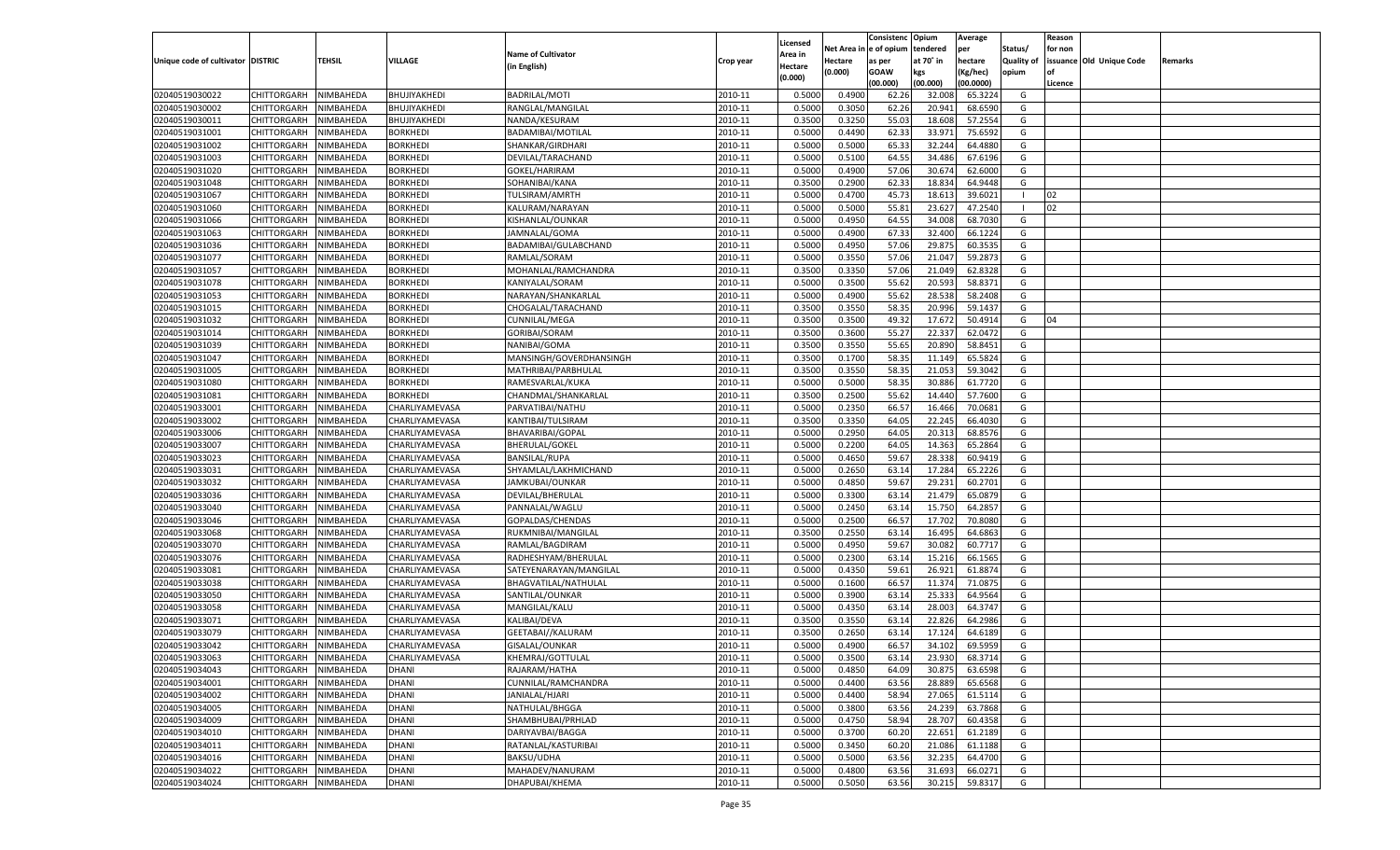|                                   |                       |               |                 |                                    |           |                           |          | Consistenc  | Opium     | Average   |                   | Reason  |                          |         |
|-----------------------------------|-----------------------|---------------|-----------------|------------------------------------|-----------|---------------------------|----------|-------------|-----------|-----------|-------------------|---------|--------------------------|---------|
|                                   |                       |               |                 | <b>Name of Cultivator</b>          |           | Licensed                  | Net Area | e of opium  | tendered  | per       | Status/           | for non |                          |         |
| Unique code of cultivator DISTRIC |                       | <b>TEHSIL</b> | VILLAGE         | (in English)                       | Crop year | <b>Area in</b><br>Hectare | Hectare  | as per      | at 70° in | hectare   | <b>Quality of</b> |         | issuance Old Unique Code | Remarks |
|                                   |                       |               |                 |                                    |           | (0.000)                   | (0.000)  | <b>GOAW</b> | kgs       | (Kg/hec)  | opium             |         |                          |         |
|                                   |                       |               |                 |                                    |           |                           |          | (00.000)    | (00.000)  | (00.0000) |                   | Licence |                          |         |
| 02040519030022                    | CHITTORGARH           | NIMBAHEDA     | BHUJIYAKHEDI    | <b>BADRILAL/MOTI</b>               | 2010-11   | 0.5000                    | 0.4900   | 62.26       | 32.008    | 65.3224   | G                 |         |                          |         |
| 02040519030002                    | CHITTORGARH           | NIMBAHEDA     | BHUJIYAKHEDI    | RANGLAL/MANGILAL                   | 2010-11   | 0.5000                    | 0.3050   | 62.26       | 20.941    | 68.6590   | G                 |         |                          |         |
| 02040519030011                    | CHITTORGARH           | NIMBAHEDA     | BHUJIYAKHEDI    | NANDA/KESURAM                      | 2010-11   | 0.3500                    | 0.3250   | 55.03       | 18.60     | 57.2554   | G                 |         |                          |         |
| 02040519031001                    | CHITTORGARH           | NIMBAHEDA     | BORKHEDI        | BADAMIBAI/MOTILAL                  | 2010-11   | 0.5000                    | 0.4490   | 62.33       | 33.971    | 75.6592   | G                 |         |                          |         |
| 02040519031002                    | CHITTORGARH           | NIMBAHEDA     | <b>BORKHEDI</b> | SHANKAR/GIRDHARI                   | 2010-11   | 0.5000                    | 0.5000   | 65.33       | 32.244    | 64.4880   | G                 |         |                          |         |
| 02040519031003                    | CHITTORGARH           | NIMBAHEDA     | BORKHEDI        | DEVILAL/TARACHAND                  | 2010-11   | 0.5000                    | 0.5100   | 64.55       | 34.486    | 67.6196   | G                 |         |                          |         |
| 02040519031020                    | CHITTORGARH           | NIMBAHEDA     | BORKHEDI        | GOKEL/HARIRAM                      | 2010-11   | 0.5000                    | 0.4900   | 57.06       | 30.67     | 62.6000   | G                 |         |                          |         |
| 02040519031048                    | CHITTORGARH           | NIMBAHEDA     | BORKHEDI        | SOHANIBAI/KANA                     | 2010-11   | 0.3500                    | 0.2900   | 62.33       | 18.834    | 64.9448   | G                 |         |                          |         |
| 02040519031067                    | CHITTORGARH           | NIMBAHEDA     | <b>BORKHEDI</b> | TULSIRAM/AMRTH                     | 2010-11   | 0.5000                    | 0.4700   | 45.73       | 18.613    | 39.6021   | - 1               | 02      |                          |         |
| 02040519031060                    | CHITTORGARH           | NIMBAHEDA     | BORKHEDI        | KALURAM/NARAYAN                    | 2010-11   | 0.5000                    | 0.5000   | 55.81       | 23.627    | 47.2540   | - 1               | 02      |                          |         |
| 02040519031066                    | CHITTORGARH           | NIMBAHEDA     | BORKHEDI        | KISHANLAL/OUNKAR                   | 2010-11   | 0.5000                    | 0.4950   | 64.55       | 34.008    | 68.7030   | G                 |         |                          |         |
| 02040519031063                    | CHITTORGARH           | NIMBAHEDA     | BORKHEDI        | JAMNALAL/GOMA                      | 2010-11   | 0.5000                    | 0.4900   | 67.33       | 32.400    | 66.1224   | G                 |         |                          |         |
| 02040519031036                    | CHITTORGARH           | NIMBAHEDA     | <b>BORKHEDI</b> | BADAMIBAI/GULABCHAND               | 2010-11   | 0.5000                    | 0.4950   | 57.06       | 29.875    | 60.3535   | G                 |         |                          |         |
| 02040519031077                    | CHITTORGARH           | NIMBAHEDA     | <b>BORKHEDI</b> | RAMLAL/SORAM                       | 2010-11   | 0.5000                    | 0.3550   | 57.06       | 21.047    | 59.287    | G                 |         |                          |         |
| 02040519031057                    | CHITTORGARH           | NIMBAHEDA     | <b>BORKHEDI</b> | MOHANLAL/RAMCHANDRA                | 2010-11   | 0.3500                    | 0.3350   | 57.06       | 21.049    | 62.8328   | G                 |         |                          |         |
| 02040519031078                    | CHITTORGARH           | NIMBAHEDA     | BORKHEDI        | KANIYALAL/SORAM                    | 2010-11   | 0.5000                    | 0.3500   | 55.62       | 20.593    | 58.8371   | G                 |         |                          |         |
| 02040519031053                    | CHITTORGARH           | NIMBAHEDA     | <b>BORKHEDI</b> | NARAYAN/SHANKARLAL                 | 2010-11   | 0.5000                    | 0.4900   | 55.62       | 28.538    | 58.2408   | G                 |         |                          |         |
| 02040519031015                    | CHITTORGARH           | NIMBAHEDA     | BORKHEDI        | CHOGALAL/TARACHAND                 | 2010-11   | 0.3500                    | 0.3550   | 58.3        | 20.996    | 59.1437   | G                 |         |                          |         |
| 02040519031032                    | CHITTORGARH           | NIMBAHEDA     | <b>BORKHEDI</b> | <b>CUNNILAL/MEGA</b>               | 2010-11   | 0.3500                    | 0.3500   | 49.32       | 17.672    | 50.4914   | G                 | 04      |                          |         |
| 02040519031014                    | CHITTORGARH           | NIMBAHEDA     | BORKHEDI        | <b>GORIBAI/SORAM</b>               | 2010-11   | 0.3500                    | 0.3600   | 55.27       | 22.337    | 62.0472   | G                 |         |                          |         |
| 02040519031039                    | CHITTORGARH           | NIMBAHEDA     | <b>BORKHEDI</b> | NANIBAI/GOMA                       | 2010-11   | 0.3500                    | 0.3550   | 55.65       | 20.890    | 58.8451   | G                 |         |                          |         |
| 02040519031047                    | CHITTORGARH           | NIMBAHEDA     | BORKHEDI        | MANSINGH/GOVERDHANSINGH            | 2010-11   | 0.3500                    | 0.1700   | 58.3        | 11.149    | 65.5824   | G                 |         |                          |         |
| 02040519031005                    | CHITTORGARH           | NIMBAHEDA     | <b>BORKHEDI</b> | MATHRIBAI/PARBHULAL                | 2010-11   | 0.3500                    | 0.3550   | 58.35       | 21.053    | 59.3042   | G                 |         |                          |         |
| 02040519031080                    | CHITTORGARH           | NIMBAHEDA     | BORKHEDI        | RAMESVARLAL/KUKA                   | 2010-11   | 0.5000                    | 0.5000   | 58.35       | 30.886    | 61.7720   | G                 |         |                          |         |
| 02040519031081                    | CHITTORGARH           | NIMBAHEDA     | <b>BORKHEDI</b> | CHANDMAL/SHANKARLAL                | 2010-11   | 0.3500                    | 0.2500   | 55.62       | 14.440    | 57.7600   | G                 |         |                          |         |
| 02040519033001                    | CHITTORGARH           | NIMBAHEDA     | CHARLIYAMEVASA  | PARVATIBAI/NATHU                   | 2010-11   | 0.5000                    | 0.2350   | 66.57       | 16.466    | 70.0681   | G                 |         |                          |         |
| 02040519033002                    | CHITTORGARH           | NIMBAHEDA     | CHARLIYAMEVASA  | KANTIBAI/TULSIRAM                  | 2010-11   | 0.3500                    | 0.3350   | 64.05       | 22.245    | 66.4030   | G                 |         |                          |         |
| 02040519033006                    | CHITTORGARH           | NIMBAHEDA     | CHARLIYAMEVASA  | BHAVARIBAI/GOPAL                   | 2010-11   | 0.5000                    | 0.2950   | 64.05       | 20.313    | 68.8576   | G                 |         |                          |         |
| 02040519033007                    | CHITTORGARH           | NIMBAHEDA     | CHARLIYAMEVASA  | <b>BHERULAL/GOKEL</b>              | 2010-11   | 0.5000                    | 0.2200   | 64.05       | 14.363    | 65.2864   | G                 |         |                          |         |
| 02040519033023                    | CHITTORGARH           | NIMBAHEDA     | CHARLIYAMEVASA  | <b>BANSILAL/RUPA</b>               | 2010-11   | 0.5000                    | 0.4650   | 59.67       | 28.338    | 60.9419   | G                 |         |                          |         |
| 02040519033031                    | CHITTORGARH           | NIMBAHEDA     | CHARLIYAMEVASA  | SHYAMLAL/LAKHMICHAND               | 2010-11   | 0.5000                    | 0.2650   | 63.14       | 17.284    | 65.2226   | G                 |         |                          |         |
| 02040519033032                    | CHITTORGARH           | NIMBAHEDA     | CHARLIYAMEVASA  | JAMKUBAI/OUNKAR                    | 2010-11   | 0.5000                    | 0.4850   | 59.67       | 29.231    | 60.2701   | G                 |         |                          |         |
| 02040519033036                    | CHITTORGARH           | NIMBAHEDA     | CHARLIYAMEVASA  | DEVILAL/BHERULAL                   | 2010-11   | 0.5000                    | 0.3300   | 63.14       | 21.479    | 65.0879   | G                 |         |                          |         |
| 02040519033040                    | CHITTORGARH           | NIMBAHEDA     | CHARLIYAMEVASA  | PANNALAL/WAGLU                     | 2010-11   | 0.5000                    | 0.2450   | 63.14       | 15.75     | 64.285    | G                 |         |                          |         |
| 02040519033046                    | CHITTORGARH           | NIMBAHEDA     | CHARLIYAMEVASA  | GOPALDAS/CHENDAS                   | 2010-11   | 0.5000                    | 0.2500   | 66.57       | 17.702    | 70.8080   | G                 |         |                          |         |
| 02040519033068                    | CHITTORGARH           | NIMBAHEDA     | CHARLIYAMEVASA  | RUKMNIBAI/MANGILAL                 | 2010-11   | 0.3500                    | 0.2550   | 63.14       | 16.495    | 64.686    | G                 |         |                          |         |
| 02040519033070                    | CHITTORGARH           | NIMBAHEDA     | CHARLIYAMEVASA  | RAMLAL/BAGDIRAM                    | 2010-11   | 0.5000                    | 0.4950   | 59.67       | 30.082    | 60.7717   | G                 |         |                          |         |
| 02040519033076                    | CHITTORGARH           | NIMBAHEDA     | CHARLIYAMEVASA  | RADHESHYAM/BHERULAI                | 2010-11   | 0.5000                    | 0.2300   | 63.14       | 15.216    | 66.1565   | G                 |         |                          |         |
| 02040519033081                    | CHITTORGARH           | NIMBAHEDA     | CHARLIYAMEVASA  | SATEYENARAYAN/MANGILAL             | 2010-11   | 0.5000                    | 0.4350   | 59.61       | 26.921    | 61.8874   | G                 |         |                          |         |
| 02040519033038                    | CHITTORGARH           | NIMBAHEDA     | CHARLIYAMEVASA  | BHAGVATILAL/NATHULAL               | 2010-11   | 0.5000                    | 0.1600   | 66.57       | 11.374    | 71.087    | G                 |         |                          |         |
| 02040519033050                    | CHITTORGARH           | NIMBAHEDA     | CHARLIYAMEVASA  | SANTILAL/OUNKAR                    | 2010-11   | 0.5000                    | 0.3900   | 63.14       | 25.333    | 64.9564   | G                 |         |                          |         |
| 02040519033058                    | CHITTORGARH           | NIMBAHEDA     | CHARLIYAMEVASA  | MANGILAL/KALU                      | 2010-11   | 0.5000                    | 0.4350   | 63.14       | 28.003    | 64.3747   | G                 |         |                          |         |
| 02040519033071                    | CHITTORGARH           | NIMBAHEDA     | CHARLIYAMEVASA  | KALIBAI/DEVA                       | 2010-11   | 0.3500                    | 0.3550   | 63.14       | 22.826    | 64.2986   | G                 |         |                          |         |
| 02040519033079                    | CHITTORGARH           | NIMBAHEDA     | CHARLIYAMEVASA  | GEETABAI//KALURAM                  | 2010-11   | 0.3500                    | 0.2650   | 63.14       | 17.12     | 64.6189   | G                 |         |                          |         |
| 02040519033042                    |                       | NIMBAHEDA     |                 |                                    | 2010-11   | 0.5000                    | 0.4900   | 66.57       |           | 69.5959   | G                 |         |                          |         |
|                                   | CHITTORGARH           |               | CHARLIYAMEVASA  | GISALAL/OUNKAR<br>KHEMRAJ/GOTTULAL |           |                           |          |             | 34.102    |           |                   |         |                          |         |
| 02040519033063                    | CHITTORGARH NIMBAHEDA |               | CHARLIYAMEVASA  |                                    | 2010-11   | 0.5000                    | 0.3500   | 63.14       | 23.930    | 68.3714   | G                 |         |                          |         |
| 02040519034043                    | <b>CHITTORGARH</b>    | NIMBAHEDA     | <b>DHANI</b>    | RAJARAM/HATHA                      | 2010-11   | 0.5000                    | 0.4850   | 64.09       | 30.875    | 63.6598   | G                 |         |                          |         |
| 02040519034001                    | <b>CHITTORGARH</b>    | NIMBAHEDA     | <b>DHANI</b>    | CUNNILAL/RAMCHANDRA                | 2010-11   | 0.5000                    | 0.4400   | 63.56       | 28.889    | 65.6568   | G                 |         |                          |         |
| 02040519034002                    | <b>CHITTORGARH</b>    | NIMBAHEDA     | <b>DHANI</b>    | JANIALAL/HJARI                     | 2010-11   | 0.5000                    | 0.4400   | 58.94       | 27.065    | 61.5114   | G                 |         |                          |         |
| 02040519034005                    | <b>CHITTORGARH</b>    | NIMBAHEDA     | <b>DHANI</b>    | NATHULAL/BHGGA                     | 2010-11   | 0.5000                    | 0.3800   | 63.56       | 24.239    | 63.7868   | G                 |         |                          |         |
| 02040519034009                    | <b>CHITTORGARH</b>    | NIMBAHEDA     | <b>DHANI</b>    | SHAMBHUBAI/PRHLAD                  | 2010-11   | 0.5000                    | 0.4750   | 58.94       | 28.707    | 60.4358   | G                 |         |                          |         |
| 02040519034010                    | <b>CHITTORGARH</b>    | NIMBAHEDA     | DHANI           | DARIYAVBAI/BAGGA                   | 2010-11   | 0.5000                    | 0.3700   | 60.20       | 22.651    | 61.2189   | G                 |         |                          |         |
| 02040519034011                    | <b>CHITTORGARH</b>    | NIMBAHEDA     | <b>DHANI</b>    | RATANLAL/KASTURIBAI                | 2010-11   | 0.5000                    | 0.3450   | 60.20       | 21.086    | 61.1188   | G                 |         |                          |         |
| 02040519034016                    | <b>CHITTORGARH</b>    | NIMBAHEDA     | <b>DHANI</b>    | BAKSU/UDHA                         | 2010-11   | 0.5000                    | 0.5000   | 63.56       | 32.235    | 64.4700   | G                 |         |                          |         |
| 02040519034022                    | <b>CHITTORGARH</b>    | NIMBAHEDA     | <b>DHANI</b>    | MAHADEV/NANURAM                    | 2010-11   | 0.5000                    | 0.4800   | 63.56       | 31.693    | 66.0271   | G                 |         |                          |         |
| 02040519034024                    | CHITTORGARH           | NIMBAHEDA     | <b>DHANI</b>    | DHAPUBAI/KHEMA                     | 2010-11   | 0.5000                    | 0.5050   | 63.56       | 30.215    | 59.8317   | G                 |         |                          |         |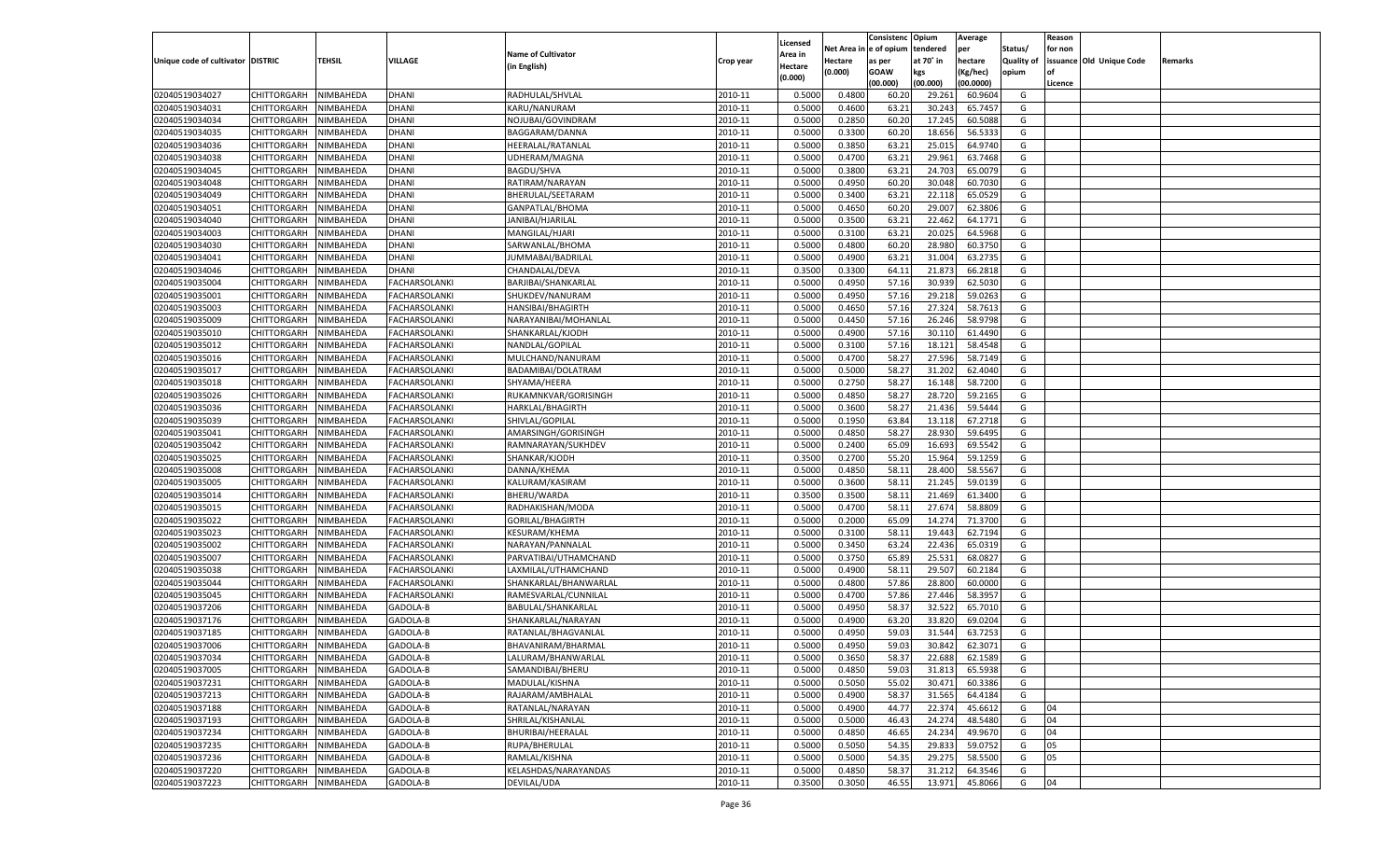|                                   |                                          |                  |               |                           |           |                           |          | Consistenc  | Opium     | Average   |                   | Reason  |                          |         |
|-----------------------------------|------------------------------------------|------------------|---------------|---------------------------|-----------|---------------------------|----------|-------------|-----------|-----------|-------------------|---------|--------------------------|---------|
|                                   |                                          |                  |               | <b>Name of Cultivator</b> |           | Licensed                  | Net Area | e of opium  | tendered  | per       | Status/           | for non |                          |         |
| Unique code of cultivator DISTRIC |                                          | <b>TEHSIL</b>    | VILLAGE       | (in English)              | Crop year | <b>Area in</b><br>Hectare | Hectare  | as per      | at 70° in | hectare   | <b>Quality of</b> |         | issuance Old Unique Code | Remarks |
|                                   |                                          |                  |               |                           |           | (0.000)                   | (0.000)  | <b>GOAW</b> | kgs       | (Kg/hec)  | opium             |         |                          |         |
|                                   |                                          |                  |               |                           |           |                           |          | (00.000)    | (00.000)  | (00.0000) |                   | Licence |                          |         |
| 02040519034027                    | CHITTORGARH                              | NIMBAHEDA        | DHANI         | RADHULAL/SHVLAL           | 2010-11   | 0.5000                    | 0.4800   | 60.20       | 29.261    | 60.9604   | G                 |         |                          |         |
| 02040519034031                    | CHITTORGARH                              | NIMBAHEDA        | DHANI         | KARU/NANURAM              | 2010-11   | 0.5000                    | 0.4600   | 63.2        | 30.243    | 65.7457   | G                 |         |                          |         |
| 02040519034034                    | CHITTORGARH                              | NIMBAHEDA        | DHANI         | NOJUBAI/GOVINDRAM         | 2010-11   | 0.5000                    | 0.2850   | 60.20       | 17.245    | 60.5088   | G                 |         |                          |         |
| 02040519034035                    | CHITTORGARH                              | NIMBAHEDA        | DHANI         | BAGGARAM/DANNA            | 2010-11   | 0.5000                    | 0.3300   | 60.20       | 18.656    | 56.5333   | G                 |         |                          |         |
| 02040519034036                    | CHITTORGARH                              | NIMBAHEDA        | DHANI         | HEERALAL/RATANLAI         | 2010-11   | 0.5000                    | 0.3850   | 63.21       | 25.015    | 64.9740   | G                 |         |                          |         |
| 02040519034038                    | CHITTORGARH                              | NIMBAHEDA        | DHANI         | UDHERAM/MAGNA             | 2010-11   | 0.5000                    | 0.4700   | 63.2        | 29.961    | 63.7468   | G                 |         |                          |         |
| 02040519034045                    | CHITTORGARH                              | NIMBAHEDA        | DHANI         | <b>BAGDU/SHVA</b>         | 2010-11   | 0.5000                    | 0.3800   | 63.2        | 24.703    | 65.0079   | G                 |         |                          |         |
| 02040519034048                    | CHITTORGARH                              | NIMBAHEDA        | DHANI         | RATIRAM/NARAYAN           | 2010-11   | 0.5000                    | 0.4950   | 60.20       | 30.048    | 60.7030   | G                 |         |                          |         |
| 02040519034049                    | CHITTORGARH                              | NIMBAHEDA        | DHANI         | BHERULAL/SEETARAM         | 2010-11   | 0.5000                    | 0.3400   | 63.21       | 22.118    | 65.0529   | G                 |         |                          |         |
| 02040519034051                    | CHITTORGARH                              | NIMBAHEDA        | DHANI         | GANPATLAL/BHOMA           | 2010-11   | 0.5000                    | 0.4650   | 60.20       | 29.007    | 62.380    | G                 |         |                          |         |
| 02040519034040                    | CHITTORGARH                              | NIMBAHEDA        | DHANI         | JANIBAI/HJARILAL          | 2010-11   | 0.5000                    | 0.3500   | 63.2        | 22.462    | 64.1771   | G                 |         |                          |         |
| 02040519034003                    | CHITTORGARH                              | NIMBAHEDA        | DHANI         | MANGILAL/HJARI            | 2010-11   | 0.5000                    | 0.3100   | 63.2        | 20.025    | 64.5968   | G                 |         |                          |         |
| 02040519034030                    | CHITTORGARH                              | NIMBAHEDA        | DHANI         | SARWANLAL/BHOMA           | 2010-11   | 0.5000                    | 0.4800   | 60.20       | 28.980    | 60.3750   | G                 |         |                          |         |
| 02040519034041                    | CHITTORGARH                              | NIMBAHEDA        | DHANI         | JUMMABAI/BADRILAL         | 2010-11   | 0.5000                    | 0.4900   | 63.2        | 31.004    | 63.2735   | G                 |         |                          |         |
| 02040519034046                    | CHITTORGARH                              | NIMBAHEDA        | DHANI         | CHANDALAL/DEVA            | 2010-11   | 0.3500                    | 0.3300   | 64.11       | 21.873    | 66.2818   | G                 |         |                          |         |
| 02040519035004                    | CHITTORGARH                              | NIMBAHEDA        | FACHARSOLANKI | BARJIBAI/SHANKARLAL       | 2010-11   | 0.5000                    | 0.4950   | 57.16       | 30.939    | 62.5030   | G                 |         |                          |         |
| 02040519035001                    | CHITTORGARH                              | NIMBAHEDA        | FACHARSOLANKI | SHUKDEV/NANURAM           | 2010-11   | 0.5000                    | 0.4950   | 57.16       | 29.218    | 59.0263   | G                 |         |                          |         |
| 02040519035003                    | CHITTORGARH                              | NIMBAHEDA        | FACHARSOLANKI | HANSIBAI/BHAGIRTH         | 2010-11   | 0.5000                    | 0.4650   | 57.16       | 27.324    | 58.761    | G                 |         |                          |         |
| 02040519035009                    | CHITTORGARH                              | NIMBAHEDA        | FACHARSOLANKI | NARAYANIBAI/MOHANLAL      | 2010-11   | 0.5000                    | 0.4450   | 57.16       | 26.246    | 58.9798   | G                 |         |                          |         |
| 02040519035010                    | CHITTORGARH                              | NIMBAHEDA        | FACHARSOLANKI | SHANKARLAL/KJODH          | 2010-11   | 0.5000                    | 0.4900   | 57.16       | 30.110    | 61.4490   | G                 |         |                          |         |
| 02040519035012                    | CHITTORGARH                              | NIMBAHEDA        | FACHARSOLANKI | NANDLAL/GOPILAL           | 2010-11   | 0.5000                    | 0.3100   | 57.16       | 18.121    | 58.4548   | G                 |         |                          |         |
| 02040519035016                    | CHITTORGARH                              | NIMBAHEDA        | FACHARSOLANKI | MULCHAND/NANURAM          | 2010-11   | 0.5000                    | 0.4700   | 58.27       | 27.596    | 58.7149   | G                 |         |                          |         |
| 02040519035017                    | CHITTORGARH                              | NIMBAHEDA        | FACHARSOLANKI | BADAMIBAI/DOLATRAM        | 2010-11   | 0.5000                    | 0.5000   | 58.27       | 31.202    | 62.4040   | G                 |         |                          |         |
| 02040519035018                    | CHITTORGARH                              | NIMBAHEDA        | FACHARSOLANKI | SHYAMA/HEERA              | 2010-11   | 0.5000                    | 0.2750   | 58.27       | 16.148    | 58.7200   | G                 |         |                          |         |
| 02040519035026                    | CHITTORGARH                              | NIMBAHEDA        | FACHARSOLANKI | RUKAMNKVAR/GORISINGH      | 2010-11   | 0.5000                    | 0.4850   | 58.27       | 28.720    | 59.2165   | G                 |         |                          |         |
| 02040519035036                    | CHITTORGARH                              | NIMBAHEDA        | FACHARSOLANKI | HARKLAL/BHAGIRTH          | 2010-11   | 0.5000                    | 0.3600   | 58.27       | 21.436    | 59.5444   | G                 |         |                          |         |
| 02040519035039                    | CHITTORGARH                              | NIMBAHEDA        | FACHARSOLANKI | SHIVLAL/GOPILAL           | 2010-11   | 0.5000                    | 0.1950   | 63.84       | 13.118    | 67.2718   | G                 |         |                          |         |
| 02040519035041                    | CHITTORGARH                              | NIMBAHEDA        | FACHARSOLANKI | AMARSINGH/GORISINGH       | 2010-11   | 0.5000                    | 0.4850   | 58.27       | 28.930    | 59.6495   | G                 |         |                          |         |
| 02040519035042                    | CHITTORGARH                              | NIMBAHEDA        | FACHARSOLANKI | RAMNARAYAN/SUKHDEV        | 2010-11   | 0.5000                    | 0.2400   | 65.09       | 16.693    | 69.5542   | G                 |         |                          |         |
| 02040519035025                    | CHITTORGARH                              | NIMBAHEDA        | FACHARSOLANKI | SHANKAR/KJODH             | 2010-11   | 0.3500                    | 0.2700   | 55.20       | 15.964    | 59.1259   | G                 |         |                          |         |
| 02040519035008                    | CHITTORGARH                              | NIMBAHEDA        | FACHARSOLANKI | DANNA/KHEMA               | 2010-11   | 0.5000                    | 0.4850   | 58.11       | 28.40     | 58.5567   | G                 |         |                          |         |
| 02040519035005                    | CHITTORGARH                              | NIMBAHEDA        | FACHARSOLANKI | KALURAM/KASIRAM           | 2010-11   | 0.5000                    | 0.3600   | 58.11       | 21.245    | 59.0139   | G                 |         |                          |         |
| 02040519035014                    | CHITTORGARH                              | NIMBAHEDA        | FACHARSOLANKI | BHERU/WARDA               | 2010-11   | 0.3500                    | 0.3500   | 58.11       | 21.469    | 61.3400   | G                 |         |                          |         |
| 02040519035015                    | CHITTORGARH                              | NIMBAHEDA        | FACHARSOLANKI | RADHAKISHAN/MODA          | 2010-11   | 0.5000                    | 0.4700   | 58.11       | 27.67     | 58.8809   | G                 |         |                          |         |
| 02040519035022                    | CHITTORGARH                              | NIMBAHEDA        | FACHARSOLANKI | GORILAL/BHAGIRTH          | 2010-11   | 0.5000                    | 0.2000   | 65.09       | 14.27     | 71.3700   | G                 |         |                          |         |
| 02040519035023                    | CHITTORGARH                              | NIMBAHEDA        | FACHARSOLANKI | <b>KESURAM/KHEMA</b>      | 2010-11   | 0.5000                    | 0.3100   | 58.11       | 19.44     | 62.7194   | G                 |         |                          |         |
| 02040519035002                    | CHITTORGARH                              | NIMBAHEDA        | FACHARSOLANKI | NARAYAN/PANNALAL          | 2010-11   | 0.5000                    | 0.3450   | 63.24       | 22.436    | 65.0319   | G                 |         |                          |         |
| 02040519035007                    | CHITTORGARH                              | NIMBAHEDA        | FACHARSOLANKI | PARVATIBAI/UTHAMCHAND     | 2010-11   | 0.5000                    | 0.3750   | 65.89       | 25.531    | 68.0827   | G                 |         |                          |         |
| 02040519035038                    | CHITTORGARH                              | NIMBAHEDA        | FACHARSOLANKI | LAXMILAL/UTHAMCHAND       | 2010-11   | 0.5000                    | 0.4900   | 58.11       | 29.507    | 60.2184   | G                 |         |                          |         |
| 02040519035044                    | CHITTORGARH                              | NIMBAHEDA        | FACHARSOLANKI | SHANKARLAL/BHANWARLAL     | 2010-11   | 0.5000                    | 0.4800   | 57.86       | 28.800    | 60.0000   | G                 |         |                          |         |
| 02040519035045                    | CHITTORGARH                              | NIMBAHEDA        | FACHARSOLANKI | RAMESVARLAL/CUNNILAL      | 2010-11   | 0.5000                    | 0.4700   | 57.86       | 27.446    | 58.395    | G                 |         |                          |         |
| 02040519037206                    | CHITTORGARH                              | NIMBAHEDA        | GADOLA-B      | BABULAL/SHANKARLAL        | 2010-11   | 0.5000                    | 0.4950   | 58.3        | 32.522    | 65.7010   | G                 |         |                          |         |
| 02040519037176                    | CHITTORGARH                              | NIMBAHEDA        | GADOLA-B      | SHANKARLAL/NARAYAN        | 2010-11   | 0.5000                    | 0.4900   | 63.20       | 33.82     | 69.020    | G                 |         |                          |         |
| 02040519037185                    | CHITTORGARH                              | NIMBAHEDA        | GADOLA-B      | RATANLAL/BHAGVANLAL       | 2010-11   | 0.5000                    | 0.4950   | 59.03       | 31.54     | 63.7253   | G                 |         |                          |         |
| 02040519037006                    |                                          | NIMBAHEDA        | GADOLA-B      |                           | 2010-11   | 0.5000                    | 0.4950   | 59.03       | 30.842    | 62.3071   | G                 |         |                          |         |
| 02040519037034                    | CHITTORGARH<br>CHITTORGARH NIMBAHEDA     |                  |               | BHAVANIRAM/BHARMAL        |           |                           |          |             |           |           |                   |         |                          |         |
|                                   |                                          |                  | GADOLA-B      | LALURAM/BHANWARLAL        | 2010-11   | 0.5000                    | 0.3650   | 58.37       | 22.688    | 62.1589   | G                 |         |                          |         |
| 02040519037005<br>02040519037231  | <b>CHITTORGARH</b><br><b>CHITTORGARH</b> | <b>NIMBAHEDA</b> | GADOLA-B      | SAMANDIBAI/BHERU          | 2010-11   | 0.5000                    | 0.4850   | 59.03       | 31.813    | 65.5938   | G                 |         |                          |         |
|                                   |                                          | NIMBAHEDA        | GADOLA-B      | MADULAL/KISHNA            | 2010-11   | 0.5000                    | 0.5050   | 55.02       | 30.471    | 60.3386   | G                 |         |                          |         |
| 02040519037213                    | <b>CHITTORGARH</b>                       | NIMBAHEDA        | GADOLA-B      | RAJARAM/AMBHALAL          | 2010-11   | 0.5000                    | 0.4900   | 58.37       | 31.565    | 64.4184   | G                 |         |                          |         |
| 02040519037188                    | <b>CHITTORGARH</b>                       | NIMBAHEDA        | GADOLA-B      | RATANLAL/NARAYAN          | 2010-11   | 0.5000                    | 0.4900   | 44.77       | 22.374    | 45.6612   | G                 | 04      |                          |         |
| 02040519037193                    | <b>CHITTORGARH</b>                       | NIMBAHEDA        | GADOLA-B      | SHRILAL/KISHANLAL         | 2010-11   | 0.5000                    | 0.5000   | 46.43       | 24.274    | 48.5480   | G                 | 04      |                          |         |
| 02040519037234                    | <b>CHITTORGARH</b>                       | NIMBAHEDA        | GADOLA-B      | BHURIBAI/HEERALAL         | 2010-11   | 0.5000                    | 0.4850   | 46.65       | 24.234    | 49.9670   | G                 | 04      |                          |         |
| 02040519037235                    | <b>CHITTORGARH</b>                       | NIMBAHEDA        | GADOLA-B      | RUPA/BHERULAL             | 2010-11   | 0.5000                    | 0.5050   | 54.35       | 29.833    | 59.0752   | G                 | 05      |                          |         |
| 02040519037236                    | <b>CHITTORGARH</b>                       | NIMBAHEDA        | GADOLA-B      | RAMLAL/KISHNA             | 2010-11   | 0.5000                    | 0.5000   | 54.35       | 29.275    | 58.5500   | G                 | 05      |                          |         |
| 02040519037220                    | <b>CHITTORGARH</b>                       | NIMBAHEDA        | GADOLA-B      | KELASHDAS/NARAYANDAS      | 2010-11   | 0.5000                    | 0.4850   | 58.37       | 31.212    | 64.3546   | G                 |         |                          |         |
| 02040519037223                    | <b>CHITTORGARH</b>                       | NIMBAHEDA        | GADOLA-B      | DEVILAL/UDA               | 2010-11   | 0.3500                    | 0.3050   | 46.55       | 13.971    | 45.8066   | G                 | 04      |                          |         |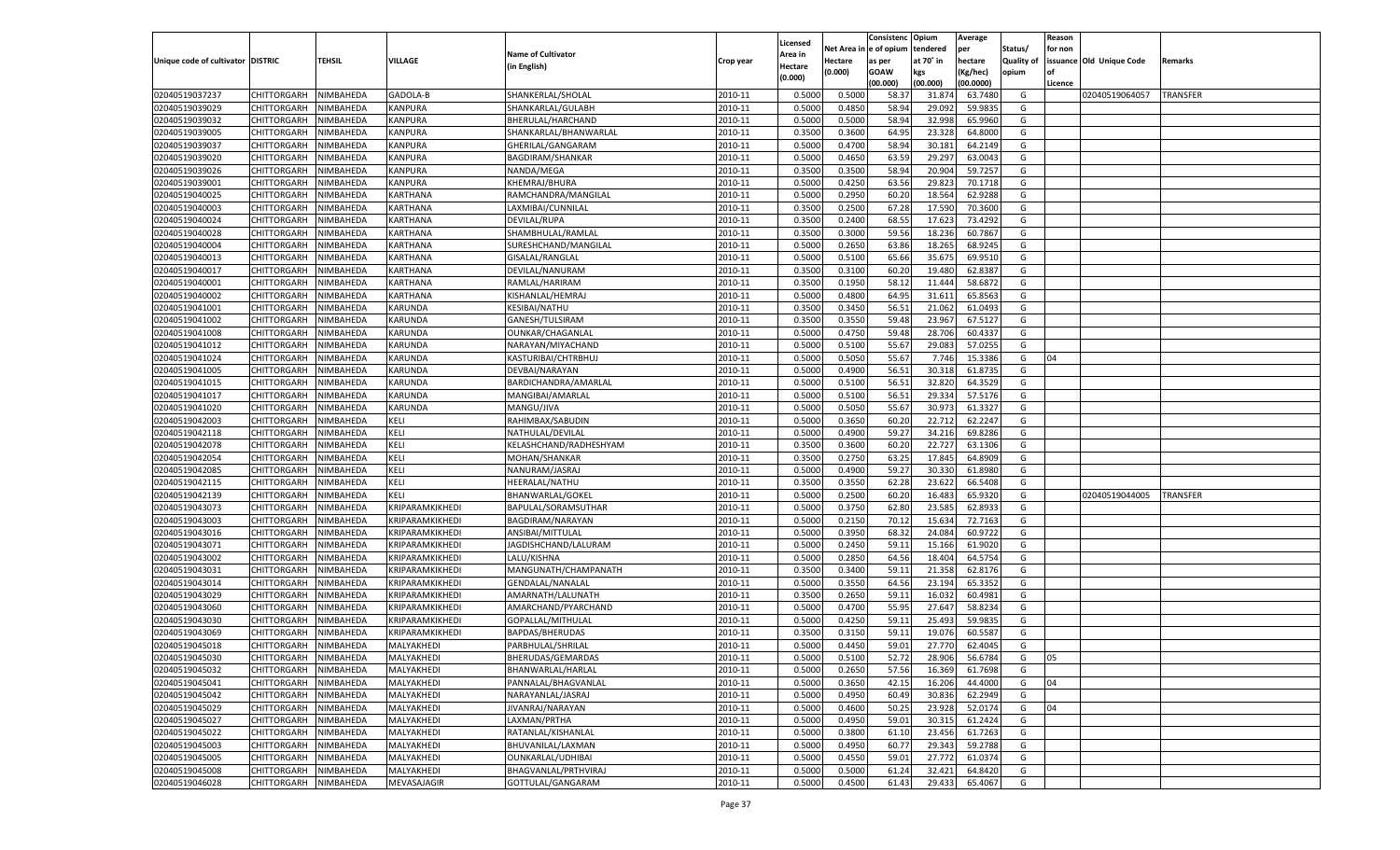|                                   |                         |               |                 |                           |           |                    |            | Consistenc Opium |           | Average   |                   | Reason  |                          |                 |
|-----------------------------------|-------------------------|---------------|-----------------|---------------------------|-----------|--------------------|------------|------------------|-----------|-----------|-------------------|---------|--------------------------|-----------------|
|                                   |                         |               |                 | <b>Name of Cultivator</b> |           | Licensed           | Net Area i | n  e of opium    | tendered  | per       | Status/           | for non |                          |                 |
| Unique code of cultivator DISTRIC |                         | <b>TEHSIL</b> | VILLAGE         | (in English)              | Crop year | Area in<br>Hectare | Hectare    | as per           | at 70˚ in | hectare   | <b>Quality of</b> |         | issuance Old Unique Code | Remarks         |
|                                   |                         |               |                 |                           |           | (0.000)            | (0.000)    | <b>GOAW</b>      | kgs       | (Kg/hec)  | opium             |         |                          |                 |
|                                   |                         |               |                 |                           |           |                    |            | (00.000)         | (00.000)  | (00.0000) |                   | Licence |                          |                 |
| 02040519037237                    | CHITTORGARH             | NIMBAHEDA     | GADOLA-B        | SHANKERLAL/SHOLAL         | 2010-11   | 0.5000             | 0.5000     | 58.3             | 31.874    | 63.7480   | G                 |         | 02040519064057           | <b>TRANSFER</b> |
| 02040519039029                    | CHITTORGARH             | NIMBAHEDA     | KANPURA         | SHANKARLAL/GULABH         | 2010-11   | 0.5000             | 0.4850     | 58.94            | 29.092    | 59.9835   | G                 |         |                          |                 |
| 02040519039032                    | <b>CHITTORGARH</b>      | NIMBAHEDA     | KANPURA         | BHERULAL/HARCHAND         | 2010-11   | 0.5000             | 0.5000     | 58.94            | 32.998    | 65.9960   | G                 |         |                          |                 |
| 02040519039005                    | CHITTORGARH             | NIMBAHEDA     | KANPURA         | SHANKARLAL/BHANWARLAL     | 2010-11   | 0.3500             | 0.3600     | 64.95            | 23.328    | 64.8000   | G                 |         |                          |                 |
| 02040519039037                    | <b>CHITTORGARH</b>      | NIMBAHEDA     | KANPURA         | GHERILAL/GANGARAM         | 2010-11   | 0.5000             | 0.4700     | 58.94            | 30.181    | 64.2149   | G                 |         |                          |                 |
| 02040519039020                    | <b>CHITTORGARH</b>      | NIMBAHEDA     | KANPURA         | <b>BAGDIRAM/SHANKAR</b>   | 2010-11   | 0.5000             | 0.4650     | 63.59            | 29.297    | 63.0043   | G                 |         |                          |                 |
| 02040519039026                    | <b>CHITTORGARH</b>      | NIMBAHEDA     | KANPURA         | NANDA/MEGA                | 2010-11   | 0.3500             | 0.3500     | 58.94            | 20.904    | 59.7257   | G                 |         |                          |                 |
| 02040519039001                    | CHITTORGARH             | NIMBAHEDA     | KANPURA         | KHEMRAJ/BHURA             | 2010-11   | 0.5000             | 0.4250     | 63.56            | 29.823    | 70.1718   | G                 |         |                          |                 |
| 02040519040025                    | <b>CHITTORGARH</b>      | NIMBAHEDA     | KARTHANA        | RAMCHANDRA/MANGILAL       | 2010-11   | 0.5000             | 0.2950     | 60.20            | 18.564    | 62.9288   | G                 |         |                          |                 |
| 02040519040003                    | CHITTORGARH             | NIMBAHEDA     | KARTHANA        | LAXMIBAI/CUNNILAL         | 2010-11   | 0.3500             | 0.2500     | 67.28            | 17.590    | 70.3600   | G                 |         |                          |                 |
| 02040519040024                    | <b>CHITTORGARH</b>      | NIMBAHEDA     | KARTHANA        | DEVILAL/RUPA              | 2010-11   | 0.3500             | 0.2400     | 68.55            | 17.623    | 73.4292   | G                 |         |                          |                 |
| 02040519040028                    | CHITTORGARH             | NIMBAHEDA     | KARTHANA        | SHAMBHULAL/RAMLAL         | 2010-11   | 0.3500             | 0.3000     | 59.56            | 18.236    | 60.7867   | G                 |         |                          |                 |
| 02040519040004                    | <b>CHITTORGARH</b>      | NIMBAHEDA     | KARTHANA        | SURESHCHAND/MANGILAL      | 2010-11   | 0.5000             | 0.2650     | 63.86            | 18.265    | 68.9245   | G                 |         |                          |                 |
| 02040519040013                    | CHITTORGARH             | NIMBAHEDA     | KARTHANA        | GISALAL/RANGLAL           | 2010-11   | 0.5000             | 0.5100     | 65.66            | 35.675    | 69.9510   | G                 |         |                          |                 |
| 02040519040017                    | <b>CHITTORGARH</b>      | NIMBAHEDA     | KARTHANA        | DEVILAL/NANURAM           | 2010-11   | 0.3500             | 0.3100     | 60.20            | 19.480    | 62.8387   | G                 |         |                          |                 |
| 02040519040001                    | <b>CHITTORGARH</b>      | NIMBAHEDA     | KARTHANA        | RAMLAL/HARIRAM            | 2010-11   | 0.3500             | 0.1950     | 58.1             | 11.444    | 58.6872   | G                 |         |                          |                 |
| 02040519040002                    | <b>CHITTORGARH</b>      | NIMBAHEDA     | KARTHANA        | KISHANLAL/HEMRAJ          | 2010-11   | 0.5000             | 0.4800     | 64.95            | 31.611    | 65.8563   | G                 |         |                          |                 |
| 02040519041001                    | <b>CHITTORGARH</b>      | NIMBAHEDA     | KARUNDA         | <b>KESIBAI/NATHU</b>      | 2010-11   | 0.3500             | 0.3450     | 56.51            | 21.062    | 61.0493   | G                 |         |                          |                 |
| 02040519041002                    | <b>CHITTORGARH</b>      | NIMBAHEDA     | KARUNDA         | GANESH/TULSIRAM           | 2010-11   | 0.3500             | 0.3550     | 59.48            | 23.967    | 67.5127   | G                 |         |                          |                 |
| 02040519041008                    | <b>CHITTORGARH</b>      | NIMBAHEDA     | KARUNDA         | OUNKAR/CHAGANLAL          | 2010-11   | 0.5000             | 0.4750     | 59.48            | 28.706    | 60.4337   | G                 |         |                          |                 |
| 02040519041012                    | <b>CHITTORGARH</b>      | NIMBAHEDA     | KARUNDA         | NARAYAN/MIYACHAND         | 2010-11   | 0.5000             | 0.5100     | 55.67            | 29.083    | 57.0255   | G                 |         |                          |                 |
| 02040519041024                    | <b>CHITTORGARH</b>      | NIMBAHEDA     | KARUNDA         | KASTURIBAI/CHTRBHUJ       | 2010-11   | 0.5000             | 0.5050     | 55.67            | 7.746     | 15.3386   | G                 | 04      |                          |                 |
| 02040519041005                    | <b>CHITTORGARH</b>      | NIMBAHEDA     | KARUNDA         | DEVBAI/NARAYAN            | 2010-11   | 0.5000             | 0.4900     | 56.51            | 30.318    | 61.8735   | G                 |         |                          |                 |
| 02040519041015                    | <b>CHITTORGARH</b>      | NIMBAHEDA     | KARUNDA         | BARDICHANDRA/AMARLAL      | 2010-11   | 0.5000             | 0.5100     | 56.51            | 32.820    | 64.3529   | G                 |         |                          |                 |
| 02040519041017                    | <b>CHITTORGARH</b>      | NIMBAHEDA     | KARUNDA         | MANGIBAI/AMARLAL          | 2010-11   | 0.5000             | 0.5100     | 56.51            | 29.334    | 57.5176   | G                 |         |                          |                 |
| 02040519041020                    | <b>CHITTORGARH</b>      | NIMBAHEDA     | KARUNDA         | MANGU/JIVA                | 2010-11   | 0.5000             | 0.5050     | 55.67            | 30.973    | 61.3327   | G                 |         |                          |                 |
| 02040519042003                    | <b>CHITTORGARH</b>      | NIMBAHEDA     | KELI            | RAHIMBAX/SABUDIN          | 2010-11   | 0.5000             | 0.3650     | 60.20            | 22.712    | 62.2247   | G                 |         |                          |                 |
| 02040519042118                    | <b>CHITTORGARH</b>      | NIMBAHEDA     | KELI            | NATHULAL/DEVILAL          | 2010-11   | 0.5000             | 0.4900     | 59.27            | 34.216    | 69.8286   | G                 |         |                          |                 |
| 02040519042078                    | <b>CHITTORGARH</b>      | NIMBAHEDA     | KELI            | KELASHCHAND/RADHESHYAM    | 2010-11   | 0.3500             | 0.3600     | 60.20            | 22.727    | 63.1306   | G                 |         |                          |                 |
| 02040519042054                    | CHITTORGARH             | NIMBAHEDA     | KELI            | MOHAN/SHANKAR             | 2010-11   | 0.3500             | 0.2750     | 63.25            | 17.845    | 64.8909   | G                 |         |                          |                 |
| 02040519042085                    | <b>CHITTORGARH</b>      | NIMBAHEDA     | KELI            | NANURAM/JASRAJ            | 2010-11   | 0.5000             | 0.4900     | 59.27            | 30.330    | 61.8980   | G                 |         |                          |                 |
| 02040519042115                    | CHITTORGARH             | NIMBAHEDA     | KELI            | HEERALAL/NATHU            | 2010-11   | 0.3500             | 0.3550     | 62.28            | 23.622    | 66.5408   | G                 |         |                          |                 |
| 02040519042139                    | CHITTORGARH             | NIMBAHEDA     | KELI            | BHANWARLAL/GOKEL          | 2010-11   | 0.5000             | 0.2500     | 60.20            | 16.483    | 65.9320   | G                 |         | 02040519044005           | <b>TRANSFER</b> |
| 02040519043073                    | CHITTORGARH             | NIMBAHEDA     | KRIPARAMKIKHEDI | BAPULAL/SORAMSUTHAR       | 2010-11   | 0.5000             | 0.3750     | 62.80            | 23.585    | 62.893    | G                 |         |                          |                 |
| 02040519043003                    | <b>CHITTORGARH</b>      | NIMBAHEDA     | KRIPARAMKIKHEDI |                           | 2010-11   | 0.5000             | 0.2150     | 70.12            | 15.634    | 72.7163   | G                 |         |                          |                 |
|                                   |                         |               |                 | BAGDIRAM/NARAYAN          | 2010-11   |                    |            |                  | 24.084    | 60.9722   | G                 |         |                          |                 |
| 02040519043016                    | CHITTORGARH             | NIMBAHEDA     | KRIPARAMKIKHEDI | ANSIBAI/MITTULAL          |           | 0.5000             | 0.3950     | 68.32            |           |           |                   |         |                          |                 |
| 02040519043071                    | <b>CHITTORGARH</b>      | NIMBAHEDA     | KRIPARAMKIKHEDI | JAGDISHCHAND/LALURAM      | 2010-11   | 0.5000             | 0.2450     | 59.1             | 15.166    | 61.9020   | G                 |         |                          |                 |
| 02040519043002                    | <b>CHITTORGARH</b>      | NIMBAHEDA     | KRIPARAMKIKHEDI | LALU/KISHNA               | 2010-11   | 0.5000             | 0.2850     | 64.56            | 18.404    | 64.5754   | G                 |         |                          |                 |
| 02040519043031                    | <b>CHITTORGARH</b>      | NIMBAHEDA     | KRIPARAMKIKHEDI | MANGUNATH/CHAMPANATH      | 2010-11   | 0.3500             | 0.3400     | 59.1             | 21.358    | 62.8176   | G                 |         |                          |                 |
| 02040519043014                    | CHITTORGARH             | NIMBAHEDA     | KRIPARAMKIKHEDI | <b>GENDALAL/NANALAL</b>   | 2010-11   | 0.5000             | 0.3550     | 64.56            | 23.194    | 65.3352   | G                 |         |                          |                 |
| 02040519043029                    | <b>CHITTORGARH</b>      | NIMBAHEDA     | KRIPARAMKIKHEDI | AMARNATH/LALUNATH         | 2010-11   | 0.3500             | 0.2650     | 59.1             | 16.032    | 60.4981   | G                 |         |                          |                 |
| 02040519043060                    | <b>CHITTORGARH</b>      | NIMBAHEDA     | KRIPARAMKIKHEDI | AMARCHAND/PYARCHAND       | 2010-11   | 0.5000             | 0.4700     | 55.95            | 27.647    | 58.8234   | G                 |         |                          |                 |
| 02040519043030                    | CHITTORGARH             | NIMBAHEDA     | KRIPARAMKIKHEDI | GOPALLAL/MITHULAI         | 2010-11   | 0.5000             | 0.4250     | 59.1             | 25.493    | 59.9835   | G                 |         |                          |                 |
| 02040519043069                    | CHITTORGARH             | NIMBAHEDA     | KRIPARAMKIKHEDI | BAPDAS/BHERUDAS           | 2010-11   | 0.3500             | 0.3150     | 59.1             | 19.076    | 60.5587   | G                 |         |                          |                 |
| 02040519045018                    | CHITTORGARH             | NIMBAHEDA     | MALYAKHEDI      | PARBHULAL/SHRILAL         | 2010-11   | 0.5000             | 0.4450     | 59.01            | 27.770    | 62.4045   | G                 |         |                          |                 |
| 02040519045030                    | CHITTORGARH   NIMBAHEDA |               | MALYAKHEDI      | BHERUDAS/GEMARDAS         | 2010-11   | 0.5000             | 0.5100     | 52.72            | 28.906    | 56.6784   | G                 | 05      |                          |                 |
| 02040519045032                    | <b>CHITTORGARH</b>      | NIMBAHEDA     | MALYAKHEDI      | BHANWARLAL/HARLAL         | 2010-11   | 0.5000             | 0.2650     | 57.56            | 16.369    | 61.7698   | G                 |         |                          |                 |
| 02040519045041                    | <b>CHITTORGARH</b>      | NIMBAHEDA     | MALYAKHEDI      | PANNALAL/BHAGVANLAL       | 2010-11   | 0.5000             | 0.3650     | 42.15            | 16.206    | 44.4000   | G                 | 04      |                          |                 |
| 02040519045042                    | <b>CHITTORGARH</b>      | NIMBAHEDA     | MALYAKHEDI      | NARAYANLAL/JASRAJ         | 2010-11   | 0.5000             | 0.4950     | 60.49            | 30.836    | 62.2949   | G                 |         |                          |                 |
| 02040519045029                    | <b>CHITTORGARH</b>      | NIMBAHEDA     | MALYAKHEDI      | JIVANRAJ/NARAYAN          | 2010-11   | 0.5000             | 0.4600     | 50.25            | 23.928    | 52.0174   | G                 | 04      |                          |                 |
| 02040519045027                    | <b>CHITTORGARH</b>      | NIMBAHEDA     | MALYAKHEDI      | LAXMAN/PRTHA              | 2010-11   | 0.5000             | 0.4950     | 59.01            | 30.315    | 61.2424   | G                 |         |                          |                 |
| 02040519045022                    | <b>CHITTORGARH</b>      | NIMBAHEDA     | MALYAKHEDI      | RATANLAL/KISHANLAL        | 2010-11   | 0.5000             | 0.3800     | 61.10            | 23.456    | 61.7263   | G                 |         |                          |                 |
| 02040519045003                    | <b>CHITTORGARH</b>      | NIMBAHEDA     | MALYAKHEDI      | BHUVANILAL/LAXMAN         | 2010-11   | 0.5000             | 0.4950     | 60.77            | 29.343    | 59.2788   | G                 |         |                          |                 |
| 02040519045005                    | <b>CHITTORGARH</b>      | NIMBAHEDA     | MALYAKHEDI      | OUNKARLAL/UDHIBAI         | 2010-11   | 0.5000             | 0.4550     | 59.01            | 27.772    | 61.0374   | G                 |         |                          |                 |
| 02040519045008                    | <b>CHITTORGARH</b>      | NIMBAHEDA     | MALYAKHEDI      | BHAGVANLAL/PRTHVIRAJ      | 2010-11   | 0.5000             | 0.5000     | 61.24            | 32.421    | 64.8420   | G                 |         |                          |                 |
| 02040519046028                    | <b>CHITTORGARH</b>      | NIMBAHEDA     | MEVASAJAGIR     | GOTTULAL/GANGARAM         | 2010-11   | 0.5000             | 0.4500     | 61.43            | 29.433    | 65.4067   | G                 |         |                          |                 |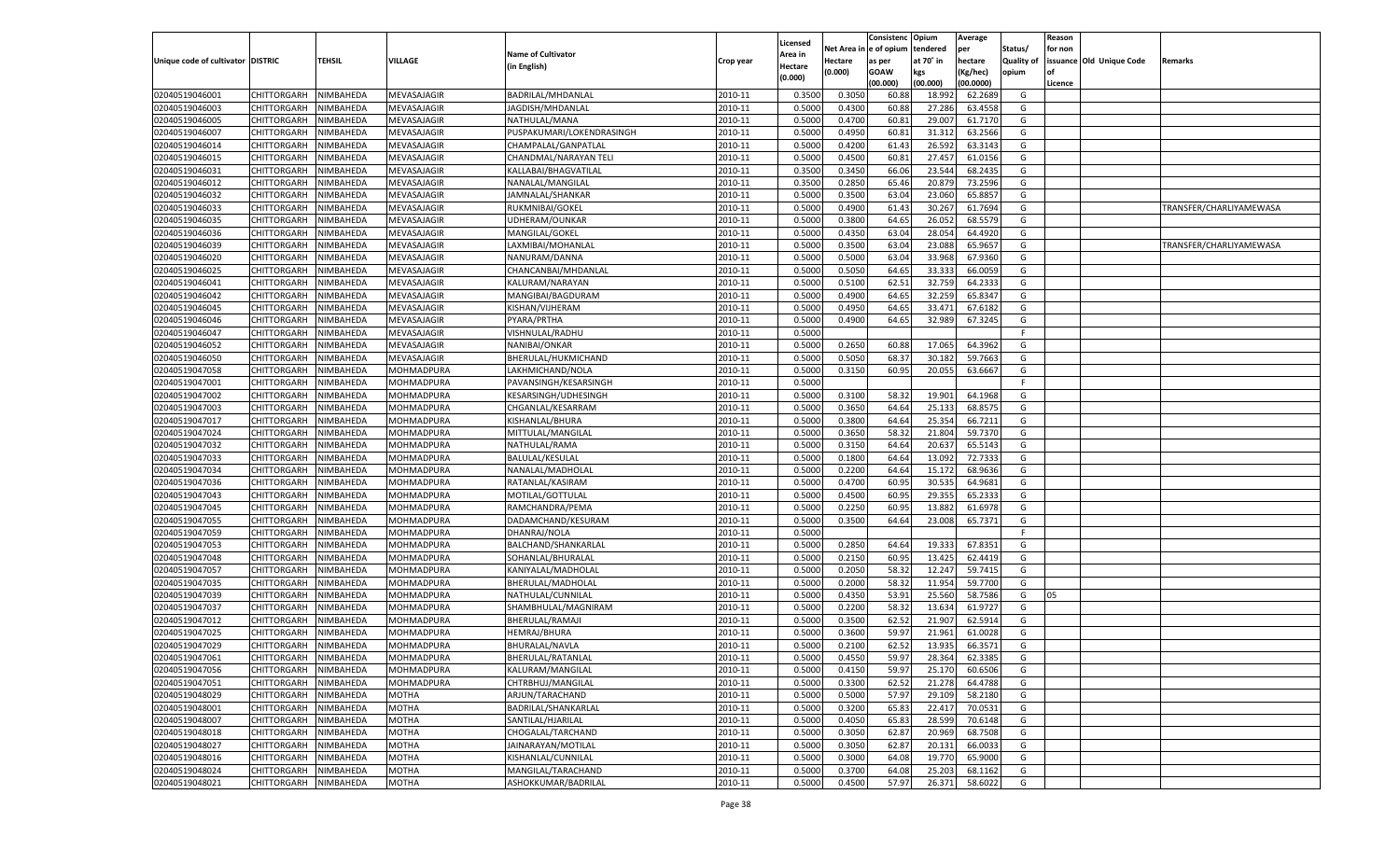|                                   |                            |                  |                   |                           |           |          |            | Consistenc Opium |           | Average   |                   | Reason  |                          |                         |
|-----------------------------------|----------------------------|------------------|-------------------|---------------------------|-----------|----------|------------|------------------|-----------|-----------|-------------------|---------|--------------------------|-------------------------|
|                                   |                            |                  |                   |                           |           | Licensed | Net Area i | l e of opium     | tendered  | per       | Status/           | for non |                          |                         |
| Unique code of cultivator DISTRIC |                            | TEHSIL           | VILLAGE           | <b>Name of Cultivator</b> | Crop year | Area in  | Hectare    | as per           | at 70° in | hectare   | <b>Quality of</b> |         | issuance Old Unique Code | Remarks                 |
|                                   |                            |                  |                   | (in English)              |           | Hectare  | (0.000)    | <b>GOAW</b>      | kgs       | (Kg/hec)  | opium             | nf      |                          |                         |
|                                   |                            |                  |                   |                           |           | (0.000)  |            | (00.000)         | (00.000)  | (00.0000) |                   | Licence |                          |                         |
| 02040519046001                    | CHITTORGARH                | NIMBAHEDA        | MEVASAJAGIR       | BADRILAL/MHDANLAL         | 2010-11   | 0.3500   | 0.3050     | 60.88            | 18.992    | 62.2689   | G                 |         |                          |                         |
| 02040519046003                    | CHITTORGARH                | NIMBAHEDA        | MEVASAJAGIR       | JAGDISH/MHDANLAL          | 2010-11   | 0.5000   | 0.4300     | 60.88            | 27.286    | 63.4558   | G                 |         |                          |                         |
| 02040519046005                    | CHITTORGARH                | NIMBAHEDA        | MEVASAJAGIR       | NATHULAL/MANA             | 2010-11   | 0.5000   | 0.4700     | 60.81            | 29.007    | 61.7170   | G                 |         |                          |                         |
| 02040519046007                    | CHITTORGARH                | NIMBAHEDA        | MEVASAJAGIR       | PUSPAKUMARI/LOKENDRASINGH | 2010-11   | 0.5000   | 0.4950     | 60.81            | 31.312    | 63.2566   | G                 |         |                          |                         |
| 02040519046014                    | CHITTORGARH                | NIMBAHEDA        | MEVASAJAGIR       | CHAMPALAL/GANPATLAL       | 2010-11   | 0.5000   | 0.4200     | 61.43            | 26.592    | 63.3143   | G                 |         |                          |                         |
| 02040519046015                    | CHITTORGARH                | NIMBAHEDA        | MEVASAJAGIR       | CHANDMAL/NARAYAN TELI     | 2010-11   | 0.5000   | 0.4500     | 60.81            | 27.457    | 61.0156   | G                 |         |                          |                         |
| 02040519046031                    | CHITTORGARH                | NIMBAHEDA        | MEVASAJAGIR       | KALLABAI/BHAGVATILAL      | 2010-11   | 0.3500   | 0.3450     | 66.06            | 23.544    | 68.2435   | G                 |         |                          |                         |
| 02040519046012                    | CHITTORGARH                | NIMBAHEDA        | MEVASAJAGIR       | NANALAL/MANGILAL          | 2010-11   | 0.3500   | 0.2850     | 65.46            | 20.879    | 73.2596   | G                 |         |                          |                         |
| 02040519046032                    | CHITTORGARH                | NIMBAHEDA        | MEVASAJAGIR       | JAMNALAL/SHANKAR          | 2010-11   | 0.5000   | 0.3500     | 63.04            | 23.060    | 65.885    | G                 |         |                          |                         |
| 02040519046033                    | CHITTORGARH                | NIMBAHEDA        | MEVASAJAGIR       | RUKMNIBAI/GOKEL           | 2010-11   | 0.5000   | 0.4900     | 61.4             | 30.267    | 61.7694   | G                 |         |                          | TRANSFER/CHARLIYAMEWASA |
| 02040519046035                    | CHITTORGARH                | NIMBAHEDA        | MEVASAJAGIR       | UDHERAM/OUNKAR            | 2010-11   | 0.5000   | 0.3800     | 64.65            | 26.052    | 68.5579   | G                 |         |                          |                         |
| 02040519046036                    | CHITTORGARH                | NIMBAHEDA        | MEVASAJAGIR       | MANGILAL/GOKEL            | 2010-11   | 0.5000   | 0.4350     | 63.04            | 28.054    | 64.4920   | G                 |         |                          |                         |
| 02040519046039                    | CHITTORGARH                | NIMBAHEDA        | MEVASAJAGIR       | LAXMIBAI/MOHANLAL         | 2010-11   | 0.5000   | 0.3500     | 63.04            | 23.088    | 65.9657   | G                 |         |                          | TRANSFER/CHARLIYAMEWASA |
| 02040519046020                    | CHITTORGARH                | NIMBAHEDA        | MEVASAJAGIR       | NANURAM/DANNA             | 2010-11   | 0.5000   | 0.5000     | 63.04            | 33.968    | 67.9360   | G                 |         |                          |                         |
|                                   | CHITTORGARH                | NIMBAHEDA        |                   |                           | 2010-11   | 0.5000   |            | 64.65            |           |           | G                 |         |                          |                         |
| 02040519046025                    |                            |                  | MEVASAJAGIR       | CHANCANBAI/MHDANLAL       |           |          | 0.5050     |                  | 33.333    | 66.0059   |                   |         |                          |                         |
| 02040519046041                    | CHITTORGARH                | NIMBAHEDA        | MEVASAJAGIR       | KALURAM/NARAYAN           | 2010-11   | 0.5000   | 0.5100     | 62.51            | 32.759    | 64.2333   | G                 |         |                          |                         |
| 02040519046042                    | CHITTORGARH                | NIMBAHEDA        | MEVASAJAGIR       | MANGIBAI/BAGDURAM         | 2010-11   | 0.5000   | 0.4900     | 64.65            | 32.259    | 65.8347   | G                 |         |                          |                         |
| 02040519046045                    | CHITTORGARH                | NIMBAHEDA        | MEVASAJAGIR       | KISHAN/VIJHERAM           | 2010-11   | 0.5000   | 0.4950     | 64.65            | 33.471    | 67.6182   | G                 |         |                          |                         |
| 02040519046046                    | CHITTORGARH                | NIMBAHEDA        | MEVASAJAGIR       | PYARA/PRTHA               | 2010-11   | 0.5000   | 0.4900     | 64.65            | 32.989    | 67.3245   | G                 |         |                          |                         |
| 02040519046047                    | CHITTORGARH                | NIMBAHEDA        | MEVASAJAGIR       | VISHNULAL/RADHU           | 2010-11   | 0.5000   |            |                  |           |           | F.                |         |                          |                         |
| 02040519046052                    | CHITTORGARH                | NIMBAHEDA        | MEVASAJAGIR       | NANIBAI/ONKAR             | 2010-11   | 0.5000   | 0.2650     | 60.88            | 17.065    | 64.3962   | G                 |         |                          |                         |
| 02040519046050                    | CHITTORGARH                | NIMBAHEDA        | MEVASAJAGIR       | BHERULAL/HUKMICHAND       | 2010-11   | 0.5000   | 0.5050     | 68.3             | 30.182    | 59.7663   | G                 |         |                          |                         |
| 02040519047058                    | CHITTORGARH                | NIMBAHEDA        | MOHMADPURA        | LAKHMICHAND/NOLA          | 2010-11   | 0.5000   | 0.3150     | 60.95            | 20.055    | 63.6667   | G                 |         |                          |                         |
| 02040519047001                    | CHITTORGARH                | NIMBAHEDA        | MOHMADPURA        | PAVANSINGH/KESARSINGH     | 2010-11   | 0.5000   |            |                  |           |           | F.                |         |                          |                         |
| 02040519047002                    | CHITTORGARH                | NIMBAHEDA        | MOHMADPURA        | KESARSINGH/UDHESINGH      | 2010-11   | 0.5000   | 0.3100     | 58.32            | 19.901    | 64.1968   | G                 |         |                          |                         |
| 02040519047003                    | CHITTORGARH                | NIMBAHEDA        | MOHMADPURA        | CHGANLAL/KESARRAM         | 2010-11   | 0.5000   | 0.3650     | 64.64            | 25.133    | 68.8575   | G                 |         |                          |                         |
| 02040519047017                    | CHITTORGARH                | NIMBAHEDA        | MOHMADPURA        | KISHANLAL/BHURA           | 2010-11   | 0.5000   | 0.3800     | 64.64            | 25.354    | 66.7211   | G                 |         |                          |                         |
| 02040519047024                    | CHITTORGARH                | NIMBAHEDA        | MOHMADPURA        | MITTULAL/MANGILAL         | 2010-11   | 0.5000   | 0.3650     | 58.32            | 21.804    | 59.7370   | G                 |         |                          |                         |
| 02040519047032                    | CHITTORGARH                | NIMBAHEDA        | MOHMADPURA        | NATHULAL/RAMA             | 2010-11   | 0.5000   | 0.3150     | 64.64            | 20.637    | 65.5143   | G                 |         |                          |                         |
| 02040519047033                    | CHITTORGARH                | NIMBAHEDA        | MOHMADPURA        | <b>BALULAL/KESULAL</b>    | 2010-11   | 0.5000   | 0.1800     | 64.64            | 13.092    | 72.7333   | G                 |         |                          |                         |
| 02040519047034                    | CHITTORGARH                | NIMBAHEDA        | MOHMADPURA        | NANALAL/MADHOLAL          | 2010-11   | 0.5000   | 0.2200     | 64.64            | 15.172    | 68.9636   | G                 |         |                          |                         |
| 02040519047036                    | CHITTORGARH                | NIMBAHEDA        | MOHMADPURA        | RATANLAL/KASIRAM          | 2010-11   | 0.5000   | 0.4700     | 60.95            | 30.535    | 64.9681   | G                 |         |                          |                         |
| 02040519047043                    | CHITTORGARH                | NIMBAHEDA        | MOHMADPURA        | MOTILAL/GOTTULAL          | 2010-11   | 0.5000   | 0.4500     | 60.95            | 29.355    | 65.2333   | G                 |         |                          |                         |
| 02040519047045                    | CHITTORGARH                | NIMBAHEDA        | MOHMADPURA        | RAMCHANDRA/PEMA           | 2010-11   | 0.5000   | 0.2250     | 60.95            | 13.882    | 61.6978   | G                 |         |                          |                         |
| 02040519047055                    | CHITTORGARH                | NIMBAHEDA        | MOHMADPURA        | DADAMCHAND/KESURAM        | 2010-11   | 0.5000   | 0.3500     | 64.64            | 23.008    | 65.7371   | G                 |         |                          |                         |
| 02040519047059                    | CHITTORGARH                | NIMBAHEDA        | MOHMADPURA        | DHANRAJ/NOLA              | 2010-11   | 0.5000   |            |                  |           |           | F                 |         |                          |                         |
| 02040519047053                    | CHITTORGARH                | NIMBAHEDA        | MOHMADPURA        | BALCHAND/SHANKARLAL       | 2010-11   | 0.5000   | 0.2850     | 64.64            | 19.333    | 67.8351   | G                 |         |                          |                         |
| 02040519047048                    |                            |                  |                   |                           | 2010-11   | 0.5000   | 0.2150     | 60.95            | 13.425    | 62.4419   | G                 |         |                          |                         |
|                                   | CHITTORGARH<br>CHITTORGARH | NIMBAHEDA        | MOHMADPURA        | SOHANLAL/BHURALAL         | 2010-11   | 0.5000   | 0.2050     |                  |           |           | G                 |         |                          |                         |
| 02040519047057                    |                            | NIMBAHEDA        | MOHMADPURA        | KANIYALAL/MADHOLAL        |           |          |            | 58.32            | 12.247    | 59.7415   |                   |         |                          |                         |
| 02040519047035                    | CHITTORGARH                | NIMBAHEDA        | MOHMADPURA        | BHERULAL/MADHOLAL         | 2010-11   | 0.5000   | 0.2000     | 58.32            | 11.954    | 59.7700   | G                 |         |                          |                         |
| 02040519047039                    | CHITTORGARH                | NIMBAHEDA        | MOHMADPURA        | NATHULAL/CUNNILAL         | 2010-11   | 0.5000   | 0.4350     | 53.91            | 25.560    | 58.7586   | G                 | 05      |                          |                         |
| 02040519047037                    | CHITTORGARH                | NIMBAHEDA        | MOHMADPURA        | SHAMBHULAL/MAGNIRAM       | 2010-11   | 0.5000   | 0.2200     | 58.32            | 13.634    | 61.9727   | G                 |         |                          |                         |
| 02040519047012                    | CHITTORGARH                | NIMBAHEDA        | MOHMADPURA        | BHERULAL/RAMAJI           | 2010-11   | 0.5000   | 0.3500     | 62.52            | 21.907    | 62.5914   | G                 |         |                          |                         |
| 02040519047025                    | CHITTORGARH                | NIMBAHEDA        | MOHMADPURA        | HEMRAJ/BHURA              | 2010-11   | 0.5000   | 0.3600     | 59.97            | 21.961    | 61.0028   | G                 |         |                          |                         |
| 02040519047029                    | CHITTORGARH                | NIMBAHEDA        | MOHMADPURA        | BHURALAL/NAVLA            | 2010-11   | 0.5000   | 0.2100     | 62.52            | 13.935    | 66.3571   | G                 |         |                          |                         |
| 02040519047061                    | <b>CHITTORGARH</b>         | <b>NIMBAHEDA</b> | MOHMADPURA        | BHERULAL/RATANLAL         | 2010-11   | 0.5000   | 0.4550     | 59.97            | 28.364    | 62.3385   | G                 |         |                          |                         |
| 02040519047056                    | CHITTORGARH                | NIMBAHEDA        | <b>MOHMADPURA</b> | KALURAM/MANGILAL          | 2010-11   | 0.5000   | 0.4150     | 59.97            | 25.170    | 60.6506   | G                 |         |                          |                         |
| 02040519047051                    | CHITTORGARH                | NIMBAHEDA        | MOHMADPURA        | CHTRBHUJ/MANGILAL         | 2010-11   | 0.5000   | 0.3300     | 62.52            | 21.278    | 64.4788   | G                 |         |                          |                         |
| 02040519048029                    | CHITTORGARH                | NIMBAHEDA        | <b>MOTHA</b>      | ARJUN/TARACHAND           | 2010-11   | 0.5000   | 0.5000     | 57.97            | 29.109    | 58.2180   | G                 |         |                          |                         |
| 02040519048001                    | CHITTORGARH                | NIMBAHEDA        | <b>MOTHA</b>      | BADRILAL/SHANKARLAL       | 2010-11   | 0.5000   | 0.3200     | 65.83            | 22.417    | 70.0531   | G                 |         |                          |                         |
| 02040519048007                    | CHITTORGARH                | NIMBAHEDA        | <b>MOTHA</b>      | SANTILAL/HJARILAL         | 2010-11   | 0.5000   | 0.4050     | 65.83            | 28.599    | 70.6148   | G                 |         |                          |                         |
| 02040519048018                    | CHITTORGARH                | NIMBAHEDA        | <b>MOTHA</b>      | CHOGALAL/TARCHAND         | 2010-11   | 0.5000   | 0.3050     | 62.87            | 20.969    | 68.7508   | G                 |         |                          |                         |
| 02040519048027                    | CHITTORGARH                | NIMBAHEDA        | <b>MOTHA</b>      | JAINARAYAN/MOTILAL        | 2010-11   | 0.5000   | 0.3050     | 62.87            | 20.131    | 66.0033   | G                 |         |                          |                         |
| 02040519048016                    | CHITTORGARH                | NIMBAHEDA        | <b>MOTHA</b>      | KISHANLAL/CUNNILAL        | 2010-11   | 0.5000   | 0.3000     | 64.08            | 19.770    | 65.9000   | G                 |         |                          |                         |
| 02040519048024                    | CHITTORGARH                | NIMBAHEDA        | <b>MOTHA</b>      | MANGILAL/TARACHAND        | 2010-11   | 0.5000   | 0.3700     | 64.08            | 25.203    | 68.1162   | G                 |         |                          |                         |
| 02040519048021                    | CHITTORGARH                | NIMBAHEDA        | <b>MOTHA</b>      | ASHOKKUMAR/BADRILAL       | 2010-11   | 0.5000   | 0.4500     | 57.97            | 26.371    | 58.6022   | G                 |         |                          |                         |
|                                   |                            |                  |                   |                           |           |          |            |                  |           |           |                   |         |                          |                         |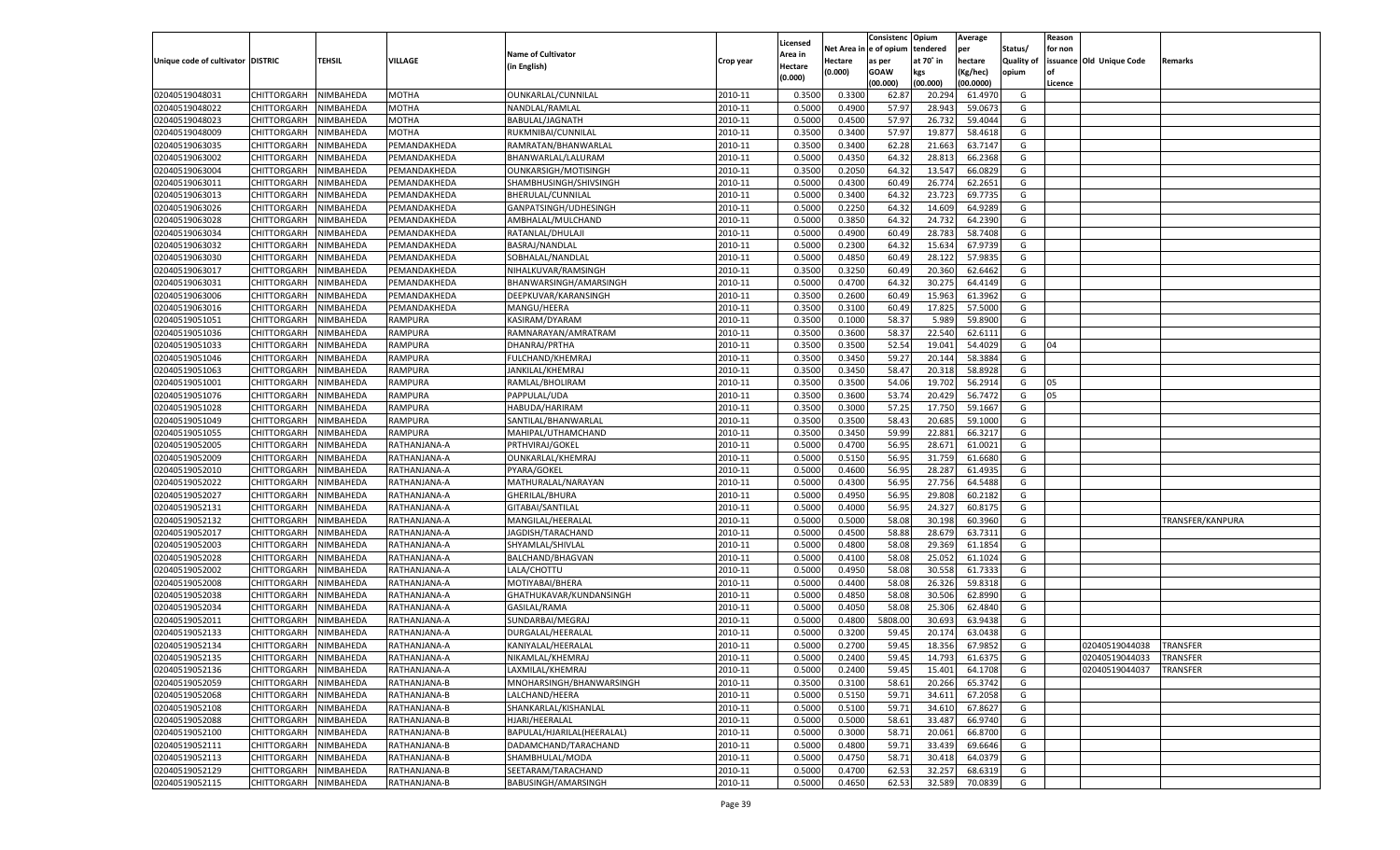|                                   |                       |               |              |                            |           |                           |          | Consistenc   | Opium     | Average   |                   | Reason  |                          |                  |
|-----------------------------------|-----------------------|---------------|--------------|----------------------------|-----------|---------------------------|----------|--------------|-----------|-----------|-------------------|---------|--------------------------|------------------|
|                                   |                       |               |              | <b>Name of Cultivator</b>  |           | Licensed                  | Net Area | l e of opium | tendered  | per       | Status/           | for non |                          |                  |
| Unique code of cultivator DISTRIC |                       | <b>TEHSIL</b> | VILLAGE      | (in English)               | Crop year | <b>Area in</b><br>Hectare | Hectare  | as per       | at 70° in | hectare   | <b>Quality of</b> |         | issuance Old Unique Code | Remarks          |
|                                   |                       |               |              |                            |           | (0.000)                   | (0.000)  | <b>GOAW</b>  | kgs       | (Kg/hec)  | opium             |         |                          |                  |
|                                   |                       |               |              |                            |           |                           |          | (00.000)     | (00.000)  | (00.0000) |                   | Licence |                          |                  |
| 02040519048031                    | CHITTORGARH           | NIMBAHEDA     | <b>MOTHA</b> | OUNKARLAL/CUNNILAL         | 2010-11   | 0.3500                    | 0.3300   | 62.87        | 20.294    | 61.497    | G                 |         |                          |                  |
| 02040519048022                    | CHITTORGARH           | NIMBAHEDA     | MOTHA        | NANDLAL/RAMLAL             | 2010-11   | 0.5000                    | 0.4900   | 57.97        | 28.94     | 59.067    | G                 |         |                          |                  |
| 02040519048023                    | CHITTORGARH           | NIMBAHEDA     | MOTHA        | BABULAL/JAGNATH            | 2010-11   | 0.5000                    | 0.4500   | 57.97        | 26.73     | 59.4044   | G                 |         |                          |                  |
| 02040519048009                    | CHITTORGARH           | NIMBAHEDA     | MOTHA        | RUKMNIBAI/CUNNILAL         | 2010-11   | 0.3500                    | 0.3400   | 57.97        | 19.87     | 58.4618   | G                 |         |                          |                  |
| 02040519063035                    | CHITTORGARH           | NIMBAHEDA     | PEMANDAKHEDA | RAMRATAN/BHANWARLAL        | 2010-11   | 0.3500                    | 0.3400   | 62.28        | 21.663    | 63.7147   | G                 |         |                          |                  |
| 02040519063002                    | CHITTORGARH           | NIMBAHEDA     | PEMANDAKHEDA | BHANWARLAL/LALURAM         | 2010-11   | 0.5000                    | 0.4350   | 64.3         | 28.81     | 66.2368   | G                 |         |                          |                  |
| 02040519063004                    | CHITTORGARH           | NIMBAHEDA     | PEMANDAKHEDA | OUNKARSIGH/MOTISINGH       | 2010-11   | 0.3500                    | 0.2050   | 64.3         | 13.547    | 66.0829   | G                 |         |                          |                  |
| 02040519063011                    | CHITTORGARH           | NIMBAHEDA     | PEMANDAKHEDA | SHAMBHUSINGH/SHIVSINGH     | 2010-11   | 0.5000                    | 0.4300   | 60.49        | 26.77     | 62.2651   | G                 |         |                          |                  |
| 02040519063013                    | CHITTORGARH           | NIMBAHEDA     | PEMANDAKHEDA | BHERULAL/CUNNILAL          | 2010-11   | 0.5000                    | 0.3400   | 64.3         | 23.723    | 69.7735   | G                 |         |                          |                  |
| 02040519063026                    | CHITTORGARH           | NIMBAHEDA     | PEMANDAKHEDA | GANPATSINGH/UDHESINGH      | 2010-11   | 0.5000                    | 0.2250   | 64.3         | 14.609    | 64.9289   | G                 |         |                          |                  |
| 02040519063028                    | CHITTORGARH           | NIMBAHEDA     | PEMANDAKHEDA | AMBHALAL/MULCHAND          | 2010-11   | 0.5000                    | 0.3850   | 64.3         | 24.73     | 64.2390   | G                 |         |                          |                  |
| 02040519063034                    | CHITTORGARH           | NIMBAHEDA     | PEMANDAKHEDA | RATANLAL/DHULAJI           | 2010-11   | 0.5000                    | 0.4900   | 60.49        | 28.783    | 58.7408   | G                 |         |                          |                  |
| 02040519063032                    | CHITTORGARH           | NIMBAHEDA     | PEMANDAKHEDA | BASRAJ/NANDLAL             | 2010-11   | 0.5000                    | 0.2300   | 64.3         | 15.634    | 67.973    | G                 |         |                          |                  |
| 02040519063030                    | CHITTORGARH           | NIMBAHEDA     | PEMANDAKHEDA | SOBHALAL/NANDLAL           | 2010-11   | 0.5000                    | 0.4850   | 60.49        | 28.122    | 57.983    | G                 |         |                          |                  |
| 02040519063017                    | CHITTORGARH           | NIMBAHEDA     | PEMANDAKHEDA | NIHALKUVAR/RAMSINGH        | 2010-11   | 0.3500                    | 0.3250   | 60.49        | 20.360    | 62.6462   | G                 |         |                          |                  |
| 02040519063031                    | CHITTORGARH           | NIMBAHEDA     | PEMANDAKHEDA | BHANWARSINGH/AMARSINGH     | 2010-11   | 0.5000                    | 0.4700   | 64.3         | 30.275    | 64.4149   | G                 |         |                          |                  |
| 02040519063006                    | CHITTORGARH           | NIMBAHEDA     | PEMANDAKHEDA | DEEPKUVAR/KARANSINGH       | 2010-11   | 0.3500                    | 0.2600   | 60.49        | 15.963    | 61.3962   | G                 |         |                          |                  |
| 02040519063016                    | CHITTORGARH           | NIMBAHEDA     | PEMANDAKHEDA | MANGU/HEERA                | 2010-11   | 0.3500                    | 0.3100   | 60.49        | 17.825    | 57.5000   | G                 |         |                          |                  |
| 02040519051051                    | CHITTORGARH           | NIMBAHEDA     | RAMPURA      | KASIRAM/DYARAM             | 2010-11   | 0.3500                    | 0.1000   | 58.37        | 5.989     | 59.8900   | G                 |         |                          |                  |
| 02040519051036                    | CHITTORGARH           | NIMBAHEDA     | RAMPURA      | RAMNARAYAN/AMRATRAM        | 2010-11   | 0.3500                    | 0.3600   | 58.37        | 22.540    | 62.6111   | G                 |         |                          |                  |
| 02040519051033                    | CHITTORGARH           | NIMBAHEDA     | RAMPURA      | DHANRAJ/PRTHA              | 2010-11   | 0.3500                    | 0.3500   | 52.54        | 19.041    | 54.4029   | G                 | 04      |                          |                  |
| 02040519051046                    | CHITTORGARH           | NIMBAHEDA     | RAMPURA      | <b>FULCHAND/KHEMRAJ</b>    | 2010-11   | 0.3500                    | 0.3450   | 59.27        | 20.144    | 58.3884   | G                 |         |                          |                  |
| 02040519051063                    | CHITTORGARH           | NIMBAHEDA     | RAMPURA      | JANKILAL/KHEMRAJ           | 2010-11   | 0.3500                    | 0.3450   | 58.47        | 20.318    | 58.8928   | G                 |         |                          |                  |
| 02040519051001                    | CHITTORGARH           | NIMBAHEDA     | RAMPURA      | RAMLAL/BHOLIRAM            | 2010-11   | 0.3500                    | 0.3500   | 54.06        | 19.702    | 56.2914   | G                 | 05      |                          |                  |
| 02040519051076                    | CHITTORGARH           | NIMBAHEDA     | RAMPURA      | PAPPULAL/UDA               | 2010-11   | 0.3500                    | 0.3600   | 53.74        | 20.429    | 56.7472   | G                 | 05      |                          |                  |
| 02040519051028                    | CHITTORGARH           | NIMBAHEDA     | RAMPURA      | HABUDA/HARIRAM             | 2010-11   | 0.3500                    | 0.3000   | 57.25        | 17.750    | 59.1667   | G                 |         |                          |                  |
| 02040519051049                    | CHITTORGARH           | NIMBAHEDA     | RAMPURA      | SANTILAL/BHANWARLAL        | 2010-11   | 0.3500                    | 0.3500   | 58.43        | 20.685    | 59.1000   | G                 |         |                          |                  |
| 02040519051055                    | CHITTORGARH           | NIMBAHEDA     | RAMPURA      | MAHIPAL/UTHAMCHAND         | 2010-11   | 0.3500                    | 0.3450   | 59.99        | 22.881    | 66.3217   | G                 |         |                          |                  |
| 02040519052005                    |                       |               |              | PRTHVIRAJ/GOKEL            | 2010-11   | 0.5000                    | 0.4700   | 56.95        | 28.671    | 61.0021   | G                 |         |                          |                  |
|                                   | CHITTORGARH           | NIMBAHEDA     | RATHANJANA-A |                            |           |                           |          |              |           |           |                   |         |                          |                  |
| 02040519052009                    | CHITTORGARH           | NIMBAHEDA     | RATHANJANA-A | OUNKARLAL/KHEMRAJ          | 2010-11   | 0.5000                    | 0.5150   | 56.95        | 31.759    | 61.6680   | G                 |         |                          |                  |
| 02040519052010                    | CHITTORGARH           | NIMBAHEDA     | RATHANJANA-A | PYARA/GOKEL                | 2010-11   | 0.5000                    | 0.4600   | 56.95        | 28.287    | 61.4935   | G                 |         |                          |                  |
| 02040519052022                    | CHITTORGARH           | NIMBAHEDA     | RATHANJANA-A | MATHURALAL/NARAYAN         | 2010-11   | 0.5000                    | 0.4300   | 56.9         | 27.756    | 64.5488   | G                 |         |                          |                  |
| 02040519052027                    | CHITTORGARH           | NIMBAHEDA     | RATHANJANA-A | GHERILAL/BHURA             | 2010-11   | 0.5000                    | 0.4950   | 56.95        | 29.808    | 60.2182   | G                 |         |                          |                  |
| 02040519052131                    | CHITTORGARH           | NIMBAHEDA     | RATHANJANA-A | GITABAI/SANTILAL           | 2010-11   | 0.5000                    | 0.4000   | 56.95        | 24.32     | 60.8175   | G                 |         |                          |                  |
| 02040519052132                    | CHITTORGARH           | NIMBAHEDA     | RATHANJANA-A | MANGILAL/HEERALAL          | 2010-11   | 0.5000                    | 0.5000   | 58.08        | 30.198    | 60.3960   | G                 |         |                          | TRANSFER/KANPURA |
| 02040519052017                    | CHITTORGARH           | NIMBAHEDA     | RATHANJANA-A | JAGDISH/TARACHAND          | 2010-11   | 0.5000                    | 0.4500   | 58.88        | 28.67     | 63.7311   | G                 |         |                          |                  |
| 02040519052003                    | CHITTORGARH           | NIMBAHEDA     | RATHANJANA-A | SHYAMLAL/SHIVLAL           | 2010-11   | 0.5000                    | 0.4800   | 58.08        | 29.369    | 61.1854   | G                 |         |                          |                  |
| 02040519052028                    | CHITTORGARH           | NIMBAHEDA     | RATHANJANA-A | BALCHAND/BHAGVAN           | 2010-11   | 0.5000                    | 0.4100   | 58.08        | 25.05     | 61.1024   | G                 |         |                          |                  |
| 02040519052002                    | CHITTORGARH           | NIMBAHEDA     | RATHANJANA-A | LALA/CHOTTU                | 2010-11   | 0.5000                    | 0.4950   | 58.08        | 30.55     | 61.7333   | G                 |         |                          |                  |
| 02040519052008                    | CHITTORGARH           | NIMBAHEDA     | RATHANJANA-A | MOTIYABAI/BHERA            | 2010-11   | 0.5000                    | 0.4400   | 58.08        | 26.326    | 59.8318   | G                 |         |                          |                  |
| 02040519052038                    | CHITTORGARH           | NIMBAHEDA     | RATHANJANA-A | GHATHUKAVAR/KUNDANSINGH    | 2010-11   | 0.5000                    | 0.4850   | 58.08        | 30.506    | 62.8990   | G                 |         |                          |                  |
| 02040519052034                    | CHITTORGARH           | NIMBAHEDA     | RATHANJANA-A | GASILAL/RAMA               | 2010-11   | 0.5000                    | 0.4050   | 58.08        | 25.306    | 62.4840   | G                 |         |                          |                  |
| 02040519052011                    | CHITTORGARH           | NIMBAHEDA     | RATHANJANA-A | SUNDARBAI/MEGRAJ           | 2010-11   | 0.5000                    | 0.4800   | 5808.00      | 30.69     | 63.9438   | G                 |         |                          |                  |
| 02040519052133                    | CHITTORGARH           | NIMBAHEDA     | RATHANJANA-A | DURGALAL/HEERALAL          | 2010-11   | 0.5000                    | 0.3200   | 59.4         | 20.17     | 63.0438   | G                 |         |                          |                  |
| 02040519052134                    | CHITTORGARH           | NIMBAHEDA     | RATHANJANA-A | KANIYALAL/HEERALAL         | 2010-11   | 0.5000                    | 0.2700   | 59.45        | 18.356    | 67.9852   | G                 |         | 02040519044038           | <b>TRANSFER</b>  |
| 02040519052135                    | CHITTORGARH NIMBAHEDA |               | RATHANJANA-A | NIKAMLAL/KHEMRAJ           | 2010-11   | 0.5000                    | 0.2400   | 59.45        | 14.793    | 61.6375   | G                 |         | 02040519044033           | <b>TRANSFER</b>  |
| 02040519052136                    | <b>CHITTORGARH</b>    | NIMBAHEDA     | RATHANJANA-A | LAXMILAL/KHEMRAJ           | 2010-11   | 0.5000                    | 0.2400   | 59.45        | 15.401    | 64.1708   | G                 |         | 02040519044037           | <b>TRANSFER</b>  |
| 02040519052059                    | CHITTORGARH           | NIMBAHEDA     | RATHANJANA-B | MNOHARSINGH/BHANWARSINGH   | 2010-11   | 0.3500                    | 0.3100   | 58.61        | 20.266    | 65.3742   | G                 |         |                          |                  |
| 02040519052068                    | <b>CHITTORGARH</b>    | NIMBAHEDA     | RATHANJANA-B | LALCHAND/HEERA             | 2010-11   | 0.5000                    | 0.5150   | 59.71        | 34.611    | 67.2058   | G                 |         |                          |                  |
| 02040519052108                    | <b>CHITTORGARH</b>    | NIMBAHEDA     | RATHANJANA-B | SHANKARLAL/KISHANLAL       | 2010-11   | 0.5000                    | 0.5100   | 59.71        | 34.610    | 67.8627   | G                 |         |                          |                  |
| 02040519052088                    | <b>CHITTORGARH</b>    | NIMBAHEDA     | RATHANJANA-B | HJARI/HEERALAL             | 2010-11   | 0.5000                    | 0.5000   | 58.61        | 33.487    | 66.9740   | G                 |         |                          |                  |
| 02040519052100                    | <b>CHITTORGARH</b>    | NIMBAHEDA     | RATHANJANA-B | BAPULAL/HJARILAL(HEERALAL) | 2010-11   | 0.5000                    | 0.3000   | 58.71        | 20.061    | 66.8700   | G                 |         |                          |                  |
| 02040519052111                    | <b>CHITTORGARH</b>    | NIMBAHEDA     | RATHANJANA-B | DADAMCHAND/TARACHAND       | 2010-11   | 0.5000                    | 0.4800   | 59.71        | 33.439    | 69.6646   | G                 |         |                          |                  |
| 02040519052113                    | <b>CHITTORGARH</b>    | NIMBAHEDA     | RATHANJANA-B | SHAMBHULAL/MODA            | 2010-11   | 0.5000                    | 0.4750   | 58.71        | 30.418    | 64.0379   | G                 |         |                          |                  |
| 02040519052129                    | <b>CHITTORGARH</b>    | NIMBAHEDA     | RATHANJANA-B | SEETARAM/TARACHAND         | 2010-11   | 0.5000                    | 0.4700   | 62.53        | 32.257    | 68.6319   | G                 |         |                          |                  |
| 02040519052115                    | <b>CHITTORGARH</b>    | NIMBAHEDA     | RATHANJANA-B | BABUSINGH/AMARSINGH        | 2010-11   | 0.5000                    | 0.4650   | 62.53        | 32.589    | 70.0839   | G                 |         |                          |                  |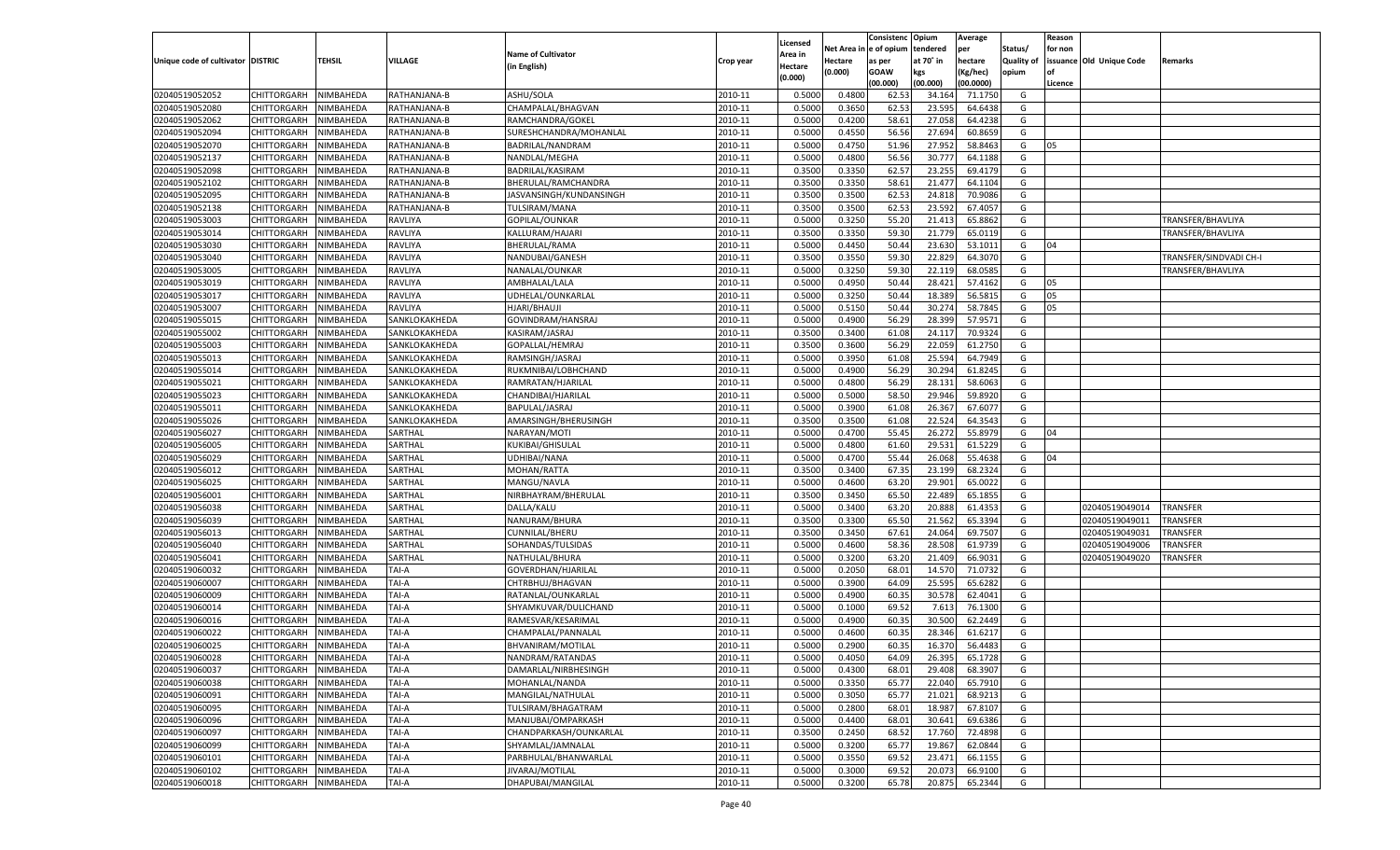|                                   |                                   |           |               |                           |           |                     |            | Consistenc   | Opium     | Average   |                   | Reason  |                          |                        |
|-----------------------------------|-----------------------------------|-----------|---------------|---------------------------|-----------|---------------------|------------|--------------|-----------|-----------|-------------------|---------|--------------------------|------------------------|
|                                   |                                   |           |               | <b>Name of Cultivator</b> |           | Licensed<br>Area in | Net Area i | n e of opium | tendered  | per       | Status/           | for non |                          |                        |
| Unique code of cultivator DISTRIC |                                   | TEHSIL    | VILLAGE       | (in English)              | Crop year | Hectare             | Hectare    | as per       | at 70° in | hectare   | <b>Quality of</b> |         | issuance Old Unique Code | Remarks                |
|                                   |                                   |           |               |                           |           | (0.000)             | (0.000)    | <b>GOAW</b>  | kgs       | (Kg/hec)  | opium             |         |                          |                        |
|                                   |                                   |           |               |                           |           |                     |            | (00.000)     | (00.000)  | (00.0000) |                   | Licence |                          |                        |
| 02040519052052                    | CHITTORGARH                       | NIMBAHEDA | RATHANJANA-B  | ASHU/SOLA                 | 2010-11   | 0.5000              | 0.4800     | 62.53        | 34.164    | 71.1750   | G                 |         |                          |                        |
| 02040519052080                    | CHITTORGARH                       | NIMBAHEDA | RATHANJANA-B  | CHAMPALAL/BHAGVAN         | 2010-11   | 0.5000              | 0.3650     | 62.53        | 23.595    | 64.6438   | G                 |         |                          |                        |
| 02040519052062                    | CHITTORGARH                       | NIMBAHEDA | RATHANJANA-B  | RAMCHANDRA/GOKEL          | 2010-11   | 0.5000              | 0.4200     | 58.61        | 27.058    | 64.4238   | G                 |         |                          |                        |
| 02040519052094                    | CHITTORGARH                       | NIMBAHEDA | RATHANJANA-B  | SURESHCHANDRA/MOHANLAL    | 2010-11   | 0.5000              | 0.4550     | 56.56        | 27.694    | 60.8659   | G                 |         |                          |                        |
| 02040519052070                    | CHITTORGARH                       | NIMBAHEDA | RATHANJANA-B  | BADRILAL/NANDRAM          | 2010-11   | 0.5000              | 0.4750     | 51.96        | 27.952    | 58.8463   | G                 | 05      |                          |                        |
| 02040519052137                    | CHITTORGARH                       | NIMBAHEDA | RATHANJANA-B  | NANDLAL/MEGHA             | 2010-11   | 0.5000              | 0.4800     | 56.56        | 30.777    | 64.1188   | G                 |         |                          |                        |
| 02040519052098                    | CHITTORGARH                       | NIMBAHEDA | RATHANJANA-B  | BADRILAL/KASIRAM          | 2010-11   | 0.3500              | 0.3350     | 62.57        | 23.255    | 69.4179   | G                 |         |                          |                        |
| 02040519052102                    | CHITTORGARH                       | NIMBAHEDA | RATHANJANA-B  | BHERULAL/RAMCHANDRA       | 2010-11   | 0.3500              | 0.3350     | 58.61        | 21.477    | 64.1104   | G                 |         |                          |                        |
| 02040519052095                    | CHITTORGARH                       | NIMBAHEDA | RATHANJANA-B  | JASVANSINGH/KUNDANSINGH   | 2010-11   | 0.3500              | 0.3500     | 62.53        | 24.81     | 70.9086   | G                 |         |                          |                        |
| 02040519052138                    | CHITTORGARH                       | NIMBAHEDA | RATHANJANA-B  | TULSIRAM/MANA             | 2010-11   | 0.3500              | 0.3500     | 62.53        | 23.592    | 67.405    | G                 |         |                          |                        |
| 02040519053003                    | CHITTORGARH                       | NIMBAHEDA | RAVLIYA       | GOPILAL/OUNKAR            | 2010-11   | 0.5000              | 0.3250     | 55.20        | 21.413    | 65.8862   | G                 |         |                          | TRANSFER/BHAVLIYA      |
| 02040519053014                    | CHITTORGARH                       | NIMBAHEDA | RAVLIYA       | KALLURAM/HAJARI           | 2010-11   | 0.3500              | 0.3350     | 59.30        | 21.779    | 65.0119   | G                 |         |                          | TRANSFER/BHAVLIYA      |
| 02040519053030                    | CHITTORGARH                       | NIMBAHEDA | RAVLIYA       | BHERULAL/RAMA             | 2010-11   | 0.5000              | 0.4450     | 50.44        | 23.630    | 53.1011   | G                 | 04      |                          |                        |
| 02040519053040                    | CHITTORGARH                       | NIMBAHEDA | RAVLIYA       | NANDUBAI/GANESH           | 2010-11   | 0.3500              | 0.3550     | 59.30        | 22.829    | 64.3070   | G                 |         |                          | TRANSFER/SINDVADI CH-I |
| 02040519053005                    | CHITTORGARH                       | NIMBAHEDA | RAVLIYA       | NANALAL/OUNKAR            | 2010-11   | 0.5000              | 0.3250     | 59.30        | 22.119    | 68.0585   | G                 |         |                          | TRANSFER/BHAVLIYA      |
| 02040519053019                    | CHITTORGARH                       | NIMBAHEDA | RAVLIYA       | AMBHALAL/LALA             | 2010-11   | 0.5000              | 0.4950     | 50.44        | 28.421    | 57.4162   | G                 | 05      |                          |                        |
| 02040519053017                    | CHITTORGARH                       | NIMBAHEDA | RAVLIYA       | UDHELAL/OUNKARLAL         | 2010-11   | 0.5000              | 0.3250     | 50.44        | 18.389    | 56.5815   | G                 | 05      |                          |                        |
| 02040519053007                    | CHITTORGARH                       | NIMBAHEDA | RAVLIYA       | HJARI/BHAUJI              | 2010-11   | 0.5000              | 0.5150     | 50.44        | 30.274    | 58.7845   | G                 | 05      |                          |                        |
| 02040519055015                    | CHITTORGARH                       | NIMBAHEDA | SANKLOKAKHEDA | GOVINDRAM/HANSRAJ         | 2010-11   | 0.5000              | 0.4900     | 56.29        | 28.399    | 57.9571   | G                 |         |                          |                        |
| 02040519055002                    | CHITTORGARH                       | NIMBAHEDA | SANKLOKAKHEDA | KASIRAM/JASRAJ            | 2010-11   | 0.3500              | 0.3400     | 61.08        | 24.117    | 70.9324   | G                 |         |                          |                        |
| 02040519055003                    | CHITTORGARH                       | NIMBAHEDA | SANKLOKAKHEDA | GOPALLAL/HEMRAJ           | 2010-11   | 0.3500              | 0.3600     | 56.29        | 22.059    | 61.2750   | G                 |         |                          |                        |
| 02040519055013                    | CHITTORGARH                       | NIMBAHEDA | SANKLOKAKHEDA | RAMSINGH/JASRAJ           | 2010-11   | 0.5000              | 0.3950     | 61.08        | 25.594    | 64.7949   | G                 |         |                          |                        |
| 02040519055014                    | CHITTORGARH                       | NIMBAHEDA | SANKLOKAKHEDA | RUKMNIBAI/LOBHCHAND       | 2010-11   | 0.5000              | 0.4900     | 56.29        | 30.294    | 61.8245   | G                 |         |                          |                        |
| 02040519055021                    | CHITTORGARH                       | NIMBAHEDA | SANKLOKAKHEDA | RAMRATAN/HJARILAI         | 2010-11   | 0.5000              | 0.4800     | 56.29        | 28.131    | 58.6063   | G                 |         |                          |                        |
| 02040519055023                    | CHITTORGARH                       | NIMBAHEDA | SANKLOKAKHEDA | CHANDIBAI/HJARILAL        | 2010-11   | 0.5000              | 0.5000     | 58.50        | 29.946    | 59.8920   | G                 |         |                          |                        |
| 02040519055011                    | CHITTORGARH                       | NIMBAHEDA | SANKLOKAKHEDA | BAPULAL/JASRAJ            | 2010-11   | 0.5000              | 0.3900     | 61.08        | 26.367    | 67.6077   | G                 |         |                          |                        |
| 02040519055026                    | CHITTORGARH                       | NIMBAHEDA | SANKLOKAKHEDA | AMARSINGH/BHERUSINGH      | 2010-11   | 0.3500              | 0.3500     | 61.08        | 22.524    | 64.3543   | G                 |         |                          |                        |
| 02040519056027                    | CHITTORGARH                       | NIMBAHEDA | SARTHAL       | NARAYAN/MOTI              | 2010-11   | 0.5000              | 0.4700     | 55.45        | 26.272    | 55.8979   | G                 | 04      |                          |                        |
| 02040519056005                    | CHITTORGARH                       | NIMBAHEDA | SARTHAL       | KUKIBAI/GHISULAL          | 2010-11   | 0.5000              | 0.4800     | 61.60        | 29.531    | 61.5229   | G                 |         |                          |                        |
| 02040519056029                    | CHITTORGARH                       | NIMBAHEDA | SARTHAL       | UDHIBAI/NANA              | 2010-11   | 0.5000              | 0.4700     | 55.44        | 26.068    | 55.4638   | G                 | 04      |                          |                        |
| 02040519056012                    | CHITTORGARH                       | NIMBAHEDA | SARTHAL       | MOHAN/RATTA               | 2010-11   | 0.3500              | 0.3400     | 67.35        | 23.199    | 68.2324   | G                 |         |                          |                        |
| 02040519056025                    | CHITTORGARH                       | NIMBAHEDA | SARTHAL       | MANGU/NAVLA               | 2010-11   | 0.5000              | 0.4600     | 63.20        | 29.901    | 65.0022   | G                 |         |                          |                        |
| 02040519056001                    | CHITTORGARH                       | NIMBAHEDA | SARTHAL       | NIRBHAYRAM/BHERULAL       | 2010-11   | 0.3500              | 0.3450     | 65.50        | 22.489    | 65.185    | G                 |         |                          |                        |
| 02040519056038                    | CHITTORGARH                       | NIMBAHEDA | SARTHAL       | DALLA/KALU                | 2010-11   | 0.5000              | 0.3400     | 63.20        | 20.888    | 61.435    | G                 |         | 02040519049014           | <b>TRANSFER</b>        |
| 02040519056039                    | CHITTORGARH                       | NIMBAHEDA | SARTHAL       | NANURAM/BHURA             | 2010-11   | 0.3500              | 0.3300     | 65.50        | 21.562    | 65.3394   | G                 |         | 02040519049011           | TRANSFER               |
| 02040519056013                    | CHITTORGARH                       | NIMBAHEDA | SARTHAL       | CUNNILAL/BHERU            | 2010-11   | 0.3500              | 0.3450     | 67.61        | 24.064    | 69.7507   | G                 |         | 02040519049031           | TRANSFER               |
| 02040519056040                    | CHITTORGARH                       | NIMBAHEDA | SARTHAL       | SOHANDAS/TULSIDAS         | 2010-11   | 0.5000              | 0.4600     | 58.36        | 28.508    | 61.9739   | G                 |         | 02040519049006           | TRANSFER               |
| 02040519056041                    | CHITTORGARH                       | NIMBAHEDA | SARTHAL       | NATHULAL/BHURA            | 2010-11   | 0.5000              | 0.3200     | 63.20        | 21.409    | 66.9031   | G                 |         | 02040519049020           | TRANSFER               |
| 02040519060032                    | CHITTORGARH                       | NIMBAHEDA | TAI-A         | GOVERDHAN/HJARILAL        | 2010-11   | 0.5000              | 0.2050     | 68.01        | 14.570    | 71.0732   | G                 |         |                          |                        |
| 02040519060007                    | CHITTORGARH                       | NIMBAHEDA | TAI-A         | CHTRBHUJ/BHAGVAN          | 2010-11   | 0.5000              | 0.3900     | 64.09        | 25.595    | 65.6282   | G                 |         |                          |                        |
| 02040519060009                    | CHITTORGARH                       | NIMBAHEDA | TAI-A         | RATANLAL/OUNKARLAL        | 2010-11   | 0.5000              | 0.4900     | 60.35        | 30.578    | 62.4041   | G                 |         |                          |                        |
| 02040519060014                    | CHITTORGARH                       | NIMBAHEDA | TAI-A         | SHYAMKUVAR/DULICHAND      | 2010-11   | 0.5000              | 0.1000     | 69.52        | 7.613     | 76.1300   | G                 |         |                          |                        |
| 02040519060016                    | CHITTORGARH                       | NIMBAHEDA | TAI-A         | RAMESVAR/KESARIMAL        | 2010-11   | 0.5000              | 0.4900     | 60.3         | 30.500    | 62.2449   | G                 |         |                          |                        |
| 02040519060022                    | CHITTORGARH                       | NIMBAHEDA | TAI-A         | CHAMPALAL/PANNALAL        | 2010-11   | 0.5000              | 0.4600     | 60.3         | 28.34     | 61.6217   | G                 |         |                          |                        |
| 02040519060025                    | CHITTORGARH                       | NIMBAHEDA | TAI-A         | BHVANIRAM/MOTILAL         | 2010-11   | 0.5000              | 0.2900     | 60.35        | 16.370    | 56.4483   | G                 |         |                          |                        |
| 02040519060028                    | CHITTORGARH NIMBAHEDA             |           | <b>TAI-A</b>  | NANDRAM/RATANDAS          | 2010-11   | 0.5000              | 0.4050     | 64.09        | 26.395    | 65.1728   | G                 |         |                          |                        |
| 02040519060037                    |                                   | NIMBAHEDA | TAI-A         | DAMARLAL/NIRBHESINGH      | 2010-11   | 0.5000              | 0.4300     | 68.01        | 29.408    | 68.3907   | G                 |         |                          |                        |
| 02040519060038                    | <b>CHITTORGARH</b><br>CHITTORGARH | NIMBAHEDA |               | MOHANLAL/NANDA            | 2010-11   | 0.5000              | 0.3350     | 65.77        | 22.040    | 65.7910   | G                 |         |                          |                        |
|                                   |                                   | NIMBAHEDA | TAI-A         | MANGILAL/NATHULAL         | 2010-11   | 0.5000              | 0.3050     | 65.77        |           |           |                   |         |                          |                        |
| 02040519060091                    | CHITTORGARH<br><b>CHITTORGARH</b> |           | TAI-A         |                           |           |                     |            |              | 21.021    | 68.9213   | G                 |         |                          |                        |
| 02040519060095                    |                                   | NIMBAHEDA | TAI-A         | TULSIRAM/BHAGATRAM        | 2010-11   | 0.5000              | 0.2800     | 68.01        | 18.987    | 67.8107   | G                 |         |                          |                        |
| 02040519060096                    | CHITTORGARH                       | NIMBAHEDA | TAI-A         | MANJUBAI/OMPARKASH        | 2010-11   | 0.5000              | 0.4400     | 68.01        | 30.641    | 69.6386   | G                 |         |                          |                        |
| 02040519060097                    | <b>CHITTORGARH</b>                | NIMBAHEDA | TAI-A         | CHANDPARKASH/OUNKARLAL    | 2010-11   | 0.3500              | 0.2450     | 68.52        | 17.760    | 72.4898   | G                 |         |                          |                        |
| 02040519060099                    | CHITTORGARH                       | NIMBAHEDA | TAI-A         | SHYAMLAL/JAMNALAL         | 2010-11   | 0.5000              | 0.3200     | 65.77        | 19.867    | 62.0844   | G                 |         |                          |                        |
| 02040519060101                    | <b>CHITTORGARH</b>                | NIMBAHEDA | TAI-A         | PARBHULAL/BHANWARLAL      | 2010-11   | 0.5000              | 0.3550     | 69.52        | 23.471    | 66.1155   | G                 |         |                          |                        |
| 02040519060102                    | CHITTORGARH                       | NIMBAHEDA | TAI-A         | JIVARAJ/MOTILAL           | 2010-11   | 0.5000              | 0.3000     | 69.52        | 20.073    | 66.9100   | G                 |         |                          |                        |
| 02040519060018                    | <b>CHITTORGARH</b>                | NIMBAHEDA | TAI-A         | DHAPUBAI/MANGILAL         | 2010-11   | 0.5000              | 0.3200     | 65.78        | 20.875    | 65.2344   | G                 |         |                          |                        |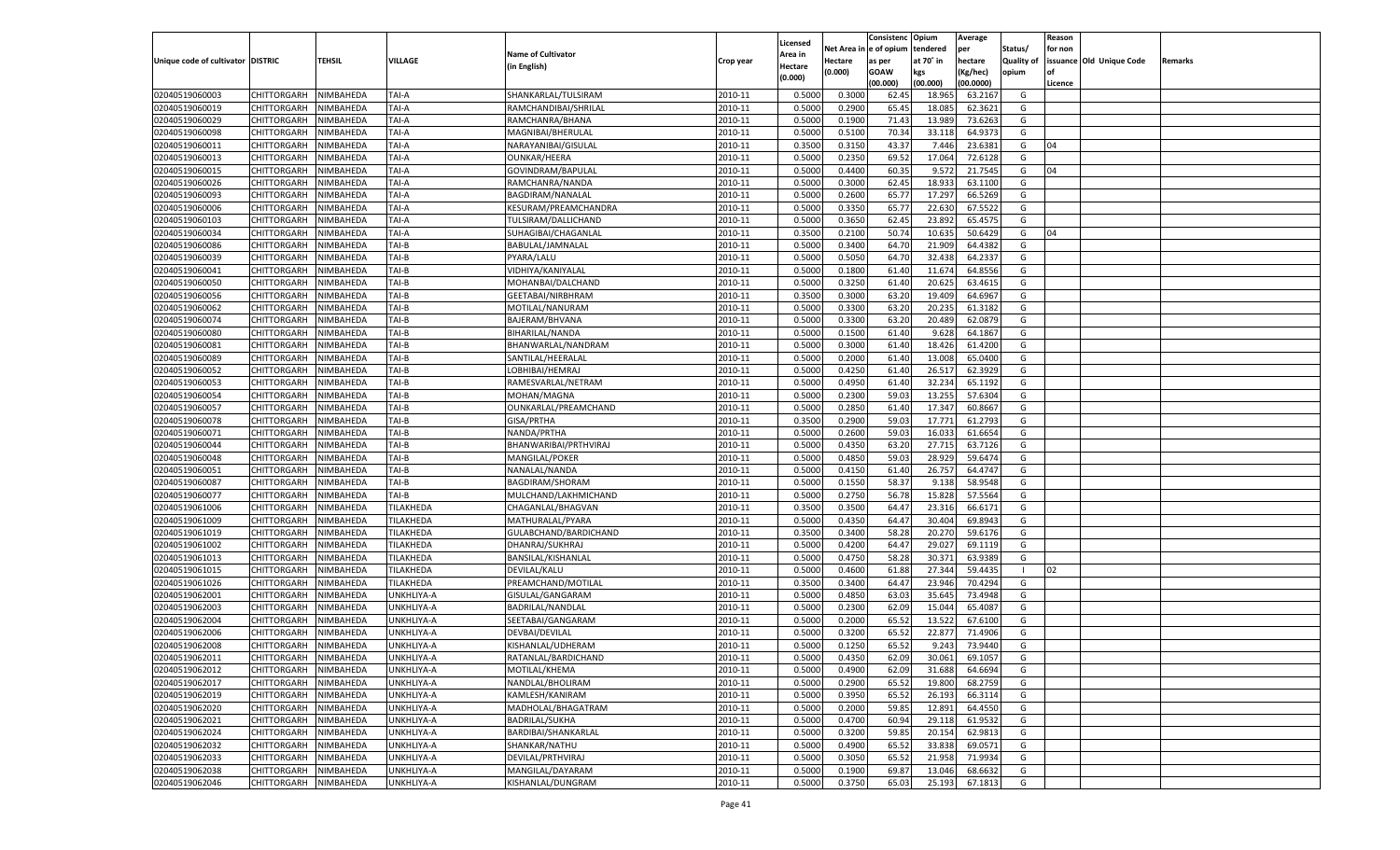|                                   |                       |               |                        |                           |           |                     |         | Consistenc Opium       |           | Average   |                   | Reason  |                          |         |
|-----------------------------------|-----------------------|---------------|------------------------|---------------------------|-----------|---------------------|---------|------------------------|-----------|-----------|-------------------|---------|--------------------------|---------|
|                                   |                       |               |                        | <b>Name of Cultivator</b> |           | Licensed<br>Area in |         | Net Area in e of opium | tendered  | per       | Status/           | for non |                          |         |
| Unique code of cultivator DISTRIC |                       | <b>TEHSIL</b> | VILLAGE                | (in English)              | Crop year | Hectare             | Hectare | as per                 | at 70° in | hectare   | <b>Quality of</b> |         | issuance Old Unique Code | Remarks |
|                                   |                       |               |                        |                           |           | (0.000)             | (0.000) | <b>GOAW</b>            | kgs       | (Kg/hec)  | opium             |         |                          |         |
|                                   |                       |               |                        |                           |           |                     |         | (00.000)               | (00.000)  | (00.0000) |                   | Licence |                          |         |
| 02040519060003                    | CHITTORGARH           | NIMBAHEDA     | TAI-A                  | SHANKARLAL/TULSIRAM       | 2010-11   | 0.5000              | 0.3000  | 62.45                  | 18.965    | 63.2167   | G                 |         |                          |         |
| 02040519060019                    | CHITTORGARH           | NIMBAHEDA     | TAI-A                  | RAMCHANDIBAI/SHRILAL      | 2010-11   | 0.5000              | 0.2900  | 65.45                  | 18.085    | 62.3621   | G                 |         |                          |         |
| 02040519060029                    | CHITTORGARH           | NIMBAHEDA     | TAI-A                  | RAMCHANRA/BHANA           | 2010-11   | 0.5000              | 0.1900  | 71.43                  | 13.989    | 73.6263   | G                 |         |                          |         |
| 02040519060098                    | CHITTORGARH           | NIMBAHEDA     | TAI-A                  | MAGNIBAI/BHERULAL         | 2010-11   | 0.5000              | 0.5100  | 70.34                  | 33.118    | 64.9373   | G                 |         |                          |         |
| 02040519060011                    | CHITTORGARH           | NIMBAHEDA     | TAI-A                  | NARAYANIBAI/GISULAL       | 2010-11   | 0.3500              | 0.3150  | 43.37                  | 7.446     | 23.6381   | G                 | 04      |                          |         |
| 02040519060013                    | CHITTORGARH           | NIMBAHEDA     | TAI-A                  | OUNKAR/HEERA              | 2010-11   | 0.5000              | 0.2350  | 69.52                  | 17.064    | 72.6128   | G                 |         |                          |         |
| 02040519060015                    | CHITTORGARH           | NIMBAHEDA     | TAI-A                  | GOVINDRAM/BAPULAL         | 2010-11   | 0.5000              | 0.4400  | 60.35                  | 9.572     | 21.7545   | G                 | 04      |                          |         |
| 02040519060026                    | CHITTORGARH           | NIMBAHEDA     | TAI-A                  | RAMCHANRA/NANDA           | 2010-11   | 0.5000              | 0.3000  | 62.45                  | 18.933    | 63.1100   | G                 |         |                          |         |
| 02040519060093                    | CHITTORGARH           | NIMBAHEDA     | TAI-A                  | BAGDIRAM/NANALAL          | 2010-11   | 0.5000              | 0.2600  | 65.77                  | 17.297    | 66.5269   | G                 |         |                          |         |
| 02040519060006                    | CHITTORGARH           | NIMBAHEDA     | TAI-A                  | KESURAM/PREAMCHANDRA      | 2010-11   | 0.5000              | 0.3350  | 65.7                   | 22.630    | 67.5522   | G                 |         |                          |         |
| 02040519060103                    | CHITTORGARH           | NIMBAHEDA     | TAI-A                  | TULSIRAM/DALLICHAND       | 2010-11   | 0.5000              | 0.3650  | 62.45                  | 23.892    | 65.4575   | G                 |         |                          |         |
| 02040519060034                    | CHITTORGARH           | NIMBAHEDA     | TAI-A                  | SUHAGIBAI/CHAGANLAL       | 2010-11   | 0.3500              | 0.2100  | 50.74                  | 10.635    | 50.6429   | G                 | 04      |                          |         |
| 02040519060086                    | CHITTORGARH           | NIMBAHEDA     | TAI-B                  | BABULAL/JAMNALAL          | 2010-11   | 0.5000              | 0.3400  | 64.70                  | 21.909    | 64.4382   | G                 |         |                          |         |
| 02040519060039                    | CHITTORGARH           | NIMBAHEDA     | TAI-B                  | PYARA/LALU                | 2010-11   | 0.5000              | 0.5050  | 64.70                  | 32.438    | 64.2337   | G                 |         |                          |         |
| 02040519060041                    | CHITTORGARH           | NIMBAHEDA     | TAI-B                  | VIDHIYA/KANIYALAL         | 2010-11   | 0.5000              | 0.1800  | 61.40                  | 11.674    | 64.8556   | G                 |         |                          |         |
| 02040519060050                    | CHITTORGARH           | NIMBAHEDA     | TAI-B                  | MOHANBAI/DALCHAND         | 2010-11   | 0.5000              | 0.3250  | 61.40                  | 20.625    | 63.4615   | G                 |         |                          |         |
| 02040519060056                    | CHITTORGARH           | NIMBAHEDA     | TAI-B                  | GEETABAI/NIRBHRAM         | 2010-11   | 0.3500              | 0.3000  | 63.20                  | 19.409    | 64.6967   | G                 |         |                          |         |
| 02040519060062                    | CHITTORGARH           | NIMBAHEDA     | TAI-B                  | MOTILAL/NANURAM           | 2010-11   | 0.5000              | 0.3300  | 63.20                  | 20.235    | 61.3182   | G                 |         |                          |         |
| 02040519060074                    | CHITTORGARH           | NIMBAHEDA     | TAI-B                  | BAJERAM/BHVANA            | 2010-11   | 0.5000              | 0.3300  | 63.20                  | 20.489    | 62.0879   | G                 |         |                          |         |
| 02040519060080                    | CHITTORGARH           | NIMBAHEDA     | TAI-B                  | BIHARILAL/NANDA           | 2010-11   | 0.5000              | 0.1500  | 61.40                  | 9.628     | 64.1867   | G                 |         |                          |         |
| 02040519060081                    | CHITTORGARH           | NIMBAHEDA     | TAI-B                  | BHANWARLAL/NANDRAM        | 2010-11   | 0.5000              | 0.3000  | 61.40                  | 18.426    | 61.4200   | G                 |         |                          |         |
| 02040519060089                    | CHITTORGARH           | NIMBAHEDA     | TAI-B                  | SANTILAL/HEERALAL         | 2010-11   | 0.5000              | 0.2000  | 61.40                  | 13.008    | 65.0400   | G                 |         |                          |         |
| 02040519060052                    | CHITTORGARH           | NIMBAHEDA     | TAI-B                  | LOBHIBAI/HEMRAJ           | 2010-11   | 0.5000              | 0.4250  | 61.40                  | 26.517    | 62.3929   | G                 |         |                          |         |
| 02040519060053                    | CHITTORGARH           | NIMBAHEDA     | TAI-B                  | RAMESVARLAL/NETRAM        | 2010-11   | 0.5000              | 0.4950  | 61.40                  | 32.234    | 65.1192   | G                 |         |                          |         |
| 02040519060054                    | CHITTORGARH           | NIMBAHEDA     | TAI-B                  | MOHAN/MAGNA               | 2010-11   | 0.5000              | 0.2300  | 59.03                  | 13.255    | 57.6304   | G                 |         |                          |         |
| 02040519060057                    | CHITTORGARH           | NIMBAHEDA     | TAI-B                  | OUNKARLAL/PREAMCHAND      | 2010-11   | 0.5000              | 0.2850  | 61.40                  | 17.347    | 60.8667   | G                 |         |                          |         |
| 02040519060078                    | CHITTORGARH           | NIMBAHEDA     | TAI-B                  | GISA/PRTHA                | 2010-11   | 0.3500              | 0.2900  | 59.03                  | 17.771    | 61.2793   | G                 |         |                          |         |
| 02040519060071                    | CHITTORGARH           | NIMBAHEDA     | TAI-B                  | NANDA/PRTHA               | 2010-11   | 0.5000              | 0.2600  | 59.03                  | 16.033    | 61.6654   | G                 |         |                          |         |
| 02040519060044                    | CHITTORGARH           | NIMBAHEDA     | TAI-B                  | BHANWARIBAI/PRTHVIRAJ     | 2010-11   | 0.5000              | 0.4350  | 63.20                  | 27.715    | 63.7126   | G                 |         |                          |         |
| 02040519060048                    | CHITTORGARH           | NIMBAHEDA     | TAI-B                  | MANGILAL/POKER            | 2010-11   | 0.5000              | 0.4850  | 59.03                  | 28.929    | 59.6474   | G                 |         |                          |         |
| 02040519060051                    | <b>CHITTORGARH</b>    | NIMBAHEDA     | TAI-B                  | NANALAL/NANDA             | 2010-11   | 0.5000              | 0.4150  | 61.40                  | 26.757    | 64.4747   | G                 |         |                          |         |
| 02040519060087                    | CHITTORGARH           | NIMBAHEDA     | TAI-B                  | BAGDIRAM/SHORAM           | 2010-11   | 0.5000              | 0.1550  | 58.37                  | 9.138     | 58.9548   | G                 |         |                          |         |
| 02040519060077                    | <b>CHITTORGARH</b>    | NIMBAHEDA     | TAI-B                  | MULCHAND/LAKHMICHAND      | 2010-11   | 0.5000              | 0.2750  | 56.78                  | 15.828    | 57.5564   | G                 |         |                          |         |
| 02040519061006                    | CHITTORGARH           | NIMBAHEDA     | TILAKHEDA              | CHAGANLAL/BHAGVAN         | 2010-11   | 0.3500              | 0.3500  | 64.47                  | 23.316    | 66.6171   | G                 |         |                          |         |
| 02040519061009                    |                       | NIMBAHEDA     | TILAKHEDA              |                           | 2010-11   | 0.5000              | 0.4350  | 64.47                  | 30.404    | 69.8943   | G                 |         |                          |         |
| 02040519061019                    | <b>CHITTORGARH</b>    |               |                        | MATHURALAL/PYARA          | 2010-11   | 0.3500              | 0.3400  | 58.28                  | 20.270    |           | G                 |         |                          |         |
|                                   | CHITTORGARH           | NIMBAHEDA     | TILAKHEDA<br>TILAKHEDA | GULABCHAND/BARDICHAND     | 2010-11   |                     |         |                        |           | 59.6176   |                   |         |                          |         |
| 02040519061002                    | <b>CHITTORGARH</b>    | NIMBAHEDA     |                        | DHANRAJ/SUKHRAJ           |           | 0.5000              | 0.4200  | 64.47                  | 29.027    | 69.1119   | G                 |         |                          |         |
| 02040519061013                    | CHITTORGARH           | NIMBAHEDA     | TILAKHEDA              | BANSILAL/KISHANLAI        | 2010-11   | 0.5000              | 0.4750  | 58.28                  | 30.371    | 63.9389   | G<br>- 1          |         |                          |         |
| 02040519061015                    | <b>CHITTORGARH</b>    | NIMBAHEDA     | TILAKHEDA              | DEVILAL/KALU              | 2010-11   | 0.5000              | 0.4600  | 61.88                  | 27.344    | 59.4435   |                   | 02      |                          |         |
| 02040519061026                    | CHITTORGARH           | NIMBAHEDA     | TILAKHEDA              | PREAMCHAND/MOTILAL        | 2010-11   | 0.3500              | 0.3400  | 64.47                  | 23.946    | 70.4294   | G                 |         |                          |         |
| 02040519062001                    | <b>CHITTORGARH</b>    | NIMBAHEDA     | UNKHLIYA-A             | GISULAL/GANGARAM          | 2010-11   | 0.5000              | 0.4850  | 63.03                  | 35.645    | 73.4948   | G                 |         |                          |         |
| 02040519062003                    | CHITTORGARH           | NIMBAHEDA     | UNKHLIYA-A             | BADRILAL/NANDLAL          | 2010-11   | 0.5000              | 0.2300  | 62.09                  | 15.044    | 65.4087   | G                 |         |                          |         |
| 02040519062004                    | CHITTORGARH           | NIMBAHEDA     | UNKHLIYA-A             | SEETABAI/GANGARAM         | 2010-11   | 0.5000              | 0.2000  | 65.52                  | 13.522    | 67.6100   | G                 |         |                          |         |
| 02040519062006                    | CHITTORGARH           | NIMBAHEDA     | UNKHLIYA-A             | DEVBAI/DEVILAL            | 2010-11   | 0.5000              | 0.3200  | 65.52                  | 22.877    | 71.4906   | G                 |         |                          |         |
| 02040519062008                    | CHITTORGARH           | NIMBAHEDA     | UNKHLIYA-A             | KISHANLAL/UDHERAM         | 2010-11   | 0.5000              | 0.1250  | 65.52                  | 9.243     | 73.9440   | G                 |         |                          |         |
| 02040519062011                    | CHITTORGARH NIMBAHEDA |               | UNKHLIYA-A             | RATANLAL/BARDICHAND       | 2010-11   | 0.5000              | 0.4350  | 62.09                  | 30.061    | 69.1057   | G                 |         |                          |         |
| 02040519062012                    | <b>CHITTORGARH</b>    | NIMBAHEDA     | UNKHLIYA-A             | MOTILAL/KHEMA             | 2010-11   | 0.5000              | 0.4900  | 62.09                  | 31.688    | 64.6694   | G                 |         |                          |         |
| 02040519062017                    | <b>CHITTORGARH</b>    | NIMBAHEDA     | UNKHLIYA-A             | NANDLAL/BHOLIRAM          | 2010-11   | 0.5000              | 0.2900  | 65.52                  | 19.800    | 68.2759   | G                 |         |                          |         |
| 02040519062019                    | <b>CHITTORGARH</b>    | NIMBAHEDA     | UNKHLIYA-A             | KAMLESH/KANIRAM           | 2010-11   | 0.5000              | 0.3950  | 65.52                  | 26.193    | 66.3114   | G                 |         |                          |         |
| 02040519062020                    | <b>CHITTORGARH</b>    | NIMBAHEDA     | UNKHLIYA-A             | MADHOLAL/BHAGATRAM        | 2010-11   | 0.5000              | 0.2000  | 59.85                  | 12.891    | 64.4550   | G                 |         |                          |         |
| 02040519062021                    | <b>CHITTORGARH</b>    | NIMBAHEDA     | UNKHLIYA-A             | <b>BADRILAL/SUKHA</b>     | 2010-11   | 0.5000              | 0.4700  | 60.94                  | 29.118    | 61.9532   | G                 |         |                          |         |
| 02040519062024                    | <b>CHITTORGARH</b>    | NIMBAHEDA     | UNKHLIYA-A             | BARDIBAI/SHANKARLAL       | 2010-11   | 0.5000              | 0.3200  | 59.85                  | 20.154    | 62.9813   | G                 |         |                          |         |
| 02040519062032                    | <b>CHITTORGARH</b>    | NIMBAHEDA     | UNKHLIYA-A             | SHANKAR/NATHU             | 2010-11   | 0.5000              | 0.4900  | 65.52                  | 33.838    | 69.0571   | G                 |         |                          |         |
| 02040519062033                    | <b>CHITTORGARH</b>    | NIMBAHEDA     | UNKHLIYA-A             | DEVILAL/PRTHVIRAJ         | 2010-11   | 0.5000              | 0.3050  | 65.52                  | 21.958    | 71.9934   | G                 |         |                          |         |
| 02040519062038                    | <b>CHITTORGARH</b>    | NIMBAHEDA     | UNKHLIYA-A             | MANGILAL/DAYARAM          | 2010-11   | 0.5000              | 0.1900  | 69.87                  | 13.046    | 68.6632   | G                 |         |                          |         |
| 02040519062046                    | <b>CHITTORGARH</b>    | NIMBAHEDA     | UNKHLIYA-A             | KISHANLAL/DUNGRAM         | 2010-11   | 0.5000              | 0.3750  | 65.03                  | 25.193    | 67.1813   | G                 |         |                          |         |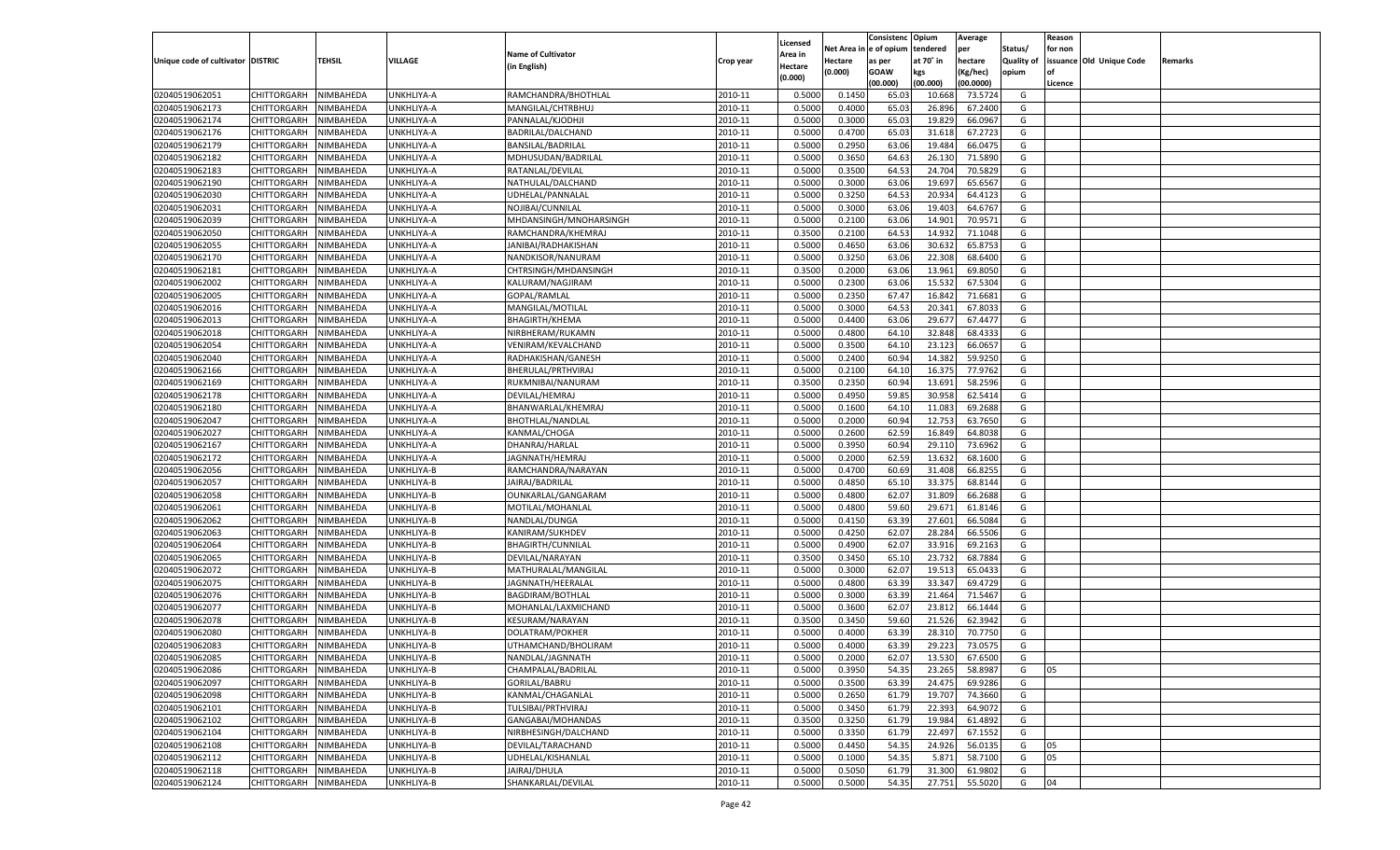|                                   |                       |               |            |                                         |                    |                           |                  | Consistenc  | Opium            | Average            |                   | Reason  |                          |         |
|-----------------------------------|-----------------------|---------------|------------|-----------------------------------------|--------------------|---------------------------|------------------|-------------|------------------|--------------------|-------------------|---------|--------------------------|---------|
|                                   |                       |               |            | <b>Name of Cultivator</b>               |                    | Licensed                  | Net Area         | e of opium  | tendered         | per                | Status/           | for non |                          |         |
| Unique code of cultivator DISTRIC |                       | <b>TEHSIL</b> | VILLAGE    | (in English)                            | Crop year          | <b>Area in</b><br>Hectare | Hectare          | as per      | at 70° in        | hectare            | <b>Quality of</b> |         | issuance Old Unique Code | Remarks |
|                                   |                       |               |            |                                         |                    | (0.000)                   | (0.000)          | <b>GOAW</b> | kgs              | (Kg/hec)           | opium             |         |                          |         |
|                                   |                       |               |            |                                         |                    |                           |                  | (00.000)    | (00.000)         | (00.0000)          |                   | Licence |                          |         |
| 02040519062051                    | CHITTORGARH           | NIMBAHEDA     | UNKHLIYA-A | RAMCHANDRA/BHOTHLAL                     | 2010-11            | 0.5000                    | 0.1450           | 65.03       | 10.668           | 73.5724            | G                 |         |                          |         |
| 02040519062173                    | CHITTORGARH           | NIMBAHEDA     | UNKHLIYA-A | MANGILAL/CHTRBHUJ                       | 2010-11            | 0.5000                    | 0.4000           | 65.03       | 26.896           | 67.2400            | G                 |         |                          |         |
| 02040519062174                    | CHITTORGARH           | NIMBAHEDA     | UNKHLIYA-A | PANNALAL/KJODHJI                        | 2010-11            | 0.5000                    | 0.3000           | 65.03       | 19.829           | 66.0967            | G                 |         |                          |         |
| 02040519062176                    | CHITTORGARH           | NIMBAHEDA     | UNKHLIYA-A | BADRILAL/DALCHAND                       | 2010-11            | 0.5000                    | 0.4700           | 65.03       | 31.618           | 67.2723            | G                 |         |                          |         |
| 02040519062179                    | CHITTORGARH           | NIMBAHEDA     | UNKHLIYA-A | BANSILAL/BADRILAL                       | 2010-11            | 0.5000                    | 0.2950           | 63.06       | 19.484           | 66.0475            | G                 |         |                          |         |
| 02040519062182                    | CHITTORGARH           | NIMBAHEDA     | UNKHLIYA-A | MDHUSUDAN/BADRILAL                      | 2010-11            | 0.5000                    | 0.3650           | 64.63       | 26.13            | 71.5890            | G                 |         |                          |         |
| 02040519062183                    | CHITTORGARH           | NIMBAHEDA     | UNKHLIYA-A | RATANLAL/DEVILAL                        | 2010-11            | 0.5000                    | 0.3500           | 64.53       | 24.704           | 70.5829            | G                 |         |                          |         |
| 02040519062190                    | CHITTORGARH           | NIMBAHEDA     | UNKHLIYA-A | NATHULAL/DALCHAND                       | 2010-11            | 0.5000                    | 0.3000           | 63.06       | 19.697           | 65.6567            | G                 |         |                          |         |
| 02040519062030                    | CHITTORGARH           | NIMBAHEDA     | UNKHLIYA-A | UDHELAL/PANNALAL                        | 2010-11            | 0.5000                    | 0.3250           | 64.53       | 20.934           | 64.412             | G                 |         |                          |         |
| 02040519062031                    | CHITTORGARH           | NIMBAHEDA     | UNKHLIYA-A | NOJIBAI/CUNNILAL                        | 2010-11            | 0.5000                    | 0.3000           | 63.06       | 19.403           | 64.676             | G                 |         |                          |         |
| 02040519062039                    | CHITTORGARH           | NIMBAHEDA     | UNKHLIYA-A | MHDANSINGH/MNOHARSINGH                  | 2010-11            | 0.5000                    | 0.2100           | 63.06       | 14.901           | 70.9571            | G                 |         |                          |         |
| 02040519062050                    | CHITTORGARH           | NIMBAHEDA     | UNKHLIYA-A | RAMCHANDRA/KHEMRAJ                      | 2010-11            | 0.3500                    | 0.2100           | 64.53       | 14.932           | 71.1048            | G                 |         |                          |         |
| 02040519062055                    | CHITTORGARH           | NIMBAHEDA     | UNKHLIYA-A | JANIBAI/RADHAKISHAN                     | 2010-11            | 0.5000                    | 0.4650           | 63.06       | 30.632           | 65.875             | G                 |         |                          |         |
| 02040519062170                    | CHITTORGARH           | NIMBAHEDA     | UNKHLIYA-A | NANDKISOR/NANURAM                       | 2010-11            | 0.5000                    | 0.3250           | 63.06       | 22.308           | 68.6400            | G                 |         |                          |         |
| 02040519062181                    | CHITTORGARH           | NIMBAHEDA     | UNKHLIYA-A | CHTRSINGH/MHDANSINGH                    | 2010-11            | 0.3500                    | 0.2000           | 63.06       | 13.961           | 69.8050            | G                 |         |                          |         |
| 02040519062002                    | CHITTORGARH           | NIMBAHEDA     | UNKHLIYA-A | KALURAM/NAGJIRAM                        | 2010-11            | 0.5000                    | 0.2300           | 63.06       | 15.532           | 67.5304            | G                 |         |                          |         |
| 02040519062005                    | CHITTORGARH           | NIMBAHEDA     | UNKHLIYA-A | GOPAL/RAMLAL                            | 2010-11            | 0.5000                    | 0.2350           | 67.47       | 16.842           | 71.6681            | G                 |         |                          |         |
| 02040519062016                    | CHITTORGARH           | NIMBAHEDA     | UNKHLIYA-A | MANGILAL/MOTILAL                        | 2010-11            | 0.5000                    | 0.3000           | 64.53       | 20.341           | 67.803             | G                 |         |                          |         |
| 02040519062013                    | CHITTORGARH           | NIMBAHEDA     | UNKHLIYA-A | <b>BHAGIRTH/KHEMA</b>                   | 2010-11            | 0.5000                    | 0.4400           | 63.06       | 29.677           | 67.4477            | G                 |         |                          |         |
| 02040519062018                    | CHITTORGARH           | NIMBAHEDA     | UNKHLIYA-A | NIRBHERAM/RUKAMN                        | 2010-11            | 0.5000                    | 0.4800           | 64.10       | 32.848           | 68.4333            | G                 |         |                          |         |
| 02040519062054                    | CHITTORGARH           | NIMBAHEDA     | UNKHLIYA-A | VENIRAM/KEVALCHAND                      | 2010-11            | 0.5000                    | 0.3500           | 64.10       | 23.123           | 66.0657            | G                 |         |                          |         |
| 02040519062040                    | CHITTORGARH           | NIMBAHEDA     | UNKHLIYA-A | RADHAKISHAN/GANESH                      | 2010-11            | 0.5000                    | 0.2400           | 60.94       | 14.382           | 59.9250            | G                 |         |                          |         |
| 02040519062166                    | CHITTORGARH           | NIMBAHEDA     | UNKHLIYA-A | BHERULAL/PRTHVIRAJ                      | 2010-11            | 0.5000                    | 0.2100           | 64.10       | 16.375           | 77.9762            | G                 |         |                          |         |
| 02040519062169                    | CHITTORGARH           | NIMBAHEDA     | UNKHLIYA-A | RUKMNIBAI/NANURAM                       | 2010-11            | 0.3500                    | 0.2350           | 60.94       | 13.691           | 58.2596            | G                 |         |                          |         |
| 02040519062178                    |                       |               | UNKHLIYA-A | DEVILAL/HEMRAJ                          | 2010-11            | 0.5000                    | 0.4950           | 59.85       | 30.958           | 62.5414            | G                 |         |                          |         |
| 02040519062180                    | CHITTORGARH           | NIMBAHEDA     |            |                                         | 2010-11            |                           |                  | 64.10       |                  |                    | G                 |         |                          |         |
| 02040519062047                    | CHITTORGARH           | NIMBAHEDA     | UNKHLIYA-A | BHANWARLAL/KHEMRAJ                      | 2010-11            | 0.5000<br>0.5000          | 0.1600<br>0.2000 | 60.94       | 11.083<br>12.753 | 69.2688<br>63.7650 | G                 |         |                          |         |
|                                   | CHITTORGARH           | NIMBAHEDA     | UNKHLIYA-A | <b>BHOTHLAL/NANDLAL</b><br>KANMAL/CHOGA |                    |                           |                  | 62.59       |                  | 64.8038            |                   |         |                          |         |
| 02040519062027                    | CHITTORGARH           | NIMBAHEDA     | UNKHLIYA-A |                                         | 2010-11<br>2010-11 | 0.5000                    | 0.2600           |             | 16.849           | 73.6962            | G<br>G            |         |                          |         |
| 02040519062167                    | CHITTORGARH           | NIMBAHEDA     | UNKHLIYA-A | DHANRAJ/HARLAL                          |                    | 0.5000                    | 0.3950           | 60.94       | 29.110           |                    |                   |         |                          |         |
| 02040519062172                    | CHITTORGARH           | NIMBAHEDA     | UNKHLIYA-A | JAGNNATH/HEMRAJ                         | 2010-11            | 0.5000                    | 0.2000           | 62.59       | 13.632           | 68.1600            | G                 |         |                          |         |
| 02040519062056                    | CHITTORGARH           | NIMBAHEDA     | UNKHLIYA-B | RAMCHANDRA/NARAYAN                      | 2010-11            | 0.5000                    | 0.4700           | 60.69       | 31.408           | 66.825             | G                 |         |                          |         |
| 02040519062057                    | CHITTORGARH           | NIMBAHEDA     | UNKHLIYA-B | JAIRAJ/BADRILAL                         | 2010-11            | 0.5000                    | 0.4850           | 65.10       | 33.375           | 68.8144            | G                 |         |                          |         |
| 02040519062058                    | CHITTORGARH           | NIMBAHEDA     | UNKHLIYA-B | OUNKARLAL/GANGARAM                      | 2010-11            | 0.5000                    | 0.4800           | 62.07       | 31.809           | 66.2688            | G                 |         |                          |         |
| 02040519062061                    | CHITTORGARH           | NIMBAHEDA     | UNKHLIYA-B | MOTILAL/MOHANLAI                        | 2010-11            | 0.5000                    | 0.4800           | 59.60       | 29.671           | 61.8146            | G                 |         |                          |         |
| 02040519062062                    | CHITTORGARH           | NIMBAHEDA     | UNKHLIYA-B | NANDLAL/DUNGA                           | 2010-11            | 0.5000                    | 0.4150           | 63.39       | 27.601           | 66.5084            | G                 |         |                          |         |
| 02040519062063                    | CHITTORGARH           | NIMBAHEDA     | UNKHLIYA-B | KANIRAM/SUKHDEV                         | 2010-11            | 0.5000                    | 0.4250           | 62.07       | 28.284           | 66.5506            | G                 |         |                          |         |
| 02040519062064                    | CHITTORGARH           | NIMBAHEDA     | UNKHLIYA-B | <b>BHAGIRTH/CUNNILAI</b>                | 2010-11            | 0.5000                    | 0.4900           | 62.07       | 33.916           | 69.2163            | G                 |         |                          |         |
| 02040519062065                    | CHITTORGARH           | NIMBAHEDA     | UNKHLIYA-B | DEVILAL/NARAYAN                         | 2010-11            | 0.3500                    | 0.3450           | 65.10       | 23.732           | 68.7884            | G                 |         |                          |         |
| 02040519062072                    | CHITTORGARH           | NIMBAHEDA     | UNKHLIYA-B | MATHURALAL/MANGILAL                     | 2010-11            | 0.5000                    | 0.3000           | 62.07       | 19.513           | 65.043             | G                 |         |                          |         |
| 02040519062075                    | CHITTORGARH           | NIMBAHEDA     | UNKHLIYA-B | JAGNNATH/HEERALAL                       | 2010-11            | 0.5000                    | 0.4800           | 63.39       | 33.34            | 69.4729            | G                 |         |                          |         |
| 02040519062076                    | CHITTORGARH           | NIMBAHEDA     | UNKHLIYA-B | BAGDIRAM/BOTHLAL                        | 2010-11            | 0.5000                    | 0.3000           | 63.39       | 21.464           | 71.5467            | G                 |         |                          |         |
| 02040519062077                    | CHITTORGARH           | NIMBAHEDA     | UNKHLIYA-B | MOHANLAL/LAXMICHAND                     | 2010-11            | 0.5000                    | 0.3600           | 62.07       | 23.812           | 66.1444            | G                 |         |                          |         |
| 02040519062078                    | CHITTORGARH           | NIMBAHEDA     | UNKHLIYA-B | KESURAM/NARAYAN                         | 2010-11            | 0.3500                    | 0.3450           | 59.60       | 21.526           | 62.3942            | G                 |         |                          |         |
| 02040519062080                    | CHITTORGARH           | NIMBAHEDA     | UNKHLIYA-B | DOLATRAM/POKHER                         | 2010-11            | 0.5000                    | 0.4000           | 63.39       | 28.31            | 70.7750            | G                 |         |                          |         |
| 02040519062083                    | CHITTORGARH           | NIMBAHEDA     | UNKHLIYA-B | UTHAMCHAND/BHOLIRAM                     | 2010-11            | 0.5000                    | 0.4000           | 63.39       | 29.223           | 73.0575            | G                 |         |                          |         |
| 02040519062085                    | CHITTORGARH NIMBAHEDA |               | UNKHLIYA-B | NANDLAL/JAGNNATH                        | 2010-11            | 0.5000                    | 0.2000           | 62.07       | 13.530           | 67.6500            | G                 |         |                          |         |
| 02040519062086                    | <b>CHITTORGARH</b>    | NIMBAHEDA     | UNKHLIYA-B | CHAMPALAL/BADRILAL                      | 2010-11            | 0.5000                    | 0.3950           | 54.35       | 23.265           | 58.8987            | G                 | 05      |                          |         |
| 02040519062097                    | CHITTORGARH           | NIMBAHEDA     | UNKHLIYA-B | GORILAL/BABRU                           | 2010-11            | 0.5000                    | 0.3500           | 63.39       | 24.475           | 69.9286            | G                 |         |                          |         |
| 02040519062098                    | <b>CHITTORGARH</b>    | NIMBAHEDA     | UNKHLIYA-B | KANMAL/CHAGANLAL                        | 2010-11            | 0.5000                    | 0.2650           | 61.79       | 19.707           | 74.3660            | G                 |         |                          |         |
| 02040519062101                    | <b>CHITTORGARH</b>    | NIMBAHEDA     | UNKHLIYA-B | TULSIBAI/PRTHVIRAJ                      | 2010-11            | 0.5000                    | 0.3450           | 61.79       | 22.393           | 64.9072            | G                 |         |                          |         |
| 02040519062102                    | <b>CHITTORGARH</b>    | NIMBAHEDA     | UNKHLIYA-B | GANGABAI/MOHANDAS                       | 2010-11            | 0.3500                    | 0.3250           | 61.79       | 19.984           | 61.4892            | G                 |         |                          |         |
| 02040519062104                    | <b>CHITTORGARH</b>    | NIMBAHEDA     | UNKHLIYA-B | NIRBHESINGH/DALCHAND                    | 2010-11            | 0.5000                    | 0.3350           | 61.79       | 22.497           | 67.1552            | G                 |         |                          |         |
| 02040519062108                    | <b>CHITTORGARH</b>    | NIMBAHEDA     | UNKHLIYA-B | DEVILAL/TARACHAND                       | 2010-11            | 0.5000                    | 0.4450           | 54.35       | 24.926           | 56.0135            | G                 | 05      |                          |         |
| 02040519062112                    | <b>CHITTORGARH</b>    | NIMBAHEDA     | UNKHLIYA-B | UDHELAL/KISHANLAL                       | 2010-11            | 0.5000                    | 0.1000           | 54.35       | 5.871            | 58.7100            | G                 | 05      |                          |         |
| 02040519062118                    | <b>CHITTORGARH</b>    | NIMBAHEDA     | UNKHLIYA-B | JAIRAJ/DHULA                            | 2010-11            | 0.5000                    | 0.5050           | 61.79       | 31.300           | 61.9802            | G                 |         |                          |         |
| 02040519062124                    | <b>CHITTORGARH</b>    | NIMBAHEDA     | UNKHLIYA-B | SHANKARLAL/DEVILAL                      | 2010-11            | 0.5000                    | 0.5000           | 54.35       | 27.751           | 55.5020            | G                 | 04      |                          |         |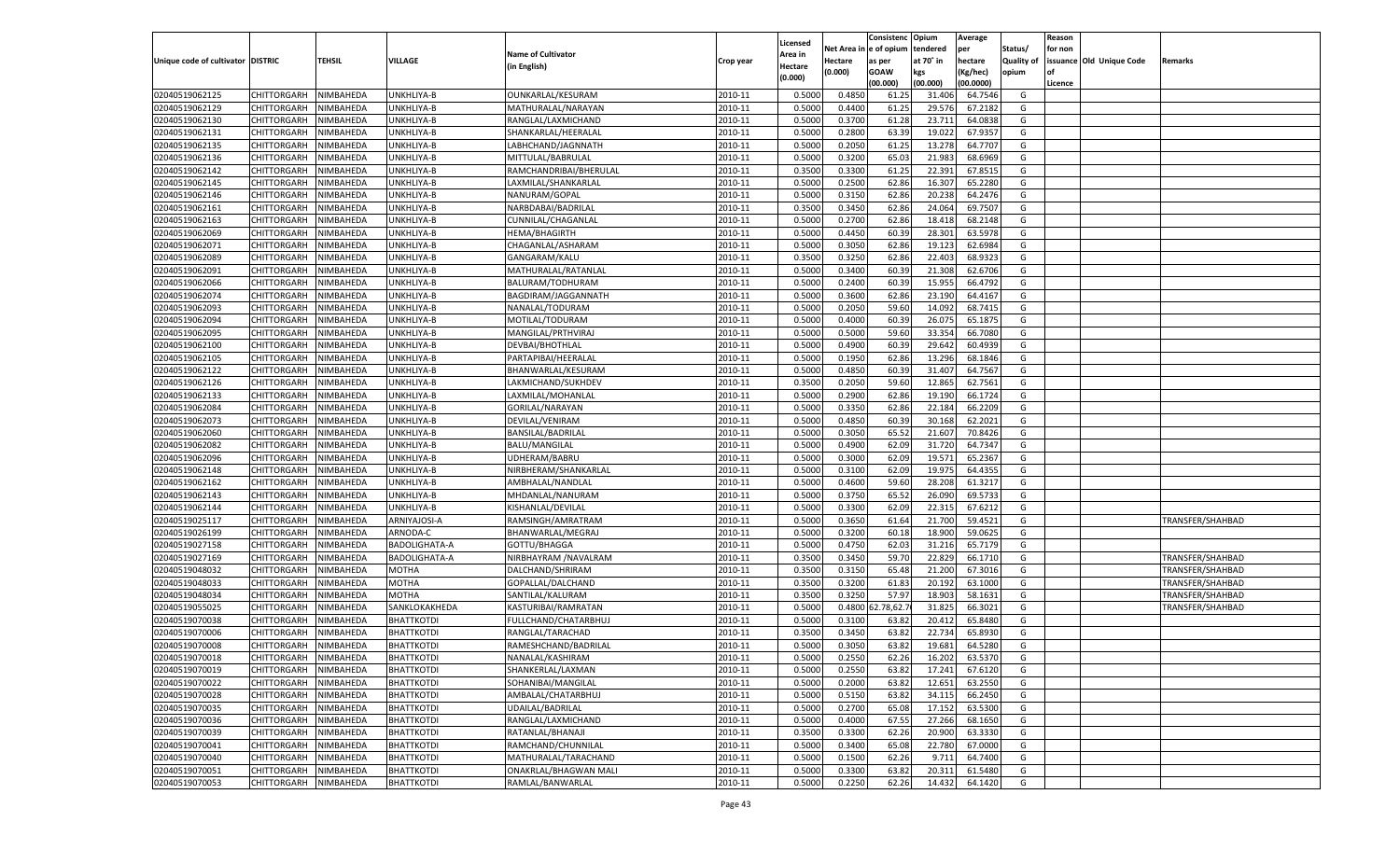|                                   |                       |               |                      |                           |           |                           |          | Consistenc  | Opium     | Average   |                   | Reason  |                          |                  |
|-----------------------------------|-----------------------|---------------|----------------------|---------------------------|-----------|---------------------------|----------|-------------|-----------|-----------|-------------------|---------|--------------------------|------------------|
|                                   |                       |               |                      | <b>Name of Cultivator</b> |           | Licensed                  | Net Area | e of opium  | tendered  | per       | Status/           | for non |                          |                  |
| Unique code of cultivator DISTRIC |                       | <b>TEHSIL</b> | VILLAGE              | (in English)              | Crop year | <b>Area in</b><br>Hectare | Hectare  | as per      | at 70° in | hectare   | <b>Quality of</b> |         | issuance Old Unique Code | Remarks          |
|                                   |                       |               |                      |                           |           | (0.000)                   | (0.000)  | <b>GOAW</b> | kgs       | (Kg/hec)  | opium             |         |                          |                  |
|                                   |                       |               |                      |                           |           |                           |          | (00.000)    | (00.000)  | (00.0000) |                   | Licence |                          |                  |
| 02040519062125                    | CHITTORGARH           | NIMBAHEDA     | UNKHLIYA-B           | OUNKARLAL/KESURAM         | 2010-11   | 0.5000                    | 0.4850   | 61.2        | 31.406    | 64.7546   | G                 |         |                          |                  |
| 02040519062129                    | CHITTORGARH           | NIMBAHEDA     | UNKHLIYA-B           | MATHURALAL/NARAYAN        | 2010-11   | 0.5000                    | 0.4400   | 61.25       | 29.576    | 67.2182   | G                 |         |                          |                  |
| 02040519062130                    | CHITTORGARH           | NIMBAHEDA     | UNKHLIYA-B           | RANGLAL/LAXMICHAND        | 2010-11   | 0.5000                    | 0.3700   | 61.28       | 23.71     | 64.0838   | G                 |         |                          |                  |
| 02040519062131                    | CHITTORGARH           | NIMBAHEDA     | UNKHLIYA-B           | SHANKARLAL/HEERALAL       | 2010-11   | 0.5000                    | 0.2800   | 63.39       | 19.022    | 67.9357   | G                 |         |                          |                  |
| 02040519062135                    | CHITTORGARH           | NIMBAHEDA     | UNKHLIYA-B           | LABHCHAND/JAGNNATH        | 2010-11   | 0.5000                    | 0.2050   | 61.25       | 13.278    | 64.770    | G                 |         |                          |                  |
| 02040519062136                    | CHITTORGARH           | NIMBAHEDA     | UNKHLIYA-B           | MITTULAL/BABRULAL         | 2010-11   | 0.5000                    | 0.3200   | 65.03       | 21.983    | 68.6969   | G                 |         |                          |                  |
| 02040519062142                    | CHITTORGARH           | NIMBAHEDA     | UNKHLIYA-B           | RAMCHANDRIBAI/BHERULAL    | 2010-11   | 0.3500                    | 0.3300   | 61.25       | 22.391    | 67.8515   | G                 |         |                          |                  |
| 02040519062145                    | CHITTORGARH           | NIMBAHEDA     | UNKHLIYA-B           | LAXMILAL/SHANKARLAL       | 2010-11   | 0.5000                    | 0.2500   | 62.86       | 16.30     | 65.2280   | G                 |         |                          |                  |
| 02040519062146                    | CHITTORGARH           | NIMBAHEDA     | UNKHLIYA-B           | NANURAM/GOPAL             | 2010-11   | 0.5000                    | 0.3150   | 62.86       | 20.238    | 64.2476   | G                 |         |                          |                  |
| 02040519062161                    | CHITTORGARH           | NIMBAHEDA     | UNKHLIYA-B           | NARBDABAI/BADRILAL        | 2010-11   | 0.3500                    | 0.3450   | 62.86       | 24.064    | 69.7507   | G                 |         |                          |                  |
| 02040519062163                    | CHITTORGARH           | NIMBAHEDA     | UNKHLIYA-B           | CUNNILAL/CHAGANLAL        | 2010-11   | 0.5000                    | 0.2700   | 62.86       | 18.418    | 68.2148   | G                 |         |                          |                  |
| 02040519062069                    | CHITTORGARH           | NIMBAHEDA     | UNKHLIYA-B           | HEMA/BHAGIRTH             | 2010-11   | 0.5000                    | 0.4450   | 60.39       | 28.301    | 63.5978   | G                 |         |                          |                  |
| 02040519062071                    | CHITTORGARH           | NIMBAHEDA     | UNKHLIYA-B           | CHAGANLAL/ASHARAM         | 2010-11   | 0.5000                    | 0.3050   | 62.86       | 19.123    | 62.6984   | G                 |         |                          |                  |
| 02040519062089                    | CHITTORGARH           | NIMBAHEDA     | UNKHLIYA-B           | GANGARAM/KALU             | 2010-11   | 0.3500                    | 0.3250   | 62.86       | 22.403    | 68.9323   | G                 |         |                          |                  |
| 02040519062091                    | CHITTORGARH           | NIMBAHEDA     | UNKHLIYA-B           | MATHURALAL/RATANLAL       | 2010-11   | 0.5000                    | 0.3400   | 60.39       | 21.308    | 62.6706   | G                 |         |                          |                  |
| 02040519062066                    | CHITTORGARH           | NIMBAHEDA     | UNKHLIYA-B           | BALURAM/TODHURAM          | 2010-11   | 0.5000                    | 0.2400   | 60.39       | 15.955    | 66.4792   | G                 |         |                          |                  |
| 02040519062074                    | CHITTORGARH           | NIMBAHEDA     | UNKHLIYA-B           | BAGDIRAM/JAGGANNATH       | 2010-11   | 0.5000                    | 0.3600   | 62.86       | 23.190    | 64.4167   | G                 |         |                          |                  |
| 02040519062093                    | CHITTORGARH           | NIMBAHEDA     | UNKHLIYA-B           | NANALAL/TODURAM           | 2010-11   | 0.5000                    | 0.2050   | 59.60       | 14.092    | 68.7415   | G                 |         |                          |                  |
| 02040519062094                    | CHITTORGARH           | NIMBAHEDA     | UNKHLIYA-B           | MOTILAL/TODURAM           | 2010-11   | 0.5000                    | 0.4000   | 60.39       | 26.075    | 65.1875   | G                 |         |                          |                  |
| 02040519062095                    | CHITTORGARH           | NIMBAHEDA     | UNKHLIYA-B           | MANGILAL/PRTHVIRAJ        | 2010-11   | 0.5000                    | 0.5000   | 59.60       | 33.354    | 66.7080   | G                 |         |                          |                  |
| 02040519062100                    | CHITTORGARH           | NIMBAHEDA     | UNKHLIYA-B           | DEVBAI/BHOTHLAL           | 2010-11   | 0.5000                    | 0.4900   | 60.39       | 29.642    | 60.4939   | G                 |         |                          |                  |
| 02040519062105                    | CHITTORGARH           | NIMBAHEDA     | UNKHLIYA-B           | PARTAPIBAI/HEERALAL       | 2010-11   | 0.5000                    | 0.1950   | 62.86       | 13.296    | 68.1846   | G                 |         |                          |                  |
| 02040519062122                    | CHITTORGARH           | NIMBAHEDA     | UNKHLIYA-B           | BHANWARLAL/KESURAM        | 2010-11   | 0.5000                    | 0.4850   | 60.39       | 31.407    | 64.7567   | G                 |         |                          |                  |
| 02040519062126                    | CHITTORGARH           | NIMBAHEDA     | UNKHLIYA-B           | LAKMICHAND/SUKHDEV        | 2010-11   | 0.3500                    | 0.2050   | 59.60       | 12.865    | 62.7561   | G                 |         |                          |                  |
| 02040519062133                    | CHITTORGARH           | NIMBAHEDA     | UNKHLIYA-B           | LAXMILAL/MOHANLAL         | 2010-11   | 0.5000                    | 0.2900   | 62.86       | 19.190    | 66.1724   | G                 |         |                          |                  |
| 02040519062084                    | CHITTORGARH           | NIMBAHEDA     | UNKHLIYA-B           | <b>GORILAL/NARAYAN</b>    | 2010-11   | 0.5000                    | 0.3350   | 62.86       | 22.184    | 66.2209   | G                 |         |                          |                  |
| 02040519062073                    | CHITTORGARH           | NIMBAHEDA     | UNKHLIYA-B           | DEVILAL/VENIRAM           | 2010-11   | 0.5000                    | 0.4850   | 60.39       | 30.168    | 62.2021   | G                 |         |                          |                  |
| 02040519062060                    | CHITTORGARH           | NIMBAHEDA     | UNKHLIYA-B           | BANSILAL/BADRILAL         | 2010-11   | 0.5000                    | 0.3050   | 65.52       | 21.607    | 70.8426   | G                 |         |                          |                  |
| 02040519062082                    | CHITTORGARH           | NIMBAHEDA     | UNKHLIYA-B           | <b>BALU/MANGILAL</b>      | 2010-11   | 0.5000                    | 0.4900   | 62.09       | 31.720    | 64.7347   | G                 |         |                          |                  |
| 02040519062096                    | CHITTORGARH           | NIMBAHEDA     | UNKHLIYA-B           | UDHERAM/BABRU             | 2010-11   | 0.5000                    | 0.3000   | 62.09       | 19.571    | 65.2367   | G                 |         |                          |                  |
| 02040519062148                    | CHITTORGARH           | NIMBAHEDA     | UNKHLIYA-B           | NIRBHERAM/SHANKARLAL      | 2010-11   | 0.5000                    | 0.3100   | 62.09       | 19.975    | 64.435    | G                 |         |                          |                  |
| 02040519062162                    | CHITTORGARH           | NIMBAHEDA     | UNKHLIYA-B           | AMBHALAL/NANDLAI          | 2010-11   | 0.5000                    | 0.4600   | 59.60       | 28.208    | 61.3217   | G                 |         |                          |                  |
| 02040519062143                    | CHITTORGARH           | NIMBAHEDA     | UNKHLIYA-B           | MHDANLAL/NANURAM          | 2010-11   | 0.5000                    | 0.3750   | 65.52       | 26.09     | 69.5733   | G                 |         |                          |                  |
| 02040519062144                    | CHITTORGARH           | NIMBAHEDA     | UNKHLIYA-B           | KISHANLAL/DEVILAL         | 2010-11   | 0.5000                    | 0.3300   | 62.09       | 22.315    | 67.621    | G                 |         |                          |                  |
| 02040519025117                    | CHITTORGARH           | NIMBAHEDA     | ARNIYAJOSI-A         | RAMSINGH/AMRATRAM         | 2010-11   | 0.5000                    | 0.3650   | 61.64       | 21.700    | 59.4521   | G                 |         |                          | TRANSFER/SHAHBAD |
| 02040519026199                    |                       |               | ARNODA-C             |                           | 2010-11   | 0.5000                    | 0.3200   | 60.18       | 18.90     | 59.0625   | G                 |         |                          |                  |
|                                   | CHITTORGARH           | NIMBAHEDA     | <b>BADOLIGHATA-A</b> | BHANWARLAL/MEGRAJ         | 2010-11   |                           |          |             |           |           |                   |         |                          |                  |
| 02040519027158                    | CHITTORGARH           | NIMBAHEDA     |                      | GOTTU/BHAGGA              |           | 0.5000                    | 0.4750   | 62.03       | 31.216    | 65.7179   | G                 |         |                          |                  |
| 02040519027169                    | CHITTORGARH           | NIMBAHEDA     | BADOLIGHATA-A        | NIRBHAYRAM / NAVALRAM     | 2010-11   | 0.3500                    | 0.3450   | 59.70       | 22.829    | 66.1710   | G                 |         |                          | TRANSFER/SHAHBAD |
| 02040519048032                    | CHITTORGARH           | NIMBAHEDA     | MOTHA                | DALCHAND/SHRIRAM          | 2010-11   | 0.3500                    | 0.3150   | 65.48       | 21.200    | 67.3016   | G                 |         |                          | TRANSFER/SHAHBAD |
| 02040519048033                    | CHITTORGARH           | NIMBAHEDA     | MOTHA                | GOPALLAL/DALCHAND         | 2010-11   | 0.3500                    | 0.3200   | 61.83       | 20.192    | 63.1000   | G                 |         |                          | TRANSFER/SHAHBAD |
| 02040519048034                    | CHITTORGARH           | NIMBAHEDA     | MOTHA                | SANTILAL/KALURAM          | 2010-11   | 0.3500                    | 0.3250   | 57.97       | 18.903    | 58.1631   | G                 |         |                          | TRANSFER/SHAHBAD |
| 02040519055025                    | CHITTORGARH           | NIMBAHEDA     | SANKLOKAKHEDA        | KASTURIBAI/RAMRATAN       | 2010-11   | 0.5000                    | 0.4800   | 2.78,62.    | 31.825    | 66.3021   | G                 |         |                          | TRANSFER/SHAHBAD |
| 02040519070038                    | CHITTORGARH           | NIMBAHEDA     | <b>BHATTKOTDI</b>    | FULLCHAND/CHATARBHUJ      | 2010-11   | 0.5000                    | 0.3100   | 63.82       | 20.412    | 65.8480   | G                 |         |                          |                  |
| 02040519070006                    | CHITTORGARH           | NIMBAHEDA     | <b>BHATTKOTDI</b>    | RANGLAL/TARACHAD          | 2010-11   | 0.3500                    | 0.3450   | 63.8        | 22.734    | 65.8930   | G                 |         |                          |                  |
| 02040519070008                    | CHITTORGARH           | NIMBAHEDA     | <b>BHATTKOTDI</b>    | RAMESHCHAND/BADRILAL      | 2010-11   | 0.5000                    | 0.3050   | 63.82       | 19.681    | 64.5280   | G                 |         |                          |                  |
| 02040519070018                    | CHITTORGARH NIMBAHEDA |               | <b>BHATTKOTDI</b>    | NANALAL/KASHIRAM          | 2010-11   | 0.5000                    | 0.2550   | 62.26       | 16.202    | 63.5370   | G                 |         |                          |                  |
| 02040519070019                    | <b>CHITTORGARH</b>    | NIMBAHEDA     | <b>BHATTKOTDI</b>    | SHANKERLAL/LAXMAN         | 2010-11   | 0.5000                    | 0.2550   | 63.82       | 17.241    | 67.6120   | G                 |         |                          |                  |
| 02040519070022                    | <b>CHITTORGARH</b>    | NIMBAHEDA     | <b>BHATTKOTDI</b>    | SOHANIBAI/MANGILAL        | 2010-11   | 0.5000                    | 0.2000   | 63.82       | 12.651    | 63.2550   | G                 |         |                          |                  |
| 02040519070028                    | <b>CHITTORGARH</b>    | NIMBAHEDA     | <b>BHATTKOTDI</b>    | AMBALAL/CHATARBHUJ        | 2010-11   | 0.5000                    | 0.5150   | 63.82       | 34.115    | 66.2450   | G                 |         |                          |                  |
| 02040519070035                    | <b>CHITTORGARH</b>    | NIMBAHEDA     | <b>BHATTKOTDI</b>    | UDAILAL/BADRILAL          | 2010-11   | 0.5000                    | 0.2700   | 65.08       | 17.152    | 63.5300   | G                 |         |                          |                  |
| 02040519070036                    | <b>CHITTORGARH</b>    | NIMBAHEDA     | <b>BHATTKOTDI</b>    | RANGLAL/LAXMICHAND        | 2010-11   | 0.5000                    | 0.4000   | 67.55       | 27.266    | 68.1650   | G                 |         |                          |                  |
| 02040519070039                    | <b>CHITTORGARH</b>    | NIMBAHEDA     | <b>BHATTKOTDI</b>    | RATANLAL/BHANAJI          | 2010-11   | 0.3500                    | 0.3300   | 62.26       | 20.900    | 63.3330   | G                 |         |                          |                  |
| 02040519070041                    | <b>CHITTORGARH</b>    | NIMBAHEDA     | <b>BHATTKOTDI</b>    | RAMCHAND/CHUNNILAL        | 2010-11   | 0.5000                    | 0.3400   | 65.08       | 22.780    | 67.0000   | G                 |         |                          |                  |
| 02040519070040                    | <b>CHITTORGARH</b>    | NIMBAHEDA     | <b>BHATTKOTDI</b>    | MATHURALAL/TARACHAND      | 2010-11   | 0.5000                    | 0.1500   | 62.26       | 9.711     | 64.7400   | G                 |         |                          |                  |
| 02040519070051                    | <b>CHITTORGARH</b>    | NIMBAHEDA     | <b>BHATTKOTDI</b>    | ONAKRLAL/BHAGWAN MALI     | 2010-11   | 0.5000                    | 0.3300   | 63.82       | 20.311    | 61.5480   | G                 |         |                          |                  |
| 02040519070053                    | <b>CHITTORGARH</b>    | NIMBAHEDA     | <b>BHATTKOTDI</b>    | RAMLAL/BANWARLAL          | 2010-11   | 0.5000                    | 0.2250   | 62.26       | 14.432    | 64.1420   | G                 |         |                          |                  |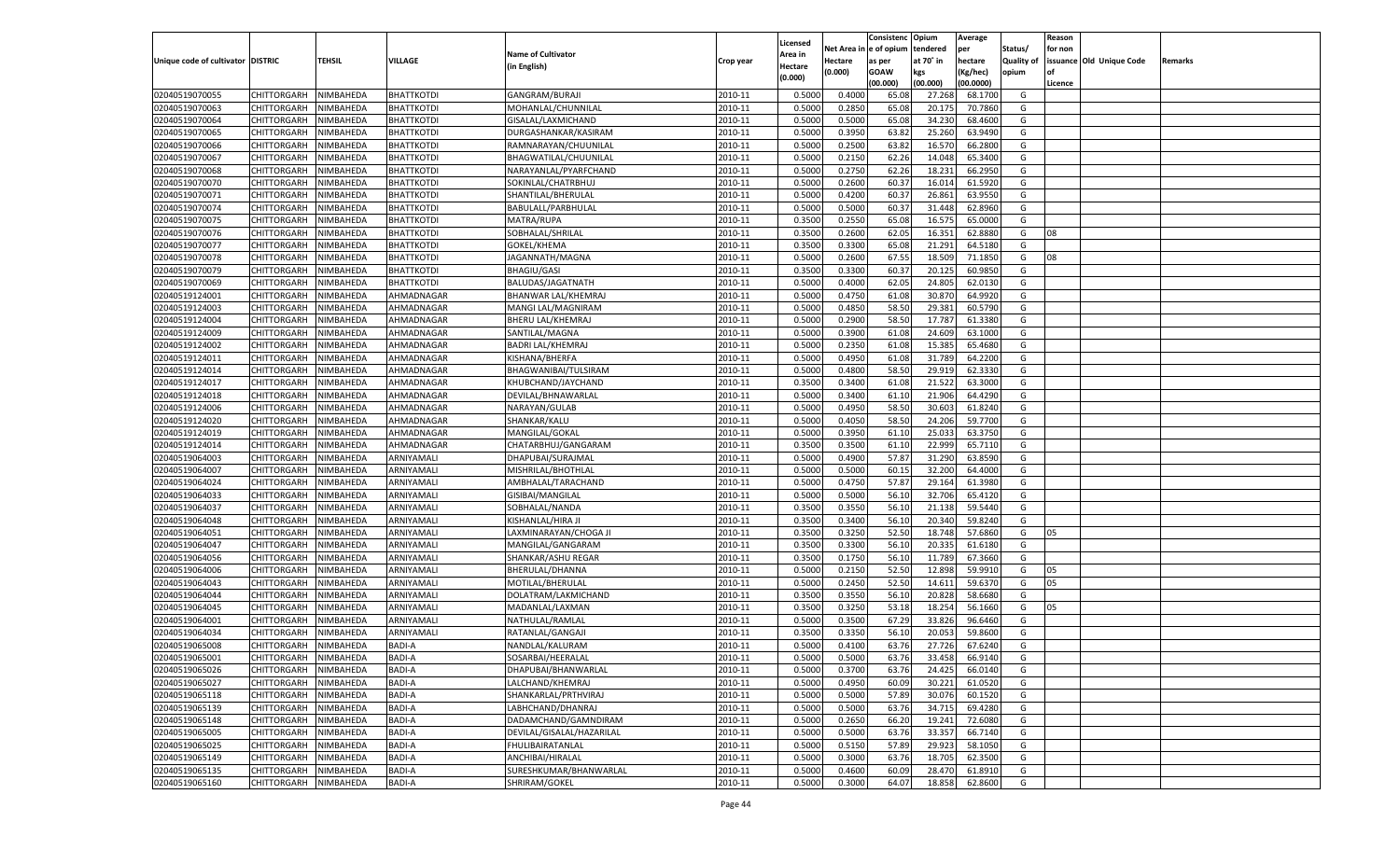|                                   |                                      |               |                   |                           |           |                           |          | Consistenc  | Opium     | Average   |                   | Reason  |                          |         |
|-----------------------------------|--------------------------------------|---------------|-------------------|---------------------------|-----------|---------------------------|----------|-------------|-----------|-----------|-------------------|---------|--------------------------|---------|
|                                   |                                      |               |                   | <b>Name of Cultivator</b> |           | Licensed                  | Net Area | e of opium  | tendered  | per       | Status/           | for non |                          |         |
| Unique code of cultivator DISTRIC |                                      | <b>TEHSIL</b> | VILLAGE           | (in English)              | Crop year | <b>Area in</b><br>Hectare | Hectare  | as per      | at 70° in | hectare   | <b>Quality of</b> |         | issuance Old Unique Code | Remarks |
|                                   |                                      |               |                   |                           |           | (0.000)                   | (0.000)  | <b>GOAW</b> | kgs       | (Kg/hec)  | opium             |         |                          |         |
|                                   |                                      |               |                   |                           |           |                           |          | (00.000)    | (00.000)  | (00.0000) |                   | Licence |                          |         |
| 02040519070055                    | CHITTORGARH                          | NIMBAHEDA     | <b>BHATTKOTDI</b> | GANGRAM/BURAJI            | 2010-11   | 0.5000                    | 0.4000   | 65.08       | 27.268    | 68.1700   | G                 |         |                          |         |
| 02040519070063                    | CHITTORGARH                          | NIMBAHEDA     | BHATTKOTDI        | MOHANLAL/CHUNNILAL        | 2010-11   | 0.5000                    | 0.2850   | 65.08       | 20.175    | 70.7860   | G                 |         |                          |         |
| 02040519070064                    | CHITTORGARH                          | NIMBAHEDA     | <b>BHATTKOTDI</b> | GISALAL/LAXMICHAND        | 2010-11   | 0.5000                    | 0.5000   | 65.08       | 34.23     | 68.4600   | G                 |         |                          |         |
| 02040519070065                    | CHITTORGARH                          | NIMBAHEDA     | BHATTKOTDI        | DURGASHANKAR/KASIRAM      | 2010-11   | 0.5000                    | 0.3950   | 63.82       | 25.260    | 63.9490   | G                 |         |                          |         |
| 02040519070066                    | CHITTORGARH                          | NIMBAHEDA     | <b>BHATTKOTDI</b> | RAMNARAYAN/CHUUNILAL      | 2010-11   | 0.5000                    | 0.2500   | 63.82       | 16.57     | 66.2800   | G                 |         |                          |         |
| 02040519070067                    | CHITTORGARH                          | NIMBAHEDA     | BHATTKOTDI        | BHAGWATILAL/CHUUNILAL     | 2010-11   | 0.5000                    | 0.2150   | 62.26       | 14.048    | 65.3400   | G                 |         |                          |         |
| 02040519070068                    | CHITTORGARH                          | NIMBAHEDA     | BHATTKOTDI        | NARAYANLAL/PYARFCHAND     | 2010-11   | 0.5000                    | 0.2750   | 62.26       | 18.23     | 66.2950   | G                 |         |                          |         |
| 02040519070070                    | CHITTORGARH                          | NIMBAHEDA     | <b>BHATTKOTDI</b> | SOKINLAL/CHATRBHUJ        | 2010-11   | 0.5000                    | 0.2600   | 60.3        | 16.014    | 61.5920   | G                 |         |                          |         |
| 02040519070071                    | CHITTORGARH                          | NIMBAHEDA     | <b>BHATTKOTDI</b> | SHANTILAL/BHERULAL        | 2010-11   | 0.5000                    | 0.4200   | 60.37       | 26.861    | 63.9550   | G                 |         |                          |         |
| 02040519070074                    | CHITTORGARH                          | NIMBAHEDA     | <b>BHATTKOTDI</b> | BABULALL/PARBHULAL        | 2010-11   | 0.5000                    | 0.5000   | 60.3        | 31.448    | 62.8960   | G                 |         |                          |         |
| 02040519070075                    | CHITTORGARH                          | NIMBAHEDA     | BHATTKOTDI        | MATRA/RUPA                | 2010-11   | 0.3500                    | 0.2550   | 65.08       | 16.575    | 65.0000   | G                 |         |                          |         |
| 02040519070076                    | CHITTORGARH                          | NIMBAHEDA     | <b>BHATTKOTDI</b> | SOBHALAL/SHRILAL          | 2010-11   | 0.3500                    | 0.2600   | 62.05       | 16.351    | 62.8880   | G                 | 08      |                          |         |
| 02040519070077                    | CHITTORGARH                          | NIMBAHEDA     | BHATTKOTDI        | GOKEL/KHEMA               | 2010-11   | 0.3500                    | 0.3300   | 65.08       | 21.291    | 64.5180   | G                 |         |                          |         |
| 02040519070078                    | CHITTORGARH                          | NIMBAHEDA     | BHATTKOTDI        | JAGANNATH/MAGNA           | 2010-11   | 0.5000                    | 0.2600   | 67.55       | 18.509    | 71.1850   | G                 | 08      |                          |         |
| 02040519070079                    | CHITTORGARH                          | NIMBAHEDA     | BHATTKOTDI        | <b>BHAGIU/GASI</b>        | 2010-11   | 0.3500                    | 0.3300   | 60.37       | 20.125    | 60.9850   | G                 |         |                          |         |
| 02040519070069                    | CHITTORGARH                          | NIMBAHEDA     | BHATTKOTDI        | BALUDAS/JAGATNATH         | 2010-11   | 0.5000                    | 0.4000   | 62.05       | 24.805    | 62.0130   | G                 |         |                          |         |
| 02040519124001                    | CHITTORGARH                          | NIMBAHEDA     | AHMADNAGAR        | BHANWAR LAL/KHEMRAJ       | 2010-11   | 0.5000                    | 0.4750   | 61.08       | 30.870    | 64.9920   | G                 |         |                          |         |
| 02040519124003                    | CHITTORGARH                          | NIMBAHEDA     | AHMADNAGAR        | MANGI LAL/MAGNIRAM        | 2010-11   | 0.5000                    | 0.4850   | 58.50       | 29.381    | 60.5790   | G                 |         |                          |         |
| 02040519124004                    | CHITTORGARH                          | NIMBAHEDA     | AHMADNAGAR        | <b>BHERU LAL/KHEMRAJ</b>  | 2010-11   | 0.5000                    | 0.2900   | 58.50       | 17.787    | 61.3380   | G                 |         |                          |         |
| 02040519124009                    | CHITTORGARH                          | NIMBAHEDA     | AHMADNAGAR        | SANTILAL/MAGNA            | 2010-11   | 0.5000                    | 0.3900   | 61.08       | 24.609    | 63.1000   | G                 |         |                          |         |
| 02040519124002                    | CHITTORGARH                          | NIMBAHEDA     | AHMADNAGAR        | <b>BADRI LAL/KHEMRAJ</b>  | 2010-11   | 0.5000                    | 0.2350   | 61.08       | 15.385    | 65.4680   | G                 |         |                          |         |
| 02040519124011                    | CHITTORGARH                          | NIMBAHEDA     | AHMADNAGAR        | KISHANA/BHERFA            | 2010-11   | 0.5000                    | 0.4950   | 61.08       | 31.789    | 64.2200   | G                 |         |                          |         |
| 02040519124014                    | CHITTORGARH                          | NIMBAHEDA     | AHMADNAGAR        | BHAGWANIBAI/TULSIRAM      | 2010-11   | 0.5000                    | 0.4800   | 58.50       | 29.919    | 62.3330   | G                 |         |                          |         |
| 02040519124017                    | CHITTORGARH                          | NIMBAHEDA     | AHMADNAGAR        | KHUBCHAND/JAYCHAND        | 2010-11   | 0.3500                    | 0.3400   | 61.08       | 21.522    | 63.3000   | G                 |         |                          |         |
| 02040519124018                    | CHITTORGARH                          | NIMBAHEDA     | AHMADNAGAR        | DEVILAL/BHNAWARLAL        | 2010-11   | 0.5000                    | 0.3400   | 61.10       | 21.906    | 64.4290   | G                 |         |                          |         |
| 02040519124006                    | CHITTORGARH                          | NIMBAHEDA     | AHMADNAGAR        | NARAYAN/GULAB             | 2010-11   | 0.5000                    | 0.4950   | 58.50       | 30.603    | 61.8240   | G                 |         |                          |         |
| 02040519124020                    | CHITTORGARH                          | NIMBAHEDA     | AHMADNAGAR        | SHANKAR/KALU              | 2010-11   | 0.5000                    | 0.4050   | 58.50       | 24.206    | 59.7700   | G                 |         |                          |         |
| 02040519124019                    | CHITTORGARH                          | NIMBAHEDA     | AHMADNAGAR        | MANGILAL/GOKAL            | 2010-11   | 0.5000                    | 0.3950   | 61.10       | 25.033    | 63.3750   | G                 |         |                          |         |
| 02040519124014                    | CHITTORGARH                          | NIMBAHEDA     | AHMADNAGAR        | CHATARBHUJ/GANGARAM       | 2010-11   | 0.3500                    | 0.3500   | 61.10       | 22.999    | 65.7110   | G                 |         |                          |         |
| 02040519064003                    | CHITTORGARH                          | NIMBAHEDA     | ARNIYAMALI        | DHAPUBAI/SURAJMAL         | 2010-11   | 0.5000                    | 0.4900   | 57.87       | 31.290    | 63.8590   | G                 |         |                          |         |
| 02040519064007                    | CHITTORGARH                          | NIMBAHEDA     | ARNIYAMALI        | MISHRILAL/BHOTHLAL        | 2010-11   | 0.5000                    | 0.5000   | 60.15       | 32.200    | 64.4000   | G                 |         |                          |         |
| 02040519064024                    | CHITTORGARH                          | NIMBAHEDA     | ARNIYAMALI        | AMBHALAL/TARACHAND        | 2010-11   | 0.5000                    | 0.4750   | 57.87       | 29.164    | 61.3980   | G                 |         |                          |         |
| 02040519064033                    | CHITTORGARH                          | NIMBAHEDA     | ARNIYAMALI        | GISIBAI/MANGILAL          | 2010-11   | 0.5000                    | 0.5000   | 56.10       | 32.706    | 65.4120   | G                 |         |                          |         |
| 02040519064037                    | CHITTORGARH                          | NIMBAHEDA     | ARNIYAMALI        | SOBHALAL/NANDA            | 2010-11   | 0.3500                    | 0.3550   | 56.10       | 21.138    | 59.5440   | G                 |         |                          |         |
| 02040519064048                    | CHITTORGARH                          | NIMBAHEDA     | ARNIYAMALI        | KISHANLAL/HIRA JI         | 2010-11   | 0.3500                    | 0.3400   | 56.10       | 20.34     | 59.8240   | G                 |         |                          |         |
| 02040519064051                    | CHITTORGARH                          | NIMBAHEDA     | ARNIYAMALI        | LAXMINARAYAN/CHOGA JI     | 2010-11   | 0.3500                    | 0.3250   | 52.50       | 18.74     | 57.6860   | G                 | 05      |                          |         |
| 02040519064047                    | CHITTORGARH                          | NIMBAHEDA     | ARNIYAMALI        | MANGILAL/GANGARAM         | 2010-11   | 0.3500                    | 0.3300   | 56.10       | 20.335    | 61.6180   | G                 |         |                          |         |
| 02040519064056                    | CHITTORGARH                          | NIMBAHEDA     | ARNIYAMALI        | SHANKAR/ASHU REGAR        | 2010-11   | 0.3500                    | 0.1750   | 56.10       | 11.789    | 67.3660   | G                 |         |                          |         |
| 02040519064006                    | CHITTORGARH                          | NIMBAHEDA     | ARNIYAMALI        | BHERULAL/DHANNA           | 2010-11   | 0.5000                    | 0.2150   | 52.50       | 12.89     | 59.9910   | G                 | 05      |                          |         |
| 02040519064043                    | CHITTORGARH                          | NIMBAHEDA     | ARNIYAMALI        | MOTILAL/BHERULAL          | 2010-11   | 0.5000                    | 0.2450   | 52.50       | 14.61     | 59.6370   | G                 | 05      |                          |         |
| 02040519064044                    | CHITTORGARH                          | NIMBAHEDA     | ARNIYAMALI        | DOLATRAM/LAKMICHAND       | 2010-11   | 0.3500                    | 0.3550   | 56.10       | 20.828    | 58.6680   | G                 |         |                          |         |
| 02040519064045                    | CHITTORGARH                          | NIMBAHEDA     | ARNIYAMALI        | MADANLAL/LAXMAN           | 2010-11   | 0.3500                    | 0.3250   | 53.18       | 18.254    | 56.1660   | G                 | 05      |                          |         |
| 02040519064001                    | CHITTORGARH                          | NIMBAHEDA     | ARNIYAMALI        | NATHULAL/RAMLAL           | 2010-11   | 0.5000                    | 0.3500   | 67.29       | 33.826    | 96.6460   | G                 |         |                          |         |
| 02040519064034                    | CHITTORGARH                          | NIMBAHEDA     | ARNIYAMALI        | RATANLAL/GANGAJI          | 2010-11   | 0.3500                    | 0.3350   | 56.10       | 20.05     | 59.8600   | G                 |         |                          |         |
| 02040519065008                    |                                      | NIMBAHEDA     | <b>BADI-A</b>     |                           | 2010-11   | 0.5000                    | 0.4100   | 63.76       |           | 67.6240   | G                 |         |                          |         |
| 02040519065001                    | CHITTORGARH<br>CHITTORGARH NIMBAHEDA |               |                   | NANDLAL/KALURAM           |           |                           |          |             | 27.726    |           |                   |         |                          |         |
|                                   |                                      |               | <b>BADI-A</b>     | SOSARBAI/HEERALAL         | 2010-11   | 0.5000                    | 0.5000   | 63.76       | 33.458    | 66.9140   | G                 |         |                          |         |
| 02040519065026                    | <b>CHITTORGARH</b>                   | NIMBAHEDA     | <b>BADI-A</b>     | DHAPUBAI/BHANWARLAL       | 2010-11   | 0.5000                    | 0.3700   | 63.76       | 24.425    | 66.0140   | G                 |         |                          |         |
| 02040519065027                    | <b>CHITTORGARH</b>                   | NIMBAHEDA     | <b>BADI-A</b>     | LALCHAND/KHEMRAJ          | 2010-11   | 0.5000                    | 0.4950   | 60.09       | 30.221    | 61.0520   | G                 |         |                          |         |
| 02040519065118                    | <b>CHITTORGARH</b>                   | NIMBAHEDA     | <b>BADI-A</b>     | SHANKARLAL/PRTHVIRAJ      | 2010-11   | 0.5000                    | 0.5000   | 57.89       | 30.076    | 60.1520   | G                 |         |                          |         |
| 02040519065139                    | <b>CHITTORGARH</b>                   | NIMBAHEDA     | <b>BADI-A</b>     | LABHCHAND/DHANRAJ         | 2010-11   | 0.5000                    | 0.5000   | 63.76       | 34.715    | 69.4280   | G                 |         |                          |         |
| 02040519065148                    | <b>CHITTORGARH</b>                   | NIMBAHEDA     | <b>BADI-A</b>     | DADAMCHAND/GAMNDIRAM      | 2010-11   | 0.5000                    | 0.2650   | 66.20       | 19.241    | 72.6080   | G                 |         |                          |         |
| 02040519065005                    | <b>CHITTORGARH</b>                   | NIMBAHEDA     | <b>BADI-A</b>     | DEVILAL/GISALAL/HAZARILAL | 2010-11   | 0.5000                    | 0.5000   | 63.76       | 33.357    | 66.7140   | G                 |         |                          |         |
| 02040519065025                    | <b>CHITTORGARH</b>                   | NIMBAHEDA     | <b>BADI-A</b>     | FHULIBAIRATANLAL          | 2010-11   | 0.5000                    | 0.5150   | 57.89       | 29.923    | 58.1050   | G                 |         |                          |         |
| 02040519065149                    | <b>CHITTORGARH</b>                   | NIMBAHEDA     | <b>BADI-A</b>     | ANCHIBAI/HIRALAL          | 2010-11   | 0.5000                    | 0.3000   | 63.76       | 18.705    | 62.3500   | G                 |         |                          |         |
| 02040519065135                    | <b>CHITTORGARH</b>                   | NIMBAHEDA     | <b>BADI-A</b>     | SURESHKUMAR/BHANWARLAL    | 2010-11   | 0.5000                    | 0.4600   | 60.09       | 28.470    | 61.8910   | G                 |         |                          |         |
| 02040519065160                    | <b>CHITTORGARH</b>                   | NIMBAHEDA     | <b>BADI-A</b>     | SHRIRAM/GOKEL             | 2010-11   | 0.5000                    | 0.3000   | 64.07       | 18.858    | 62.8600   | G                 |         |                          |         |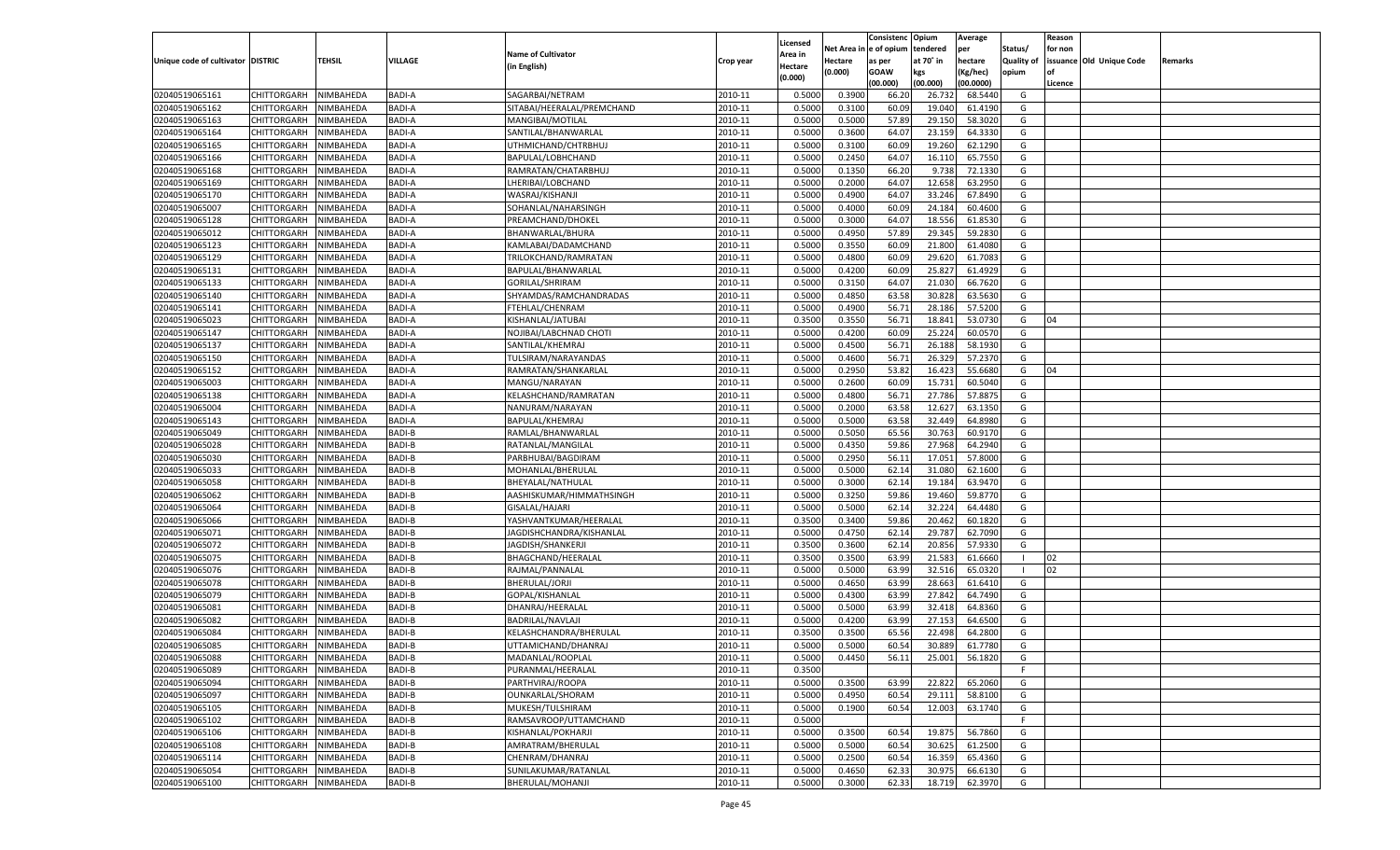|                                   |                       |               |               |                            |           |                    |          | Consistenc  | Opium     | Average   |                   | Reason  |                          |         |
|-----------------------------------|-----------------------|---------------|---------------|----------------------------|-----------|--------------------|----------|-------------|-----------|-----------|-------------------|---------|--------------------------|---------|
|                                   |                       |               |               | <b>Name of Cultivator</b>  |           | Licensed           | Net Area | e of opium  | tendered  | per       | Status/           | for non |                          |         |
| Unique code of cultivator DISTRIC |                       | <b>TEHSIL</b> | VILLAGE       | (in English)               | Crop year | \rea in<br>Hectare | Hectare  | as per      | at 70° in | hectare   | <b>Quality of</b> |         | issuance Old Unique Code | Remarks |
|                                   |                       |               |               |                            |           | (0.000)            | (0.000)  | <b>GOAW</b> | kgs       | (Kg/hec)  | opium             |         |                          |         |
|                                   |                       |               |               |                            |           |                    |          | (00.000)    | (00.000)  | (00.0000) |                   | Licence |                          |         |
| 02040519065161                    | CHITTORGARH           | NIMBAHEDA     | <b>BADI-A</b> | SAGARBAI/NETRAM            | 2010-11   | 0.5000             | 0.3900   | 66.20       | 26.73     | 68.5440   | G                 |         |                          |         |
| 02040519065162                    | CHITTORGARH           | NIMBAHEDA     | <b>BADI-A</b> | SITABAI/HEERALAL/PREMCHAND | 2010-11   | 0.5000             | 0.3100   | 60.09       | 19.04     | 61.4190   | G                 |         |                          |         |
| 02040519065163                    | CHITTORGARH           | NIMBAHEDA     | <b>BADI-A</b> | MANGIBAI/MOTILAL           | 2010-11   | 0.5000             | 0.5000   | 57.89       | 29.15     | 58.3020   | G                 |         |                          |         |
| 02040519065164                    | CHITTORGARH           | NIMBAHEDA     | <b>BADI-A</b> | SANTILAL/BHANWARLAL        | 2010-11   | 0.5000             | 0.3600   | 64.07       | 23.159    | 64.3330   | G                 |         |                          |         |
| 02040519065165                    | CHITTORGARH           | NIMBAHEDA     | <b>BADI-A</b> | UTHMICHAND/CHTRBHUJ        | 2010-11   | 0.5000             | 0.3100   | 60.09       | 19.260    | 62.1290   | G                 |         |                          |         |
| 02040519065166                    | CHITTORGARH           | NIMBAHEDA     | <b>BADI-A</b> | BAPULAL/LOBHCHAND          | 2010-11   | 0.5000             | 0.2450   | 64.07       | 16.11     | 65.7550   | G                 |         |                          |         |
| 02040519065168                    | CHITTORGARH           | NIMBAHEDA     | <b>BADI-A</b> | RAMRATAN/CHATARBHUJ        | 2010-11   | 0.5000             | 0.1350   | 66.20       | 9.738     | 72.1330   | G                 |         |                          |         |
| 02040519065169                    | CHITTORGARH           | NIMBAHEDA     | <b>BADI-A</b> | LHERIBAI/LOBCHAND          | 2010-11   | 0.5000             | 0.2000   | 64.07       | 12.658    | 63.2950   | G                 |         |                          |         |
| 02040519065170                    | CHITTORGARH           | NIMBAHEDA     | <b>BADI-A</b> | WASRAJ/KISHANJI            | 2010-11   | 0.5000             | 0.4900   | 64.07       | 33.246    | 67.8490   | G                 |         |                          |         |
| 02040519065007                    | CHITTORGARH           | NIMBAHEDA     | <b>BADI-A</b> | SOHANLAL/NAHARSINGH        | 2010-11   | 0.5000             | 0.4000   | 60.09       | 24.184    | 60.4600   | G                 |         |                          |         |
| 02040519065128                    | CHITTORGARH           | NIMBAHEDA     | <b>BADI-A</b> | PREAMCHAND/DHOKEI          | 2010-11   | 0.5000             | 0.3000   | 64.07       | 18.55     | 61.8530   | G                 |         |                          |         |
| 02040519065012                    | CHITTORGARH           | NIMBAHEDA     | <b>BADI-A</b> | BHANWARLAL/BHURA           | 2010-11   | 0.5000             | 0.4950   | 57.89       | 29.345    | 59.2830   | G                 |         |                          |         |
| 02040519065123                    | CHITTORGARH           | NIMBAHEDA     | <b>BADI-A</b> | KAMLABAI/DADAMCHAND        | 2010-11   | 0.5000             | 0.3550   | 60.09       | 21.800    | 61.4080   | G                 |         |                          |         |
| 02040519065129                    | CHITTORGARH           | NIMBAHEDA     | <b>BADI-A</b> | TRILOKCHAND/RAMRATAN       | 2010-11   | 0.5000             | 0.4800   | 60.09       | 29.620    | 61.708    | G                 |         |                          |         |
| 02040519065131                    | CHITTORGARH           | NIMBAHEDA     | <b>BADI-A</b> | BAPULAL/BHANWARLAL         | 2010-11   | 0.5000             | 0.4200   | 60.09       | 25.827    | 61.4929   | G                 |         |                          |         |
| 02040519065133                    | CHITTORGARH           | NIMBAHEDA     | <b>BADI-A</b> | <b>GORILAL/SHRIRAM</b>     | 2010-11   | 0.5000             | 0.3150   | 64.07       | 21.030    | 66.7620   | G                 |         |                          |         |
| 02040519065140                    | CHITTORGARH           | NIMBAHEDA     | <b>BADI-A</b> | SHYAMDAS/RAMCHANDRADAS     | 2010-11   | 0.5000             | 0.4850   | 63.58       | 30.828    | 63.5630   | G                 |         |                          |         |
| 02040519065141                    | CHITTORGARH           | NIMBAHEDA     | <b>BADI-A</b> | FTEHLAL/CHENRAM            | 2010-11   | 0.5000             | 0.4900   | 56.71       | 28.186    | 57.5200   | G                 |         |                          |         |
| 02040519065023                    | CHITTORGARH           | NIMBAHEDA     | <b>BADI-A</b> | KISHANLAL/JATUBAI          | 2010-11   | 0.3500             | 0.3550   | 56.71       | 18.841    | 53.0730   | G                 | 04      |                          |         |
| 02040519065147                    | CHITTORGARH           | NIMBAHEDA     | <b>BADI-A</b> | NOJIBAI/LABCHNAD CHOTI     | 2010-11   | 0.5000             | 0.4200   | 60.09       | 25.224    | 60.0570   | G                 |         |                          |         |
| 02040519065137                    | CHITTORGARH           | NIMBAHEDA     | <b>BADI-A</b> | SANTILAL/KHEMRAJ           | 2010-11   | 0.5000             | 0.4500   | 56.71       | 26.188    | 58.1930   | G                 |         |                          |         |
| 02040519065150                    | CHITTORGARH           | NIMBAHEDA     | <b>BADI-A</b> | TULSIRAM/NARAYANDAS        | 2010-11   | 0.5000             | 0.4600   | 56.71       | 26.329    | 57.2370   | G                 |         |                          |         |
| 02040519065152                    | CHITTORGARH           | NIMBAHEDA     | <b>BADI-A</b> | RAMRATAN/SHANKARLAL        | 2010-11   | 0.5000             | 0.2950   | 53.82       | 16.423    | 55.6680   | G                 | 04      |                          |         |
| 02040519065003                    | CHITTORGARH           | NIMBAHEDA     | <b>BADI-A</b> | MANGU/NARAYAN              | 2010-11   | 0.5000             | 0.2600   | 60.09       | 15.731    | 60.5040   | G                 |         |                          |         |
|                                   |                       |               | <b>BADI-A</b> |                            | 2010-11   |                    |          | 56.71       |           | 57.887    | G                 |         |                          |         |
| 02040519065138                    | CHITTORGARH           | NIMBAHEDA     |               | KELASHCHAND/RAMRATAN       | 2010-11   | 0.5000             | 0.4800   | 63.58       | 27.786    |           |                   |         |                          |         |
| 02040519065004                    | CHITTORGARH           | NIMBAHEDA     | <b>BADI-A</b> | NANURAM/NARAYAN            |           | 0.5000             | 0.2000   |             | 12.627    | 63.1350   | G                 |         |                          |         |
| 02040519065143                    | CHITTORGARH           | NIMBAHEDA     | <b>BADI-A</b> | BAPULAL/KHEMRAJ            | 2010-11   | 0.5000             | 0.5000   | 63.58       | 32.449    | 64.8980   | G                 |         |                          |         |
| 02040519065049                    | CHITTORGARH           | NIMBAHEDA     | <b>BADI-B</b> | RAMLAL/BHANWARLAL          | 2010-11   | 0.5000             | 0.5050   | 65.56       | 30.763    | 60.9170   | G                 |         |                          |         |
| 02040519065028                    | CHITTORGARH           | NIMBAHEDA     | <b>BADI-B</b> | RATANLAL/MANGILAL          | 2010-11   | 0.5000             | 0.4350   | 59.86       | 27.968    | 64.2940   | G                 |         |                          |         |
| 02040519065030                    | CHITTORGARH           | NIMBAHEDA     | <b>BADI-B</b> | PARBHUBAI/BAGDIRAM         | 2010-11   | 0.5000             | 0.2950   | 56.11       | 17.051    | 57.8000   | G                 |         |                          |         |
| 02040519065033                    | CHITTORGARH           | NIMBAHEDA     | <b>BADI-B</b> | MOHANLAL/BHERULAL          | 2010-11   | 0.5000             | 0.5000   | 62.14       | 31.08     | 62.1600   | G                 |         |                          |         |
| 02040519065058                    | CHITTORGARH           | NIMBAHEDA     | <b>BADI-B</b> | BHEYALAL/NATHULAL          | 2010-11   | 0.5000             | 0.3000   | 62.14       | 19.184    | 63.9470   | G                 |         |                          |         |
| 02040519065062                    | CHITTORGARH           | NIMBAHEDA     | <b>BADI-B</b> | AASHISKUMAR/HIMMATHSINGH   | 2010-11   | 0.5000             | 0.3250   | 59.86       | 19.46     | 59.8770   | G                 |         |                          |         |
| 02040519065064                    | CHITTORGARH           | NIMBAHEDA     | <b>BADI-B</b> | GISALAL/HAJARI             | 2010-11   | 0.5000             | 0.5000   | 62.14       | 32.224    | 64.4480   | G                 |         |                          |         |
| 02040519065066                    | CHITTORGARH           | NIMBAHEDA     | <b>BADI-B</b> | YASHVANTKUMAR/HEERALAL     | 2010-11   | 0.3500             | 0.3400   | 59.86       | 20.462    | 60.1820   | G                 |         |                          |         |
| 02040519065071                    | CHITTORGARH           | NIMBAHEDA     | <b>BADI-B</b> | JAGDISHCHANDRA/KISHANLAL   | 2010-11   | 0.5000             | 0.4750   | 62.14       | 29.787    | 62.7090   | G                 |         |                          |         |
| 02040519065072                    | CHITTORGARH           | NIMBAHEDA     | <b>BADI-B</b> | JAGDISH/SHANKERJI          | 2010-11   | 0.3500             | 0.3600   | 62.14       | 20.856    | 57.9330   | G                 |         |                          |         |
| 02040519065075                    | CHITTORGARH           | NIMBAHEDA     | <b>BADI-B</b> | BHAGCHAND/HEERALAL         | 2010-11   | 0.3500             | 0.3500   | 63.99       | 21.583    | 61.6660   | - 1               | 02      |                          |         |
| 02040519065076                    | CHITTORGARH           | NIMBAHEDA     | <b>BADI-B</b> | RAJMAL/PANNALAL            | 2010-11   | 0.5000             | 0.5000   | 63.99       | 32.516    | 65.0320   | - 1               | 02      |                          |         |
| 02040519065078                    | CHITTORGARH           | NIMBAHEDA     | <b>BADI-B</b> | BHERULAL/JORJI             | 2010-11   | 0.5000             | 0.4650   | 63.99       | 28.663    | 61.6410   | G                 |         |                          |         |
| 02040519065079                    | CHITTORGARH           | NIMBAHEDA     | <b>BADI-B</b> | GOPAL/KISHANLAL            | 2010-11   | 0.5000             | 0.4300   | 63.99       | 27.842    | 64.7490   | G                 |         |                          |         |
| 02040519065081                    | CHITTORGARH           | NIMBAHEDA     | <b>BADI-B</b> | DHANRAJ/HEERALAL           | 2010-11   | 0.5000             | 0.5000   | 63.99       | 32.418    | 64.8360   | G                 |         |                          |         |
| 02040519065082                    | CHITTORGARH           | NIMBAHEDA     | <b>BADI-B</b> | <b>BADRILAL/NAVLAJI</b>    | 2010-11   | 0.5000             | 0.4200   | 63.99       | 27.153    | 64.6500   | G                 |         |                          |         |
| 02040519065084                    | CHITTORGARH           | NIMBAHEDA     | <b>BADI-B</b> | KELASHCHANDRA/BHERULAL     | 2010-11   | 0.3500             | 0.3500   | 65.5        | 22.498    | 64.2800   | G                 |         |                          |         |
| 02040519065085                    | CHITTORGARH           | NIMBAHEDA     | <b>BADI-B</b> | UTTAMICHAND/DHANRAJ        | 2010-11   | 0.5000             | 0.5000   | 60.54       | 30.889    | 61.7780   | G                 |         |                          |         |
| 02040519065088                    | CHITTORGARH NIMBAHEDA |               | <b>BADI-B</b> | MADANLAL/ROOPLAL           | 2010-11   | 0.5000             | 0.4450   | 56.11       | 25.001    | 56.1820   | G                 |         |                          |         |
| 02040519065089                    | <b>CHITTORGARH</b>    | NIMBAHEDA     | <b>BADI-B</b> | PURANMAL/HEERALAL          | 2010-11   | 0.3500             |          |             |           |           | -F                |         |                          |         |
| 02040519065094                    | <b>CHITTORGARH</b>    | NIMBAHEDA     | BADI-B        | PARTHVIRAJ/ROOPA           | 2010-11   | 0.5000             | 0.3500   | 63.99       | 22.822    | 65.2060   | G                 |         |                          |         |
| 02040519065097                    | <b>CHITTORGARH</b>    | NIMBAHEDA     | <b>BADI-B</b> | OUNKARLAL/SHORAM           | 2010-11   | 0.5000             | 0.4950   | 60.54       | 29.111    | 58.8100   | G                 |         |                          |         |
| 02040519065105                    | <b>CHITTORGARH</b>    | NIMBAHEDA     | BADI-B        | MUKESH/TULSHIRAM           | 2010-11   | 0.5000             | 0.1900   | 60.54       | 12.003    | 63.1740   | G                 |         |                          |         |
| 02040519065102                    | <b>CHITTORGARH</b>    | NIMBAHEDA     | <b>BADI-B</b> | RAMSAVROOP/UTTAMCHAND      | 2010-11   | 0.5000             |          |             |           |           | F                 |         |                          |         |
| 02040519065106                    | <b>CHITTORGARH</b>    | NIMBAHEDA     | BADI-B        | KISHANLAL/POKHARJI         | 2010-11   | 0.5000             | 0.3500   | 60.54       | 19.875    | 56.7860   | G                 |         |                          |         |
| 02040519065108                    | <b>CHITTORGARH</b>    | NIMBAHEDA     | <b>BADI-B</b> | AMRATRAM/BHERULAL          | 2010-11   | 0.5000             | 0.5000   | 60.54       | 30.625    | 61.2500   | G                 |         |                          |         |
| 02040519065114                    | <b>CHITTORGARH</b>    | NIMBAHEDA     | BADI-B        | CHENRAM/DHANRAJ            | 2010-11   | 0.5000             | 0.2500   | 60.54       | 16.359    | 65.4360   | G                 |         |                          |         |
| 02040519065054                    | <b>CHITTORGARH</b>    | NIMBAHEDA     | <b>BADI-B</b> | SUNILAKUMAR/RATANLAL       | 2010-11   | 0.5000             | 0.4650   | 62.33       | 30.975    | 66.6130   | G                 |         |                          |         |
| 02040519065100                    | <b>CHITTORGARH</b>    | NIMBAHEDA     | <b>BADI-B</b> | BHERULAL/MOHANJI           | 2010-11   | 0.5000             | 0.3000   | 62.33       | 18.719    | 62.3970   | G                 |         |                          |         |
|                                   |                       |               |               |                            |           |                    |          |             |           |           |                   |         |                          |         |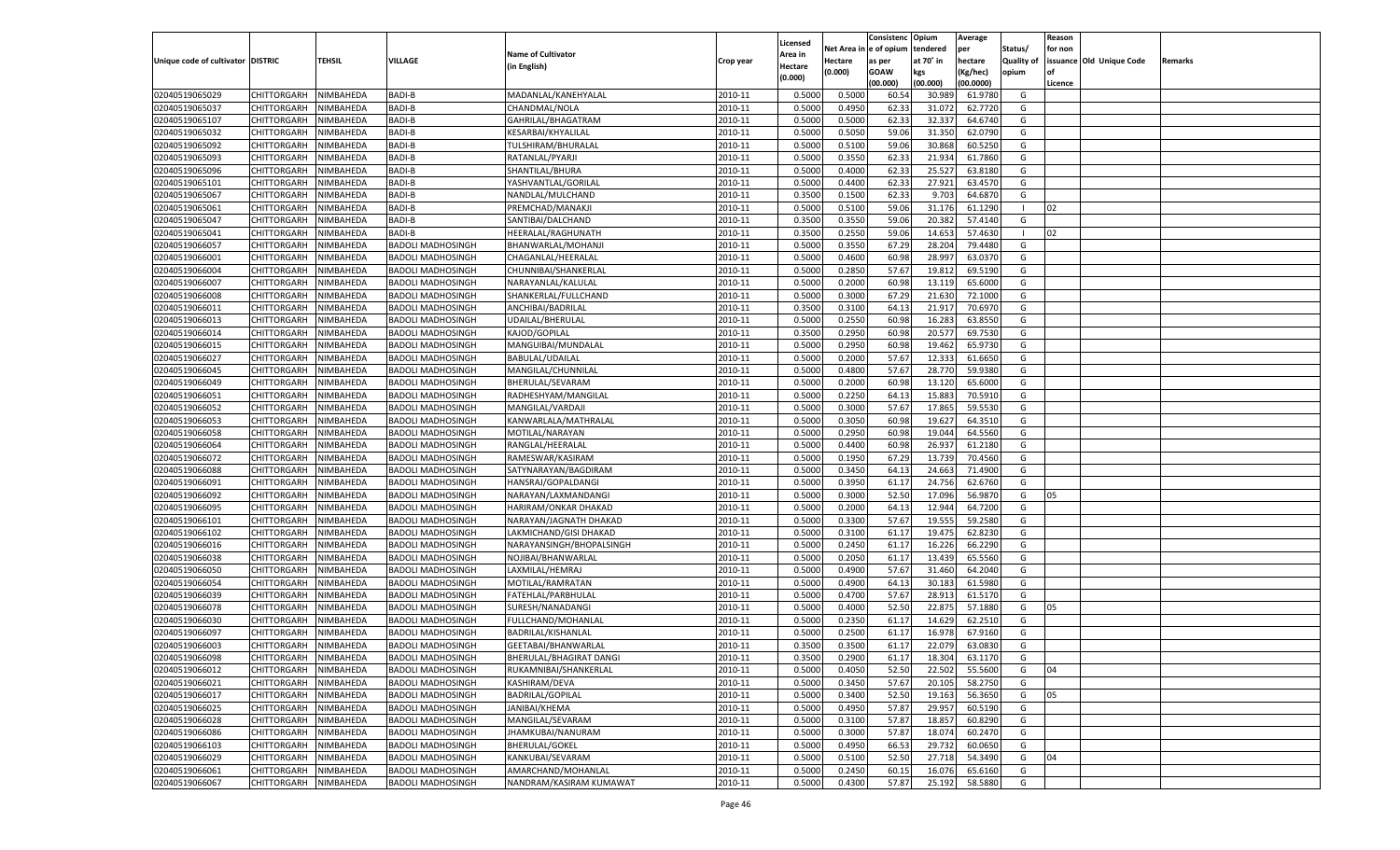|                                   |                       |           |                          |                           |           |          |          | Consistenc Opium |           | Average   |                   | Reason    |                          |         |
|-----------------------------------|-----------------------|-----------|--------------------------|---------------------------|-----------|----------|----------|------------------|-----------|-----------|-------------------|-----------|--------------------------|---------|
|                                   |                       |           |                          |                           |           | Licensed | Net Area | e of opium       | tendered  | per       | Status/           | for non   |                          |         |
| Unique code of cultivator DISTRIC |                       | TEHSIL    | VILLAGE                  | <b>Name of Cultivator</b> | Crop year | Area in  | Hectare  | as per           | at 70˚ in | hectare   | <b>Quality of</b> |           | issuance Old Unique Code | Remarks |
|                                   |                       |           |                          | (in English)              |           | Hectare  | (0.000)  | <b>GOAW</b>      | kgs       | (Kg/hec)  | opium             | <b>of</b> |                          |         |
|                                   |                       |           |                          |                           |           | (0.000)  |          | (00.000)         | (00.000)  | (00.0000) |                   | Licence   |                          |         |
| 02040519065029                    | CHITTORGARH           | NIMBAHEDA | <b>BADI-B</b>            | MADANLAL/KANEHYALAL       | 2010-11   | 0.5000   | 0.5000   | 60.54            | 30.98     | 61.9780   | G                 |           |                          |         |
| 02040519065037                    | CHITTORGARH           | NIMBAHEDA | <b>BADI-B</b>            | CHANDMAL/NOLA             | 2010-11   | 0.5000   | 0.4950   | 62.3             | 31.072    | 62.7720   | G                 |           |                          |         |
| 02040519065107                    | CHITTORGARH           | NIMBAHEDA | <b>BADI-B</b>            | GAHRILAL/BHAGATRAM        | 2010-11   | 0.5000   | 0.5000   | 62.33            | 32.33     | 64.6740   | G                 |           |                          |         |
| 02040519065032                    | CHITTORGARH           | NIMBAHEDA | <b>BADI-B</b>            | KESARBAI/KHYALILAL        | 2010-11   | 0.5000   | 0.5050   | 59.06            | 31.350    | 62.0790   | G                 |           |                          |         |
| 02040519065092                    | CHITTORGARH           | NIMBAHEDA | <b>BADI-B</b>            | TULSHIRAM/BHURALAL        | 2010-11   | 0.5000   | 0.5100   | 59.06            | 30.868    | 60.5250   | G                 |           |                          |         |
| 02040519065093                    | CHITTORGARH           | NIMBAHEDA | <b>BADI-B</b>            | RATANLAL/PYARJI           | 2010-11   | 0.5000   | 0.3550   | 62.33            | 21.934    | 61.7860   | G                 |           |                          |         |
| 02040519065096                    | CHITTORGARH           | NIMBAHEDA | <b>BADI-B</b>            | SHANTILAL/BHURA           | 2010-11   | 0.5000   | 0.4000   | 62.33            | 25.527    | 63.8180   | G                 |           |                          |         |
| 02040519065101                    | CHITTORGARH           | NIMBAHEDA | <b>BADI-B</b>            | YASHVANTLAL/GORILAL       | 2010-11   | 0.5000   | 0.4400   | 62.33            | 27.921    | 63.4570   | G                 |           |                          |         |
| 02040519065067                    | CHITTORGARH           | NIMBAHEDA | <b>BADI-B</b>            | NANDLAL/MULCHAND          | 2010-11   | 0.3500   | 0.1500   | 62.33            | 9.703     | 64.687    | G                 |           |                          |         |
| 02040519065061                    | CHITTORGARH           | NIMBAHEDA | <b>BADI-B</b>            | PREMCHAD/MANAKJI          | 2010-11   | 0.5000   | 0.5100   | 59.06            | 31.176    | 61.1290   | - 1               | 02        |                          |         |
| 02040519065047                    | CHITTORGARH           | NIMBAHEDA | <b>BADI-B</b>            | SANTIBAI/DALCHAND         | 2010-11   | 0.3500   | 0.3550   | 59.06            | 20.382    | 57.4140   | G                 |           |                          |         |
| 02040519065041                    | CHITTORGARH           | NIMBAHEDA | <b>BADI-B</b>            | HEERALAL/RAGHUNATH        | 2010-11   | 0.3500   | 0.2550   | 59.06            | 14.653    | 57.4630   | - 1               | 02        |                          |         |
| 02040519066057                    | CHITTORGARH           | NIMBAHEDA | <b>BADOLI MADHOSINGH</b> | BHANWARLAL/MOHANJ         | 2010-11   | 0.5000   | 0.3550   | 67.29            | 28.204    | 79.4480   | G                 |           |                          |         |
| 02040519066001                    | CHITTORGARH           | NIMBAHEDA | <b>BADOLI MADHOSINGH</b> | CHAGANLAL/HEERALAL        | 2010-11   | 0.5000   | 0.4600   | 60.98            | 28.99     | 63.0370   | G                 |           |                          |         |
| 02040519066004                    | <b>CHITTORGARH</b>    | NIMBAHEDA | <b>BADOLI MADHOSINGH</b> | CHUNNIBAI/SHANKERLAL      | 2010-11   | 0.5000   | 0.2850   | 57.67            | 19.812    | 69.5190   | G                 |           |                          |         |
| 02040519066007                    | CHITTORGARH           | NIMBAHEDA | <b>BADOLI MADHOSINGH</b> | NARAYANLAL/KALULAL        | 2010-11   | 0.5000   | 0.2000   | 60.98            | 13.119    | 65.6000   | G                 |           |                          |         |
| 02040519066008                    | <b>CHITTORGARH</b>    | NIMBAHEDA | <b>BADOLI MADHOSINGH</b> | SHANKERLAL/FULLCHAND      | 2010-11   | 0.5000   | 0.3000   | 67.29            | 21.630    | 72.1000   | G                 |           |                          |         |
| 02040519066011                    | CHITTORGARH           | NIMBAHEDA | <b>BADOLI MADHOSINGH</b> | ANCHIBAI/BADRILAL         | 2010-11   | 0.3500   | 0.3100   | 64.13            | 21.91     | 70.6970   | G                 |           |                          |         |
| 02040519066013                    | <b>CHITTORGARH</b>    | NIMBAHEDA | <b>BADOLI MADHOSINGH</b> | UDAILAL/BHERULAL          | 2010-11   | 0.5000   | 0.2550   | 60.98            | 16.283    | 63.8550   | G                 |           |                          |         |
| 02040519066014                    | CHITTORGARH           | NIMBAHEDA | <b>BADOLI MADHOSINGH</b> | KAJOD/GOPILAL             | 2010-11   | 0.3500   | 0.2950   | 60.98            | 20.577    | 69.7530   | G                 |           |                          |         |
| 02040519066015                    | <b>CHITTORGARH</b>    | NIMBAHEDA | <b>BADOLI MADHOSINGH</b> | MANGUIBAI/MUNDALAL        | 2010-11   | 0.5000   | 0.2950   | 60.98            | 19.462    | 65.9730   | G                 |           |                          |         |
| 02040519066027                    | CHITTORGARH           | NIMBAHEDA | <b>BADOLI MADHOSINGH</b> | <b>BABULAL/UDAILAL</b>    | 2010-11   | 0.5000   | 0.2000   | 57.67            | 12.333    | 61.6650   | G                 |           |                          |         |
| 02040519066045                    | <b>CHITTORGARH</b>    | NIMBAHEDA | <b>BADOLI MADHOSINGH</b> | MANGILAL/CHUNNILAL        | 2010-11   | 0.5000   | 0.4800   | 57.67            | 28.770    | 59.9380   | G                 |           |                          |         |
| 02040519066049                    | CHITTORGARH           | NIMBAHEDA | <b>BADOLI MADHOSINGH</b> | BHERULAL/SEVARAM          | 2010-11   | 0.5000   | 0.2000   | 60.98            | 13.120    | 65.6000   | G                 |           |                          |         |
| 02040519066051                    | <b>CHITTORGARH</b>    | NIMBAHEDA | <b>BADOLI MADHOSINGH</b> | RADHESHYAM/MANGILAL       | 2010-11   | 0.5000   | 0.2250   | 64.13            | 15.883    | 70.5910   | G                 |           |                          |         |
| 02040519066052                    | CHITTORGARH           | NIMBAHEDA | <b>BADOLI MADHOSINGH</b> | MANGILAL/VARDAJI          | 2010-11   | 0.5000   | 0.3000   | 57.67            | 17.865    | 59.5530   | G                 |           |                          |         |
| 02040519066053                    | <b>CHITTORGARH</b>    | NIMBAHEDA | <b>BADOLI MADHOSINGH</b> | KANWARLALA/MATHRALAL      | 2010-11   | 0.5000   | 0.3050   | 60.98            | 19.627    | 64.3510   | G                 |           |                          |         |
| 02040519066058                    | CHITTORGARH           | NIMBAHEDA | <b>BADOLI MADHOSINGH</b> | MOTILAL/NARAYAN           | 2010-11   | 0.5000   | 0.2950   | 60.98            | 19.044    | 64.5560   | G                 |           |                          |         |
| 02040519066064                    | <b>CHITTORGARH</b>    | NIMBAHEDA | <b>BADOLI MADHOSINGH</b> | RANGLAL/HEERALAL          | 2010-11   | 0.5000   | 0.4400   | 60.98            | 26.93     | 61.2180   | G                 |           |                          |         |
| 02040519066072                    | CHITTORGARH           | NIMBAHEDA | <b>BADOLI MADHOSINGH</b> | RAMESWAR/KASIRAM          | 2010-11   | 0.5000   | 0.1950   | 67.29            | 13.739    | 70.4560   | G                 |           |                          |         |
| 02040519066088                    | CHITTORGARH           | NIMBAHEDA | <b>BADOLI MADHOSINGH</b> | SATYNARAYAN/BAGDIRAM      | 2010-11   | 0.5000   | 0.3450   | 64.13            | 24.663    | 71.4900   | G                 |           |                          |         |
| 02040519066091                    | CHITTORGARH           | NIMBAHEDA | <b>BADOLI MADHOSINGH</b> | HANSRAJ/GOPALDANGI        | 2010-11   | 0.5000   | 0.3950   | 61.17            | 24.756    | 62.6760   | G                 |           |                          |         |
| 02040519066092                    | CHITTORGARH           | NIMBAHEDA | <b>BADOLI MADHOSINGH</b> | NARAYAN/LAXMANDANGI       | 2010-11   | 0.5000   | 0.3000   | 52.50            | 17.096    | 56.987    | G                 | 05        |                          |         |
| 02040519066095                    | CHITTORGARH           | NIMBAHEDA | <b>BADOLI MADHOSINGH</b> | HARIRAM/ONKAR DHAKAD      | 2010-11   | 0.5000   | 0.2000   | 64.13            | 12.944    | 64.7200   | G                 |           |                          |         |
| 02040519066101                    | CHITTORGARH           | NIMBAHEDA | <b>BADOLI MADHOSINGH</b> | NARAYAN/JAGNATH DHAKAD    | 2010-11   | 0.5000   | 0.3300   | 57.67            | 19.555    | 59.2580   | G                 |           |                          |         |
| 02040519066102                    | CHITTORGARH           | NIMBAHEDA | <b>BADOLI MADHOSINGH</b> | LAKMICHAND/GISI DHAKAD    | 2010-11   | 0.5000   | 0.3100   | 61.17            | 19.475    | 62.8230   | G                 |           |                          |         |
| 02040519066016                    | CHITTORGARH           | NIMBAHEDA | <b>BADOLI MADHOSINGH</b> | NARAYANSINGH/BHOPALSINGH  | 2010-11   | 0.5000   | 0.2450   | 61.17            | 16.226    | 66.2290   | G                 |           |                          |         |
| 02040519066038                    | CHITTORGARH           | NIMBAHEDA | <b>BADOLI MADHOSINGH</b> | NOJIBAI/BHANWARLAL        | 2010-11   | 0.5000   | 0.2050   | 61.17            | 13.439    | 65.5560   | G                 |           |                          |         |
| 02040519066050                    | CHITTORGARH           | NIMBAHEDA | <b>BADOLI MADHOSINGH</b> | LAXMILAL/HEMRAJ           | 2010-11   | 0.5000   | 0.4900   | 57.67            | 31.460    | 64.2040   | G                 |           |                          |         |
| 02040519066054                    | CHITTORGARH           | NIMBAHEDA | <b>BADOLI MADHOSINGH</b> | MOTILAL/RAMRATAN          | 2010-11   | 0.5000   | 0.4900   | 64.13            | 30.18     | 61.5980   | G                 |           |                          |         |
| 02040519066039                    | <b>CHITTORGARH</b>    | NIMBAHEDA | <b>BADOLI MADHOSINGH</b> | FATEHLAL/PARBHULAL        | 2010-11   | 0.5000   | 0.4700   | 57.67            | 28.913    | 61.5170   | G                 |           |                          |         |
| 02040519066078                    | CHITTORGARH           | NIMBAHEDA | <b>BADOLI MADHOSINGH</b> | SURESH/NANADANGI          | 2010-11   | 0.5000   | 0.4000   | 52.50            | 22.875    | 57.1880   | G                 | 05        |                          |         |
| 02040519066030                    | CHITTORGARH           | NIMBAHEDA | <b>BADOLI MADHOSINGH</b> | FULLCHAND/MOHANLAI        | 2010-11   | 0.5000   | 0.2350   | 61.17            | 14.629    | 62.2510   | G                 |           |                          |         |
| 02040519066097                    | <b>CHITTORGARH</b>    | NIMBAHEDA | <b>BADOLI MADHOSINGH</b> | BADRILAL/KISHANLAL        | 2010-11   | 0.5000   | 0.2500   | 61.17            | 16.97     | 67.9160   | G                 |           |                          |         |
| 02040519066003                    | CHITTORGARH           | NIMBAHEDA | <b>BADOLI MADHOSINGH</b> | GEETABAI/BHANWARLAL       | 2010-11   | 0.3500   | 0.3500   | 61.17            | 22.079    | 63.0830   | G                 |           |                          |         |
| 02040519066098                    | CHITTORGARH NIMBAHEDA |           | <b>BADOLI MADHOSINGH</b> | BHERULAL/BHAGIRAT DANGI   | 2010-11   | 0.3500   | 0.2900   | 61.17            | 18.304    | 63.1170   | G                 |           |                          |         |
| 02040519066012                    | <b>CHITTORGARH</b>    | NIMBAHEDA | <b>BADOLI MADHOSINGH</b> | RUKAMNIBAI/SHANKERLAL     | 2010-11   | 0.5000   | 0.4050   | 52.50            | 22.502    | 55.5600   | G                 | 04        |                          |         |
| 02040519066021                    | <b>CHITTORGARH</b>    | NIMBAHEDA | <b>BADOLI MADHOSINGH</b> | KASHIRAM/DEVA             | 2010-11   | 0.5000   | 0.3450   | 57.67            | 20.105    | 58.2750   | G                 |           |                          |         |
| 02040519066017                    | <b>CHITTORGARH</b>    | NIMBAHEDA | <b>BADOLI MADHOSINGH</b> | <b>BADRILAL/GOPILAL</b>   | 2010-11   | 0.5000   | 0.3400   | 52.50            | 19.163    | 56.3650   | G                 | 05        |                          |         |
| 02040519066025                    | <b>CHITTORGARH</b>    | NIMBAHEDA | <b>BADOLI MADHOSINGH</b> | JANIBAI/KHEMA             | 2010-11   | 0.5000   | 0.4950   | 57.87            | 29.957    | 60.5190   | G                 |           |                          |         |
| 02040519066028                    | <b>CHITTORGARH</b>    | NIMBAHEDA | <b>BADOLI MADHOSINGH</b> | MANGILAL/SEVARAM          | 2010-11   | 0.5000   | 0.3100   | 57.87            | 18.857    | 60.8290   | G                 |           |                          |         |
| 02040519066086                    | <b>CHITTORGARH</b>    | NIMBAHEDA | <b>BADOLI MADHOSINGH</b> | JHAMKUBAI/NANURAM         | 2010-11   | 0.5000   | 0.3000   | 57.87            | 18.074    | 60.2470   | G                 |           |                          |         |
| 02040519066103                    | <b>CHITTORGARH</b>    | NIMBAHEDA | <b>BADOLI MADHOSINGH</b> | <b>BHERULAL/GOKEL</b>     | 2010-11   | 0.5000   | 0.4950   | 66.53            | 29.732    | 60.0650   | G                 |           |                          |         |
| 02040519066029                    | <b>CHITTORGARH</b>    | NIMBAHEDA | <b>BADOLI MADHOSINGH</b> | KANKUBAI/SEVARAM          | 2010-11   | 0.5000   | 0.5100   | 52.50            | 27.718    | 54.3490   | G                 | 04        |                          |         |
| 02040519066061                    | <b>CHITTORGARH</b>    | NIMBAHEDA | <b>BADOLI MADHOSINGH</b> | AMARCHAND/MOHANLAL        | 2010-11   | 0.5000   | 0.2450   | 60.15            | 16.076    | 65.6160   | G                 |           |                          |         |
|                                   |                       |           |                          |                           |           |          |          |                  |           |           |                   |           |                          |         |
| 02040519066067                    | CHITTORGARH           | NIMBAHEDA | <b>BADOLI MADHOSINGH</b> | NANDRAM/KASIRAM KUMAWAT   | 2010-11   | 0.5000   | 0.4300   | 57.87            | 25.192    | 58.5880   | G                 |           |                          |         |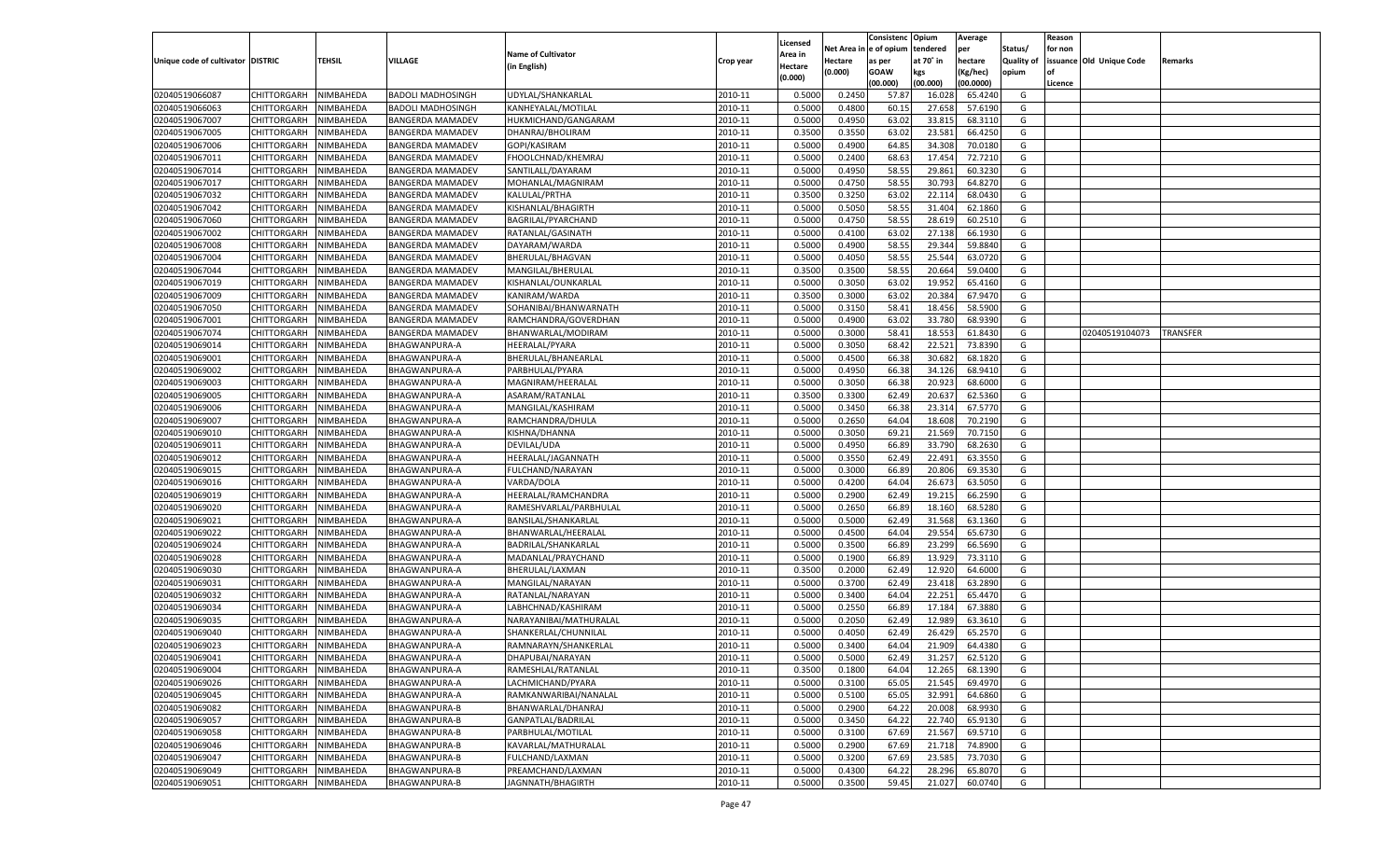|                                   |                       |               |                          |                           |           |                           |          | Consistenc   | Opium     | Average   |                   | Reason  |                          |          |
|-----------------------------------|-----------------------|---------------|--------------------------|---------------------------|-----------|---------------------------|----------|--------------|-----------|-----------|-------------------|---------|--------------------------|----------|
|                                   |                       |               |                          | <b>Name of Cultivator</b> |           | Licensed                  | Net Area | l e of opium | tendered  | per       | Status/           | for non |                          |          |
| Unique code of cultivator DISTRIC |                       | <b>TEHSIL</b> | VILLAGE                  | (in English)              | Crop year | <b>Area in</b><br>Hectare | Hectare  | as per       | at 70° in | hectare   | <b>Quality of</b> |         | issuance Old Unique Code | Remarks  |
|                                   |                       |               |                          |                           |           | (0.000)                   | (0.000)  | <b>GOAW</b>  | kgs       | (Kg/hec)  | opium             |         |                          |          |
|                                   |                       |               |                          |                           |           |                           |          | (00.000)     | (00.000)  | (00.0000) |                   | Licence |                          |          |
| 02040519066087                    | CHITTORGARH           | NIMBAHEDA     | <b>BADOLI MADHOSINGH</b> | UDYLAL/SHANKARLAL         | 2010-11   | 0.5000                    | 0.2450   | 57.87        | 16.02     | 65.4240   | G                 |         |                          |          |
| 02040519066063                    | CHITTORGARH           | NIMBAHEDA     | <b>BADOLI MADHOSINGH</b> | KANHEYALAL/MOTILAL        | 2010-11   | 0.5000                    | 0.4800   | 60.1         | 27.65     | 57.6190   | G                 |         |                          |          |
| 02040519067007                    | CHITTORGARH           | NIMBAHEDA     | <b>BANGERDA MAMADEV</b>  | HUKMICHAND/GANGARAM       | 2010-11   | 0.5000                    | 0.4950   | 63.02        | 33.815    | 68.3110   | G                 |         |                          |          |
| 02040519067005                    | CHITTORGARH           | NIMBAHEDA     | <b>BANGERDA MAMADEV</b>  | DHANRAJ/BHOLIRAM          | 2010-11   | 0.3500                    | 0.3550   | 63.0         | 23.581    | 66.4250   | G                 |         |                          |          |
| 02040519067006                    | CHITTORGARH           | NIMBAHEDA     | <b>BANGERDA MAMADEV</b>  | GOPI/KASIRAM              | 2010-11   | 0.5000                    | 0.4900   | 64.85        | 34.308    | 70.0180   | G                 |         |                          |          |
| 02040519067011                    | CHITTORGARH           | NIMBAHEDA     | BANGERDA MAMADEV         | FHOOLCHNAD/KHEMRAJ        | 2010-11   | 0.5000                    | 0.2400   | 68.63        | 17.454    | 72.7210   | G                 |         |                          |          |
| 02040519067014                    | CHITTORGARH           | NIMBAHEDA     | <b>BANGERDA MAMADEV</b>  | SANTILALL/DAYARAM         | 2010-11   | 0.5000                    | 0.4950   | 58.55        | 29.861    | 60.3230   | G                 |         |                          |          |
| 02040519067017                    | CHITTORGARH           | NIMBAHEDA     | <b>BANGERDA MAMADEV</b>  | MOHANLAL/MAGNIRAM         | 2010-11   | 0.5000                    | 0.4750   | 58.55        | 30.793    | 64.8270   | G                 |         |                          |          |
| 02040519067032                    | CHITTORGARH           | NIMBAHEDA     | <b>BANGERDA MAMADEV</b>  | KALULAL/PRTHA             | 2010-11   | 0.3500                    | 0.3250   | 63.02        | 22.114    | 68.0430   | G                 |         |                          |          |
| 02040519067042                    | CHITTORGARH           | NIMBAHEDA     | BANGERDA MAMADEV         | KISHANLAL/BHAGIRTH        | 2010-11   | 0.5000                    | 0.5050   | 58.55        | 31.404    | 62.1860   | G                 |         |                          |          |
| 02040519067060                    | CHITTORGARH           | NIMBAHEDA     | <b>BANGERDA MAMADEV</b>  | BAGRILAL/PYARCHAND        | 2010-11   | 0.5000                    | 0.4750   | 58.55        | 28.619    | 60.2510   | G                 |         |                          |          |
| 02040519067002                    | CHITTORGARH           | NIMBAHEDA     | <b>BANGERDA MAMADEV</b>  | RATANLAL/GASINATH         | 2010-11   | 0.5000                    | 0.4100   | 63.02        | 27.138    | 66.1930   | G                 |         |                          |          |
| 02040519067008                    | CHITTORGARH           | NIMBAHEDA     | <b>BANGERDA MAMADEV</b>  | DAYARAM/WARDA             | 2010-11   | 0.5000                    | 0.4900   | 58.55        | 29.344    | 59.8840   | G                 |         |                          |          |
| 02040519067004                    | CHITTORGARH           | NIMBAHEDA     | <b>BANGERDA MAMADEV</b>  | BHERULAL/BHAGVAN          | 2010-11   | 0.5000                    | 0.4050   | 58.55        | 25.544    | 63.0720   | G                 |         |                          |          |
| 02040519067044                    | CHITTORGARH           | NIMBAHEDA     | BANGERDA MAMADEV         | MANGILAL/BHERULAL         | 2010-11   | 0.3500                    | 0.3500   | 58.55        | 20.664    | 59.0400   | G                 |         |                          |          |
| 02040519067019                    | CHITTORGARH           | NIMBAHEDA     | <b>BANGERDA MAMADEV</b>  | KISHANLAL/OUNKARLAL       | 2010-11   | 0.5000                    | 0.3050   | 63.02        | 19.952    | 65.4160   | G                 |         |                          |          |
| 02040519067009                    | CHITTORGARH           | NIMBAHEDA     | <b>BANGERDA MAMADEV</b>  | KANIRAM/WARDA             | 2010-11   | 0.3500                    | 0.3000   | 63.02        | 20.384    | 67.9470   | G                 |         |                          |          |
| 02040519067050                    | CHITTORGARH           | NIMBAHEDA     | <b>BANGERDA MAMADEV</b>  | SOHANIBAI/BHANWARNATH     | 2010-11   | 0.5000                    | 0.3150   | 58.4         | 18.456    | 58.5900   | G                 |         |                          |          |
| 02040519067001                    | CHITTORGARH           | NIMBAHEDA     | <b>BANGERDA MAMADEV</b>  | RAMCHANDRA/GOVERDHAN      | 2010-11   | 0.5000                    | 0.4900   | 63.02        | 33.780    | 68.9390   | G                 |         |                          |          |
| 02040519067074                    | CHITTORGARH           | NIMBAHEDA     | <b>BANGERDA MAMADEV</b>  | BHANWARLAL/MODIRAM        | 2010-11   | 0.5000                    | 0.3000   | 58.4         | 18.553    | 61.8430   | G                 |         | 02040519104073           | TRANSFER |
| 02040519069014                    | CHITTORGARH           | NIMBAHEDA     | BHAGWANPURA-A            | HEERALAL/PYARA            | 2010-11   | 0.5000                    | 0.3050   | 68.42        | 22.521    | 73.8390   | G                 |         |                          |          |
| 02040519069001                    | CHITTORGARH           | NIMBAHEDA     | BHAGWANPURA-A            | BHERULAL/BHANEARLAL       | 2010-11   | 0.5000                    | 0.4500   | 66.38        | 30.682    | 68.1820   | G                 |         |                          |          |
| 02040519069002                    | CHITTORGARH           | NIMBAHEDA     | BHAGWANPURA-A            | PARBHULAL/PYARA           | 2010-11   | 0.5000                    | 0.4950   | 66.38        | 34.126    | 68.9410   | G                 |         |                          |          |
| 02040519069003                    | CHITTORGARH           | NIMBAHEDA     | BHAGWANPURA-A            | MAGNIRAM/HEERALAL         | 2010-11   | 0.5000                    | 0.3050   | 66.38        | 20.923    | 68.6000   | G                 |         |                          |          |
| 02040519069005                    | CHITTORGARH           | NIMBAHEDA     | BHAGWANPURA-A            | ASARAM/RATANLAL           | 2010-11   | 0.3500                    | 0.3300   | 62.49        | 20.637    | 62.5360   | G                 |         |                          |          |
| 02040519069006                    | CHITTORGARH           | NIMBAHEDA     | BHAGWANPURA-A            | MANGILAL/KASHIRAM         | 2010-11   | 0.5000                    | 0.3450   | 66.38        | 23.31     | 67.5770   | G                 |         |                          |          |
| 02040519069007                    | CHITTORGARH           | NIMBAHEDA     | BHAGWANPURA-A            | RAMCHANDRA/DHULA          | 2010-11   | 0.5000                    | 0.2650   | 64.04        | 18.608    | 70.2190   | G                 |         |                          |          |
| 02040519069010                    | CHITTORGARH           | NIMBAHEDA     | BHAGWANPURA-A            | KISHNA/DHANNA             | 2010-11   | 0.5000                    | 0.3050   | 69.21        | 21.569    | 70.7150   | G                 |         |                          |          |
| 02040519069011                    | CHITTORGARH           | NIMBAHEDA     | BHAGWANPURA-A            | DEVILAL/UDA               | 2010-11   | 0.5000                    | 0.4950   | 66.89        | 33.790    | 68.2630   | G                 |         |                          |          |
| 02040519069012                    | CHITTORGARH           | NIMBAHEDA     | BHAGWANPURA-A            | HEERALAL/JAGANNATH        | 2010-11   | 0.5000                    | 0.3550   | 62.49        | 22.491    | 63.3550   | G                 |         |                          |          |
| 02040519069015                    | CHITTORGARH           | NIMBAHEDA     | BHAGWANPURA-A            | FULCHAND/NARAYAN          | 2010-11   | 0.5000                    | 0.3000   | 66.89        | 20.806    | 69.3530   | G                 |         |                          |          |
| 02040519069016                    | CHITTORGARH           | NIMBAHEDA     | BHAGWANPURA-A            | VARDA/DOLA                | 2010-11   | 0.5000                    | 0.4200   | 64.04        | 26.673    | 63.5050   | G                 |         |                          |          |
| 02040519069019                    | CHITTORGARH           | NIMBAHEDA     | BHAGWANPURA-A            | HEERALAL/RAMCHANDRA       | 2010-11   | 0.5000                    | 0.2900   | 62.49        | 19.215    | 66.2590   | G                 |         |                          |          |
| 02040519069020                    |                       |               |                          |                           | 2010-11   | 0.5000                    |          | 66.89        | 18.160    | 68.5280   | G                 |         |                          |          |
|                                   | CHITTORGARH           | NIMBAHEDA     | BHAGWANPURA-A            | RAMESHVARLAL/PARBHULAL    | 2010-11   |                           | 0.2650   |              |           | 63.1360   |                   |         |                          |          |
| 02040519069021                    | CHITTORGARH           | NIMBAHEDA     | BHAGWANPURA-A            | BANSILAL/SHANKARLAI       |           | 0.5000                    | 0.5000   | 62.49        | 31.568    |           | G                 |         |                          |          |
| 02040519069022                    | CHITTORGARH           | NIMBAHEDA     | BHAGWANPURA-A            | BHANWARLAL/HEERALAL       | 2010-11   | 0.5000                    | 0.4500   | 64.04        | 29.554    | 65.6730   | G                 |         |                          |          |
| 02040519069024                    | CHITTORGARH           | NIMBAHEDA     | BHAGWANPURA-A            | BADRILAL/SHANKARLAI       | 2010-11   | 0.5000                    | 0.3500   | 66.89        | 23.299    | 66.5690   | G                 |         |                          |          |
| 02040519069028                    | CHITTORGARH           | NIMBAHEDA     | BHAGWANPURA-A            | MADANLAL/PRAYCHAND        | 2010-11   | 0.5000                    | 0.1900   | 66.89        | 13.929    | 73.3110   | G                 |         |                          |          |
| 02040519069030                    | CHITTORGARH           | NIMBAHEDA     | BHAGWANPURA-A            | BHERULAL/LAXMAN           | 2010-11   | 0.3500                    | 0.2000   | 62.49        | 12.92     | 64.6000   | G                 |         |                          |          |
| 02040519069031                    | CHITTORGARH           | NIMBAHEDA     | <b>BHAGWANPURA-A</b>     | MANGILAL/NARAYAN          | 2010-11   | 0.5000                    | 0.3700   | 62.49        | 23.418    | 63.2890   | G                 |         |                          |          |
| 02040519069032                    | CHITTORGARH           | NIMBAHEDA     | BHAGWANPURA-A            | RATANLAL/NARAYAN          | 2010-11   | 0.5000                    | 0.3400   | 64.04        | 22.251    | 65.4470   | G                 |         |                          |          |
| 02040519069034                    | CHITTORGARH           | NIMBAHEDA     | BHAGWANPURA-A            | LABHCHNAD/KASHIRAM        | 2010-11   | 0.5000                    | 0.2550   | 66.89        | 17.184    | 67.3880   | G                 |         |                          |          |
| 02040519069035                    | CHITTORGARH           | NIMBAHEDA     | BHAGWANPURA-A            | NARAYANIBAI/MATHURALAL    | 2010-11   | 0.5000                    | 0.2050   | 62.49        | 12.989    | 63.3610   | G                 |         |                          |          |
| 02040519069040                    | CHITTORGARH           | NIMBAHEDA     | BHAGWANPURA-A            | SHANKERLAL/CHUNNILAI      | 2010-11   | 0.5000                    | 0.4050   | 62.49        | 26.42     | 65.2570   | G                 |         |                          |          |
| 02040519069023                    | CHITTORGARH           | NIMBAHEDA     | BHAGWANPURA-A            | RAMNARAYN/SHANKERLAL      | 2010-11   | 0.5000                    | 0.3400   | 64.04        | 21.909    | 64.4380   | G                 |         |                          |          |
| 02040519069041                    | CHITTORGARH NIMBAHEDA |               | <b>BHAGWANPURA-A</b>     | DHAPUBAI/NARAYAN          | 2010-11   | 0.5000                    | 0.5000   | 62.49        | 31.257    | 62.5120   | G                 |         |                          |          |
| 02040519069004                    | CHITTORGARH           | NIMBAHEDA     | <b>BHAGWANPURA-A</b>     | RAMESHLAL/RATANLAL        | 2010-11   | 0.3500                    | 0.1800   | 64.04        | 12.265    | 68.1390   | G                 |         |                          |          |
| 02040519069026                    | CHITTORGARH           | NIMBAHEDA     | BHAGWANPURA-A            | LACHMICHAND/PYARA         | 2010-11   | 0.5000                    | 0.3100   | 65.05        | 21.545    | 69.4970   | G                 |         |                          |          |
| 02040519069045                    | <b>CHITTORGARH</b>    | NIMBAHEDA     | <b>BHAGWANPURA-A</b>     | RAMKANWARIBAI/NANALAL     | 2010-11   | 0.5000                    | 0.5100   | 65.05        | 32.991    | 64.6860   | G                 |         |                          |          |
| 02040519069082                    | <b>CHITTORGARH</b>    | NIMBAHEDA     | BHAGWANPURA-B            | BHANWARLAL/DHANRAJ        | 2010-11   | 0.5000                    | 0.2900   | 64.22        | 20.008    | 68.9930   | G                 |         |                          |          |
| 02040519069057                    | <b>CHITTORGARH</b>    | NIMBAHEDA     | <b>BHAGWANPURA-B</b>     | GANPATLAL/BADRILAL        | 2010-11   | 0.5000                    | 0.3450   | 64.22        | 22.740    | 65.9130   | G                 |         |                          |          |
| 02040519069058                    | <b>CHITTORGARH</b>    | NIMBAHEDA     | <b>BHAGWANPURA-B</b>     | PARBHULAL/MOTILAL         | 2010-11   | 0.5000                    | 0.3100   | 67.69        | 21.567    | 69.5710   | G                 |         |                          |          |
| 02040519069046                    | <b>CHITTORGARH</b>    | NIMBAHEDA     | <b>BHAGWANPURA-B</b>     | KAVARLAL/MATHURALAL       | 2010-11   | 0.5000                    | 0.2900   | 67.69        | 21.718    | 74.8900   | G                 |         |                          |          |
| 02040519069047                    | <b>CHITTORGARH</b>    | NIMBAHEDA     | BHAGWANPURA-B            | FULCHAND/LAXMAN           | 2010-11   | 0.5000                    | 0.3200   | 67.69        | 23.585    | 73.7030   | G                 |         |                          |          |
| 02040519069049                    | <b>CHITTORGARH</b>    | NIMBAHEDA     | <b>BHAGWANPURA-B</b>     | PREAMCHAND/LAXMAN         | 2010-11   | 0.5000                    | 0.4300   | 64.22        | 28.296    | 65.8070   | G                 |         |                          |          |
| 02040519069051                    | <b>CHITTORGARH</b>    | NIMBAHEDA     | <b>BHAGWANPURA-B</b>     | JAGNNATH/BHAGIRTH         | 2010-11   | 0.5000                    | 0.3500   | 59.45        | 21.027    | 60.0740   | G                 |         |                          |          |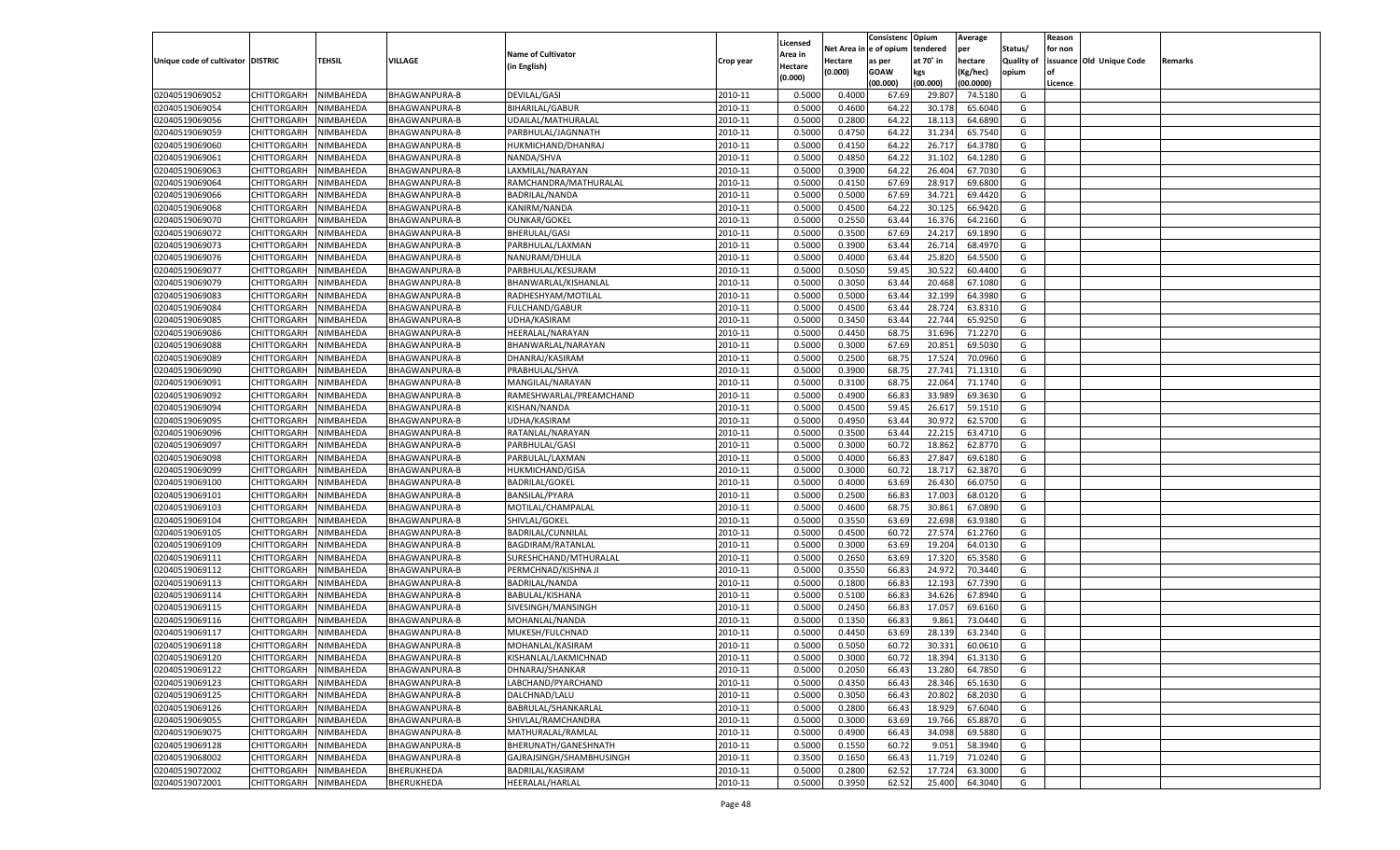|                                   |                            |               |                                       |                                              |                    |                           |          | Consistenc  | Opium     | Average   |                   | Reason  |                          |         |
|-----------------------------------|----------------------------|---------------|---------------------------------------|----------------------------------------------|--------------------|---------------------------|----------|-------------|-----------|-----------|-------------------|---------|--------------------------|---------|
|                                   |                            |               |                                       | <b>Name of Cultivator</b>                    |                    | Licensed                  | Net Area | e of opium  | tendered  | per       | Status/           | for non |                          |         |
| Unique code of cultivator DISTRIC |                            | <b>TEHSIL</b> | VILLAGE                               | (in English)                                 | Crop year          | <b>Area in</b><br>Hectare | Hectare  | as per      | at 70° in | hectare   | <b>Quality of</b> |         | issuance Old Unique Code | Remarks |
|                                   |                            |               |                                       |                                              |                    | (0.000)                   | (0.000)  | <b>GOAW</b> | kgs       | (Kg/hec)  | opium             |         |                          |         |
|                                   |                            |               |                                       |                                              |                    |                           |          | (00.000)    | (00.000)  | (00.0000) |                   | Licence |                          |         |
| 02040519069052                    | CHITTORGARH                | NIMBAHEDA     | BHAGWANPURA-B                         | <b>DEVILAL/GASI</b>                          | 2010-11            | 0.5000                    | 0.4000   | 67.69       | 29.80     | 74.5180   | G                 |         |                          |         |
| 02040519069054                    | CHITTORGARH                | NIMBAHEDA     | BHAGWANPURA-B                         | <b>BIHARILAL/GABUR</b>                       | 2010-11            | 0.5000                    | 0.4600   | 64.2        | 30.178    | 65.6040   | G                 |         |                          |         |
| 02040519069056                    | CHITTORGARH                | NIMBAHEDA     | BHAGWANPURA-B                         | UDAILAL/MATHURALAL                           | 2010-11            | 0.5000                    | 0.2800   | 64.22       | 18.113    | 64.6890   | G                 |         |                          |         |
| 02040519069059                    | CHITTORGARH                | NIMBAHEDA     | <b>BHAGWANPURA-B</b>                  | PARBHULAL/JAGNNATH                           | 2010-11            | 0.5000                    | 0.4750   | 64.2        | 31.234    | 65.7540   | G                 |         |                          |         |
| 02040519069060                    | CHITTORGARH                | NIMBAHEDA     | BHAGWANPURA-B                         | HUKMICHAND/DHANRAJ                           | 2010-11            | 0.5000                    | 0.4150   | 64.22       | 26.717    | 64.3780   | G                 |         |                          |         |
| 02040519069061                    | CHITTORGARH                | NIMBAHEDA     | BHAGWANPURA-B                         | NANDA/SHVA                                   | 2010-11            | 0.5000                    | 0.4850   | 64.2        | 31.102    | 64.1280   | G                 |         |                          |         |
| 02040519069063                    | CHITTORGARH                | NIMBAHEDA     | BHAGWANPURA-B                         | LAXMILAL/NARAYAN                             | 2010-11            | 0.5000                    | 0.3900   | 64.22       | 26.404    | 67.7030   | G                 |         |                          |         |
| 02040519069064                    | CHITTORGARH                | NIMBAHEDA     | BHAGWANPURA-B                         | RAMCHANDRA/MATHURALAL                        | 2010-11            | 0.5000                    | 0.4150   | 67.69       | 28.91     | 69.6800   | G                 |         |                          |         |
| 02040519069066                    | CHITTORGARH                | NIMBAHEDA     | <b>BHAGWANPURA-B</b>                  | <b>BADRILAL/NANDA</b>                        | 2010-11            | 0.5000                    | 0.5000   | 67.69       | 34.721    | 69.4420   | G                 |         |                          |         |
| 02040519069068                    | CHITTORGARH                | NIMBAHEDA     | BHAGWANPURA-B                         | KANIRM/NANDA                                 | 2010-11            | 0.5000                    | 0.4500   | 64.2        | 30.125    | 66.9420   | G                 |         |                          |         |
| 02040519069070                    | CHITTORGARH                | NIMBAHEDA     | BHAGWANPURA-B                         | <b>OUNKAR/GOKEL</b>                          | 2010-11            | 0.5000                    | 0.2550   | 63.44       | 16.376    | 64.2160   | G                 |         |                          |         |
| 02040519069072                    | CHITTORGARH                | NIMBAHEDA     | BHAGWANPURA-B                         | BHERULAL/GASI                                | 2010-11            | 0.5000                    | 0.3500   | 67.69       | 24.21     | 69.1890   | G                 |         |                          |         |
| 02040519069073                    | CHITTORGARH                | NIMBAHEDA     | BHAGWANPURA-B                         | PARBHULAL/LAXMAN                             | 2010-11            | 0.5000                    | 0.3900   | 63.44       | 26.714    | 68.4970   | G                 |         |                          |         |
| 02040519069076                    | CHITTORGARH                | NIMBAHEDA     | BHAGWANPURA-B                         | NANURAM/DHULA                                | 2010-11            | 0.5000                    | 0.4000   | 63.4        | 25.820    | 64.5500   | G                 |         |                          |         |
| 02040519069077                    | CHITTORGARH                | NIMBAHEDA     | BHAGWANPURA-B                         | PARBHULAL/KESURAM                            | 2010-11            | 0.5000                    | 0.5050   | 59.45       | 30.522    | 60.4400   | G                 |         |                          |         |
| 02040519069079                    | CHITTORGARH                | NIMBAHEDA     | BHAGWANPURA-B                         | BHANWARLAL/KISHANLAL                         | 2010-11            | 0.5000                    | 0.3050   | 63.4        | 20.468    | 67.1080   | G                 |         |                          |         |
| 02040519069083                    | CHITTORGARH                | NIMBAHEDA     | BHAGWANPURA-B                         | RADHESHYAM/MOTILAL                           | 2010-11            | 0.5000                    | 0.5000   | 63.44       | 32.199    | 64.3980   | G                 |         |                          |         |
| 02040519069084                    | CHITTORGARH                | NIMBAHEDA     | BHAGWANPURA-B                         | <b>FULCHAND/GABUR</b>                        | 2010-11            | 0.5000                    | 0.4500   | 63.4        | 28.724    | 63.8310   | G                 |         |                          |         |
| 02040519069085                    | CHITTORGARH                | NIMBAHEDA     | BHAGWANPURA-B                         | UDHA/KASIRAM                                 | 2010-11            | 0.5000                    | 0.3450   | 63.44       | 22.744    | 65.9250   | G                 |         |                          |         |
| 02040519069086                    | CHITTORGARH                | NIMBAHEDA     | BHAGWANPURA-B                         | HEERALAL/NARAYAN                             | 2010-11            | 0.5000                    | 0.4450   | 68.7        | 31.696    | 71.2270   | G                 |         |                          |         |
| 02040519069088                    | CHITTORGARH                | NIMBAHEDA     | <b>BHAGWANPURA-B</b>                  | BHANWARLAL/NARAYAN                           | 2010-11            | 0.5000                    | 0.3000   | 67.69       | 20.851    | 69.5030   | G                 |         |                          |         |
| 02040519069089                    | CHITTORGARH                | NIMBAHEDA     | BHAGWANPURA-B                         | DHANRAJ/KASIRAM                              | 2010-11            | 0.5000                    | 0.2500   | 68.7        | 17.524    | 70.0960   | G                 |         |                          |         |
| 02040519069090                    | CHITTORGARH                | NIMBAHEDA     | BHAGWANPURA-B                         | PRABHULAL/SHVA                               | 2010-11            | 0.5000                    | 0.3900   | 68.75       | 27.741    | 71.1310   | G                 |         |                          |         |
| 02040519069091                    | CHITTORGARH                | NIMBAHEDA     | BHAGWANPURA-B                         | MANGILAL/NARAYAN                             | 2010-11            | 0.5000                    | 0.3100   | 68.7        | 22.064    | 71.1740   | G                 |         |                          |         |
| 02040519069092                    | CHITTORGARH                | NIMBAHEDA     | BHAGWANPURA-B                         | RAMESHWARLAL/PREAMCHAND                      | 2010-11            | 0.5000                    | 0.4900   | 66.83       | 33.989    | 69.3630   | G                 |         |                          |         |
| 02040519069094                    | CHITTORGARH                | NIMBAHEDA     | BHAGWANPURA-B                         | KISHAN/NANDA                                 | 2010-11            | 0.5000                    | 0.4500   | 59.45       | 26.617    | 59.1510   | G                 |         |                          |         |
| 02040519069095                    | CHITTORGARH                | NIMBAHEDA     | BHAGWANPURA-B                         | UDHA/KASIRAM                                 | 2010-11            | 0.5000                    | 0.4950   | 63.44       | 30.972    | 62.5700   | G                 |         |                          |         |
| 02040519069096                    | CHITTORGARH                | NIMBAHEDA     | BHAGWANPURA-B                         | RATANLAL/NARAYAN                             | 2010-11            | 0.5000                    | 0.3500   | 63.4        | 22.215    | 63.4710   | G                 |         |                          |         |
| 02040519069097                    | CHITTORGARH                | NIMBAHEDA     | BHAGWANPURA-B                         | PARBHULAL/GASI                               | 2010-11            | 0.5000                    | 0.3000   | 60.7        | 18.862    | 62.8770   | G                 |         |                          |         |
| 02040519069098                    | CHITTORGARH                | NIMBAHEDA     | BHAGWANPURA-B                         | PARBULAL/LAXMAN                              | 2010-11            | 0.5000                    | 0.4000   | 66.83       | 27.847    | 69.6180   | G                 |         |                          |         |
| 02040519069099                    | CHITTORGARH                | NIMBAHEDA     | BHAGWANPURA-B                         | <b>HUKMICHAND/GISA</b>                       | 2010-11            | 0.5000                    | 0.3000   | 60.7        | 18.717    | 62.387    | G                 |         |                          |         |
| 02040519069100                    | CHITTORGARH                | NIMBAHEDA     | BHAGWANPURA-B                         | <b>BADRILAL/GOKEL</b>                        | 2010-11            | 0.5000                    | 0.4000   | 63.69       | 26.43     | 66.0750   | G                 |         |                          |         |
| 02040519069101                    | CHITTORGARH                | NIMBAHEDA     | BHAGWANPURA-B                         | BANSILAL/PYARA                               | 2010-11            | 0.5000                    | 0.2500   | 66.83       | 17.003    | 68.0120   | G                 |         |                          |         |
| 02040519069103                    | CHITTORGARH                | NIMBAHEDA     | BHAGWANPURA-B                         | MOTILAL/CHAMPALAL                            | 2010-11            | 0.5000                    | 0.4600   | 68.7        | 30.861    | 67.0890   | G                 |         |                          |         |
| 02040519069104                    | CHITTORGARH                | NIMBAHEDA     | BHAGWANPURA-B                         | SHIVLAL/GOKEL                                | 2010-11            | 0.5000                    | 0.3550   | 63.69       | 22.698    | 63.9380   | G                 |         |                          |         |
| 02040519069105                    | CHITTORGARH                | NIMBAHEDA     | BHAGWANPURA-B                         | BADRILAL/CUNNILAL                            | 2010-11            | 0.5000                    | 0.4500   | 60.7        | 27.574    | 61.2760   | G                 |         |                          |         |
| 02040519069109                    | CHITTORGARH                | NIMBAHEDA     | BHAGWANPURA-B                         | <b>BAGDIRAM/RATANLAL</b>                     | 2010-11            | 0.5000                    | 0.3000   | 63.69       | 19.204    | 64.0130   | G                 |         |                          |         |
| 02040519069111                    | CHITTORGARH                | NIMBAHEDA     | BHAGWANPURA-B                         | SURESHCHAND/MTHURALAL                        | 2010-11            | 0.5000                    | 0.2650   | 63.69       | 17.32     | 65.3580   | G                 |         |                          |         |
| 02040519069112                    |                            |               |                                       |                                              | 2010-11            | 0.5000                    | 0.3550   | 66.83       | 24.972    | 70.3440   | G                 |         |                          |         |
| 02040519069113                    | CHITTORGARH                | NIMBAHEDA     | BHAGWANPURA-B                         | PERMCHNAD/KISHNA JI<br><b>BADRILAL/NANDA</b> |                    |                           |          | 66.83       | 12.193    | 67.7390   | G                 |         |                          |         |
|                                   | CHITTORGARH                | NIMBAHEDA     | BHAGWANPURA-B<br><b>BHAGWANPURA-B</b> |                                              | 2010-11            | 0.5000                    | 0.1800   |             |           | 67.8940   |                   |         |                          |         |
| 02040519069114                    | CHITTORGARH                | NIMBAHEDA     |                                       | BABULAL/KISHANA                              | 2010-11            | 0.5000                    | 0.5100   | 66.83       | 34.626    |           | G                 |         |                          |         |
| 02040519069115                    | CHITTORGARH<br>CHITTORGARH | NIMBAHEDA     | BHAGWANPURA-B<br><b>BHAGWANPURA-B</b> | SIVESINGH/MANSINGH                           | 2010-11<br>2010-11 | 0.5000                    | 0.2450   | 66.83       | 17.05     | 69.6160   | G                 |         |                          |         |
| 02040519069116                    |                            | NIMBAHEDA     |                                       | MOHANLAL/NANDA                               |                    | 0.5000                    | 0.1350   | 66.83       | 9.861     | 73.0440   | G                 |         |                          |         |
| 02040519069117                    | CHITTORGARH                | NIMBAHEDA     | BHAGWANPURA-B                         | MUKESH/FULCHNAD                              | 2010-11            | 0.5000                    | 0.4450   | 63.69       | 28.13     | 63.2340   | G                 |         |                          |         |
| 02040519069118                    | CHITTORGARH                | NIMBAHEDA     | BHAGWANPURA-B                         | MOHANLAL/KASIRAM                             | 2010-11            | 0.5000                    | 0.5050   | 60.72       | 30.331    | 60.0610   | G                 |         |                          |         |
| 02040519069120                    | CHITTORGARH NIMBAHEDA      |               | <b>BHAGWANPURA-B</b>                  | KISHANLAL/LAKMICHNAD                         | 2010-11            | 0.5000                    | 0.3000   | 60.72       | 18.394    | 61.3130   | G                 |         |                          |         |
| 02040519069122                    | <b>CHITTORGARH</b>         | NIMBAHEDA     | <b>BHAGWANPURA-B</b>                  | DHNARAJ/SHANKAR                              | 2010-11            | 0.5000                    | 0.2050   | 66.43       | 13.280    | 64.7850   | G                 |         |                          |         |
| 02040519069123                    | CHITTORGARH                | NIMBAHEDA     | <b>BHAGWANPURA-B</b>                  | LABCHAND/PYARCHAND                           | 2010-11            | 0.5000                    | 0.4350   | 66.43       | 28.346    | 65.1630   | G                 |         |                          |         |
| 02040519069125                    | <b>CHITTORGARH</b>         | NIMBAHEDA     | <b>BHAGWANPURA-B</b>                  | DALCHNAD/LALU                                | 2010-11            | 0.5000                    | 0.3050   | 66.43       | 20.802    | 68.2030   | G                 |         |                          |         |
| 02040519069126                    | <b>CHITTORGARH</b>         | NIMBAHEDA     | BHAGWANPURA-B                         | BABRULAL/SHANKARLAL                          | 2010-11            | 0.5000                    | 0.2800   | 66.43       | 18.929    | 67.6040   | G                 |         |                          |         |
| 02040519069055                    | <b>CHITTORGARH</b>         | NIMBAHEDA     | <b>BHAGWANPURA-B</b>                  | SHIVLAL/RAMCHANDRA                           | 2010-11            | 0.5000                    | 0.3000   | 63.69       | 19.766    | 65.8870   | G                 |         |                          |         |
| 02040519069075                    | <b>CHITTORGARH</b>         | NIMBAHEDA     | <b>BHAGWANPURA-B</b>                  | MATHURALAL/RAMLAL                            | 2010-11            | 0.5000                    | 0.4900   | 66.43       | 34.098    | 69.5880   | G                 |         |                          |         |
| 02040519069128                    | <b>CHITTORGARH</b>         | NIMBAHEDA     | <b>BHAGWANPURA-B</b>                  | BHERUNATH/GANESHNATH                         | 2010-11            | 0.5000                    | 0.1550   | 60.72       | 9.051     | 58.3940   | G                 |         |                          |         |
| 02040519068002                    | <b>CHITTORGARH</b>         | NIMBAHEDA     | BHAGWANPURA-B                         | GAJRAJSINGH/SHAMBHUSINGH                     | 2010-11            | 0.3500                    | 0.1650   | 66.43       | 11.719    | 71.0240   | G                 |         |                          |         |
| 02040519072002                    | <b>CHITTORGARH</b>         | NIMBAHEDA     | BHERUKHEDA                            | BADRILAL/KASIRAM                             | 2010-11            | 0.5000                    | 0.2800   | 62.52       | 17.724    | 63.3000   | G                 |         |                          |         |
| 02040519072001                    | <b>CHITTORGARH</b>         | NIMBAHEDA     | BHERUKHEDA                            | HEERALAL/HARLAL                              | 2010-11            | 0.5000                    | 0.3950   | 62.52       | 25.400    | 64.3040   | G                 |         |                          |         |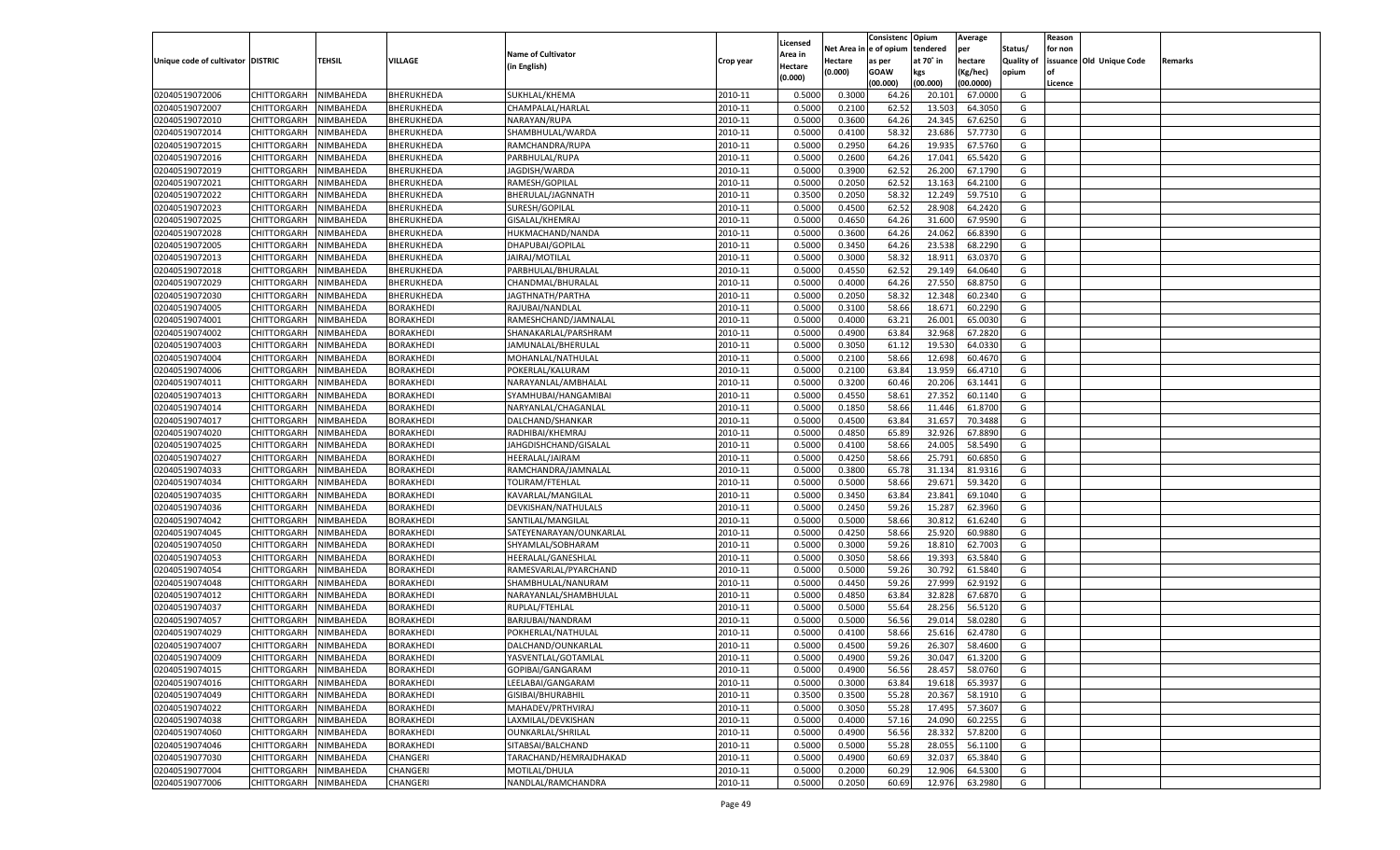|                                   |                                          |               |                  |                           |           |                           |          | Consistenc  | Opium     | Average   |                   | Reason  |                          |         |
|-----------------------------------|------------------------------------------|---------------|------------------|---------------------------|-----------|---------------------------|----------|-------------|-----------|-----------|-------------------|---------|--------------------------|---------|
|                                   |                                          |               |                  | <b>Name of Cultivator</b> |           | Licensed                  | Net Area | e of opium  | tendered  | per       | Status/           | for non |                          |         |
| Unique code of cultivator DISTRIC |                                          | <b>TEHSIL</b> | VILLAGE          | (in English)              | Crop year | <b>Area in</b><br>Hectare | Hectare  | as per      | at 70° in | hectare   | <b>Quality of</b> |         | issuance Old Unique Code | Remarks |
|                                   |                                          |               |                  |                           |           | (0.000)                   | (0.000)  | <b>GOAW</b> | kgs       | (Kg/hec)  | opium             |         |                          |         |
|                                   |                                          |               |                  |                           |           |                           |          | (00.000)    | (00.000)  | (00.0000) |                   | Licence |                          |         |
| 02040519072006                    | CHITTORGARH                              | NIMBAHEDA     | BHERUKHEDA       | SUKHLAL/KHEMA             | 2010-11   | 0.5000                    | 0.3000   | 64.26       | 20.101    | 67.0000   | G                 |         |                          |         |
| 02040519072007                    | CHITTORGARH                              | NIMBAHEDA     | BHERUKHEDA       | CHAMPALAL/HARLAL          | 2010-11   | 0.5000                    | 0.2100   | 62.52       | 13.503    | 64.3050   | G                 |         |                          |         |
| 02040519072010                    | CHITTORGARH                              | NIMBAHEDA     | BHERUKHEDA       | NARAYAN/RUPA              | 2010-11   | 0.5000                    | 0.3600   | 64.26       | 24.345    | 67.6250   | G                 |         |                          |         |
| 02040519072014                    | CHITTORGARH                              | NIMBAHEDA     | BHERUKHEDA       | SHAMBHULAL/WARDA          | 2010-11   | 0.5000                    | 0.4100   | 58.3        | 23.686    | 57.7730   | G                 |         |                          |         |
| 02040519072015                    | CHITTORGARH                              | NIMBAHEDA     | BHERUKHEDA       | RAMCHANDRA/RUPA           | 2010-11   | 0.5000                    | 0.2950   | 64.26       | 19.935    | 67.5760   | G                 |         |                          |         |
| 02040519072016                    | CHITTORGARH                              | NIMBAHEDA     | BHERUKHEDA       | PARBHULAL/RUPA            | 2010-11   | 0.5000                    | 0.2600   | 64.26       | 17.041    | 65.5420   | G                 |         |                          |         |
| 02040519072019                    | CHITTORGARH                              | NIMBAHEDA     | BHERUKHEDA       | JAGDISH/WARDA             | 2010-11   | 0.5000                    | 0.3900   | 62.52       | 26.20     | 67.1790   | G                 |         |                          |         |
| 02040519072021                    | CHITTORGARH                              | NIMBAHEDA     | BHERUKHEDA       | RAMESH/GOPILAL            | 2010-11   | 0.5000                    | 0.2050   | 62.52       | 13.163    | 64.2100   | G                 |         |                          |         |
| 02040519072022                    | CHITTORGARH                              | NIMBAHEDA     | BHERUKHEDA       | BHERULAL/JAGNNATH         | 2010-11   | 0.3500                    | 0.2050   | 58.32       | 12.249    | 59.7510   | G                 |         |                          |         |
| 02040519072023                    | CHITTORGARH                              | NIMBAHEDA     | BHERUKHEDA       | SURESH/GOPILAL            | 2010-11   | 0.5000                    | 0.4500   | 62.52       | 28.908    | 64.2420   | G                 |         |                          |         |
| 02040519072025                    | CHITTORGARH                              | NIMBAHEDA     | BHERUKHEDA       | GISALAL/KHEMRAJ           | 2010-11   | 0.5000                    | 0.4650   | 64.26       | 31.600    | 67.9590   | G                 |         |                          |         |
| 02040519072028                    | CHITTORGARH                              | NIMBAHEDA     | BHERUKHEDA       | HUKMACHAND/NANDA          | 2010-11   | 0.5000                    | 0.3600   | 64.26       | 24.062    | 66.8390   | G                 |         |                          |         |
| 02040519072005                    | CHITTORGARH                              | NIMBAHEDA     | BHERUKHEDA       | DHAPUBAI/GOPILAL          | 2010-11   | 0.5000                    | 0.3450   | 64.26       | 23.538    | 68.2290   | G                 |         |                          |         |
| 02040519072013                    | CHITTORGARH                              | NIMBAHEDA     | BHERUKHEDA       | JAIRAJ/MOTILAL            | 2010-11   | 0.5000                    | 0.3000   | 58.32       | 18.911    | 63.0370   | G                 |         |                          |         |
| 02040519072018                    | CHITTORGARH                              | NIMBAHEDA     | BHERUKHEDA       | PARBHULAL/BHURALAL        | 2010-11   | 0.5000                    | 0.4550   | 62.52       | 29.149    | 64.0640   | G                 |         |                          |         |
| 02040519072029                    | CHITTORGARH                              | NIMBAHEDA     | BHERUKHEDA       | CHANDMAL/BHURALAL         | 2010-11   | 0.5000                    | 0.4000   | 64.26       | 27.550    | 68.8750   | G                 |         |                          |         |
| 02040519072030                    | CHITTORGARH                              | NIMBAHEDA     | BHERUKHEDA       | JAGTHNATH/PARTHA          | 2010-11   | 0.5000                    | 0.2050   | 58.32       | 12.348    | 60.2340   | G                 |         |                          |         |
| 02040519074005                    | CHITTORGARH                              | NIMBAHEDA     | BORAKHEDI        | RAJUBAI/NANDLAL           | 2010-11   | 0.5000                    | 0.3100   | 58.66       | 18.671    | 60.2290   | G                 |         |                          |         |
| 02040519074001                    | CHITTORGARH                              | NIMBAHEDA     | <b>BORAKHEDI</b> | RAMESHCHAND/JAMNALAI      | 2010-11   | 0.5000                    | 0.4000   | 63.21       | 26.001    | 65.0030   | G                 |         |                          |         |
| 02040519074002                    | CHITTORGARH                              | NIMBAHEDA     | BORAKHEDI        | SHANAKARLAL/PARSHRAM      | 2010-11   | 0.5000                    | 0.4900   | 63.84       | 32.968    | 67.2820   | G                 |         |                          |         |
| 02040519074003                    | CHITTORGARH                              | NIMBAHEDA     | BORAKHEDI        | JAMUNALAL/BHERULAL        | 2010-11   | 0.5000                    | 0.3050   | 61.12       | 19.530    | 64.0330   | G                 |         |                          |         |
| 02040519074004                    | CHITTORGARH                              | NIMBAHEDA     | BORAKHEDI        | MOHANLAL/NATHULAL         | 2010-11   | 0.5000                    | 0.2100   | 58.66       | 12.698    | 60.4670   | G                 |         |                          |         |
| 02040519074006                    | CHITTORGARH                              | NIMBAHEDA     | BORAKHEDI        | POKERLAL/KALURAM          | 2010-11   | 0.5000                    | 0.2100   | 63.84       | 13.959    | 66.4710   | G                 |         |                          |         |
| 02040519074011                    | CHITTORGARH                              | NIMBAHEDA     | BORAKHEDI        | NARAYANLAL/AMBHALAL       | 2010-11   | 0.5000                    | 0.3200   | 60.46       | 20.206    | 63.1441   | G                 |         |                          |         |
| 02040519074013                    | CHITTORGARH                              | NIMBAHEDA     | BORAKHEDI        | SYAMHUBAI/HANGAMIBAI      | 2010-11   | 0.5000                    | 0.4550   | 58.61       | 27.352    | 60.1140   | G                 |         |                          |         |
| 02040519074014                    | CHITTORGARH                              | NIMBAHEDA     | BORAKHEDI        | NARYANLAL/CHAGANLAL       | 2010-11   | 0.5000                    | 0.1850   | 58.66       | 11.446    | 61.8700   | G                 |         |                          |         |
| 02040519074017                    | CHITTORGARH                              | NIMBAHEDA     | BORAKHEDI        | DALCHAND/SHANKAR          | 2010-11   | 0.5000                    | 0.4500   | 63.84       | 31.657    | 70.3488   | G                 |         |                          |         |
| 02040519074020                    | CHITTORGARH                              | NIMBAHEDA     | BORAKHEDI        | RADHIBAI/KHEMRAJ          | 2010-11   | 0.5000                    | 0.4850   | 65.89       | 32.926    | 67.8890   | G                 |         |                          |         |
| 02040519074025                    | CHITTORGARH                              | NIMBAHEDA     | BORAKHEDI        | JAHGDISHCHAND/GISALAL     | 2010-11   | 0.5000                    | 0.4100   | 58.66       | 24.005    | 58.5490   | G                 |         |                          |         |
| 02040519074027                    | CHITTORGARH                              | NIMBAHEDA     | BORAKHEDI        | HEERALAL/JAIRAM           | 2010-11   | 0.5000                    | 0.4250   | 58.66       | 25.791    | 60.6850   | G                 |         |                          |         |
| 02040519074033                    | CHITTORGARH                              | NIMBAHEDA     | <b>BORAKHEDI</b> | RAMCHANDRA/JAMNALAL       | 2010-11   | 0.5000                    | 0.3800   | 65.78       | 31.134    | 81.9316   | G                 |         |                          |         |
| 02040519074034                    | CHITTORGARH                              | NIMBAHEDA     | BORAKHEDI        | TOLIRAM/FTEHLAL           | 2010-11   | 0.5000                    | 0.5000   | 58.66       | 29.671    | 59.3420   | G                 |         |                          |         |
| 02040519074035                    | CHITTORGARH                              | NIMBAHEDA     | <b>BORAKHEDI</b> | KAVARLAL/MANGILAL         | 2010-11   | 0.5000                    | 0.3450   | 63.84       | 23.841    | 69.1040   | G                 |         |                          |         |
| 02040519074036                    | CHITTORGARH                              | NIMBAHEDA     | BORAKHEDI        | DEVKISHAN/NATHULALS       | 2010-11   | 0.5000                    | 0.2450   | 59.26       | 15.287    | 62.3960   | G                 |         |                          |         |
| 02040519074042                    | CHITTORGARH                              | NIMBAHEDA     | <b>BORAKHEDI</b> | SANTILAL/MANGILAL         | 2010-11   | 0.5000                    | 0.5000   | 58.66       | 30.812    | 61.6240   | G                 |         |                          |         |
| 02040519074045                    | CHITTORGARH                              | NIMBAHEDA     | BORAKHEDI        | SATEYENARAYAN/OUNKARLAL   | 2010-11   | 0.5000                    | 0.4250   | 58.66       | 25.92     | 60.9880   | G                 |         |                          |         |
| 02040519074050                    | CHITTORGARH                              | NIMBAHEDA     | BORAKHEDI        | SHYAMLAL/SOBHARAM         | 2010-11   | 0.5000                    | 0.3000   | 59.26       | 18.81     | 62.7003   | G                 |         |                          |         |
| 02040519074053                    | CHITTORGARH                              | NIMBAHEDA     | BORAKHEDI        | HEERALAL/GANESHLAL        | 2010-11   | 0.5000                    | 0.3050   | 58.66       | 19.393    | 63.5840   | G                 |         |                          |         |
| 02040519074054                    | CHITTORGARH                              | NIMBAHEDA     | <b>BORAKHEDI</b> | RAMESVARLAL/PYARCHAND     | 2010-11   | 0.5000                    | 0.5000   | 59.26       | 30.792    | 61.5840   | G                 |         |                          |         |
| 02040519074048                    | CHITTORGARH                              | NIMBAHEDA     | BORAKHEDI        | SHAMBHULAL/NANURAM        | 2010-11   | 0.5000                    | 0.4450   | 59.26       | 27.999    | 62.9192   | G                 |         |                          |         |
| 02040519074012                    | CHITTORGARH                              | NIMBAHEDA     | BORAKHEDI        | NARAYANLAL/SHAMBHULAL     | 2010-11   | 0.5000                    | 0.4850   | 63.84       | 32.828    | 67.6870   | G                 |         |                          |         |
| 02040519074037                    | CHITTORGARH                              | NIMBAHEDA     | BORAKHEDI        | RUPLAL/FTEHLAL            | 2010-11   | 0.5000                    | 0.5000   | 55.64       | 28.25     | 56.5120   | G                 |         |                          |         |
| 02040519074057                    | CHITTORGARH                              | NIMBAHEDA     | <b>BORAKHEDI</b> | BARJUBAI/NANDRAM          | 2010-11   | 0.5000                    | 0.5000   | 56.56       | 29.01     | 58.0280   | G                 |         |                          |         |
| 02040519074029                    | CHITTORGARH                              | NIMBAHEDA     | <b>BORAKHED</b>  | POKHERLAL/NATHULAL        | 2010-11   | 0.5000                    | 0.4100   | 58.6        | 25.616    | 62.4780   | G                 |         |                          |         |
| 02040519074007                    | CHITTORGARH                              | NIMBAHEDA     | BORAKHEDI        | DALCHAND/OUNKARLAI        | 2010-11   | 0.5000                    | 0.4500   | 59.26       | 26.307    | 58.4600   | G                 |         |                          |         |
| 02040519074009                    | CHITTORGARH NIMBAHEDA                    |               | <b>BORAKHEDI</b> | YASVENTLAL/GOTAMLAL       | 2010-11   | 0.5000                    | 0.4900   | 59.26       | 30.047    | 61.3200   | G                 |         |                          |         |
| 02040519074015                    |                                          | NIMBAHEDA     | <b>BORAKHEDI</b> | GOPIBAI/GANGARAM          | 2010-11   | 0.5000                    | 0.4900   | 56.56       | 28.457    |           | G                 |         |                          |         |
|                                   | <b>CHITTORGARH</b><br><b>CHITTORGARH</b> |               | <b>BORAKHEDI</b> |                           |           |                           |          | 63.84       |           | 58.0760   |                   |         |                          |         |
| 02040519074016                    |                                          | NIMBAHEDA     |                  | LEELABAI/GANGARAM         | 2010-11   | 0.5000                    | 0.3000   |             | 19.618    | 65.3937   | G                 |         |                          |         |
| 02040519074049                    | <b>CHITTORGARH</b>                       | NIMBAHEDA     | <b>BORAKHEDI</b> | GISIBAI/BHURABHIL         | 2010-11   | 0.3500                    | 0.3500   | 55.28       | 20.367    | 58.1910   | G                 |         |                          |         |
| 02040519074022                    | <b>CHITTORGARH</b>                       | NIMBAHEDA     | <b>BORAKHEDI</b> | MAHADEV/PRTHVIRAJ         | 2010-11   | 0.5000                    | 0.3050   | 55.28       | 17.495    | 57.3607   | G                 |         |                          |         |
| 02040519074038                    | <b>CHITTORGARH</b>                       | NIMBAHEDA     | <b>BORAKHEDI</b> | LAXMILAL/DEVKISHAN        | 2010-11   | 0.5000                    | 0.4000   | 57.16       | 24.090    | 60.2255   | G                 |         |                          |         |
| 02040519074060                    | <b>CHITTORGARH</b>                       | NIMBAHEDA     | <b>BORAKHEDI</b> | <b>OUNKARLAL/SHRILAL</b>  | 2010-11   | 0.5000                    | 0.4900   | 56.56       | 28.332    | 57.8200   | G                 |         |                          |         |
| 02040519074046                    | <b>CHITTORGARH</b>                       | NIMBAHEDA     | <b>BORAKHEDI</b> | SITABSAI/BALCHAND         | 2010-11   | 0.5000                    | 0.5000   | 55.28       | 28.055    | 56.1100   | G                 |         |                          |         |
| 02040519077030                    | <b>CHITTORGARH</b>                       | NIMBAHEDA     | CHANGERI         | TARACHAND/HEMRAJDHAKAD    | 2010-11   | 0.5000                    | 0.4900   | 60.69       | 32.037    | 65.3840   | G                 |         |                          |         |
| 02040519077004                    | <b>CHITTORGARH</b>                       | NIMBAHEDA     | CHANGERI         | MOTILAL/DHULA             | 2010-11   | 0.5000                    | 0.2000   | 60.29       | 12.906    | 64.5300   | G                 |         |                          |         |
| 02040519077006                    | <b>CHITTORGARH</b>                       | NIMBAHEDA     | CHANGERI         | NANDLAL/RAMCHANDRA        | 2010-11   | 0.5000                    | 0.2050   | 60.69       | 12.976    | 63.2980   | G                 |         |                          |         |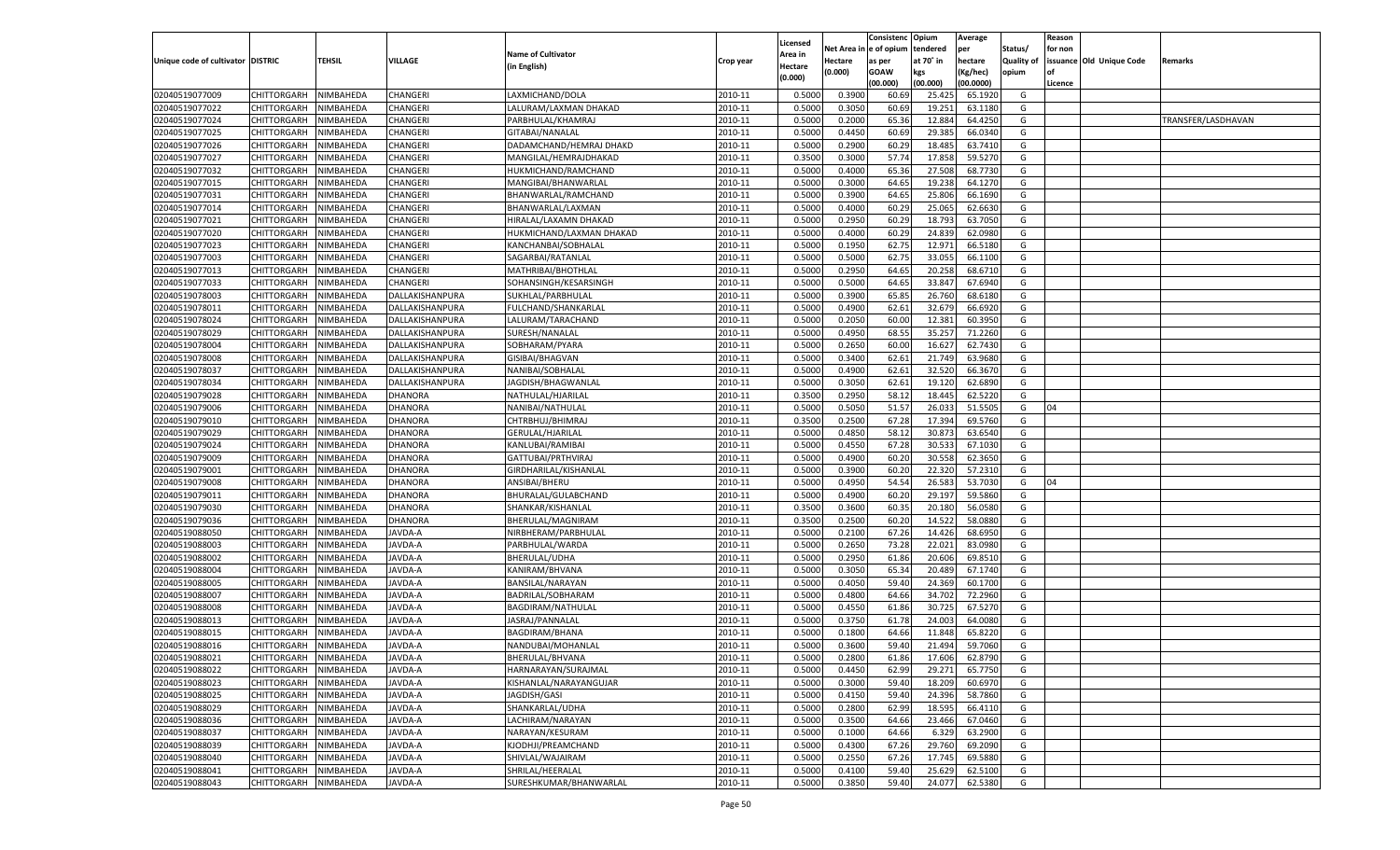|                                   |                       |                  |                 |                           |           |                           |          | Consistenc  | Opium     | Average   |                   | Reason  |                          |                    |
|-----------------------------------|-----------------------|------------------|-----------------|---------------------------|-----------|---------------------------|----------|-------------|-----------|-----------|-------------------|---------|--------------------------|--------------------|
|                                   |                       |                  |                 | <b>Name of Cultivator</b> |           | Licensed                  | Net Area | e of opium  | tendered  | per       | Status/           | for non |                          |                    |
| Unique code of cultivator DISTRIC |                       | <b>TEHSIL</b>    | VILLAGE         | (in English)              | Crop year | <b>Area in</b><br>Hectare | Hectare  | as per      | at 70° in | hectare   | <b>Quality of</b> |         | issuance Old Unique Code | Remarks            |
|                                   |                       |                  |                 |                           |           | (0.000)                   | (0.000)  | <b>GOAW</b> | kgs       | (Kg/hec)  | opium             |         |                          |                    |
|                                   |                       |                  |                 |                           |           |                           |          | (00.000)    | (00.000)  | (00.0000) |                   | Licence |                          |                    |
| 02040519077009                    | CHITTORGARH           | NIMBAHEDA        | CHANGERI        | LAXMICHAND/DOLA           | 2010-11   | 0.5000                    | 0.3900   | 60.69       | 25.425    | 65.1920   | G                 |         |                          |                    |
| 02040519077022                    | CHITTORGARH           | NIMBAHEDA        | CHANGERI        | LALURAM/LAXMAN DHAKAD     | 2010-11   | 0.5000                    | 0.3050   | 60.69       | 19.251    | 63.1180   | G                 |         |                          |                    |
| 02040519077024                    | CHITTORGARH           | NIMBAHEDA        | CHANGERI        | PARBHULAL/KHAMRAJ         | 2010-11   | 0.5000                    | 0.2000   | 65.36       | 12.884    | 64.4250   | G                 |         |                          | TRANSFER/LASDHAVAN |
| 02040519077025                    | CHITTORGARH           | NIMBAHEDA        | CHANGERI        | GITABAI/NANALAL           | 2010-11   | 0.5000                    | 0.4450   | 60.69       | 29.385    | 66.0340   | G                 |         |                          |                    |
| 02040519077026                    | CHITTORGARH           | NIMBAHEDA        | CHANGERI        | DADAMCHAND/HEMRAJ DHAKD   | 2010-11   | 0.5000                    | 0.2900   | 60.29       | 18.485    | 63.7410   | G                 |         |                          |                    |
| 02040519077027                    | CHITTORGARH           | NIMBAHEDA        | CHANGERI        | MANGILAL/HEMRAJDHAKAD     | 2010-11   | 0.3500                    | 0.3000   | 57.74       | 17.85     | 59.5270   | G                 |         |                          |                    |
| 02040519077032                    | CHITTORGARH           | NIMBAHEDA        | CHANGERI        | HUKMICHAND/RAMCHAND       | 2010-11   | 0.5000                    | 0.4000   | 65.36       | 27.508    | 68.7730   | G                 |         |                          |                    |
| 02040519077015                    | CHITTORGARH           | NIMBAHEDA        | CHANGERI        | MANGIBAI/BHANWARLAL       | 2010-11   | 0.5000                    | 0.3000   | 64.65       | 19.23     | 64.1270   | G                 |         |                          |                    |
| 02040519077031                    | CHITTORGARH           | NIMBAHEDA        | CHANGERI        | BHANWARLAL/RAMCHAND       | 2010-11   | 0.5000                    | 0.3900   | 64.65       | 25.806    | 66.1690   | G                 |         |                          |                    |
| 02040519077014                    | CHITTORGARH           | NIMBAHEDA        | CHANGERI        | BHANWARLAL/LAXMAN         | 2010-11   | 0.5000                    | 0.4000   | 60.29       | 25.065    | 62.6630   | G                 |         |                          |                    |
| 02040519077021                    | CHITTORGARH           | NIMBAHEDA        | CHANGERI        | HIRALAL/LAXAMN DHAKAD     | 2010-11   | 0.5000                    | 0.2950   | 60.29       | 18.79     | 63.7050   | G                 |         |                          |                    |
| 02040519077020                    | CHITTORGARH           | NIMBAHEDA        | CHANGERI        | HUKMICHAND/LAXMAN DHAKAD  | 2010-11   | 0.5000                    | 0.4000   | 60.29       | 24.839    | 62.0980   | G                 |         |                          |                    |
| 02040519077023                    | CHITTORGARH           | NIMBAHEDA        | CHANGERI        | KANCHANBAI/SOBHALAL       | 2010-11   | 0.5000                    | 0.1950   | 62.7        | 12.971    | 66.5180   | G                 |         |                          |                    |
| 02040519077003                    | CHITTORGARH           | NIMBAHEDA        | CHANGERI        | SAGARBAI/RATANLAI         | 2010-11   | 0.5000                    | 0.5000   | 62.75       | 33.055    | 66.1100   | G                 |         |                          |                    |
| 02040519077013                    | CHITTORGARH           | NIMBAHEDA        | CHANGERI        | MATHRIBAI/BHOTHLAI        | 2010-11   | 0.5000                    | 0.2950   | 64.65       | 20.258    | 68.6710   | G                 |         |                          |                    |
| 02040519077033                    | CHITTORGARH           | NIMBAHEDA        | CHANGERI        | SOHANSINGH/KESARSINGH     | 2010-11   | 0.5000                    | 0.5000   | 64.65       | 33.847    | 67.6940   | G                 |         |                          |                    |
| 02040519078003                    | CHITTORGARH           | NIMBAHEDA        | DALLAKISHANPURA | SUKHLAL/PARBHULAL         | 2010-11   | 0.5000                    | 0.3900   | 65.85       | 26.760    | 68.6180   | G                 |         |                          |                    |
| 02040519078011                    | CHITTORGARH           | NIMBAHEDA        | DALLAKISHANPURA | FULCHAND/SHANKARLAI       | 2010-11   | 0.5000                    | 0.4900   | 62.61       | 32.679    | 66.6920   | G                 |         |                          |                    |
| 02040519078024                    | CHITTORGARH           | NIMBAHEDA        | DALLAKISHANPURA | LALURAM/TARACHAND         | 2010-11   | 0.5000                    | 0.2050   | 60.00       | 12.381    | 60.3950   | G                 |         |                          |                    |
| 02040519078029                    | CHITTORGARH           | NIMBAHEDA        | DALLAKISHANPURA | SURESH/NANALAL            | 2010-11   | 0.5000                    | 0.4950   | 68.55       | 35.257    | 71.2260   | G                 |         |                          |                    |
| 02040519078004                    | CHITTORGARH           | NIMBAHEDA        | DALLAKISHANPURA | SOBHARAM/PYARA            | 2010-11   | 0.5000                    | 0.2650   | 60.00       | 16.627    | 62.7430   | G                 |         |                          |                    |
| 02040519078008                    | CHITTORGARH           | NIMBAHEDA        | DALLAKISHANPURA | GISIBAI/BHAGVAN           | 2010-11   | 0.5000                    | 0.3400   | 62.61       | 21.749    | 63.9680   | G                 |         |                          |                    |
| 02040519078037                    | CHITTORGARH           | NIMBAHEDA        | DALLAKISHANPURA | NANIBAI/SOBHALAI          | 2010-11   | 0.5000                    | 0.4900   | 62.61       | 32.520    | 66.3670   | G                 |         |                          |                    |
| 02040519078034                    | CHITTORGARH           | NIMBAHEDA        | DALLAKISHANPURA | JAGDISH/BHAGWANLAL        | 2010-11   | 0.5000                    | 0.3050   | 62.61       | 19.120    | 62.6890   | G                 |         |                          |                    |
| 02040519079028                    | CHITTORGARH           | NIMBAHEDA        | DHANORA         | NATHULAL/HJARILAI         | 2010-11   | 0.3500                    | 0.2950   | 58.12       | 18.445    | 62.5220   | G                 |         |                          |                    |
| 02040519079006                    | CHITTORGARH           | NIMBAHEDA        | DHANORA         | NANIBAI/NATHULAL          | 2010-11   | 0.5000                    | 0.5050   | 51.57       | 26.033    | 51.5505   | G                 | 04      |                          |                    |
| 02040519079010                    | CHITTORGARH           | NIMBAHEDA        | DHANORA         | CHTRBHUJ/BHIMRAJ          | 2010-11   | 0.3500                    | 0.2500   | 67.28       | 17.394    | 69.5760   | G                 |         |                          |                    |
| 02040519079029                    | CHITTORGARH           | NIMBAHEDA        | DHANORA         | GERULAL/HJARILAL          | 2010-11   | 0.5000                    | 0.4850   | 58.12       | 30.873    | 63.6540   | G                 |         |                          |                    |
| 02040519079024                    | CHITTORGARH           | NIMBAHEDA        | DHANORA         | KANLUBAI/RAMIBAI          | 2010-11   | 0.5000                    | 0.4550   | 67.28       | 30.533    | 67.1030   | G                 |         |                          |                    |
| 02040519079009                    | CHITTORGARH           | NIMBAHEDA        | DHANORA         | GATTUBAI/PRTHVIRAJ        | 2010-11   | 0.5000                    | 0.4900   | 60.20       | 30.558    | 62.3650   | G                 |         |                          |                    |
| 02040519079001                    | CHITTORGARH           | NIMBAHEDA        | DHANORA         | GIRDHARILAL/KISHANLAL     | 2010-11   | 0.5000                    | 0.3900   | 60.20       | 22.32     | 57.2310   | G                 |         |                          |                    |
| 02040519079008                    | CHITTORGARH           | NIMBAHEDA        | DHANORA         | ANSIBAI/BHERU             | 2010-11   | 0.5000                    | 0.4950   | 54.54       | 26.583    | 53.7030   | G                 | 04      |                          |                    |
| 02040519079011                    | CHITTORGARH           | NIMBAHEDA        | DHANORA         | BHURALAL/GULABCHAND       | 2010-11   | 0.5000                    | 0.4900   | 60.20       | 29.197    | 59.5860   | G                 |         |                          |                    |
| 02040519079030                    | CHITTORGARH           | NIMBAHEDA        | DHANORA         | SHANKAR/KISHANLAL         | 2010-11   | 0.3500                    | 0.3600   | 60.3        | 20.180    | 56.0580   | G                 |         |                          |                    |
| 02040519079036                    | CHITTORGARH           | NIMBAHEDA        | DHANORA         | BHERULAL/MAGNIRAM         | 2010-11   | 0.3500                    | 0.2500   | 60.20       | 14.522    | 58.0880   | G                 |         |                          |                    |
| 02040519088050                    | CHITTORGARH           | NIMBAHEDA        | <b>JAVDA-A</b>  | NIRBHERAM/PARBHULAL       | 2010-11   | 0.5000                    | 0.2100   | 67.26       | 14.426    | 68.6950   | G                 |         |                          |                    |
| 02040519088003                    | CHITTORGARH           | NIMBAHEDA        | <b>JAVDA-A</b>  | PARBHULAL/WARDA           | 2010-11   | 0.5000                    | 0.2650   | 73.28       | 22.021    | 83.0980   | G                 |         |                          |                    |
| 02040519088002                    | CHITTORGARH           | NIMBAHEDA        | AVDA-A          | BHERULAL/UDHA             | 2010-11   | 0.5000                    | 0.2950   | 61.86       | 20.606    | 69.8510   | G                 |         |                          |                    |
| 02040519088004                    | CHITTORGARH           | NIMBAHEDA        | <b>JAVDA-A</b>  | KANIRAM/BHVANA            | 2010-11   | 0.5000                    | 0.3050   | 65.34       | 20.48     | 67.1740   | G                 |         |                          |                    |
| 02040519088005                    | CHITTORGARH           | NIMBAHEDA        | <b>JAVDA-A</b>  | <b>BANSILAL/NARAYAN</b>   | 2010-11   | 0.5000                    | 0.4050   | 59.40       | 24.36     | 60.1700   | G                 |         |                          |                    |
| 02040519088007                    | CHITTORGARH           | NIMBAHEDA        | <b>JAVDA-A</b>  | BADRILAL/SOBHARAM         | 2010-11   | 0.5000                    | 0.4800   | 64.66       | 34.702    | 72.2960   | G                 |         |                          |                    |
| 02040519088008                    | CHITTORGARH           | NIMBAHEDA        | AVDA-A          | <b>BAGDIRAM/NATHULAL</b>  | 2010-11   | 0.5000                    | 0.4550   | 61.86       | 30.725    | 67.5270   | G                 |         |                          |                    |
| 02040519088013                    | CHITTORGARH           | NIMBAHEDA        | <b>JAVDA-A</b>  | JASRAJ/PANNALAL           | 2010-11   | 0.5000                    | 0.3750   | 61.78       | 24.003    | 64.0080   | G                 |         |                          |                    |
| 02040519088015                    | CHITTORGARH           | NIMBAHEDA        | AVDA-A          | <b>BAGDIRAM/BHANA</b>     | 2010-11   | 0.5000                    | 0.1800   | 64.6        | 11.84     | 65.8220   | G                 |         |                          |                    |
| 02040519088016                    | CHITTORGARH           | NIMBAHEDA        | <b>JAVDA-A</b>  | NANDUBAI/MOHANLAI         | 2010-11   | 0.5000                    | 0.3600   | 59.40       | 21.494    | 59.7060   | G                 |         |                          |                    |
| 02040519088021                    | CHITTORGARH NIMBAHEDA |                  | JAVDA-A         | BHERULAL/BHVANA           | 2010-11   | 0.5000                    | 0.2800   | 61.86       | 17.606    | 62.8790   | G                 |         |                          |                    |
| 02040519088022                    |                       | <b>NIMBAHEDA</b> | JAVDA-A         | HARNARAYAN/SURAJMAL       | 2010-11   | 0.5000                    | 0.4450   | 62.99       | 29.271    | 65.7750   | G                 |         |                          |                    |
|                                   | <b>CHITTORGARH</b>    |                  |                 |                           |           |                           |          |             | 18.209    |           |                   |         |                          |                    |
| 02040519088023                    | <b>CHITTORGARH</b>    | NIMBAHEDA        | JAVDA-A         | KISHANLAL/NARAYANGUJAR    | 2010-11   | 0.5000                    | 0.3000   | 59.40       |           | 60.6970   | G                 |         |                          |                    |
| 02040519088025                    | <b>CHITTORGARH</b>    | NIMBAHEDA        | JAVDA-A         | JAGDISH/GASI              | 2010-11   | 0.5000                    | 0.4150   | 59.40       | 24.396    | 58.7860   | G                 |         |                          |                    |
| 02040519088029                    | <b>CHITTORGARH</b>    | NIMBAHEDA        | JAVDA-A         | SHANKARLAL/UDHA           | 2010-11   | 0.5000                    | 0.2800   | 62.99       | 18.595    | 66.4110   | G                 |         |                          |                    |
| 02040519088036                    | <b>CHITTORGARH</b>    | NIMBAHEDA        | JAVDA-A         | LACHIRAM/NARAYAN          | 2010-11   | 0.5000                    | 0.3500   | 64.66       | 23.466    | 67.0460   | G                 |         |                          |                    |
| 02040519088037                    | <b>CHITTORGARH</b>    | NIMBAHEDA        | JAVDA-A         | NARAYAN/KESURAM           | 2010-11   | 0.5000                    | 0.1000   | 64.66       | 6.329     | 63.2900   | G                 |         |                          |                    |
| 02040519088039                    | <b>CHITTORGARH</b>    | NIMBAHEDA        | JAVDA-A         | KJODHJI/PREAMCHAND        | 2010-11   | 0.5000                    | 0.4300   | 67.26       | 29.760    | 69.2090   | G                 |         |                          |                    |
| 02040519088040                    | <b>CHITTORGARH</b>    | NIMBAHEDA        | JAVDA-A         | SHIVLAL/WAJAIRAM          | 2010-11   | 0.5000                    | 0.2550   | 67.26       | 17.745    | 69.5880   | G                 |         |                          |                    |
| 02040519088041                    | <b>CHITTORGARH</b>    | NIMBAHEDA        | JAVDA-A         | SHRILAL/HEERALAL          | 2010-11   | 0.5000                    | 0.4100   | 59.40       | 25.629    | 62.5100   | G                 |         |                          |                    |
| 02040519088043                    | <b>CHITTORGARH</b>    | NIMBAHEDA        | JAVDA-A         | SURESHKUMAR/BHANWARLAL    | 2010-11   | 0.5000                    | 0.3850   | 59.40       | 24.077    | 62.5380   | G                 |         |                          |                    |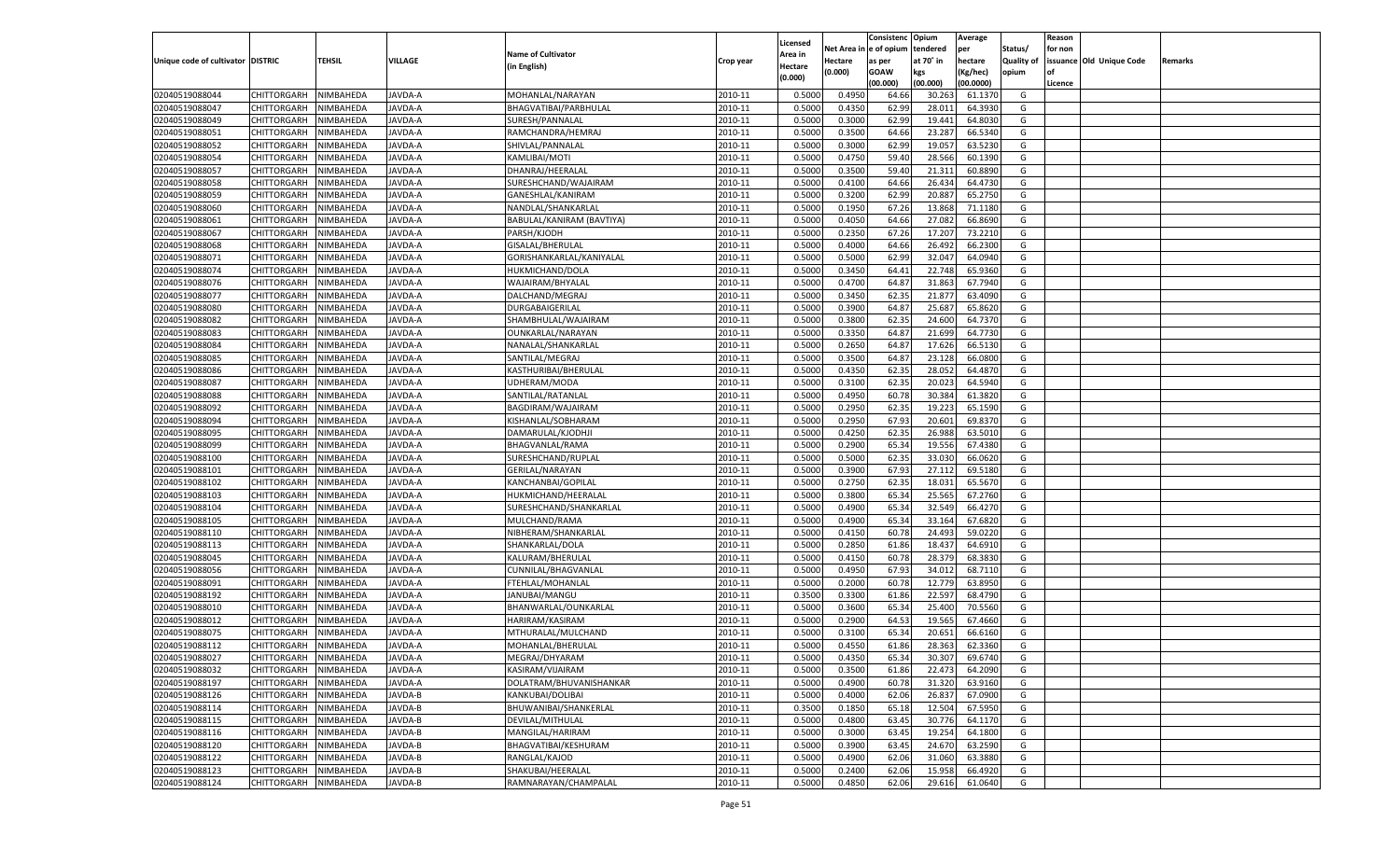|                                   |                       |                  |                |                           |           |                           |          | Consistenc  | Opium     | Average   |                   | Reason  |                          |         |
|-----------------------------------|-----------------------|------------------|----------------|---------------------------|-----------|---------------------------|----------|-------------|-----------|-----------|-------------------|---------|--------------------------|---------|
|                                   |                       |                  |                | <b>Name of Cultivator</b> |           | Licensed                  | Net Area | e of opium  | tendered  | per       | Status/           | for non |                          |         |
| Unique code of cultivator DISTRIC |                       | <b>TEHSIL</b>    | VILLAGE        | (in English)              | Crop year | <b>Area in</b><br>Hectare | Hectare  | as per      | at 70° in | hectare   | <b>Quality of</b> |         | issuance Old Unique Code | Remarks |
|                                   |                       |                  |                |                           |           | (0.000)                   | (0.000)  | <b>GOAW</b> | kgs       | (Kg/hec)  | opium             |         |                          |         |
|                                   |                       |                  |                |                           |           |                           |          | (00.000)    | (00.000)  | (00.0000) |                   | Licence |                          |         |
| 02040519088044                    | CHITTORGARH           | NIMBAHEDA        | JAVDA-A        | MOHANLAL/NARAYAN          | 2010-11   | 0.5000                    | 0.4950   | 64.66       | 30.263    | 61.1370   | G                 |         |                          |         |
| 02040519088047                    | CHITTORGARH           | NIMBAHEDA        | <b>JAVDA-A</b> | BHAGVATIBAI/PARBHULAL     | 2010-11   | 0.5000                    | 0.4350   | 62.99       | 28.01     | 64.3930   | G                 |         |                          |         |
| 02040519088049                    | CHITTORGARH           | NIMBAHEDA        | JAVDA-A        | SURESH/PANNALAL           | 2010-11   | 0.5000                    | 0.3000   | 62.99       | 19.441    | 64.8030   | G                 |         |                          |         |
| 02040519088051                    | CHITTORGARH           | NIMBAHEDA        | <b>JAVDA-A</b> | RAMCHANDRA/HEMRAJ         | 2010-11   | 0.5000                    | 0.3500   | 64.66       | 23.287    | 66.5340   | G                 |         |                          |         |
| 02040519088052                    | CHITTORGARH           | NIMBAHEDA        | JAVDA-A        | SHIVLAL/PANNALAL          | 2010-11   | 0.5000                    | 0.3000   | 62.99       | 19.057    | 63.5230   | G                 |         |                          |         |
| 02040519088054                    | CHITTORGARH           | NIMBAHEDA        | <b>JAVDA-A</b> | KAMLIBAI/MOTI             | 2010-11   | 0.5000                    | 0.4750   | 59.40       | 28.566    | 60.1390   | G                 |         |                          |         |
| 02040519088057                    | CHITTORGARH           | NIMBAHEDA        | <b>JAVDA-A</b> | DHANRAJ/HEERALAL          | 2010-11   | 0.5000                    | 0.3500   | 59.40       | 21.31     | 60.8890   | G                 |         |                          |         |
| 02040519088058                    | CHITTORGARH           | NIMBAHEDA        | <b>JAVDA-A</b> | SURESHCHAND/WAJAIRAM      | 2010-11   | 0.5000                    | 0.4100   | 64.66       | 26.434    | 64.4730   | G                 |         |                          |         |
| 02040519088059                    | CHITTORGARH           | NIMBAHEDA        | JAVDA-A        | GANESHLAL/KANIRAM         | 2010-11   | 0.5000                    | 0.3200   | 62.99       | 20.887    | 65.2750   | G                 |         |                          |         |
| 02040519088060                    | CHITTORGARH           | NIMBAHEDA        | <b>JAVDA-A</b> | NANDLAL/SHANKARLAI        | 2010-11   | 0.5000                    | 0.1950   | 67.26       | 13.868    | 71.1180   | G                 |         |                          |         |
| 02040519088061                    | CHITTORGARH           | NIMBAHEDA        | <b>JAVDA-A</b> | BABULAL/KANIRAM (BAVTIYA) | 2010-11   | 0.5000                    | 0.4050   | 64.66       | 27.08     | 66.8690   | G                 |         |                          |         |
| 02040519088067                    | CHITTORGARH           | NIMBAHEDA        | <b>JAVDA-A</b> | PARSH/KJODH               | 2010-11   | 0.5000                    | 0.2350   | 67.26       | 17.20     | 73.2210   | G                 |         |                          |         |
| 02040519088068                    | CHITTORGARH           | NIMBAHEDA        | JAVDA-A        | GISALAL/BHERULAL          | 2010-11   | 0.5000                    | 0.4000   | 64.66       | 26.492    | 66.2300   | G                 |         |                          |         |
| 02040519088071                    | CHITTORGARH           | NIMBAHEDA        | AVDA-A         | GORISHANKARLAL/KANIYALAL  | 2010-11   | 0.5000                    | 0.5000   | 62.99       | 32.047    | 64.0940   | G                 |         |                          |         |
| 02040519088074                    | CHITTORGARH           | NIMBAHEDA        | AVDA-A         | HUKMICHAND/DOLA           | 2010-11   | 0.5000                    | 0.3450   | 64.41       | 22.748    | 65.9360   | G                 |         |                          |         |
| 02040519088076                    | CHITTORGARH           | NIMBAHEDA        | AVDA-A         | WAJAIRAM/BHYALAL          | 2010-11   | 0.5000                    | 0.4700   | 64.87       | 31.863    | 67.7940   | G                 |         |                          |         |
| 02040519088077                    | CHITTORGARH           | NIMBAHEDA        | AVDA-A         | DALCHAND/MEGRAJ           | 2010-11   | 0.5000                    | 0.3450   | 62.35       | 21.877    | 63.4090   | G                 |         |                          |         |
| 02040519088080                    | CHITTORGARH           | NIMBAHEDA        | AVDA-A         | DURGABAIGERILAL           | 2010-11   | 0.5000                    | 0.3900   | 64.87       | 25.687    | 65.8620   | G                 |         |                          |         |
| 02040519088082                    | CHITTORGARH           | NIMBAHEDA        | AVDA-A         | SHAMBHULAL/WAJAIRAM       | 2010-11   | 0.5000                    | 0.3800   | 62.35       | 24.600    | 64.7370   | G                 |         |                          |         |
| 02040519088083                    | CHITTORGARH           | NIMBAHEDA        | AVDA-A         | OUNKARLAL/NARAYAN         | 2010-11   | 0.5000                    | 0.3350   | 64.87       | 21.699    | 64.7730   | G                 |         |                          |         |
| 02040519088084                    | CHITTORGARH           | NIMBAHEDA        | AVDA-A         | NANALAL/SHANKARLAL        | 2010-11   | 0.5000                    | 0.2650   | 64.87       | 17.626    | 66.5130   | G                 |         |                          |         |
| 02040519088085                    | CHITTORGARH           | NIMBAHEDA        | AVDA-A         | SANTILAL/MEGRAJ           | 2010-11   | 0.5000                    | 0.3500   | 64.87       | 23.128    | 66.0800   | G                 |         |                          |         |
| 02040519088086                    | CHITTORGARH           | NIMBAHEDA        | AVDA-A         | KASTHURIBAI/BHERULAL      | 2010-11   | 0.5000                    | 0.4350   | 62.35       | 28.052    | 64.4870   | G                 |         |                          |         |
| 02040519088087                    | CHITTORGARH           | NIMBAHEDA        | AVDA-A         | UDHERAM/MODA              | 2010-11   | 0.5000                    | 0.3100   | 62.35       | 20.023    | 64.5940   | G                 |         |                          |         |
| 02040519088088                    | CHITTORGARH           | NIMBAHEDA        | AVDA-A         | SANTILAL/RATANLAI         | 2010-11   | 0.5000                    | 0.4950   | 60.78       | 30.384    | 61.3820   | G                 |         |                          |         |
| 02040519088092                    | CHITTORGARH           | NIMBAHEDA        | AVDA-A         | BAGDIRAM/WAJAIRAM         | 2010-11   | 0.5000                    | 0.2950   | 62.3        | 19.223    | 65.1590   | G                 |         |                          |         |
| 02040519088094                    | CHITTORGARH           | NIMBAHEDA        | AVDA-A         | KISHANLAL/SOBHARAM        | 2010-11   | 0.5000                    | 0.2950   | 67.93       | 20.601    | 69.8370   | G                 |         |                          |         |
| 02040519088095                    | CHITTORGARH           | NIMBAHEDA        | AVDA-A         | DAMARULAL/KJODHJI         | 2010-11   | 0.5000                    | 0.4250   | 62.35       | 26.988    | 63.5010   | G                 |         |                          |         |
| 02040519088099                    | CHITTORGARH           | NIMBAHEDA        | AVDA-A         | BHAGVANLAL/RAMA           | 2010-11   | 0.5000                    | 0.2900   | 65.34       | 19.556    | 67.4380   | G                 |         |                          |         |
| 02040519088100                    | CHITTORGARH           | NIMBAHEDA        | AVDA-A         | SURESHCHAND/RUPLAL        | 2010-11   | 0.5000                    | 0.5000   | 62.35       | 33.030    | 66.0620   | G                 |         |                          |         |
| 02040519088101                    | CHITTORGARH           | NIMBAHEDA        | <b>JAVDA-A</b> | GERILAL/NARAYAN           | 2010-11   | 0.5000                    | 0.3900   | 67.93       | 27.112    | 69.5180   | G                 |         |                          |         |
| 02040519088102                    | CHITTORGARH           | NIMBAHEDA        | <b>JAVDA-A</b> | KANCHANBAI/GOPILAL        | 2010-11   | 0.5000                    | 0.2750   | 62.35       | 18.031    | 65.5670   | G                 |         |                          |         |
| 02040519088103                    | CHITTORGARH           | NIMBAHEDA        | <b>JAVDA-A</b> | HUKMICHAND/HEERALAI       | 2010-11   | 0.5000                    | 0.3800   | 65.34       | 25.565    | 67.2760   | G                 |         |                          |         |
| 02040519088104                    | CHITTORGARH           | NIMBAHEDA        | AVDA-A         | SURESHCHAND/SHANKARLAL    | 2010-11   | 0.5000                    | 0.4900   | 65.34       | 32.549    | 66.4270   | G                 |         |                          |         |
| 02040519088105                    |                       |                  | <b>JAVDA-A</b> |                           | 2010-11   | 0.5000                    | 0.4900   | 65.34       | 33.164    | 67.6820   | G                 |         |                          |         |
| 02040519088110                    | CHITTORGARH           | NIMBAHEDA        |                | MULCHAND/RAMA             | 2010-11   | 0.5000                    |          | 60.78       | 24.493    | 59.0220   | G                 |         |                          |         |
|                                   | CHITTORGARH           | NIMBAHEDA        | <b>JAVDA-A</b> | NIBHERAM/SHANKARLAL       | 2010-11   |                           | 0.4150   |             |           | 64.6910   |                   |         |                          |         |
| 02040519088113                    | CHITTORGARH           | NIMBAHEDA        | <b>JAVDA-A</b> | SHANKARLAL/DOLA           |           | 0.5000                    | 0.2850   | 61.86       | 18.43     | 68.3830   | G                 |         |                          |         |
| 02040519088045                    | CHITTORGARH           | NIMBAHEDA        | AVDA-A         | KALURAM/BHERULAI          | 2010-11   | 0.5000                    | 0.4150   | 60.78       | 28.379    |           | G                 |         |                          |         |
| 02040519088056                    | CHITTORGARH           | NIMBAHEDA        | <b>JAVDA-A</b> | CUNNILAL/BHAGVANLAL       | 2010-11   | 0.5000                    | 0.4950   | 67.93       | 34.012    | 68.7110   | G                 |         |                          |         |
| 02040519088091                    | CHITTORGARH           | NIMBAHEDA        | <b>JAVDA-A</b> | FTEHLAL/MOHANLAL          | 2010-11   | 0.5000                    | 0.2000   | 60.78       | 12.779    | 63.8950   | G                 |         |                          |         |
| 02040519088192                    | CHITTORGARH           | NIMBAHEDA        | <b>JAVDA-A</b> | JANUBAI/MANGU             | 2010-11   | 0.3500                    | 0.3300   | 61.86       | 22.597    | 68.4790   | G                 |         |                          |         |
| 02040519088010                    | CHITTORGARH           | NIMBAHEDA        | AVDA-A         | BHANWARLAL/OUNKARLAL      | 2010-11   | 0.5000                    | 0.3600   | 65.34       | 25.400    | 70.5560   | G                 |         |                          |         |
| 02040519088012                    | CHITTORGARH           | NIMBAHEDA        | <b>JAVDA-A</b> | HARIRAM/KASIRAM           | 2010-11   | 0.5000                    | 0.2900   | 64.53       | 19.565    | 67.4660   | G                 |         |                          |         |
| 02040519088075                    | CHITTORGARH           | NIMBAHEDA        | AVDA-A         | MTHURALAL/MULCHAND        | 2010-11   | 0.5000                    | 0.3100   | 65.34       | 20.65     | 66.6160   | G                 |         |                          |         |
| 02040519088112                    | CHITTORGARH           | NIMBAHEDA        | <b>JAVDA-A</b> | MOHANLAL/BHERULAI         | 2010-11   | 0.5000                    | 0.4550   | 61.86       | 28.363    | 62.3360   | G                 |         |                          |         |
| 02040519088027                    | CHITTORGARH NIMBAHEDA |                  | JAVDA-A        | MEGRAJ/DHYARAM            | 2010-11   | 0.5000                    | 0.4350   | 65.34       | 30.307    | 69.6740   | G                 |         |                          |         |
| 02040519088032                    | <b>CHITTORGARH</b>    | <b>NIMBAHEDA</b> | JAVDA-A        | KASIRAM/VIJAIRAM          | 2010-11   | 0.5000                    | 0.3500   | 61.86       | 22.473    | 64.2090   | G                 |         |                          |         |
| 02040519088197                    | <b>CHITTORGARH</b>    | NIMBAHEDA        | JAVDA-A        | DOLATRAM/BHUVANISHANKAR   | 2010-11   | 0.5000                    | 0.4900   | 60.78       | 31.320    | 63.9160   | G                 |         |                          |         |
| 02040519088126                    | <b>CHITTORGARH</b>    | NIMBAHEDA        | JAVDA-B        | KANKUBAI/DOLIBAI          | 2010-11   | 0.5000                    | 0.4000   | 62.06       | 26.837    | 67.0900   | G                 |         |                          |         |
| 02040519088114                    | <b>CHITTORGARH</b>    | NIMBAHEDA        | JAVDA-B        | BHUWANIBAI/SHANKERLAL     | 2010-11   | 0.3500                    | 0.1850   | 65.18       | 12.504    | 67.5950   | G                 |         |                          |         |
| 02040519088115                    | <b>CHITTORGARH</b>    | NIMBAHEDA        | JAVDA-B        | DEVILAL/MITHULAL          | 2010-11   | 0.5000                    | 0.4800   | 63.45       | 30.776    | 64.1170   | G                 |         |                          |         |
| 02040519088116                    | <b>CHITTORGARH</b>    | NIMBAHEDA        | JAVDA-B        | MANGILAL/HARIRAM          | 2010-11   | 0.5000                    | 0.3000   | 63.4        | 19.254    | 64.1800   | G                 |         |                          |         |
| 02040519088120                    | <b>CHITTORGARH</b>    | NIMBAHEDA        | JAVDA-B        | BHAGVATIBAI/KESHURAM      | 2010-11   | 0.5000                    | 0.3900   | 63.45       | 24.670    | 63.2590   | G                 |         |                          |         |
| 02040519088122                    | <b>CHITTORGARH</b>    | NIMBAHEDA        | JAVDA-B        | RANGLAL/KAJOD             | 2010-11   | 0.5000                    | 0.4900   | 62.06       | 31.060    | 63.3880   | G                 |         |                          |         |
| 02040519088123                    | <b>CHITTORGARH</b>    | NIMBAHEDA        | JAVDA-B        | SHAKUBAI/HEERALAL         | 2010-11   | 0.5000                    | 0.2400   | 62.06       | 15.958    | 66.4920   | G                 |         |                          |         |
| 02040519088124                    | <b>CHITTORGARH</b>    | NIMBAHEDA        | JAVDA-B        | RAMNARAYAN/CHAMPALAL      | 2010-11   | 0.5000                    | 0.4850   | 62.06       | 29.616    | 61.0640   | G                 |         |                          |         |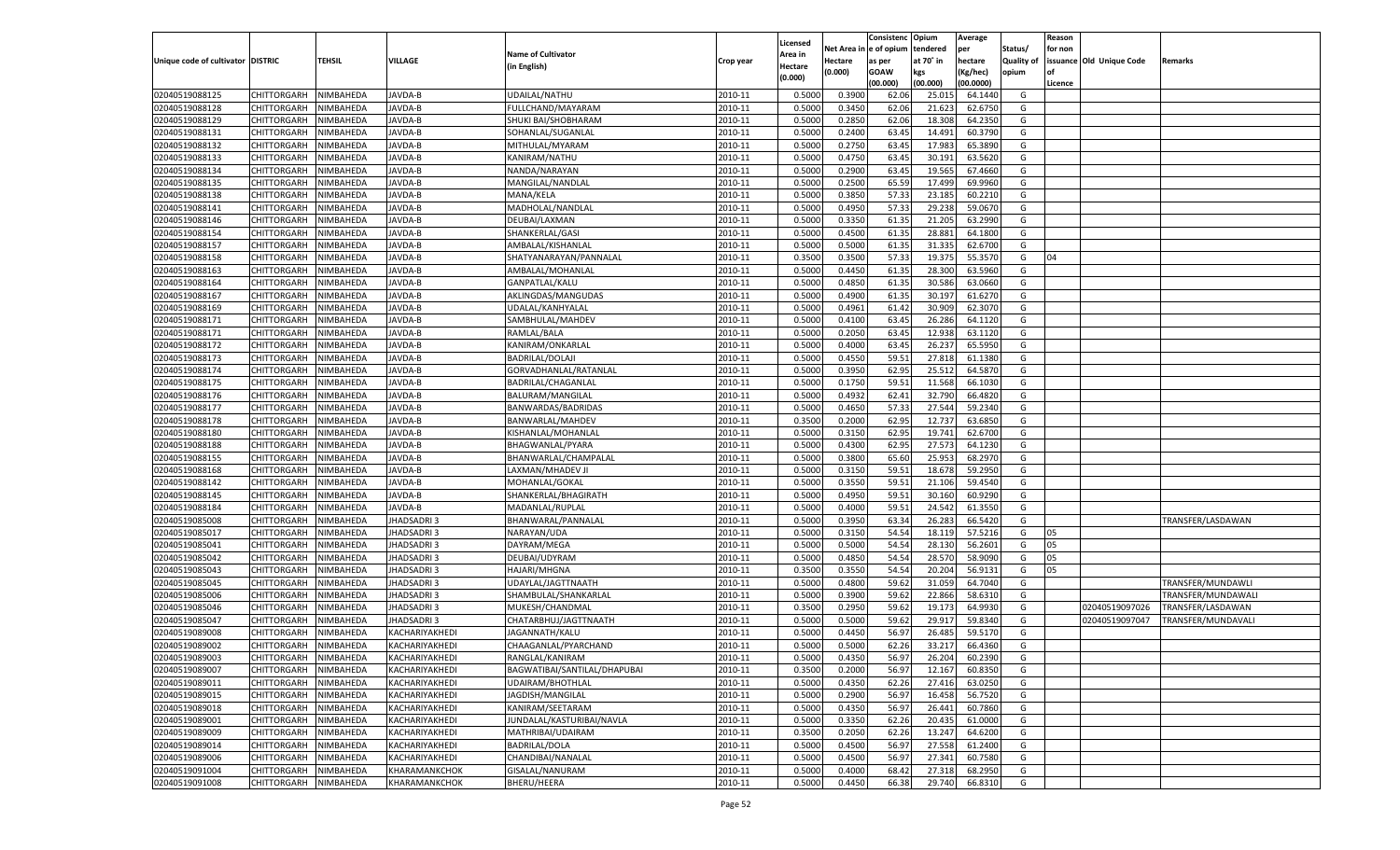|                                   |             |           |                   |                              |           |          |            | Consistenc Opium |           | Average   |                   | Reason  |                          |                    |
|-----------------------------------|-------------|-----------|-------------------|------------------------------|-----------|----------|------------|------------------|-----------|-----------|-------------------|---------|--------------------------|--------------------|
|                                   |             |           |                   |                              |           | Licensed | Net Area i | l e of opium     | tendered  | per       | Status/           | for non |                          |                    |
| Unique code of cultivator DISTRIC |             | TEHSIL    | VILLAGE           | <b>Name of Cultivator</b>    | Crop year | Area in  | Hectare    | as per           | at 70° in | hectare   | <b>Quality of</b> |         | issuance Old Unique Code | Remarks            |
|                                   |             |           |                   | (in English)                 |           | Hectare  | (0.000)    | <b>GOAW</b>      | kgs       | (Kg/hec)  | opium             | nf      |                          |                    |
|                                   |             |           |                   |                              |           | (0.000)  |            | (00.000)         | (00.000)  | (00.0000) |                   | Licence |                          |                    |
| 02040519088125                    | CHITTORGARH | NIMBAHEDA | JAVDA-B           | UDAILAL/NATHU                | 2010-11   | 0.5000   | 0.3900     | 62.06            | 25.01     | 64.1440   | G                 |         |                          |                    |
| 02040519088128                    | CHITTORGARH | NIMBAHEDA | JAVDA-B           | FULLCHAND/MAYARAM            | 2010-11   | 0.5000   | 0.3450     | 62.06            | 21.623    | 62.6750   | G                 |         |                          |                    |
| 02040519088129                    | CHITTORGARH | NIMBAHEDA | JAVDA-B           | SHUKI BAI/SHOBHARAM          | 2010-11   | 0.5000   | 0.2850     | 62.06            | 18.308    | 64.2350   | G                 |         |                          |                    |
| 02040519088131                    | CHITTORGARH | NIMBAHEDA | JAVDA-B           | SOHANLAL/SUGANLAL            | 2010-11   | 0.5000   | 0.2400     | 63.45            | 14.491    | 60.3790   | G                 |         |                          |                    |
| 02040519088132                    | CHITTORGARH | NIMBAHEDA | JAVDA-B           | MITHULAL/MYARAM              | 2010-11   | 0.5000   | 0.2750     | 63.45            | 17.983    | 65.3890   | G                 |         |                          |                    |
| 02040519088133                    | CHITTORGARH | NIMBAHEDA | JAVDA-B           | KANIRAM/NATHU                | 2010-11   | 0.5000   | 0.4750     | 63.4             | 30.191    | 63.5620   | G                 |         |                          |                    |
| 02040519088134                    | CHITTORGARH | NIMBAHEDA | JAVDA-B           | NANDA/NARAYAN                | 2010-11   | 0.5000   | 0.2900     | 63.45            | 19.565    | 67.4660   | G                 |         |                          |                    |
| 02040519088135                    | CHITTORGARH | NIMBAHEDA | JAVDA-B           | MANGILAL/NANDLAL             | 2010-11   | 0.5000   | 0.2500     | 65.59            | 17.499    | 69.9960   | G                 |         |                          |                    |
| 02040519088138                    |             | NIMBAHEDA | JAVDA-B           | <b>MANA/KELA</b>             | 2010-11   | 0.5000   | 0.3850     | 57.33            | 23.185    | 60.2210   | G                 |         |                          |                    |
| 02040519088141                    | CHITTORGARH |           |                   |                              |           |          |            |                  |           |           |                   |         |                          |                    |
|                                   | CHITTORGARH | NIMBAHEDA | JAVDA-B           | MADHOLAL/NANDLAL             | 2010-11   | 0.5000   | 0.4950     | 57.33            | 29.238    | 59.0670   | G                 |         |                          |                    |
| 02040519088146                    | CHITTORGARH | NIMBAHEDA | JAVDA-B           | DEUBAI/LAXMAN                | 2010-11   | 0.5000   | 0.3350     | 61.35            | 21.205    | 63.2990   | G                 |         |                          |                    |
| 02040519088154                    | CHITTORGARH | NIMBAHEDA | JAVDA-B           | SHANKERLAL/GASI              | 2010-11   | 0.5000   | 0.4500     | 61.35            | 28.881    | 64.1800   | G                 |         |                          |                    |
| 02040519088157                    | CHITTORGARH | NIMBAHEDA | JAVDA-B           | AMBALAL/KISHANLAL            | 2010-11   | 0.5000   | 0.5000     | 61.35            | 31.335    | 62.6700   | G                 |         |                          |                    |
| 02040519088158                    | CHITTORGARH | NIMBAHEDA | JAVDA-B           | SHATYANARAYAN/PANNALAL       | 2010-11   | 0.3500   | 0.3500     | 57.33            | 19.375    | 55.3570   | G                 | 04      |                          |                    |
| 02040519088163                    | CHITTORGARH | NIMBAHEDA | JAVDA-B           | AMBALAL/MOHANLAL             | 2010-11   | 0.5000   | 0.4450     | 61.35            | 28.300    | 63.5960   | G                 |         |                          |                    |
| 02040519088164                    | CHITTORGARH | NIMBAHEDA | JAVDA-B           | GANPATLAL/KALU               | 2010-11   | 0.5000   | 0.4850     | 61.35            | 30.586    | 63.0660   | G                 |         |                          |                    |
| 02040519088167                    | CHITTORGARH | NIMBAHEDA | JAVDA-B           | AKLINGDAS/MANGUDAS           | 2010-11   | 0.5000   | 0.4900     | 61.35            | 30.197    | 61.6270   | G                 |         |                          |                    |
| 02040519088169                    | CHITTORGARH | NIMBAHEDA | JAVDA-B           | UDALAL/KANHYALAL             | 2010-11   | 0.5000   | 0.4961     | 61.42            | 30.909    | 62.3070   | G                 |         |                          |                    |
| 02040519088171                    | CHITTORGARH | NIMBAHEDA | JAVDA-B           | SAMBHULAL/MAHDEV             | 2010-11   | 0.5000   | 0.4100     | 63.45            | 26.286    | 64.1120   | G                 |         |                          |                    |
| 02040519088171                    | CHITTORGARH | NIMBAHEDA | JAVDA-B           | RAMLAL/BALA                  | 2010-11   | 0.5000   | 0.2050     | 63.45            | 12.938    | 63.1120   | G                 |         |                          |                    |
| 02040519088172                    | CHITTORGARH | NIMBAHEDA | JAVDA-B           | KANIRAM/ONKARLAL             | 2010-11   | 0.5000   | 0.4000     | 63.45            | 26.237    | 65.5950   | G                 |         |                          |                    |
| 02040519088173                    | CHITTORGARH | NIMBAHEDA | JAVDA-B           | <b>BADRILAL/DOLAJI</b>       | 2010-11   | 0.5000   | 0.4550     | 59.51            | 27.818    | 61.1380   | G                 |         |                          |                    |
| 02040519088174                    | CHITTORGARH | NIMBAHEDA | JAVDA-B           | GORVADHANLAL/RATANLAL        | 2010-11   | 0.5000   | 0.3950     | 62.95            | 25.512    | 64.5870   | G                 |         |                          |                    |
| 02040519088175                    | CHITTORGARH | NIMBAHEDA | JAVDA-B           | BADRILAL/CHAGANLAL           | 2010-11   | 0.5000   | 0.1750     | 59.51            | 11.568    | 66.1030   | G                 |         |                          |                    |
| 02040519088176                    | CHITTORGARH | NIMBAHEDA | JAVDA-B           | BALURAM/MANGILAL             | 2010-11   | 0.5000   | 0.4932     | 62.41            | 32.790    | 66.4820   | G                 |         |                          |                    |
| 02040519088177                    | CHITTORGARH | NIMBAHEDA | JAVDA-B           | BANWARDAS/BADRIDAS           | 2010-11   | 0.5000   | 0.4650     | 57.33            | 27.544    | 59.2340   | G                 |         |                          |                    |
| 02040519088178                    | CHITTORGARH | NIMBAHEDA | JAVDA-B           | BANWARLAL/MAHDEV             | 2010-11   | 0.3500   | 0.2000     | 62.95            | 12.737    | 63.6850   | G                 |         |                          |                    |
| 02040519088180                    | CHITTORGARH | NIMBAHEDA | JAVDA-B           | KISHANLAL/MOHANLAL           | 2010-11   | 0.5000   | 0.3150     | 62.95            | 19.741    | 62.6700   | G                 |         |                          |                    |
| 02040519088188                    | CHITTORGARH | NIMBAHEDA | JAVDA-B           | BHAGWANLAL/PYARA             | 2010-11   | 0.5000   | 0.4300     | 62.95            | 27.573    | 64.1230   | G                 |         |                          |                    |
| 02040519088155                    | CHITTORGARH | NIMBAHEDA | JAVDA-B           |                              | 2010-11   | 0.5000   | 0.3800     | 65.60            | 25.953    | 68.2970   | G                 |         |                          |                    |
|                                   | CHITTORGARH |           | JAVDA-B           | BHANWARLAL/CHAMPALAL         | 2010-11   |          |            |                  |           |           | G                 |         |                          |                    |
| 02040519088168                    |             | NIMBAHEDA |                   | LAXMAN/MHADEV JI             |           | 0.5000   | 0.3150     | 59.51            | 18.678    | 59.2950   |                   |         |                          |                    |
| 02040519088142                    | CHITTORGARH | NIMBAHEDA | JAVDA-B           | MOHANLAL/GOKAL               | 2010-11   | 0.5000   | 0.3550     | 59.51            | 21.106    | 59.4540   | G                 |         |                          |                    |
| 02040519088145                    | CHITTORGARH | NIMBAHEDA | JAVDA-B           | SHANKERLAL/BHAGIRATH         | 2010-11   | 0.5000   | 0.4950     | 59.51            | 30.160    | 60.9290   | G                 |         |                          |                    |
| 02040519088184                    | CHITTORGARH | NIMBAHEDA | JAVDA-B           | MADANLAL/RUPLAL              | 2010-11   | 0.5000   | 0.4000     | 59.51            | 24.542    | 61.355    | G                 |         |                          |                    |
| 02040519085008                    | CHITTORGARH | NIMBAHEDA | <b>JHADSADRI3</b> | BHANWARAL/PANNALAI           | 2010-11   | 0.5000   | 0.3950     | 63.34            | 26.283    | 66.5420   | G                 |         |                          | TRANSFER/LASDAWAN  |
| 02040519085017                    | CHITTORGARH | NIMBAHEDA | JHADSADRI3        | NARAYAN/UDA                  | 2010-11   | 0.5000   | 0.3150     | 54.54            | 18.119    | 57.5216   | G                 | 05      |                          |                    |
| 02040519085041                    | CHITTORGARH | NIMBAHEDA | <b>JHADSADRI3</b> | DAYRAM/MEGA                  | 2010-11   | 0.5000   | 0.5000     | 54.54            | 28.130    | 56.2601   | G                 | 05      |                          |                    |
| 02040519085042                    | CHITTORGARH | NIMBAHEDA | JHADSADRI3        | DEUBAI/UDYRAM                | 2010-11   | 0.5000   | 0.4850     | 54.54            | 28.57     | 58.9090   | G                 | 05      |                          |                    |
| 02040519085043                    | CHITTORGARH | NIMBAHEDA | <b>JHADSADRI3</b> | <b>HAJARI/MHGNA</b>          | 2010-11   | 0.3500   | 0.3550     | 54.54            | 20.204    | 56.9131   | G                 | 05      |                          |                    |
| 02040519085045                    | CHITTORGARH | NIMBAHEDA | JHADSADRI 3       | UDAYLAL/JAGTTNAATH           | 2010-11   | 0.5000   | 0.4800     | 59.62            | 31.059    | 64.7040   | G                 |         |                          | TRANSFER/MUNDAWLI  |
| 02040519085006                    | CHITTORGARH | NIMBAHEDA | JHADSADRI3        | SHAMBULAL/SHANKARLAI         | 2010-11   | 0.5000   | 0.3900     | 59.62            | 22.866    | 58.6310   | G                 |         |                          | TRANSFER/MUNDAWALI |
| 02040519085046                    | CHITTORGARH | NIMBAHEDA | JHADSADRI 3       | MUKESH/CHANDMAL              | 2010-11   | 0.3500   | 0.2950     | 59.62            | 19.173    | 64.993    | G                 |         | 02040519097026           | TRANSFER/LASDAWAN  |
| 02040519085047                    | CHITTORGARH | NIMBAHEDA | JHADSADRI 3       | CHATARBHUJ/JAGTTNAATH        | 2010-11   | 0.5000   | 0.5000     | 59.62            | 29.917    | 59.8340   | G                 |         | 02040519097047           | TRANSFER/MUNDAVALI |
| 02040519089008                    | CHITTORGARH | NIMBAHEDA | KACHARIYAKHEDI    | JAGANNATH/KALU               | 2010-11   | 0.5000   | 0.4450     | 56.97            | 26.485    | 59.5170   | G                 |         |                          |                    |
| 02040519089002                    | CHITTORGARH | NIMBAHEDA | KACHARIYAKHEDI    | CHAAGANLAL/PYARCHAND         | 2010-11   | 0.5000   | 0.5000     | 62.26            | 33.217    | 66.4360   | G                 |         |                          |                    |
| 02040519089003                    | CHITTORGARH | NIMBAHEDA | KACHARIYAKHEDI    | RANGLAL/KANIRAM              | 2010-11   | 0.5000   | 0.4350     | 56.97            | 26.204    | 60.2390   | G                 |         |                          |                    |
| 02040519089007                    | CHITTORGARH | NIMBAHEDA | KACHARIYAKHEDI    | BAGWATIBAI/SANTILAL/DHAPUBAI | 2010-11   | 0.3500   | 0.2000     | 56.97            | 12.167    | 60.8350   | G                 |         |                          |                    |
| 02040519089011                    | CHITTORGARH | NIMBAHEDA | KACHARIYAKHEDI    | UDAIRAM/BHOTHLAL             | 2010-11   | 0.5000   | 0.4350     | 62.26            | 27.416    | 63.0250   | G                 |         |                          |                    |
| 02040519089015                    | CHITTORGARH | NIMBAHEDA | KACHARIYAKHEDI    | JAGDISH/MANGILAL             | 2010-11   | 0.5000   | 0.2900     | 56.97            | 16.458    | 56.7520   | G                 |         |                          |                    |
| 02040519089018                    | CHITTORGARH | NIMBAHEDA | KACHARIYAKHEDI    | KANIRAM/SEETARAM             | 2010-11   | 0.5000   | 0.4350     | 56.97            | 26.441    | 60.7860   | G                 |         |                          |                    |
| 02040519089001                    | CHITTORGARH | NIMBAHEDA | KACHARIYAKHEDI    | JUNDALAL/KASTURIBAI/NAVLA    | 2010-11   | 0.5000   | 0.3350     | 62.26            | 20.435    | 61.0000   | G                 |         |                          |                    |
| 02040519089009                    | CHITTORGARH | NIMBAHEDA | KACHARIYAKHEDI    | MATHRIBAI/UDAIRAM            | 2010-11   | 0.3500   | 0.2050     | 62.26            | 13.247    | 64.6200   | G                 |         |                          |                    |
| 02040519089014                    | CHITTORGARH | NIMBAHEDA | KACHARIYAKHEDI    | <b>BADRILAL/DOLA</b>         | 2010-11   | 0.5000   | 0.4500     | 56.97            | 27.558    | 61.2400   | G                 |         |                          |                    |
|                                   | CHITTORGARH |           | KACHARIYAKHEDI    | CHANDIBAI/NANALAL            | 2010-11   |          |            | 56.97            | 27.341    | 60.7580   | G                 |         |                          |                    |
| 02040519089006                    |             | NIMBAHEDA |                   |                              |           | 0.5000   | 0.4500     |                  |           |           |                   |         |                          |                    |
| 02040519091004                    | CHITTORGARH | NIMBAHEDA | KHARAMANKCHOK     | GISALAL/NANURAM              | 2010-11   | 0.5000   | 0.4000     | 68.42            | 27.318    | 68.2950   | G                 |         |                          |                    |
| 02040519091008                    | CHITTORGARH | NIMBAHEDA | KHARAMANKCHOK     | BHERU/HEERA                  | 2010-11   | 0.5000   | 0.4450     | 66.38            | 29.740    | 66.8310   | G                 |         |                          |                    |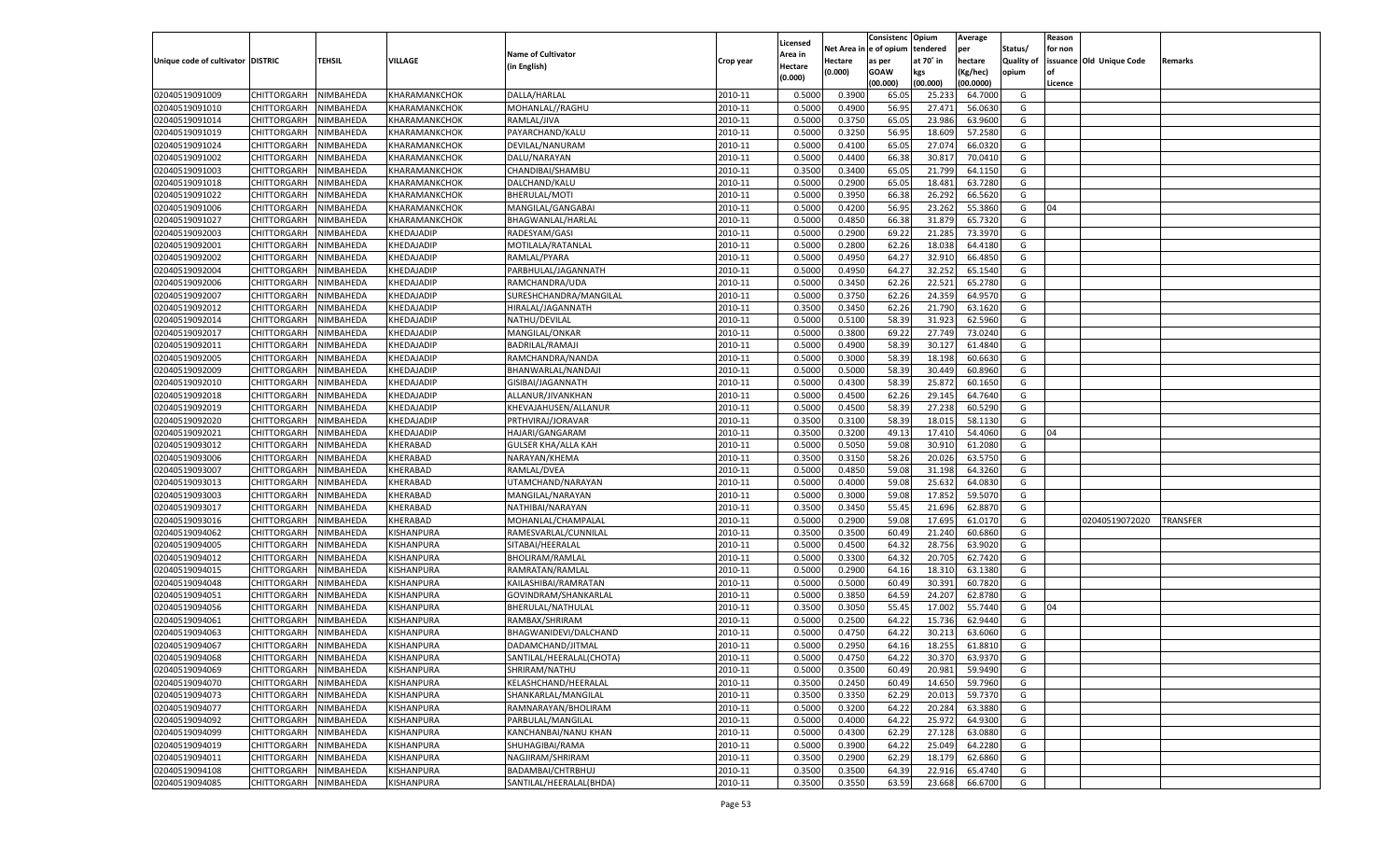|                                   |                       |               |                   |                            |           |                           |          | Consistenc  | Opium     | Average   |                   | Reason  |                          |                 |
|-----------------------------------|-----------------------|---------------|-------------------|----------------------------|-----------|---------------------------|----------|-------------|-----------|-----------|-------------------|---------|--------------------------|-----------------|
|                                   |                       |               |                   | <b>Name of Cultivator</b>  |           | Licensed                  | Net Area | e of opium  | tendered  | per       | Status/           | for non |                          |                 |
| Unique code of cultivator DISTRIC |                       | <b>TEHSIL</b> | VILLAGE           | (in English)               | Crop year | <b>Area in</b><br>Hectare | Hectare  | as per      | at 70° in | hectare   | <b>Quality of</b> |         | issuance Old Unique Code | Remarks         |
|                                   |                       |               |                   |                            |           | (0.000)                   | (0.000)  | <b>GOAW</b> | kgs       | (Kg/hec)  | opium             |         |                          |                 |
|                                   |                       |               |                   |                            |           |                           |          | (00.000)    | (00.000)  | (00.0000) |                   | Licence |                          |                 |
| 02040519091009                    | CHITTORGARH           | NIMBAHEDA     | KHARAMANKCHOK     | DALLA/HARLAL               | 2010-11   | 0.5000                    | 0.3900   | 65.05       | 25.23     | 64.7000   | G                 |         |                          |                 |
| 02040519091010                    | CHITTORGARH           | NIMBAHEDA     | KHARAMANKCHOK     | MOHANLAL//RAGHU            | 2010-11   | 0.5000                    | 0.4900   | 56.95       | 27.471    | 56.0630   | G                 |         |                          |                 |
| 02040519091014                    | CHITTORGARH           | NIMBAHEDA     | KHARAMANKCHOK     | RAMLAL/JIVA                | 2010-11   | 0.5000                    | 0.3750   | 65.05       | 23.986    | 63.9600   | G                 |         |                          |                 |
| 02040519091019                    | CHITTORGARH           | NIMBAHEDA     | KHARAMANKCHOK     | PAYARCHAND/KALU            | 2010-11   | 0.5000                    | 0.3250   | 56.95       | 18.609    | 57.2580   | G                 |         |                          |                 |
| 02040519091024                    | CHITTORGARH           | NIMBAHEDA     | KHARAMANKCHOK     | DEVILAL/NANURAM            | 2010-11   | 0.5000                    | 0.4100   | 65.05       | 27.074    | 66.0320   | G                 |         |                          |                 |
| 02040519091002                    | CHITTORGARH           | NIMBAHEDA     | KHARAMANKCHOK     | DALU/NARAYAN               | 2010-11   | 0.5000                    | 0.4400   | 66.38       | 30.81     | 70.0410   | G                 |         |                          |                 |
| 02040519091003                    | CHITTORGARH           | NIMBAHEDA     | KHARAMANKCHOK     | CHANDIBAI/SHAMBU           | 2010-11   | 0.3500                    | 0.3400   | 65.05       | 21.799    | 64.1150   | G                 |         |                          |                 |
| 02040519091018                    | CHITTORGARH           | NIMBAHEDA     | KHARAMANKCHOK     | DALCHAND/KALU              | 2010-11   | 0.5000                    | 0.2900   | 65.05       | 18.481    | 63.7280   | G                 |         |                          |                 |
| 02040519091022                    | CHITTORGARH           | NIMBAHEDA     | KHARAMANKCHOK     | BHERULAL/MOTI              | 2010-11   | 0.5000                    | 0.3950   | 66.38       | 26.292    | 66.5620   | G                 |         |                          |                 |
| 02040519091006                    | CHITTORGARH           | NIMBAHEDA     | KHARAMANKCHOK     | MANGILAL/GANGABAI          | 2010-11   | 0.5000                    | 0.4200   | 56.95       | 23.262    | 55.3860   | G                 | 04      |                          |                 |
| 02040519091027                    | CHITTORGARH           | NIMBAHEDA     | KHARAMANKCHOK     | BHAGWANLAL/HARLAL          | 2010-11   | 0.5000                    | 0.4850   | 66.38       | 31.879    | 65.7320   | G                 |         |                          |                 |
| 02040519092003                    | CHITTORGARH           | NIMBAHEDA     | KHEDAJADIP        | RADESYAM/GASI              | 2010-11   | 0.5000                    | 0.2900   | 69.2        | 21.285    | 73.3970   | G                 |         |                          |                 |
| 02040519092001                    | CHITTORGARH           | NIMBAHEDA     | KHEDAJADIP        | MOTILALA/RATANLAL          | 2010-11   | 0.5000                    | 0.2800   | 62.26       | 18.038    | 64.4180   | G                 |         |                          |                 |
| 02040519092002                    | CHITTORGARH           | NIMBAHEDA     | KHEDAJADIP        | RAMLAL/PYARA               | 2010-11   | 0.5000                    | 0.4950   | 64.27       | 32.910    | 66.4850   | G                 |         |                          |                 |
| 02040519092004                    | CHITTORGARH           | NIMBAHEDA     | KHEDAJADIP        | PARBHULAL/JAGANNATH        | 2010-11   | 0.5000                    | 0.4950   | 64.27       | 32.252    | 65.1540   | G                 |         |                          |                 |
| 02040519092006                    | CHITTORGARH           | NIMBAHEDA     | KHEDAJADIP        | RAMCHANDRA/UDA             | 2010-11   | 0.5000                    | 0.3450   | 62.26       | 22.521    | 65.2780   | G                 |         |                          |                 |
| 02040519092007                    | CHITTORGARH           | NIMBAHEDA     | KHEDAJADIP        | SURESHCHANDRA/MANGILAL     | 2010-11   | 0.5000                    | 0.3750   | 62.26       | 24.359    | 64.9570   | G                 |         |                          |                 |
| 02040519092012                    | CHITTORGARH           | NIMBAHEDA     | KHEDAJADIP        | HIRALAL/JAGANNATH          | 2010-11   | 0.3500                    | 0.3450   | 62.26       | 21.790    | 63.1620   | G                 |         |                          |                 |
| 02040519092014                    | CHITTORGARH           | NIMBAHEDA     | KHEDAJADIP        | NATHU/DEVILAL              | 2010-11   | 0.5000                    | 0.5100   | 58.39       | 31.923    | 62.5960   | G                 |         |                          |                 |
| 02040519092017                    | CHITTORGARH           | NIMBAHEDA     | KHEDAJADIP        | MANGILAL/ONKAR             | 2010-11   | 0.5000                    | 0.3800   | 69.22       | 27.749    | 73.0240   | G                 |         |                          |                 |
| 02040519092011                    | CHITTORGARH           | NIMBAHEDA     | KHEDAJADIP        | BADRILAL/RAMAJI            | 2010-11   | 0.5000                    | 0.4900   | 58.39       | 30.127    | 61.4840   | G                 |         |                          |                 |
| 02040519092005                    | CHITTORGARH           | NIMBAHEDA     | KHEDAJADIP        | RAMCHANDRA/NANDA           | 2010-11   | 0.5000                    | 0.3000   | 58.39       | 18.198    | 60.6630   | G                 |         |                          |                 |
| 02040519092009                    | CHITTORGARH           | NIMBAHEDA     | KHEDAJADIP        | BHANWARLAL/NANDAJI         | 2010-11   | 0.5000                    | 0.5000   | 58.39       | 30.449    | 60.8960   | G                 |         |                          |                 |
| 02040519092010                    | CHITTORGARH           | NIMBAHEDA     | KHEDAJADIP        | GISIBAI/JAGANNATH          | 2010-11   | 0.5000                    | 0.4300   | 58.39       | 25.872    | 60.1650   | G                 |         |                          |                 |
| 02040519092018                    | CHITTORGARH           | NIMBAHEDA     | KHEDAJADIP        | ALLANUR/JIVANKHAN          | 2010-11   | 0.5000                    | 0.4500   | 62.26       | 29.145    | 64.7640   | G                 |         |                          |                 |
| 02040519092019                    | CHITTORGARH           | NIMBAHEDA     | KHEDAJADIP        | KHEVAJAHUSEN/ALLANUR       | 2010-11   | 0.5000                    | 0.4500   | 58.39       | 27.238    | 60.5290   | G                 |         |                          |                 |
| 02040519092020                    | CHITTORGARH           | NIMBAHEDA     | KHEDAJADIP        | PRTHVIRAJ/JORAVAR          | 2010-11   | 0.3500                    | 0.3100   | 58.39       | 18.015    | 58.1130   | G                 |         |                          |                 |
| 02040519092021                    | CHITTORGARH           | NIMBAHEDA     | KHEDAJADIP        | HAJARI/GANGARAM            | 2010-11   | 0.3500                    | 0.3200   | 49.13       | 17.410    | 54.4060   | G                 | 04      |                          |                 |
| 02040519093012                    | CHITTORGARH           | NIMBAHEDA     | KHERABAD          | <b>GULSER KHA/ALLA KAH</b> | 2010-11   | 0.5000                    | 0.5050   | 59.08       | 30.910    | 61.2080   | G                 |         |                          |                 |
| 02040519093006                    | CHITTORGARH           | NIMBAHEDA     | KHERABAD          | NARAYAN/KHEMA              | 2010-11   | 0.3500                    | 0.3150   | 58.26       | 20.026    | 63.5750   | G                 |         |                          |                 |
| 02040519093007                    | CHITTORGARH           | NIMBAHEDA     | KHERABAD          | RAMLAL/DVEA                | 2010-11   | 0.5000                    | 0.4850   | 59.08       | 31.198    | 64.3260   | G                 |         |                          |                 |
| 02040519093013                    | CHITTORGARH           | NIMBAHEDA     | KHERABAD          | UTAMCHAND/NARAYAN          | 2010-11   | 0.5000                    | 0.4000   | 59.08       | 25.63     | 64.0830   | G                 |         |                          |                 |
| 02040519093003                    | CHITTORGARH           | NIMBAHEDA     | KHERABAD          | MANGILAL/NARAYAN           | 2010-11   | 0.5000                    | 0.3000   | 59.08       | 17.85     | 59.507    | G                 |         |                          |                 |
| 02040519093017                    | CHITTORGARH           | NIMBAHEDA     | KHERABAD          | NATHIBAI/NARAYAN           | 2010-11   | 0.3500                    | 0.3450   | 55.45       | 21.696    | 62.887    | G                 |         |                          |                 |
| 02040519093016                    | CHITTORGARH           | NIMBAHEDA     | KHERABAD          | MOHANLAL/CHAMPALAL         | 2010-11   | 0.5000                    | 0.2900   | 59.08       | 17.695    | 61.0170   | G                 |         | 02040519072020           | <b>TRANSFER</b> |
| 02040519094062                    | CHITTORGARH           | NIMBAHEDA     | KISHANPURA        | RAMESVARLAL/CUNNILAL       | 2010-11   | 0.3500                    | 0.3500   | 60.49       | 21.24     | 60.6860   | G                 |         |                          |                 |
| 02040519094005                    | CHITTORGARH           | NIMBAHEDA     | KISHANPURA        | SITABAI/HEERALAL           | 2010-11   | 0.5000                    | 0.4500   | 64.32       | 28.756    | 63.9020   | G                 |         |                          |                 |
| 02040519094012                    | CHITTORGARH           | NIMBAHEDA     | KISHANPURA        | BHOLIRAM/RAMLAL            | 2010-11   | 0.5000                    | 0.3300   | 64.32       | 20.705    | 62.7420   | G                 |         |                          |                 |
| 02040519094015                    | CHITTORGARH           | NIMBAHEDA     | KISHANPURA        | RAMRATAN/RAMLAI            | 2010-11   | 0.5000                    | 0.2900   | 64.16       | 18.31     | 63.1380   | G                 |         |                          |                 |
| 02040519094048                    | CHITTORGARH           | NIMBAHEDA     | KISHANPURA        | KAILASHIBAI/RAMRATAN       | 2010-11   | 0.5000                    | 0.5000   | 60.49       | 30.391    | 60.7820   | G                 |         |                          |                 |
| 02040519094051                    | CHITTORGARH           | NIMBAHEDA     | KISHANPURA        | GOVINDRAM/SHANKARLAL       | 2010-11   | 0.5000                    | 0.3850   | 64.59       | 24.207    | 62.8780   | G                 |         |                          |                 |
| 02040519094056                    | CHITTORGARH           | NIMBAHEDA     | KISHANPURA        | BHERULAL/NATHULAL          | 2010-11   | 0.3500                    | 0.3050   | 55.45       | 17.002    | 55.7440   | G                 | 04      |                          |                 |
| 02040519094061                    | CHITTORGARH           | NIMBAHEDA     | KISHANPURA        | RAMBAX/SHRIRAM             | 2010-11   | 0.5000                    | 0.2500   | 64.22       | 15.736    | 62.9440   | G                 |         |                          |                 |
| 02040519094063                    | CHITTORGARH           | NIMBAHEDA     | KISHANPURA        | BHAGWANIDEVI/DALCHAND      | 2010-11   | 0.5000                    | 0.4750   | 64.22       | 30.21     | 63.6060   | G                 |         |                          |                 |
| 02040519094067                    | CHITTORGARH           | NIMBAHEDA     | KISHANPURA        | DADAMCHAND/JITMAL          | 2010-11   | 0.5000                    | 0.2950   | 64.16       | 18.255    | 61.8810   | G                 |         |                          |                 |
| 02040519094068                    | CHITTORGARH NIMBAHEDA |               | KISHANPURA        | SANTILAL/HEERALAL(CHOTA)   | 2010-11   | 0.5000                    | 0.4750   | 64.22       | 30.370    | 63.9370   | G                 |         |                          |                 |
| 02040519094069                    | <b>CHITTORGARH</b>    | NIMBAHEDA     | <b>KISHANPURA</b> | SHRIRAM/NATHU              | 2010-11   | 0.5000                    | 0.3500   | 60.49       | 20.981    | 59.9490   | G                 |         |                          |                 |
| 02040519094070                    | <b>CHITTORGARH</b>    | NIMBAHEDA     | KISHANPURA        | KELASHCHAND/HEERALAL       | 2010-11   | 0.3500                    | 0.2450   | 60.49       | 14.650    | 59.7960   | G                 |         |                          |                 |
| 02040519094073                    | <b>CHITTORGARH</b>    | NIMBAHEDA     | KISHANPURA        | SHANKARLAL/MANGILAL        | 2010-11   | 0.3500                    | 0.3350   | 62.29       | 20.013    | 59.7370   | G                 |         |                          |                 |
| 02040519094077                    | <b>CHITTORGARH</b>    | NIMBAHEDA     | KISHANPURA        | RAMNARAYAN/BHOLIRAM        | 2010-11   | 0.5000                    | 0.3200   | 64.22       | 20.284    | 63.3880   | G                 |         |                          |                 |
| 02040519094092                    | <b>CHITTORGARH</b>    | NIMBAHEDA     | KISHANPURA        | PARBULAL/MANGILAL          | 2010-11   | 0.5000                    | 0.4000   | 64.22       | 25.972    | 64.9300   | G                 |         |                          |                 |
| 02040519094099                    | <b>CHITTORGARH</b>    | NIMBAHEDA     | KISHANPURA        | KANCHANBAI/NANU KHAN       | 2010-11   | 0.5000                    | 0.4300   | 62.29       | 27.128    | 63.0880   | G                 |         |                          |                 |
|                                   |                       |               |                   |                            | 2010-11   |                           |          | 64.22       | 25.049    | 64.2280   |                   |         |                          |                 |
| 02040519094019<br>02040519094011  | <b>CHITTORGARH</b>    | NIMBAHEDA     | KISHANPURA        | SHUHAGIBAI/RAMA            |           | 0.5000                    | 0.3900   |             |           |           | G                 |         |                          |                 |
|                                   | <b>CHITTORGARH</b>    | NIMBAHEDA     | KISHANPURA        | NAGJIRAM/SHRIRAM           | 2010-11   | 0.3500                    | 0.2900   | 62.29       | 18.179    | 62.6860   | G                 |         |                          |                 |
| 02040519094108                    | <b>CHITTORGARH</b>    | NIMBAHEDA     | <b>KISHANPURA</b> | BADAMBAI/CHTRBHUJ          | 2010-11   | 0.3500                    | 0.3500   | 64.39       | 22.916    | 65.4740   | G                 |         |                          |                 |
| 02040519094085                    | CHITTORGARH           | NIMBAHEDA     | KISHANPURA        | SANTILAL/HEERALAL(BHDA)    | 2010-11   | 0.3500                    | 0.3550   | 63.59       | 23.668    | 66.6700   | G                 |         |                          |                 |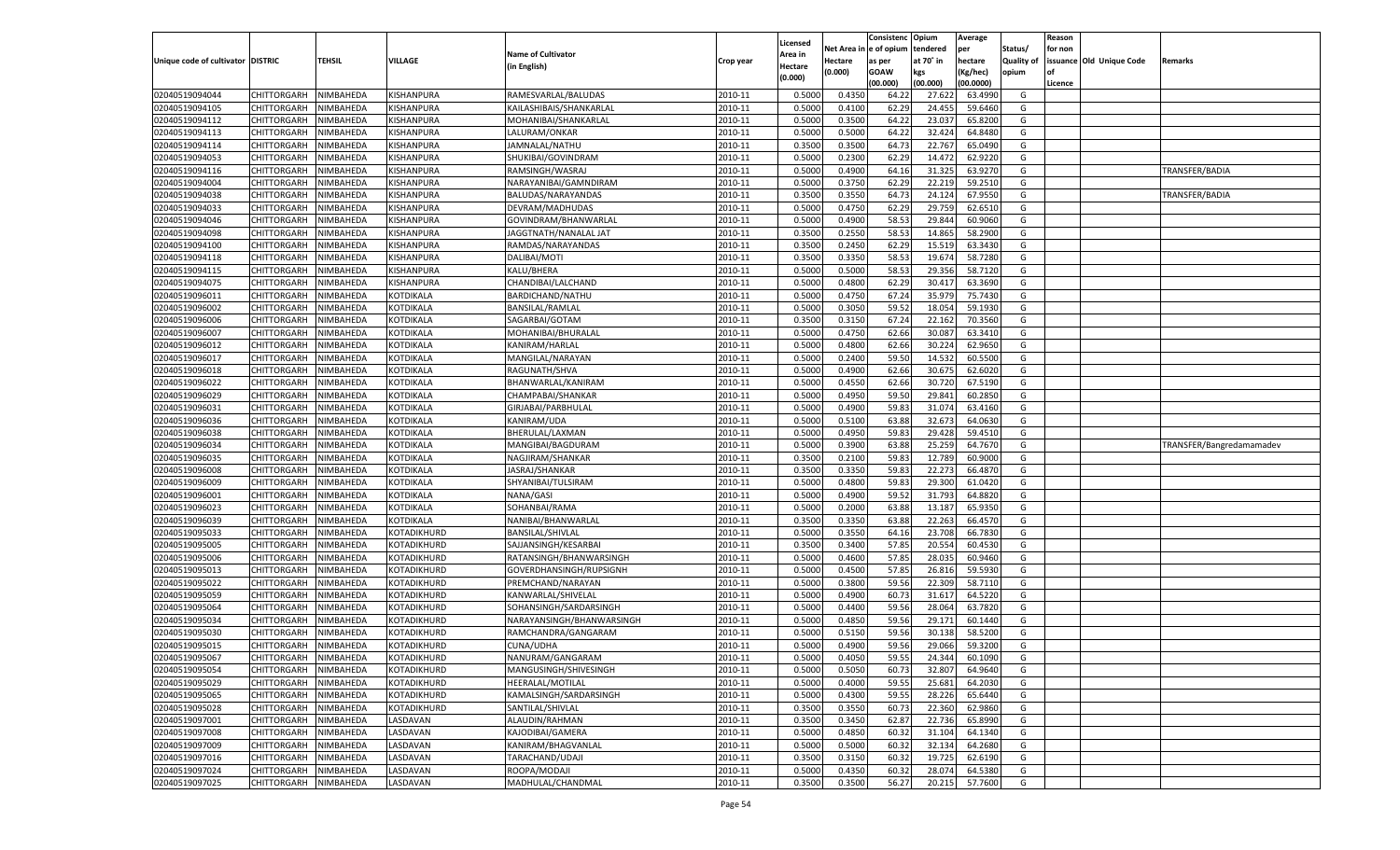|                                   |                       |           |             |                           |           |                     |                  | Consistenc   | Opium     | Average   |                   | Reason  |                          |                          |
|-----------------------------------|-----------------------|-----------|-------------|---------------------------|-----------|---------------------|------------------|--------------|-----------|-----------|-------------------|---------|--------------------------|--------------------------|
|                                   |                       |           |             | <b>Name of Cultivator</b> |           | Licensed<br>Area in | Net Area i       | n e of opium | tendered  | per       | Status/           | for non |                          |                          |
| Unique code of cultivator DISTRIC |                       | TEHSIL    | VILLAGE     | (in English)              | Crop year | Hectare             | Hectare          | as per       | at 70° in | hectare   | <b>Quality of</b> |         | issuance Old Unique Code | Remarks                  |
|                                   |                       |           |             |                           |           | (0.000)             | (0.000)          | <b>GOAW</b>  | kgs       | (Kg/hec)  | opium             |         |                          |                          |
|                                   |                       |           |             |                           |           |                     |                  | (00.000)     | (00.000)  | (00.0000) |                   | Licence |                          |                          |
| 02040519094044                    | CHITTORGARH           | NIMBAHEDA | KISHANPURA  | RAMESVARLAL/BALUDAS       | 2010-11   | 0.5000              | 0.4350           | 64.2         | 27.62     | 63.4990   | G                 |         |                          |                          |
| 02040519094105                    | CHITTORGARH           | NIMBAHEDA | KISHANPURA  | KAILASHIBAIS/SHANKARLAL   | 2010-11   | 0.5000              | 0.4100           | 62.29        | 24.455    | 59.6460   | G                 |         |                          |                          |
| 02040519094112                    | CHITTORGARH           | NIMBAHEDA | KISHANPURA  | MOHANIBAI/SHANKARLAL      | 2010-11   | 0.5000              | 0.3500           | 64.22        | 23.03     | 65.8200   | G                 |         |                          |                          |
| 02040519094113                    | CHITTORGARH           | NIMBAHEDA | KISHANPURA  | LALURAM/ONKAR             | 2010-11   | 0.5000              | 0.5000           | 64.22        | 32.424    | 64.8480   | G                 |         |                          |                          |
| 02040519094114                    | CHITTORGARH           | NIMBAHEDA | KISHANPURA  | JAMNALAL/NATHU            | 2010-11   | 0.3500              | 0.3500           | 64.73        | 22.767    | 65.0490   | G                 |         |                          |                          |
| 02040519094053                    | CHITTORGARH           | NIMBAHEDA | KISHANPURA  | SHUKIBAI/GOVINDRAM        | 2010-11   | 0.5000              | 0.2300           | 62.29        | 14.472    | 62.9220   | G                 |         |                          |                          |
| 02040519094116                    | CHITTORGARH           | NIMBAHEDA | KISHANPURA  | RAMSINGH/WASRAJ           | 2010-11   | 0.5000              | 0.4900           | 64.16        | 31.325    | 63.9270   | G                 |         |                          | TRANSFER/BADIA           |
| 02040519094004                    | CHITTORGARH           | NIMBAHEDA | KISHANPURA  | NARAYANIBAI/GAMNDIRAM     | 2010-11   | 0.5000              | 0.3750           | 62.29        | 22.219    | 59.2510   | G                 |         |                          |                          |
| 02040519094038                    | CHITTORGARH           | NIMBAHEDA | KISHANPURA  | BALUDAS/NARAYANDAS        | 2010-11   | 0.3500              | 0.3550           | 64.73        | 24.124    | 67.9550   | G                 |         |                          | TRANSFER/BADIA           |
| 02040519094033                    | CHITTORGARH           | NIMBAHEDA | KISHANPURA  | DEVRAM/MADHUDAS           | 2010-11   | 0.5000              | 0.4750           | 62.29        | 29.759    | 62.6510   | G                 |         |                          |                          |
| 02040519094046                    | CHITTORGARH           | NIMBAHEDA | KISHANPURA  | GOVINDRAM/BHANWARLAL      | 2010-11   | 0.5000              | 0.4900           | 58.53        | 29.844    | 60.9060   | G                 |         |                          |                          |
| 02040519094098                    | CHITTORGARH           | NIMBAHEDA | KISHANPURA  | JAGGTNATH/NANALAL JAT     | 2010-11   | 0.3500              | 0.2550           | 58.53        | 14.865    | 58.2900   | G                 |         |                          |                          |
| 02040519094100                    | CHITTORGARH           | NIMBAHEDA | KISHANPURA  | RAMDAS/NARAYANDAS         | 2010-11   | 0.3500              | 0.2450           | 62.29        | 15.519    | 63.3430   | G                 |         |                          |                          |
| 02040519094118                    | CHITTORGARH           | NIMBAHEDA | KISHANPURA  | DALIBAI/MOTI              | 2010-11   | 0.3500              | 0.3350           | 58.53        | 19.674    | 58.7280   | G                 |         |                          |                          |
| 02040519094115                    | CHITTORGARH           | NIMBAHEDA | KISHANPURA  | KALU/BHERA                | 2010-11   | 0.5000              | 0.5000           | 58.53        | 29.356    | 58.7120   | G                 |         |                          |                          |
| 02040519094075                    | CHITTORGARH           | NIMBAHEDA | KISHANPURA  | CHANDIBAI/LALCHAND        | 2010-11   | 0.5000              | 0.4800           | 62.29        | 30.417    | 63.3690   | G                 |         |                          |                          |
| 02040519096011                    | CHITTORGARH           | NIMBAHEDA | KOTDIKALA   | BARDICHAND/NATHU          | 2010-11   | 0.5000              | 0.4750           | 67.24        | 35.979    | 75.7430   | G                 |         |                          |                          |
| 02040519096002                    | CHITTORGARH           | NIMBAHEDA | KOTDIKALA   | <b>BANSILAL/RAMLAL</b>    | 2010-11   | 0.5000              | 0.3050           | 59.52        | 18.054    | 59.1930   | G                 |         |                          |                          |
| 02040519096006                    | CHITTORGARH           | NIMBAHEDA | KOTDIKALA   | SAGARBAI/GOTAM            | 2010-11   | 0.3500              | 0.3150           | 67.24        | 22.162    | 70.3560   | G                 |         |                          |                          |
| 02040519096007                    | CHITTORGARH           | NIMBAHEDA | KOTDIKALA   | MOHANIBAI/BHURALAL        | 2010-11   | 0.5000              | 0.4750           | 62.66        | 30.087    | 63.3410   | G                 |         |                          |                          |
| 02040519096012                    | CHITTORGARH           | NIMBAHEDA | KOTDIKALA   | KANIRAM/HARLAL            | 2010-11   | 0.5000              | 0.4800           | 62.66        | 30.224    | 62.9650   | G                 |         |                          |                          |
| 02040519096017                    | CHITTORGARH           | NIMBAHEDA | KOTDIKALA   | MANGILAL/NARAYAN          | 2010-11   | 0.5000              | 0.2400           | 59.50        | 14.532    | 60.5500   | G                 |         |                          |                          |
| 02040519096018                    | CHITTORGARH           | NIMBAHEDA | KOTDIKALA   | RAGUNATH/SHVA             | 2010-11   | 0.5000              | 0.4900           | 62.66        | 30.675    | 62.6020   | G                 |         |                          |                          |
| 02040519096022                    | CHITTORGARH           | NIMBAHEDA | KOTDIKALA   | BHANWARLAL/KANIRAM        | 2010-11   | 0.5000              | 0.4550           | 62.66        | 30.720    | 67.5190   | G                 |         |                          |                          |
| 02040519096029                    | CHITTORGARH           | NIMBAHEDA | KOTDIKALA   | CHAMPABAI/SHANKAR         | 2010-11   | 0.5000              | 0.4950           | 59.50        | 29.841    | 60.2850   | G                 |         |                          |                          |
| 02040519096031                    | CHITTORGARH           | NIMBAHEDA | KOTDIKALA   | GIRJABAI/PARBHULAL        | 2010-11   | 0.5000              | 0.4900           | 59.83        | 31.074    | 63.4160   | G                 |         |                          |                          |
| 02040519096036                    | CHITTORGARH           | NIMBAHEDA | KOTDIKALA   | KANIRAM/UDA               | 2010-11   | 0.5000              | 0.5100           | 63.88        | 32.673    | 64.0630   | G                 |         |                          |                          |
| 02040519096038                    | CHITTORGARH           | NIMBAHEDA | KOTDIKALA   | BHERULAL/LAXMAN           | 2010-11   | 0.5000              | 0.4950           | 59.83        | 29.428    | 59.4510   | G                 |         |                          |                          |
| 02040519096034                    | CHITTORGARH           | NIMBAHEDA | KOTDIKALA   | MANGIBAI/BAGDURAM         | 2010-11   | 0.5000              | 0.3900           | 63.88        | 25.259    | 64.7670   | G                 |         |                          | TRANSFER/Bangredamamadev |
| 02040519096035                    | CHITTORGARH           | NIMBAHEDA | KOTDIKALA   | NAGJIRAM/SHANKAR          | 2010-11   | 0.3500              | 0.2100           | 59.83        | 12.789    | 60.9000   | G                 |         |                          |                          |
| 02040519096008                    | CHITTORGARH           | NIMBAHEDA | KOTDIKALA   | JASRAJ/SHANKAR            | 2010-11   | 0.3500              | 0.3350           | 59.83        | 22.273    | 66.487    | G                 |         |                          |                          |
| 02040519096009                    | CHITTORGARH           | NIMBAHEDA | KOTDIKALA   | SHYANIBAI/TULSIRAM        | 2010-11   | 0.5000              | 0.4800           | 59.83        | 29.300    | 61.0420   | G                 |         |                          |                          |
| 02040519096001                    | CHITTORGARH           | NIMBAHEDA | KOTDIKALA   | NANA/GASI                 | 2010-11   | 0.5000              | 0.4900           | 59.52        | 31.793    | 64.8820   | G                 |         |                          |                          |
| 02040519096023                    | CHITTORGARH           | NIMBAHEDA | KOTDIKALA   | SOHANBAI/RAMA             | 2010-11   | 0.5000              | 0.2000           | 63.88        | 13.187    | 65.9350   | G                 |         |                          |                          |
| 02040519096039                    | CHITTORGARH           | NIMBAHEDA | KOTDIKALA   | NANIBAI/BHANWARLAL        | 2010-11   | 0.3500              | 0.3350           | 63.88        | 22.263    | 66.4570   | G                 |         |                          |                          |
| 02040519095033                    | CHITTORGARH           | NIMBAHEDA | KOTADIKHURD | <b>BANSILAL/SHIVLAL</b>   | 2010-11   | 0.5000              | 0.3550           | 64.16        | 23.708    | 66.7830   | G                 |         |                          |                          |
| 02040519095005                    | CHITTORGARH           | NIMBAHEDA | KOTADIKHURD | SAJJANSINGH/KESARBAI      | 2010-11   | 0.3500              | 0.3400           | 57.85        | 20.554    | 60.4530   | G                 |         |                          |                          |
| 02040519095006                    | CHITTORGARH           | NIMBAHEDA | KOTADIKHURD | RATANSINGH/BHANWARSINGH   | 2010-11   | 0.5000              | 0.4600           | 57.85        | 28.035    | 60.9460   | G                 |         |                          |                          |
| 02040519095013                    | CHITTORGARH           | NIMBAHEDA | KOTADIKHURD | GOVERDHANSINGH/RUPSIGNH   | 2010-11   | 0.5000              | 0.4500           | 57.85        | 26.816    | 59.5930   | G                 |         |                          |                          |
| 02040519095022                    | CHITTORGARH           | NIMBAHEDA | KOTADIKHURD | PREMCHAND/NARAYAN         | 2010-11   | 0.5000              | 0.3800           | 59.56        | 22.309    | 58.7110   | G                 |         |                          |                          |
| 02040519095059                    | CHITTORGARH           | NIMBAHEDA | KOTADIKHURD | KANWARLAL/SHIVELAL        | 2010-11   | 0.5000              | 0.4900           | 60.73        | 31.617    | 64.5220   | G                 |         |                          |                          |
| 02040519095064                    | CHITTORGARH           | NIMBAHEDA | KOTADIKHURD | SOHANSINGH/SARDARSINGH    | 2010-11   | 0.5000              | 0.4400           | 59.56        | 28.064    | 63.7820   | G                 |         |                          |                          |
| 02040519095034                    | CHITTORGARH           | NIMBAHEDA | KOTADIKHURD | NARAYANSINGH/BHANWARSINGH | 2010-11   | 0.5000              | 0.4850           | 59.56        | 29.171    | 60.1440   | G                 |         |                          |                          |
| 02040519095030                    |                       |           |             | RAMCHANDRA/GANGARAM       | 2010-11   | 0.5000              |                  | 59.56        | 30.138    | 58.5200   | G                 |         |                          |                          |
|                                   | CHITTORGARH           | NIMBAHEDA | KOTADIKHURD |                           |           | 0.5000              | 0.5150<br>0.4900 | 59.56        | 29.066    |           |                   |         |                          |                          |
| 02040519095015                    | CHITTORGARH           | NIMBAHEDA | KOTADIKHURD | CUNA/UDHA                 | 2010-11   |                     |                  |              |           | 59.3200   | G                 |         |                          |                          |
| 02040519095067                    | CHITTORGARH NIMBAHEDA |           | KOTADIKHURD | NANURAM/GANGARAM          | 2010-11   | 0.5000              | 0.4050           | 59.55        | 24.344    | 60.1090   | G                 |         |                          |                          |
| 02040519095054                    | <b>CHITTORGARH</b>    | NIMBAHEDA | KOTADIKHURD | MANGUSINGH/SHIVESINGH     | 2010-11   | 0.5000              | 0.5050           | 60.73        | 32.807    | 64.9640   | G                 |         |                          |                          |
| 02040519095029                    | CHITTORGARH           | NIMBAHEDA | KOTADIKHURD | HEERALAL/MOTILAL          | 2010-11   | 0.5000              | 0.4000           | 59.55        | 25.681    | 64.2030   | G                 |         |                          |                          |
| 02040519095065                    | CHITTORGARH           | NIMBAHEDA | KOTADIKHURD | KAMALSINGH/SARDARSINGH    | 2010-11   | 0.5000              | 0.4300           | 59.55        | 28.226    | 65.6440   | G                 |         |                          |                          |
| 02040519095028                    | <b>CHITTORGARH</b>    | NIMBAHEDA | KOTADIKHURD | SANTILAL/SHIVLAL          | 2010-11   | 0.3500              | 0.3550           | 60.73        | 22.360    | 62.9860   | G                 |         |                          |                          |
| 02040519097001                    | CHITTORGARH           | NIMBAHEDA | LASDAVAN    | ALAUDIN/RAHMAN            | 2010-11   | 0.3500              | 0.3450           | 62.87        | 22.736    | 65.8990   | G                 |         |                          |                          |
| 02040519097008                    | <b>CHITTORGARH</b>    | NIMBAHEDA | LASDAVAN    | KAJODIBAI/GAMERA          | 2010-11   | 0.5000              | 0.4850           | 60.32        | 31.104    | 64.1340   | G                 |         |                          |                          |
| 02040519097009                    | CHITTORGARH           | NIMBAHEDA | LASDAVAN    | KANIRAM/BHAGVANLAL        | 2010-11   | 0.5000              | 0.5000           | 60.32        | 32.134    | 64.2680   | G                 |         |                          |                          |
| 02040519097016                    | CHITTORGARH           | NIMBAHEDA | LASDAVAN    | TARACHAND/UDAJI           | 2010-11   | 0.3500              | 0.3150           | 60.32        | 19.725    | 62.6190   | G                 |         |                          |                          |
| 02040519097024                    | <b>CHITTORGARH</b>    | NIMBAHEDA | LASDAVAN    | ROOPA/MODAJI              | 2010-11   | 0.5000              | 0.4350           | 60.32        | 28.074    | 64.5380   | G                 |         |                          |                          |
| 02040519097025                    | <b>CHITTORGARH</b>    | NIMBAHEDA | LASDAVAN    | MADHULAL/CHANDMAL         | 2010-11   | 0.3500              | 0.3500           | 56.27        | 20.215    | 57.7600   | G                 |         |                          |                          |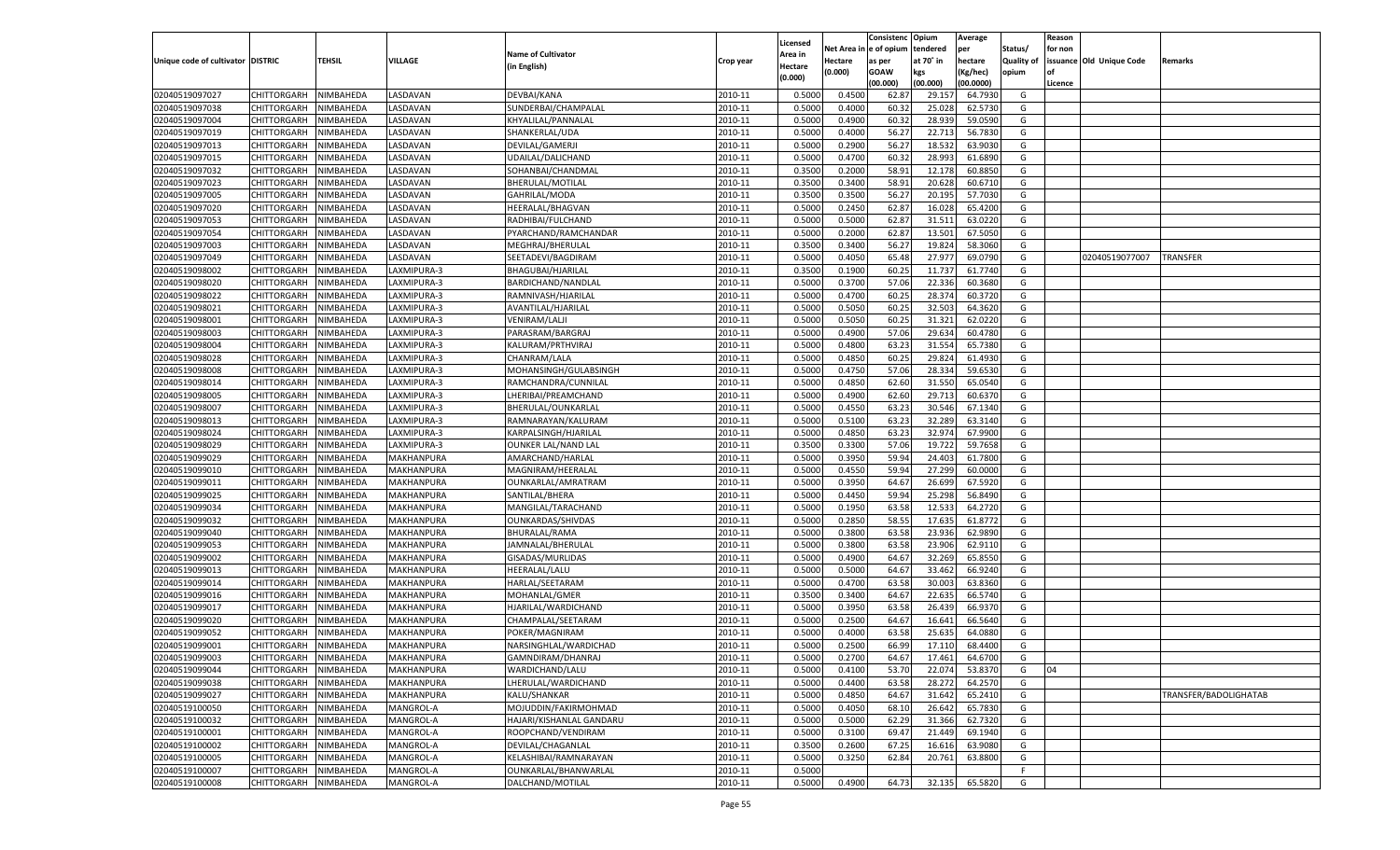|                                   |                            |                        |                          |                            |           |          |          | Consistenc Opium |           | Average   |                   | Reason    |                          |                       |
|-----------------------------------|----------------------------|------------------------|--------------------------|----------------------------|-----------|----------|----------|------------------|-----------|-----------|-------------------|-----------|--------------------------|-----------------------|
|                                   |                            |                        |                          |                            |           | Licensed | Net Area | e of opium       | tendered  | per       | Status/           | for non   |                          |                       |
| Unique code of cultivator DISTRIC |                            | TEHSIL                 | VILLAGE                  | <b>Name of Cultivator</b>  | Crop year | Area in  | Hectare  | as per           | at 70˚ in | hectare   | <b>Quality of</b> |           | issuance Old Unique Code | Remarks               |
|                                   |                            |                        |                          | (in English)               |           | Hectare  | (0.000)  | <b>GOAW</b>      | kgs       | (Kg/hec)  | opium             | <b>of</b> |                          |                       |
|                                   |                            |                        |                          |                            |           | (0.000)  |          | (00.000)         | (00.000)  | (00.0000) |                   | Licence   |                          |                       |
| 02040519097027                    | CHITTORGARH                | NIMBAHEDA              | LASDAVAN                 | DEVBAI/KANA                | 2010-11   | 0.5000   | 0.4500   | 62.8             | 29.15     | 64.7930   | G                 |           |                          |                       |
| 02040519097038                    | CHITTORGARH                | NIMBAHEDA              | LASDAVAN                 | SUNDERBAI/CHAMPALAL        | 2010-11   | 0.5000   | 0.4000   | 60.3             | 25.02     | 62.5730   | G                 |           |                          |                       |
| 02040519097004                    | <b>CHITTORGARH</b>         | NIMBAHEDA              | LASDAVAN                 | KHYALILAL/PANNALAL         | 2010-11   | 0.5000   | 0.4900   | 60.32            | 28.93     | 59.0590   | G                 |           |                          |                       |
| 02040519097019                    | CHITTORGARH                | NIMBAHEDA              | <b>ASDAVAN</b>           | SHANKERLAL/UDA             | 2010-11   | 0.5000   | 0.4000   | 56.27            | 22.713    | 56.7830   | G                 |           |                          |                       |
| 02040519097013                    | <b>CHITTORGARH</b>         | NIMBAHEDA              | <b>ASDAVAN</b>           | DEVILAL/GAMERJI            | 2010-11   | 0.5000   | 0.2900   | 56.27            | 18.53     | 63.9030   | G                 |           |                          |                       |
| 02040519097015                    | CHITTORGARH                | NIMBAHEDA              | LASDAVAN                 | UDAILAL/DALICHAND          | 2010-11   | 0.5000   | 0.4700   | 60.3             | 28.993    | 61.6890   | G                 |           |                          |                       |
| 02040519097032                    | CHITTORGARH                | NIMBAHEDA              | LASDAVAN                 | SOHANBAI/CHANDMAL          | 2010-11   | 0.3500   | 0.2000   | 58.91            | 12.178    | 60.8850   | G                 |           |                          |                       |
| 02040519097023                    | CHITTORGARH                | NIMBAHEDA              | <b>ASDAVAN</b>           | BHERULAL/MOTILAL           | 2010-11   | 0.3500   | 0.3400   | 58.91            | 20.628    | 60.6710   | G                 |           |                          |                       |
| 02040519097005                    | CHITTORGARH                | NIMBAHEDA              | <b>ASDAVAN</b>           | GAHRILAL/MODA              | 2010-11   | 0.3500   | 0.3500   | 56.27            | 20.195    | 57.7030   | G                 |           |                          |                       |
| 02040519097020                    | CHITTORGARH                | NIMBAHEDA              | LASDAVAN                 | HEERALAL/BHAGVAN           | 2010-11   | 0.5000   | 0.2450   | 62.87            | 16.02     | 65.4200   | G                 |           |                          |                       |
| 02040519097053                    | CHITTORGARH                | NIMBAHEDA              | LASDAVAN                 | RADHIBAI/FULCHAND          | 2010-11   | 0.5000   | 0.5000   | 62.87            | 31.511    | 63.0220   | G                 |           |                          |                       |
| 02040519097054                    | CHITTORGARH                | NIMBAHEDA              | <b>ASDAVAN</b>           | PYARCHAND/RAMCHANDAR       | 2010-11   | 0.5000   | 0.2000   | 62.87            | 13.501    | 67.5050   | G                 |           |                          |                       |
| 02040519097003                    | CHITTORGARH                | NIMBAHEDA              | <b>ASDAVAN</b>           | MEGHRAJ/BHERULAL           | 2010-11   | 0.3500   | 0.3400   | 56.27            | 19.82     | 58.3060   | G                 |           |                          |                       |
| 02040519097049                    | CHITTORGARH                | NIMBAHEDA              | LASDAVAN                 | SEETADEVI/BAGDIRAM         | 2010-11   | 0.5000   | 0.4050   | 65.48            | 27.97     | 69.0790   | G                 |           | 02040519077007           | TRANSFER              |
| 02040519098002                    | <b>CHITTORGARH</b>         | NIMBAHEDA              | LAXMIPURA-3              | BHAGUBAI/HJARILAL          | 2010-11   | 0.3500   | 0.1900   | 60.25            | 11.737    | 61.7740   | G                 |           |                          |                       |
| 02040519098020                    | CHITTORGARH                | NIMBAHEDA              | LAXMIPURA-3              | BARDICHAND/NANDLAL         | 2010-11   | 0.5000   | 0.3700   | 57.06            | 22.336    | 60.3680   | G                 |           |                          |                       |
| 02040519098022                    | <b>CHITTORGARH</b>         | NIMBAHEDA              | LAXMIPURA-3              | RAMNIVASH/HJARILAL         | 2010-11   | 0.5000   | 0.4700   | 60.25            | 28.374    | 60.3720   | G                 |           |                          |                       |
| 02040519098021                    | CHITTORGARH                | NIMBAHEDA              | LAXMIPURA-3              | AVANTILAL/HJARILAL         | 2010-11   | 0.5000   | 0.5050   | 60.25            | 32.503    | 64.3620   | G                 |           |                          |                       |
| 02040519098001                    | <b>CHITTORGARH</b>         | NIMBAHEDA              | LAXMIPURA-3              | <b>VENIRAM/LALJI</b>       | 2010-11   | 0.5000   | 0.5050   | 60.25            | 31.321    | 62.0220   | G                 |           |                          |                       |
| 02040519098003                    | CHITTORGARH                | NIMBAHEDA              | LAXMIPURA-3              | PARASRAM/BARGRAJ           | 2010-11   | 0.5000   | 0.4900   | 57.06            | 29.634    | 60.4780   | G                 |           |                          |                       |
| 02040519098004                    | <b>CHITTORGARH</b>         | NIMBAHEDA              | LAXMIPURA-3              | KALURAM/PRTHVIRAJ          | 2010-11   | 0.5000   | 0.4800   | 63.23            | 31.554    | 65.7380   | G                 |           |                          |                       |
| 02040519098028                    | CHITTORGARH                | NIMBAHEDA              | LAXMIPURA-3              | CHANRAM/LALA               | 2010-11   | 0.5000   | 0.4850   | 60.25            | 29.82     | 61.4930   | G                 |           |                          |                       |
| 02040519098008                    | <b>CHITTORGARH</b>         | NIMBAHEDA              | LAXMIPURA-3              | MOHANSINGH/GULABSINGH      | 2010-11   | 0.5000   | 0.4750   | 57.06            | 28.334    | 59.6530   | G                 |           |                          |                       |
| 02040519098014                    | CHITTORGARH                | NIMBAHEDA              | LAXMIPURA-3              | RAMCHANDRA/CUNNILAL        | 2010-11   | 0.5000   | 0.4850   | 62.60            | 31.550    | 65.0540   | G                 |           |                          |                       |
| 02040519098005                    | <b>CHITTORGARH</b>         | NIMBAHEDA              | LAXMIPURA-3              | LHERIBAI/PREAMCHAND        | 2010-11   | 0.5000   | 0.4900   | 62.60            | 29.713    | 60.6370   | G                 |           |                          |                       |
| 02040519098007                    | CHITTORGARH                | NIMBAHEDA              | LAXMIPURA-3              | BHERULAL/OUNKARLAL         | 2010-11   | 0.5000   | 0.4550   | 63.23            | 30.546    | 67.1340   | G                 |           |                          |                       |
| 02040519098013                    | <b>CHITTORGARH</b>         | NIMBAHEDA              | LAXMIPURA-3              | RAMNARAYAN/KALURAM         | 2010-11   | 0.5000   | 0.5100   | 63.23            | 32.289    | 63.3140   | G                 |           |                          |                       |
| 02040519098024                    | CHITTORGARH                | NIMBAHEDA              | LAXMIPURA-3              | KARPALSINGH/HJARILAL       | 2010-11   | 0.5000   | 0.4850   | 63.23            | 32.974    | 67.9900   | G                 |           |                          |                       |
| 02040519098029                    | <b>CHITTORGARH</b>         | NIMBAHEDA              | LAXMIPURA-3              | <b>OUNKER LAL/NAND LAL</b> | 2010-11   | 0.3500   | 0.3300   | 57.06            | 19.722    | 59.7658   | G                 |           |                          |                       |
| 02040519099029                    | CHITTORGARH                | NIMBAHEDA              | MAKHANPURA               | AMARCHAND/HARLAL           | 2010-11   | 0.5000   | 0.3950   | 59.94            | 24.403    | 61.7800   | G                 |           |                          |                       |
| 02040519099010                    | CHITTORGARH                | NIMBAHEDA              | MAKHANPURA               | MAGNIRAM/HEERALAI          | 2010-11   | 0.5000   | 0.4550   | 59.94            | 27.299    | 60.0000   | G                 |           |                          |                       |
| 02040519099011                    | CHITTORGARH                | NIMBAHEDA              | MAKHANPURA               | OUNKARLAL/AMRATRAM         | 2010-11   | 0.5000   | 0.3950   | 64.67            | 26.69     | 67.5920   | G                 |           |                          |                       |
| 02040519099025                    | CHITTORGARH                | NIMBAHEDA              | MAKHANPURA               | SANTILAL/BHERA             | 2010-11   | 0.5000   | 0.4450   | 59.94            | 25.298    | 56.8490   | G                 |           |                          |                       |
| 02040519099034                    | CHITTORGARH                | NIMBAHEDA              | MAKHANPURA               | MANGILAL/TARACHAND         | 2010-11   | 0.5000   | 0.1950   | 63.58            | 12.533    | 64.2720   | G                 |           |                          |                       |
| 02040519099032                    | CHITTORGARH                | NIMBAHEDA              | MAKHANPURA               | OUNKARDAS/SHIVDAS          | 2010-11   | 0.5000   | 0.2850   | 58.55            | 17.635    | 61.8772   | G                 |           |                          |                       |
| 02040519099040                    | CHITTORGARH                | NIMBAHEDA              | MAKHANPURA               | BHURALAL/RAMA              | 2010-11   | 0.5000   | 0.3800   | 63.58            | 23.93     | 62.9890   | G                 |           |                          |                       |
| 02040519099053                    | CHITTORGARH                | NIMBAHEDA              | MAKHANPURA               | JAMNALAL/BHERULAL          | 2010-11   | 0.5000   | 0.3800   | 63.58            | 23.906    | 62.9110   | G                 |           |                          |                       |
| 02040519099002                    | CHITTORGARH                | NIMBAHEDA              | MAKHANPURA               | GISADAS/MURLIDAS           | 2010-11   | 0.5000   | 0.4900   | 64.67            | 32.269    | 65.8550   | G                 |           |                          |                       |
| 02040519099013                    | CHITTORGARH                | NIMBAHEDA              | MAKHANPURA               | HEERALAL/LALU              | 2010-11   | 0.5000   | 0.5000   | 64.67            | 33.462    | 66.9240   | G                 |           |                          |                       |
| 02040519099014                    | CHITTORGARH                | NIMBAHEDA              | MAKHANPURA               | HARLAL/SEETARAM            | 2010-11   | 0.5000   | 0.4700   | 63.58            | 30.003    | 63.8360   | G                 |           |                          |                       |
| 02040519099016                    | CHITTORGARH                | NIMBAHEDA              | MAKHANPURA               | MOHANLAL/GMER              | 2010-11   | 0.3500   | 0.3400   | 64.67            | 22.635    | 66.5740   | G                 |           |                          |                       |
| 02040519099017                    | CHITTORGARH                | NIMBAHEDA              | MAKHANPURA               | HJARILAL/WARDICHAND        | 2010-11   | 0.5000   | 0.3950   | 63.58            | 26.43     | 66.937    | G                 |           |                          |                       |
| 02040519099020                    | CHITTORGARH                | NIMBAHEDA              | MAKHANPURA               | CHAMPALAL/SEETARAM         | 2010-11   | 0.5000   | 0.2500   | 64.67            | 16.641    | 66.5640   | G                 |           |                          |                       |
| 02040519099052                    | CHITTORGARH                | NIMBAHEDA              | MAKHANPURA               | POKER/MAGNIRAM             | 2010-11   | 0.5000   | 0.4000   | 63.58            | 25.63     | 64.0880   | G                 |           |                          |                       |
| 02040519099001                    | CHITTORGARH                | NIMBAHEDA              | MAKHANPURA               | NARSINGHLAL/WARDICHAD      | 2010-11   | 0.5000   | 0.2500   | 66.99            | 17.110    | 68.4400   | G                 |           |                          |                       |
| 02040519099003                    |                            |                        |                          | GAMNDIRAM/DHANRAJ          | 2010-11   | 0.5000   | 0.2700   | 64.67            | 17.461    | 64.6700   | G                 |           |                          |                       |
| 02040519099044                    | CHITTORGARH<br>CHITTORGARH | NIMBAHEDA<br>NIMBAHEDA | MAKHANPURA<br>MAKHANPURA | WARDICHAND/LALU            | 2010-11   | 0.5000   | 0.4100   | 53.70            | 22.074    | 53.8370   | G                 | 04        |                          |                       |
| 02040519099038                    | CHITTORGARH                | NIMBAHEDA              | MAKHANPURA               | LHERULAL/WARDICHAND        | 2010-11   | 0.5000   | 0.4400   | 63.58            | 28.272    | 64.2570   | G                 |           |                          |                       |
|                                   |                            |                        |                          | KALU/SHANKAR               |           |          |          |                  |           |           |                   |           |                          |                       |
| 02040519099027                    | <b>CHITTORGARH</b>         | NIMBAHEDA              | MAKHANPURA               |                            | 2010-11   | 0.5000   | 0.4850   | 64.67            | 31.642    | 65.2410   | G                 |           |                          | TRANSFER/BADOLIGHATAB |
| 02040519100050                    | <b>CHITTORGARH</b>         | NIMBAHEDA              | MANGROL-A                | MOJUDDIN/FAKIRMOHMAD       | 2010-11   | 0.5000   | 0.4050   | 68.10            | 26.642    | 65.7830   | G                 |           |                          |                       |
| 02040519100032                    | <b>CHITTORGARH</b>         | NIMBAHEDA<br>NIMBAHEDA | MANGROL-A                | HAJARI/KISHANLAL GANDARU   | 2010-11   | 0.5000   | 0.5000   | 62.29            | 31.366    | 62.7320   | G                 |           |                          |                       |
| 02040519100001                    | <b>CHITTORGARH</b>         |                        | MANGROL-A                | ROOPCHAND/VENDIRAM         | 2010-11   | 0.5000   | 0.3100   | 69.47            | 21.449    | 69.1940   | G                 |           |                          |                       |
| 02040519100002                    | <b>CHITTORGARH</b>         | NIMBAHEDA              | MANGROL-A                | DEVILAL/CHAGANLAL          | 2010-11   | 0.3500   | 0.2600   | 67.25            | 16.616    | 63.9080   | G                 |           |                          |                       |
| 02040519100005                    | <b>CHITTORGARH</b>         | NIMBAHEDA              | MANGROL-A                | KELASHIBAI/RAMNARAYAN      | 2010-11   | 0.5000   | 0.3250   | 62.84            | 20.761    | 63.8800   | G                 |           |                          |                       |
| 02040519100007                    | <b>CHITTORGARH</b>         | NIMBAHEDA              | MANGROL-A                | OUNKARLAL/BHANWARLAL       | 2010-11   | 0.5000   |          |                  |           |           | F                 |           |                          |                       |
| 02040519100008                    | CHITTORGARH                | NIMBAHEDA              | MANGROL-A                | DALCHAND/MOTILAL           | 2010-11   | 0.5000   | 0.4900   | 64.73            | 32.135    | 65.5820   | G                 |           |                          |                       |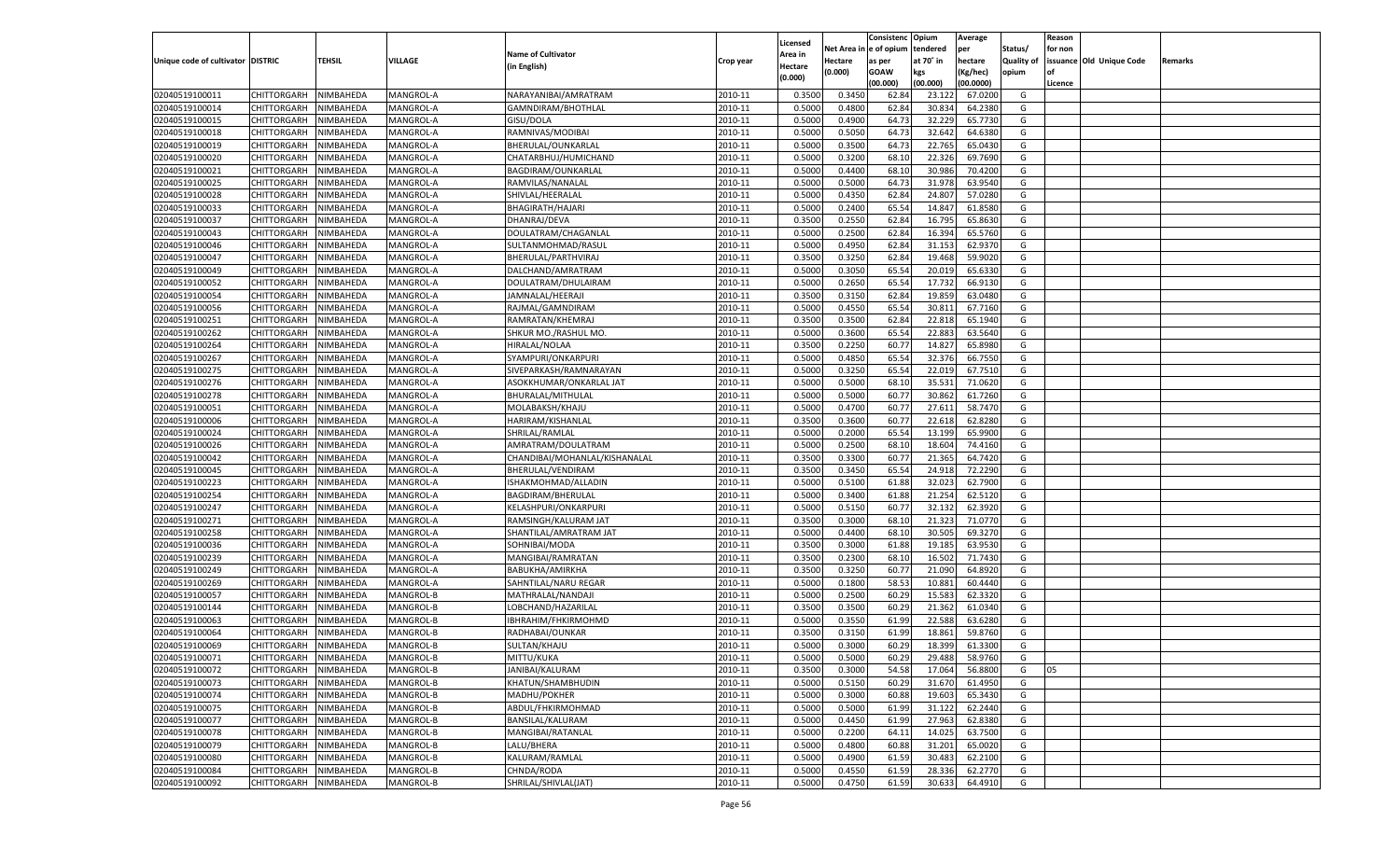|                                   |                       |                        |                        |                                           |                    |                           |                  | Consistenc  | Opium     | Average            |                   | Reason  |                          |         |
|-----------------------------------|-----------------------|------------------------|------------------------|-------------------------------------------|--------------------|---------------------------|------------------|-------------|-----------|--------------------|-------------------|---------|--------------------------|---------|
|                                   |                       |                        |                        | <b>Name of Cultivator</b>                 |                    | Licensed                  | Net Area         | e of opium  | tendered  | per                | Status/           | for non |                          |         |
| Unique code of cultivator DISTRIC |                       | <b>TEHSIL</b>          | VILLAGE                | (in English)                              | Crop year          | <b>Area in</b><br>Hectare | Hectare          | as per      | at 70° in | hectare            | <b>Quality of</b> |         | issuance Old Unique Code | Remarks |
|                                   |                       |                        |                        |                                           |                    | (0.000)                   | (0.000)          | <b>GOAW</b> | kgs       | (Kg/hec)           | opium             |         |                          |         |
|                                   |                       |                        |                        |                                           |                    |                           |                  | (00.000)    | (00.000)  | (00.0000)          |                   | Licence |                          |         |
| 02040519100011                    | CHITTORGARH           | NIMBAHEDA              | MANGROL-A              | NARAYANIBAI/AMRATRAM                      | 2010-11            | 0.3500                    | 0.3450           | 62.84       | 23.12     | 67.0200            | G                 |         |                          |         |
| 02040519100014                    | CHITTORGARH           | NIMBAHEDA              | MANGROL-A              | GAMNDIRAM/BHOTHLAL                        | 2010-11            | 0.5000                    | 0.4800           | 62.84       | 30.834    | 64.2380            | G                 |         |                          |         |
| 02040519100015                    | CHITTORGARH           | NIMBAHEDA              | MANGROL-A              | GISU/DOLA                                 | 2010-11            | 0.5000                    | 0.4900           | 64.73       | 32.229    | 65.7730            | G                 |         |                          |         |
| 02040519100018                    | CHITTORGARH           | NIMBAHEDA              | MANGROL-A              | RAMNIVAS/MODIBAI                          | 2010-11            | 0.5000                    | 0.5050           | 64.7        | 32.642    | 64.6380            | G                 |         |                          |         |
| 02040519100019                    | CHITTORGARH           | NIMBAHEDA              | MANGROL-A              | BHERULAL/OUNKARLAL                        | 2010-11            | 0.5000                    | 0.3500           | 64.73       | 22.765    | 65.0430            | G                 |         |                          |         |
| 02040519100020                    | CHITTORGARH           | NIMBAHEDA              | MANGROL-A              | CHATARBHUJ/HUMICHAND                      | 2010-11            | 0.5000                    | 0.3200           | 68.10       | 22.326    | 69.7690            | G                 |         |                          |         |
| 02040519100021                    | CHITTORGARH           | NIMBAHEDA              | MANGROL-A              | BAGDIRAM/OUNKARLAL                        | 2010-11            | 0.5000                    | 0.4400           | 68.10       | 30.986    | 70.4200            | G                 |         |                          |         |
| 02040519100025                    | CHITTORGARH           | NIMBAHEDA              | MANGROL-A              | RAMVILAS/NANALAI                          | 2010-11            | 0.5000                    | 0.5000           | 64.7        | 31.978    | 63.9540            | G                 |         |                          |         |
| 02040519100028                    | CHITTORGARH           | NIMBAHEDA              | MANGROL-A              | SHIVLAL/HEERALAL                          | 2010-11            | 0.5000                    | 0.4350           | 62.84       | 24.80     | 57.0280            | G                 |         |                          |         |
| 02040519100033                    | CHITTORGARH           | NIMBAHEDA              | MANGROL-A              | BHAGIRATH/HAJARI                          | 2010-11            | 0.5000                    | 0.2400           | 65.54       | 14.84     | 61.8580            | G                 |         |                          |         |
| 02040519100037                    | CHITTORGARH           | NIMBAHEDA              | MANGROL-A              | DHANRAJ/DEVA                              | 2010-11            | 0.3500                    | 0.2550           | 62.84       | 16.795    | 65.8630            | G                 |         |                          |         |
| 02040519100043                    | CHITTORGARH           | NIMBAHEDA              | MANGROL-A              | DOULATRAM/CHAGANLAL                       | 2010-11            | 0.5000                    | 0.2500           | 62.84       | 16.394    | 65.5760            | G                 |         |                          |         |
| 02040519100046                    | CHITTORGARH           | NIMBAHEDA              | MANGROL-A              | SULTANMOHMAD/RASUI                        | 2010-11            | 0.5000                    | 0.4950           | 62.84       | 31.153    | 62.9370            | G                 |         |                          |         |
| 02040519100047                    | CHITTORGARH           | NIMBAHEDA              | MANGROL-A              | BHERULAL/PARTHVIRAJ                       | 2010-11            | 0.3500                    | 0.3250           | 62.84       | 19.468    | 59.9020            | G                 |         |                          |         |
| 02040519100049                    | CHITTORGARH           | NIMBAHEDA              | MANGROL-A              | DALCHAND/AMRATRAM                         | 2010-11            | 0.5000                    | 0.3050           | 65.54       | 20.019    | 65.6330            | G                 |         |                          |         |
| 02040519100052                    | CHITTORGARH           | NIMBAHEDA              | MANGROL-A              | DOULATRAM/DHULAIRAM                       | 2010-11            | 0.5000                    | 0.2650           | 65.54       | 17.732    | 66.9130            | G                 |         |                          |         |
| 02040519100054                    | CHITTORGARH           | NIMBAHEDA              | MANGROL-A              | JAMNALAL/HEERAJI                          | 2010-11            | 0.3500                    | 0.3150           | 62.84       | 19.859    | 63.0480            | G                 |         |                          |         |
| 02040519100056                    | CHITTORGARH           | NIMBAHEDA              | MANGROL-A              | RAJMAL/GAMNDIRAM                          | 2010-11            | 0.5000                    | 0.4550           | 65.54       | 30.81     | 67.7160            | G                 |         |                          |         |
| 02040519100251                    | CHITTORGARH           | NIMBAHEDA              | MANGROL-A              | RAMRATAN/KHEMRAJ                          | 2010-11            | 0.3500                    | 0.3500           | 62.84       | 22.818    | 65.1940            | G                 |         |                          |         |
| 02040519100262                    | CHITTORGARH           | NIMBAHEDA              | MANGROL-A              | SHKUR MO./RASHUL MO.                      | 2010-11            | 0.5000                    | 0.3600           | 65.54       | 22.883    | 63.5640            | G                 |         |                          |         |
| 02040519100264                    | CHITTORGARH           | NIMBAHEDA              | MANGROL-A              | HIRALAL/NOLAA                             | 2010-11            | 0.3500                    | 0.2250           | 60.77       | 14.827    | 65.8980            | G                 |         |                          |         |
| 02040519100267                    | CHITTORGARH           | NIMBAHEDA              | MANGROL-A              | SYAMPURI/ONKARPURI                        | 2010-11            | 0.5000                    | 0.4850           | 65.54       | 32.376    | 66.7550            | G                 |         |                          |         |
| 02040519100275                    | CHITTORGARH           | NIMBAHEDA              | MANGROL-A              | SIVEPARKASH/RAMNARAYAN                    | 2010-11            | 0.5000                    | 0.3250           | 65.54       | 22.019    | 67.7510            | G                 |         |                          |         |
| 02040519100276                    | CHITTORGARH           | NIMBAHEDA              | MANGROL-A              | ASOKKHUMAR/ONKARLAL JAT                   | 2010-11            | 0.5000                    | 0.5000           | 68.10       | 35.531    | 71.0620            | G                 |         |                          |         |
| 02040519100278                    | CHITTORGARH           | NIMBAHEDA              | MANGROL-A              | BHURALAL/MITHULAL                         | 2010-11            | 0.5000                    | 0.5000           | 60.77       | 30.862    | 61.7260            | G                 |         |                          |         |
| 02040519100051                    | CHITTORGARH           | NIMBAHEDA              | MANGROL-A              | MOLABAKSH/KHAJU                           | 2010-11            | 0.5000                    | 0.4700           | 60.77       | 27.611    | 58.7470            | G                 |         |                          |         |
| 02040519100006                    | CHITTORGARH           | NIMBAHEDA              | MANGROL-A              | HARIRAM/KISHANLAI                         | 2010-11            | 0.3500                    | 0.3600           | 60.77       | 22.618    | 62.8280            | G                 |         |                          |         |
| 02040519100024                    | CHITTORGARH           | NIMBAHEDA              | MANGROL-A              | SHRILAL/RAMLAL                            | 2010-11            | 0.5000                    | 0.2000           | 65.54       | 13.199    | 65.9900            | G                 |         |                          |         |
| 02040519100026                    | CHITTORGARH           | NIMBAHEDA              | MANGROL-A              | AMRATRAM/DOULATRAM                        | 2010-11            | 0.5000                    | 0.2500           | 68.10       | 18.604    | 74.4160            | G                 |         |                          |         |
| 02040519100042                    | CHITTORGARH           | NIMBAHEDA              | MANGROL-A              | CHANDIBAI/MOHANLAL/KISHANALAL             | 2010-11            | 0.3500                    | 0.3300           | 60.77       | 21.365    | 64.7420            | G                 |         |                          |         |
| 02040519100045                    | CHITTORGARH           | NIMBAHEDA              | MANGROL-A              | BHERULAL/VENDIRAM                         | 2010-11            | 0.3500                    | 0.3450           | 65.54       | 24.918    | 72.2290            | G                 |         |                          |         |
| 02040519100223                    | CHITTORGARH           | NIMBAHEDA              | MANGROL-A              | ISHAKMOHMAD/ALLADIN                       | 2010-11            | 0.5000                    | 0.5100           | 61.88       | 32.023    | 62.7900            | G                 |         |                          |         |
| 02040519100254                    | CHITTORGARH           | NIMBAHEDA              | MANGROL-A              | BAGDIRAM/BHERULAL                         | 2010-11            | 0.5000                    | 0.3400           | 61.88       | 21.254    | 62.5120            | G                 |         |                          |         |
| 02040519100247                    | CHITTORGARH           | NIMBAHEDA              | MANGROL-A              | KELASHPURI/ONKARPURI                      | 2010-11            | 0.5000                    | 0.5150           | 60.7        | 32.132    | 62.3920            | G                 |         |                          |         |
| 02040519100271                    | <b>CHITTORGARH</b>    | NIMBAHEDA              | MANGROL-A              | RAMSINGH/KALURAM JAT                      | 2010-11            | 0.3500                    | 0.3000           | 68.10       | 21.323    | 71.0770            | G                 |         |                          |         |
| 02040519100258                    | CHITTORGARH           | NIMBAHEDA              | MANGROL-A              | SHANTILAL/AMRATRAM JAT                    | 2010-11            | 0.5000                    | 0.4400           | 68.10       | 30.505    | 69.3270            | G                 |         |                          |         |
| 02040519100036                    | CHITTORGARH           | NIMBAHEDA              | MANGROL-A              | SOHNIBAI/MODA                             | 2010-11            | 0.3500                    | 0.3000           | 61.88       | 19.185    | 63.9530            | G                 |         |                          |         |
| 02040519100239                    | CHITTORGARH           | NIMBAHEDA              | MANGROL-A              | MANGIBAI/RAMRATAN                         | 2010-11            | 0.3500                    | 0.2300           | 68.10       | 16.502    | 71.7430            | G                 |         |                          |         |
| 02040519100249                    | <b>CHITTORGARH</b>    | NIMBAHEDA              | MANGROL-A              | BABUKHA/AMIRKHA                           | 2010-11            | 0.3500                    | 0.3250           | 60.77       | 21.09     | 64.8920            | G                 |         |                          |         |
| 02040519100269                    |                       |                        |                        |                                           |                    | 0.5000                    |                  | 58.53       | 10.881    | 60.4440            | G                 |         |                          |         |
| 02040519100057                    | CHITTORGARH           | NIMBAHEDA<br>NIMBAHEDA | MANGROL-A<br>MANGROL-B | SAHNTILAL/NARU REGAR<br>MATHRALAL/NANDAJI | 2010-11<br>2010-11 | 0.5000                    | 0.1800<br>0.2500 | 60.29       | 15.583    | 62.3320            | G                 |         |                          |         |
| 02040519100144                    | CHITTORGARH           |                        |                        |                                           | 2010-11            |                           |                  |             |           |                    | G                 |         |                          |         |
| 02040519100063                    | CHITTORGARH           | NIMBAHEDA              | MANGROL-B<br>MANGROL-B | LOBCHAND/HAZARILAI                        | 2010-11            | 0.3500<br>0.5000          | 0.3500           | 60.29       | 21.362    | 61.0340<br>63.6280 |                   |         |                          |         |
| 02040519100064                    | CHITTORGARH           | NIMBAHEDA              |                        | IBHRAHIM/FHKIRMOHMD                       |                    |                           | 0.3550           | 61.99       | 22.588    |                    | G                 |         |                          |         |
|                                   | CHITTORGARH           | NIMBAHEDA              | MANGROL-B              | RADHABAI/OUNKAR                           | 2010-11            | 0.3500                    | 0.3150           | 61.99       | 18.861    | 59.8760            | G                 |         |                          |         |
| 02040519100069                    | CHITTORGARH           | NIMBAHEDA              | MANGROL-B              | SULTAN/KHAJU                              | 2010-11            | 0.5000                    | 0.3000           | 60.29       | 18.399    | 61.3300            | G                 |         |                          |         |
| 02040519100071                    | CHITTORGARH NIMBAHEDA |                        | MANGROL-B              | MITTU/KUKA                                | 2010-11            | 0.5000                    | 0.5000           | 60.29       | 29.488    | 58.9760            | G                 |         |                          |         |
| 02040519100072                    | <b>CHITTORGARH</b>    | NIMBAHEDA              | MANGROL-B              | JANIBAI/KALURAM                           | 2010-11            | 0.3500                    | 0.3000           | 54.58       | 17.064    | 56.8800            | G                 | 05      |                          |         |
| 02040519100073                    | CHITTORGARH           | NIMBAHEDA              | MANGROL-B              | KHATUN/SHAMBHUDIN                         | 2010-11            | 0.5000                    | 0.5150           | 60.29       | 31.670    | 61.4950            | G                 |         |                          |         |
| 02040519100074                    | <b>CHITTORGARH</b>    | NIMBAHEDA              | MANGROL-B              | MADHU/POKHER                              | 2010-11            | 0.5000                    | 0.3000           | 60.88       | 19.603    | 65.3430            | G                 |         |                          |         |
| 02040519100075                    | <b>CHITTORGARH</b>    | NIMBAHEDA              | MANGROL-B              | ABDUL/FHKIRMOHMAD                         | 2010-11            | 0.5000                    | 0.5000           | 61.99       | 31.122    | 62.2440            | G                 |         |                          |         |
| 02040519100077                    | <b>CHITTORGARH</b>    | NIMBAHEDA              | MANGROL-B              | BANSILAL/KALURAM                          | 2010-11            | 0.5000                    | 0.4450           | 61.99       | 27.963    | 62.8380            | G                 |         |                          |         |
| 02040519100078                    | <b>CHITTORGARH</b>    | NIMBAHEDA              | MANGROL-B              | MANGIBAI/RATANLAL                         | 2010-11            | 0.5000                    | 0.2200           | 64.11       | 14.025    | 63.7500            | G                 |         |                          |         |
| 02040519100079                    | <b>CHITTORGARH</b>    | NIMBAHEDA              | MANGROL-B              | LALU/BHERA                                | 2010-11            | 0.5000                    | 0.4800           | 60.88       | 31.201    | 65.0020            | G                 |         |                          |         |
| 02040519100080                    | <b>CHITTORGARH</b>    | NIMBAHEDA              | MANGROL-B              | KALURAM/RAMLAL                            | 2010-11            | 0.5000                    | 0.4900           | 61.59       | 30.483    | 62.2100            | G                 |         |                          |         |
| 02040519100084                    | <b>CHITTORGARH</b>    | NIMBAHEDA              | MANGROL-B              | CHNDA/RODA                                | 2010-11            | 0.5000                    | 0.4550           | 61.59       | 28.336    | 62.2770            | G                 |         |                          |         |
| 02040519100092                    | CHITTORGARH           | NIMBAHEDA              | MANGROL-B              | SHRILAL/SHIVLAL(JAT)                      | 2010-11            | 0.5000                    | 0.4750           | 61.59       | 30.633    | 64.4910            | G                 |         |                          |         |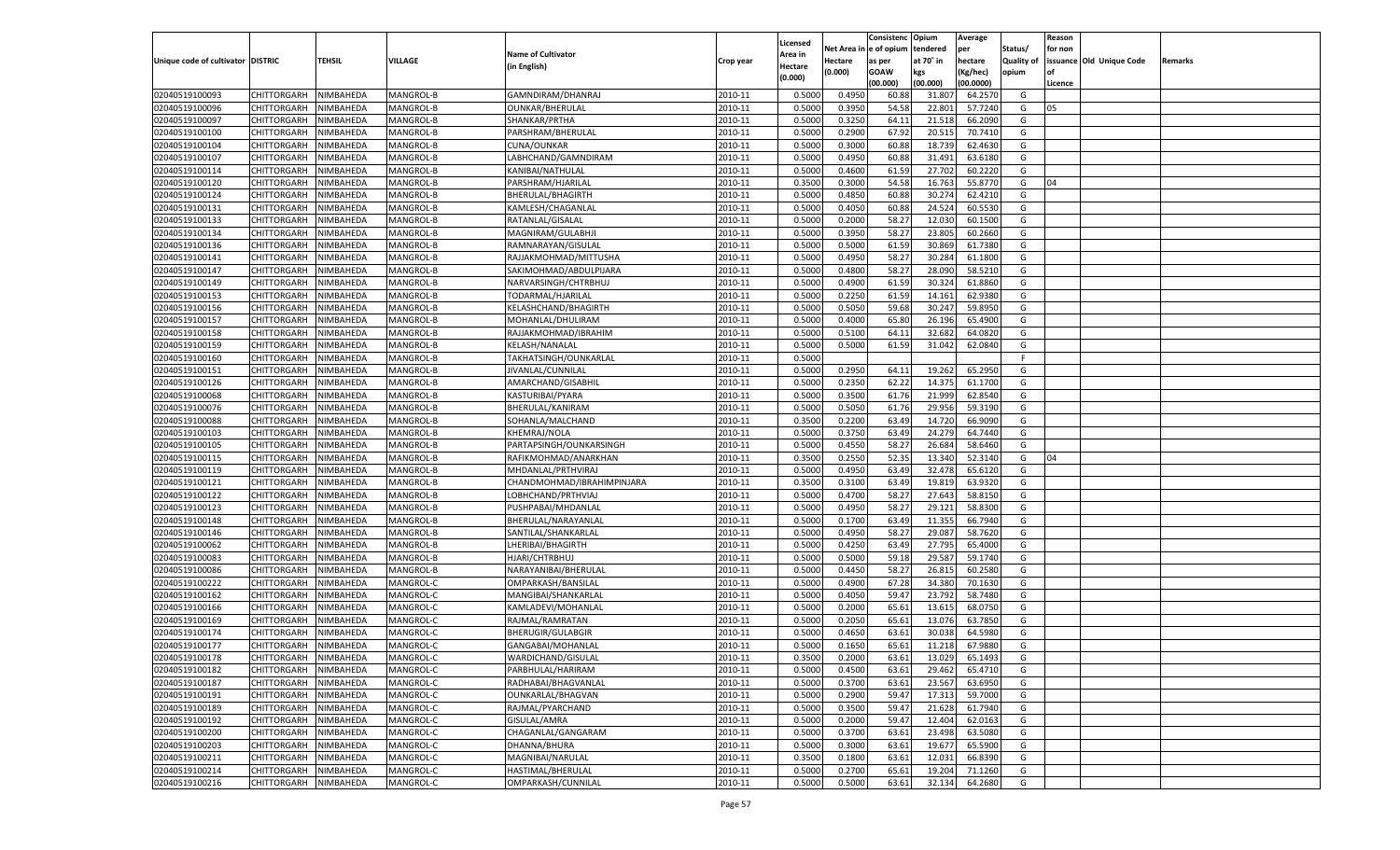|                                   |                       |               |                  |                            |           |                     |         | Consistenc Opium       |           | Average   |                   | Reason  |                          |         |
|-----------------------------------|-----------------------|---------------|------------------|----------------------------|-----------|---------------------|---------|------------------------|-----------|-----------|-------------------|---------|--------------------------|---------|
|                                   |                       |               |                  | <b>Name of Cultivator</b>  |           | Licensed<br>Area in |         | Net Area in e of opium | tendered  | per       | Status/           | for non |                          |         |
| Unique code of cultivator DISTRIC |                       | <b>TEHSIL</b> | VILLAGE          | (in English)               | Crop year | Hectare             | Hectare | as per                 | at 70° in | hectare   | <b>Quality of</b> |         | issuance Old Unique Code | Remarks |
|                                   |                       |               |                  |                            |           | (0.000)             | (0.000) | <b>GOAW</b>            | kgs       | (Kg/hec)  | opium             |         |                          |         |
|                                   |                       |               |                  |                            |           |                     |         | (00.000)               | (00.000)  | (00.0000) |                   | Licence |                          |         |
| 02040519100093                    | CHITTORGARH           | NIMBAHEDA     | MANGROL-B        | GAMNDIRAM/DHANRAJ          | 2010-11   | 0.5000              | 0.4950  | 60.88                  | 31.807    | 64.2570   | G                 |         |                          |         |
| 02040519100096                    | CHITTORGARH           | NIMBAHEDA     | MANGROL-B        | <b>OUNKAR/BHERULAL</b>     | 2010-11   | 0.5000              | 0.3950  | 54.58                  | 22.801    | 57.7240   | G                 | 05      |                          |         |
| 02040519100097                    | CHITTORGARH           | NIMBAHEDA     | MANGROL-B        | SHANKAR/PRTHA              | 2010-11   | 0.5000              | 0.3250  | 64.11                  | 21.518    | 66.2090   | G                 |         |                          |         |
| 02040519100100                    | CHITTORGARH           | NIMBAHEDA     | MANGROL-B        | PARSHRAM/BHERULAL          | 2010-11   | 0.5000              | 0.2900  | 67.92                  | 20.515    | 70.7410   | G                 |         |                          |         |
| 02040519100104                    | CHITTORGARH           | NIMBAHEDA     | MANGROL-B        | CUNA/OUNKAR                | 2010-11   | 0.5000              | 0.3000  | 60.88                  | 18.739    | 62.4630   | G                 |         |                          |         |
| 02040519100107                    | CHITTORGARH           | NIMBAHEDA     | MANGROL-B        | LABHCHAND/GAMNDIRAM        | 2010-11   | 0.5000              | 0.4950  | 60.88                  | 31.491    | 63.6180   | G                 |         |                          |         |
| 02040519100114                    | CHITTORGARH           | NIMBAHEDA     | MANGROL-B        | KANIBAI/NATHULAL           | 2010-11   | 0.5000              | 0.4600  | 61.59                  | 27.702    | 60.2220   | G                 |         |                          |         |
| 02040519100120                    | CHITTORGARH           | NIMBAHEDA     | MANGROL-B        | PARSHRAM/HJARILAL          | 2010-11   | 0.3500              | 0.3000  | 54.58                  | 16.763    | 55.8770   | G                 | 04      |                          |         |
| 02040519100124                    | CHITTORGARH           | NIMBAHEDA     | MANGROL-B        | BHERULAL/BHAGIRTH          | 2010-11   | 0.5000              | 0.4850  | 60.88                  | 30.274    | 62.4210   | G                 |         |                          |         |
| 02040519100131                    | CHITTORGARH           | NIMBAHEDA     | MANGROL-B        | KAMLESH/CHAGANLAL          | 2010-11   | 0.5000              | 0.4050  | 60.88                  | 24.524    | 60.5530   | G                 |         |                          |         |
| 02040519100133                    | CHITTORGARH           | NIMBAHEDA     | MANGROL-B        | RATANLAL/GISALAL           | 2010-11   | 0.5000              | 0.2000  | 58.27                  | 12.030    | 60.1500   | G                 |         |                          |         |
| 02040519100134                    | CHITTORGARH           | NIMBAHEDA     | MANGROL-B        | MAGNIRAM/GULABHJI          | 2010-11   | 0.5000              | 0.3950  | 58.27                  | 23.805    | 60.2660   | G                 |         |                          |         |
| 02040519100136                    | CHITTORGARH           | NIMBAHEDA     | MANGROL-B        | RAMNARAYAN/GISULAL         | 2010-11   | 0.5000              | 0.5000  | 61.59                  | 30.869    | 61.7380   | G                 |         |                          |         |
| 02040519100141                    | CHITTORGARH           | NIMBAHEDA     | MANGROL-B        | RAJJAKMOHMAD/MITTUSHA      | 2010-11   | 0.5000              | 0.4950  | 58.27                  | 30.284    | 61.1800   | G                 |         |                          |         |
| 02040519100147                    | CHITTORGARH           | NIMBAHEDA     | MANGROL-B        | SAKIMOHMAD/ABDULPIJARA     | 2010-11   | 0.5000              | 0.4800  | 58.27                  | 28.090    | 58.5210   | G                 |         |                          |         |
| 02040519100149                    | CHITTORGARH           | NIMBAHEDA     | MANGROL-B        | NARVARSINGH/CHTRBHUJ       | 2010-11   | 0.5000              | 0.4900  | 61.59                  | 30.324    | 61.8860   | G                 |         |                          |         |
| 02040519100153                    | CHITTORGARH           | NIMBAHEDA     | MANGROL-B        | TODARMAL/HJARILAL          | 2010-11   | 0.5000              | 0.2250  | 61.59                  | 14.161    | 62.9380   | G                 |         |                          |         |
| 02040519100156                    | CHITTORGARH           | NIMBAHEDA     | MANGROL-B        | KELASHCHAND/BHAGIRTH       | 2010-11   | 0.5000              | 0.5050  | 59.68                  | 30.247    | 59.8950   | G                 |         |                          |         |
| 02040519100157                    | CHITTORGARH           | NIMBAHEDA     | MANGROL-B        | MOHANLAL/DHULIRAM          | 2010-11   | 0.5000              | 0.4000  | 65.80                  | 26.196    | 65.4900   | G                 |         |                          |         |
| 02040519100158                    | CHITTORGARH           | NIMBAHEDA     | MANGROL-B        | RAJJAKMOHMAD/IBRAHIM       | 2010-11   | 0.5000              | 0.5100  | 64.1                   | 32.682    | 64.0820   | G                 |         |                          |         |
| 02040519100159                    | CHITTORGARH           | NIMBAHEDA     | <b>MANGROL-B</b> | KELASH/NANALAL             | 2010-11   | 0.5000              | 0.5000  | 61.59                  | 31.042    | 62.0840   | G                 |         |                          |         |
| 02040519100160                    | CHITTORGARH           | NIMBAHEDA     | MANGROL-B        | TAKHATSINGH/OUNKARLAL      | 2010-11   | 0.5000              |         |                        |           |           | F.                |         |                          |         |
| 02040519100151                    | CHITTORGARH           | NIMBAHEDA     | MANGROL-B        | JIVANLAL/CUNNILAL          | 2010-11   | 0.5000              | 0.2950  | 64.11                  | 19.262    | 65.2950   | G                 |         |                          |         |
| 02040519100126                    | CHITTORGARH           | NIMBAHEDA     | MANGROL-B        | AMARCHAND/GISABHIL         | 2010-11   | 0.5000              | 0.2350  | 62.22                  | 14.375    | 61.1700   | G                 |         |                          |         |
| 02040519100068                    | CHITTORGARH           | NIMBAHEDA     | <b>MANGROL-B</b> | KASTURIBAI/PYARA           | 2010-11   | 0.5000              | 0.3500  | 61.76                  | 21.999    | 62.8540   | G                 |         |                          |         |
| 02040519100076                    | CHITTORGARH           | NIMBAHEDA     | <b>MANGROL-B</b> | BHERULAL/KANIRAM           | 2010-11   | 0.5000              | 0.5050  | 61.76                  | 29.956    | 59.3190   | G                 |         |                          |         |
| 02040519100088                    | CHITTORGARH           | NIMBAHEDA     | MANGROL-B        | SOHANLA/MALCHAND           | 2010-11   | 0.3500              | 0.2200  | 63.49                  | 14.720    | 66.9090   | G                 |         |                          |         |
| 02040519100103                    | CHITTORGARH           | NIMBAHEDA     | MANGROL-B        | KHEMRAJ/NOLA               | 2010-11   | 0.5000              | 0.3750  | 63.49                  | 24.279    | 64.7440   | G                 |         |                          |         |
| 02040519100105                    | CHITTORGARH           | NIMBAHEDA     | <b>MANGROL-B</b> | PARTAPSINGH/OUNKARSINGH    | 2010-11   | 0.5000              | 0.4550  | 58.27                  | 26.684    | 58.6460   | G                 |         |                          |         |
| 02040519100115                    | CHITTORGARH           | NIMBAHEDA     | MANGROL-B        | RAFIKMOHMAD/ANARKHAN       | 2010-11   | 0.3500              | 0.2550  | 52.35                  | 13.340    | 52.3140   | G                 | 04      |                          |         |
| 02040519100119                    | <b>CHITTORGARH</b>    | NIMBAHEDA     | MANGROL-B        | MHDANLAL/PRTHVIRAJ         | 2010-11   | 0.5000              | 0.4950  | 63.49                  | 32.478    | 65.6120   | G                 |         |                          |         |
| 02040519100121                    | CHITTORGARH           | NIMBAHEDA     | MANGROL-B        | CHANDMOHMAD/IBRAHIMPINJARA | 2010-11   | 0.3500              | 0.3100  | 63.49                  | 19.819    | 63.9320   | G                 |         |                          |         |
| 02040519100122                    | <b>CHITTORGARH</b>    | NIMBAHEDA     | MANGROL-B        | LOBHCHAND/PRTHVIAJ         | 2010-11   | 0.5000              | 0.4700  | 58.27                  | 27.643    | 58.8150   | G                 |         |                          |         |
| 02040519100123                    | CHITTORGARH           | NIMBAHEDA     | MANGROL-B        | PUSHPABAI/MHDANLAL         | 2010-11   | 0.5000              | 0.4950  | 58.27                  | 29.121    | 58.8300   | G                 |         |                          |         |
| 02040519100148                    | <b>CHITTORGARH</b>    | NIMBAHEDA     | MANGROL-B        | BHERULAL/NARAYANLAI        | 2010-11   | 0.5000              | 0.1700  | 63.49                  | 11.355    | 66.7940   | G                 |         |                          |         |
| 02040519100146                    | CHITTORGARH           | NIMBAHEDA     | MANGROL-B        | SANTILAL/SHANKARLAL        | 2010-11   | 0.5000              | 0.4950  | 58.27                  | 29.087    | 58.7620   | G                 |         |                          |         |
| 02040519100062                    | <b>CHITTORGARH</b>    | NIMBAHEDA     | MANGROL-B        | LHERIBAI/BHAGIRTH          | 2010-11   | 0.5000              | 0.4250  | 63.49                  | 27.795    | 65.4000   | G                 |         |                          |         |
| 02040519100083                    | CHITTORGARH           | NIMBAHEDA     | MANGROL-B        | HJARI/CHTRBHUJ             | 2010-11   | 0.5000              | 0.5000  | 59.18                  | 29.587    | 59.1740   | G                 |         |                          |         |
| 02040519100086                    | <b>CHITTORGARH</b>    | NIMBAHEDA     | MANGROL-B        | NARAYANIBAI/BHERULAL       | 2010-11   | 0.5000              | 0.4450  | 58.27                  | 26.815    | 60.2580   | G                 |         |                          |         |
| 02040519100222                    | <b>CHITTORGARH</b>    | NIMBAHEDA     | MANGROL-C        | OMPARKASH/BANSILAL         | 2010-11   | 0.5000              | 0.4900  | 67.28                  | 34.380    | 70.1630   | G                 |         |                          |         |
| 02040519100162                    | <b>CHITTORGARH</b>    | NIMBAHEDA     | MANGROL-C        | MANGIBAI/SHANKARLAI        | 2010-11   | 0.5000              | 0.4050  | 59.47                  | 23.792    | 58.7480   | G                 |         |                          |         |
| 02040519100166                    | <b>CHITTORGARH</b>    | NIMBAHEDA     | MANGROL-C        | KAMLADEVI/MOHANLAL         | 2010-11   | 0.5000              | 0.2000  | 65.61                  | 13.615    | 68.0750   | G                 |         |                          |         |
| 02040519100169                    | <b>CHITTORGARH</b>    | NIMBAHEDA     | MANGROL-C        | RAJMAL/RAMRATAN            | 2010-11   | 0.5000              | 0.2050  | 65.61                  | 13.076    | 63.7850   | G                 |         |                          |         |
| 02040519100174                    | CHITTORGARH           | NIMBAHEDA     | MANGROL-C        | BHERUGIR/GULABGIR          | 2010-11   | 0.5000              | 0.4650  | 63.61                  | 30.038    | 64.5980   | G                 |         |                          |         |
| 02040519100177                    | CHITTORGARH           | NIMBAHEDA     | MANGROL-C        | GANGABAI/MOHANLAI          | 2010-11   | 0.5000              | 0.1650  | 65.61                  | 11.218    | 67.9880   | G                 |         |                          |         |
| 02040519100178                    | CHITTORGARH NIMBAHEDA |               | MANGROL-C        | WARDICHAND/GISULAL         | 2010-11   | 0.3500              | 0.2000  | 63.61                  | 13.029    | 65.1493   | G                 |         |                          |         |
| 02040519100182                    | <b>CHITTORGARH</b>    | NIMBAHEDA     | MANGROL-C        | PARBHULAL/HARIRAM          | 2010-11   | 0.5000              | 0.4500  | 63.61                  | 29.462    | 65.4710   | G                 |         |                          |         |
| 02040519100187                    | <b>CHITTORGARH</b>    | NIMBAHEDA     | MANGROL-C        | RADHABAI/BHAGVANLAL        | 2010-11   | 0.5000              | 0.3700  | 63.61                  | 23.567    | 63.6950   | G                 |         |                          |         |
| 02040519100191                    | <b>CHITTORGARH</b>    | NIMBAHEDA     | MANGROL-C        | OUNKARLAL/BHAGVAN          | 2010-11   | 0.5000              | 0.2900  | 59.47                  | 17.313    | 59.7000   | G                 |         |                          |         |
| 02040519100189                    | <b>CHITTORGARH</b>    | NIMBAHEDA     | MANGROL-C        | RAJMAL/PYARCHAND           | 2010-11   | 0.5000              | 0.3500  | 59.47                  | 21.628    | 61.7940   | G                 |         |                          |         |
| 02040519100192                    | <b>CHITTORGARH</b>    | NIMBAHEDA     | MANGROL-C        | GISULAL/AMRA               | 2010-11   | 0.5000              | 0.2000  | 59.47                  | 12.404    | 62.0163   | G                 |         |                          |         |
| 02040519100200                    | <b>CHITTORGARH</b>    | NIMBAHEDA     | MANGROL-C        | CHAGANLAL/GANGARAM         | 2010-11   | 0.5000              | 0.3700  | 63.61                  | 23.498    | 63.5080   | G                 |         |                          |         |
| 02040519100203                    | <b>CHITTORGARH</b>    | NIMBAHEDA     | MANGROL-C        | DHANNA/BHURA               | 2010-11   | 0.5000              | 0.3000  | 63.61                  | 19.677    | 65.5900   | G                 |         |                          |         |
| 02040519100211                    | <b>CHITTORGARH</b>    | NIMBAHEDA     | MANGROL-C        | MAGNIBAI/NARULAL           | 2010-11   | 0.3500              | 0.1800  | 63.61                  | 12.031    | 66.8390   | G                 |         |                          |         |
| 02040519100214                    | <b>CHITTORGARH</b>    | NIMBAHEDA     | MANGROL-C        | HASTIMAL/BHERULAL          | 2010-11   | 0.5000              | 0.2700  | 65.61                  | 19.204    | 71.1260   | G                 |         |                          |         |
| 02040519100216                    | <b>CHITTORGARH</b>    | NIMBAHEDA     | MANGROL-C        | OMPARKASH/CUNNILAL         | 2010-11   | 0.5000              | 0.5000  | 63.61                  | 32.134    | 64.2680   | G                 |         |                          |         |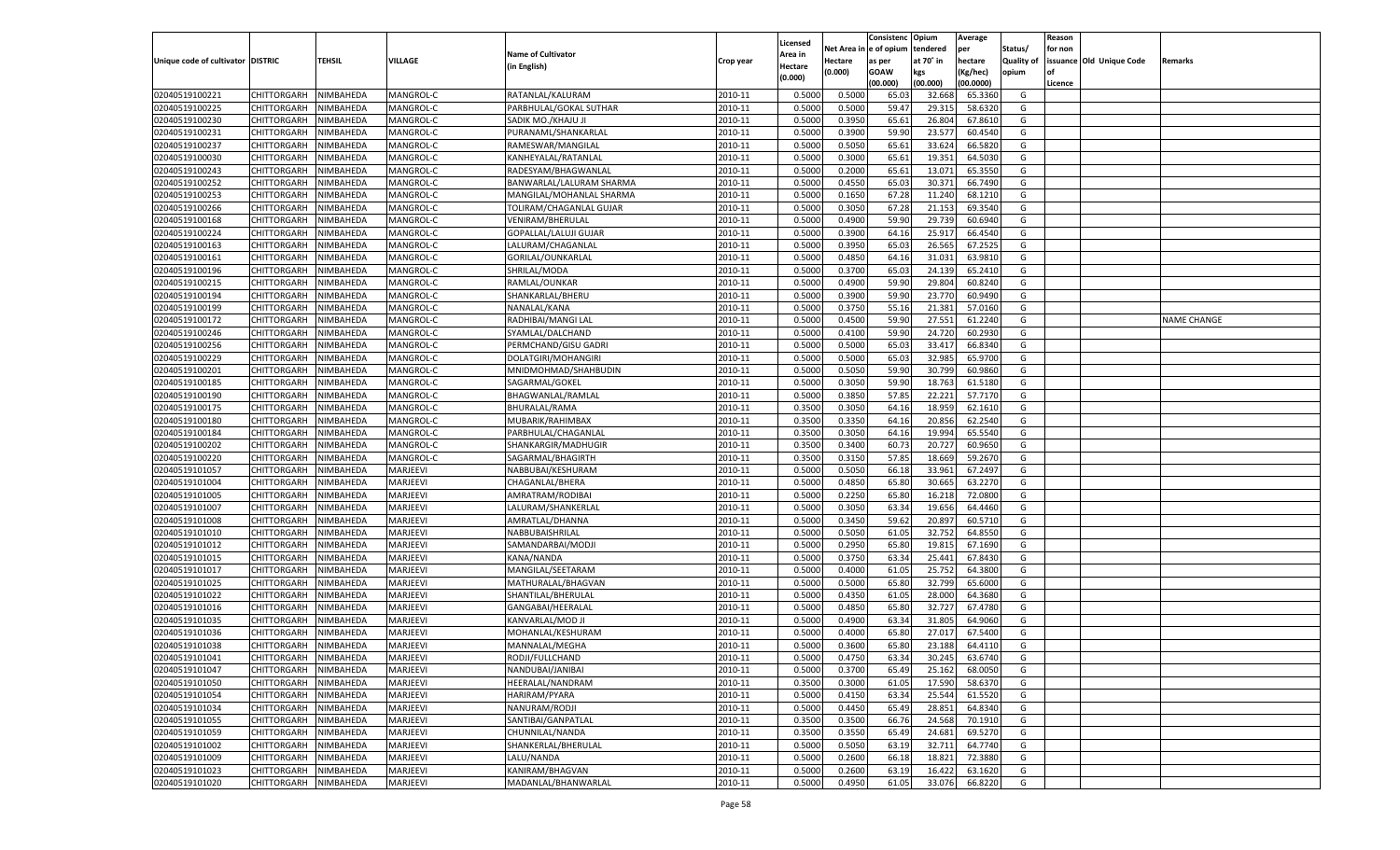|                                   |                            |               |           |                           |           |                           |          | Consistenc  | Opium     | Average   |                   | Reason  |                          |                    |
|-----------------------------------|----------------------------|---------------|-----------|---------------------------|-----------|---------------------------|----------|-------------|-----------|-----------|-------------------|---------|--------------------------|--------------------|
|                                   |                            |               |           | <b>Name of Cultivator</b> |           | Licensed                  | Net Area | e of opium  | tendered  | per       | Status/           | for non |                          |                    |
| Unique code of cultivator DISTRIC |                            | <b>TEHSIL</b> | VILLAGE   | (in English)              | Crop year | <b>Area in</b><br>Hectare | Hectare  | as per      | at 70° in | hectare   | <b>Quality of</b> |         | issuance Old Unique Code | Remarks            |
|                                   |                            |               |           |                           |           | (0.000)                   | (0.000)  | <b>GOAW</b> | kgs       | (Kg/hec)  | opium             |         |                          |                    |
|                                   |                            |               |           |                           |           |                           |          | (00.000)    | (00.000)  | (00.0000) |                   | Licence |                          |                    |
| 02040519100221                    | CHITTORGARH                | NIMBAHEDA     | MANGROL-C | RATANLAL/KALURAM          | 2010-11   | 0.5000                    | 0.5000   | 65.03       | 32.668    | 65.3360   | G                 |         |                          |                    |
| 02040519100225                    | CHITTORGARH                | NIMBAHEDA     | MANGROL-C | PARBHULAL/GOKAL SUTHAR    | 2010-11   | 0.5000                    | 0.5000   | 59.4        | 29.31     | 58.6320   | G                 |         |                          |                    |
| 02040519100230                    | CHITTORGARH                | NIMBAHEDA     | MANGROL-C | SADIK MO./KHAJU JI        | 2010-11   | 0.5000                    | 0.3950   | 65.61       | 26.804    | 67.8610   | G                 |         |                          |                    |
| 02040519100231                    | CHITTORGARH                | NIMBAHEDA     | MANGROL-C | PURANAML/SHANKARLAL       | 2010-11   | 0.5000                    | 0.3900   | 59.90       | 23.577    | 60.4540   | G                 |         |                          |                    |
| 02040519100237                    | CHITTORGARH                | NIMBAHEDA     | MANGROL-C | RAMESWAR/MANGILAI         | 2010-11   | 0.5000                    | 0.5050   | 65.61       | 33.624    | 66.5820   | G                 |         |                          |                    |
| 02040519100030                    | CHITTORGARH                | NIMBAHEDA     | MANGROL-C | KANHEYALAL/RATANLAL       | 2010-11   | 0.5000                    | 0.3000   | 65.61       | 19.35     | 64.5030   | G                 |         |                          |                    |
| 02040519100243                    | CHITTORGARH                | NIMBAHEDA     | MANGROL-C | RADESYAM/BHAGWANLAL       | 2010-11   | 0.5000                    | 0.2000   | 65.61       | 13.071    | 65.3550   | G                 |         |                          |                    |
| 02040519100252                    | CHITTORGARH                | NIMBAHEDA     | MANGROL-C | BANWARLAL/LALURAM SHARMA  | 2010-11   | 0.5000                    | 0.4550   | 65.03       | 30.371    | 66.7490   | G                 |         |                          |                    |
| 02040519100253                    | CHITTORGARH                | NIMBAHEDA     | MANGROL-C | MANGILAL/MOHANLAL SHARMA  | 2010-11   | 0.5000                    | 0.1650   | 67.28       | 11.240    | 68.1210   | G                 |         |                          |                    |
| 02040519100266                    | CHITTORGARH                | NIMBAHEDA     | MANGROL-C | TOLIRAM/CHAGANLAL GUJAR   | 2010-11   | 0.5000                    | 0.3050   | 67.28       | 21.153    | 69.3540   | G                 |         |                          |                    |
| 02040519100168                    | CHITTORGARH                | NIMBAHEDA     | MANGROL-C | VENIRAM/BHERULAL          | 2010-11   | 0.5000                    | 0.4900   | 59.90       | 29.73     | 60.6940   | G                 |         |                          |                    |
| 02040519100224                    | CHITTORGARH                | NIMBAHEDA     | MANGROL-C | GOPALLAL/LALUJI GUJAR     | 2010-11   | 0.5000                    | 0.3900   | 64.16       | 25.917    | 66.4540   | G                 |         |                          |                    |
| 02040519100163                    | CHITTORGARH                | NIMBAHEDA     | MANGROL-C | LALURAM/CHAGANLAL         | 2010-11   | 0.5000                    | 0.3950   | 65.03       | 26.565    | 67.2525   | G                 |         |                          |                    |
| 02040519100161                    | CHITTORGARH                | NIMBAHEDA     | MANGROL-C | GORILAL/OUNKARLAL         | 2010-11   | 0.5000                    | 0.4850   | 64.1        | 31.031    | 63.9810   | G                 |         |                          |                    |
| 02040519100196                    | CHITTORGARH                | NIMBAHEDA     | MANGROL-C | SHRILAL/MODA              | 2010-11   | 0.5000                    | 0.3700   | 65.03       | 24.139    | 65.2410   | G                 |         |                          |                    |
| 02040519100215                    | CHITTORGARH                | NIMBAHEDA     | MANGROL-C | RAMLAL/OUNKAR             | 2010-11   | 0.5000                    | 0.4900   | 59.90       | 29.804    | 60.8240   | G                 |         |                          |                    |
| 02040519100194                    | CHITTORGARH                | NIMBAHEDA     | MANGROL-C | SHANKARLAL/BHERU          | 2010-11   | 0.5000                    | 0.3900   | 59.90       | 23.770    | 60.9490   | G                 |         |                          |                    |
| 02040519100199                    | CHITTORGARH                | NIMBAHEDA     | MANGROL-C | NANALAL/KANA              | 2010-11   | 0.5000                    | 0.3750   | 55.16       | 21.381    | 57.0160   | G                 |         |                          |                    |
| 02040519100172                    | CHITTORGARH                | NIMBAHEDA     | MANGROL-C | RADHIBAI/MANGI LAL        | 2010-11   | 0.5000                    | 0.4500   | 59.90       | 27.551    | 61.2240   | G                 |         |                          | <b>NAME CHANGE</b> |
| 02040519100246                    | CHITTORGARH                | NIMBAHEDA     | MANGROL-C | SYAMLAL/DALCHAND          | 2010-11   | 0.5000                    | 0.4100   | 59.90       | 24.720    | 60.2930   | G                 |         |                          |                    |
| 02040519100256                    | CHITTORGARH                | NIMBAHEDA     | MANGROL-C | PERMCHAND/GISU GADRI      | 2010-11   | 0.5000                    | 0.5000   | 65.03       | 33.417    | 66.8340   | G                 |         |                          |                    |
| 02040519100229                    | CHITTORGARH                | NIMBAHEDA     | MANGROL-C | DOLATGIRI/MOHANGIRI       | 2010-11   | 0.5000                    | 0.5000   | 65.03       | 32.985    | 65.9700   | G                 |         |                          |                    |
| 02040519100201                    | CHITTORGARH                | NIMBAHEDA     | MANGROL-C | MNIDMOHMAD/SHAHBUDIN      | 2010-11   | 0.5000                    | 0.5050   | 59.90       | 30.799    | 60.9860   | G                 |         |                          |                    |
| 02040519100185                    | CHITTORGARH                | NIMBAHEDA     | MANGROL-C | SAGARMAL/GOKEI            | 2010-11   | 0.5000                    | 0.3050   | 59.90       | 18.763    | 61.5180   | G                 |         |                          |                    |
| 02040519100190                    | CHITTORGARH                | NIMBAHEDA     | MANGROL-C | BHAGWANLAL/RAMLAL         | 2010-11   | 0.5000                    | 0.3850   | 57.85       | 22.221    | 57.7170   | G                 |         |                          |                    |
| 02040519100175                    | CHITTORGARH                | NIMBAHEDA     | MANGROL-C | BHURALAL/RAMA             | 2010-11   | 0.3500                    | 0.3050   | 64.16       | 18.959    | 62.1610   | G                 |         |                          |                    |
| 02040519100180                    |                            |               |           |                           | 2010-11   | 0.3500                    | 0.3350   | 64.16       |           | 62.2540   | G                 |         |                          |                    |
|                                   | CHITTORGARH<br>CHITTORGARH | NIMBAHEDA     | MANGROL-C | MUBARIK/RAHIMBAX          | 2010-11   |                           |          |             | 20.856    | 65.5540   |                   |         |                          |                    |
| 02040519100184                    |                            | NIMBAHEDA     | MANGROL-C | PARBHULAL/CHAGANLAL       | 2010-11   | 0.3500                    | 0.3050   | 64.16       | 19.994    | 60.9650   | G<br>G            |         |                          |                    |
| 02040519100202                    | CHITTORGARH                | NIMBAHEDA     | MANGROL-C | SHANKARGIR/MADHUGIR       |           | 0.3500                    | 0.3400   | 60.73       | 20.727    |           |                   |         |                          |                    |
| 02040519100220                    | CHITTORGARH                | NIMBAHEDA     | MANGROL-C | SAGARMAL/BHAGIRTH         | 2010-11   | 0.3500                    | 0.3150   | 57.85       | 18.669    | 59.2670   | G                 |         |                          |                    |
| 02040519101057                    | CHITTORGARH                | NIMBAHEDA     | MARJEEVI  | NABBUBAI/KESHURAM         | 2010-11   | 0.5000                    | 0.5050   | 66.18       | 33.961    | 67.2497   | G                 |         |                          |                    |
| 02040519101004                    | CHITTORGARH                | NIMBAHEDA     | MARJEEVI  | CHAGANLAL/BHERA           | 2010-11   | 0.5000                    | 0.4850   | 65.80       | 30.665    | 63.2270   | G                 |         |                          |                    |
| 02040519101005                    | <b>CHITTORGARH</b>         | NIMBAHEDA     | MARJEEVI  | AMRATRAM/RODIBAI          | 2010-11   | 0.5000                    | 0.2250   | 65.80       | 16.21     | 72.0800   | G                 |         |                          |                    |
| 02040519101007                    | CHITTORGARH                | NIMBAHEDA     | MARJEEVI  | LALURAM/SHANKERLAI        | 2010-11   | 0.5000                    | 0.3050   | 63.34       | 19.656    | 64.4460   | G                 |         |                          |                    |
| 02040519101008                    | <b>CHITTORGARH</b>         | NIMBAHEDA     | MARJEEVI  | AMRATLAL/DHANNA           | 2010-11   | 0.5000                    | 0.3450   | 59.62       | 20.897    | 60.5710   | G                 |         |                          |                    |
| 02040519101010                    | CHITTORGARH                | NIMBAHEDA     | MARJEEVI  | NABBUBAISHRILAL           | 2010-11   | 0.5000                    | 0.5050   | 61.05       | 32.752    | 64.8550   | G                 |         |                          |                    |
| 02040519101012                    | <b>CHITTORGARH</b>         | NIMBAHEDA     | MARJEEVI  | SAMANDARBAI/MODJI         | 2010-11   | 0.5000                    | 0.2950   | 65.80       | 19.815    | 67.1690   | G                 |         |                          |                    |
| 02040519101015                    | CHITTORGARH                | NIMBAHEDA     | MARJEEVI  | KANA/NANDA                | 2010-11   | 0.5000                    | 0.3750   | 63.34       | 25.44     | 67.8430   | G                 |         |                          |                    |
| 02040519101017                    | <b>CHITTORGARH</b>         | NIMBAHEDA     | MARJEEVI  | MANGILAL/SEETARAM         | 2010-11   | 0.5000                    | 0.4000   | 61.05       | 25.752    | 64.3800   | G                 |         |                          |                    |
| 02040519101025                    | CHITTORGARH                | NIMBAHEDA     | MARJEEVI  | MATHURALAL/BHAGVAN        | 2010-11   | 0.5000                    | 0.5000   | 65.80       | 32.799    | 65.6000   | G                 |         |                          |                    |
| 02040519101022                    | <b>CHITTORGARH</b>         | NIMBAHEDA     | MARJEEVI  | SHANTILAL/BHERULAL        | 2010-11   | 0.5000                    | 0.4350   | 61.05       | 28.000    | 64.3680   | G                 |         |                          |                    |
| 02040519101016                    | CHITTORGARH                | NIMBAHEDA     | MARJEEVI  | GANGABAI/HEERALAL         | 2010-11   | 0.5000                    | 0.4850   | 65.80       | 32.727    | 67.4780   | G                 |         |                          |                    |
| 02040519101035                    | CHITTORGARH                | NIMBAHEDA     | MARJEEVI  | KANVARLAL/MOD JI          | 2010-11   | 0.5000                    | 0.4900   | 63.34       | 31.805    | 64.9060   | G                 |         |                          |                    |
| 02040519101036                    | CHITTORGARH                | NIMBAHEDA     | MARJEEVI  | MOHANLAL/KESHURAM         | 2010-11   | 0.5000                    | 0.4000   | 65.80       | 27.01     | 67.5400   | G                 |         |                          |                    |
| 02040519101038                    | CHITTORGARH                | NIMBAHEDA     | MARJEEVI  | MANNALAL/MEGHA            | 2010-11   | 0.5000                    | 0.3600   | 65.80       | 23.188    | 64.4110   | G                 |         |                          |                    |
| 02040519101041                    | CHITTORGARH NIMBAHEDA      |               | MARJEEVI  | RODJI/FULLCHAND           | 2010-11   | 0.5000                    | 0.4750   | 63.34       | 30.245    | 63.6740   | G                 |         |                          |                    |
| 02040519101047                    | <b>CHITTORGARH</b>         | NIMBAHEDA     | MARJEEVI  | NANDUBAI/JANIBAI          | 2010-11   | 0.5000                    | 0.3700   | 65.49       | 25.162    | 68.0050   | G                 |         |                          |                    |
| 02040519101050                    | <b>CHITTORGARH</b>         | NIMBAHEDA     | MARJEEVI  | HEERALAL/NANDRAM          | 2010-11   | 0.3500                    | 0.3000   | 61.05       | 17.590    | 58.6370   | G                 |         |                          |                    |
| 02040519101054                    | <b>CHITTORGARH</b>         | NIMBAHEDA     | MARJEEVI  | HARIRAM/PYARA             | 2010-11   | 0.5000                    | 0.4150   | 63.34       | 25.544    | 61.5520   | G                 |         |                          |                    |
| 02040519101034                    | <b>CHITTORGARH</b>         | NIMBAHEDA     | MARJEEVI  | NANURAM/RODJI             | 2010-11   | 0.5000                    | 0.4450   | 65.49       | 28.851    | 64.8340   | G                 |         |                          |                    |
| 02040519101055                    | <b>CHITTORGARH</b>         | NIMBAHEDA     | MARJEEVI  | SANTIBAI/GANPATLAL        | 2010-11   | 0.3500                    | 0.3500   | 66.76       | 24.568    | 70.1910   | G                 |         |                          |                    |
| 02040519101059                    | <b>CHITTORGARH</b>         | NIMBAHEDA     | MARJEEVI  | CHUNNILAL/NANDA           | 2010-11   | 0.3500                    | 0.3550   | 65.49       | 24.681    | 69.5270   | G                 |         |                          |                    |
| 02040519101002                    | <b>CHITTORGARH</b>         | NIMBAHEDA     | MARJEEVI  | SHANKERLAL/BHERULAL       | 2010-11   | 0.5000                    | 0.5050   | 63.19       | 32.711    | 64.7740   | G                 |         |                          |                    |
| 02040519101009                    | <b>CHITTORGARH</b>         | NIMBAHEDA     | MARJEEVI  | LALU/NANDA                | 2010-11   | 0.5000                    | 0.2600   | 66.18       | 18.821    | 72.3880   | G                 |         |                          |                    |
| 02040519101023                    | <b>CHITTORGARH</b>         | NIMBAHEDA     | MARJEEVI  | KANIRAM/BHAGVAN           | 2010-11   | 0.5000                    | 0.2600   | 63.19       | 16.422    | 63.1620   | G                 |         |                          |                    |
| 02040519101020                    | <b>CHITTORGARH</b>         | NIMBAHEDA     | MARJEEVI  | MADANLAL/BHANWARLAL       | 2010-11   | 0.5000                    | 0.4950   | 61.05       | 33.076    | 66.8220   | G                 |         |                          |                    |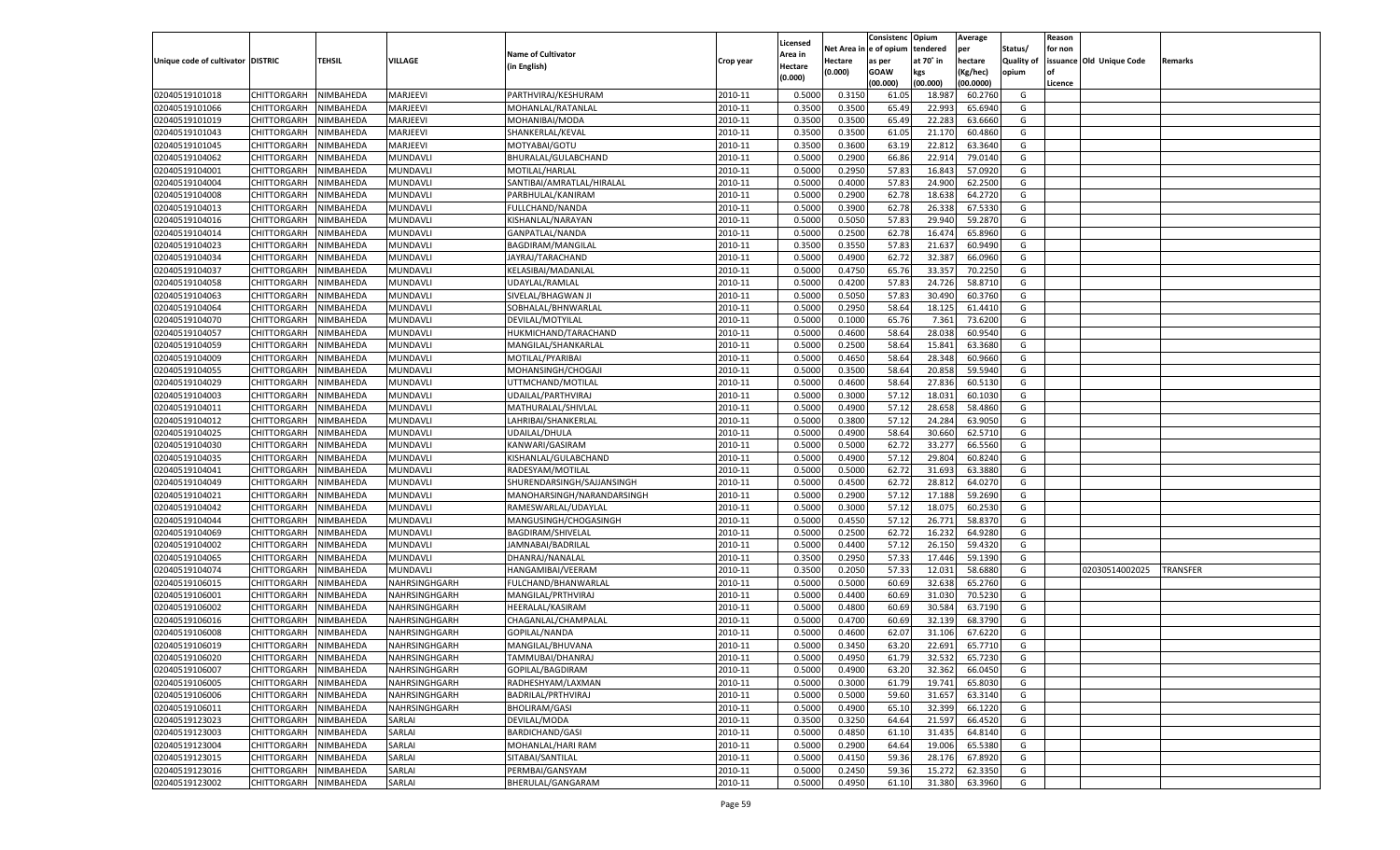|                                   |                       |               |               |                            |           |                           |          | Consistenc  | Opium     | Average   |                   | Reason  |                          |                 |
|-----------------------------------|-----------------------|---------------|---------------|----------------------------|-----------|---------------------------|----------|-------------|-----------|-----------|-------------------|---------|--------------------------|-----------------|
|                                   |                       |               |               | <b>Name of Cultivator</b>  |           | Licensed                  | Net Area | e of opium  | tendered  | per       | Status/           | for non |                          |                 |
| Unique code of cultivator DISTRIC |                       | <b>TEHSIL</b> | VILLAGE       | (in English)               | Crop year | <b>Area in</b><br>Hectare | Hectare  | as per      | at 70° in | hectare   | <b>Quality of</b> |         | issuance Old Unique Code | Remarks         |
|                                   |                       |               |               |                            |           | (0.000)                   | (0.000)  | <b>GOAW</b> | kgs       | (Kg/hec)  | opium             |         |                          |                 |
|                                   |                       |               |               |                            |           |                           |          | (00.000)    | (00.000)  | (00.0000) |                   | Licence |                          |                 |
| 02040519101018                    | CHITTORGARH           | NIMBAHEDA     | MARJEEVI      | PARTHVIRAJ/KESHURAM        | 2010-11   | 0.5000                    | 0.3150   | 61.05       | 18.987    | 60.2760   | G                 |         |                          |                 |
| 02040519101066                    | CHITTORGARH           | NIMBAHEDA     | MARJEEVI      | MOHANLAL/RATANLAL          | 2010-11   | 0.3500                    | 0.3500   | 65.49       | 22.993    | 65.6940   | G                 |         |                          |                 |
| 02040519101019                    | CHITTORGARH           | NIMBAHEDA     | MARJEEVI      | MOHANIBAI/MODA             | 2010-11   | 0.3500                    | 0.3500   | 65.49       | 22.283    | 63.6660   | G                 |         |                          |                 |
| 02040519101043                    | CHITTORGARH           | NIMBAHEDA     | MARJEEVI      | SHANKERLAL/KEVAL           | 2010-11   | 0.3500                    | 0.3500   | 61.05       | 21.170    | 60.4860   | G                 |         |                          |                 |
| 02040519101045                    | CHITTORGARH           | NIMBAHEDA     | MARJEEVI      | MOTYABAI/GOTU              | 2010-11   | 0.3500                    | 0.3600   | 63.19       | 22.812    | 63.3640   | G                 |         |                          |                 |
| 02040519104062                    | CHITTORGARH           | NIMBAHEDA     | MUNDAVLI      | BHURALAL/GULABCHAND        | 2010-11   | 0.5000                    | 0.2900   | 66.86       | 22.91     | 79.0140   | G                 |         |                          |                 |
| 02040519104001                    | CHITTORGARH           | NIMBAHEDA     | MUNDAVLI      | MOTILAL/HARLAL             | 2010-11   | 0.5000                    | 0.2950   | 57.83       | 16.84     | 57.0920   | G                 |         |                          |                 |
| 02040519104004                    | CHITTORGARH           | NIMBAHEDA     | MUNDAVLI      | SANTIBAI/AMRATLAL/HIRALAL  | 2010-11   | 0.5000                    | 0.4000   | 57.83       | 24.900    | 62.2500   | G                 |         |                          |                 |
| 02040519104008                    | CHITTORGARH           | NIMBAHEDA     | MUNDAVLI      | PARBHULAL/KANIRAM          | 2010-11   | 0.5000                    | 0.2900   | 62.78       | 18.638    | 64.2720   | G                 |         |                          |                 |
| 02040519104013                    | CHITTORGARH           | NIMBAHEDA     | MUNDAVLI      | FULLCHAND/NANDA            | 2010-11   | 0.5000                    | 0.3900   | 62.78       | 26.33     | 67.5330   | G                 |         |                          |                 |
| 02040519104016                    | CHITTORGARH           | NIMBAHEDA     | MUNDAVLI      | KISHANLAL/NARAYAN          | 2010-11   | 0.5000                    | 0.5050   | 57.83       | 29.94     | 59.2870   | G                 |         |                          |                 |
| 02040519104014                    | CHITTORGARH           | NIMBAHEDA     | MUNDAVLI      | GANPATLAL/NANDA            | 2010-11   | 0.5000                    | 0.2500   | 62.78       | 16.47     | 65.8960   | G                 |         |                          |                 |
| 02040519104023                    | CHITTORGARH           | NIMBAHEDA     | MUNDAVLI      | BAGDIRAM/MANGILAL          | 2010-11   | 0.3500                    | 0.3550   | 57.83       | 21.637    | 60.9490   | G                 |         |                          |                 |
| 02040519104034                    | CHITTORGARH           | NIMBAHEDA     | MUNDAVLI      | JAYRAJ/TARACHAND           | 2010-11   | 0.5000                    | 0.4900   | 62.72       | 32.387    | 66.0960   | G                 |         |                          |                 |
| 02040519104037                    | CHITTORGARH           | NIMBAHEDA     | MUNDAVLI      | KELASIBAI/MADANLAL         | 2010-11   | 0.5000                    | 0.4750   | 65.76       | 33.357    | 70.2250   | G                 |         |                          |                 |
| 02040519104058                    | CHITTORGARH           | NIMBAHEDA     | MUNDAVLI      | UDAYLAL/RAMLAL             | 2010-11   | 0.5000                    | 0.4200   | 57.83       | 24.726    | 58.8710   | G                 |         |                          |                 |
| 02040519104063                    | CHITTORGARH           | NIMBAHEDA     | MUNDAVLI      | SIVELAL/BHAGWAN JI         | 2010-11   | 0.5000                    | 0.5050   | 57.83       | 30.490    | 60.3760   | G                 |         |                          |                 |
| 02040519104064                    | CHITTORGARH           | NIMBAHEDA     | MUNDAVLI      | SOBHALAL/BHNWARLAL         | 2010-11   | 0.5000                    | 0.2950   | 58.64       | 18.125    | 61.4410   | G                 |         |                          |                 |
| 02040519104070                    | CHITTORGARH           | NIMBAHEDA     | MUNDAVLI      | DEVILAL/MOTYILAL           | 2010-11   | 0.5000                    | 0.1000   | 65.76       | 7.361     | 73.6200   | G                 |         |                          |                 |
| 02040519104057                    | CHITTORGARH           | NIMBAHEDA     | MUNDAVLI      | HUKMICHAND/TARACHAND       | 2010-11   | 0.5000                    | 0.4600   | 58.64       | 28.038    | 60.9540   | G                 |         |                          |                 |
| 02040519104059                    | CHITTORGARH           | NIMBAHEDA     | MUNDAVLI      | MANGILAL/SHANKARLAI        | 2010-11   | 0.5000                    | 0.2500   | 58.64       | 15.841    | 63.3680   | G                 |         |                          |                 |
| 02040519104009                    | CHITTORGARH           | NIMBAHEDA     | MUNDAVLI      | MOTILAL/PYARIBAI           | 2010-11   | 0.5000                    | 0.4650   | 58.64       | 28.348    | 60.9660   | G                 |         |                          |                 |
| 02040519104055                    | CHITTORGARH           | NIMBAHEDA     | MUNDAVLI      | MOHANSINGH/CHOGAJI         | 2010-11   | 0.5000                    | 0.3500   | 58.64       | 20.858    | 59.5940   | G                 |         |                          |                 |
| 02040519104029                    | CHITTORGARH           | NIMBAHEDA     | MUNDAVLI      | UTTMCHAND/MOTILAL          | 2010-11   | 0.5000                    | 0.4600   | 58.64       | 27.836    | 60.5130   | G                 |         |                          |                 |
| 02040519104003                    | CHITTORGARH           | NIMBAHEDA     | MUNDAVLI      | UDAILAL/PARTHVIRAJ         | 2010-11   | 0.5000                    | 0.3000   | 57.12       | 18.031    | 60.1030   | G                 |         |                          |                 |
| 02040519104011                    | CHITTORGARH           | NIMBAHEDA     | MUNDAVLI      | MATHURALAL/SHIVLAL         | 2010-11   | 0.5000                    | 0.4900   | 57.12       | 28.658    | 58.4860   | G                 |         |                          |                 |
| 02040519104012                    | CHITTORGARH           | NIMBAHEDA     | MUNDAVLI      | LAHRIBAI/SHANKERLAL        | 2010-11   | 0.5000                    | 0.3800   | 57.12       | 24.284    | 63.9050   | G                 |         |                          |                 |
| 02040519104025                    | CHITTORGARH           | NIMBAHEDA     | MUNDAVLI      | UDAILAL/DHULA              | 2010-11   | 0.5000                    | 0.4900   | 58.64       | 30.660    | 62.5710   | G                 |         |                          |                 |
| 02040519104030                    | CHITTORGARH           | NIMBAHEDA     | MUNDAVLI      | KANWARI/GASIRAM            | 2010-11   | 0.5000                    | 0.5000   | 62.72       | 33.277    | 66.5560   | G                 |         |                          |                 |
| 02040519104035                    | CHITTORGARH           | NIMBAHEDA     | MUNDAVLI      | KISHANLAL/GULABCHAND       | 2010-11   | 0.5000                    | 0.4900   | 57.12       | 29.804    | 60.8240   | G                 |         |                          |                 |
| 02040519104041                    | CHITTORGARH           | NIMBAHEDA     | MUNDAVLI      | RADESYAM/MOTILAL           | 2010-11   | 0.5000                    | 0.5000   | 62.72       | 31.693    | 63.3880   | G                 |         |                          |                 |
| 02040519104049                    | CHITTORGARH           | NIMBAHEDA     | MUNDAVLI      | SHURENDARSINGH/SAJJANSINGH | 2010-11   | 0.5000                    | 0.4500   | 62.72       | 28.81     | 64.0270   | G                 |         |                          |                 |
| 02040519104021                    | CHITTORGARH           | NIMBAHEDA     | MUNDAVLI      | MANOHARSINGH/NARANDARSINGH | 2010-11   | 0.5000                    | 0.2900   | 57.12       | 17.188    | 59.2690   | G                 |         |                          |                 |
| 02040519104042                    | CHITTORGARH           | NIMBAHEDA     | MUNDAVLI      | RAMESWARLAL/UDAYLAL        | 2010-11   | 0.5000                    | 0.3000   | 57.12       | 18.07     | 60.2530   | G                 |         |                          |                 |
| 02040519104044                    | <b>CHITTORGARH</b>    | NIMBAHEDA     | MUNDAVLI      | MANGUSINGH/CHOGASINGH      | 2010-11   | 0.5000                    | 0.4550   | 57.12       | 26.771    | 58.8370   | G                 |         |                          |                 |
| 02040519104069                    | CHITTORGARH           | NIMBAHEDA     | MUNDAVLI      | BAGDIRAM/SHIVELAL          | 2010-11   | 0.5000                    | 0.2500   | 62.72       | 16.232    | 64.9280   | G                 |         |                          |                 |
| 02040519104002                    | CHITTORGARH           | NIMBAHEDA     | MUNDAVLI      | JAMNABAI/BADRILAL          | 2010-11   | 0.5000                    | 0.4400   | 57.12       | 26.15     | 59.4320   | G                 |         |                          |                 |
| 02040519104065                    | CHITTORGARH           | NIMBAHEDA     | MUNDAVLI      | DHANRAJ/NANALAL            | 2010-11   | 0.3500                    | 0.2950   | 57.33       | 17.44     | 59.1390   | G                 |         |                          |                 |
| 02040519104074                    | <b>CHITTORGARH</b>    | NIMBAHEDA     | MUNDAVLI      | HANGAMIBAI/VEERAM          | 2010-11   | 0.3500                    | 0.2050   | 57.33       | 12.03     | 58.6880   | G                 |         | 02030514002025           | <b>TRANSFER</b> |
| 02040519106015                    | CHITTORGARH           | NIMBAHEDA     | NAHRSINGHGARH | FULCHAND/BHANWARLAL        | 2010-11   | 0.5000                    | 0.5000   | 60.69       | 32.638    | 65.2760   | G                 |         |                          |                 |
| 02040519106001                    | CHITTORGARH           | NIMBAHEDA     | NAHRSINGHGARH | MANGILAL/PRTHVIRAJ         | 2010-11   | 0.5000                    | 0.4400   | 60.69       | 31.03     | 70.5230   | G                 |         |                          |                 |
| 02040519106002                    | CHITTORGARH           | NIMBAHEDA     | NAHRSINGHGARH | HEERALAL/KASIRAM           | 2010-11   | 0.5000                    | 0.4800   | 60.69       | 30.584    | 63.7190   | G                 |         |                          |                 |
| 02040519106016                    | CHITTORGARH           | NIMBAHEDA     | NAHRSINGHGARH | CHAGANLAL/CHAMPALAL        | 2010-11   | 0.5000                    | 0.4700   | 60.69       | 32.139    | 68.3790   | G                 |         |                          |                 |
| 02040519106008                    | CHITTORGARH           | NIMBAHEDA     | NAHRSINGHGARH | <b>GOPILAL/NANDA</b>       | 2010-11   | 0.5000                    | 0.4600   | 62.0        | 31.106    | 67.6220   | G                 |         |                          |                 |
|                                   |                       | NIMBAHEDA     |               |                            | 2010-11   | 0.5000                    | 0.3450   | 63.20       | 22.691    | 65.7710   | G                 |         |                          |                 |
| 02040519106019                    | CHITTORGARH           |               | NAHRSINGHGARH | MANGILAL/BHUVANA           |           |                           |          |             |           |           |                   |         |                          |                 |
| 02040519106020                    | CHITTORGARH NIMBAHEDA |               | NAHRSINGHGARH | TAMMUBAI/DHANRAJ           | 2010-11   | 0.5000                    | 0.4950   | 61.79       | 32.532    | 65.7230   | G                 |         |                          |                 |
| 02040519106007                    | <b>CHITTORGARH</b>    | NIMBAHEDA     | NAHRSINGHGARH | GOPILAL/BAGDIRAM           | 2010-11   | 0.5000                    | 0.4900   | 63.20       | 32.362    | 66.0450   | G                 |         |                          |                 |
| 02040519106005                    | <b>CHITTORGARH</b>    | NIMBAHEDA     | NAHRSINGHGARH | RADHESHYAM/LAXMAN          | 2010-11   | 0.5000                    | 0.3000   | 61.79       | 19.741    | 65.8030   | G                 |         |                          |                 |
| 02040519106006                    | <b>CHITTORGARH</b>    | NIMBAHEDA     | NAHRSINGHGARH | BADRILAL/PRTHVIRAJ         | 2010-11   | 0.5000                    | 0.5000   | 59.60       | 31.657    | 63.3140   | G                 |         |                          |                 |
| 02040519106011                    | <b>CHITTORGARH</b>    | NIMBAHEDA     | NAHRSINGHGARH | <b>BHOLIRAM/GASI</b>       | 2010-11   | 0.5000                    | 0.4900   | 65.10       | 32.399    | 66.1220   | G                 |         |                          |                 |
| 02040519123023                    | <b>CHITTORGARH</b>    | NIMBAHEDA     | SARLAI        | DEVILAL/MODA               | 2010-11   | 0.3500                    | 0.3250   | 64.64       | 21.597    | 66.4520   | G                 |         |                          |                 |
| 02040519123003                    | <b>CHITTORGARH</b>    | NIMBAHEDA     | SARLAI        | <b>BARDICHAND/GASI</b>     | 2010-11   | 0.5000                    | 0.4850   | 61.10       | 31.435    | 64.8140   | G                 |         |                          |                 |
| 02040519123004                    | <b>CHITTORGARH</b>    | NIMBAHEDA     | SARLAI        | MOHANLAL/HARI RAM          | 2010-11   | 0.5000                    | 0.2900   | 64.64       | 19.006    | 65.5380   | G                 |         |                          |                 |
| 02040519123015                    | <b>CHITTORGARH</b>    | NIMBAHEDA     | SARLAI        | SITABAI/SANTILAL           | 2010-11   | 0.5000                    | 0.4150   | 59.36       | 28.176    | 67.8920   | G                 |         |                          |                 |
| 02040519123016                    | <b>CHITTORGARH</b>    | NIMBAHEDA     | SARLAI        | PERMBAI/GANSYAM            | 2010-11   | 0.5000                    | 0.2450   | 59.36       | 15.272    | 62.3350   | G                 |         |                          |                 |
| 02040519123002                    | <b>CHITTORGARH</b>    | NIMBAHEDA     | SARLAI        | BHERULAL/GANGARAM          | 2010-11   | 0.5000                    | 0.4950   | 61.10       | 31.380    | 63.3960   | G                 |         |                          |                 |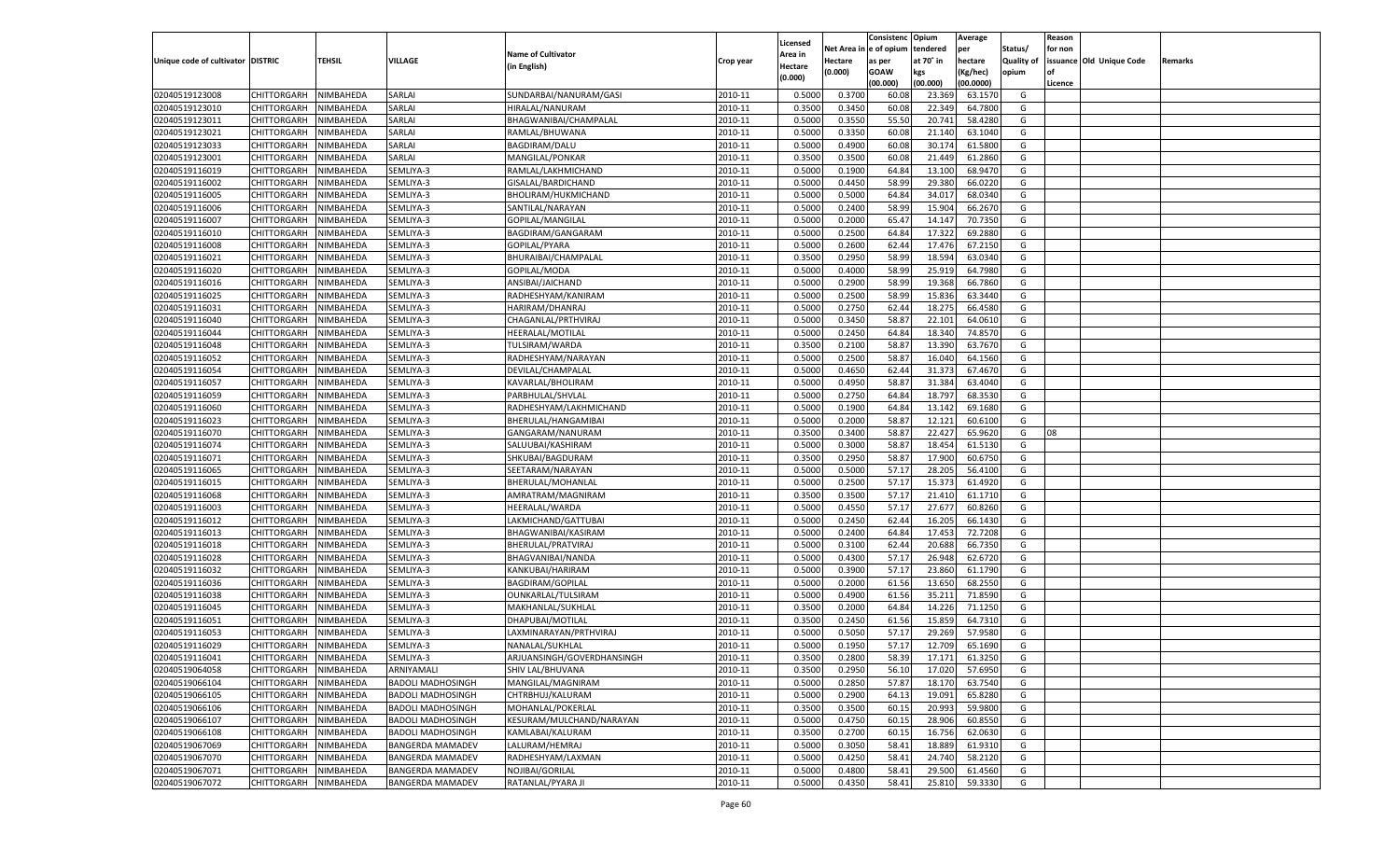| Net Area in e of opium<br>tendered<br>per<br>Status/<br>for non<br><b>Name of Cultivator</b><br>Area in<br><b>TEHSIL</b><br>Unique code of cultivator DISTRIC<br>VILLAGE<br>at 70° in<br>hectare<br><b>Quality of</b><br>issuance Old Unique Code<br>Hectare<br>Crop year<br>as per<br>Remarks<br>(in English)<br>Hectare<br>(0.000)<br><b>GOAW</b><br>kgs<br>(Kg/hec)<br>opium<br>(0.000)<br>(00.000)<br>(00.000)<br>(00.0000)<br>Licence<br>02040519123008<br>NIMBAHEDA<br>SUNDARBAI/NANURAM/GASI<br>0.5000<br>0.3700<br>CHITTORGARH<br>SARLAI<br>2010-11<br>60.08<br>23.369<br>63.1570<br>G<br>02040519123010<br>2010-11<br>60.08<br>CHITTORGARH<br>NIMBAHEDA<br>SARLAI<br>HIRALAL/NANURAM<br>0.3500<br>0.3450<br>22.349<br>64.7800<br>G<br>0.3550<br>55.50<br>02040519123011<br>CHITTORGARH<br>NIMBAHEDA<br>SARLAI<br>BHAGWANIBAI/CHAMPALAL<br>2010-11<br>0.5000<br>20.741<br>58.4280<br>G<br>0.3350<br>60.08<br>02040519123021<br>CHITTORGARH<br>NIMBAHEDA<br>SARLAI<br>RAMLAL/BHUWANA<br>2010-11<br>0.5000<br>21.140<br>63.1040<br>G<br>SARLAI<br>2010-11<br>0.5000<br>0.4900<br>60.08<br>30.174<br>61.5800<br>G<br>02040519123033<br>CHITTORGARH<br>NIMBAHEDA<br><b>BAGDIRAM/DALU</b><br>02040519123001<br>CHITTORGARH<br>NIMBAHEDA<br>SARLAI<br>MANGILAL/PONKAR<br>2010-11<br>0.3500<br>0.3500<br>60.08<br>21.449<br>61.2860<br>G<br>SEMLIYA-3<br>0.1900<br>02040519116019<br>CHITTORGARH<br>NIMBAHEDA<br>RAMLAL/LAKHMICHAND<br>2010-11<br>0.5000<br>64.84<br>13.100<br>68.9470<br>G<br>58.99<br>29.380<br>02040519116002<br>CHITTORGARH<br>NIMBAHEDA<br>SEMLIYA-3<br>GISALAL/BARDICHAND<br>2010-11<br>0.5000<br>0.4450<br>66.0220<br>G<br>SEMLIYA-3<br>2010-11<br>0.5000<br>0.5000<br>64.84<br>34.01<br>68.0340<br>G<br>02040519116005<br>CHITTORGARH<br>NIMBAHEDA<br>BHOLIRAM/HUKMICHAND<br>58.99<br>02040519116006<br>CHITTORGARH<br>NIMBAHEDA<br>SEMLIYA-3<br>SANTILAL/NARAYAN<br>2010-11<br>0.5000<br>0.2400<br>15.904<br>66.2670<br>G<br>SEMLIYA-3<br>2010-11<br>0.2000<br>65.47<br>02040519116007<br>CHITTORGARH<br>NIMBAHEDA<br>GOPILAL/MANGILAL<br>0.5000<br>14.14<br>70.7350<br>G<br>02040519116010<br>CHITTORGARH<br>NIMBAHEDA<br>SEMLIYA-3<br>BAGDIRAM/GANGARAM<br>2010-11<br>0.5000<br>0.2500<br>64.84<br>17.322<br>69.2880<br>G<br>SEMLIYA-3<br>2010-11<br>0.5000<br>0.2600<br>62.44<br>17.476<br>G<br>02040519116008<br>CHITTORGARH<br>NIMBAHEDA<br>GOPILAL/PYARA<br>67.2150<br>02040519116021<br>CHITTORGARH<br>SEMLIYA-3<br>2010-11<br>0.3500<br>0.2950<br>58.99<br>18.594<br>63.0340<br>G<br>NIMBAHEDA<br>BHURAIBAI/CHAMPALAL<br>02040519116020<br>SEMLIYA-3<br>GOPILAL/MODA<br>2010-11<br>0.5000<br>0.4000<br>58.99<br>25.919<br>64.7980<br>CHITTORGARH<br>NIMBAHEDA<br>G<br>02040519116016<br>2010-11<br>0.2900<br>58.99<br>19.368<br>66.7860<br>CHITTORGARH<br>NIMBAHEDA<br>SEMLIYA-3<br>ANSIBAI/JAICHAND<br>0.5000<br>G<br>02040519116025<br>CHITTORGARH<br>SEMLIYA-3<br>2010-11<br>0.5000<br>0.2500<br>58.99<br>15.836<br>63.3440<br>NIMBAHEDA<br>RADHESHYAM/KANIRAM<br>G<br>02040519116031<br>CHITTORGARH<br>2010-11<br>0.5000<br>0.2750<br>62.44<br>18.275<br>66.4580<br>G<br>NIMBAHEDA<br>SEMLIYA-3<br>HARIRAM/DHANRAJ<br>02040519116040<br>SEMLIYA-3<br>2010-11<br>0.5000<br>0.3450<br>58.87<br>22.101<br>G<br>CHITTORGARH<br>NIMBAHEDA<br>CHAGANLAL/PRTHVIRAJ<br>64.0610<br>02040519116044<br>2010-11<br>0.2450<br>64.84<br>18.340<br>74.8570<br>CHITTORGARH<br>NIMBAHEDA<br>SEMLIYA-3<br>HEERALAL/MOTILAL<br>0.5000<br>G<br>02040519116048<br>SEMLIYA-3<br>2010-11<br>0.3500<br>0.2100<br>58.87<br>13.390<br>63.7670<br>CHITTORGARH<br>NIMBAHEDA<br>TULSIRAM/WARDA<br>G<br>02040519116052<br>CHITTORGARH<br>2010-11<br>0.5000<br>0.2500<br>58.87<br>16.040<br>NIMBAHEDA<br>SEMLIYA-3<br>RADHESHYAM/NARAYAN<br>64.1560<br>G<br>02040519116054<br>SEMLIYA-3<br>2010-11<br>0.5000<br>0.4650<br>62.44<br>31.373<br>67.4670<br>G<br>CHITTORGARH<br>NIMBAHEDA<br>DEVILAL/CHAMPALAI<br>02040519116057<br>2010-11<br>0.4950<br>58.87<br>31.384<br>63.4040<br>CHITTORGARH<br>NIMBAHEDA<br>SEMLIYA-3<br>KAVARLAL/BHOLIRAM<br>0.5000<br>G<br>02040519116059<br>SEMLIYA-3<br>2010-11<br>0.5000<br>0.2750<br>64.84<br>18.797<br>68.3530<br>CHITTORGARH<br>NIMBAHEDA<br>PARBHULAL/SHVLAL<br>G<br>02040519116060<br>CHITTORGARH<br>2010-11<br>0.5000<br>0.1900<br>64.84<br>13.142<br>NIMBAHEDA<br>SEMLIYA-3<br>RADHESHYAM/LAKHMICHAND<br>69.1680<br>G<br>02040519116023<br>SEMLIYA-3<br>2010-11<br>0.5000<br>0.2000<br>58.87<br>12.121<br>60.6100<br>G<br>CHITTORGARH<br>NIMBAHEDA<br>BHERULAL/HANGAMIBAI<br>02040519116070<br>2010-11<br>0.3400<br>58.87<br>22.427<br>65.9620<br>CHITTORGARH<br>NIMBAHEDA<br>SEMLIYA-3<br>GANGARAM/NANURAM<br>0.3500<br>G<br>08<br>02040519116074<br>SEMLIYA-3<br>2010-11<br>0.5000<br>0.3000<br>58.87<br>18.454<br>61.5130<br>G<br>CHITTORGARH<br>NIMBAHEDA<br>SALUUBAI/KASHIRAM<br>02040519116071<br>2010-11<br>0.2950<br>58.87<br>17.900<br>CHITTORGARH<br>NIMBAHEDA<br>SEMLIYA-3<br>SHKUBAI/BAGDURAM<br>0.3500<br>60.6750<br>G<br>02040519116065<br>NIMBAHEDA<br>SEMLIYA-3<br>SEETARAM/NARAYAN<br>2010-11<br>0.5000<br>0.5000<br>57.17<br>28.205<br>56.4100<br><b>CHITTORGARH</b><br>G<br>02040519116015<br>2010-11<br>0.5000<br>0.2500<br>57.17<br>15.373<br>61.4920<br>CHITTORGARH<br>NIMBAHEDA<br>SEMLIYA-3<br>BHERULAL/MOHANLAL<br>G<br>02040519116068<br>SEMLIYA-3<br>2010-11<br>0.3500<br>0.3500<br>57.17<br>21.410<br>61.1710<br><b>CHITTORGARH</b><br>NIMBAHEDA<br>AMRATRAM/MAGNIRAM<br>G<br>02040519116003<br>2010-11<br>0.4550<br>57.17<br>27.677<br>60.8260<br>CHITTORGARH<br>NIMBAHEDA<br>SEMLIYA-3<br>HEERALAL/WARDA<br>0.5000<br>G<br>02040519116012<br>NIMBAHEDA<br>SEMLIYA-3<br>2010-11<br>0.5000<br>0.2450<br>62.44<br>16.205<br>66.1430<br><b>CHITTORGARH</b><br>LAKMICHAND/GATTUBAI<br>G<br>02040519116013<br>2010-11<br>0.5000<br>0.2400<br>64.84<br>17.453<br>72.7208<br>CHITTORGARH<br>NIMBAHEDA<br>SEMLIYA-3<br>BHAGWANIBAI/KASIRAM<br>G<br>02040519116018<br>SEMLIYA-3<br>2010-11<br>0.5000<br>0.3100<br>62.44<br>20.688<br>66.7350<br><b>CHITTORGARH</b><br>NIMBAHEDA<br>BHERULAL/PRATVIRAJ<br>G<br>02040519116028<br>2010-11<br>0.4300<br>57.17<br>26.948<br>CHITTORGARH<br>NIMBAHEDA<br>SEMLIYA-3<br>BHAGVANIBAI/NANDA<br>0.5000<br>62.6720<br>G<br>02040519116032<br>SEMLIYA-3<br>2010-11<br>0.5000<br>0.3900<br>57.17<br>23.860<br><b>CHITTORGARH</b><br>NIMBAHEDA<br>KANKUBAI/HARIRAM<br>61.1790<br>G<br>02040519116036<br>0.2000<br>61.56<br>13.650<br>68.2550<br>CHITTORGARH<br>NIMBAHEDA<br>SEMLIYA-3<br><b>BAGDIRAM/GOPILAL</b><br>2010-11<br>0.5000<br>G<br>02040519116038<br>SEMLIYA-3<br>2010-11<br>0.5000<br>0.4900<br>35.211<br>71.8590<br><b>CHITTORGARH</b><br>NIMBAHEDA<br>OUNKARLAL/TULSIRAM<br>61.56<br>G<br>02040519116045<br>2010-11<br>64.84<br>14.226<br>71.1250<br>CHITTORGARH<br>NIMBAHEDA<br>SEMLIYA-3<br>MAKHANLAL/SUKHLAL<br>0.3500<br>0.2000<br>G<br>02040519116051<br>2010-11<br>0.2450<br>61.56<br>15.859<br>64.7310<br>CHITTORGARH<br>NIMBAHEDA<br>SEMLIYA-3<br>DHAPUBAI/MOTILAL<br>0.3500<br>G<br>57.17<br>29.269<br>57.9580<br>02040519116053<br>CHITTORGARH<br>NIMBAHEDA<br>SEMLIYA-3<br>LAXMINARAYAN/PRTHVIRAJ<br>2010-11<br>0.5000<br>0.5050<br>G<br>NIMBAHEDA<br>NANALAL/SUKHLAL<br>0.5000<br>0.1950<br>57.17<br>02040519116029<br>CHITTORGARH<br>SEMLIYA-3<br>2010-11<br>12.709<br>65.1690<br>G<br>02040519116041<br>CHITTORGARH NIMBAHEDA<br>SEMLIYA-3<br>ARJUANSINGH/GOVERDHANSINGH<br>2010-11<br>0.3500<br>0.2800<br>58.39<br>17.171<br>61.3250<br>G<br>02040519064058<br>ARNIYAMALI<br>2010-11<br>0.3500<br>0.2950<br>56.10<br>17.020<br><b>CHITTORGARH</b><br>NIMBAHEDA<br>SHIV LAL/BHUVANA<br>57.6950<br>G<br>02040519066104<br>NIMBAHEDA<br><b>BADOLI MADHOSINGH</b><br>MANGILAL/MAGNIRAM<br>2010-11<br>0.5000<br>0.2850<br>57.87<br>18.170<br>63.7540<br><b>CHITTORGARH</b><br>G<br>02040519066105<br>NIMBAHEDA<br><b>BADOLI MADHOSINGH</b><br>CHTRBHUJ/KALURAM<br>2010-11<br>0.5000<br>0.2900<br>64.13<br>19.091<br>65.8280<br><b>CHITTORGARH</b><br>G<br>02040519066106<br>NIMBAHEDA<br><b>BADOLI MADHOSINGH</b><br>MOHANLAL/POKERLAL<br>2010-11<br>0.3500<br>60.15<br>20.993<br>59.9800<br><b>CHITTORGARH</b><br>0.3500<br>G<br>02040519066107<br>NIMBAHEDA<br><b>BADOLI MADHOSINGH</b><br>KESURAM/MULCHAND/NARAYAN<br>2010-11<br>0.5000<br>0.4750<br>60.15<br>60.8550<br><b>CHITTORGARH</b><br>28.906<br>G<br>02040519066108<br><b>BADOLI MADHOSINGH</b><br>2010-11<br>0.2700<br>60.1<br>16.756<br><b>CHITTORGARH</b><br>NIMBAHEDA<br>KAMLABAI/KALURAM<br>0.3500<br>62.0630<br>G<br>02040519067069<br>NIMBAHEDA<br><b>BANGERDA MAMADEV</b><br>LALURAM/HEMRAJ<br>2010-11<br>0.5000<br>0.3050<br>58.41<br>18.889<br>61.9310<br><b>CHITTORGARH</b><br>G<br>02040519067070<br><b>BANGERDA MAMADEV</b><br>RADHESHYAM/LAXMAN<br>2010-11<br>0.4250<br>58.41<br>24.740<br>58.2120<br><b>CHITTORGARH</b><br>NIMBAHEDA<br>0.5000<br>G<br>02040519067071<br>NIMBAHEDA<br><b>BANGERDA MAMADEV</b><br>NOJIBAI/GORILAL<br>2010-11<br>0.5000<br>0.4800<br>58.41<br><b>CHITTORGARH</b><br>29.500<br>61.4560<br>G<br>02040519067072<br>NIMBAHEDA<br><b>BANGERDA MAMADEV</b><br>RATANLAL/PYARA JI<br>2010-11<br>0.4350<br>58.41<br>25.810<br>59.3330<br><b>CHITTORGARH</b><br>0.5000<br>G |  |  |  |          | Consistenc | Opium | Average | Reason |  |
|----------------------------------------------------------------------------------------------------------------------------------------------------------------------------------------------------------------------------------------------------------------------------------------------------------------------------------------------------------------------------------------------------------------------------------------------------------------------------------------------------------------------------------------------------------------------------------------------------------------------------------------------------------------------------------------------------------------------------------------------------------------------------------------------------------------------------------------------------------------------------------------------------------------------------------------------------------------------------------------------------------------------------------------------------------------------------------------------------------------------------------------------------------------------------------------------------------------------------------------------------------------------------------------------------------------------------------------------------------------------------------------------------------------------------------------------------------------------------------------------------------------------------------------------------------------------------------------------------------------------------------------------------------------------------------------------------------------------------------------------------------------------------------------------------------------------------------------------------------------------------------------------------------------------------------------------------------------------------------------------------------------------------------------------------------------------------------------------------------------------------------------------------------------------------------------------------------------------------------------------------------------------------------------------------------------------------------------------------------------------------------------------------------------------------------------------------------------------------------------------------------------------------------------------------------------------------------------------------------------------------------------------------------------------------------------------------------------------------------------------------------------------------------------------------------------------------------------------------------------------------------------------------------------------------------------------------------------------------------------------------------------------------------------------------------------------------------------------------------------------------------------------------------------------------------------------------------------------------------------------------------------------------------------------------------------------------------------------------------------------------------------------------------------------------------------------------------------------------------------------------------------------------------------------------------------------------------------------------------------------------------------------------------------------------------------------------------------------------------------------------------------------------------------------------------------------------------------------------------------------------------------------------------------------------------------------------------------------------------------------------------------------------------------------------------------------------------------------------------------------------------------------------------------------------------------------------------------------------------------------------------------------------------------------------------------------------------------------------------------------------------------------------------------------------------------------------------------------------------------------------------------------------------------------------------------------------------------------------------------------------------------------------------------------------------------------------------------------------------------------------------------------------------------------------------------------------------------------------------------------------------------------------------------------------------------------------------------------------------------------------------------------------------------------------------------------------------------------------------------------------------------------------------------------------------------------------------------------------------------------------------------------------------------------------------------------------------------------------------------------------------------------------------------------------------------------------------------------------------------------------------------------------------------------------------------------------------------------------------------------------------------------------------------------------------------------------------------------------------------------------------------------------------------------------------------------------------------------------------------------------------------------------------------------------------------------------------------------------------------------------------------------------------------------------------------------------------------------------------------------------------------------------------------------------------------------------------------------------------------------------------------------------------------------------------------------------------------------------------------------------------------------------------------------------------------------------------------------------------------------------------------------------------------------------------------------------------------------------------------------------------------------------------------------------------------------------------------------------------------------------------------------------------------------------------------------------------------------------------------------------------------------------------------------------------------------------------------------------------------------------------------------------------------------------------------------------------------------------------------------------------------------------------------------------------------------------------------------------------------------------------------------------------------------------------------------------------------------------------------------------------------------------------------------------------------------------------------------------------------------------------------------------------------------------------------------------------------------------------------------------------------------------------------------------------------------------------------------------------------------------------------------------------------------------------------------------------------------------------------------------------------------------------------------------------------------------------------------------------------------------------------------------------------------------------------------------------------------------------------------------------------------------------------------------------------------------------------------------------------------------------------------------------------------------------------------------------------------------------------------------------------------------------------------------------------------------------------------------------------------------------------------------------------------------------------------------------------------------------------------------------------------------------------------------------------------------------------------------------------------------------------------------------------------------------------------------------------------------------------------------------------------------------------------------------------------------------------------------------------------------------------------------------------------------------------------------------------------------------------------------------------------------------------------------------------------------------------|--|--|--|----------|------------|-------|---------|--------|--|
|                                                                                                                                                                                                                                                                                                                                                                                                                                                                                                                                                                                                                                                                                                                                                                                                                                                                                                                                                                                                                                                                                                                                                                                                                                                                                                                                                                                                                                                                                                                                                                                                                                                                                                                                                                                                                                                                                                                                                                                                                                                                                                                                                                                                                                                                                                                                                                                                                                                                                                                                                                                                                                                                                                                                                                                                                                                                                                                                                                                                                                                                                                                                                                                                                                                                                                                                                                                                                                                                                                                                                                                                                                                                                                                                                                                                                                                                                                                                                                                                                                                                                                                                                                                                                                                                                                                                                                                                                                                                                                                                                                                                                                                                                                                                                                                                                                                                                                                                                                                                                                                                                                                                                                                                                                                                                                                                                                                                                                                                                                                                                                                                                                                                                                                                                                                                                                                                                                                                                                                                                                                                                                                                                                                                                                                                                                                                                                                                                                                                                                                                                                                                                                                                                                                                                                                                                                                                                                                                                                                                                                                                                                                                                                                                                                                                                                                                                                                                                                                                                                                                                                                                                                                                                                                                                                                                                                                                                                                                                                                                                                                                                                                                                                                                                                                                                                                                                                                                                                                                                                                                                                                                                                                                                                                                                                                                                                                                                                                                                                                                                                                                                                                                                                                                                |  |  |  | Licensed |            |       |         |        |  |
|                                                                                                                                                                                                                                                                                                                                                                                                                                                                                                                                                                                                                                                                                                                                                                                                                                                                                                                                                                                                                                                                                                                                                                                                                                                                                                                                                                                                                                                                                                                                                                                                                                                                                                                                                                                                                                                                                                                                                                                                                                                                                                                                                                                                                                                                                                                                                                                                                                                                                                                                                                                                                                                                                                                                                                                                                                                                                                                                                                                                                                                                                                                                                                                                                                                                                                                                                                                                                                                                                                                                                                                                                                                                                                                                                                                                                                                                                                                                                                                                                                                                                                                                                                                                                                                                                                                                                                                                                                                                                                                                                                                                                                                                                                                                                                                                                                                                                                                                                                                                                                                                                                                                                                                                                                                                                                                                                                                                                                                                                                                                                                                                                                                                                                                                                                                                                                                                                                                                                                                                                                                                                                                                                                                                                                                                                                                                                                                                                                                                                                                                                                                                                                                                                                                                                                                                                                                                                                                                                                                                                                                                                                                                                                                                                                                                                                                                                                                                                                                                                                                                                                                                                                                                                                                                                                                                                                                                                                                                                                                                                                                                                                                                                                                                                                                                                                                                                                                                                                                                                                                                                                                                                                                                                                                                                                                                                                                                                                                                                                                                                                                                                                                                                                                                                |  |  |  |          |            |       |         |        |  |
|                                                                                                                                                                                                                                                                                                                                                                                                                                                                                                                                                                                                                                                                                                                                                                                                                                                                                                                                                                                                                                                                                                                                                                                                                                                                                                                                                                                                                                                                                                                                                                                                                                                                                                                                                                                                                                                                                                                                                                                                                                                                                                                                                                                                                                                                                                                                                                                                                                                                                                                                                                                                                                                                                                                                                                                                                                                                                                                                                                                                                                                                                                                                                                                                                                                                                                                                                                                                                                                                                                                                                                                                                                                                                                                                                                                                                                                                                                                                                                                                                                                                                                                                                                                                                                                                                                                                                                                                                                                                                                                                                                                                                                                                                                                                                                                                                                                                                                                                                                                                                                                                                                                                                                                                                                                                                                                                                                                                                                                                                                                                                                                                                                                                                                                                                                                                                                                                                                                                                                                                                                                                                                                                                                                                                                                                                                                                                                                                                                                                                                                                                                                                                                                                                                                                                                                                                                                                                                                                                                                                                                                                                                                                                                                                                                                                                                                                                                                                                                                                                                                                                                                                                                                                                                                                                                                                                                                                                                                                                                                                                                                                                                                                                                                                                                                                                                                                                                                                                                                                                                                                                                                                                                                                                                                                                                                                                                                                                                                                                                                                                                                                                                                                                                                                                |  |  |  |          |            |       |         |        |  |
|                                                                                                                                                                                                                                                                                                                                                                                                                                                                                                                                                                                                                                                                                                                                                                                                                                                                                                                                                                                                                                                                                                                                                                                                                                                                                                                                                                                                                                                                                                                                                                                                                                                                                                                                                                                                                                                                                                                                                                                                                                                                                                                                                                                                                                                                                                                                                                                                                                                                                                                                                                                                                                                                                                                                                                                                                                                                                                                                                                                                                                                                                                                                                                                                                                                                                                                                                                                                                                                                                                                                                                                                                                                                                                                                                                                                                                                                                                                                                                                                                                                                                                                                                                                                                                                                                                                                                                                                                                                                                                                                                                                                                                                                                                                                                                                                                                                                                                                                                                                                                                                                                                                                                                                                                                                                                                                                                                                                                                                                                                                                                                                                                                                                                                                                                                                                                                                                                                                                                                                                                                                                                                                                                                                                                                                                                                                                                                                                                                                                                                                                                                                                                                                                                                                                                                                                                                                                                                                                                                                                                                                                                                                                                                                                                                                                                                                                                                                                                                                                                                                                                                                                                                                                                                                                                                                                                                                                                                                                                                                                                                                                                                                                                                                                                                                                                                                                                                                                                                                                                                                                                                                                                                                                                                                                                                                                                                                                                                                                                                                                                                                                                                                                                                                                                |  |  |  |          |            |       |         |        |  |
|                                                                                                                                                                                                                                                                                                                                                                                                                                                                                                                                                                                                                                                                                                                                                                                                                                                                                                                                                                                                                                                                                                                                                                                                                                                                                                                                                                                                                                                                                                                                                                                                                                                                                                                                                                                                                                                                                                                                                                                                                                                                                                                                                                                                                                                                                                                                                                                                                                                                                                                                                                                                                                                                                                                                                                                                                                                                                                                                                                                                                                                                                                                                                                                                                                                                                                                                                                                                                                                                                                                                                                                                                                                                                                                                                                                                                                                                                                                                                                                                                                                                                                                                                                                                                                                                                                                                                                                                                                                                                                                                                                                                                                                                                                                                                                                                                                                                                                                                                                                                                                                                                                                                                                                                                                                                                                                                                                                                                                                                                                                                                                                                                                                                                                                                                                                                                                                                                                                                                                                                                                                                                                                                                                                                                                                                                                                                                                                                                                                                                                                                                                                                                                                                                                                                                                                                                                                                                                                                                                                                                                                                                                                                                                                                                                                                                                                                                                                                                                                                                                                                                                                                                                                                                                                                                                                                                                                                                                                                                                                                                                                                                                                                                                                                                                                                                                                                                                                                                                                                                                                                                                                                                                                                                                                                                                                                                                                                                                                                                                                                                                                                                                                                                                                                                |  |  |  |          |            |       |         |        |  |
|                                                                                                                                                                                                                                                                                                                                                                                                                                                                                                                                                                                                                                                                                                                                                                                                                                                                                                                                                                                                                                                                                                                                                                                                                                                                                                                                                                                                                                                                                                                                                                                                                                                                                                                                                                                                                                                                                                                                                                                                                                                                                                                                                                                                                                                                                                                                                                                                                                                                                                                                                                                                                                                                                                                                                                                                                                                                                                                                                                                                                                                                                                                                                                                                                                                                                                                                                                                                                                                                                                                                                                                                                                                                                                                                                                                                                                                                                                                                                                                                                                                                                                                                                                                                                                                                                                                                                                                                                                                                                                                                                                                                                                                                                                                                                                                                                                                                                                                                                                                                                                                                                                                                                                                                                                                                                                                                                                                                                                                                                                                                                                                                                                                                                                                                                                                                                                                                                                                                                                                                                                                                                                                                                                                                                                                                                                                                                                                                                                                                                                                                                                                                                                                                                                                                                                                                                                                                                                                                                                                                                                                                                                                                                                                                                                                                                                                                                                                                                                                                                                                                                                                                                                                                                                                                                                                                                                                                                                                                                                                                                                                                                                                                                                                                                                                                                                                                                                                                                                                                                                                                                                                                                                                                                                                                                                                                                                                                                                                                                                                                                                                                                                                                                                                                                |  |  |  |          |            |       |         |        |  |
|                                                                                                                                                                                                                                                                                                                                                                                                                                                                                                                                                                                                                                                                                                                                                                                                                                                                                                                                                                                                                                                                                                                                                                                                                                                                                                                                                                                                                                                                                                                                                                                                                                                                                                                                                                                                                                                                                                                                                                                                                                                                                                                                                                                                                                                                                                                                                                                                                                                                                                                                                                                                                                                                                                                                                                                                                                                                                                                                                                                                                                                                                                                                                                                                                                                                                                                                                                                                                                                                                                                                                                                                                                                                                                                                                                                                                                                                                                                                                                                                                                                                                                                                                                                                                                                                                                                                                                                                                                                                                                                                                                                                                                                                                                                                                                                                                                                                                                                                                                                                                                                                                                                                                                                                                                                                                                                                                                                                                                                                                                                                                                                                                                                                                                                                                                                                                                                                                                                                                                                                                                                                                                                                                                                                                                                                                                                                                                                                                                                                                                                                                                                                                                                                                                                                                                                                                                                                                                                                                                                                                                                                                                                                                                                                                                                                                                                                                                                                                                                                                                                                                                                                                                                                                                                                                                                                                                                                                                                                                                                                                                                                                                                                                                                                                                                                                                                                                                                                                                                                                                                                                                                                                                                                                                                                                                                                                                                                                                                                                                                                                                                                                                                                                                                                                |  |  |  |          |            |       |         |        |  |
|                                                                                                                                                                                                                                                                                                                                                                                                                                                                                                                                                                                                                                                                                                                                                                                                                                                                                                                                                                                                                                                                                                                                                                                                                                                                                                                                                                                                                                                                                                                                                                                                                                                                                                                                                                                                                                                                                                                                                                                                                                                                                                                                                                                                                                                                                                                                                                                                                                                                                                                                                                                                                                                                                                                                                                                                                                                                                                                                                                                                                                                                                                                                                                                                                                                                                                                                                                                                                                                                                                                                                                                                                                                                                                                                                                                                                                                                                                                                                                                                                                                                                                                                                                                                                                                                                                                                                                                                                                                                                                                                                                                                                                                                                                                                                                                                                                                                                                                                                                                                                                                                                                                                                                                                                                                                                                                                                                                                                                                                                                                                                                                                                                                                                                                                                                                                                                                                                                                                                                                                                                                                                                                                                                                                                                                                                                                                                                                                                                                                                                                                                                                                                                                                                                                                                                                                                                                                                                                                                                                                                                                                                                                                                                                                                                                                                                                                                                                                                                                                                                                                                                                                                                                                                                                                                                                                                                                                                                                                                                                                                                                                                                                                                                                                                                                                                                                                                                                                                                                                                                                                                                                                                                                                                                                                                                                                                                                                                                                                                                                                                                                                                                                                                                                                                |  |  |  |          |            |       |         |        |  |
|                                                                                                                                                                                                                                                                                                                                                                                                                                                                                                                                                                                                                                                                                                                                                                                                                                                                                                                                                                                                                                                                                                                                                                                                                                                                                                                                                                                                                                                                                                                                                                                                                                                                                                                                                                                                                                                                                                                                                                                                                                                                                                                                                                                                                                                                                                                                                                                                                                                                                                                                                                                                                                                                                                                                                                                                                                                                                                                                                                                                                                                                                                                                                                                                                                                                                                                                                                                                                                                                                                                                                                                                                                                                                                                                                                                                                                                                                                                                                                                                                                                                                                                                                                                                                                                                                                                                                                                                                                                                                                                                                                                                                                                                                                                                                                                                                                                                                                                                                                                                                                                                                                                                                                                                                                                                                                                                                                                                                                                                                                                                                                                                                                                                                                                                                                                                                                                                                                                                                                                                                                                                                                                                                                                                                                                                                                                                                                                                                                                                                                                                                                                                                                                                                                                                                                                                                                                                                                                                                                                                                                                                                                                                                                                                                                                                                                                                                                                                                                                                                                                                                                                                                                                                                                                                                                                                                                                                                                                                                                                                                                                                                                                                                                                                                                                                                                                                                                                                                                                                                                                                                                                                                                                                                                                                                                                                                                                                                                                                                                                                                                                                                                                                                                                                                |  |  |  |          |            |       |         |        |  |
|                                                                                                                                                                                                                                                                                                                                                                                                                                                                                                                                                                                                                                                                                                                                                                                                                                                                                                                                                                                                                                                                                                                                                                                                                                                                                                                                                                                                                                                                                                                                                                                                                                                                                                                                                                                                                                                                                                                                                                                                                                                                                                                                                                                                                                                                                                                                                                                                                                                                                                                                                                                                                                                                                                                                                                                                                                                                                                                                                                                                                                                                                                                                                                                                                                                                                                                                                                                                                                                                                                                                                                                                                                                                                                                                                                                                                                                                                                                                                                                                                                                                                                                                                                                                                                                                                                                                                                                                                                                                                                                                                                                                                                                                                                                                                                                                                                                                                                                                                                                                                                                                                                                                                                                                                                                                                                                                                                                                                                                                                                                                                                                                                                                                                                                                                                                                                                                                                                                                                                                                                                                                                                                                                                                                                                                                                                                                                                                                                                                                                                                                                                                                                                                                                                                                                                                                                                                                                                                                                                                                                                                                                                                                                                                                                                                                                                                                                                                                                                                                                                                                                                                                                                                                                                                                                                                                                                                                                                                                                                                                                                                                                                                                                                                                                                                                                                                                                                                                                                                                                                                                                                                                                                                                                                                                                                                                                                                                                                                                                                                                                                                                                                                                                                                                                |  |  |  |          |            |       |         |        |  |
|                                                                                                                                                                                                                                                                                                                                                                                                                                                                                                                                                                                                                                                                                                                                                                                                                                                                                                                                                                                                                                                                                                                                                                                                                                                                                                                                                                                                                                                                                                                                                                                                                                                                                                                                                                                                                                                                                                                                                                                                                                                                                                                                                                                                                                                                                                                                                                                                                                                                                                                                                                                                                                                                                                                                                                                                                                                                                                                                                                                                                                                                                                                                                                                                                                                                                                                                                                                                                                                                                                                                                                                                                                                                                                                                                                                                                                                                                                                                                                                                                                                                                                                                                                                                                                                                                                                                                                                                                                                                                                                                                                                                                                                                                                                                                                                                                                                                                                                                                                                                                                                                                                                                                                                                                                                                                                                                                                                                                                                                                                                                                                                                                                                                                                                                                                                                                                                                                                                                                                                                                                                                                                                                                                                                                                                                                                                                                                                                                                                                                                                                                                                                                                                                                                                                                                                                                                                                                                                                                                                                                                                                                                                                                                                                                                                                                                                                                                                                                                                                                                                                                                                                                                                                                                                                                                                                                                                                                                                                                                                                                                                                                                                                                                                                                                                                                                                                                                                                                                                                                                                                                                                                                                                                                                                                                                                                                                                                                                                                                                                                                                                                                                                                                                                                                |  |  |  |          |            |       |         |        |  |
|                                                                                                                                                                                                                                                                                                                                                                                                                                                                                                                                                                                                                                                                                                                                                                                                                                                                                                                                                                                                                                                                                                                                                                                                                                                                                                                                                                                                                                                                                                                                                                                                                                                                                                                                                                                                                                                                                                                                                                                                                                                                                                                                                                                                                                                                                                                                                                                                                                                                                                                                                                                                                                                                                                                                                                                                                                                                                                                                                                                                                                                                                                                                                                                                                                                                                                                                                                                                                                                                                                                                                                                                                                                                                                                                                                                                                                                                                                                                                                                                                                                                                                                                                                                                                                                                                                                                                                                                                                                                                                                                                                                                                                                                                                                                                                                                                                                                                                                                                                                                                                                                                                                                                                                                                                                                                                                                                                                                                                                                                                                                                                                                                                                                                                                                                                                                                                                                                                                                                                                                                                                                                                                                                                                                                                                                                                                                                                                                                                                                                                                                                                                                                                                                                                                                                                                                                                                                                                                                                                                                                                                                                                                                                                                                                                                                                                                                                                                                                                                                                                                                                                                                                                                                                                                                                                                                                                                                                                                                                                                                                                                                                                                                                                                                                                                                                                                                                                                                                                                                                                                                                                                                                                                                                                                                                                                                                                                                                                                                                                                                                                                                                                                                                                                                                |  |  |  |          |            |       |         |        |  |
|                                                                                                                                                                                                                                                                                                                                                                                                                                                                                                                                                                                                                                                                                                                                                                                                                                                                                                                                                                                                                                                                                                                                                                                                                                                                                                                                                                                                                                                                                                                                                                                                                                                                                                                                                                                                                                                                                                                                                                                                                                                                                                                                                                                                                                                                                                                                                                                                                                                                                                                                                                                                                                                                                                                                                                                                                                                                                                                                                                                                                                                                                                                                                                                                                                                                                                                                                                                                                                                                                                                                                                                                                                                                                                                                                                                                                                                                                                                                                                                                                                                                                                                                                                                                                                                                                                                                                                                                                                                                                                                                                                                                                                                                                                                                                                                                                                                                                                                                                                                                                                                                                                                                                                                                                                                                                                                                                                                                                                                                                                                                                                                                                                                                                                                                                                                                                                                                                                                                                                                                                                                                                                                                                                                                                                                                                                                                                                                                                                                                                                                                                                                                                                                                                                                                                                                                                                                                                                                                                                                                                                                                                                                                                                                                                                                                                                                                                                                                                                                                                                                                                                                                                                                                                                                                                                                                                                                                                                                                                                                                                                                                                                                                                                                                                                                                                                                                                                                                                                                                                                                                                                                                                                                                                                                                                                                                                                                                                                                                                                                                                                                                                                                                                                                                                |  |  |  |          |            |       |         |        |  |
|                                                                                                                                                                                                                                                                                                                                                                                                                                                                                                                                                                                                                                                                                                                                                                                                                                                                                                                                                                                                                                                                                                                                                                                                                                                                                                                                                                                                                                                                                                                                                                                                                                                                                                                                                                                                                                                                                                                                                                                                                                                                                                                                                                                                                                                                                                                                                                                                                                                                                                                                                                                                                                                                                                                                                                                                                                                                                                                                                                                                                                                                                                                                                                                                                                                                                                                                                                                                                                                                                                                                                                                                                                                                                                                                                                                                                                                                                                                                                                                                                                                                                                                                                                                                                                                                                                                                                                                                                                                                                                                                                                                                                                                                                                                                                                                                                                                                                                                                                                                                                                                                                                                                                                                                                                                                                                                                                                                                                                                                                                                                                                                                                                                                                                                                                                                                                                                                                                                                                                                                                                                                                                                                                                                                                                                                                                                                                                                                                                                                                                                                                                                                                                                                                                                                                                                                                                                                                                                                                                                                                                                                                                                                                                                                                                                                                                                                                                                                                                                                                                                                                                                                                                                                                                                                                                                                                                                                                                                                                                                                                                                                                                                                                                                                                                                                                                                                                                                                                                                                                                                                                                                                                                                                                                                                                                                                                                                                                                                                                                                                                                                                                                                                                                                                                |  |  |  |          |            |       |         |        |  |
|                                                                                                                                                                                                                                                                                                                                                                                                                                                                                                                                                                                                                                                                                                                                                                                                                                                                                                                                                                                                                                                                                                                                                                                                                                                                                                                                                                                                                                                                                                                                                                                                                                                                                                                                                                                                                                                                                                                                                                                                                                                                                                                                                                                                                                                                                                                                                                                                                                                                                                                                                                                                                                                                                                                                                                                                                                                                                                                                                                                                                                                                                                                                                                                                                                                                                                                                                                                                                                                                                                                                                                                                                                                                                                                                                                                                                                                                                                                                                                                                                                                                                                                                                                                                                                                                                                                                                                                                                                                                                                                                                                                                                                                                                                                                                                                                                                                                                                                                                                                                                                                                                                                                                                                                                                                                                                                                                                                                                                                                                                                                                                                                                                                                                                                                                                                                                                                                                                                                                                                                                                                                                                                                                                                                                                                                                                                                                                                                                                                                                                                                                                                                                                                                                                                                                                                                                                                                                                                                                                                                                                                                                                                                                                                                                                                                                                                                                                                                                                                                                                                                                                                                                                                                                                                                                                                                                                                                                                                                                                                                                                                                                                                                                                                                                                                                                                                                                                                                                                                                                                                                                                                                                                                                                                                                                                                                                                                                                                                                                                                                                                                                                                                                                                                                                |  |  |  |          |            |       |         |        |  |
|                                                                                                                                                                                                                                                                                                                                                                                                                                                                                                                                                                                                                                                                                                                                                                                                                                                                                                                                                                                                                                                                                                                                                                                                                                                                                                                                                                                                                                                                                                                                                                                                                                                                                                                                                                                                                                                                                                                                                                                                                                                                                                                                                                                                                                                                                                                                                                                                                                                                                                                                                                                                                                                                                                                                                                                                                                                                                                                                                                                                                                                                                                                                                                                                                                                                                                                                                                                                                                                                                                                                                                                                                                                                                                                                                                                                                                                                                                                                                                                                                                                                                                                                                                                                                                                                                                                                                                                                                                                                                                                                                                                                                                                                                                                                                                                                                                                                                                                                                                                                                                                                                                                                                                                                                                                                                                                                                                                                                                                                                                                                                                                                                                                                                                                                                                                                                                                                                                                                                                                                                                                                                                                                                                                                                                                                                                                                                                                                                                                                                                                                                                                                                                                                                                                                                                                                                                                                                                                                                                                                                                                                                                                                                                                                                                                                                                                                                                                                                                                                                                                                                                                                                                                                                                                                                                                                                                                                                                                                                                                                                                                                                                                                                                                                                                                                                                                                                                                                                                                                                                                                                                                                                                                                                                                                                                                                                                                                                                                                                                                                                                                                                                                                                                                                                |  |  |  |          |            |       |         |        |  |
|                                                                                                                                                                                                                                                                                                                                                                                                                                                                                                                                                                                                                                                                                                                                                                                                                                                                                                                                                                                                                                                                                                                                                                                                                                                                                                                                                                                                                                                                                                                                                                                                                                                                                                                                                                                                                                                                                                                                                                                                                                                                                                                                                                                                                                                                                                                                                                                                                                                                                                                                                                                                                                                                                                                                                                                                                                                                                                                                                                                                                                                                                                                                                                                                                                                                                                                                                                                                                                                                                                                                                                                                                                                                                                                                                                                                                                                                                                                                                                                                                                                                                                                                                                                                                                                                                                                                                                                                                                                                                                                                                                                                                                                                                                                                                                                                                                                                                                                                                                                                                                                                                                                                                                                                                                                                                                                                                                                                                                                                                                                                                                                                                                                                                                                                                                                                                                                                                                                                                                                                                                                                                                                                                                                                                                                                                                                                                                                                                                                                                                                                                                                                                                                                                                                                                                                                                                                                                                                                                                                                                                                                                                                                                                                                                                                                                                                                                                                                                                                                                                                                                                                                                                                                                                                                                                                                                                                                                                                                                                                                                                                                                                                                                                                                                                                                                                                                                                                                                                                                                                                                                                                                                                                                                                                                                                                                                                                                                                                                                                                                                                                                                                                                                                                                                |  |  |  |          |            |       |         |        |  |
|                                                                                                                                                                                                                                                                                                                                                                                                                                                                                                                                                                                                                                                                                                                                                                                                                                                                                                                                                                                                                                                                                                                                                                                                                                                                                                                                                                                                                                                                                                                                                                                                                                                                                                                                                                                                                                                                                                                                                                                                                                                                                                                                                                                                                                                                                                                                                                                                                                                                                                                                                                                                                                                                                                                                                                                                                                                                                                                                                                                                                                                                                                                                                                                                                                                                                                                                                                                                                                                                                                                                                                                                                                                                                                                                                                                                                                                                                                                                                                                                                                                                                                                                                                                                                                                                                                                                                                                                                                                                                                                                                                                                                                                                                                                                                                                                                                                                                                                                                                                                                                                                                                                                                                                                                                                                                                                                                                                                                                                                                                                                                                                                                                                                                                                                                                                                                                                                                                                                                                                                                                                                                                                                                                                                                                                                                                                                                                                                                                                                                                                                                                                                                                                                                                                                                                                                                                                                                                                                                                                                                                                                                                                                                                                                                                                                                                                                                                                                                                                                                                                                                                                                                                                                                                                                                                                                                                                                                                                                                                                                                                                                                                                                                                                                                                                                                                                                                                                                                                                                                                                                                                                                                                                                                                                                                                                                                                                                                                                                                                                                                                                                                                                                                                                                                |  |  |  |          |            |       |         |        |  |
|                                                                                                                                                                                                                                                                                                                                                                                                                                                                                                                                                                                                                                                                                                                                                                                                                                                                                                                                                                                                                                                                                                                                                                                                                                                                                                                                                                                                                                                                                                                                                                                                                                                                                                                                                                                                                                                                                                                                                                                                                                                                                                                                                                                                                                                                                                                                                                                                                                                                                                                                                                                                                                                                                                                                                                                                                                                                                                                                                                                                                                                                                                                                                                                                                                                                                                                                                                                                                                                                                                                                                                                                                                                                                                                                                                                                                                                                                                                                                                                                                                                                                                                                                                                                                                                                                                                                                                                                                                                                                                                                                                                                                                                                                                                                                                                                                                                                                                                                                                                                                                                                                                                                                                                                                                                                                                                                                                                                                                                                                                                                                                                                                                                                                                                                                                                                                                                                                                                                                                                                                                                                                                                                                                                                                                                                                                                                                                                                                                                                                                                                                                                                                                                                                                                                                                                                                                                                                                                                                                                                                                                                                                                                                                                                                                                                                                                                                                                                                                                                                                                                                                                                                                                                                                                                                                                                                                                                                                                                                                                                                                                                                                                                                                                                                                                                                                                                                                                                                                                                                                                                                                                                                                                                                                                                                                                                                                                                                                                                                                                                                                                                                                                                                                                                                |  |  |  |          |            |       |         |        |  |
|                                                                                                                                                                                                                                                                                                                                                                                                                                                                                                                                                                                                                                                                                                                                                                                                                                                                                                                                                                                                                                                                                                                                                                                                                                                                                                                                                                                                                                                                                                                                                                                                                                                                                                                                                                                                                                                                                                                                                                                                                                                                                                                                                                                                                                                                                                                                                                                                                                                                                                                                                                                                                                                                                                                                                                                                                                                                                                                                                                                                                                                                                                                                                                                                                                                                                                                                                                                                                                                                                                                                                                                                                                                                                                                                                                                                                                                                                                                                                                                                                                                                                                                                                                                                                                                                                                                                                                                                                                                                                                                                                                                                                                                                                                                                                                                                                                                                                                                                                                                                                                                                                                                                                                                                                                                                                                                                                                                                                                                                                                                                                                                                                                                                                                                                                                                                                                                                                                                                                                                                                                                                                                                                                                                                                                                                                                                                                                                                                                                                                                                                                                                                                                                                                                                                                                                                                                                                                                                                                                                                                                                                                                                                                                                                                                                                                                                                                                                                                                                                                                                                                                                                                                                                                                                                                                                                                                                                                                                                                                                                                                                                                                                                                                                                                                                                                                                                                                                                                                                                                                                                                                                                                                                                                                                                                                                                                                                                                                                                                                                                                                                                                                                                                                                                                |  |  |  |          |            |       |         |        |  |
|                                                                                                                                                                                                                                                                                                                                                                                                                                                                                                                                                                                                                                                                                                                                                                                                                                                                                                                                                                                                                                                                                                                                                                                                                                                                                                                                                                                                                                                                                                                                                                                                                                                                                                                                                                                                                                                                                                                                                                                                                                                                                                                                                                                                                                                                                                                                                                                                                                                                                                                                                                                                                                                                                                                                                                                                                                                                                                                                                                                                                                                                                                                                                                                                                                                                                                                                                                                                                                                                                                                                                                                                                                                                                                                                                                                                                                                                                                                                                                                                                                                                                                                                                                                                                                                                                                                                                                                                                                                                                                                                                                                                                                                                                                                                                                                                                                                                                                                                                                                                                                                                                                                                                                                                                                                                                                                                                                                                                                                                                                                                                                                                                                                                                                                                                                                                                                                                                                                                                                                                                                                                                                                                                                                                                                                                                                                                                                                                                                                                                                                                                                                                                                                                                                                                                                                                                                                                                                                                                                                                                                                                                                                                                                                                                                                                                                                                                                                                                                                                                                                                                                                                                                                                                                                                                                                                                                                                                                                                                                                                                                                                                                                                                                                                                                                                                                                                                                                                                                                                                                                                                                                                                                                                                                                                                                                                                                                                                                                                                                                                                                                                                                                                                                                                                |  |  |  |          |            |       |         |        |  |
|                                                                                                                                                                                                                                                                                                                                                                                                                                                                                                                                                                                                                                                                                                                                                                                                                                                                                                                                                                                                                                                                                                                                                                                                                                                                                                                                                                                                                                                                                                                                                                                                                                                                                                                                                                                                                                                                                                                                                                                                                                                                                                                                                                                                                                                                                                                                                                                                                                                                                                                                                                                                                                                                                                                                                                                                                                                                                                                                                                                                                                                                                                                                                                                                                                                                                                                                                                                                                                                                                                                                                                                                                                                                                                                                                                                                                                                                                                                                                                                                                                                                                                                                                                                                                                                                                                                                                                                                                                                                                                                                                                                                                                                                                                                                                                                                                                                                                                                                                                                                                                                                                                                                                                                                                                                                                                                                                                                                                                                                                                                                                                                                                                                                                                                                                                                                                                                                                                                                                                                                                                                                                                                                                                                                                                                                                                                                                                                                                                                                                                                                                                                                                                                                                                                                                                                                                                                                                                                                                                                                                                                                                                                                                                                                                                                                                                                                                                                                                                                                                                                                                                                                                                                                                                                                                                                                                                                                                                                                                                                                                                                                                                                                                                                                                                                                                                                                                                                                                                                                                                                                                                                                                                                                                                                                                                                                                                                                                                                                                                                                                                                                                                                                                                                                                |  |  |  |          |            |       |         |        |  |
|                                                                                                                                                                                                                                                                                                                                                                                                                                                                                                                                                                                                                                                                                                                                                                                                                                                                                                                                                                                                                                                                                                                                                                                                                                                                                                                                                                                                                                                                                                                                                                                                                                                                                                                                                                                                                                                                                                                                                                                                                                                                                                                                                                                                                                                                                                                                                                                                                                                                                                                                                                                                                                                                                                                                                                                                                                                                                                                                                                                                                                                                                                                                                                                                                                                                                                                                                                                                                                                                                                                                                                                                                                                                                                                                                                                                                                                                                                                                                                                                                                                                                                                                                                                                                                                                                                                                                                                                                                                                                                                                                                                                                                                                                                                                                                                                                                                                                                                                                                                                                                                                                                                                                                                                                                                                                                                                                                                                                                                                                                                                                                                                                                                                                                                                                                                                                                                                                                                                                                                                                                                                                                                                                                                                                                                                                                                                                                                                                                                                                                                                                                                                                                                                                                                                                                                                                                                                                                                                                                                                                                                                                                                                                                                                                                                                                                                                                                                                                                                                                                                                                                                                                                                                                                                                                                                                                                                                                                                                                                                                                                                                                                                                                                                                                                                                                                                                                                                                                                                                                                                                                                                                                                                                                                                                                                                                                                                                                                                                                                                                                                                                                                                                                                                                                |  |  |  |          |            |       |         |        |  |
|                                                                                                                                                                                                                                                                                                                                                                                                                                                                                                                                                                                                                                                                                                                                                                                                                                                                                                                                                                                                                                                                                                                                                                                                                                                                                                                                                                                                                                                                                                                                                                                                                                                                                                                                                                                                                                                                                                                                                                                                                                                                                                                                                                                                                                                                                                                                                                                                                                                                                                                                                                                                                                                                                                                                                                                                                                                                                                                                                                                                                                                                                                                                                                                                                                                                                                                                                                                                                                                                                                                                                                                                                                                                                                                                                                                                                                                                                                                                                                                                                                                                                                                                                                                                                                                                                                                                                                                                                                                                                                                                                                                                                                                                                                                                                                                                                                                                                                                                                                                                                                                                                                                                                                                                                                                                                                                                                                                                                                                                                                                                                                                                                                                                                                                                                                                                                                                                                                                                                                                                                                                                                                                                                                                                                                                                                                                                                                                                                                                                                                                                                                                                                                                                                                                                                                                                                                                                                                                                                                                                                                                                                                                                                                                                                                                                                                                                                                                                                                                                                                                                                                                                                                                                                                                                                                                                                                                                                                                                                                                                                                                                                                                                                                                                                                                                                                                                                                                                                                                                                                                                                                                                                                                                                                                                                                                                                                                                                                                                                                                                                                                                                                                                                                                                                |  |  |  |          |            |       |         |        |  |
|                                                                                                                                                                                                                                                                                                                                                                                                                                                                                                                                                                                                                                                                                                                                                                                                                                                                                                                                                                                                                                                                                                                                                                                                                                                                                                                                                                                                                                                                                                                                                                                                                                                                                                                                                                                                                                                                                                                                                                                                                                                                                                                                                                                                                                                                                                                                                                                                                                                                                                                                                                                                                                                                                                                                                                                                                                                                                                                                                                                                                                                                                                                                                                                                                                                                                                                                                                                                                                                                                                                                                                                                                                                                                                                                                                                                                                                                                                                                                                                                                                                                                                                                                                                                                                                                                                                                                                                                                                                                                                                                                                                                                                                                                                                                                                                                                                                                                                                                                                                                                                                                                                                                                                                                                                                                                                                                                                                                                                                                                                                                                                                                                                                                                                                                                                                                                                                                                                                                                                                                                                                                                                                                                                                                                                                                                                                                                                                                                                                                                                                                                                                                                                                                                                                                                                                                                                                                                                                                                                                                                                                                                                                                                                                                                                                                                                                                                                                                                                                                                                                                                                                                                                                                                                                                                                                                                                                                                                                                                                                                                                                                                                                                                                                                                                                                                                                                                                                                                                                                                                                                                                                                                                                                                                                                                                                                                                                                                                                                                                                                                                                                                                                                                                                                                |  |  |  |          |            |       |         |        |  |
|                                                                                                                                                                                                                                                                                                                                                                                                                                                                                                                                                                                                                                                                                                                                                                                                                                                                                                                                                                                                                                                                                                                                                                                                                                                                                                                                                                                                                                                                                                                                                                                                                                                                                                                                                                                                                                                                                                                                                                                                                                                                                                                                                                                                                                                                                                                                                                                                                                                                                                                                                                                                                                                                                                                                                                                                                                                                                                                                                                                                                                                                                                                                                                                                                                                                                                                                                                                                                                                                                                                                                                                                                                                                                                                                                                                                                                                                                                                                                                                                                                                                                                                                                                                                                                                                                                                                                                                                                                                                                                                                                                                                                                                                                                                                                                                                                                                                                                                                                                                                                                                                                                                                                                                                                                                                                                                                                                                                                                                                                                                                                                                                                                                                                                                                                                                                                                                                                                                                                                                                                                                                                                                                                                                                                                                                                                                                                                                                                                                                                                                                                                                                                                                                                                                                                                                                                                                                                                                                                                                                                                                                                                                                                                                                                                                                                                                                                                                                                                                                                                                                                                                                                                                                                                                                                                                                                                                                                                                                                                                                                                                                                                                                                                                                                                                                                                                                                                                                                                                                                                                                                                                                                                                                                                                                                                                                                                                                                                                                                                                                                                                                                                                                                                                                                |  |  |  |          |            |       |         |        |  |
|                                                                                                                                                                                                                                                                                                                                                                                                                                                                                                                                                                                                                                                                                                                                                                                                                                                                                                                                                                                                                                                                                                                                                                                                                                                                                                                                                                                                                                                                                                                                                                                                                                                                                                                                                                                                                                                                                                                                                                                                                                                                                                                                                                                                                                                                                                                                                                                                                                                                                                                                                                                                                                                                                                                                                                                                                                                                                                                                                                                                                                                                                                                                                                                                                                                                                                                                                                                                                                                                                                                                                                                                                                                                                                                                                                                                                                                                                                                                                                                                                                                                                                                                                                                                                                                                                                                                                                                                                                                                                                                                                                                                                                                                                                                                                                                                                                                                                                                                                                                                                                                                                                                                                                                                                                                                                                                                                                                                                                                                                                                                                                                                                                                                                                                                                                                                                                                                                                                                                                                                                                                                                                                                                                                                                                                                                                                                                                                                                                                                                                                                                                                                                                                                                                                                                                                                                                                                                                                                                                                                                                                                                                                                                                                                                                                                                                                                                                                                                                                                                                                                                                                                                                                                                                                                                                                                                                                                                                                                                                                                                                                                                                                                                                                                                                                                                                                                                                                                                                                                                                                                                                                                                                                                                                                                                                                                                                                                                                                                                                                                                                                                                                                                                                                                                |  |  |  |          |            |       |         |        |  |
|                                                                                                                                                                                                                                                                                                                                                                                                                                                                                                                                                                                                                                                                                                                                                                                                                                                                                                                                                                                                                                                                                                                                                                                                                                                                                                                                                                                                                                                                                                                                                                                                                                                                                                                                                                                                                                                                                                                                                                                                                                                                                                                                                                                                                                                                                                                                                                                                                                                                                                                                                                                                                                                                                                                                                                                                                                                                                                                                                                                                                                                                                                                                                                                                                                                                                                                                                                                                                                                                                                                                                                                                                                                                                                                                                                                                                                                                                                                                                                                                                                                                                                                                                                                                                                                                                                                                                                                                                                                                                                                                                                                                                                                                                                                                                                                                                                                                                                                                                                                                                                                                                                                                                                                                                                                                                                                                                                                                                                                                                                                                                                                                                                                                                                                                                                                                                                                                                                                                                                                                                                                                                                                                                                                                                                                                                                                                                                                                                                                                                                                                                                                                                                                                                                                                                                                                                                                                                                                                                                                                                                                                                                                                                                                                                                                                                                                                                                                                                                                                                                                                                                                                                                                                                                                                                                                                                                                                                                                                                                                                                                                                                                                                                                                                                                                                                                                                                                                                                                                                                                                                                                                                                                                                                                                                                                                                                                                                                                                                                                                                                                                                                                                                                                                                                |  |  |  |          |            |       |         |        |  |
|                                                                                                                                                                                                                                                                                                                                                                                                                                                                                                                                                                                                                                                                                                                                                                                                                                                                                                                                                                                                                                                                                                                                                                                                                                                                                                                                                                                                                                                                                                                                                                                                                                                                                                                                                                                                                                                                                                                                                                                                                                                                                                                                                                                                                                                                                                                                                                                                                                                                                                                                                                                                                                                                                                                                                                                                                                                                                                                                                                                                                                                                                                                                                                                                                                                                                                                                                                                                                                                                                                                                                                                                                                                                                                                                                                                                                                                                                                                                                                                                                                                                                                                                                                                                                                                                                                                                                                                                                                                                                                                                                                                                                                                                                                                                                                                                                                                                                                                                                                                                                                                                                                                                                                                                                                                                                                                                                                                                                                                                                                                                                                                                                                                                                                                                                                                                                                                                                                                                                                                                                                                                                                                                                                                                                                                                                                                                                                                                                                                                                                                                                                                                                                                                                                                                                                                                                                                                                                                                                                                                                                                                                                                                                                                                                                                                                                                                                                                                                                                                                                                                                                                                                                                                                                                                                                                                                                                                                                                                                                                                                                                                                                                                                                                                                                                                                                                                                                                                                                                                                                                                                                                                                                                                                                                                                                                                                                                                                                                                                                                                                                                                                                                                                                                                                |  |  |  |          |            |       |         |        |  |
|                                                                                                                                                                                                                                                                                                                                                                                                                                                                                                                                                                                                                                                                                                                                                                                                                                                                                                                                                                                                                                                                                                                                                                                                                                                                                                                                                                                                                                                                                                                                                                                                                                                                                                                                                                                                                                                                                                                                                                                                                                                                                                                                                                                                                                                                                                                                                                                                                                                                                                                                                                                                                                                                                                                                                                                                                                                                                                                                                                                                                                                                                                                                                                                                                                                                                                                                                                                                                                                                                                                                                                                                                                                                                                                                                                                                                                                                                                                                                                                                                                                                                                                                                                                                                                                                                                                                                                                                                                                                                                                                                                                                                                                                                                                                                                                                                                                                                                                                                                                                                                                                                                                                                                                                                                                                                                                                                                                                                                                                                                                                                                                                                                                                                                                                                                                                                                                                                                                                                                                                                                                                                                                                                                                                                                                                                                                                                                                                                                                                                                                                                                                                                                                                                                                                                                                                                                                                                                                                                                                                                                                                                                                                                                                                                                                                                                                                                                                                                                                                                                                                                                                                                                                                                                                                                                                                                                                                                                                                                                                                                                                                                                                                                                                                                                                                                                                                                                                                                                                                                                                                                                                                                                                                                                                                                                                                                                                                                                                                                                                                                                                                                                                                                                                                                |  |  |  |          |            |       |         |        |  |
|                                                                                                                                                                                                                                                                                                                                                                                                                                                                                                                                                                                                                                                                                                                                                                                                                                                                                                                                                                                                                                                                                                                                                                                                                                                                                                                                                                                                                                                                                                                                                                                                                                                                                                                                                                                                                                                                                                                                                                                                                                                                                                                                                                                                                                                                                                                                                                                                                                                                                                                                                                                                                                                                                                                                                                                                                                                                                                                                                                                                                                                                                                                                                                                                                                                                                                                                                                                                                                                                                                                                                                                                                                                                                                                                                                                                                                                                                                                                                                                                                                                                                                                                                                                                                                                                                                                                                                                                                                                                                                                                                                                                                                                                                                                                                                                                                                                                                                                                                                                                                                                                                                                                                                                                                                                                                                                                                                                                                                                                                                                                                                                                                                                                                                                                                                                                                                                                                                                                                                                                                                                                                                                                                                                                                                                                                                                                                                                                                                                                                                                                                                                                                                                                                                                                                                                                                                                                                                                                                                                                                                                                                                                                                                                                                                                                                                                                                                                                                                                                                                                                                                                                                                                                                                                                                                                                                                                                                                                                                                                                                                                                                                                                                                                                                                                                                                                                                                                                                                                                                                                                                                                                                                                                                                                                                                                                                                                                                                                                                                                                                                                                                                                                                                                                                |  |  |  |          |            |       |         |        |  |
|                                                                                                                                                                                                                                                                                                                                                                                                                                                                                                                                                                                                                                                                                                                                                                                                                                                                                                                                                                                                                                                                                                                                                                                                                                                                                                                                                                                                                                                                                                                                                                                                                                                                                                                                                                                                                                                                                                                                                                                                                                                                                                                                                                                                                                                                                                                                                                                                                                                                                                                                                                                                                                                                                                                                                                                                                                                                                                                                                                                                                                                                                                                                                                                                                                                                                                                                                                                                                                                                                                                                                                                                                                                                                                                                                                                                                                                                                                                                                                                                                                                                                                                                                                                                                                                                                                                                                                                                                                                                                                                                                                                                                                                                                                                                                                                                                                                                                                                                                                                                                                                                                                                                                                                                                                                                                                                                                                                                                                                                                                                                                                                                                                                                                                                                                                                                                                                                                                                                                                                                                                                                                                                                                                                                                                                                                                                                                                                                                                                                                                                                                                                                                                                                                                                                                                                                                                                                                                                                                                                                                                                                                                                                                                                                                                                                                                                                                                                                                                                                                                                                                                                                                                                                                                                                                                                                                                                                                                                                                                                                                                                                                                                                                                                                                                                                                                                                                                                                                                                                                                                                                                                                                                                                                                                                                                                                                                                                                                                                                                                                                                                                                                                                                                                                                |  |  |  |          |            |       |         |        |  |
|                                                                                                                                                                                                                                                                                                                                                                                                                                                                                                                                                                                                                                                                                                                                                                                                                                                                                                                                                                                                                                                                                                                                                                                                                                                                                                                                                                                                                                                                                                                                                                                                                                                                                                                                                                                                                                                                                                                                                                                                                                                                                                                                                                                                                                                                                                                                                                                                                                                                                                                                                                                                                                                                                                                                                                                                                                                                                                                                                                                                                                                                                                                                                                                                                                                                                                                                                                                                                                                                                                                                                                                                                                                                                                                                                                                                                                                                                                                                                                                                                                                                                                                                                                                                                                                                                                                                                                                                                                                                                                                                                                                                                                                                                                                                                                                                                                                                                                                                                                                                                                                                                                                                                                                                                                                                                                                                                                                                                                                                                                                                                                                                                                                                                                                                                                                                                                                                                                                                                                                                                                                                                                                                                                                                                                                                                                                                                                                                                                                                                                                                                                                                                                                                                                                                                                                                                                                                                                                                                                                                                                                                                                                                                                                                                                                                                                                                                                                                                                                                                                                                                                                                                                                                                                                                                                                                                                                                                                                                                                                                                                                                                                                                                                                                                                                                                                                                                                                                                                                                                                                                                                                                                                                                                                                                                                                                                                                                                                                                                                                                                                                                                                                                                                                                                |  |  |  |          |            |       |         |        |  |
|                                                                                                                                                                                                                                                                                                                                                                                                                                                                                                                                                                                                                                                                                                                                                                                                                                                                                                                                                                                                                                                                                                                                                                                                                                                                                                                                                                                                                                                                                                                                                                                                                                                                                                                                                                                                                                                                                                                                                                                                                                                                                                                                                                                                                                                                                                                                                                                                                                                                                                                                                                                                                                                                                                                                                                                                                                                                                                                                                                                                                                                                                                                                                                                                                                                                                                                                                                                                                                                                                                                                                                                                                                                                                                                                                                                                                                                                                                                                                                                                                                                                                                                                                                                                                                                                                                                                                                                                                                                                                                                                                                                                                                                                                                                                                                                                                                                                                                                                                                                                                                                                                                                                                                                                                                                                                                                                                                                                                                                                                                                                                                                                                                                                                                                                                                                                                                                                                                                                                                                                                                                                                                                                                                                                                                                                                                                                                                                                                                                                                                                                                                                                                                                                                                                                                                                                                                                                                                                                                                                                                                                                                                                                                                                                                                                                                                                                                                                                                                                                                                                                                                                                                                                                                                                                                                                                                                                                                                                                                                                                                                                                                                                                                                                                                                                                                                                                                                                                                                                                                                                                                                                                                                                                                                                                                                                                                                                                                                                                                                                                                                                                                                                                                                                                                |  |  |  |          |            |       |         |        |  |
|                                                                                                                                                                                                                                                                                                                                                                                                                                                                                                                                                                                                                                                                                                                                                                                                                                                                                                                                                                                                                                                                                                                                                                                                                                                                                                                                                                                                                                                                                                                                                                                                                                                                                                                                                                                                                                                                                                                                                                                                                                                                                                                                                                                                                                                                                                                                                                                                                                                                                                                                                                                                                                                                                                                                                                                                                                                                                                                                                                                                                                                                                                                                                                                                                                                                                                                                                                                                                                                                                                                                                                                                                                                                                                                                                                                                                                                                                                                                                                                                                                                                                                                                                                                                                                                                                                                                                                                                                                                                                                                                                                                                                                                                                                                                                                                                                                                                                                                                                                                                                                                                                                                                                                                                                                                                                                                                                                                                                                                                                                                                                                                                                                                                                                                                                                                                                                                                                                                                                                                                                                                                                                                                                                                                                                                                                                                                                                                                                                                                                                                                                                                                                                                                                                                                                                                                                                                                                                                                                                                                                                                                                                                                                                                                                                                                                                                                                                                                                                                                                                                                                                                                                                                                                                                                                                                                                                                                                                                                                                                                                                                                                                                                                                                                                                                                                                                                                                                                                                                                                                                                                                                                                                                                                                                                                                                                                                                                                                                                                                                                                                                                                                                                                                                                                |  |  |  |          |            |       |         |        |  |
|                                                                                                                                                                                                                                                                                                                                                                                                                                                                                                                                                                                                                                                                                                                                                                                                                                                                                                                                                                                                                                                                                                                                                                                                                                                                                                                                                                                                                                                                                                                                                                                                                                                                                                                                                                                                                                                                                                                                                                                                                                                                                                                                                                                                                                                                                                                                                                                                                                                                                                                                                                                                                                                                                                                                                                                                                                                                                                                                                                                                                                                                                                                                                                                                                                                                                                                                                                                                                                                                                                                                                                                                                                                                                                                                                                                                                                                                                                                                                                                                                                                                                                                                                                                                                                                                                                                                                                                                                                                                                                                                                                                                                                                                                                                                                                                                                                                                                                                                                                                                                                                                                                                                                                                                                                                                                                                                                                                                                                                                                                                                                                                                                                                                                                                                                                                                                                                                                                                                                                                                                                                                                                                                                                                                                                                                                                                                                                                                                                                                                                                                                                                                                                                                                                                                                                                                                                                                                                                                                                                                                                                                                                                                                                                                                                                                                                                                                                                                                                                                                                                                                                                                                                                                                                                                                                                                                                                                                                                                                                                                                                                                                                                                                                                                                                                                                                                                                                                                                                                                                                                                                                                                                                                                                                                                                                                                                                                                                                                                                                                                                                                                                                                                                                                                                |  |  |  |          |            |       |         |        |  |
|                                                                                                                                                                                                                                                                                                                                                                                                                                                                                                                                                                                                                                                                                                                                                                                                                                                                                                                                                                                                                                                                                                                                                                                                                                                                                                                                                                                                                                                                                                                                                                                                                                                                                                                                                                                                                                                                                                                                                                                                                                                                                                                                                                                                                                                                                                                                                                                                                                                                                                                                                                                                                                                                                                                                                                                                                                                                                                                                                                                                                                                                                                                                                                                                                                                                                                                                                                                                                                                                                                                                                                                                                                                                                                                                                                                                                                                                                                                                                                                                                                                                                                                                                                                                                                                                                                                                                                                                                                                                                                                                                                                                                                                                                                                                                                                                                                                                                                                                                                                                                                                                                                                                                                                                                                                                                                                                                                                                                                                                                                                                                                                                                                                                                                                                                                                                                                                                                                                                                                                                                                                                                                                                                                                                                                                                                                                                                                                                                                                                                                                                                                                                                                                                                                                                                                                                                                                                                                                                                                                                                                                                                                                                                                                                                                                                                                                                                                                                                                                                                                                                                                                                                                                                                                                                                                                                                                                                                                                                                                                                                                                                                                                                                                                                                                                                                                                                                                                                                                                                                                                                                                                                                                                                                                                                                                                                                                                                                                                                                                                                                                                                                                                                                                                                                |  |  |  |          |            |       |         |        |  |
|                                                                                                                                                                                                                                                                                                                                                                                                                                                                                                                                                                                                                                                                                                                                                                                                                                                                                                                                                                                                                                                                                                                                                                                                                                                                                                                                                                                                                                                                                                                                                                                                                                                                                                                                                                                                                                                                                                                                                                                                                                                                                                                                                                                                                                                                                                                                                                                                                                                                                                                                                                                                                                                                                                                                                                                                                                                                                                                                                                                                                                                                                                                                                                                                                                                                                                                                                                                                                                                                                                                                                                                                                                                                                                                                                                                                                                                                                                                                                                                                                                                                                                                                                                                                                                                                                                                                                                                                                                                                                                                                                                                                                                                                                                                                                                                                                                                                                                                                                                                                                                                                                                                                                                                                                                                                                                                                                                                                                                                                                                                                                                                                                                                                                                                                                                                                                                                                                                                                                                                                                                                                                                                                                                                                                                                                                                                                                                                                                                                                                                                                                                                                                                                                                                                                                                                                                                                                                                                                                                                                                                                                                                                                                                                                                                                                                                                                                                                                                                                                                                                                                                                                                                                                                                                                                                                                                                                                                                                                                                                                                                                                                                                                                                                                                                                                                                                                                                                                                                                                                                                                                                                                                                                                                                                                                                                                                                                                                                                                                                                                                                                                                                                                                                                                                |  |  |  |          |            |       |         |        |  |
|                                                                                                                                                                                                                                                                                                                                                                                                                                                                                                                                                                                                                                                                                                                                                                                                                                                                                                                                                                                                                                                                                                                                                                                                                                                                                                                                                                                                                                                                                                                                                                                                                                                                                                                                                                                                                                                                                                                                                                                                                                                                                                                                                                                                                                                                                                                                                                                                                                                                                                                                                                                                                                                                                                                                                                                                                                                                                                                                                                                                                                                                                                                                                                                                                                                                                                                                                                                                                                                                                                                                                                                                                                                                                                                                                                                                                                                                                                                                                                                                                                                                                                                                                                                                                                                                                                                                                                                                                                                                                                                                                                                                                                                                                                                                                                                                                                                                                                                                                                                                                                                                                                                                                                                                                                                                                                                                                                                                                                                                                                                                                                                                                                                                                                                                                                                                                                                                                                                                                                                                                                                                                                                                                                                                                                                                                                                                                                                                                                                                                                                                                                                                                                                                                                                                                                                                                                                                                                                                                                                                                                                                                                                                                                                                                                                                                                                                                                                                                                                                                                                                                                                                                                                                                                                                                                                                                                                                                                                                                                                                                                                                                                                                                                                                                                                                                                                                                                                                                                                                                                                                                                                                                                                                                                                                                                                                                                                                                                                                                                                                                                                                                                                                                                                                                |  |  |  |          |            |       |         |        |  |
|                                                                                                                                                                                                                                                                                                                                                                                                                                                                                                                                                                                                                                                                                                                                                                                                                                                                                                                                                                                                                                                                                                                                                                                                                                                                                                                                                                                                                                                                                                                                                                                                                                                                                                                                                                                                                                                                                                                                                                                                                                                                                                                                                                                                                                                                                                                                                                                                                                                                                                                                                                                                                                                                                                                                                                                                                                                                                                                                                                                                                                                                                                                                                                                                                                                                                                                                                                                                                                                                                                                                                                                                                                                                                                                                                                                                                                                                                                                                                                                                                                                                                                                                                                                                                                                                                                                                                                                                                                                                                                                                                                                                                                                                                                                                                                                                                                                                                                                                                                                                                                                                                                                                                                                                                                                                                                                                                                                                                                                                                                                                                                                                                                                                                                                                                                                                                                                                                                                                                                                                                                                                                                                                                                                                                                                                                                                                                                                                                                                                                                                                                                                                                                                                                                                                                                                                                                                                                                                                                                                                                                                                                                                                                                                                                                                                                                                                                                                                                                                                                                                                                                                                                                                                                                                                                                                                                                                                                                                                                                                                                                                                                                                                                                                                                                                                                                                                                                                                                                                                                                                                                                                                                                                                                                                                                                                                                                                                                                                                                                                                                                                                                                                                                                                                                |  |  |  |          |            |       |         |        |  |
|                                                                                                                                                                                                                                                                                                                                                                                                                                                                                                                                                                                                                                                                                                                                                                                                                                                                                                                                                                                                                                                                                                                                                                                                                                                                                                                                                                                                                                                                                                                                                                                                                                                                                                                                                                                                                                                                                                                                                                                                                                                                                                                                                                                                                                                                                                                                                                                                                                                                                                                                                                                                                                                                                                                                                                                                                                                                                                                                                                                                                                                                                                                                                                                                                                                                                                                                                                                                                                                                                                                                                                                                                                                                                                                                                                                                                                                                                                                                                                                                                                                                                                                                                                                                                                                                                                                                                                                                                                                                                                                                                                                                                                                                                                                                                                                                                                                                                                                                                                                                                                                                                                                                                                                                                                                                                                                                                                                                                                                                                                                                                                                                                                                                                                                                                                                                                                                                                                                                                                                                                                                                                                                                                                                                                                                                                                                                                                                                                                                                                                                                                                                                                                                                                                                                                                                                                                                                                                                                                                                                                                                                                                                                                                                                                                                                                                                                                                                                                                                                                                                                                                                                                                                                                                                                                                                                                                                                                                                                                                                                                                                                                                                                                                                                                                                                                                                                                                                                                                                                                                                                                                                                                                                                                                                                                                                                                                                                                                                                                                                                                                                                                                                                                                                                                |  |  |  |          |            |       |         |        |  |
|                                                                                                                                                                                                                                                                                                                                                                                                                                                                                                                                                                                                                                                                                                                                                                                                                                                                                                                                                                                                                                                                                                                                                                                                                                                                                                                                                                                                                                                                                                                                                                                                                                                                                                                                                                                                                                                                                                                                                                                                                                                                                                                                                                                                                                                                                                                                                                                                                                                                                                                                                                                                                                                                                                                                                                                                                                                                                                                                                                                                                                                                                                                                                                                                                                                                                                                                                                                                                                                                                                                                                                                                                                                                                                                                                                                                                                                                                                                                                                                                                                                                                                                                                                                                                                                                                                                                                                                                                                                                                                                                                                                                                                                                                                                                                                                                                                                                                                                                                                                                                                                                                                                                                                                                                                                                                                                                                                                                                                                                                                                                                                                                                                                                                                                                                                                                                                                                                                                                                                                                                                                                                                                                                                                                                                                                                                                                                                                                                                                                                                                                                                                                                                                                                                                                                                                                                                                                                                                                                                                                                                                                                                                                                                                                                                                                                                                                                                                                                                                                                                                                                                                                                                                                                                                                                                                                                                                                                                                                                                                                                                                                                                                                                                                                                                                                                                                                                                                                                                                                                                                                                                                                                                                                                                                                                                                                                                                                                                                                                                                                                                                                                                                                                                                                                |  |  |  |          |            |       |         |        |  |
|                                                                                                                                                                                                                                                                                                                                                                                                                                                                                                                                                                                                                                                                                                                                                                                                                                                                                                                                                                                                                                                                                                                                                                                                                                                                                                                                                                                                                                                                                                                                                                                                                                                                                                                                                                                                                                                                                                                                                                                                                                                                                                                                                                                                                                                                                                                                                                                                                                                                                                                                                                                                                                                                                                                                                                                                                                                                                                                                                                                                                                                                                                                                                                                                                                                                                                                                                                                                                                                                                                                                                                                                                                                                                                                                                                                                                                                                                                                                                                                                                                                                                                                                                                                                                                                                                                                                                                                                                                                                                                                                                                                                                                                                                                                                                                                                                                                                                                                                                                                                                                                                                                                                                                                                                                                                                                                                                                                                                                                                                                                                                                                                                                                                                                                                                                                                                                                                                                                                                                                                                                                                                                                                                                                                                                                                                                                                                                                                                                                                                                                                                                                                                                                                                                                                                                                                                                                                                                                                                                                                                                                                                                                                                                                                                                                                                                                                                                                                                                                                                                                                                                                                                                                                                                                                                                                                                                                                                                                                                                                                                                                                                                                                                                                                                                                                                                                                                                                                                                                                                                                                                                                                                                                                                                                                                                                                                                                                                                                                                                                                                                                                                                                                                                                                                |  |  |  |          |            |       |         |        |  |
|                                                                                                                                                                                                                                                                                                                                                                                                                                                                                                                                                                                                                                                                                                                                                                                                                                                                                                                                                                                                                                                                                                                                                                                                                                                                                                                                                                                                                                                                                                                                                                                                                                                                                                                                                                                                                                                                                                                                                                                                                                                                                                                                                                                                                                                                                                                                                                                                                                                                                                                                                                                                                                                                                                                                                                                                                                                                                                                                                                                                                                                                                                                                                                                                                                                                                                                                                                                                                                                                                                                                                                                                                                                                                                                                                                                                                                                                                                                                                                                                                                                                                                                                                                                                                                                                                                                                                                                                                                                                                                                                                                                                                                                                                                                                                                                                                                                                                                                                                                                                                                                                                                                                                                                                                                                                                                                                                                                                                                                                                                                                                                                                                                                                                                                                                                                                                                                                                                                                                                                                                                                                                                                                                                                                                                                                                                                                                                                                                                                                                                                                                                                                                                                                                                                                                                                                                                                                                                                                                                                                                                                                                                                                                                                                                                                                                                                                                                                                                                                                                                                                                                                                                                                                                                                                                                                                                                                                                                                                                                                                                                                                                                                                                                                                                                                                                                                                                                                                                                                                                                                                                                                                                                                                                                                                                                                                                                                                                                                                                                                                                                                                                                                                                                                                                |  |  |  |          |            |       |         |        |  |
|                                                                                                                                                                                                                                                                                                                                                                                                                                                                                                                                                                                                                                                                                                                                                                                                                                                                                                                                                                                                                                                                                                                                                                                                                                                                                                                                                                                                                                                                                                                                                                                                                                                                                                                                                                                                                                                                                                                                                                                                                                                                                                                                                                                                                                                                                                                                                                                                                                                                                                                                                                                                                                                                                                                                                                                                                                                                                                                                                                                                                                                                                                                                                                                                                                                                                                                                                                                                                                                                                                                                                                                                                                                                                                                                                                                                                                                                                                                                                                                                                                                                                                                                                                                                                                                                                                                                                                                                                                                                                                                                                                                                                                                                                                                                                                                                                                                                                                                                                                                                                                                                                                                                                                                                                                                                                                                                                                                                                                                                                                                                                                                                                                                                                                                                                                                                                                                                                                                                                                                                                                                                                                                                                                                                                                                                                                                                                                                                                                                                                                                                                                                                                                                                                                                                                                                                                                                                                                                                                                                                                                                                                                                                                                                                                                                                                                                                                                                                                                                                                                                                                                                                                                                                                                                                                                                                                                                                                                                                                                                                                                                                                                                                                                                                                                                                                                                                                                                                                                                                                                                                                                                                                                                                                                                                                                                                                                                                                                                                                                                                                                                                                                                                                                                                                |  |  |  |          |            |       |         |        |  |
|                                                                                                                                                                                                                                                                                                                                                                                                                                                                                                                                                                                                                                                                                                                                                                                                                                                                                                                                                                                                                                                                                                                                                                                                                                                                                                                                                                                                                                                                                                                                                                                                                                                                                                                                                                                                                                                                                                                                                                                                                                                                                                                                                                                                                                                                                                                                                                                                                                                                                                                                                                                                                                                                                                                                                                                                                                                                                                                                                                                                                                                                                                                                                                                                                                                                                                                                                                                                                                                                                                                                                                                                                                                                                                                                                                                                                                                                                                                                                                                                                                                                                                                                                                                                                                                                                                                                                                                                                                                                                                                                                                                                                                                                                                                                                                                                                                                                                                                                                                                                                                                                                                                                                                                                                                                                                                                                                                                                                                                                                                                                                                                                                                                                                                                                                                                                                                                                                                                                                                                                                                                                                                                                                                                                                                                                                                                                                                                                                                                                                                                                                                                                                                                                                                                                                                                                                                                                                                                                                                                                                                                                                                                                                                                                                                                                                                                                                                                                                                                                                                                                                                                                                                                                                                                                                                                                                                                                                                                                                                                                                                                                                                                                                                                                                                                                                                                                                                                                                                                                                                                                                                                                                                                                                                                                                                                                                                                                                                                                                                                                                                                                                                                                                                                                                |  |  |  |          |            |       |         |        |  |
|                                                                                                                                                                                                                                                                                                                                                                                                                                                                                                                                                                                                                                                                                                                                                                                                                                                                                                                                                                                                                                                                                                                                                                                                                                                                                                                                                                                                                                                                                                                                                                                                                                                                                                                                                                                                                                                                                                                                                                                                                                                                                                                                                                                                                                                                                                                                                                                                                                                                                                                                                                                                                                                                                                                                                                                                                                                                                                                                                                                                                                                                                                                                                                                                                                                                                                                                                                                                                                                                                                                                                                                                                                                                                                                                                                                                                                                                                                                                                                                                                                                                                                                                                                                                                                                                                                                                                                                                                                                                                                                                                                                                                                                                                                                                                                                                                                                                                                                                                                                                                                                                                                                                                                                                                                                                                                                                                                                                                                                                                                                                                                                                                                                                                                                                                                                                                                                                                                                                                                                                                                                                                                                                                                                                                                                                                                                                                                                                                                                                                                                                                                                                                                                                                                                                                                                                                                                                                                                                                                                                                                                                                                                                                                                                                                                                                                                                                                                                                                                                                                                                                                                                                                                                                                                                                                                                                                                                                                                                                                                                                                                                                                                                                                                                                                                                                                                                                                                                                                                                                                                                                                                                                                                                                                                                                                                                                                                                                                                                                                                                                                                                                                                                                                                                                |  |  |  |          |            |       |         |        |  |
|                                                                                                                                                                                                                                                                                                                                                                                                                                                                                                                                                                                                                                                                                                                                                                                                                                                                                                                                                                                                                                                                                                                                                                                                                                                                                                                                                                                                                                                                                                                                                                                                                                                                                                                                                                                                                                                                                                                                                                                                                                                                                                                                                                                                                                                                                                                                                                                                                                                                                                                                                                                                                                                                                                                                                                                                                                                                                                                                                                                                                                                                                                                                                                                                                                                                                                                                                                                                                                                                                                                                                                                                                                                                                                                                                                                                                                                                                                                                                                                                                                                                                                                                                                                                                                                                                                                                                                                                                                                                                                                                                                                                                                                                                                                                                                                                                                                                                                                                                                                                                                                                                                                                                                                                                                                                                                                                                                                                                                                                                                                                                                                                                                                                                                                                                                                                                                                                                                                                                                                                                                                                                                                                                                                                                                                                                                                                                                                                                                                                                                                                                                                                                                                                                                                                                                                                                                                                                                                                                                                                                                                                                                                                                                                                                                                                                                                                                                                                                                                                                                                                                                                                                                                                                                                                                                                                                                                                                                                                                                                                                                                                                                                                                                                                                                                                                                                                                                                                                                                                                                                                                                                                                                                                                                                                                                                                                                                                                                                                                                                                                                                                                                                                                                                                                |  |  |  |          |            |       |         |        |  |
|                                                                                                                                                                                                                                                                                                                                                                                                                                                                                                                                                                                                                                                                                                                                                                                                                                                                                                                                                                                                                                                                                                                                                                                                                                                                                                                                                                                                                                                                                                                                                                                                                                                                                                                                                                                                                                                                                                                                                                                                                                                                                                                                                                                                                                                                                                                                                                                                                                                                                                                                                                                                                                                                                                                                                                                                                                                                                                                                                                                                                                                                                                                                                                                                                                                                                                                                                                                                                                                                                                                                                                                                                                                                                                                                                                                                                                                                                                                                                                                                                                                                                                                                                                                                                                                                                                                                                                                                                                                                                                                                                                                                                                                                                                                                                                                                                                                                                                                                                                                                                                                                                                                                                                                                                                                                                                                                                                                                                                                                                                                                                                                                                                                                                                                                                                                                                                                                                                                                                                                                                                                                                                                                                                                                                                                                                                                                                                                                                                                                                                                                                                                                                                                                                                                                                                                                                                                                                                                                                                                                                                                                                                                                                                                                                                                                                                                                                                                                                                                                                                                                                                                                                                                                                                                                                                                                                                                                                                                                                                                                                                                                                                                                                                                                                                                                                                                                                                                                                                                                                                                                                                                                                                                                                                                                                                                                                                                                                                                                                                                                                                                                                                                                                                                                                |  |  |  |          |            |       |         |        |  |
|                                                                                                                                                                                                                                                                                                                                                                                                                                                                                                                                                                                                                                                                                                                                                                                                                                                                                                                                                                                                                                                                                                                                                                                                                                                                                                                                                                                                                                                                                                                                                                                                                                                                                                                                                                                                                                                                                                                                                                                                                                                                                                                                                                                                                                                                                                                                                                                                                                                                                                                                                                                                                                                                                                                                                                                                                                                                                                                                                                                                                                                                                                                                                                                                                                                                                                                                                                                                                                                                                                                                                                                                                                                                                                                                                                                                                                                                                                                                                                                                                                                                                                                                                                                                                                                                                                                                                                                                                                                                                                                                                                                                                                                                                                                                                                                                                                                                                                                                                                                                                                                                                                                                                                                                                                                                                                                                                                                                                                                                                                                                                                                                                                                                                                                                                                                                                                                                                                                                                                                                                                                                                                                                                                                                                                                                                                                                                                                                                                                                                                                                                                                                                                                                                                                                                                                                                                                                                                                                                                                                                                                                                                                                                                                                                                                                                                                                                                                                                                                                                                                                                                                                                                                                                                                                                                                                                                                                                                                                                                                                                                                                                                                                                                                                                                                                                                                                                                                                                                                                                                                                                                                                                                                                                                                                                                                                                                                                                                                                                                                                                                                                                                                                                                                                                |  |  |  |          |            |       |         |        |  |
|                                                                                                                                                                                                                                                                                                                                                                                                                                                                                                                                                                                                                                                                                                                                                                                                                                                                                                                                                                                                                                                                                                                                                                                                                                                                                                                                                                                                                                                                                                                                                                                                                                                                                                                                                                                                                                                                                                                                                                                                                                                                                                                                                                                                                                                                                                                                                                                                                                                                                                                                                                                                                                                                                                                                                                                                                                                                                                                                                                                                                                                                                                                                                                                                                                                                                                                                                                                                                                                                                                                                                                                                                                                                                                                                                                                                                                                                                                                                                                                                                                                                                                                                                                                                                                                                                                                                                                                                                                                                                                                                                                                                                                                                                                                                                                                                                                                                                                                                                                                                                                                                                                                                                                                                                                                                                                                                                                                                                                                                                                                                                                                                                                                                                                                                                                                                                                                                                                                                                                                                                                                                                                                                                                                                                                                                                                                                                                                                                                                                                                                                                                                                                                                                                                                                                                                                                                                                                                                                                                                                                                                                                                                                                                                                                                                                                                                                                                                                                                                                                                                                                                                                                                                                                                                                                                                                                                                                                                                                                                                                                                                                                                                                                                                                                                                                                                                                                                                                                                                                                                                                                                                                                                                                                                                                                                                                                                                                                                                                                                                                                                                                                                                                                                                                                |  |  |  |          |            |       |         |        |  |
|                                                                                                                                                                                                                                                                                                                                                                                                                                                                                                                                                                                                                                                                                                                                                                                                                                                                                                                                                                                                                                                                                                                                                                                                                                                                                                                                                                                                                                                                                                                                                                                                                                                                                                                                                                                                                                                                                                                                                                                                                                                                                                                                                                                                                                                                                                                                                                                                                                                                                                                                                                                                                                                                                                                                                                                                                                                                                                                                                                                                                                                                                                                                                                                                                                                                                                                                                                                                                                                                                                                                                                                                                                                                                                                                                                                                                                                                                                                                                                                                                                                                                                                                                                                                                                                                                                                                                                                                                                                                                                                                                                                                                                                                                                                                                                                                                                                                                                                                                                                                                                                                                                                                                                                                                                                                                                                                                                                                                                                                                                                                                                                                                                                                                                                                                                                                                                                                                                                                                                                                                                                                                                                                                                                                                                                                                                                                                                                                                                                                                                                                                                                                                                                                                                                                                                                                                                                                                                                                                                                                                                                                                                                                                                                                                                                                                                                                                                                                                                                                                                                                                                                                                                                                                                                                                                                                                                                                                                                                                                                                                                                                                                                                                                                                                                                                                                                                                                                                                                                                                                                                                                                                                                                                                                                                                                                                                                                                                                                                                                                                                                                                                                                                                                                                                |  |  |  |          |            |       |         |        |  |
|                                                                                                                                                                                                                                                                                                                                                                                                                                                                                                                                                                                                                                                                                                                                                                                                                                                                                                                                                                                                                                                                                                                                                                                                                                                                                                                                                                                                                                                                                                                                                                                                                                                                                                                                                                                                                                                                                                                                                                                                                                                                                                                                                                                                                                                                                                                                                                                                                                                                                                                                                                                                                                                                                                                                                                                                                                                                                                                                                                                                                                                                                                                                                                                                                                                                                                                                                                                                                                                                                                                                                                                                                                                                                                                                                                                                                                                                                                                                                                                                                                                                                                                                                                                                                                                                                                                                                                                                                                                                                                                                                                                                                                                                                                                                                                                                                                                                                                                                                                                                                                                                                                                                                                                                                                                                                                                                                                                                                                                                                                                                                                                                                                                                                                                                                                                                                                                                                                                                                                                                                                                                                                                                                                                                                                                                                                                                                                                                                                                                                                                                                                                                                                                                                                                                                                                                                                                                                                                                                                                                                                                                                                                                                                                                                                                                                                                                                                                                                                                                                                                                                                                                                                                                                                                                                                                                                                                                                                                                                                                                                                                                                                                                                                                                                                                                                                                                                                                                                                                                                                                                                                                                                                                                                                                                                                                                                                                                                                                                                                                                                                                                                                                                                                                                                |  |  |  |          |            |       |         |        |  |
|                                                                                                                                                                                                                                                                                                                                                                                                                                                                                                                                                                                                                                                                                                                                                                                                                                                                                                                                                                                                                                                                                                                                                                                                                                                                                                                                                                                                                                                                                                                                                                                                                                                                                                                                                                                                                                                                                                                                                                                                                                                                                                                                                                                                                                                                                                                                                                                                                                                                                                                                                                                                                                                                                                                                                                                                                                                                                                                                                                                                                                                                                                                                                                                                                                                                                                                                                                                                                                                                                                                                                                                                                                                                                                                                                                                                                                                                                                                                                                                                                                                                                                                                                                                                                                                                                                                                                                                                                                                                                                                                                                                                                                                                                                                                                                                                                                                                                                                                                                                                                                                                                                                                                                                                                                                                                                                                                                                                                                                                                                                                                                                                                                                                                                                                                                                                                                                                                                                                                                                                                                                                                                                                                                                                                                                                                                                                                                                                                                                                                                                                                                                                                                                                                                                                                                                                                                                                                                                                                                                                                                                                                                                                                                                                                                                                                                                                                                                                                                                                                                                                                                                                                                                                                                                                                                                                                                                                                                                                                                                                                                                                                                                                                                                                                                                                                                                                                                                                                                                                                                                                                                                                                                                                                                                                                                                                                                                                                                                                                                                                                                                                                                                                                                                                                |  |  |  |          |            |       |         |        |  |
|                                                                                                                                                                                                                                                                                                                                                                                                                                                                                                                                                                                                                                                                                                                                                                                                                                                                                                                                                                                                                                                                                                                                                                                                                                                                                                                                                                                                                                                                                                                                                                                                                                                                                                                                                                                                                                                                                                                                                                                                                                                                                                                                                                                                                                                                                                                                                                                                                                                                                                                                                                                                                                                                                                                                                                                                                                                                                                                                                                                                                                                                                                                                                                                                                                                                                                                                                                                                                                                                                                                                                                                                                                                                                                                                                                                                                                                                                                                                                                                                                                                                                                                                                                                                                                                                                                                                                                                                                                                                                                                                                                                                                                                                                                                                                                                                                                                                                                                                                                                                                                                                                                                                                                                                                                                                                                                                                                                                                                                                                                                                                                                                                                                                                                                                                                                                                                                                                                                                                                                                                                                                                                                                                                                                                                                                                                                                                                                                                                                                                                                                                                                                                                                                                                                                                                                                                                                                                                                                                                                                                                                                                                                                                                                                                                                                                                                                                                                                                                                                                                                                                                                                                                                                                                                                                                                                                                                                                                                                                                                                                                                                                                                                                                                                                                                                                                                                                                                                                                                                                                                                                                                                                                                                                                                                                                                                                                                                                                                                                                                                                                                                                                                                                                                                                |  |  |  |          |            |       |         |        |  |
|                                                                                                                                                                                                                                                                                                                                                                                                                                                                                                                                                                                                                                                                                                                                                                                                                                                                                                                                                                                                                                                                                                                                                                                                                                                                                                                                                                                                                                                                                                                                                                                                                                                                                                                                                                                                                                                                                                                                                                                                                                                                                                                                                                                                                                                                                                                                                                                                                                                                                                                                                                                                                                                                                                                                                                                                                                                                                                                                                                                                                                                                                                                                                                                                                                                                                                                                                                                                                                                                                                                                                                                                                                                                                                                                                                                                                                                                                                                                                                                                                                                                                                                                                                                                                                                                                                                                                                                                                                                                                                                                                                                                                                                                                                                                                                                                                                                                                                                                                                                                                                                                                                                                                                                                                                                                                                                                                                                                                                                                                                                                                                                                                                                                                                                                                                                                                                                                                                                                                                                                                                                                                                                                                                                                                                                                                                                                                                                                                                                                                                                                                                                                                                                                                                                                                                                                                                                                                                                                                                                                                                                                                                                                                                                                                                                                                                                                                                                                                                                                                                                                                                                                                                                                                                                                                                                                                                                                                                                                                                                                                                                                                                                                                                                                                                                                                                                                                                                                                                                                                                                                                                                                                                                                                                                                                                                                                                                                                                                                                                                                                                                                                                                                                                                                                |  |  |  |          |            |       |         |        |  |
|                                                                                                                                                                                                                                                                                                                                                                                                                                                                                                                                                                                                                                                                                                                                                                                                                                                                                                                                                                                                                                                                                                                                                                                                                                                                                                                                                                                                                                                                                                                                                                                                                                                                                                                                                                                                                                                                                                                                                                                                                                                                                                                                                                                                                                                                                                                                                                                                                                                                                                                                                                                                                                                                                                                                                                                                                                                                                                                                                                                                                                                                                                                                                                                                                                                                                                                                                                                                                                                                                                                                                                                                                                                                                                                                                                                                                                                                                                                                                                                                                                                                                                                                                                                                                                                                                                                                                                                                                                                                                                                                                                                                                                                                                                                                                                                                                                                                                                                                                                                                                                                                                                                                                                                                                                                                                                                                                                                                                                                                                                                                                                                                                                                                                                                                                                                                                                                                                                                                                                                                                                                                                                                                                                                                                                                                                                                                                                                                                                                                                                                                                                                                                                                                                                                                                                                                                                                                                                                                                                                                                                                                                                                                                                                                                                                                                                                                                                                                                                                                                                                                                                                                                                                                                                                                                                                                                                                                                                                                                                                                                                                                                                                                                                                                                                                                                                                                                                                                                                                                                                                                                                                                                                                                                                                                                                                                                                                                                                                                                                                                                                                                                                                                                                                                                |  |  |  |          |            |       |         |        |  |
|                                                                                                                                                                                                                                                                                                                                                                                                                                                                                                                                                                                                                                                                                                                                                                                                                                                                                                                                                                                                                                                                                                                                                                                                                                                                                                                                                                                                                                                                                                                                                                                                                                                                                                                                                                                                                                                                                                                                                                                                                                                                                                                                                                                                                                                                                                                                                                                                                                                                                                                                                                                                                                                                                                                                                                                                                                                                                                                                                                                                                                                                                                                                                                                                                                                                                                                                                                                                                                                                                                                                                                                                                                                                                                                                                                                                                                                                                                                                                                                                                                                                                                                                                                                                                                                                                                                                                                                                                                                                                                                                                                                                                                                                                                                                                                                                                                                                                                                                                                                                                                                                                                                                                                                                                                                                                                                                                                                                                                                                                                                                                                                                                                                                                                                                                                                                                                                                                                                                                                                                                                                                                                                                                                                                                                                                                                                                                                                                                                                                                                                                                                                                                                                                                                                                                                                                                                                                                                                                                                                                                                                                                                                                                                                                                                                                                                                                                                                                                                                                                                                                                                                                                                                                                                                                                                                                                                                                                                                                                                                                                                                                                                                                                                                                                                                                                                                                                                                                                                                                                                                                                                                                                                                                                                                                                                                                                                                                                                                                                                                                                                                                                                                                                                                                                |  |  |  |          |            |       |         |        |  |
|                                                                                                                                                                                                                                                                                                                                                                                                                                                                                                                                                                                                                                                                                                                                                                                                                                                                                                                                                                                                                                                                                                                                                                                                                                                                                                                                                                                                                                                                                                                                                                                                                                                                                                                                                                                                                                                                                                                                                                                                                                                                                                                                                                                                                                                                                                                                                                                                                                                                                                                                                                                                                                                                                                                                                                                                                                                                                                                                                                                                                                                                                                                                                                                                                                                                                                                                                                                                                                                                                                                                                                                                                                                                                                                                                                                                                                                                                                                                                                                                                                                                                                                                                                                                                                                                                                                                                                                                                                                                                                                                                                                                                                                                                                                                                                                                                                                                                                                                                                                                                                                                                                                                                                                                                                                                                                                                                                                                                                                                                                                                                                                                                                                                                                                                                                                                                                                                                                                                                                                                                                                                                                                                                                                                                                                                                                                                                                                                                                                                                                                                                                                                                                                                                                                                                                                                                                                                                                                                                                                                                                                                                                                                                                                                                                                                                                                                                                                                                                                                                                                                                                                                                                                                                                                                                                                                                                                                                                                                                                                                                                                                                                                                                                                                                                                                                                                                                                                                                                                                                                                                                                                                                                                                                                                                                                                                                                                                                                                                                                                                                                                                                                                                                                                                                |  |  |  |          |            |       |         |        |  |
|                                                                                                                                                                                                                                                                                                                                                                                                                                                                                                                                                                                                                                                                                                                                                                                                                                                                                                                                                                                                                                                                                                                                                                                                                                                                                                                                                                                                                                                                                                                                                                                                                                                                                                                                                                                                                                                                                                                                                                                                                                                                                                                                                                                                                                                                                                                                                                                                                                                                                                                                                                                                                                                                                                                                                                                                                                                                                                                                                                                                                                                                                                                                                                                                                                                                                                                                                                                                                                                                                                                                                                                                                                                                                                                                                                                                                                                                                                                                                                                                                                                                                                                                                                                                                                                                                                                                                                                                                                                                                                                                                                                                                                                                                                                                                                                                                                                                                                                                                                                                                                                                                                                                                                                                                                                                                                                                                                                                                                                                                                                                                                                                                                                                                                                                                                                                                                                                                                                                                                                                                                                                                                                                                                                                                                                                                                                                                                                                                                                                                                                                                                                                                                                                                                                                                                                                                                                                                                                                                                                                                                                                                                                                                                                                                                                                                                                                                                                                                                                                                                                                                                                                                                                                                                                                                                                                                                                                                                                                                                                                                                                                                                                                                                                                                                                                                                                                                                                                                                                                                                                                                                                                                                                                                                                                                                                                                                                                                                                                                                                                                                                                                                                                                                                                                |  |  |  |          |            |       |         |        |  |
|                                                                                                                                                                                                                                                                                                                                                                                                                                                                                                                                                                                                                                                                                                                                                                                                                                                                                                                                                                                                                                                                                                                                                                                                                                                                                                                                                                                                                                                                                                                                                                                                                                                                                                                                                                                                                                                                                                                                                                                                                                                                                                                                                                                                                                                                                                                                                                                                                                                                                                                                                                                                                                                                                                                                                                                                                                                                                                                                                                                                                                                                                                                                                                                                                                                                                                                                                                                                                                                                                                                                                                                                                                                                                                                                                                                                                                                                                                                                                                                                                                                                                                                                                                                                                                                                                                                                                                                                                                                                                                                                                                                                                                                                                                                                                                                                                                                                                                                                                                                                                                                                                                                                                                                                                                                                                                                                                                                                                                                                                                                                                                                                                                                                                                                                                                                                                                                                                                                                                                                                                                                                                                                                                                                                                                                                                                                                                                                                                                                                                                                                                                                                                                                                                                                                                                                                                                                                                                                                                                                                                                                                                                                                                                                                                                                                                                                                                                                                                                                                                                                                                                                                                                                                                                                                                                                                                                                                                                                                                                                                                                                                                                                                                                                                                                                                                                                                                                                                                                                                                                                                                                                                                                                                                                                                                                                                                                                                                                                                                                                                                                                                                                                                                                                                                |  |  |  |          |            |       |         |        |  |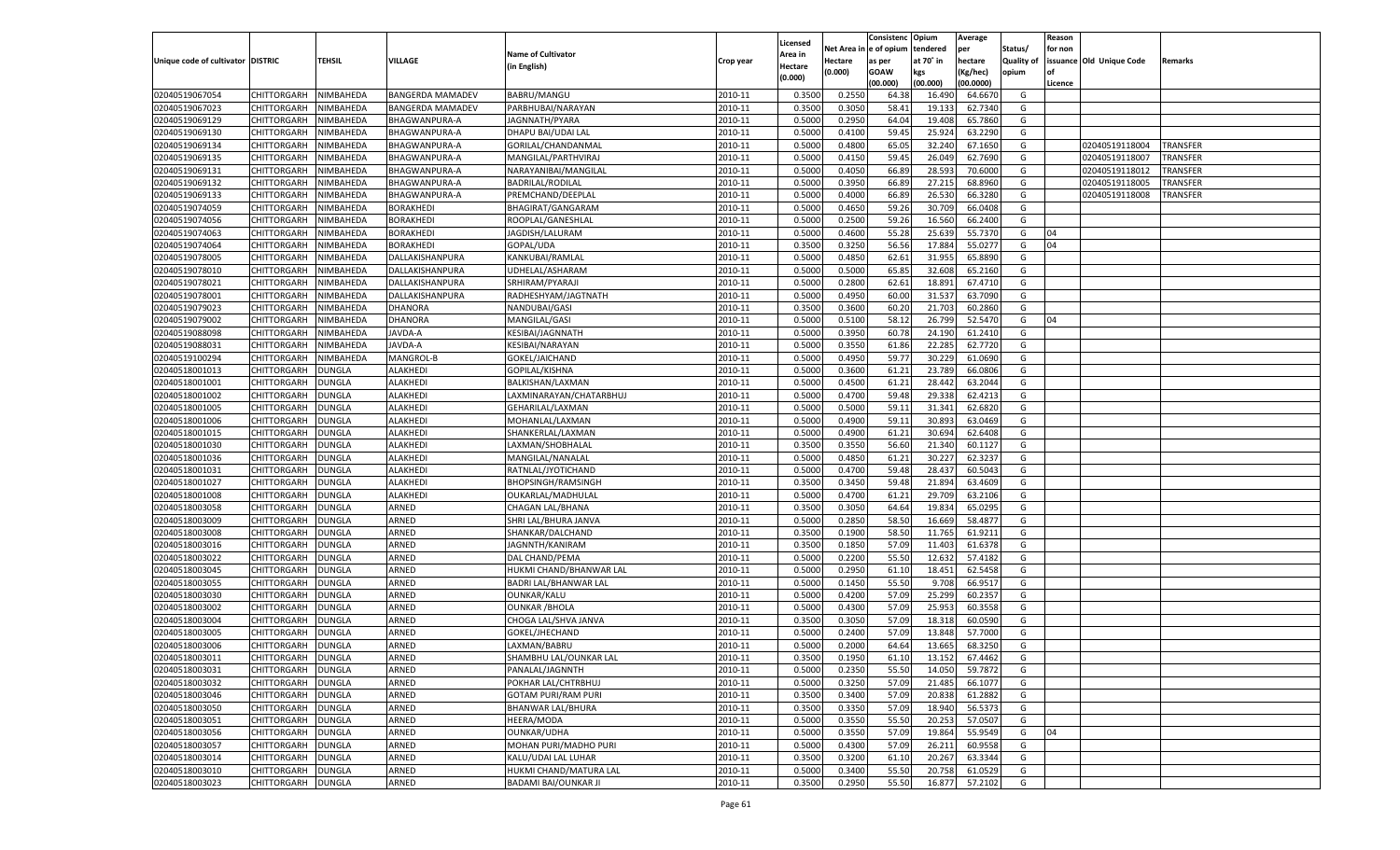|                                   |                      |               |                         |                            |           |                           |          | Consistenc  | Opium     | Average   |                   | Reason  |                          |          |
|-----------------------------------|----------------------|---------------|-------------------------|----------------------------|-----------|---------------------------|----------|-------------|-----------|-----------|-------------------|---------|--------------------------|----------|
|                                   |                      |               |                         | <b>Name of Cultivator</b>  |           | Licensed                  | Net Area | e of opium  | tendered  | per       | Status/           | for non |                          |          |
| Unique code of cultivator DISTRIC |                      | <b>TEHSIL</b> | VILLAGE                 | (in English)               | Crop year | <b>Area in</b><br>Hectare | Hectare  | as per      | at 70° in | hectare   | <b>Quality of</b> |         | issuance Old Unique Code | Remarks  |
|                                   |                      |               |                         |                            |           | (0.000)                   | (0.000)  | <b>GOAW</b> | kgs       | (Kg/hec)  | opium             |         |                          |          |
|                                   |                      |               |                         |                            |           |                           |          | (00.000)    | (00.000)  | (00.0000) |                   | Licence |                          |          |
| 02040519067054                    | CHITTORGARH          | NIMBAHEDA     | <b>BANGERDA MAMADEV</b> | BABRU/MANGU                | 2010-11   | 0.3500                    | 0.2550   | 64.38       | 16.490    | 64.667    | G                 |         |                          |          |
| 02040519067023                    | CHITTORGARH          | NIMBAHEDA     | BANGERDA MAMADEV        | PARBHUBAI/NARAYAN          | 2010-11   | 0.3500                    | 0.3050   | 58.41       | 19.13     | 62.7340   | G                 |         |                          |          |
| 02040519069129                    | CHITTORGARH          | NIMBAHEDA     | BHAGWANPURA-A           | JAGNNATH/PYARA             | 2010-11   | 0.5000                    | 0.2950   | 64.04       | 19.408    | 65.7860   | G                 |         |                          |          |
| 02040519069130                    | CHITTORGARH          | NIMBAHEDA     | BHAGWANPURA-A           | DHAPU BAI/UDAI LAL         | 2010-11   | 0.5000                    | 0.4100   | 59.45       | 25.924    | 63.2290   | G                 |         |                          |          |
| 02040519069134                    | CHITTORGARH          | NIMBAHEDA     | BHAGWANPURA-A           | GORILAL/CHANDANMAL         | 2010-11   | 0.5000                    | 0.4800   | 65.05       | 32.240    | 67.1650   | G                 |         | 02040519118004           | TRANSFER |
| 02040519069135                    | CHITTORGARH          | NIMBAHEDA     | BHAGWANPURA-A           | MANGILAL/PARTHVIRAJ        | 2010-11   | 0.5000                    | 0.4150   | 59.4        | 26.049    | 62.7690   | G                 |         | 02040519118007           | TRANSFER |
| 02040519069131                    | CHITTORGARH          | NIMBAHEDA     | BHAGWANPURA-A           | NARAYANIBAI/MANGILAL       | 2010-11   | 0.5000                    | 0.4050   | 66.89       | 28.593    | 70.6000   | G                 |         | 02040519118012           | TRANSFER |
| 02040519069132                    | CHITTORGARH          | NIMBAHEDA     | BHAGWANPURA-A           | <b>BADRILAL/RODILAL</b>    | 2010-11   | 0.5000                    | 0.3950   | 66.89       | 27.215    | 68.8960   | G                 |         | 02040519118005           | TRANSFER |
| 02040519069133                    | CHITTORGARH          | NIMBAHEDA     | BHAGWANPURA-A           | PREMCHAND/DEEPLAL          | 2010-11   | 0.5000                    | 0.4000   | 66.89       | 26.530    | 66.3280   | G                 |         | 02040519118008           | TRANSFER |
| 02040519074059                    | CHITTORGARH          | NIMBAHEDA     | BORAKHEDI               | BHAGIRAT/GANGARAM          | 2010-11   | 0.5000                    | 0.4650   | 59.26       | 30.709    | 66.0408   | G                 |         |                          |          |
| 02040519074056                    | CHITTORGARH          | NIMBAHEDA     | BORAKHEDI               | ROOPLAL/GANESHLAL          | 2010-11   | 0.5000                    | 0.2500   | 59.26       | 16.560    | 66.2400   | G                 |         |                          |          |
| 02040519074063                    | CHITTORGARH          | NIMBAHEDA     | BORAKHEDI               | JAGDISH/LALURAM            | 2010-11   | 0.5000                    | 0.4600   | 55.28       | 25.639    | 55.7370   | G                 | 04      |                          |          |
| 02040519074064                    | CHITTORGARH          | NIMBAHEDA     | <b>BORAKHEDI</b>        | GOPAL/UDA                  | 2010-11   | 0.3500                    | 0.3250   | 56.56       | 17.884    | 55.0277   | G                 | 04      |                          |          |
| 02040519078005                    | CHITTORGARH          | NIMBAHEDA     | DALLAKISHANPURA         | KANKUBAI/RAMLAL            | 2010-11   | 0.5000                    | 0.4850   | 62.61       | 31.955    | 65.8890   | G                 |         |                          |          |
| 02040519078010                    | CHITTORGARH          | NIMBAHEDA     | DALLAKISHANPURA         | UDHELAL/ASHARAM            | 2010-11   | 0.5000                    | 0.5000   | 65.85       | 32.608    | 65.2160   | G                 |         |                          |          |
| 02040519078021                    | CHITTORGARH          | NIMBAHEDA     | DALLAKISHANPURA         | SRHIRAM/PYARAJI            | 2010-11   | 0.5000                    | 0.2800   | 62.61       | 18.891    | 67.4710   | G                 |         |                          |          |
| 02040519078001                    | CHITTORGARH          | NIMBAHEDA     | DALLAKISHANPURA         | RADHESHYAM/JAGTNATH        | 2010-11   | 0.5000                    | 0.4950   | 60.00       | 31.537    | 63.7090   | G                 |         |                          |          |
| 02040519079023                    | CHITTORGARH          | NIMBAHEDA     | DHANORA                 | NANDUBAI/GASI              | 2010-11   | 0.3500                    | 0.3600   | 60.20       | 21.703    | 60.2860   | G                 |         |                          |          |
| 02040519079002                    | CHITTORGARH          | NIMBAHEDA     | DHANORA                 | MANGILAL/GASI              | 2010-11   | 0.5000                    | 0.5100   | 58.12       | 26.799    | 52.5470   | G                 | 04      |                          |          |
| 02040519088098                    | CHITTORGARH          | NIMBAHEDA     | AVDA-A                  | KESIBAI/JAGNNATH           | 2010-11   | 0.5000                    | 0.3950   | 60.78       | 24.190    | 61.2410   | G                 |         |                          |          |
| 02040519088031                    | CHITTORGARH          | NIMBAHEDA     | <b>JAVDA-A</b>          | KESIBAI/NARAYAN            | 2010-11   | 0.5000                    | 0.3550   | 61.86       | 22.285    | 62.7720   | G                 |         |                          |          |
| 02040519100294                    | CHITTORGARH          | NIMBAHEDA     | MANGROL-B               | GOKEL/JAICHAND             | 2010-11   | 0.5000                    | 0.4950   | 59.77       | 30.229    | 61.0690   | G                 |         |                          |          |
| 02040518001013                    | CHITTORGARH          | DUNGLA        | ALAKHEDI                | GOPILAL/KISHNA             | 2010-11   | 0.5000                    | 0.3600   | 61.21       | 23.789    | 66.0806   | G                 |         |                          |          |
| 02040518001001                    | CHITTORGARH          | DUNGLA        | ALAKHEDI                | BALKISHAN/LAXMAN           | 2010-11   | 0.5000                    | 0.4500   | 61.21       | 28.442    | 63.2044   | G                 |         |                          |          |
| 02040518001002                    | CHITTORGARH          | DUNGLA        | ALAKHEDI                | LAXMINARAYAN/CHATARBHUJ    | 2010-11   | 0.5000                    | 0.4700   | 59.48       | 29.338    | 62.4213   | G                 |         |                          |          |
| 02040518001005                    | CHITTORGARH          | DUNGLA        | ALAKHEDI                | GEHARILAL/LAXMAN           | 2010-11   | 0.5000                    | 0.5000   | 59.1        | 31.341    | 62.6820   | G                 |         |                          |          |
| 02040518001006                    | CHITTORGARH          | DUNGLA        | ALAKHEDI                | MOHANLAL/LAXMAN            | 2010-11   | 0.5000                    | 0.4900   | 59.11       | 30.893    | 63.0469   | G                 |         |                          |          |
| 02040518001015                    | CHITTORGARH          | DUNGLA        | ALAKHEDI                | SHANKERLAL/LAXMAN          | 2010-11   | 0.5000                    | 0.4900   | 61.21       | 30.694    | 62.6408   | G                 |         |                          |          |
| 02040518001030                    | CHITTORGARH          | DUNGLA        | ALAKHEDI                | LAXMAN/SHOBHALAL           | 2010-11   | 0.3500                    | 0.3550   | 56.60       | 21.340    | 60.1127   | G                 |         |                          |          |
| 02040518001036                    | CHITTORGARH          | <b>DUNGLA</b> | ALAKHEDI                | MANGILAL/NANALAL           | 2010-11   | 0.5000                    | 0.4850   | 61.21       | 30.227    | 62.3237   | G                 |         |                          |          |
| 02040518001031                    | CHITTORGARH          | <b>DUNGLA</b> | ALAKHEDI                | RATNLAL/JYOTICHAND         | 2010-11   | 0.5000                    | 0.4700   | 59.48       | 28.43     | 60.5043   | G                 |         |                          |          |
| 02040518001027                    | CHITTORGARH          | DUNGLA        | ALAKHEDI                | <b>BHOPSINGH/RAMSINGH</b>  | 2010-11   | 0.3500                    | 0.3450   | 59.48       | 21.894    | 63.4609   | G                 |         |                          |          |
| 02040518001008                    | CHITTORGARH          | DUNGLA        | ALAKHEDI                | OUKARLAL/MADHULAL          | 2010-11   | 0.5000                    | 0.4700   | 61.21       | 29.709    | 63.210    | G                 |         |                          |          |
| 02040518003058                    | CHITTORGARH          | DUNGLA        | ARNED                   | CHAGAN LAL/BHANA           | 2010-11   | 0.3500                    | 0.3050   | 64.64       | 19.83     | 65.0295   | G                 |         |                          |          |
| 02040518003009                    |                      |               | ARNED                   |                            | 2010-11   | 0.5000                    | 0.2850   | 58.50       | 16.669    | 58.487    | G                 |         |                          |          |
| 02040518003008                    | CHITTORGARH          | <b>DUNGLA</b> | ARNED                   | SHRI LAL/BHURA JANVA       | 2010-11   | 0.3500                    |          | 58.50       | 11.765    | 61.9211   | G                 |         |                          |          |
|                                   | CHITTORGARH          | DUNGLA        | ARNED                   | SHANKAR/DALCHAND           | 2010-11   |                           | 0.1900   |             |           |           |                   |         |                          |          |
| 02040518003016                    | <b>CHITTORGARH</b>   | DUNGLA        |                         | JAGNNTH/KANIRAM            |           | 0.3500                    | 0.1850   | 57.09       | 11.403    | 61.6378   | G                 |         |                          |          |
| 02040518003022                    | CHITTORGARH          | DUNGLA        | ARNED                   | DAL CHAND/PEMA             | 2010-11   | 0.5000                    | 0.2200   | 55.50       | 12.632    | 57.4182   | G                 |         |                          |          |
| 02040518003045                    | CHITTORGARH          | <b>DUNGLA</b> | ARNED                   | HUKMI CHAND/BHANWAR LAL    | 2010-11   | 0.5000                    | 0.2950   | 61.10       | 18.451    | 62.5458   | G                 |         |                          |          |
| 02040518003055                    | CHITTORGARH          | DUNGLA        | ARNED                   | BADRI LAL/BHANWAR LAI      | 2010-11   | 0.5000                    | 0.1450   | 55.50       | 9.708     | 66.951    | G                 |         |                          |          |
| 02040518003030                    | CHITTORGARH          | DUNGLA        | ARNED                   | OUNKAR/KALU                | 2010-11   | 0.5000                    | 0.4200   | 57.09       | 25.299    | 60.2357   | G                 |         |                          |          |
| 02040518003002                    | CHITTORGARH          | DUNGLA        | ARNED                   | <b>OUNKAR / BHOLA</b>      | 2010-11   | 0.5000                    | 0.4300   | 57.09       | 25.953    | 60.3558   | G                 |         |                          |          |
| 02040518003004                    | CHITTORGARH          | DUNGLA        | ARNED                   | CHOGA LAL/SHVA JANVA       | 2010-11   | 0.3500                    | 0.3050   | 57.09       | 18.31     | 60.0590   | G                 |         |                          |          |
| 02040518003005                    | CHITTORGARH          | DUNGLA        | ARNED                   | GOKEL/JHECHAND             | 2010-11   | 0.5000                    | 0.2400   | 57.09       | 13.84     | 57.7000   | G                 |         |                          |          |
| 02040518003006                    | CHITTORGARH          | <b>DUNGLA</b> | ARNED                   | LAXMAN/BABRU               | 2010-11   | 0.5000                    | 0.2000   | 64.64       | 13.665    | 68.3250   | G                 |         |                          |          |
| 02040518003011                    | CHITTORGARH   DUNGLA |               | ARNED                   | SHAMBHU LAL/OUNKAR LAL     | 2010-11   | 0.3500                    | 0.1950   | 61.10       | 13.152    | 67.4462   | G                 |         |                          |          |
| 02040518003031                    | <b>CHITTORGARH</b>   | <b>DUNGLA</b> | ARNED                   | PANALAL/JAGNNTH            | 2010-11   | 0.5000                    | 0.2350   | 55.50       | 14.050    | 59.7872   | G                 |         |                          |          |
| 02040518003032                    | <b>CHITTORGARH</b>   | <b>DUNGLA</b> | ARNED                   | POKHAR LAL/CHTRBHUJ        | 2010-11   | 0.5000                    | 0.3250   | 57.09       | 21.485    | 66.1077   | G                 |         |                          |          |
| 02040518003046                    | <b>CHITTORGARH</b>   | <b>DUNGLA</b> | ARNED                   | <b>GOTAM PURI/RAM PURI</b> | 2010-11   | 0.3500                    | 0.3400   | 57.09       | 20.838    | 61.2882   | G                 |         |                          |          |
| 02040518003050                    | <b>CHITTORGARH</b>   | <b>DUNGLA</b> | ARNED                   | BHANWAR LAL/BHURA          | 2010-11   | 0.3500                    | 0.3350   | 57.09       | 18.940    | 56.5373   | G                 |         |                          |          |
| 02040518003051                    | <b>CHITTORGARH</b>   | <b>DUNGLA</b> | ARNED                   | HEERA/MODA                 | 2010-11   | 0.5000                    | 0.3550   | 55.50       | 20.253    | 57.0507   | G                 |         |                          |          |
| 02040518003056                    | <b>CHITTORGARH</b>   | <b>DUNGLA</b> | ARNED                   | OUNKAR/UDHA                | 2010-11   | 0.5000                    | 0.3550   | 57.09       | 19.864    | 55.9549   | G                 | 04      |                          |          |
| 02040518003057                    | <b>CHITTORGARH</b>   | <b>DUNGLA</b> | ARNED                   | MOHAN PURI/MADHO PURI      | 2010-11   | 0.5000                    | 0.4300   | 57.09       | 26.211    | 60.9558   | G                 |         |                          |          |
| 02040518003014                    | <b>CHITTORGARH</b>   | <b>DUNGLA</b> | ARNED                   | KALU/UDAI LAL LUHAR        | 2010-11   | 0.3500                    | 0.3200   | 61.10       | 20.267    | 63.3344   | G                 |         |                          |          |
| 02040518003010                    | <b>CHITTORGARH</b>   | <b>DUNGLA</b> | ARNED                   | HUKMI CHAND/MATURA LAL     | 2010-11   | 0.5000                    | 0.3400   | 55.50       | 20.758    | 61.0529   | G                 |         |                          |          |
| 02040518003023                    | <b>CHITTORGARH</b>   | <b>DUNGLA</b> | ARNED                   | BADAMI BAI/OUNKAR JI       | 2010-11   | 0.3500                    | 0.2950   | 55.50       | 16.877    | 57.2102   | G                 |         |                          |          |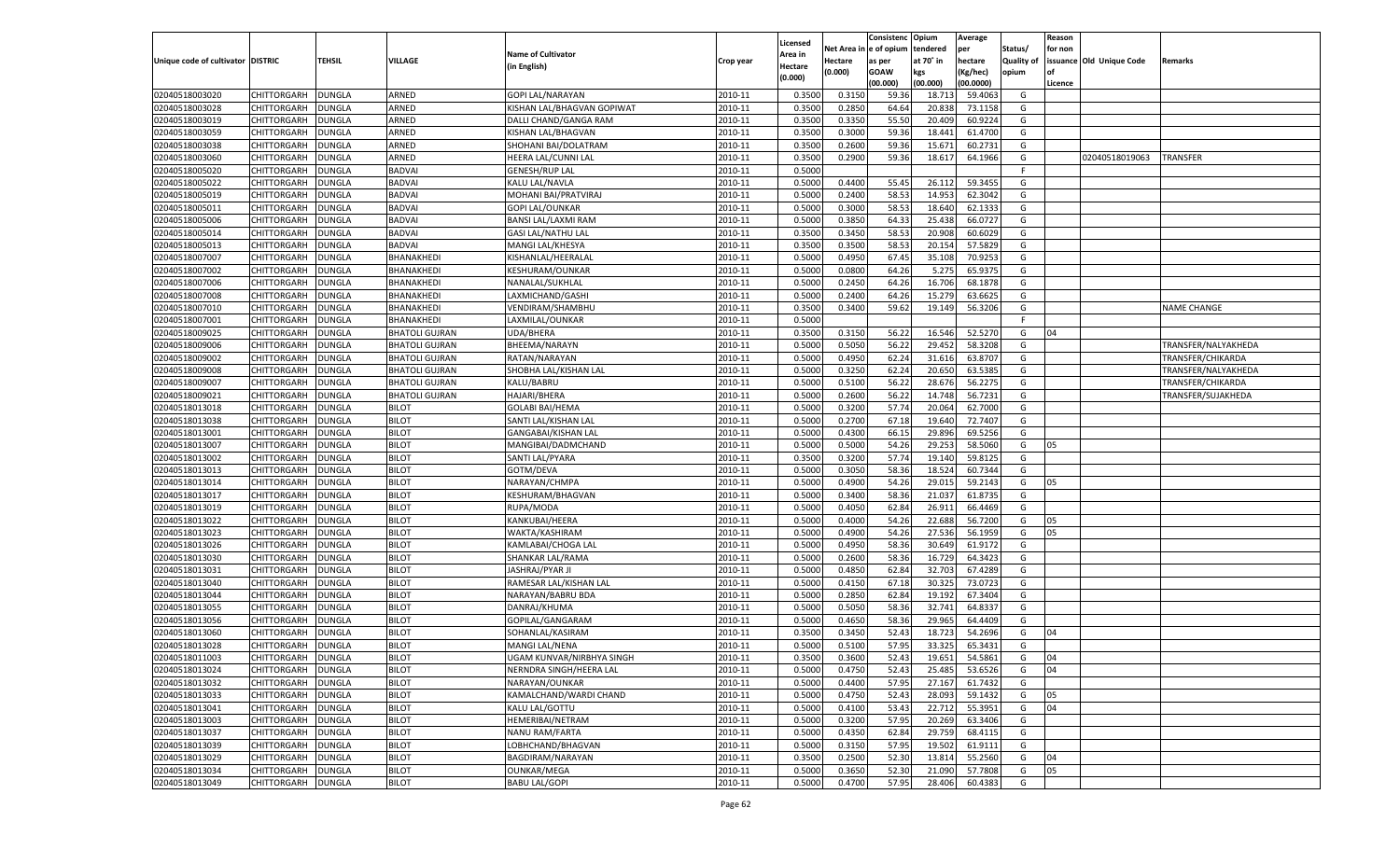|                                   |                    |                                |                              |                            |           |                     |            | Consistenc   | Opium            | Average   |            | Reason  |                          |                     |
|-----------------------------------|--------------------|--------------------------------|------------------------------|----------------------------|-----------|---------------------|------------|--------------|------------------|-----------|------------|---------|--------------------------|---------------------|
|                                   |                    |                                |                              | <b>Name of Cultivator</b>  |           | Licensed<br>Area in | Net Area i | n e of opium | tendered         | per       | Status/    | for non |                          |                     |
| Unique code of cultivator DISTRIC |                    | TEHSIL                         | VILLAGE                      | (in English)               | Crop year | Hectare             | Hectare    | as per       | at 70° in        | hectare   | Quality of |         | issuance Old Unique Code | Remarks             |
|                                   |                    |                                |                              |                            |           | (0.000)             | (0.000)    | <b>GOAW</b>  | kgs              | (Kg/hec)  | opium      |         |                          |                     |
|                                   |                    |                                |                              |                            |           |                     |            | (00.000)     | (00.000)         | (00.0000) |            | Licence |                          |                     |
| 02040518003020                    | CHITTORGARH        | DUNGLA                         | ARNED                        | <b>GOPI LAL/NARAYAN</b>    | 2010-11   | 0.3500              | 0.3150     | 59.36        | 18.71            | 59.4063   | G          |         |                          |                     |
| 02040518003028                    | CHITTORGARH        | DUNGLA                         | ARNED                        | KISHAN LAL/BHAGVAN GOPIWAT | 2010-11   | 0.3500              | 0.2850     | 64.64        | 20.838           | 73.1158   | G          |         |                          |                     |
| 02040518003019                    | CHITTORGARH        | DUNGLA                         | ARNED                        | DALLI CHAND/GANGA RAM      | 2010-11   | 0.3500              | 0.3350     | 55.50        | 20.409           | 60.9224   | G          |         |                          |                     |
| 02040518003059                    | CHITTORGARH        | DUNGLA                         | ARNED                        | KISHAN LAL/BHAGVAN         | 2010-11   | 0.3500              | 0.3000     | 59.36        | 18.441           | 61.4700   | G          |         |                          |                     |
| 02040518003038                    | CHITTORGARH        | DUNGLA                         | ARNED                        | SHOHANI BAI/DOLATRAM       | 2010-11   | 0.3500              | 0.2600     | 59.36        | 15.671           | 60.2731   | G          |         |                          |                     |
| 02040518003060                    | CHITTORGARH        | DUNGLA                         | ARNED                        | HEERA LAL/CUNNI LAL        | 2010-11   | 0.3500              | 0.2900     | 59.36        | 18.617           | 64.1966   | G          |         | 02040518019063           | TRANSFER            |
| 02040518005020                    | CHITTORGARH        | DUNGLA                         | <b>BADVAI</b>                | <b>GENESH/RUP LAL</b>      | 2010-11   | 0.5000              |            |              |                  |           | F.         |         |                          |                     |
| 02040518005022                    | CHITTORGARH        | DUNGLA                         | <b>BADVAI</b>                | KALU LAL/NAVLA             | 2010-11   | 0.5000              | 0.4400     | 55.45        | 26.112           | 59.3455   | G          |         |                          |                     |
| 02040518005019                    | CHITTORGARH        | DUNGLA                         | <b>BADVAI</b>                | MOHANI BAI/PRATVIRAJ       | 2010-11   | 0.5000              | 0.2400     | 58.53        | 14.953           | 62.3042   | G          |         |                          |                     |
| 02040518005011                    | CHITTORGARH        | DUNGLA                         | <b>BADVAI</b>                | <b>GOPI LAL/OUNKAR</b>     | 2010-11   | 0.5000              | 0.3000     | 58.53        | 18.640           | 62.1333   | G          |         |                          |                     |
| 02040518005006                    | CHITTORGARH        | DUNGLA                         | <b>BADVAI</b>                | <b>BANSI LAL/LAXMI RAM</b> | 2010-11   | 0.5000              | 0.3850     | 64.33        | 25.438           | 66.0727   | G          |         |                          |                     |
| 02040518005014                    | CHITTORGARH        | DUNGLA                         | <b>BADVAI</b>                | <b>GASI LAL/NATHU LAL</b>  | 2010-11   | 0.3500              | 0.3450     | 58.53        | 20.908           | 60.6029   | G          |         |                          |                     |
| 02040518005013                    | CHITTORGARH        | DUNGLA                         | <b>BADVAI</b>                | MANGI LAL/KHESYA           | 2010-11   | 0.3500              | 0.3500     | 58.53        | 20.154           | 57.5829   | G          |         |                          |                     |
| 02040518007007                    | CHITTORGARH        | DUNGLA                         | BHANAKHEDI                   | KISHANLAL/HEERALAL         | 2010-11   | 0.5000              | 0.4950     | 67.4         | 35.108           | 70.925    | G          |         |                          |                     |
| 02040518007002                    | CHITTORGARH        | DUNGLA                         | BHANAKHEDI                   | <b>KESHURAM/OUNKAR</b>     | 2010-11   | 0.5000              | 0.0800     | 64.26        | 5.275            | 65.9375   | G          |         |                          |                     |
| 02040518007006                    | CHITTORGARH        | DUNGLA                         | BHANAKHEDI                   | NANALAL/SUKHLAL            | 2010-11   | 0.5000              | 0.2450     | 64.26        | 16.706           | 68.1878   | G          |         |                          |                     |
| 02040518007008                    | CHITTORGARH        | DUNGLA                         | BHANAKHEDI                   | LAXMICHAND/GASHI           | 2010-11   | 0.5000              | 0.2400     | 64.26        | 15.279           | 63.6625   | G          |         |                          |                     |
| 02040518007010                    | CHITTORGARH        | DUNGLA                         | BHANAKHEDI                   | VENDIRAM/SHAMBHU           | 2010-11   | 0.3500              | 0.3400     | 59.62        | 19.149           | 56.3206   | G          |         |                          | NAME CHANGE         |
| 02040518007001                    | CHITTORGARH        | DUNGLA                         | BHANAKHEDI                   | LAXMILAL/OUNKAR            | 2010-11   | 0.5000              |            |              |                  |           | F.         |         |                          |                     |
| 02040518009025                    | CHITTORGARH        | DUNGLA                         | <b>BHATOLI GUJRAN</b>        | <b>UDA/BHERA</b>           | 2010-11   | 0.3500              | 0.3150     | 56.22        | 16.546           | 52.5270   | G          | 04      |                          |                     |
| 02040518009006                    | CHITTORGARH        | DUNGLA                         | <b>BHATOLI GUJRAN</b>        | BHEEMA/NARAYN              | 2010-11   | 0.5000              | 0.5050     | 56.22        | 29.452           | 58.3208   | G          |         |                          | TRANSFER/NALYAKHEDA |
| 02040518009002                    | CHITTORGARH        | DUNGLA                         | <b>BHATOLI GUJRAN</b>        | RATAN/NARAYAN              | 2010-11   | 0.5000              | 0.4950     | 62.24        | 31.616           | 63.8707   | G          |         |                          | TRANSFER/CHIKARDA   |
| 02040518009008                    | CHITTORGARH        | DUNGLA                         | <b>BHATOLI GUJRAN</b>        | SHOBHA LAL/KISHAN LAL      | 2010-11   | 0.5000              | 0.3250     | 62.24        | 20.650           | 63.5385   | G          |         |                          | TRANSFER/NALYAKHEDA |
| 02040518009007                    | CHITTORGARH        | DUNGLA                         | <b>BHATOLI GUJRAN</b>        | KALU/BABRU                 | 2010-11   | 0.5000              | 0.5100     | 56.22        | 28.676           | 56.2275   | G          |         |                          | TRANSFER/CHIKARDA   |
| 02040518009021                    | CHITTORGARH        | DUNGLA                         | <b>BHATOLI GUJRAN</b>        | <b>HAJARI/BHERA</b>        | 2010-11   | 0.5000              | 0.2600     | 56.22        | 14.748           | 56.7231   | G          |         |                          | TRANSFER/SUJAKHEDA  |
| 02040518013018                    | CHITTORGARH        | DUNGLA                         | <b>BILOT</b>                 | <b>GOLABI BAI/HEMA</b>     | 2010-11   | 0.5000              | 0.3200     | 57.74        | 20.064           | 62.7000   | G          |         |                          |                     |
| 02040518013038                    | CHITTORGARH        | DUNGLA                         | <b>BILOT</b>                 | SANTI LAL/KISHAN LAL       | 2010-11   | 0.5000              | 0.2700     | 67.18        | 19.640           | 72.7407   | G          |         |                          |                     |
| 02040518013001                    | CHITTORGARH        | DUNGLA                         | <b>BILOT</b>                 | GANGABAI/KISHAN LAL        | 2010-11   | 0.5000              | 0.4300     | 66.15        | 29.896           | 69.5256   | G          |         |                          |                     |
| 02040518013007                    | CHITTORGARH        | DUNGLA                         | <b>BILOT</b>                 | MANGIBAI/DADMCHAND         | 2010-11   | 0.5000              | 0.5000     | 54.26        | 29.253           | 58.5060   | G          | 05      |                          |                     |
| 02040518013002                    | CHITTORGARH        | DUNGLA                         | <b>BILOT</b>                 | SANTI LAL/PYARA            | 2010-11   | 0.3500              | 0.3200     | 57.74        | 19.140           | 59.8125   | G          |         |                          |                     |
| 02040518013013                    | CHITTORGARH        | DUNGLA                         | <b>BILOT</b>                 | GOTM/DEVA                  | 2010-11   | 0.5000              | 0.3050     | 58.36        | 18.524           | 60.7344   | G          |         |                          |                     |
| 02040518013014                    | CHITTORGARH        | DUNGLA                         | <b>BILOT</b>                 | NARAYAN/CHMPA              | 2010-11   | 0.5000              | 0.4900     | 54.26        | 29.015           | 59.2143   | G          | 05      |                          |                     |
| 02040518013017                    | CHITTORGARH        | DUNGLA                         | <b>BILOT</b>                 | KESHURAM/BHAGVAN           | 2010-11   | 0.5000              | 0.3400     | 58.36        | 21.037           | 61.8735   | G          |         |                          |                     |
| 02040518013019                    | CHITTORGARH        | DUNGLA                         | <b>BILOT</b>                 | RUPA/MODA                  | 2010-11   | 0.5000              | 0.4050     | 62.84        | 26.911           | 66.4469   | G          |         |                          |                     |
| 02040518013022                    | CHITTORGARH        | DUNGLA                         | <b>BILOT</b>                 | KANKUBAI/HEERA             | 2010-11   | 0.5000              | 0.4000     | 54.26        | 22.688           | 56.7200   | G          | 05      |                          |                     |
| 02040518013023                    | CHITTORGARH        | DUNGLA                         | <b>BILOT</b>                 | WAKTA/KASHIRAM             | 2010-11   | 0.5000              | 0.4900     | 54.26        | 27.536           | 56.1959   | G          | 05      |                          |                     |
| 02040518013026                    | CHITTORGARH        | DUNGLA                         | <b>BILOT</b>                 | KAMLABAI/CHOGA LAI         | 2010-11   | 0.5000              | 0.4950     | 58.36        | 30.649           | 61.9172   | G          |         |                          |                     |
| 02040518013030                    | CHITTORGARH        | DUNGLA                         | <b>BILOT</b>                 | SHANKAR LAL/RAMA           | 2010-11   | 0.5000              | 0.2600     | 58.36        | 16.729           | 64.3423   | G          |         |                          |                     |
| 02040518013031                    | CHITTORGARH        | DUNGLA                         | <b>BILOT</b>                 | JASHRAJ/PYAR JI            | 2010-11   | 0.5000              | 0.4850     | 62.84        | 32.703           | 67.4289   | G          |         |                          |                     |
| 02040518013040                    | CHITTORGARH        | DUNGLA                         | <b>BILOT</b>                 | RAMESAR LAL/KISHAN LAL     | 2010-11   | 0.5000              | 0.4150     | 67.18        | 30.325           | 73.0723   | G          |         |                          |                     |
| 02040518013044                    | CHITTORGARH        | DUNGLA                         | <b>BILOT</b>                 | NARAYAN/BABRU BDA          | 2010-11   | 0.5000              | 0.2850     | 62.84        | 19.192           | 67.3404   | G          |         |                          |                     |
| 02040518013055                    | CHITTORGARH        | DUNGLA                         | <b>BILOT</b>                 | DANRAJ/KHUMA               | 2010-11   | 0.5000              | 0.5050     | 58.36        | 32.741           | 64.8337   | G          |         |                          |                     |
| 02040518013056                    | CHITTORGARH        | DUNGLA                         | <b>BILOT</b>                 | GOPILAL/GANGARAM           | 2010-11   | 0.5000              | 0.4650     | 58.36        | 29.965           | 64.4409   | G          |         |                          |                     |
| 02040518013060                    | CHITTORGARH        | DUNGLA                         | <b>BILOT</b>                 | SOHANLAL/KASIRAM           | 2010-11   | 0.3500              | 0.3450     | 52.43        | 18.723           | 54.2696   | G          | 04      |                          |                     |
| 02040518013028                    | CHITTORGARH        | <b>DUNGLA</b>                  | <b>BILOT</b>                 | MANGI LAL/NENA             | 2010-11   | 0.5000              | 0.5100     | 57.95        | 33.325           | 65.3431   | G          |         |                          |                     |
| 02040518011003                    | CHITTORGARH DUNGLA |                                | <b>BILOT</b>                 | UGAM KUNVAR/NIRBHYA SINGH  | 2010-11   | 0.3500              | 0.3600     | 52.43        | 19.651           | 54.5861   | G          | 04      |                          |                     |
| 02040518013024                    | <b>CHITTORGARH</b> | <b>DUNGLA</b>                  | <b>BILOT</b>                 | NERNDRA SINGH/HEERA LAL    | 2010-11   | 0.5000              | 0.4750     | 52.43        | 25.485           | 53.6526   | G          | 04      |                          |                     |
| 02040518013032                    | <b>CHITTORGARH</b> | <b>DUNGLA</b>                  | <b>BILOT</b>                 | NARAYAN/OUNKAR             | 2010-11   | 0.5000              | 0.4400     | 57.95        | 27.167           | 61.7432   | G          |         |                          |                     |
| 02040518013033                    | CHITTORGARH        | <b>DUNGLA</b>                  | <b>BILOT</b>                 | KAMALCHAND/WARDI CHAND     | 2010-11   | 0.5000              | 0.4750     | 52.43        | 28.093           | 59.1432   | G          | 05      |                          |                     |
| 02040518013041                    | CHITTORGARH        |                                |                              | KALU LAL/GOTTU             | 2010-11   | 0.5000              | 0.4100     | 53.43        |                  | 55.3951   | G          | 04      |                          |                     |
| 02040518013003                    | CHITTORGARH        | <b>DUNGLA</b><br><b>DUNGLA</b> | <b>BILOT</b><br><b>BILOT</b> | HEMERIBAI/NETRAM           | 2010-11   | 0.5000              | 0.3200     | 57.95        | 22.712<br>20.269 | 63.3406   | G          |         |                          |                     |
| 02040518013037                    | <b>CHITTORGARH</b> |                                |                              |                            | 2010-11   |                     | 0.4350     | 62.84        | 29.759           |           | G          |         |                          |                     |
| 02040518013039                    |                    | <b>DUNGLA</b>                  | <b>BILOT</b>                 | NANU RAM/FARTA             | 2010-11   | 0.5000<br>0.5000    |            |              |                  | 68.4115   |            |         |                          |                     |
|                                   | CHITTORGARH        | <b>DUNGLA</b>                  | <b>BILOT</b>                 | LOBHCHAND/BHAGVAN          |           |                     | 0.3150     | 57.95        | 19.502           | 61.9111   | G          |         |                          |                     |
| 02040518013029                    | <b>CHITTORGARH</b> | <b>DUNGLA</b>                  | <b>BILOT</b>                 | BAGDIRAM/NARAYAN           | 2010-11   | 0.3500              | 0.2500     | 52.30        | 13.814           | 55.2560   | G          | 04      |                          |                     |
| 02040518013034                    | <b>CHITTORGARH</b> | <b>DUNGLA</b>                  | <b>BILOT</b>                 | <b>OUNKAR/MEGA</b>         | 2010-11   | 0.5000              | 0.3650     | 52.30        | 21.090           | 57.7808   | G          | 05      |                          |                     |
| 02040518013049                    | <b>CHITTORGARH</b> | <b>DUNGLA</b>                  | <b>BILOT</b>                 | <b>BABU LAL/GOPI</b>       | 2010-11   | 0.5000              | 0.4700     | 57.95        | 28.406           | 60.4383   | G          |         |                          |                     |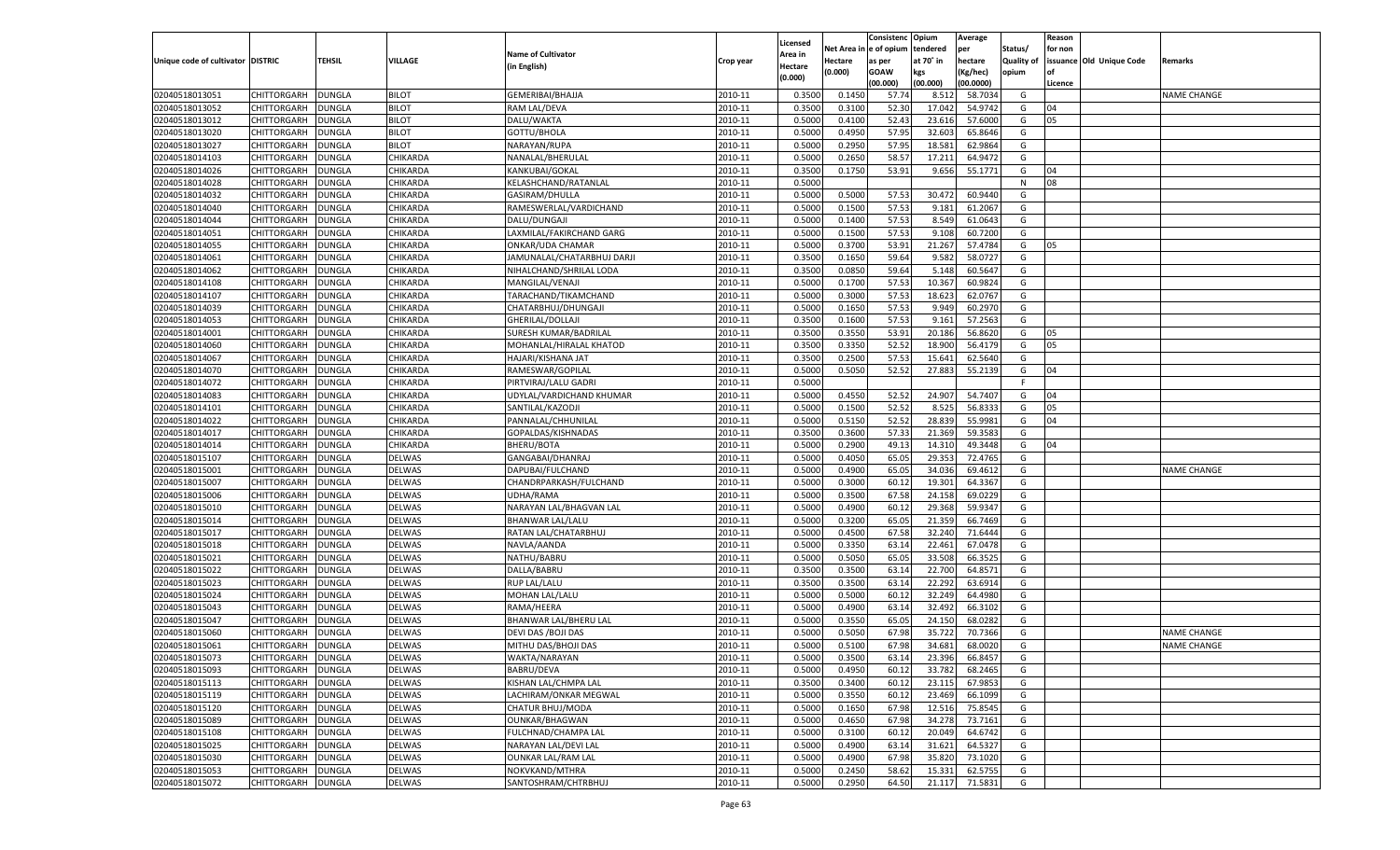|                                   |                      |               |               |                            |           |                           |          | Consistenc  | Opium     | Average   |                   | Reason  |                          |                    |
|-----------------------------------|----------------------|---------------|---------------|----------------------------|-----------|---------------------------|----------|-------------|-----------|-----------|-------------------|---------|--------------------------|--------------------|
|                                   |                      |               |               | <b>Name of Cultivator</b>  |           | Licensed                  | Net Area | e of opium  | tendered  | per       | Status/           | for non |                          |                    |
| Unique code of cultivator DISTRIC |                      | <b>TEHSIL</b> | VILLAGE       | (in English)               | Crop year | <b>Area in</b><br>Hectare | Hectare  | as per      | at 70° in | hectare   | <b>Quality of</b> |         | issuance Old Unique Code | Remarks            |
|                                   |                      |               |               |                            |           | (0.000)                   | (0.000)  | <b>GOAW</b> | kgs       | (Kg/hec)  | opium             |         |                          |                    |
|                                   |                      |               |               |                            |           |                           |          | (00.000)    | (00.000)  | (00.0000) |                   | Licence |                          |                    |
| 02040518013051                    | CHITTORGARH          | <b>DUNGLA</b> | <b>BILOT</b>  | GEMERIBAI/BHAJJA           | 2010-11   | 0.3500                    | 0.1450   | 57.74       | 8.512     | 58.7034   | G                 |         |                          | <b>NAME CHANGE</b> |
| 02040518013052                    | CHITTORGARH          | DUNGLA        | <b>BILOT</b>  | RAM LAL/DEVA               | 2010-11   | 0.3500                    | 0.3100   | 52.30       | 17.042    | 54.9742   | G                 | 04      |                          |                    |
| 02040518013012                    | CHITTORGARH          | DUNGLA        | <b>BILOT</b>  | DALU/WAKTA                 | 2010-11   | 0.5000                    | 0.4100   | 52.43       | 23.616    | 57.6000   | G                 | 05      |                          |                    |
| 02040518013020                    | CHITTORGARH          | DUNGLA        | <b>BILOT</b>  | GOTTU/BHOLA                | 2010-11   | 0.5000                    | 0.4950   | 57.95       | 32.603    | 65.8646   | G                 |         |                          |                    |
| 02040518013027                    | CHITTORGARH          | DUNGLA        | <b>BILOT</b>  | NARAYAN/RUPA               | 2010-11   | 0.5000                    | 0.2950   | 57.95       | 18.581    | 62.9864   | G                 |         |                          |                    |
| 02040518014103                    | CHITTORGARH          | DUNGLA        | CHIKARDA      | NANALAL/BHERULAL           | 2010-11   | 0.5000                    | 0.2650   | 58.57       | 17.21     | 64.9472   | G                 |         |                          |                    |
| 02040518014026                    | CHITTORGARH          | DUNGLA        | CHIKARDA      | KANKUBAI/GOKAL             | 2010-11   | 0.3500                    | 0.1750   | 53.91       | 9.656     | 55.1771   | G                 | 04      |                          |                    |
| 02040518014028                    | CHITTORGARH          | DUNGLA        | CHIKARDA      | KELASHCHAND/RATANLAL       | 2010-11   | 0.5000                    |          |             |           |           | N                 | 08      |                          |                    |
| 02040518014032                    | CHITTORGARH          | DUNGLA        | CHIKARDA      | GASIRAM/DHULLA             | 2010-11   | 0.5000                    | 0.5000   | 57.53       | 30.472    | 60.9440   | G                 |         |                          |                    |
| 02040518014040                    | CHITTORGARH          | DUNGLA        | CHIKARDA      | RAMESWERLAL/VARDICHAND     | 2010-11   | 0.5000                    | 0.1500   | 57.53       | 9.181     | 61.2067   | G                 |         |                          |                    |
| 02040518014044                    | CHITTORGARH          | DUNGLA        | CHIKARDA      | DALU/DUNGAJI               | 2010-11   | 0.5000                    | 0.1400   | 57.53       | 8.549     | 61.0643   | G                 |         |                          |                    |
| 02040518014051                    | CHITTORGARH          | DUNGLA        | CHIKARDA      | LAXMILAL/FAKIRCHAND GARG   | 2010-11   | 0.5000                    | 0.1500   | 57.53       | 9.108     | 60.7200   | G                 |         |                          |                    |
| 02040518014055                    | CHITTORGARH          | DUNGLA        | CHIKARDA      | ONKAR/UDA CHAMAR           | 2010-11   | 0.5000                    | 0.3700   | 53.91       | 21.267    | 57.4784   | G                 | 05      |                          |                    |
| 02040518014061                    | CHITTORGARH          | DUNGLA        | CHIKARDA      | JAMUNALAL/CHATARBHUJ DARJI | 2010-11   | 0.3500                    | 0.1650   | 59.64       | 9.582     | 58.0727   | G                 |         |                          |                    |
| 02040518014062                    | CHITTORGARH          | DUNGLA        | CHIKARDA      | NIHALCHAND/SHRILAL LODA    | 2010-11   | 0.3500                    | 0.0850   | 59.64       | 5.148     | 60.5647   | G                 |         |                          |                    |
| 02040518014108                    | CHITTORGARH          | DUNGLA        | CHIKARDA      | MANGILAL/VENAJI            | 2010-11   | 0.5000                    | 0.1700   | 57.53       | 10.367    | 60.9824   | G                 |         |                          |                    |
| 02040518014107                    | CHITTORGARH          | DUNGLA        | CHIKARDA      | TARACHAND/TIKAMCHAND       | 2010-11   | 0.5000                    | 0.3000   | 57.53       | 18.623    | 62.0767   | G                 |         |                          |                    |
| 02040518014039                    | CHITTORGARH          | DUNGLA        | CHIKARDA      | CHATARBHUJ/DHUNGAJI        | 2010-11   | 0.5000                    | 0.1650   | 57.53       | 9.949     | 60.2970   | G                 |         |                          |                    |
| 02040518014053                    | CHITTORGARH          | DUNGLA        | CHIKARDA      | GHERILAL/DOLLAJI           | 2010-11   | 0.3500                    | 0.1600   | 57.53       | 9.161     | 57.2563   | G                 |         |                          |                    |
| 02040518014001                    | CHITTORGARH          | DUNGLA        | CHIKARDA      | SURESH KUMAR/BADRILAL      | 2010-11   | 0.3500                    | 0.3550   | 53.91       | 20.186    | 56.8620   | G                 | 05      |                          |                    |
| 02040518014060                    | CHITTORGARH          | DUNGLA        | CHIKARDA      | MOHANLAL/HIRALAL KHATOD    | 2010-11   | 0.3500                    | 0.3350   | 52.52       | 18.900    | 56.4179   | G                 | 05      |                          |                    |
| 02040518014067                    | CHITTORGARH          | DUNGLA        | CHIKARDA      | HAJARI/KISHANA JAT         | 2010-11   | 0.3500                    | 0.2500   | 57.53       | 15.641    | 62.5640   | G                 |         |                          |                    |
| 02040518014070                    | CHITTORGARH          | DUNGLA        | CHIKARDA      | RAMESWAR/GOPILAL           | 2010-11   | 0.5000                    | 0.5050   | 52.52       | 27.883    | 55.2139   | G                 | 04      |                          |                    |
| 02040518014072                    | CHITTORGARH          | DUNGLA        | CHIKARDA      | PIRTVIRAJ/LALU GADRI       | 2010-11   | 0.5000                    |          |             |           |           | F.                |         |                          |                    |
| 02040518014083                    | CHITTORGARH          | DUNGLA        | CHIKARDA      | UDYLAL/VARDICHAND KHUMAR   | 2010-11   | 0.5000                    | 0.4550   | 52.52       | 24.907    | 54.7407   | G                 | 04      |                          |                    |
| 02040518014101                    | CHITTORGARH          | DUNGLA        | CHIKARDA      | SANTILAL/KAZODJI           | 2010-11   | 0.5000                    | 0.1500   | 52.52       | 8.525     | 56.8333   | G                 | 05      |                          |                    |
| 02040518014022                    | CHITTORGARH          | DUNGLA        | CHIKARDA      | PANNALAL/CHHUNILAL         | 2010-11   | 0.5000                    | 0.5150   | 52.52       | 28.839    | 55.9981   | G                 | 04      |                          |                    |
| 02040518014017                    | CHITTORGARH          | DUNGLA        | CHIKARDA      | GOPALDAS/KISHNADAS         | 2010-11   | 0.3500                    | 0.3600   | 57.33       | 21.369    | 59.3583   | G                 |         |                          |                    |
| 02040518014014                    | CHITTORGARH          | DUNGLA        | CHIKARDA      | BHERU/BOTA                 | 2010-11   | 0.5000                    | 0.2900   | 49.13       | 14.310    | 49.3448   | G                 | 04      |                          |                    |
| 02040518015107                    | CHITTORGARH          | <b>DUNGLA</b> | DELWAS        | GANGABAI/DHANRAJ           | 2010-11   | 0.5000                    | 0.4050   | 65.05       | 29.353    | 72.4765   | G                 |         |                          |                    |
| 02040518015001                    | CHITTORGARH          | <b>DUNGLA</b> | DELWAS        | DAPUBAI/FULCHAND           | 2010-11   | 0.5000                    | 0.4900   | 65.05       | 34.036    | 69.4612   | G                 |         |                          | <b>NAME CHANGE</b> |
| 02040518015007                    | CHITTORGARH          | DUNGLA        | DELWAS        | CHANDRPARKASH/FULCHAND     | 2010-11   | 0.5000                    | 0.3000   | 60.12       | 19.301    | 64.3367   | G                 |         |                          |                    |
| 02040518015006                    | CHITTORGARH          | DUNGLA        | DELWAS        | UDHA/RAMA                  | 2010-11   | 0.5000                    | 0.3500   | 67.58       | 24.158    | 69.0229   | G                 |         |                          |                    |
| 02040518015010                    | CHITTORGARH          | DUNGLA        | DELWAS        | NARAYAN LAL/BHAGVAN LAL    | 2010-11   | 0.5000                    | 0.4900   | 60.12       | 29.368    | 59.9347   | G                 |         |                          |                    |
| 02040518015014                    | CHITTORGARH          | <b>DUNGLA</b> | DELWAS        | <b>BHANWAR LAL/LALU</b>    | 2010-11   | 0.5000                    | 0.3200   | 65.05       | 21.35     | 66.7469   | G                 |         |                          |                    |
| 02040518015017                    | CHITTORGARH          | DUNGLA        | DELWAS        | RATAN LAL/CHATARBHUJ       | 2010-11   | 0.5000                    | 0.4500   | 67.58       | 32.24     | 71.6444   | G                 |         |                          |                    |
| 02040518015018                    | CHITTORGARH          | DUNGLA        | DELWAS        | NAVLA/AANDA                | 2010-11   | 0.5000                    | 0.3350   | 63.14       | 22.461    | 67.0478   | G                 |         |                          |                    |
| 02040518015021                    | CHITTORGARH          | DUNGLA        | DELWAS        | NATHU/BABRU                | 2010-11   | 0.5000                    | 0.5050   | 65.05       | 33.508    | 66.3525   | G                 |         |                          |                    |
| 02040518015022                    |                      |               | DELWAS        |                            | 2010-11   | 0.3500                    | 0.3500   | 63.14       | 22.700    | 64.8571   | G                 |         |                          |                    |
|                                   | CHITTORGARH          | <b>DUNGLA</b> |               | DALLA/BABRU                |           |                           |          | 63.14       | 22.292    |           |                   |         |                          |                    |
| 02040518015023                    | CHITTORGARH          | DUNGLA        | DELWAS        | <b>RUP LAL/LALU</b>        | 2010-11   | 0.3500                    | 0.3500   |             |           | 63.6914   | G                 |         |                          |                    |
| 02040518015024                    | CHITTORGARH          | DUNGLA        | DELWAS        | MOHAN LAL/LALU             | 2010-11   | 0.5000                    | 0.5000   | 60.12       | 32.249    | 64.4980   | G                 |         |                          |                    |
| 02040518015043                    | CHITTORGARH          | DUNGLA        | <b>DELWAS</b> | RAMA/HEERA                 | 2010-11   | 0.5000                    | 0.4900   | 63.14       | 32.492    | 66.310    | G                 |         |                          |                    |
| 02040518015047                    | CHITTORGARH          | DUNGLA        | DELWAS        | BHANWAR LAL/BHERU LAL      | 2010-11   | 0.5000                    | 0.3550   | 65.05       | 24.15     | 68.0282   | G                 |         |                          |                    |
| 02040518015060                    | CHITTORGARH          | DUNGLA        | <b>DELWAS</b> | DEVI DAS / BOJI DAS        | 2010-11   | 0.5000                    | 0.5050   | 67.98       | 35.722    | 70.7366   | G                 |         |                          | <b>NAME CHANGE</b> |
| 02040518015061                    | CHITTORGARH          | <b>DUNGLA</b> | DELWAS        | MITHU DAS/BHOJI DAS        | 2010-11   | 0.5000                    | 0.5100   | 67.98       | 34.681    | 68.0020   | G                 |         |                          | <b>NAME CHANGE</b> |
| 02040518015073                    | CHITTORGARH   DUNGLA |               | <b>DELWAS</b> | WAKTA/NARAYAN              | 2010-11   | 0.5000                    | 0.3500   | 63.14       | 23.396    | 66.8457   | G                 |         |                          |                    |
| 02040518015093                    | <b>CHITTORGARH</b>   | <b>DUNGLA</b> | <b>DELWAS</b> | BABRU/DEVA                 | 2010-11   | 0.5000                    | 0.4950   | 60.12       | 33.782    | 68.2465   | G                 |         |                          |                    |
| 02040518015113                    | <b>CHITTORGARH</b>   | <b>DUNGLA</b> | DELWAS        | KISHAN LAL/CHMPA LAL       | 2010-11   | 0.3500                    | 0.3400   | 60.12       | 23.115    | 67.9853   | G                 |         |                          |                    |
| 02040518015119                    | <b>CHITTORGARH</b>   | <b>DUNGLA</b> | DELWAS        | LACHIRAM/ONKAR MEGWAL      | 2010-11   | 0.5000                    | 0.3550   | 60.12       | 23.469    | 66.1099   | G                 |         |                          |                    |
| 02040518015120                    | <b>CHITTORGARH</b>   | <b>DUNGLA</b> | DELWAS        | CHATUR BHUJ/MODA           | 2010-11   | 0.5000                    | 0.1650   | 67.98       | 12.516    | 75.8545   | G                 |         |                          |                    |
| 02040518015089                    | <b>CHITTORGARH</b>   | <b>DUNGLA</b> | DELWAS        | OUNKAR/BHAGWAN             | 2010-11   | 0.5000                    | 0.4650   | 67.98       | 34.278    | 73.7161   | G                 |         |                          |                    |
| 02040518015108                    | <b>CHITTORGARH</b>   | <b>DUNGLA</b> | DELWAS        | FULCHNAD/CHAMPA LAL        | 2010-11   | 0.5000                    | 0.3100   | 60.12       | 20.049    | 64.6742   | G                 |         |                          |                    |
| 02040518015025                    | <b>CHITTORGARH</b>   | <b>DUNGLA</b> | DELWAS        | NARAYAN LAL/DEVI LAL       | 2010-11   | 0.5000                    | 0.4900   | 63.14       | 31.621    | 64.5327   | G                 |         |                          |                    |
| 02040518015030                    | <b>CHITTORGARH</b>   | <b>DUNGLA</b> | DELWAS        | <b>OUNKAR LAL/RAM LAL</b>  | 2010-11   | 0.5000                    | 0.4900   | 67.98       | 35.820    | 73.1020   | G                 |         |                          |                    |
| 02040518015053                    | <b>CHITTORGARH</b>   | <b>DUNGLA</b> | DELWAS        | NOKVKAND/MTHRA             | 2010-11   | 0.5000                    | 0.2450   | 58.62       | 15.331    | 62.5755   | G                 |         |                          |                    |
| 02040518015072                    | <b>CHITTORGARH</b>   | <b>DUNGLA</b> | <b>DELWAS</b> | SANTOSHRAM/CHTRBHUJ        | 2010-11   | 0.5000                    | 0.2950   | 64.50       | 21.117    | 71.5831   | G                 |         |                          |                    |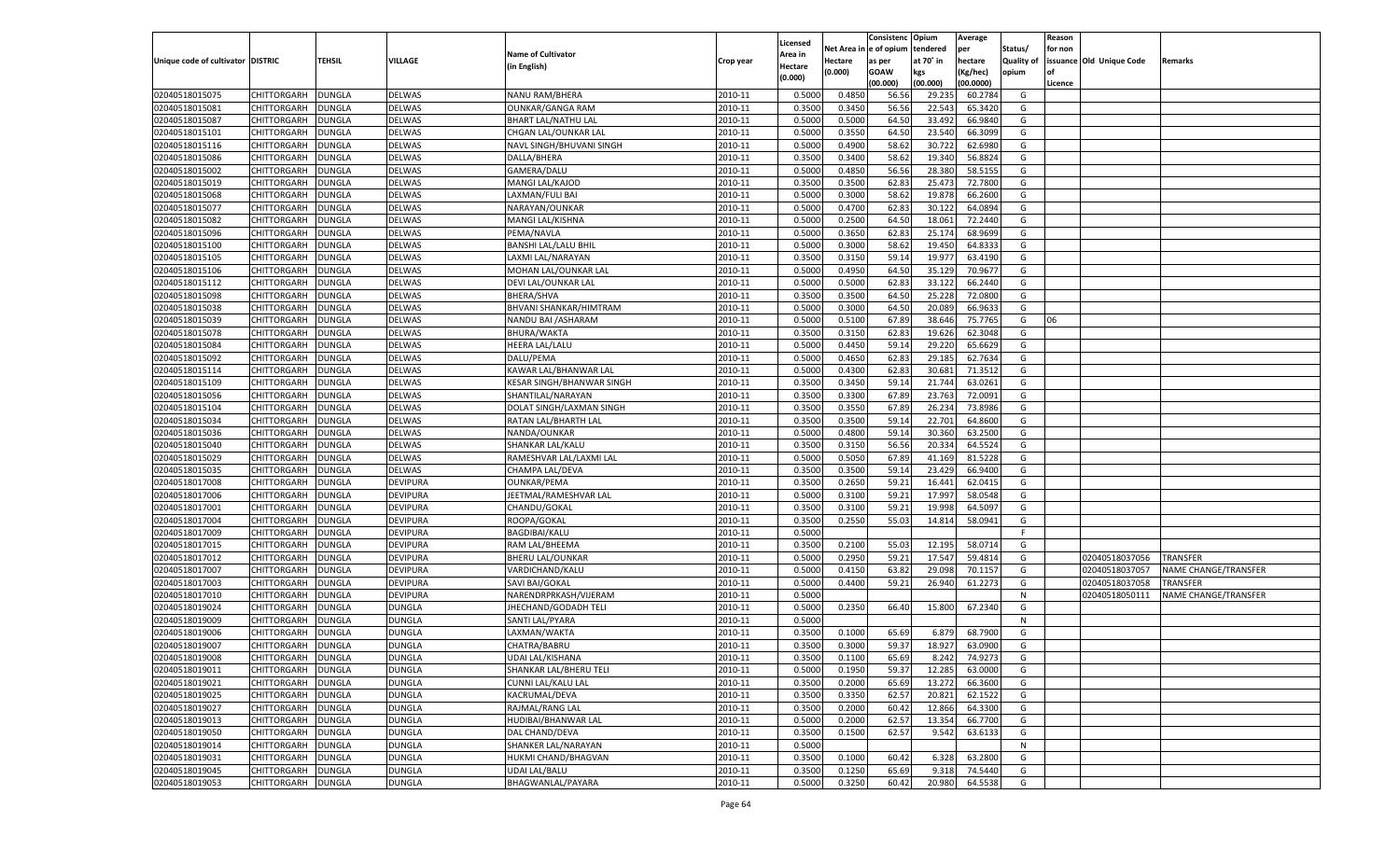|                                   |                            |               |                 |                             |           |                     |            | Consistenc    | Opium     | Average   |            | Reason  |                          |                      |
|-----------------------------------|----------------------------|---------------|-----------------|-----------------------------|-----------|---------------------|------------|---------------|-----------|-----------|------------|---------|--------------------------|----------------------|
|                                   |                            |               |                 | <b>Name of Cultivator</b>   |           | Licensed<br>Area in | Net Area i | n  e of opium | tendered  | per       | Status/    | for non |                          |                      |
| Unique code of cultivator DISTRIC |                            | TEHSIL        | VILLAGE         | (in English)                | Crop year | Hectare             | Hectare    | as per        | at 70° in | hectare   | Quality of |         | issuance Old Unique Code | Remarks              |
|                                   |                            |               |                 |                             |           | (0.000)             | (0.000)    | <b>GOAW</b>   | kgs       | (Kg/hec)  | opium      |         |                          |                      |
|                                   |                            |               |                 |                             |           |                     |            | (00.000)      | (00.000)  | (00.0000) |            | Licence |                          |                      |
| 02040518015075                    | CHITTORGARH                | DUNGLA        | <b>DELWAS</b>   | NANU RAM/BHERA              | 2010-11   | 0.5000              | 0.4850     | 56.56         | 29.23     | 60.2784   | G          |         |                          |                      |
| 02040518015081                    | CHITTORGARH                | DUNGLA        | <b>DELWAS</b>   | <b>OUNKAR/GANGA RAM</b>     | 2010-11   | 0.3500              | 0.3450     | 56.56         | 22.543    | 65.3420   | G          |         |                          |                      |
| 02040518015087                    | CHITTORGARH                | DUNGLA        | DELWAS          | <b>BHART LAL/NATHU LAL</b>  | 2010-11   | 0.5000              | 0.5000     | 64.50         | 33.492    | 66.9840   | G          |         |                          |                      |
| 02040518015101                    | CHITTORGARH                | DUNGLA        | <b>DELWAS</b>   | CHGAN LAL/OUNKAR LAL        | 2010-11   | 0.5000              | 0.3550     | 64.50         | 23.540    | 66.3099   | G          |         |                          |                      |
| 02040518015116                    | CHITTORGARH                | DUNGLA        | DELWAS          | NAVL SINGH/BHUVANI SINGH    | 2010-11   | 0.5000              | 0.4900     | 58.62         | 30.722    | 62.6980   | G          |         |                          |                      |
| 02040518015086                    | CHITTORGARH                | DUNGLA        | <b>DELWAS</b>   | DALLA/BHERA                 | 2010-11   | 0.3500              | 0.3400     | 58.62         | 19.340    | 56.8824   | G          |         |                          |                      |
| 02040518015002                    | CHITTORGARH                | DUNGLA        | DELWAS          | GAMERA/DALU                 | 2010-11   | 0.5000              | 0.4850     | 56.56         | 28.38     | 58.5155   | G          |         |                          |                      |
| 02040518015019                    | CHITTORGARH                | DUNGLA        | <b>DELWAS</b>   | MANGI LAL/KAJOD             | 2010-11   | 0.3500              | 0.3500     | 62.83         | 25.473    | 72.7800   | G          |         |                          |                      |
| 02040518015068                    | CHITTORGARH                | DUNGLA        | DELWAS          | LAXMAN/FULI BAI             | 2010-11   | 0.5000              | 0.3000     | 58.62         | 19.878    | 66.2600   | G          |         |                          |                      |
| 02040518015077                    | CHITTORGARH                | DUNGLA        | <b>DELWAS</b>   | NARAYAN/OUNKAR              | 2010-11   | 0.5000              | 0.4700     | 62.83         | 30.12     | 64.0894   | G          |         |                          |                      |
| 02040518015082                    | CHITTORGARH                | DUNGLA        | DELWAS          | MANGI LAL/KISHNA            | 2010-11   | 0.5000              | 0.2500     | 64.50         | 18.061    | 72.2440   | G          |         |                          |                      |
| 02040518015096                    | CHITTORGARH                | DUNGLA        | <b>DELWAS</b>   | PEMA/NAVLA                  | 2010-11   | 0.5000              | 0.3650     | 62.83         | 25.174    | 68.9699   | G          |         |                          |                      |
| 02040518015100                    | CHITTORGARH                | DUNGLA        | DELWAS          | <b>BANSHI LAL/LALU BHIL</b> | 2010-11   | 0.5000              | 0.3000     | 58.62         | 19.450    | 64.8333   | G          |         |                          |                      |
| 02040518015105                    | CHITTORGARH                | DUNGLA        | DELWAS          | LAXMI LAL/NARAYAN           | 2010-11   | 0.3500              | 0.3150     | 59.14         | 19.977    | 63.4190   | G          |         |                          |                      |
| 02040518015106                    | CHITTORGARH                | DUNGLA        | DELWAS          | MOHAN LAL/OUNKAR LAL        | 2010-11   | 0.5000              | 0.4950     | 64.50         | 35.129    | 70.9677   | G          |         |                          |                      |
| 02040518015112                    | CHITTORGARH                | DUNGLA        | DELWAS          | DEVI LAL/OUNKAR LAL         | 2010-11   | 0.5000              | 0.5000     | 62.83         | 33.122    | 66.2440   | G          |         |                          |                      |
| 02040518015098                    | CHITTORGARH                | DUNGLA        | DELWAS          | BHERA/SHVA                  | 2010-11   | 0.3500              | 0.3500     | 64.50         | 25.228    | 72.0800   | G          |         |                          |                      |
| 02040518015038                    | CHITTORGARH                | DUNGLA        | DELWAS          | BHVANI SHANKAR/HIMTRAM      | 2010-11   | 0.5000              | 0.3000     | 64.50         | 20.089    | 66.963    | G          |         |                          |                      |
| 02040518015039                    | CHITTORGARH                | DUNGLA        | DELWAS          | NANDU BAI / ASHARAM         | 2010-11   | 0.5000              | 0.5100     | 67.89         | 38.646    | 75.7765   | G          | 06      |                          |                      |
| 02040518015078                    | CHITTORGARH                | DUNGLA        | DELWAS          | BHURA/WAKTA                 | 2010-11   | 0.3500              | 0.3150     | 62.83         | 19.626    | 62.3048   | G          |         |                          |                      |
| 02040518015084                    | CHITTORGARH                | DUNGLA        | DELWAS          | <b>HEERA LAL/LALU</b>       | 2010-11   | 0.5000              | 0.4450     | 59.14         | 29.220    | 65.6629   | G          |         |                          |                      |
| 02040518015092                    | CHITTORGARH                | DUNGLA        | DELWAS          | DALU/PEMA                   | 2010-11   | 0.5000              | 0.4650     | 62.83         | 29.185    | 62.7634   | G          |         |                          |                      |
| 02040518015114                    | CHITTORGARH                | DUNGLA        | DELWAS          | KAWAR LAL/BHANWAR LAL       | 2010-11   | 0.5000              | 0.4300     | 62.83         | 30.681    | 71.3512   | G          |         |                          |                      |
| 02040518015109                    | CHITTORGARH                | DUNGLA        | DELWAS          | KESAR SINGH/BHANWAR SINGH   | 2010-11   | 0.3500              | 0.3450     | 59.14         | 21.744    | 63.0261   | G          |         |                          |                      |
| 02040518015056                    | CHITTORGARH                | DUNGLA        | DELWAS          | SHANTILAL/NARAYAN           | 2010-11   | 0.3500              | 0.3300     | 67.89         | 23.763    | 72.0091   | G          |         |                          |                      |
| 02040518015104                    | CHITTORGARH                | DUNGLA        | DELWAS          | DOLAT SINGH/LAXMAN SINGH    | 2010-11   | 0.3500              | 0.3550     | 67.89         | 26.234    | 73.8986   | G          |         |                          |                      |
| 02040518015034                    | CHITTORGARH                | DUNGLA        | DELWAS          | RATAN LAL/BHARTH LAL        | 2010-11   | 0.3500              | 0.3500     | 59.14         | 22.701    | 64.8600   | G          |         |                          |                      |
| 02040518015036                    | CHITTORGARH                | DUNGLA        | DELWAS          | NANDA/OUNKAR                | 2010-11   | 0.5000              | 0.4800     | 59.14         | 30.360    | 63.2500   | G          |         |                          |                      |
| 02040518015040                    | CHITTORGARH                | DUNGLA        | DELWAS          | SHANKAR LAL/KALU            | 2010-11   | 0.3500              | 0.3150     | 56.56         | 20.334    | 64.5524   | G          |         |                          |                      |
| 02040518015029                    | CHITTORGARH                | DUNGLA        | <b>DELWAS</b>   | RAMESHVAR LAL/LAXMI LAL     | 2010-11   | 0.5000              | 0.5050     | 67.89         | 41.169    | 81.5228   | G          |         |                          |                      |
| 02040518015035                    | CHITTORGARH                | DUNGLA        | DELWAS          | CHAMPA LAL/DEVA             | 2010-11   | 0.3500              | 0.3500     | 59.14         | 23.429    | 66.9400   | G          |         |                          |                      |
| 02040518017008                    | CHITTORGARH                | DUNGLA        | <b>DEVIPURA</b> | <b>OUNKAR/PEMA</b>          | 2010-11   | 0.3500              | 0.2650     | 59.21         | 16.441    | 62.0415   | G          |         |                          |                      |
| 02040518017006                    | CHITTORGARH                | DUNGLA        | <b>DEVIPURA</b> | JEETMAL/RAMESHVAR LAL       | 2010-11   | 0.5000              | 0.3100     | 59.21         | 17.997    | 58.0548   | G          |         |                          |                      |
| 02040518017001                    | CHITTORGARH                | DUNGLA        | DEVIPURA        | CHANDU/GOKAL                | 2010-11   | 0.3500              | 0.3100     | 59.21         | 19.998    | 64.5097   | G          |         |                          |                      |
| 02040518017004                    | CHITTORGARH                | DUNGLA        | <b>DEVIPURA</b> | ROOPA/GOKAL                 | 2010-11   | 0.3500              | 0.2550     | 55.03         | 14.814    | 58.0941   | G          |         |                          |                      |
| 02040518017009                    | CHITTORGARH                | DUNGLA        | <b>DEVIPURA</b> | <b>BAGDIBAI/KALU</b>        | 2010-11   | 0.5000              |            |               |           |           | F          |         |                          |                      |
| 02040518017015                    | CHITTORGARH                | <b>DUNGLA</b> | <b>DEVIPURA</b> | RAM LAL/BHEEMA              | 2010-11   | 0.3500              | 0.2100     | 55.03         | 12.195    | 58.0714   | G          |         |                          |                      |
| 02040518017012                    | CHITTORGARH                | DUNGLA        | <b>DEVIPURA</b> | <b>BHERU LAL/OUNKAR</b>     | 2010-11   | 0.5000              | 0.2950     | 59.21         | 17.547    | 59.4814   | G          |         | 02040518037056           | <b>TRANSFER</b>      |
| 02040518017007                    | CHITTORGARH                | DUNGLA        | <b>DEVIPURA</b> | VARDICHAND/KALU             | 2010-11   | 0.5000              | 0.4150     | 63.82         | 29.098    | 70.1157   | G          |         | 02040518037057           | NAME CHANGE/TRANSFER |
| 02040518017003                    | CHITTORGARH                | DUNGLA        | <b>DEVIPURA</b> | SAVI BAI/GOKAL              | 2010-11   | 0.5000              | 0.4400     | 59.21         | 26.940    | 61.2273   | G          |         | 02040518037058           | TRANSFER             |
| 02040518017010                    | CHITTORGARH                | <b>DUNGLA</b> | <b>DEVIPURA</b> | NARENDRPRKASH/VIJERAM       | 2010-11   | 0.5000              |            |               |           |           | N          |         | 02040518050111           | NAME CHANGE/TRANSFER |
| 02040518019024                    | CHITTORGARH                | DUNGLA        | <b>DUNGLA</b>   | JHECHAND/GODADH TELI        | 2010-11   | 0.5000              | 0.2350     | 66.40         | 15.800    | 67.2340   | G          |         |                          |                      |
| 02040518019009                    | CHITTORGARH                | DUNGLA        | <b>DUNGLA</b>   | SANTI LAL/PYARA             | 2010-11   | 0.5000              |            |               |           |           | N          |         |                          |                      |
| 02040518019006                    | CHITTORGARH                | DUNGLA        | <b>DUNGLA</b>   | LAXMAN/WAKTA                | 2010-11   | 0.3500              | 0.1000     | 65.69         | 6.879     | 68.7900   | G          |         |                          |                      |
| 02040518019007                    |                            | <b>DUNGLA</b> | <b>DUNGLA</b>   |                             | 2010-11   | 0.3500              | 0.3000     | 59.37         | 18.927    |           | G          |         |                          |                      |
|                                   | CHITTORGARH<br>CHITTORGARH |               |                 | CHATRA/BABRU                |           |                     |            |               |           | 63.0900   |            |         |                          |                      |
| 02040518019008                    |                            | <b>DUNGLA</b> | <b>DUNGLA</b>   | UDAI LAL/KISHANA            | 2010-11   | 0.3500              | 0.1100     | 65.69         | 8.242     | 74.9273   | G          |         |                          |                      |
| 02040518019011                    | <b>CHITTORGARH</b>         | <b>DUNGLA</b> | <b>DUNGLA</b>   | SHANKAR LAL/BHERU TELI      | 2010-11   | 0.5000              | 0.1950     | 59.37         | 12.285    | 63.0000   | G          |         |                          |                      |
| 02040518019021                    | <b>CHITTORGARH</b>         | <b>DUNGLA</b> | <b>DUNGLA</b>   | CUNNI LAL/KALU LAL          | 2010-11   | 0.3500              | 0.2000     | 65.69         | 13.272    | 66.3600   | G          |         |                          |                      |
| 02040518019025                    | CHITTORGARH                | <b>DUNGLA</b> | <b>DUNGLA</b>   | KACRUMAL/DEVA               | 2010-11   | 0.3500              | 0.3350     | 62.57         | 20.821    | 62.1522   | G          |         |                          |                      |
| 02040518019027                    | <b>CHITTORGARH</b>         | <b>DUNGLA</b> | <b>DUNGLA</b>   | RAJMAL/RANG LAL             | 2010-11   | 0.3500              | 0.2000     | 60.42         | 12.866    | 64.3300   | G          |         |                          |                      |
| 02040518019013                    | <b>CHITTORGARH</b>         | <b>DUNGLA</b> | <b>DUNGLA</b>   | HUDIBAI/BHANWAR LAL         | 2010-11   | 0.5000              | 0.2000     | 62.57         | 13.354    | 66.7700   | G          |         |                          |                      |
| 02040518019050                    | <b>CHITTORGARH</b>         | <b>DUNGLA</b> | <b>DUNGLA</b>   | DAL CHAND/DEVA              | 2010-11   | 0.3500              | 0.1500     | 62.57         | 9.542     | 63.6133   | G          |         |                          |                      |
| 02040518019014                    | CHITTORGARH                | <b>DUNGLA</b> | <b>DUNGLA</b>   | SHANKER LAL/NARAYAN         | 2010-11   | 0.5000              |            |               |           |           | N          |         |                          |                      |
| 02040518019031                    | <b>CHITTORGARH</b>         | <b>DUNGLA</b> | <b>DUNGLA</b>   | HUKMI CHAND/BHAGVAN         | 2010-11   | 0.3500              | 0.1000     | 60.42         | 6.328     | 63.2800   | G          |         |                          |                      |
| 02040518019045                    | <b>CHITTORGARH</b>         | <b>DUNGLA</b> | <b>DUNGLA</b>   | UDAI LAL/BALU               | 2010-11   | 0.3500              | 0.1250     | 65.69         | 9.318     | 74.5440   | G          |         |                          |                      |
| 02040518019053                    | <b>CHITTORGARH</b>         | <b>DUNGLA</b> | <b>DUNGLA</b>   | BHAGWANLAL/PAYARA           | 2010-11   | 0.5000              | 0.3250     | 60.42         | 20.980    | 64.5538   | G          |         |                          |                      |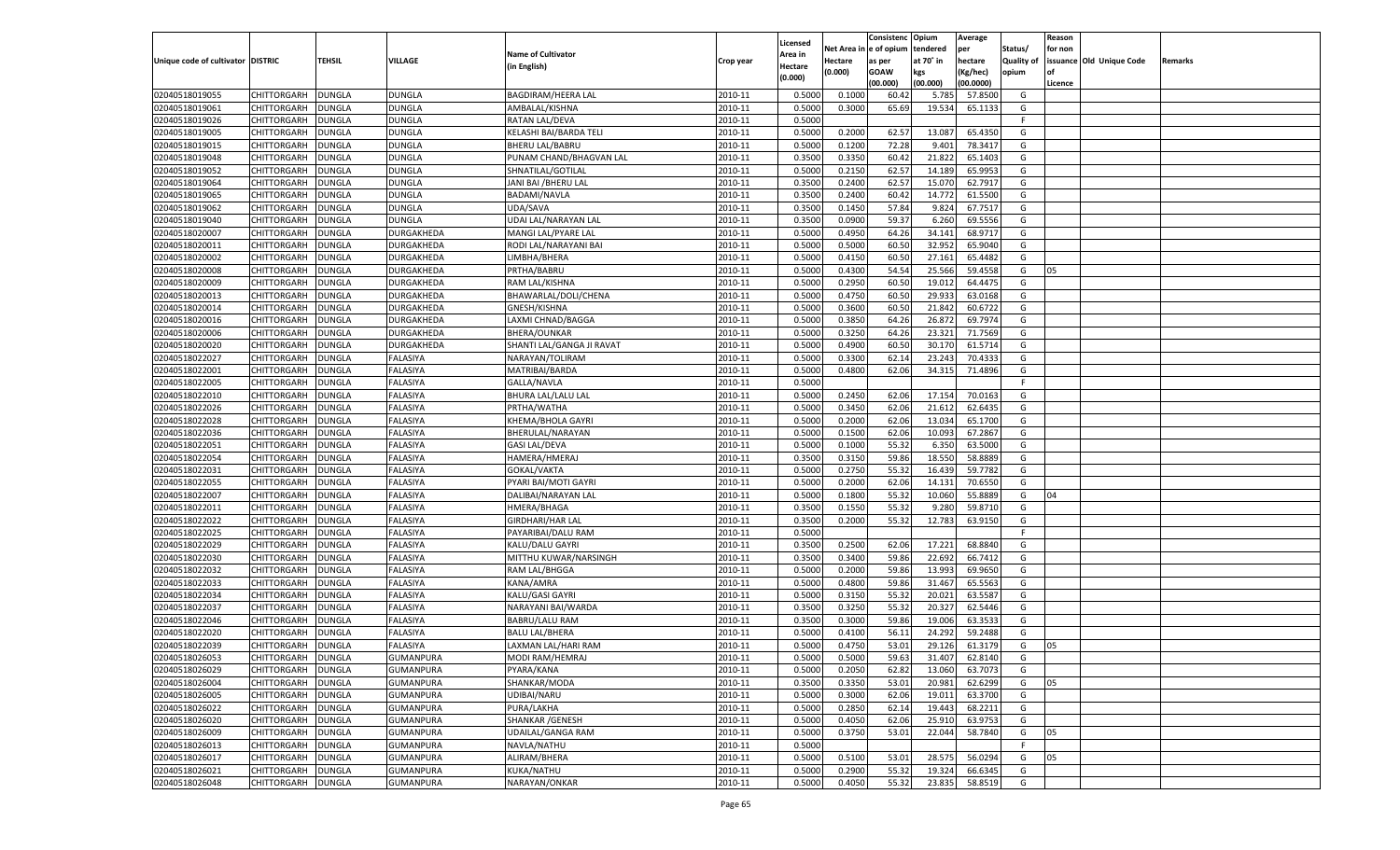|                                   |                    |               |                  |                           |           |          |          | Consistenc Opium |           | Average   |                   | Reason    |                          |         |
|-----------------------------------|--------------------|---------------|------------------|---------------------------|-----------|----------|----------|------------------|-----------|-----------|-------------------|-----------|--------------------------|---------|
|                                   |                    |               |                  |                           |           | Licensed | Net Area | e of opium       | tendered  | per       | Status/           | for non   |                          |         |
| Unique code of cultivator DISTRIC |                    | TEHSIL        | VILLAGE          | <b>Name of Cultivator</b> | Crop year | Area in  | Hectare  | as per           | at 70° in | hectare   | <b>Quality of</b> |           | issuance Old Unique Code | Remarks |
|                                   |                    |               |                  | (in English)              |           | Hectare  | (0.000)  | <b>GOAW</b>      | kgs       | (Kg/hec)  | opium             | <b>of</b> |                          |         |
|                                   |                    |               |                  |                           |           | (0.000)  |          | (00.000)         | (00.000)  | (00.0000) |                   | Licence   |                          |         |
| 02040518019055                    | CHITTORGARH        | <b>DUNGLA</b> | <b>DUNGLA</b>    | BAGDIRAM/HEERA LAL        | 2010-11   | 0.5000   | 0.1000   | 60.4             | 5.785     | 57.8500   | G                 |           |                          |         |
| 02040518019061                    | CHITTORGARH        | DUNGLA        | DUNGLA           | AMBALAL/KISHNA            | 2010-11   | 0.5000   | 0.3000   | 65.69            | 19.534    | 65.1133   | G                 |           |                          |         |
| 02040518019026                    | <b>CHITTORGARH</b> | <b>DUNGLA</b> | DUNGLA           | <b>RATAN LAL/DEVA</b>     | 2010-11   | 0.5000   |          |                  |           |           | F.                |           |                          |         |
| 02040518019005                    | CHITTORGARH        | DUNGLA        | DUNGLA           | KELASHI BAI/BARDA TELI    | 2010-11   | 0.5000   | 0.2000   | 62.57            | 13.087    | 65.4350   | G                 |           |                          |         |
| 02040518019015                    | CHITTORGARH        | <b>DUNGLA</b> | DUNGLA           | <b>BHERU LAL/BABRU</b>    | 2010-11   | 0.5000   | 0.1200   | 72.28            | 9.401     | 78.3417   | G                 |           |                          |         |
| 02040518019048                    | CHITTORGARH        | DUNGLA        | DUNGLA           | PUNAM CHAND/BHAGVAN LAL   | 2010-11   | 0.3500   | 0.3350   | 60.42            | 21.822    | 65.1403   | G                 |           |                          |         |
| 02040518019052                    | CHITTORGARH        | <b>DUNGLA</b> | DUNGLA           | SHNATILAL/GOTILAL         | 2010-11   | 0.5000   | 0.2150   | 62.57            | 14.189    | 65.9953   | G                 |           |                          |         |
| 02040518019064                    | CHITTORGARH        | DUNGLA        | DUNGLA           | JANI BAI / BHERU LAL      | 2010-11   | 0.3500   | 0.2400   | 62.57            | 15.070    | 62.7917   | G                 |           |                          |         |
| 02040518019065                    | CHITTORGARH        | <b>DUNGLA</b> | DUNGLA           | <b>BADAMI/NAVLA</b>       | 2010-11   | 0.3500   | 0.2400   | 60.42            | 14.772    | 61.5500   | G                 |           |                          |         |
| 02040518019062                    | CHITTORGARH        | DUNGLA        | <b>DUNGLA</b>    | UDA/SAVA                  | 2010-11   | 0.3500   | 0.1450   | 57.84            | 9.824     | 67.7517   | G                 |           |                          |         |
| 02040518019040                    | CHITTORGARH        | <b>DUNGLA</b> | DUNGLA           | UDAI LAL/NARAYAN LAL      | 2010-11   | 0.3500   | 0.0900   | 59.37            | 6.260     | 69.5556   | G                 |           |                          |         |
| 02040518020007                    | CHITTORGARH        | DUNGLA        | DURGAKHEDA       | MANGI LAL/PYARE LAL       | 2010-11   | 0.5000   | 0.4950   | 64.26            | 34.141    | 68.9717   | G                 |           |                          |         |
| 02040518020011                    | CHITTORGARH        | <b>DUNGLA</b> | DURGAKHEDA       | RODI LAL/NARAYANI BAI     | 2010-11   | 0.5000   | 0.5000   | 60.50            | 32.952    | 65.9040   | G                 |           |                          |         |
| 02040518020002                    | CHITTORGARH        | DUNGLA        | DURGAKHEDA       | LIMBHA/BHERA              | 2010-11   | 0.5000   | 0.4150   | 60.50            | 27.161    | 65.4482   | G                 |           |                          |         |
| 02040518020008                    | <b>CHITTORGARH</b> | <b>DUNGLA</b> | DURGAKHEDA       | PRTHA/BABRU               | 2010-11   | 0.5000   | 0.4300   | 54.54            | 25.566    | 59.4558   | G                 | 05        |                          |         |
| 02040518020009                    | CHITTORGARH        | <b>DUNGLA</b> | DURGAKHEDA       | RAM LAL/KISHNA            | 2010-11   | 0.5000   | 0.2950   | 60.50            | 19.012    | 64.4475   | G                 |           |                          |         |
| 02040518020013                    | <b>CHITTORGARH</b> | <b>DUNGLA</b> | DURGAKHEDA       | BHAWARLAL/DOLI/CHENA      | 2010-11   | 0.5000   | 0.4750   | 60.50            | 29.933    | 63.0168   | G                 |           |                          |         |
| 02040518020014                    | CHITTORGARH        | DUNGLA        | DURGAKHEDA       | GNESH/KISHNA              | 2010-11   | 0.5000   | 0.3600   | 60.50            | 21.842    | 60.6722   | G                 |           |                          |         |
| 02040518020016                    | <b>CHITTORGARH</b> | <b>DUNGLA</b> | DURGAKHEDA       | LAXMI CHNAD/BAGGA         | 2010-11   | 0.5000   | 0.3850   | 64.26            | 26.872    | 69.7974   | G                 |           |                          |         |
| 02040518020006                    | CHITTORGARH        | <b>DUNGLA</b> | DURGAKHEDA       | <b>BHERA/OUNKAR</b>       | 2010-11   | 0.5000   | 0.3250   | 64.26            | 23.321    | 71.7569   | G                 |           |                          |         |
| 02040518020020                    | <b>CHITTORGARH</b> | <b>DUNGLA</b> | DURGAKHEDA       | SHANTI LAL/GANGA JI RAVAT | 2010-11   | 0.5000   | 0.4900   | 60.50            | 30.170    | 61.5714   | G                 |           |                          |         |
| 02040518022027                    | CHITTORGARH        | DUNGLA        | FALASIYA         | NARAYAN/TOLIRAM           | 2010-11   | 0.5000   | 0.3300   | 62.14            | 23.243    | 70.4333   | G                 |           |                          |         |
| 02040518022001                    | <b>CHITTORGARH</b> | <b>DUNGLA</b> | <b>FALASIYA</b>  | MATRIBAI/BARDA            | 2010-11   | 0.5000   | 0.4800   | 62.06            | 34.315    | 71.4896   | G                 |           |                          |         |
| 02040518022005                    | CHITTORGARH        | <b>DUNGLA</b> | <b>FALASIYA</b>  | GALLA/NAVLA               | 2010-11   | 0.5000   |          |                  |           |           | F                 |           |                          |         |
| 02040518022010                    | <b>CHITTORGARH</b> | <b>DUNGLA</b> | FALASIYA         | <b>BHURA LAL/LALU LAL</b> | 2010-11   | 0.5000   | 0.2450   | 62.06            | 17.154    | 70.0163   | G                 |           |                          |         |
| 02040518022026                    | CHITTORGARH        | DUNGLA        | FALASIYA         | PRTHA/WATHA               | 2010-11   | 0.5000   | 0.3450   | 62.06            | 21.612    | 62.6435   | G                 |           |                          |         |
| 02040518022028                    | <b>CHITTORGARH</b> | DUNGLA        | <b>FALASIYA</b>  | KHEMA/BHOLA GAYRI         | 2010-11   | 0.5000   | 0.2000   | 62.06            | 13.034    | 65.1700   | G                 |           |                          |         |
| 02040518022036                    | CHITTORGARH        | <b>DUNGLA</b> | <b>FALASIYA</b>  | BHERULAL/NARAYAN          | 2010-11   | 0.5000   | 0.1500   | 62.06            | 10.093    | 67.2867   | G                 |           |                          |         |
| 02040518022051                    | <b>CHITTORGARH</b> | <b>DUNGLA</b> | FALASIYA         | <b>GASI LAL/DEVA</b>      | 2010-11   | 0.5000   | 0.1000   | 55.32            | 6.350     | 63.5000   | G                 |           |                          |         |
| 02040518022054                    | CHITTORGARH        | DUNGLA        | FALASIYA         | HAMERA/HMERAJ             | 2010-11   | 0.3500   | 0.3150   | 59.86            | 18.55     | 58.8889   | G                 |           |                          |         |
| 02040518022031                    | CHITTORGARH        | DUNGLA        | FALASIYA         | GOKAL/VAKTA               | 2010-11   | 0.5000   | 0.2750   | 55.32            | 16.439    | 59.7782   | G                 |           |                          |         |
| 02040518022055                    | CHITTORGARH        | DUNGLA        | FALASIYA         | PYARI BAI/MOTI GAYRI      | 2010-11   | 0.5000   | 0.2000   | 62.06            | 14.13     | 70.6550   | G                 |           |                          |         |
| 02040518022007                    | CHITTORGARH        | DUNGLA        | <b>FALASIYA</b>  | DALIBAI/NARAYAN LAL       | 2010-11   | 0.5000   | 0.1800   | 55.32            | 10.060    | 55.8889   | G                 | 04        |                          |         |
| 02040518022011                    | CHITTORGARH        | DUNGLA        | FALASIYA         | HMERA/BHAGA               | 2010-11   | 0.3500   | 0.1550   | 55.32            | 9.280     | 59.8710   | G                 |           |                          |         |
| 02040518022022                    | CHITTORGARH        | DUNGLA        | FALASIYA         | GIRDHARI/HAR LAL          | 2010-11   | 0.3500   | 0.2000   | 55.32            | 12.783    | 63.9150   | G                 |           |                          |         |
| 02040518022025                    | CHITTORGARH        | DUNGLA        | FALASIYA         | PAYARIBAI/DALU RAM        | 2010-11   | 0.5000   |          |                  |           |           | F                 |           |                          |         |
| 02040518022029                    | CHITTORGARH        | DUNGLA        | <b>FALASIYA</b>  | KALU/DALU GAYRI           | 2010-11   | 0.3500   | 0.2500   | 62.06            | 17.221    | 68.8840   | G                 |           |                          |         |
| 02040518022030                    | CHITTORGARH        | DUNGLA        | FALASIYA         | MITTHU KUWAR/NARSINGH     | 2010-11   | 0.3500   | 0.3400   | 59.86            | 22.692    | 66.7412   | G                 |           |                          |         |
| 02040518022032                    | CHITTORGARH        | DUNGLA        | FALASIYA         | RAM LAL/BHGGA             | 2010-11   | 0.5000   | 0.2000   | 59.86            | 13.993    | 69.9650   | G                 |           |                          |         |
| 02040518022033                    | CHITTORGARH        | DUNGLA        | FALASIYA         | KANA/AMRA                 | 2010-11   | 0.5000   | 0.4800   | 59.86            | 31.467    | 65.5563   | G                 |           |                          |         |
| 02040518022034                    | CHITTORGARH        | DUNGLA        | <b>FALASIYA</b>  | KALU/GASI GAYRI           | 2010-11   | 0.5000   | 0.3150   | 55.32            | 20.021    | 63.5587   | G                 |           |                          |         |
| 02040518022037                    | CHITTORGARH        | DUNGLA        | FALASIYA         | NARAYANI BAI/WARDA        | 2010-11   | 0.3500   | 0.3250   | 55.32            | 20.32     | 62.5446   | G                 |           |                          |         |
| 02040518022046                    | CHITTORGARH        | DUNGLA        | FALASIYA         | BABRU/LALU RAM            | 2010-11   | 0.3500   | 0.3000   | 59.86            | 19.006    | 63.3533   | G                 |           |                          |         |
| 02040518022020                    | CHITTORGARH        | DUNGLA        | FALASIYA         | <b>BALU LAL/BHERA</b>     | 2010-11   | 0.5000   | 0.4100   | 56.1             | 24.29     | 59.2488   | G                 |           |                          |         |
| 02040518022039                    | CHITTORGARH        | <b>DUNGLA</b> | FALASIYA         | LAXMAN LAL/HARI RAM       | 2010-11   | 0.5000   | 0.4750   | 53.01            | 29.126    | 61.3179   | G                 | 05        |                          |         |
| 02040518026053                    | CHITTORGARH        | <b>DUNGLA</b> | GUMANPURA        | MODI RAM/HEMRAJ           | 2010-11   | 0.5000   | 0.5000   | 59.63            | 31.407    | 62.8140   | G                 |           |                          |         |
| 02040518026029                    | <b>CHITTORGARH</b> | <b>DUNGLA</b> | <b>GUMANPURA</b> | PYARA/KANA                | 2010-11   | 0.5000   | 0.2050   | 62.82            | 13.060    | 63.7073   | G                 |           |                          |         |
| 02040518026004                    | <b>CHITTORGARH</b> | <b>DUNGLA</b> | GUMANPURA        | SHANKAR/MODA              | 2010-11   | 0.3500   | 0.3350   | 53.01            | 20.981    | 62.6299   | G                 | 05        |                          |         |
| 02040518026005                    | <b>CHITTORGARH</b> | <b>DUNGLA</b> | <b>GUMANPURA</b> | UDIBAI/NARU               | 2010-11   | 0.5000   | 0.3000   | 62.06            | 19.011    | 63.3700   | G                 |           |                          |         |
| 02040518026022                    | <b>CHITTORGARH</b> | <b>DUNGLA</b> | <b>GUMANPURA</b> | PURA/LAKHA                | 2010-11   | 0.5000   | 0.2850   | 62.14            | 19.443    | 68.2211   | G                 |           |                          |         |
| 02040518026020                    | <b>CHITTORGARH</b> | <b>DUNGLA</b> | GUMANPURA        | SHANKAR / GENESH          | 2010-11   | 0.5000   | 0.4050   | 62.06            | 25.910    | 63.9753   | G                 |           |                          |         |
| 02040518026009                    | <b>CHITTORGARH</b> | <b>DUNGLA</b> | <b>GUMANPURA</b> | <b>UDAILAL/GANGA RAM</b>  | 2010-11   | 0.5000   | 0.3750   | 53.01            | 22.044    | 58.7840   | G                 | 05        |                          |         |
| 02040518026013                    | <b>CHITTORGARH</b> | <b>DUNGLA</b> | <b>GUMANPURA</b> | NAVLA/NATHU               | 2010-11   | 0.5000   |          |                  |           |           | F                 |           |                          |         |
| 02040518026017                    | <b>CHITTORGARH</b> | <b>DUNGLA</b> | GUMANPURA        | ALIRAM/BHERA              | 2010-11   | 0.5000   | 0.5100   | 53.01            | 28.575    | 56.0294   | G                 | 05        |                          |         |
| 02040518026021                    | <b>CHITTORGARH</b> | <b>DUNGLA</b> | <b>GUMANPURA</b> | KUKA/NATHU                | 2010-11   | 0.5000   | 0.2900   | 55.32            | 19.324    | 66.6345   | G                 |           |                          |         |
|                                   |                    |               |                  |                           |           |          |          |                  |           |           |                   |           |                          |         |
| 02040518026048                    | <b>CHITTORGARH</b> | <b>DUNGLA</b> | GUMANPURA        | NARAYAN/ONKAR             | 2010-11   | 0.5000   | 0.4050   | 55.32            | 23.835    | 58.8519   | G                 |           |                          |         |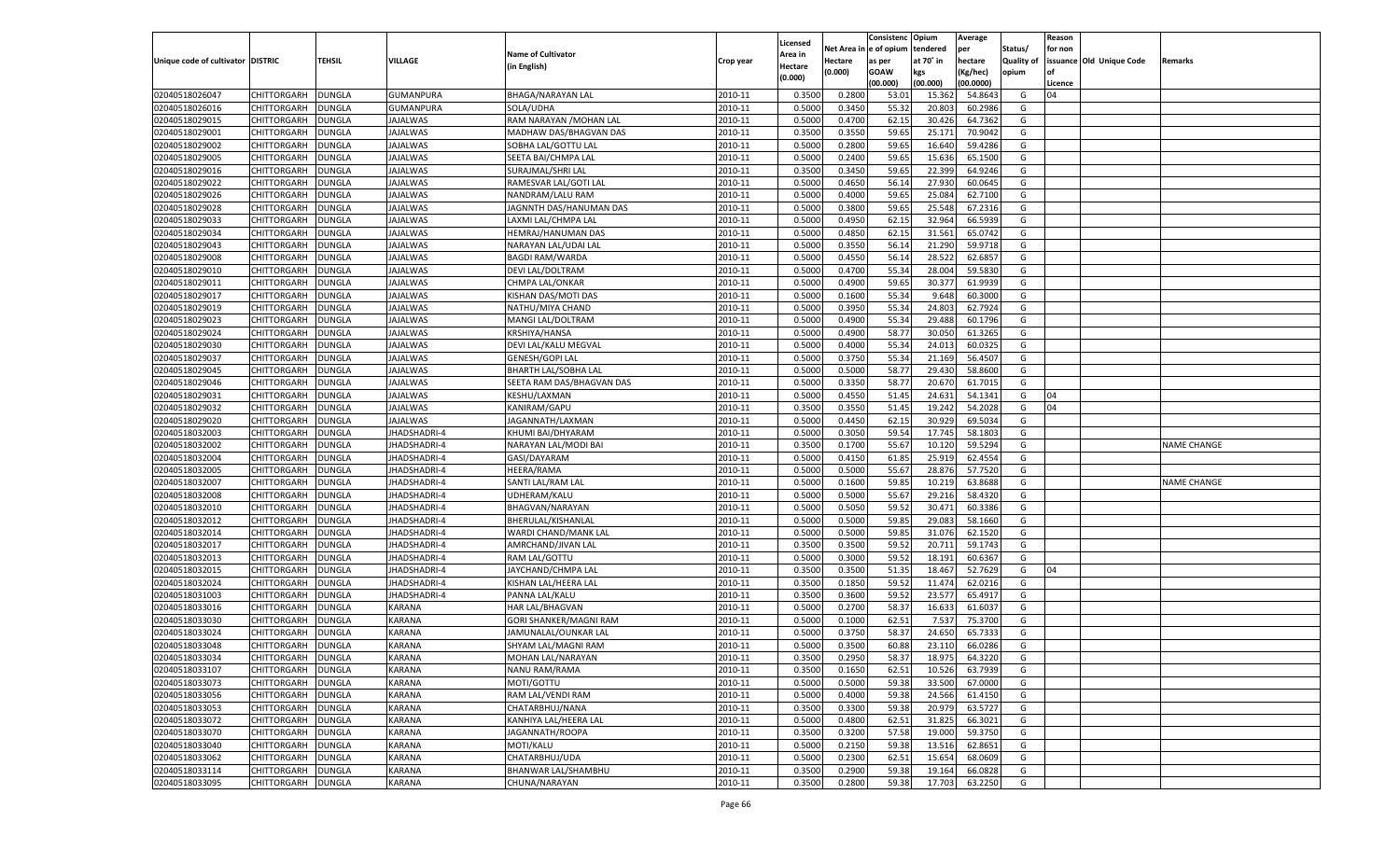|                                   |                    |               |                            |                               |           |          |            | Consistenc Opium |           | Average   |                   | Reason  |                          |                    |
|-----------------------------------|--------------------|---------------|----------------------------|-------------------------------|-----------|----------|------------|------------------|-----------|-----------|-------------------|---------|--------------------------|--------------------|
|                                   |                    |               |                            |                               |           | Licensed | Net Area i | l e of opium     | tendered  | per       | Status/           | for non |                          |                    |
| Unique code of cultivator DISTRIC |                    | TEHSIL        | VILLAGE                    | <b>Name of Cultivator</b>     | Crop year | Area in  | Hectare    | as per           | at 70° in | hectare   | <b>Quality of</b> |         | issuance Old Unique Code | Remarks            |
|                                   |                    |               |                            | (in English)                  |           | Hectare  | (0.000)    | <b>GOAW</b>      | kgs       | (Kg/hec)  | opium             | nf      |                          |                    |
|                                   |                    |               |                            |                               |           | (0.000)  |            | (00.000)         | (00.000)  | (00.0000) |                   | Licence |                          |                    |
| 02040518026047                    | CHITTORGARH        | <b>DUNGLA</b> | <b>GUMANPURA</b>           | BHAGA/NARAYAN LAL             | 2010-11   | 0.3500   | 0.2800     | 53.01            | 15.362    | 54.8643   | G                 | 04      |                          |                    |
| 02040518026016                    | CHITTORGARH        | DUNGLA        | GUMANPURA                  | SOLA/UDHA                     | 2010-11   | 0.5000   | 0.3450     | 55.32            | 20.803    | 60.2986   | G                 |         |                          |                    |
| 02040518029015                    | CHITTORGARH        | DUNGLA        | JAJALWAS                   | RAM NARAYAN / MOHAN LAL       | 2010-11   | 0.5000   | 0.4700     | 62.15            | 30.426    | 64.7362   | G                 |         |                          |                    |
| 02040518029001                    | CHITTORGARH        | DUNGLA        | JAJALWAS                   | MADHAW DAS/BHAGVAN DAS        | 2010-11   | 0.3500   | 0.3550     | 59.65            | 25.171    | 70.9042   | G                 |         |                          |                    |
| 02040518029002                    | CHITTORGARH        | DUNGLA        | <b>JAJALWAS</b>            | SOBHA LAL/GOTTU LAL           | 2010-11   | 0.5000   | 0.2800     | 59.65            | 16.640    | 59.4286   | G                 |         |                          |                    |
| 02040518029005                    | CHITTORGARH        | DUNGLA        | JAJALWAS                   | SEETA BAI/CHMPA LAL           | 2010-11   | 0.5000   | 0.2400     | 59.65            | 15.636    | 65.1500   | G                 |         |                          |                    |
| 02040518029016                    | CHITTORGARH        | DUNGLA        | <b>JAJALWAS</b>            | SURAJMAL/SHRI LAL             | 2010-11   | 0.3500   | 0.3450     | 59.65            | 22.399    | 64.9246   | G                 |         |                          |                    |
| 02040518029022                    | CHITTORGARH        | DUNGLA        | JAJALWAS                   | RAMESVAR LAL/GOTI LAL         | 2010-11   | 0.5000   | 0.4650     | 56.14            | 27.930    | 60.0645   | G                 |         |                          |                    |
| 02040518029026                    | CHITTORGARH        | DUNGLA        | <b>JAJALWAS</b>            | NANDRAM/LALU RAM              | 2010-11   | 0.5000   | 0.4000     | 59.65            | 25.084    | 62.7100   | G                 |         |                          |                    |
| 02040518029028                    | CHITTORGARH        | DUNGLA        | JAJALWAS                   | JAGNNTH DAS/HANUMAN DAS       | 2010-11   | 0.5000   | 0.3800     | 59.65            | 25.548    | 67.2316   | G                 |         |                          |                    |
| 02040518029033                    | CHITTORGARH        | DUNGLA        | <b>JAJALWAS</b>            | LAXMI LAL/CHMPA LAL           | 2010-11   | 0.5000   | 0.4950     | 62.15            | 32.964    | 66.5939   | G                 |         |                          |                    |
| 02040518029034                    | CHITTORGARH        | DUNGLA        | JAJALWAS                   | HEMRAJ/HANUMAN DAS            | 2010-11   | 0.5000   | 0.4850     | 62.15            | 31.561    | 65.0742   | G                 |         |                          |                    |
| 02040518029043                    | CHITTORGARH        | DUNGLA        | <b>JAJALWAS</b>            | NARAYAN LAL/UDAI LAL          | 2010-11   | 0.5000   | 0.3550     | 56.14            | 21.290    | 59.9718   | G                 |         |                          |                    |
| 02040518029008                    | CHITTORGARH        | DUNGLA        | JAJALWAS                   | <b>BAGDI RAM/WARDA</b>        | 2010-11   | 0.5000   | 0.4550     | 56.14            | 28.52     | 62.685    | G                 |         |                          |                    |
| 02040518029010                    | CHITTORGARH        | <b>DUNGLA</b> | <b>JAJALWAS</b>            | DEVI LAL/DOLTRAM              | 2010-11   | 0.5000   | 0.4700     | 55.34            | 28.004    | 59.583    | G                 |         |                          |                    |
| 02040518029011                    | CHITTORGARH        | DUNGLA        | JAJALWAS                   | <b>CHMPA LAL/ONKAR</b>        | 2010-11   | 0.5000   | 0.4900     | 59.65            | 30.377    | 61.9939   | G                 |         |                          |                    |
| 02040518029017                    | CHITTORGARH        | <b>DUNGLA</b> | <b>AJALWAS</b>             | KISHAN DAS/MOTI DAS           | 2010-11   | 0.5000   | 0.1600     | 55.34            | 9.648     | 60.3000   | G                 |         |                          |                    |
| 02040518029019                    | CHITTORGARH        | DUNGLA        | JAJALWAS                   | NATHU/MIYA CHAND              | 2010-11   | 0.5000   | 0.3950     | 55.34            | 24.803    | 62.7924   | G                 |         |                          |                    |
| 02040518029023                    | CHITTORGARH        | <b>DUNGLA</b> | <b>JAJALWAS</b>            | MANGI LAL/DOLTRAM             | 2010-11   | 0.5000   | 0.4900     | 55.34            | 29.488    | 60.1796   | G                 |         |                          |                    |
| 02040518029024                    | CHITTORGARH        | <b>DUNGLA</b> | JAJALWAS                   | <b>KRSHIYA/HANSA</b>          | 2010-11   | 0.5000   | 0.4900     | 58.77            | 30.050    | 61.3265   | G                 |         |                          |                    |
| 02040518029030                    | CHITTORGARH        | <b>DUNGLA</b> | <b>AJALWAS</b>             | DEVI LAL/KALU MEGVAL          | 2010-11   | 0.5000   | 0.4000     | 55.34            | 24.013    | 60.0325   | G                 |         |                          |                    |
| 02040518029037                    | CHITTORGARH        | DUNGLA        | JAJALWAS                   | <b>GENESH/GOPI LAL</b>        | 2010-11   | 0.5000   | 0.3750     | 55.34            | 21.169    | 56.4507   | G                 |         |                          |                    |
| 02040518029045                    | CHITTORGARH        | <b>DUNGLA</b> | <b>JAJALWAS</b>            | <b>BHARTH LAL/SOBHA LAL</b>   | 2010-11   | 0.5000   | 0.5000     | 58.77            | 29.430    | 58.8600   | G                 |         |                          |                    |
| 02040518029046                    | CHITTORGARH        | <b>DUNGLA</b> |                            | SEETA RAM DAS/BHAGVAN DAS     | 2010-11   | 0.5000   | 0.3350     |                  | 20.670    | 61.7015   | G                 |         |                          |                    |
|                                   | CHITTORGARH        | <b>DUNGLA</b> | JAJALWAS<br><b>AJALWAS</b> | <b>KESHU/LAXMAN</b>           | 2010-11   | 0.5000   | 0.4550     | 58.77            | 24.631    | 54.1341   |                   | 04      |                          |                    |
| 02040518029031                    |                    |               |                            |                               |           |          |            | 51.45            |           |           | G                 | 04      |                          |                    |
| 02040518029032                    | CHITTORGARH        | DUNGLA        | JAJALWAS                   | KANIRAM/GAPU                  | 2010-11   | 0.3500   | 0.3550     | 51.45            | 19.242    | 54.2028   | G                 |         |                          |                    |
| 02040518029020                    | CHITTORGARH        | <b>DUNGLA</b> | <b>JAJALWAS</b>            | JAGANNATH/LAXMAN              | 2010-11   | 0.5000   | 0.4450     | 62.15            | 30.929    | 69.5034   | G                 |         |                          |                    |
| 02040518032003                    | CHITTORGARH        | <b>DUNGLA</b> | JHADSHADRI-4               | KHUMI BAI/DHYARAM             | 2010-11   | 0.5000   | 0.3050     | 59.54            | 17.745    | 58.1803   | G                 |         |                          |                    |
| 02040518032002                    | CHITTORGARH        | <b>DUNGLA</b> | <b>JHADSHADRI-4</b>        | NARAYAN LAL/MODI BAI          | 2010-11   | 0.3500   | 0.1700     | 55.67            | 10.120    | 59.5294   | G                 |         |                          | <b>NAME CHANGE</b> |
| 02040518032004                    | CHITTORGARH        | DUNGLA        | JHADSHADRI-4               | GASI/DAYARAM                  | 2010-11   | 0.5000   | 0.4150     | 61.85            | 25.919    | 62.4554   | G                 |         |                          |                    |
| 02040518032005                    | CHITTORGARH        | DUNGLA        | <b>JHADSHADRI-4</b>        | <b>HEERA/RAMA</b>             | 2010-11   | 0.5000   | 0.5000     | 55.67            | 28.876    | 57.7520   | G                 |         |                          |                    |
| 02040518032007                    | CHITTORGARH        | DUNGLA        | JHADSHADRI-4               | SANTI LAL/RAM LAL             | 2010-11   | 0.5000   | 0.1600     | 59.85            | 10.219    | 63.8688   | G                 |         |                          | NAME CHANGE        |
| 02040518032008                    | CHITTORGARH        | DUNGLA        | JHADSHADRI-4               | UDHERAM/KALU                  | 2010-11   | 0.5000   | 0.5000     | 55.67            | 29.216    | 58.4320   | G                 |         |                          |                    |
| 02040518032010                    | CHITTORGARH        | DUNGLA        | JHADSHADRI-4               | BHAGVAN/NARAYAN               | 2010-11   | 0.5000   | 0.5050     | 59.52            | 30.471    | 60.3386   | G                 |         |                          |                    |
| 02040518032012                    | CHITTORGARH        | DUNGLA        | <b>JHADSHADRI-4</b>        | BHERULAL/KISHANLAL            | 2010-11   | 0.5000   | 0.5000     | 59.85            | 29.083    | 58.1660   | G                 |         |                          |                    |
| 02040518032014                    | CHITTORGARH        | DUNGLA        | JHADSHADRI-4               | WARDI CHAND/MANK LAL          | 2010-11   | 0.5000   | 0.5000     | 59.85            | 31.076    | 62.1520   | G                 |         |                          |                    |
| 02040518032017                    | CHITTORGARH        | DUNGLA        | JHADSHADRI-4               | AMRCHAND/JIVAN LAL            | 2010-11   | 0.3500   | 0.3500     | 59.52            | 20.711    | 59.1743   | G                 |         |                          |                    |
| 02040518032013                    | CHITTORGARH        | DUNGLA        | JHADSHADRI-4               | RAM LAL/GOTTU                 | 2010-11   | 0.5000   | 0.3000     | 59.52            | 18.191    | 60.6367   | G                 |         |                          |                    |
| 02040518032015                    | CHITTORGARH        | DUNGLA        | <b>JHADSHADRI-4</b>        | JAYCHAND/CHMPA LAL            | 2010-11   | 0.3500   | 0.3500     | 51.35            | 18.467    | 52.7629   | G                 | 04      |                          |                    |
| 02040518032024                    | CHITTORGARH        | DUNGLA        | JHADSHADRI-4               | KISHAN LAL/HEERA LAL          | 2010-11   | 0.3500   | 0.1850     | 59.52            | 11.474    | 62.0216   | G                 |         |                          |                    |
| 02040518031003                    | CHITTORGARH        | DUNGLA        | JHADSHADRI-4               | PANNA LAL/KALU                | 2010-11   | 0.3500   | 0.3600     | 59.52            | 23.577    | 65.4917   | G                 |         |                          |                    |
| 02040518033016                    | CHITTORGARH        | DUNGLA        | <b>KARANA</b>              | <b>HAR LAL/BHAGVAN</b>        | 2010-11   | 0.5000   | 0.2700     | 58.3             | 16.633    | 61.603    | G                 |         |                          |                    |
| 02040518033030                    | CHITTORGARH        | DUNGLA        | KARANA                     | <b>GORI SHANKER/MAGNI RAM</b> | 2010-11   | 0.5000   | 0.1000     | 62.51            | 7.537     | 75.3700   | G                 |         |                          |                    |
| 02040518033024                    | CHITTORGARH        | DUNGLA        | KARANA                     | JAMUNALAL/OUNKAR LAL          | 2010-11   | 0.5000   | 0.3750     | 58.37            | 24.65     | 65.7333   | G                 |         |                          |                    |
| 02040518033048                    | CHITTORGARH        | DUNGLA        | <b>KARANA</b>              | SHYAM LAL/MAGNI RAM           | 2010-11   | 0.5000   | 0.3500     | 60.88            | 23.110    | 66.0286   | G                 |         |                          |                    |
| 02040518033034                    | CHITTORGARH        | DUNGLA        | KARANA                     | MOHAN LAL/NARAYAN             | 2010-11   | 0.3500   | 0.2950     | 58.37            | 18.975    | 64.3220   | G                 |         |                          |                    |
| 02040518033107                    | CHITTORGARH        | <b>DUNGLA</b> | <b>KARANA</b>              | NANU RAM/RAMA                 | 2010-11   | 0.3500   | 0.1650     | 62.51            | 10.526    | 63.7939   | G                 |         |                          |                    |
| 02040518033073                    | CHITTORGARH        | <b>DUNGLA</b> | <b>KARANA</b>              | MOTI/GOTTU                    | 2010-11   | 0.5000   | 0.5000     | 59.38            | 33.500    | 67.0000   | G                 |         |                          |                    |
| 02040518033056                    | CHITTORGARH        | <b>DUNGLA</b> | <b>KARANA</b>              | RAM LAL/VENDI RAM             | 2010-11   | 0.5000   | 0.4000     | 59.38            | 24.566    | 61.4150   | G                 |         |                          |                    |
| 02040518033053                    | CHITTORGARH        | <b>DUNGLA</b> | <b>KARANA</b>              | CHATARBHUJ/NANA               | 2010-11   | 0.3500   | 0.3300     | 59.38            | 20.979    | 63.5727   | G                 |         |                          |                    |
| 02040518033072                    | CHITTORGARH        | <b>DUNGLA</b> | <b>KARANA</b>              | KANHIYA LAL/HEERA LAL         | 2010-11   | 0.5000   | 0.4800     | 62.51            | 31.825    | 66.3021   | G                 |         |                          |                    |
| 02040518033070                    | CHITTORGARH        | <b>DUNGLA</b> | <b>KARANA</b>              | JAGANNATH/ROOPA               | 2010-11   | 0.3500   | 0.3200     | 57.58            | 19.000    | 59.3750   | G                 |         |                          |                    |
| 02040518033040                    | CHITTORGARH        | DUNGLA        | <b>KARANA</b>              | MOTI/KALU                     | 2010-11   | 0.5000   | 0.2150     | 59.38            | 13.516    | 62.8651   | G                 |         |                          |                    |
| 02040518033062                    | CHITTORGARH        | <b>DUNGLA</b> | <b>KARANA</b>              | CHATARBHUJ/UDA                | 2010-11   | 0.5000   | 0.2300     | 62.51            | 15.654    | 68.0609   | G                 |         |                          |                    |
| 02040518033114                    | CHITTORGARH        | <b>DUNGLA</b> | <b>KARANA</b>              | BHANWAR LAL/SHAMBHU           | 2010-11   | 0.3500   | 0.2900     | 59.38            | 19.164    | 66.0828   | G                 |         |                          |                    |
| 02040518033095                    | <b>CHITTORGARH</b> | <b>DUNGLA</b> | <b>KARANA</b>              | CHUNA/NARAYAN                 | 2010-11   | 0.3500   | 0.2800     | 59.38            | 17.703    | 63.2250   | G                 |         |                          |                    |
|                                   |                    |               |                            |                               |           |          |            |                  |           |           |                   |         |                          |                    |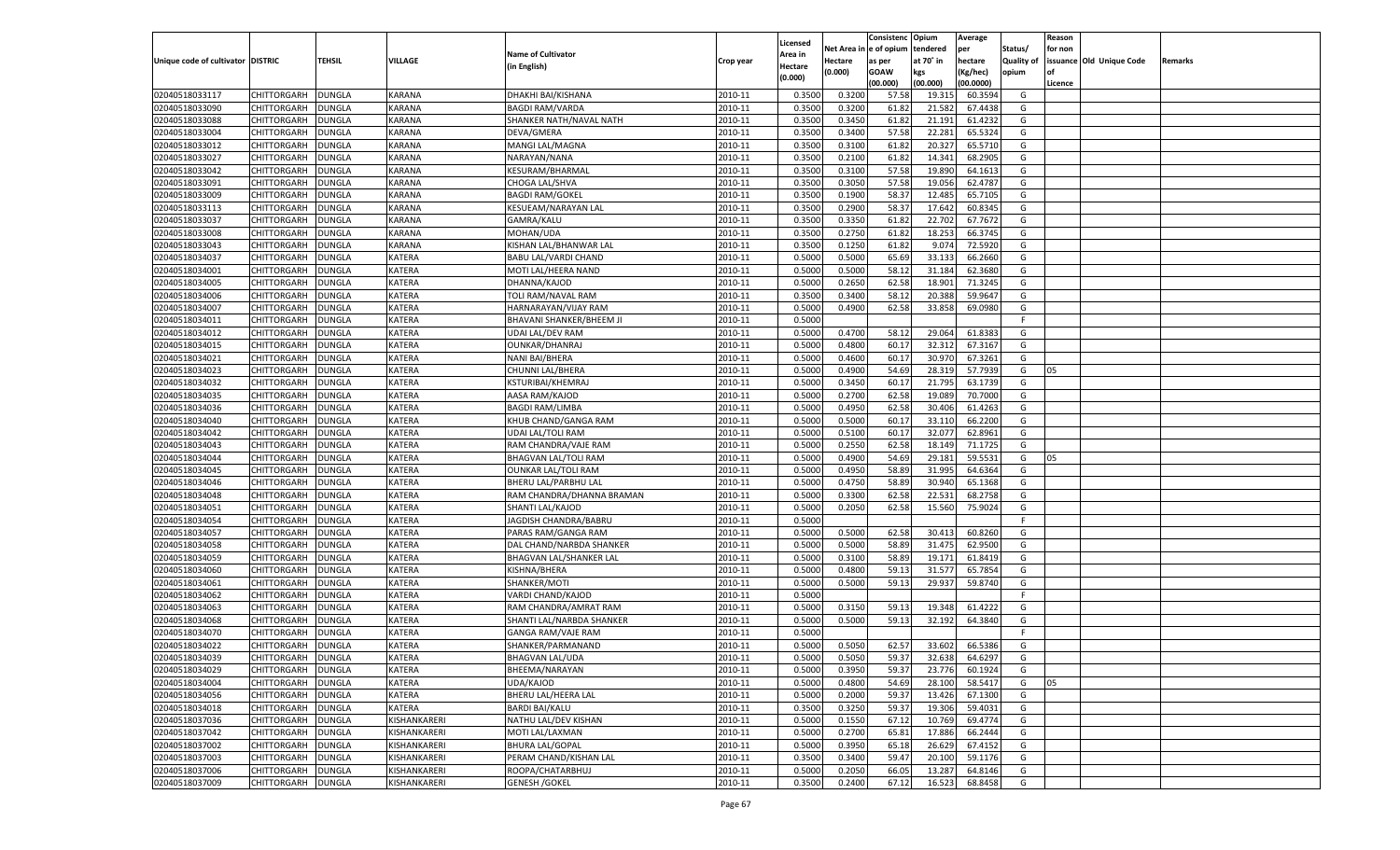|                                   |                      |               |               |                             |           |                           |          | Consistenc  | Opium     | Average   |                   | Reason  |                          |         |
|-----------------------------------|----------------------|---------------|---------------|-----------------------------|-----------|---------------------------|----------|-------------|-----------|-----------|-------------------|---------|--------------------------|---------|
|                                   |                      |               |               | <b>Name of Cultivator</b>   |           | Licensed                  | Net Area | e of opium  | tendered  | per       | Status/           | for non |                          |         |
| Unique code of cultivator DISTRIC |                      | <b>TEHSIL</b> | VILLAGE       | (in English)                | Crop year | <b>Area in</b><br>Hectare | Hectare  | as per      | at 70° in | hectare   | <b>Quality of</b> |         | issuance Old Unique Code | Remarks |
|                                   |                      |               |               |                             |           | (0.000)                   | (0.000)  | <b>GOAW</b> | kgs       | (Kg/hec)  | opium             |         |                          |         |
|                                   |                      |               |               |                             |           |                           |          | (00.000)    | (00.000)  | (00.0000) |                   | Licence |                          |         |
| 02040518033117                    | CHITTORGARH          | <b>DUNGLA</b> | KARANA        | DHAKHI BAI/KISHANA          | 2010-11   | 0.3500                    | 0.3200   | 57.58       | 19.315    | 60.3594   | G                 |         |                          |         |
| 02040518033090                    | CHITTORGARH          | DUNGLA        | KARANA        | <b>BAGDI RAM/VARDA</b>      | 2010-11   | 0.3500                    | 0.3200   | 61.82       | 21.582    | 67.4438   | G                 |         |                          |         |
| 02040518033088                    | CHITTORGARH          | DUNGLA        | <b>KARANA</b> | SHANKER NATH/NAVAL NATH     | 2010-11   | 0.3500                    | 0.3450   | 61.82       | 21.191    | 61.423    | G                 |         |                          |         |
| 02040518033004                    | CHITTORGARH          | DUNGLA        | KARANA        | DEVA/GMERA                  | 2010-11   | 0.3500                    | 0.3400   | 57.58       | 22.281    | 65.5324   | G                 |         |                          |         |
| 02040518033012                    | CHITTORGARH          | DUNGLA        | KARANA        | MANGI LAL/MAGNA             | 2010-11   | 0.3500                    | 0.3100   | 61.82       | 20.327    | 65.5710   | G                 |         |                          |         |
| 02040518033027                    | CHITTORGARH          | DUNGLA        | KARANA        | NARAYAN/NANA                | 2010-11   | 0.3500                    | 0.2100   | 61.82       | 14.341    | 68.2905   | G                 |         |                          |         |
| 02040518033042                    | CHITTORGARH          | DUNGLA        | <b>KARANA</b> | KESURAM/BHARMAL             | 2010-11   | 0.3500                    | 0.3100   | 57.58       | 19.89     | 64.161    | G                 |         |                          |         |
| 02040518033091                    | CHITTORGARH          | DUNGLA        | KARANA        | CHOGA LAL/SHVA              | 2010-11   | 0.3500                    | 0.3050   | 57.58       | 19.056    | 62.4787   | G                 |         |                          |         |
| 02040518033009                    | CHITTORGARH          | DUNGLA        | KARANA        | <b>BAGDI RAM/GOKEL</b>      | 2010-11   | 0.3500                    | 0.1900   | 58.37       | 12.485    | 65.7105   | G                 |         |                          |         |
| 02040518033113                    | CHITTORGARH          | DUNGLA        | KARANA        | <b>KESUEAM/NARAYAN LAI</b>  | 2010-11   | 0.3500                    | 0.2900   | 58.3        | 17.642    | 60.8345   | G                 |         |                          |         |
| 02040518033037                    | CHITTORGARH          | DUNGLA        | <b>KARANA</b> | GAMRA/KALU                  | 2010-11   | 0.3500                    | 0.3350   | 61.82       | 22.702    | 67.767    | G                 |         |                          |         |
| 02040518033008                    | CHITTORGARH          | DUNGLA        | KARANA        | MOHAN/UDA                   | 2010-11   | 0.3500                    | 0.2750   | 61.82       | 18.253    | 66.3745   | G                 |         |                          |         |
| 02040518033043                    | CHITTORGARH          | DUNGLA        | KARANA        | KISHAN LAL/BHANWAR LAL      | 2010-11   | 0.3500                    | 0.1250   | 61.82       | 9.074     | 72.5920   | G                 |         |                          |         |
| 02040518034037                    | CHITTORGARH          | DUNGLA        | KATERA        | <b>BABU LAL/VARDI CHAND</b> | 2010-11   | 0.5000                    | 0.5000   | 65.69       | 33.133    | 66.2660   | G                 |         |                          |         |
| 02040518034001                    | CHITTORGARH          | DUNGLA        | KATERA        | MOTI LAL/HEERA NAND         | 2010-11   | 0.5000                    | 0.5000   | 58.12       | 31.184    | 62.3680   | G                 |         |                          |         |
| 02040518034005                    | CHITTORGARH          | DUNGLA        | KATERA        | DHANNA/KAJOD                | 2010-11   | 0.5000                    | 0.2650   | 62.58       | 18.901    | 71.3245   | G                 |         |                          |         |
| 02040518034006                    | CHITTORGARH          | DUNGLA        | KATERA        | TOLI RAM/NAVAL RAM          | 2010-11   | 0.3500                    | 0.3400   | 58.12       | 20.388    | 59.9647   | G                 |         |                          |         |
| 02040518034007                    | CHITTORGARH          | DUNGLA        | KATERA        | HARNARAYAN/VIJAY RAM        | 2010-11   | 0.5000                    | 0.4900   | 62.58       | 33.858    | 69.0980   | G                 |         |                          |         |
| 02040518034011                    | CHITTORGARH          | DUNGLA        | KATERA        | BHAVANI SHANKER/BHEEM JI    | 2010-11   | 0.5000                    |          |             |           |           | F.                |         |                          |         |
| 02040518034012                    | CHITTORGARH          | DUNGLA        | KATERA        | UDAI LAL/DEV RAM            | 2010-11   | 0.5000                    | 0.4700   | 58.1        | 29.064    | 61.838    | G                 |         |                          |         |
| 02040518034015                    | CHITTORGARH          | DUNGLA        | KATERA        | <b>OUNKAR/DHANRAJ</b>       | 2010-11   | 0.5000                    | 0.4800   | 60.17       | 32.312    | 67.3167   | G                 |         |                          |         |
| 02040518034021                    | CHITTORGARH          | DUNGLA        | KATERA        | <b>NANI BAI/BHERA</b>       | 2010-11   | 0.5000                    | 0.4600   | 60.17       | 30.970    | 67.3261   | G                 |         |                          |         |
| 02040518034023                    | CHITTORGARH          | DUNGLA        | KATERA        | CHUNNI LAL/BHERA            | 2010-11   | 0.5000                    | 0.4900   | 54.69       | 28.319    | 57.7939   | G                 | 05      |                          |         |
| 02040518034032                    | CHITTORGARH          | DUNGLA        | KATERA        | KSTURIBAI/KHEMRAJ           | 2010-11   | 0.5000                    | 0.3450   | 60.1        | 21.795    | 63.1739   | G                 |         |                          |         |
| 02040518034035                    | CHITTORGARH          | DUNGLA        | KATERA        | AASA RAM/KAJOD              | 2010-11   | 0.5000                    | 0.2700   | 62.58       | 19.089    | 70.7000   | G                 |         |                          |         |
| 02040518034036                    | CHITTORGARH          | DUNGLA        | KATERA        | <b>BAGDI RAM/LIMBA</b>      | 2010-11   | 0.5000                    | 0.4950   | 62.58       | 30.406    | 61.426    | G                 |         |                          |         |
| 02040518034040                    | CHITTORGARH          | DUNGLA        | KATERA        | KHUB CHAND/GANGA RAM        | 2010-11   | 0.5000                    | 0.5000   | 60.17       | 33.110    | 66.2200   | G                 |         |                          |         |
| 02040518034042                    | CHITTORGARH          | DUNGLA        | KATERA        | UDAI LAL/TOLI RAM           | 2010-11   | 0.5000                    | 0.5100   | 60.1        | 32.077    | 62.8961   | G                 |         |                          |         |
| 02040518034043                    | CHITTORGARH          | DUNGLA        | KATERA        | RAM CHANDRA/VAJE RAM        | 2010-11   | 0.5000                    | 0.2550   | 62.58       | 18.149    | 71.1725   | G                 |         |                          |         |
| 02040518034044                    | CHITTORGARH          | <b>DUNGLA</b> | KATERA        | <b>BHAGVAN LAL/TOLI RAM</b> | 2010-11   | 0.5000                    | 0.4900   | 54.69       | 29.181    | 59.5531   | G                 | 05      |                          |         |
| 02040518034045                    | CHITTORGARH          | <b>DUNGLA</b> | KATERA        | <b>OUNKAR LAL/TOLI RAM</b>  | 2010-11   | 0.5000                    | 0.4950   | 58.89       | 31.995    | 64.6364   | G                 |         |                          |         |
| 02040518034046                    | CHITTORGARH          | DUNGLA        | KATERA        | BHERU LAL/PARBHU LAL        | 2010-11   | 0.5000                    | 0.4750   | 58.89       | 30.94     | 65.1368   | G                 |         |                          |         |
| 02040518034048                    | CHITTORGARH          | DUNGLA        | KATERA        | RAM CHANDRA/DHANNA BRAMAN   | 2010-11   | 0.5000                    | 0.3300   | 62.58       | 22.531    | 68.2758   | G                 |         |                          |         |
| 02040518034051                    | CHITTORGARH          | DUNGLA        | KATERA        | SHANTI LAL/KAJOD            | 2010-11   | 0.5000                    | 0.2050   | 62.58       | 15.560    | 75.9024   | G                 |         |                          |         |
| 02040518034054                    | CHITTORGARH          | <b>DUNGLA</b> | KATERA        | JAGDISH CHANDRA/BABRU       | 2010-11   | 0.5000                    |          |             |           |           | F.                |         |                          |         |
| 02040518034057                    | CHITTORGARH          | DUNGLA        | KATERA        | PARAS RAM/GANGA RAM         | 2010-11   | 0.5000                    | 0.5000   | 62.58       | 30.413    | 60.8260   | G                 |         |                          |         |
| 02040518034058                    | CHITTORGARH          | DUNGLA        | KATERA        | DAL CHAND/NARBDA SHANKER    | 2010-11   | 0.5000                    | 0.5000   | 58.89       | 31.475    | 62.9500   | G                 |         |                          |         |
| 02040518034059                    | CHITTORGARH          | DUNGLA        | KATERA        | BHAGVAN LAL/SHANKER LAL     | 2010-11   | 0.5000                    | 0.3100   | 58.89       | 19.171    | 61.8419   | G                 |         |                          |         |
| 02040518034060                    | CHITTORGARH          | <b>DUNGLA</b> | KATERA        | KISHNA/BHERA                | 2010-11   | 0.5000                    | 0.4800   | 59.13       | 31.577    | 65.7854   | G                 |         |                          |         |
| 02040518034061                    | CHITTORGARH          | DUNGLA        | KATERA        | SHANKER/MOTI                | 2010-11   | 0.5000                    | 0.5000   | 59.13       | 29.937    | 59.8740   | G                 |         |                          |         |
| 02040518034062                    | CHITTORGARH          | DUNGLA        | KATERA        | VARDI CHAND/KAJOD           | 2010-11   | 0.5000                    |          |             |           |           | F.                |         |                          |         |
| 02040518034063                    | CHITTORGARH          | DUNGLA        | KATERA        | RAM CHANDRA/AMRAT RAM       | 2010-11   | 0.5000                    | 0.3150   | 59.13       | 19.348    | 61.4222   | G                 |         |                          |         |
| 02040518034068                    | CHITTORGARH          | DUNGLA        | KATERA        | SHANTI LAL/NARBDA SHANKER   | 2010-11   | 0.5000                    | 0.5000   | 59.13       | 32.192    | 64.3840   | G                 |         |                          |         |
| 02040518034070                    | CHITTORGARH          | DUNGLA        | KATERA        | GANGA RAM/VAJE RAM          | 2010-11   | 0.5000                    |          |             |           |           | F.                |         |                          |         |
| 02040518034022                    |                      |               | KATERA        |                             | 2010-11   | 0.5000                    | 0.5050   | 62.57       | 33.602    | 66.5386   | G                 |         |                          |         |
| 02040518034039                    | CHITTORGARH          | <b>DUNGLA</b> |               | SHANKER/PARMANAND           |           |                           |          |             |           |           |                   |         |                          |         |
|                                   | CHITTORGARH   DUNGLA |               | <b>KATERA</b> | <b>BHAGVAN LAL/UDA</b>      | 2010-11   | 0.5000                    | 0.5050   | 59.37       | 32.638    | 64.6297   | G                 |         |                          |         |
| 02040518034029                    | <b>CHITTORGARH</b>   | <b>DUNGLA</b> | <b>KATERA</b> | BHEEMA/NARAYAN              | 2010-11   | 0.5000                    | 0.3950   | 59.37       | 23.776    | 60.1924   | G                 |         |                          |         |
| 02040518034004                    | <b>CHITTORGARH</b>   | <b>DUNGLA</b> | KATERA        | UDA/KAJOD                   | 2010-11   | 0.5000                    | 0.4800   | 54.69       | 28.100    | 58.5417   | G                 | 05      |                          |         |
| 02040518034056                    | <b>CHITTORGARH</b>   | <b>DUNGLA</b> | KATERA        | BHERU LAL/HEERA LAL         | 2010-11   | 0.5000                    | 0.2000   | 59.37       | 13.426    | 67.1300   | G                 |         |                          |         |
| 02040518034018                    | <b>CHITTORGARH</b>   | <b>DUNGLA</b> | KATERA        | <b>BARDI BAI/KALU</b>       | 2010-11   | 0.3500                    | 0.3250   | 59.37       | 19.306    | 59.4031   | G                 |         |                          |         |
| 02040518037036                    | <b>CHITTORGARH</b>   | <b>DUNGLA</b> | KISHANKARERI  | NATHU LAL/DEV KISHAN        | 2010-11   | 0.5000                    | 0.1550   | 67.12       | 10.769    | 69.4774   | G                 |         |                          |         |
| 02040518037042                    | <b>CHITTORGARH</b>   | <b>DUNGLA</b> | KISHANKARERI  | MOTI LAL/LAXMAN             | 2010-11   | 0.5000                    | 0.2700   | 65.81       | 17.886    | 66.2444   | G                 |         |                          |         |
| 02040518037002                    | <b>CHITTORGARH</b>   | <b>DUNGLA</b> | KISHANKARERI  | <b>BHURA LAL/GOPAL</b>      | 2010-11   | 0.5000                    | 0.3950   | 65.18       | 26.629    | 67.4152   | G                 |         |                          |         |
| 02040518037003                    | <b>CHITTORGARH</b>   | <b>DUNGLA</b> | KISHANKARERI  | PERAM CHAND/KISHAN LAL      | 2010-11   | 0.3500                    | 0.3400   | 59.47       | 20.100    | 59.1176   | G                 |         |                          |         |
| 02040518037006                    | <b>CHITTORGARH</b>   | <b>DUNGLA</b> | KISHANKARERI  | ROOPA/CHATARBHUJ            | 2010-11   | 0.5000                    | 0.2050   | 66.05       | 13.287    | 64.8146   | G                 |         |                          |         |
| 02040518037009                    | <b>CHITTORGARH</b>   | <b>DUNGLA</b> | KISHANKARERI  | <b>GENESH / GOKEL</b>       | 2010-11   | 0.3500                    | 0.2400   | 67.12       | 16.523    | 68.8458   | G                 |         |                          |         |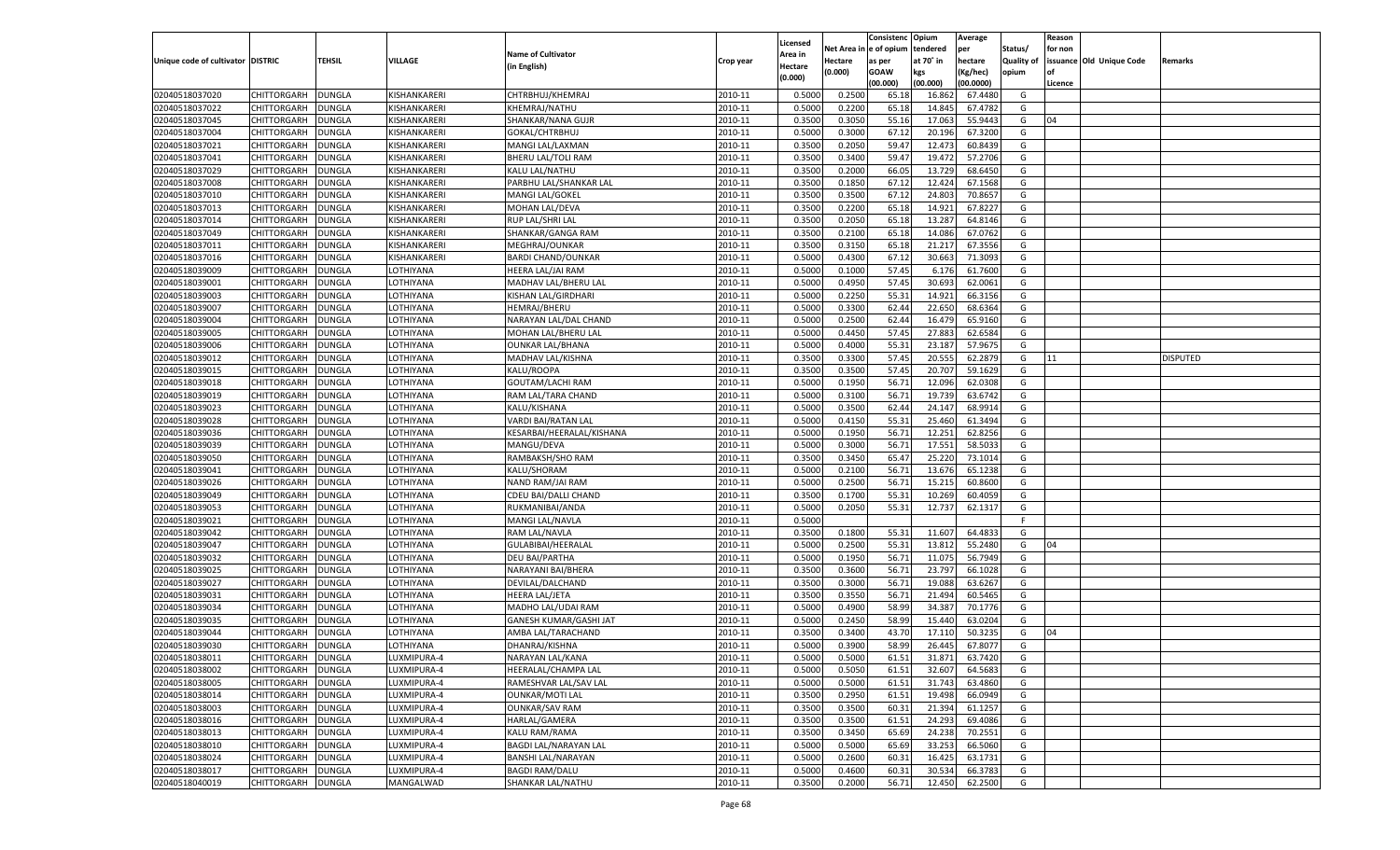|                                   |             |               |              |                                               |           |          |            | Consistenc Opium |           | Average   |                   | Reason  |                          |                 |
|-----------------------------------|-------------|---------------|--------------|-----------------------------------------------|-----------|----------|------------|------------------|-----------|-----------|-------------------|---------|--------------------------|-----------------|
|                                   |             |               |              |                                               |           | Licensed | Net Area i | l e of opium     | tendered  | per       | Status/           | for non |                          |                 |
| Unique code of cultivator DISTRIC |             | TEHSIL        | VILLAGE      | <b>Name of Cultivator</b>                     | Crop year | Area in  | Hectare    | as per           | at 70° in | hectare   | <b>Quality of</b> |         | issuance Old Unique Code | Remarks         |
|                                   |             |               |              | (in English)                                  |           | Hectare  | (0.000)    | <b>GOAW</b>      | kgs       | (Kg/hec)  | opium             | nf      |                          |                 |
|                                   |             |               |              |                                               |           | (0.000)  |            | (00.000)         | (00.000)  | (00.0000) |                   | Licence |                          |                 |
| 02040518037020                    | CHITTORGARH | <b>DUNGLA</b> | KISHANKARERI | CHTRBHUJ/KHEMRAJ                              | 2010-11   | 0.5000   | 0.2500     | 65.18            | 16.862    | 67.4480   | G                 |         |                          |                 |
| 02040518037022                    | CHITTORGARH | DUNGLA        | KISHANKARERI | KHEMRAJ/NATHU                                 | 2010-11   | 0.5000   | 0.2200     | 65.18            | 14.845    | 67.4782   | G                 |         |                          |                 |
| 02040518037045                    | CHITTORGARH | DUNGLA        | KISHANKARERI | SHANKAR/NANA GUJR                             | 2010-11   | 0.3500   | 0.3050     | 55.16            | 17.063    | 55.9443   | G                 | 04      |                          |                 |
| 02040518037004                    | CHITTORGARH | DUNGLA        | KISHANKARERI | GOKAL/CHTRBHUJ                                | 2010-11   | 0.5000   | 0.3000     | 67.12            | 20.196    | 67.3200   | G                 |         |                          |                 |
| 02040518037021                    | CHITTORGARH | DUNGLA        | KISHANKARERI | MANGI LAL/LAXMAN                              | 2010-11   | 0.3500   | 0.2050     | 59.47            | 12.473    | 60.8439   | G                 |         |                          |                 |
| 02040518037041                    | CHITTORGARH | DUNGLA        | KISHANKARERI | BHERU LAL/TOLI RAM                            | 2010-11   | 0.3500   | 0.3400     | 59.4             | 19.472    | 57.2706   | G                 |         |                          |                 |
| 02040518037029                    | CHITTORGARH | DUNGLA        | KISHANKARERI | KALU LAL/NATHU                                | 2010-11   | 0.3500   | 0.2000     | 66.05            | 13.729    | 68.6450   | G                 |         |                          |                 |
| 02040518037008                    | CHITTORGARH | DUNGLA        | KISHANKARERI | PARBHU LAL/SHANKAR LAL                        | 2010-11   | 0.3500   | 0.1850     | 67.12            | 12.424    | 67.1568   | G                 |         |                          |                 |
| 02040518037010                    | CHITTORGARH | DUNGLA        | KISHANKARERI | MANGI LAL/GOKEL                               | 2010-11   | 0.3500   | 0.3500     | 67.12            | 24.803    | 70.8657   | G                 |         |                          |                 |
| 02040518037013                    | CHITTORGARH | DUNGLA        | KISHANKARERI | MOHAN LAL/DEVA                                | 2010-11   | 0.3500   | 0.2200     | 65.18            | 14.921    | 67.8227   | G                 |         |                          |                 |
| 02040518037014                    | CHITTORGARH | DUNGLA        | KISHANKARERI | RUP LAL/SHRI LAL                              | 2010-11   | 0.3500   | 0.2050     | 65.18            | 13.287    | 64.8146   | G                 |         |                          |                 |
| 02040518037049                    | CHITTORGARH | DUNGLA        | KISHANKARERI | SHANKAR/GANGA RAM                             | 2010-11   | 0.3500   | 0.2100     | 65.18            | 14.086    | 67.0762   | G                 |         |                          |                 |
| 02040518037011                    | CHITTORGARH | DUNGLA        | KISHANKARERI | MEGHRAJ/OUNKAR                                | 2010-11   | 0.3500   | 0.3150     | 65.18            | 21.217    | 67.3556   | G                 |         |                          |                 |
| 02040518037016                    | CHITTORGARH | DUNGLA        | KISHANKARERI | <b>BARDI CHAND/OUNKAR</b>                     | 2010-11   | 0.5000   | 0.4300     | 67.12            | 30.663    | 71.3093   | G                 |         |                          |                 |
| 02040518039009                    | CHITTORGARH | <b>DUNGLA</b> | LOTHIYANA    | <b>HEERA LAL/JAI RAM</b>                      | 2010-11   | 0.5000   | 0.1000     | 57.45            | 6.176     | 61.7600   | G                 |         |                          |                 |
| 02040518039001                    | CHITTORGARH | DUNGLA        | LOTHIYANA    | MADHAV LAL/BHERU LAL                          | 2010-11   | 0.5000   | 0.4950     | 57.45            | 30.693    | 62.0061   | G                 |         |                          |                 |
| 02040518039003                    | CHITTORGARH | <b>DUNGLA</b> | LOTHIYANA    | <b>KISHAN LAL/GIRDHARI</b>                    | 2010-11   | 0.5000   | 0.2250     | 55.31            | 14.921    | 66.3156   | G                 |         |                          |                 |
| 02040518039007                    | CHITTORGARH | DUNGLA        | LOTHIYANA    | <b>HEMRAJ/BHERU</b>                           | 2010-11   | 0.5000   | 0.3300     | 62.44            | 22.650    | 68.6364   | G                 |         |                          |                 |
| 02040518039004                    | CHITTORGARH | <b>DUNGLA</b> | LOTHIYANA    | NARAYAN LAL/DAL CHAND                         | 2010-11   | 0.5000   | 0.2500     | 62.44            | 16.479    | 65.9160   | G                 |         |                          |                 |
| 02040518039005                    | CHITTORGARH | DUNGLA        | LOTHIYANA    | MOHAN LAL/BHERU LAL                           | 2010-11   | 0.5000   | 0.4450     | 57.45            | 27.883    | 62.6584   | G                 |         |                          |                 |
| 02040518039006                    | CHITTORGARH | <b>DUNGLA</b> | LOTHIYANA    | <b>OUNKAR LAL/BHANA</b>                       | 2010-11   | 0.5000   | 0.4000     | 55.31            | 23.187    | 57.9675   | G                 |         |                          |                 |
| 02040518039012                    | CHITTORGARH | DUNGLA        | LOTHIYANA    | MADHAV LAL/KISHNA                             | 2010-11   | 0.3500   | 0.3300     | 57.45            | 20.555    | 62.2879   | G                 | 11      |                          | <b>DISPUTED</b> |
| 02040518039015                    | CHITTORGARH | <b>DUNGLA</b> | LOTHIYANA    | KALU/ROOPA                                    | 2010-11   | 0.3500   | 0.3500     | 57.45            | 20.707    | 59.1629   | G                 |         |                          |                 |
| 02040518039018                    | CHITTORGARH |               |              |                                               | 2010-11   | 0.5000   | 0.1950     | 56.71            | 12.096    | 62.0308   |                   |         |                          |                 |
|                                   | CHITTORGARH | DUNGLA        | LOTHIYANA    | <b>GOUTAM/LACHI RAM</b><br>RAM LAL/TARA CHAND |           |          |            |                  |           |           | G                 |         |                          |                 |
| 02040518039019                    |             | <b>DUNGLA</b> | LOTHIYANA    |                                               | 2010-11   | 0.5000   | 0.3100     | 56.71            | 19.739    | 63.6742   | G                 |         |                          |                 |
| 02040518039023                    | CHITTORGARH | DUNGLA        | LOTHIYANA    | KALU/KISHANA                                  | 2010-11   | 0.5000   | 0.3500     | 62.44            | 24.147    | 68.9914   | G                 |         |                          |                 |
| 02040518039028                    | CHITTORGARH | <b>DUNGLA</b> | LOTHIYANA    | VARDI BAI/RATAN LAL                           | 2010-11   | 0.5000   | 0.4150     | 55.31            | 25.460    | 61.3494   | G                 |         |                          |                 |
| 02040518039036                    | CHITTORGARH | <b>DUNGLA</b> | LOTHIYANA    | KESARBAI/HEERALAL/KISHANA                     | 2010-11   | 0.5000   | 0.1950     | 56.71            | 12.251    | 62.8256   | G                 |         |                          |                 |
| 02040518039039                    | CHITTORGARH | <b>DUNGLA</b> | LOTHIYANA    | MANGU/DEVA                                    | 2010-11   | 0.5000   | 0.3000     | 56.71            | 17.551    | 58.503    | G                 |         |                          |                 |
| 02040518039050                    | CHITTORGARH | DUNGLA        | LOTHIYANA    | RAMBAKSH/SHO RAM                              | 2010-11   | 0.3500   | 0.3450     | 65.47            | 25.220    | 73.1014   | G                 |         |                          |                 |
| 02040518039041                    | CHITTORGARH | DUNGLA        | LOTHIYANA    | KALU/SHORAM                                   | 2010-11   | 0.5000   | 0.2100     | 56.71            | 13.676    | 65.1238   | G                 |         |                          |                 |
| 02040518039026                    | CHITTORGARH | DUNGLA        | LOTHIYANA    | NAND RAM/JAI RAM                              | 2010-11   | 0.5000   | 0.2500     | 56.71            | 15.215    | 60.8600   | G                 |         |                          |                 |
| 02040518039049                    | CHITTORGARH | DUNGLA        | LOTHIYANA    | CDEU BAI/DALLI CHAND                          | 2010-11   | 0.3500   | 0.1700     | 55.31            | 10.269    | 60.4059   | G                 |         |                          |                 |
| 02040518039053                    | CHITTORGARH | DUNGLA        | LOTHIYANA    | RUKMANIBAI/ANDA                               | 2010-11   | 0.5000   | 0.2050     | 55.31            | 12.737    | 62.1317   | G                 |         |                          |                 |
| 02040518039021                    | CHITTORGARH | DUNGLA        | LOTHIYANA    | MANGI LAL/NAVLA                               | 2010-11   | 0.5000   |            |                  |           |           | F                 |         |                          |                 |
| 02040518039042                    | CHITTORGARH | DUNGLA        | LOTHIYANA    | RAM LAL/NAVLA                                 | 2010-11   | 0.3500   | 0.1800     | 55.31            | 11.607    | 64.483    | G                 |         |                          |                 |
| 02040518039047                    | CHITTORGARH | DUNGLA        | LOTHIYANA    | GULABIBAI/HEERALAL                            | 2010-11   | 0.5000   | 0.2500     | 55.31            | 13.812    | 55.2480   | G                 | 04      |                          |                 |
| 02040518039032                    | CHITTORGARH | DUNGLA        | LOTHIYANA    | <b>DEU BAI/PARTHA</b>                         | 2010-11   | 0.5000   | 0.1950     | 56.71            | 11.075    | 56.7949   | G                 |         |                          |                 |
| 02040518039025                    | CHITTORGARH | DUNGLA        | LOTHIYANA    | NARAYANI BAI/BHERA                            | 2010-11   | 0.3500   | 0.3600     | 56.71            | 23.797    | 66.1028   | G                 |         |                          |                 |
| 02040518039027                    | CHITTORGARH | DUNGLA        | LOTHIYANA    | DEVILAL/DALCHAND                              | 2010-11   | 0.3500   | 0.3000     | 56.71            | 19.088    | 63.6267   | G                 |         |                          |                 |
| 02040518039031                    | CHITTORGARH | <b>DUNGLA</b> | LOTHIYANA    | <b>HEERA LAL/JETA</b>                         | 2010-11   | 0.3500   | 0.3550     | 56.71            | 21.494    | 60.5465   | G                 |         |                          |                 |
| 02040518039034                    | CHITTORGARH | DUNGLA        | LOTHIYANA    | MADHO LAL/UDAI RAM                            | 2010-11   | 0.5000   | 0.4900     | 58.99            | 34.387    | 70.1776   | G                 |         |                          |                 |
| 02040518039035                    | CHITTORGARH | DUNGLA        | LOTHIYANA    | GANESH KUMAR/GASHI JAT                        | 2010-11   | 0.5000   | 0.2450     | 58.99            | 15.440    | 63.0204   | G                 |         |                          |                 |
| 02040518039044                    | CHITTORGARH | DUNGLA        | LOTHIYANA    | AMBA LAL/TARACHAND                            | 2010-11   | 0.3500   | 0.3400     | 43.70            | 17.11     | 50.3235   | G                 | 04      |                          |                 |
| 02040518039030                    | CHITTORGARH | DUNGLA        | LOTHIYANA    | DHANRAJ/KISHNA                                | 2010-11   | 0.5000   | 0.3900     | 58.99            | 26.445    | 67.8077   | G                 |         |                          |                 |
| 02040518038011                    | CHITTORGARH | DUNGLA        | LUXMIPURA-4  | NARAYAN LAL/KANA                              | 2010-11   | 0.5000   | 0.5000     | 61.51            | 31.871    | 63.7420   | G                 |         |                          |                 |
| 02040518038002                    | CHITTORGARH | <b>DUNGLA</b> | LUXMIPURA-4  | HEERALAL/CHAMPA LAL                           | 2010-11   | 0.5000   | 0.5050     | 61.51            | 32.607    | 64.5683   | G                 |         |                          |                 |
| 02040518038005                    | CHITTORGARH | <b>DUNGLA</b> | LUXMIPURA-4  | RAMESHVAR LAL/SAV LAL                         | 2010-11   | 0.5000   | 0.5000     | 61.51            | 31.743    | 63.4860   | G                 |         |                          |                 |
| 02040518038014                    | CHITTORGARH | <b>DUNGLA</b> | LUXMIPURA-4  | <b>OUNKAR/MOTI LAL</b>                        | 2010-11   | 0.3500   | 0.2950     | 61.51            | 19.498    | 66.0949   | G                 |         |                          |                 |
| 02040518038003                    | CHITTORGARH | <b>DUNGLA</b> | LUXMIPURA-4  | <b>OUNKAR/SAV RAM</b>                         | 2010-11   | 0.3500   | 0.3500     | 60.31            | 21.394    | 61.1257   | G                 |         |                          |                 |
| 02040518038016                    | CHITTORGARH | <b>DUNGLA</b> | LUXMIPURA-4  | HARLAL/GAMERA                                 | 2010-11   | 0.3500   | 0.3500     | 61.51            | 24.293    | 69.4086   | G                 |         |                          |                 |
| 02040518038013                    | CHITTORGARH | <b>DUNGLA</b> | LUXMIPURA-4  | KALU RAM/RAMA                                 | 2010-11   | 0.3500   | 0.3450     | 65.69            | 24.238    | 70.2551   | G                 |         |                          |                 |
| 02040518038010                    | CHITTORGARH | DUNGLA        | LUXMIPURA-4  | <b>BAGDI LAL/NARAYAN LAL</b>                  | 2010-11   | 0.5000   | 0.5000     | 65.69            | 33.253    | 66.5060   | G                 |         |                          |                 |
| 02040518038024                    | CHITTORGARH | <b>DUNGLA</b> | LUXMIPURA-4  | BANSHI LAL/NARAYAN                            | 2010-11   | 0.5000   | 0.2600     | 60.31            | 16.425    | 63.1731   | G                 |         |                          |                 |
| 02040518038017                    | CHITTORGARH | <b>DUNGLA</b> | LUXMIPURA-4  | <b>BAGDI RAM/DALU</b>                         | 2010-11   | 0.5000   | 0.4600     | 60.31            | 30.534    | 66.3783   | G                 |         |                          |                 |
| 02040518040019                    | CHITTORGARH | <b>DUNGLA</b> | MANGALWAD    | SHANKAR LAL/NATHU                             | 2010-11   | 0.3500   | 0.2000     | 56.71            | 12.450    | 62.2500   | G                 |         |                          |                 |
|                                   |             |               |              |                                               |           |          |            |                  |           |           |                   |         |                          |                 |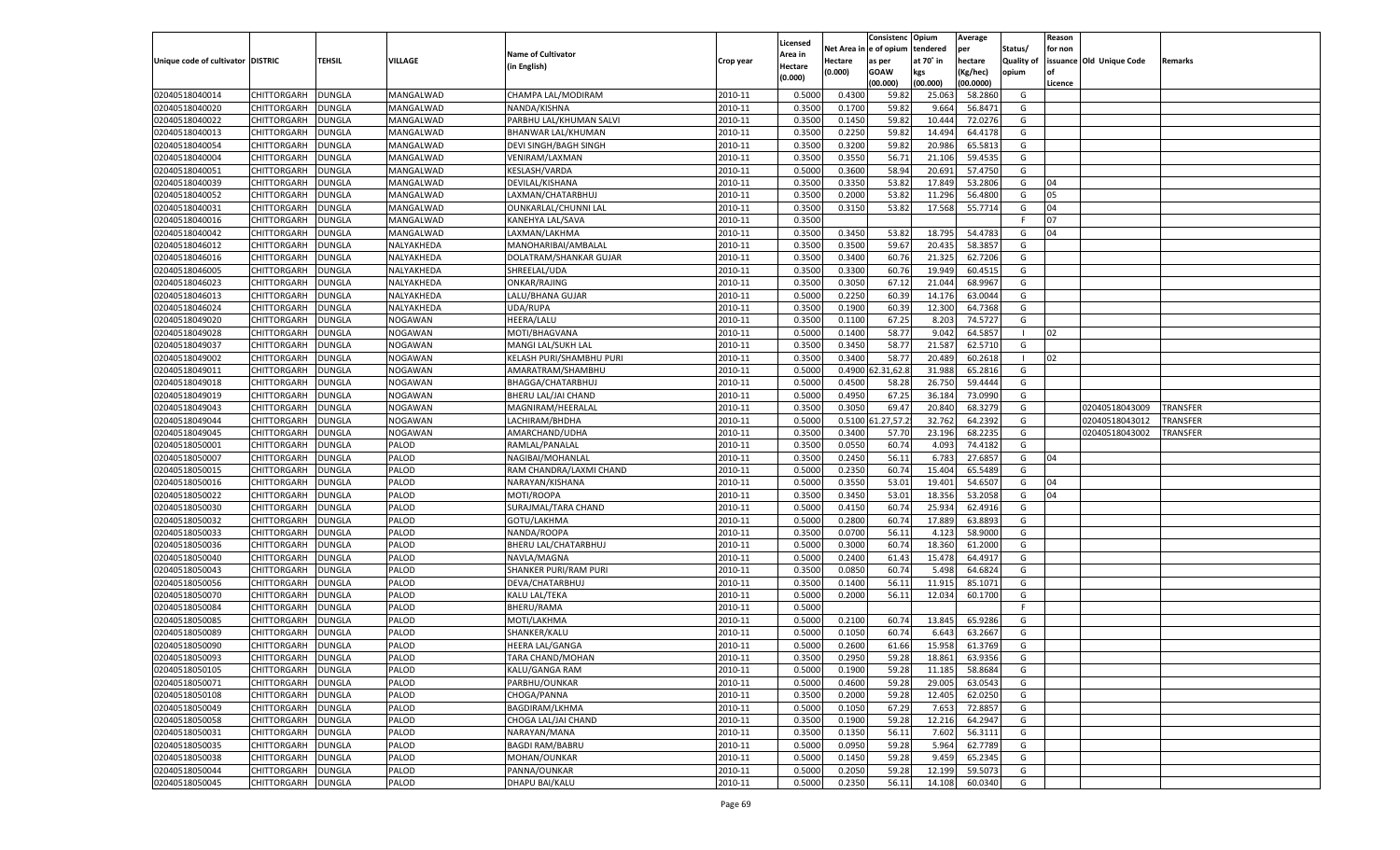|                                   |                    |               |            |                              |           |                           |          | Consistenc  | Opium     | Average   |                   | Reason  |                          |                 |
|-----------------------------------|--------------------|---------------|------------|------------------------------|-----------|---------------------------|----------|-------------|-----------|-----------|-------------------|---------|--------------------------|-----------------|
|                                   |                    |               |            | <b>Name of Cultivator</b>    |           | Licensed                  | Net Area | e of opium  | tendered  | per       | Status/           | for non |                          |                 |
| Unique code of cultivator DISTRIC |                    | <b>TEHSIL</b> | VILLAGE    | (in English)                 | Crop year | <b>Area in</b><br>Hectare | Hectare  | as per      | at 70° in | hectare   | <b>Quality of</b> |         | issuance Old Unique Code | Remarks         |
|                                   |                    |               |            |                              |           | (0.000)                   | (0.000)  | <b>GOAW</b> | kgs       | (Kg/hec)  | opium             |         |                          |                 |
|                                   |                    |               |            |                              |           |                           |          | (00.000)    | (00.000)  | (00.0000) |                   | Licence |                          |                 |
| 02040518040014                    | CHITTORGARH        | <b>DUNGLA</b> | MANGALWAD  | CHAMPA LAL/MODIRAM           | 2010-11   | 0.5000                    | 0.4300   | 59.82       | 25.063    | 58.2860   | G                 |         |                          |                 |
| 02040518040020                    | CHITTORGARH        | DUNGLA        | MANGALWAD  | NANDA/KISHNA                 | 2010-11   | 0.3500                    | 0.1700   | 59.82       | 9.664     | 56.8471   | G                 |         |                          |                 |
| 02040518040022                    | CHITTORGARH        | DUNGLA        | MANGALWAD  | PARBHU LAL/KHUMAN SALVI      | 2010-11   | 0.3500                    | 0.1450   | 59.82       | 10.444    | 72.0276   | G                 |         |                          |                 |
| 02040518040013                    | CHITTORGARH        | DUNGLA        | MANGALWAD  | BHANWAR LAL/KHUMAN           | 2010-11   | 0.3500                    | 0.2250   | 59.82       | 14.494    | 64.4178   | G                 |         |                          |                 |
| 02040518040054                    | CHITTORGARH        | DUNGLA        | MANGALWAD  | DEVI SINGH/BAGH SINGH        | 2010-11   | 0.3500                    | 0.3200   | 59.82       | 20.986    | 65.581    | G                 |         |                          |                 |
| 02040518040004                    | CHITTORGARH        | DUNGLA        | MANGALWAD  | VENIRAM/LAXMAN               | 2010-11   | 0.3500                    | 0.3550   | 56.7        | 21.106    | 59.4535   | G                 |         |                          |                 |
| 02040518040051                    | CHITTORGARH        | DUNGLA        | MANGALWAD  | KESLASH/VARDA                | 2010-11   | 0.5000                    | 0.3600   | 58.94       | 20.691    | 57.4750   | G                 |         |                          |                 |
| 02040518040039                    | CHITTORGARH        | DUNGLA        | MANGALWAD  | DEVILAL/KISHANA              | 2010-11   | 0.3500                    | 0.3350   | 53.82       | 17.849    | 53.2806   | G                 | 04      |                          |                 |
| 02040518040052                    | CHITTORGARH        | DUNGLA        | MANGALWAD  | LAXMAN/CHATARBHUJ            | 2010-11   | 0.3500                    | 0.2000   | 53.82       | 11.296    | 56.4800   | G                 | 05      |                          |                 |
| 02040518040031                    | CHITTORGARH        | DUNGLA        | MANGALWAD  | OUNKARLAL/CHUNNI LAL         | 2010-11   | 0.3500                    | 0.3150   | 53.82       | 17.568    | 55.7714   | G                 | 04      |                          |                 |
| 02040518040016                    | CHITTORGARH        | DUNGLA        | MANGALWAD  | KANEHYA LAL/SAVA             | 2010-11   | 0.3500                    |          |             |           |           | F.                | 07      |                          |                 |
| 02040518040042                    | CHITTORGARH        | DUNGLA        | MANGALWAD  | LAXMAN/LAKHMA                | 2010-11   | 0.3500                    | 0.3450   | 53.82       | 18.795    | 54.478    | G                 | 04      |                          |                 |
| 02040518046012                    | CHITTORGARH        | DUNGLA        | NALYAKHEDA | MANOHARIBAI/AMBALAL          | 2010-11   | 0.3500                    | 0.3500   | 59.67       | 20.435    | 58.3857   | G                 |         |                          |                 |
| 02040518046016                    | CHITTORGARH        | DUNGLA        | NALYAKHEDA | DOLATRAM/SHANKAR GUJAR       | 2010-11   | 0.3500                    | 0.3400   | 60.76       | 21.325    | 62.7206   | G                 |         |                          |                 |
| 02040518046005                    | CHITTORGARH        | DUNGLA        | NALYAKHEDA | SHREELAL/UDA                 | 2010-11   | 0.3500                    | 0.3300   | 60.76       | 19.949    | 60.4515   | G                 |         |                          |                 |
| 02040518046023                    | CHITTORGARH        | DUNGLA        | NALYAKHEDA | ONKAR/RAJING                 | 2010-11   | 0.3500                    | 0.3050   | 67.12       | 21.044    | 68.9967   | G                 |         |                          |                 |
| 02040518046013                    | CHITTORGARH        | DUNGLA        | NALYAKHEDA | LALU/BHANA GUJAR             | 2010-11   | 0.5000                    | 0.2250   | 60.39       | 14.176    | 63.0044   | G                 |         |                          |                 |
| 02040518046024                    | CHITTORGARH        | DUNGLA        | NALYAKHEDA | UDA/RUPA                     | 2010-11   | 0.3500                    | 0.1900   | 60.39       | 12.300    | 64.7368   | G                 |         |                          |                 |
| 02040518049020                    | CHITTORGARH        | DUNGLA        | NOGAWAN    | HEERA/LALU                   | 2010-11   | 0.3500                    | 0.1100   | 67.25       | 8.203     | 74.5727   | G                 |         |                          |                 |
| 02040518049028                    | CHITTORGARH        | DUNGLA        | NOGAWAN    | MOTI/BHAGVANA                | 2010-11   | 0.5000                    | 0.1400   | 58.77       | 9.042     | 64.5857   | - 1               | 02      |                          |                 |
| 02040518049037                    | CHITTORGARH        | DUNGLA        | NOGAWAN    | MANGI LAL/SUKH LAL           | 2010-11   | 0.3500                    | 0.3450   | 58.77       | 21.587    | 62.5710   | G                 |         |                          |                 |
| 02040518049002                    | CHITTORGARH        | DUNGLA        | NOGAWAN    | KELASH PURI/SHAMBHU PURI     | 2010-11   | 0.3500                    | 0.3400   | 58.77       | 20.489    | 60.2618   | $\blacksquare$    | 02      |                          |                 |
| 02040518049011                    | CHITTORGARH        | <b>DUNGLA</b> | NOGAWAN    | AMARATRAM/SHAMBHU            | 2010-11   | 0.5000                    | 0.4900   | 2.31,62.    | 31.988    | 65.2816   | G                 |         |                          |                 |
| 02040518049018                    | CHITTORGARH        | DUNGLA        | NOGAWAN    | BHAGGA/CHATARBHUJ            | 2010-11   | 0.5000                    | 0.4500   | 58.28       | 26.750    | 59.4444   | G                 |         |                          |                 |
| 02040518049019                    | CHITTORGARH        | DUNGLA        | NOGAWAN    | BHERU LAL/JAI CHAND          | 2010-11   | 0.5000                    | 0.4950   | 67.25       | 36.184    | 73.0990   | G                 |         |                          |                 |
| 02040518049043                    | CHITTORGARH        | DUNGLA        | NOGAWAN    | MAGNIRAM/HEERALAL            | 2010-11   | 0.3500                    | 0.3050   | 69.4        | 20.840    | 68.3279   | G                 |         | 02040518043009           | <b>TRANSFER</b> |
| 02040518049044                    | CHITTORGARH        | <b>DUNGLA</b> | NOGAWAN    | LACHIRAM/BHDHA               | 2010-11   | 0.5000                    | 0.5100   | 1.27,57.    | 32.762    | 64.2392   | G                 |         | 02040518043012           | TRANSFER        |
| 02040518049045                    | CHITTORGARH        | DUNGLA        | NOGAWAN    | AMARCHAND/UDHA               | 2010-11   | 0.3500                    | 0.3400   | 57.70       | 23.196    | 68.2235   | G                 |         | 02040518043002           | TRANSFER        |
| 02040518050001                    | CHITTORGARH        | DUNGLA        | PALOD      | RAMLAL/PANALAL               | 2010-11   | 0.3500                    | 0.0550   | 60.74       | 4.093     | 74.4182   | G                 |         |                          |                 |
| 02040518050007                    | CHITTORGARH        | <b>DUNGLA</b> | PALOD      | NAGIBAI/MOHANLAL             | 2010-11   | 0.3500                    | 0.2450   | 56.11       | 6.783     | 27.6857   | G                 | 04      |                          |                 |
| 02040518050015                    | CHITTORGARH        | <b>DUNGLA</b> | PALOD      | RAM CHANDRA/LAXMI CHAND      | 2010-11   | 0.5000                    | 0.2350   | 60.74       | 15.404    | 65.5489   | G                 |         |                          |                 |
| 02040518050016                    | CHITTORGARH        | DUNGLA        | PALOD      | NARAYAN/KISHANA              | 2010-11   | 0.5000                    | 0.3550   | 53.01       | 19.401    | 54.6507   | G                 | 04      |                          |                 |
| 02040518050022                    | CHITTORGARH        | DUNGLA        | PALOD      | MOTI/ROOPA                   | 2010-11   | 0.3500                    | 0.3450   | 53.01       | 18.35     | 53.2058   | G                 | 04      |                          |                 |
| 02040518050030                    | CHITTORGARH        | DUNGLA        | PALOD      | SURAJMAL/TARA CHAND          | 2010-11   | 0.5000                    | 0.4150   | 60.74       | 25.934    | 62.4916   | G                 |         |                          |                 |
| 02040518050032                    |                    |               | PALOD      |                              | 2010-11   | 0.5000                    | 0.2800   | 60.74       | 17.889    | 63.8893   | G                 |         |                          |                 |
| 02040518050033                    | CHITTORGARH        | <b>DUNGLA</b> | PALOD      | GOTU/LAKHMA                  | 2010-11   | 0.3500                    |          | 56.11       | 4.123     | 58.9000   | G                 |         |                          |                 |
|                                   | CHITTORGARH        | DUNGLA        | PALOD      | NANDA/ROOPA                  | 2010-11   |                           | 0.0700   | 60.74       |           | 61.2000   |                   |         |                          |                 |
| 02040518050036                    | CHITTORGARH        | DUNGLA        |            | BHERU LAL/CHATARBHUJ         |           | 0.5000                    | 0.3000   |             | 18.360    |           | G                 |         |                          |                 |
| 02040518050040                    | CHITTORGARH        | DUNGLA        | PALOD      | NAVLA/MAGNA                  | 2010-11   | 0.5000                    | 0.2400   | 61.43       | 15.478    | 64.4917   | G                 |         |                          |                 |
| 02040518050043                    | CHITTORGARH        | <b>DUNGLA</b> | PALOD      | <b>SHANKER PURI/RAM PURI</b> | 2010-11   | 0.3500                    | 0.0850   | 60.74       | 5.498     | 64.6824   | G                 |         |                          |                 |
| 02040518050056                    | CHITTORGARH        | DUNGLA        | PALOD      | DEVA/CHATARBHUJ              | 2010-11   | 0.3500                    | 0.1400   | 56.11       | 11.915    | 85.1071   | G                 |         |                          |                 |
| 02040518050070                    | CHITTORGARH        | DUNGLA        | PALOD      | KALU LAL/TEKA                | 2010-11   | 0.5000                    | 0.2000   | 56.11       | 12.034    | 60.1700   | G                 |         |                          |                 |
| 02040518050084                    | CHITTORGARH        | DUNGLA        | PALOD      | <b>BHERU/RAMA</b>            | 2010-11   | 0.5000                    |          |             |           |           | F.                |         |                          |                 |
| 02040518050085                    | CHITTORGARH        | DUNGLA        | PALOD      | MOTI/LAKHMA                  | 2010-11   | 0.5000                    | 0.2100   | 60.74       | 13.845    | 65.9286   | G                 |         |                          |                 |
| 02040518050089                    | CHITTORGARH        | DUNGLA        | PALOD      | SHANKER/KALU                 | 2010-11   | 0.5000                    | 0.1050   | 60.74       | 6.643     | 63.2667   | G                 |         |                          |                 |
| 02040518050090                    | CHITTORGARH        | <b>DUNGLA</b> | PALOD      | HEERA LAL/GANGA              | 2010-11   | 0.5000                    | 0.2600   | 61.66       | 15.958    | 61.3769   | G                 |         |                          |                 |
| 02040518050093                    | CHITTORGARH        | <b>DUNGLA</b> | PALOD      | TARA CHAND/MOHAN             | 2010-11   | 0.3500                    | 0.2950   | 59.28       | 18.861    | 63.9356   | G                 |         |                          |                 |
| 02040518050105                    | <b>CHITTORGARH</b> | <b>DUNGLA</b> | PALOD      | KALU/GANGA RAM               | 2010-11   | 0.5000                    | 0.1900   | 59.28       | 11.185    | 58.8684   | G                 |         |                          |                 |
| 02040518050071                    | CHITTORGARH        | <b>DUNGLA</b> | PALOD      | PARBHU/OUNKAR                | 2010-11   | 0.5000                    | 0.4600   | 59.28       | 29.005    | 63.0543   | G                 |         |                          |                 |
| 02040518050108                    | <b>CHITTORGARH</b> | <b>DUNGLA</b> | PALOD      | CHOGA/PANNA                  | 2010-11   | 0.3500                    | 0.2000   | 59.28       | 12.405    | 62.0250   | G                 |         |                          |                 |
| 02040518050049                    | <b>CHITTORGARH</b> | <b>DUNGLA</b> | PALOD      | BAGDIRAM/LKHMA               | 2010-11   | 0.5000                    | 0.1050   | 67.29       | 7.653     | 72.8857   | G                 |         |                          |                 |
| 02040518050058                    | <b>CHITTORGARH</b> | <b>DUNGLA</b> | PALOD      | CHOGA LAL/JAI CHAND          | 2010-11   | 0.3500                    | 0.1900   | 59.28       | 12.216    | 64.2947   | G                 |         |                          |                 |
| 02040518050031                    | <b>CHITTORGARH</b> | <b>DUNGLA</b> | PALOD      | NARAYAN/MANA                 | 2010-11   | 0.3500                    | 0.1350   | 56.11       | 7.602     | 56.3111   | G                 |         |                          |                 |
| 02040518050035                    | <b>CHITTORGARH</b> | <b>DUNGLA</b> | PALOD      | <b>BAGDI RAM/BABRU</b>       | 2010-11   | 0.5000                    | 0.0950   | 59.28       | 5.964     | 62.7789   | G                 |         |                          |                 |
| 02040518050038                    | <b>CHITTORGARH</b> | <b>DUNGLA</b> | PALOD      | MOHAN/OUNKAR                 | 2010-11   | 0.5000                    | 0.1450   | 59.28       | 9.459     | 65.2345   | G                 |         |                          |                 |
| 02040518050044                    | <b>CHITTORGARH</b> | <b>DUNGLA</b> | PALOD      | PANNA/OUNKAR                 | 2010-11   | 0.5000                    | 0.2050   | 59.28       | 12.199    | 59.5073   | G                 |         |                          |                 |
| 02040518050045                    | CHITTORGARH        | <b>DUNGLA</b> | PALOD      | DHAPU BAI/KALU               | 2010-11   | 0.5000                    | 0.2350   | 56.11       | 14.108    | 60.0340   | G                 |         |                          |                 |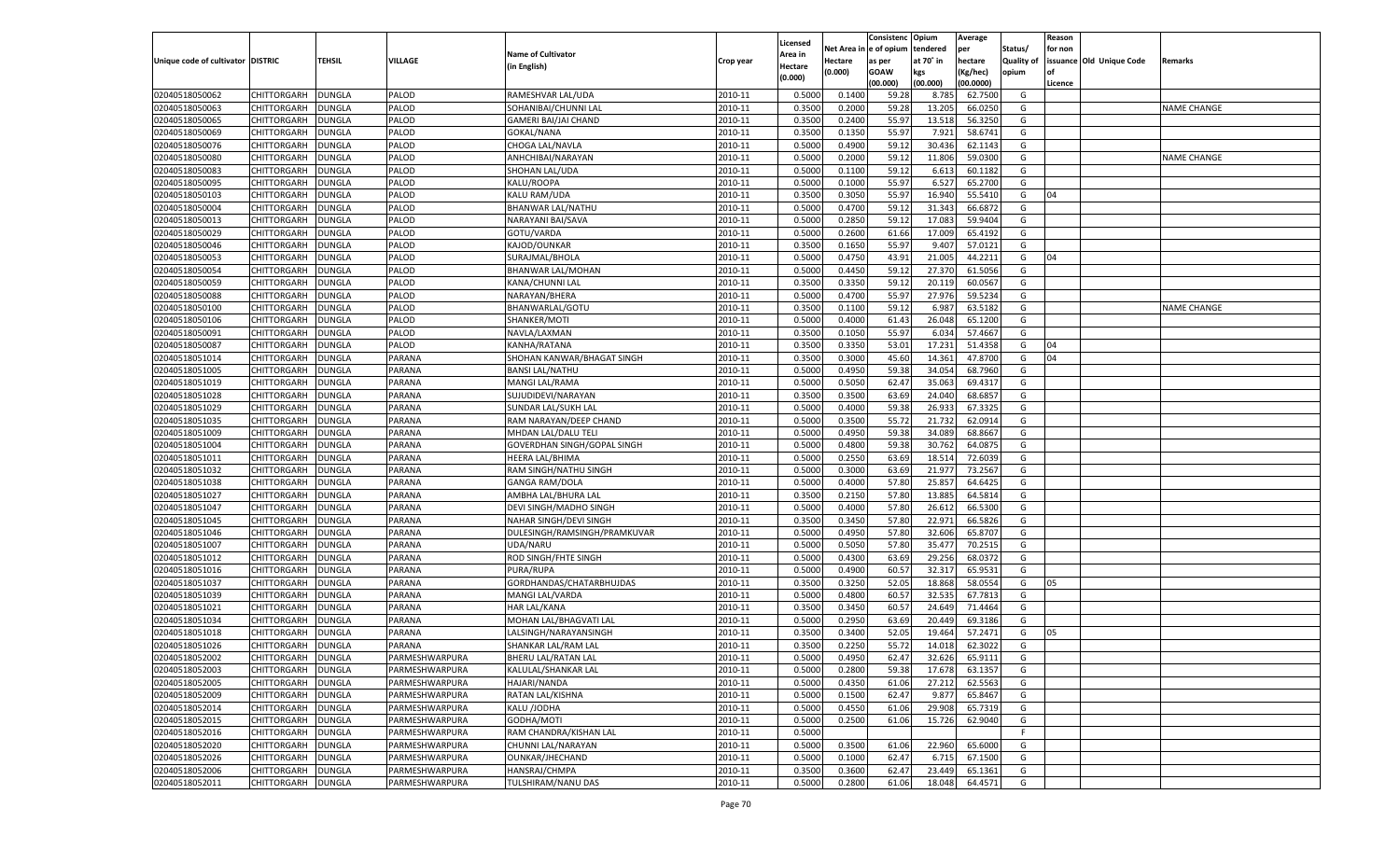|                                   |                    |               |                |                              |           |          |          | Consistenc  | Opium     | Average   |                   | Reason    |                          |                    |
|-----------------------------------|--------------------|---------------|----------------|------------------------------|-----------|----------|----------|-------------|-----------|-----------|-------------------|-----------|--------------------------|--------------------|
|                                   |                    |               |                |                              |           | Licensed | Net Area | e of opium  | tendered  | per       | Status/           | for non   |                          |                    |
| Unique code of cultivator DISTRIC |                    | TEHSIL        | VILLAGE        | <b>Name of Cultivator</b>    | Crop year | \rea in  | Hectare  | as per      | at 70˚ in | hectare   | <b>Quality of</b> |           | issuance Old Unique Code | Remarks            |
|                                   |                    |               |                | (in English)                 |           | Hectare  | (0.000)  | <b>GOAW</b> | kgs       | (Kg/hec)  | opium             | <b>of</b> |                          |                    |
|                                   |                    |               |                |                              |           | (0.000)  |          | (00.000)    | (00.000)  | (00.0000) |                   | Licence   |                          |                    |
| 02040518050062                    | CHITTORGARH        | <b>DUNGLA</b> | PALOD          | RAMESHVAR LAL/UDA            | 2010-11   | 0.5000   | 0.1400   | 59.28       | 8.785     | 62.7500   | G                 |           |                          |                    |
| 02040518050063                    | CHITTORGARH        | DUNGLA        | PALOD          | SOHANIBAI/CHUNNI LAL         | 2010-11   | 0.3500   | 0.2000   | 59.28       | 13.205    | 66.0250   | G                 |           |                          | <b>NAME CHANGE</b> |
| 02040518050065                    |                    | <b>DUNGLA</b> | PALOD          |                              | 2010-11   | 0.3500   | 0.2400   | 55.97       | 13.518    | 56.3250   | G                 |           |                          |                    |
|                                   | <b>CHITTORGARH</b> |               |                | GAMERI BAI/JAI CHAND         |           |          |          |             |           |           |                   |           |                          |                    |
| 02040518050069                    | CHITTORGARH        | DUNGLA        | PALOD          | GOKAL/NANA                   | 2010-11   | 0.3500   | 0.1350   | 55.97       | 7.921     | 58.6741   | G                 |           |                          |                    |
| 02040518050076                    | CHITTORGARH        | <b>DUNGLA</b> | PALOD          | CHOGA LAL/NAVLA              | 2010-11   | 0.5000   | 0.4900   | 59.12       | 30.436    | 62.1143   | G                 |           |                          |                    |
| 02040518050080                    | CHITTORGARH        | DUNGLA        | PALOD          | ANHCHIBAI/NARAYAN            | 2010-11   | 0.5000   | 0.2000   | 59.12       | 11.806    | 59.0300   | G                 |           |                          | <b>NAME CHANGE</b> |
| 02040518050083                    | CHITTORGARH        | DUNGLA        | PALOD          | SHOHAN LAL/UDA               | 2010-11   | 0.5000   | 0.1100   | 59.12       | 6.613     | 60.1182   | G                 |           |                          |                    |
| 02040518050095                    | CHITTORGARH        | DUNGLA        | PALOD          | KALU/ROOPA                   | 2010-11   | 0.5000   | 0.1000   | 55.97       | 6.527     | 65.2700   | G                 |           |                          |                    |
| 02040518050103                    | CHITTORGARH        | <b>DUNGLA</b> | PALOD          | KALU RAM/UDA                 | 2010-11   | 0.3500   | 0.3050   | 55.97       | 16.94     | 55.5410   | G                 | 04        |                          |                    |
| 02040518050004                    | CHITTORGARH        | DUNGLA        | PALOD          | BHANWAR LAL/NATHU            | 2010-11   | 0.5000   | 0.4700   | 59.12       | 31.343    | 66.687    | G                 |           |                          |                    |
| 02040518050013                    | CHITTORGARH        | DUNGLA        | PALOD          | NARAYANI BAI/SAVA            | 2010-11   | 0.5000   | 0.2850   | 59.12       | 17.083    | 59.9404   | G                 |           |                          |                    |
| 02040518050029                    | CHITTORGARH        | DUNGLA        | PALOD          | GOTU/VARDA                   | 2010-11   | 0.5000   | 0.2600   | 61.66       | 17.009    | 65.4192   | G                 |           |                          |                    |
| 02040518050046                    | CHITTORGARH        | <b>DUNGLA</b> | PALOD          | KAJOD/OUNKAR                 | 2010-11   | 0.3500   | 0.1650   | 55.97       | 9.407     | 57.0121   | G                 |           |                          |                    |
| 02040518050053                    | CHITTORGARH        | DUNGLA        | PALOD          | SURAJMAL/BHOLA               | 2010-11   | 0.5000   | 0.4750   | 43.91       | 21.005    | 44.2211   | G                 | 04        |                          |                    |
| 02040518050054                    | <b>CHITTORGARH</b> | <b>DUNGLA</b> | PALOD          | BHANWAR LAL/MOHAN            | 2010-11   | 0.5000   | 0.4450   | 59.12       | 27.370    | 61.5056   | G                 |           |                          |                    |
| 02040518050059                    | CHITTORGARH        | <b>DUNGLA</b> | PALOD          | KANA/CHUNNI LAL              | 2010-11   | 0.3500   | 0.3350   | 59.12       | 20.119    | 60.0567   | G                 |           |                          |                    |
|                                   |                    |               |                |                              |           |          |          |             |           |           |                   |           |                          |                    |
| 02040518050088                    | <b>CHITTORGARH</b> | <b>DUNGLA</b> | PALOD          | NARAYAN/BHERA                | 2010-11   | 0.5000   | 0.4700   | 55.97       | 27.976    | 59.5234   | G                 |           |                          |                    |
| 02040518050100                    | CHITTORGARH        | DUNGLA        | PALOD          | BHANWARLAL/GOTU              | 2010-11   | 0.3500   | 0.1100   | 59.12       | 6.987     | 63.5182   | G                 |           |                          | <b>NAME CHANGE</b> |
| 02040518050106                    | <b>CHITTORGARH</b> | DUNGLA        | PALOD          | SHANKER/MOTI                 | 2010-11   | 0.5000   | 0.4000   | 61.43       | 26.048    | 65.1200   | G                 |           |                          |                    |
| 02040518050091                    | CHITTORGARH        | <b>DUNGLA</b> | PALOD          | NAVLA/LAXMAN                 | 2010-11   | 0.3500   | 0.1050   | 55.97       | 6.034     | 57.4667   | G                 |           |                          |                    |
| 02040518050087                    | <b>CHITTORGARH</b> | <b>DUNGLA</b> | PALOD          | KANHA/RATANA                 | 2010-11   | 0.3500   | 0.3350   | 53.01       | 17.231    | 51.4358   | G                 | 04        |                          |                    |
| 02040518051014                    | CHITTORGARH        | DUNGLA        | PARANA         | SHOHAN KANWAR/BHAGAT SINGH   | 2010-11   | 0.3500   | 0.3000   | 45.60       | 14.361    | 47.8700   | G                 | 04        |                          |                    |
| 02040518051005                    | <b>CHITTORGARH</b> | DUNGLA        | PARANA         | <b>BANSI LAL/NATHU</b>       | 2010-11   | 0.5000   | 0.4950   | 59.38       | 34.054    | 68.7960   | G                 |           |                          |                    |
| 02040518051019                    | CHITTORGARH        | <b>DUNGLA</b> | PARANA         | <b>MANGI LAL/RAMA</b>        | 2010-11   | 0.5000   | 0.5050   | 62.47       | 35.063    | 69.4317   | G                 |           |                          |                    |
| 02040518051028                    | <b>CHITTORGARH</b> | <b>DUNGLA</b> | PARANA         | SUJUDIDEVI/NARAYAN           | 2010-11   | 0.3500   | 0.3500   | 63.69       | 24.040    | 68.6857   | G                 |           |                          |                    |
| 02040518051029                    | CHITTORGARH        | DUNGLA        | PARANA         | SUNDAR LAL/SUKH LAL          | 2010-11   | 0.5000   | 0.4000   | 59.38       | 26.93     | 67.3325   | G                 |           |                          |                    |
| 02040518051035                    | <b>CHITTORGARH</b> | DUNGLA        | PARANA         | RAM NARAYAN/DEEP CHAND       | 2010-11   | 0.5000   | 0.3500   | 55.7        | 21.732    | 62.0914   | G                 |           |                          |                    |
| 02040518051009                    | CHITTORGARH        | <b>DUNGLA</b> | PARANA         | MHDAN LAL/DALU TELI          | 2010-11   | 0.5000   | 0.4950   | 59.38       | 34.089    | 68.8667   | G                 |           |                          |                    |
| 02040518051004                    | <b>CHITTORGARH</b> | <b>DUNGLA</b> | PARANA         | GOVERDHAN SINGH/GOPAL SINGH  | 2010-11   | 0.5000   | 0.4800   | 59.38       | 30.762    | 64.087    | G                 |           |                          |                    |
| 02040518051011                    | CHITTORGARH        | DUNGLA        | PARANA         |                              | 2010-11   | 0.5000   | 0.2550   | 63.69       | 18.51     | 72.603    | G                 |           |                          |                    |
|                                   |                    |               |                | HEERA LAL/BHIMA              |           |          |          |             |           |           |                   |           |                          |                    |
| 02040518051032                    | CHITTORGARH        | DUNGLA        | PARANA         | RAM SINGH/NATHU SINGH        | 2010-11   | 0.5000   | 0.3000   | 63.69       | 21.977    | 73.2567   | G                 |           |                          |                    |
| 02040518051038                    | CHITTORGARH        | DUNGLA        | PARANA         | <b>GANGA RAM/DOLA</b>        | 2010-11   | 0.5000   | 0.4000   | 57.80       | 25.85     | 64.642    | G                 |           |                          |                    |
| 02040518051027                    | CHITTORGARH        | DUNGLA        | PARANA         | AMBHA LAL/BHURA LAL          | 2010-11   | 0.3500   | 0.2150   | 57.80       | 13.885    | 64.5814   | G                 |           |                          |                    |
| 02040518051047                    | CHITTORGARH        | DUNGLA        | PARANA         | DEVI SINGH/MADHO SINGH       | 2010-11   | 0.5000   | 0.4000   | 57.80       | 26.61     | 66.5300   | G                 |           |                          |                    |
| 02040518051045                    | CHITTORGARH        | DUNGLA        | PARANA         | NAHAR SINGH/DEVI SINGH       | 2010-11   | 0.3500   | 0.3450   | 57.80       | 22.971    | 66.5826   | G                 |           |                          |                    |
| 02040518051046                    | CHITTORGARH        | DUNGLA        | PARANA         | DULESINGH/RAMSINGH/PRAMKUVAR | 2010-11   | 0.5000   | 0.4950   | 57.80       | 32.606    | 65.8707   | G                 |           |                          |                    |
| 02040518051007                    | CHITTORGARH        | DUNGLA        | PARANA         | UDA/NARU                     | 2010-11   | 0.5000   | 0.5050   | 57.80       | 35.47     | 70.2515   | G                 |           |                          |                    |
| 02040518051012                    | CHITTORGARH        | DUNGLA        | PARANA         | ROD SINGH/FHTE SINGH         | 2010-11   | 0.5000   | 0.4300   | 63.69       | 29.256    | 68.037    | G                 |           |                          |                    |
| 02040518051016                    | CHITTORGARH        | DUNGLA        | PARANA         | PURA/RUPA                    | 2010-11   | 0.5000   | 0.4900   | 60.57       | 32.317    | 65.9531   | G                 |           |                          |                    |
| 02040518051037                    | CHITTORGARH        | DUNGLA        | PARANA         | GORDHANDAS/CHATARBHUJDAS     | 2010-11   | 0.3500   | 0.3250   | 52.05       | 18.868    | 58.0554   | G                 | 05        |                          |                    |
| 02040518051039                    | CHITTORGARH        | DUNGLA        | PARANA         | MANGI LAL/VARDA              | 2010-11   | 0.5000   | 0.4800   | 60.57       | 32.535    | 67.781    | G                 |           |                          |                    |
| 02040518051021                    | CHITTORGARH        | DUNGLA        | PARANA         | <b>HAR LAL/KANA</b>          | 2010-11   | 0.3500   | 0.3450   | 60.5        | 24.649    | 71.4464   | G                 |           |                          |                    |
| 02040518051034                    | CHITTORGARH        | DUNGLA        | PARANA         | MOHAN LAL/BHAGVATI LAL       | 2010-11   | 0.5000   | 0.2950   | 63.69       | 20.44     | 69.3186   | G                 |           |                          |                    |
| 02040518051018                    | CHITTORGARH        | DUNGLA        | PARANA         | LALSINGH/NARAYANSINGH        | 2010-11   | 0.3500   | 0.3400   | 52.05       | 19.464    | 57.2471   | G                 | 05        |                          |                    |
| 02040518051026                    | CHITTORGARH        | <b>DUNGLA</b> | PARANA         | SHANKAR LAL/RAM LAL          | 2010-11   | 0.3500   | 0.2250   | 55.72       | 14.018    | 62.3022   | G                 |           |                          |                    |
|                                   |                    |               |                |                              |           |          |          |             |           |           |                   |           |                          |                    |
| 02040518052002                    | <b>CHITTORGARH</b> | DUNGLA        | PARMESHWARPURA | BHERU LAL/RATAN LAL          | 2010-11   | 0.5000   | 0.4950   | 62.47       | 32.626    | 65.9111   | G                 |           |                          |                    |
| 02040518052003                    | <b>CHITTORGARH</b> | <b>DUNGLA</b> | PARMESHWARPURA | KALULAL/SHANKAR LAL          | 2010-11   | 0.5000   | 0.2800   | 59.38       | 17.678    | 63.1357   | G                 |           |                          |                    |
| 02040518052005                    | <b>CHITTORGARH</b> | <b>DUNGLA</b> | PARMESHWARPURA | HAJARI/NANDA                 | 2010-11   | 0.5000   | 0.4350   | 61.06       | 27.212    | 62.5563   | G                 |           |                          |                    |
| 02040518052009                    | <b>CHITTORGARH</b> | <b>DUNGLA</b> | PARMESHWARPURA | RATAN LAL/KISHNA             | 2010-11   | 0.5000   | 0.1500   | 62.47       | 9.877     | 65.8467   | G                 |           |                          |                    |
| 02040518052014                    | <b>CHITTORGARH</b> | <b>DUNGLA</b> | PARMESHWARPURA | KALU /JODHA                  | 2010-11   | 0.5000   | 0.4550   | 61.06       | 29.908    | 65.7319   | G                 |           |                          |                    |
| 02040518052015                    | <b>CHITTORGARH</b> | <b>DUNGLA</b> | PARMESHWARPURA | GODHA/MOTI                   | 2010-11   | 0.5000   | 0.2500   | 61.06       | 15.726    | 62.9040   | G                 |           |                          |                    |
| 02040518052016                    | <b>CHITTORGARH</b> | <b>DUNGLA</b> | PARMESHWARPURA | RAM CHANDRA/KISHAN LAL       | 2010-11   | 0.5000   |          |             |           |           | F                 |           |                          |                    |
| 02040518052020                    | <b>CHITTORGARH</b> | <b>DUNGLA</b> | PARMESHWARPURA | CHUNNI LAL/NARAYAN           | 2010-11   | 0.5000   | 0.3500   | 61.06       | 22.960    | 65.6000   | G                 |           |                          |                    |
| 02040518052026                    | <b>CHITTORGARH</b> | <b>DUNGLA</b> | PARMESHWARPURA | OUNKAR/JHECHAND              | 2010-11   | 0.5000   | 0.1000   | 62.47       | 6.715     | 67.1500   | G                 |           |                          |                    |
| 02040518052006                    | <b>CHITTORGARH</b> | <b>DUNGLA</b> | PARMESHWARPURA | HANSRAJ/CHMPA                | 2010-11   | 0.3500   | 0.3600   | 62.47       | 23.449    | 65.1361   | G                 |           |                          |                    |
| 02040518052011                    | CHITTORGARH        | <b>DUNGLA</b> | PARMESHWARPURA | TULSHIRAM/NANU DAS           | 2010-11   | 0.5000   | 0.2800   | 61.06       | 18.048    | 64.4571   | G                 |           |                          |                    |
|                                   |                    |               |                |                              |           |          |          |             |           |           |                   |           |                          |                    |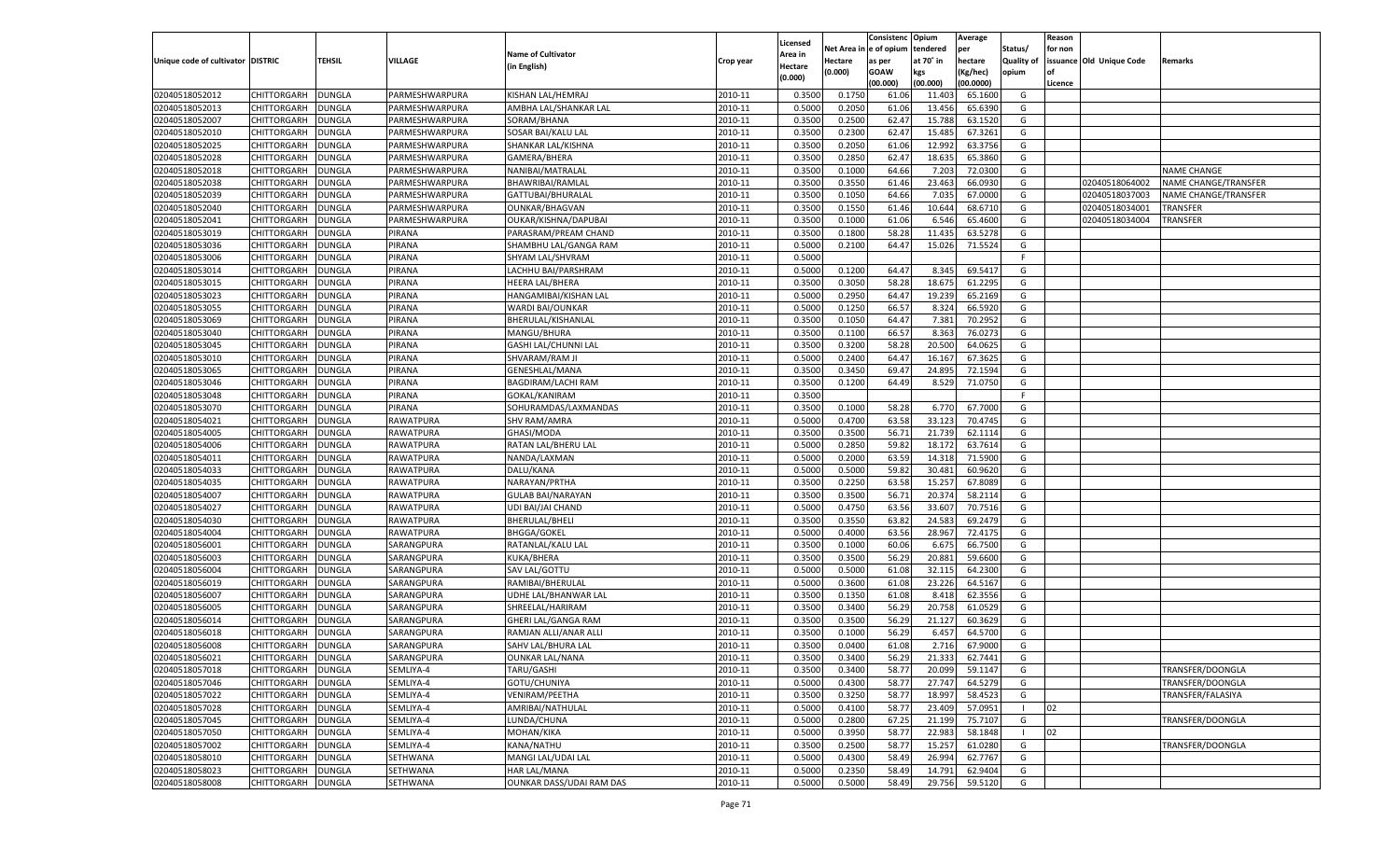|                                   |                    |               |                        |                             |           |          |            | Consistenc Opium |           | Average   |                   | Reason  |                          |                      |
|-----------------------------------|--------------------|---------------|------------------------|-----------------------------|-----------|----------|------------|------------------|-----------|-----------|-------------------|---------|--------------------------|----------------------|
|                                   |                    |               |                        |                             |           | Licensed | Net Area i | l e of opium     | tendered  | per       | Status/           | for non |                          |                      |
| Unique code of cultivator DISTRIC |                    | TEHSIL        | VILLAGE                | <b>Name of Cultivator</b>   | Crop year | Area in  | Hectare    | as per           | at 70° in | hectare   | <b>Quality of</b> |         | issuance Old Unique Code | Remarks              |
|                                   |                    |               |                        | (in English)                |           | Hectare  | (0.000)    | <b>GOAW</b>      | kgs       | (Kg/hec)  | opium             | nf      |                          |                      |
|                                   |                    |               |                        |                             |           | (0.000)  |            | (00.000)         | (00.000)  | (00.0000) |                   | Licence |                          |                      |
| 02040518052012                    | CHITTORGARH        | <b>DUNGLA</b> | PARMESHWARPURA         | KISHAN LAL/HEMRAJ           | 2010-11   | 0.3500   | 0.1750     | 61.06            | 11.403    | 65.1600   | G                 |         |                          |                      |
| 02040518052013                    | CHITTORGARH        | DUNGLA        | PARMESHWARPURA         | AMBHA LAL/SHANKAR LAL       | 2010-11   | 0.5000   | 0.2050     | 61.06            | 13.456    | 65.6390   | G                 |         |                          |                      |
| 02040518052007                    | CHITTORGARH        | <b>DUNGLA</b> | PARMESHWARPURA         | SORAM/BHANA                 | 2010-11   | 0.3500   | 0.2500     | 62.47            | 15.788    | 63.1520   | G                 |         |                          |                      |
| 02040518052010                    | CHITTORGARH        | DUNGLA        | PARMESHWARPURA         | SOSAR BAI/KALU LAL          | 2010-11   | 0.3500   | 0.2300     | 62.47            | 15.485    | 67.3261   | G                 |         |                          |                      |
| 02040518052025                    | CHITTORGARH        | DUNGLA        | PARMESHWARPURA         | SHANKAR LAL/KISHNA          | 2010-11   | 0.3500   | 0.2050     | 61.06            | 12.992    | 63.3756   | G                 |         |                          |                      |
| 02040518052028                    | CHITTORGARH        | DUNGLA        | PARMESHWARPURA         | GAMERA/BHERA                | 2010-11   | 0.3500   | 0.2850     | 62.4             | 18.635    | 65.3860   | G                 |         |                          |                      |
| 02040518052018                    | CHITTORGARH        | DUNGLA        | PARMESHWARPURA         | NANIBAI/MATRALAI            | 2010-11   | 0.3500   | 0.1000     | 64.66            | 7.203     | 72.0300   | G                 |         |                          | <b>NAME CHANGE</b>   |
| 02040518052038                    | CHITTORGARH        | DUNGLA        | PARMESHWARPURA         | BHAWRIBAI/RAMLAL            | 2010-11   | 0.3500   | 0.3550     | 61.46            | 23.463    | 66.0930   | G                 |         | 02040518064002           | NAME CHANGE/TRANSFER |
| 02040518052039                    | CHITTORGARH        | DUNGLA        | PARMESHWARPURA         | GATTUBAI/BHURALAI           | 2010-11   | 0.3500   | 0.1050     | 64.66            | 7.035     | 67.0000   | G                 |         | 02040518037003           | NAME CHANGE/TRANSFER |
| 02040518052040                    | CHITTORGARH        | DUNGLA        | PARMESHWARPURA         | <b>OUNKAR/BHAGVAN</b>       | 2010-11   | 0.3500   | 0.1550     | 61.46            | 10.644    | 68.6710   | G                 |         | 02040518034001           | TRANSFER             |
| 02040518052041                    | CHITTORGARH        | DUNGLA        | PARMESHWARPURA         | OUKAR/KISHNA/DAPUBAI        | 2010-11   | 0.3500   | 0.1000     | 61.06            | 6.546     | 65.4600   | G                 |         | 02040518034004           | TRANSFER             |
| 02040518053019                    | CHITTORGARH        | DUNGLA        | PIRANA                 | PARASRAM/PREAM CHAND        | 2010-11   | 0.3500   | 0.1800     | 58.28            | 11.435    | 63.5278   | G                 |         |                          |                      |
| 02040518053036                    | CHITTORGARH        | DUNGLA        | PIRANA                 | SHAMBHU LAL/GANGA RAM       | 2010-11   | 0.5000   | 0.2100     | 64.47            | 15.026    | 71.5524   | G                 |         |                          |                      |
| 02040518053006                    | CHITTORGARH        | DUNGLA        | PIRANA                 | SHYAM LAL/SHVRAM            | 2010-11   | 0.5000   |            |                  |           |           | F                 |         |                          |                      |
| 02040518053014                    | CHITTORGARH        | <b>DUNGLA</b> | PIRANA                 | LACHHU BAI/PARSHRAM         | 2010-11   | 0.5000   | 0.1200     | 64.47            | 8.345     | 69.5417   | G                 |         |                          |                      |
| 02040518053015                    | CHITTORGARH        | DUNGLA        | PIRANA                 | <b>HEERA LAL/BHERA</b>      | 2010-11   | 0.3500   | 0.3050     | 58.28            | 18.675    | 61.2295   | G                 |         |                          |                      |
| 02040518053023                    | CHITTORGARH        | <b>DUNGLA</b> | PIRANA                 | HANGAMIBAI/KISHAN LAL       | 2010-11   | 0.5000   | 0.2950     | 64.47            | 19.239    | 65.2169   | G                 |         |                          |                      |
| 02040518053055                    | CHITTORGARH        | DUNGLA        | PIRANA                 | WARDI BAI/OUNKAR            | 2010-11   | 0.5000   | 0.1250     | 66.57            | 8.324     | 66.5920   | G                 |         |                          |                      |
| 02040518053069                    | CHITTORGARH        | <b>DUNGLA</b> | PIRANA                 | BHERULAL/KISHANLAL          | 2010-11   | 0.3500   | 0.1050     | 64.47            | 7.381     | 70.2952   | G                 |         |                          |                      |
| 02040518053040                    | CHITTORGARH        | DUNGLA        | PIRANA                 | MANGU/BHURA                 | 2010-11   | 0.3500   | 0.1100     | 66.57            | 8.363     | 76.0273   | G                 |         |                          |                      |
| 02040518053045                    | CHITTORGARH        | <b>DUNGLA</b> | PIRANA                 | <b>GASHI LAL/CHUNNI LAL</b> | 2010-11   | 0.3500   | 0.3200     | 58.28            | 20.500    | 64.0625   | G                 |         |                          |                      |
| 02040518053010                    | CHITTORGARH        | DUNGLA        | PIRANA                 | SHVARAM/RAM JI              | 2010-11   | 0.5000   | 0.2400     | 64.4             | 16.167    | 67.3625   | G                 |         |                          |                      |
| 02040518053065                    | CHITTORGARH        | <b>DUNGLA</b> | PIRANA                 | <b>GENESHLAL/MANA</b>       | 2010-11   | 0.3500   | 0.3450     | 69.4             | 24.895    | 72.1594   | G                 |         |                          |                      |
| 02040518053046                    | CHITTORGARH        | <b>DUNGLA</b> | PIRANA                 | <b>BAGDIRAM/LACHI RAM</b>   | 2010-11   | 0.3500   | 0.1200     | 64.49            | 8.529     | 71.0750   | G                 |         |                          |                      |
| 02040518053048                    | CHITTORGARH        | <b>DUNGLA</b> | PIRANA                 | GOKAL/KANIRAM               | 2010-11   | 0.3500   |            |                  |           |           | F.                |         |                          |                      |
| 02040518053070                    | CHITTORGARH        | DUNGLA        | PIRANA                 | SOHURAMDAS/LAXMANDAS        | 2010-11   | 0.3500   | 0.1000     | 58.28            | 6.770     | 67.7000   | G                 |         |                          |                      |
| 02040518054021                    | CHITTORGARH        | <b>DUNGLA</b> | RAWATPURA              | <b>SHV RAM/AMRA</b>         | 2010-11   | 0.5000   | 0.4700     | 63.58            | 33.123    | 70.4745   | G                 |         |                          |                      |
| 02040518054005                    | CHITTORGARH        | <b>DUNGLA</b> | <b>RAWATPURA</b>       | GHASI/MODA                  | 2010-11   | 0.3500   | 0.3500     | 56.71            | 21.739    | 62.1114   | G                 |         |                          |                      |
| 02040518054006                    | CHITTORGARH        | <b>DUNGLA</b> | RAWATPURA              | RATAN LAL/BHERU LAL         | 2010-11   | 0.5000   | 0.2850     | 59.82            | 18.172    | 63.7614   | G                 |         |                          |                      |
|                                   | CHITTORGARH        |               |                        |                             | 2010-11   |          | 0.2000     |                  | 14.318    | 71.5900   | G                 |         |                          |                      |
| 02040518054011                    | CHITTORGARH        | DUNGLA        | RAWATPURA<br>RAWATPURA | NANDA/LAXMAN<br>DALU/KANA   | 2010-11   | 0.5000   |            | 63.59            |           | 60.9620   | G                 |         |                          |                      |
| 02040518054033                    |                    | DUNGLA        |                        |                             |           | 0.5000   | 0.5000     | 59.82            | 30.481    |           |                   |         |                          |                      |
| 02040518054035                    | CHITTORGARH        | DUNGLA        | RAWATPURA              | NARAYAN/PRTHA               | 2010-11   | 0.3500   | 0.2250     | 63.58            | 15.257    | 67.8089   | G                 |         |                          |                      |
| 02040518054007                    | CHITTORGARH        | DUNGLA        | RAWATPURA              | <b>GULAB BAI/NARAYAN</b>    | 2010-11   | 0.3500   | 0.3500     | 56.71            | 20.37     | 58.2114   | G                 |         |                          |                      |
| 02040518054027                    | CHITTORGARH        | DUNGLA        | RAWATPURA              | UDI BAI/JAI CHAND           | 2010-11   | 0.5000   | 0.4750     | 63.56            | 33.607    | 70.7516   | G                 |         |                          |                      |
| 02040518054030                    | CHITTORGARH        | DUNGLA        | RAWATPURA              | BHERULAL/BHELI              | 2010-11   | 0.3500   | 0.3550     | 63.82            | 24.583    | 69.2479   | G                 |         |                          |                      |
| 02040518054004                    | CHITTORGARH        | DUNGLA        | RAWATPURA              | <b>BHGGA/GOKEL</b>          | 2010-11   | 0.5000   | 0.4000     | 63.56            | 28.967    | 72.4175   | G                 |         |                          |                      |
| 02040518056001                    | CHITTORGARH        | DUNGLA        | SARANGPURA             | RATANLAL/KALU LAL           | 2010-11   | 0.3500   | 0.1000     | 60.06            | 6.675     | 66.7500   | G                 |         |                          |                      |
| 02040518056003                    | CHITTORGARH        | DUNGLA        | SARANGPURA             | KUKA/BHERA                  | 2010-11   | 0.3500   | 0.3500     | 56.29            | 20.881    | 59.6600   | G                 |         |                          |                      |
| 02040518056004                    | CHITTORGARH        | DUNGLA        | SARANGPURA             | SAV LAL/GOTTU               | 2010-11   | 0.5000   | 0.5000     | 61.08            | 32.115    | 64.2300   | G                 |         |                          |                      |
| 02040518056019                    | CHITTORGARH        | DUNGLA        | SARANGPURA             | RAMIBAI/BHERULAL            | 2010-11   | 0.5000   | 0.3600     | 61.08            | 23.226    | 64.5167   | G                 |         |                          |                      |
| 02040518056007                    | CHITTORGARH        | DUNGLA        | SARANGPURA             | UDHE LAL/BHANWAR LAL        | 2010-11   | 0.3500   | 0.1350     | 61.08            | 8.418     | 62.3556   | G                 |         |                          |                      |
| 02040518056005                    | CHITTORGARH        | DUNGLA        | SARANGPURA             | SHREELAL/HARIRAM            | 2010-11   | 0.3500   | 0.3400     | 56.29            | 20.758    | 61.0529   | G                 |         |                          |                      |
| 02040518056014                    | CHITTORGARH        | DUNGLA        | SARANGPURA             | GHERI LAL/GANGA RAM         | 2010-11   | 0.3500   | 0.3500     | 56.29            | 21.127    | 60.3629   | G                 |         |                          |                      |
| 02040518056018                    | CHITTORGARH        | DUNGLA        | SARANGPURA             | RAMJAN ALLI/ANAR ALLI       | 2010-11   | 0.3500   | 0.1000     | 56.29            | 6.457     | 64.5700   | G                 |         |                          |                      |
| 02040518056008                    | CHITTORGARH        | DUNGLA        | SARANGPURA             | SAHV LAL/BHURA LAL          | 2010-11   | 0.3500   | 0.0400     | 61.08            | 2.716     | 67.9000   | G                 |         |                          |                      |
| 02040518056021                    | <b>CHITTORGARH</b> | DUNGLA        | SARANGPURA             | OUNKAR LAL/NANA             | 2010-11   | 0.3500   | 0.3400     | 56.29            | 21.333    | 62.7441   | G                 |         |                          |                      |
| 02040518057018                    | CHITTORGARH        | <b>DUNGLA</b> | SEMLIYA-4              | TARU/GASHI                  | 2010-11   | 0.3500   | 0.3400     | 58.77            | 20.099    | 59.1147   | G                 |         |                          | TRANSFER/DOONGLA     |
| 02040518057046                    | CHITTORGARH        | <b>DUNGLA</b> | SEMLIYA-4              | GOTU/CHUNIYA                | 2010-11   | 0.5000   | 0.4300     | 58.77            | 27.747    | 64.5279   | G                 |         |                          | TRANSFER/DOONGLA     |
| 02040518057022                    | <b>CHITTORGARH</b> | <b>DUNGLA</b> | SEMLIYA-4              | <b>VENIRAM/PEETHA</b>       | 2010-11   | 0.3500   | 0.3250     | 58.77            | 18.997    | 58.4523   | G                 |         |                          | TRANSFER/FALASIYA    |
| 02040518057028                    | CHITTORGARH        | <b>DUNGLA</b> | SEMLIYA-4              | AMRIBAI/NATHULAL            | 2010-11   | 0.5000   | 0.4100     | 58.77            | 23.409    | 57.0951   |                   | 02      |                          |                      |
| 02040518057045                    | CHITTORGARH        | <b>DUNGLA</b> | SEMLIYA-4              | LUNDA/CHUNA                 | 2010-11   | 0.5000   | 0.2800     | 67.25            | 21.199    | 75.7107   | G                 |         |                          | TRANSFER/DOONGLA     |
| 02040518057050                    | CHITTORGARH        | DUNGLA        | SEMLIYA-4              | MOHAN/KIKA                  | 2010-11   | 0.5000   | 0.3950     | 58.77            | 22.983    | 58.1848   |                   | 02      |                          |                      |
| 02040518057002                    | CHITTORGARH        | DUNGLA        | SEMLIYA-4              | KANA/NATHU                  | 2010-11   | 0.3500   | 0.2500     | 58.77            | 15.257    | 61.0280   | G                 |         |                          | TRANSFER/DOONGLA     |
| 02040518058010                    | CHITTORGARH        | <b>DUNGLA</b> | SETHWANA               | MANGI LAL/UDAI LAL          | 2010-11   | 0.5000   | 0.4300     | 58.49            | 26.994    | 62.7767   | G                 |         |                          |                      |
| 02040518058023                    | CHITTORGARH        | <b>DUNGLA</b> | <b>SETHWANA</b>        | HAR LAL/MANA                | 2010-11   | 0.5000   | 0.2350     | 58.49            | 14.791    | 62.9404   | G                 |         |                          |                      |
| 02040518058008                    | CHITTORGARH        | <b>DUNGLA</b> | SETHWANA               | OUNKAR DASS/UDAI RAM DAS    | 2010-11   | 0.5000   | 0.5000     | 58.49            | 29.756    | 59.5120   | G                 |         |                          |                      |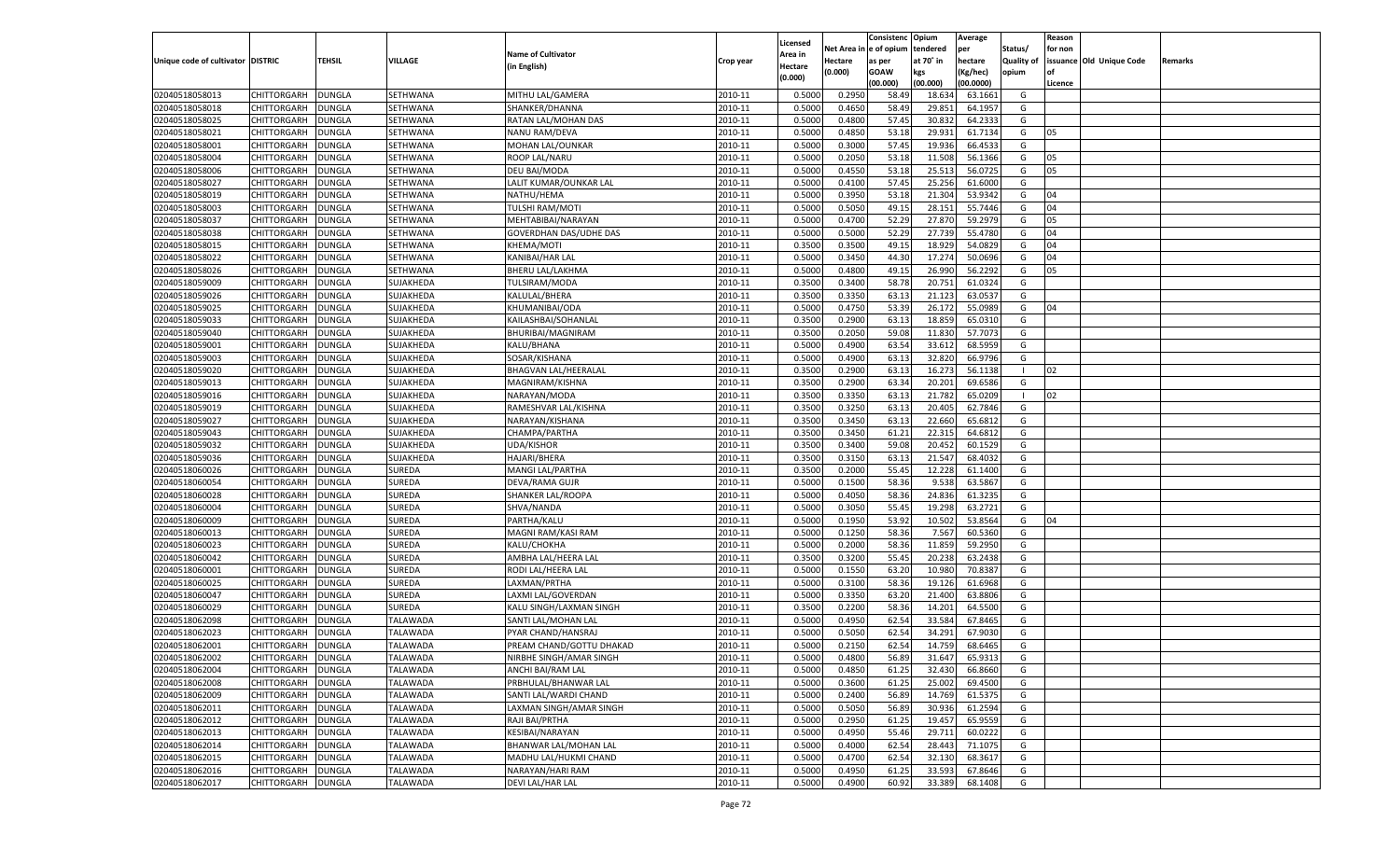|                                   |                    |               |                 |                               |           |          |          | Consistenc Opium |           | Average   |                   | Reason    |                          |         |
|-----------------------------------|--------------------|---------------|-----------------|-------------------------------|-----------|----------|----------|------------------|-----------|-----------|-------------------|-----------|--------------------------|---------|
|                                   |                    |               |                 |                               |           | Licensed | Net Area | e of opium       | tendered  | per       | Status/           | for non   |                          |         |
| Unique code of cultivator DISTRIC |                    | TEHSIL        | VILLAGE         | <b>Name of Cultivator</b>     | Crop year | Area in  | Hectare  | as per           | at 70˚ in | hectare   | <b>Quality of</b> |           | issuance Old Unique Code | Remarks |
|                                   |                    |               |                 | (in English)                  |           | Hectare  | (0.000)  | <b>GOAW</b>      | kgs       | (Kg/hec)  | opium             | <b>of</b> |                          |         |
|                                   |                    |               |                 |                               |           | (0.000)  |          | (00.000)         | (00.000)  | (00.0000) |                   | Licence   |                          |         |
| 02040518058013                    | CHITTORGARH        | <b>DUNGLA</b> | SETHWANA        | MITHU LAL/GAMERA              | 2010-11   | 0.5000   | 0.2950   | 58.49            | 18.63     | 63.1661   | G                 |           |                          |         |
| 02040518058018                    | CHITTORGARH        | <b>DUNGLA</b> | SETHWANA        | SHANKER/DHANNA                | 2010-11   | 0.5000   | 0.4650   | 58.49            | 29.85     | 64.1957   | G                 |           |                          |         |
| 02040518058025                    |                    |               |                 | RATAN LAL/MOHAN DAS           | 2010-11   | 0.5000   | 0.4800   | 57.45            | 30.832    | 64.2333   | G                 |           |                          |         |
|                                   | <b>CHITTORGARH</b> | <b>DUNGLA</b> | SETHWANA        |                               |           |          |          |                  |           |           |                   |           |                          |         |
| 02040518058021                    | CHITTORGARH        | DUNGLA        | SETHWANA        | NANU RAM/DEVA                 | 2010-11   | 0.5000   | 0.4850   | 53.18            | 29.931    | 61.7134   | G                 | 05        |                          |         |
| 02040518058001                    | CHITTORGARH        | <b>DUNGLA</b> | SETHWANA        | MOHAN LAL/OUNKAR              | 2010-11   | 0.5000   | 0.3000   | 57.45            | 19.936    | 66.4533   | G                 |           |                          |         |
| 02040518058004                    | CHITTORGARH        | DUNGLA        | SETHWANA        | ROOP LAL/NARU                 | 2010-11   | 0.5000   | 0.2050   | 53.18            | 11.508    | 56.1366   | G                 | 05        |                          |         |
| 02040518058006                    | CHITTORGARH        | DUNGLA        | SETHWANA        | DEU BAI/MODA                  | 2010-11   | 0.5000   | 0.4550   | 53.18            | 25.513    | 56.0725   | G                 | 05        |                          |         |
| 02040518058027                    | CHITTORGARH        | DUNGLA        | SETHWANA        | LALIT KUMAR/OUNKAR LAL        | 2010-11   | 0.5000   | 0.4100   | 57.45            | 25.256    | 61.6000   | G                 |           |                          |         |
| 02040518058019                    | CHITTORGARH        | <b>DUNGLA</b> | SETHWANA        | NATHU/HEMA                    | 2010-11   | 0.5000   | 0.3950   | 53.18            | 21.304    | 53.9342   | G                 | 04        |                          |         |
| 02040518058003                    | CHITTORGARH        | DUNGLA        | SETHWANA        | TULSHI RAM/MOTI               | 2010-11   | 0.5000   | 0.5050   | 49.15            | 28.151    | 55.7446   | G                 | 04        |                          |         |
| 02040518058037                    | CHITTORGARH        | <b>DUNGLA</b> | SETHWANA        | MEHTABIBAI/NARAYAN            | 2010-11   | 0.5000   | 0.4700   | 52.29            | 27.870    | 59.2979   | G                 | 05        |                          |         |
| 02040518058038                    | CHITTORGARH        | DUNGLA        | SETHWANA        | <b>GOVERDHAN DAS/UDHE DAS</b> | 2010-11   | 0.5000   | 0.5000   | 52.29            | 27.739    | 55.4780   | G                 | 04        |                          |         |
| 02040518058015                    | CHITTORGARH        | <b>DUNGLA</b> | SETHWANA        | KHEMA/MOTI                    | 2010-11   | 0.3500   | 0.3500   | 49.15            | 18.929    | 54.0829   | G                 | 04        |                          |         |
| 02040518058022                    | CHITTORGARH        | DUNGLA        | SETHWANA        | KANIBAI/HAR LAL               | 2010-11   | 0.5000   | 0.3450   | 44.30            | 17.274    | 50.069    | G                 | 04        |                          |         |
| 02040518058026                    | <b>CHITTORGARH</b> | <b>DUNGLA</b> | SETHWANA        | <b>BHERU LAL/LAKHMA</b>       | 2010-11   | 0.5000   | 0.4800   | 49.15            | 26.990    | 56.2292   | G                 | 05        |                          |         |
| 02040518059009                    |                    | <b>DUNGLA</b> | SUJAKHEDA       | TULSIRAM/MODA                 | 2010-11   | 0.3500   | 0.3400   | 58.78            | 20.751    | 61.0324   | G                 |           |                          |         |
|                                   | CHITTORGARH        |               |                 |                               |           |          |          |                  |           |           |                   |           |                          |         |
| 02040518059026                    | <b>CHITTORGARH</b> | <b>DUNGLA</b> | SUJAKHEDA       | KALULAL/BHERA                 | 2010-11   | 0.3500   | 0.3350   | 63.13            | 21.123    | 63.0537   | G                 |           |                          |         |
| 02040518059025                    | CHITTORGARH        | DUNGLA        | SUJAKHEDA       | KHUMANIBAI/ODA                | 2010-11   | 0.5000   | 0.4750   | 53.39            | 26.172    | 55.0989   | G                 | 04        |                          |         |
| 02040518059033                    | <b>CHITTORGARH</b> | <b>DUNGLA</b> | SUJAKHEDA       | KAILASHBAI/SOHANLAL           | 2010-11   | 0.3500   | 0.2900   | 63.13            | 18.859    | 65.0310   | G                 |           |                          |         |
| 02040518059040                    | CHITTORGARH        | <b>DUNGLA</b> | SUJAKHEDA       | <b>BHURIBAI/MAGNIRAM</b>      | 2010-11   | 0.3500   | 0.2050   | 59.08            | 11.830    | 57.7073   | G                 |           |                          |         |
| 02040518059001                    | <b>CHITTORGARH</b> | <b>DUNGLA</b> | SUJAKHEDA       | KALU/BHANA                    | 2010-11   | 0.5000   | 0.4900   | 63.54            | 33.612    | 68.5959   | G                 |           |                          |         |
| 02040518059003                    | CHITTORGARH        | DUNGLA        | SUJAKHEDA       | SOSAR/KISHANA                 | 2010-11   | 0.5000   | 0.4900   | 63.13            | 32.820    | 66.979    | G                 |           |                          |         |
| 02040518059020                    | <b>CHITTORGARH</b> | DUNGLA        | SUJAKHEDA       | <b>BHAGVAN LAL/HEERALAL</b>   | 2010-11   | 0.3500   | 0.2900   | 63.13            | 16.273    | 56.1138   | $\blacksquare$    | 02        |                          |         |
| 02040518059013                    | CHITTORGARH        | <b>DUNGLA</b> | SUJAKHEDA       | MAGNIRAM/KISHNA               | 2010-11   | 0.3500   | 0.2900   | 63.34            | 20.201    | 69.6586   | G                 |           |                          |         |
| 02040518059016                    | <b>CHITTORGARH</b> | <b>DUNGLA</b> | SUJAKHEDA       | NARAYAN/MODA                  | 2010-11   | 0.3500   | 0.3350   | 63.13            | 21.782    | 65.0209   | - 1               | 02        |                          |         |
| 02040518059019                    | CHITTORGARH        | DUNGLA        | SUJAKHEDA       | RAMESHVAR LAL/KISHNA          | 2010-11   | 0.3500   | 0.3250   | 63.13            | 20.405    | 62.7846   | G                 |           |                          |         |
| 02040518059027                    | <b>CHITTORGARH</b> | DUNGLA        | SUJAKHEDA       | NARAYAN/KISHANA               | 2010-11   | 0.3500   | 0.3450   | 63.13            | 22.660    | 65.6812   | G                 |           |                          |         |
| 02040518059043                    | CHITTORGARH        | <b>DUNGLA</b> | SUJAKHEDA       | CHAMPA/PARTHA                 | 2010-11   | 0.3500   | 0.3450   | 61.21            | 22.315    | 64.681    | G                 |           |                          |         |
| 02040518059032                    | <b>CHITTORGARH</b> | <b>DUNGLA</b> | SUJAKHEDA       | <b>UDA/KISHOR</b>             | 2010-11   | 0.3500   | 0.3400   | 59.08            | 20.452    | 60.1529   | G                 |           |                          |         |
| 02040518059036                    |                    |               |                 |                               | 2010-11   | 0.3500   | 0.3150   | 63.13            | 21.547    | 68.4032   | G                 |           |                          |         |
|                                   | CHITTORGARH        | DUNGLA        | SUJAKHEDA       | HAJARI/BHERA                  |           |          |          |                  |           |           |                   |           |                          |         |
| 02040518060026                    | CHITTORGARH        | DUNGLA        | SUREDA          | MANGI LAL/PARTHA              | 2010-11   | 0.3500   | 0.2000   | 55.45            | 12.228    | 61.1400   | G                 |           |                          |         |
| 02040518060054                    | CHITTORGARH        | DUNGLA        | SUREDA          | DEVA/RAMA GUJR                | 2010-11   | 0.5000   | 0.1500   | 58.36            | 9.538     | 63.5867   | G                 |           |                          |         |
| 02040518060028                    | CHITTORGARH        | DUNGLA        | SUREDA          | SHANKER LAL/ROOPA             | 2010-11   | 0.5000   | 0.4050   | 58.36            | 24.836    | 61.3235   | G                 |           |                          |         |
| 02040518060004                    | CHITTORGARH        | DUNGLA        | SUREDA          | SHVA/NANDA                    | 2010-11   | 0.5000   | 0.3050   | 55.45            | 19.298    | 63.2721   | G                 |           |                          |         |
| 02040518060009                    | CHITTORGARH        | DUNGLA        | SUREDA          | PARTHA/KALU                   | 2010-11   | 0.5000   | 0.1950   | 53.92            | 10.502    | 53.8564   | G                 | 04        |                          |         |
| 02040518060013                    | CHITTORGARH        | DUNGLA        | SUREDA          | MAGNI RAM/KASI RAM            | 2010-11   | 0.5000   | 0.1250   | 58.36            | 7.567     | 60.5360   | G                 |           |                          |         |
| 02040518060023                    | CHITTORGARH        | DUNGLA        | SUREDA          | KALU/CHOKHA                   | 2010-11   | 0.5000   | 0.2000   | 58.36            | 11.859    | 59.2950   | G                 |           |                          |         |
| 02040518060042                    | CHITTORGARH        | DUNGLA        | SUREDA          | AMBHA LAL/HEERA LAL           | 2010-11   | 0.3500   | 0.3200   | 55.45            | 20.23     | 63.2438   | G                 |           |                          |         |
| 02040518060001                    | CHITTORGARH        | DUNGLA        | SUREDA          | RODI LAL/HEERA LAL            | 2010-11   | 0.5000   | 0.1550   | 63.20            | 10.980    | 70.8387   | G                 |           |                          |         |
| 02040518060025                    | CHITTORGARH        | DUNGLA        | SUREDA          | LAXMAN/PRTHA                  | 2010-11   | 0.5000   | 0.3100   | 58.36            | 19.126    | 61.6968   | G                 |           |                          |         |
| 02040518060047                    | CHITTORGARH        | DUNGLA        | SUREDA          | LAXMI LAL/GOVERDAN            | 2010-11   | 0.5000   | 0.3350   | 63.20            | 21.400    | 63.880    | G                 |           |                          |         |
| 02040518060029                    | CHITTORGARH        | DUNGLA        | SUREDA          | KALU SINGH/LAXMAN SINGH       | 2010-11   | 0.3500   | 0.2200   | 58.36            | 14.201    | 64.5500   | G                 |           |                          |         |
| 02040518062098                    | CHITTORGARH        | DUNGLA        | TALAWADA        | SANTI LAL/MOHAN LAI           | 2010-11   | 0.5000   | 0.4950   | 62.54            | 33.584    | 67.8465   | G                 |           |                          |         |
| 02040518062023                    | CHITTORGARH        | DUNGLA        | TALAWADA        | PYAR CHAND/HANSRAJ            | 2010-11   | 0.5000   | 0.5050   | 62.54            | 34.291    | 67.9030   | G                 |           |                          |         |
|                                   |                    |               |                 |                               |           |          |          |                  |           |           |                   |           |                          |         |
| 02040518062001                    | CHITTORGARH        | <b>DUNGLA</b> | TALAWADA        | PREAM CHAND/GOTTU DHAKAD      | 2010-11   | 0.5000   | 0.2150   | 62.54            | 14.759    | 68.6465   | G                 |           |                          |         |
| 02040518062002                    | CHITTORGARH        | DUNGLA        | <b>TALAWADA</b> | NIRBHE SINGH/AMAR SINGH       | 2010-11   | 0.5000   | 0.4800   | 56.89            | 31.647    | 65.9313   | G                 |           |                          |         |
| 02040518062004                    | <b>CHITTORGARH</b> | <b>DUNGLA</b> | TALAWADA        | ANCHI BAI/RAM LAL             | 2010-11   | 0.5000   | 0.4850   | 61.25            | 32.430    | 66.8660   | G                 |           |                          |         |
| 02040518062008                    | <b>CHITTORGARH</b> | <b>DUNGLA</b> | TALAWADA        | PRBHULAL/BHANWAR LAL          | 2010-11   | 0.5000   | 0.3600   | 61.25            | 25.002    | 69.4500   | G                 |           |                          |         |
| 02040518062009                    | <b>CHITTORGARH</b> | <b>DUNGLA</b> | TALAWADA        | SANTI LAL/WARDI CHAND         | 2010-11   | 0.5000   | 0.2400   | 56.89            | 14.769    | 61.5375   | G                 |           |                          |         |
| 02040518062011                    | <b>CHITTORGARH</b> | <b>DUNGLA</b> | <b>TALAWADA</b> | LAXMAN SINGH/AMAR SINGH       | 2010-11   | 0.5000   | 0.5050   | 56.89            | 30.936    | 61.2594   | G                 |           |                          |         |
| 02040518062012                    | <b>CHITTORGARH</b> | <b>DUNGLA</b> | TALAWADA        | RAJI BAI/PRTHA                | 2010-11   | 0.5000   | 0.2950   | 61.25            | 19.457    | 65.9559   | G                 |           |                          |         |
| 02040518062013                    | <b>CHITTORGARH</b> | <b>DUNGLA</b> | TALAWADA        | <b>KESIBAI/NARAYAN</b>        | 2010-11   | 0.5000   | 0.4950   | 55.46            | 29.711    | 60.0222   | G                 |           |                          |         |
| 02040518062014                    | <b>CHITTORGARH</b> | <b>DUNGLA</b> | TALAWADA        | BHANWAR LAL/MOHAN LAL         | 2010-11   | 0.5000   | 0.4000   | 62.54            | 28.443    | 71.1075   | G                 |           |                          |         |
| 02040518062015                    | <b>CHITTORGARH</b> | <b>DUNGLA</b> | TALAWADA        | MADHU LAL/HUKMI CHAND         | 2010-11   | 0.5000   | 0.4700   | 62.54            | 32.13     | 68.3617   | G                 |           |                          |         |
| 02040518062016                    | <b>CHITTORGARH</b> | <b>DUNGLA</b> | TALAWADA        | NARAYAN/HARI RAM              | 2010-11   | 0.5000   | 0.4950   | 61.25            | 33.593    | 67.8646   | G                 |           |                          |         |
| 02040518062017                    | <b>CHITTORGARH</b> | <b>DUNGLA</b> | <b>TALAWADA</b> | DEVI LAL/HAR LAL              | 2010-11   | 0.5000   | 0.4900   | 60.92            | 33.389    | 68.1408   | G                 |           |                          |         |
|                                   |                    |               |                 |                               |           |          |          |                  |           |           |                   |           |                          |         |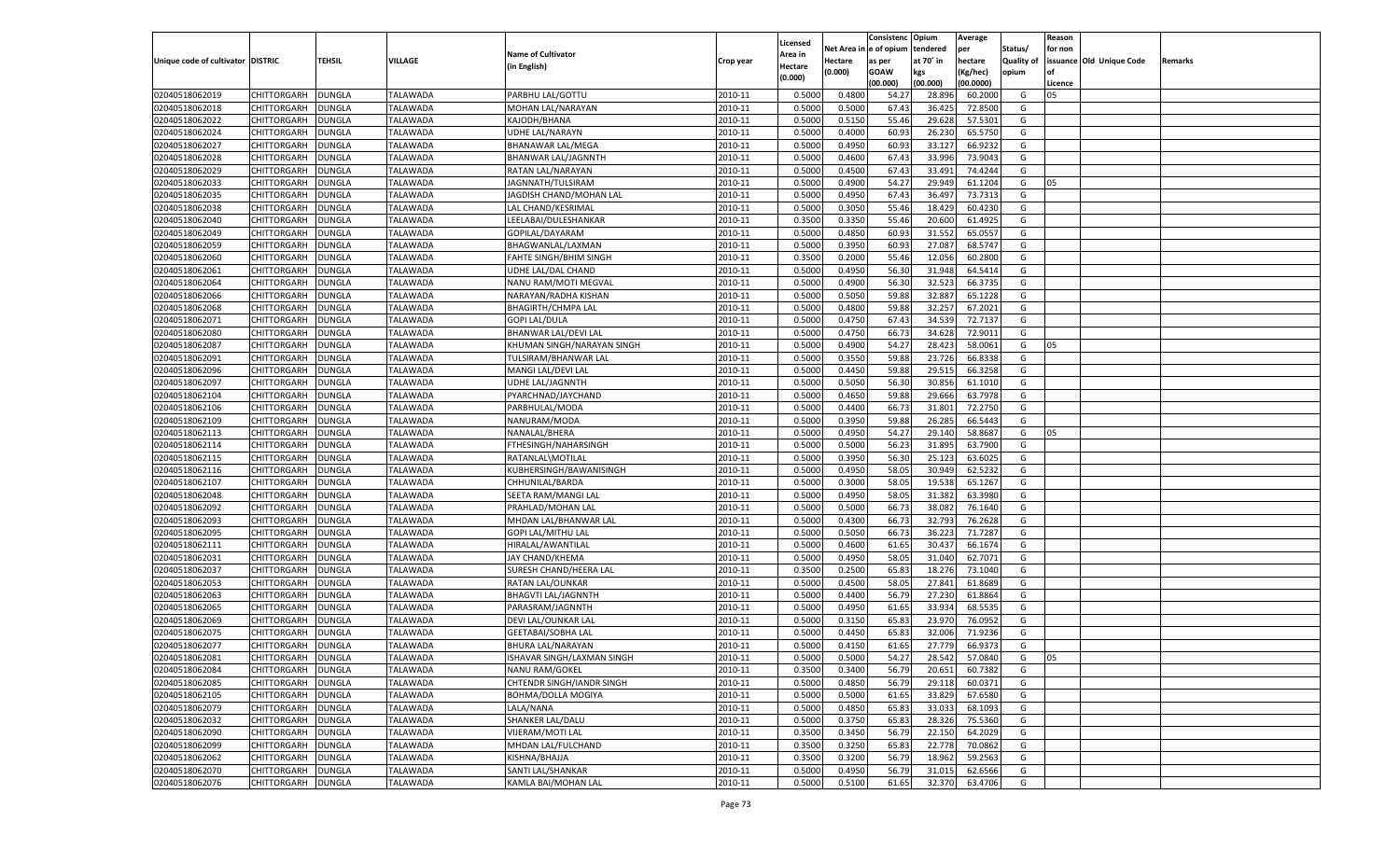|                                   |                    |               |                 |                             |           |          |          | Consistenc Opium |           | Average   |                   | Reason    |                          |         |
|-----------------------------------|--------------------|---------------|-----------------|-----------------------------|-----------|----------|----------|------------------|-----------|-----------|-------------------|-----------|--------------------------|---------|
|                                   |                    |               |                 |                             |           | Licensed | Net Area | e of opium       | tendered  | per       | Status/           | for non   |                          |         |
| Unique code of cultivator DISTRIC |                    | TEHSIL        | VILLAGE         | <b>Name of Cultivator</b>   | Crop year | Area in  | Hectare  | as per           | at 70˚ in | hectare   | <b>Quality of</b> |           | issuance Old Unique Code | Remarks |
|                                   |                    |               |                 | (in English)                |           | Hectare  | (0.000)  | <b>GOAW</b>      | kgs       | (Kg/hec)  | opium             | <b>of</b> |                          |         |
|                                   |                    |               |                 |                             |           | (0.000)  |          | (00.000)         | (00.000)  | (00.0000) |                   | Licence   |                          |         |
| 02040518062019                    | CHITTORGARH        | <b>DUNGLA</b> | TALAWADA        | PARBHU LAL/GOTTU            | 2010-11   | 0.5000   | 0.4800   | 54.27            | 28.89     | 60.2000   | G                 | 05        |                          |         |
| 02040518062018                    | CHITTORGARH        | <b>DUNGLA</b> | TALAWADA        | MOHAN LAL/NARAYAN           | 2010-11   | 0.5000   | 0.5000   | 67.43            | 36.425    | 72.8500   | G                 |           |                          |         |
| 02040518062022                    | <b>CHITTORGARH</b> | <b>DUNGLA</b> | TALAWADA        | KAJODH/BHANA                | 2010-11   | 0.5000   | 0.5150   | 55.46            | 29.628    | 57.5301   | G                 |           |                          |         |
|                                   |                    |               |                 |                             |           |          |          |                  |           |           |                   |           |                          |         |
| 02040518062024                    | CHITTORGARH        | DUNGLA        | TALAWADA        | UDHE LAL/NARAYN             | 2010-11   | 0.5000   | 0.4000   | 60.93            | 26.230    | 65.5750   | G                 |           |                          |         |
| 02040518062027                    | CHITTORGARH        | <b>DUNGLA</b> | TALAWADA        | <b>BHANAWAR LAL/MEGA</b>    | 2010-11   | 0.5000   | 0.4950   | 60.93            | 33.127    | 66.9232   | G                 |           |                          |         |
| 02040518062028                    | CHITTORGARH        | DUNGLA        | TALAWADA        | BHANWAR LAL/JAGNNTH         | 2010-11   | 0.5000   | 0.4600   | 67.4             | 33.996    | 73.9043   | G                 |           |                          |         |
| 02040518062029                    | CHITTORGARH        | <b>DUNGLA</b> | TALAWADA        | RATAN LAL/NARAYAN           | 2010-11   | 0.5000   | 0.4500   | 67.43            | 33.491    | 74.4244   | G                 |           |                          |         |
| 02040518062033                    | CHITTORGARH        | DUNGLA        | TALAWADA        | JAGNNATH/TULSIRAM           | 2010-11   | 0.5000   | 0.4900   | 54.27            | 29.949    | 61.1204   | G                 | 05        |                          |         |
| 02040518062035                    | CHITTORGARH        | <b>DUNGLA</b> | TALAWADA        | JAGDISH CHAND/MOHAN LAL     | 2010-11   | 0.5000   | 0.4950   | 67.43            | 36.49     | 73.7313   | G                 |           |                          |         |
| 02040518062038                    | CHITTORGARH        | <b>DUNGLA</b> | TALAWADA        | LAL CHAND/KESRIMAL          | 2010-11   | 0.5000   | 0.3050   | 55.46            | 18.429    | 60.4230   | G                 |           |                          |         |
| 02040518062040                    | CHITTORGARH        | <b>DUNGLA</b> | TALAWADA        | LEELABAI/DULESHANKAR        | 2010-11   | 0.3500   | 0.3350   | 55.46            | 20.600    | 61.4925   | G                 |           |                          |         |
| 02040518062049                    | CHITTORGARH        | DUNGLA        | TALAWADA        | GOPILAL/DAYARAM             | 2010-11   | 0.5000   | 0.4850   | 60.93            | 31.552    | 65.055    | G                 |           |                          |         |
| 02040518062059                    | CHITTORGARH        | <b>DUNGLA</b> | TALAWADA        | BHAGWANLAL/LAXMAN           | 2010-11   | 0.5000   | 0.3950   | 60.93            | 27.087    | 68.5747   | G                 |           |                          |         |
| 02040518062060                    | CHITTORGARH        | DUNGLA        | <b>TALAWADA</b> | FAHTE SINGH/BHIM SINGH      | 2010-11   | 0.3500   | 0.2000   | 55.46            | 12.056    | 60.2800   | G                 |           |                          |         |
| 02040518062061                    | <b>CHITTORGARH</b> | <b>DUNGLA</b> | TALAWADA        | UDHE LAL/DAL CHAND          | 2010-11   | 0.5000   | 0.4950   | 56.30            | 31.948    | 64.5414   | G                 |           |                          |         |
| 02040518062064                    | CHITTORGARH        | <b>DUNGLA</b> | TALAWADA        | NANU RAM/MOTI MEGVAL        | 2010-11   | 0.5000   | 0.4900   | 56.30            | 32.523    | 66.3735   | G                 |           |                          |         |
| 02040518062066                    | <b>CHITTORGARH</b> | <b>DUNGLA</b> | TALAWADA        | NARAYAN/RADHA KISHAN        | 2010-11   | 0.5000   | 0.5050   | 59.88            | 32.887    | 65.1228   | G                 |           |                          |         |
| 02040518062068                    | CHITTORGARH        | DUNGLA        | <b>TALAWADA</b> | <b>BHAGIRTH/CHMPA LAL</b>   | 2010-11   | 0.5000   | 0.4800   | 59.88            | 32.257    | 67.2021   | G                 |           |                          |         |
|                                   |                    |               |                 | <b>GOPI LAL/DULA</b>        |           |          |          |                  |           |           |                   |           |                          |         |
| 02040518062071                    | <b>CHITTORGARH</b> | <b>DUNGLA</b> | TALAWADA        |                             | 2010-11   | 0.5000   | 0.4750   | 67.43            | 34.539    | 72.7137   | G                 |           |                          |         |
| 02040518062080                    | CHITTORGARH        | <b>DUNGLA</b> | TALAWADA        | <b>BHANWAR LAL/DEVI LAL</b> | 2010-11   | 0.5000   | 0.4750   | 66.73            | 34.628    | 72.9011   | G                 |           |                          |         |
| 02040518062087                    | <b>CHITTORGARH</b> | <b>DUNGLA</b> | TALAWADA        | KHUMAN SINGH/NARAYAN SINGH  | 2010-11   | 0.5000   | 0.4900   | 54.27            | 28.423    | 58.0061   | G                 | 05        |                          |         |
| 02040518062091                    | CHITTORGARH        | DUNGLA        | <b>TALAWADA</b> | TULSIRAM/BHANWAR LAL        | 2010-11   | 0.5000   | 0.3550   | 59.88            | 23.726    | 66.8338   | G                 |           |                          |         |
| 02040518062096                    | <b>CHITTORGARH</b> | <b>DUNGLA</b> | TALAWADA        | MANGI LAL/DEVI LAL          | 2010-11   | 0.5000   | 0.4450   | 59.88            | 29.515    | 66.3258   | G                 |           |                          |         |
| 02040518062097                    | CHITTORGARH        | <b>DUNGLA</b> | TALAWADA        | UDHE LAL/JAGNNTH            | 2010-11   | 0.5000   | 0.5050   | 56.30            | 30.856    | 61.1010   | G                 |           |                          |         |
| 02040518062104                    | <b>CHITTORGARH</b> | <b>DUNGLA</b> | TALAWADA        | PYARCHNAD/JAYCHAND          | 2010-11   | 0.5000   | 0.4650   | 59.88            | 29.666    | 63.7978   | G                 |           |                          |         |
| 02040518062106                    | CHITTORGARH        | DUNGLA        | <b>TALAWADA</b> | PARBHULAL/MODA              | 2010-11   | 0.5000   | 0.4400   | 66.73            | 31.801    | 72.2750   | G                 |           |                          |         |
| 02040518062109                    | <b>CHITTORGARH</b> | <b>DUNGLA</b> | TALAWADA        | NANURAM/MODA                | 2010-11   | 0.5000   | 0.3950   | 59.88            | 26.285    | 66.5443   | G                 |           |                          |         |
| 02040518062113                    | CHITTORGARH        | <b>DUNGLA</b> | TALAWADA        | NANALAL/BHERA               | 2010-11   | 0.5000   | 0.4950   | 54.27            | 29.140    | 58.8687   | G                 | 05        |                          |         |
| 02040518062114                    | <b>CHITTORGARH</b> | <b>DUNGLA</b> | TALAWADA        | FTHESINGH/NAHARSINGH        | 2010-11   | 0.5000   | 0.5000   | 56.23            | 31.895    | 63.7900   | G                 |           |                          |         |
| 02040518062115                    | CHITTORGARH        | DUNGLA        | TALAWADA        | RATANLAL\MOTILAL            | 2010-11   | 0.5000   | 0.3950   | 56.30            | 25.123    | 63.602    | G                 |           |                          |         |
| 02040518062116                    | CHITTORGARH        | DUNGLA        | TALAWADA        | KUBHERSINGH/BAWANISINGH     | 2010-11   | 0.5000   | 0.4950   | 58.05            | 30.949    | 62.5232   | G                 |           |                          |         |
| 02040518062107                    | CHITTORGARH        | DUNGLA        | TALAWADA        | CHHUNILAL/BARDA             | 2010-11   | 0.5000   | 0.3000   | 58.05            | 19.53     | 65.1267   | G                 |           |                          |         |
| 02040518062048                    | CHITTORGARH        | DUNGLA        | TALAWADA        | SEETA RAM/MANGI LAL         | 2010-11   | 0.5000   | 0.4950   | 58.05            | 31.382    | 63.3980   | G                 |           |                          |         |
| 02040518062092                    | CHITTORGARH        | DUNGLA        | TALAWADA        | PRAHLAD/MOHAN LAL           | 2010-11   | 0.5000   | 0.5000   | 66.73            | 38.08     | 76.1640   | G                 |           |                          |         |
| 02040518062093                    | CHITTORGARH        | DUNGLA        | TALAWADA        |                             | 2010-11   | 0.5000   | 0.4300   | 66.73            | 32.793    | 76.2628   | G                 |           |                          |         |
|                                   |                    |               |                 | MHDAN LAL/BHANWAR LAL       |           |          |          |                  |           |           |                   |           |                          |         |
| 02040518062095                    | CHITTORGARH        | DUNGLA        | TALAWADA        | GOPI LAL/MITHU LAL          | 2010-11   | 0.5000   | 0.5050   | 66.73            | 36.22     | 71.7287   | G                 |           |                          |         |
| 02040518062111                    | CHITTORGARH        | DUNGLA        | TALAWADA        | HIRALAL/AWANTILAL           | 2010-11   | 0.5000   | 0.4600   | 61.65            | 30.43     | 66.1674   | G                 |           |                          |         |
| 02040518062031                    | CHITTORGARH        | DUNGLA        | TALAWADA        | JAY CHAND/KHEMA             | 2010-11   | 0.5000   | 0.4950   | 58.05            | 31.04     | 62.7071   | G                 |           |                          |         |
| 02040518062037                    | CHITTORGARH        | DUNGLA        | TALAWADA        | SURESH CHAND/HEERA LAL      | 2010-11   | 0.3500   | 0.2500   | 65.83            | 18.276    | 73.1040   | G                 |           |                          |         |
| 02040518062053                    | CHITTORGARH        | DUNGLA        | TALAWADA        | RATAN LAL/OUNKAR            | 2010-11   | 0.5000   | 0.4500   | 58.05            | 27.841    | 61.8689   | G                 |           |                          |         |
| 02040518062063                    | CHITTORGARH        | DUNGLA        | TALAWADA        | <b>BHAGVTI LAL/JAGNNTH</b>  | 2010-11   | 0.5000   | 0.4400   | 56.79            | 27.23     | 61.8864   | G                 |           |                          |         |
| 02040518062065                    | CHITTORGARH        | DUNGLA        | TALAWADA        | PARASRAM/JAGNNTH            | 2010-11   | 0.5000   | 0.4950   | 61.65            | 33.93     | 68.553    | G                 |           |                          |         |
| 02040518062069                    | CHITTORGARH        | DUNGLA        | TALAWADA        | DEVI LAL/OUNKAR LAL         | 2010-11   | 0.5000   | 0.3150   | 65.83            | 23.97     | 76.0952   | G                 |           |                          |         |
| 02040518062075                    | CHITTORGARH        | DUNGLA        | TALAWADA        | <b>GEETABAI/SOBHA LAL</b>   | 2010-11   | 0.5000   | 0.4450   | 65.83            | 32.006    | 71.9236   | G                 |           |                          |         |
| 02040518062077                    | CHITTORGARH        | <b>DUNGLA</b> | TALAWADA        | <b>BHURA LAL/NARAYAN</b>    | 2010-11   | 0.5000   | 0.4150   | 61.65            | 27.779    | 66.9373   | G                 |           |                          |         |
| 02040518062081                    | <b>CHITTORGARH</b> | <b>DUNGLA</b> | <b>TALAWADA</b> | ISHAVAR SINGH/LAXMAN SINGH  | 2010-11   | 0.5000   | 0.5000   | 54.27            | 28.542    | 57.0840   | G                 | 05        |                          |         |
| 02040518062084                    | <b>CHITTORGARH</b> | <b>DUNGLA</b> | TALAWADA        | NANU RAM/GOKEL              | 2010-11   | 0.3500   | 0.3400   | 56.79            | 20.651    | 60.7382   | G                 |           |                          |         |
| 02040518062085                    | <b>CHITTORGARH</b> | <b>DUNGLA</b> | TALAWADA        | CHTENDR SINGH/IANDR SINGH   | 2010-11   | 0.5000   | 0.4850   | 56.79            | 29.118    | 60.0371   | G                 |           |                          |         |
| 02040518062105                    | <b>CHITTORGARH</b> | <b>DUNGLA</b> | TALAWADA        | BOHMA/DOLLA MOGIYA          | 2010-11   | 0.5000   | 0.5000   | 61.65            | 33.829    | 67.6580   | G                 |           |                          |         |
| 02040518062079                    | <b>CHITTORGARH</b> | <b>DUNGLA</b> | <b>TALAWADA</b> | LALA/NANA                   | 2010-11   | 0.5000   | 0.4850   | 65.83            | 33.033    | 68.1093   | G                 |           |                          |         |
| 02040518062032                    | <b>CHITTORGARH</b> | <b>DUNGLA</b> | TALAWADA        | SHANKER LAL/DALU            | 2010-11   | 0.5000   | 0.3750   | 65.83            | 28.326    | 75.5360   | G                 |           |                          |         |
|                                   |                    |               |                 |                             |           |          |          |                  |           |           | G                 |           |                          |         |
| 02040518062090                    | <b>CHITTORGARH</b> | <b>DUNGLA</b> | TALAWADA        | <b>VIJERAM/MOTI LAL</b>     | 2010-11   | 0.3500   | 0.3450   | 56.79            | 22.150    | 64.2029   |                   |           |                          |         |
| 02040518062099                    | <b>CHITTORGARH</b> | <b>DUNGLA</b> | TALAWADA        | MHDAN LAL/FULCHAND          | 2010-11   | 0.3500   | 0.3250   | 65.83            | 22.778    | 70.0862   | G                 |           |                          |         |
| 02040518062062                    | <b>CHITTORGARH</b> | <b>DUNGLA</b> | TALAWADA        | KISHNA/BHAJJA               | 2010-11   | 0.3500   | 0.3200   | 56.79            | 18.962    | 59.2563   | G                 |           |                          |         |
| 02040518062070                    | <b>CHITTORGARH</b> | <b>DUNGLA</b> | TALAWADA        | SANTI LAL/SHANKAR           | 2010-11   | 0.5000   | 0.4950   | 56.79            | 31.015    | 62.6566   | G                 |           |                          |         |
| 02040518062076                    | <b>CHITTORGARH</b> | <b>DUNGLA</b> | <b>TALAWADA</b> | KAMLA BAI/MOHAN LAL         | 2010-11   | 0.5000   | 0.5100   | 61.65            | 32.370    | 63.4706   | G                 |           |                          |         |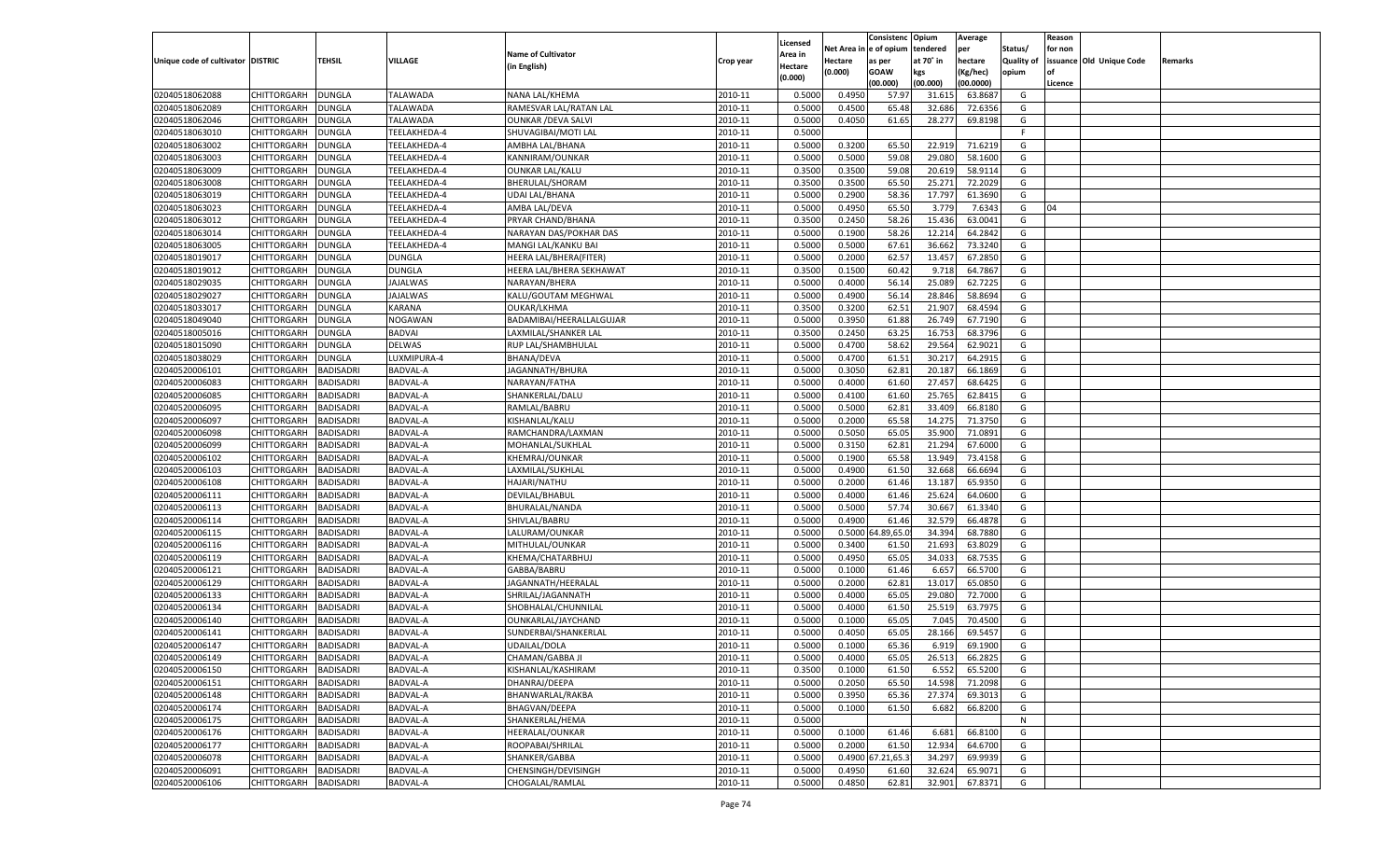|                                   |                    |                  |                 |                            |           |          |          | Consistenc Opium |           | Average   |                   | Reason    |                          |         |
|-----------------------------------|--------------------|------------------|-----------------|----------------------------|-----------|----------|----------|------------------|-----------|-----------|-------------------|-----------|--------------------------|---------|
|                                   |                    |                  |                 |                            |           | Licensed | Net Area | e of opium       | tendered  | per       | Status/           | for non   |                          |         |
| Unique code of cultivator DISTRIC |                    | TEHSIL           | VILLAGE         | <b>Name of Cultivator</b>  | Crop year | Area in  | Hectare  | as per           | at 70° in | hectare   | <b>Quality of</b> |           | issuance Old Unique Code | Remarks |
|                                   |                    |                  |                 | (in English)               |           | Hectare  | (0.000)  | <b>GOAW</b>      | kgs       | (Kg/hec)  | opium             | <b>of</b> |                          |         |
|                                   |                    |                  |                 |                            |           | (0.000)  |          | (00.000)         | (00.000)  | (00.0000) |                   | Licence   |                          |         |
| 02040518062088                    | CHITTORGARH        | <b>DUNGLA</b>    | TALAWADA        | NANA LAL/KHEMA             | 2010-11   | 0.5000   | 0.4950   | 57.97            | 31.615    | 63.8687   | G                 |           |                          |         |
| 02040518062089                    | CHITTORGARH        | <b>DUNGLA</b>    | TALAWADA        | RAMESVAR LAL/RATAN LAL     | 2010-11   | 0.5000   | 0.4500   | 65.48            | 32.686    | 72.6356   | G                 |           |                          |         |
| 02040518062046                    | <b>CHITTORGARH</b> | <b>DUNGLA</b>    | TALAWADA        | <b>OUNKAR / DEVA SALVI</b> | 2010-11   | 0.5000   | 0.4050   | 61.65            | 28.277    | 69.8198   | G                 |           |                          |         |
|                                   |                    |                  |                 |                            |           |          |          |                  |           |           | F.                |           |                          |         |
| 02040518063010                    | CHITTORGARH        | DUNGLA           | TEELAKHEDA-4    | SHUVAGIBAI/MOTI LAL        | 2010-11   | 0.5000   |          |                  |           |           |                   |           |                          |         |
| 02040518063002                    | CHITTORGARH        | <b>DUNGLA</b>    | TEELAKHEDA-4    | AMBHA LAL/BHANA            | 2010-11   | 0.5000   | 0.3200   | 65.50            | 22.919    | 71.6219   | G                 |           |                          |         |
| 02040518063003                    | CHITTORGARH        | DUNGLA           | TEELAKHEDA-4    | KANNIRAM/OUNKAR            | 2010-11   | 0.5000   | 0.5000   | 59.08            | 29.080    | 58.1600   | G                 |           |                          |         |
| 02040518063009                    | CHITTORGARH        | <b>DUNGLA</b>    | TEELAKHEDA-4    | <b>OUNKAR LAL/KALU</b>     | 2010-11   | 0.3500   | 0.3500   | 59.08            | 20.619    | 58.9114   | G                 |           |                          |         |
| 02040518063008                    | CHITTORGARH        | DUNGLA           | TEELAKHEDA-4    | BHERULAL/SHORAM            | 2010-11   | 0.3500   | 0.3500   | 65.50            | 25.271    | 72.2029   | G                 |           |                          |         |
| 02040518063019                    | CHITTORGARH        | <b>DUNGLA</b>    | TEELAKHEDA-4    | UDAI LAL/BHANA             | 2010-11   | 0.5000   | 0.2900   | 58.36            | 17.797    | 61.3690   | G                 |           |                          |         |
| 02040518063023                    | CHITTORGARH        | DUNGLA           | TEELAKHEDA-4    | AMBA LAL/DEVA              | 2010-11   | 0.5000   | 0.4950   | 65.50            | 3.779     | 7.6343    | G                 | 04        |                          |         |
| 02040518063012                    | CHITTORGARH        | <b>DUNGLA</b>    | TEELAKHEDA-4    | PRYAR CHAND/BHANA          | 2010-11   | 0.3500   | 0.2450   | 58.26            | 15.436    | 63.0041   | G                 |           |                          |         |
| 02040518063014                    | CHITTORGARH        | DUNGLA           | TEELAKHEDA-4    | NARAYAN DAS/POKHAR DAS     | 2010-11   | 0.5000   | 0.1900   | 58.26            | 12.214    | 64.2842   | G                 |           |                          |         |
| 02040518063005                    | CHITTORGARH        | <b>DUNGLA</b>    | TEELAKHEDA-4    | MANGI LAL/KANKU BAI        | 2010-11   | 0.5000   | 0.5000   | 67.61            | 36.662    | 73.3240   | G                 |           |                          |         |
| 02040518019017                    | CHITTORGARH        | DUNGLA           | DUNGLA          | HEERA LAL/BHERA(FITER      | 2010-11   | 0.5000   | 0.2000   | 62.57            | 13.45     | 67.2850   | G                 |           |                          |         |
| 02040518019012                    | <b>CHITTORGARH</b> | <b>DUNGLA</b>    | DUNGLA          | HEERA LAL/BHERA SEKHAWAT   | 2010-11   | 0.3500   | 0.1500   | 60.42            | 9.718     | 64.7867   | G                 |           |                          |         |
| 02040518029035                    | CHITTORGARH        | <b>DUNGLA</b>    | <b>JAJALWAS</b> | NARAYAN/BHERA              | 2010-11   | 0.5000   | 0.4000   | 56.14            | 25.089    | 62.7225   | G                 |           |                          |         |
| 02040518029027                    | <b>CHITTORGARH</b> | <b>DUNGLA</b>    | <b>JAJALWAS</b> | KALU/GOUTAM MEGHWAL        | 2010-11   | 0.5000   | 0.4900   | 56.14            | 28.846    | 58.8694   | G                 |           |                          |         |
| 02040518033017                    | CHITTORGARH        | DUNGLA           | KARANA          | OUKAR/LKHMA                | 2010-11   | 0.3500   | 0.3200   | 62.51            | 21.907    | 68.4594   | G                 |           |                          |         |
|                                   |                    |                  |                 |                            |           |          |          |                  |           |           |                   |           |                          |         |
| 02040518049040                    | <b>CHITTORGARH</b> | <b>DUNGLA</b>    | NOGAWAN         | BADAMIBAI/HEERALLALGUJAR   | 2010-11   | 0.5000   | 0.3950   | 61.88            | 26.749    | 67.7190   | G                 |           |                          |         |
| 02040518005016                    | CHITTORGARH        | <b>DUNGLA</b>    | <b>BADVAI</b>   | LAXMILAL/SHANKER LAL       | 2010-11   | 0.3500   | 0.2450   | 63.25            | 16.753    | 68.3796   | G                 |           |                          |         |
| 02040518015090                    | <b>CHITTORGARH</b> | <b>DUNGLA</b>    | <b>DELWAS</b>   | RUP LAL/SHAMBHULAL         | 2010-11   | 0.5000   | 0.4700   | 58.62            | 29.564    | 62.9021   | G                 |           |                          |         |
| 02040518038029                    | CHITTORGARH        | DUNGLA           | LUXMIPURA-4     | <b>BHANA/DEVA</b>          | 2010-11   | 0.5000   | 0.4700   | 61.51            | 30.217    | 64.2915   | G                 |           |                          |         |
| 02040520006101                    | <b>CHITTORGARH</b> | <b>BADISADRI</b> | BADVAL-A        | JAGANNATH/BHURA            | 2010-11   | 0.5000   | 0.3050   | 62.81            | 20.187    | 66.1869   | G                 |           |                          |         |
| 02040520006083                    | CHITTORGARH        | <b>BADISADRI</b> | BADVAL-A        | NARAYAN/FATHA              | 2010-11   | 0.5000   | 0.4000   | 61.60            | 27.457    | 68.6425   | G                 |           |                          |         |
| 02040520006085                    | <b>CHITTORGARH</b> | <b>BADISADRI</b> | BADVAL-A        | SHANKERLAL/DALU            | 2010-11   | 0.5000   | 0.4100   | 61.60            | 25.765    | 62.8415   | G                 |           |                          |         |
| 02040520006095                    | CHITTORGARH        | BADISADRI        | BADVAL-A        | RAMLAL/BABRU               | 2010-11   | 0.5000   | 0.5000   | 62.81            | 33.409    | 66.8180   | G                 |           |                          |         |
| 02040520006097                    | <b>CHITTORGARH</b> | <b>BADISADRI</b> | BADVAL-A        | KISHANLAL/KALU             | 2010-11   | 0.5000   | 0.2000   | 65.58            | 14.275    | 71.3750   | G                 |           |                          |         |
| 02040520006098                    | CHITTORGARH        | <b>BADISADRI</b> | BADVAL-A        | RAMCHANDRA/LAXMAN          | 2010-11   | 0.5000   | 0.5050   | 65.05            | 35.900    | 71.0891   | G                 |           |                          |         |
| 02040520006099                    | <b>CHITTORGARH</b> | <b>BADISADRI</b> | BADVAL-A        | MOHANLAL/SUKHLAL           | 2010-11   | 0.5000   | 0.3150   | 62.81            | 21.294    | 67.6000   | G                 |           |                          |         |
| 02040520006102                    | CHITTORGARH        | BADISADRI        | BADVAL-A        | <b>KHEMRAJ/OUNKAR</b>      | 2010-11   | 0.5000   | 0.1900   | 65.58            | 13.94     | 73.4158   | G                 |           |                          |         |
| 02040520006103                    | CHITTORGARH        | BADISADRI        | BADVAL-A        | LAXMILAL/SUKHLAL           | 2010-11   | 0.5000   | 0.4900   | 61.50            | 32.668    | 66.6694   | G                 |           |                          |         |
| 02040520006108                    | CHITTORGARH        | BADISADRI        | BADVAL-A        | HAJARI/NATHU               | 2010-11   | 0.5000   | 0.2000   | 61.46            | 13.18     | 65.9350   | G                 |           |                          |         |
| 02040520006111                    | CHITTORGARH        | BADISADRI        | BADVAL-A        | DEVILAL/BHABUL             | 2010-11   | 0.5000   | 0.4000   | 61.46            | 25.62     | 64.0600   | G                 |           |                          |         |
| 02040520006113                    | CHITTORGARH        | BADISADRI        | BADVAL-A        | BHURALAL/NANDA             | 2010-11   | 0.5000   | 0.5000   | 57.74            | 30.667    | 61.3340   | G                 |           |                          |         |
| 02040520006114                    | CHITTORGARH        | BADISADRI        | BADVAL-A        | SHIVLAL/BABRU              | 2010-11   | 0.5000   | 0.4900   | 61.46            | 32.579    | 66.4878   | G                 |           |                          |         |
|                                   |                    |                  |                 |                            |           |          |          |                  |           |           |                   |           |                          |         |
| 02040520006115                    | CHITTORGARH        | BADISADRI        | BADVAL-A        | LALURAM/OUNKAR             | 2010-11   | 0.5000   | 0.5000   | 1.89,65.0        | 34.39     | 68.7880   | G                 |           |                          |         |
| 02040520006116                    | CHITTORGARH        | BADISADRI        | BADVAL-A        | MITHULAL/OUNKAR            | 2010-11   | 0.5000   | 0.3400   | 61.50            | 21.693    | 63.8029   | G                 |           |                          |         |
| 02040520006119                    | CHITTORGARH        | BADISADRI        | BADVAL-A        | KHEMA/CHATARBHUJ           | 2010-11   | 0.5000   | 0.4950   | 65.05            | 34.03     | 68.7535   | G                 |           |                          |         |
| 02040520006121                    | CHITTORGARH        | BADISADRI        | BADVAL-A        | GABBA/BABRU                | 2010-11   | 0.5000   | 0.1000   | 61.46            | 6.657     | 66.5700   | G                 |           |                          |         |
| 02040520006129                    | CHITTORGARH        | BADISADRI        | BADVAL-A        | JAGANNATH/HEERALAL         | 2010-11   | 0.5000   | 0.2000   | 62.81            | 13.01     | 65.0850   | G                 |           |                          |         |
| 02040520006133                    | CHITTORGARH        | BADISADRI        | BADVAL-A        | SHRILAL/JAGANNATH          | 2010-11   | 0.5000   | 0.4000   | 65.05            | 29.08     | 72.7000   | G                 |           |                          |         |
| 02040520006134                    | CHITTORGARH        | BADISADRI        | BADVAL-A        | SHOBHALAL/CHUNNILAL        | 2010-11   | 0.5000   | 0.4000   | 61.50            | 25.51     | 63.797    | G                 |           |                          |         |
| 02040520006140                    | CHITTORGARH        | BADISADRI        | BADVAL-A        | OUNKARLAL/JAYCHAND         | 2010-11   | 0.5000   | 0.1000   | 65.05            | 7.045     | 70.4500   | G                 |           |                          |         |
| 02040520006141                    | CHITTORGARH        | BADISADRI        | BADVAL-A        | SUNDERBAI/SHANKERLAI       | 2010-11   | 0.5000   | 0.4050   | 65.05            | 28.166    | 69.5457   | G                 |           |                          |         |
| 02040520006147                    | CHITTORGARH        | BADISADRI        | BADVAL-A        | UDAILAL/DOLA               | 2010-11   | 0.5000   | 0.1000   | 65.36            | 6.919     | 69.1900   | G                 |           |                          |         |
| 02040520006149                    | CHITTORGARH        | BADISADRI        | BADVAL-A        | CHAMAN/GABBA JI            | 2010-11   | 0.5000   | 0.4000   | 65.05            | 26.513    | 66.2825   | G                 |           |                          |         |
| 02040520006150                    | <b>CHITTORGARH</b> | <b>BADISADRI</b> | BADVAL-A        | KISHANLAL/KASHIRAM         | 2010-11   | 0.3500   | 0.1000   | 61.50            | 6.552     | 65.5200   | G                 |           |                          |         |
| 02040520006151                    | CHITTORGARH        | <b>BADISADRI</b> | BADVAL-A        | DHANRAJ/DEEPA              | 2010-11   | 0.5000   | 0.2050   | 65.50            | 14.598    | 71.2098   | G                 |           |                          |         |
| 02040520006148                    | <b>CHITTORGARH</b> | <b>BADISADRI</b> | BADVAL-A        | BHANWARLAL/RAKBA           | 2010-11   | 0.5000   | 0.3950   | 65.36            | 27.374    | 69.3013   | G                 |           |                          |         |
| 02040520006174                    | <b>CHITTORGARH</b> | <b>BADISADRI</b> | BADVAL-A        | <b>BHAGVAN/DEEPA</b>       | 2010-11   | 0.5000   | 0.1000   | 61.50            | 6.682     | 66.8200   | G                 |           |                          |         |
| 02040520006175                    | <b>CHITTORGARH</b> | <b>BADISADRI</b> | BADVAL-A        | SHANKERLAL/HEMA            | 2010-11   | 0.5000   |          |                  |           |           | N                 |           |                          |         |
| 02040520006176                    | <b>CHITTORGARH</b> | <b>BADISADRI</b> | BADVAL-A        | HEERALAL/OUNKAR            | 2010-11   | 0.5000   | 0.1000   | 61.46            | 6.681     | 66.8100   | G                 |           |                          |         |
| 02040520006177                    | <b>CHITTORGARH</b> | <b>BADISADRI</b> | BADVAL-A        | ROOPABAI/SHRILAL           | 2010-11   |          | 0.2000   |                  | 12.934    | 64.6700   | G                 |           |                          |         |
|                                   |                    |                  |                 |                            |           | 0.5000   |          | 61.50            |           |           |                   |           |                          |         |
| 02040520006078                    | <b>CHITTORGARH</b> | <b>BADISADRI</b> | BADVAL-A        | SHANKER/GABBA              | 2010-11   | 0.5000   | 0.4900   | 21,65.3          | 34.297    | 69.9939   | G                 |           |                          |         |
| 02040520006091                    | <b>CHITTORGARH</b> | <b>BADISADRI</b> | BADVAL-A        | CHENSINGH/DEVISINGH        | 2010-11   | 0.5000   | 0.4950   | 61.60            | 32.624    | 65.9071   | G                 |           |                          |         |
| 02040520006106                    | CHITTORGARH        | <b>BADISADRI</b> | BADVAL-A        | CHOGALAL/RAMLAL            | 2010-11   | 0.5000   | 0.4850   | 62.81            | 32.901    | 67.8371   | G                 |           |                          |         |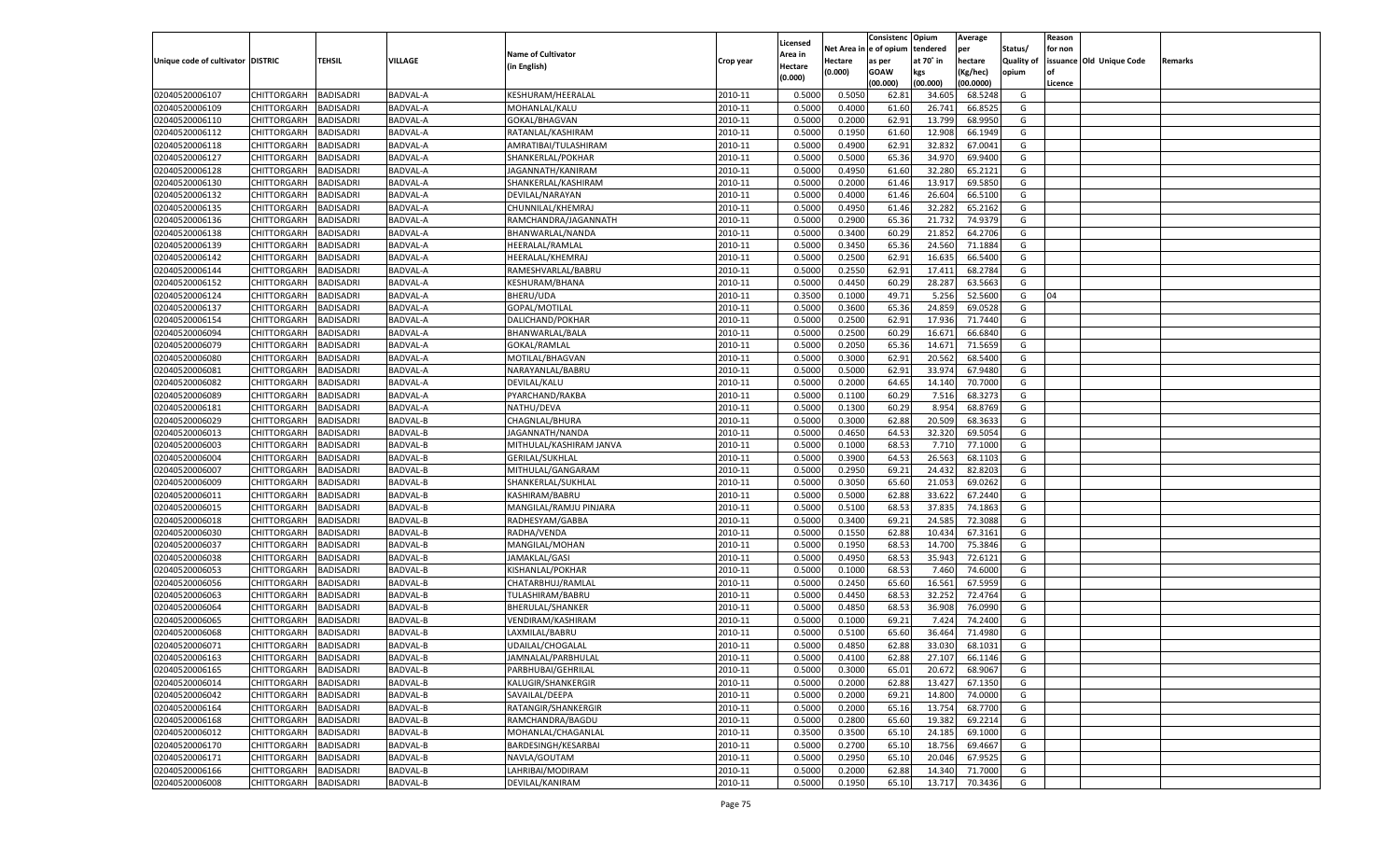|                                   |                       |                  |                 |                           |           |                           |          | Consistenc  | Opium     | Average   |                   | Reason  |                          |         |
|-----------------------------------|-----------------------|------------------|-----------------|---------------------------|-----------|---------------------------|----------|-------------|-----------|-----------|-------------------|---------|--------------------------|---------|
|                                   |                       |                  |                 | <b>Name of Cultivator</b> |           | Licensed                  | Net Area | e of opium  | tendered  | per       | Status/           | for non |                          |         |
| Unique code of cultivator DISTRIC |                       | <b>TEHSIL</b>    | VILLAGE         | (in English)              | Crop year | <b>Area in</b><br>Hectare | Hectare  | as per      | at 70° in | hectare   | <b>Quality of</b> |         | issuance Old Unique Code | Remarks |
|                                   |                       |                  |                 |                           |           | (0.000)                   | (0.000)  | <b>GOAW</b> | kgs       | (Kg/hec)  | opium             |         |                          |         |
|                                   |                       |                  |                 |                           |           |                           |          | (00.000)    | (00.000)  | (00.0000) |                   | Licence |                          |         |
| 02040520006107                    | CHITTORGARH           | <b>BADISADRI</b> | BADVAL-A        | KESHURAM/HEERALAL         | 2010-11   | 0.5000                    | 0.5050   | 62.81       | 34.605    | 68.5248   | G                 |         |                          |         |
| 02040520006109                    | CHITTORGARH           | BADISADRI        | BADVAL-A        | MOHANLAL/KALU             | 2010-11   | 0.5000                    | 0.4000   | 61.60       | 26.741    | 66.8525   | G                 |         |                          |         |
| 02040520006110                    | CHITTORGARH           | BADISADRI        | BADVAL-A        | GOKAL/BHAGVAN             | 2010-11   | 0.5000                    | 0.2000   | 62.91       | 13.799    | 68.9950   | G                 |         |                          |         |
| 02040520006112                    | CHITTORGARH           | BADISADRI        | BADVAL-A        | RATANLAL/KASHIRAM         | 2010-11   | 0.5000                    | 0.1950   | 61.60       | 12.908    | 66.1949   | G                 |         |                          |         |
| 02040520006118                    | CHITTORGARH           | BADISADRI        | BADVAL-A        | AMRATIBAI/TULASHIRAM      | 2010-11   | 0.5000                    | 0.4900   | 62.91       | 32.832    | 67.0041   | G                 |         |                          |         |
| 02040520006127                    | CHITTORGARH           | BADISADRI        | BADVAL-A        | SHANKERLAL/POKHAR         | 2010-11   | 0.5000                    | 0.5000   | 65.36       | 34.97     | 69.9400   | G                 |         |                          |         |
| 02040520006128                    | CHITTORGARH           | BADISADRI        | BADVAL-A        | JAGANNATH/KANIRAM         | 2010-11   | 0.5000                    | 0.4950   | 61.60       | 32.28     | 65.2121   | G                 |         |                          |         |
| 02040520006130                    | CHITTORGARH           | BADISADRI        | BADVAL-A        | SHANKERLAL/KASHIRAM       | 2010-11   | 0.5000                    | 0.2000   | 61.46       | 13.917    | 69.5850   | G                 |         |                          |         |
| 02040520006132                    | CHITTORGARH           | BADISADRI        | BADVAL-A        | DEVILAL/NARAYAN           | 2010-11   | 0.5000                    | 0.4000   | 61.46       | 26.604    | 66.5100   | G                 |         |                          |         |
| 02040520006135                    | CHITTORGARH           | BADISADRI        | BADVAL-A        | CHUNNILAL/KHEMRAJ         | 2010-11   | 0.5000                    | 0.4950   | 61.46       | 32.282    | 65.2162   | G                 |         |                          |         |
| 02040520006136                    | CHITTORGARH           | BADISADRI        | BADVAL-A        | RAMCHANDRA/JAGANNATH      | 2010-11   | 0.5000                    | 0.2900   | 65.36       | 21.732    | 74.937    | G                 |         |                          |         |
| 02040520006138                    | CHITTORGARH           | BADISADRI        | BADVAL-A        | BHANWARLAL/NANDA          | 2010-11   | 0.5000                    | 0.3400   | 60.29       | 21.852    | 64.2706   | G                 |         |                          |         |
| 02040520006139                    | CHITTORGARH           | <b>BADISADRI</b> | BADVAL-A        | HEERALAL/RAMLAL           | 2010-11   | 0.5000                    | 0.3450   | 65.36       | 24.560    | 71.1884   | G                 |         |                          |         |
| 02040520006142                    | CHITTORGARH           | BADISADRI        | BADVAL-A        | HEERALAL/KHEMRAJ          | 2010-11   | 0.5000                    | 0.2500   | 62.91       | 16.635    | 66.5400   | G                 |         |                          |         |
| 02040520006144                    | CHITTORGARH           | BADISADRI        | BADVAL-A        | RAMESHVARLAL/BABRU        | 2010-11   | 0.5000                    | 0.2550   | 62.91       | 17.411    | 68.2784   | G                 |         |                          |         |
| 02040520006152                    | CHITTORGARH           | BADISADRI        | BADVAL-A        | KESHURAM/BHANA            | 2010-11   | 0.5000                    | 0.4450   | 60.29       | 28.287    | 63.5663   | G                 |         |                          |         |
| 02040520006124                    | CHITTORGARH           | BADISADRI        | BADVAL-A        | BHERU/UDA                 | 2010-11   | 0.3500                    | 0.1000   | 49.71       | 5.256     | 52.5600   | G                 | 04      |                          |         |
| 02040520006137                    | CHITTORGARH           | BADISADRI        | BADVAL-A        | GOPAL/MOTILAL             | 2010-11   | 0.5000                    | 0.3600   | 65.36       | 24.859    | 69.0528   | G                 |         |                          |         |
| 02040520006154                    | CHITTORGARH           | BADISADRI        | BADVAL-A        | DALICHAND/POKHAR          | 2010-11   | 0.5000                    | 0.2500   | 62.91       | 17.936    | 71.7440   | G                 |         |                          |         |
| 02040520006094                    | CHITTORGARH           | BADISADRI        | BADVAL-A        | BHANWARLAL/BALA           | 2010-11   | 0.5000                    | 0.2500   | 60.29       | 16.671    | 66.6840   | G                 |         |                          |         |
| 02040520006079                    | CHITTORGARH           | BADISADRI        | BADVAL-A        | GOKAL/RAMLAL              | 2010-11   | 0.5000                    | 0.2050   | 65.36       | 14.671    | 71.5659   | G                 |         |                          |         |
| 02040520006080                    | CHITTORGARH           | BADISADRI        | <b>BADVAL-A</b> | MOTILAL/BHAGVAN           | 2010-11   | 0.5000                    | 0.3000   | 62.91       | 20.562    | 68.5400   | G                 |         |                          |         |
| 02040520006081                    | CHITTORGARH           | <b>BADISADRI</b> | BADVAL-A        | NARAYANLAL/BABRU          | 2010-11   | 0.5000                    | 0.5000   | 62.91       | 33.974    | 67.9480   | G                 |         |                          |         |
| 02040520006082                    | CHITTORGARH           | BADISADRI        | BADVAL-A        | DEVILAL/KALU              | 2010-11   | 0.5000                    | 0.2000   | 64.65       | 14.140    | 70.7000   | G                 |         |                          |         |
| 02040520006089                    | CHITTORGARH           | BADISADRI        | BADVAL-A        | PYARCHAND/RAKBA           | 2010-11   | 0.5000                    | 0.1100   | 60.29       | 7.516     | 68.3273   | G                 |         |                          |         |
| 02040520006181                    | CHITTORGARH           | BADISADRI        | <b>BADVAL-A</b> | NATHU/DEVA                | 2010-11   | 0.5000                    | 0.1300   | 60.29       | 8.954     | 68.8769   | G                 |         |                          |         |
| 02040520006029                    | CHITTORGARH           | <b>BADISADRI</b> | BADVAL-B        | CHAGNLAL/BHURA            | 2010-11   | 0.5000                    | 0.3000   | 62.88       | 20.509    | 68.3633   | G                 |         |                          |         |
| 02040520006013                    | CHITTORGARH           | BADISADRI        | BADVAL-B        | JAGANNATH/NANDA           | 2010-11   | 0.5000                    | 0.4650   | 64.53       | 32.320    | 69.5054   | G                 |         |                          |         |
| 02040520006003                    | CHITTORGARH           | BADISADRI        | BADVAL-B        | MITHULAL/KASHIRAM JANVA   | 2010-11   | 0.5000                    | 0.1000   | 68.53       | 7.710     | 77.1000   | G                 |         |                          |         |
| 02040520006004                    | CHITTORGARH           | BADISADRI        | BADVAL-B        | <b>GERILAL/SUKHLAL</b>    | 2010-11   | 0.5000                    | 0.3900   | 64.53       | 26.563    | 68.1103   | G                 |         |                          |         |
| 02040520006007                    |                       | <b>BADISADRI</b> | BADVAL-B        |                           | 2010-11   | 0.5000                    | 0.2950   | 69.21       | 24.432    | 82.820    | G                 |         |                          |         |
|                                   | CHITTORGARH           |                  |                 | MITHULAL/GANGARAM         |           |                           |          |             |           |           |                   |         |                          |         |
| 02040520006009                    | CHITTORGARH           | BADISADRI        | <b>BADVAL-B</b> | SHANKERLAL/SUKHLAL        | 2010-11   | 0.5000                    | 0.3050   | 65.60       | 21.053    | 69.0262   | G                 |         |                          |         |
| 02040520006011                    | CHITTORGARH           | BADISADRI        | BADVAL-B        | KASHIRAM/BABRU            | 2010-11   | 0.5000                    | 0.5000   | 62.88       | 33.62     | 67.2440   | G                 |         |                          |         |
| 02040520006015                    | CHITTORGARH           | BADISADRI        | BADVAL-B        | MANGILAL/RAMJU PINJARA    | 2010-11   | 0.5000                    | 0.5100   | 68.53       | 37.83     | 74.1863   | G                 |         |                          |         |
| 02040520006018                    | CHITTORGARH           | <b>BADISADRI</b> | BADVAL-B        | RADHESYAM/GABBA           | 2010-11   | 0.5000                    | 0.3400   | 69.21       | 24.585    | 72.3088   | G                 |         |                          |         |
| 02040520006030                    | CHITTORGARH           | BADISADRI        | <b>BADVAL-B</b> | RADHA/VENDA               | 2010-11   | 0.5000                    | 0.1550   | 62.88       | 10.434    | 67.3161   | G                 |         |                          |         |
| 02040520006037                    | CHITTORGARH           | <b>BADISADRI</b> | BADVAL-B        | MANGILAL/MOHAN            | 2010-11   | 0.5000                    | 0.1950   | 68.53       | 14.700    | 75.3846   | G                 |         |                          |         |
| 02040520006038                    | CHITTORGARH           | BADISADRI        | BADVAL-B        | JAMAKLAL/GASI             | 2010-11   | 0.5000                    | 0.4950   | 68.53       | 35.94     | 72.6121   | G                 |         |                          |         |
| 02040520006053                    | CHITTORGARH           | <b>BADISADRI</b> | BADVAL-B        | KISHANLAL/POKHAR          | 2010-11   | 0.5000                    | 0.1000   | 68.53       | 7.460     | 74.6000   | G                 |         |                          |         |
| 02040520006056                    | CHITTORGARH           | BADISADRI        | BADVAL-B        | CHATARBHUJ/RAMLAL         | 2010-11   | 0.5000                    | 0.2450   | 65.60       | 16.561    | 67.595    | G                 |         |                          |         |
| 02040520006063                    | CHITTORGARH           | <b>BADISADRI</b> | BADVAL-B        | TULASHIRAM/BABRU          | 2010-11   | 0.5000                    | 0.4450   | 68.53       | 32.252    | 72.4764   | G                 |         |                          |         |
| 02040520006064                    | CHITTORGARH           | BADISADRI        | BADVAL-B        | <b>BHERULAL/SHANKER</b>   | 2010-11   | 0.5000                    | 0.4850   | 68.53       | 36.908    | 76.0990   | G                 |         |                          |         |
| 02040520006065                    | CHITTORGARH           | BADISADRI        | BADVAL-B        | VENDIRAM/KASHIRAM         | 2010-11   | 0.5000                    | 0.1000   | 69.21       | 7.424     | 74.2400   | G                 |         |                          |         |
| 02040520006068                    | CHITTORGARH           | BADISADRI        | <b>BADVAL-B</b> | LAXMILAL/BABRU            | 2010-11   | 0.5000                    | 0.5100   | 65.60       | 36.464    | 71.4980   | G                 |         |                          |         |
| 02040520006071                    | CHITTORGARH           | BADISADRI        | BADVAL-B        | UDAILAL/CHOGALAL          | 2010-11   | 0.5000                    | 0.4850   | 62.88       | 33.030    | 68.1031   | G                 |         |                          |         |
| 02040520006163                    | CHITTORGARH BADISADRI |                  | BADVAL-B        | JAMNALAL/PARBHULAL        | 2010-11   | 0.5000                    | 0.4100   | 62.88       | 27.107    | 66.1146   | G                 |         |                          |         |
| 02040520006165                    | <b>CHITTORGARH</b>    | <b>BADISADRI</b> | BADVAL-B        | PARBHUBAI/GEHRILAL        | 2010-11   | 0.5000                    | 0.3000   | 65.01       | 20.672    | 68.9067   | G                 |         |                          |         |
| 02040520006014                    | CHITTORGARH           | <b>BADISADRI</b> | BADVAL-B        | KALUGIR/SHANKERGIR        | 2010-11   | 0.5000                    | 0.2000   | 62.88       | 13.427    | 67.1350   | G                 |         |                          |         |
| 02040520006042                    | <b>CHITTORGARH</b>    | <b>BADISADRI</b> | BADVAL-B        | SAVAILAL/DEEPA            | 2010-11   | 0.5000                    | 0.2000   | 69.21       | 14.800    | 74.0000   | G                 |         |                          |         |
| 02040520006164                    | <b>CHITTORGARH</b>    | <b>BADISADRI</b> | BADVAL-B        | RATANGIR/SHANKERGIR       | 2010-11   | 0.5000                    | 0.2000   | 65.16       | 13.754    | 68.7700   | G                 |         |                          |         |
| 02040520006168                    | <b>CHITTORGARH</b>    | <b>BADISADRI</b> | BADVAL-B        | RAMCHANDRA/BAGDU          | 2010-11   | 0.5000                    | 0.2800   | 65.60       | 19.382    | 69.2214   | G                 |         |                          |         |
| 02040520006012                    | <b>CHITTORGARH</b>    | <b>BADISADRI</b> | BADVAL-B        | MOHANLAL/CHAGANLAL        | 2010-11   | 0.3500                    | 0.3500   | 65.10       | 24.185    | 69.1000   | G                 |         |                          |         |
| 02040520006170                    | <b>CHITTORGARH</b>    | <b>BADISADRI</b> | BADVAL-B        | BARDESINGH/KESARBAI       | 2010-11   | 0.5000                    | 0.2700   | 65.10       | 18.756    | 69.4667   | G                 |         |                          |         |
| 02040520006171                    | <b>CHITTORGARH</b>    | <b>BADISADRI</b> | BADVAL-B        | NAVLA/GOUTAM              | 2010-11   | 0.5000                    | 0.2950   | 65.10       | 20.046    | 67.9525   | G                 |         |                          |         |
| 02040520006166                    | <b>CHITTORGARH</b>    | <b>BADISADRI</b> | BADVAL-B        | LAHRIBAI/MODIRAM          | 2010-11   | 0.5000                    | 0.2000   | 62.88       | 14.340    | 71.7000   | G                 |         |                          |         |
| 02040520006008                    | <b>CHITTORGARH</b>    | <b>BADISADRI</b> | BADVAL-B        | DEVILAL/KANIRAM           | 2010-11   | 0.5000                    | 0.1950   | 65.10       | 13.717    | 70.3436   | G                 |         |                          |         |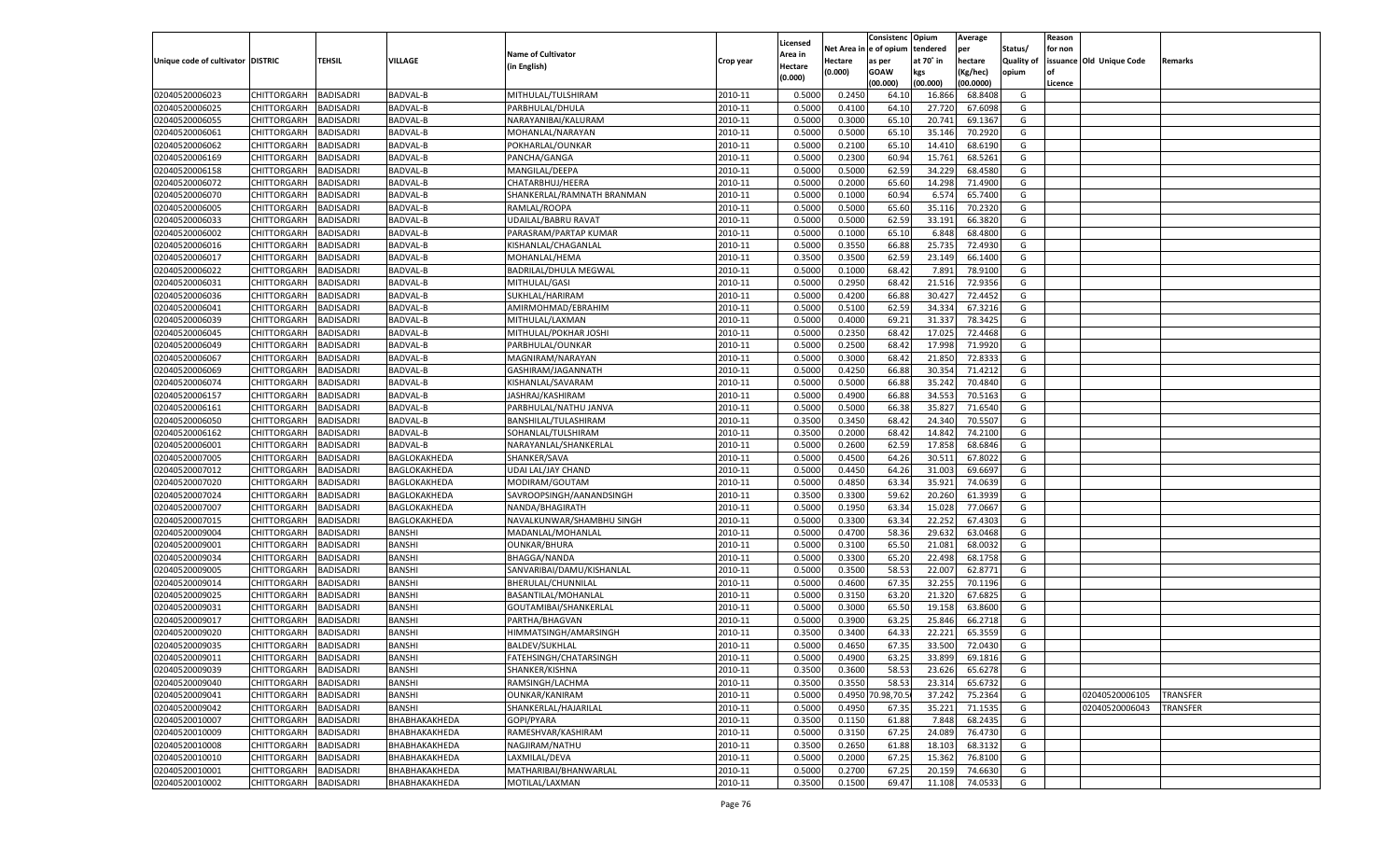|                                   |                       |                               |                      |                            |                    |                           |          | Consistenc        | Opium     | Average   |                   | Reason  |                          |                 |
|-----------------------------------|-----------------------|-------------------------------|----------------------|----------------------------|--------------------|---------------------------|----------|-------------------|-----------|-----------|-------------------|---------|--------------------------|-----------------|
|                                   |                       |                               |                      | <b>Name of Cultivator</b>  |                    | Licensed                  | Net Area | e of opium        | tendered  | per       | Status/           | for non |                          |                 |
| Unique code of cultivator DISTRIC |                       | <b>TEHSIL</b>                 | VILLAGE              | (in English)               | Crop year          | <b>Area in</b><br>Hectare | Hectare  | as per            | at 70° in | hectare   | <b>Quality of</b> |         | issuance Old Unique Code | Remarks         |
|                                   |                       |                               |                      |                            |                    | (0.000)                   | (0.000)  | <b>GOAW</b>       | kgs       | (Kg/hec)  | opium             |         |                          |                 |
|                                   |                       |                               |                      |                            |                    |                           |          | (00.000)          | (00.000)  | (00.0000) |                   | Licence |                          |                 |
| 02040520006023                    | CHITTORGARH           | <b>BADISADRI</b>              | BADVAL-B             | MITHULAL/TULSHIRAM         | 2010-11            | 0.5000                    | 0.2450   | 64.10             | 16.866    | 68.8408   | G                 |         |                          |                 |
| 02040520006025                    | CHITTORGARH           | BADISADRI                     | BADVAL-B             | PARBHULAL/DHULA            | 2010-11            | 0.5000                    | 0.4100   | 64.10             | 27.72     | 67.6098   | G                 |         |                          |                 |
| 02040520006055                    | CHITTORGARH           | BADISADRI                     | BADVAL-B             | NARAYANIBAI/KALURAM        | 2010-11            | 0.5000                    | 0.3000   | 65.10             | 20.741    | 69.1367   | G                 |         |                          |                 |
| 02040520006061                    | CHITTORGARH           | BADISADRI                     | BADVAL-B             | MOHANLAL/NARAYAN           | 2010-11            | 0.5000                    | 0.5000   | 65.10             | 35.146    | 70.2920   | G                 |         |                          |                 |
| 02040520006062                    | CHITTORGARH           | <b>BADISADRI</b>              | BADVAL-B             | POKHARLAL/OUNKAR           | 2010-11            | 0.5000                    | 0.2100   | 65.10             | 14.410    | 68.6190   | G                 |         |                          |                 |
| 02040520006169                    | CHITTORGARH           | BADISADRI                     | BADVAL-B             | PANCHA/GANGA               | 2010-11            | 0.5000                    | 0.2300   | 60.94             | 15.761    | 68.5261   | G                 |         |                          |                 |
| 02040520006158                    | CHITTORGARH           | BADISADRI                     | <b>BADVAL-B</b>      | MANGILAL/DEEPA             | 2010-11            | 0.5000                    | 0.5000   | 62.59             | 34.229    | 68.4580   | G                 |         |                          |                 |
| 02040520006072                    | CHITTORGARH           | BADISADRI                     | BADVAL-B             | CHATARBHUJ/HEERA           | 2010-11            | 0.5000                    | 0.2000   | 65.60             | 14.298    | 71.4900   | G                 |         |                          |                 |
| 02040520006070                    | CHITTORGARH           | BADISADRI                     | BADVAL-B             | SHANKERLAL/RAMNATH BRANMAN | 2010-11            | 0.5000                    | 0.1000   | 60.94             | 6.574     | 65.7400   | G                 |         |                          |                 |
| 02040520006005                    | CHITTORGARH           | BADISADRI                     | BADVAL-B             | RAMLAL/ROOPA               | 2010-11            | 0.5000                    | 0.5000   | 65.60             | 35.116    | 70.2320   | G                 |         |                          |                 |
| 02040520006033                    | CHITTORGARH           | BADISADRI                     | <b>BADVAL-B</b>      | UDAILAL/BABRU RAVAT        | 2010-11            | 0.5000                    | 0.5000   | 62.59             | 33.191    | 66.3820   | G                 |         |                          |                 |
| 02040520006002                    | CHITTORGARH           | BADISADRI                     | BADVAL-B             | PARASRAM/PARTAP KUMAR      | 2010-11            | 0.5000                    | 0.1000   | 65.10             | 6.848     | 68.4800   | G                 |         |                          |                 |
| 02040520006016                    | CHITTORGARH           | <b>BADISADRI</b>              | BADVAL-B             | KISHANLAL/CHAGANLAL        | 2010-11            | 0.5000                    | 0.3550   | 66.88             | 25.735    | 72.4930   | G                 |         |                          |                 |
| 02040520006017                    | CHITTORGARH           | BADISADRI                     | BADVAL-B             | MOHANLAL/HEMA              | 2010-11            | 0.3500                    | 0.3500   | 62.59             | 23.149    | 66.1400   | G                 |         |                          |                 |
| 02040520006022                    | CHITTORGARH           | BADISADRI                     | BADVAL-B             | BADRILAL/DHULA MEGWAL      | 2010-11            | 0.5000                    | 0.1000   | 68.42             | 7.891     | 78.9100   | G                 |         |                          |                 |
| 02040520006031                    | CHITTORGARH           | BADISADRI                     | BADVAL-B             | MITHULAL/GASI              | 2010-11            | 0.5000                    | 0.2950   | 68.42             | 21.516    | 72.9356   | G                 |         |                          |                 |
| 02040520006036                    | CHITTORGARH           | <b>BADISADRI</b>              | BADVAL-B             | SUKHLAL/HARIRAM            | 2010-11            | 0.5000                    | 0.4200   | 66.88             | 30.427    | 72.4452   | G                 |         |                          |                 |
| 02040520006041                    | CHITTORGARH           | BADISADRI                     | <b>BADVAL-B</b>      | AMIRMOHMAD/EBRAHIM         | 2010-11            | 0.5000                    | 0.5100   | 62.59             | 34.334    | 67.3216   | G                 |         |                          |                 |
| 02040520006039                    | CHITTORGARH           | <b>BADISADRI</b>              | BADVAL-B             | MITHULAL/LAXMAN            | 2010-11            | 0.5000                    | 0.4000   | 69.21             | 31.337    | 78.3425   | G                 |         |                          |                 |
| 02040520006045                    | CHITTORGARH           | BADISADRI                     | BADVAL-B             | MITHULAL/POKHAR JOSHI      | 2010-11            | 0.5000                    | 0.2350   | 68.4              | 17.025    | 72.4468   | G                 |         |                          |                 |
| 02040520006049                    | CHITTORGARH           | <b>BADISADRI</b>              | BADVAL-B             | PARBHULAL/OUNKAR           | 2010-11            | 0.5000                    | 0.2500   | 68.42             | 17.998    | 71.9920   | G                 |         |                          |                 |
| 02040520006067                    | CHITTORGARH           | BADISADRI                     | <b>BADVAL-B</b>      | MAGNIRAM/NARAYAN           | 2010-11            | 0.5000                    | 0.3000   | 68.4              | 21.85     | 72.8333   | G                 |         |                          |                 |
| 02040520006069                    | CHITTORGARH           | <b>BADISADRI</b>              | BADVAL-B             | GASHIRAM/JAGANNATH         | 2010-11            | 0.5000                    | 0.4250   | 66.88             | 30.354    | 71.4212   | G                 |         |                          |                 |
| 02040520006074                    | CHITTORGARH           | BADISADRI                     | BADVAL-B             | KISHANLAL/SAVARAM          | 2010-11            | 0.5000                    | 0.5000   | 66.88             | 35.242    | 70.4840   | G                 |         |                          |                 |
| 02040520006157                    | CHITTORGARH           | BADISADRI                     | BADVAL-B             | JASHRAJ/KASHIRAM           | 2010-11            | 0.5000                    | 0.4900   | 66.88             | 34.553    | 70.5163   | G                 |         |                          |                 |
| 02040520006161                    | CHITTORGARH           | BADISADRI                     | <b>BADVAL-B</b>      | PARBHULAL/NATHU JANVA      | 2010-11            | 0.5000                    | 0.5000   | 66.38             | 35.827    | 71.6540   | G                 |         |                          |                 |
| 02040520006050                    | CHITTORGARH           | <b>BADISADRI</b>              | BADVAL-B             | BANSHILAL/TULASHIRAM       | 2010-11            | 0.3500                    | 0.3450   | 68.42             | 24.34     | 70.5507   | G                 |         |                          |                 |
| 02040520006162                    | CHITTORGARH           | BADISADRI                     | BADVAL-B             | SOHANLAL/TULSHIRAM         | 2010-11            | 0.3500                    | 0.2000   | 68.4              | 14.842    | 74.2100   | G                 |         |                          |                 |
| 02040520006001                    | CHITTORGARH           | BADISADRI                     | BADVAL-B             | NARAYANLAL/SHANKERLAL      | 2010-11            | 0.5000                    | 0.2600   | 62.59             | 17.858    | 68.6846   | G                 |         |                          |                 |
| 02040520007005                    | CHITTORGARH           | BADISADRI                     | BAGLOKAKHEDA         | SHANKER/SAVA               | 2010-11            | 0.5000                    | 0.4500   | 64.26             | 30.511    | 67.8022   | G                 |         |                          |                 |
| 02040520007012                    | CHITTORGARH           | <b>BADISADRI</b>              | BAGLOKAKHEDA         | UDAI LAL/JAY CHAND         | 2010-11            | 0.5000                    | 0.4450   | 64.26             | 31.003    | 69.669    | G                 |         |                          |                 |
| 02040520007020                    | CHITTORGARH           | BADISADRI                     | BAGLOKAKHEDA         | MODIRAM/GOUTAM             | 2010-11            | 0.5000                    | 0.4850   | 63.34             | 35.92     | 74.0639   | G                 |         |                          |                 |
| 02040520007024                    | CHITTORGARH           | <b>BADISADRI</b>              | BAGLOKAKHEDA         | SAVROOPSINGH/AANANDSINGH   | 2010-11            | 0.3500                    | 0.3300   | 59.62             | 20.260    | 61.3939   | G                 |         |                          |                 |
| 02040520007007                    | CHITTORGARH           | BADISADRI                     | BAGLOKAKHEDA         | NANDA/BHAGIRATH            | 2010-11            | 0.5000                    | 0.1950   | 63.34             | 15.02     | 77.066    | G                 |         |                          |                 |
| 02040520007015                    |                       | <b>BADISADRI</b>              |                      |                            | 2010-11            | 0.5000                    | 0.3300   | 63.34             | 22.252    | 67.430    | G                 |         |                          |                 |
| 02040520009004                    | CHITTORGARH           |                               | BAGLOKAKHEDA         | NAVALKUNWAR/SHAMBHU SINGH  |                    | 0.5000                    | 0.4700   | 58.36             | 29.63     | 63.0468   | G                 |         |                          |                 |
|                                   | CHITTORGARH           | BADISADRI<br><b>BADISADRI</b> | BANSHI               | MADANLAL/MOHANLAL          | 2010-11<br>2010-11 |                           |          |                   |           | 68.0032   |                   |         |                          |                 |
| 02040520009001                    | CHITTORGARH           |                               | BANSHI               | <b>OUNKAR/BHURA</b>        |                    | 0.5000                    | 0.3100   | 65.50             | 21.081    |           | G                 |         |                          |                 |
| 02040520009034                    | CHITTORGARH           | BADISADRI                     | BANSHI               | <b>BHAGGA/NANDA</b>        | 2010-11            | 0.5000                    | 0.3300   | 65.20             | 22.498    | 68.1758   | G                 |         |                          |                 |
| 02040520009005                    | CHITTORGARH           | <b>BADISADRI</b>              | BANSHI               | SANVARIBAI/DAMU/KISHANLAL  | 2010-11            | 0.5000                    | 0.3500   | 58.53             | 22.007    | 62.8771   | G                 |         |                          |                 |
| 02040520009014                    | CHITTORGARH           | BADISADRI                     | BANSHI               | BHERULAL/CHUNNILAL         | 2010-11            | 0.5000                    | 0.4600   | 67.35             | 32.255    | 70.1196   | G                 |         |                          |                 |
| 02040520009025                    | CHITTORGARH           | <b>BADISADRI</b>              | BANSHI               | BASANTILAL/MOHANLAI        | 2010-11            | 0.5000                    | 0.3150   | 63.20             | 21.320    | 67.6825   | G                 |         |                          |                 |
| 02040520009031                    | CHITTORGARH           | BADISADRI                     | BANSHI               | GOUTAMIBAI/SHANKERLAL      | 2010-11            | 0.5000                    | 0.3000   | 65.50             | 19.15     | 63.8600   | G                 |         |                          |                 |
| 02040520009017                    | CHITTORGARH           | BADISADRI                     | BANSHI               | PARTHA/BHAGVAN             | 2010-11            | 0.5000                    | 0.3900   | 63.25             | 25.84     | 66.2718   | G                 |         |                          |                 |
| 02040520009020                    | CHITTORGARH           | BADISADRI                     | BANSHI               | HIMMATSINGH/AMARSINGH      | 2010-11            | 0.3500                    | 0.3400   | 64.33             | 22.22     | 65.3559   | G                 |         |                          |                 |
| 02040520009035                    | CHITTORGARH           | <b>BADISADRI</b>              | BANSHI               | <b>BALDEV/SUKHLAL</b>      | 2010-11            | 0.5000                    | 0.4650   | 67.35             | 33.500    | 72.0430   | G                 |         |                          |                 |
| 02040520009011                    | CHITTORGARH BADISADRI |                               | <b>BANSHI</b>        | FATEHSINGH/CHATARSINGH     | 2010-11            | 0.5000                    | 0.4900   | 63.25             | 33.899    | 69.1816   | G                 |         |                          |                 |
| 02040520009039                    | <b>CHITTORGARH</b>    | <b>BADISADRI</b>              | <b>BANSHI</b>        | SHANKER/KISHNA             | 2010-11            | 0.3500                    | 0.3600   | 58.53             | 23.626    | 65.6278   | G                 |         |                          |                 |
| 02040520009040                    | CHITTORGARH           | <b>BADISADRI</b>              | <b>BANSHI</b>        | RAMSINGH/LACHMA            | 2010-11            | 0.3500                    | 0.3550   | 58.53             | 23.314    | 65.6732   | G                 |         |                          |                 |
| 02040520009041                    | <b>CHITTORGARH</b>    | <b>BADISADRI</b>              | <b>BANSHI</b>        | <b>OUNKAR/KANIRAM</b>      | 2010-11            | 0.5000                    |          | 0.4950 70.98,70.5 | 37.242    | 75.2364   | G                 |         | 02040520006105           | <b>TRANSFER</b> |
| 02040520009042                    | <b>CHITTORGARH</b>    | <b>BADISADRI</b>              | <b>BANSHI</b>        | SHANKERLAL/HAJARILAL       | 2010-11            | 0.5000                    | 0.4950   | 67.35             | 35.221    | 71.1535   | G                 |         | 02040520006043           | <b>TRANSFER</b> |
| 02040520010007                    | <b>CHITTORGARH</b>    | <b>BADISADRI</b>              | ВНАВНАКАКНЕDА        | GOPI/PYARA                 | 2010-11            | 0.3500                    | 0.1150   | 61.88             | 7.848     | 68.2435   | G                 |         |                          |                 |
| 02040520010009                    | <b>CHITTORGARH</b>    | <b>BADISADRI</b>              | ВНАВНАКАКНЕDА        | RAMESHVAR/KASHIRAM         | 2010-11            | 0.5000                    | 0.3150   | 67.25             | 24.089    | 76.4730   | G                 |         |                          |                 |
| 02040520010008                    | <b>CHITTORGARH</b>    | <b>BADISADRI</b>              | ВНАВНАКАКНЕDА        | NAGJIRAM/NATHU             | 2010-11            | 0.3500                    | 0.2650   | 61.88             | 18.103    | 68.3132   | G                 |         |                          |                 |
| 02040520010010                    | <b>CHITTORGARH</b>    | <b>BADISADRI</b>              | ВНАВНАКАКНЕDА        | LAXMILAL/DEVA              | 2010-11            | 0.5000                    | 0.2000   | 67.25             | 15.362    | 76.8100   | G                 |         |                          |                 |
| 02040520010001                    | <b>CHITTORGARH</b>    | <b>BADISADRI</b>              | ВНАВНАКАКНЕDА        | MATHARIBAI/BHANWARLAL      | 2010-11            | 0.5000                    | 0.2700   | 67.25             | 20.159    | 74.6630   | G                 |         |                          |                 |
| 02040520010002                    | <b>CHITTORGARH</b>    | <b>BADISADRI</b>              | <b>ВНАВНАКАКНЕDA</b> | MOTILAL/LAXMAN             | 2010-11            | 0.3500                    | 0.1500   | 69.47             | 11.108    | 74.0533   | G                 |         |                          |                 |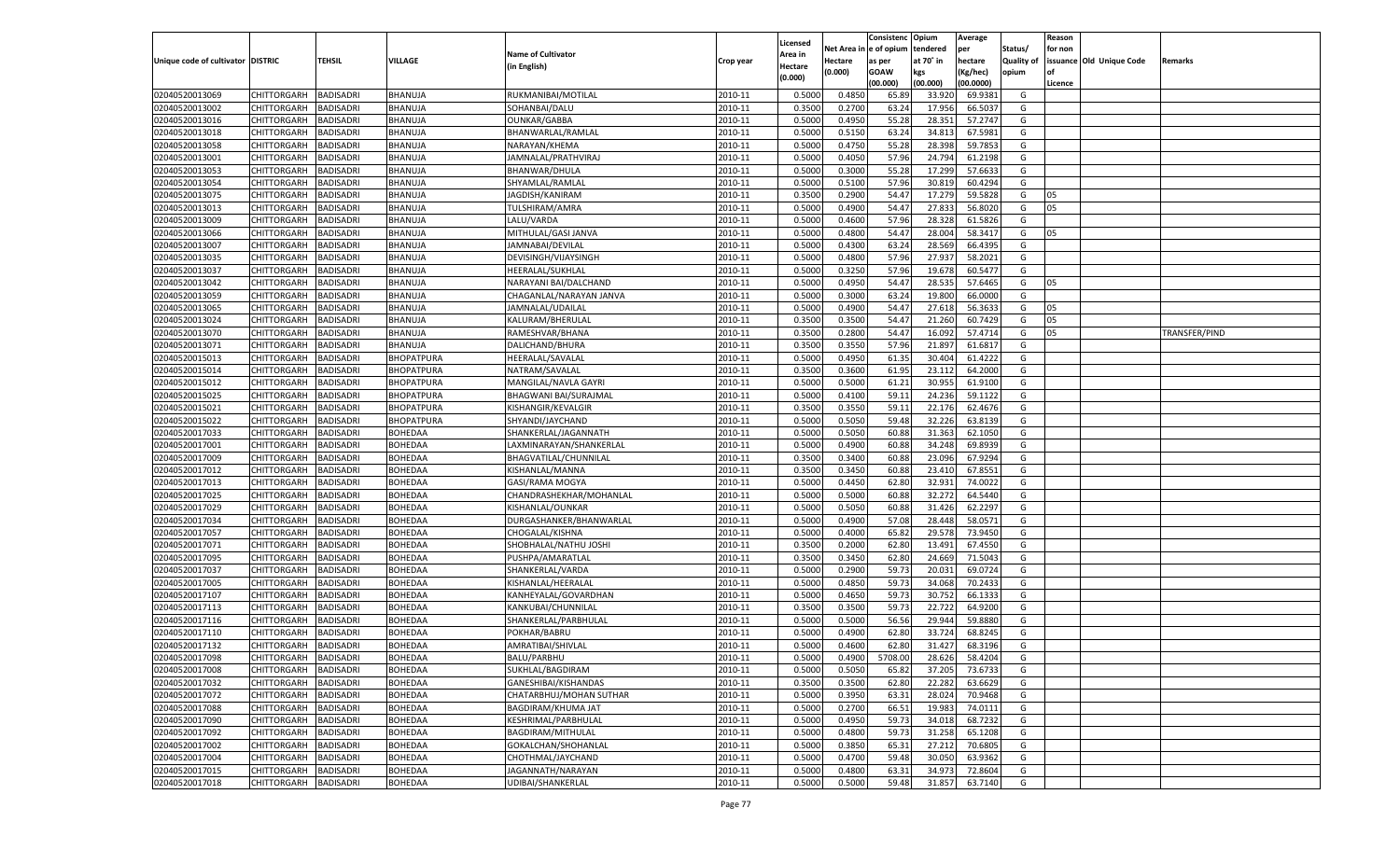|                                   |                       |                  |                   |                           |           |                     |            | Consistenc   | Opium     | Average   |                   | Reason  |                          |               |
|-----------------------------------|-----------------------|------------------|-------------------|---------------------------|-----------|---------------------|------------|--------------|-----------|-----------|-------------------|---------|--------------------------|---------------|
|                                   |                       |                  |                   | <b>Name of Cultivator</b> |           | Licensed<br>Area in | Net Area i | n e of opium | tendered  | per       | Status/           | for non |                          |               |
| Unique code of cultivator DISTRIC |                       | TEHSIL           | VILLAGE           | (in English)              | Crop year | Hectare             | Hectare    | as per       | at 70° in | hectare   | <b>Quality of</b> |         | issuance Old Unique Code | Remarks       |
|                                   |                       |                  |                   |                           |           | (0.000)             | (0.000)    | <b>GOAW</b>  | kgs       | (Kg/hec)  | opium             |         |                          |               |
|                                   |                       |                  |                   |                           |           |                     |            | (00.000)     | (00.000)  | (00.0000) |                   | Licence |                          |               |
| 02040520013069                    | CHITTORGARH           | BADISADRI        | BHANUJA           | RUKMANIBAI/MOTILAL        | 2010-11   | 0.5000              | 0.4850     | 65.89        | 33.920    | 69.9381   | G                 |         |                          |               |
| 02040520013002                    | CHITTORGARH           | BADISADRI        | BHANUJA           | SOHANBAI/DALU             | 2010-11   | 0.3500              | 0.2700     | 63.24        | 17.956    | 66.503    | G                 |         |                          |               |
| 02040520013016                    | CHITTORGARH           | BADISADRI        | BHANUJA           | <b>OUNKAR/GABBA</b>       | 2010-11   | 0.5000              | 0.4950     | 55.28        | 28.35     | 57.2747   | G                 |         |                          |               |
| 02040520013018                    | CHITTORGARH           | BADISADRI        | BHANUJA           | BHANWARLAL/RAMLAL         | 2010-11   | 0.5000              | 0.5150     | 63.24        | 34.813    | 67.5981   | G                 |         |                          |               |
| 02040520013058                    | CHITTORGARH           | BADISADRI        | BHANUJA           | NARAYAN/KHEMA             | 2010-11   | 0.5000              | 0.4750     | 55.28        | 28.398    | 59.7853   | G                 |         |                          |               |
| 02040520013001                    | CHITTORGARH           | BADISADRI        | BHANUJA           | JAMNALAL/PRATHVIRAJ       | 2010-11   | 0.5000              | 0.4050     | 57.96        | 24.794    | 61.2198   | G                 |         |                          |               |
| 02040520013053                    | CHITTORGARH           | BADISADRI        | BHANUJA           | BHANWAR/DHULA             | 2010-11   | 0.5000              | 0.3000     | 55.28        | 17.299    | 57.6633   | G                 |         |                          |               |
| 02040520013054                    | CHITTORGARH           | BADISADRI        | BHANUJA           | SHYAMLAL/RAMLAL           | 2010-11   | 0.5000              | 0.5100     | 57.96        | 30.819    | 60.4294   | G                 |         |                          |               |
| 02040520013075                    | CHITTORGARH           | BADISADRI        | BHANUJA           | JAGDISH/KANIRAM           | 2010-11   | 0.3500              | 0.2900     | 54.47        | 17.279    | 59.5828   | G                 | 05      |                          |               |
| 02040520013013                    | CHITTORGARH           | BADISADRI        | BHANUJA           | <b>TULSHIRAM/AMRA</b>     | 2010-11   | 0.5000              | 0.4900     | 54.47        | 27.833    | 56.8020   | G                 | 05      |                          |               |
| 02040520013009                    | CHITTORGARH           | BADISADRI        | BHANUJA           | LALU/VARDA                | 2010-11   | 0.5000              | 0.4600     | 57.96        | 28.328    | 61.5826   | G                 |         |                          |               |
| 02040520013066                    | CHITTORGARH           | BADISADRI        | BHANUJA           | MITHULAL/GASI JANVA       | 2010-11   | 0.5000              | 0.4800     | 54.47        | 28.004    | 58.3417   | G                 | 05      |                          |               |
| 02040520013007                    | CHITTORGARH           | BADISADRI        | BHANUJA           | JAMNABAI/DEVILAL          | 2010-11   | 0.5000              | 0.4300     | 63.24        | 28.569    | 66.4395   | G                 |         |                          |               |
| 02040520013035                    | CHITTORGARH           | BADISADRI        | BHANUJA           | DEVISINGH/VIJAYSINGH      | 2010-11   | 0.5000              | 0.4800     | 57.96        | 27.937    | 58.2021   | G                 |         |                          |               |
| 02040520013037                    | CHITTORGARH           | BADISADRI        | BHANUJA           | HEERALAL/SUKHLAL          | 2010-11   | 0.5000              | 0.3250     | 57.96        | 19.678    | 60.5477   | G                 |         |                          |               |
| 02040520013042                    | CHITTORGARH           | BADISADRI        | BHANUJA           | NARAYANI BAI/DALCHAND     | 2010-11   | 0.5000              | 0.4950     | 54.47        | 28.535    | 57.6465   | G                 | 05      |                          |               |
| 02040520013059                    | CHITTORGARH           | <b>BADISADRI</b> | BHANUJA           | CHAGANLAL/NARAYAN JANVA   | 2010-11   | 0.5000              | 0.3000     | 63.24        | 19.800    | 66.0000   | G                 |         |                          |               |
| 02040520013065                    | CHITTORGARH           | BADISADRI        | BHANUJA           | JAMNALAL/UDAILAL          | 2010-11   | 0.5000              | 0.4900     | 54.47        | 27.618    | 56.3633   | G                 | 05      |                          |               |
| 02040520013024                    | CHITTORGARH           | BADISADRI        | BHANUJA           | KALURAM/BHERULAL          | 2010-11   | 0.3500              | 0.3500     | 54.47        | 21.260    | 60.7429   | G                 | 05      |                          |               |
| 02040520013070                    | CHITTORGARH           | BADISADRI        | BHANUJA           | RAMESHVAR/BHANA           | 2010-11   | 0.3500              | 0.2800     | 54.47        | 16.092    | 57.4714   | G                 | 05      |                          | TRANSFER/PIND |
| 02040520013071                    | CHITTORGARH           | BADISADRI        | BHANUJA           | DALICHAND/BHURA           | 2010-11   | 0.3500              | 0.3550     | 57.96        | 21.897    | 61.6817   | G                 |         |                          |               |
| 02040520015013                    | CHITTORGARH           | BADISADRI        | <b>BHOPATPURA</b> | HEERALAL/SAVALAL          | 2010-11   | 0.5000              | 0.4950     | 61.35        | 30.404    | 61.4222   | G                 |         |                          |               |
| 02040520015014                    | CHITTORGARH           | BADISADRI        | BHOPATPURA        | NATRAM/SAVALAL            | 2010-11   | 0.3500              | 0.3600     | 61.95        | 23.112    | 64.2000   | G                 |         |                          |               |
| 02040520015012                    | CHITTORGARH           | BADISADRI        | BHOPATPURA        | MANGILAL/NAVLA GAYRI      | 2010-11   | 0.5000              | 0.5000     | 61.21        | 30.955    | 61.9100   | G                 |         |                          |               |
| 02040520015025                    | CHITTORGARH           | <b>BADISADRI</b> | <b>BHOPATPURA</b> | BHAGWANI BAI/SURAJMAL     | 2010-11   | 0.5000              | 0.4100     | 59.11        | 24.236    | 59.1122   | G                 |         |                          |               |
| 02040520015021                    | CHITTORGARH           | BADISADRI        | BHOPATPURA        | KISHANGIR/KEVALGIR        | 2010-11   | 0.3500              | 0.3550     | 59.1         | 22.176    | 62.4676   | G                 |         |                          |               |
| 02040520015022                    | CHITTORGARH           | BADISADRI        | BHOPATPURA        | SHYANDI/JAYCHAND          | 2010-11   | 0.5000              | 0.5050     | 59.48        | 32.226    | 63.8139   | G                 |         |                          |               |
| 02040520017033                    | CHITTORGARH           | BADISADRI        | <b>BOHEDAA</b>    | SHANKERLAL/JAGANNATH      | 2010-11   | 0.5000              | 0.5050     | 60.88        | 31.363    | 62.1050   | G                 |         |                          |               |
| 02040520017001                    | CHITTORGARH           | <b>BADISADRI</b> | BOHEDAA           | LAXMINARAYAN/SHANKERLAL   | 2010-11   | 0.5000              | 0.4900     | 60.88        | 34.248    | 69.8939   | G                 |         |                          |               |
| 02040520017009                    | CHITTORGARH           | BADISADRI        | BOHEDAA           | BHAGVATILAL/CHUNNILAL     | 2010-11   | 0.3500              | 0.3400     | 60.88        | 23.096    | 67.9294   | G                 |         |                          |               |
| 02040520017012                    | CHITTORGARH           | BADISADRI        | <b>BOHEDAA</b>    | KISHANLAL/MANNA           | 2010-11   | 0.3500              | 0.3450     | 60.88        | 23.410    | 67.8551   | G                 |         |                          |               |
| 02040520017013                    | CHITTORGARH           | <b>BADISADRI</b> | <b>BOHEDAA</b>    | GASI/RAMA MOGYA           | 2010-11   | 0.5000              | 0.4450     | 62.80        | 32.931    | 74.0022   | G                 |         |                          |               |
| 02040520017025                    | CHITTORGARH           | <b>BADISADRI</b> | <b>BOHEDAA</b>    | CHANDRASHEKHAR/MOHANLAL   | 2010-11   | 0.5000              | 0.5000     | 60.88        | 32.272    | 64.5440   | G                 |         |                          |               |
| 02040520017029                    | CHITTORGARH           | BADISADRI        | BOHEDAA           | KISHANLAL/OUNKAR          | 2010-11   | 0.5000              | 0.5050     | 60.88        | 31.426    | 62.2297   | G                 |         |                          |               |
| 02040520017034                    | CHITTORGARH           | BADISADRI        | <b>BOHEDAA</b>    | DURGASHANKER/BHANWARLAL   | 2010-11   | 0.5000              | 0.4900     | 57.08        | 28.448    | 58.0571   | G                 |         |                          |               |
| 02040520017057                    | CHITTORGARH           | <b>BADISADRI</b> | <b>BOHEDAA</b>    | CHOGALAL/KISHNA           | 2010-11   | 0.5000              | 0.4000     | 65.82        | 29.578    | 73.9450   | G                 |         |                          |               |
| 02040520017071                    | CHITTORGARH           | <b>BADISADRI</b> | <b>BOHEDAA</b>    | SHOBHALAL/NATHU JOSHI     | 2010-11   | 0.3500              | 0.2000     | 62.80        | 13.491    | 67.4550   | G                 |         |                          |               |
| 02040520017095                    | CHITTORGARH           | BADISADRI        | BOHEDAA           | PUSHPA/AMARATLAL          | 2010-11   | 0.3500              | 0.3450     | 62.80        | 24.669    | 71.5043   | G                 |         |                          |               |
| 02040520017037                    | CHITTORGARH           | BADISADRI        | <b>BOHEDAA</b>    | SHANKERLAL/VARDA          | 2010-11   | 0.5000              | 0.2900     | 59.73        | 20.03     | 69.0724   | G                 |         |                          |               |
| 02040520017005                    | CHITTORGARH           | <b>BADISADRI</b> | <b>BOHEDAA</b>    | KISHANLAL/HEERALAL        | 2010-11   | 0.5000              | 0.4850     | 59.73        | 34.068    | 70.2433   | G                 |         |                          |               |
| 02040520017107                    | CHITTORGARH           | <b>BADISADRI</b> | <b>BOHEDAA</b>    | KANHEYALAL/GOVARDHAN      | 2010-11   | 0.5000              | 0.4650     | 59.73        | 30.752    | 66.1333   | G                 |         |                          |               |
| 02040520017113                    | CHITTORGARH           | BADISADRI        | BOHEDAA           | KANKUBAI/CHUNNILAL        | 2010-11   | 0.3500              | 0.3500     | 59.73        | 22.722    | 64.9200   | G                 |         |                          |               |
| 02040520017116                    | CHITTORGARH           | BADISADRI        | <b>BOHEDAA</b>    | SHANKERLAL/PARBHULAL      | 2010-11   | 0.5000              | 0.5000     | 56.56        | 29.94     | 59.8880   | G                 |         |                          |               |
| 02040520017110                    | CHITTORGARH           | BADISADRI        | <b>BOHEDAA</b>    | POKHAR/BABRU              | 2010-11   | 0.5000              | 0.4900     | 62.80        | 33.724    | 68.8245   | G                 |         |                          |               |
| 02040520017132                    | CHITTORGARH           | <b>BADISADRI</b> | <b>BOHEDAA</b>    | AMRATIBAI/SHIVLAL         | 2010-11   | 0.5000              | 0.4600     | 62.80        | 31.427    | 68.3196   | G                 |         |                          |               |
| 02040520017098                    | CHITTORGARH BADISADRI |                  | <b>BOHEDAA</b>    | <b>BALU/PARBHU</b>        | 2010-11   | 0.5000              | 0.4900     | 5708.00      | 28.626    | 58.4204   | G                 |         |                          |               |
| 02040520017008                    |                       | <b>BADISADRI</b> | <b>BOHEDAA</b>    | SUKHLAL/BAGDIRAM          | 2010-11   | 0.5000              | 0.5050     | 65.82        | 37.205    | 73.6733   | G                 |         |                          |               |
|                                   | <b>CHITTORGARH</b>    |                  |                   |                           | 2010-11   |                     |            |              | 22.282    |           |                   |         |                          |               |
| 02040520017032                    | <b>CHITTORGARH</b>    | <b>BADISADRI</b> | <b>BOHEDAA</b>    | GANESHIBAI/KISHANDAS      |           | 0.3500              | 0.3500     | 62.80        |           | 63.6629   | G                 |         |                          |               |
| 02040520017072                    | CHITTORGARH           | <b>BADISADRI</b> | <b>BOHEDAA</b>    | CHATARBHUJ/MOHAN SUTHAR   | 2010-11   | 0.5000              | 0.3950     | 63.31        | 28.024    | 70.9468   | G                 |         |                          |               |
| 02040520017088                    | <b>CHITTORGARH</b>    | <b>BADISADRI</b> | <b>BOHEDAA</b>    | BAGDIRAM/KHUMA JAT        | 2010-11   | 0.5000              | 0.2700     | 66.51        | 19.983    | 74.0111   | G                 |         |                          |               |
| 02040520017090                    | <b>CHITTORGARH</b>    | <b>BADISADRI</b> | <b>BOHEDAA</b>    | KESHRIMAL/PARBHULAL       | 2010-11   | 0.5000              | 0.4950     | 59.73        | 34.018    | 68.7232   | G                 |         |                          |               |
| 02040520017092                    | <b>CHITTORGARH</b>    | <b>BADISADRI</b> | <b>BOHEDAA</b>    | BAGDIRAM/MITHULAL         | 2010-11   | 0.5000              | 0.4800     | 59.73        | 31.258    | 65.1208   | G                 |         |                          |               |
| 02040520017002                    | CHITTORGARH           | <b>BADISADRI</b> | <b>BOHEDAA</b>    | GOKALCHAN/SHOHANLAL       | 2010-11   | 0.5000              | 0.3850     | 65.31        | 27.212    | 70.6805   | G                 |         |                          |               |
| 02040520017004                    | <b>CHITTORGARH</b>    | <b>BADISADRI</b> | <b>BOHEDAA</b>    | CHOTHMAL/JAYCHAND         | 2010-11   | 0.5000              | 0.4700     | 59.48        | 30.050    | 63.9362   | G                 |         |                          |               |
| 02040520017015                    | <b>CHITTORGARH</b>    | <b>BADISADRI</b> | <b>BOHEDAA</b>    | JAGANNATH/NARAYAN         | 2010-11   | 0.5000              | 0.4800     | 63.31        | 34.973    | 72.8604   | G                 |         |                          |               |
| 02040520017018                    | <b>CHITTORGARH</b>    | <b>BADISADRI</b> | <b>BOHEDAA</b>    | UDIBAI/SHANKERLAL         | 2010-11   | 0.5000              | 0.5000     | 59.48        | 31.857    | 63.7140   | G                 |         |                          |               |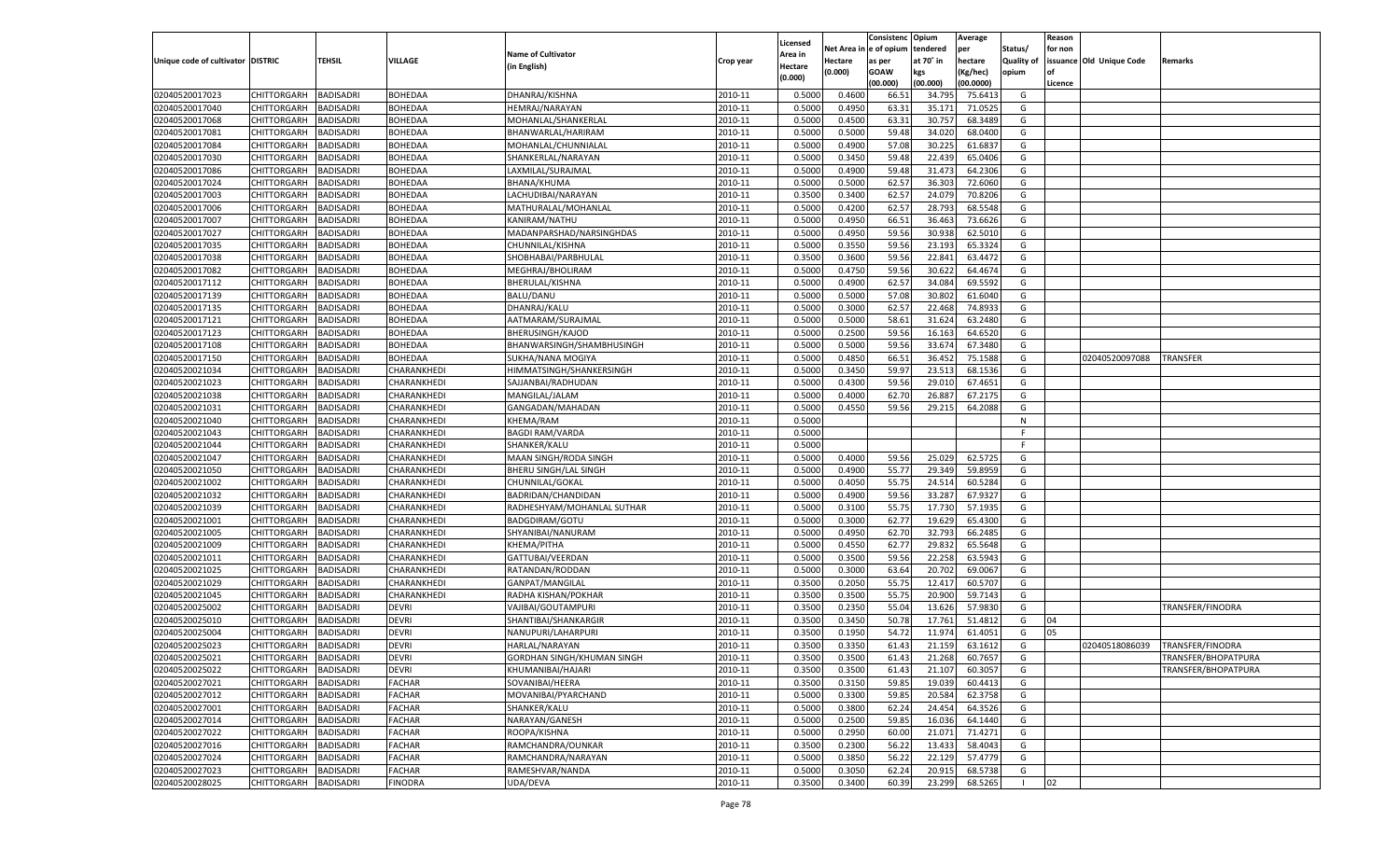|                                   |                    |                  |                |                            |           |          |            | Consistenc Opium |           | Average   |                   | Reason  |                          |                     |
|-----------------------------------|--------------------|------------------|----------------|----------------------------|-----------|----------|------------|------------------|-----------|-----------|-------------------|---------|--------------------------|---------------------|
|                                   |                    |                  |                |                            |           | Licensed | Net Area i | l e of opium     | tendered  | per       | Status/           | for non |                          |                     |
| Unique code of cultivator DISTRIC |                    | TEHSIL           | VILLAGE        | <b>Name of Cultivator</b>  | Crop year | Area in  | Hectare    | as per           | at 70° in | hectare   | <b>Quality of</b> |         | issuance Old Unique Code | Remarks             |
|                                   |                    |                  |                | (in English)               |           | Hectare  | (0.000)    | <b>GOAW</b>      | kgs       | (Kg/hec)  | opium             | nf      |                          |                     |
|                                   |                    |                  |                |                            |           | (0.000)  |            | (00.000)         | (00.000)  | (00.0000) |                   | Licence |                          |                     |
| 02040520017023                    | CHITTORGARH        | <b>BADISADRI</b> | <b>BOHEDAA</b> | DHANRAJ/KISHNA             | 2010-11   | 0.5000   | 0.4600     | 66.51            | 34.79     | 75.6413   | G                 |         |                          |                     |
| 02040520017040                    | CHITTORGARH        | BADISADRI        | <b>BOHEDAA</b> | <b>HEMRAJ/NARAYAN</b>      | 2010-11   | 0.5000   | 0.4950     | 63.31            | 35.171    | 71.0525   | G                 |         |                          |                     |
| 02040520017068                    | CHITTORGARH        | <b>BADISADRI</b> | <b>BOHEDAA</b> | MOHANLAL/SHANKERLAL        | 2010-11   | 0.5000   | 0.4500     | 63.31            | 30.757    | 68.3489   | G                 |         |                          |                     |
| 02040520017081                    | CHITTORGARH        | <b>BADISADRI</b> | <b>BOHEDAA</b> | BHANWARLAL/HARIRAM         | 2010-11   | 0.5000   | 0.5000     | 59.48            | 34.020    | 68.0400   | G                 |         |                          |                     |
| 02040520017084                    | CHITTORGARH        | BADISADRI        | <b>BOHEDAA</b> | MOHANLAL/CHUNNIALAL        | 2010-11   | 0.5000   | 0.4900     | 57.08            | 30.225    | 61.683    | G                 |         |                          |                     |
| 02040520017030                    | CHITTORGARH        | BADISADRI        | BOHEDAA        | SHANKERLAL/NARAYAN         | 2010-11   | 0.5000   | 0.3450     | 59.48            | 22.439    | 65.0406   | G                 |         |                          |                     |
| 02040520017086                    | CHITTORGARH        | <b>BADISADRI</b> | <b>BOHEDAA</b> | LAXMILAL/SURAJMAL          | 2010-11   | 0.5000   | 0.4900     | 59.48            | 31.473    | 64.2306   | G                 |         |                          |                     |
| 02040520017024                    | CHITTORGARH        | <b>BADISADRI</b> | <b>BOHEDAA</b> | BHANA/KHUMA                | 2010-11   | 0.5000   | 0.5000     | 62.57            | 36.303    | 72.6060   | G                 |         |                          |                     |
| 02040520017003                    | CHITTORGARH        | BADISADRI        | <b>BOHEDAA</b> | LACHUDIBAI/NARAYAN         | 2010-11   | 0.3500   | 0.3400     | 62.57            | 24.079    | 70.8206   | G                 |         |                          |                     |
| 02040520017006                    | CHITTORGARH        | BADISADRI        | BOHEDAA        | MATHURALAL/MOHANLAL        | 2010-11   | 0.5000   | 0.4200     | 62.57            | 28.793    | 68.5548   | G                 |         |                          |                     |
| 02040520017007                    | CHITTORGARH        | <b>BADISADRI</b> | <b>BOHEDAA</b> | KANIRAM/NATHU              | 2010-11   | 0.5000   | 0.4950     | 66.51            | 36.463    | 73.6626   | G                 |         |                          |                     |
| 02040520017027                    | CHITTORGARH        | <b>BADISADRI</b> | <b>BOHEDAA</b> | MADANPARSHAD/NARSINGHDAS   | 2010-11   | 0.5000   | 0.4950     | 59.56            | 30.938    | 62.5010   | G                 |         |                          |                     |
| 02040520017035                    | CHITTORGARH        | BADISADRI        | <b>BOHEDAA</b> | CHUNNILAL/KISHNA           | 2010-11   | 0.5000   | 0.3550     | 59.56            | 23.193    | 65.3324   | G                 |         |                          |                     |
| 02040520017038                    | CHITTORGARH        | <b>BADISADRI</b> | <b>BOHEDAA</b> | SHOBHABAI/PARBHULAL        | 2010-11   | 0.3500   | 0.3600     | 59.56            | 22.841    | 63.4472   | G                 |         |                          |                     |
| 02040520017082                    | CHITTORGARH        | <b>BADISADRI</b> | <b>BOHEDAA</b> | MEGHRAJ/BHOLIRAM           | 2010-11   | 0.5000   | 0.4750     | 59.56            | 30.622    | 64.4674   | G                 |         |                          |                     |
| 02040520017112                    | CHITTORGARH        | <b>BADISADRI</b> | <b>BOHEDAA</b> | <b>BHERULAL/KISHNA</b>     | 2010-11   | 0.5000   | 0.4900     | 62.57            | 34.084    | 69.5592   | G                 |         |                          |                     |
| 02040520017139                    | CHITTORGARH        | <b>BADISADRI</b> | <b>BOHEDAA</b> | <b>BALU/DANU</b>           | 2010-11   | 0.5000   | 0.5000     | 57.08            | 30.802    | 61.6040   | G                 |         |                          |                     |
| 02040520017135                    | CHITTORGARH        | <b>BADISADRI</b> | <b>BOHEDAA</b> | DHANRAJ/KALU               | 2010-11   | 0.5000   | 0.3000     | 62.57            | 22.468    | 74.893    | G                 |         |                          |                     |
| 02040520017121                    | CHITTORGARH        | <b>BADISADRI</b> | <b>BOHEDAA</b> | AATMARAM/SURAJMAL          | 2010-11   | 0.5000   | 0.5000     | 58.61            | 31.624    | 63.2480   | G                 |         |                          |                     |
| 02040520017123                    | CHITTORGARH        | <b>BADISADRI</b> | <b>BOHEDAA</b> | <b>BHERUSINGH/KAJOD</b>    | 2010-11   | 0.5000   | 0.2500     | 59.56            | 16.163    | 64.6520   | G                 |         |                          |                     |
| 02040520017108                    | CHITTORGARH        | <b>BADISADRI</b> | <b>BOHEDAA</b> | BHANWARSINGH/SHAMBHUSINGH  | 2010-11   | 0.5000   | 0.5000     | 59.56            | 33.674    | 67.3480   | G                 |         |                          |                     |
| 02040520017150                    | CHITTORGARH        | <b>BADISADRI</b> | BOHEDAA        | SUKHA/NANA MOGIYA          | 2010-11   | 0.5000   | 0.4850     | 66.51            | 36.452    | 75.1588   | G                 |         | 02040520097088           | TRANSFER            |
| 02040520021034                    | CHITTORGARH        | <b>BADISADRI</b> | CHARANKHEDI    | HIMMATSINGH/SHANKERSINGH   | 2010-11   | 0.5000   | 0.3450     | 59.97            | 23.513    | 68.1536   | G                 |         |                          |                     |
| 02040520021023                    | CHITTORGARH        | <b>BADISADRI</b> | CHARANKHEDI    | SAJJANBAI/RADHUDAN         | 2010-11   | 0.5000   | 0.4300     | 59.56            | 29.010    | 67.4651   | G                 |         |                          |                     |
| 02040520021038                    | CHITTORGARH        | <b>BADISADRI</b> | CHARANKHEDI    | MANGILAL/JALAM             | 2010-11   | 0.5000   | 0.4000     | 62.70            | 26.887    | 67.2175   | G                 |         |                          |                     |
| 02040520021031                    | CHITTORGARH        | <b>BADISADRI</b> | CHARANKHEDI    | GANGADAN/MAHADAN           | 2010-11   | 0.5000   | 0.4550     | 59.56            | 29.215    | 64.2088   | G                 |         |                          |                     |
| 02040520021040                    | CHITTORGARH        | <b>BADISADRI</b> | CHARANKHEDI    | KHEMA/RAM                  | 2010-11   | 0.5000   |            |                  |           |           | N                 |         |                          |                     |
| 02040520021043                    | CHITTORGARH        | <b>BADISADRI</b> | CHARANKHEDI    | <b>BAGDI RAM/VARDA</b>     | 2010-11   | 0.5000   |            |                  |           |           | F                 |         |                          |                     |
| 02040520021044                    | CHITTORGARH        | <b>BADISADRI</b> | CHARANKHEDI    | SHANKER/KALU               | 2010-11   | 0.5000   |            |                  |           |           | E                 |         |                          |                     |
| 02040520021047                    | CHITTORGARH        | <b>BADISADRI</b> | CHARANKHEDI    | MAAN SINGH/RODA SINGH      | 2010-11   | 0.5000   | 0.4000     | 59.56            | 25.029    | 62.5725   | G                 |         |                          |                     |
|                                   | CHITTORGARH        |                  |                |                            | 2010-11   |          | 0.4900     |                  |           |           | G                 |         |                          |                     |
| 02040520021050                    |                    | BADISADRI        | CHARANKHEDI    | BHERU SINGH/LAL SINGH      |           | 0.5000   |            | 55.77            | 29.349    | 59.8959   |                   |         |                          |                     |
| 02040520021002                    | CHITTORGARH        | <b>BADISADRI</b> | CHARANKHEDI    | CHUNNILAL/GOKAL            | 2010-11   | 0.5000   | 0.4050     | 55.75            | 24.514    | 60.5284   | G                 |         |                          |                     |
| 02040520021032                    | CHITTORGARH        | <b>BADISADRI</b> | CHARANKHEDI    | BADRIDAN/CHANDIDAN         | 2010-11   | 0.5000   | 0.4900     | 59.56            | 33.287    | 67.9327   | G                 |         |                          |                     |
| 02040520021039                    | CHITTORGARH        | <b>BADISADRI</b> | CHARANKHEDI    | RADHESHYAM/MOHANLAL SUTHAR | 2010-11   | 0.5000   | 0.3100     | 55.75            | 17.730    | 57.1935   | G                 |         |                          |                     |
| 02040520021001                    | CHITTORGARH        | BADISADRI        | CHARANKHEDI    | BADGDIRAM/GOTU             | 2010-11   | 0.5000   | 0.3000     | 62.77            | 19.629    | 65.4300   | G                 |         |                          |                     |
| 02040520021005                    | CHITTORGARH        | BADISADRI        | CHARANKHEDI    | SHYANIBAI/NANURAM          | 2010-11   | 0.5000   | 0.4950     | 62.70            | 32.793    | 66.2485   | G                 |         |                          |                     |
| 02040520021009                    | CHITTORGARH        | <b>BADISADRI</b> | CHARANKHEDI    | KHEMA/PITHA                | 2010-11   | 0.5000   | 0.4550     | 62.77            | 29.832    | 65.5648   | G                 |         |                          |                     |
| 02040520021011                    | CHITTORGARH        | <b>BADISADRI</b> | CHARANKHEDI    | GATTUBAI/VEERDAN           | 2010-11   | 0.5000   | 0.3500     | 59.56            | 22.258    | 63.594    | G                 |         |                          |                     |
| 02040520021025                    | CHITTORGARH        | BADISADRI        | CHARANKHEDI    | RATANDAN/RODDAN            | 2010-11   | 0.5000   | 0.3000     | 63.64            | 20.702    | 69.0067   | G                 |         |                          |                     |
| 02040520021029                    | CHITTORGARH        | BADISADRI        | CHARANKHEDI    | GANPAT/MANGILAL            | 2010-11   | 0.3500   | 0.2050     | 55.75            | 12.417    | 60.5707   | G                 |         |                          |                     |
| 02040520021045                    | CHITTORGARH        | <b>BADISADRI</b> | CHARANKHEDI    | RADHA KISHAN/POKHAR        | 2010-11   | 0.3500   | 0.3500     | 55.75            | 20.900    | 59.7143   | G                 |         |                          |                     |
| 02040520025002                    | CHITTORGARH        | <b>BADISADRI</b> | <b>DEVRI</b>   | VAJIBAI/GOUTAMPURI         | 2010-11   | 0.3500   | 0.2350     | 55.04            | 13.626    | 57.983    | G                 |         |                          | TRANSFER/FINODRA    |
| 02040520025010                    | CHITTORGARH        | <b>BADISADRI</b> | <b>DEVRI</b>   | SHANTIBAI/SHANKARGIF       | 2010-11   | 0.3500   | 0.3450     | 50.78            | 17.761    | 51.4812   | G                 | 04      |                          |                     |
| 02040520025004                    | CHITTORGARH        | BADISADRI        | <b>DEVRI</b>   | NANUPURI/LAHARPURI         | 2010-11   | 0.3500   | 0.1950     | 54.72            | 11.974    | 61.4051   | G                 | 05      |                          |                     |
| 02040520025023                    | CHITTORGARH        | <b>BADISADRI</b> | <b>DEVRI</b>   | <b>HARLAL/NARAYAN</b>      | 2010-11   | 0.3500   | 0.3350     | 61.43            | 21.159    | 63.1612   | G                 |         | 02040518086039           | TRANSFER/FINODRA    |
| 02040520025021                    | CHITTORGARH        | BADISADRI        | <b>DEVRI</b>   | GORDHAN SINGH/KHUMAN SINGH | 2010-11   | 0.3500   | 0.3500     | 61.43            | 21.268    | 60.7657   | G                 |         |                          | TRANSFER/BHOPATPURA |
| 02040520025022                    | CHITTORGARH        | <b>BADISADRI</b> | <b>DEVRI</b>   | KHUMANIBAI/HAJARI          | 2010-11   | 0.3500   | 0.3500     | 61.43            | 21.107    | 60.3057   | G                 |         |                          | TRANSFER/BHOPATPURA |
| 02040520027021                    | CHITTORGARH        | <b>BADISADRI</b> | <b>FACHAR</b>  | SOVANIBAI/HEERA            | 2010-11   | 0.3500   | 0.3150     | 59.85            | 19.039    | 60.4413   | G                 |         |                          |                     |
| 02040520027012                    | CHITTORGARH        | <b>BADISADRI</b> | <b>FACHAR</b>  | MOVANIBAI/PYARCHAND        | 2010-11   | 0.5000   | 0.3300     | 59.85            | 20.584    | 62.3758   | G                 |         |                          |                     |
| 02040520027001                    | CHITTORGARH        | <b>BADISADRI</b> | <b>FACHAR</b>  | SHANKER/KALU               | 2010-11   | 0.5000   | 0.3800     | 62.24            | 24.454    | 64.3526   | G                 |         |                          |                     |
| 02040520027014                    | CHITTORGARH        | <b>BADISADRI</b> | <b>FACHAR</b>  | NARAYAN/GANESH             | 2010-11   | 0.5000   | 0.2500     | 59.85            | 16.036    | 64.1440   | G                 |         |                          |                     |
| 02040520027022                    | CHITTORGARH        | <b>BADISADRI</b> | <b>FACHAR</b>  | ROOPA/KISHNA               | 2010-11   | 0.5000   | 0.2950     | 60.00            | 21.071    | 71.4271   | G                 |         |                          |                     |
| 02040520027016                    | <b>CHITTORGARH</b> | <b>BADISADRI</b> | <b>FACHAR</b>  | RAMCHANDRA/OUNKAR          | 2010-11   | 0.3500   | 0.2300     | 56.22            | 13.433    | 58.4043   | G                 |         |                          |                     |
| 02040520027024                    | CHITTORGARH        | <b>BADISADRI</b> | <b>FACHAR</b>  | RAMCHANDRA/NARAYAN         | 2010-11   | 0.5000   | 0.3850     | 56.22            | 22.129    | 57.4779   | G                 |         |                          |                     |
| 02040520027023                    | CHITTORGARH        | <b>BADISADRI</b> | <b>FACHAR</b>  | RAMESHVAR/NANDA            | 2010-11   | 0.5000   | 0.3050     | 62.24            | 20.915    | 68.5738   | G                 |         |                          |                     |
| 02040520028025                    | <b>CHITTORGARH</b> | <b>BADISADRI</b> | <b>FINODRA</b> | UDA/DEVA                   | 2010-11   | 0.3500   | 0.3400     | 60.39            | 23.299    | 68.5265   | $\blacksquare$    | 02      |                          |                     |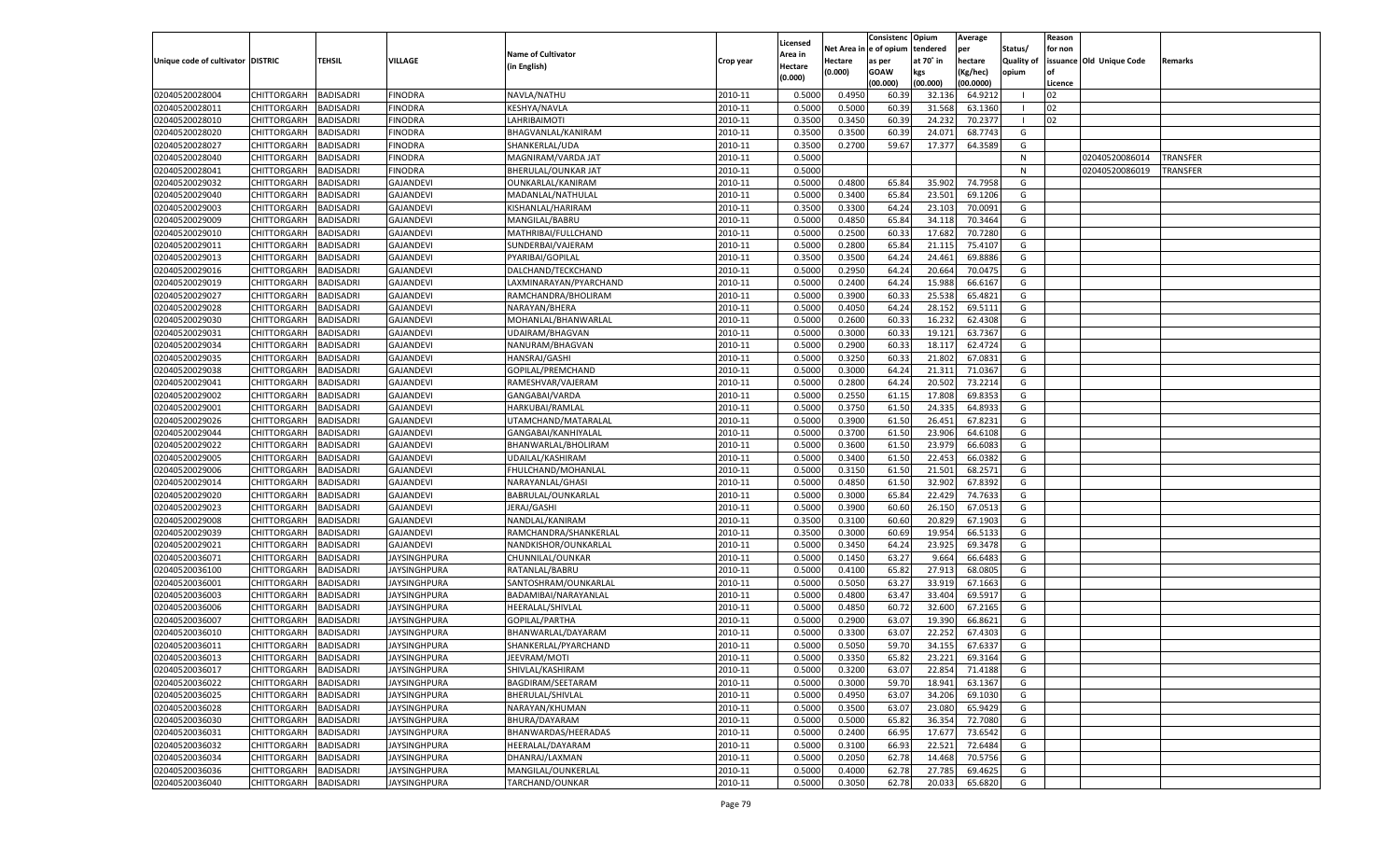|                                   |                                          |                                      |                     |                           |                    |                           |                  | Consistenc  | Opium     | Average   |                   | Reason  |                          |          |
|-----------------------------------|------------------------------------------|--------------------------------------|---------------------|---------------------------|--------------------|---------------------------|------------------|-------------|-----------|-----------|-------------------|---------|--------------------------|----------|
|                                   |                                          |                                      |                     | <b>Name of Cultivator</b> |                    | Licensed                  | Net Area         | e of opium  | tendered  | per       | Status/           | for non |                          |          |
| Unique code of cultivator DISTRIC |                                          | <b>TEHSIL</b>                        | VILLAGE             | (in English)              | Crop year          | <b>Area in</b><br>Hectare | Hectare          | as per      | at 70° in | hectare   | <b>Quality of</b> |         | issuance Old Unique Code | Remarks  |
|                                   |                                          |                                      |                     |                           |                    | (0.000)                   | (0.000)          | <b>GOAW</b> | kgs       | (Kg/hec)  | opium             |         |                          |          |
|                                   |                                          |                                      |                     |                           |                    |                           |                  | (00.000)    | (00.000)  | (00.0000) |                   | Licence |                          |          |
| 02040520028004                    | CHITTORGARH                              | <b>BADISADRI</b>                     | <b>FINODRA</b>      | NAVLA/NATHU               | 2010-11            | 0.5000                    | 0.4950           | 60.39       | 32.136    | 64.921    | - 1               | 02      |                          |          |
| 02040520028011                    | CHITTORGARH                              | BADISADRI                            | FINODRA             | KESHYA/NAVLA              | 2010-11            | 0.5000                    | 0.5000           | 60.39       | 31.568    | 63.1360   |                   | 02      |                          |          |
| 02040520028010                    | CHITTORGARH                              | BADISADRI                            | FINODRA             | LAHRIBAIMOTI              | 2010-11            | 0.3500                    | 0.3450           | 60.39       | 24.23     | 70.2377   | - 1               | 02      |                          |          |
| 02040520028020                    | CHITTORGARH                              | BADISADRI                            | FINODRA             | BHAGVANLAL/KANIRAM        | 2010-11            | 0.3500                    | 0.3500           | 60.39       | 24.07     | 68.7743   | G                 |         |                          |          |
| 02040520028027                    | CHITTORGARH                              | <b>BADISADRI</b>                     | FINODRA             | SHANKERLAL/UDA            | 2010-11            | 0.3500                    | 0.2700           | 59.67       | 17.377    | 64.3589   | G                 |         |                          |          |
| 02040520028040                    | CHITTORGARH                              | BADISADRI                            | FINODRA             | MAGNIRAM/VARDA JAT        | 2010-11            | 0.5000                    |                  |             |           |           | N                 |         | 02040520086014           | TRANSFER |
| 02040520028041                    | CHITTORGARH                              | BADISADRI                            | FINODRA             | BHERULAL/OUNKAR JAT       | 2010-11            | 0.5000                    |                  |             |           |           | N                 |         | 02040520086019           | TRANSFER |
| 02040520029032                    | CHITTORGARH                              | BADISADRI                            | <b>GAJANDEVI</b>    | OUNKARLAL/KANIRAM         | 2010-11            | 0.5000                    | 0.4800           | 65.84       | 35.902    | 74.7958   | G                 |         |                          |          |
| 02040520029040                    | CHITTORGARH                              | BADISADRI                            | <b>GAJANDEVI</b>    | MADANLAL/NATHULAL         | 2010-11            | 0.5000                    | 0.3400           | 65.84       | 23.501    | 69.1206   | G                 |         |                          |          |
| 02040520029003                    | CHITTORGARH                              | BADISADRI                            | <b>GAJANDEVI</b>    | KISHANLAL/HARIRAM         | 2010-11            | 0.3500                    | 0.3300           | 64.24       | 23.103    | 70.0091   | G                 |         |                          |          |
| 02040520029009                    | CHITTORGARH                              | BADISADRI                            | <b>GAJANDEVI</b>    | MANGILAL/BABRU            | 2010-11            | 0.5000                    | 0.4850           | 65.84       | 34.118    | 70.3464   | G                 |         |                          |          |
| 02040520029010                    | CHITTORGARH                              | BADISADRI                            | <b>GAJANDEVI</b>    | MATHRIBAI/FULLCHAND       | 2010-11            | 0.5000                    | 0.2500           | 60.3        | 17.682    | 70.7280   | G                 |         |                          |          |
| 02040520029011                    | CHITTORGARH                              | <b>BADISADRI</b>                     | GAJANDEVI           | SUNDERBAI/VAJERAM         | 2010-11            | 0.5000                    | 0.2800           | 65.84       | 21.115    | 75.4107   | G                 |         |                          |          |
| 02040520029013                    | CHITTORGARH                              | BADISADRI                            | <b>GAJANDEVI</b>    | PYARIBAI/GOPILAL          | 2010-11            | 0.3500                    | 0.3500           | 64.24       | 24.461    | 69.8886   | G                 |         |                          |          |
| 02040520029016                    | CHITTORGARH                              | BADISADRI                            | <b>GAJANDEVI</b>    | DALCHAND/TECKCHAND        | 2010-11            | 0.5000                    | 0.2950           | 64.24       | 20.664    | 70.0475   | G                 |         |                          |          |
| 02040520029019                    | CHITTORGARH                              | BADISADRI                            | <b>GAJANDEVI</b>    | LAXMINARAYAN/PYARCHAND    | 2010-11            | 0.5000                    | 0.2400           | 64.24       | 15.988    | 66.6167   | G                 |         |                          |          |
| 02040520029027                    | CHITTORGARH                              | <b>BADISADRI</b>                     | <b>GAJANDEVI</b>    | RAMCHANDRA/BHOLIRAM       | 2010-11            | 0.5000                    | 0.3900           | 60.33       | 25.538    | 65.4821   | G                 |         |                          |          |
| 02040520029028                    | CHITTORGARH                              | BADISADRI                            | <b>GAJANDEVI</b>    | NARAYAN/BHERA             | 2010-11            | 0.5000                    | 0.4050           | 64.24       | 28.152    | 69.5111   | G                 |         |                          |          |
| 02040520029030                    | CHITTORGARH                              | <b>BADISADRI</b>                     | <b>GAJANDEVI</b>    | MOHANLAL/BHANWARLAL       | 2010-11            | 0.5000                    | 0.2600           | 60.33       | 16.232    | 62.4308   | G                 |         |                          |          |
| 02040520029031                    | CHITTORGARH                              | BADISADRI                            | <b>GAJANDEVI</b>    | <b>UDAIRAM/BHAGVAN</b>    | 2010-11            | 0.5000                    | 0.3000           | 60.33       | 19.121    | 63.7367   | G                 |         |                          |          |
| 02040520029034                    | CHITTORGARH                              | <b>BADISADRI</b>                     | <b>GAJANDEVI</b>    | NANURAM/BHAGVAN           | 2010-11            | 0.5000                    | 0.2900           | 60.33       | 18.117    | 62.4724   | G                 |         |                          |          |
| 02040520029035                    | CHITTORGARH                              | BADISADRI                            | <b>GAJANDEVI</b>    | HANSRAJ/GASHI             | 2010-11            | 0.5000                    | 0.3250           | 60.33       | 21.802    | 67.0831   | G                 |         |                          |          |
| 02040520029038                    | CHITTORGARH                              | <b>BADISADRI</b>                     | <b>GAJANDEVI</b>    | GOPILAL/PREMCHAND         | 2010-11            | 0.5000                    | 0.3000           | 64.24       | 21.311    | 71.0367   | G                 |         |                          |          |
| 02040520029041                    | CHITTORGARH                              | BADISADRI                            | <b>GAJANDEVI</b>    | RAMESHVAR/VAJERAM         | 2010-11            | 0.5000                    | 0.2800           | 64.24       | 20.502    | 73.2214   | G                 |         |                          |          |
| 02040520029002                    | CHITTORGARH                              | BADISADRI                            | <b>GAJANDEVI</b>    | GANGABAI/VARDA            | 2010-11            | 0.5000                    | 0.2550           | 61.15       | 17.808    | 69.8353   | G                 |         |                          |          |
| 02040520029001                    | CHITTORGARH                              | BADISADRI                            | <b>GAJANDEVI</b>    | HARKUBAI/RAMLAL           | 2010-11            | 0.5000                    | 0.3750           | 61.50       | 24.335    | 64.893    | G                 |         |                          |          |
| 02040520029026                    | CHITTORGARH                              | <b>BADISADRI</b>                     | <b>GAJANDEVI</b>    | UTAMCHAND/MATARALAL       | 2010-11            | 0.5000                    | 0.3900           | 61.50       | 26.451    | 67.8231   | G                 |         |                          |          |
| 02040520029044                    | CHITTORGARH                              | BADISADRI                            | <b>GAJANDEVI</b>    | GANGABAI/KANHIYALAL       | 2010-11            | 0.5000                    | 0.3700           | 61.50       | 23.906    | 64.6108   | G                 |         |                          |          |
| 02040520029022                    | CHITTORGARH                              | BADISADRI                            | <b>GAJANDEVI</b>    | BHANWARLAL/BHOLIRAM       | 2010-11            | 0.5000                    | 0.3600           | 61.50       | 23.979    | 66.608    | G                 |         |                          |          |
| 02040520029005                    | CHITTORGARH                              | BADISADRI                            | <b>GAJANDEVI</b>    | UDAILAL/KASHIRAM          | 2010-11            | 0.5000                    | 0.3400           | 61.50       | 22.453    | 66.0382   | G                 |         |                          |          |
| 02040520029006                    | CHITTORGARH                              | <b>BADISADRI</b>                     | <b>GAJANDEVI</b>    | FHULCHAND/MOHANLAL        | 2010-11            | 0.5000                    | 0.3150           | 61.50       | 21.501    | 68.2571   | G                 |         |                          |          |
| 02040520029014                    | CHITTORGARH                              | BADISADRI                            | <b>GAJANDEVI</b>    | NARAYANLAL/GHASI          | 2010-11            | 0.5000                    | 0.4850           | 61.50       | 32.902    | 67.8392   | G                 |         |                          |          |
| 02040520029020                    | CHITTORGARH                              | <b>BADISADRI</b>                     | <b>GAJANDEVI</b>    | BABRULAL/OUNKARLAI        | 2010-11            | 0.5000                    | 0.3000           | 65.84       | 22.429    | 74.7633   | G                 |         |                          |          |
| 02040520029023                    | CHITTORGARH                              | BADISADRI                            | <b>GAJANDEVI</b>    | JERAJ/GASHI               | 2010-11            | 0.5000                    | 0.3900           | 60.60       | 26.15     | 67.0513   | G                 |         |                          |          |
| 02040520029008                    | CHITTORGARH                              | <b>BADISADRI</b>                     | <b>GAJANDEVI</b>    | NANDLAL/KANIRAM           | 2010-11            | 0.3500                    | 0.3100           | 60.60       | 20.829    | 67.1903   | G                 |         |                          |          |
| 02040520029039                    | CHITTORGARH                              | BADISADRI                            | <b>GAJANDEVI</b>    | RAMCHANDRA/SHANKERLAL     | 2010-11            | 0.3500                    | 0.3000           | 60.69       | 19.954    | 66.5133   | G                 |         |                          |          |
| 02040520029021                    | CHITTORGARH                              | <b>BADISADRI</b>                     | <b>GAJANDEVI</b>    | NANDKISHOR/OUNKARLAL      | 2010-11            | 0.5000                    | 0.3450           | 64.24       | 23.925    | 69.3478   | G                 |         |                          |          |
| 02040520036071                    | CHITTORGARH                              | BADISADRI                            | IAYSINGHPURA        | CHUNNILAL/OUNKAR          | 2010-11            | 0.5000                    | 0.1450           | 63.27       | 9.664     | 66.6483   | G                 |         |                          |          |
| 02040520036100                    | CHITTORGARH                              | <b>BADISADRI</b>                     | IAYSINGHPURA        | RATANLAL/BABRU            | 2010-11            | 0.5000                    | 0.4100           | 65.82       | 27.913    | 68.080    | G                 |         |                          |          |
| 02040520036001                    | CHITTORGARH                              | BADISADRI                            | IAYSINGHPURA        | SANTOSHRAM/OUNKARLAL      | 2010-11            | 0.5000                    | 0.5050           | 63.27       | 33.919    | 67.1663   | G                 |         |                          |          |
| 02040520036003                    | CHITTORGARH                              | <b>BADISADRI</b>                     | <b>JAYSINGHPURA</b> | BADAMIBAI/NARAYANLAL      | 2010-11            | 0.5000                    | 0.4800           | 63.47       | 33.404    | 69.591    | G                 |         |                          |          |
| 02040520036006                    | CHITTORGARH                              | BADISADRI                            | IAYSINGHPURA        | HEERALAL/SHIVLAL          | 2010-11            | 0.5000                    | 0.4850           | 60.7        | 32.600    | 67.2165   | G                 |         |                          |          |
| 02040520036007                    | CHITTORGARH                              | BADISADRI                            | IAYSINGHPURA        | GOPILAL/PARTHA            | 2010-11            | 0.5000                    | 0.2900           | 63.07       | 19.39     | 66.8621   | G                 |         |                          |          |
| 02040520036010                    | CHITTORGARH                              | BADISADRI                            | IAYSINGHPURA        | BHANWARLAL/DAYARAM        | 2010-11            | 0.5000                    | 0.3300           | 63.07       | 22.25     | 67.430    | G                 |         |                          |          |
| 02040520036011                    | CHITTORGARH                              | <b>BADISADRI</b>                     | IAYSINGHPURA        | SHANKERLAL/PYARCHAND      | 2010-11            | 0.5000                    | 0.5050           | 59.70       | 34.155    | 67.6337   | G                 |         |                          |          |
| 02040520036013                    | CHITTORGARH BADISADRI                    |                                      | JAYSINGHPURA        | JEEVRAM/MOTI              | 2010-11            | 0.5000                    | 0.3350           | 65.82       | 23.221    | 69.3164   | G                 |         |                          |          |
| 02040520036017                    |                                          | <b>BADISADRI</b>                     |                     | SHIVLAL/KASHIRAM          | 2010-11            | 0.5000                    | 0.3200           | 63.07       | 22.854    | 71.4188   | G                 |         |                          |          |
|                                   | <b>CHITTORGARH</b><br><b>CHITTORGARH</b> |                                      | JAYSINGHPURA        | BAGDIRAM/SEETARAM         |                    |                           |                  |             |           |           |                   |         |                          |          |
| 02040520036022                    |                                          | <b>BADISADRI</b><br><b>BADISADRI</b> | <b>JAYSINGHPURA</b> |                           | 2010-11<br>2010-11 | 0.5000                    | 0.3000<br>0.4950 | 59.70       | 18.941    | 63.1367   | G                 |         |                          |          |
| 02040520036025                    | <b>CHITTORGARH</b>                       |                                      | <b>JAYSINGHPURA</b> | BHERULAL/SHIVLAL          |                    | 0.5000                    |                  | 63.07       | 34.206    | 69.1030   | G                 |         |                          |          |
| 02040520036028                    | <b>CHITTORGARH</b>                       | <b>BADISADRI</b>                     | <b>JAYSINGHPURA</b> | NARAYAN/KHUMAN            | 2010-11            | 0.5000                    | 0.3500           | 63.07       | 23.080    | 65.9429   | G                 |         |                          |          |
| 02040520036030                    | <b>CHITTORGARH</b>                       | <b>BADISADRI</b>                     | <b>JAYSINGHPURA</b> | BHURA/DAYARAM             | 2010-11            | 0.5000                    | 0.5000           | 65.82       | 36.354    | 72.7080   | G                 |         |                          |          |
| 02040520036031                    | <b>CHITTORGARH</b>                       | <b>BADISADRI</b>                     | <b>JAYSINGHPURA</b> | BHANWARDAS/HEERADAS       | 2010-11            | 0.5000                    | 0.2400           | 66.9        | 17.677    | 73.6542   | G                 |         |                          |          |
| 02040520036032                    | <b>CHITTORGARH</b>                       | <b>BADISADRI</b>                     | <b>JAYSINGHPURA</b> | HEERALAL/DAYARAM          | 2010-11            | 0.5000                    | 0.3100           | 66.93       | 22.521    | 72.6484   | G                 |         |                          |          |
| 02040520036034                    | <b>CHITTORGARH</b>                       | <b>BADISADRI</b>                     | JAYSINGHPURA        | DHANRAJ/LAXMAN            | 2010-11            | 0.5000                    | 0.2050           | 62.78       | 14.468    | 70.5756   | G                 |         |                          |          |
| 02040520036036                    | <b>CHITTORGARH</b>                       | <b>BADISADRI</b>                     | <b>JAYSINGHPURA</b> | MANGILAL/OUNKERLAL        | 2010-11            | 0.5000                    | 0.4000           | 62.78       | 27.785    | 69.4625   | G                 |         |                          |          |
| 02040520036040                    | <b>CHITTORGARH</b>                       | <b>BADISADRI</b>                     | <b>JAYSINGHPURA</b> | TARCHAND/OUNKAR           | 2010-11            | 0.5000                    | 0.3050           | 62.78       | 20.033    | 65.6820   | G                 |         |                          |          |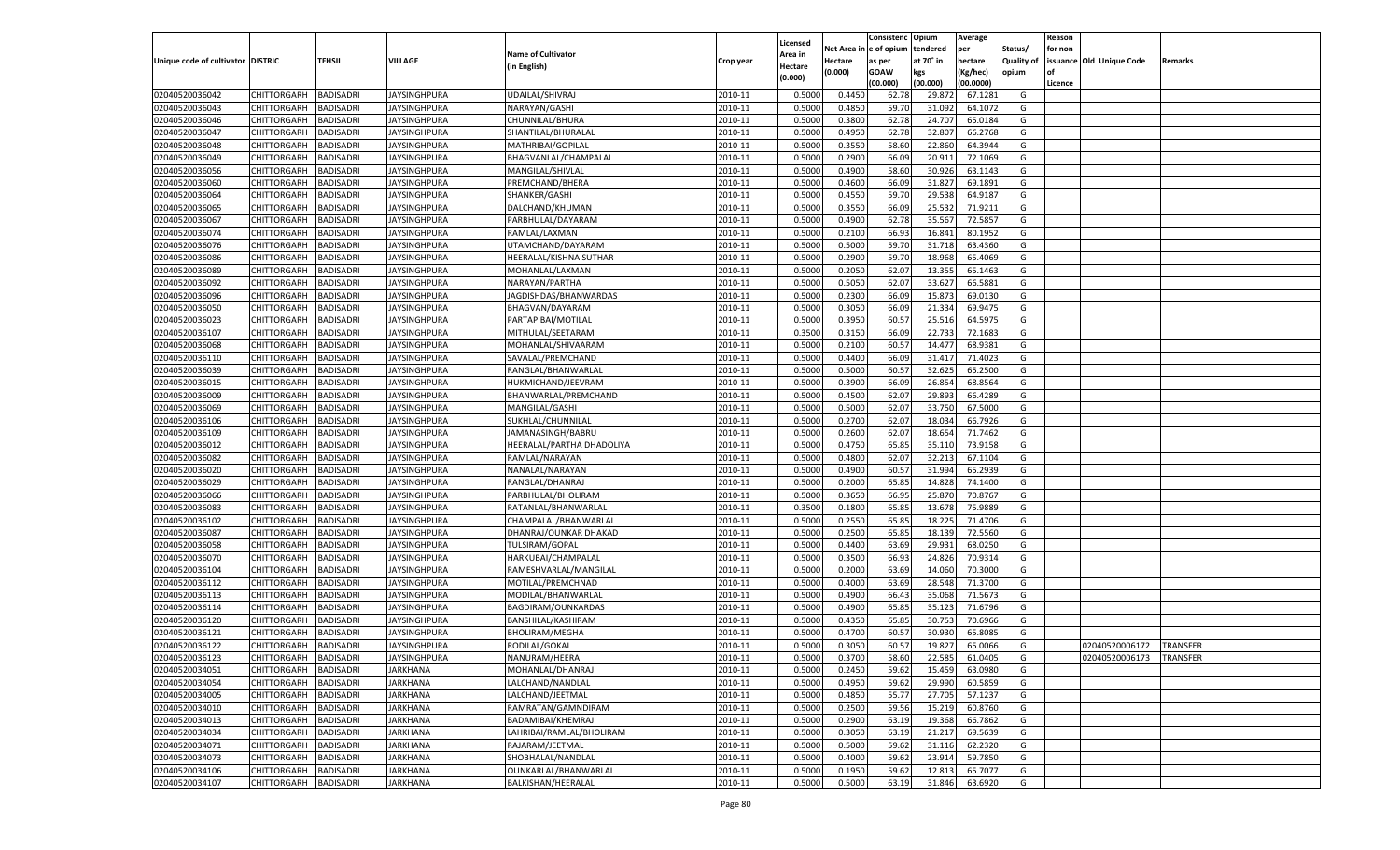|                                   |                    |                  |                     |                           |           |          |          | Consistenc Opium |           | Average   |                   | Reason    |                          |                 |
|-----------------------------------|--------------------|------------------|---------------------|---------------------------|-----------|----------|----------|------------------|-----------|-----------|-------------------|-----------|--------------------------|-----------------|
|                                   |                    |                  |                     |                           |           | Licensed | Net Area | e of opium       | tendered  | per       | Status/           | for non   |                          |                 |
| Unique code of cultivator DISTRIC |                    | TEHSIL           | VILLAGE             | <b>Name of Cultivator</b> | Crop year | Area in  | Hectare  | as per           | at 70˚ in | hectare   | <b>Quality of</b> |           | issuance Old Unique Code | Remarks         |
|                                   |                    |                  |                     | (in English)              |           | Hectare  | (0.000)  | <b>GOAW</b>      | kgs       | (Kg/hec)  | opium             | <b>of</b> |                          |                 |
|                                   |                    |                  |                     |                           |           | (0.000)  |          | (00.000)         | (00.000)  | (00.0000) |                   | Licence   |                          |                 |
| 02040520036042                    | CHITTORGARH        | <b>BADISADRI</b> | JAYSINGHPURA        | UDAILAL/SHIVRAJ           | 2010-11   | 0.5000   | 0.4450   | 62.78            | 29.87     | 67.1281   | G                 |           |                          |                 |
| 02040520036043                    | CHITTORGARH        | BADISADRI        | <b>JAYSINGHPURA</b> | NARAYAN/GASHI             | 2010-11   | 0.5000   | 0.4850   | 59.70            | 31.092    | 64.1072   | G                 |           |                          |                 |
| 02040520036046                    | <b>CHITTORGARH</b> | <b>BADISADRI</b> | IAYSINGHPURA        | CHUNNILAL/BHURA           | 2010-11   | 0.5000   | 0.3800   | 62.78            | 24.707    | 65.0184   | G                 |           |                          |                 |
| 02040520036047                    | CHITTORGARH        | BADISADRI        | IAYSINGHPURA        | SHANTILAL/BHURALAL        | 2010-11   | 0.5000   | 0.4950   | 62.78            | 32.807    | 66.2768   | G                 |           |                          |                 |
| 02040520036048                    | CHITTORGARH        | <b>BADISADRI</b> | IAYSINGHPURA        | MATHRIBAI/GOPILAL         | 2010-11   | 0.5000   | 0.3550   | 58.60            | 22.860    | 64.3944   | G                 |           |                          |                 |
| 02040520036049                    | CHITTORGARH        | BADISADRI        | JAYSINGHPURA        | BHAGVANLAL/CHAMPALAL      | 2010-11   | 0.5000   | 0.2900   | 66.09            | 20.91     | 72.1069   | G                 |           |                          |                 |
| 02040520036056                    | CHITTORGARH        | <b>BADISADRI</b> | IAYSINGHPURA        | MANGILAL/SHIVLAL          | 2010-11   | 0.5000   | 0.4900   | 58.60            | 30.926    | 63.1143   | G                 |           |                          |                 |
| 02040520036060                    | CHITTORGARH        | BADISADRI        | IAYSINGHPURA        | PREMCHAND/BHERA           | 2010-11   | 0.5000   | 0.4600   | 66.09            | 31.827    | 69.1891   | G                 |           |                          |                 |
| 02040520036064                    | CHITTORGARH        | <b>BADISADRI</b> | IAYSINGHPURA        | SHANKER/GASHI             | 2010-11   | 0.5000   | 0.4550   | 59.70            | 29.53     | 64.9187   | G                 |           |                          |                 |
| 02040520036065                    | CHITTORGARH        | BADISADRI        | JAYSINGHPURA        | DALCHAND/KHUMAN           | 2010-11   | 0.5000   | 0.3550   | 66.09            | 25.53     | 71.9211   | G                 |           |                          |                 |
| 02040520036067                    | CHITTORGARH        | <b>BADISADRI</b> | IAYSINGHPURA        | PARBHULAL/DAYARAM         | 2010-11   | 0.5000   | 0.4900   | 62.78            | 35.567    | 72.585    | G                 |           |                          |                 |
| 02040520036074                    | CHITTORGARH        | BADISADRI        | IAYSINGHPURA        | RAMLAL/LAXMAN             | 2010-11   | 0.5000   | 0.2100   | 66.93            | 16.841    | 80.1952   | G                 |           |                          |                 |
| 02040520036076                    | CHITTORGARH        | <b>BADISADRI</b> | IAYSINGHPURA        | UTAMCHAND/DAYARAM         | 2010-11   | 0.5000   | 0.5000   | 59.70            | 31.718    | 63.4360   | G                 |           |                          |                 |
| 02040520036086                    | CHITTORGARH        | BADISADRI        | IAYSINGHPURA        | HEERALAL/KISHNA SUTHAR    | 2010-11   | 0.5000   | 0.2900   | 59.70            | 18.968    | 65.4069   | G                 |           |                          |                 |
| 02040520036089                    | <b>CHITTORGARH</b> | <b>BADISADRI</b> | IAYSINGHPURA        | MOHANLAL/LAXMAN           | 2010-11   | 0.5000   | 0.2050   | 62.07            | 13.355    | 65.1463   | G                 |           |                          |                 |
| 02040520036092                    | CHITTORGARH        | <b>BADISADRI</b> | JAYSINGHPURA        | NARAYAN/PARTHA            | 2010-11   | 0.5000   | 0.5050   | 62.07            | 33.627    | 66.5881   | G                 |           |                          |                 |
| 02040520036096                    | <b>CHITTORGARH</b> | <b>BADISADRI</b> | IAYSINGHPURA        | JAGDISHDAS/BHANWARDAS     | 2010-11   | 0.5000   | 0.2300   | 66.09            | 15.873    | 69.0130   | G                 |           |                          |                 |
| 02040520036050                    | CHITTORGARH        | BADISADRI        | IAYSINGHPURA        | BHAGVAN/DAYARAM           | 2010-11   | 0.5000   | 0.3050   | 66.09            | 21.334    | 69.947    | G                 |           |                          |                 |
| 02040520036023                    | <b>CHITTORGARH</b> | <b>BADISADRI</b> | IAYSINGHPURA        | PARTAPIBAI/MOTILAL        | 2010-11   | 0.5000   | 0.3950   | 60.57            | 25.516    | 64.597    | G                 |           |                          |                 |
| 02040520036107                    | CHITTORGARH        | <b>BADISADRI</b> | JAYSINGHPURA        | MITHULAL/SEETARAM         | 2010-11   | 0.3500   | 0.3150   | 66.09            | 22.733    | 72.1683   | G                 |           |                          |                 |
| 02040520036068                    | <b>CHITTORGARH</b> | <b>BADISADRI</b> | IAYSINGHPURA        | MOHANLAL/SHIVAARAM        | 2010-11   | 0.5000   | 0.2100   | 60.57            | 14.477    | 68.9381   | G                 |           |                          |                 |
| 02040520036110                    | CHITTORGARH        | BADISADRI        | IAYSINGHPURA        | SAVALAL/PREMCHAND         | 2010-11   | 0.5000   | 0.4400   | 66.09            | 31.417    | 71.4023   | G                 |           |                          |                 |
| 02040520036039                    | <b>CHITTORGARH</b> | <b>BADISADRI</b> | IAYSINGHPURA        | RANGLAL/BHANWARLAL        | 2010-11   | 0.5000   | 0.5000   | 60.57            | 32.625    | 65.2500   | G                 |           |                          |                 |
| 02040520036015                    | CHITTORGARH        | <b>BADISADRI</b> | JAYSINGHPURA        | HUKMICHAND/JEEVRAM        | 2010-11   | 0.5000   | 0.3900   | 66.09            | 26.854    | 68.8564   | G                 |           |                          |                 |
| 02040520036009                    | <b>CHITTORGARH</b> | <b>BADISADRI</b> | IAYSINGHPURA        | BHANWARLAL/PREMCHAND      | 2010-11   | 0.5000   | 0.4500   | 62.07            | 29.893    | 66.4289   | G                 |           |                          |                 |
| 02040520036069                    | CHITTORGARH        | BADISADRI        | IAYSINGHPURA        | MANGILAL/GASHI            | 2010-11   | 0.5000   | 0.5000   | 62.07            | 33.750    | 67.5000   | G                 |           |                          |                 |
| 02040520036106                    | <b>CHITTORGARH</b> | <b>BADISADRI</b> | IAYSINGHPURA        | SUKHLAL/CHUNNILAL         | 2010-11   | 0.5000   | 0.2700   | 62.07            | 18.034    | 66.7926   | G                 |           |                          |                 |
| 02040520036109                    | CHITTORGARH        | <b>BADISADRI</b> | IAYSINGHPURA        | JAMANASINGH/BABRU         | 2010-11   | 0.5000   | 0.2600   | 62.07            | 18.65     | 71.7462   | G                 |           |                          |                 |
| 02040520036012                    | <b>CHITTORGARH</b> | <b>BADISADRI</b> | IAYSINGHPURA        | HEERALAL/PARTHA DHADOLIYA | 2010-11   | 0.5000   | 0.4750   | 65.85            | 35.110    | 73.9158   | G                 |           |                          |                 |
| 02040520036082                    | CHITTORGARH        | BADISADRI        | IAYSINGHPURA        | RAMLAL/NARAYAN            | 2010-11   | 0.5000   | 0.4800   | 62.07            | 32.213    | 67.110    | G                 |           |                          |                 |
| 02040520036020                    | CHITTORGARH        | BADISADRI        | IAYSINGHPURA        | NANALAL/NARAYAN           | 2010-11   | 0.5000   | 0.4900   | 60.57            | 31.994    | 65.2939   | G                 |           |                          |                 |
| 02040520036029                    | CHITTORGARH        | BADISADRI        | IAYSINGHPURA        | RANGLAL/DHANRAJ           | 2010-11   | 0.5000   | 0.2000   | 65.85            | 14.82     | 74.1400   | G                 |           |                          |                 |
| 02040520036066                    | CHITTORGARH        | BADISADRI        | IAYSINGHPURA        | PARBHULAL/BHOLIRAM        | 2010-11   | 0.5000   | 0.3650   | 66.95            | 25.87     | 70.8767   | G                 |           |                          |                 |
| 02040520036083                    | CHITTORGARH        | BADISADRI        | JAYSINGHPURA        | RATANLAL/BHANWARLAL       | 2010-11   | 0.3500   | 0.1800   | 65.85            | 13.67     | 75.988    | G                 |           |                          |                 |
| 02040520036102                    | CHITTORGARH        | BADISADRI        | IAYSINGHPURA        | CHAMPALAL/BHANWARLAI      | 2010-11   | 0.5000   | 0.2550   | 65.85            | 18.225    | 71.4706   | G                 |           |                          |                 |
| 02040520036087                    | CHITTORGARH        | BADISADRI        | JAYSINGHPURA        | DHANRAJ/OUNKAR DHAKAD     | 2010-11   | 0.5000   | 0.2500   | 65.85            | 18.13     | 72.5560   | G                 |           |                          |                 |
| 02040520036058                    | CHITTORGARH        | BADISADRI        | IAYSINGHPURA        | <b>TULSIRAM/GOPAL</b>     | 2010-11   | 0.5000   | 0.4400   | 63.69            | 29.93     | 68.0250   | G                 |           |                          |                 |
| 02040520036070                    | CHITTORGARH        | BADISADRI        | JAYSINGHPURA        | HARKUBAI/CHAMPALAL        | 2010-11   | 0.5000   | 0.3500   | 66.93            | 24.826    | 70.9314   | G                 |           |                          |                 |
| 02040520036104                    | CHITTORGARH        | BADISADRI        | <b>JAYSINGHPURA</b> | RAMESHVARLAL/MANGILAL     | 2010-11   | 0.5000   | 0.2000   | 63.69            | 14.060    | 70.3000   | G                 |           |                          |                 |
| 02040520036112                    | CHITTORGARH        | BADISADRI        | JAYSINGHPURA        | MOTILAL/PREMCHNAD         | 2010-11   | 0.5000   | 0.4000   | 63.69            | 28.54     | 71.3700   | G                 |           |                          |                 |
| 02040520036113                    | CHITTORGARH        | BADISADRI        | JAYSINGHPURA        | MODILAL/BHANWARLAL        | 2010-11   | 0.5000   | 0.4900   | 66.43            | 35.06     | 71.567    | G                 |           |                          |                 |
| 02040520036114                    | CHITTORGARH        | BADISADRI        | JAYSINGHPURA        | BAGDIRAM/OUNKARDAS        | 2010-11   | 0.5000   | 0.4900   | 65.85            | 35.12     | 71.6796   | G                 |           |                          |                 |
| 02040520036120                    | CHITTORGARH        | BADISADRI        | IAYSINGHPURA        | BANSHILAL/KASHIRAM        | 2010-11   | 0.5000   | 0.4350   | 65.85            | 30.75     | 70.6966   | G                 |           |                          |                 |
| 02040520036121                    | CHITTORGARH        | BADISADRI        | IAYSINGHPURA        | BHOLIRAM/MEGHA            | 2010-11   | 0.5000   | 0.4700   | 60.5             | 30.93     | 65.8085   | G                 |           |                          |                 |
| 02040520036122                    | CHITTORGARH        | BADISADRI        |                     | RODILAL/GOKAL             | 2010-11   | 0.5000   | 0.3050   | 60.57            | 19.827    | 65.0066   | G                 |           |                          | <b>TRANSFER</b> |
|                                   |                    |                  | JAYSINGHPURA        |                           |           |          |          |                  |           |           | G                 |           | 02040520006172           |                 |
| 02040520036123                    | CHITTORGARH        | <b>BADISADRI</b> | JAYSINGHPURA        | NANURAM/HEERA             | 2010-11   | 0.5000   | 0.3700   | 58.60            | 22.585    | 61.0405   |                   |           | 02040520006173 TRANSFER  |                 |
| 02040520034051                    | <b>CHITTORGARH</b> | <b>BADISADRI</b> | <b>JARKHANA</b>     | MOHANLAL/DHANRAJ          | 2010-11   | 0.5000   | 0.2450   | 59.62            | 15.459    | 63.0980   | G                 |           |                          |                 |
| 02040520034054                    | <b>CHITTORGARH</b> | <b>BADISADRI</b> | <b>JARKHANA</b>     | LALCHAND/NANDLAL          | 2010-11   | 0.5000   | 0.4950   | 59.62            | 29.990    | 60.5859   | G                 |           |                          |                 |
| 02040520034005                    | <b>CHITTORGARH</b> | <b>BADISADRI</b> | <b>JARKHANA</b>     | LALCHAND/JEETMAL          | 2010-11   | 0.5000   | 0.4850   | 55.77            | 27.705    | 57.1237   | G                 |           |                          |                 |
| 02040520034010                    | <b>CHITTORGARH</b> | <b>BADISADRI</b> | JARKHANA            | RAMRATAN/GAMNDIRAM        | 2010-11   | 0.5000   | 0.2500   | 59.56            | 15.219    | 60.8760   | G                 |           |                          |                 |
| 02040520034013                    | <b>CHITTORGARH</b> | <b>BADISADRI</b> | <b>JARKHANA</b>     | BADAMIBAI/KHEMRAJ         | 2010-11   | 0.5000   | 0.2900   | 63.19            | 19.368    | 66.7862   | G                 |           |                          |                 |
| 02040520034034                    | <b>CHITTORGARH</b> | <b>BADISADRI</b> | JARKHANA            | LAHRIBAI/RAMLAL/BHOLIRAM  | 2010-11   | 0.5000   | 0.3050   | 63.19            | 21.217    | 69.5639   | G                 |           |                          |                 |
| 02040520034071                    | <b>CHITTORGARH</b> | <b>BADISADRI</b> | <b>JARKHANA</b>     | RAJARAM/JEETMAL           | 2010-11   | 0.5000   | 0.5000   | 59.62            | 31.116    | 62.2320   | G                 |           |                          |                 |
| 02040520034073                    | <b>CHITTORGARH</b> | <b>BADISADRI</b> | JARKHANA            | SHOBHALAL/NANDLAL         | 2010-11   | 0.5000   | 0.4000   | 59.62            | 23.914    | 59.7850   | G                 |           |                          |                 |
| 02040520034106                    | <b>CHITTORGARH</b> | <b>BADISADRI</b> | <b>JARKHANA</b>     | OUNKARLAL/BHANWARLAL      | 2010-11   | 0.5000   | 0.1950   | 59.62            | 12.813    | 65.7077   | G                 |           |                          |                 |
| 02040520034107                    | CHITTORGARH        | <b>BADISADRI</b> | JARKHANA            | BALKISHAN/HEERALAL        | 2010-11   | 0.5000   | 0.5000   | 63.19            | 31.846    | 63.6920   | G                 |           |                          |                 |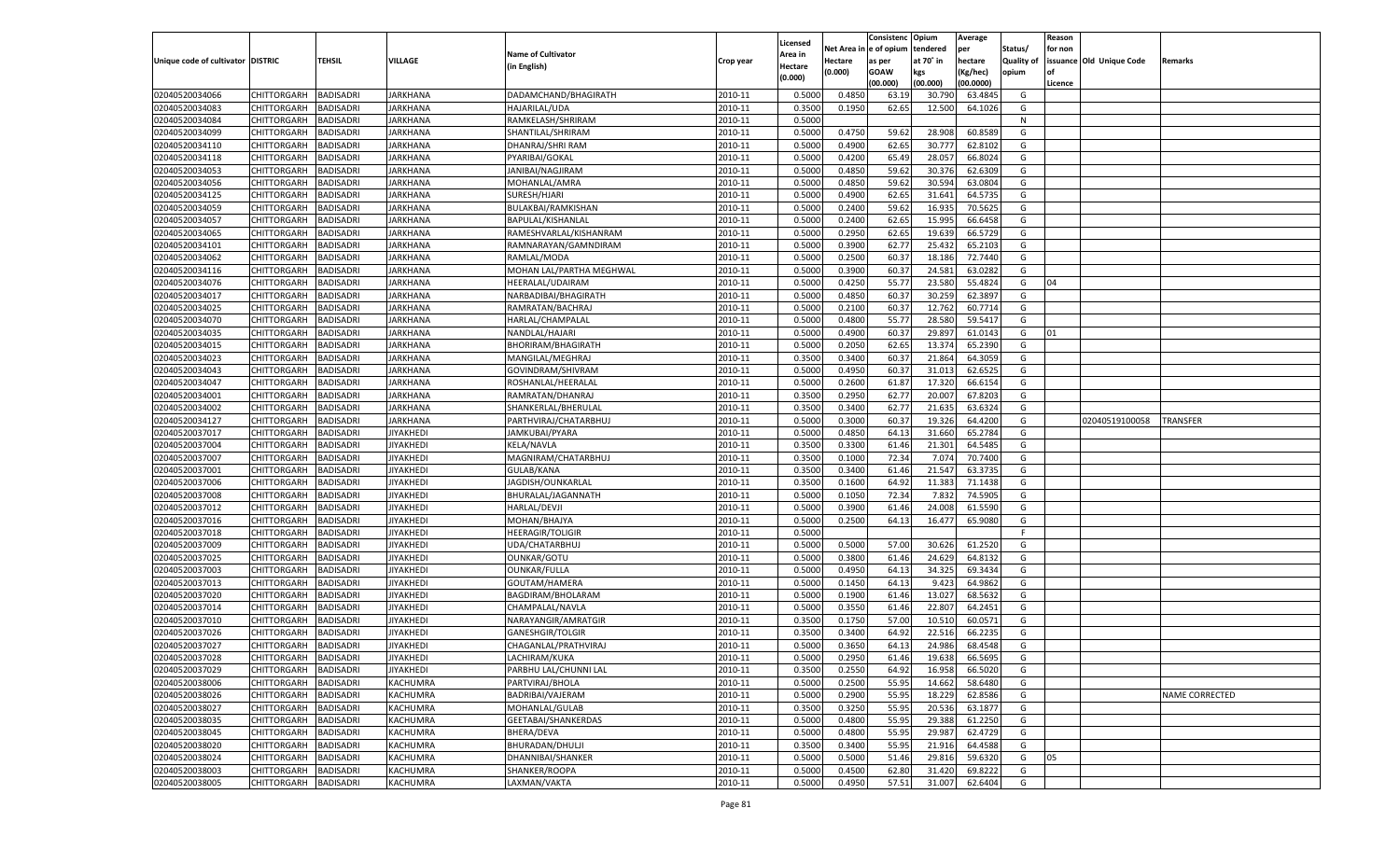| Net Area i<br>n  e of opium<br>tendered<br>per<br>Status/<br>for non<br><b>Name of Cultivator</b><br>Area in<br>Unique code of cultivator DISTRIC<br>TEHSIL<br>VILLAGE<br>at 70° in<br>hectare<br><b>Quality of</b><br>issuance Old Unique Code<br>Hectare<br>Crop year<br>as per<br>Remarks<br>(in English)<br>Hectare<br>(0.000)<br><b>GOAW</b><br>(Kg/hec)<br>opium<br>kgs<br>(0.000)<br>(00.000)<br>(00.000)<br>(00.0000)<br>Licence<br>0.4850<br>02040520034066<br>CHITTORGARH<br>BADISADRI<br><b>JARKHANA</b><br>DADAMCHAND/BHAGIRATH<br>2010-11<br>0.5000<br>63.19<br>30.790<br>63.4845<br>G<br>02040520034083<br>CHITTORGARH<br>BADISADRI<br>JARKHANA<br>HAJARILAL/UDA<br>2010-11<br>0.3500<br>0.1950<br>62.65<br>12.500<br>64.1026<br>G<br>0.5000<br>02040520034084<br>CHITTORGARH<br>BADISADRI<br>JARKHANA<br>RAMKELASH/SHRIRAM<br>2010-11<br>N<br>02040520034099<br>0.4750<br>59.62<br>60.8589<br>CHITTORGARH<br>BADISADRI<br>JARKHANA<br>SHANTILAL/SHRIRAM<br>2010-11<br>0.5000<br>28.908<br>G<br>02040520034110<br>0.5000<br>0.4900<br>62.65<br>CHITTORGARH<br>BADISADRI<br>JARKHANA<br>DHANRAJ/SHRI RAM<br>2010-11<br>30.777<br>62.8102<br>G<br>02040520034118<br>CHITTORGARH<br>BADISADRI<br>JARKHANA<br>PYARIBAI/GOKAL<br>2010-11<br>0.5000<br>0.4200<br>65.49<br>28.057<br>66.8024<br>G<br>0.4850<br>59.62<br>02040520034053<br>CHITTORGARH<br>BADISADRI<br>JARKHANA<br>JANIBAI/NAGJIRAM<br>2010-11<br>0.5000<br>30.376<br>62.6309<br>G<br>02040520034056<br>0.4850<br>59.62<br>CHITTORGARH<br>BADISADRI<br>JARKHANA<br>MOHANLAL/AMRA<br>2010-11<br>0.5000<br>30.594<br>63.0804<br>G<br>02040520034125<br>0.5000<br>0.4900<br>62.65<br>G<br>CHITTORGARH<br>BADISADRI<br>JARKHANA<br>SURESH/HJARI<br>2010-11<br>31.641<br>64.5735<br>02040520034059<br>59.62<br>CHITTORGARH<br>BADISADRI<br>JARKHANA<br>BULAKBAI/RAMKISHAN<br>2010-11<br>0.5000<br>0.2400<br>16.935<br>70.5625<br>G<br>0.2400<br>02040520034057<br>CHITTORGARH<br>BADISADRI<br>JARKHANA<br>BAPULAL/KISHANLAL<br>2010-11<br>0.5000<br>62.65<br>15.995<br>66.6458<br>G<br>02040520034065<br>0.2950<br>62.65<br>CHITTORGARH<br>BADISADRI<br>JARKHANA<br>RAMESHVARLAL/KISHANRAM<br>2010-11<br>0.5000<br>19.639<br>66.5729<br>G<br>02040520034101<br><b>JARKHANA</b><br>2010-11<br>0.5000<br>0.3900<br>62.77<br>25.432<br>65.2103<br>G<br>CHITTORGARH<br>BADISADRI<br>RAMNARAYAN/GAMNDIRAM<br>02040520034062<br>2010-11<br>0.5000<br>0.2500<br>60.3<br>18.186<br>72.7440<br>CHITTORGARH<br>BADISADRI<br>JARKHANA<br>RAMLAL/MODA<br>G<br>02040520034116<br><b>JARKHANA</b><br>2010-11<br>0.5000<br>0.3900<br>60.37<br>24.581<br>63.0282<br>CHITTORGARH<br>BADISADRI<br>MOHAN LAL/PARTHA MEGHWAL<br>G<br>02040520034076<br>0.5000<br>0.4250<br>55.77<br>23.580<br>55.4824<br>CHITTORGARH<br>BADISADRI<br>JARKHANA<br>HEERALAL/UDAIRAM<br>2010-11<br>G<br>04<br>02040520034017<br><b>IARKHANA</b><br>2010-11<br>0.5000<br>0.4850<br>60.37<br>30.259<br>62.3897<br>G<br>CHITTORGARH<br>BADISADRI<br>NARBADIBAI/BHAGIRATH<br>02040520034025<br>2010-11<br>60.37<br>12.762<br>CHITTORGARH<br>BADISADRI<br>JARKHANA<br>RAMRATAN/BACHRAJ<br>0.5000<br>0.2100<br>60.7714<br>G<br>02040520034070<br><b>JARKHANA</b><br>2010-11<br>0.5000<br>0.4800<br>55.77<br>28.580<br>59.5417<br>CHITTORGARH<br>BADISADRI<br>HARLAL/CHAMPALAL<br>G<br>02040520034035<br>0.5000<br>0.4900<br>60.37<br>29.897<br>CHITTORGARH<br>BADISADRI<br>JARKHANA<br>NANDLAL/HAJARI<br>2010-11<br>61.0143<br>G<br>01<br>02040520034015<br><b>IARKHANA</b><br>2010-11<br>0.5000<br>0.2050<br>62.65<br>13.374<br>65.2390<br>G<br>CHITTORGARH<br>BADISADRI<br>BHORIRAM/BHAGIRATH<br>02040520034023<br>2010-11<br>60.37<br>21.864<br>CHITTORGARH<br>BADISADRI<br>JARKHANA<br>MANGILAL/MEGHRAJ<br>0.3500<br>0.3400<br>64.3059<br>G<br>02040520034043<br><b>JARKHANA</b><br>2010-11<br>0.5000<br>0.4950<br>60.37<br>31.013<br>62.6525<br>CHITTORGARH<br>BADISADRI<br>GOVINDRAM/SHIVRAM<br>G<br>02040520034047<br>0.5000<br>0.2600<br>17.320<br>CHITTORGARH<br>BADISADRI<br>JARKHANA<br>ROSHANLAL/HEERALAL<br>2010-11<br>61.87<br>66.6154<br>G<br>02040520034001<br>CHITTORGARH<br><b>IARKHANA</b><br>2010-11<br>0.3500<br>0.2950<br>62.77<br>20.007<br>67.8203<br>G<br>BADISADRI<br>RAMRATAN/DHANRAJ<br>02040520034002<br>2010-11<br>21.635<br>CHITTORGARH<br>BADISADRI<br>JARKHANA<br>SHANKERLAL/BHERULAL<br>0.3500<br>0.3400<br>62.77<br>63.6324<br>G<br>02040520034127<br>2010-11<br>0.5000<br>0.3000<br>60.37<br>19.326<br>64.4200<br>CHITTORGARH<br>BADISADRI<br>JARKHANA<br>PARTHVIRAJ/CHATARBHUJ<br>G<br>02040519100058<br>TRANSFER<br>02040520037017<br>0.5000<br>0.4850<br>65.2784<br>CHITTORGARH<br>BADISADRI<br>JIYAKHEDI<br>JAMKUBAI/PYARA<br>2010-11<br>64.13<br>31.660<br>G<br>02040520037004<br><b>JIYAKHEDI</b><br><b>KELA/NAVLA</b><br>2010-11<br>0.3500<br>0.3300<br>61.46<br>21.301<br>64.5485<br>G<br>CHITTORGARH<br>BADISADRI<br>02040520037007<br>2010-11<br>72.34<br>7.074<br>CHITTORGARH<br>BADISADRI<br>JIYAKHEDI<br>MAGNIRAM/CHATARBHUJ<br>0.3500<br>0.1000<br>70.7400<br>G<br>02040520037001<br>2010-11<br>0.3500<br>0.3400<br>61.46<br>21.547<br>63.3735<br>CHITTORGARH<br>BADISADRI<br><b>JIYAKHEDI</b><br>GULAB/KANA<br>G<br>02040520037006<br>64.92<br>11.383<br>CHITTORGARH<br><b>BADISADRI</b><br><b>JIYAKHEDI</b><br>JAGDISH/OUNKARLAL<br>2010-11<br>0.3500<br>0.1600<br>71.1438<br>G<br>02040520037008<br><b>BADISADRI</b><br>2010-11<br>0.5000<br>72.34<br>74.5905<br>CHITTORGARH<br>JIYAKHEDI<br>BHURALAL/JAGANNATH<br>0.1050<br>7.832<br>G<br>02040520037012<br>2010-11<br>0.5000<br>24.008<br>61.5590<br>CHITTORGARH<br>BADISADRI<br><b>JIYAKHEDI</b><br><b>HARLAL/DEVJI</b><br>0.3900<br>61.46<br>G<br>02040520037016<br>2010-11<br>0.5000<br>0.2500<br>64.13<br>16.477<br>CHITTORGARH<br>BADISADRI<br><b>JIYAKHEDI</b><br>MOHAN/BHAJYA<br>65.9080<br>G<br>02040520037018<br>CHITTORGARH<br><b>BADISADRI</b><br><b>JIYAKHEDI</b><br><b>HEERAGIR/TOLIGIR</b><br>2010-11<br>0.5000<br>F<br>02040520037009<br><b>BADISADRI</b><br><b>JIYAKHEDI</b><br>2010-11<br>0.5000<br>0.5000<br>57.00<br>61.2520<br>CHITTORGARH<br>UDA/CHATARBHUJ<br>30.626<br>G<br>02040520037025<br>2010-11<br>0.5000<br>0.3800<br>24.629<br>64.8132<br>CHITTORGARH<br>BADISADRI<br><b>JIYAKHEDI</b><br><b>OUNKAR/GOTU</b><br>61.46<br>G<br>02040520037003<br>2010-11<br>0.5000<br>0.4950<br>64.13<br>34.325<br>CHITTORGARH<br>BADISADRI<br><b>JIYAKHEDI</b><br>OUNKAR/FULLA<br>69.3434<br>G<br>02040520037013<br>64.13<br>9.423<br>64.9862<br>CHITTORGARH<br><b>BADISADRI</b><br><b>JIYAKHEDI</b><br>GOUTAM/HAMERA<br>2010-11<br>0.5000<br>0.1450<br>G<br>02040520037020<br><b>BADISADRI</b><br><b>JIYAKHEDI</b><br>0.5000<br>0.1900<br>13.027<br>68.5632<br>CHITTORGARH<br>BAGDIRAM/BHOLARAM<br>2010-11<br>61.46<br>G<br>02040520037014<br>2010-11<br>22.807<br>CHITTORGARH<br>BADISADRI<br><b>JIYAKHEDI</b><br>CHAMPALAL/NAVLA<br>0.5000<br>0.3550<br>61.46<br>64.2451<br>G<br>02040520037010<br>57.00<br>CHITTORGARH<br>BADISADRI<br><b>JIYAKHEDI</b><br>NARAYANGIR/AMRATGIR<br>2010-11<br>0.3500<br>0.1750<br>10.510<br>60.0571<br>G<br>02040520037026<br>64.92<br>22.516<br>66.2235<br>CHITTORGARH<br>BADISADRI<br><b>JIYAKHEDI</b><br><b>GANESHGIR/TOLGIR</b><br>2010-11<br>0.3500<br>0.3400<br>G<br>02040520037027<br><b>BADISADRI</b><br>0.5000<br>0.3650<br>64.13<br>24.986<br>68.4548<br>CHITTORGARH<br><b>JIYAKHEDI</b><br>CHAGANLAL/PRATHVIRAJ<br>2010-11<br>G<br>CHITTORGARH BADISADRI<br><b>JIYAKHEDI</b><br>LACHIRAM/KUKA<br>2010-11<br>0.5000<br>0.2950<br>61.46<br>19.638<br>66.5695<br>G<br><b>BADISADRI</b><br><b>JIYAKHEDI</b><br>PARBHU LAL/CHUNNI LAL<br>2010-11<br>0.3500<br>0.2550<br>64.92<br>66.5020<br><b>CHITTORGARH</b><br>16.958<br>G<br><b>CHITTORGARH</b><br><b>BADISADRI</b><br>KACHUMRA<br>PARTVIRAJ/BHOLA<br>2010-11<br>0.5000<br>0.2500<br>55.95<br>14.662<br>58.6480<br>G<br>CHITTORGARH<br><b>BADISADRI</b><br>KACHUMRA<br>BADRIBAI/VAJERAM<br>2010-11<br>0.5000<br>0.2900<br>55.95<br>18.229<br>62.8586<br>G<br><b>NAME CORRECTED</b><br>CHITTORGARH<br><b>BADISADRI</b><br>KACHUMRA<br>MOHANLAL/GULAB<br>2010-11<br>0.3500<br>0.3250<br>55.95<br>20.536<br>63.1877<br>G<br>CHITTORGARH<br><b>BADISADRI</b><br>KACHUMRA<br>GEETABAI/SHANKERDAS<br>2010-11<br>0.5000<br>0.4800<br>55.95<br>61.2250<br>G<br>29.388<br><b>CHITTORGARH</b><br><b>BADISADRI</b><br>KACHUMRA<br>BHERA/DEVA<br>2010-11<br>0.5000<br>0.4800<br>55.95<br>29.987<br>62.4729<br>G<br>02040520038020<br>CHITTORGARH<br><b>BADISADRI</b><br>KACHUMRA<br>BHURADAN/DHULJI<br>2010-11<br>0.3500<br>0.3400<br>55.95<br>21.916<br>64.4588<br>G<br>CHITTORGARH<br><b>BADISADRI</b><br>KACHUMRA<br>DHANNIBAI/SHANKER<br>2010-11<br>0.5000<br>0.5000<br>51.46<br>29.816<br>59.6320<br>G<br>05<br>02040520038003<br><b>CHITTORGARH</b><br><b>BADISADRI</b><br>KACHUMRA<br>SHANKER/ROOPA<br>2010-11<br>0.5000<br>0.4500<br>62.80<br>69.8222<br>G<br>31.420<br><b>CHITTORGARH</b><br><b>BADISADRI</b><br>KACHUMRA<br>LAXMAN/VAKTA<br>2010-11<br>0.5000<br>0.4950<br>57.51<br>31.007<br>62.6404<br>G |                |  |  |          | Consistenc | Opium | Average | Reason |  |
|-------------------------------------------------------------------------------------------------------------------------------------------------------------------------------------------------------------------------------------------------------------------------------------------------------------------------------------------------------------------------------------------------------------------------------------------------------------------------------------------------------------------------------------------------------------------------------------------------------------------------------------------------------------------------------------------------------------------------------------------------------------------------------------------------------------------------------------------------------------------------------------------------------------------------------------------------------------------------------------------------------------------------------------------------------------------------------------------------------------------------------------------------------------------------------------------------------------------------------------------------------------------------------------------------------------------------------------------------------------------------------------------------------------------------------------------------------------------------------------------------------------------------------------------------------------------------------------------------------------------------------------------------------------------------------------------------------------------------------------------------------------------------------------------------------------------------------------------------------------------------------------------------------------------------------------------------------------------------------------------------------------------------------------------------------------------------------------------------------------------------------------------------------------------------------------------------------------------------------------------------------------------------------------------------------------------------------------------------------------------------------------------------------------------------------------------------------------------------------------------------------------------------------------------------------------------------------------------------------------------------------------------------------------------------------------------------------------------------------------------------------------------------------------------------------------------------------------------------------------------------------------------------------------------------------------------------------------------------------------------------------------------------------------------------------------------------------------------------------------------------------------------------------------------------------------------------------------------------------------------------------------------------------------------------------------------------------------------------------------------------------------------------------------------------------------------------------------------------------------------------------------------------------------------------------------------------------------------------------------------------------------------------------------------------------------------------------------------------------------------------------------------------------------------------------------------------------------------------------------------------------------------------------------------------------------------------------------------------------------------------------------------------------------------------------------------------------------------------------------------------------------------------------------------------------------------------------------------------------------------------------------------------------------------------------------------------------------------------------------------------------------------------------------------------------------------------------------------------------------------------------------------------------------------------------------------------------------------------------------------------------------------------------------------------------------------------------------------------------------------------------------------------------------------------------------------------------------------------------------------------------------------------------------------------------------------------------------------------------------------------------------------------------------------------------------------------------------------------------------------------------------------------------------------------------------------------------------------------------------------------------------------------------------------------------------------------------------------------------------------------------------------------------------------------------------------------------------------------------------------------------------------------------------------------------------------------------------------------------------------------------------------------------------------------------------------------------------------------------------------------------------------------------------------------------------------------------------------------------------------------------------------------------------------------------------------------------------------------------------------------------------------------------------------------------------------------------------------------------------------------------------------------------------------------------------------------------------------------------------------------------------------------------------------------------------------------------------------------------------------------------------------------------------------------------------------------------------------------------------------------------------------------------------------------------------------------------------------------------------------------------------------------------------------------------------------------------------------------------------------------------------------------------------------------------------------------------------------------------------------------------------------------------------------------------------------------------------------------------------------------------------------------------------------------------------------------------------------------------------------------------------------------------------------------------------------------------------------------------------------------------------------------------------------------------------------------------------------------------------------------------------------------------------------------------------------------------------------------------------------------------------------------------------------------------------------------------------------------------------------------------------------------------------------------------------------------------------------------------------------------------------------------------------------------------------------------------------------------------------------------------------------------------------------------------------------------------------------------------------------------------------------------------------------------------------------------------------------------------------------------------------------------------------------------------------------------------------------------------------------------------------------------------------------------------------------------------------------------------------------------------------------------------------------------------------------------------------------------------------------------------------------------------------------------------------------------------------------------------------------------------------------------------------------------------------------------------------------------------------------------------------------------------------------------------------------------------------------------------------------------------------------------------------------------------------------------------------------------------------------------------------------------------------------------|----------------|--|--|----------|------------|-------|---------|--------|--|
|                                                                                                                                                                                                                                                                                                                                                                                                                                                                                                                                                                                                                                                                                                                                                                                                                                                                                                                                                                                                                                                                                                                                                                                                                                                                                                                                                                                                                                                                                                                                                                                                                                                                                                                                                                                                                                                                                                                                                                                                                                                                                                                                                                                                                                                                                                                                                                                                                                                                                                                                                                                                                                                                                                                                                                                                                                                                                                                                                                                                                                                                                                                                                                                                                                                                                                                                                                                                                                                                                                                                                                                                                                                                                                                                                                                                                                                                                                                                                                                                                                                                                                                                                                                                                                                                                                                                                                                                                                                                                                                                                                                                                                                                                                                                                                                                                                                                                                                                                                                                                                                                                                                                                                                                                                                                                                                                                                                                                                                                                                                                                                                                                                                                                                                                                                                                                                                                                                                                                                                                                                                                                                                                                                                                                                                                                                                                                                                                                                                                                                                                                                                                                                                                                                                                                                                                                                                                                                                                                                                                                                                                                                                                                                                                                                                                                                                                                                                                                                                                                                                                                                                                                                                                                                                                                                                                                                                                                                                                                                                                                                                                                                                                                                                                                                                                                                                                                                                                                                                                                                                                                                                                                                                                                                                                                                                                                                                                                                                                                                                                                                                 |                |  |  | Licensed |            |       |         |        |  |
|                                                                                                                                                                                                                                                                                                                                                                                                                                                                                                                                                                                                                                                                                                                                                                                                                                                                                                                                                                                                                                                                                                                                                                                                                                                                                                                                                                                                                                                                                                                                                                                                                                                                                                                                                                                                                                                                                                                                                                                                                                                                                                                                                                                                                                                                                                                                                                                                                                                                                                                                                                                                                                                                                                                                                                                                                                                                                                                                                                                                                                                                                                                                                                                                                                                                                                                                                                                                                                                                                                                                                                                                                                                                                                                                                                                                                                                                                                                                                                                                                                                                                                                                                                                                                                                                                                                                                                                                                                                                                                                                                                                                                                                                                                                                                                                                                                                                                                                                                                                                                                                                                                                                                                                                                                                                                                                                                                                                                                                                                                                                                                                                                                                                                                                                                                                                                                                                                                                                                                                                                                                                                                                                                                                                                                                                                                                                                                                                                                                                                                                                                                                                                                                                                                                                                                                                                                                                                                                                                                                                                                                                                                                                                                                                                                                                                                                                                                                                                                                                                                                                                                                                                                                                                                                                                                                                                                                                                                                                                                                                                                                                                                                                                                                                                                                                                                                                                                                                                                                                                                                                                                                                                                                                                                                                                                                                                                                                                                                                                                                                                                                 |                |  |  |          |            |       |         |        |  |
|                                                                                                                                                                                                                                                                                                                                                                                                                                                                                                                                                                                                                                                                                                                                                                                                                                                                                                                                                                                                                                                                                                                                                                                                                                                                                                                                                                                                                                                                                                                                                                                                                                                                                                                                                                                                                                                                                                                                                                                                                                                                                                                                                                                                                                                                                                                                                                                                                                                                                                                                                                                                                                                                                                                                                                                                                                                                                                                                                                                                                                                                                                                                                                                                                                                                                                                                                                                                                                                                                                                                                                                                                                                                                                                                                                                                                                                                                                                                                                                                                                                                                                                                                                                                                                                                                                                                                                                                                                                                                                                                                                                                                                                                                                                                                                                                                                                                                                                                                                                                                                                                                                                                                                                                                                                                                                                                                                                                                                                                                                                                                                                                                                                                                                                                                                                                                                                                                                                                                                                                                                                                                                                                                                                                                                                                                                                                                                                                                                                                                                                                                                                                                                                                                                                                                                                                                                                                                                                                                                                                                                                                                                                                                                                                                                                                                                                                                                                                                                                                                                                                                                                                                                                                                                                                                                                                                                                                                                                                                                                                                                                                                                                                                                                                                                                                                                                                                                                                                                                                                                                                                                                                                                                                                                                                                                                                                                                                                                                                                                                                                                                 |                |  |  |          |            |       |         |        |  |
|                                                                                                                                                                                                                                                                                                                                                                                                                                                                                                                                                                                                                                                                                                                                                                                                                                                                                                                                                                                                                                                                                                                                                                                                                                                                                                                                                                                                                                                                                                                                                                                                                                                                                                                                                                                                                                                                                                                                                                                                                                                                                                                                                                                                                                                                                                                                                                                                                                                                                                                                                                                                                                                                                                                                                                                                                                                                                                                                                                                                                                                                                                                                                                                                                                                                                                                                                                                                                                                                                                                                                                                                                                                                                                                                                                                                                                                                                                                                                                                                                                                                                                                                                                                                                                                                                                                                                                                                                                                                                                                                                                                                                                                                                                                                                                                                                                                                                                                                                                                                                                                                                                                                                                                                                                                                                                                                                                                                                                                                                                                                                                                                                                                                                                                                                                                                                                                                                                                                                                                                                                                                                                                                                                                                                                                                                                                                                                                                                                                                                                                                                                                                                                                                                                                                                                                                                                                                                                                                                                                                                                                                                                                                                                                                                                                                                                                                                                                                                                                                                                                                                                                                                                                                                                                                                                                                                                                                                                                                                                                                                                                                                                                                                                                                                                                                                                                                                                                                                                                                                                                                                                                                                                                                                                                                                                                                                                                                                                                                                                                                                                                 |                |  |  |          |            |       |         |        |  |
|                                                                                                                                                                                                                                                                                                                                                                                                                                                                                                                                                                                                                                                                                                                                                                                                                                                                                                                                                                                                                                                                                                                                                                                                                                                                                                                                                                                                                                                                                                                                                                                                                                                                                                                                                                                                                                                                                                                                                                                                                                                                                                                                                                                                                                                                                                                                                                                                                                                                                                                                                                                                                                                                                                                                                                                                                                                                                                                                                                                                                                                                                                                                                                                                                                                                                                                                                                                                                                                                                                                                                                                                                                                                                                                                                                                                                                                                                                                                                                                                                                                                                                                                                                                                                                                                                                                                                                                                                                                                                                                                                                                                                                                                                                                                                                                                                                                                                                                                                                                                                                                                                                                                                                                                                                                                                                                                                                                                                                                                                                                                                                                                                                                                                                                                                                                                                                                                                                                                                                                                                                                                                                                                                                                                                                                                                                                                                                                                                                                                                                                                                                                                                                                                                                                                                                                                                                                                                                                                                                                                                                                                                                                                                                                                                                                                                                                                                                                                                                                                                                                                                                                                                                                                                                                                                                                                                                                                                                                                                                                                                                                                                                                                                                                                                                                                                                                                                                                                                                                                                                                                                                                                                                                                                                                                                                                                                                                                                                                                                                                                                                                 |                |  |  |          |            |       |         |        |  |
|                                                                                                                                                                                                                                                                                                                                                                                                                                                                                                                                                                                                                                                                                                                                                                                                                                                                                                                                                                                                                                                                                                                                                                                                                                                                                                                                                                                                                                                                                                                                                                                                                                                                                                                                                                                                                                                                                                                                                                                                                                                                                                                                                                                                                                                                                                                                                                                                                                                                                                                                                                                                                                                                                                                                                                                                                                                                                                                                                                                                                                                                                                                                                                                                                                                                                                                                                                                                                                                                                                                                                                                                                                                                                                                                                                                                                                                                                                                                                                                                                                                                                                                                                                                                                                                                                                                                                                                                                                                                                                                                                                                                                                                                                                                                                                                                                                                                                                                                                                                                                                                                                                                                                                                                                                                                                                                                                                                                                                                                                                                                                                                                                                                                                                                                                                                                                                                                                                                                                                                                                                                                                                                                                                                                                                                                                                                                                                                                                                                                                                                                                                                                                                                                                                                                                                                                                                                                                                                                                                                                                                                                                                                                                                                                                                                                                                                                                                                                                                                                                                                                                                                                                                                                                                                                                                                                                                                                                                                                                                                                                                                                                                                                                                                                                                                                                                                                                                                                                                                                                                                                                                                                                                                                                                                                                                                                                                                                                                                                                                                                                                                 |                |  |  |          |            |       |         |        |  |
|                                                                                                                                                                                                                                                                                                                                                                                                                                                                                                                                                                                                                                                                                                                                                                                                                                                                                                                                                                                                                                                                                                                                                                                                                                                                                                                                                                                                                                                                                                                                                                                                                                                                                                                                                                                                                                                                                                                                                                                                                                                                                                                                                                                                                                                                                                                                                                                                                                                                                                                                                                                                                                                                                                                                                                                                                                                                                                                                                                                                                                                                                                                                                                                                                                                                                                                                                                                                                                                                                                                                                                                                                                                                                                                                                                                                                                                                                                                                                                                                                                                                                                                                                                                                                                                                                                                                                                                                                                                                                                                                                                                                                                                                                                                                                                                                                                                                                                                                                                                                                                                                                                                                                                                                                                                                                                                                                                                                                                                                                                                                                                                                                                                                                                                                                                                                                                                                                                                                                                                                                                                                                                                                                                                                                                                                                                                                                                                                                                                                                                                                                                                                                                                                                                                                                                                                                                                                                                                                                                                                                                                                                                                                                                                                                                                                                                                                                                                                                                                                                                                                                                                                                                                                                                                                                                                                                                                                                                                                                                                                                                                                                                                                                                                                                                                                                                                                                                                                                                                                                                                                                                                                                                                                                                                                                                                                                                                                                                                                                                                                                                                 |                |  |  |          |            |       |         |        |  |
|                                                                                                                                                                                                                                                                                                                                                                                                                                                                                                                                                                                                                                                                                                                                                                                                                                                                                                                                                                                                                                                                                                                                                                                                                                                                                                                                                                                                                                                                                                                                                                                                                                                                                                                                                                                                                                                                                                                                                                                                                                                                                                                                                                                                                                                                                                                                                                                                                                                                                                                                                                                                                                                                                                                                                                                                                                                                                                                                                                                                                                                                                                                                                                                                                                                                                                                                                                                                                                                                                                                                                                                                                                                                                                                                                                                                                                                                                                                                                                                                                                                                                                                                                                                                                                                                                                                                                                                                                                                                                                                                                                                                                                                                                                                                                                                                                                                                                                                                                                                                                                                                                                                                                                                                                                                                                                                                                                                                                                                                                                                                                                                                                                                                                                                                                                                                                                                                                                                                                                                                                                                                                                                                                                                                                                                                                                                                                                                                                                                                                                                                                                                                                                                                                                                                                                                                                                                                                                                                                                                                                                                                                                                                                                                                                                                                                                                                                                                                                                                                                                                                                                                                                                                                                                                                                                                                                                                                                                                                                                                                                                                                                                                                                                                                                                                                                                                                                                                                                                                                                                                                                                                                                                                                                                                                                                                                                                                                                                                                                                                                                                                 |                |  |  |          |            |       |         |        |  |
|                                                                                                                                                                                                                                                                                                                                                                                                                                                                                                                                                                                                                                                                                                                                                                                                                                                                                                                                                                                                                                                                                                                                                                                                                                                                                                                                                                                                                                                                                                                                                                                                                                                                                                                                                                                                                                                                                                                                                                                                                                                                                                                                                                                                                                                                                                                                                                                                                                                                                                                                                                                                                                                                                                                                                                                                                                                                                                                                                                                                                                                                                                                                                                                                                                                                                                                                                                                                                                                                                                                                                                                                                                                                                                                                                                                                                                                                                                                                                                                                                                                                                                                                                                                                                                                                                                                                                                                                                                                                                                                                                                                                                                                                                                                                                                                                                                                                                                                                                                                                                                                                                                                                                                                                                                                                                                                                                                                                                                                                                                                                                                                                                                                                                                                                                                                                                                                                                                                                                                                                                                                                                                                                                                                                                                                                                                                                                                                                                                                                                                                                                                                                                                                                                                                                                                                                                                                                                                                                                                                                                                                                                                                                                                                                                                                                                                                                                                                                                                                                                                                                                                                                                                                                                                                                                                                                                                                                                                                                                                                                                                                                                                                                                                                                                                                                                                                                                                                                                                                                                                                                                                                                                                                                                                                                                                                                                                                                                                                                                                                                                                                 |                |  |  |          |            |       |         |        |  |
|                                                                                                                                                                                                                                                                                                                                                                                                                                                                                                                                                                                                                                                                                                                                                                                                                                                                                                                                                                                                                                                                                                                                                                                                                                                                                                                                                                                                                                                                                                                                                                                                                                                                                                                                                                                                                                                                                                                                                                                                                                                                                                                                                                                                                                                                                                                                                                                                                                                                                                                                                                                                                                                                                                                                                                                                                                                                                                                                                                                                                                                                                                                                                                                                                                                                                                                                                                                                                                                                                                                                                                                                                                                                                                                                                                                                                                                                                                                                                                                                                                                                                                                                                                                                                                                                                                                                                                                                                                                                                                                                                                                                                                                                                                                                                                                                                                                                                                                                                                                                                                                                                                                                                                                                                                                                                                                                                                                                                                                                                                                                                                                                                                                                                                                                                                                                                                                                                                                                                                                                                                                                                                                                                                                                                                                                                                                                                                                                                                                                                                                                                                                                                                                                                                                                                                                                                                                                                                                                                                                                                                                                                                                                                                                                                                                                                                                                                                                                                                                                                                                                                                                                                                                                                                                                                                                                                                                                                                                                                                                                                                                                                                                                                                                                                                                                                                                                                                                                                                                                                                                                                                                                                                                                                                                                                                                                                                                                                                                                                                                                                                                 |                |  |  |          |            |       |         |        |  |
|                                                                                                                                                                                                                                                                                                                                                                                                                                                                                                                                                                                                                                                                                                                                                                                                                                                                                                                                                                                                                                                                                                                                                                                                                                                                                                                                                                                                                                                                                                                                                                                                                                                                                                                                                                                                                                                                                                                                                                                                                                                                                                                                                                                                                                                                                                                                                                                                                                                                                                                                                                                                                                                                                                                                                                                                                                                                                                                                                                                                                                                                                                                                                                                                                                                                                                                                                                                                                                                                                                                                                                                                                                                                                                                                                                                                                                                                                                                                                                                                                                                                                                                                                                                                                                                                                                                                                                                                                                                                                                                                                                                                                                                                                                                                                                                                                                                                                                                                                                                                                                                                                                                                                                                                                                                                                                                                                                                                                                                                                                                                                                                                                                                                                                                                                                                                                                                                                                                                                                                                                                                                                                                                                                                                                                                                                                                                                                                                                                                                                                                                                                                                                                                                                                                                                                                                                                                                                                                                                                                                                                                                                                                                                                                                                                                                                                                                                                                                                                                                                                                                                                                                                                                                                                                                                                                                                                                                                                                                                                                                                                                                                                                                                                                                                                                                                                                                                                                                                                                                                                                                                                                                                                                                                                                                                                                                                                                                                                                                                                                                                                                 |                |  |  |          |            |       |         |        |  |
|                                                                                                                                                                                                                                                                                                                                                                                                                                                                                                                                                                                                                                                                                                                                                                                                                                                                                                                                                                                                                                                                                                                                                                                                                                                                                                                                                                                                                                                                                                                                                                                                                                                                                                                                                                                                                                                                                                                                                                                                                                                                                                                                                                                                                                                                                                                                                                                                                                                                                                                                                                                                                                                                                                                                                                                                                                                                                                                                                                                                                                                                                                                                                                                                                                                                                                                                                                                                                                                                                                                                                                                                                                                                                                                                                                                                                                                                                                                                                                                                                                                                                                                                                                                                                                                                                                                                                                                                                                                                                                                                                                                                                                                                                                                                                                                                                                                                                                                                                                                                                                                                                                                                                                                                                                                                                                                                                                                                                                                                                                                                                                                                                                                                                                                                                                                                                                                                                                                                                                                                                                                                                                                                                                                                                                                                                                                                                                                                                                                                                                                                                                                                                                                                                                                                                                                                                                                                                                                                                                                                                                                                                                                                                                                                                                                                                                                                                                                                                                                                                                                                                                                                                                                                                                                                                                                                                                                                                                                                                                                                                                                                                                                                                                                                                                                                                                                                                                                                                                                                                                                                                                                                                                                                                                                                                                                                                                                                                                                                                                                                                                                 |                |  |  |          |            |       |         |        |  |
|                                                                                                                                                                                                                                                                                                                                                                                                                                                                                                                                                                                                                                                                                                                                                                                                                                                                                                                                                                                                                                                                                                                                                                                                                                                                                                                                                                                                                                                                                                                                                                                                                                                                                                                                                                                                                                                                                                                                                                                                                                                                                                                                                                                                                                                                                                                                                                                                                                                                                                                                                                                                                                                                                                                                                                                                                                                                                                                                                                                                                                                                                                                                                                                                                                                                                                                                                                                                                                                                                                                                                                                                                                                                                                                                                                                                                                                                                                                                                                                                                                                                                                                                                                                                                                                                                                                                                                                                                                                                                                                                                                                                                                                                                                                                                                                                                                                                                                                                                                                                                                                                                                                                                                                                                                                                                                                                                                                                                                                                                                                                                                                                                                                                                                                                                                                                                                                                                                                                                                                                                                                                                                                                                                                                                                                                                                                                                                                                                                                                                                                                                                                                                                                                                                                                                                                                                                                                                                                                                                                                                                                                                                                                                                                                                                                                                                                                                                                                                                                                                                                                                                                                                                                                                                                                                                                                                                                                                                                                                                                                                                                                                                                                                                                                                                                                                                                                                                                                                                                                                                                                                                                                                                                                                                                                                                                                                                                                                                                                                                                                                                                 |                |  |  |          |            |       |         |        |  |
|                                                                                                                                                                                                                                                                                                                                                                                                                                                                                                                                                                                                                                                                                                                                                                                                                                                                                                                                                                                                                                                                                                                                                                                                                                                                                                                                                                                                                                                                                                                                                                                                                                                                                                                                                                                                                                                                                                                                                                                                                                                                                                                                                                                                                                                                                                                                                                                                                                                                                                                                                                                                                                                                                                                                                                                                                                                                                                                                                                                                                                                                                                                                                                                                                                                                                                                                                                                                                                                                                                                                                                                                                                                                                                                                                                                                                                                                                                                                                                                                                                                                                                                                                                                                                                                                                                                                                                                                                                                                                                                                                                                                                                                                                                                                                                                                                                                                                                                                                                                                                                                                                                                                                                                                                                                                                                                                                                                                                                                                                                                                                                                                                                                                                                                                                                                                                                                                                                                                                                                                                                                                                                                                                                                                                                                                                                                                                                                                                                                                                                                                                                                                                                                                                                                                                                                                                                                                                                                                                                                                                                                                                                                                                                                                                                                                                                                                                                                                                                                                                                                                                                                                                                                                                                                                                                                                                                                                                                                                                                                                                                                                                                                                                                                                                                                                                                                                                                                                                                                                                                                                                                                                                                                                                                                                                                                                                                                                                                                                                                                                                                                 |                |  |  |          |            |       |         |        |  |
|                                                                                                                                                                                                                                                                                                                                                                                                                                                                                                                                                                                                                                                                                                                                                                                                                                                                                                                                                                                                                                                                                                                                                                                                                                                                                                                                                                                                                                                                                                                                                                                                                                                                                                                                                                                                                                                                                                                                                                                                                                                                                                                                                                                                                                                                                                                                                                                                                                                                                                                                                                                                                                                                                                                                                                                                                                                                                                                                                                                                                                                                                                                                                                                                                                                                                                                                                                                                                                                                                                                                                                                                                                                                                                                                                                                                                                                                                                                                                                                                                                                                                                                                                                                                                                                                                                                                                                                                                                                                                                                                                                                                                                                                                                                                                                                                                                                                                                                                                                                                                                                                                                                                                                                                                                                                                                                                                                                                                                                                                                                                                                                                                                                                                                                                                                                                                                                                                                                                                                                                                                                                                                                                                                                                                                                                                                                                                                                                                                                                                                                                                                                                                                                                                                                                                                                                                                                                                                                                                                                                                                                                                                                                                                                                                                                                                                                                                                                                                                                                                                                                                                                                                                                                                                                                                                                                                                                                                                                                                                                                                                                                                                                                                                                                                                                                                                                                                                                                                                                                                                                                                                                                                                                                                                                                                                                                                                                                                                                                                                                                                                                 |                |  |  |          |            |       |         |        |  |
|                                                                                                                                                                                                                                                                                                                                                                                                                                                                                                                                                                                                                                                                                                                                                                                                                                                                                                                                                                                                                                                                                                                                                                                                                                                                                                                                                                                                                                                                                                                                                                                                                                                                                                                                                                                                                                                                                                                                                                                                                                                                                                                                                                                                                                                                                                                                                                                                                                                                                                                                                                                                                                                                                                                                                                                                                                                                                                                                                                                                                                                                                                                                                                                                                                                                                                                                                                                                                                                                                                                                                                                                                                                                                                                                                                                                                                                                                                                                                                                                                                                                                                                                                                                                                                                                                                                                                                                                                                                                                                                                                                                                                                                                                                                                                                                                                                                                                                                                                                                                                                                                                                                                                                                                                                                                                                                                                                                                                                                                                                                                                                                                                                                                                                                                                                                                                                                                                                                                                                                                                                                                                                                                                                                                                                                                                                                                                                                                                                                                                                                                                                                                                                                                                                                                                                                                                                                                                                                                                                                                                                                                                                                                                                                                                                                                                                                                                                                                                                                                                                                                                                                                                                                                                                                                                                                                                                                                                                                                                                                                                                                                                                                                                                                                                                                                                                                                                                                                                                                                                                                                                                                                                                                                                                                                                                                                                                                                                                                                                                                                                                                 |                |  |  |          |            |       |         |        |  |
|                                                                                                                                                                                                                                                                                                                                                                                                                                                                                                                                                                                                                                                                                                                                                                                                                                                                                                                                                                                                                                                                                                                                                                                                                                                                                                                                                                                                                                                                                                                                                                                                                                                                                                                                                                                                                                                                                                                                                                                                                                                                                                                                                                                                                                                                                                                                                                                                                                                                                                                                                                                                                                                                                                                                                                                                                                                                                                                                                                                                                                                                                                                                                                                                                                                                                                                                                                                                                                                                                                                                                                                                                                                                                                                                                                                                                                                                                                                                                                                                                                                                                                                                                                                                                                                                                                                                                                                                                                                                                                                                                                                                                                                                                                                                                                                                                                                                                                                                                                                                                                                                                                                                                                                                                                                                                                                                                                                                                                                                                                                                                                                                                                                                                                                                                                                                                                                                                                                                                                                                                                                                                                                                                                                                                                                                                                                                                                                                                                                                                                                                                                                                                                                                                                                                                                                                                                                                                                                                                                                                                                                                                                                                                                                                                                                                                                                                                                                                                                                                                                                                                                                                                                                                                                                                                                                                                                                                                                                                                                                                                                                                                                                                                                                                                                                                                                                                                                                                                                                                                                                                                                                                                                                                                                                                                                                                                                                                                                                                                                                                                                                 |                |  |  |          |            |       |         |        |  |
|                                                                                                                                                                                                                                                                                                                                                                                                                                                                                                                                                                                                                                                                                                                                                                                                                                                                                                                                                                                                                                                                                                                                                                                                                                                                                                                                                                                                                                                                                                                                                                                                                                                                                                                                                                                                                                                                                                                                                                                                                                                                                                                                                                                                                                                                                                                                                                                                                                                                                                                                                                                                                                                                                                                                                                                                                                                                                                                                                                                                                                                                                                                                                                                                                                                                                                                                                                                                                                                                                                                                                                                                                                                                                                                                                                                                                                                                                                                                                                                                                                                                                                                                                                                                                                                                                                                                                                                                                                                                                                                                                                                                                                                                                                                                                                                                                                                                                                                                                                                                                                                                                                                                                                                                                                                                                                                                                                                                                                                                                                                                                                                                                                                                                                                                                                                                                                                                                                                                                                                                                                                                                                                                                                                                                                                                                                                                                                                                                                                                                                                                                                                                                                                                                                                                                                                                                                                                                                                                                                                                                                                                                                                                                                                                                                                                                                                                                                                                                                                                                                                                                                                                                                                                                                                                                                                                                                                                                                                                                                                                                                                                                                                                                                                                                                                                                                                                                                                                                                                                                                                                                                                                                                                                                                                                                                                                                                                                                                                                                                                                                                                 |                |  |  |          |            |       |         |        |  |
|                                                                                                                                                                                                                                                                                                                                                                                                                                                                                                                                                                                                                                                                                                                                                                                                                                                                                                                                                                                                                                                                                                                                                                                                                                                                                                                                                                                                                                                                                                                                                                                                                                                                                                                                                                                                                                                                                                                                                                                                                                                                                                                                                                                                                                                                                                                                                                                                                                                                                                                                                                                                                                                                                                                                                                                                                                                                                                                                                                                                                                                                                                                                                                                                                                                                                                                                                                                                                                                                                                                                                                                                                                                                                                                                                                                                                                                                                                                                                                                                                                                                                                                                                                                                                                                                                                                                                                                                                                                                                                                                                                                                                                                                                                                                                                                                                                                                                                                                                                                                                                                                                                                                                                                                                                                                                                                                                                                                                                                                                                                                                                                                                                                                                                                                                                                                                                                                                                                                                                                                                                                                                                                                                                                                                                                                                                                                                                                                                                                                                                                                                                                                                                                                                                                                                                                                                                                                                                                                                                                                                                                                                                                                                                                                                                                                                                                                                                                                                                                                                                                                                                                                                                                                                                                                                                                                                                                                                                                                                                                                                                                                                                                                                                                                                                                                                                                                                                                                                                                                                                                                                                                                                                                                                                                                                                                                                                                                                                                                                                                                                                                 |                |  |  |          |            |       |         |        |  |
|                                                                                                                                                                                                                                                                                                                                                                                                                                                                                                                                                                                                                                                                                                                                                                                                                                                                                                                                                                                                                                                                                                                                                                                                                                                                                                                                                                                                                                                                                                                                                                                                                                                                                                                                                                                                                                                                                                                                                                                                                                                                                                                                                                                                                                                                                                                                                                                                                                                                                                                                                                                                                                                                                                                                                                                                                                                                                                                                                                                                                                                                                                                                                                                                                                                                                                                                                                                                                                                                                                                                                                                                                                                                                                                                                                                                                                                                                                                                                                                                                                                                                                                                                                                                                                                                                                                                                                                                                                                                                                                                                                                                                                                                                                                                                                                                                                                                                                                                                                                                                                                                                                                                                                                                                                                                                                                                                                                                                                                                                                                                                                                                                                                                                                                                                                                                                                                                                                                                                                                                                                                                                                                                                                                                                                                                                                                                                                                                                                                                                                                                                                                                                                                                                                                                                                                                                                                                                                                                                                                                                                                                                                                                                                                                                                                                                                                                                                                                                                                                                                                                                                                                                                                                                                                                                                                                                                                                                                                                                                                                                                                                                                                                                                                                                                                                                                                                                                                                                                                                                                                                                                                                                                                                                                                                                                                                                                                                                                                                                                                                                                                 |                |  |  |          |            |       |         |        |  |
|                                                                                                                                                                                                                                                                                                                                                                                                                                                                                                                                                                                                                                                                                                                                                                                                                                                                                                                                                                                                                                                                                                                                                                                                                                                                                                                                                                                                                                                                                                                                                                                                                                                                                                                                                                                                                                                                                                                                                                                                                                                                                                                                                                                                                                                                                                                                                                                                                                                                                                                                                                                                                                                                                                                                                                                                                                                                                                                                                                                                                                                                                                                                                                                                                                                                                                                                                                                                                                                                                                                                                                                                                                                                                                                                                                                                                                                                                                                                                                                                                                                                                                                                                                                                                                                                                                                                                                                                                                                                                                                                                                                                                                                                                                                                                                                                                                                                                                                                                                                                                                                                                                                                                                                                                                                                                                                                                                                                                                                                                                                                                                                                                                                                                                                                                                                                                                                                                                                                                                                                                                                                                                                                                                                                                                                                                                                                                                                                                                                                                                                                                                                                                                                                                                                                                                                                                                                                                                                                                                                                                                                                                                                                                                                                                                                                                                                                                                                                                                                                                                                                                                                                                                                                                                                                                                                                                                                                                                                                                                                                                                                                                                                                                                                                                                                                                                                                                                                                                                                                                                                                                                                                                                                                                                                                                                                                                                                                                                                                                                                                                                                 |                |  |  |          |            |       |         |        |  |
|                                                                                                                                                                                                                                                                                                                                                                                                                                                                                                                                                                                                                                                                                                                                                                                                                                                                                                                                                                                                                                                                                                                                                                                                                                                                                                                                                                                                                                                                                                                                                                                                                                                                                                                                                                                                                                                                                                                                                                                                                                                                                                                                                                                                                                                                                                                                                                                                                                                                                                                                                                                                                                                                                                                                                                                                                                                                                                                                                                                                                                                                                                                                                                                                                                                                                                                                                                                                                                                                                                                                                                                                                                                                                                                                                                                                                                                                                                                                                                                                                                                                                                                                                                                                                                                                                                                                                                                                                                                                                                                                                                                                                                                                                                                                                                                                                                                                                                                                                                                                                                                                                                                                                                                                                                                                                                                                                                                                                                                                                                                                                                                                                                                                                                                                                                                                                                                                                                                                                                                                                                                                                                                                                                                                                                                                                                                                                                                                                                                                                                                                                                                                                                                                                                                                                                                                                                                                                                                                                                                                                                                                                                                                                                                                                                                                                                                                                                                                                                                                                                                                                                                                                                                                                                                                                                                                                                                                                                                                                                                                                                                                                                                                                                                                                                                                                                                                                                                                                                                                                                                                                                                                                                                                                                                                                                                                                                                                                                                                                                                                                                                 |                |  |  |          |            |       |         |        |  |
|                                                                                                                                                                                                                                                                                                                                                                                                                                                                                                                                                                                                                                                                                                                                                                                                                                                                                                                                                                                                                                                                                                                                                                                                                                                                                                                                                                                                                                                                                                                                                                                                                                                                                                                                                                                                                                                                                                                                                                                                                                                                                                                                                                                                                                                                                                                                                                                                                                                                                                                                                                                                                                                                                                                                                                                                                                                                                                                                                                                                                                                                                                                                                                                                                                                                                                                                                                                                                                                                                                                                                                                                                                                                                                                                                                                                                                                                                                                                                                                                                                                                                                                                                                                                                                                                                                                                                                                                                                                                                                                                                                                                                                                                                                                                                                                                                                                                                                                                                                                                                                                                                                                                                                                                                                                                                                                                                                                                                                                                                                                                                                                                                                                                                                                                                                                                                                                                                                                                                                                                                                                                                                                                                                                                                                                                                                                                                                                                                                                                                                                                                                                                                                                                                                                                                                                                                                                                                                                                                                                                                                                                                                                                                                                                                                                                                                                                                                                                                                                                                                                                                                                                                                                                                                                                                                                                                                                                                                                                                                                                                                                                                                                                                                                                                                                                                                                                                                                                                                                                                                                                                                                                                                                                                                                                                                                                                                                                                                                                                                                                                                                 |                |  |  |          |            |       |         |        |  |
|                                                                                                                                                                                                                                                                                                                                                                                                                                                                                                                                                                                                                                                                                                                                                                                                                                                                                                                                                                                                                                                                                                                                                                                                                                                                                                                                                                                                                                                                                                                                                                                                                                                                                                                                                                                                                                                                                                                                                                                                                                                                                                                                                                                                                                                                                                                                                                                                                                                                                                                                                                                                                                                                                                                                                                                                                                                                                                                                                                                                                                                                                                                                                                                                                                                                                                                                                                                                                                                                                                                                                                                                                                                                                                                                                                                                                                                                                                                                                                                                                                                                                                                                                                                                                                                                                                                                                                                                                                                                                                                                                                                                                                                                                                                                                                                                                                                                                                                                                                                                                                                                                                                                                                                                                                                                                                                                                                                                                                                                                                                                                                                                                                                                                                                                                                                                                                                                                                                                                                                                                                                                                                                                                                                                                                                                                                                                                                                                                                                                                                                                                                                                                                                                                                                                                                                                                                                                                                                                                                                                                                                                                                                                                                                                                                                                                                                                                                                                                                                                                                                                                                                                                                                                                                                                                                                                                                                                                                                                                                                                                                                                                                                                                                                                                                                                                                                                                                                                                                                                                                                                                                                                                                                                                                                                                                                                                                                                                                                                                                                                                                                 |                |  |  |          |            |       |         |        |  |
|                                                                                                                                                                                                                                                                                                                                                                                                                                                                                                                                                                                                                                                                                                                                                                                                                                                                                                                                                                                                                                                                                                                                                                                                                                                                                                                                                                                                                                                                                                                                                                                                                                                                                                                                                                                                                                                                                                                                                                                                                                                                                                                                                                                                                                                                                                                                                                                                                                                                                                                                                                                                                                                                                                                                                                                                                                                                                                                                                                                                                                                                                                                                                                                                                                                                                                                                                                                                                                                                                                                                                                                                                                                                                                                                                                                                                                                                                                                                                                                                                                                                                                                                                                                                                                                                                                                                                                                                                                                                                                                                                                                                                                                                                                                                                                                                                                                                                                                                                                                                                                                                                                                                                                                                                                                                                                                                                                                                                                                                                                                                                                                                                                                                                                                                                                                                                                                                                                                                                                                                                                                                                                                                                                                                                                                                                                                                                                                                                                                                                                                                                                                                                                                                                                                                                                                                                                                                                                                                                                                                                                                                                                                                                                                                                                                                                                                                                                                                                                                                                                                                                                                                                                                                                                                                                                                                                                                                                                                                                                                                                                                                                                                                                                                                                                                                                                                                                                                                                                                                                                                                                                                                                                                                                                                                                                                                                                                                                                                                                                                                                                                 |                |  |  |          |            |       |         |        |  |
|                                                                                                                                                                                                                                                                                                                                                                                                                                                                                                                                                                                                                                                                                                                                                                                                                                                                                                                                                                                                                                                                                                                                                                                                                                                                                                                                                                                                                                                                                                                                                                                                                                                                                                                                                                                                                                                                                                                                                                                                                                                                                                                                                                                                                                                                                                                                                                                                                                                                                                                                                                                                                                                                                                                                                                                                                                                                                                                                                                                                                                                                                                                                                                                                                                                                                                                                                                                                                                                                                                                                                                                                                                                                                                                                                                                                                                                                                                                                                                                                                                                                                                                                                                                                                                                                                                                                                                                                                                                                                                                                                                                                                                                                                                                                                                                                                                                                                                                                                                                                                                                                                                                                                                                                                                                                                                                                                                                                                                                                                                                                                                                                                                                                                                                                                                                                                                                                                                                                                                                                                                                                                                                                                                                                                                                                                                                                                                                                                                                                                                                                                                                                                                                                                                                                                                                                                                                                                                                                                                                                                                                                                                                                                                                                                                                                                                                                                                                                                                                                                                                                                                                                                                                                                                                                                                                                                                                                                                                                                                                                                                                                                                                                                                                                                                                                                                                                                                                                                                                                                                                                                                                                                                                                                                                                                                                                                                                                                                                                                                                                                                                 |                |  |  |          |            |       |         |        |  |
|                                                                                                                                                                                                                                                                                                                                                                                                                                                                                                                                                                                                                                                                                                                                                                                                                                                                                                                                                                                                                                                                                                                                                                                                                                                                                                                                                                                                                                                                                                                                                                                                                                                                                                                                                                                                                                                                                                                                                                                                                                                                                                                                                                                                                                                                                                                                                                                                                                                                                                                                                                                                                                                                                                                                                                                                                                                                                                                                                                                                                                                                                                                                                                                                                                                                                                                                                                                                                                                                                                                                                                                                                                                                                                                                                                                                                                                                                                                                                                                                                                                                                                                                                                                                                                                                                                                                                                                                                                                                                                                                                                                                                                                                                                                                                                                                                                                                                                                                                                                                                                                                                                                                                                                                                                                                                                                                                                                                                                                                                                                                                                                                                                                                                                                                                                                                                                                                                                                                                                                                                                                                                                                                                                                                                                                                                                                                                                                                                                                                                                                                                                                                                                                                                                                                                                                                                                                                                                                                                                                                                                                                                                                                                                                                                                                                                                                                                                                                                                                                                                                                                                                                                                                                                                                                                                                                                                                                                                                                                                                                                                                                                                                                                                                                                                                                                                                                                                                                                                                                                                                                                                                                                                                                                                                                                                                                                                                                                                                                                                                                                                                 |                |  |  |          |            |       |         |        |  |
|                                                                                                                                                                                                                                                                                                                                                                                                                                                                                                                                                                                                                                                                                                                                                                                                                                                                                                                                                                                                                                                                                                                                                                                                                                                                                                                                                                                                                                                                                                                                                                                                                                                                                                                                                                                                                                                                                                                                                                                                                                                                                                                                                                                                                                                                                                                                                                                                                                                                                                                                                                                                                                                                                                                                                                                                                                                                                                                                                                                                                                                                                                                                                                                                                                                                                                                                                                                                                                                                                                                                                                                                                                                                                                                                                                                                                                                                                                                                                                                                                                                                                                                                                                                                                                                                                                                                                                                                                                                                                                                                                                                                                                                                                                                                                                                                                                                                                                                                                                                                                                                                                                                                                                                                                                                                                                                                                                                                                                                                                                                                                                                                                                                                                                                                                                                                                                                                                                                                                                                                                                                                                                                                                                                                                                                                                                                                                                                                                                                                                                                                                                                                                                                                                                                                                                                                                                                                                                                                                                                                                                                                                                                                                                                                                                                                                                                                                                                                                                                                                                                                                                                                                                                                                                                                                                                                                                                                                                                                                                                                                                                                                                                                                                                                                                                                                                                                                                                                                                                                                                                                                                                                                                                                                                                                                                                                                                                                                                                                                                                                                                                 |                |  |  |          |            |       |         |        |  |
|                                                                                                                                                                                                                                                                                                                                                                                                                                                                                                                                                                                                                                                                                                                                                                                                                                                                                                                                                                                                                                                                                                                                                                                                                                                                                                                                                                                                                                                                                                                                                                                                                                                                                                                                                                                                                                                                                                                                                                                                                                                                                                                                                                                                                                                                                                                                                                                                                                                                                                                                                                                                                                                                                                                                                                                                                                                                                                                                                                                                                                                                                                                                                                                                                                                                                                                                                                                                                                                                                                                                                                                                                                                                                                                                                                                                                                                                                                                                                                                                                                                                                                                                                                                                                                                                                                                                                                                                                                                                                                                                                                                                                                                                                                                                                                                                                                                                                                                                                                                                                                                                                                                                                                                                                                                                                                                                                                                                                                                                                                                                                                                                                                                                                                                                                                                                                                                                                                                                                                                                                                                                                                                                                                                                                                                                                                                                                                                                                                                                                                                                                                                                                                                                                                                                                                                                                                                                                                                                                                                                                                                                                                                                                                                                                                                                                                                                                                                                                                                                                                                                                                                                                                                                                                                                                                                                                                                                                                                                                                                                                                                                                                                                                                                                                                                                                                                                                                                                                                                                                                                                                                                                                                                                                                                                                                                                                                                                                                                                                                                                                                                 |                |  |  |          |            |       |         |        |  |
|                                                                                                                                                                                                                                                                                                                                                                                                                                                                                                                                                                                                                                                                                                                                                                                                                                                                                                                                                                                                                                                                                                                                                                                                                                                                                                                                                                                                                                                                                                                                                                                                                                                                                                                                                                                                                                                                                                                                                                                                                                                                                                                                                                                                                                                                                                                                                                                                                                                                                                                                                                                                                                                                                                                                                                                                                                                                                                                                                                                                                                                                                                                                                                                                                                                                                                                                                                                                                                                                                                                                                                                                                                                                                                                                                                                                                                                                                                                                                                                                                                                                                                                                                                                                                                                                                                                                                                                                                                                                                                                                                                                                                                                                                                                                                                                                                                                                                                                                                                                                                                                                                                                                                                                                                                                                                                                                                                                                                                                                                                                                                                                                                                                                                                                                                                                                                                                                                                                                                                                                                                                                                                                                                                                                                                                                                                                                                                                                                                                                                                                                                                                                                                                                                                                                                                                                                                                                                                                                                                                                                                                                                                                                                                                                                                                                                                                                                                                                                                                                                                                                                                                                                                                                                                                                                                                                                                                                                                                                                                                                                                                                                                                                                                                                                                                                                                                                                                                                                                                                                                                                                                                                                                                                                                                                                                                                                                                                                                                                                                                                                                                 |                |  |  |          |            |       |         |        |  |
|                                                                                                                                                                                                                                                                                                                                                                                                                                                                                                                                                                                                                                                                                                                                                                                                                                                                                                                                                                                                                                                                                                                                                                                                                                                                                                                                                                                                                                                                                                                                                                                                                                                                                                                                                                                                                                                                                                                                                                                                                                                                                                                                                                                                                                                                                                                                                                                                                                                                                                                                                                                                                                                                                                                                                                                                                                                                                                                                                                                                                                                                                                                                                                                                                                                                                                                                                                                                                                                                                                                                                                                                                                                                                                                                                                                                                                                                                                                                                                                                                                                                                                                                                                                                                                                                                                                                                                                                                                                                                                                                                                                                                                                                                                                                                                                                                                                                                                                                                                                                                                                                                                                                                                                                                                                                                                                                                                                                                                                                                                                                                                                                                                                                                                                                                                                                                                                                                                                                                                                                                                                                                                                                                                                                                                                                                                                                                                                                                                                                                                                                                                                                                                                                                                                                                                                                                                                                                                                                                                                                                                                                                                                                                                                                                                                                                                                                                                                                                                                                                                                                                                                                                                                                                                                                                                                                                                                                                                                                                                                                                                                                                                                                                                                                                                                                                                                                                                                                                                                                                                                                                                                                                                                                                                                                                                                                                                                                                                                                                                                                                                                 |                |  |  |          |            |       |         |        |  |
|                                                                                                                                                                                                                                                                                                                                                                                                                                                                                                                                                                                                                                                                                                                                                                                                                                                                                                                                                                                                                                                                                                                                                                                                                                                                                                                                                                                                                                                                                                                                                                                                                                                                                                                                                                                                                                                                                                                                                                                                                                                                                                                                                                                                                                                                                                                                                                                                                                                                                                                                                                                                                                                                                                                                                                                                                                                                                                                                                                                                                                                                                                                                                                                                                                                                                                                                                                                                                                                                                                                                                                                                                                                                                                                                                                                                                                                                                                                                                                                                                                                                                                                                                                                                                                                                                                                                                                                                                                                                                                                                                                                                                                                                                                                                                                                                                                                                                                                                                                                                                                                                                                                                                                                                                                                                                                                                                                                                                                                                                                                                                                                                                                                                                                                                                                                                                                                                                                                                                                                                                                                                                                                                                                                                                                                                                                                                                                                                                                                                                                                                                                                                                                                                                                                                                                                                                                                                                                                                                                                                                                                                                                                                                                                                                                                                                                                                                                                                                                                                                                                                                                                                                                                                                                                                                                                                                                                                                                                                                                                                                                                                                                                                                                                                                                                                                                                                                                                                                                                                                                                                                                                                                                                                                                                                                                                                                                                                                                                                                                                                                                                 |                |  |  |          |            |       |         |        |  |
|                                                                                                                                                                                                                                                                                                                                                                                                                                                                                                                                                                                                                                                                                                                                                                                                                                                                                                                                                                                                                                                                                                                                                                                                                                                                                                                                                                                                                                                                                                                                                                                                                                                                                                                                                                                                                                                                                                                                                                                                                                                                                                                                                                                                                                                                                                                                                                                                                                                                                                                                                                                                                                                                                                                                                                                                                                                                                                                                                                                                                                                                                                                                                                                                                                                                                                                                                                                                                                                                                                                                                                                                                                                                                                                                                                                                                                                                                                                                                                                                                                                                                                                                                                                                                                                                                                                                                                                                                                                                                                                                                                                                                                                                                                                                                                                                                                                                                                                                                                                                                                                                                                                                                                                                                                                                                                                                                                                                                                                                                                                                                                                                                                                                                                                                                                                                                                                                                                                                                                                                                                                                                                                                                                                                                                                                                                                                                                                                                                                                                                                                                                                                                                                                                                                                                                                                                                                                                                                                                                                                                                                                                                                                                                                                                                                                                                                                                                                                                                                                                                                                                                                                                                                                                                                                                                                                                                                                                                                                                                                                                                                                                                                                                                                                                                                                                                                                                                                                                                                                                                                                                                                                                                                                                                                                                                                                                                                                                                                                                                                                                                                 |                |  |  |          |            |       |         |        |  |
|                                                                                                                                                                                                                                                                                                                                                                                                                                                                                                                                                                                                                                                                                                                                                                                                                                                                                                                                                                                                                                                                                                                                                                                                                                                                                                                                                                                                                                                                                                                                                                                                                                                                                                                                                                                                                                                                                                                                                                                                                                                                                                                                                                                                                                                                                                                                                                                                                                                                                                                                                                                                                                                                                                                                                                                                                                                                                                                                                                                                                                                                                                                                                                                                                                                                                                                                                                                                                                                                                                                                                                                                                                                                                                                                                                                                                                                                                                                                                                                                                                                                                                                                                                                                                                                                                                                                                                                                                                                                                                                                                                                                                                                                                                                                                                                                                                                                                                                                                                                                                                                                                                                                                                                                                                                                                                                                                                                                                                                                                                                                                                                                                                                                                                                                                                                                                                                                                                                                                                                                                                                                                                                                                                                                                                                                                                                                                                                                                                                                                                                                                                                                                                                                                                                                                                                                                                                                                                                                                                                                                                                                                                                                                                                                                                                                                                                                                                                                                                                                                                                                                                                                                                                                                                                                                                                                                                                                                                                                                                                                                                                                                                                                                                                                                                                                                                                                                                                                                                                                                                                                                                                                                                                                                                                                                                                                                                                                                                                                                                                                                                                 |                |  |  |          |            |       |         |        |  |
|                                                                                                                                                                                                                                                                                                                                                                                                                                                                                                                                                                                                                                                                                                                                                                                                                                                                                                                                                                                                                                                                                                                                                                                                                                                                                                                                                                                                                                                                                                                                                                                                                                                                                                                                                                                                                                                                                                                                                                                                                                                                                                                                                                                                                                                                                                                                                                                                                                                                                                                                                                                                                                                                                                                                                                                                                                                                                                                                                                                                                                                                                                                                                                                                                                                                                                                                                                                                                                                                                                                                                                                                                                                                                                                                                                                                                                                                                                                                                                                                                                                                                                                                                                                                                                                                                                                                                                                                                                                                                                                                                                                                                                                                                                                                                                                                                                                                                                                                                                                                                                                                                                                                                                                                                                                                                                                                                                                                                                                                                                                                                                                                                                                                                                                                                                                                                                                                                                                                                                                                                                                                                                                                                                                                                                                                                                                                                                                                                                                                                                                                                                                                                                                                                                                                                                                                                                                                                                                                                                                                                                                                                                                                                                                                                                                                                                                                                                                                                                                                                                                                                                                                                                                                                                                                                                                                                                                                                                                                                                                                                                                                                                                                                                                                                                                                                                                                                                                                                                                                                                                                                                                                                                                                                                                                                                                                                                                                                                                                                                                                                                                 |                |  |  |          |            |       |         |        |  |
|                                                                                                                                                                                                                                                                                                                                                                                                                                                                                                                                                                                                                                                                                                                                                                                                                                                                                                                                                                                                                                                                                                                                                                                                                                                                                                                                                                                                                                                                                                                                                                                                                                                                                                                                                                                                                                                                                                                                                                                                                                                                                                                                                                                                                                                                                                                                                                                                                                                                                                                                                                                                                                                                                                                                                                                                                                                                                                                                                                                                                                                                                                                                                                                                                                                                                                                                                                                                                                                                                                                                                                                                                                                                                                                                                                                                                                                                                                                                                                                                                                                                                                                                                                                                                                                                                                                                                                                                                                                                                                                                                                                                                                                                                                                                                                                                                                                                                                                                                                                                                                                                                                                                                                                                                                                                                                                                                                                                                                                                                                                                                                                                                                                                                                                                                                                                                                                                                                                                                                                                                                                                                                                                                                                                                                                                                                                                                                                                                                                                                                                                                                                                                                                                                                                                                                                                                                                                                                                                                                                                                                                                                                                                                                                                                                                                                                                                                                                                                                                                                                                                                                                                                                                                                                                                                                                                                                                                                                                                                                                                                                                                                                                                                                                                                                                                                                                                                                                                                                                                                                                                                                                                                                                                                                                                                                                                                                                                                                                                                                                                                                                 |                |  |  |          |            |       |         |        |  |
|                                                                                                                                                                                                                                                                                                                                                                                                                                                                                                                                                                                                                                                                                                                                                                                                                                                                                                                                                                                                                                                                                                                                                                                                                                                                                                                                                                                                                                                                                                                                                                                                                                                                                                                                                                                                                                                                                                                                                                                                                                                                                                                                                                                                                                                                                                                                                                                                                                                                                                                                                                                                                                                                                                                                                                                                                                                                                                                                                                                                                                                                                                                                                                                                                                                                                                                                                                                                                                                                                                                                                                                                                                                                                                                                                                                                                                                                                                                                                                                                                                                                                                                                                                                                                                                                                                                                                                                                                                                                                                                                                                                                                                                                                                                                                                                                                                                                                                                                                                                                                                                                                                                                                                                                                                                                                                                                                                                                                                                                                                                                                                                                                                                                                                                                                                                                                                                                                                                                                                                                                                                                                                                                                                                                                                                                                                                                                                                                                                                                                                                                                                                                                                                                                                                                                                                                                                                                                                                                                                                                                                                                                                                                                                                                                                                                                                                                                                                                                                                                                                                                                                                                                                                                                                                                                                                                                                                                                                                                                                                                                                                                                                                                                                                                                                                                                                                                                                                                                                                                                                                                                                                                                                                                                                                                                                                                                                                                                                                                                                                                                                                 |                |  |  |          |            |       |         |        |  |
|                                                                                                                                                                                                                                                                                                                                                                                                                                                                                                                                                                                                                                                                                                                                                                                                                                                                                                                                                                                                                                                                                                                                                                                                                                                                                                                                                                                                                                                                                                                                                                                                                                                                                                                                                                                                                                                                                                                                                                                                                                                                                                                                                                                                                                                                                                                                                                                                                                                                                                                                                                                                                                                                                                                                                                                                                                                                                                                                                                                                                                                                                                                                                                                                                                                                                                                                                                                                                                                                                                                                                                                                                                                                                                                                                                                                                                                                                                                                                                                                                                                                                                                                                                                                                                                                                                                                                                                                                                                                                                                                                                                                                                                                                                                                                                                                                                                                                                                                                                                                                                                                                                                                                                                                                                                                                                                                                                                                                                                                                                                                                                                                                                                                                                                                                                                                                                                                                                                                                                                                                                                                                                                                                                                                                                                                                                                                                                                                                                                                                                                                                                                                                                                                                                                                                                                                                                                                                                                                                                                                                                                                                                                                                                                                                                                                                                                                                                                                                                                                                                                                                                                                                                                                                                                                                                                                                                                                                                                                                                                                                                                                                                                                                                                                                                                                                                                                                                                                                                                                                                                                                                                                                                                                                                                                                                                                                                                                                                                                                                                                                                                 |                |  |  |          |            |       |         |        |  |
|                                                                                                                                                                                                                                                                                                                                                                                                                                                                                                                                                                                                                                                                                                                                                                                                                                                                                                                                                                                                                                                                                                                                                                                                                                                                                                                                                                                                                                                                                                                                                                                                                                                                                                                                                                                                                                                                                                                                                                                                                                                                                                                                                                                                                                                                                                                                                                                                                                                                                                                                                                                                                                                                                                                                                                                                                                                                                                                                                                                                                                                                                                                                                                                                                                                                                                                                                                                                                                                                                                                                                                                                                                                                                                                                                                                                                                                                                                                                                                                                                                                                                                                                                                                                                                                                                                                                                                                                                                                                                                                                                                                                                                                                                                                                                                                                                                                                                                                                                                                                                                                                                                                                                                                                                                                                                                                                                                                                                                                                                                                                                                                                                                                                                                                                                                                                                                                                                                                                                                                                                                                                                                                                                                                                                                                                                                                                                                                                                                                                                                                                                                                                                                                                                                                                                                                                                                                                                                                                                                                                                                                                                                                                                                                                                                                                                                                                                                                                                                                                                                                                                                                                                                                                                                                                                                                                                                                                                                                                                                                                                                                                                                                                                                                                                                                                                                                                                                                                                                                                                                                                                                                                                                                                                                                                                                                                                                                                                                                                                                                                                                                 |                |  |  |          |            |       |         |        |  |
|                                                                                                                                                                                                                                                                                                                                                                                                                                                                                                                                                                                                                                                                                                                                                                                                                                                                                                                                                                                                                                                                                                                                                                                                                                                                                                                                                                                                                                                                                                                                                                                                                                                                                                                                                                                                                                                                                                                                                                                                                                                                                                                                                                                                                                                                                                                                                                                                                                                                                                                                                                                                                                                                                                                                                                                                                                                                                                                                                                                                                                                                                                                                                                                                                                                                                                                                                                                                                                                                                                                                                                                                                                                                                                                                                                                                                                                                                                                                                                                                                                                                                                                                                                                                                                                                                                                                                                                                                                                                                                                                                                                                                                                                                                                                                                                                                                                                                                                                                                                                                                                                                                                                                                                                                                                                                                                                                                                                                                                                                                                                                                                                                                                                                                                                                                                                                                                                                                                                                                                                                                                                                                                                                                                                                                                                                                                                                                                                                                                                                                                                                                                                                                                                                                                                                                                                                                                                                                                                                                                                                                                                                                                                                                                                                                                                                                                                                                                                                                                                                                                                                                                                                                                                                                                                                                                                                                                                                                                                                                                                                                                                                                                                                                                                                                                                                                                                                                                                                                                                                                                                                                                                                                                                                                                                                                                                                                                                                                                                                                                                                                                 |                |  |  |          |            |       |         |        |  |
|                                                                                                                                                                                                                                                                                                                                                                                                                                                                                                                                                                                                                                                                                                                                                                                                                                                                                                                                                                                                                                                                                                                                                                                                                                                                                                                                                                                                                                                                                                                                                                                                                                                                                                                                                                                                                                                                                                                                                                                                                                                                                                                                                                                                                                                                                                                                                                                                                                                                                                                                                                                                                                                                                                                                                                                                                                                                                                                                                                                                                                                                                                                                                                                                                                                                                                                                                                                                                                                                                                                                                                                                                                                                                                                                                                                                                                                                                                                                                                                                                                                                                                                                                                                                                                                                                                                                                                                                                                                                                                                                                                                                                                                                                                                                                                                                                                                                                                                                                                                                                                                                                                                                                                                                                                                                                                                                                                                                                                                                                                                                                                                                                                                                                                                                                                                                                                                                                                                                                                                                                                                                                                                                                                                                                                                                                                                                                                                                                                                                                                                                                                                                                                                                                                                                                                                                                                                                                                                                                                                                                                                                                                                                                                                                                                                                                                                                                                                                                                                                                                                                                                                                                                                                                                                                                                                                                                                                                                                                                                                                                                                                                                                                                                                                                                                                                                                                                                                                                                                                                                                                                                                                                                                                                                                                                                                                                                                                                                                                                                                                                                                 |                |  |  |          |            |       |         |        |  |
|                                                                                                                                                                                                                                                                                                                                                                                                                                                                                                                                                                                                                                                                                                                                                                                                                                                                                                                                                                                                                                                                                                                                                                                                                                                                                                                                                                                                                                                                                                                                                                                                                                                                                                                                                                                                                                                                                                                                                                                                                                                                                                                                                                                                                                                                                                                                                                                                                                                                                                                                                                                                                                                                                                                                                                                                                                                                                                                                                                                                                                                                                                                                                                                                                                                                                                                                                                                                                                                                                                                                                                                                                                                                                                                                                                                                                                                                                                                                                                                                                                                                                                                                                                                                                                                                                                                                                                                                                                                                                                                                                                                                                                                                                                                                                                                                                                                                                                                                                                                                                                                                                                                                                                                                                                                                                                                                                                                                                                                                                                                                                                                                                                                                                                                                                                                                                                                                                                                                                                                                                                                                                                                                                                                                                                                                                                                                                                                                                                                                                                                                                                                                                                                                                                                                                                                                                                                                                                                                                                                                                                                                                                                                                                                                                                                                                                                                                                                                                                                                                                                                                                                                                                                                                                                                                                                                                                                                                                                                                                                                                                                                                                                                                                                                                                                                                                                                                                                                                                                                                                                                                                                                                                                                                                                                                                                                                                                                                                                                                                                                                                                 |                |  |  |          |            |       |         |        |  |
|                                                                                                                                                                                                                                                                                                                                                                                                                                                                                                                                                                                                                                                                                                                                                                                                                                                                                                                                                                                                                                                                                                                                                                                                                                                                                                                                                                                                                                                                                                                                                                                                                                                                                                                                                                                                                                                                                                                                                                                                                                                                                                                                                                                                                                                                                                                                                                                                                                                                                                                                                                                                                                                                                                                                                                                                                                                                                                                                                                                                                                                                                                                                                                                                                                                                                                                                                                                                                                                                                                                                                                                                                                                                                                                                                                                                                                                                                                                                                                                                                                                                                                                                                                                                                                                                                                                                                                                                                                                                                                                                                                                                                                                                                                                                                                                                                                                                                                                                                                                                                                                                                                                                                                                                                                                                                                                                                                                                                                                                                                                                                                                                                                                                                                                                                                                                                                                                                                                                                                                                                                                                                                                                                                                                                                                                                                                                                                                                                                                                                                                                                                                                                                                                                                                                                                                                                                                                                                                                                                                                                                                                                                                                                                                                                                                                                                                                                                                                                                                                                                                                                                                                                                                                                                                                                                                                                                                                                                                                                                                                                                                                                                                                                                                                                                                                                                                                                                                                                                                                                                                                                                                                                                                                                                                                                                                                                                                                                                                                                                                                                                                 |                |  |  |          |            |       |         |        |  |
|                                                                                                                                                                                                                                                                                                                                                                                                                                                                                                                                                                                                                                                                                                                                                                                                                                                                                                                                                                                                                                                                                                                                                                                                                                                                                                                                                                                                                                                                                                                                                                                                                                                                                                                                                                                                                                                                                                                                                                                                                                                                                                                                                                                                                                                                                                                                                                                                                                                                                                                                                                                                                                                                                                                                                                                                                                                                                                                                                                                                                                                                                                                                                                                                                                                                                                                                                                                                                                                                                                                                                                                                                                                                                                                                                                                                                                                                                                                                                                                                                                                                                                                                                                                                                                                                                                                                                                                                                                                                                                                                                                                                                                                                                                                                                                                                                                                                                                                                                                                                                                                                                                                                                                                                                                                                                                                                                                                                                                                                                                                                                                                                                                                                                                                                                                                                                                                                                                                                                                                                                                                                                                                                                                                                                                                                                                                                                                                                                                                                                                                                                                                                                                                                                                                                                                                                                                                                                                                                                                                                                                                                                                                                                                                                                                                                                                                                                                                                                                                                                                                                                                                                                                                                                                                                                                                                                                                                                                                                                                                                                                                                                                                                                                                                                                                                                                                                                                                                                                                                                                                                                                                                                                                                                                                                                                                                                                                                                                                                                                                                                                                 |                |  |  |          |            |       |         |        |  |
|                                                                                                                                                                                                                                                                                                                                                                                                                                                                                                                                                                                                                                                                                                                                                                                                                                                                                                                                                                                                                                                                                                                                                                                                                                                                                                                                                                                                                                                                                                                                                                                                                                                                                                                                                                                                                                                                                                                                                                                                                                                                                                                                                                                                                                                                                                                                                                                                                                                                                                                                                                                                                                                                                                                                                                                                                                                                                                                                                                                                                                                                                                                                                                                                                                                                                                                                                                                                                                                                                                                                                                                                                                                                                                                                                                                                                                                                                                                                                                                                                                                                                                                                                                                                                                                                                                                                                                                                                                                                                                                                                                                                                                                                                                                                                                                                                                                                                                                                                                                                                                                                                                                                                                                                                                                                                                                                                                                                                                                                                                                                                                                                                                                                                                                                                                                                                                                                                                                                                                                                                                                                                                                                                                                                                                                                                                                                                                                                                                                                                                                                                                                                                                                                                                                                                                                                                                                                                                                                                                                                                                                                                                                                                                                                                                                                                                                                                                                                                                                                                                                                                                                                                                                                                                                                                                                                                                                                                                                                                                                                                                                                                                                                                                                                                                                                                                                                                                                                                                                                                                                                                                                                                                                                                                                                                                                                                                                                                                                                                                                                                                                 |                |  |  |          |            |       |         |        |  |
|                                                                                                                                                                                                                                                                                                                                                                                                                                                                                                                                                                                                                                                                                                                                                                                                                                                                                                                                                                                                                                                                                                                                                                                                                                                                                                                                                                                                                                                                                                                                                                                                                                                                                                                                                                                                                                                                                                                                                                                                                                                                                                                                                                                                                                                                                                                                                                                                                                                                                                                                                                                                                                                                                                                                                                                                                                                                                                                                                                                                                                                                                                                                                                                                                                                                                                                                                                                                                                                                                                                                                                                                                                                                                                                                                                                                                                                                                                                                                                                                                                                                                                                                                                                                                                                                                                                                                                                                                                                                                                                                                                                                                                                                                                                                                                                                                                                                                                                                                                                                                                                                                                                                                                                                                                                                                                                                                                                                                                                                                                                                                                                                                                                                                                                                                                                                                                                                                                                                                                                                                                                                                                                                                                                                                                                                                                                                                                                                                                                                                                                                                                                                                                                                                                                                                                                                                                                                                                                                                                                                                                                                                                                                                                                                                                                                                                                                                                                                                                                                                                                                                                                                                                                                                                                                                                                                                                                                                                                                                                                                                                                                                                                                                                                                                                                                                                                                                                                                                                                                                                                                                                                                                                                                                                                                                                                                                                                                                                                                                                                                                                                 |                |  |  |          |            |       |         |        |  |
|                                                                                                                                                                                                                                                                                                                                                                                                                                                                                                                                                                                                                                                                                                                                                                                                                                                                                                                                                                                                                                                                                                                                                                                                                                                                                                                                                                                                                                                                                                                                                                                                                                                                                                                                                                                                                                                                                                                                                                                                                                                                                                                                                                                                                                                                                                                                                                                                                                                                                                                                                                                                                                                                                                                                                                                                                                                                                                                                                                                                                                                                                                                                                                                                                                                                                                                                                                                                                                                                                                                                                                                                                                                                                                                                                                                                                                                                                                                                                                                                                                                                                                                                                                                                                                                                                                                                                                                                                                                                                                                                                                                                                                                                                                                                                                                                                                                                                                                                                                                                                                                                                                                                                                                                                                                                                                                                                                                                                                                                                                                                                                                                                                                                                                                                                                                                                                                                                                                                                                                                                                                                                                                                                                                                                                                                                                                                                                                                                                                                                                                                                                                                                                                                                                                                                                                                                                                                                                                                                                                                                                                                                                                                                                                                                                                                                                                                                                                                                                                                                                                                                                                                                                                                                                                                                                                                                                                                                                                                                                                                                                                                                                                                                                                                                                                                                                                                                                                                                                                                                                                                                                                                                                                                                                                                                                                                                                                                                                                                                                                                                                                 |                |  |  |          |            |       |         |        |  |
|                                                                                                                                                                                                                                                                                                                                                                                                                                                                                                                                                                                                                                                                                                                                                                                                                                                                                                                                                                                                                                                                                                                                                                                                                                                                                                                                                                                                                                                                                                                                                                                                                                                                                                                                                                                                                                                                                                                                                                                                                                                                                                                                                                                                                                                                                                                                                                                                                                                                                                                                                                                                                                                                                                                                                                                                                                                                                                                                                                                                                                                                                                                                                                                                                                                                                                                                                                                                                                                                                                                                                                                                                                                                                                                                                                                                                                                                                                                                                                                                                                                                                                                                                                                                                                                                                                                                                                                                                                                                                                                                                                                                                                                                                                                                                                                                                                                                                                                                                                                                                                                                                                                                                                                                                                                                                                                                                                                                                                                                                                                                                                                                                                                                                                                                                                                                                                                                                                                                                                                                                                                                                                                                                                                                                                                                                                                                                                                                                                                                                                                                                                                                                                                                                                                                                                                                                                                                                                                                                                                                                                                                                                                                                                                                                                                                                                                                                                                                                                                                                                                                                                                                                                                                                                                                                                                                                                                                                                                                                                                                                                                                                                                                                                                                                                                                                                                                                                                                                                                                                                                                                                                                                                                                                                                                                                                                                                                                                                                                                                                                                                                 |                |  |  |          |            |       |         |        |  |
|                                                                                                                                                                                                                                                                                                                                                                                                                                                                                                                                                                                                                                                                                                                                                                                                                                                                                                                                                                                                                                                                                                                                                                                                                                                                                                                                                                                                                                                                                                                                                                                                                                                                                                                                                                                                                                                                                                                                                                                                                                                                                                                                                                                                                                                                                                                                                                                                                                                                                                                                                                                                                                                                                                                                                                                                                                                                                                                                                                                                                                                                                                                                                                                                                                                                                                                                                                                                                                                                                                                                                                                                                                                                                                                                                                                                                                                                                                                                                                                                                                                                                                                                                                                                                                                                                                                                                                                                                                                                                                                                                                                                                                                                                                                                                                                                                                                                                                                                                                                                                                                                                                                                                                                                                                                                                                                                                                                                                                                                                                                                                                                                                                                                                                                                                                                                                                                                                                                                                                                                                                                                                                                                                                                                                                                                                                                                                                                                                                                                                                                                                                                                                                                                                                                                                                                                                                                                                                                                                                                                                                                                                                                                                                                                                                                                                                                                                                                                                                                                                                                                                                                                                                                                                                                                                                                                                                                                                                                                                                                                                                                                                                                                                                                                                                                                                                                                                                                                                                                                                                                                                                                                                                                                                                                                                                                                                                                                                                                                                                                                                                                 |                |  |  |          |            |       |         |        |  |
|                                                                                                                                                                                                                                                                                                                                                                                                                                                                                                                                                                                                                                                                                                                                                                                                                                                                                                                                                                                                                                                                                                                                                                                                                                                                                                                                                                                                                                                                                                                                                                                                                                                                                                                                                                                                                                                                                                                                                                                                                                                                                                                                                                                                                                                                                                                                                                                                                                                                                                                                                                                                                                                                                                                                                                                                                                                                                                                                                                                                                                                                                                                                                                                                                                                                                                                                                                                                                                                                                                                                                                                                                                                                                                                                                                                                                                                                                                                                                                                                                                                                                                                                                                                                                                                                                                                                                                                                                                                                                                                                                                                                                                                                                                                                                                                                                                                                                                                                                                                                                                                                                                                                                                                                                                                                                                                                                                                                                                                                                                                                                                                                                                                                                                                                                                                                                                                                                                                                                                                                                                                                                                                                                                                                                                                                                                                                                                                                                                                                                                                                                                                                                                                                                                                                                                                                                                                                                                                                                                                                                                                                                                                                                                                                                                                                                                                                                                                                                                                                                                                                                                                                                                                                                                                                                                                                                                                                                                                                                                                                                                                                                                                                                                                                                                                                                                                                                                                                                                                                                                                                                                                                                                                                                                                                                                                                                                                                                                                                                                                                                                                 | 02040520037028 |  |  |          |            |       |         |        |  |
|                                                                                                                                                                                                                                                                                                                                                                                                                                                                                                                                                                                                                                                                                                                                                                                                                                                                                                                                                                                                                                                                                                                                                                                                                                                                                                                                                                                                                                                                                                                                                                                                                                                                                                                                                                                                                                                                                                                                                                                                                                                                                                                                                                                                                                                                                                                                                                                                                                                                                                                                                                                                                                                                                                                                                                                                                                                                                                                                                                                                                                                                                                                                                                                                                                                                                                                                                                                                                                                                                                                                                                                                                                                                                                                                                                                                                                                                                                                                                                                                                                                                                                                                                                                                                                                                                                                                                                                                                                                                                                                                                                                                                                                                                                                                                                                                                                                                                                                                                                                                                                                                                                                                                                                                                                                                                                                                                                                                                                                                                                                                                                                                                                                                                                                                                                                                                                                                                                                                                                                                                                                                                                                                                                                                                                                                                                                                                                                                                                                                                                                                                                                                                                                                                                                                                                                                                                                                                                                                                                                                                                                                                                                                                                                                                                                                                                                                                                                                                                                                                                                                                                                                                                                                                                                                                                                                                                                                                                                                                                                                                                                                                                                                                                                                                                                                                                                                                                                                                                                                                                                                                                                                                                                                                                                                                                                                                                                                                                                                                                                                                                                 | 02040520037029 |  |  |          |            |       |         |        |  |
|                                                                                                                                                                                                                                                                                                                                                                                                                                                                                                                                                                                                                                                                                                                                                                                                                                                                                                                                                                                                                                                                                                                                                                                                                                                                                                                                                                                                                                                                                                                                                                                                                                                                                                                                                                                                                                                                                                                                                                                                                                                                                                                                                                                                                                                                                                                                                                                                                                                                                                                                                                                                                                                                                                                                                                                                                                                                                                                                                                                                                                                                                                                                                                                                                                                                                                                                                                                                                                                                                                                                                                                                                                                                                                                                                                                                                                                                                                                                                                                                                                                                                                                                                                                                                                                                                                                                                                                                                                                                                                                                                                                                                                                                                                                                                                                                                                                                                                                                                                                                                                                                                                                                                                                                                                                                                                                                                                                                                                                                                                                                                                                                                                                                                                                                                                                                                                                                                                                                                                                                                                                                                                                                                                                                                                                                                                                                                                                                                                                                                                                                                                                                                                                                                                                                                                                                                                                                                                                                                                                                                                                                                                                                                                                                                                                                                                                                                                                                                                                                                                                                                                                                                                                                                                                                                                                                                                                                                                                                                                                                                                                                                                                                                                                                                                                                                                                                                                                                                                                                                                                                                                                                                                                                                                                                                                                                                                                                                                                                                                                                                                                 | 02040520038006 |  |  |          |            |       |         |        |  |
|                                                                                                                                                                                                                                                                                                                                                                                                                                                                                                                                                                                                                                                                                                                                                                                                                                                                                                                                                                                                                                                                                                                                                                                                                                                                                                                                                                                                                                                                                                                                                                                                                                                                                                                                                                                                                                                                                                                                                                                                                                                                                                                                                                                                                                                                                                                                                                                                                                                                                                                                                                                                                                                                                                                                                                                                                                                                                                                                                                                                                                                                                                                                                                                                                                                                                                                                                                                                                                                                                                                                                                                                                                                                                                                                                                                                                                                                                                                                                                                                                                                                                                                                                                                                                                                                                                                                                                                                                                                                                                                                                                                                                                                                                                                                                                                                                                                                                                                                                                                                                                                                                                                                                                                                                                                                                                                                                                                                                                                                                                                                                                                                                                                                                                                                                                                                                                                                                                                                                                                                                                                                                                                                                                                                                                                                                                                                                                                                                                                                                                                                                                                                                                                                                                                                                                                                                                                                                                                                                                                                                                                                                                                                                                                                                                                                                                                                                                                                                                                                                                                                                                                                                                                                                                                                                                                                                                                                                                                                                                                                                                                                                                                                                                                                                                                                                                                                                                                                                                                                                                                                                                                                                                                                                                                                                                                                                                                                                                                                                                                                                                                 | 02040520038026 |  |  |          |            |       |         |        |  |
|                                                                                                                                                                                                                                                                                                                                                                                                                                                                                                                                                                                                                                                                                                                                                                                                                                                                                                                                                                                                                                                                                                                                                                                                                                                                                                                                                                                                                                                                                                                                                                                                                                                                                                                                                                                                                                                                                                                                                                                                                                                                                                                                                                                                                                                                                                                                                                                                                                                                                                                                                                                                                                                                                                                                                                                                                                                                                                                                                                                                                                                                                                                                                                                                                                                                                                                                                                                                                                                                                                                                                                                                                                                                                                                                                                                                                                                                                                                                                                                                                                                                                                                                                                                                                                                                                                                                                                                                                                                                                                                                                                                                                                                                                                                                                                                                                                                                                                                                                                                                                                                                                                                                                                                                                                                                                                                                                                                                                                                                                                                                                                                                                                                                                                                                                                                                                                                                                                                                                                                                                                                                                                                                                                                                                                                                                                                                                                                                                                                                                                                                                                                                                                                                                                                                                                                                                                                                                                                                                                                                                                                                                                                                                                                                                                                                                                                                                                                                                                                                                                                                                                                                                                                                                                                                                                                                                                                                                                                                                                                                                                                                                                                                                                                                                                                                                                                                                                                                                                                                                                                                                                                                                                                                                                                                                                                                                                                                                                                                                                                                                                                 | 02040520038027 |  |  |          |            |       |         |        |  |
|                                                                                                                                                                                                                                                                                                                                                                                                                                                                                                                                                                                                                                                                                                                                                                                                                                                                                                                                                                                                                                                                                                                                                                                                                                                                                                                                                                                                                                                                                                                                                                                                                                                                                                                                                                                                                                                                                                                                                                                                                                                                                                                                                                                                                                                                                                                                                                                                                                                                                                                                                                                                                                                                                                                                                                                                                                                                                                                                                                                                                                                                                                                                                                                                                                                                                                                                                                                                                                                                                                                                                                                                                                                                                                                                                                                                                                                                                                                                                                                                                                                                                                                                                                                                                                                                                                                                                                                                                                                                                                                                                                                                                                                                                                                                                                                                                                                                                                                                                                                                                                                                                                                                                                                                                                                                                                                                                                                                                                                                                                                                                                                                                                                                                                                                                                                                                                                                                                                                                                                                                                                                                                                                                                                                                                                                                                                                                                                                                                                                                                                                                                                                                                                                                                                                                                                                                                                                                                                                                                                                                                                                                                                                                                                                                                                                                                                                                                                                                                                                                                                                                                                                                                                                                                                                                                                                                                                                                                                                                                                                                                                                                                                                                                                                                                                                                                                                                                                                                                                                                                                                                                                                                                                                                                                                                                                                                                                                                                                                                                                                                                                 | 02040520038035 |  |  |          |            |       |         |        |  |
|                                                                                                                                                                                                                                                                                                                                                                                                                                                                                                                                                                                                                                                                                                                                                                                                                                                                                                                                                                                                                                                                                                                                                                                                                                                                                                                                                                                                                                                                                                                                                                                                                                                                                                                                                                                                                                                                                                                                                                                                                                                                                                                                                                                                                                                                                                                                                                                                                                                                                                                                                                                                                                                                                                                                                                                                                                                                                                                                                                                                                                                                                                                                                                                                                                                                                                                                                                                                                                                                                                                                                                                                                                                                                                                                                                                                                                                                                                                                                                                                                                                                                                                                                                                                                                                                                                                                                                                                                                                                                                                                                                                                                                                                                                                                                                                                                                                                                                                                                                                                                                                                                                                                                                                                                                                                                                                                                                                                                                                                                                                                                                                                                                                                                                                                                                                                                                                                                                                                                                                                                                                                                                                                                                                                                                                                                                                                                                                                                                                                                                                                                                                                                                                                                                                                                                                                                                                                                                                                                                                                                                                                                                                                                                                                                                                                                                                                                                                                                                                                                                                                                                                                                                                                                                                                                                                                                                                                                                                                                                                                                                                                                                                                                                                                                                                                                                                                                                                                                                                                                                                                                                                                                                                                                                                                                                                                                                                                                                                                                                                                                                                 | 02040520038045 |  |  |          |            |       |         |        |  |
|                                                                                                                                                                                                                                                                                                                                                                                                                                                                                                                                                                                                                                                                                                                                                                                                                                                                                                                                                                                                                                                                                                                                                                                                                                                                                                                                                                                                                                                                                                                                                                                                                                                                                                                                                                                                                                                                                                                                                                                                                                                                                                                                                                                                                                                                                                                                                                                                                                                                                                                                                                                                                                                                                                                                                                                                                                                                                                                                                                                                                                                                                                                                                                                                                                                                                                                                                                                                                                                                                                                                                                                                                                                                                                                                                                                                                                                                                                                                                                                                                                                                                                                                                                                                                                                                                                                                                                                                                                                                                                                                                                                                                                                                                                                                                                                                                                                                                                                                                                                                                                                                                                                                                                                                                                                                                                                                                                                                                                                                                                                                                                                                                                                                                                                                                                                                                                                                                                                                                                                                                                                                                                                                                                                                                                                                                                                                                                                                                                                                                                                                                                                                                                                                                                                                                                                                                                                                                                                                                                                                                                                                                                                                                                                                                                                                                                                                                                                                                                                                                                                                                                                                                                                                                                                                                                                                                                                                                                                                                                                                                                                                                                                                                                                                                                                                                                                                                                                                                                                                                                                                                                                                                                                                                                                                                                                                                                                                                                                                                                                                                                                 |                |  |  |          |            |       |         |        |  |
|                                                                                                                                                                                                                                                                                                                                                                                                                                                                                                                                                                                                                                                                                                                                                                                                                                                                                                                                                                                                                                                                                                                                                                                                                                                                                                                                                                                                                                                                                                                                                                                                                                                                                                                                                                                                                                                                                                                                                                                                                                                                                                                                                                                                                                                                                                                                                                                                                                                                                                                                                                                                                                                                                                                                                                                                                                                                                                                                                                                                                                                                                                                                                                                                                                                                                                                                                                                                                                                                                                                                                                                                                                                                                                                                                                                                                                                                                                                                                                                                                                                                                                                                                                                                                                                                                                                                                                                                                                                                                                                                                                                                                                                                                                                                                                                                                                                                                                                                                                                                                                                                                                                                                                                                                                                                                                                                                                                                                                                                                                                                                                                                                                                                                                                                                                                                                                                                                                                                                                                                                                                                                                                                                                                                                                                                                                                                                                                                                                                                                                                                                                                                                                                                                                                                                                                                                                                                                                                                                                                                                                                                                                                                                                                                                                                                                                                                                                                                                                                                                                                                                                                                                                                                                                                                                                                                                                                                                                                                                                                                                                                                                                                                                                                                                                                                                                                                                                                                                                                                                                                                                                                                                                                                                                                                                                                                                                                                                                                                                                                                                                                 | 02040520038024 |  |  |          |            |       |         |        |  |
|                                                                                                                                                                                                                                                                                                                                                                                                                                                                                                                                                                                                                                                                                                                                                                                                                                                                                                                                                                                                                                                                                                                                                                                                                                                                                                                                                                                                                                                                                                                                                                                                                                                                                                                                                                                                                                                                                                                                                                                                                                                                                                                                                                                                                                                                                                                                                                                                                                                                                                                                                                                                                                                                                                                                                                                                                                                                                                                                                                                                                                                                                                                                                                                                                                                                                                                                                                                                                                                                                                                                                                                                                                                                                                                                                                                                                                                                                                                                                                                                                                                                                                                                                                                                                                                                                                                                                                                                                                                                                                                                                                                                                                                                                                                                                                                                                                                                                                                                                                                                                                                                                                                                                                                                                                                                                                                                                                                                                                                                                                                                                                                                                                                                                                                                                                                                                                                                                                                                                                                                                                                                                                                                                                                                                                                                                                                                                                                                                                                                                                                                                                                                                                                                                                                                                                                                                                                                                                                                                                                                                                                                                                                                                                                                                                                                                                                                                                                                                                                                                                                                                                                                                                                                                                                                                                                                                                                                                                                                                                                                                                                                                                                                                                                                                                                                                                                                                                                                                                                                                                                                                                                                                                                                                                                                                                                                                                                                                                                                                                                                                                                 |                |  |  |          |            |       |         |        |  |
|                                                                                                                                                                                                                                                                                                                                                                                                                                                                                                                                                                                                                                                                                                                                                                                                                                                                                                                                                                                                                                                                                                                                                                                                                                                                                                                                                                                                                                                                                                                                                                                                                                                                                                                                                                                                                                                                                                                                                                                                                                                                                                                                                                                                                                                                                                                                                                                                                                                                                                                                                                                                                                                                                                                                                                                                                                                                                                                                                                                                                                                                                                                                                                                                                                                                                                                                                                                                                                                                                                                                                                                                                                                                                                                                                                                                                                                                                                                                                                                                                                                                                                                                                                                                                                                                                                                                                                                                                                                                                                                                                                                                                                                                                                                                                                                                                                                                                                                                                                                                                                                                                                                                                                                                                                                                                                                                                                                                                                                                                                                                                                                                                                                                                                                                                                                                                                                                                                                                                                                                                                                                                                                                                                                                                                                                                                                                                                                                                                                                                                                                                                                                                                                                                                                                                                                                                                                                                                                                                                                                                                                                                                                                                                                                                                                                                                                                                                                                                                                                                                                                                                                                                                                                                                                                                                                                                                                                                                                                                                                                                                                                                                                                                                                                                                                                                                                                                                                                                                                                                                                                                                                                                                                                                                                                                                                                                                                                                                                                                                                                                                                 | 02040520038005 |  |  |          |            |       |         |        |  |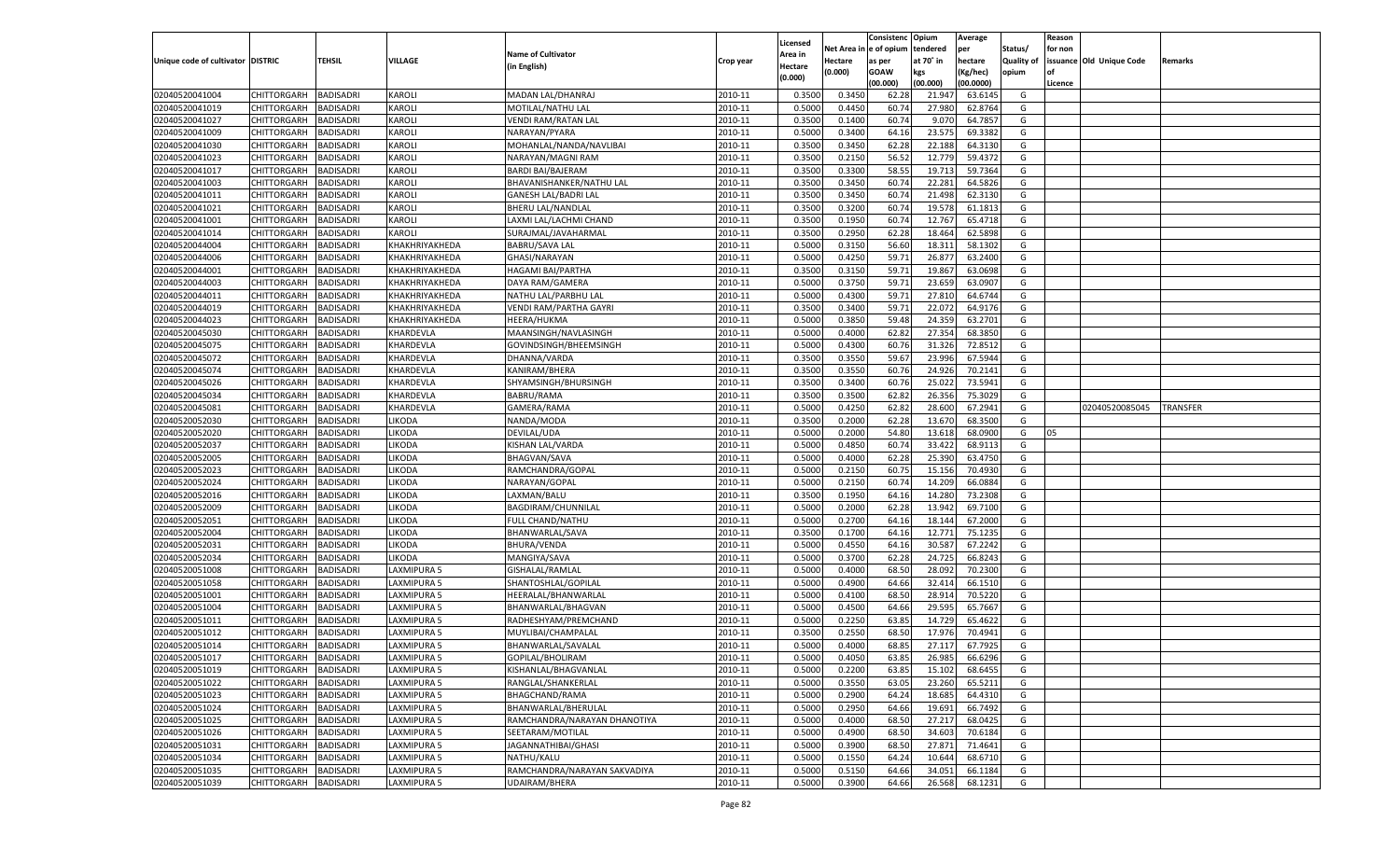|                                   |                       |                                      |                              |                               |           |                     |            | Consistenc   | Opium     | Average   |                   | Reason  |                          |          |
|-----------------------------------|-----------------------|--------------------------------------|------------------------------|-------------------------------|-----------|---------------------|------------|--------------|-----------|-----------|-------------------|---------|--------------------------|----------|
|                                   |                       |                                      |                              | <b>Name of Cultivator</b>     |           | Licensed<br>Area in | Net Area i | n e of opium | tendered  | per       | Status/           | for non |                          |          |
| Unique code of cultivator DISTRIC |                       | TEHSIL                               | VILLAGE                      | (in English)                  | Crop year | Hectare             | Hectare    | as per       | at 70° in | hectare   | <b>Quality of</b> |         | issuance Old Unique Code | Remarks  |
|                                   |                       |                                      |                              |                               |           | (0.000)             | (0.000)    | <b>GOAW</b>  | kgs       | (Kg/hec)  | opium             |         |                          |          |
|                                   |                       |                                      |                              |                               |           |                     |            | (00.000)     | (00.000)  | (00.0000) |                   | Licence |                          |          |
| 02040520041004                    | CHITTORGARH           | BADISADRI                            | KAROLI                       | MADAN LAL/DHANRAJ             | 2010-11   | 0.3500              | 0.3450     | 62.28        | 21.947    | 63.6145   | G                 |         |                          |          |
| 02040520041019                    | CHITTORGARH           | BADISADRI                            | KAROLI                       | MOTILAL/NATHU LAL             | 2010-11   | 0.5000              | 0.4450     | 60.74        | 27.980    | 62.8764   | G                 |         |                          |          |
| 02040520041027                    | CHITTORGARH           | BADISADRI                            | <b>KAROLI</b>                | <b>VENDI RAM/RATAN LAL</b>    | 2010-11   | 0.3500              | 0.1400     | 60.74        | 9.070     | 64.785    | G                 |         |                          |          |
| 02040520041009                    | CHITTORGARH           | BADISADRI                            | <b>KAROLI</b>                | NARAYAN/PYARA                 | 2010-11   | 0.5000              | 0.3400     | 64.16        | 23.575    | 69.3382   | G                 |         |                          |          |
| 02040520041030                    | CHITTORGARH           | BADISADRI                            | KAROLI                       | MOHANLAL/NANDA/NAVLIBAI       | 2010-11   | 0.3500              | 0.3450     | 62.28        | 22.188    | 64.3130   | G                 |         |                          |          |
| 02040520041023                    | CHITTORGARH           | BADISADRI                            | <b>KAROLI</b>                | NARAYAN/MAGNI RAM             | 2010-11   | 0.3500              | 0.2150     | 56.52        | 12.779    | 59.4372   | G                 |         |                          |          |
| 02040520041017                    | CHITTORGARH           | BADISADRI                            | KAROLI                       | <b>BARDI BAI/BAJERAM</b>      | 2010-11   | 0.3500              | 0.3300     | 58.55        | 19.713    | 59.7364   | G                 |         |                          |          |
| 02040520041003                    | CHITTORGARH           | BADISADRI                            | <b>KAROLI</b>                | BHAVANISHANKER/NATHU LAL      | 2010-11   | 0.3500              | 0.3450     | 60.74        | 22.281    | 64.5826   | G                 |         |                          |          |
| 02040520041011                    | CHITTORGARH           | BADISADRI                            | KAROLI                       | <b>GANESH LAL/BADRI LAL</b>   | 2010-11   | 0.3500              | 0.3450     | 60.74        | 21.498    | 62.3130   | G                 |         |                          |          |
| 02040520041021                    | CHITTORGARH           | BADISADRI                            | <b>KAROLI</b>                | <b>BHERU LAL/NANDLAL</b>      | 2010-11   | 0.3500              | 0.3200     | 60.74        | 19.578    | 61.1813   | G                 |         |                          |          |
| 02040520041001                    | CHITTORGARH           | BADISADRI                            | KAROLI                       | LAXMI LAL/LACHMI CHAND        | 2010-11   | 0.3500              | 0.1950     | 60.74        | 12.767    | 65.4718   | G                 |         |                          |          |
| 02040520041014                    | CHITTORGARH           | BADISADRI                            | KAROLI                       | SURAJMAL/JAVAHARMAL           | 2010-11   | 0.3500              | 0.2950     | 62.28        | 18.464    | 62.5898   | G                 |         |                          |          |
| 02040520044004                    | CHITTORGARH           | BADISADRI                            | KHAKHRIYAKHEDA               | <b>BABRU/SAVA LAL</b>         | 2010-11   | 0.5000              | 0.3150     | 56.60        | 18.311    | 58.1302   | G                 |         |                          |          |
| 02040520044006                    | CHITTORGARH           | BADISADRI                            | KHAKHRIYAKHEDA               | GHASI/NARAYAN                 | 2010-11   | 0.5000              | 0.4250     | 59.71        | 26.877    | 63.2400   | G                 |         |                          |          |
| 02040520044001                    | CHITTORGARH           | BADISADRI                            | KHAKHRIYAKHEDA               | <b>HAGAMI BAI/PARTHA</b>      | 2010-11   | 0.3500              | 0.3150     | 59.71        | 19.867    | 63.0698   | G                 |         |                          |          |
| 02040520044003                    | CHITTORGARH           | BADISADRI                            | KHAKHRIYAKHEDA               | DAYA RAM/GAMERA               | 2010-11   | 0.5000              | 0.3750     | 59.71        | 23.659    | 63.0907   | G                 |         |                          |          |
| 02040520044011                    | CHITTORGARH           | <b>BADISADRI</b>                     | KHAKHRIYAKHEDA               | NATHU LAL/PARBHU LAL          | 2010-11   | 0.5000              | 0.4300     | 59.71        | 27.810    | 64.6744   | G                 |         |                          |          |
| 02040520044019                    | CHITTORGARH           | BADISADRI                            | KHAKHRIYAKHEDA               | <b>VENDI RAM/PARTHA GAYRI</b> | 2010-11   | 0.3500              | 0.3400     | 59.71        | 22.072    | 64.9176   | G                 |         |                          |          |
| 02040520044023                    | CHITTORGARH           | BADISADRI                            | KHAKHRIYAKHEDA               | <b>HEERA/HUKMA</b>            | 2010-11   | 0.5000              | 0.3850     | 59.48        | 24.359    | 63.2701   | G                 |         |                          |          |
| 02040520045030                    | CHITTORGARH           | BADISADRI                            | KHARDEVLA                    | MAANSINGH/NAVLASINGH          | 2010-11   | 0.5000              | 0.4000     | 62.82        | 27.354    | 68.3850   | G                 |         |                          |          |
| 02040520045075                    | CHITTORGARH           | <b>BADISADRI</b>                     | KHARDEVLA                    | GOVINDSINGH/BHEEMSINGH        | 2010-11   | 0.5000              | 0.4300     | 60.76        | 31.326    | 72.8512   | G                 |         |                          |          |
| 02040520045072                    | CHITTORGARH           | BADISADRI                            | KHARDEVLA                    | DHANNA/VARDA                  | 2010-11   | 0.3500              | 0.3550     | 59.67        | 23.996    | 67.5944   | G                 |         |                          |          |
| 02040520045074                    | CHITTORGARH           | BADISADRI                            | KHARDEVLA                    | KANIRAM/BHERA                 | 2010-11   | 0.3500              | 0.3550     | 60.76        | 24.926    | 70.2141   | G                 |         |                          |          |
| 02040520045026                    | CHITTORGARH           | BADISADRI                            | KHARDEVLA                    | SHYAMSINGH/BHURSINGH          | 2010-11   | 0.3500              | 0.3400     | 60.76        | 25.022    | 73.5941   | G                 |         |                          |          |
| 02040520045034                    | CHITTORGARH           | <b>BADISADRI</b>                     | KHARDEVLA                    | BABRU/RAMA                    | 2010-11   | 0.3500              | 0.3500     | 62.82        | 26.356    | 75.3029   | G                 |         |                          |          |
| 02040520045081                    | CHITTORGARH           | BADISADRI                            | KHARDEVLA                    | GAMERA/RAMA                   | 2010-11   | 0.5000              | 0.4250     | 62.82        | 28.600    | 67.2941   | G                 |         | 02040520085045           | TRANSFER |
| 02040520052030                    | CHITTORGARH           | BADISADRI                            | <b>IKODA</b>                 | NANDA/MODA                    | 2010-11   | 0.3500              | 0.2000     | 62.28        | 13.670    | 68.3500   | G                 |         |                          |          |
| 02040520052020                    | CHITTORGARH           | BADISADRI                            | <b>IKODA</b>                 | DEVILAL/UDA                   | 2010-11   | 0.5000              | 0.2000     | 54.80        | 13.618    | 68.0900   | G                 | 05      |                          |          |
| 02040520052037                    | CHITTORGARH           | BADISADRI                            | <b>IKODA</b>                 | KISHAN LAL/VARDA              | 2010-11   | 0.5000              | 0.4850     | 60.74        | 33.422    | 68.9113   | G                 |         |                          |          |
| 02040520052005                    | CHITTORGARH           | BADISADRI                            | <b>IKODA</b>                 | <b>BHAGVAN/SAVA</b>           | 2010-11   | 0.5000              | 0.4000     | 62.28        | 25.390    | 63.4750   | G                 |         |                          |          |
| 02040520052023                    | CHITTORGARH           | BADISADRI                            | <b>IKODA</b>                 | RAMCHANDRA/GOPAL              | 2010-11   | 0.5000              | 0.2150     | 60.7         | 15.156    | 70.4930   | G                 |         |                          |          |
| 02040520052024                    | CHITTORGARH           | <b>BADISADRI</b>                     | <b>IKODA</b>                 | NARAYAN/GOPAL                 | 2010-11   | 0.5000              | 0.2150     | 60.74        | 14.209    | 66.0884   | G                 |         |                          |          |
| 02040520052016                    | CHITTORGARH           | <b>BADISADRI</b>                     | <b>IKODA</b>                 | LAXMAN/BALU                   | 2010-11   | 0.3500              | 0.1950     | 64.16        | 14.280    | 73.2308   | G                 |         |                          |          |
| 02040520052009                    | CHITTORGARH           | BADISADRI                            | <b>IKODA</b>                 | BAGDIRAM/CHUNNILAL            | 2010-11   | 0.5000              | 0.2000     | 62.28        | 13.942    | 69.7100   | G                 |         |                          |          |
| 02040520052051                    |                       | BADISADRI                            | <b>IKODA</b>                 |                               | 2010-11   | 0.5000              | 0.2700     | 64.16        | 18.144    | 67.2000   | G                 |         |                          |          |
| 02040520052004                    | CHITTORGARH           |                                      |                              | FULL CHAND/NATHU              | 2010-11   | 0.3500              |            | 64.16        | 12.771    | 75.1235   | G                 |         |                          |          |
|                                   | CHITTORGARH           | <b>BADISADRI</b><br><b>BADISADRI</b> | <b>IKODA</b><br><b>IKODA</b> | BHANWARLAL/SAVA               | 2010-11   |                     | 0.1700     |              |           | 67.2242   |                   |         |                          |          |
| 02040520052031                    | CHITTORGARH           |                                      |                              | BHURA/VENDA                   |           | 0.5000              | 0.4550     | 64.16        | 30.587    |           | G                 |         |                          |          |
| 02040520052034                    | CHITTORGARH           | BADISADRI                            | <b>IKODA</b>                 | MANGIYA/SAVA                  | 2010-11   | 0.5000              | 0.3700     | 62.28        | 24.725    | 66.8243   | G                 |         |                          |          |
| 02040520051008                    | CHITTORGARH           | BADISADRI                            | LAXMIPURA 5                  | GISHALAL/RAMLAL               | 2010-11   | 0.5000              | 0.4000     | 68.50        | 28.092    | 70.2300   | G                 |         |                          |          |
| 02040520051058                    | CHITTORGARH           | <b>BADISADRI</b>                     | LAXMIPURA 5                  | SHANTOSHLAL/GOPILAL           | 2010-11   | 0.5000              | 0.4900     | 64.66        | 32.414    | 66.1510   | G                 |         |                          |          |
| 02040520051001                    | CHITTORGARH           | <b>BADISADRI</b>                     | LAXMIPURA 5                  | HEERALAL/BHANWARLAL           | 2010-11   | 0.5000              | 0.4100     | 68.50        | 28.914    | 70.5220   | G                 |         |                          |          |
| 02040520051004                    | CHITTORGARH           | BADISADRI                            | LAXMIPURA 5                  | BHANWARLAL/BHAGVAN            | 2010-11   | 0.5000              | 0.4500     | 64.66        | 29.595    | 65.7667   | G                 |         |                          |          |
| 02040520051011                    | CHITTORGARH           | BADISADRI                            | LAXMIPURA 5                  | RADHESHYAM/PREMCHAND          | 2010-11   | 0.5000              | 0.2250     | 63.85        | 14.729    | 65.4622   | G                 |         |                          |          |
| 02040520051012                    | CHITTORGARH           | BADISADRI                            | LAXMIPURA 5                  | MUYLIBAI/CHAMPALAL            | 2010-11   | 0.3500              | 0.2550     | 68.50        | 17.976    | 70.4941   | G                 |         |                          |          |
| 02040520051014                    | CHITTORGARH           | <b>BADISADRI</b>                     | LAXMIPURA 5                  | BHANWARLAL/SAVALAI            | 2010-11   | 0.5000              | 0.4000     | 68.85        | 27.117    | 67.7925   | G                 |         |                          |          |
| 02040520051017                    | CHITTORGARH BADISADRI |                                      | <b>LAXMIPURA 5</b>           | GOPILAL/BHOLIRAM              | 2010-11   | 0.5000              | 0.4050     | 63.85        | 26.985    | 66.6296   | G                 |         |                          |          |
| 02040520051019                    | <b>CHITTORGARH</b>    | <b>BADISADRI</b>                     | <b>LAXMIPURA 5</b>           | KISHANLAL/BHAGVANLAL          | 2010-11   | 0.5000              | 0.2200     | 63.85        | 15.102    | 68.6455   | G                 |         |                          |          |
| 02040520051022                    | <b>CHITTORGARH</b>    | <b>BADISADRI</b>                     | LAXMIPURA 5                  | RANGLAL/SHANKERLAL            | 2010-11   | 0.5000              | 0.3550     | 63.05        | 23.260    | 65.5211   | G                 |         |                          |          |
| 02040520051023                    | CHITTORGARH           | <b>BADISADRI</b>                     | LAXMIPURA 5                  | <b>BHAGCHAND/RAMA</b>         | 2010-11   | 0.5000              | 0.2900     | 64.24        | 18.685    | 64.4310   | G                 |         |                          |          |
| 02040520051024                    | <b>CHITTORGARH</b>    | <b>BADISADRI</b>                     | LAXMIPURA 5                  | BHANWARLAL/BHERULAL           | 2010-11   | 0.5000              | 0.2950     | 64.66        | 19.691    | 66.7492   | G                 |         |                          |          |
| 02040520051025                    | CHITTORGARH           | <b>BADISADRI</b>                     | LAXMIPURA 5                  | RAMCHANDRA/NARAYAN DHANOTIYA  | 2010-11   | 0.5000              | 0.4000     | 68.50        | 27.217    | 68.0425   | G                 |         |                          |          |
| 02040520051026                    | CHITTORGARH           | <b>BADISADRI</b>                     | LAXMIPURA 5                  | SEETARAM/MOTILAL              | 2010-11   | 0.5000              | 0.4900     | 68.50        | 34.603    | 70.6184   | G                 |         |                          |          |
| 02040520051031                    | CHITTORGARH           | <b>BADISADRI</b>                     | LAXMIPURA 5                  | JAGANNATHIBAI/GHASI           | 2010-11   | 0.5000              | 0.3900     | 68.50        | 27.871    | 71.4641   | G                 |         |                          |          |
| 02040520051034                    | <b>CHITTORGARH</b>    | <b>BADISADRI</b>                     | LAXMIPURA 5                  | NATHU/KALU                    | 2010-11   | 0.5000              | 0.1550     | 64.24        | 10.644    | 68.6710   | G                 |         |                          |          |
| 02040520051035                    | <b>CHITTORGARH</b>    | <b>BADISADRI</b>                     | LAXMIPURA 5                  | RAMCHANDRA/NARAYAN SAKVADIYA  | 2010-11   | 0.5000              | 0.5150     | 64.66        | 34.051    | 66.1184   | G                 |         |                          |          |
| 02040520051039                    | <b>CHITTORGARH</b>    | <b>BADISADRI</b>                     | <b>LAXMIPURA 5</b>           | UDAIRAM/BHERA                 | 2010-11   | 0.5000              | 0.3900     | 64.66        | 26.568    | 68.1231   | G                 |         |                          |          |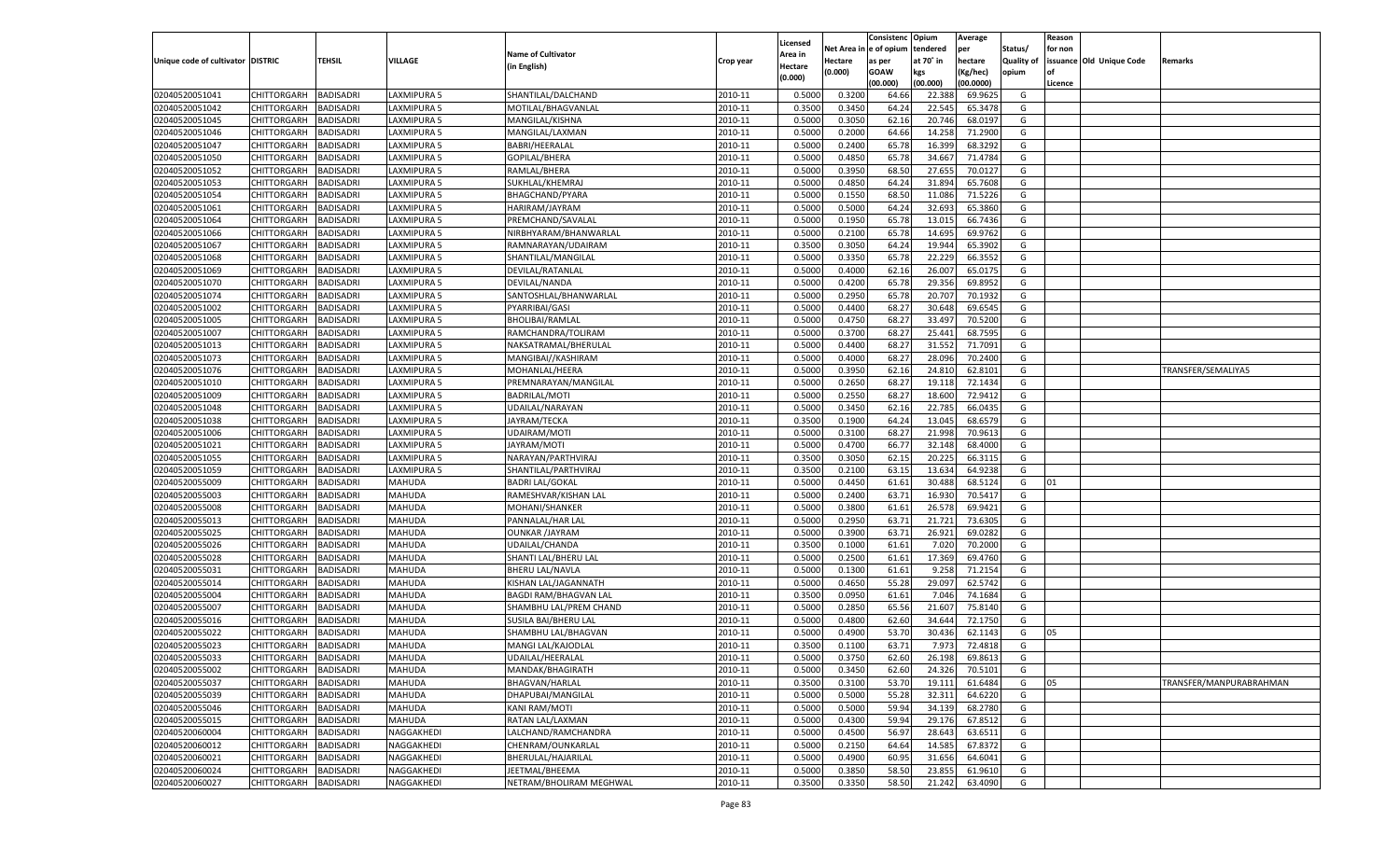|                                   |                    |                  |                    |                              |           |          |            | Consistenc Opium |           | Average   |                   | Reason  |                          |                         |
|-----------------------------------|--------------------|------------------|--------------------|------------------------------|-----------|----------|------------|------------------|-----------|-----------|-------------------|---------|--------------------------|-------------------------|
|                                   |                    |                  |                    |                              |           | Licensed | Net Area i | l e of opium     | tendered  | per       | Status/           | for non |                          |                         |
| Unique code of cultivator DISTRIC |                    | TEHSIL           | VILLAGE            | <b>Name of Cultivator</b>    | Crop year | Area in  | Hectare    | as per           | at 70° in | hectare   | <b>Quality of</b> |         | issuance Old Unique Code | Remarks                 |
|                                   |                    |                  |                    | (in English)                 |           | Hectare  | (0.000)    | <b>GOAW</b>      | kgs       | (Kg/hec)  | opium             | nf      |                          |                         |
|                                   |                    |                  |                    |                              |           | (0.000)  |            | (00.000)         | (00.000)  | (00.0000) |                   | Licence |                          |                         |
| 02040520051041                    | CHITTORGARH        | <b>BADISADRI</b> | LAXMIPURA 5        | SHANTILAL/DALCHAND           | 2010-11   | 0.5000   | 0.3200     | 64.66            | 22.388    | 69.9625   | G                 |         |                          |                         |
| 02040520051042                    | CHITTORGARH        | BADISADRI        | LAXMIPURA 5        | MOTILAL/BHAGVANLAL           | 2010-11   | 0.3500   | 0.3450     | 64.24            | 22.545    | 65.3478   | G                 |         |                          |                         |
| 02040520051045                    | CHITTORGARH        | <b>BADISADRI</b> | LAXMIPURA 5        | MANGILAL/KISHNA              | 2010-11   | 0.5000   | 0.3050     | 62.16            | 20.746    | 68.0197   | G                 |         |                          |                         |
| 02040520051046                    | CHITTORGARH        | <b>BADISADRI</b> | LAXMIPURA 5        | MANGILAL/LAXMAN              | 2010-11   | 0.5000   | 0.2000     | 64.66            | 14.258    | 71.2900   | G                 |         |                          |                         |
| 02040520051047                    | CHITTORGARH        | BADISADRI        | LAXMIPURA 5        | BABRI/HEERALAL               | 2010-11   | 0.5000   | 0.2400     | 65.78            | 16.399    | 68.3292   | G                 |         |                          |                         |
| 02040520051050                    | CHITTORGARH        | BADISADRI        | LAXMIPURA 5        | GOPILAL/BHERA                | 2010-11   | 0.5000   | 0.4850     | 65.78            | 34.667    | 71.4784   | G                 |         |                          |                         |
| 02040520051052                    | CHITTORGARH        | <b>BADISADRI</b> | LAXMIPURA 5        | RAMLAL/BHERA                 | 2010-11   | 0.5000   | 0.3950     | 68.50            | 27.655    | 70.0127   | G                 |         |                          |                         |
| 02040520051053                    | CHITTORGARH        | <b>BADISADRI</b> | LAXMIPURA 5        | SUKHLAL/KHEMRAJ              | 2010-11   | 0.5000   | 0.4850     | 64.24            | 31.894    | 65.7608   | G                 |         |                          |                         |
| 02040520051054                    | CHITTORGARH        | BADISADRI        | LAXMIPURA 5        | BHAGCHAND/PYARA              | 2010-11   | 0.5000   | 0.1550     | 68.50            | 11.086    | 71.5226   | G                 |         |                          |                         |
| 02040520051061                    | CHITTORGARH        | BADISADRI        | LAXMIPURA 5        | HARIRAM/JAYRAM               | 2010-11   | 0.5000   | 0.5000     | 64.24            | 32.693    | 65.3860   | G                 |         |                          |                         |
| 02040520051064                    | CHITTORGARH        | <b>BADISADRI</b> | LAXMIPURA 5        | PREMCHAND/SAVALAI            | 2010-11   | 0.5000   | 0.1950     | 65.78            | 13.015    | 66.7436   | G                 |         |                          |                         |
| 02040520051066                    |                    |                  |                    |                              |           |          |            |                  |           |           |                   |         |                          |                         |
|                                   | CHITTORGARH        | <b>BADISADRI</b> | LAXMIPURA 5        | NIRBHYARAM/BHANWARLAI        | 2010-11   | 0.5000   | 0.2100     | 65.78            | 14.695    | 69.9762   | G                 |         |                          |                         |
| 02040520051067                    | CHITTORGARH        | <b>BADISADRI</b> | LAXMIPURA 5        | RAMNARAYAN/UDAIRAM           | 2010-11   | 0.3500   | 0.3050     | 64.24            | 19.944    | 65.3902   | G                 |         |                          |                         |
| 02040520051068                    | CHITTORGARH        | <b>BADISADRI</b> | LAXMIPURA 5        | SHANTILAL/MANGILAL           | 2010-11   | 0.5000   | 0.3350     | 65.78            | 22.229    | 66.3552   | G                 |         |                          |                         |
| 02040520051069                    | CHITTORGARH        | <b>BADISADRI</b> | <b>LAXMIPURA 5</b> | DEVILAL/RATANLAL             | 2010-11   | 0.5000   | 0.4000     | 62.16            | 26.007    | 65.0175   | G                 |         |                          |                         |
| 02040520051070                    | CHITTORGARH        | <b>BADISADRI</b> | LAXMIPURA 5        | DEVILAL/NANDA                | 2010-11   | 0.5000   | 0.4200     | 65.78            | 29.356    | 69.8952   | G                 |         |                          |                         |
| 02040520051074                    | CHITTORGARH        | <b>BADISADRI</b> | <b>LAXMIPURA 5</b> | SANTOSHLAL/BHANWARLAL        | 2010-11   | 0.5000   | 0.2950     | 65.78            | 20.707    | 70.1932   | G                 |         |                          |                         |
| 02040520051002                    | CHITTORGARH        | <b>BADISADRI</b> | LAXMIPURA 5        | PYARRIBAI/GASI               | 2010-11   | 0.5000   | 0.4400     | 68.2             | 30.648    | 69.6545   | G                 |         |                          |                         |
| 02040520051005                    | CHITTORGARH        | <b>BADISADRI</b> | <b>LAXMIPURA 5</b> | <b>BHOLIBAI/RAMLAL</b>       | 2010-11   | 0.5000   | 0.4750     | 68.27            | 33.497    | 70.5200   | G                 |         |                          |                         |
| 02040520051007                    | CHITTORGARH        | <b>BADISADRI</b> | LAXMIPURA 5        | RAMCHANDRA/TOLIRAM           | 2010-11   | 0.5000   | 0.3700     | 68.27            | 25.441    | 68.7595   | G                 |         |                          |                         |
| 02040520051013                    | CHITTORGARH        | <b>BADISADRI</b> | <b>LAXMIPURA 5</b> | NAKSATRAMAL/BHERULAL         | 2010-11   | 0.5000   | 0.4400     | 68.27            | 31.552    | 71.7091   | G                 |         |                          |                         |
| 02040520051073                    | CHITTORGARH        | <b>BADISADRI</b> | LAXMIPURA 5        | MANGIBAI//KASHIRAM           | 2010-11   | 0.5000   | 0.4000     | 68.27            | 28.096    | 70.2400   | G                 |         |                          |                         |
| 02040520051076                    | CHITTORGARH        | <b>BADISADRI</b> | <b>LAXMIPURA 5</b> | MOHANLAL/HEERA               | 2010-11   | 0.5000   | 0.3950     | 62.16            | 24.810    | 62.8101   | G                 |         |                          | TRANSFER/SEMALIYA5      |
| 02040520051010                    | CHITTORGARH        | <b>BADISADRI</b> | LAXMIPURA 5        | PREMNARAYAN/MANGILAL         | 2010-11   | 0.5000   | 0.2650     | 68.27            | 19.118    | 72.1434   | G                 |         |                          |                         |
| 02040520051009                    | CHITTORGARH        | <b>BADISADRI</b> | <b>LAXMIPURA 5</b> | <b>BADRILAL/MOTI</b>         | 2010-11   | 0.5000   | 0.2550     | 68.27            | 18.600    | 72.9412   | G                 |         |                          |                         |
|                                   | CHITTORGARH        | <b>BADISADRI</b> | LAXMIPURA 5        |                              | 2010-11   |          | 0.3450     | 62.16            | 22.785    | 66.0435   | G                 |         |                          |                         |
| 02040520051048                    |                    |                  |                    | UDAILAL/NARAYAN              |           | 0.5000   |            |                  |           |           |                   |         |                          |                         |
| 02040520051038                    | CHITTORGARH        | <b>BADISADRI</b> | <b>LAXMIPURA 5</b> | JAYRAM/TECKA                 | 2010-11   | 0.3500   | 0.1900     | 64.24            | 13.045    | 68.6579   | G                 |         |                          |                         |
| 02040520051006                    | CHITTORGARH        | <b>BADISADRI</b> | LAXMIPURA 5        | <b>UDAIRAM/MOTI</b>          | 2010-11   | 0.5000   | 0.3100     | 68.27            | 21.998    | 70.9613   | G                 |         |                          |                         |
| 02040520051021                    | CHITTORGARH        | <b>BADISADRI</b> | <b>LAXMIPURA 5</b> | JAYRAM/MOTI                  | 2010-11   | 0.5000   | 0.4700     | 66.77            | 32.148    | 68.4000   | G                 |         |                          |                         |
| 02040520051055                    | CHITTORGARH        | <b>BADISADRI</b> | LAXMIPURA 5        | NARAYAN/PARTHVIRAJ           | 2010-11   | 0.3500   | 0.3050     | 62.15            | 20.225    | 66.3115   | G                 |         |                          |                         |
| 02040520051059                    | CHITTORGARH        | <b>BADISADRI</b> | LAXMIPURA 5        | SHANTILAL/PARTHVIRAJ         | 2010-11   | 0.3500   | 0.2100     | 63.15            | 13.634    | 64.9238   | G                 |         |                          |                         |
| 02040520055009                    | CHITTORGARH        | <b>BADISADRI</b> | MAHUDA             | <b>BADRI LAL/GOKAL</b>       | 2010-11   | 0.5000   | 0.4450     | 61.61            | 30.488    | 68.5124   | G                 | 01      |                          |                         |
| 02040520055003                    | CHITTORGARH        | <b>BADISADRI</b> | MAHUDA             | RAMESHVAR/KISHAN LAL         | 2010-11   | 0.5000   | 0.2400     | 63.71            | 16.930    | 70.5417   | G                 |         |                          |                         |
| 02040520055008                    | CHITTORGARH        | <b>BADISADRI</b> | MAHUDA             | MOHANI/SHANKER               | 2010-11   | 0.5000   | 0.3800     | 61.61            | 26.57     | 69.9421   | G                 |         |                          |                         |
| 02040520055013                    | CHITTORGARH        | <b>BADISADRI</b> | MAHUDA             | PANNALAL/HAR LAI             | 2010-11   | 0.5000   | 0.2950     | 63.71            | 21.721    | 73.6305   | G                 |         |                          |                         |
| 02040520055025                    | CHITTORGARH        | <b>BADISADRI</b> | MAHUDA             | <b>OUNKAR /JAYRAM</b>        | 2010-11   | 0.5000   | 0.3900     | 63.71            | 26.921    | 69.0282   | G                 |         |                          |                         |
| 02040520055026                    | CHITTORGARH        | <b>BADISADRI</b> | MAHUDA             | UDAILAL/CHANDA               | 2010-11   | 0.3500   | 0.1000     | 61.61            | 7.020     | 70.2000   | G                 |         |                          |                         |
| 02040520055028                    | CHITTORGARH        | <b>BADISADRI</b> | MAHUDA             | SHANTI LAL/BHERU LAL         | 2010-11   | 0.5000   | 0.2500     | 61.61            | 17.369    | 69.4760   | G                 |         |                          |                         |
| 02040520055031                    | CHITTORGARH        | <b>BADISADRI</b> | MAHUDA             | <b>BHERU LAL/NAVLA</b>       | 2010-11   | 0.5000   | 0.1300     | 61.61            | 9.258     | 71.2154   | G                 |         |                          |                         |
| 02040520055014                    | CHITTORGARH        | BADISADRI        | MAHUDA             | KISHAN LAL/JAGANNATH         | 2010-11   | 0.5000   | 0.4650     | 55.28            | 29.097    | 62.5742   | G                 |         |                          |                         |
| 02040520055004                    | CHITTORGARH        | <b>BADISADRI</b> | MAHUDA             | <b>BAGDI RAM/BHAGVAN LAL</b> | 2010-11   | 0.3500   | 0.0950     | 61.61            | 7.046     | 74.1684   | G                 |         |                          |                         |
| 02040520055007                    | CHITTORGARH        | <b>BADISADRI</b> | MAHUDA             | SHAMBHU LAL/PREM CHAND       | 2010-11   | 0.5000   | 0.2850     | 65.56            | 21.607    | 75.8140   | G                 |         |                          |                         |
| 02040520055016                    | CHITTORGARH        | <b>BADISADRI</b> | MAHUDA             | SUSILA BAI/BHERU LAL         | 2010-11   | 0.5000   | 0.4800     | 62.60            | 34.644    | 72.1750   | G                 |         |                          |                         |
| 02040520055022                    | CHITTORGARH        | BADISADRI        | MAHUDA             | SHAMBHU LAL/BHAGVAN          | 2010-11   | 0.5000   | 0.4900     | 53.70            | 30.436    | 62.1143   | G                 | 05      |                          |                         |
| 02040520055023                    | CHITTORGARH        | BADISADRI        | MAHUDA             | MANGI LAL/KAJODLAL           | 2010-11   | 0.3500   | 0.1100     | 63.71            | 7.973     | 72.4818   | G                 |         |                          |                         |
|                                   |                    |                  |                    |                              |           |          |            |                  |           |           |                   |         |                          |                         |
| 02040520055033                    | CHITTORGARH        | BADISADRI        | MAHUDA             | UDAILAL/HEERALAL             | 2010-11   | 0.5000   | 0.3750     | 62.60            | 26.198    | 69.8613   | G                 |         |                          |                         |
| 02040520055002                    | CHITTORGARH        | <b>BADISADRI</b> | <b>MAHUDA</b>      | MANDAK/BHAGIRATH             | 2010-11   | 0.5000   | 0.3450     | 62.60            | 24.326    | 70.5101   | G                 |         |                          |                         |
| 02040520055037                    | CHITTORGARH        | <b>BADISADRI</b> | <b>MAHUDA</b>      | <b>BHAGVAN/HARLAL</b>        | 2010-11   | 0.3500   | 0.3100     | 53.70            | 19.111    | 61.6484   | G                 | 05      |                          | TRANSFER/MANPURABRAHMAN |
| 02040520055039                    | <b>CHITTORGARH</b> | <b>BADISADRI</b> | <b>MAHUDA</b>      | DHAPUBAI/MANGILAL            | 2010-11   | 0.5000   | 0.5000     | 55.28            | 32.311    | 64.6220   | G                 |         |                          |                         |
| 02040520055046                    | CHITTORGARH        | <b>BADISADRI</b> | <b>MAHUDA</b>      | KANI RAM/MOTI                | 2010-11   | 0.5000   | 0.5000     | 59.94            | 34.139    | 68.2780   | G                 |         |                          |                         |
| 02040520055015                    | CHITTORGARH        | <b>BADISADRI</b> | MAHUDA             | RATAN LAL/LAXMAN             | 2010-11   | 0.5000   | 0.4300     | 59.94            | 29.176    | 67.8512   | G                 |         |                          |                         |
| 02040520060004                    | CHITTORGARH        | <b>BADISADRI</b> | NAGGAKHEDI         | LALCHAND/RAMCHANDRA          | 2010-11   | 0.5000   | 0.4500     | 56.97            | 28.643    | 63.6511   | G                 |         |                          |                         |
| 02040520060012                    | CHITTORGARH        | <b>BADISADRI</b> | NAGGAKHEDI         | CHENRAM/OUNKARLAL            | 2010-11   | 0.5000   | 0.2150     | 64.64            | 14.585    | 67.8372   | G                 |         |                          |                         |
| 02040520060021                    | CHITTORGARH        | <b>BADISADRI</b> | NAGGAKHEDI         | BHERULAL/HAJARILAL           | 2010-11   | 0.5000   | 0.4900     | 60.95            | 31.656    | 64.6041   | G                 |         |                          |                         |
| 02040520060024                    | CHITTORGARH        | <b>BADISADRI</b> | NAGGAKHEDI         | JEETMAL/BHEEMA               | 2010-11   | 0.5000   | 0.3850     | 58.50            | 23.855    | 61.9610   | G                 |         |                          |                         |
| 02040520060027                    | CHITTORGARH        | <b>BADISADRI</b> | NAGGAKHEDI         | NETRAM/BHOLIRAM MEGHWAL      | 2010-11   | 0.3500   | 0.3350     | 58.50            | 21.242    | 63.4090   | G                 |         |                          |                         |
|                                   |                    |                  |                    |                              |           |          |            |                  |           |           |                   |         |                          |                         |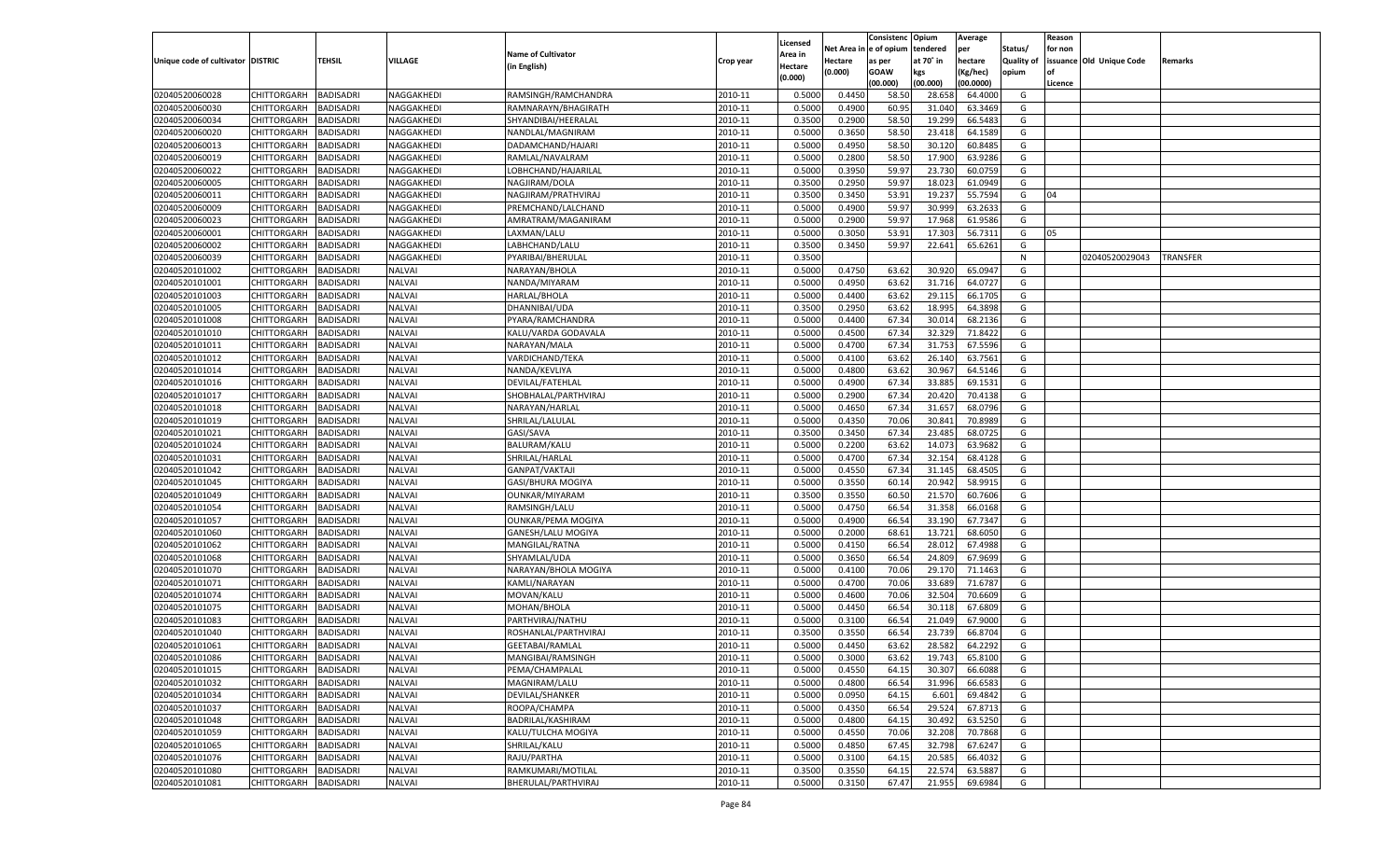|                                   |                       |                                      |               |                           |                    |                           |                  | Consistenc  | Opium     | Average   |                   | Reason  |                          |          |
|-----------------------------------|-----------------------|--------------------------------------|---------------|---------------------------|--------------------|---------------------------|------------------|-------------|-----------|-----------|-------------------|---------|--------------------------|----------|
|                                   |                       |                                      |               | <b>Name of Cultivator</b> |                    | Licensed                  | Net Area         | e of opium  | tendered  | per       | Status/           | for non |                          |          |
| Unique code of cultivator DISTRIC |                       | <b>TEHSIL</b>                        | VILLAGE       | (in English)              | Crop year          | <b>Area in</b><br>Hectare | Hectare          | as per      | at 70° in | hectare   | <b>Quality of</b> |         | issuance Old Unique Code | Remarks  |
|                                   |                       |                                      |               |                           |                    | (0.000)                   | (0.000)          | <b>GOAW</b> | kgs       | (Kg/hec)  | opium             |         |                          |          |
|                                   |                       |                                      |               |                           |                    |                           |                  | (00.000)    | (00.000)  | (00.0000) |                   | Licence |                          |          |
| 02040520060028                    | CHITTORGARH           | <b>BADISADRI</b>                     | NAGGAKHEDI    | RAMSINGH/RAMCHANDRA       | 2010-11            | 0.5000                    | 0.4450           | 58.50       | 28.658    | 64.4000   | G                 |         |                          |          |
| 02040520060030                    | CHITTORGARH           | BADISADRI                            | NAGGAKHEDI    | RAMNARAYN/BHAGIRATH       | 2010-11            | 0.5000                    | 0.4900           | 60.95       | 31.040    | 63.3469   | G                 |         |                          |          |
| 02040520060034                    | CHITTORGARH           | BADISADRI                            | NAGGAKHEDI    | SHYANDIBAI/HEERALAL       | 2010-11            | 0.3500                    | 0.2900           | 58.50       | 19.299    | 66.5483   | G                 |         |                          |          |
| 02040520060020                    | CHITTORGARH           | BADISADRI                            | NAGGAKHEDI    | NANDLAL/MAGNIRAM          | 2010-11            | 0.5000                    | 0.3650           | 58.50       | 23.418    | 64.1589   | G                 |         |                          |          |
| 02040520060013                    | CHITTORGARH           | BADISADRI                            | NAGGAKHEDI    | DADAMCHAND/HAJARI         | 2010-11            | 0.5000                    | 0.4950           | 58.50       | 30.120    | 60.8485   | G                 |         |                          |          |
| 02040520060019                    | CHITTORGARH           | BADISADRI                            | NAGGAKHEDI    | RAMLAL/NAVALRAM           | 2010-11            | 0.5000                    | 0.2800           | 58.50       | 17.900    | 63.9286   | G                 |         |                          |          |
| 02040520060022                    | CHITTORGARH           | BADISADRI                            | NAGGAKHEDI    | LOBHCHAND/HAJARILAL       | 2010-11            | 0.5000                    | 0.3950           | 59.97       | 23.73     | 60.0759   | G                 |         |                          |          |
| 02040520060005                    | CHITTORGARH           | BADISADRI                            | NAGGAKHEDI    | NAGJIRAM/DOLA             | 2010-11            | 0.3500                    | 0.2950           | 59.97       | 18.023    | 61.0949   | G                 |         |                          |          |
| 02040520060011                    | CHITTORGARH           | BADISADRI                            | NAGGAKHEDI    | NAGJIRAM/PRATHVIRAJ       | 2010-11            | 0.3500                    | 0.3450           | 53.91       | 19.23     | 55.7594   | G                 | 04      |                          |          |
| 02040520060009                    | CHITTORGARH           | BADISADRI                            | NAGGAKHEDI    | PREMCHAND/LALCHAND        | 2010-11            | 0.5000                    | 0.4900           | 59.97       | 30.999    | 63.263    | G                 |         |                          |          |
| 02040520060023                    | CHITTORGARH           | BADISADRI                            | NAGGAKHEDI    | AMRATRAM/MAGANIRAM        | 2010-11            | 0.5000                    | 0.2900           | 59.97       | 17.968    | 61.9586   | G                 |         |                          |          |
| 02040520060001                    | CHITTORGARH           | BADISADRI                            | NAGGAKHEDI    | LAXMAN/LALU               | 2010-11            | 0.5000                    | 0.3050           | 53.91       | 17.303    | 56.7311   | G                 | 05      |                          |          |
| 02040520060002                    | CHITTORGARH           | <b>BADISADRI</b>                     | NAGGAKHEDI    | LABHCHAND/LALU            | 2010-11            | 0.3500                    | 0.3450           | 59.97       | 22.641    | 65.6261   | G                 |         |                          |          |
| 02040520060039                    | CHITTORGARH           | BADISADRI                            | NAGGAKHEDI    | PYARIBAI/BHERULAL         | 2010-11            | 0.3500                    |                  |             |           |           | N                 |         | 02040520029043           | TRANSFER |
| 02040520101002                    | CHITTORGARH           | BADISADRI                            | NALVAI        | NARAYAN/BHOLA             | 2010-11            | 0.5000                    | 0.4750           | 63.62       | 30.920    | 65.0947   | G                 |         |                          |          |
| 02040520101001                    | CHITTORGARH           | BADISADRI                            | NALVAI        | NANDA/MIYARAM             | 2010-11            | 0.5000                    | 0.4950           | 63.62       | 31.716    | 64.0727   | G                 |         |                          |          |
| 02040520101003                    | CHITTORGARH           | <b>BADISADRI</b>                     | <b>NALVAI</b> | HARLAL/BHOLA              | 2010-11            | 0.5000                    | 0.4400           | 63.62       | 29.115    | 66.1705   | G                 |         |                          |          |
| 02040520101005                    | CHITTORGARH           | BADISADRI                            | <b>NALVAI</b> | DHANNIBAI/UDA             | 2010-11            | 0.3500                    | 0.2950           | 63.62       | 18.995    | 64.3898   | G                 |         |                          |          |
| 02040520101008                    | CHITTORGARH           | <b>BADISADRI</b>                     | <b>NALVAI</b> | PYARA/RAMCHANDRA          | 2010-11            | 0.5000                    | 0.4400           | 67.34       | 30.014    | 68.2136   | G                 |         |                          |          |
| 02040520101010                    | CHITTORGARH           | BADISADRI                            | NALVAI        | KALU/VARDA GODAVALA       | 2010-11            | 0.5000                    | 0.4500           | 67.34       | 32.329    | 71.8422   | G                 |         |                          |          |
| 02040520101011                    | CHITTORGARH           | BADISADRI                            | <b>NALVAI</b> | NARAYAN/MALA              | 2010-11            | 0.5000                    | 0.4700           | 67.34       | 31.753    | 67.5596   | G                 |         |                          |          |
| 02040520101012                    | CHITTORGARH           | BADISADRI                            | NALVAI        | VARDICHAND/TEKA           | 2010-11            | 0.5000                    | 0.4100           | 63.62       | 26.140    | 63.7561   | G                 |         |                          |          |
| 02040520101014                    | CHITTORGARH           | <b>BADISADRI</b>                     | <b>NALVAI</b> | NANDA/KEVLIYA             | 2010-11            | 0.5000                    | 0.4800           | 63.62       | 30.967    | 64.5146   | G                 |         |                          |          |
| 02040520101016                    | CHITTORGARH           | BADISADRI                            | NALVAI        | DEVILAL/FATEHLAL          | 2010-11            | 0.5000                    | 0.4900           | 67.34       | 33.885    | 69.1531   | G                 |         |                          |          |
| 02040520101017                    | CHITTORGARH           | BADISADRI                            | <b>NALVAI</b> | SHOBHALAL/PARTHVIRAJ      | 2010-11            | 0.5000                    | 0.2900           | 67.34       | 20.420    | 70.4138   | G                 |         |                          |          |
| 02040520101018                    | CHITTORGARH           | BADISADRI                            | NALVAI        | NARAYAN/HARLAL            | 2010-11            | 0.5000                    | 0.4650           | 67.34       | 31.657    | 68.0796   | G                 |         |                          |          |
| 02040520101019                    | CHITTORGARH           | <b>BADISADRI</b>                     | <b>NALVAI</b> | SHRILAL/LALULAL           | 2010-11            | 0.5000                    | 0.4350           | 70.06       | 30.841    | 70.8989   | G                 |         |                          |          |
| 02040520101021                    | CHITTORGARH           | BADISADRI                            | NALVAI        | GASI/SAVA                 | 2010-11            | 0.3500                    | 0.3450           | 67.34       | 23.485    | 68.0725   | G                 |         |                          |          |
| 02040520101024                    | CHITTORGARH           | BADISADRI                            | <b>NALVAI</b> | <b>BALURAM/KALU</b>       | 2010-11            | 0.5000                    | 0.2200           | 63.62       | 14.073    | 63.9682   | G                 |         |                          |          |
| 02040520101031                    | CHITTORGARH           | BADISADRI                            | <b>NALVAI</b> | SHRILAL/HARLAL            | 2010-11            | 0.5000                    | 0.4700           | 67.34       | 32.154    | 68.4128   | G                 |         |                          |          |
| 02040520101042                    | CHITTORGARH           | <b>BADISADRI</b>                     | <b>NALVAI</b> | GANPAT/VAKTAJI            | 2010-11            | 0.5000                    | 0.4550           | 67.34       | 31.145    | 68.4505   | G                 |         |                          |          |
| 02040520101045                    | CHITTORGARH           | BADISADRI                            | <b>NALVAI</b> | GASI/BHURA MOGIYA         | 2010-11            | 0.5000                    | 0.3550           | 60.14       | 20.942    | 58.991    | G                 |         |                          |          |
| 02040520101049                    | <b>CHITTORGARH</b>    | <b>BADISADRI</b>                     | <b>NALVAI</b> | OUNKAR/MIYARAM            | 2010-11            | 0.3500                    | 0.3550           | 60.50       | 21.570    | 60.7606   | G                 |         |                          |          |
| 02040520101054                    | CHITTORGARH           | BADISADRI                            | <b>NALVAI</b> | RAMSINGH/LALU             | 2010-11            | 0.5000                    | 0.4750           | 66.54       | 31.358    | 66.0168   | G                 |         |                          |          |
| 02040520101057                    | <b>CHITTORGARH</b>    | <b>BADISADRI</b>                     | <b>NALVAI</b> | <b>OUNKAR/PEMA MOGIYA</b> | 2010-11            | 0.5000                    | 0.4900           | 66.54       | 33.19     | 67.7347   | G                 |         |                          |          |
| 02040520101060                    | CHITTORGARH           | BADISADRI                            | NALVAI        | GANESH/LALU MOGIYA        | 2010-11            | 0.5000                    | 0.2000           | 68.61       | 13.721    | 68.6050   | G                 |         |                          |          |
| 02040520101062                    | <b>CHITTORGARH</b>    | <b>BADISADRI</b>                     | NALVAI        | MANGILAL/RATNA            | 2010-11            | 0.5000                    | 0.4150           | 66.54       | 28.01     | 67.4988   | G                 |         |                          |          |
| 02040520101068                    | CHITTORGARH           | BADISADRI                            | NALVAI        | SHYAMLAL/UDA              | 2010-11            | 0.5000                    | 0.3650           | 66.54       | 24.809    | 67.9699   | G                 |         |                          |          |
| 02040520101070                    | <b>CHITTORGARH</b>    | <b>BADISADRI</b>                     | NALVAI        | NARAYAN/BHOLA MOGIYA      | 2010-11            | 0.5000                    | 0.4100           | 70.06       | 29.17     | 71.1463   | G                 |         |                          |          |
| 02040520101071                    | CHITTORGARH           | BADISADRI                            | NALVAI        | KAMLI/NARAYAN             | 2010-11            | 0.5000                    | 0.4700           | 70.06       | 33.68     | 71.6787   | G                 |         |                          |          |
| 02040520101074                    | <b>CHITTORGARH</b>    | <b>BADISADRI</b>                     | NALVAI        | MOVAN/KALU                | 2010-11            | 0.5000                    | 0.4600           | 70.06       | 32.504    | 70.6609   | G                 |         |                          |          |
| 02040520101075                    | CHITTORGARH           | BADISADRI                            | NALVAI        | MOHAN/BHOLA               | 2010-11            | 0.5000                    | 0.4450           | 66.54       | 30.118    | 67.6809   | G                 |         |                          |          |
| 02040520101083                    | CHITTORGARH           | BADISADRI                            | NALVAI        | PARTHVIRAJ/NATHU          | 2010-11            | 0.5000                    | 0.3100           | 66.54       | 21.049    | 67.9000   | G                 |         |                          |          |
| 02040520101040                    | CHITTORGARH           | BADISADRI                            | NALVAI        | ROSHANLAL/PARTHVIRAJ      | 2010-11            | 0.3500                    | 0.3550           | 66.54       | 23.73     | 66.870    | G                 |         |                          |          |
| 02040520101061                    | CHITTORGARH           | <b>BADISADRI</b>                     | NALVAI        | GEETABAI/RAMLAL           | 2010-11            | 0.5000                    | 0.4450           | 63.62       | 28.582    | 64.2292   | G                 |         |                          |          |
| 02040520101086                    | CHITTORGARH BADISADRI |                                      | <b>NALVAI</b> | MANGIBAI/RAMSINGH         | 2010-11            | 0.5000                    | 0.3000           | 63.62       | 19.743    | 65.8100   | G                 |         |                          |          |
| 02040520101015                    |                       | <b>BADISADRI</b>                     | <b>NALVAI</b> | PEMA/CHAMPALAL            | 2010-11            | 0.5000                    | 0.4550           | 64.15       | 30.307    | 66.6088   | G                 |         |                          |          |
|                                   | <b>CHITTORGARH</b>    |                                      |               |                           |                    |                           |                  |             |           |           |                   |         |                          |          |
| 02040520101032<br>02040520101034  | <b>CHITTORGARH</b>    | <b>BADISADRI</b><br><b>BADISADRI</b> | NALVAI        | MAGNIRAM/LALU             | 2010-11<br>2010-11 | 0.5000                    | 0.4800<br>0.0950 | 66.54       | 31.996    | 66.6583   | G                 |         |                          |          |
|                                   | <b>CHITTORGARH</b>    |                                      | <b>NALVAI</b> | DEVILAL/SHANKER           |                    | 0.5000                    |                  | 64.15       | 6.601     | 69.4842   | G                 |         |                          |          |
| 02040520101037                    | <b>CHITTORGARH</b>    | <b>BADISADRI</b>                     | <b>NALVAI</b> | ROOPA/CHAMPA              | 2010-11            | 0.5000                    | 0.4350           | 66.54       | 29.524    | 67.8713   | G                 |         |                          |          |
| 02040520101048                    | <b>CHITTORGARH</b>    | <b>BADISADRI</b>                     | <b>NALVAI</b> | BADRILAL/KASHIRAM         | 2010-11            | 0.5000                    | 0.4800           | 64.15       | 30.492    | 63.5250   | G                 |         |                          |          |
| 02040520101059                    | <b>CHITTORGARH</b>    | <b>BADISADRI</b>                     | <b>NALVAI</b> | KALU/TULCHA MOGIYA        | 2010-11            | 0.5000                    | 0.4550           | 70.06       | 32.208    | 70.7868   | G                 |         |                          |          |
| 02040520101065                    | <b>CHITTORGARH</b>    | <b>BADISADRI</b>                     | <b>NALVAI</b> | SHRILAL/KALU              | 2010-11            | 0.5000                    | 0.4850           | 67.45       | 32.798    | 67.6247   | G                 |         |                          |          |
| 02040520101076                    | <b>CHITTORGARH</b>    | <b>BADISADRI</b>                     | <b>NALVAI</b> | RAJU/PARTHA               | 2010-11            | 0.5000                    | 0.3100           | 64.15       | 20.585    | 66.4032   | G                 |         |                          |          |
| 02040520101080                    | <b>CHITTORGARH</b>    | <b>BADISADRI</b>                     | <b>NALVAI</b> | RAMKUMARI/MOTILAL         | 2010-11            | 0.3500                    | 0.3550           | 64.15       | 22.574    | 63.5887   | G                 |         |                          |          |
| 02040520101081                    | <b>CHITTORGARH</b>    | <b>BADISADRI</b>                     | <b>NALVAI</b> | BHERULAL/PARTHVIRAJ       | 2010-11            | 0.5000                    | 0.3150           | 67.47       | 21.955    | 69.6984   | G                 |         |                          |          |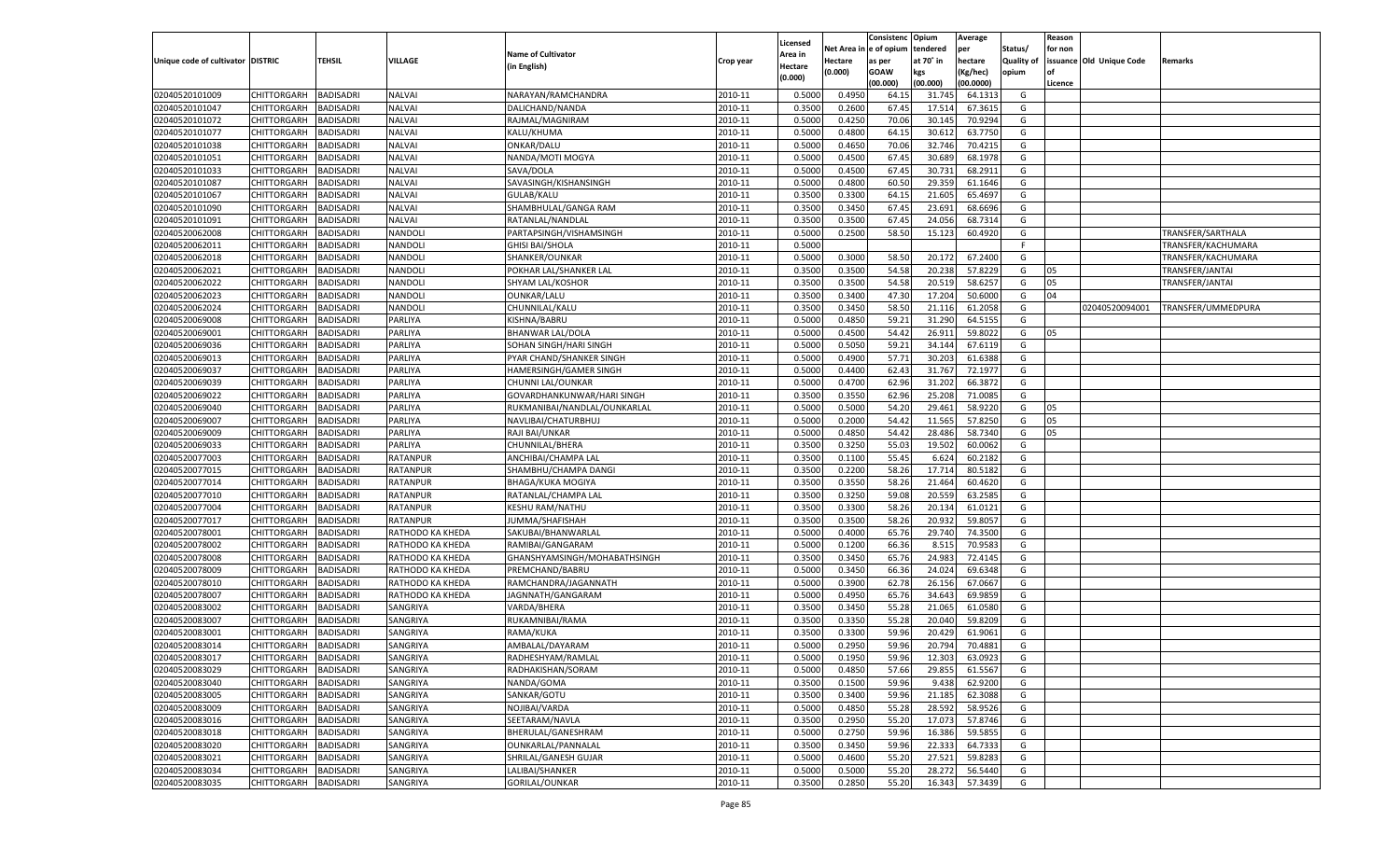|                                   |                       |                  |                  |                              |           |                    |            | Consistenc   | Opium     | Average   |                   | Reason  |                          |                    |
|-----------------------------------|-----------------------|------------------|------------------|------------------------------|-----------|--------------------|------------|--------------|-----------|-----------|-------------------|---------|--------------------------|--------------------|
|                                   |                       |                  |                  | <b>Name of Cultivator</b>    |           | Licensed           | Net Area i | n e of opium | tendered  | per       | Status/           | for non |                          |                    |
| Unique code of cultivator DISTRIC |                       | TEHSIL           | VILLAGE          | (in English)                 | Crop year | Area in<br>Hectare | Hectare    | as per       | at 70° in | hectare   | <b>Quality of</b> |         | issuance Old Unique Code | Remarks            |
|                                   |                       |                  |                  |                              |           | (0.000)            | (0.000)    | <b>GOAW</b>  | kgs       | (Kg/hec)  | opium             |         |                          |                    |
|                                   |                       |                  |                  |                              |           |                    |            | (00.000)     | (00.000)  | (00.0000) |                   | Licence |                          |                    |
| 02040520101009                    | CHITTORGARH           | <b>BADISADRI</b> | <b>NALVAI</b>    | NARAYAN/RAMCHANDRA           | 2010-11   | 0.5000             | 0.4950     | 64.1         | 31.745    | 64.1313   | G                 |         |                          |                    |
| 02040520101047                    | CHITTORGARH           | BADISADRI        | <b>NALVAI</b>    | DALICHAND/NANDA              | 2010-11   | 0.3500             | 0.2600     | 67.45        | 17.51     | 67.3615   | G                 |         |                          |                    |
| 02040520101072                    | CHITTORGARH           | BADISADRI        | <b>NALVAI</b>    | RAJMAL/MAGNIRAM              | 2010-11   | 0.5000             | 0.4250     | 70.06        | 30.145    | 70.9294   | G                 |         |                          |                    |
| 02040520101077                    | CHITTORGARH           | BADISADRI        | <b>NALVAI</b>    | KALU/KHUMA                   | 2010-11   | 0.5000             | 0.4800     | 64.15        | 30.61     | 63.7750   | G                 |         |                          |                    |
| 02040520101038                    | CHITTORGARH           | BADISADRI        | <b>NALVAI</b>    | ONKAR/DALU                   | 2010-11   | 0.5000             | 0.4650     | 70.06        | 32.746    | 70.4215   | G                 |         |                          |                    |
| 02040520101051                    | CHITTORGARH           | BADISADRI        | <b>NALVAI</b>    | NANDA/MOTI MOGYA             | 2010-11   | 0.5000             | 0.4500     | 67.45        | 30.689    | 68.1978   | G                 |         |                          |                    |
| 02040520101033                    | CHITTORGARH           | BADISADRI        | <b>NALVAI</b>    | SAVA/DOLA                    | 2010-11   | 0.5000             | 0.4500     | 67.45        | 30.73     | 68.2911   | G                 |         |                          |                    |
| 02040520101087                    | CHITTORGARH           | BADISADRI        | <b>NALVAI</b>    | SAVASINGH/KISHANSINGH        | 2010-11   | 0.5000             | 0.4800     | 60.50        | 29.359    | 61.1646   | G                 |         |                          |                    |
| 02040520101067                    | CHITTORGARH           | BADISADRI        | <b>NALVAI</b>    | <b>GULAB/KALU</b>            | 2010-11   | 0.3500             | 0.3300     | 64.15        | 21.605    | 65.4697   | G                 |         |                          |                    |
| 02040520101090                    | CHITTORGARH           | BADISADRI        | <b>NALVAI</b>    | SHAMBHULAL/GANGA RAM         | 2010-11   | 0.3500             | 0.3450     | 67.4         | 23.691    | 68.6696   | G                 |         |                          |                    |
| 02040520101091                    | CHITTORGARH           | BADISADRI        | <b>NALVAI</b>    | RATANLAL/NANDLAL             | 2010-11   | 0.3500             | 0.3500     | 67.45        | 24.056    | 68.7314   | G                 |         |                          |                    |
| 02040520062008                    | CHITTORGARH           | BADISADRI        | NANDOLI          | PARTAPSINGH/VISHAMSINGH      | 2010-11   | 0.5000             | 0.2500     | 58.50        | 15.123    | 60.4920   | G                 |         |                          | TRANSFER/SARTHALA  |
| 02040520062011                    | CHITTORGARH           | BADISADRI        | NANDOLI          | <b>GHISI BAI/SHOLA</b>       | 2010-11   | 0.5000             |            |              |           |           | F.                |         |                          | TRANSFER/KACHUMARA |
| 02040520062018                    | CHITTORGARH           | BADISADRI        | NANDOLI          | SHANKER/OUNKAR               | 2010-11   | 0.5000             | 0.3000     | 58.50        | 20.172    | 67.2400   | G                 |         |                          | TRANSFER/KACHUMARA |
| 02040520062021                    | CHITTORGARH           | BADISADRI        | NANDOLI          | POKHAR LAL/SHANKER LAL       | 2010-11   | 0.3500             | 0.3500     | 54.58        | 20.238    | 57.8229   | G                 | 05      |                          | TRANSFER/JANTAI    |
| 02040520062022                    | CHITTORGARH           | BADISADRI        | NANDOLI          | SHYAM LAL/KOSHOR             | 2010-11   | 0.3500             | 0.3500     | 54.58        | 20.519    | 58.6257   | G                 | 05      |                          | TRANSFER/JANTAI    |
| 02040520062023                    | CHITTORGARH           | <b>BADISADRI</b> | NANDOLI          | OUNKAR/LALU                  | 2010-11   | 0.3500             | 0.3400     | 47.30        | 17.204    | 50.6000   | G                 | 04      |                          |                    |
| 02040520062024                    | CHITTORGARH           | BADISADRI        | NANDOLI          | CHUNNILAL/KALU               | 2010-11   | 0.3500             | 0.3450     | 58.50        | 21.116    | 61.2058   | G                 |         | 02040520094001           | TRANSFER/UMMEDPURA |
| 02040520069008                    | CHITTORGARH           | BADISADRI        | PARLIYA          | KISHNA/BABRU                 | 2010-11   | 0.5000             | 0.4850     | 59.21        | 31.290    | 64.5155   | G                 |         |                          |                    |
| 02040520069001                    | CHITTORGARH           | BADISADRI        | PARLIYA          | <b>BHANWAR LAL/DOLA</b>      | 2010-11   | 0.5000             | 0.4500     | 54.42        | 26.911    | 59.8022   | G                 | 05      |                          |                    |
| 02040520069036                    | CHITTORGARH           | <b>BADISADRI</b> | PARLIYA          | SOHAN SINGH/HARI SINGH       | 2010-11   | 0.5000             | 0.5050     | 59.21        | 34.144    | 67.6119   | G                 |         |                          |                    |
| 02040520069013                    | CHITTORGARH           | BADISADRI        | PARLIYA          | PYAR CHAND/SHANKER SINGH     | 2010-11   | 0.5000             | 0.4900     | 57.71        | 30.203    | 61.6388   | G                 |         |                          |                    |
| 02040520069037                    | CHITTORGARH           | BADISADRI        | PARLIYA          | HAMERSINGH/GAMER SINGH       | 2010-11   | 0.5000             | 0.4400     | 62.43        | 31.767    | 72.1977   | G                 |         |                          |                    |
| 02040520069039                    | CHITTORGARH           | BADISADRI        | PARLIYA          | CHUNNI LAL/OUNKAR            | 2010-11   | 0.5000             | 0.4700     | 62.96        | 31.202    | 66.3872   | G                 |         |                          |                    |
| 02040520069022                    | CHITTORGARH           | <b>BADISADRI</b> | PARLIYA          | GOVARDHANKUNWAR/HARI SINGH   | 2010-11   | 0.3500             | 0.3550     | 62.96        | 25.208    | 71.0085   | G                 |         |                          |                    |
| 02040520069040                    | CHITTORGARH           | BADISADRI        | PARLIYA          | RUKMANIBAI/NANDLAL/OUNKARLAI | 2010-11   | 0.5000             | 0.5000     | 54.20        | 29.461    | 58.9220   | G                 | 05      |                          |                    |
| 02040520069007                    | CHITTORGARH           | BADISADRI        | PARLIYA          | NAVLIBAI/CHATURBHUJ          | 2010-11   | 0.5000             | 0.2000     | 54.42        | 11.565    | 57.8250   | G                 | 05      |                          |                    |
| 02040520069009                    | CHITTORGARH           | BADISADRI        | PARLIYA          | RAJI BAI/UNKAR               | 2010-11   | 0.5000             | 0.4850     | 54.42        | 28.486    | 58.7340   | G                 | 05      |                          |                    |
| 02040520069033                    | CHITTORGARH           | BADISADRI        | PARLIYA          | CHUNNILAL/BHERA              | 2010-11   | 0.3500             | 0.3250     | 55.03        | 19.502    | 60.0062   | G                 |         |                          |                    |
| 02040520077003                    | CHITTORGARH           | BADISADRI        | <b>RATANPUR</b>  | ANCHIBAI/CHAMPA LAL          | 2010-11   | 0.3500             | 0.1100     | 55.45        | 6.624     | 60.2182   | G                 |         |                          |                    |
| 02040520077015                    | CHITTORGARH           | <b>BADISADRI</b> | <b>RATANPUR</b>  | SHAMBHU/CHAMPA DANGI         | 2010-11   | 0.3500             | 0.2200     | 58.26        | 17.714    | 80.5182   | G                 |         |                          |                    |
| 02040520077014                    | CHITTORGARH           | <b>BADISADRI</b> | RATANPUR         | <b>BHAGA/KUKA MOGIYA</b>     | 2010-11   | 0.3500             | 0.3550     | 58.26        | 21.464    | 60.4620   | G                 |         |                          |                    |
| 02040520077010                    | CHITTORGARH           | <b>BADISADRI</b> | <b>RATANPUR</b>  | RATANLAL/CHAMPA LAI          | 2010-11   | 0.3500             | 0.3250     | 59.08        | 20.559    | 63.2585   | G                 |         |                          |                    |
| 02040520077004                    | CHITTORGARH           | BADISADRI        | RATANPUR         | <b>KESHU RAM/NATHU</b>       | 2010-11   | 0.3500             | 0.3300     | 58.26        | 20.134    | 61.0121   | G                 |         |                          |                    |
| 02040520077017                    | CHITTORGARH           | BADISADRI        | <b>RATANPUR</b>  | JUMMA/SHAFISHAH              | 2010-11   | 0.3500             | 0.3500     | 58.26        | 20.932    | 59.805    | G                 |         |                          |                    |
| 02040520078001                    | CHITTORGARH           | <b>BADISADRI</b> | RATHODO KA KHEDA | SAKUBAI/BHANWARLAL           | 2010-11   | 0.5000             | 0.4000     | 65.76        | 29.74     | 74.3500   | G                 |         |                          |                    |
| 02040520078002                    | CHITTORGARH           | <b>BADISADRI</b> | RATHODO KA KHEDA | RAMIBAI/GANGARAM             | 2010-11   | 0.5000             | 0.1200     | 66.36        | 8.515     | 70.9583   | G                 |         |                          |                    |
| 02040520078008                    | CHITTORGARH           | BADISADRI        | RATHODO KA KHEDA | GHANSHYAMSINGH/MOHABATHSINGH | 2010-11   | 0.3500             | 0.3450     | 65.76        | 24.983    | 72.4145   | G                 |         |                          |                    |
| 02040520078009                    | CHITTORGARH           | BADISADRI        | RATHODO KA KHEDA | PREMCHAND/BABRU              | 2010-11   | 0.5000             | 0.3450     | 66.36        | 24.024    | 69.6348   | G                 |         |                          |                    |
| 02040520078010                    | CHITTORGARH           | <b>BADISADRI</b> | RATHODO KA KHEDA | RAMCHANDRA/JAGANNATH         | 2010-11   | 0.5000             | 0.3900     | 62.78        | 26.15     | 67.0667   | G                 |         |                          |                    |
| 02040520078007                    | CHITTORGARH           | <b>BADISADRI</b> | RATHODO KA KHEDA | JAGNNATH/GANGARAM            | 2010-11   | 0.5000             | 0.4950     | 65.76        | 34.643    | 69.9859   | G                 |         |                          |                    |
| 02040520083002                    | CHITTORGARH           | BADISADRI        | SANGRIYA         | VARDA/BHERA                  | 2010-11   | 0.3500             | 0.3450     | 55.28        | 21.065    | 61.0580   | G                 |         |                          |                    |
| 02040520083007                    | CHITTORGARH           | BADISADRI        | SANGRIYA         | RUKAMNIBAI/RAMA              | 2010-11   | 0.3500             | 0.3350     | 55.28        | 20.04     | 59.8209   | G                 |         |                          |                    |
| 02040520083001                    |                       | BADISADRI        |                  |                              | 2010-11   | 0.3500             | 0.3300     | 59.96        | 20.429    | 61.9061   | G                 |         |                          |                    |
|                                   | CHITTORGARH           | <b>BADISADRI</b> | SANGRIYA         | RAMA/KUKA                    |           | 0.5000             | 0.2950     | 59.96        |           | 70.4881   |                   |         |                          |                    |
| 02040520083014                    | CHITTORGARH           |                  | SANGRIYA         | AMBALAL/DAYARAM              | 2010-11   |                    |            |              | 20.794    |           | G                 |         |                          |                    |
| 02040520083017                    | CHITTORGARH BADISADRI |                  | SANGRIYA         | RADHESHYAM/RAMLAL            | 2010-11   | 0.5000             | 0.1950     | 59.96        | 12.303    | 63.0923   | G                 |         |                          |                    |
| 02040520083029                    | <b>CHITTORGARH</b>    | <b>BADISADRI</b> | SANGRIYA         | RADHAKISHAN/SORAM            | 2010-11   | 0.5000             | 0.4850     | 57.66        | 29.855    | 61.5567   | G                 |         |                          |                    |
| 02040520083040                    | <b>CHITTORGARH</b>    | <b>BADISADRI</b> | SANGRIYA         | NANDA/GOMA                   | 2010-11   | 0.3500             | 0.1500     | 59.96        | 9.438     | 62.9200   | G                 |         |                          |                    |
| 02040520083005                    | CHITTORGARH           | <b>BADISADRI</b> | SANGRIYA         | SANKAR/GOTU                  | 2010-11   | 0.3500             | 0.3400     | 59.96        | 21.185    | 62.3088   | G                 |         |                          |                    |
| 02040520083009                    | <b>CHITTORGARH</b>    | <b>BADISADRI</b> | SANGRIYA         | NOJIBAI/VARDA                | 2010-11   | 0.5000             | 0.4850     | 55.28        | 28.592    | 58.9526   | G                 |         |                          |                    |
| 02040520083016                    | CHITTORGARH           | <b>BADISADRI</b> | SANGRIYA         | SEETARAM/NAVLA               | 2010-11   | 0.3500             | 0.2950     | 55.20        | 17.073    | 57.8746   | G                 |         |                          |                    |
| 02040520083018                    | <b>CHITTORGARH</b>    | <b>BADISADRI</b> | SANGRIYA         | BHERULAL/GANESHRAM           | 2010-11   | 0.5000             | 0.2750     | 59.96        | 16.386    | 59.5855   | G                 |         |                          |                    |
| 02040520083020                    | CHITTORGARH           | <b>BADISADRI</b> | SANGRIYA         | OUNKARLAL/PANNALAL           | 2010-11   | 0.3500             | 0.3450     | 59.96        | 22.333    | 64.7333   | G                 |         |                          |                    |
| 02040520083021                    | CHITTORGARH           | <b>BADISADRI</b> | SANGRIYA         | SHRILAL/GANESH GUJAR         | 2010-11   | 0.5000             | 0.4600     | 55.20        | 27.521    | 59.8283   | G                 |         |                          |                    |
| 02040520083034                    | <b>CHITTORGARH</b>    | <b>BADISADRI</b> | SANGRIYA         | LALIBAI/SHANKER              | 2010-11   | 0.5000             | 0.5000     | 55.20        | 28.272    | 56.5440   | G                 |         |                          |                    |
| 02040520083035                    | <b>CHITTORGARH</b>    | <b>BADISADRI</b> | SANGRIYA         | GORILAL/OUNKAR               | 2010-11   | 0.3500             | 0.2850     | 55.20        | 16.343    | 57.3439   | G                 |         |                          |                    |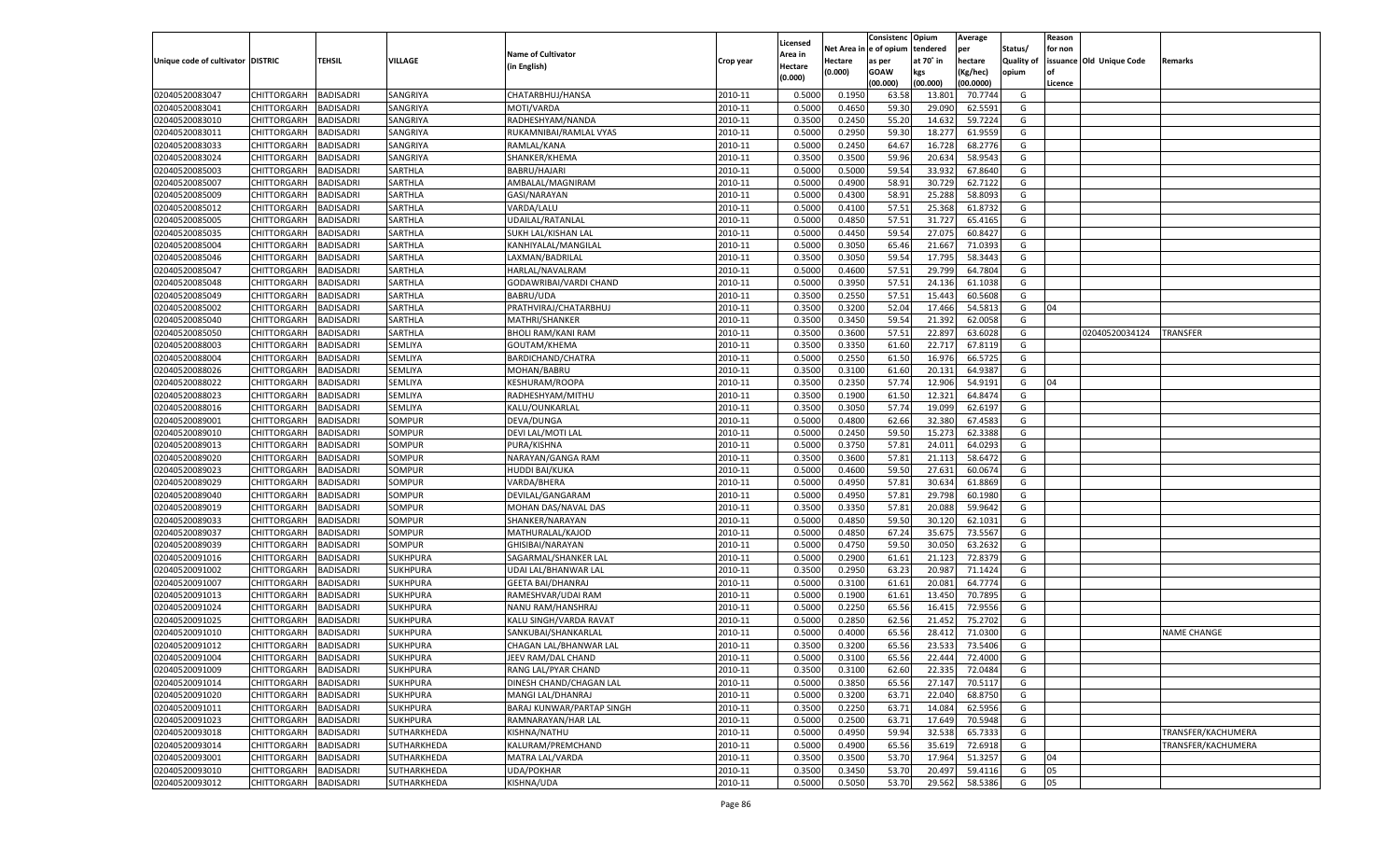|                                   |                       |                               |                    |                           |           |                     |                  | Consistenc  | Opium     | Average            |                   | Reason  |                          |                    |
|-----------------------------------|-----------------------|-------------------------------|--------------------|---------------------------|-----------|---------------------|------------------|-------------|-----------|--------------------|-------------------|---------|--------------------------|--------------------|
|                                   |                       |                               |                    | <b>Name of Cultivator</b> |           | Licensed<br>Area in | Net Area i       | le of opium | tendered  | per                | Status/           | for non |                          |                    |
| Unique code of cultivator DISTRIC |                       | TEHSIL                        | VILLAGE            | (in English)              | Crop year | Hectare             | Hectare          | as per      | at 70° in | hectare            | <b>Quality of</b> |         | issuance Old Unique Code | Remarks            |
|                                   |                       |                               |                    |                           |           | (0.000)             | (0.000)          | <b>GOAW</b> | kgs       | (Kg/hec)           | opium             |         |                          |                    |
|                                   |                       |                               |                    |                           |           |                     |                  | (00.000)    | (00.000)  | (00.0000)          |                   | Licence |                          |                    |
| 02040520083047                    | CHITTORGARH           | <b>BADISADRI</b>              | SANGRIYA           | CHATARBHUJ/HANSA          | 2010-11   | 0.5000              | 0.1950           | 63.58       | 13.801    | 70.7744            | G                 |         |                          |                    |
| 02040520083041                    | CHITTORGARH           | BADISADRI                     | SANGRIYA           | MOTI/VARDA                | 2010-11   | 0.5000              | 0.4650           | 59.30       | 29.090    | 62.5591            | G                 |         |                          |                    |
| 02040520083010                    | CHITTORGARH           | BADISADRI                     | SANGRIYA           | RADHESHYAM/NANDA          | 2010-11   | 0.3500              | 0.2450           | 55.20       | 14.63     | 59.7224            | G                 |         |                          |                    |
| 02040520083011                    | CHITTORGARH           | BADISADRI                     | SANGRIYA           | RUKAMNIBAI/RAMLAL VYAS    | 2010-11   | 0.5000              | 0.2950           | 59.30       | 18.277    | 61.9559            | G                 |         |                          |                    |
| 02040520083033                    | CHITTORGARH           | BADISADRI                     | SANGRIYA           | RAMLAL/KANA               | 2010-11   | 0.5000              | 0.2450           | 64.67       | 16.728    | 68.2776            | G                 |         |                          |                    |
| 02040520083024                    | CHITTORGARH           | BADISADRI                     | SANGRIYA           | SHANKER/KHEMA             | 2010-11   | 0.3500              | 0.3500           | 59.96       | 20.634    | 58.9543            | G                 |         |                          |                    |
| 02040520085003                    | CHITTORGARH           | BADISADRI                     | SARTHLA            | BABRU/HAJARI              | 2010-11   | 0.5000              | 0.5000           | 59.54       | 33.93     | 67.8640            | G                 |         |                          |                    |
| 02040520085007                    | CHITTORGARH           | BADISADRI                     | SARTHLA            | AMBALAL/MAGNIRAM          | 2010-11   | 0.5000              | 0.4900           | 58.91       | 30.729    | 62.7122            | G                 |         |                          |                    |
| 02040520085009                    | CHITTORGARH           | BADISADRI                     | SARTHLA            | GASI/NARAYAN              | 2010-11   | 0.5000              | 0.4300           | 58.91       | 25.288    | 58.8093            | G                 |         |                          |                    |
| 02040520085012                    | CHITTORGARH           | BADISADRI                     | SARTHLA            | VARDA/LALU                | 2010-11   | 0.5000              | 0.4100           | 57.51       | 25.368    | 61.873             | G                 |         |                          |                    |
| 02040520085005                    | CHITTORGARH           | BADISADRI                     | SARTHLA            | UDAILAL/RATANLAL          | 2010-11   | 0.5000              | 0.4850           | 57.51       | 31.727    | 65.4165            | G                 |         |                          |                    |
| 02040520085035                    | CHITTORGARH           | BADISADRI                     | SARTHLA            | SUKH LAL/KISHAN LAL       | 2010-11   | 0.5000              | 0.4450           | 59.54       | 27.075    | 60.8427            | G                 |         |                          |                    |
| 02040520085004                    | CHITTORGARH           | BADISADRI                     | SARTHLA            | KANHIYALAL/MANGILAL       | 2010-11   | 0.5000              | 0.3050           | 65.46       | 21.667    | 71.0393            | G                 |         |                          |                    |
| 02040520085046                    | CHITTORGARH           | BADISADRI                     | SARTHLA            | LAXMAN/BADRILAL           | 2010-11   | 0.3500              | 0.3050           | 59.54       | 17.795    | 58.3443            | G                 |         |                          |                    |
| 02040520085047                    | CHITTORGARH           | <b>BADISADRI</b>              | SARTHLA            | HARLAL/NAVALRAM           | 2010-11   | 0.5000              | 0.4600           | 57.51       | 29.799    | 64.7804            | G                 |         |                          |                    |
| 02040520085048                    | CHITTORGARH           | BADISADRI                     | SARTHLA            | GODAWRIBAI/VARDI CHAND    | 2010-11   | 0.5000              | 0.3950           | 57.51       | 24.136    | 61.1038            | G                 |         |                          |                    |
| 02040520085049                    | CHITTORGARH           | <b>BADISADRI</b>              | SARTHLA            | BABRU/UDA                 | 2010-11   | 0.3500              | 0.2550           | 57.51       | 15.443    | 60.5608            | G                 |         |                          |                    |
| 02040520085002                    | CHITTORGARH           | BADISADRI                     | SARTHLA            | PRATHVIRAJ/CHATARBHUJ     | 2010-11   | 0.3500              | 0.3200           | 52.04       | 17.466    | 54.5813            | G                 | 04      |                          |                    |
| 02040520085040                    | CHITTORGARH           | <b>BADISADRI</b>              | SARTHLA            | MATHRI/SHANKER            | 2010-11   | 0.3500              | 0.3450           | 59.54       | 21.392    | 62.0058            | G                 |         |                          |                    |
| 02040520085050                    | CHITTORGARH           | BADISADRI                     | SARTHLA            | <b>BHOLI RAM/KANI RAM</b> | 2010-11   | 0.3500              | 0.3600           | 57.51       | 22.897    | 63.6028            | G                 |         | 02040520034124           | TRANSFER           |
| 02040520088003                    | CHITTORGARH           | <b>BADISADRI</b>              | SEMLIYA            | GOUTAM/KHEMA              | 2010-11   | 0.3500              | 0.3350           | 61.60       | 22.717    | 67.8119            | G                 |         |                          |                    |
| 02040520088004                    | CHITTORGARH           | BADISADRI                     | SEMLIYA            | BARDICHAND/CHATRA         | 2010-11   | 0.5000              | 0.2550           | 61.50       | 16.976    | 66.5725            | G                 |         |                          |                    |
| 02040520088026                    | CHITTORGARH           | BADISADRI                     | SEMLIYA            | MOHAN/BABRU               | 2010-11   | 0.3500              | 0.3100           | 61.60       | 20.131    | 64.9387            | G                 |         |                          |                    |
| 02040520088022                    | CHITTORGARH           | BADISADRI                     | SEMLIYA            | <b>KESHURAM/ROOPA</b>     | 2010-11   | 0.3500              | 0.2350           | 57.74       | 12.906    | 54.9191            | G                 | 04      |                          |                    |
| 02040520088023                    | CHITTORGARH           | <b>BADISADRI</b>              | SEMLIYA            | RADHESHYAM/MITHU          | 2010-11   | 0.3500              | 0.1900           | 61.50       | 12.321    | 64.8474            | G                 |         |                          |                    |
| 02040520088016                    | CHITTORGARH           | BADISADRI                     | SEMLIYA            | KALU/OUNKARLAL            | 2010-11   | 0.3500              | 0.3050           | 57.74       | 19.099    | 62.6197            | G                 |         |                          |                    |
| 02040520089001                    | CHITTORGARH           | BADISADRI                     | SOMPUR             | DEVA/DUNGA                | 2010-11   | 0.5000              | 0.4800           | 62.66       | 32.380    | 67.4583            | G                 |         |                          |                    |
| 02040520089010                    | CHITTORGARH           | BADISADRI                     | SOMPUR             | DEVI LAL/MOTI LAL         | 2010-11   | 0.5000              | 0.2450           | 59.50       | 15.273    | 62.3388            | G                 |         |                          |                    |
| 02040520089013                    | CHITTORGARH           | <b>BADISADRI</b>              | SOMPUR             | PURA/KISHNA               | 2010-11   | 0.5000              | 0.3750           | 57.81       | 24.011    | 64.0293            | G                 |         |                          |                    |
| 02040520089020                    | CHITTORGARH           | BADISADRI                     | SOMPUR             | NARAYAN/GANGA RAM         | 2010-11   | 0.3500              | 0.3600           | 57.81       | 21.113    | 58.6472            | G                 |         |                          |                    |
| 02040520089023                    | CHITTORGARH           | <b>BADISADRI</b>              | <b>SOMPUR</b>      | <b>HUDDI BAI/KUKA</b>     | 2010-11   | 0.5000              | 0.4600           | 59.50       | 27.631    | 60.0674            | G                 |         |                          |                    |
| 02040520089029                    | CHITTORGARH           | <b>BADISADRI</b>              | SOMPUR             | VARDA/BHERA               | 2010-11   | 0.5000              | 0.4950           | 57.81       | 30.634    | 61.8869            | G                 |         |                          |                    |
| 02040520089040                    | CHITTORGARH           | <b>BADISADRI</b>              | SOMPUR             | DEVILAL/GANGARAM          | 2010-11   | 0.5000              | 0.4950           | 57.81       | 29.798    | 60.1980            | G                 |         |                          |                    |
| 02040520089019                    | CHITTORGARH           | BADISADRI                     | SOMPUR             | MOHAN DAS/NAVAL DAS       | 2010-11   | 0.3500              | 0.3350           | 57.81       | 20.088    | 59.9642            | G                 |         |                          |                    |
| 02040520089033                    | CHITTORGARH           | <b>BADISADRI</b>              | <b>SOMPUR</b>      | SHANKER/NARAYAN           | 2010-11   | 0.5000              | 0.4850           | 59.50       | 30.120    | 62.1031            | G                 |         |                          |                    |
| 02040520089037                    | CHITTORGARH           | <b>BADISADRI</b>              | SOMPUR             | MATHURALAL/KAJOD          | 2010-11   | 0.5000              | 0.4850           | 67.24       | 35.675    | 73.5567            | G                 |         |                          |                    |
| 02040520089039                    | CHITTORGARH           | <b>BADISADRI</b>              | SOMPUR             | GHISIBAI/NARAYAN          | 2010-11   | 0.5000              | 0.4750           | 59.50       | 30.050    | 63.2632            | G                 |         |                          |                    |
| 02040520091016                    | CHITTORGARH           | BADISADRI                     | <b>SUKHPURA</b>    | SAGARMAL/SHANKER LAL      | 2010-11   | 0.5000              | 0.2900           | 61.61       | 21.123    | 72.8379            | G                 |         |                          |                    |
| 02040520091002                    | CHITTORGARH           | <b>BADISADRI</b>              | <b>SUKHPURA</b>    | UDAI LAL/BHANWAR LAI      | 2010-11   | 0.3500              | 0.2950           | 63.23       | 20.987    | 71.1424            | G                 |         |                          |                    |
| 02040520091007                    | CHITTORGARH           | <b>BADISADRI</b>              | <b>SUKHPURA</b>    | <b>GEETA BAI/DHANRAJ</b>  | 2010-11   | 0.5000              | 0.3100           | 61.61       | 20.081    | 64.7774            | G                 |         |                          |                    |
| 02040520091013                    | CHITTORGARH           | <b>BADISADRI</b>              | <b>SUKHPURA</b>    | RAMESHVAR/UDAI RAM        | 2010-11   | 0.5000              | 0.1900           | 61.61       | 13.450    | 70.7895            | G                 |         |                          |                    |
| 02040520091024                    | CHITTORGARH           | BADISADRI                     | <b>SUKHPURA</b>    | NANU RAM/HANSHRAJ         | 2010-11   | 0.5000              | 0.2250           | 65.56       | 16.415    | 72.9556            | G                 |         |                          |                    |
| 02040520091025                    | CHITTORGARH           | BADISADRI                     | <b>SUKHPURA</b>    | KALU SINGH/VARDA RAVAT    | 2010-11   | 0.5000              | 0.2850           | 62.56       | 21.452    | 75.2702            | G                 |         |                          |                    |
| 02040520091010                    |                       |                               |                    | SANKUBAI/SHANKARLAI       |           |                     |                  | 65.56       | 28.412    |                    |                   |         |                          | <b>NAME CHANGE</b> |
| 02040520091012                    | CHITTORGARH           | BADISADRI<br><b>BADISADRI</b> | <b>SUKHPURA</b>    |                           | 2010-11   | 0.5000              | 0.4000<br>0.3200 | 65.56       | 23.533    | 71.0300<br>73.5406 | G                 |         |                          |                    |
|                                   | CHITTORGARH           |                               | <b>SUKHPURA</b>    | CHAGAN LAL/BHANWAR LAL    | 2010-11   | 0.3500              |                  |             |           |                    | G                 |         |                          |                    |
| 02040520091004                    | CHITTORGARH BADISADRI |                               | <b>SUKHPURA</b>    | JEEV RAM/DAL CHAND        | 2010-11   | 0.5000              | 0.3100           | 65.56       | 22.444    | 72.4000            | G                 |         |                          |                    |
| 02040520091009                    | <b>CHITTORGARH</b>    | <b>BADISADRI</b>              | <b>SUKHPURA</b>    | RANG LAL/PYAR CHAND       | 2010-11   | 0.3500              | 0.3100           | 62.60       | 22.335    | 72.0484            | G                 |         |                          |                    |
| 02040520091014                    | <b>CHITTORGARH</b>    | <b>BADISADRI</b>              | <b>SUKHPURA</b>    | DINESH CHAND/CHAGAN LAL   | 2010-11   | 0.5000              | 0.3850           | 65.56       | 27.147    | 70.5117            | G                 |         |                          |                    |
| 02040520091020                    | <b>CHITTORGARH</b>    | <b>BADISADRI</b>              | <b>SUKHPURA</b>    | MANGI LAL/DHANRAJ         | 2010-11   | 0.5000              | 0.3200           | 63.71       | 22.040    | 68.8750            | G                 |         |                          |                    |
| 02040520091011                    | <b>CHITTORGARH</b>    | <b>BADISADRI</b>              | <b>SUKHPURA</b>    | BARAJ KUNWAR/PARTAP SINGH | 2010-11   | 0.3500              | 0.2250           | 63.71       | 14.084    | 62.5956            | G                 |         |                          |                    |
| 02040520091023                    | CHITTORGARH           | <b>BADISADRI</b>              | <b>SUKHPURA</b>    | RAMNARAYAN/HAR LAL        | 2010-11   | 0.5000              | 0.2500           | 63.71       | 17.649    | 70.5948            | G                 |         |                          |                    |
| 02040520093018                    | CHITTORGARH           | <b>BADISADRI</b>              | SUTHARKHEDA        | KISHNA/NATHU              | 2010-11   | 0.5000              | 0.4950           | 59.94       | 32.538    | 65.7333            | G                 |         |                          | TRANSFER/KACHUMERA |
| 02040520093014                    | CHITTORGARH           | <b>BADISADRI</b>              | <b>SUTHARKHEDA</b> | KALURAM/PREMCHAND         | 2010-11   | 0.5000              | 0.4900           | 65.56       | 35.619    | 72.6918            | G                 |         |                          | TRANSFER/KACHUMERA |
| 02040520093001                    | CHITTORGARH           | <b>BADISADRI</b>              | SUTHARKHEDA        | MATRA LAL/VARDA           | 2010-11   | 0.3500              | 0.3500           | 53.70       | 17.964    | 51.3257            | G                 | 04      |                          |                    |
| 02040520093010                    | <b>CHITTORGARH</b>    | <b>BADISADRI</b>              | SUTHARKHEDA        | <b>UDA/POKHAR</b>         | 2010-11   | 0.3500              | 0.3450           | 53.70       | 20.497    | 59.4116            | G                 | 05      |                          |                    |
| 02040520093012                    | <b>CHITTORGARH</b>    | <b>BADISADRI</b>              | SUTHARKHEDA        | KISHNA/UDA                | 2010-11   | 0.5000              | 0.5050           | 53.70       | 29.562    | 58.5386            | G                 | 05      |                          |                    |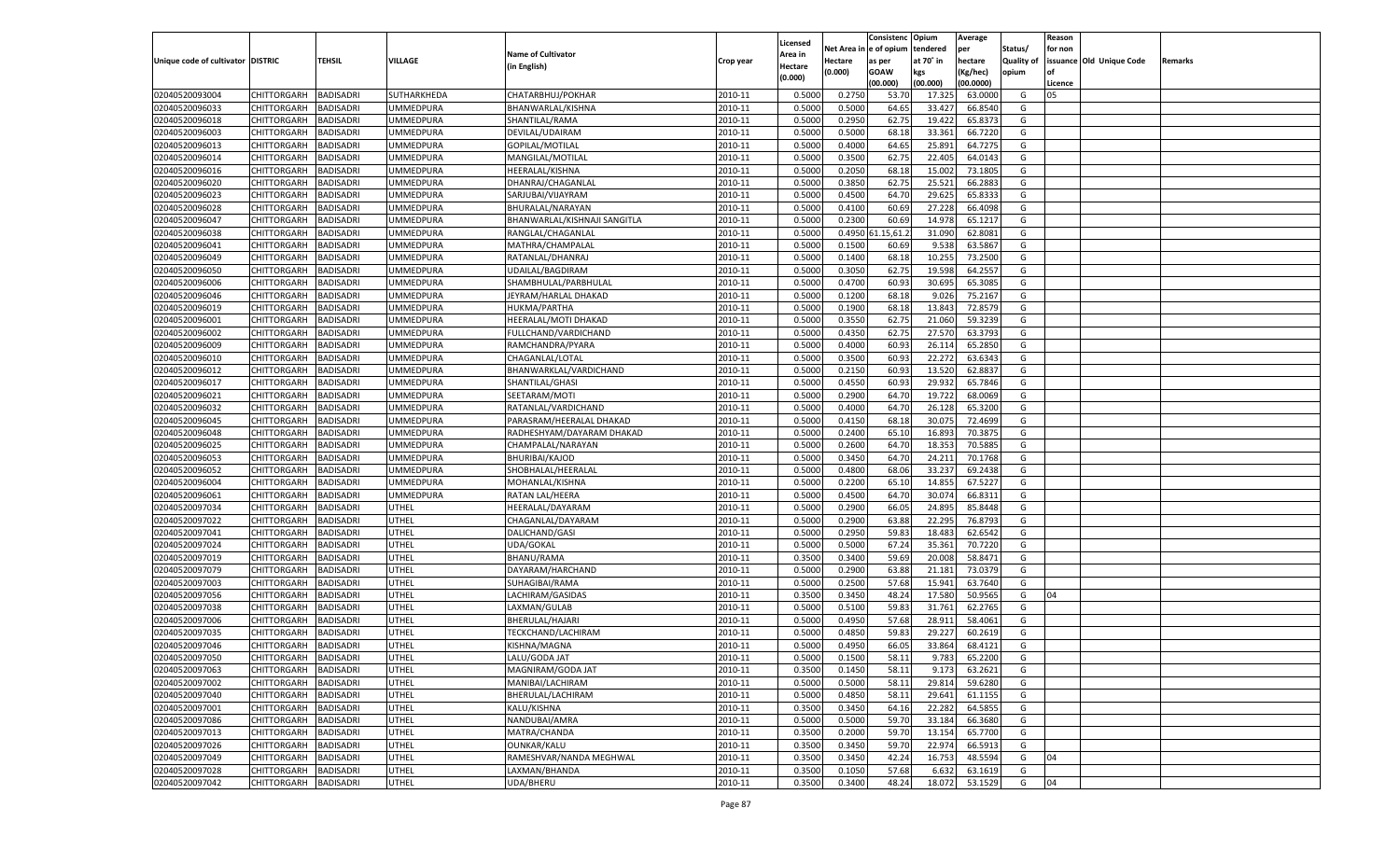|                                   |                                   |                  |                  |                                           |           |          |          | Consistenc Opium |           | Average   |                   | Reason    |                          |         |
|-----------------------------------|-----------------------------------|------------------|------------------|-------------------------------------------|-----------|----------|----------|------------------|-----------|-----------|-------------------|-----------|--------------------------|---------|
|                                   |                                   |                  |                  |                                           |           | Licensed | Net Area | e of opium       | tendered  | per       | Status/           | for non   |                          |         |
| Unique code of cultivator DISTRIC |                                   | TEHSIL           | VILLAGE          | <b>Name of Cultivator</b>                 | Crop year | Area in  | Hectare  | as per           | at 70° in | hectare   | <b>Quality of</b> |           | issuance Old Unique Code | Remarks |
|                                   |                                   |                  |                  | (in English)                              |           | Hectare  | (0.000)  | <b>GOAW</b>      | kgs       | (Kg/hec)  | opium             | <b>of</b> |                          |         |
|                                   |                                   |                  |                  |                                           |           | (0.000)  |          | (00.000)         | (00.000)  | (00.0000) |                   | Licence   |                          |         |
| 02040520093004                    | CHITTORGARH                       | <b>BADISADRI</b> | SUTHARKHEDA      | CHATARBHUJ/POKHAR                         | 2010-11   | 0.5000   | 0.2750   | 53.70            | 17.32     | 63.0000   | G                 | 05        |                          |         |
| 02040520096033                    | CHITTORGARH                       | BADISADRI        | UMMEDPURA        | BHANWARLAL/KISHNA                         | 2010-11   | 0.5000   | 0.5000   | 64.65            | 33.427    | 66.8540   | G                 |           |                          |         |
| 02040520096018                    | <b>CHITTORGARH</b>                | <b>BADISADRI</b> | <b>UMMEDPURA</b> | SHANTILAL/RAMA                            | 2010-11   | 0.5000   | 0.2950   | 62.75            | 19.422    | 65.8373   | G                 |           |                          |         |
| 02040520096003                    | CHITTORGARH                       | BADISADRI        | UMMEDPURA        | DEVILAL/UDAIRAM                           | 2010-11   | 0.5000   | 0.5000   | 68.18            | 33.361    | 66.7220   | G                 |           |                          |         |
| 02040520096013                    | CHITTORGARH                       | <b>BADISADRI</b> | <b>UMMEDPURA</b> | GOPILAL/MOTILAL                           | 2010-11   | 0.5000   | 0.4000   | 64.65            | 25.891    | 64.7275   | G                 |           |                          |         |
| 02040520096014                    | CHITTORGARH                       | BADISADRI        | UMMEDPURA        | MANGILAL/MOTILAL                          | 2010-11   | 0.5000   | 0.3500   | 62.7             | 22.405    | 64.0143   | G                 |           |                          |         |
| 02040520096016                    | <b>CHITTORGARH</b>                | <b>BADISADRI</b> | <b>UMMEDPURA</b> | HEERALAL/KISHNA                           | 2010-11   | 0.5000   | 0.2050   | 68.18            | 15.002    | 73.180    | G                 |           |                          |         |
| 02040520096020                    | CHITTORGARH                       | BADISADRI        | <b>UMMEDPURA</b> | DHANRAJ/CHAGANLAL                         | 2010-11   | 0.5000   | 0.3850   | 62.75            | 25.521    | 66.2883   | G                 |           |                          |         |
| 02040520096023                    | CHITTORGARH                       | <b>BADISADRI</b> | <b>UMMEDPURA</b> | SARJUBAI/VIJAYRAM                         | 2010-11   | 0.5000   | 0.4500   | 64.70            | 29.625    | 65.8333   | G                 |           |                          |         |
| 02040520096028                    | CHITTORGARH                       | BADISADRI        | UMMEDPURA        | BHURALAL/NARAYAN                          | 2010-11   | 0.5000   | 0.4100   | 60.69            | 27.228    | 66.4098   | G                 |           |                          |         |
| 02040520096047                    | CHITTORGARH                       | <b>BADISADRI</b> | <b>UMMEDPURA</b> | BHANWARLAL/KISHNAJI SANGITLA              | 2010-11   | 0.5000   | 0.2300   | 60.69            | 14.978    | 65.1217   | G                 |           |                          |         |
| 02040520096038                    | CHITTORGARH                       | BADISADRI        | <b>UMMEDPURA</b> | RANGLAL/CHAGANLAL                         | 2010-11   | 0.5000   | 0.4950   | 1.15,61.         | 31.090    | 62.8081   | G                 |           |                          |         |
| 02040520096041                    | CHITTORGARH                       | <b>BADISADRI</b> | <b>UMMEDPURA</b> | MATHRA/CHAMPALAL                          | 2010-11   | 0.5000   | 0.1500   | 60.69            | 9.538     | 63.5867   | G                 |           |                          |         |
| 02040520096049                    | CHITTORGARH                       | <b>BADISADRI</b> | <b>UMMEDPURA</b> | RATANLAL/DHANRAJ                          | 2010-11   | 0.5000   | 0.1400   | 68.18            | 10.255    | 73.2500   | G                 |           |                          |         |
| 02040520096050                    | <b>CHITTORGARH</b>                | <b>BADISADRI</b> | <b>UMMEDPURA</b> | UDAILAL/BAGDIRAM                          | 2010-11   | 0.5000   | 0.3050   | 62.75            | 19.598    | 64.2557   | G                 |           |                          |         |
| 02040520096006                    | CHITTORGARH                       | <b>BADISADRI</b> | <b>UMMEDPURA</b> | SHAMBHULAL/PARBHULAL                      | 2010-11   | 0.5000   | 0.4700   | 60.93            | 30.695    | 65.3085   | G                 |           |                          |         |
| 02040520096046                    | <b>CHITTORGARH</b>                | <b>BADISADRI</b> | UMMEDPURA        | JEYRAM/HARLAL DHAKAD                      | 2010-11   | 0.5000   | 0.1200   | 68.18            | 9.026     | 75.2167   | G                 |           |                          |         |
| 02040520096019                    | CHITTORGARH                       | BADISADRI        | <b>UMMEDPURA</b> | <b>HUKMA/PARTHA</b>                       | 2010-11   | 0.5000   | 0.1900   | 68.18            | 13.843    | 72.857    | G                 |           |                          |         |
| 02040520096001                    | <b>CHITTORGARH</b>                | <b>BADISADRI</b> | UMMEDPURA        | HEERALAL/MOTI DHAKAD                      | 2010-11   | 0.5000   | 0.3550   | 62.75            | 21.060    | 59.3239   | G                 |           |                          |         |
| 02040520096002                    | CHITTORGARH                       | <b>BADISADRI</b> | <b>UMMEDPURA</b> | FULLCHAND/VARDICHAND                      | 2010-11   | 0.5000   | 0.4350   | 62.75            | 27.570    | 63.3793   | G                 |           |                          |         |
| 02040520096009                    | <b>CHITTORGARH</b>                | <b>BADISADRI</b> | <b>UMMEDPURA</b> | RAMCHANDRA/PYARA                          | 2010-11   | 0.5000   | 0.4000   | 60.93            | 26.114    | 65.2850   | G                 |           |                          |         |
| 02040520096010                    | CHITTORGARH                       | BADISADRI        | <b>UMMEDPURA</b> | CHAGANLAL/LOTAL                           | 2010-11   | 0.5000   | 0.3500   | 60.93            | 22.272    | 63.6343   | G                 |           |                          |         |
| 02040520096012                    | <b>CHITTORGARH</b>                | <b>BADISADRI</b> | UMMEDPURA        |                                           | 2010-11   | 0.5000   | 0.2150   | 60.93            | 13.520    | 62.8837   | G                 |           |                          |         |
|                                   |                                   | <b>BADISADRI</b> | <b>UMMEDPURA</b> | BHANWARKLAL/VARDICHAND<br>SHANTILAL/GHASI | 2010-11   |          | 0.4550   | 60.93            | 29.932    | 65.7846   |                   |           |                          |         |
| 02040520096017                    | CHITTORGARH<br><b>CHITTORGARH</b> | <b>BADISADRI</b> | <b>UMMEDPURA</b> | SEETARAM/MOTI                             | 2010-11   | 0.5000   | 0.2900   | 64.70            |           | 68.0069   | G<br>G            |           |                          |         |
| 02040520096021                    |                                   |                  | <b>UMMEDPURA</b> | RATANLAL/VARDICHAND                       |           | 0.5000   |          |                  | 19.722    |           |                   |           |                          |         |
| 02040520096032                    | CHITTORGARH<br><b>CHITTORGARH</b> | BADISADRI        |                  |                                           | 2010-11   | 0.5000   | 0.4000   | 64.70            | 26.128    | 65.3200   | G                 |           |                          |         |
| 02040520096045                    |                                   | <b>BADISADRI</b> | UMMEDPURA        | PARASRAM/HEERALAL DHAKAD                  | 2010-11   | 0.5000   | 0.4150   | 68.18            | 30.075    | 72.4699   | G                 |           |                          |         |
| 02040520096048                    | CHITTORGARH                       | <b>BADISADRI</b> | <b>UMMEDPURA</b> | RADHESHYAM/DAYARAM DHAKAD                 | 2010-11   | 0.5000   | 0.2400   | 65.10            | 16.89     | 70.387    | G                 |           |                          |         |
| 02040520096025                    | <b>CHITTORGARH</b>                | <b>BADISADRI</b> | UMMEDPURA        | CHAMPALAL/NARAYAN                         | 2010-11   | 0.5000   | 0.2600   | 64.70            | 18.353    | 70.5885   | G                 |           |                          |         |
| 02040520096053                    | CHITTORGARH                       | BADISADRI        | <b>UMMEDPURA</b> | <b>BHURIBAI/KAJOD</b>                     | 2010-11   | 0.5000   | 0.3450   | 64.70            | 24.211    | 70.1768   | G                 |           |                          |         |
| 02040520096052                    | CHITTORGARH                       | BADISADRI        | UMMEDPURA        | SHOBHALAL/HEERALAL                        | 2010-11   | 0.5000   | 0.4800   | 68.06            | 33.237    | 69.2438   | G                 |           |                          |         |
| 02040520096004                    | CHITTORGARH                       | BADISADRI        | <b>UMMEDPURA</b> | MOHANLAL/KISHNA                           | 2010-11   | 0.5000   | 0.2200   | 65.10            | 14.855    | 67.5227   | G                 |           |                          |         |
| 02040520096061                    | <b>CHITTORGARH</b>                | BADISADRI        | <b>UMMEDPURA</b> | RATAN LAL/HEERA                           | 2010-11   | 0.5000   | 0.4500   | 64.70            | 30.07     | 66.8311   | G                 |           |                          |         |
| 02040520097034                    | CHITTORGARH                       | BADISADRI        | UTHEL            | HEERALAL/DAYARAM                          | 2010-11   | 0.5000   | 0.2900   | 66.05            | 24.895    | 85.8448   | G                 |           |                          |         |
| 02040520097022                    | CHITTORGARH                       | BADISADRI        | UTHEL            | CHAGANLAL/DAYARAM                         | 2010-11   | 0.5000   | 0.2900   | 63.88            | 22.295    | 76.8793   | G                 |           |                          |         |
| 02040520097041                    | CHITTORGARH                       | BADISADRI        | UTHEL            | DALICHAND/GASI                            | 2010-11   | 0.5000   | 0.2950   | 59.83            | 18.48     | 62.6542   | G                 |           |                          |         |
| 02040520097024                    | <b>CHITTORGARH</b>                | BADISADRI        | UTHEL            | <b>UDA/GOKAL</b>                          | 2010-11   | 0.5000   | 0.5000   | 67.24            | 35.361    | 70.7220   | G                 |           |                          |         |
| 02040520097019                    | CHITTORGARH                       | BADISADRI        | UTHEL            | <b>BHANU/RAMA</b>                         | 2010-11   | 0.3500   | 0.3400   | 59.69            | 20.008    | 58.8471   | G                 |           |                          |         |
| 02040520097079                    | CHITTORGARH                       | BADISADRI        | UTHEL            | DAYARAM/HARCHAND                          | 2010-11   | 0.5000   | 0.2900   | 63.88            | 21.181    | 73.0379   | G                 |           |                          |         |
| 02040520097003                    | CHITTORGARH                       | BADISADRI        | UTHEL            | SUHAGIBAI/RAMA                            | 2010-11   | 0.5000   | 0.2500   | 57.68            | 15.941    | 63.7640   | G                 |           |                          |         |
| 02040520097056                    | <b>CHITTORGARH</b>                | BADISADRI        | UTHEL            | LACHIRAM/GASIDAS                          | 2010-11   | 0.3500   | 0.3450   | 48.24            | 17.580    | 50.9565   | G                 | 04        |                          |         |
| 02040520097038                    | CHITTORGARH                       | BADISADRI        | UTHEL            | LAXMAN/GULAB                              | 2010-11   | 0.5000   | 0.5100   | 59.83            | 31.761    | 62.2765   | G                 |           |                          |         |
| 02040520097006                    | CHITTORGARH                       | BADISADRI        | UTHEL            | BHERULAL/HAJARI                           | 2010-11   | 0.5000   | 0.4950   | 57.68            | 28.911    | 58.4061   | G                 |           |                          |         |
| 02040520097035                    | CHITTORGARH                       | BADISADRI        | UTHEL            | TECKCHAND/LACHIRAM                        | 2010-11   | 0.5000   | 0.4850   | 59.83            | 29.22     | 60.2619   | G                 |           |                          |         |
| 02040520097046                    | CHITTORGARH                       | <b>BADISADRI</b> | UTHEL            | KISHNA/MAGNA                              | 2010-11   | 0.5000   | 0.4950   | 66.05            | 33.864    | 68.4121   | G                 |           |                          |         |
| 02040520097050                    | CHITTORGARH BADISADRI             |                  | <b>UTHEL</b>     | LALU/GODA JAT                             | 2010-11   | 0.5000   | 0.1500   | 58.11            | 9.783     | 65.2200   | G                 |           |                          |         |
| 02040520097063                    | <b>CHITTORGARH</b>                | <b>BADISADRI</b> | UTHEL            | MAGNIRAM/GODA JAT                         | 2010-11   | 0.3500   | 0.1450   | 58.11            | 9.173     | 63.2621   | G                 |           |                          |         |
| 02040520097002                    | <b>CHITTORGARH</b>                | <b>BADISADRI</b> | UTHEL            | MANIBAI/LACHIRAM                          | 2010-11   | 0.5000   | 0.5000   | 58.11            | 29.814    | 59.6280   | G                 |           |                          |         |
| 02040520097040                    | <b>CHITTORGARH</b>                | <b>BADISADRI</b> | UTHEL            | BHERULAL/LACHIRAM                         | 2010-11   | 0.5000   | 0.4850   | 58.11            | 29.641    | 61.1155   | G                 |           |                          |         |
| 02040520097001                    | <b>CHITTORGARH</b>                | <b>BADISADRI</b> | UTHEL            | KALU/KISHNA                               | 2010-11   | 0.3500   | 0.3450   | 64.16            | 22.282    | 64.5855   | G                 |           |                          |         |
| 02040520097086                    | <b>CHITTORGARH</b>                | <b>BADISADRI</b> | UTHEL            | NANDUBAI/AMRA                             | 2010-11   | 0.5000   | 0.5000   | 59.70            | 33.184    | 66.3680   | G                 |           |                          |         |
| 02040520097013                    | <b>CHITTORGARH</b>                | <b>BADISADRI</b> | UTHEL            | MATRA/CHANDA                              | 2010-11   | 0.3500   | 0.2000   | 59.70            | 13.154    | 65.7700   | G                 |           |                          |         |
| 02040520097026                    | <b>CHITTORGARH</b>                | <b>BADISADRI</b> | UTHEL            | OUNKAR/KALU                               | 2010-11   | 0.3500   | 0.3450   | 59.70            | 22.974    | 66.5913   | G                 |           |                          |         |
| 02040520097049                    | <b>CHITTORGARH</b>                | <b>BADISADRI</b> | UTHEL            | RAMESHVAR/NANDA MEGHWAL                   | 2010-11   | 0.3500   | 0.3450   | 42.24            | 16.753    | 48.5594   | G                 | 04        |                          |         |
| 02040520097028                    | <b>CHITTORGARH</b>                | <b>BADISADRI</b> | UTHEL            | LAXMAN/BHANDA                             | 2010-11   | 0.3500   | 0.1050   | 57.68            | 6.632     | 63.1619   | G                 |           |                          |         |
| 02040520097042                    | <b>CHITTORGARH</b>                | <b>BADISADRI</b> | UTHEL            | UDA/BHERU                                 | 2010-11   | 0.3500   | 0.3400   | 48.24            | 18.072    | 53.1529   | G                 | 04        |                          |         |
|                                   |                                   |                  |                  |                                           |           |          |          |                  |           |           |                   |           |                          |         |